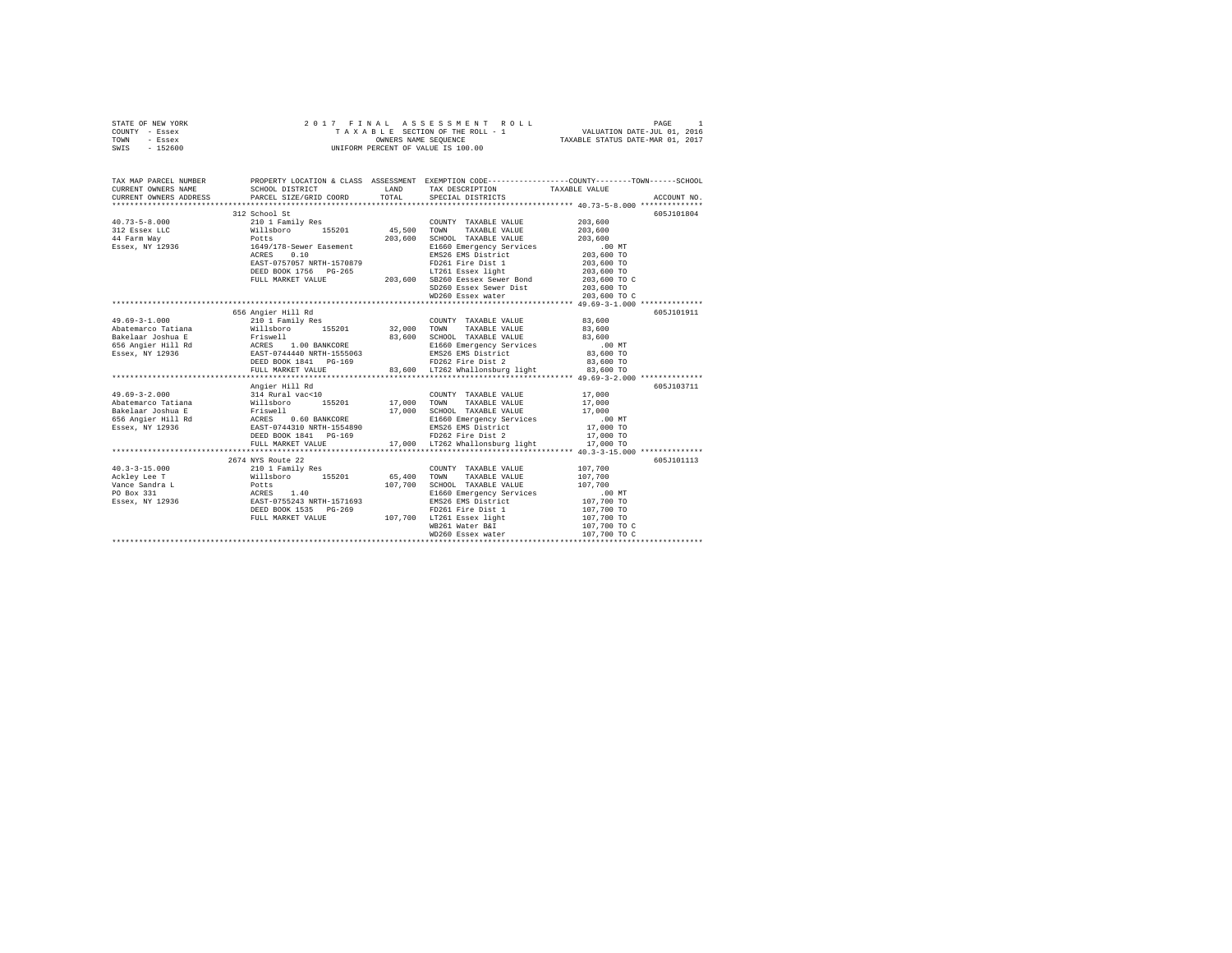| TOWN<br>- Essex<br>SWIS<br>$-152600$ | OWNERS NAME SEQUENCE<br>UNIFORM PERCENT OF VALUE IS 100.00                                                                                                                                                                    |         |                                               | TAXABLE STATUS DATE-MAR 01, 2017                                                               |  |
|--------------------------------------|-------------------------------------------------------------------------------------------------------------------------------------------------------------------------------------------------------------------------------|---------|-----------------------------------------------|------------------------------------------------------------------------------------------------|--|
|                                      |                                                                                                                                                                                                                               |         |                                               |                                                                                                |  |
|                                      |                                                                                                                                                                                                                               |         |                                               |                                                                                                |  |
| TAX MAP PARCEL NUMBER                |                                                                                                                                                                                                                               |         |                                               | PROPERTY LOCATION & CLASS ASSESSMENT EXEMPTION CODE---------------COUNTY-------TOWN-----SCHOOL |  |
| CURRENT OWNERS NAME                  | SCHOOL DISTRICT                                                                                                                                                                                                               | LAND    | TAX DESCRIPTION                               | TAXABLE VALUE                                                                                  |  |
| CURRENT OWNERS ADDRESS               | PARCEL SIZE/GRID COORD                                                                                                                                                                                                        | TOTAL   | SPECIAL DISTRICTS                             | ACCOUNT NO.                                                                                    |  |
|                                      |                                                                                                                                                                                                                               |         |                                               |                                                                                                |  |
|                                      | 312 School St                                                                                                                                                                                                                 |         |                                               | 605J101804                                                                                     |  |
| $40.73 - 5 - 8.000$                  | 210 1 Family Res                                                                                                                                                                                                              |         | COUNTY TAXABLE VALUE                          | 203,600                                                                                        |  |
| 312 Essex LLC                        | Willsboro 155201                                                                                                                                                                                                              | 45,500  | TOWN<br>TAXABLE VALUE                         | 203,600                                                                                        |  |
| 44 Farm Way                          | Potts                                                                                                                                                                                                                         | 203,600 | SCHOOL TAXABLE VALUE                          | 203,600                                                                                        |  |
| Essex, NY 12936                      | 1649/178-Sewer Easement                                                                                                                                                                                                       |         | E1660 Emergency Services                      | .00 MT                                                                                         |  |
|                                      | 0.10<br>ACRES                                                                                                                                                                                                                 |         | EMS26 EMS District                            | 203,600 TO                                                                                     |  |
|                                      | EAST-0757057 NRTH-1570879                                                                                                                                                                                                     |         | FD261 Fire Dist 1<br>LT261 Essex light        | 203,600 TO                                                                                     |  |
|                                      | DEED BOOK 1756 PG-265                                                                                                                                                                                                         |         |                                               | 203,600 TO                                                                                     |  |
|                                      | FULL MARKET VALUE                                                                                                                                                                                                             | 203,600 | SB260 Eessex Sewer Bond                       | 203,600 TO C                                                                                   |  |
|                                      |                                                                                                                                                                                                                               |         | SD260 Essex Sewer Dist                        | 203,600 TO                                                                                     |  |
|                                      |                                                                                                                                                                                                                               |         | WD260 Essex water                             | 203,600 TO C                                                                                   |  |
|                                      |                                                                                                                                                                                                                               |         |                                               |                                                                                                |  |
|                                      | 656 Angier Hill Rd                                                                                                                                                                                                            |         |                                               | 605J101911                                                                                     |  |
| $49.69 - 3 - 1.000$                  | 210 1 Family Res                                                                                                                                                                                                              |         | COUNTY TAXABLE VALUE                          | 83,600                                                                                         |  |
| Abatemarco Tatiana                   | Willsboro 155201                                                                                                                                                                                                              | 32,000  | TAXABLE VALUE<br>TOWN                         | 83,600                                                                                         |  |
| Bakelaar Joshua E                    | Friswell                                                                                                                                                                                                                      | 83,600  | SCHOOL TAXABLE VALUE                          | 83,600                                                                                         |  |
|                                      | Exercise and the community of the service of the service of the service of the service of the service of the service of the service of the service of the service of the service of the service of the service of the service |         | E1660 Emergency Services                      | $.00$ MT                                                                                       |  |
| Essex, NY 12936                      |                                                                                                                                                                                                                               |         | EMS26 EMS District                            | 83,600 TO                                                                                      |  |
|                                      | DEED BOOK 1841 PG-169                                                                                                                                                                                                         |         | FD262 Fire Dist 2                             | 83,600 TO                                                                                      |  |
|                                      | FULL MARKET VALUE                                                                                                                                                                                                             |         | $83,600$ LT262 Whallonsburg light $83,600$ TO |                                                                                                |  |
|                                      |                                                                                                                                                                                                                               |         |                                               |                                                                                                |  |
|                                      | Angier Hill Rd                                                                                                                                                                                                                |         |                                               | 605J103711                                                                                     |  |
| $49.69 - 3 - 2.000$                  | 314 Rural vac<10                                                                                                                                                                                                              |         | COUNTY TAXABLE VALUE                          | 17,000                                                                                         |  |
| Abatemarco Tatiana                   | Willsboro<br>155201                                                                                                                                                                                                           | 17,000  | TOWN<br>TAXABLE VALUE                         | 17,000                                                                                         |  |
| Bakelaar Joshua E                    | Friswell<br>ACRES 0.60 BANKCORE                                                                                                                                                                                               | 17,000  | SCHOOL TAXABLE VALUE                          | 17,000                                                                                         |  |
| 656 Angier Hill Rd                   |                                                                                                                                                                                                                               |         | E1660 Emergency Services                      | $.00$ MT                                                                                       |  |
| Essex, NY 12936                      | EAST-0744310 NRTH-1554890                                                                                                                                                                                                     |         | EMS26 EMS District<br>FD262 Fire Dist 2       | 17,000 TO                                                                                      |  |
|                                      | DEED BOOK 1841 PG-169                                                                                                                                                                                                         |         |                                               | 17,000 TO                                                                                      |  |
|                                      | FULL MARKET VALUE                                                                                                                                                                                                             |         | 17,000 LT262 Whallonsburg light               | 17,000 TO                                                                                      |  |
|                                      | 2674 NYS Route 22                                                                                                                                                                                                             |         |                                               | 605J101113                                                                                     |  |
| $40.3 - 3 - 15.000$                  | 210 1 Family Res                                                                                                                                                                                                              |         | COUNTY TAXABLE VALUE                          | 107,700                                                                                        |  |
| Ackley Lee T                         | 155201<br>Willsboro                                                                                                                                                                                                           | 65,400  | TOWN<br>TAXABLE VALUE                         | 107,700                                                                                        |  |
| Vance Sandra L                       | Willsk<br>Potts                                                                                                                                                                                                               | 107,700 | SCHOOL TAXABLE VALUE                          | 107,700                                                                                        |  |
| PO Box 331                           |                                                                                                                                                                                                                               |         | E1660 Emergency Services                      | $.00$ MT                                                                                       |  |
| Essex, NY 12936                      | ACRES 1.40<br>EAST-0755243 NRTH-1571693                                                                                                                                                                                       |         | EMS26 EMS District                            | 107,700 TO                                                                                     |  |
|                                      | DEED BOOK 1535 PG-269                                                                                                                                                                                                         |         | FD261 Fire Dist 1                             | 107,700 TO                                                                                     |  |
|                                      | FULL MARKET VALUE                                                                                                                                                                                                             |         | 107,700 LT261 Essex light                     | 107,700 TO                                                                                     |  |
|                                      |                                                                                                                                                                                                                               |         | WB261 Water B&I                               | 107,700 TO C                                                                                   |  |
|                                      |                                                                                                                                                                                                                               |         | WD260 Essex water                             | 107,700 TO C                                                                                   |  |
|                                      |                                                                                                                                                                                                                               |         |                                               |                                                                                                |  |
|                                      |                                                                                                                                                                                                                               |         |                                               |                                                                                                |  |

STATE OF NEW YORK 2 0 1 7 F I N A L A S S E S S M E N T R O L L PAGE 1 COUNTY - Essex T A X A B L E SECTION OF THE ROLL - 1 VALUATION DATE-JUL 01, 2016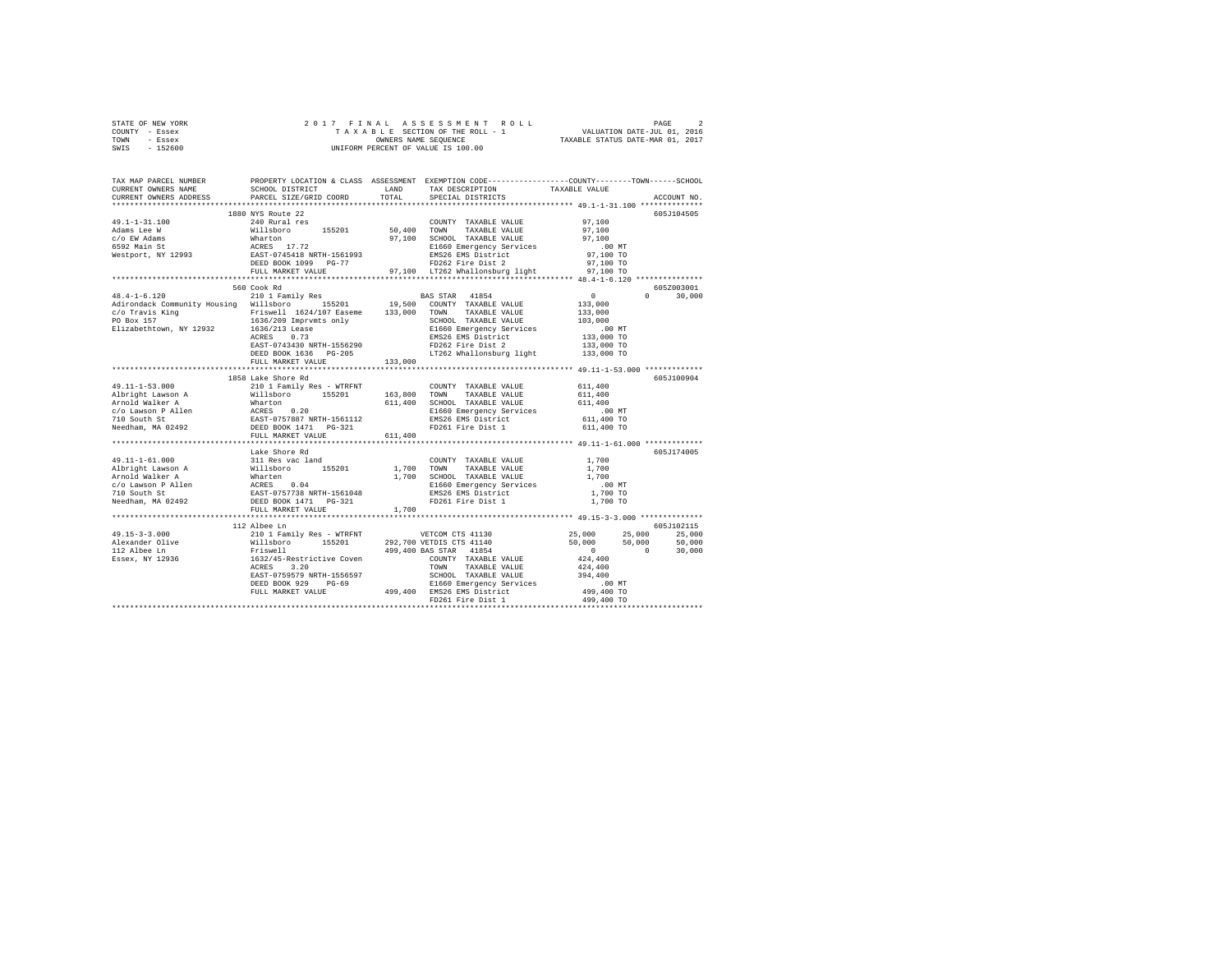| STATE OF NEW YORK | 2017 FINAL ASSESSMENT ROLL         | PAGE                             |
|-------------------|------------------------------------|----------------------------------|
| COUNTY - Essex    | TAXABLE SECTION OF THE ROLL - 1    | VALUATION DATE-JUL 01, 2016      |
| TOWN<br>- Essex   | OWNERS NAME SEOUENCE               | TAXABLE STATUS DATE-MAR 01, 2017 |
| - 152600<br>SWIS  | UNIFORM PERCENT OF VALUE IS 100.00 |                                  |

| TAX MAP PARCEL NUMBER<br>CURRENT OWNERS NAME<br>CURRENT OWNERS ADDRESS                                                                                                                                                                             | SCHOOL DISTRICT<br>PARCEL SIZE/GRID COORD                                                                                                                                                                                              | LAND<br>TOTAL | PROPERTY LOCATION & CLASS ASSESSMENT EXEMPTION CODE---------------COUNTY-------TOWN-----SCHOOL<br>TAX DESCRIPTION<br>SPECIAL DISTRICTS | TAXABLE VALUE            | ACCOUNT NO.   |
|----------------------------------------------------------------------------------------------------------------------------------------------------------------------------------------------------------------------------------------------------|----------------------------------------------------------------------------------------------------------------------------------------------------------------------------------------------------------------------------------------|---------------|----------------------------------------------------------------------------------------------------------------------------------------|--------------------------|---------------|
|                                                                                                                                                                                                                                                    | ***************************                                                                                                                                                                                                            |               |                                                                                                                                        |                          |               |
| $49.1 - 1 - 31.100$                                                                                                                                                                                                                                | 1880 NYS Route 22                                                                                                                                                                                                                      |               | COUNTY TAXABLE VALUE                                                                                                                   |                          | 605J104505    |
| Adams Lee W                                                                                                                                                                                                                                        |                                                                                                                                                                                                                                        |               |                                                                                                                                        |                          |               |
| c/o EW Adams                                                                                                                                                                                                                                       |                                                                                                                                                                                                                                        |               |                                                                                                                                        |                          |               |
| с/о EW Agams<br>6592 Main St<br>Westport, NY 12993                                                                                                                                                                                                 |                                                                                                                                                                                                                                        |               |                                                                                                                                        |                          |               |
|                                                                                                                                                                                                                                                    |                                                                                                                                                                                                                                        |               |                                                                                                                                        |                          |               |
|                                                                                                                                                                                                                                                    |                                                                                                                                                                                                                                        |               |                                                                                                                                        |                          |               |
|                                                                                                                                                                                                                                                    |                                                                                                                                                                                                                                        |               |                                                                                                                                        |                          |               |
|                                                                                                                                                                                                                                                    |                                                                                                                                                                                                                                        |               |                                                                                                                                        |                          |               |
|                                                                                                                                                                                                                                                    | 560 Cook Rd                                                                                                                                                                                                                            |               |                                                                                                                                        |                          | 605Z003001    |
|                                                                                                                                                                                                                                                    |                                                                                                                                                                                                                                        |               |                                                                                                                                        | $\sim$ 0 $\sim$          | $0 \t 30,000$ |
|                                                                                                                                                                                                                                                    |                                                                                                                                                                                                                                        |               |                                                                                                                                        | 133,000                  |               |
|                                                                                                                                                                                                                                                    |                                                                                                                                                                                                                                        |               |                                                                                                                                        | 133,000                  |               |
|                                                                                                                                                                                                                                                    |                                                                                                                                                                                                                                        |               |                                                                                                                                        | 103,000                  |               |
|                                                                                                                                                                                                                                                    |                                                                                                                                                                                                                                        |               |                                                                                                                                        | 00 MT.<br>133,000 TO     |               |
|                                                                                                                                                                                                                                                    |                                                                                                                                                                                                                                        |               |                                                                                                                                        |                          |               |
|                                                                                                                                                                                                                                                    |                                                                                                                                                                                                                                        |               |                                                                                                                                        | 133,000 TO<br>133,000 TO |               |
|                                                                                                                                                                                                                                                    |                                                                                                                                                                                                                                        |               |                                                                                                                                        |                          |               |
|                                                                                                                                                                                                                                                    | FULL MARKET VALUE                                                                                                                                                                                                                      | 133,000       |                                                                                                                                        |                          |               |
|                                                                                                                                                                                                                                                    |                                                                                                                                                                                                                                        |               |                                                                                                                                        |                          |               |
|                                                                                                                                                                                                                                                    | 1858 Lake Shore Rd                                                                                                                                                                                                                     |               |                                                                                                                                        |                          | 605J100904    |
|                                                                                                                                                                                                                                                    |                                                                                                                                                                                                                                        |               |                                                                                                                                        | 611,400                  |               |
|                                                                                                                                                                                                                                                    |                                                                                                                                                                                                                                        |               |                                                                                                                                        | 611,400                  |               |
|                                                                                                                                                                                                                                                    |                                                                                                                                                                                                                                        |               |                                                                                                                                        | 611,400                  |               |
|                                                                                                                                                                                                                                                    |                                                                                                                                                                                                                                        |               |                                                                                                                                        | .00 MT                   |               |
|                                                                                                                                                                                                                                                    |                                                                                                                                                                                                                                        |               | FD261 Fire Dist 1 611,400 TO                                                                                                           | 611,400 TO               |               |
|                                                                                                                                                                                                                                                    |                                                                                                                                                                                                                                        |               |                                                                                                                                        |                          |               |
|                                                                                                                                                                                                                                                    | FULL MARKET VALUE                                                                                                                                                                                                                      | 611,400       |                                                                                                                                        |                          |               |
|                                                                                                                                                                                                                                                    | Lake Shore Rd                                                                                                                                                                                                                          |               |                                                                                                                                        |                          | 605J174005    |
|                                                                                                                                                                                                                                                    |                                                                                                                                                                                                                                        |               |                                                                                                                                        |                          |               |
|                                                                                                                                                                                                                                                    |                                                                                                                                                                                                                                        |               |                                                                                                                                        |                          |               |
|                                                                                                                                                                                                                                                    |                                                                                                                                                                                                                                        |               |                                                                                                                                        |                          |               |
|                                                                                                                                                                                                                                                    |                                                                                                                                                                                                                                        |               |                                                                                                                                        | $.00$ MT                 |               |
| 49.11-1-61.000<br>Albright Lawson A 311 Res vac land<br>Arbright Lawson A Willshoro<br>Arnold Walker A Wharten<br>2010 SCHOOL TAXABLE VALUE<br>2010 South St.<br>2010 South St.<br>2010 South St.<br>2010 South St.<br>2010 South St.<br>2010 Sout |                                                                                                                                                                                                                                        |               |                                                                                                                                        | 00 MT.<br>1,700 TO       |               |
|                                                                                                                                                                                                                                                    |                                                                                                                                                                                                                                        |               |                                                                                                                                        | 1,700 TO                 |               |
|                                                                                                                                                                                                                                                    | FULL MARKET VALUE                                                                                                                                                                                                                      | 1,700         |                                                                                                                                        |                          |               |
|                                                                                                                                                                                                                                                    |                                                                                                                                                                                                                                        |               |                                                                                                                                        |                          |               |
|                                                                                                                                                                                                                                                    | 112 Albee Ln                                                                                                                                                                                                                           |               |                                                                                                                                        |                          | 605J102115    |
| $49.15 - 3 - 3.000$                                                                                                                                                                                                                                |                                                                                                                                                                                                                                        |               |                                                                                                                                        | 25,000 25,000            | 25,000        |
| Alexander Olive<br>112 Albee Ln                                                                                                                                                                                                                    |                                                                                                                                                                                                                                        |               |                                                                                                                                        | 50,000<br>50,000         | 50,000        |
|                                                                                                                                                                                                                                                    |                                                                                                                                                                                                                                        |               |                                                                                                                                        | $\sim$ 0                 | 30,000        |
| Essex, NY 12936                                                                                                                                                                                                                                    |                                                                                                                                                                                                                                        |               |                                                                                                                                        | 424,400                  |               |
|                                                                                                                                                                                                                                                    |                                                                                                                                                                                                                                        |               |                                                                                                                                        |                          |               |
|                                                                                                                                                                                                                                                    |                                                                                                                                                                                                                                        |               |                                                                                                                                        |                          |               |
|                                                                                                                                                                                                                                                    |                                                                                                                                                                                                                                        |               |                                                                                                                                        |                          |               |
|                                                                                                                                                                                                                                                    | ACRES 3.20<br>EAST-0759579 RRTH-1556597 SCHOOL TAXABLE VALUE 424,400<br>DEED BOOK 929 PG-69 SCHOOL TAXABLE VALUE 394,400<br>DEED BOOK 929 PG-69 B1660 Emergency Services .00 MT<br>PULL MARKET VALUE 499,400 EMS26 EMS District 499,40 |               |                                                                                                                                        |                          |               |
|                                                                                                                                                                                                                                                    |                                                                                                                                                                                                                                        |               | FD261 Fire Dist 1                                                                                                                      | 499,400 TO               |               |
|                                                                                                                                                                                                                                                    |                                                                                                                                                                                                                                        |               |                                                                                                                                        |                          |               |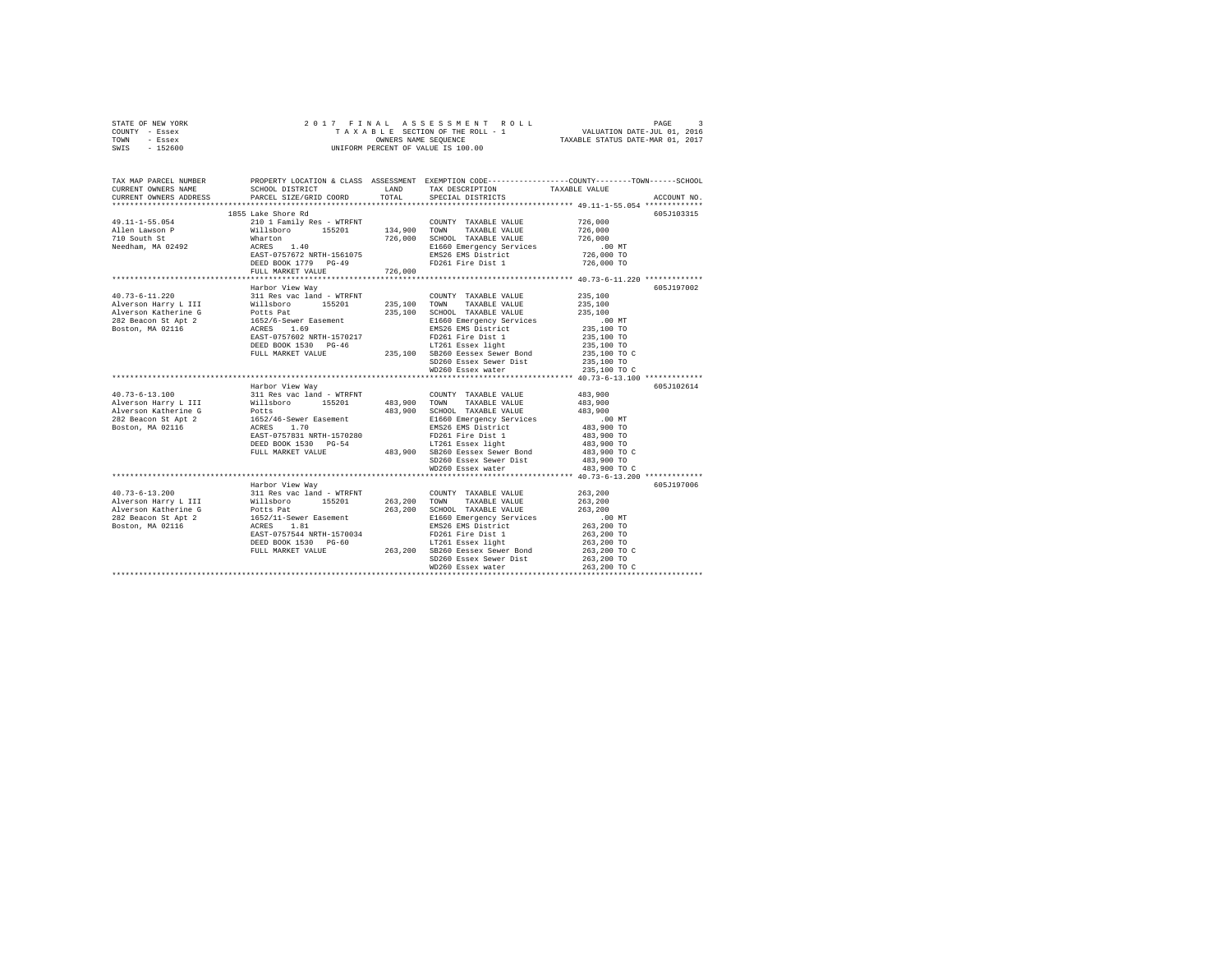| STATE OF NEW YORK | 2017 FINAL ASSESSMENT ROLL         | PAGE                             |
|-------------------|------------------------------------|----------------------------------|
| COUNTY - Essex    | TAXABLE SECTION OF THE ROLL - 1    | VALUATION DATE-JUL 01, 2016      |
| TOWN<br>- Essex   | OWNERS NAME SEOUENCE               | TAXABLE STATUS DATE-MAR 01, 2017 |
| - 152600<br>SWIS  | UNIFORM PERCENT OF VALUE IS 100.00 |                                  |

| TAX MAP PARCEL NUMBER<br>CURRENT OWNERS NAME<br>CURRENT OWNERS ADDRESS                                                                                                                                                                                                                                                                                                                                                                                   | SCHOOL DISTRICT<br>PARCEL SIZE/GRID COORD                                                                                                                                                                                                          | TOTAL                  | LAND TAX DESCRIPTION<br>SPECIAL DISTRICTS                           | PROPERTY LOCATION & CLASS ASSESSMENT EXEMPTION CODE---------------COUNTY-------TOWN------SCHOOL<br>TAXABLE VALUE<br>ACCOUNT NO. |
|----------------------------------------------------------------------------------------------------------------------------------------------------------------------------------------------------------------------------------------------------------------------------------------------------------------------------------------------------------------------------------------------------------------------------------------------------------|----------------------------------------------------------------------------------------------------------------------------------------------------------------------------------------------------------------------------------------------------|------------------------|---------------------------------------------------------------------|---------------------------------------------------------------------------------------------------------------------------------|
|                                                                                                                                                                                                                                                                                                                                                                                                                                                          |                                                                                                                                                                                                                                                    |                        |                                                                     |                                                                                                                                 |
|                                                                                                                                                                                                                                                                                                                                                                                                                                                          | 1855 Lake Shore Rd                                                                                                                                                                                                                                 |                        |                                                                     | 605J103315                                                                                                                      |
| 49.11-1-55.054                                                                                                                                                                                                                                                                                                                                                                                                                                           | 2010 1 Family Res - WTRFNT COUNTY TAXABLE VALUE 726,000<br>Willshoro 155201 134,900 TOWN TAXABLE VALUE 726,000<br>Willshoro 155201 726,000 SCHOOL TAXABLE VALUE 726,000                                                                            |                        |                                                                     |                                                                                                                                 |
| Allen Lawson P                                                                                                                                                                                                                                                                                                                                                                                                                                           |                                                                                                                                                                                                                                                    |                        |                                                                     |                                                                                                                                 |
| 710 South St                                                                                                                                                                                                                                                                                                                                                                                                                                             |                                                                                                                                                                                                                                                    |                        |                                                                     |                                                                                                                                 |
| Needham, MA 02492                                                                                                                                                                                                                                                                                                                                                                                                                                        |                                                                                                                                                                                                                                                    |                        | E1660 Emergency Services                                            |                                                                                                                                 |
|                                                                                                                                                                                                                                                                                                                                                                                                                                                          | Wharton<br>ACRES 1.40<br>EAST-0757672 NRTH-1561075                                                                                                                                                                                                 |                        | EMS26 EMS District                                                  | 00 MT.<br>726,000 TO                                                                                                            |
|                                                                                                                                                                                                                                                                                                                                                                                                                                                          | DEED BOOK 1779 PG-49                                                                                                                                                                                                                               | 726,000                | FD261 Fire Dist 1                                                   | 726,000 TO                                                                                                                      |
|                                                                                                                                                                                                                                                                                                                                                                                                                                                          | FULL MARKET VALUE                                                                                                                                                                                                                                  |                        |                                                                     |                                                                                                                                 |
|                                                                                                                                                                                                                                                                                                                                                                                                                                                          | *************************                                                                                                                                                                                                                          | ********************** |                                                                     | ******************** 40.73-6-11.220 **************                                                                              |
| $40.73 - 6 - 11.220$                                                                                                                                                                                                                                                                                                                                                                                                                                     | Harbor View Way<br>311 Res vac land - WTRFNT                                                                                                                                                                                                       |                        |                                                                     | 605J197002                                                                                                                      |
|                                                                                                                                                                                                                                                                                                                                                                                                                                                          |                                                                                                                                                                                                                                                    |                        | COUNTY TAXABLE VALUE 235,100<br>235,100 TOWN TAXABLE VALUE          | 235,100                                                                                                                         |
| Alverson Harry L III Millsboro 155201<br>Alverson Katherine G Potts Pat<br>282 Beacon St Apt 2 1652/6-Sewer Easement<br>Boston, MA 02116 1CRES 1.69                                                                                                                                                                                                                                                                                                      |                                                                                                                                                                                                                                                    |                        | 235.100 SCHOOL TAXABLE VALUE 435.100                                |                                                                                                                                 |
|                                                                                                                                                                                                                                                                                                                                                                                                                                                          |                                                                                                                                                                                                                                                    |                        |                                                                     |                                                                                                                                 |
|                                                                                                                                                                                                                                                                                                                                                                                                                                                          |                                                                                                                                                                                                                                                    |                        | E1660 Emergency Services<br>EMS26 EMS District                      | 00 MT.<br>235,100 TO                                                                                                            |
|                                                                                                                                                                                                                                                                                                                                                                                                                                                          |                                                                                                                                                                                                                                                    |                        |                                                                     | 235,100 TO                                                                                                                      |
|                                                                                                                                                                                                                                                                                                                                                                                                                                                          |                                                                                                                                                                                                                                                    |                        |                                                                     | 235,100 TO                                                                                                                      |
|                                                                                                                                                                                                                                                                                                                                                                                                                                                          |                                                                                                                                                                                                                                                    |                        |                                                                     |                                                                                                                                 |
|                                                                                                                                                                                                                                                                                                                                                                                                                                                          |                                                                                                                                                                                                                                                    |                        | SD260 Essex Sewer Dist                                              | 235,100 TO C<br>235,100 TO                                                                                                      |
|                                                                                                                                                                                                                                                                                                                                                                                                                                                          | NOTE: 1.69<br>EAST-0757602 NRTH-1570217<br>DEED BOOK 1530 PG-46<br>PEULL MARKET VALUE<br>PULL MARKET VALUE<br>PULL MARKET VALUE<br>PULL MARKET VALUE<br>PULL MARKET VALUE<br>MD260 Essex Never Dist<br>MD260 Essex Never Dist<br>MD260 Essex Never |                        | WD260 Essex water                                                   | 235,100 TO C                                                                                                                    |
|                                                                                                                                                                                                                                                                                                                                                                                                                                                          |                                                                                                                                                                                                                                                    |                        |                                                                     |                                                                                                                                 |
|                                                                                                                                                                                                                                                                                                                                                                                                                                                          | Harbor View Way                                                                                                                                                                                                                                    |                        |                                                                     | 605J102614                                                                                                                      |
|                                                                                                                                                                                                                                                                                                                                                                                                                                                          |                                                                                                                                                                                                                                                    |                        |                                                                     |                                                                                                                                 |
|                                                                                                                                                                                                                                                                                                                                                                                                                                                          |                                                                                                                                                                                                                                                    |                        |                                                                     |                                                                                                                                 |
|                                                                                                                                                                                                                                                                                                                                                                                                                                                          |                                                                                                                                                                                                                                                    |                        |                                                                     |                                                                                                                                 |
|                                                                                                                                                                                                                                                                                                                                                                                                                                                          |                                                                                                                                                                                                                                                    |                        |                                                                     | 00 MT.<br>483,900 TO                                                                                                            |
|                                                                                                                                                                                                                                                                                                                                                                                                                                                          |                                                                                                                                                                                                                                                    |                        |                                                                     |                                                                                                                                 |
|                                                                                                                                                                                                                                                                                                                                                                                                                                                          | EAST-0757831 NRTH-1570280 PD261 Fire Dist 1<br>DEED BOOK 1530 PG-54<br>FULL MARKET VALUB 483,900 SB260 Eessex Sewer Bond                                                                                                                           |                        |                                                                     | 483,900 TO                                                                                                                      |
|                                                                                                                                                                                                                                                                                                                                                                                                                                                          |                                                                                                                                                                                                                                                    |                        |                                                                     | 483,900 TO                                                                                                                      |
|                                                                                                                                                                                                                                                                                                                                                                                                                                                          |                                                                                                                                                                                                                                                    |                        |                                                                     | 483,900 TO C                                                                                                                    |
|                                                                                                                                                                                                                                                                                                                                                                                                                                                          |                                                                                                                                                                                                                                                    |                        | SD260 Essex Sewer Dist 483,900 TO<br>WD260 Essex water 483,900 TO C |                                                                                                                                 |
|                                                                                                                                                                                                                                                                                                                                                                                                                                                          |                                                                                                                                                                                                                                                    |                        |                                                                     |                                                                                                                                 |
|                                                                                                                                                                                                                                                                                                                                                                                                                                                          | Harbor View Wav                                                                                                                                                                                                                                    |                        |                                                                     | 605J197006                                                                                                                      |
| $40.73 - 6 - 13.200$                                                                                                                                                                                                                                                                                                                                                                                                                                     | $311$ Res vac land - WTRFNT                                                                                                                                                                                                                        |                        | COUNTY TAXABLE VALUE                                                | 263,200                                                                                                                         |
| Alverson Harry L III Willsboro 155201                                                                                                                                                                                                                                                                                                                                                                                                                    |                                                                                                                                                                                                                                                    |                        | 263,200 TOWN TAXABLE VALUE                                          | 263,200                                                                                                                         |
|                                                                                                                                                                                                                                                                                                                                                                                                                                                          |                                                                                                                                                                                                                                                    |                        |                                                                     | 263,200                                                                                                                         |
|                                                                                                                                                                                                                                                                                                                                                                                                                                                          |                                                                                                                                                                                                                                                    |                        |                                                                     | .00 MT                                                                                                                          |
|                                                                                                                                                                                                                                                                                                                                                                                                                                                          |                                                                                                                                                                                                                                                    |                        |                                                                     | <br>263,200 то<br>263,200 то                                                                                                    |
| ${\small \begin{tabular}{l c c c c c} \multicolumn{3}{c}{\textbf{A}}\n    \multicolumn{3}{c}{\textbf{A}}\n    \multicolumn{3}{c}{\textbf{A}}\n    \multicolumn{3}{c}{\textbf{A}}\n    \multicolumn{3}{c}{\textbf{A}}\n    \multicolumn{3}{c}{\textbf{A}}\n    \multicolumn{3}{c}{\textbf{A}}\n    \multicolumn{3}{c}{\textbf{A}}\n    \multicolumn{3}{c}{\textbf{A}}\n    \multicolumn{3}{c}{\textbf{A}}\n    \multicolumn{3}{c}{\textbf{A}}\n    \mult$ |                                                                                                                                                                                                                                                    |                        |                                                                     |                                                                                                                                 |
|                                                                                                                                                                                                                                                                                                                                                                                                                                                          |                                                                                                                                                                                                                                                    |                        |                                                                     | 263,200 TO                                                                                                                      |
|                                                                                                                                                                                                                                                                                                                                                                                                                                                          |                                                                                                                                                                                                                                                    |                        |                                                                     | 263,200 TO C                                                                                                                    |
|                                                                                                                                                                                                                                                                                                                                                                                                                                                          |                                                                                                                                                                                                                                                    |                        | SD260 Essex Sewer Dist                                              | 263,200 TO                                                                                                                      |
|                                                                                                                                                                                                                                                                                                                                                                                                                                                          |                                                                                                                                                                                                                                                    |                        | WD260 Essex water                                                   | 263,200 TO C                                                                                                                    |
|                                                                                                                                                                                                                                                                                                                                                                                                                                                          |                                                                                                                                                                                                                                                    |                        |                                                                     |                                                                                                                                 |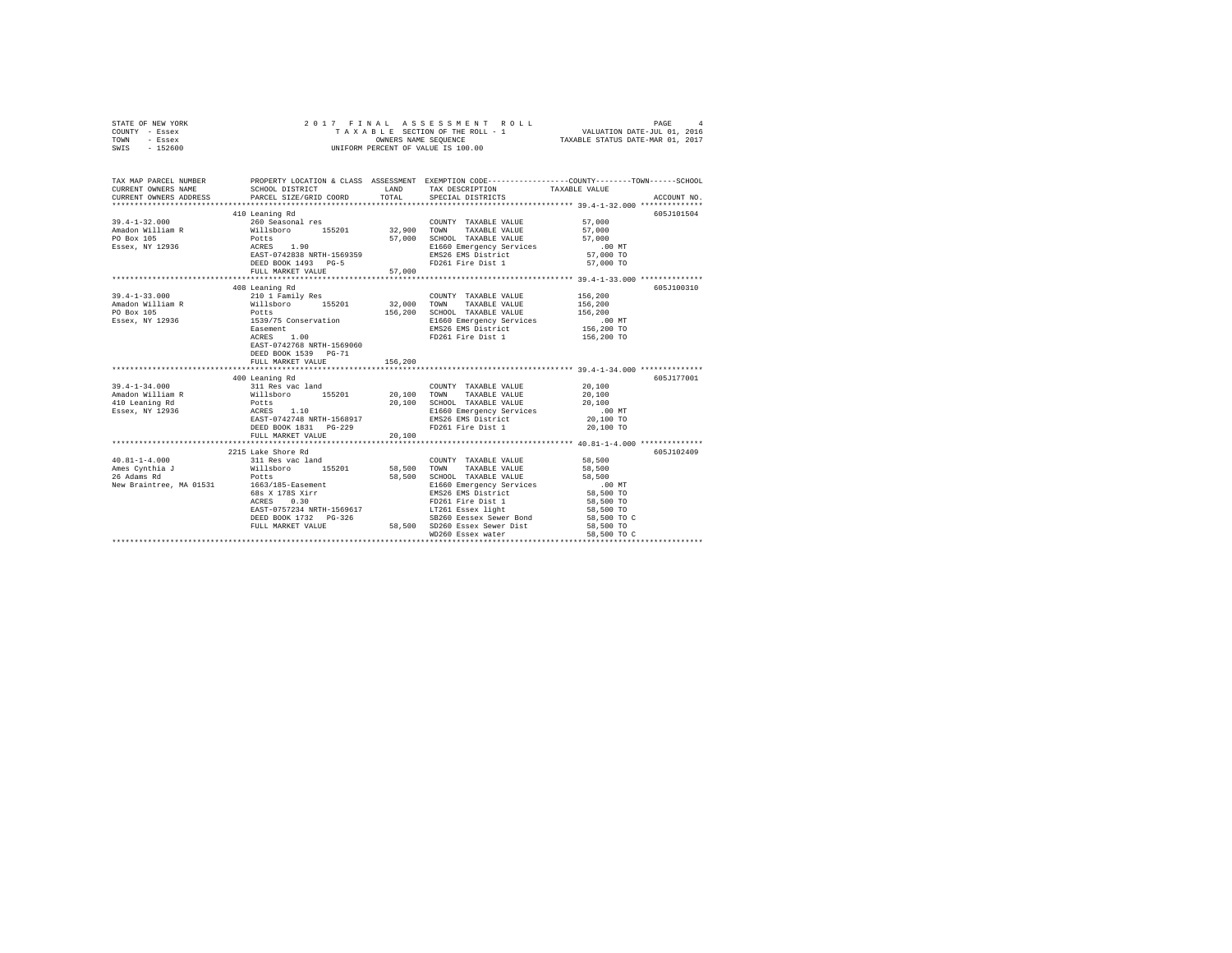| STATE OF NEW YORK | 2017 FINAL ASSESSMENT ROLL         | PAGE                             |
|-------------------|------------------------------------|----------------------------------|
| COUNTY - Essex    | TAXABLE SECTION OF THE ROLL - 1    | VALUATION DATE-JUL 01, 2016      |
| TOWN<br>- Essex   | OWNERS NAME SEOUENCE               | TAXABLE STATUS DATE-MAR 01, 2017 |
| $-152600$<br>SWIS | UNIFORM PERCENT OF VALUE IS 100.00 |                                  |

| TAX MAP PARCEL NUMBER<br>$\begin{tabular}{lllllllll} \texttt{CURRENT} & & & & & & & \texttt{TAXABLE} & \texttt{WALUE} & \\ \texttt{CURRENT} & & & & & & \texttt{CPEY (GFLT) & & & \texttt{TAXABLE} & \texttt{VALUE} & \\ \texttt{CURRENT} & & & & & & \texttt{PACEE} & \texttt{SPECIT, D} & \texttt{COCDD} & & & \texttt{TAXABLE} & \texttt{VALUE} & \\ & & & & & & \texttt{SPE1 (GFLT) & \texttt{SPE1 (GFLT) & \texttt{SPE1 (GFLT) & \texttt{SPE1 (GFLT)$ |                                                                                                                               |                    | PROPERTY LOCATION & CLASS ASSESSMENT EXEMPTION CODE----------------COUNTY-------TOWN-----SCHOOL                                                                                                                                                                                                |                                         |            |
|------------------------------------------------------------------------------------------------------------------------------------------------------------------------------------------------------------------------------------------------------------------------------------------------------------------------------------------------------------------------------------------------------------------------------------------------------------|-------------------------------------------------------------------------------------------------------------------------------|--------------------|------------------------------------------------------------------------------------------------------------------------------------------------------------------------------------------------------------------------------------------------------------------------------------------------|-----------------------------------------|------------|
| $39.4 - 1 - 32.000$<br>Amadon William R Willsboro 155201 32,900 TOWN<br>PO Box 105<br>PO Box 105<br>ESSEX, NY 12936<br>RAST-0742838 NRTH-1569359<br>RAST-0742838 NRTH-1569359                                                                                                                                                                                                                                                                              | 410 Leaning Rd<br>260 Seasonal res<br>EASI-0742000 NRILL 1000011<br>DEED BOOK 1493 PG-5<br>FULL MARKET VALUE 57,000           |                    | COUNTY TAXABLE VALUE 57,000<br>TAXABLE VALUE 57,000<br>57,000 SCHOOL TAXABLE VALUE 57,000 E1660 Emergency Services 57,000 E1660 EMS<br>EMS266 EMS District 57,000 TO EMS266 EMS District<br>FD261 Fire Dist 1                                                                                  | 57,000 TO                               | 605J101504 |
| $39.4 - 1 - 33.000$<br>1974-1978 1980<br>Amadon William R<br>2010 1979 1976 1977 12838 1200 128 1200 128 1200 128 156,200<br>20 Box 105<br>20 Box 105<br>20 Box 105<br>20 Box 105<br>20 Box 105<br>20 Box 105<br>20 Box 105<br>20 Box 105<br>20 Box 105<br>20 Box 105<br>20 Box                                                                                                                                                                            | 408 Leaning Rd<br>210 1 Family Res<br>1.00<br>ACRES<br>EAST-0742768 NRTH-1569060<br>DEED BOOK 1539 PG-71<br>FULL MARKET VALUE | 156,200            | COUNTY TAXABLE VALUE 156,200<br>FD261 Fire Dist 1                                                                                                                                                                                                                                              | 156,200 TO                              | 605J100310 |
|                                                                                                                                                                                                                                                                                                                                                                                                                                                            |                                                                                                                               |                    |                                                                                                                                                                                                                                                                                                |                                         |            |
| $39.4 - 1 - 34.000$<br>Amadon William R<br>Amadon William R<br>1990 100 20,100 7000 70000 20,100 50HOOL 70AXBLE VALUE<br>20,100 20000 20000 20000 20000 20000 20000 20000 20000 20000<br>2000 20000 20000 20000 20000 20000 20000 20000 20000 20000 20000 20                                                                                                                                                                                               | 400 Leaning Rd<br>311 Res vac land<br>EAST-0742748 NRTH-1568917<br>DEED BOOK 1831 PG-229<br>FULL MARKET VALUE                 | $3 - 229$ $20,100$ | COUNTY TAXABLE VALUE 20,100<br>20,100 SCHOOL TAXABLE VALUE 20,100<br>E1660 Emergency Services .00 MT<br>EMS26 EMS District 20,100 TO<br>FD261 Fire Dist 1                                                                                                                                      | 20,100 TO                               | 605J177001 |
|                                                                                                                                                                                                                                                                                                                                                                                                                                                            |                                                                                                                               |                    |                                                                                                                                                                                                                                                                                                |                                         |            |
| 40.81-1-4.000 311 Res vac land<br>26 Adams Rd<br>New Braintree, MA 01531 1663/185-Easement                                                                                                                                                                                                                                                                                                                                                                 | 2215 Lake Shore Rd<br>Potts<br>68s x 178S xirr<br>acres 0.30                                                                  |                    | COUNTY TAXABLE VALUE 58,500<br>TOWN<br>TAXABLE VALUE 58,500<br>SB260 Eessex Sewer Bond<br>${\tt DEED\ BOOK\ 1732\quad PG-326\qquad \qquad 58,500\quad SE260\  Eessex\  Sewer\  Dind\n\hbox{\tt FULL\ MARKET\ VALUE\qquad \qquad 58,500\quad SD260\  Essex\  Sewer\  Dist$<br>WD260 Essex water | 58,500 TO C<br>58,500 TO<br>58,500 TO C | 605J102409 |
|                                                                                                                                                                                                                                                                                                                                                                                                                                                            |                                                                                                                               |                    |                                                                                                                                                                                                                                                                                                |                                         |            |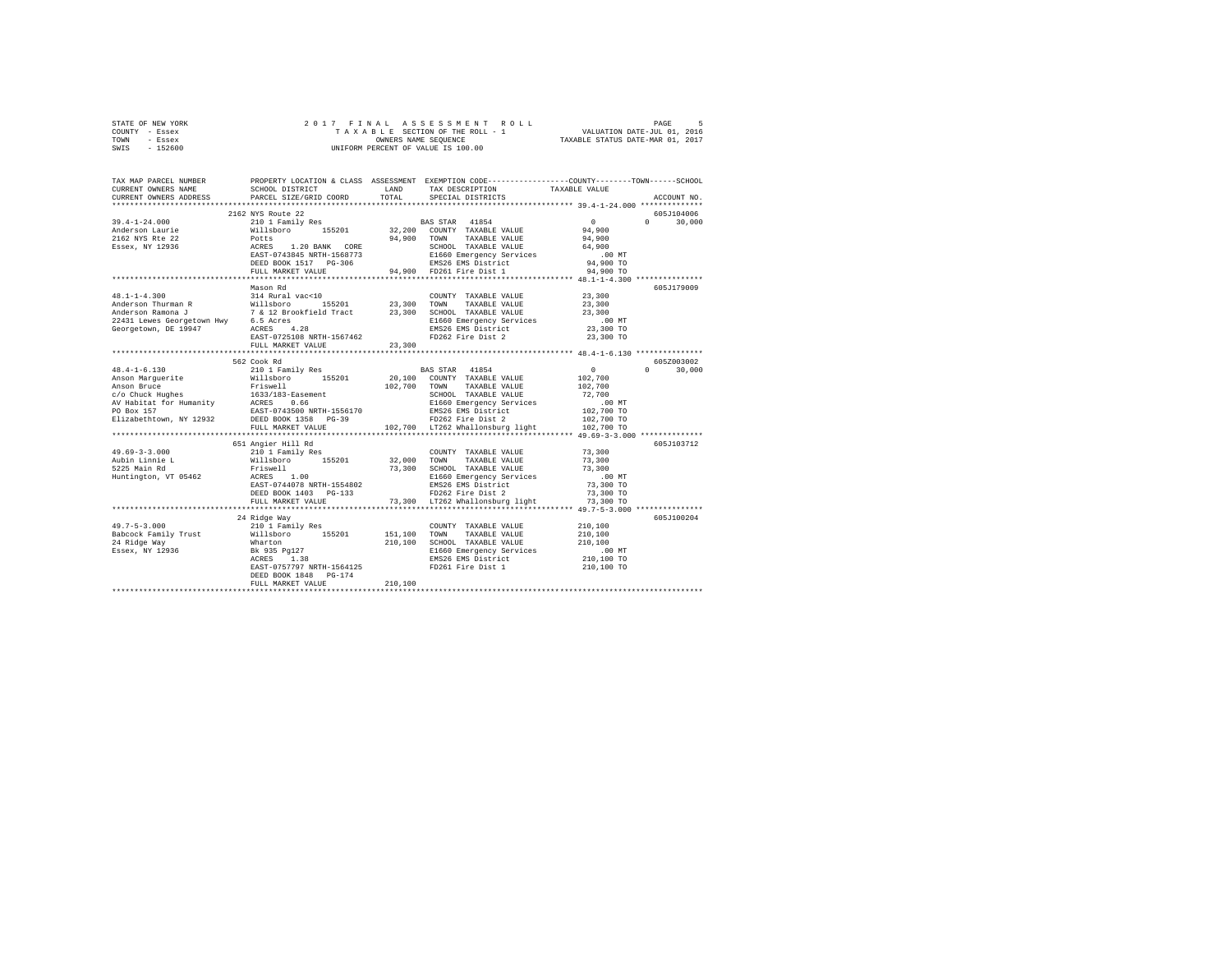| STATE OF NEW YORK                                                                                                                                                                                                                                                                                                                                                                                                                   |                                                    |  |                               |  |               |
|-------------------------------------------------------------------------------------------------------------------------------------------------------------------------------------------------------------------------------------------------------------------------------------------------------------------------------------------------------------------------------------------------------------------------------------|----------------------------------------------------|--|-------------------------------|--|---------------|
| COUNTY - Essex                                                                                                                                                                                                                                                                                                                                                                                                                      |                                                    |  |                               |  |               |
| TOWN - Essex                                                                                                                                                                                                                                                                                                                                                                                                                        |                                                    |  |                               |  |               |
| SWIS - 152600                                                                                                                                                                                                                                                                                                                                                                                                                       |                                                    |  |                               |  |               |
|                                                                                                                                                                                                                                                                                                                                                                                                                                     |                                                    |  |                               |  |               |
| TAX MAP PARCEL NUMBER PROPERTY LOCATION & CLASS ASSESSMENT EXEMPTION CODE---------------COUNTY-------TOWN------SCHOOL                                                                                                                                                                                                                                                                                                               |                                                    |  |                               |  |               |
| CURRENT OWNERS NAME                                                                                                                                                                                                                                                                                                                                                                                                                 | SCHOOL DISTRICT LAND                               |  | TAX DESCRIPTION TAXABLE VALUE |  |               |
| CURRENT OWNERS ADDRESS                                                                                                                                                                                                                                                                                                                                                                                                              | PARCEL SIZE/GRID COORD TOTAL                       |  | SPECIAL DISTRICTS             |  | ACCOUNT NO.   |
| *************************                                                                                                                                                                                                                                                                                                                                                                                                           |                                                    |  |                               |  |               |
|                                                                                                                                                                                                                                                                                                                                                                                                                                     | 2162 NYS Route 22                                  |  |                               |  | 605J104006    |
|                                                                                                                                                                                                                                                                                                                                                                                                                                     |                                                    |  |                               |  |               |
|                                                                                                                                                                                                                                                                                                                                                                                                                                     |                                                    |  |                               |  |               |
|                                                                                                                                                                                                                                                                                                                                                                                                                                     |                                                    |  |                               |  |               |
|                                                                                                                                                                                                                                                                                                                                                                                                                                     |                                                    |  |                               |  |               |
| $\begin{array}{cccccccc} 39.4-1-24.000 & 2162\textrm{ NS} & \text{Rule 22} & 0 & 0 & 30,000\\ 2162\textrm{ NS} & 210 & 1 & \text{Family Res} & 94,900 & 0 & 30,000\\ 2162\textrm{ NNS} & 811 \textrm{sbor} & 155201 & 32,200 & \textrm{CONTY TAXABLE VALUE} & 94,900 & 0 & 30,000\\ 2162\textrm{ NNS} & 811 \textrm{sbor} & 94,900 & \textrm{TAX$                                                                                   |                                                    |  |                               |  |               |
|                                                                                                                                                                                                                                                                                                                                                                                                                                     |                                                    |  |                               |  |               |
|                                                                                                                                                                                                                                                                                                                                                                                                                                     |                                                    |  |                               |  |               |
|                                                                                                                                                                                                                                                                                                                                                                                                                                     |                                                    |  |                               |  |               |
|                                                                                                                                                                                                                                                                                                                                                                                                                                     | Mason Rd                                           |  |                               |  | 605J179009    |
| $48.1 - 1 - 4.300$                                                                                                                                                                                                                                                                                                                                                                                                                  | 314 Rural vac<10                                   |  | COUNTY TAXABLE VALUE 23,300   |  |               |
|                                                                                                                                                                                                                                                                                                                                                                                                                                     |                                                    |  |                               |  |               |
|                                                                                                                                                                                                                                                                                                                                                                                                                                     |                                                    |  |                               |  |               |
|                                                                                                                                                                                                                                                                                                                                                                                                                                     |                                                    |  |                               |  |               |
|                                                                                                                                                                                                                                                                                                                                                                                                                                     |                                                    |  |                               |  |               |
|                                                                                                                                                                                                                                                                                                                                                                                                                                     |                                                    |  |                               |  |               |
|                                                                                                                                                                                                                                                                                                                                                                                                                                     | FULL MARKET VALUE 23,300                           |  |                               |  |               |
|                                                                                                                                                                                                                                                                                                                                                                                                                                     |                                                    |  |                               |  |               |
|                                                                                                                                                                                                                                                                                                                                                                                                                                     | 562 Cook Rd                                        |  |                               |  | 605Z003002    |
|                                                                                                                                                                                                                                                                                                                                                                                                                                     |                                                    |  |                               |  | $0 \t 30,000$ |
|                                                                                                                                                                                                                                                                                                                                                                                                                                     |                                                    |  |                               |  |               |
|                                                                                                                                                                                                                                                                                                                                                                                                                                     |                                                    |  |                               |  |               |
|                                                                                                                                                                                                                                                                                                                                                                                                                                     |                                                    |  |                               |  |               |
|                                                                                                                                                                                                                                                                                                                                                                                                                                     |                                                    |  |                               |  |               |
|                                                                                                                                                                                                                                                                                                                                                                                                                                     |                                                    |  |                               |  |               |
| $\begin{tabular}{l c c c c c} \multicolumn{1}{c}{\textbf{48.4--1-6.130}} & \multicolumn{1}{c}{\textbf{562~}CO \times \textbf{Rd}} & \multicolumn{1}{c}{\textbf{562~}CO \times \textbf{Rd}} & \multicolumn{1}{c}{\textbf{562~}CO \times \textbf{Rd}} & \multicolumn{1}{c}{\textbf{562~}CO \times \textbf{Rd}} & \multicolumn{1}{c}{\textbf{562~}CO \times \textbf{Rd}} & \multicolumn{1}{c}{\textbf{562~}CO \times \textbf{Rd}} & \$ |                                                    |  |                               |  |               |
|                                                                                                                                                                                                                                                                                                                                                                                                                                     |                                                    |  |                               |  |               |
|                                                                                                                                                                                                                                                                                                                                                                                                                                     | 651 Angier Hill Rd                                 |  |                               |  | 605J103712    |
|                                                                                                                                                                                                                                                                                                                                                                                                                                     |                                                    |  |                               |  |               |
|                                                                                                                                                                                                                                                                                                                                                                                                                                     |                                                    |  |                               |  |               |
|                                                                                                                                                                                                                                                                                                                                                                                                                                     |                                                    |  |                               |  |               |
|                                                                                                                                                                                                                                                                                                                                                                                                                                     |                                                    |  |                               |  |               |
|                                                                                                                                                                                                                                                                                                                                                                                                                                     |                                                    |  |                               |  |               |
|                                                                                                                                                                                                                                                                                                                                                                                                                                     |                                                    |  |                               |  |               |
|                                                                                                                                                                                                                                                                                                                                                                                                                                     |                                                    |  |                               |  |               |
|                                                                                                                                                                                                                                                                                                                                                                                                                                     |                                                    |  |                               |  |               |
|                                                                                                                                                                                                                                                                                                                                                                                                                                     | 24 Ridge Way                                       |  |                               |  | 605J100204    |
| $\begin{tabular}{l c c c c c} \multicolumn{3}{c c c c} \multicolumn{3}{c c c} \multicolumn{3}{c c c} \multicolumn{3}{c c c} \multicolumn{3}{c c c} \multicolumn{3}{c c c} \multicolumn{3}{c c c} \multicolumn{3}{c c c} \multicolumn{3}{c c c} \multicolumn{3}{c c c} \multicolumn{3}{c c c} \multicolumn{3}{c c c} \multicolumn{3}{c c c} \multicolumn{3}{c c c} \multicolumn{3}{c c c} \multicolumn{$                             |                                                    |  |                               |  |               |
|                                                                                                                                                                                                                                                                                                                                                                                                                                     |                                                    |  |                               |  |               |
|                                                                                                                                                                                                                                                                                                                                                                                                                                     |                                                    |  |                               |  |               |
|                                                                                                                                                                                                                                                                                                                                                                                                                                     |                                                    |  |                               |  |               |
|                                                                                                                                                                                                                                                                                                                                                                                                                                     |                                                    |  |                               |  |               |
|                                                                                                                                                                                                                                                                                                                                                                                                                                     |                                                    |  |                               |  |               |
|                                                                                                                                                                                                                                                                                                                                                                                                                                     | DEED BOOK 1848 PG-174<br>FULL MARKET VALUE 210,100 |  |                               |  |               |
|                                                                                                                                                                                                                                                                                                                                                                                                                                     |                                                    |  |                               |  |               |
|                                                                                                                                                                                                                                                                                                                                                                                                                                     |                                                    |  |                               |  |               |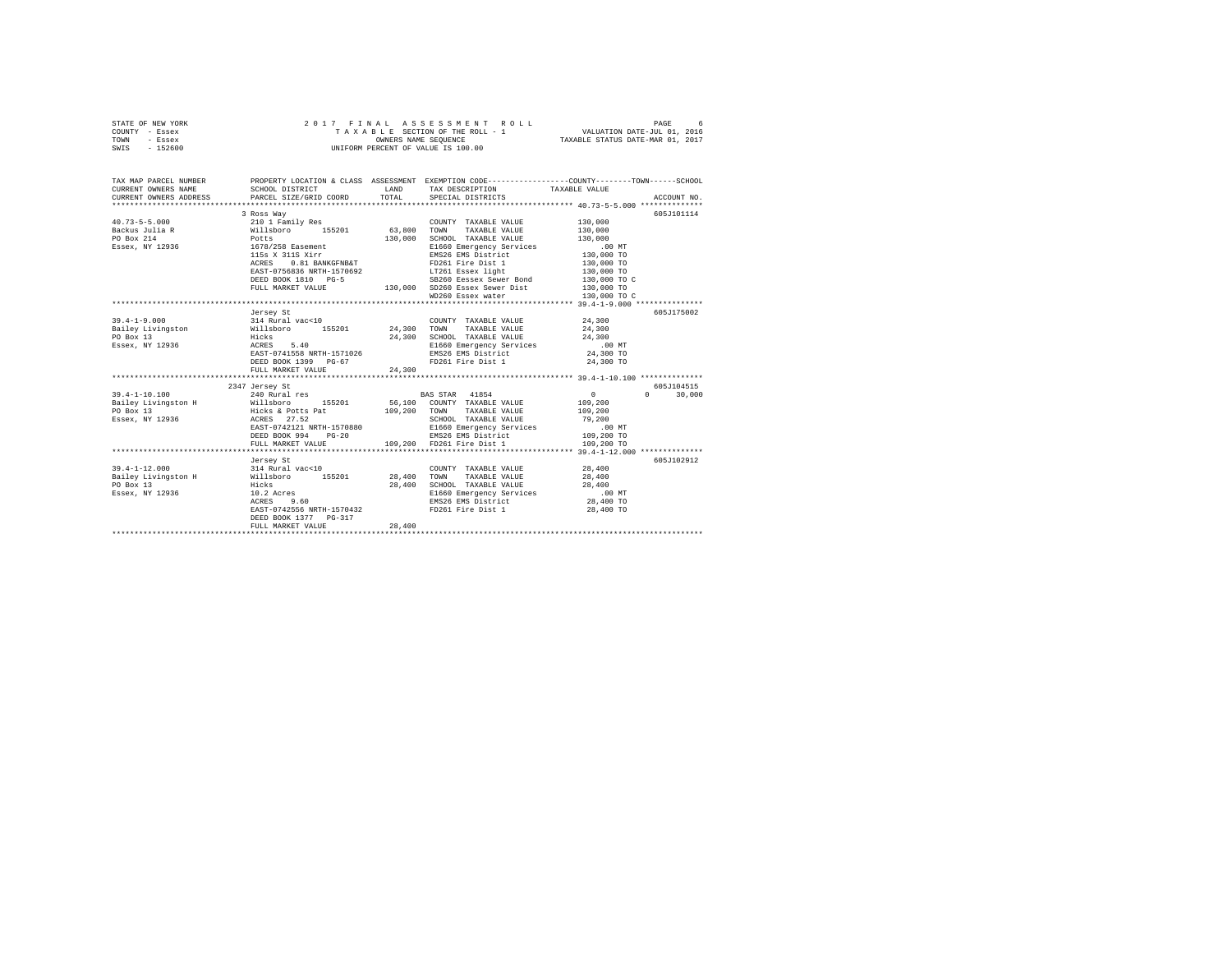| STATE OF NEW YORK<br>COUNTY - Essex<br>TOWN<br>- Essex<br>$-152600$<br>SWIS |                                              | 2017 FINAL ASSESSMENT ROLL<br>TAXABLE SECTION OF THE ROLL - 1<br>OWNERS NAME SEQUENCE<br>UNIFORM PERCENT OF VALUE IS 100.00 | PAGE<br>6<br>VALUATION DATE-JUL 01, 2016<br>TAXABLE STATUS DATE-MAR 01, 2017        |
|-----------------------------------------------------------------------------|----------------------------------------------|-----------------------------------------------------------------------------------------------------------------------------|-------------------------------------------------------------------------------------|
| TAX MAP PARCEL NUMBER<br>CURRENT OWNERS NAME                                | PROPERTY LOCATION & CLASS<br>SCHOOL DISTRICT | ASSESSMENT<br>TAX DESCRIPTION<br>LAND                                                                                       | EXEMPTION CODE----------------COUNTY-------TOWN-----<br>$-SCHOOF.$<br>TAXABLE VALUE |

| conners christia name                                                | - SCHOOD DISINICI                                                            | <b>LAND</b> | <b>IAA</b> DESCRIPTION                                                                                                           |                            |                    |
|----------------------------------------------------------------------|------------------------------------------------------------------------------|-------------|----------------------------------------------------------------------------------------------------------------------------------|----------------------------|--------------------|
| CURRENT OWNERS ADDRESS                                               | PARCEL SIZE/GRID COORD                                                       | TOTAL       | SPECIAL DISTRICTS                                                                                                                |                            | ACCOUNT NO.        |
|                                                                      |                                                                              |             |                                                                                                                                  |                            |                    |
|                                                                      | 3 Ross Way                                                                   |             |                                                                                                                                  |                            | 605J101114         |
| $40.73 - 5 - 5.000$                                                  | 210 1 Family Res                                                             |             | COUNTY TAXABLE VALUE                                                                                                             | 130,000                    |                    |
| Backus Julia R                                                       | Willsboro 155201 63,800                                                      |             | TOWN TAXABLE VALUE                                                                                                               | 130,000                    |                    |
| PO Box 214                                                           | Potts                                                                        | 130,000     |                                                                                                                                  |                            |                    |
| Essex, NY 12936 1678/258 Easement                                    |                                                                              |             |                                                                                                                                  |                            |                    |
|                                                                      | 115s X 311S Xirr                                                             |             |                                                                                                                                  |                            |                    |
|                                                                      | 0.81 BANKGFNB&T<br>ACRES                                                     |             | COWN<br>SCHOOL TAXABLE VALUE<br>E1660 Emergency Services<br>-∩< ™× District 130,000 TO<br>130,000 TO<br>130,000 TO<br>130,000 TO |                            |                    |
|                                                                      | EAST-0756836 NRTH-1570692                                                    |             | LT261 Essex light 130,000 TO                                                                                                     |                            |                    |
|                                                                      | DEED BOOK 1810 PG-5                                                          |             | SB260 Eessex Sewer Bond 130,000 TO C                                                                                             |                            |                    |
|                                                                      | FULL MARKET VALUE                                                            |             | 130,000 SD260 Essex Sewer Dist<br>WD260 Essex water                                                                              |                            |                    |
|                                                                      |                                                                              |             |                                                                                                                                  | 130,000 TO<br>130,000 TO C |                    |
|                                                                      |                                                                              |             |                                                                                                                                  |                            |                    |
|                                                                      | Jersey St                                                                    |             |                                                                                                                                  |                            | 605J175002         |
| $39.4 - 1 - 9.000$                                                   |                                                                              |             | COUNTY TAXABLE VALUE                                                                                                             | 24,300                     |                    |
| Bailey Livingston                                                    | 314 Rural vac<10 COUNT<br>Willsboro 155201 24,300 TOWN<br>Hicks 24,300 SCHOO |             | TAXABLE VALUE                                                                                                                    | 24,300                     |                    |
| PO Box 13                                                            |                                                                              |             | SCHOOL TAXABLE VALUE                                                                                                             | 24,300                     |                    |
| Essex, NY 12936                                                      | ACRES<br>5.40                                                                |             | E1660 Emergency Services .00 MT                                                                                                  |                            |                    |
|                                                                      | EAST-0741558 NRTH-1571026                                                    |             | EMS26 EMS District                                                                                                               | 24,300 TO                  |                    |
|                                                                      | DEED BOOK 1399 PG-67                                                         |             | FD261 Fire Dist 1                                                                                                                | 24,300 TO                  |                    |
|                                                                      | FULL MARKET VALUE                                                            | 24,300      |                                                                                                                                  |                            |                    |
|                                                                      |                                                                              |             |                                                                                                                                  |                            |                    |
|                                                                      | 2347 Jersey St                                                               |             |                                                                                                                                  |                            | 605J104515         |
| $39.4 - 1 - 10.100$                                                  | 240 Rural res                                                                |             | BAS STAR 41854                                                                                                                   | 0                          | $\Omega$<br>30,000 |
| Bailey Livingston H are Willshoro 155201 56,100 COUNTY TAXABLE VALUE |                                                                              |             |                                                                                                                                  | 109,200                    |                    |
| PO Box 13                                                            | Hicks & Potts Pat 109,200 TOWN                                               |             | TAXABLE VALUE                                                                                                                    | 109,200                    |                    |
| Essex, NY 12936                                                      | 27.52<br>ACRES                                                               |             | SCHOOL TAXABLE VALUE                                                                                                             | 79,200                     |                    |
|                                                                      |                                                                              |             |                                                                                                                                  |                            |                    |
|                                                                      |                                                                              |             |                                                                                                                                  |                            |                    |
|                                                                      |                                                                              |             |                                                                                                                                  |                            |                    |
|                                                                      |                                                                              |             |                                                                                                                                  |                            |                    |
|                                                                      | Jersey St                                                                    |             |                                                                                                                                  |                            | 605J102912         |
| $39.4 - 1 - 12.000$                                                  | 314 Rural vac<10                                                             |             | COUNTY TAXABLE VALUE                                                                                                             | 28,400                     |                    |
| Bailey Livingston H Millsboro 155201 28,400 TOWN TAXABLE VALUE       |                                                                              |             |                                                                                                                                  | 28,400                     |                    |
| PO Box 13                                                            | Hicks                                                                        | 28,400      | SCHOOL TAXABLE VALUE                                                                                                             | 28,400                     |                    |
| Essex, NY 12936                                                      |                                                                              |             |                                                                                                                                  |                            |                    |
|                                                                      | $10.2$ Acres                                                                 |             |                                                                                                                                  |                            |                    |
|                                                                      | EAST-0742556 NRTH-1570432                                                    |             | FD261 Fire Dist 1                                                                                                                | 28,400 TO                  |                    |
|                                                                      | DEED BOOK 1377 PG-317                                                        |             |                                                                                                                                  |                            |                    |
|                                                                      | FULL MARKET VALUE                                                            | 28,400      |                                                                                                                                  |                            |                    |
|                                                                      |                                                                              |             |                                                                                                                                  |                            |                    |
|                                                                      |                                                                              |             |                                                                                                                                  |                            |                    |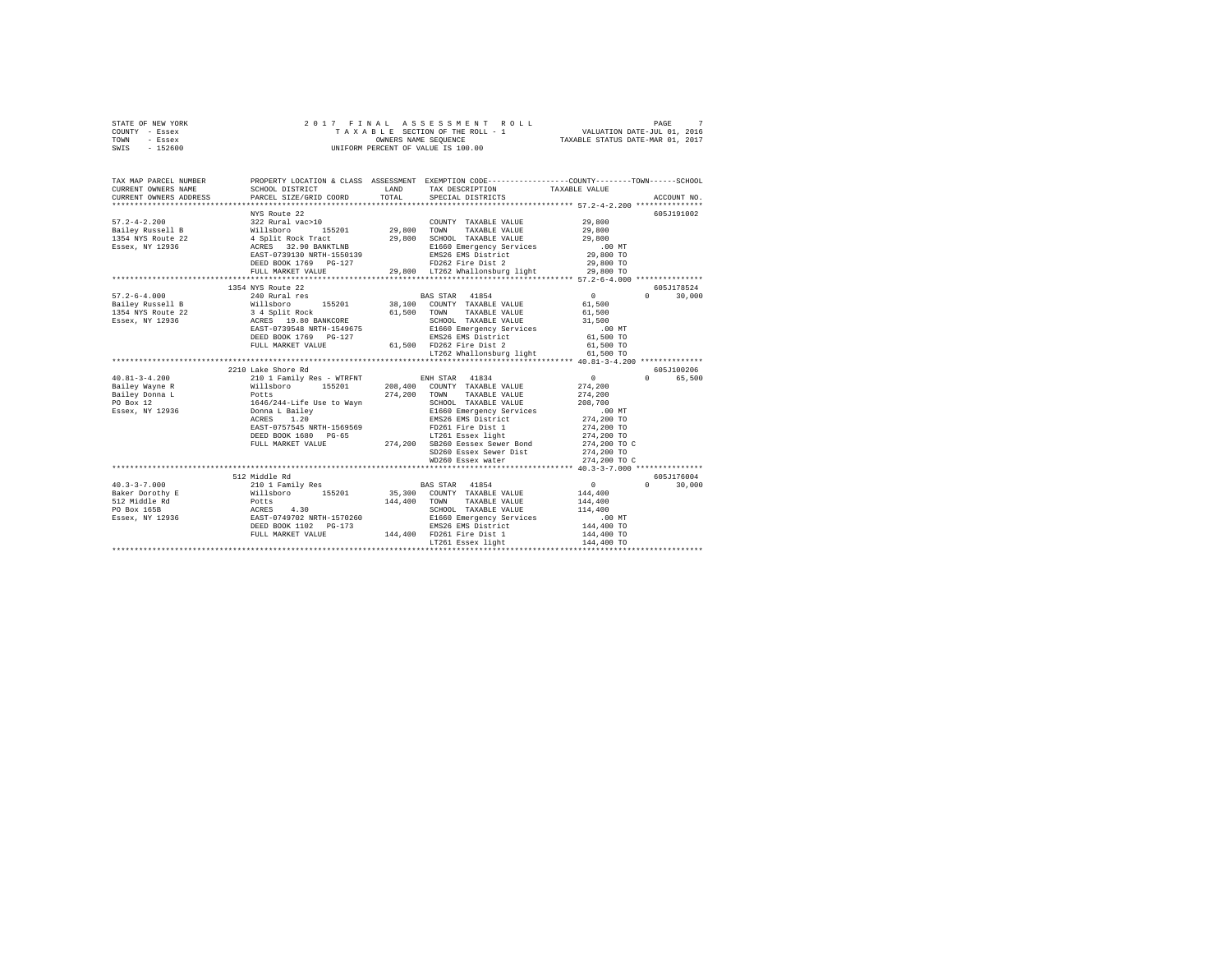| STATE OF NEW YORK | 2017 FINAL ASSESSMENT ROLL         | PAGE                             |
|-------------------|------------------------------------|----------------------------------|
| COUNTY - Essex    | TAXABLE SECTION OF THE ROLL - 1    | VALUATION DATE-JUL 01, 2016      |
| TOWN<br>- Essex   | OWNERS NAME SEOUENCE               | TAXABLE STATUS DATE-MAR 01, 2017 |
| - 152600<br>SWIS  | UNIFORM PERCENT OF VALUE IS 100.00 |                                  |

| TAX MAP PARCEL NUMBER<br>CURRENT OWNERS NAME<br>CURRENT OWNERS ADDRESS PARCEL SIZE/GRID COORD                                                                                                                                       | SCHOOL DISTRICT                                                                                                                                                                                   | LAND<br>TOTAL | TAX DESCRIPTION TAXABLE VALUE SPECIAL DISTRICTS                                                     | PROPERTY LOCATION & CLASS ASSESSMENT EXEMPTION CODE---------------COUNTY-------TOWN-----SCHOOL<br>ACCOUNT NO. |
|-------------------------------------------------------------------------------------------------------------------------------------------------------------------------------------------------------------------------------------|---------------------------------------------------------------------------------------------------------------------------------------------------------------------------------------------------|---------------|-----------------------------------------------------------------------------------------------------|---------------------------------------------------------------------------------------------------------------|
|                                                                                                                                                                                                                                     |                                                                                                                                                                                                   |               |                                                                                                     |                                                                                                               |
|                                                                                                                                                                                                                                     | NYS Route 22                                                                                                                                                                                      |               |                                                                                                     | 605J191002                                                                                                    |
|                                                                                                                                                                                                                                     |                                                                                                                                                                                                   |               | COUNTY TAXABLE VALUE                                                                                | 29,800                                                                                                        |
|                                                                                                                                                                                                                                     | vucking<br>155201 29,800 TOWN<br>ck Tract 29,800 SCH00                                                                                                                                            |               | TAXABLE VALUE<br>SCHOOL TAXABLE VALUE                                                               | 29,800                                                                                                        |
|                                                                                                                                                                                                                                     |                                                                                                                                                                                                   |               |                                                                                                     | 29,800                                                                                                        |
| 57, 2-4-2.200<br>Bailey Russell B = 822 Rural vac>10<br>Bailey Russell B = 842 = 85201 = 85201 = 89,800<br>1354 NYS Route 22 = 85210 BARYLANE = 89,800<br>ESSEX, NY 12936 = 85837-0739130 NRTH-1550139<br>ESST-0739130 NRTH-1550139 |                                                                                                                                                                                                   |               | E1660 Emergency Services .00 MT<br>E1660 Emergency Services .00 MT<br>EMS26 EMS District  29,800 TO |                                                                                                               |
|                                                                                                                                                                                                                                     | DEED BOOK 1769 PG-127                                                                                                                                                                             |               | EMS26 EMS District<br>FD262 Fire Dist 2                                                             | 29,800 TO                                                                                                     |
|                                                                                                                                                                                                                                     | FULL MARKET VALUE                                                                                                                                                                                 |               | 29,800 LT262 Whallonsburg light 29,800 TO                                                           |                                                                                                               |
|                                                                                                                                                                                                                                     |                                                                                                                                                                                                   |               |                                                                                                     |                                                                                                               |
|                                                                                                                                                                                                                                     | 1354 NYS Route 22                                                                                                                                                                                 |               |                                                                                                     | 605J178524                                                                                                    |
| $57.2 - 6 - 4.000$                                                                                                                                                                                                                  | 240 Rural res                                                                                                                                                                                     |               | BAS STAR 41854                                                                                      | $\sim$ 0<br>$\Omega$<br>30,000                                                                                |
|                                                                                                                                                                                                                                     |                                                                                                                                                                                                   |               |                                                                                                     |                                                                                                               |
|                                                                                                                                                                                                                                     |                                                                                                                                                                                                   |               |                                                                                                     |                                                                                                               |
|                                                                                                                                                                                                                                     |                                                                                                                                                                                                   |               |                                                                                                     |                                                                                                               |
|                                                                                                                                                                                                                                     | EAST-0739548 NRTH-1549675                                                                                                                                                                         |               | SCHOOL TAXABLE VALUE 31,500<br>E1660 Emergency Services .00 MT                                      |                                                                                                               |
|                                                                                                                                                                                                                                     | DEED BOOK 1769 PG-127                                                                                                                                                                             |               |                                                                                                     | 61,500 TO                                                                                                     |
|                                                                                                                                                                                                                                     | FULL MARKET VALUE                                                                                                                                                                                 |               | EMS26 EMS District<br>61,500 FD262 Fire Dist 2                                                      | 61,500 TO                                                                                                     |
|                                                                                                                                                                                                                                     |                                                                                                                                                                                                   |               | LT262 Whallonsburg light 61,500 TO                                                                  |                                                                                                               |
|                                                                                                                                                                                                                                     |                                                                                                                                                                                                   |               |                                                                                                     |                                                                                                               |
|                                                                                                                                                                                                                                     | 2210 Lake Shore Rd                                                                                                                                                                                |               |                                                                                                     | 605J100206                                                                                                    |
| $40.81 - 3 - 4.200$                                                                                                                                                                                                                 | 210 1 Family Res - WTRFNT BNH STAR 41834<br>Willsboro 155201 208,400 COUNTY TAXABLE                                                                                                               |               |                                                                                                     | $\sim$ 0<br>$\Omega$<br>65,500                                                                                |
| Bailey Wayne R                                                                                                                                                                                                                      |                                                                                                                                                                                                   |               | 208,400 COUNTY TAXABLE VALUE                                                                        | 274, 200                                                                                                      |
|                                                                                                                                                                                                                                     |                                                                                                                                                                                                   | 274,200 TOWN  | TAXABLE VALUE                                                                                       | 274,200                                                                                                       |
| Bailey Wayne R<br>Bailey Donna L<br>Polso X 12 1646/244-Life Use to Wayn<br>Essex, NY 12936 Donna L Bailey<br>RSES 1.20                                                                                                             |                                                                                                                                                                                                   |               | SCHOOL TAXABLE VALUE 208,700<br>E1660 Emergency Services .00 MT                                     |                                                                                                               |
|                                                                                                                                                                                                                                     |                                                                                                                                                                                                   |               |                                                                                                     |                                                                                                               |
|                                                                                                                                                                                                                                     |                                                                                                                                                                                                   |               | EMS26 EMS District 274,200 TO                                                                       |                                                                                                               |
|                                                                                                                                                                                                                                     |                                                                                                                                                                                                   |               |                                                                                                     | 274,200 TO                                                                                                    |
|                                                                                                                                                                                                                                     |                                                                                                                                                                                                   |               |                                                                                                     | 274,200 TO                                                                                                    |
|                                                                                                                                                                                                                                     | ACRES 1.20<br>EAST-0757545 NRTH-1569569 PD261 Fire Dist 1<br>DEED BOOK 1680 PG-65 1.724,200 SB260 Eeseex Sewer Bond<br>FULL MARKET VALUE 274,200 SB260 Essex Sewer Dist<br>SD260 Essex Sewer Dist |               | EMS26 EMS District<br>FD261 Fire Dist 1<br>LT261 Essex light<br>----- Sewer Bond                    | 274,200 TO C<br>274,200 TO                                                                                    |
|                                                                                                                                                                                                                                     |                                                                                                                                                                                                   |               |                                                                                                     |                                                                                                               |
|                                                                                                                                                                                                                                     |                                                                                                                                                                                                   |               | WD260 Essex water                                                                                   | 274,200 TO C                                                                                                  |
|                                                                                                                                                                                                                                     |                                                                                                                                                                                                   |               |                                                                                                     |                                                                                                               |
|                                                                                                                                                                                                                                     | 512 Middle Rd                                                                                                                                                                                     |               |                                                                                                     | 605J176004                                                                                                    |
| $40.3 - 3 - 7.000$                                                                                                                                                                                                                  | 210 1 Family Res<br>Willsboro 155201                                                                                                                                                              |               | <b>BAS STAR</b> 41854                                                                               | $\sim$ 0<br>$\Omega$<br>30,000                                                                                |
| Baker Dorothy E                                                                                                                                                                                                                     |                                                                                                                                                                                                   |               | 35,300 COUNTY TAXABLE VALUE                                                                         | 144,400                                                                                                       |
|                                                                                                                                                                                                                                     |                                                                                                                                                                                                   |               | 144,400 TOWN TAXABLE VALUE                                                                          | 144,400                                                                                                       |
|                                                                                                                                                                                                                                     |                                                                                                                                                                                                   |               | SCHOOL TAXABLE VALUE<br>E1660 Emergency Services<br>EMS26 EMS District                              | 114,400                                                                                                       |
|                                                                                                                                                                                                                                     |                                                                                                                                                                                                   |               |                                                                                                     | $.00$ MT                                                                                                      |
|                                                                                                                                                                                                                                     | DEED BOOK 1102 PG-173                                                                                                                                                                             |               |                                                                                                     | 144,400 TO                                                                                                    |
|                                                                                                                                                                                                                                     | FULL MARKET VALUE                                                                                                                                                                                 |               |                                                                                                     | 144,400 TO<br>144,400 TO                                                                                      |
|                                                                                                                                                                                                                                     |                                                                                                                                                                                                   |               |                                                                                                     |                                                                                                               |
|                                                                                                                                                                                                                                     |                                                                                                                                                                                                   |               |                                                                                                     |                                                                                                               |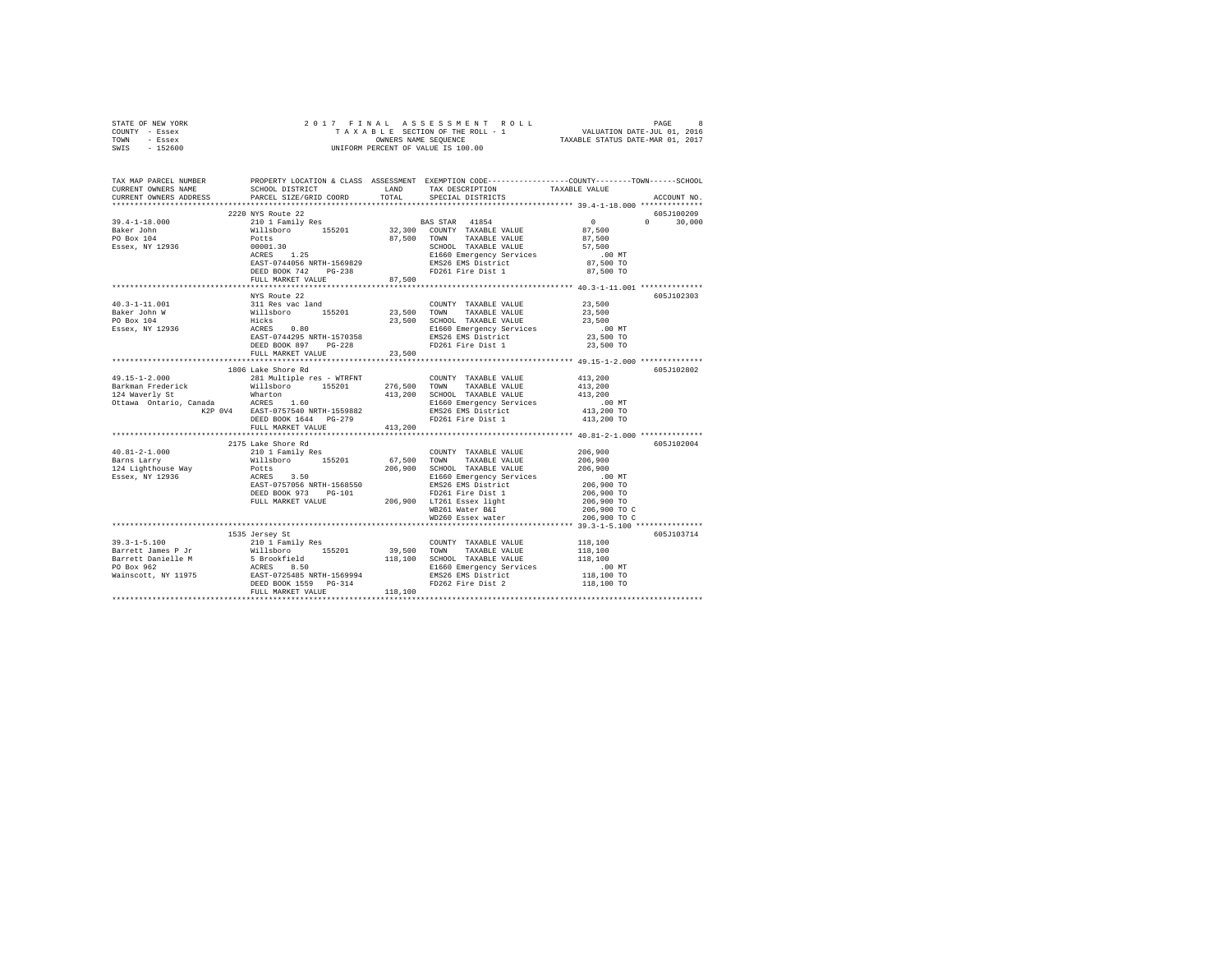| STATE OF NEW YORK                                                                                                                                                                                                                                                                                                                                                                                                                                                                                |                    |                                                    |                                                                                                                                                                                                 |
|--------------------------------------------------------------------------------------------------------------------------------------------------------------------------------------------------------------------------------------------------------------------------------------------------------------------------------------------------------------------------------------------------------------------------------------------------------------------------------------------------|--------------------|----------------------------------------------------|-------------------------------------------------------------------------------------------------------------------------------------------------------------------------------------------------|
| COUNTY - Essex                                                                                                                                                                                                                                                                                                                                                                                                                                                                                   |                    |                                                    |                                                                                                                                                                                                 |
| TOWN - Essex                                                                                                                                                                                                                                                                                                                                                                                                                                                                                     |                    |                                                    |                                                                                                                                                                                                 |
| SWIS - 152600                                                                                                                                                                                                                                                                                                                                                                                                                                                                                    |                    |                                                    |                                                                                                                                                                                                 |
|                                                                                                                                                                                                                                                                                                                                                                                                                                                                                                  |                    |                                                    |                                                                                                                                                                                                 |
|                                                                                                                                                                                                                                                                                                                                                                                                                                                                                                  |                    |                                                    |                                                                                                                                                                                                 |
|                                                                                                                                                                                                                                                                                                                                                                                                                                                                                                  |                    |                                                    | TAX MAP PARCEL NUMBER PROPERTY LOCATION & CLASS ASSESSMENT EXEMPTION CODE---------------COUNTY-------TOWN------SCHOOL<br>CURRENT OWNERS NAME SCHOOL DISTRICT LAND TAX DESCRIPTION TAXARLE VALUE |
|                                                                                                                                                                                                                                                                                                                                                                                                                                                                                                  |                    | SCHOOL DISTRICT LAND TAX DESCRIPTION TAXABLE VALUE |                                                                                                                                                                                                 |
|                                                                                                                                                                                                                                                                                                                                                                                                                                                                                                  |                    |                                                    |                                                                                                                                                                                                 |
| CURRENT OWNERS ADDRESS . PARCEL SIZE/GRID COORD . TOTAL SPECIAL DISTRICTS                                                                                                                                                                                                                                                                                                                                                                                                                        |                    |                                                    | ACCOUNT NO.                                                                                                                                                                                     |
|                                                                                                                                                                                                                                                                                                                                                                                                                                                                                                  |                    |                                                    |                                                                                                                                                                                                 |
|                                                                                                                                                                                                                                                                                                                                                                                                                                                                                                  | 2220 NYS Route 22  |                                                    | 605J100209                                                                                                                                                                                      |
|                                                                                                                                                                                                                                                                                                                                                                                                                                                                                                  |                    |                                                    | $0 \t 30.000$                                                                                                                                                                                   |
|                                                                                                                                                                                                                                                                                                                                                                                                                                                                                                  |                    |                                                    |                                                                                                                                                                                                 |
|                                                                                                                                                                                                                                                                                                                                                                                                                                                                                                  |                    |                                                    |                                                                                                                                                                                                 |
|                                                                                                                                                                                                                                                                                                                                                                                                                                                                                                  |                    |                                                    |                                                                                                                                                                                                 |
| $\begin{tabular}{cccccc} 39.4-1-18.000 & 2220 NTS Note & 2220 NTS. The number of 300 NTS. The number of 300 NTS. The number of 300 NTS. The number of 300 NTS. The number of 300 NTS. The number of 300 NTS. The number of 300 NTS. The number of 300 NTS. The number of 300 NTS. The number of 300 NTS. The number of 300 NTS. The number of 300 NTS. The number of 300 NTS. The number of 300 NTS. The number of 300 NTS. The number of 300 NTS. The number of 300 NTS. The number of 300 NTS$ |                    |                                                    |                                                                                                                                                                                                 |
|                                                                                                                                                                                                                                                                                                                                                                                                                                                                                                  |                    |                                                    |                                                                                                                                                                                                 |
|                                                                                                                                                                                                                                                                                                                                                                                                                                                                                                  |                    |                                                    |                                                                                                                                                                                                 |
|                                                                                                                                                                                                                                                                                                                                                                                                                                                                                                  |                    |                                                    |                                                                                                                                                                                                 |
|                                                                                                                                                                                                                                                                                                                                                                                                                                                                                                  |                    |                                                    |                                                                                                                                                                                                 |
|                                                                                                                                                                                                                                                                                                                                                                                                                                                                                                  | NYS Route 22       |                                                    | 605J102303                                                                                                                                                                                      |
|                                                                                                                                                                                                                                                                                                                                                                                                                                                                                                  |                    |                                                    |                                                                                                                                                                                                 |
|                                                                                                                                                                                                                                                                                                                                                                                                                                                                                                  |                    |                                                    |                                                                                                                                                                                                 |
|                                                                                                                                                                                                                                                                                                                                                                                                                                                                                                  |                    |                                                    |                                                                                                                                                                                                 |
|                                                                                                                                                                                                                                                                                                                                                                                                                                                                                                  |                    |                                                    |                                                                                                                                                                                                 |
|                                                                                                                                                                                                                                                                                                                                                                                                                                                                                                  |                    |                                                    |                                                                                                                                                                                                 |
|                                                                                                                                                                                                                                                                                                                                                                                                                                                                                                  |                    |                                                    |                                                                                                                                                                                                 |
|                                                                                                                                                                                                                                                                                                                                                                                                                                                                                                  |                    |                                                    |                                                                                                                                                                                                 |
|                                                                                                                                                                                                                                                                                                                                                                                                                                                                                                  |                    |                                                    |                                                                                                                                                                                                 |
|                                                                                                                                                                                                                                                                                                                                                                                                                                                                                                  | 1806 Lake Shore Rd |                                                    | 605J102802                                                                                                                                                                                      |
|                                                                                                                                                                                                                                                                                                                                                                                                                                                                                                  |                    |                                                    |                                                                                                                                                                                                 |
|                                                                                                                                                                                                                                                                                                                                                                                                                                                                                                  |                    |                                                    |                                                                                                                                                                                                 |
|                                                                                                                                                                                                                                                                                                                                                                                                                                                                                                  |                    |                                                    |                                                                                                                                                                                                 |
|                                                                                                                                                                                                                                                                                                                                                                                                                                                                                                  |                    |                                                    |                                                                                                                                                                                                 |
|                                                                                                                                                                                                                                                                                                                                                                                                                                                                                                  |                    |                                                    |                                                                                                                                                                                                 |
|                                                                                                                                                                                                                                                                                                                                                                                                                                                                                                  |                    |                                                    |                                                                                                                                                                                                 |
|                                                                                                                                                                                                                                                                                                                                                                                                                                                                                                  |                    |                                                    |                                                                                                                                                                                                 |
| $\begin{tabular}{l c c c c c} \multicolumn{1}{c}{49.15-1-2.000} & \multicolumn{1}{c}{100} & \multicolumn{1}{c}{281} & \multicolumn{1}{c}{100} & \multicolumn{1}{c}{281} & \multicolumn{1}{c}{100} & \multicolumn{1}{c}{281} & \multicolumn{1}{c}{100} & \multicolumn{1}{c}{276,500} & \multicolumn{1}{c}{100} & \multicolumn{1}{c}{276,500} & \multicolumn{1}{c}{276,500} & \multicolumn{1}{c}{700$                                                                                              |                    |                                                    |                                                                                                                                                                                                 |
|                                                                                                                                                                                                                                                                                                                                                                                                                                                                                                  |                    |                                                    |                                                                                                                                                                                                 |
|                                                                                                                                                                                                                                                                                                                                                                                                                                                                                                  | 2175 Lake Shore Rd |                                                    | 605J102004                                                                                                                                                                                      |
|                                                                                                                                                                                                                                                                                                                                                                                                                                                                                                  |                    |                                                    |                                                                                                                                                                                                 |
| $\begin{tabular}{l c c c c c} \multicolumn{3}{c c c c} \multicolumn{3}{c c c} \multicolumn{3}{c c c} \multicolumn{3}{c c c} \multicolumn{3}{c c c} \multicolumn{3}{c c c} \multicolumn{3}{c c c} \multicolumn{3}{c c c} \multicolumn{3}{c c c} \multicolumn{3}{c c c} \multicolumn{3}{c c c} \multicolumn{3}{c c c} \multicolumn{3}{c c c} \multicolumn{3}{c c c} \multicolumn{3}{c c c} \multicolumn{$                                                                                          |                    |                                                    |                                                                                                                                                                                                 |
|                                                                                                                                                                                                                                                                                                                                                                                                                                                                                                  |                    |                                                    |                                                                                                                                                                                                 |
|                                                                                                                                                                                                                                                                                                                                                                                                                                                                                                  |                    |                                                    |                                                                                                                                                                                                 |
|                                                                                                                                                                                                                                                                                                                                                                                                                                                                                                  |                    |                                                    |                                                                                                                                                                                                 |
|                                                                                                                                                                                                                                                                                                                                                                                                                                                                                                  |                    |                                                    |                                                                                                                                                                                                 |
|                                                                                                                                                                                                                                                                                                                                                                                                                                                                                                  |                    |                                                    |                                                                                                                                                                                                 |
|                                                                                                                                                                                                                                                                                                                                                                                                                                                                                                  |                    |                                                    | 206,900 TO C                                                                                                                                                                                    |
|                                                                                                                                                                                                                                                                                                                                                                                                                                                                                                  |                    |                                                    | 206,900 TO C                                                                                                                                                                                    |
|                                                                                                                                                                                                                                                                                                                                                                                                                                                                                                  |                    |                                                    |                                                                                                                                                                                                 |
|                                                                                                                                                                                                                                                                                                                                                                                                                                                                                                  | 1535 Jersey St     |                                                    | 605J103714                                                                                                                                                                                      |
|                                                                                                                                                                                                                                                                                                                                                                                                                                                                                                  |                    |                                                    |                                                                                                                                                                                                 |
|                                                                                                                                                                                                                                                                                                                                                                                                                                                                                                  |                    |                                                    |                                                                                                                                                                                                 |
|                                                                                                                                                                                                                                                                                                                                                                                                                                                                                                  |                    |                                                    |                                                                                                                                                                                                 |
|                                                                                                                                                                                                                                                                                                                                                                                                                                                                                                  |                    |                                                    |                                                                                                                                                                                                 |
|                                                                                                                                                                                                                                                                                                                                                                                                                                                                                                  |                    |                                                    |                                                                                                                                                                                                 |
|                                                                                                                                                                                                                                                                                                                                                                                                                                                                                                  |                    |                                                    |                                                                                                                                                                                                 |
|                                                                                                                                                                                                                                                                                                                                                                                                                                                                                                  |                    |                                                    |                                                                                                                                                                                                 |
|                                                                                                                                                                                                                                                                                                                                                                                                                                                                                                  |                    |                                                    |                                                                                                                                                                                                 |
|                                                                                                                                                                                                                                                                                                                                                                                                                                                                                                  |                    |                                                    |                                                                                                                                                                                                 |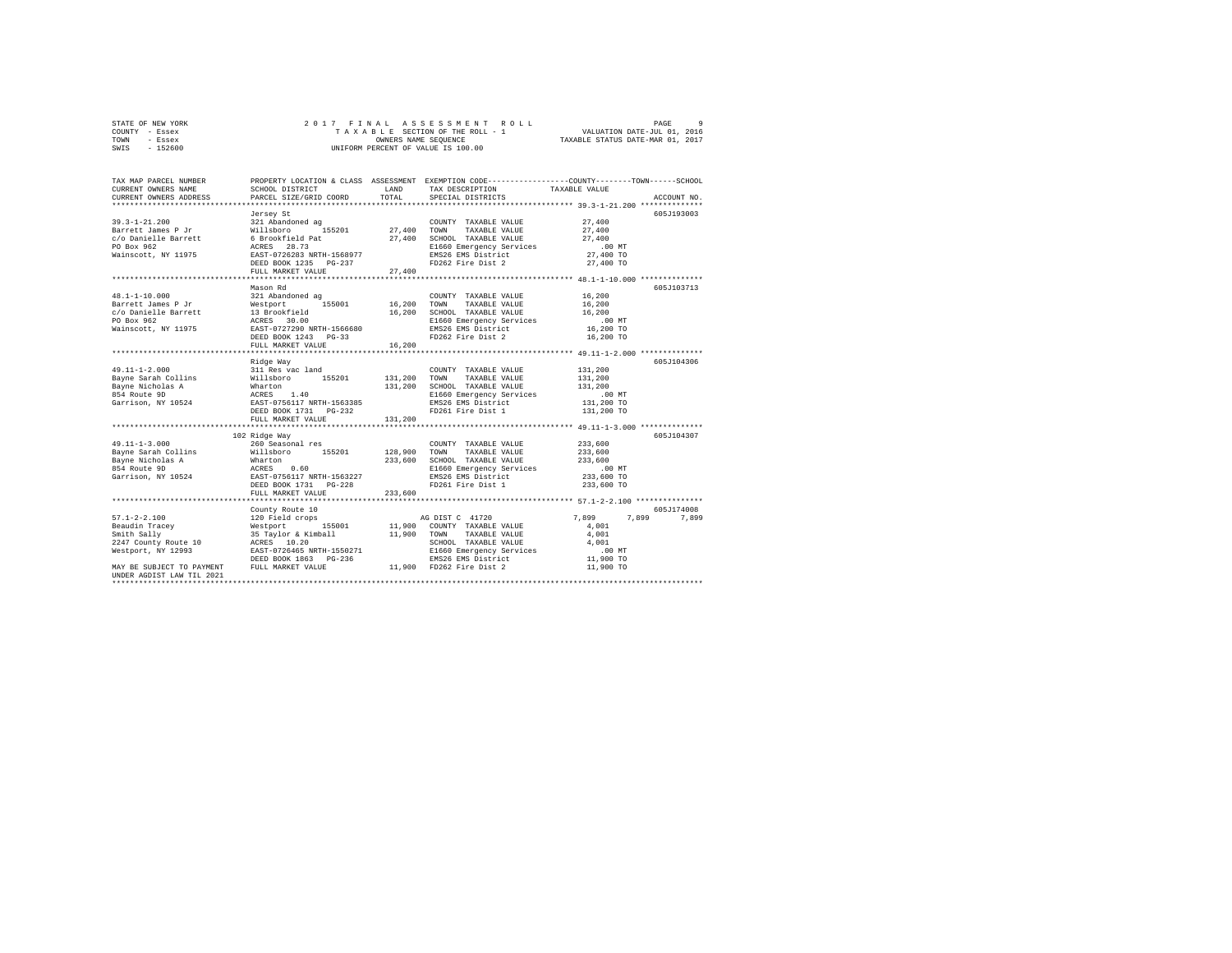| STATE OF NEW YORK | 2017 FINAL ASSESSMENT ROLL         | PAGE                             |
|-------------------|------------------------------------|----------------------------------|
| COUNTY - Essex    | TAXABLE SECTION OF THE ROLL - 1    | VALUATION DATE-JUL 01, 2016      |
| TOWN<br>- Essex   | OWNERS NAME SEOUENCE               | TAXABLE STATUS DATE-MAR 01, 2017 |
| $-152600$<br>SWIS | UNIFORM PERCENT OF VALUE IS 100.00 |                                  |

| SCHOOL DISTRICT<br>PARCEL SIZE/GRID COORD       | LAND<br>TOTAL                                                                                                                                                                                                                                                                  | TAX DESCRIPTION<br>SPECIAL DISTRICTS                                                                                                                                                                                                                                                                                                                                                             | TAXABLE VALUE<br>ACCOUNT NO.                                                                                                                                                                                                                                                                                                                                                                                                                                                                                                                                                                               |
|-------------------------------------------------|--------------------------------------------------------------------------------------------------------------------------------------------------------------------------------------------------------------------------------------------------------------------------------|--------------------------------------------------------------------------------------------------------------------------------------------------------------------------------------------------------------------------------------------------------------------------------------------------------------------------------------------------------------------------------------------------|------------------------------------------------------------------------------------------------------------------------------------------------------------------------------------------------------------------------------------------------------------------------------------------------------------------------------------------------------------------------------------------------------------------------------------------------------------------------------------------------------------------------------------------------------------------------------------------------------------|
| Jersey St                                       |                                                                                                                                                                                                                                                                                | COUNTY TAXABLE VALUE                                                                                                                                                                                                                                                                                                                                                                             | 605J193003<br>27,400                                                                                                                                                                                                                                                                                                                                                                                                                                                                                                                                                                                       |
|                                                 |                                                                                                                                                                                                                                                                                | TAXABLE VALUE                                                                                                                                                                                                                                                                                                                                                                                    | 27,400<br>27,400                                                                                                                                                                                                                                                                                                                                                                                                                                                                                                                                                                                           |
|                                                 |                                                                                                                                                                                                                                                                                | EMS26 EMS District<br>FD262 Fire Dist 2                                                                                                                                                                                                                                                                                                                                                          | $.00$ MT<br>27,400 TO<br>27,400 TO                                                                                                                                                                                                                                                                                                                                                                                                                                                                                                                                                                         |
| FULL MARKET VALUE                               |                                                                                                                                                                                                                                                                                |                                                                                                                                                                                                                                                                                                                                                                                                  |                                                                                                                                                                                                                                                                                                                                                                                                                                                                                                                                                                                                            |
| Mason Rd<br>321 Abandoned ag                    |                                                                                                                                                                                                                                                                                | COUNTY TAXABLE VALUE                                                                                                                                                                                                                                                                                                                                                                             | 605J103713<br>16,200                                                                                                                                                                                                                                                                                                                                                                                                                                                                                                                                                                                       |
|                                                 |                                                                                                                                                                                                                                                                                | TAXABLE VALUE                                                                                                                                                                                                                                                                                                                                                                                    | 16,200<br>16,200<br>.00 MT                                                                                                                                                                                                                                                                                                                                                                                                                                                                                                                                                                                 |
|                                                 |                                                                                                                                                                                                                                                                                | EMS26 EMS District<br>FD262 Fire Dist 2                                                                                                                                                                                                                                                                                                                                                          | 16,200 TO<br>16,200 TO                                                                                                                                                                                                                                                                                                                                                                                                                                                                                                                                                                                     |
|                                                 |                                                                                                                                                                                                                                                                                |                                                                                                                                                                                                                                                                                                                                                                                                  |                                                                                                                                                                                                                                                                                                                                                                                                                                                                                                                                                                                                            |
|                                                 |                                                                                                                                                                                                                                                                                | COUNTY TAXABLE VALUE<br>TAXABLE VALUE<br>SCHOOL TAXABLE VALUE<br>E1660 Emergency Services                                                                                                                                                                                                                                                                                                        | 605J104306<br>131,200<br>131,200<br>131,200<br>$.00$ MT                                                                                                                                                                                                                                                                                                                                                                                                                                                                                                                                                    |
| DEED BOOK 1731    PG-232<br>FULL MARKET VALUE   | 131,200                                                                                                                                                                                                                                                                        | FD261 Fire Dist 1                                                                                                                                                                                                                                                                                                                                                                                | 131,200 TO<br>131,200 TO                                                                                                                                                                                                                                                                                                                                                                                                                                                                                                                                                                                   |
|                                                 |                                                                                                                                                                                                                                                                                |                                                                                                                                                                                                                                                                                                                                                                                                  | 605J104307                                                                                                                                                                                                                                                                                                                                                                                                                                                                                                                                                                                                 |
| 260 Seasonal res<br>155201<br>FULL MARKET VALUE | 233,600                                                                                                                                                                                                                                                                        | COUNTY TAXABLE VALUE<br>TOWN<br>TAXABLE VALUE<br>E1660 Emergency Services<br>EMS26 EMS District<br>FD261 Fire Dist 1                                                                                                                                                                                                                                                                             | 233,600<br>233,600<br>233,600<br>$.00$ MT<br>00 MT.<br>233,600 TO<br>233,600 TO                                                                                                                                                                                                                                                                                                                                                                                                                                                                                                                            |
|                                                 |                                                                                                                                                                                                                                                                                |                                                                                                                                                                                                                                                                                                                                                                                                  | **************** 57.1-2-2.100 ****************<br>605J174008                                                                                                                                                                                                                                                                                                                                                                                                                                                                                                                                               |
|                                                 |                                                                                                                                                                                                                                                                                | TAXABLE VALUE<br>SCHOOL TAXABLE VALUE                                                                                                                                                                                                                                                                                                                                                            | 7,899<br>7.899<br>7.899<br>4,001<br>4,001<br>4,001<br>$.00$ MT<br>11,900 TO<br>11,900 TO                                                                                                                                                                                                                                                                                                                                                                                                                                                                                                                   |
|                                                 | 321 Abandoned ag<br>DEED BOOK 1235 PG-237<br>13 Brookfield<br>ACRES 30.00<br>DEED BOOK 1243 PG-33<br>FULL MARKET VALUE<br>Ridge Way<br>311 Res vac land<br>102 Ridge Way<br>Willsboro<br><br>County Route 10<br>120 Field crops<br>MAY BE SUBJECT TO PAYMENT FULL MARKET VALUE | Example 1 1992<br>Farrett James P Jr<br>$G/O$ Danielle Barrett<br>$D$ Dox 962<br>$D$ Box 962<br>Nainscott, NY 11975<br>Nainscott, NY 11975<br>$R = 28.73$<br>$R = 27.7262833$<br>$R = 27.7262833$<br>$R = 27.7262833$<br>$R = 27.7262833$<br>$R = 27.7262833$<br>27,400<br>$\frac{1}{20000}$ $\frac{30.00}{272290}$ NRTH-1566680<br>16,200<br>Wharton<br>ACRES 0.60<br>EAST-0756117 NRTH-1563227 | PROPERTY LOCATION & CLASS ASSESSMENT EXEMPTION CODE----------------COUNTY-------TOWN-----SCHOOL<br>155201 27,400 TOWN<br>27,400 SCHOOL TAXABLE VALUE<br>E1660 Emergency Services<br>16,200 SCHOOL TAXABLE VALUE<br>E1660 Emergency Services<br>EMS26 EMS District<br>128,900<br>233,600 SCHOOL TAXABLE VALUE<br>AG DIST C 41720<br>Next port = 155001 11,900 COUNT<br>35 Taylor & Kimball 11,900 TOWN<br>ACRES 10.20<br>EXST-0724465 NRTH-1550271 51500<br>DEED BOOK 1863 PG-236 11,000 ENS26<br>11,900 COUNTY TAXABLE VALUE<br>E1660 Emergency Services<br>EMS26 EMS District<br>11,900 FD262 Fire Dist 2 |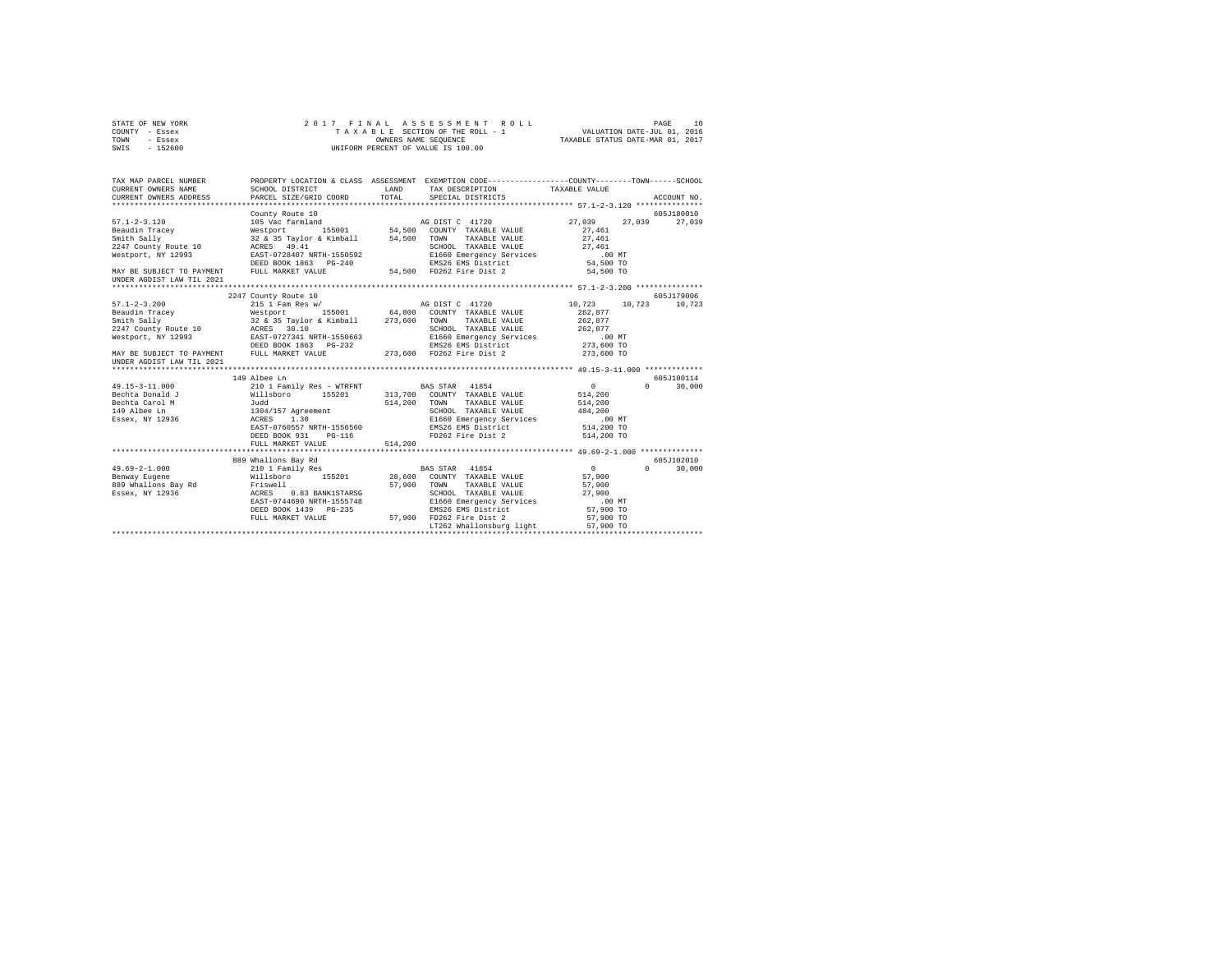| STATE OF NEW YORK<br>COUNTY - Essex<br>TOWN<br>- Essex<br>SWIS - 152600                                                                      | 2017 FINAL                                                                                                                                                                                                                           |              | ASSESSMENT ROLL<br>TAXABLE SECTION OF THE ROLL - 1 VALUATION DATE-JUL 01, 2016<br>OWNERS NAME SEQUENCE TAXABLE STATUS DATE-MAR 01, 2017<br>UNIFORM PERCENT OF VALUE IS 100.00 |                                                     | PAGE<br>10                  |
|----------------------------------------------------------------------------------------------------------------------------------------------|--------------------------------------------------------------------------------------------------------------------------------------------------------------------------------------------------------------------------------------|--------------|-------------------------------------------------------------------------------------------------------------------------------------------------------------------------------|-----------------------------------------------------|-----------------------------|
| TAX MAP PARCEL NUMBER<br>CURRENT OWNERS NAME<br>CURRENT OWNERS ADDRESS                                                                       | PROPERTY LOCATION & CLASS ASSESSMENT EXEMPTION CODE---------------COUNTY------TOWN------SCHOOL<br>SCHOOL DISTRICT<br>PARCEL SIZE/GRID COORD                                                                                          | TOTAL        | LAND TAX DESCRIPTION<br>SPECIAL DISTRICTS                                                                                                                                     | TAXABLE VALUE                                       | ACCOUNT NO.                 |
| $57.1 - 2 - 3.120$                                                                                                                           | County Route 10                                                                                                                                                                                                                      |              |                                                                                                                                                                               | 27,039                                              | 605J180010<br>27.039 27.039 |
| Beaudin Tracey<br>Smith Sally<br>2247 County Route 10<br>Westport, NY 12993                                                                  | NG DIST C 41720<br>Westport 155001 54,500 COUNTY TAXABLE VALUE 32 & 35 Taylor & Kimball 54,500 COUNTY TAXABLE VALUE<br>22 & 35 Taylor & Kimball 54,500 TOWN TAXABLE VALUE<br>RCRES 49.41 SCHOOL TAXABLE VALUE BAST-072440 EPSCHOP NE |              |                                                                                                                                                                               | 27,461<br>27,461<br>27,461<br>$.00$ MT<br>54,500 TO |                             |
| MAY BE SUBJECT TO PAYMENT FULL MARKET VALUE 54,500 FD262 Fire Dist 2<br>UNDER AGDIST LAW TIL 2021                                            |                                                                                                                                                                                                                                      |              |                                                                                                                                                                               | 54,500 TO                                           |                             |
|                                                                                                                                              | 2247 County Route 10                                                                                                                                                                                                                 |              |                                                                                                                                                                               |                                                     | 605J179006                  |
| $57.1 - 2 - 3.200$                                                                                                                           |                                                                                                                                                                                                                                      |              |                                                                                                                                                                               |                                                     | 10,723 10,723 10,723        |
|                                                                                                                                              |                                                                                                                                                                                                                                      |              |                                                                                                                                                                               | 262.877                                             |                             |
|                                                                                                                                              |                                                                                                                                                                                                                                      |              |                                                                                                                                                                               | 262.877                                             |                             |
|                                                                                                                                              |                                                                                                                                                                                                                                      |              | SCHOOL TAXABLE VALUE                                                                                                                                                          | 262.877                                             |                             |
|                                                                                                                                              |                                                                                                                                                                                                                                      |              | E1660 Emergency Services                                                                                                                                                      | .00 MT                                              |                             |
|                                                                                                                                              |                                                                                                                                                                                                                                      |              | EMS26 EMS District                                                                                                                                                            | 273,600 TO                                          |                             |
| UNDER AGDIST LAW TIL 2021                                                                                                                    |                                                                                                                                                                                                                                      |              |                                                                                                                                                                               | 273,600 TO                                          |                             |
|                                                                                                                                              |                                                                                                                                                                                                                                      |              |                                                                                                                                                                               |                                                     |                             |
|                                                                                                                                              | 149 Albee Ln                                                                                                                                                                                                                         |              |                                                                                                                                                                               |                                                     | 605J100114                  |
| $49.15 - 3 - 11.000$                                                                                                                         | 210 1 Family Res - WTRFNT BAS STAR 41854                                                                                                                                                                                             |              |                                                                                                                                                                               | $\sim$ 0                                            | 30,000<br>$\mathsf{n}$      |
| Bechta Donald J                                                                                                                              |                                                                                                                                                                                                                                      |              | 313,700 COUNTY TAXABLE VALUE                                                                                                                                                  | 514,200                                             |                             |
| Bechta Carol M                                                                                                                               |                                                                                                                                                                                                                                      | 514,200 TOWN | TAXABLE VALUE                                                                                                                                                                 | 514,200                                             |                             |
| 149 Albee Ln                                                                                                                                 |                                                                                                                                                                                                                                      |              |                                                                                                                                                                               | 484,200                                             |                             |
| Essex, NY 12936                                                                                                                              |                                                                                                                                                                                                                                      |              | SCHOOL TAXADDE<br>E1660 Emergency Services                                                                                                                                    | $.00$ MT                                            |                             |
|                                                                                                                                              | Willisboro 155201<br>Willisboro 155201<br>Judd<br>1304/157 Agreement<br>ACRES 1.30<br>EAST-0760557 NRTH-1556560                                                                                                                      |              |                                                                                                                                                                               | 514,200 TO                                          |                             |
|                                                                                                                                              | DEED BOOK 931    PG-116                                                                                                                                                                                                              |              | FD262 Fire Dist 2                                                                                                                                                             | 514,200 TO                                          |                             |
|                                                                                                                                              | FULL MARKET VALUE                                                                                                                                                                                                                    | 514,200      |                                                                                                                                                                               |                                                     |                             |
|                                                                                                                                              |                                                                                                                                                                                                                                      |              |                                                                                                                                                                               |                                                     |                             |
|                                                                                                                                              | 889 Whallons Bay Rd                                                                                                                                                                                                                  |              |                                                                                                                                                                               |                                                     | 605J102010                  |
| $49.69 - 2 - 1.000$                                                                                                                          | 210 1 Family Res<br>Willsboro 155201                                                                                                                                                                                                 |              | BAS STAR 41854                                                                                                                                                                | $\sim$ 0                                            | 30,000<br>$\cap$            |
| Benway Eugene                                                                                                                                |                                                                                                                                                                                                                                      | 28,600       | COUNTY TAXABLE VALUE                                                                                                                                                          | 57,900                                              |                             |
|                                                                                                                                              |                                                                                                                                                                                                                                      | 57,900       | TOWN<br>TAXABLE VALUE                                                                                                                                                         | 57,900                                              |                             |
| 989 Whallons Bay Rd<br>889 Whallons Bay Rd<br>889 Whallons Bay Rd<br>889 Whallons Bay Rd<br>889 Whallons Bay Rd<br>885T-0744690 NRTH-1555748 | 0.83 BANK1STARSG                                                                                                                                                                                                                     |              | SCHOOL TAXABLE VALUE                                                                                                                                                          | 27,900                                              |                             |
|                                                                                                                                              |                                                                                                                                                                                                                                      |              | E1660 Emergency Services                                                                                                                                                      | $.00$ MT                                            |                             |
|                                                                                                                                              | DEED BOOK 1439 PG-235                                                                                                                                                                                                                |              | EMS26 EMS District                                                                                                                                                            | 57,900 TO                                           |                             |
|                                                                                                                                              | FULL MARKET VALUE 57,900 FD262 Fire Dist 2                                                                                                                                                                                           |              |                                                                                                                                                                               | 57,900 TO                                           |                             |
|                                                                                                                                              |                                                                                                                                                                                                                                      |              | LT262 Whallonsburg light                                                                                                                                                      | 57,900 TO                                           |                             |
|                                                                                                                                              |                                                                                                                                                                                                                                      |              |                                                                                                                                                                               |                                                     |                             |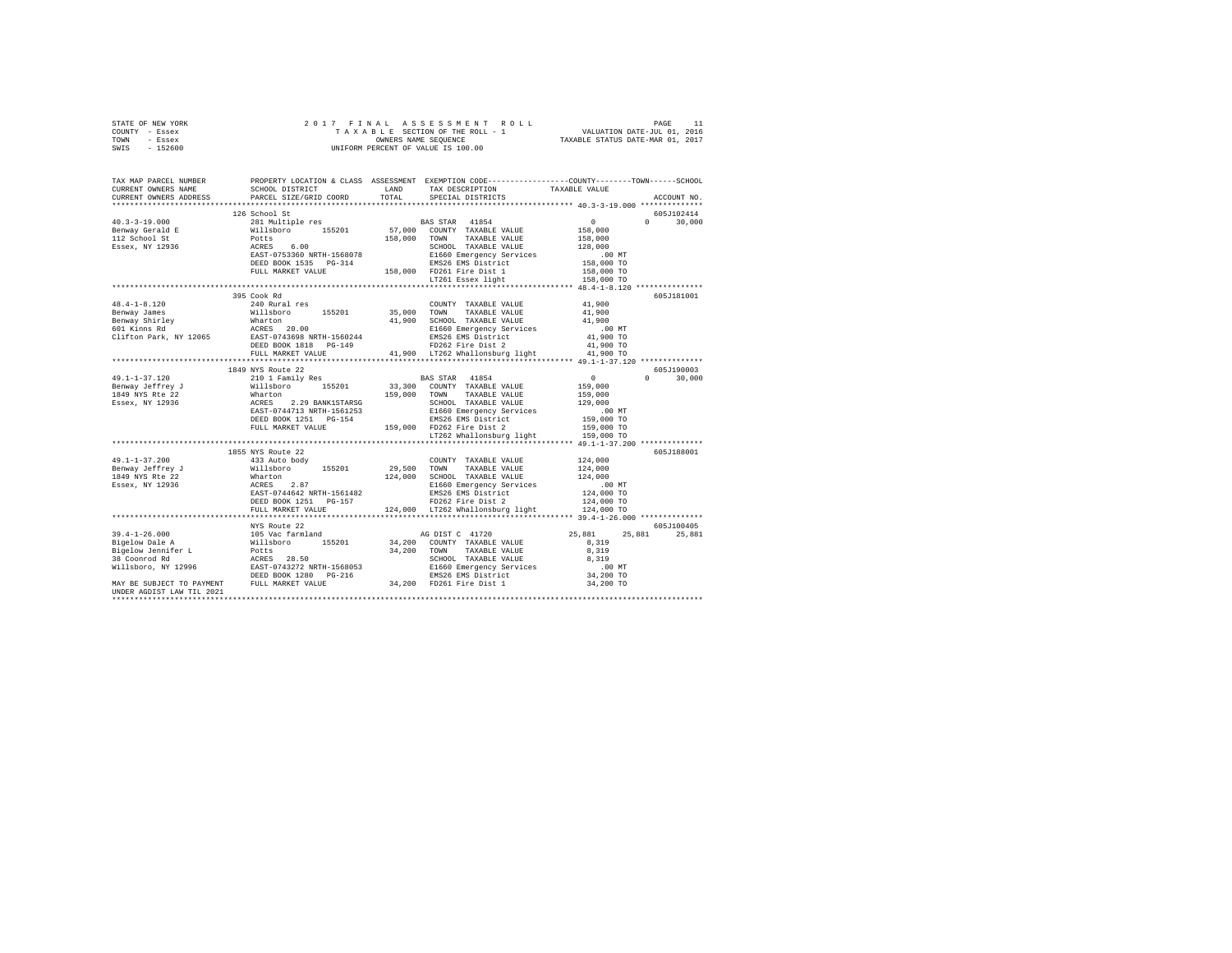| STATE OF NEW YORK                                                                                                                                                                                                                                                                                                                                                                                                          |                   |       |                                                      |                                                                                                                                                                                                 |
|----------------------------------------------------------------------------------------------------------------------------------------------------------------------------------------------------------------------------------------------------------------------------------------------------------------------------------------------------------------------------------------------------------------------------|-------------------|-------|------------------------------------------------------|-------------------------------------------------------------------------------------------------------------------------------------------------------------------------------------------------|
| COUNTY - Essex                                                                                                                                                                                                                                                                                                                                                                                                             |                   |       |                                                      |                                                                                                                                                                                                 |
| TOWN - Essex                                                                                                                                                                                                                                                                                                                                                                                                               |                   |       |                                                      |                                                                                                                                                                                                 |
| SWIS - 152600                                                                                                                                                                                                                                                                                                                                                                                                              |                   |       |                                                      |                                                                                                                                                                                                 |
|                                                                                                                                                                                                                                                                                                                                                                                                                            |                   |       |                                                      |                                                                                                                                                                                                 |
|                                                                                                                                                                                                                                                                                                                                                                                                                            |                   |       |                                                      |                                                                                                                                                                                                 |
|                                                                                                                                                                                                                                                                                                                                                                                                                            |                   |       |                                                      |                                                                                                                                                                                                 |
|                                                                                                                                                                                                                                                                                                                                                                                                                            |                   |       |                                                      | TAX MAP PARCEL NUMBER PROPERTY LOCATION & CLASS ASSESSMENT EXEMPTION CODE---------------COUNTY-------TOWN------SCHOOL<br>CURRENT OWNERS NAME SCHOOL DISTRICT LAND TAX DESCRIPTION TAXARLE VALUE |
|                                                                                                                                                                                                                                                                                                                                                                                                                            |                   |       | SCHOOL DISTRICT LAND TAX DESCRIPTION . TAXABLE VALUE |                                                                                                                                                                                                 |
| CURRENT OWNERS ADDRESS PARCEL SIZE/GRID COORD                                                                                                                                                                                                                                                                                                                                                                              |                   | TOTAL | SPECIAL DISTRICTS                                    | ACCOUNT NO.                                                                                                                                                                                     |
|                                                                                                                                                                                                                                                                                                                                                                                                                            |                   |       |                                                      |                                                                                                                                                                                                 |
|                                                                                                                                                                                                                                                                                                                                                                                                                            | 126 School St     |       |                                                      | 605J102414                                                                                                                                                                                      |
| $\begin{tabular}{ccccc} 40.3-3-19.000 & 126\, \text{shool} & 160.01\, \text{Stool} & 160.01\, \text{Stool} & 160.01\, \text{N1} & 150.00\, \text{N1} & 150.00\, \text{N1} & 150.00\, \text{N1} & 150.00\, \text{N1} & 150.00\, \text{N1} & 150.00\, \text{N1} & 150.00\, \text{N1} & 150.00\, \text{N1} & 150$                                                                                                             |                   |       |                                                      | $0 \t 30,000$                                                                                                                                                                                   |
|                                                                                                                                                                                                                                                                                                                                                                                                                            |                   |       |                                                      |                                                                                                                                                                                                 |
|                                                                                                                                                                                                                                                                                                                                                                                                                            |                   |       |                                                      |                                                                                                                                                                                                 |
|                                                                                                                                                                                                                                                                                                                                                                                                                            |                   |       |                                                      |                                                                                                                                                                                                 |
|                                                                                                                                                                                                                                                                                                                                                                                                                            |                   |       |                                                      |                                                                                                                                                                                                 |
|                                                                                                                                                                                                                                                                                                                                                                                                                            |                   |       |                                                      |                                                                                                                                                                                                 |
|                                                                                                                                                                                                                                                                                                                                                                                                                            |                   |       |                                                      |                                                                                                                                                                                                 |
|                                                                                                                                                                                                                                                                                                                                                                                                                            |                   |       |                                                      |                                                                                                                                                                                                 |
|                                                                                                                                                                                                                                                                                                                                                                                                                            |                   |       |                                                      |                                                                                                                                                                                                 |
|                                                                                                                                                                                                                                                                                                                                                                                                                            |                   |       |                                                      |                                                                                                                                                                                                 |
|                                                                                                                                                                                                                                                                                                                                                                                                                            | 395 Cook Rd       |       |                                                      | 605J181001                                                                                                                                                                                      |
|                                                                                                                                                                                                                                                                                                                                                                                                                            |                   |       |                                                      |                                                                                                                                                                                                 |
|                                                                                                                                                                                                                                                                                                                                                                                                                            |                   |       |                                                      |                                                                                                                                                                                                 |
|                                                                                                                                                                                                                                                                                                                                                                                                                            |                   |       |                                                      |                                                                                                                                                                                                 |
|                                                                                                                                                                                                                                                                                                                                                                                                                            |                   |       |                                                      |                                                                                                                                                                                                 |
|                                                                                                                                                                                                                                                                                                                                                                                                                            |                   |       |                                                      |                                                                                                                                                                                                 |
|                                                                                                                                                                                                                                                                                                                                                                                                                            |                   |       |                                                      |                                                                                                                                                                                                 |
|                                                                                                                                                                                                                                                                                                                                                                                                                            |                   |       |                                                      |                                                                                                                                                                                                 |
| $\begin{tabular}{ccccc} 48.4-1-8.120 & 395\, \mbox{conver} {\small 35,000~mm} & 240~\mbox{Rural res} & 200\, \mbox{K,} & 41,900\, \mbox{N,} \\ \end{tabular} \begin{tabular}{ccccc} 395\, \mbox{conver} {\small 35,000~mm} & 35,000~\mbox{TOMN} & 34.8445\, \mbox{N,} \\ \end{tabular} \begin{tabular}{ccccc} 41,900 & 41,900 & 41,900 & 41,900 & 41$                                                                      |                   |       |                                                      |                                                                                                                                                                                                 |
|                                                                                                                                                                                                                                                                                                                                                                                                                            |                   |       |                                                      |                                                                                                                                                                                                 |
|                                                                                                                                                                                                                                                                                                                                                                                                                            |                   |       |                                                      |                                                                                                                                                                                                 |
|                                                                                                                                                                                                                                                                                                                                                                                                                            | 1849 NYS Route 22 |       |                                                      | 605J190003                                                                                                                                                                                      |
|                                                                                                                                                                                                                                                                                                                                                                                                                            |                   |       |                                                      |                                                                                                                                                                                                 |
|                                                                                                                                                                                                                                                                                                                                                                                                                            |                   |       |                                                      | $0 \t 30,000$                                                                                                                                                                                   |
|                                                                                                                                                                                                                                                                                                                                                                                                                            |                   |       |                                                      |                                                                                                                                                                                                 |
|                                                                                                                                                                                                                                                                                                                                                                                                                            |                   |       |                                                      |                                                                                                                                                                                                 |
|                                                                                                                                                                                                                                                                                                                                                                                                                            |                   |       |                                                      |                                                                                                                                                                                                 |
|                                                                                                                                                                                                                                                                                                                                                                                                                            |                   |       |                                                      |                                                                                                                                                                                                 |
|                                                                                                                                                                                                                                                                                                                                                                                                                            |                   |       |                                                      |                                                                                                                                                                                                 |
|                                                                                                                                                                                                                                                                                                                                                                                                                            |                   |       |                                                      |                                                                                                                                                                                                 |
|                                                                                                                                                                                                                                                                                                                                                                                                                            |                   |       |                                                      |                                                                                                                                                                                                 |
| $\begin{tabular}{l c c c c} \multicolumn{1}{c}{\textbf{49.1--1-37.120}} & \multicolumn{1}{c}{1849\textrm{ NYS} & \multicolumn{1}{c}{1849\textrm{ NYS} & \multicolumn{1}{c}{1849\textrm{ N/S}} & \multicolumn{1}{c}{1849\textrm{ N/S}} & \multicolumn{1}{c}{1849\textrm{ N/S}} & \multicolumn{1}{c}{1849\textrm{ N/S}} & \multicolumn{1}{c}{1849\textrm{ N/S}} & \multicolumn{1}{c}{1849\textrm{ N/S}} & \multicolumn{1}{c$ |                   |       |                                                      |                                                                                                                                                                                                 |
|                                                                                                                                                                                                                                                                                                                                                                                                                            | 1855 NYS Route 22 |       |                                                      | 605J188001                                                                                                                                                                                      |
|                                                                                                                                                                                                                                                                                                                                                                                                                            |                   |       |                                                      |                                                                                                                                                                                                 |
|                                                                                                                                                                                                                                                                                                                                                                                                                            |                   |       |                                                      |                                                                                                                                                                                                 |
|                                                                                                                                                                                                                                                                                                                                                                                                                            |                   |       |                                                      |                                                                                                                                                                                                 |
|                                                                                                                                                                                                                                                                                                                                                                                                                            |                   |       |                                                      |                                                                                                                                                                                                 |
|                                                                                                                                                                                                                                                                                                                                                                                                                            |                   |       |                                                      |                                                                                                                                                                                                 |
|                                                                                                                                                                                                                                                                                                                                                                                                                            |                   |       |                                                      |                                                                                                                                                                                                 |
|                                                                                                                                                                                                                                                                                                                                                                                                                            |                   |       |                                                      |                                                                                                                                                                                                 |
| $\begin{tabular}{l c c c c c} \multicolumn{1}{c}{\textbf{49.1--1-37.200}} & \multicolumn{1}{c}{1855\textrm{ NTS} route 22} & \multicolumn{1}{c}{29,500\textrm{ TMXABLE VALUE}} & \multicolumn{1}{c}{124,000\textrm{} & \multicolumn{1}{c}{29,500\textrm{ TMXABLE VALUE}} & \multicolumn{1}{c}{124,000\textrm{} & \multicolumn{1}{c}{124,000\textrm{} & \multicolumn{1}{c}{124,000\textrm{} & \multicolumn{1}{c}{1$         |                   |       |                                                      |                                                                                                                                                                                                 |
|                                                                                                                                                                                                                                                                                                                                                                                                                            |                   |       |                                                      |                                                                                                                                                                                                 |
|                                                                                                                                                                                                                                                                                                                                                                                                                            |                   |       |                                                      |                                                                                                                                                                                                 |
|                                                                                                                                                                                                                                                                                                                                                                                                                            |                   |       |                                                      |                                                                                                                                                                                                 |
|                                                                                                                                                                                                                                                                                                                                                                                                                            |                   |       |                                                      |                                                                                                                                                                                                 |
|                                                                                                                                                                                                                                                                                                                                                                                                                            |                   |       |                                                      |                                                                                                                                                                                                 |
|                                                                                                                                                                                                                                                                                                                                                                                                                            |                   |       |                                                      |                                                                                                                                                                                                 |
|                                                                                                                                                                                                                                                                                                                                                                                                                            |                   |       |                                                      |                                                                                                                                                                                                 |
|                                                                                                                                                                                                                                                                                                                                                                                                                            |                   |       |                                                      |                                                                                                                                                                                                 |
|                                                                                                                                                                                                                                                                                                                                                                                                                            |                   |       |                                                      |                                                                                                                                                                                                 |
|                                                                                                                                                                                                                                                                                                                                                                                                                            |                   |       |                                                      |                                                                                                                                                                                                 |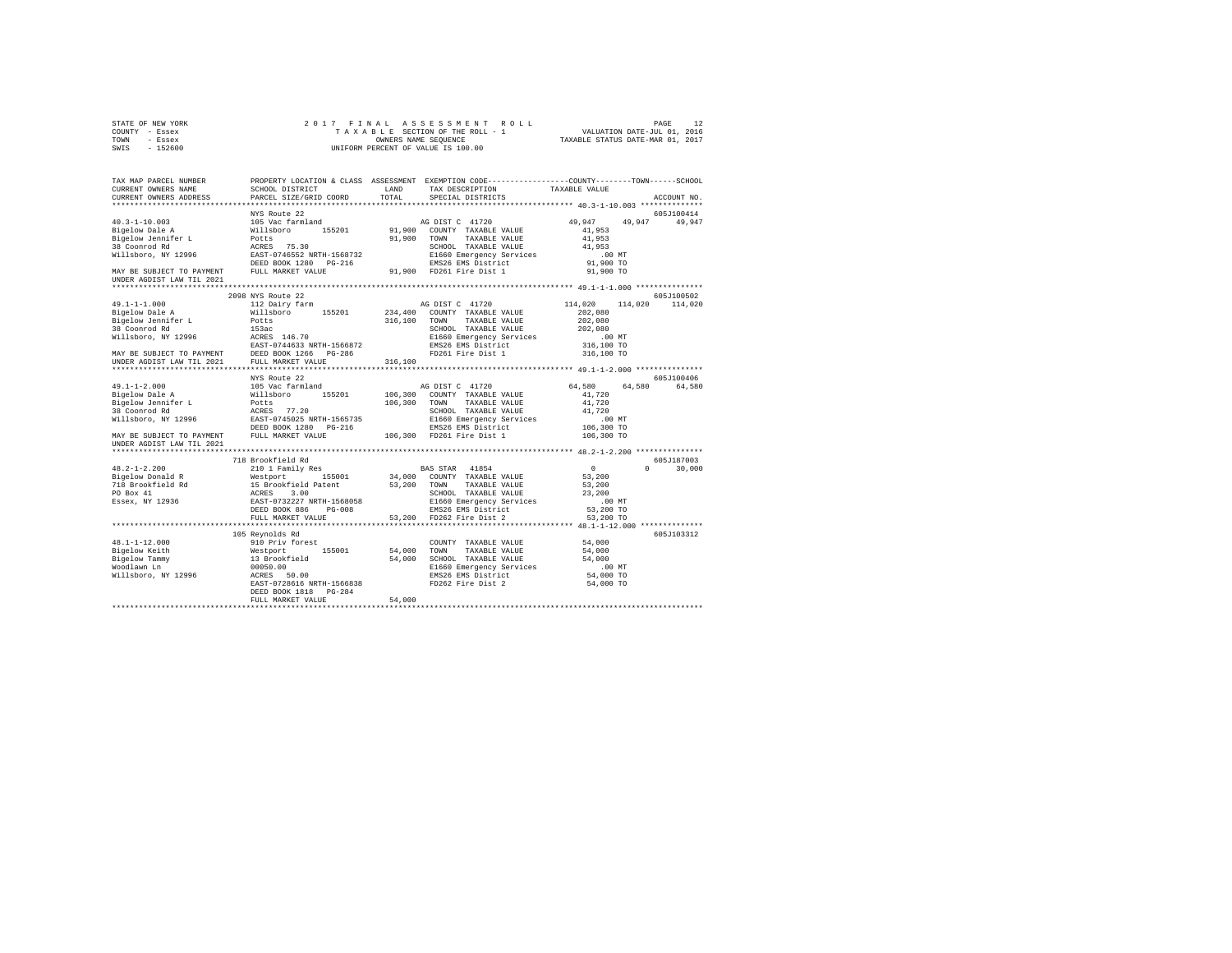| STATE OF NEW YORK               | $\begin{tabular}{ccccc} 2 & 0 & 1 & 7 & F & I & N & A & L & A & S & S & E & S & S & M & E & N & T & R & O & L & L & P \end{tabular} \begin{tabular}{c} \multicolumn{2}{c}{} & P \multicolumn{2}{c}{} & P \multicolumn{2}{c}{} & P \multicolumn{2}{c}{} & P \multicolumn{2}{c}{} & P \multicolumn{2}{c}{} & P \multicolumn{2}{c}{} & P \multicolumn{2}{c}{} & P \multicolumn{2}{c}{} & P \multicolumn{2}{c}{} & P \multicolumn{2}{c}{} & P \multicolumn{2}{c}{} & P \mult$ |        |                                                                                                                                                                                         |                                          |              |
|---------------------------------|---------------------------------------------------------------------------------------------------------------------------------------------------------------------------------------------------------------------------------------------------------------------------------------------------------------------------------------------------------------------------------------------------------------------------------------------------------------------------|--------|-----------------------------------------------------------------------------------------------------------------------------------------------------------------------------------------|------------------------------------------|--------------|
| COUNTY - Essex                  |                                                                                                                                                                                                                                                                                                                                                                                                                                                                           |        |                                                                                                                                                                                         |                                          |              |
| TOWN - Essex                    |                                                                                                                                                                                                                                                                                                                                                                                                                                                                           |        |                                                                                                                                                                                         |                                          |              |
| SWIS - 152600                   |                                                                                                                                                                                                                                                                                                                                                                                                                                                                           |        |                                                                                                                                                                                         |                                          |              |
|                                 |                                                                                                                                                                                                                                                                                                                                                                                                                                                                           |        |                                                                                                                                                                                         |                                          |              |
|                                 |                                                                                                                                                                                                                                                                                                                                                                                                                                                                           |        |                                                                                                                                                                                         |                                          |              |
|                                 | TAX MAP PARCEL NUMBER THE PROPERTY LOCATION & CLASS ASSESSMENT EXEMPTION CODE--------------COUNTY-------TOWN------SCHOOL                                                                                                                                                                                                                                                                                                                                                  |        |                                                                                                                                                                                         |                                          |              |
|                                 |                                                                                                                                                                                                                                                                                                                                                                                                                                                                           |        |                                                                                                                                                                                         |                                          |              |
| CURRENT OWNERS NAME             | SCHOOL DISTRICT                                                                                                                                                                                                                                                                                                                                                                                                                                                           |        | ${\tt LAND} \hspace{20pt} {\tt TAX} \hspace{20pt} {\tt PESCRIPTION} \hspace{20pt} {\tt TAXABLE} \hspace{20pt} {\tt VALUE}$                                                              |                                          |              |
| CURRENT OWNERS ADDRESS          | PARCEL SIZE/GRID COORD                                                                                                                                                                                                                                                                                                                                                                                                                                                    | TOTAL  | SPECIAL DISTRICTS                                                                                                                                                                       |                                          | ACCOUNT NO.  |
|                                 | NYS Route 22                                                                                                                                                                                                                                                                                                                                                                                                                                                              |        |                                                                                                                                                                                         |                                          | 605J100414   |
|                                 | 105 Vac farmland                                                                                                                                                                                                                                                                                                                                                                                                                                                          |        | AG DIST C 41720 49,947 49,947 49,947                                                                                                                                                    |                                          |              |
| 40.3-1-10.003<br>Bigelow Dale A |                                                                                                                                                                                                                                                                                                                                                                                                                                                                           |        |                                                                                                                                                                                         |                                          |              |
|                                 |                                                                                                                                                                                                                                                                                                                                                                                                                                                                           |        |                                                                                                                                                                                         | 41,953<br>41,953                         |              |
|                                 |                                                                                                                                                                                                                                                                                                                                                                                                                                                                           |        | SCHOOL TAXABLE VALUE                                                                                                                                                                    | 41,953                                   |              |
|                                 |                                                                                                                                                                                                                                                                                                                                                                                                                                                                           |        |                                                                                                                                                                                         |                                          |              |
|                                 |                                                                                                                                                                                                                                                                                                                                                                                                                                                                           |        |                                                                                                                                                                                         | .00 MT                                   |              |
|                                 |                                                                                                                                                                                                                                                                                                                                                                                                                                                                           |        |                                                                                                                                                                                         | 91,900 TO                                |              |
|                                 | $\verb MIN BE SUBJECT TO PAYMENT \hspace{1.5cm} \verb FULL MARKET VALUE \hspace{1.5cm} UNDER AGDIST LAW TIL 2021 \normalsize$                                                                                                                                                                                                                                                                                                                                             |        | 91,900 FD261 Fire Dist 1                                                                                                                                                                | 91,900 TO                                |              |
|                                 |                                                                                                                                                                                                                                                                                                                                                                                                                                                                           |        |                                                                                                                                                                                         |                                          |              |
|                                 |                                                                                                                                                                                                                                                                                                                                                                                                                                                                           |        |                                                                                                                                                                                         |                                          |              |
|                                 | 2098 NYS Route 22                                                                                                                                                                                                                                                                                                                                                                                                                                                         |        |                                                                                                                                                                                         |                                          | 605J100502   |
| $49.1 - 1 - 1.000$              | 112 Dairy farm                                                                                                                                                                                                                                                                                                                                                                                                                                                            |        | AG DIST C 41720                                                                                                                                                                         | 114,020 114,020 114,020                  |              |
|                                 |                                                                                                                                                                                                                                                                                                                                                                                                                                                                           |        |                                                                                                                                                                                         | 202,080                                  |              |
|                                 |                                                                                                                                                                                                                                                                                                                                                                                                                                                                           |        |                                                                                                                                                                                         | 202,080                                  |              |
|                                 |                                                                                                                                                                                                                                                                                                                                                                                                                                                                           |        |                                                                                                                                                                                         | 202,080                                  |              |
|                                 |                                                                                                                                                                                                                                                                                                                                                                                                                                                                           |        |                                                                                                                                                                                         | $.00$ MT                                 |              |
|                                 |                                                                                                                                                                                                                                                                                                                                                                                                                                                                           |        |                                                                                                                                                                                         |                                          |              |
|                                 |                                                                                                                                                                                                                                                                                                                                                                                                                                                                           |        |                                                                                                                                                                                         | 00 MT.<br>316,100 TO<br>316,100 TO       |              |
|                                 |                                                                                                                                                                                                                                                                                                                                                                                                                                                                           |        |                                                                                                                                                                                         |                                          |              |
|                                 |                                                                                                                                                                                                                                                                                                                                                                                                                                                                           |        |                                                                                                                                                                                         |                                          |              |
|                                 | NYS Route 22                                                                                                                                                                                                                                                                                                                                                                                                                                                              |        |                                                                                                                                                                                         |                                          | 605J100406   |
|                                 |                                                                                                                                                                                                                                                                                                                                                                                                                                                                           |        |                                                                                                                                                                                         | 64,580 64,580 64,580                     |              |
|                                 |                                                                                                                                                                                                                                                                                                                                                                                                                                                                           |        |                                                                                                                                                                                         | 41,720                                   |              |
|                                 |                                                                                                                                                                                                                                                                                                                                                                                                                                                                           |        |                                                                                                                                                                                         | 41,720                                   |              |
|                                 |                                                                                                                                                                                                                                                                                                                                                                                                                                                                           |        |                                                                                                                                                                                         | 41,720                                   |              |
|                                 |                                                                                                                                                                                                                                                                                                                                                                                                                                                                           |        |                                                                                                                                                                                         |                                          |              |
|                                 |                                                                                                                                                                                                                                                                                                                                                                                                                                                                           |        |                                                                                                                                                                                         |                                          |              |
|                                 |                                                                                                                                                                                                                                                                                                                                                                                                                                                                           |        |                                                                                                                                                                                         | $106,300$ MT<br>106,300 TO<br>106,300 TO |              |
|                                 |                                                                                                                                                                                                                                                                                                                                                                                                                                                                           |        |                                                                                                                                                                                         |                                          |              |
|                                 |                                                                                                                                                                                                                                                                                                                                                                                                                                                                           |        |                                                                                                                                                                                         |                                          |              |
|                                 |                                                                                                                                                                                                                                                                                                                                                                                                                                                                           |        |                                                                                                                                                                                         |                                          |              |
|                                 |                                                                                                                                                                                                                                                                                                                                                                                                                                                                           |        |                                                                                                                                                                                         |                                          | 605J187003   |
|                                 |                                                                                                                                                                                                                                                                                                                                                                                                                                                                           |        |                                                                                                                                                                                         | $\sim$ 0                                 | $0 \t30,000$ |
|                                 |                                                                                                                                                                                                                                                                                                                                                                                                                                                                           |        |                                                                                                                                                                                         | $53,200$<br>$53,200$                     |              |
|                                 |                                                                                                                                                                                                                                                                                                                                                                                                                                                                           |        |                                                                                                                                                                                         |                                          |              |
|                                 |                                                                                                                                                                                                                                                                                                                                                                                                                                                                           |        |                                                                                                                                                                                         | 23,200                                   |              |
|                                 |                                                                                                                                                                                                                                                                                                                                                                                                                                                                           |        |                                                                                                                                                                                         | .00 MT                                   |              |
|                                 |                                                                                                                                                                                                                                                                                                                                                                                                                                                                           |        |                                                                                                                                                                                         | 53,200 TO                                |              |
|                                 |                                                                                                                                                                                                                                                                                                                                                                                                                                                                           |        |                                                                                                                                                                                         | 53,200 TO                                |              |
|                                 |                                                                                                                                                                                                                                                                                                                                                                                                                                                                           |        |                                                                                                                                                                                         |                                          |              |
|                                 | 105 Reynolds Rd                                                                                                                                                                                                                                                                                                                                                                                                                                                           |        |                                                                                                                                                                                         |                                          | 605J103312   |
| 48.1-1-12.000                   | 910 Priv forest                                                                                                                                                                                                                                                                                                                                                                                                                                                           |        |                                                                                                                                                                                         |                                          |              |
|                                 |                                                                                                                                                                                                                                                                                                                                                                                                                                                                           |        | $\begin{tabular}{lllllllll} \multicolumn{2}{c}{\text{COUNTY}} & \text{TAXABLE VALUE} & & & 54,000 \\ \multicolumn{2}{c}{\text{TOWN}} & \text{TAXABLE VALUE} & & & 54,000 \end{tabular}$ |                                          |              |
|                                 |                                                                                                                                                                                                                                                                                                                                                                                                                                                                           |        |                                                                                                                                                                                         | 54,000                                   |              |
|                                 |                                                                                                                                                                                                                                                                                                                                                                                                                                                                           |        |                                                                                                                                                                                         | $.00$ MT                                 |              |
|                                 |                                                                                                                                                                                                                                                                                                                                                                                                                                                                           |        |                                                                                                                                                                                         |                                          |              |
|                                 |                                                                                                                                                                                                                                                                                                                                                                                                                                                                           |        |                                                                                                                                                                                         | 54,000 TO                                |              |
|                                 |                                                                                                                                                                                                                                                                                                                                                                                                                                                                           |        |                                                                                                                                                                                         | 54,000 TO                                |              |
|                                 | DEED BOOK 1818 PG-284                                                                                                                                                                                                                                                                                                                                                                                                                                                     |        |                                                                                                                                                                                         |                                          |              |
|                                 | FULL MARKET VALUE                                                                                                                                                                                                                                                                                                                                                                                                                                                         | 54,000 |                                                                                                                                                                                         |                                          |              |
|                                 |                                                                                                                                                                                                                                                                                                                                                                                                                                                                           |        |                                                                                                                                                                                         |                                          |              |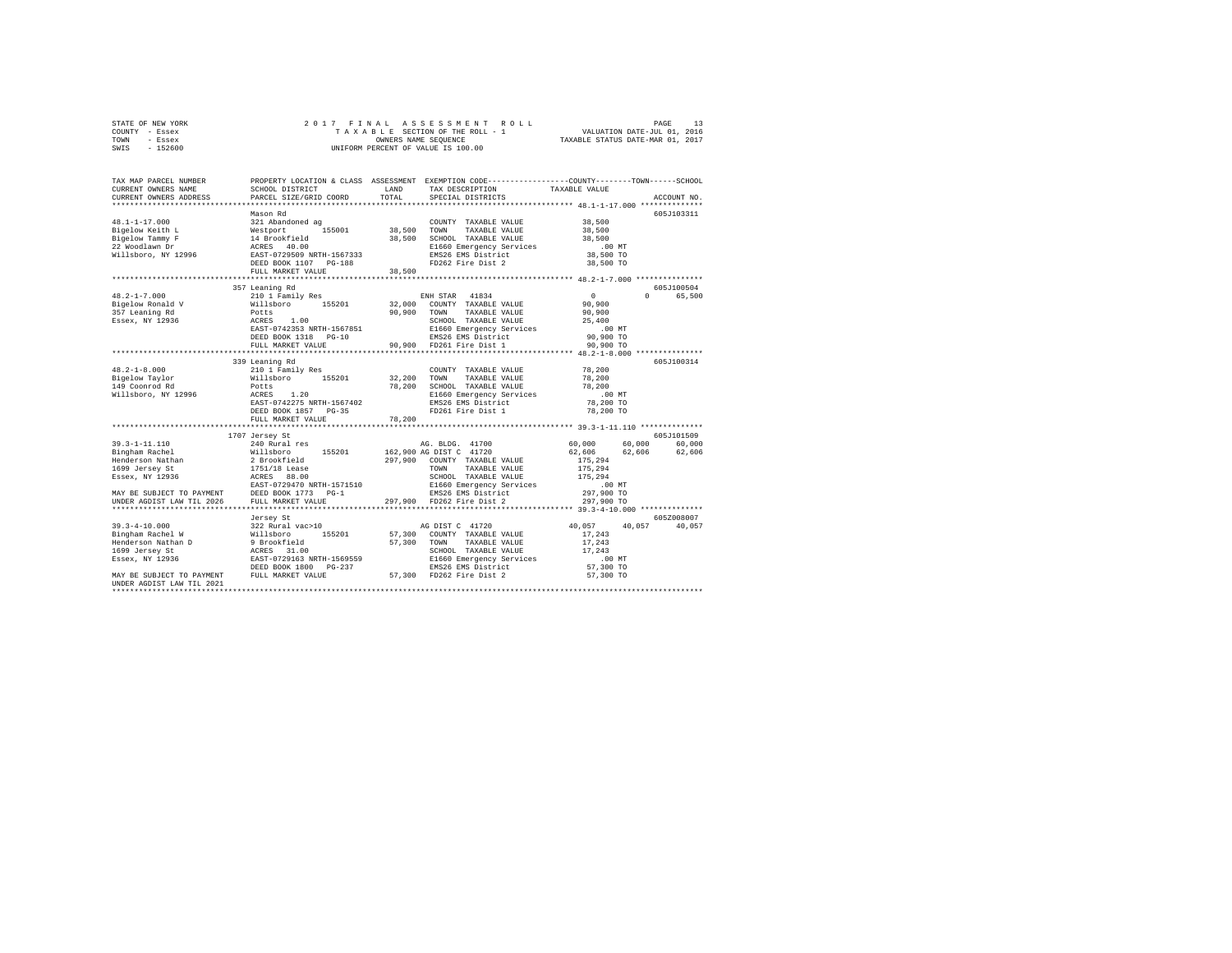| STATE OF NEW YORK | 2017 FINAL ASSESSMENT ROLL         | PAGE                             |
|-------------------|------------------------------------|----------------------------------|
| COUNTY - Essex    | TAXABLE SECTION OF THE ROLL - 1    | VALUATION DATE-JUL 01, 2016      |
| TOWN<br>- Essex   | OWNERS NAME SEOUENCE               | TAXABLE STATUS DATE-MAR 01, 2017 |
| - 152600<br>SWIS  | UNIFORM PERCENT OF VALUE IS 100.00 |                                  |

| TAX MAP PARCEL NUMBER<br>CURRENT OWNERS NAME<br>CURRENT OWNERS ADDRESS                                                                                                                                                          | SCHOOL DISTRICT<br>PARCEL SIZE/GRID COORD                        | LAND<br>TOTAL               | TAX DESCRIPTION<br>SPECIAL DISTRICTS           | PROPERTY LOCATION & CLASS ASSESSMENT EXEMPTION CODE----------------COUNTY-------TOWN-----SCHOOL<br>TAXABLE VALUE<br>ACCOUNT NO. |
|---------------------------------------------------------------------------------------------------------------------------------------------------------------------------------------------------------------------------------|------------------------------------------------------------------|-----------------------------|------------------------------------------------|---------------------------------------------------------------------------------------------------------------------------------|
|                                                                                                                                                                                                                                 |                                                                  |                             |                                                |                                                                                                                                 |
|                                                                                                                                                                                                                                 | Mason Rd                                                         |                             |                                                | 605J103311                                                                                                                      |
| $48.1 - 1 - 17.000$                                                                                                                                                                                                             | 321 Abandoned ag                                                 |                             | COUNTY TAXABLE VALUE                           | 38,500                                                                                                                          |
|                                                                                                                                                                                                                                 |                                                                  | 38,500 TOWN                 | TAXABLE VALUE                                  | 38,500                                                                                                                          |
|                                                                                                                                                                                                                                 |                                                                  |                             | 38,500 SCHOOL TAXABLE VALUE                    | 38,500                                                                                                                          |
| Bigelow Keith L<br>Bigelow Tammy F are the served of the served of the served of the served of the served of the served of the served of the served of the served of the served of the served of the served of the served of th |                                                                  |                             | E1660 Emergency Services                       | $.00$ MT                                                                                                                        |
|                                                                                                                                                                                                                                 |                                                                  |                             | EMS26 EMS District                             | 38,500 TO                                                                                                                       |
|                                                                                                                                                                                                                                 | DEED BOOK 1107 PG-188                                            |                             | FD262 Fire Dist 2                              | 38,500 TO                                                                                                                       |
|                                                                                                                                                                                                                                 | FULL MARKET VALUE<br>***********************                     | 38,500                      |                                                |                                                                                                                                 |
|                                                                                                                                                                                                                                 |                                                                  | *************************** |                                                | **************** 48.2-1-7.000 ****************                                                                                  |
|                                                                                                                                                                                                                                 | 357 Leaning Rd                                                   |                             |                                                | 605J100504<br>$\mathsf{n}$                                                                                                      |
| $48.2 - 1 - 7.000$                                                                                                                                                                                                              | 210 1 Family Res                                                 |                             | ENH STAR 41834                                 | $\sim$ 0<br>65,500                                                                                                              |
| Bigelow Ronald V                                                                                                                                                                                                                |                                                                  |                             | 32,000 COUNTY TAXABLE VALUE                    | 90.900                                                                                                                          |
| 357 Leaning Rd                                                                                                                                                                                                                  | willsboro 155201<br>Potts 155201<br>ACRES 1.00                   | 90,900                      | TAXABLE VALUE<br>TOWN                          | 90,900                                                                                                                          |
| Essex, NY 12936                                                                                                                                                                                                                 |                                                                  |                             | SCHOOL TAXABLE VALUE                           | 25,400                                                                                                                          |
|                                                                                                                                                                                                                                 | EAST-0742353 NRTH-1567851                                        |                             | E1660 Emergency Services                       | $.00$ MT                                                                                                                        |
|                                                                                                                                                                                                                                 | DEED BOOK 1318 PG-10                                             |                             | EMS26 EMS District<br>90,900 FD261 Fire Dist 1 | 90,900 TO                                                                                                                       |
|                                                                                                                                                                                                                                 | FULL MARKET VALUE                                                |                             |                                                | 90,900 TO                                                                                                                       |
|                                                                                                                                                                                                                                 | 339 Leaning Rd                                                   |                             |                                                | 605J100314                                                                                                                      |
| $48.2 - 1 - 8.000$                                                                                                                                                                                                              | 210 1 Family Res                                                 |                             | COUNTY TAXABLE VALUE                           | 78,200                                                                                                                          |
| Bigelow Taylor                                                                                                                                                                                                                  | 155201 32,200 TOWN<br>Willsboro                                  |                             | TAXABLE VALUE                                  | 78,200                                                                                                                          |
| 149 Coonrod Rd                                                                                                                                                                                                                  | Potts                                                            |                             | 78,200 SCHOOL TAXABLE VALUE                    | 78,200                                                                                                                          |
| Willsboro, NY 12996                                                                                                                                                                                                             | ACRES 1.20                                                       |                             | E1660 Emergency Services                       | $.00$ MT                                                                                                                        |
|                                                                                                                                                                                                                                 | EAST-0742275 NRTH-1567402                                        |                             | EMS26 EMS District                             | 78,200 TO                                                                                                                       |
|                                                                                                                                                                                                                                 | DEED BOOK 1857 PG-35                                             |                             | FD261 Fire Dist 1                              | 78,200 TO                                                                                                                       |
|                                                                                                                                                                                                                                 | FULL MARKET VALUE                                                | 78,200                      |                                                |                                                                                                                                 |
|                                                                                                                                                                                                                                 |                                                                  |                             |                                                |                                                                                                                                 |
|                                                                                                                                                                                                                                 | 1707 Jersey St                                                   |                             |                                                | 605J101509                                                                                                                      |
| $39.3 - 1 - 11.110$                                                                                                                                                                                                             | 240 Rural res                                                    |                             | AG. BLDG. 41700                                | 60.000 60.000<br>60,000                                                                                                         |
| Bingham Rachel                                                                                                                                                                                                                  |                                                                  |                             | 162,900 AG DIST C 41720                        | 62.606 62.606<br>62,606                                                                                                         |
| Henderson Nathan                                                                                                                                                                                                                |                                                                  |                             | 297,900 COUNTY TAXABLE VALUE                   | 175,294                                                                                                                         |
| 1699 Jersey St                                                                                                                                                                                                                  |                                                                  |                             | TOWN TAXABLE VALUE                             | 175,294                                                                                                                         |
| Essex, NY 12936                                                                                                                                                                                                                 | willsboro 155201<br>2 Brookfield<br>1751/18 Lease<br>ACRES 88.00 |                             | SCHOOL TAXABLE VALUE                           | 175.294                                                                                                                         |
|                                                                                                                                                                                                                                 |                                                                  |                             | E1660 Emergency Services                       |                                                                                                                                 |
| EAST-0729470 NRTH-1571510<br>MAY BE SUBJECT TO PAYMENT DEED BOOK 1773 PG-1                                                                                                                                                      |                                                                  |                             | EMS26 EMS District                             | 00 MT.<br>297,900 TO                                                                                                            |
| UNDER AGDIST LAW TIL 2026                                                                                                                                                                                                       | FULL MARKET VALUE                                                |                             | 297,900 FD262 Fire Dist 2                      | 297,900 TO                                                                                                                      |
|                                                                                                                                                                                                                                 |                                                                  |                             |                                                |                                                                                                                                 |
|                                                                                                                                                                                                                                 | Jersey St                                                        |                             |                                                | 605Z008007                                                                                                                      |
|                                                                                                                                                                                                                                 |                                                                  |                             | AG DIST C 41720                                | 40,057<br>40.057<br>40.057                                                                                                      |
|                                                                                                                                                                                                                                 |                                                                  |                             | 57,300 COUNTY TAXABLE VALUE                    | 17,243                                                                                                                          |
|                                                                                                                                                                                                                                 |                                                                  | 57,300 TOWN                 | TAXABLE VALUE                                  | 17,243                                                                                                                          |
| 1699 Jersey St                                                                                                                                                                                                                  | ACRES 31.00                                                      |                             | SCHOOL TAXABLE VALUE                           | 17.243                                                                                                                          |
| Essex, NY 12936                                                                                                                                                                                                                 | EAST-0729163 NRTH-1569559                                        |                             | E1660 Emergency Services                       | $.00$ MT                                                                                                                        |
|                                                                                                                                                                                                                                 | DEED BOOK 1800 PG-237                                            |                             | EMS26 EMS District                             | 57,300 TO                                                                                                                       |
| MAY BE SUBJECT TO PAYMENT FULL MARKET VALUE                                                                                                                                                                                     |                                                                  |                             | 57,300 FD262 Fire Dist 2                       | 57,300 TO                                                                                                                       |
| UNDER AGDIST LAW TIL 2021                                                                                                                                                                                                       |                                                                  |                             |                                                |                                                                                                                                 |
|                                                                                                                                                                                                                                 |                                                                  |                             |                                                |                                                                                                                                 |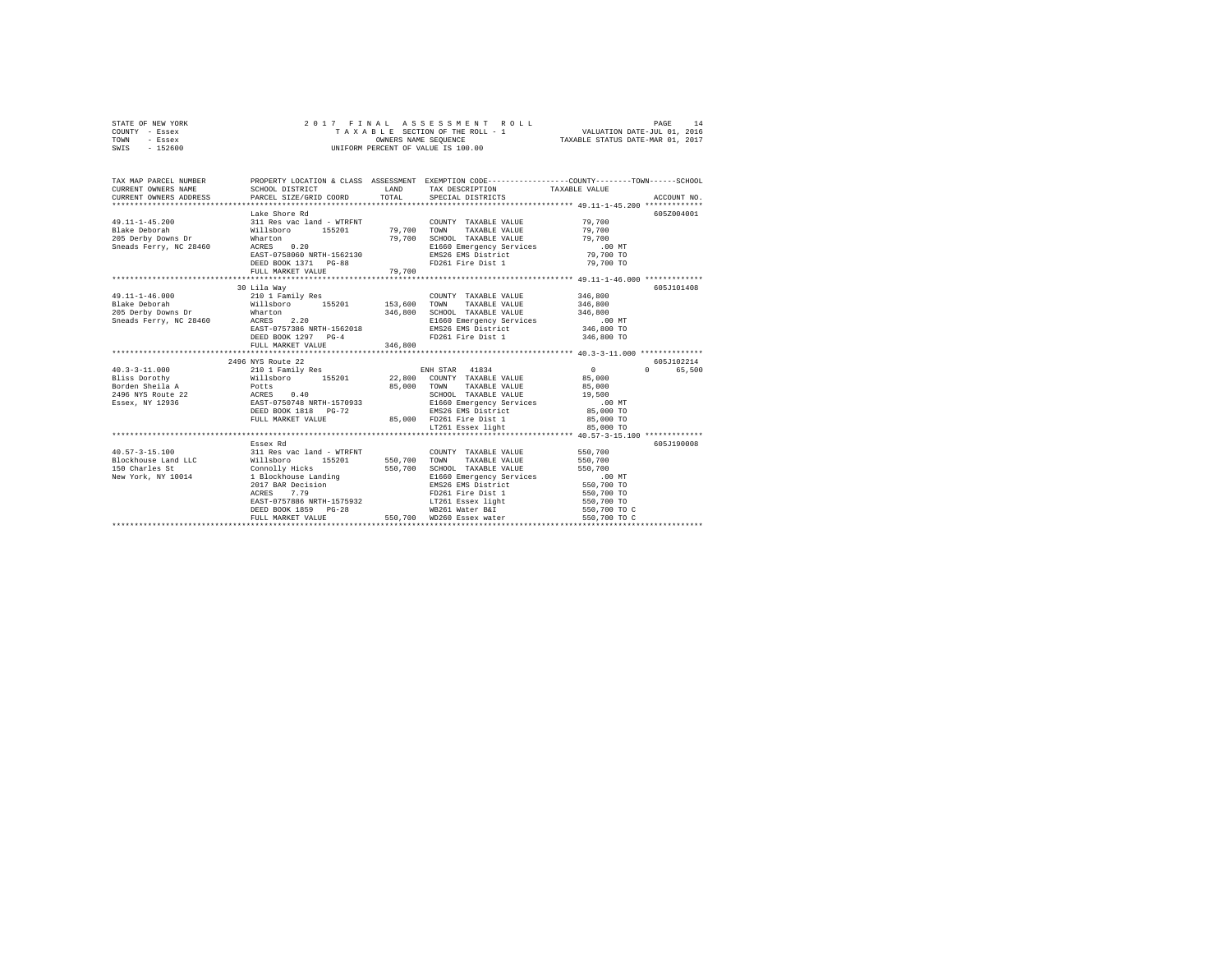|      | STATE OF NEW YORK |  |  | 2017 FINAL ASSESSMENT ROLL         | PAGE                             |  |
|------|-------------------|--|--|------------------------------------|----------------------------------|--|
|      | COUNTY - Essex    |  |  | TAXABLE SECTION OF THE ROLL - 1    | VALUATION DATE-JUL 01, 2016      |  |
| TOWN | - Essex           |  |  | OWNERS NAME SEOUENCE               | TAXABLE STATUS DATE-MAR 01, 2017 |  |
| SWIS | - 152600          |  |  | UNIFORM PERCENT OF VALUE IS 100.00 |                                  |  |

| TAX MAP PARCEL NUMBER                                                                                                                                                                                                                    |                                                              |         | PROPERTY LOCATION & CLASS ASSESSMENT EXEMPTION CODE---------------COUNTY-------TOWN-----SCHOOL                       |                          |            |
|------------------------------------------------------------------------------------------------------------------------------------------------------------------------------------------------------------------------------------------|--------------------------------------------------------------|---------|----------------------------------------------------------------------------------------------------------------------|--------------------------|------------|
|                                                                                                                                                                                                                                          |                                                              |         |                                                                                                                      |                          |            |
|                                                                                                                                                                                                                                          | Lake Shore Rd                                                |         |                                                                                                                      |                          | 605Z004001 |
|                                                                                                                                                                                                                                          |                                                              |         | COUNTY TAXABLE VALUE                                                                                                 |                          |            |
| $\begin{array}{cccccc} 49.11\text{--}1\text{--}45.200 & 311\text{ Res vac land}-\text{WTRENT} & \text{COUNTY TAXABLE VALUE}\\ \text{Blacke Deborah} & \text{Willsboro} & 155201 & 79,700\text{ TOWN} & \text{TAXABLE VALUE} \end{array}$ |                                                              |         |                                                                                                                      | 79,700<br>79,700         |            |
| Blake Deborah - Wilsson<br>205 Derby Downs Dr - Wharton - 2012<br>Sneads Ferry, NC 28460 - ACRES - 0.20<br>Sneads Ferry, NC 28460 - ART ATEORAN NETH-1562130                                                                             |                                                              |         | SCHOOL TAXABLE VALUE 79,700                                                                                          |                          |            |
|                                                                                                                                                                                                                                          |                                                              |         |                                                                                                                      |                          |            |
|                                                                                                                                                                                                                                          | EAST-0758060 NRTH-1562130                                    |         |                                                                                                                      |                          |            |
|                                                                                                                                                                                                                                          | DEED BOOK 1371 PG-88                                         |         | E1660 Emergency Services .00 MT<br>EMS26 EMS District 79,700 TO<br>FD261 Fire Dist 1 79,700 TO                       |                          |            |
|                                                                                                                                                                                                                                          | FULL MARKET VALUE                                            | 79,700  |                                                                                                                      |                          |            |
|                                                                                                                                                                                                                                          |                                                              |         |                                                                                                                      |                          |            |
|                                                                                                                                                                                                                                          | 30 Lila Way                                                  |         |                                                                                                                      |                          | 605J101408 |
| $49.11 - 1 - 46.000$                                                                                                                                                                                                                     | 210 1 Family Res                                             |         | COUNTY TAXABLE VALUE 346,800                                                                                         |                          |            |
| Blake Deborah                                                                                                                                                                                                                            | Willsboro 155201 153,600                                     |         | TOWN<br>TAXABLE VALUE 346,800                                                                                        |                          |            |
|                                                                                                                                                                                                                                          |                                                              |         |                                                                                                                      |                          |            |
|                                                                                                                                                                                                                                          |                                                              |         |                                                                                                                      |                          |            |
|                                                                                                                                                                                                                                          |                                                              |         |                                                                                                                      |                          |            |
|                                                                                                                                                                                                                                          | DEED BOOK 1297 PG-4                                          |         | FD261 Fire Dist 1 346,800 TO                                                                                         |                          |            |
|                                                                                                                                                                                                                                          | FULL MARKET VALUE                                            | 346,800 |                                                                                                                      |                          |            |
|                                                                                                                                                                                                                                          |                                                              |         |                                                                                                                      |                          |            |
|                                                                                                                                                                                                                                          | 2496 NYS Route 22                                            |         |                                                                                                                      |                          | 605J102214 |
|                                                                                                                                                                                                                                          |                                                              |         |                                                                                                                      | $\sim$ 0 $\sim$          | 0 65,500   |
|                                                                                                                                                                                                                                          |                                                              |         |                                                                                                                      |                          |            |
|                                                                                                                                                                                                                                          |                                                              |         |                                                                                                                      |                          |            |
|                                                                                                                                                                                                                                          |                                                              |         |                                                                                                                      |                          |            |
|                                                                                                                                                                                                                                          |                                                              |         |                                                                                                                      |                          |            |
|                                                                                                                                                                                                                                          |                                                              |         |                                                                                                                      |                          |            |
|                                                                                                                                                                                                                                          |                                                              |         | FULL MARKET VALUE 85,000 FD261 Fire Dist 1 85,000 TO                                                                 |                          |            |
|                                                                                                                                                                                                                                          |                                                              |         | LT261 Essex light                                                                                                    | 85,000 TO                |            |
|                                                                                                                                                                                                                                          |                                                              |         |                                                                                                                      |                          |            |
|                                                                                                                                                                                                                                          | Essex Rd                                                     |         |                                                                                                                      |                          | 605J190008 |
| 40.57-3-15.100 311 Res vac land - WTRFNT                                                                                                                                                                                                 |                                                              |         | COUNTY TAXABLE VALUE 550,700                                                                                         |                          |            |
| Riockhouse Land LLC Millsboro 155201 550,700<br>150 Charles St Chomolly Hicks 550,700<br>New York, NY 10014 1 Blockhouse Landing 550,700                                                                                                 |                                                              |         | TOWN TAXABLE VALUE                                                                                                   | 550,700                  |            |
|                                                                                                                                                                                                                                          |                                                              |         |                                                                                                                      |                          |            |
|                                                                                                                                                                                                                                          |                                                              |         | SCHOOL TAXABLE VALUE<br>SCHOOL TAXABLE VALUE<br>E1660 Emergency Services 550,700 TO<br>EMS26 EMS District 550,700 TO |                          |            |
|                                                                                                                                                                                                                                          | 2017 BAR Decision<br>ACRES 7.79<br>EAST-0757886 NRTH-1575932 |         |                                                                                                                      |                          |            |
|                                                                                                                                                                                                                                          |                                                              |         | FD261 Fire Dist 1<br>LT261 Essex light                                                                               | 550,700 TO<br>550,700 TO |            |
|                                                                                                                                                                                                                                          | DEED BOOK 1859 PG-28                                         |         | WB261 Water B&I 550,700 TO C                                                                                         |                          |            |
|                                                                                                                                                                                                                                          |                                                              | 550,700 |                                                                                                                      | 550,700 TO C             |            |
|                                                                                                                                                                                                                                          | FULL MARKET VALUE                                            |         | WD260 Essex water                                                                                                    |                          |            |
|                                                                                                                                                                                                                                          |                                                              |         |                                                                                                                      |                          |            |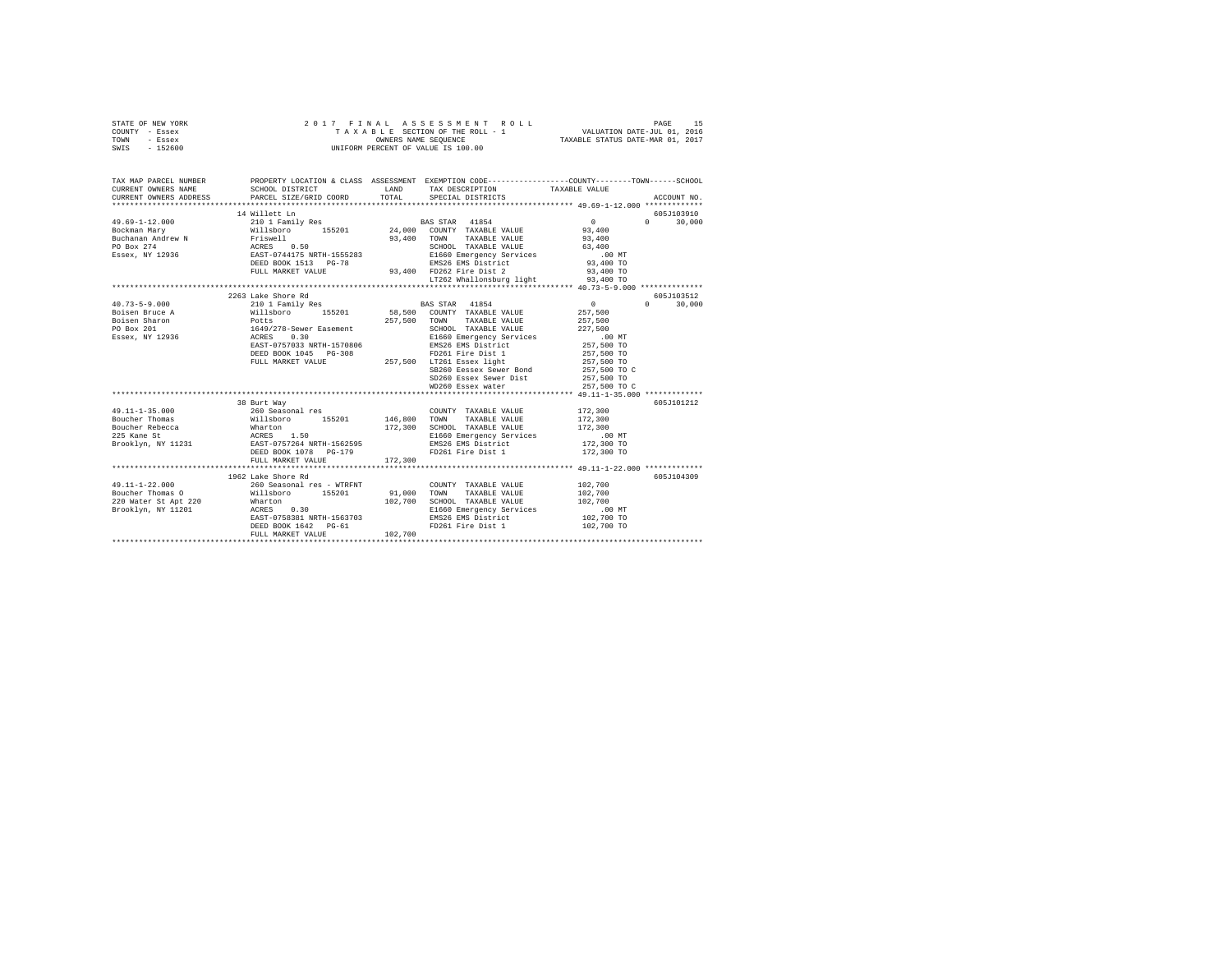| TAX MAP PARCEL NUMBER PROPERTY LOCATION & CLASS ASSESSMENT EXEMPTION CODE--------------COUNTY-------TOWN------SCHOOL<br>CURRENT OWNERS NAME<br>SCHOOL DISTRICT<br>LAND<br>TAX DESCRIPTION<br>TAXABLE VALUE<br>CURRENT OWNERS ADDRESS<br>TOTAL<br>PARCEL SIZE/GRID COORD<br>SPECIAL DISTRICTS<br>ACCOUNT NO.<br>605J103910<br>14 Willett Ln<br>$49.69 - 1 - 12.000$<br>$\sim$ 0<br>$0 \qquad \qquad$<br>210 1 Family Res<br>BAS STAR 41854<br>30,000<br>%118boro 155201<br>Friswell<br>ACRES 0.50<br>EAST-0744175 NRTH-1555283<br>DEED BOOK 1513 PG-78<br>24,000 COUNTY TAXABLE VALUE<br>93,400<br>Bockman Mary<br>Buchanan Andrew N<br>PO Box 274<br>93,400 TOWN TAXABLE VALUE<br>93,400<br>SCHOOL TAXABLE VALUE<br>63,400<br>E1660 Emergency Services<br>Essex, NY 12936<br>$.00$ MT<br>EMS26 EMS District<br>93,400 FD262 Fire Dist 2<br>93,400 TO<br>FULL MARKET VALUE<br>93,400 TO<br>LT262 Whallonsburg light<br>93,400 TO<br>2263 Lake Shore Rd<br>605J103512<br>$40.73 - 5 - 9.000$<br>210 1 Family Res<br>BAS STAR 41854<br>$\sim$ 0<br>$\Omega$<br>30,000<br>Willsboro 155201<br>58,500 COUNTY TAXABLE VALUE<br>Boisen Bruce A<br>257,500<br>Potts<br>1649/278-Sewer Easement<br>ACRES 0.30<br>EAST-0757033 NRTH-1570806<br>257,500<br>Boisen Sharon<br>TOWN TAXABLE VALUE<br>257,500<br>PO Box 201<br>SCHOOL TAXABLE VALUE<br>227,500<br>Essex, NY 12936<br>E1660 Emergency Services<br>$.00$ MT<br>EMS26 EMS District<br>257,500 TO<br>DEED BOOK 1045 PG-308<br>FD261 Fire Dist 1<br>257,500 LT261 Essex light<br>257,500 TO<br>FULL MARKET VALUE<br>257,500 TO<br>SB260 Eessex Sewer Bond<br>257,500 TO C<br>SD260 Essex Sewer Dist<br>257,500 TO<br>WD260 Essex water<br>257,500 TO C<br>38 Burt Way<br>605J101212<br>$49.11 - 1 - 35.000$<br>172,300<br>260 Seasonal res<br>COUNTY TAXABLE VALUE<br>Willsboro 155201<br>Boucher Thomas<br>146,800<br>TOWN<br>TAXABLE VALUE<br>172,300<br>SCHOOL TAXABLE VALUE<br>Boucher Rebecca<br>225 Fane St<br>172,300<br>172,300<br>E1660 Emergency Services<br>$.00$ MT<br>Brooklyn, NY 11231<br>EMS26 EMS District<br>172,300 TO<br>FD261 Fire Dist 1<br>DEED BOOK 1078 PG-179<br>172,300 TO<br>FULL MARKET VALUE<br>172,300<br>605J104309<br>1962 Lake Shore Rd<br>$49.11 - 1 - 22.000$<br>102,700<br>260 Seasonal res - WTRFNT<br>COUNTY TAXABLE VALUE<br>Willsboro 155201<br>91,000 TOWN<br>Boucher Thomas O<br>TAXABLE VALUE<br>102,700<br>Wharton<br>ACRES<br>102,700 SCHOOL TAXABLE VALUE<br>220 Water St Apt 220<br>102,700<br>0.30<br>Brooklyn, NY 11201<br>E1660 Emergency Services<br>$.00$ MT<br>EMS26 EMS District<br>EAST-0758381 NRTH-1563703<br>102,700 TO<br>DEED BOOK 1642 PG-61<br>FD261 Fire Dist 1<br>102,700 TO<br>102,700<br>FULL MARKET VALUE | STATE OF NEW YORK<br>COUNTY - Essex<br>TOWN<br>- Essex<br>SWIS - 152600 | 2017 FINAL | PAGE 15 באפי 1980 PAGE 15 באפי 1980 PAGE 15 באפי 1980 PAGE 15 באפי 1982.<br>TAXABLE SECTION OF THE ROLL - 1 VALUATION DATE-ULL 01, 2016<br>OWNERS NAME SEQUENCE 1 TAXABLE STATUS DATE-MAR 01, 2017<br>UNIFORM PERCENT OF VALUE IS 100.00 |  |
|---------------------------------------------------------------------------------------------------------------------------------------------------------------------------------------------------------------------------------------------------------------------------------------------------------------------------------------------------------------------------------------------------------------------------------------------------------------------------------------------------------------------------------------------------------------------------------------------------------------------------------------------------------------------------------------------------------------------------------------------------------------------------------------------------------------------------------------------------------------------------------------------------------------------------------------------------------------------------------------------------------------------------------------------------------------------------------------------------------------------------------------------------------------------------------------------------------------------------------------------------------------------------------------------------------------------------------------------------------------------------------------------------------------------------------------------------------------------------------------------------------------------------------------------------------------------------------------------------------------------------------------------------------------------------------------------------------------------------------------------------------------------------------------------------------------------------------------------------------------------------------------------------------------------------------------------------------------------------------------------------------------------------------------------------------------------------------------------------------------------------------------------------------------------------------------------------------------------------------------------------------------------------------------------------------------------------------------------------------------------------------------------------------------------------------------------------------------------------------------------------------------------------------------------------------------------------------------------------------------------------------------------------------------------------------------------------------------------------|-------------------------------------------------------------------------|------------|------------------------------------------------------------------------------------------------------------------------------------------------------------------------------------------------------------------------------------------|--|
|                                                                                                                                                                                                                                                                                                                                                                                                                                                                                                                                                                                                                                                                                                                                                                                                                                                                                                                                                                                                                                                                                                                                                                                                                                                                                                                                                                                                                                                                                                                                                                                                                                                                                                                                                                                                                                                                                                                                                                                                                                                                                                                                                                                                                                                                                                                                                                                                                                                                                                                                                                                                                                                                                                                           |                                                                         |            |                                                                                                                                                                                                                                          |  |
|                                                                                                                                                                                                                                                                                                                                                                                                                                                                                                                                                                                                                                                                                                                                                                                                                                                                                                                                                                                                                                                                                                                                                                                                                                                                                                                                                                                                                                                                                                                                                                                                                                                                                                                                                                                                                                                                                                                                                                                                                                                                                                                                                                                                                                                                                                                                                                                                                                                                                                                                                                                                                                                                                                                           |                                                                         |            |                                                                                                                                                                                                                                          |  |
|                                                                                                                                                                                                                                                                                                                                                                                                                                                                                                                                                                                                                                                                                                                                                                                                                                                                                                                                                                                                                                                                                                                                                                                                                                                                                                                                                                                                                                                                                                                                                                                                                                                                                                                                                                                                                                                                                                                                                                                                                                                                                                                                                                                                                                                                                                                                                                                                                                                                                                                                                                                                                                                                                                                           |                                                                         |            |                                                                                                                                                                                                                                          |  |
|                                                                                                                                                                                                                                                                                                                                                                                                                                                                                                                                                                                                                                                                                                                                                                                                                                                                                                                                                                                                                                                                                                                                                                                                                                                                                                                                                                                                                                                                                                                                                                                                                                                                                                                                                                                                                                                                                                                                                                                                                                                                                                                                                                                                                                                                                                                                                                                                                                                                                                                                                                                                                                                                                                                           |                                                                         |            |                                                                                                                                                                                                                                          |  |
|                                                                                                                                                                                                                                                                                                                                                                                                                                                                                                                                                                                                                                                                                                                                                                                                                                                                                                                                                                                                                                                                                                                                                                                                                                                                                                                                                                                                                                                                                                                                                                                                                                                                                                                                                                                                                                                                                                                                                                                                                                                                                                                                                                                                                                                                                                                                                                                                                                                                                                                                                                                                                                                                                                                           |                                                                         |            |                                                                                                                                                                                                                                          |  |
|                                                                                                                                                                                                                                                                                                                                                                                                                                                                                                                                                                                                                                                                                                                                                                                                                                                                                                                                                                                                                                                                                                                                                                                                                                                                                                                                                                                                                                                                                                                                                                                                                                                                                                                                                                                                                                                                                                                                                                                                                                                                                                                                                                                                                                                                                                                                                                                                                                                                                                                                                                                                                                                                                                                           |                                                                         |            |                                                                                                                                                                                                                                          |  |
|                                                                                                                                                                                                                                                                                                                                                                                                                                                                                                                                                                                                                                                                                                                                                                                                                                                                                                                                                                                                                                                                                                                                                                                                                                                                                                                                                                                                                                                                                                                                                                                                                                                                                                                                                                                                                                                                                                                                                                                                                                                                                                                                                                                                                                                                                                                                                                                                                                                                                                                                                                                                                                                                                                                           |                                                                         |            |                                                                                                                                                                                                                                          |  |
|                                                                                                                                                                                                                                                                                                                                                                                                                                                                                                                                                                                                                                                                                                                                                                                                                                                                                                                                                                                                                                                                                                                                                                                                                                                                                                                                                                                                                                                                                                                                                                                                                                                                                                                                                                                                                                                                                                                                                                                                                                                                                                                                                                                                                                                                                                                                                                                                                                                                                                                                                                                                                                                                                                                           |                                                                         |            |                                                                                                                                                                                                                                          |  |
|                                                                                                                                                                                                                                                                                                                                                                                                                                                                                                                                                                                                                                                                                                                                                                                                                                                                                                                                                                                                                                                                                                                                                                                                                                                                                                                                                                                                                                                                                                                                                                                                                                                                                                                                                                                                                                                                                                                                                                                                                                                                                                                                                                                                                                                                                                                                                                                                                                                                                                                                                                                                                                                                                                                           |                                                                         |            |                                                                                                                                                                                                                                          |  |
|                                                                                                                                                                                                                                                                                                                                                                                                                                                                                                                                                                                                                                                                                                                                                                                                                                                                                                                                                                                                                                                                                                                                                                                                                                                                                                                                                                                                                                                                                                                                                                                                                                                                                                                                                                                                                                                                                                                                                                                                                                                                                                                                                                                                                                                                                                                                                                                                                                                                                                                                                                                                                                                                                                                           |                                                                         |            |                                                                                                                                                                                                                                          |  |
|                                                                                                                                                                                                                                                                                                                                                                                                                                                                                                                                                                                                                                                                                                                                                                                                                                                                                                                                                                                                                                                                                                                                                                                                                                                                                                                                                                                                                                                                                                                                                                                                                                                                                                                                                                                                                                                                                                                                                                                                                                                                                                                                                                                                                                                                                                                                                                                                                                                                                                                                                                                                                                                                                                                           |                                                                         |            |                                                                                                                                                                                                                                          |  |
|                                                                                                                                                                                                                                                                                                                                                                                                                                                                                                                                                                                                                                                                                                                                                                                                                                                                                                                                                                                                                                                                                                                                                                                                                                                                                                                                                                                                                                                                                                                                                                                                                                                                                                                                                                                                                                                                                                                                                                                                                                                                                                                                                                                                                                                                                                                                                                                                                                                                                                                                                                                                                                                                                                                           |                                                                         |            |                                                                                                                                                                                                                                          |  |
|                                                                                                                                                                                                                                                                                                                                                                                                                                                                                                                                                                                                                                                                                                                                                                                                                                                                                                                                                                                                                                                                                                                                                                                                                                                                                                                                                                                                                                                                                                                                                                                                                                                                                                                                                                                                                                                                                                                                                                                                                                                                                                                                                                                                                                                                                                                                                                                                                                                                                                                                                                                                                                                                                                                           |                                                                         |            |                                                                                                                                                                                                                                          |  |
|                                                                                                                                                                                                                                                                                                                                                                                                                                                                                                                                                                                                                                                                                                                                                                                                                                                                                                                                                                                                                                                                                                                                                                                                                                                                                                                                                                                                                                                                                                                                                                                                                                                                                                                                                                                                                                                                                                                                                                                                                                                                                                                                                                                                                                                                                                                                                                                                                                                                                                                                                                                                                                                                                                                           |                                                                         |            |                                                                                                                                                                                                                                          |  |
|                                                                                                                                                                                                                                                                                                                                                                                                                                                                                                                                                                                                                                                                                                                                                                                                                                                                                                                                                                                                                                                                                                                                                                                                                                                                                                                                                                                                                                                                                                                                                                                                                                                                                                                                                                                                                                                                                                                                                                                                                                                                                                                                                                                                                                                                                                                                                                                                                                                                                                                                                                                                                                                                                                                           |                                                                         |            |                                                                                                                                                                                                                                          |  |
|                                                                                                                                                                                                                                                                                                                                                                                                                                                                                                                                                                                                                                                                                                                                                                                                                                                                                                                                                                                                                                                                                                                                                                                                                                                                                                                                                                                                                                                                                                                                                                                                                                                                                                                                                                                                                                                                                                                                                                                                                                                                                                                                                                                                                                                                                                                                                                                                                                                                                                                                                                                                                                                                                                                           |                                                                         |            |                                                                                                                                                                                                                                          |  |
|                                                                                                                                                                                                                                                                                                                                                                                                                                                                                                                                                                                                                                                                                                                                                                                                                                                                                                                                                                                                                                                                                                                                                                                                                                                                                                                                                                                                                                                                                                                                                                                                                                                                                                                                                                                                                                                                                                                                                                                                                                                                                                                                                                                                                                                                                                                                                                                                                                                                                                                                                                                                                                                                                                                           |                                                                         |            |                                                                                                                                                                                                                                          |  |
|                                                                                                                                                                                                                                                                                                                                                                                                                                                                                                                                                                                                                                                                                                                                                                                                                                                                                                                                                                                                                                                                                                                                                                                                                                                                                                                                                                                                                                                                                                                                                                                                                                                                                                                                                                                                                                                                                                                                                                                                                                                                                                                                                                                                                                                                                                                                                                                                                                                                                                                                                                                                                                                                                                                           |                                                                         |            |                                                                                                                                                                                                                                          |  |
|                                                                                                                                                                                                                                                                                                                                                                                                                                                                                                                                                                                                                                                                                                                                                                                                                                                                                                                                                                                                                                                                                                                                                                                                                                                                                                                                                                                                                                                                                                                                                                                                                                                                                                                                                                                                                                                                                                                                                                                                                                                                                                                                                                                                                                                                                                                                                                                                                                                                                                                                                                                                                                                                                                                           |                                                                         |            |                                                                                                                                                                                                                                          |  |
|                                                                                                                                                                                                                                                                                                                                                                                                                                                                                                                                                                                                                                                                                                                                                                                                                                                                                                                                                                                                                                                                                                                                                                                                                                                                                                                                                                                                                                                                                                                                                                                                                                                                                                                                                                                                                                                                                                                                                                                                                                                                                                                                                                                                                                                                                                                                                                                                                                                                                                                                                                                                                                                                                                                           |                                                                         |            |                                                                                                                                                                                                                                          |  |
|                                                                                                                                                                                                                                                                                                                                                                                                                                                                                                                                                                                                                                                                                                                                                                                                                                                                                                                                                                                                                                                                                                                                                                                                                                                                                                                                                                                                                                                                                                                                                                                                                                                                                                                                                                                                                                                                                                                                                                                                                                                                                                                                                                                                                                                                                                                                                                                                                                                                                                                                                                                                                                                                                                                           |                                                                         |            |                                                                                                                                                                                                                                          |  |
|                                                                                                                                                                                                                                                                                                                                                                                                                                                                                                                                                                                                                                                                                                                                                                                                                                                                                                                                                                                                                                                                                                                                                                                                                                                                                                                                                                                                                                                                                                                                                                                                                                                                                                                                                                                                                                                                                                                                                                                                                                                                                                                                                                                                                                                                                                                                                                                                                                                                                                                                                                                                                                                                                                                           |                                                                         |            |                                                                                                                                                                                                                                          |  |
|                                                                                                                                                                                                                                                                                                                                                                                                                                                                                                                                                                                                                                                                                                                                                                                                                                                                                                                                                                                                                                                                                                                                                                                                                                                                                                                                                                                                                                                                                                                                                                                                                                                                                                                                                                                                                                                                                                                                                                                                                                                                                                                                                                                                                                                                                                                                                                                                                                                                                                                                                                                                                                                                                                                           |                                                                         |            |                                                                                                                                                                                                                                          |  |
|                                                                                                                                                                                                                                                                                                                                                                                                                                                                                                                                                                                                                                                                                                                                                                                                                                                                                                                                                                                                                                                                                                                                                                                                                                                                                                                                                                                                                                                                                                                                                                                                                                                                                                                                                                                                                                                                                                                                                                                                                                                                                                                                                                                                                                                                                                                                                                                                                                                                                                                                                                                                                                                                                                                           |                                                                         |            |                                                                                                                                                                                                                                          |  |
|                                                                                                                                                                                                                                                                                                                                                                                                                                                                                                                                                                                                                                                                                                                                                                                                                                                                                                                                                                                                                                                                                                                                                                                                                                                                                                                                                                                                                                                                                                                                                                                                                                                                                                                                                                                                                                                                                                                                                                                                                                                                                                                                                                                                                                                                                                                                                                                                                                                                                                                                                                                                                                                                                                                           |                                                                         |            |                                                                                                                                                                                                                                          |  |
|                                                                                                                                                                                                                                                                                                                                                                                                                                                                                                                                                                                                                                                                                                                                                                                                                                                                                                                                                                                                                                                                                                                                                                                                                                                                                                                                                                                                                                                                                                                                                                                                                                                                                                                                                                                                                                                                                                                                                                                                                                                                                                                                                                                                                                                                                                                                                                                                                                                                                                                                                                                                                                                                                                                           |                                                                         |            |                                                                                                                                                                                                                                          |  |
|                                                                                                                                                                                                                                                                                                                                                                                                                                                                                                                                                                                                                                                                                                                                                                                                                                                                                                                                                                                                                                                                                                                                                                                                                                                                                                                                                                                                                                                                                                                                                                                                                                                                                                                                                                                                                                                                                                                                                                                                                                                                                                                                                                                                                                                                                                                                                                                                                                                                                                                                                                                                                                                                                                                           |                                                                         |            |                                                                                                                                                                                                                                          |  |
|                                                                                                                                                                                                                                                                                                                                                                                                                                                                                                                                                                                                                                                                                                                                                                                                                                                                                                                                                                                                                                                                                                                                                                                                                                                                                                                                                                                                                                                                                                                                                                                                                                                                                                                                                                                                                                                                                                                                                                                                                                                                                                                                                                                                                                                                                                                                                                                                                                                                                                                                                                                                                                                                                                                           |                                                                         |            |                                                                                                                                                                                                                                          |  |
|                                                                                                                                                                                                                                                                                                                                                                                                                                                                                                                                                                                                                                                                                                                                                                                                                                                                                                                                                                                                                                                                                                                                                                                                                                                                                                                                                                                                                                                                                                                                                                                                                                                                                                                                                                                                                                                                                                                                                                                                                                                                                                                                                                                                                                                                                                                                                                                                                                                                                                                                                                                                                                                                                                                           |                                                                         |            |                                                                                                                                                                                                                                          |  |
|                                                                                                                                                                                                                                                                                                                                                                                                                                                                                                                                                                                                                                                                                                                                                                                                                                                                                                                                                                                                                                                                                                                                                                                                                                                                                                                                                                                                                                                                                                                                                                                                                                                                                                                                                                                                                                                                                                                                                                                                                                                                                                                                                                                                                                                                                                                                                                                                                                                                                                                                                                                                                                                                                                                           |                                                                         |            |                                                                                                                                                                                                                                          |  |
|                                                                                                                                                                                                                                                                                                                                                                                                                                                                                                                                                                                                                                                                                                                                                                                                                                                                                                                                                                                                                                                                                                                                                                                                                                                                                                                                                                                                                                                                                                                                                                                                                                                                                                                                                                                                                                                                                                                                                                                                                                                                                                                                                                                                                                                                                                                                                                                                                                                                                                                                                                                                                                                                                                                           |                                                                         |            |                                                                                                                                                                                                                                          |  |
|                                                                                                                                                                                                                                                                                                                                                                                                                                                                                                                                                                                                                                                                                                                                                                                                                                                                                                                                                                                                                                                                                                                                                                                                                                                                                                                                                                                                                                                                                                                                                                                                                                                                                                                                                                                                                                                                                                                                                                                                                                                                                                                                                                                                                                                                                                                                                                                                                                                                                                                                                                                                                                                                                                                           |                                                                         |            |                                                                                                                                                                                                                                          |  |
|                                                                                                                                                                                                                                                                                                                                                                                                                                                                                                                                                                                                                                                                                                                                                                                                                                                                                                                                                                                                                                                                                                                                                                                                                                                                                                                                                                                                                                                                                                                                                                                                                                                                                                                                                                                                                                                                                                                                                                                                                                                                                                                                                                                                                                                                                                                                                                                                                                                                                                                                                                                                                                                                                                                           |                                                                         |            |                                                                                                                                                                                                                                          |  |
|                                                                                                                                                                                                                                                                                                                                                                                                                                                                                                                                                                                                                                                                                                                                                                                                                                                                                                                                                                                                                                                                                                                                                                                                                                                                                                                                                                                                                                                                                                                                                                                                                                                                                                                                                                                                                                                                                                                                                                                                                                                                                                                                                                                                                                                                                                                                                                                                                                                                                                                                                                                                                                                                                                                           |                                                                         |            |                                                                                                                                                                                                                                          |  |
|                                                                                                                                                                                                                                                                                                                                                                                                                                                                                                                                                                                                                                                                                                                                                                                                                                                                                                                                                                                                                                                                                                                                                                                                                                                                                                                                                                                                                                                                                                                                                                                                                                                                                                                                                                                                                                                                                                                                                                                                                                                                                                                                                                                                                                                                                                                                                                                                                                                                                                                                                                                                                                                                                                                           |                                                                         |            |                                                                                                                                                                                                                                          |  |
|                                                                                                                                                                                                                                                                                                                                                                                                                                                                                                                                                                                                                                                                                                                                                                                                                                                                                                                                                                                                                                                                                                                                                                                                                                                                                                                                                                                                                                                                                                                                                                                                                                                                                                                                                                                                                                                                                                                                                                                                                                                                                                                                                                                                                                                                                                                                                                                                                                                                                                                                                                                                                                                                                                                           |                                                                         |            |                                                                                                                                                                                                                                          |  |
|                                                                                                                                                                                                                                                                                                                                                                                                                                                                                                                                                                                                                                                                                                                                                                                                                                                                                                                                                                                                                                                                                                                                                                                                                                                                                                                                                                                                                                                                                                                                                                                                                                                                                                                                                                                                                                                                                                                                                                                                                                                                                                                                                                                                                                                                                                                                                                                                                                                                                                                                                                                                                                                                                                                           |                                                                         |            |                                                                                                                                                                                                                                          |  |
|                                                                                                                                                                                                                                                                                                                                                                                                                                                                                                                                                                                                                                                                                                                                                                                                                                                                                                                                                                                                                                                                                                                                                                                                                                                                                                                                                                                                                                                                                                                                                                                                                                                                                                                                                                                                                                                                                                                                                                                                                                                                                                                                                                                                                                                                                                                                                                                                                                                                                                                                                                                                                                                                                                                           |                                                                         |            |                                                                                                                                                                                                                                          |  |
|                                                                                                                                                                                                                                                                                                                                                                                                                                                                                                                                                                                                                                                                                                                                                                                                                                                                                                                                                                                                                                                                                                                                                                                                                                                                                                                                                                                                                                                                                                                                                                                                                                                                                                                                                                                                                                                                                                                                                                                                                                                                                                                                                                                                                                                                                                                                                                                                                                                                                                                                                                                                                                                                                                                           |                                                                         |            |                                                                                                                                                                                                                                          |  |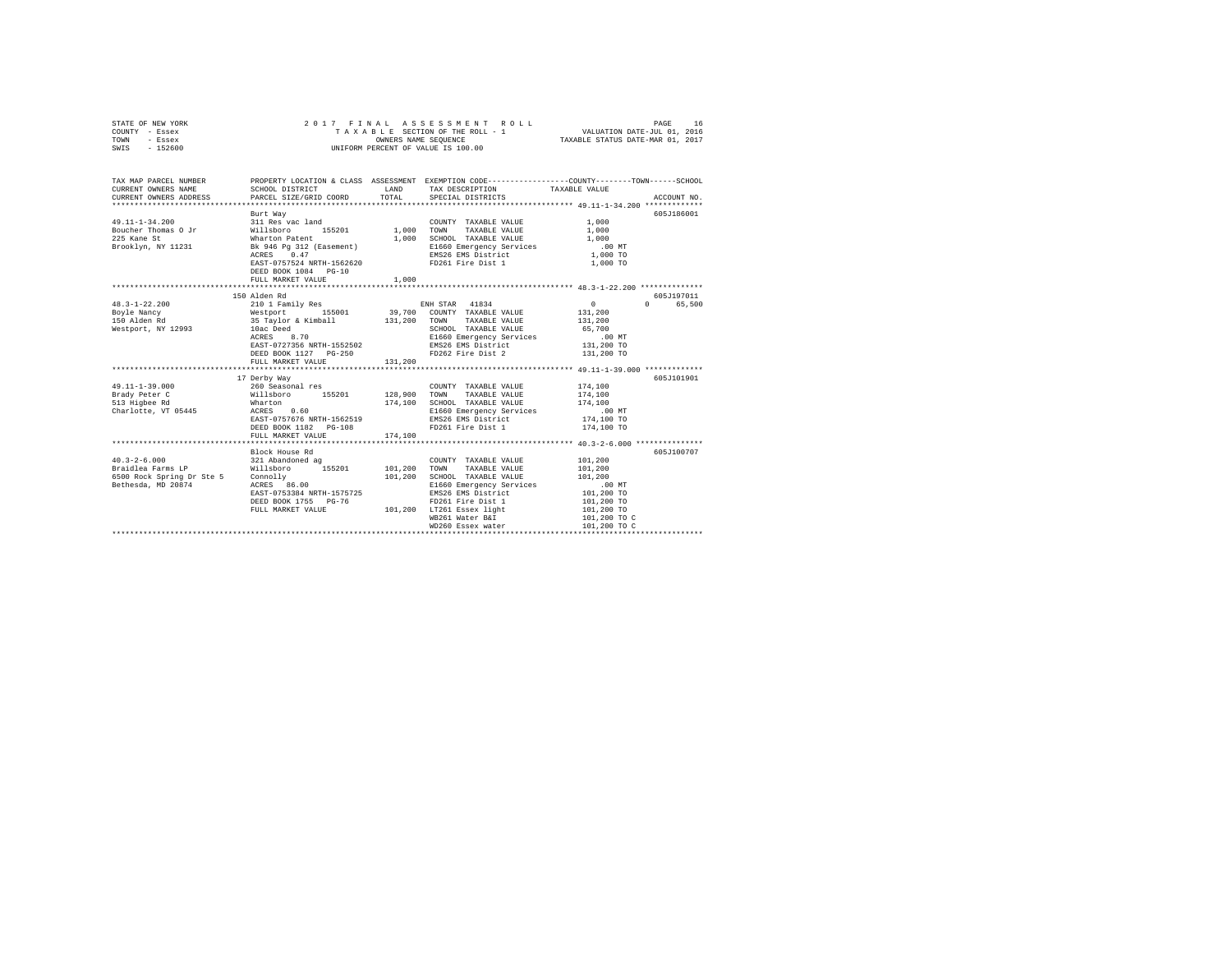| STATE OF NEW YORK<br>COUNTY - Essex<br>TOWN<br>- Essex<br>SWIS - 152600                                                          | 2017 FINAL                                                                                    |         | ASSESSMENT ROLL<br>UNIFORM PERCENT OF VALUE IS 100.00                      |                      | PAGE<br>16  |
|----------------------------------------------------------------------------------------------------------------------------------|-----------------------------------------------------------------------------------------------|---------|----------------------------------------------------------------------------|----------------------|-------------|
| TAX MAP PARCEL NUMBER PROPERTY LOCATION & CLASS ASSESSMENT EXEMPTION CODE--------------COUNTY-------TOWN------SCHOOL             |                                                                                               |         |                                                                            |                      |             |
| CURRENT OWNERS NAME<br>CURRENT OWNERS ADDRESS                                                                                    | SCHOOL DISTRICT<br>PARCEL SIZE/GRID COORD                                                     | TOTAL   | LAND TAX DESCRIPTION TAXABLE VALUE<br>SPECIAL DISTRICTS                    |                      | ACCOUNT NO. |
|                                                                                                                                  |                                                                                               |         |                                                                            |                      |             |
|                                                                                                                                  | Burt Way                                                                                      |         |                                                                            |                      | 605J186001  |
| 49.11-1-34.200                                                                                                                   | 311 Res vac land<br>Willsboro 155201<br>Wharton Patent<br>Bk 946 Pg 312 (Easement)            |         | COUNTY TAXABLE VALUE                                                       |                      |             |
| Boucher Thomas O Jr                                                                                                              |                                                                                               |         | COUNTY TAXABLE VALUE<br>1,000 TOWN TAXABLE VALUE                           | $1,000$<br>$1,000$   |             |
| 225 Kane St                                                                                                                      |                                                                                               |         | 1,000 SCHOOL TAXABLE VALUE                                                 | 1,000                |             |
| Brooklyn, NY 11231                                                                                                               |                                                                                               |         | E1660 Emergency Services                                                   | $.00$ MT             |             |
|                                                                                                                                  | ACRES 0.47                                                                                    |         | EMS26 EMS District                                                         | 1,000 TO             |             |
|                                                                                                                                  | EAST-0757524 NRTH-1562620 FD261 Fire Dist 1                                                   |         |                                                                            | 1,000 TO             |             |
|                                                                                                                                  | DEED BOOK 1084 PG-10                                                                          |         |                                                                            |                      |             |
|                                                                                                                                  | FULL MARKET VALUE                                                                             | 1,000   |                                                                            |                      |             |
|                                                                                                                                  |                                                                                               |         |                                                                            |                      |             |
|                                                                                                                                  | 150 Alden Rd                                                                                  |         |                                                                            |                      | 605J197011  |
| $48.3 - 1 - 22.200$                                                                                                              | 210 1 Family Res                                                                              |         | ENH STAR 41834                                                             | $\sim$ 0             | 0 65,500    |
| Boyle Nancy<br>150 Alden Rd                                                                                                      | Westport 155001 39,700 COUNTY TAXABLE VALUE<br>35 Taylor & Kimball 131,200 TOWN TAXABLE VALUE |         |                                                                            | 131,200              |             |
| Westport, NY 12993                                                                                                               | 10ac Deed                                                                                     |         | SCHOOL TAXABLE VALUE                                                       | 131,200<br>65,700    |             |
|                                                                                                                                  | 10ac Deed<br>ACRES 8.70                                                                       |         | E1660 Emergency Services                                                   | $.00$ MT             |             |
|                                                                                                                                  |                                                                                               |         | EAST-0727356 NRTH-1552502 EMS26 EMS District                               | 131,200 TO           |             |
|                                                                                                                                  | DEED BOOK 1127 PG-250                                                                         |         | FD262 Fire Dist 2                                                          | 131,200 TO           |             |
|                                                                                                                                  | FULL MARKET VALUE 131,200                                                                     |         |                                                                            |                      |             |
|                                                                                                                                  |                                                                                               |         |                                                                            |                      |             |
|                                                                                                                                  | 17 Derby Way                                                                                  |         |                                                                            |                      | 605J101901  |
| 49.11-1-39.000                                                                                                                   |                                                                                               |         | COUNTY TAXABLE VALUE                                                       | 174,100              |             |
| Brady Peter C<br>513 Fichee Rd                                                                                                   | - - - - - -<br>260 Seasonal res<br>Willsboro - 155201<br>Wharton                              |         | 128,900 TOWN TAXABLE VALUE                                                 | 174,100              |             |
|                                                                                                                                  | Wharton<br>ACRES 0.60                                                                         |         | 174.100 SCHOOL TAXABLE VALUE                                               | 174,100              |             |
| Charlotte, VT 05445                                                                                                              |                                                                                               |         | E1660 Emergency Services<br>E1660 Emergency services<br>EMS26 EMS District | $.00$ MT             |             |
|                                                                                                                                  | EAST-0757676 NRTH-1562519                                                                     |         |                                                                            | 174,100 TO           |             |
|                                                                                                                                  | DEED BOOK 1182 PG-108                                                                         |         | FD261 Fire Dist 1                                                          | 174,100 TO           |             |
|                                                                                                                                  | FULL MARKET VALUE                                                                             | 174,100 |                                                                            |                      |             |
|                                                                                                                                  | Block House Rd                                                                                |         |                                                                            |                      | 605J100707  |
| $40.3 - 2 - 6.000$                                                                                                               | 321 Abandoned ag                                                                              |         | COUNTY TAXABLE VALUE                                                       | 101,200              |             |
|                                                                                                                                  |                                                                                               |         | TOWN TAXABLE VALUE                                                         | 101,200              |             |
|                                                                                                                                  |                                                                                               |         | SCHOOL TAXABLE VALUE                                                       | 101,200              |             |
| Priori Parms LP Millsboro 155201 101,200<br>Braidlea Farms LP Millsboro 155201 101,200<br>Bethesda, MD 20874 ACRES 86.00 101,200 |                                                                                               |         | E1660 Emergency Services                                                   |                      |             |
|                                                                                                                                  | EAST-0753384 NRTH-1575725                                                                     |         | EMS26 EMS District                                                         | 00 MT.<br>101,200 TO |             |
|                                                                                                                                  | DEED BOOK 1755 PG-76                                                                          |         | FD261 Fire Dist 1                                                          | 101,200 TO           |             |
|                                                                                                                                  | DEED BOOK 1755 PG-76 FD261 Fire Dist 1<br>FULL MARKET VALUE 101,200 LT261 Essex light         |         |                                                                            | 101,200 TO           |             |
|                                                                                                                                  |                                                                                               |         | WB261 Water B&I                                                            | 101,200 TO C         |             |
|                                                                                                                                  |                                                                                               |         | WD260 Essex water                                                          | 101,200 TO C         |             |
|                                                                                                                                  |                                                                                               |         |                                                                            |                      |             |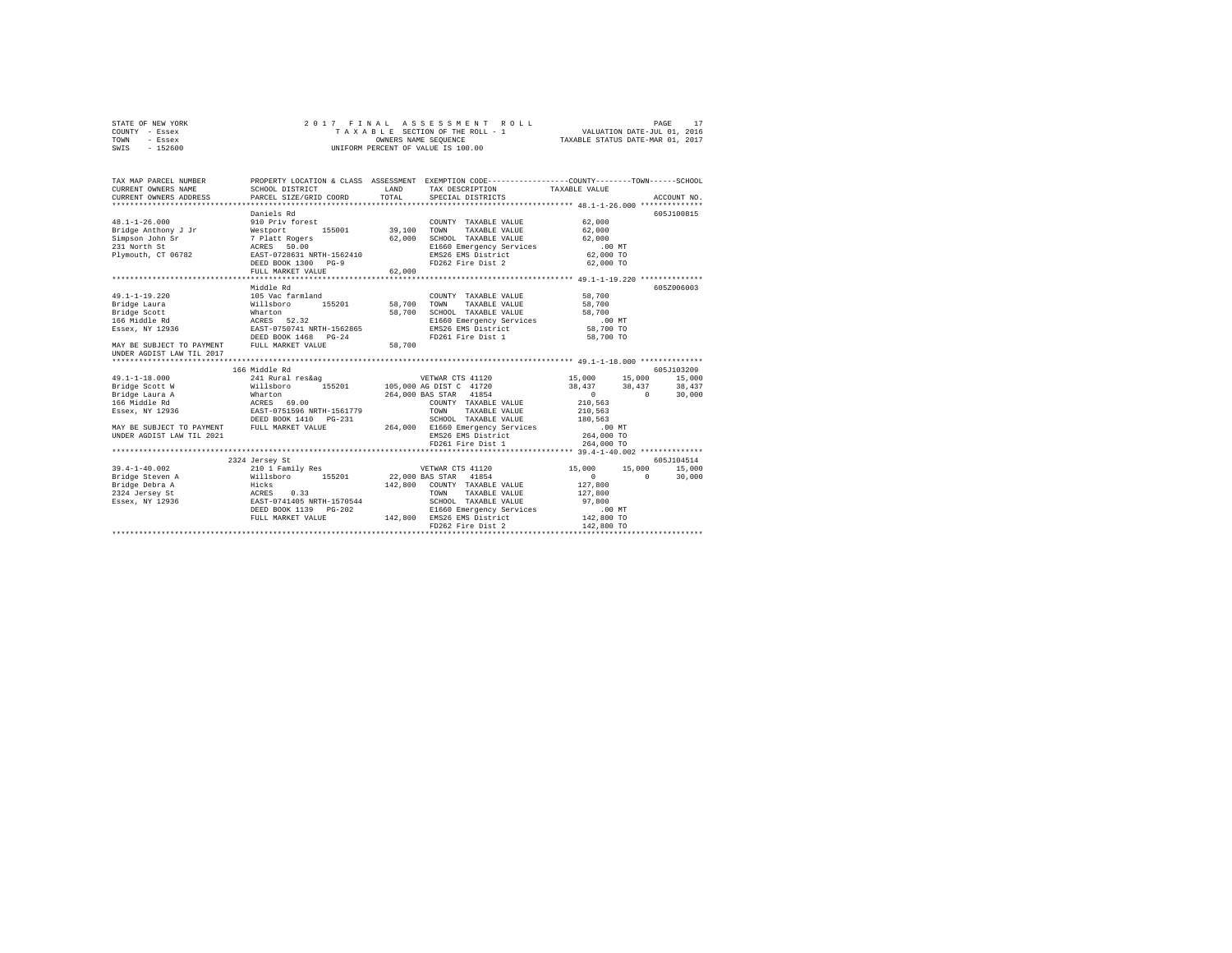| STATE OF NEW YORK | 2017 FINAL ASSESSMENT ROLL         | PAGE                             |
|-------------------|------------------------------------|----------------------------------|
| COUNTY - Essex    | TAXABLE SECTION OF THE ROLL - 1    | VALUATION DATE-JUL 01, 2016      |
| TOWN<br>- Essex   | OWNERS NAME SEOUENCE               | TAXABLE STATUS DATE-MAR 01, 2017 |
| - 152600<br>SWIS  | UNIFORM PERCENT OF VALUE IS 100.00 |                                  |

| TAX MAP PARCEL NUMBER<br>CURRENT OWNERS NAME<br>CURRENT OWNERS ADDRESS              | SCHOOL DISTRICT<br>PARCEL SIZE/GRID COORD                                                                     | LAND<br>TOTAL | PROPERTY LOCATION & CLASS ASSESSMENT EXEMPTION CODE----------------COUNTY-------TOWN-----SCHOOL<br>TAX DESCRIPTION TAXABLE VALUE<br>SPECIAL DISTRICTS      |                                                                                                         | ACCOUNT NO.                    |
|-------------------------------------------------------------------------------------|---------------------------------------------------------------------------------------------------------------|---------------|------------------------------------------------------------------------------------------------------------------------------------------------------------|---------------------------------------------------------------------------------------------------------|--------------------------------|
| $48.1 - 1 - 26.000$<br>Bridge Anthony J Jr<br>Simpson John Sr                       | Daniels Rd<br>910 Priv forest<br>Westport 155001 39,100                                                       | 62,000        | COUNTY TAXABLE VALUE<br>TOWN<br>TAXABLE VALUE<br>SCHOOL TAXABLE VALUE                                                                                      | 62,000<br>62,000<br>62,000                                                                              | 605J100815                     |
| 231 North St<br>Plymouth, CT 06782                                                  | 7 Platt Rogers<br>ACRES 50.00<br>EAST-0728631 NRTH-1562410<br>DEED BOOK 1300 PG-9<br>FULL MARKET VALUE        | 62,000        | E1660 Emergency Services<br>EMS26 EMS District<br>FD262 Fire Dist 2                                                                                        | .00MT<br>62,000 TO<br>62,000 TO                                                                         |                                |
| $49.1 - 1 - 19.220$<br>Bridge Laura                                                 | bg efbbiM<br>105 Vac farmland<br>155201<br>Willsboro                                                          | 58,700        | COUNTY TAXABLE VALUE<br>TOWN<br>TAXABLE VALUE                                                                                                              | 58,700<br>58,700                                                                                        | 6057006003                     |
| Bridge Scott<br>166 Middle Rd<br>Essex, NY 12936                                    | Wharton<br>ACRES 52.32<br>EAST-0750741 NRTH-1562865<br>DEED BOOK 1468 PG-24                                   | 58,700        | SCHOOL TAXABLE VALUE<br>E1660 Emergency Services<br>EMS26 EMS District<br>FD261 Fire Dist 1                                                                | 58,700<br>.00 MT<br>58,700 TO<br>58,700 TO                                                              |                                |
| MAY BE SUBJECT TO PAYMENT<br>UNDER AGDIST LAW TIL 2017                              | FULL MARKET VALUE<br>166 Middle Rd                                                                            | 58,700        |                                                                                                                                                            |                                                                                                         | 605J103209                     |
| $49.1 - 1 - 18.000$<br>Bridge Scott W<br>Essex, NY 12936                            | 241 Rural res&ag<br>Willsboro<br>DEED BOOK 1410  PG-231                                                       |               | 7658ag 765201 vETWAR CTS 2010<br>1957 105,000 AG DIST C<br>264,000 BAS STAR 41854<br>COUNTY TAXABLE VALUE<br>TOWN<br>TAXABLE VALUE<br>SCHOOL TAXABLE VALUE | 15,000<br>15,000<br>$38,437$ $38,437$ $38,437$<br>$\sim$ 0<br>$\sim$ 0<br>210,563<br>210,563<br>180.563 | 15,000<br>30,000               |
| MAY BE SUBJECT TO PAYMENT<br>UNDER AGDIST LAW TIL 2021                              | FULL MARKET VALUE                                                                                             |               | 264,000 E1660 Emergency Services<br>EMS26 EMS District<br>FD261 Fire Dist 1                                                                                | $.00$ MT<br>264,000 TO<br>264,000 TO                                                                    |                                |
| $39.4 - 1 - 40.002$<br>Bridge Steven A<br>Essex, NY 12936 EAST-0741405 NRTH-1570544 | 2324 Jersey St<br>210 1 Family Res<br>Willsboro 155201 22,000 BAS STAR 41854<br>0.33<br>DEED BOOK 1139 PG-202 |               | VETWAR CTS 41120<br>142,800 COUNTY TAXABLE VALUE<br>TAXABLE VALUE<br>TOWN<br>SCHOOL TAXABLE VALUE<br>E1660 Emergency Services                              | 15,000<br>15,000<br>$\Omega$<br>$\Omega$<br>127,800<br>127,800<br>97,800<br>$.00$ MT                    | 605J104514<br>15,000<br>30,000 |
|                                                                                     | FULL MARKET VALUE                                                                                             |               | 142,800 EMS26 EMS District<br>FD262 Fire Dist 2                                                                                                            | 142,800 TO<br>142,800 TO                                                                                |                                |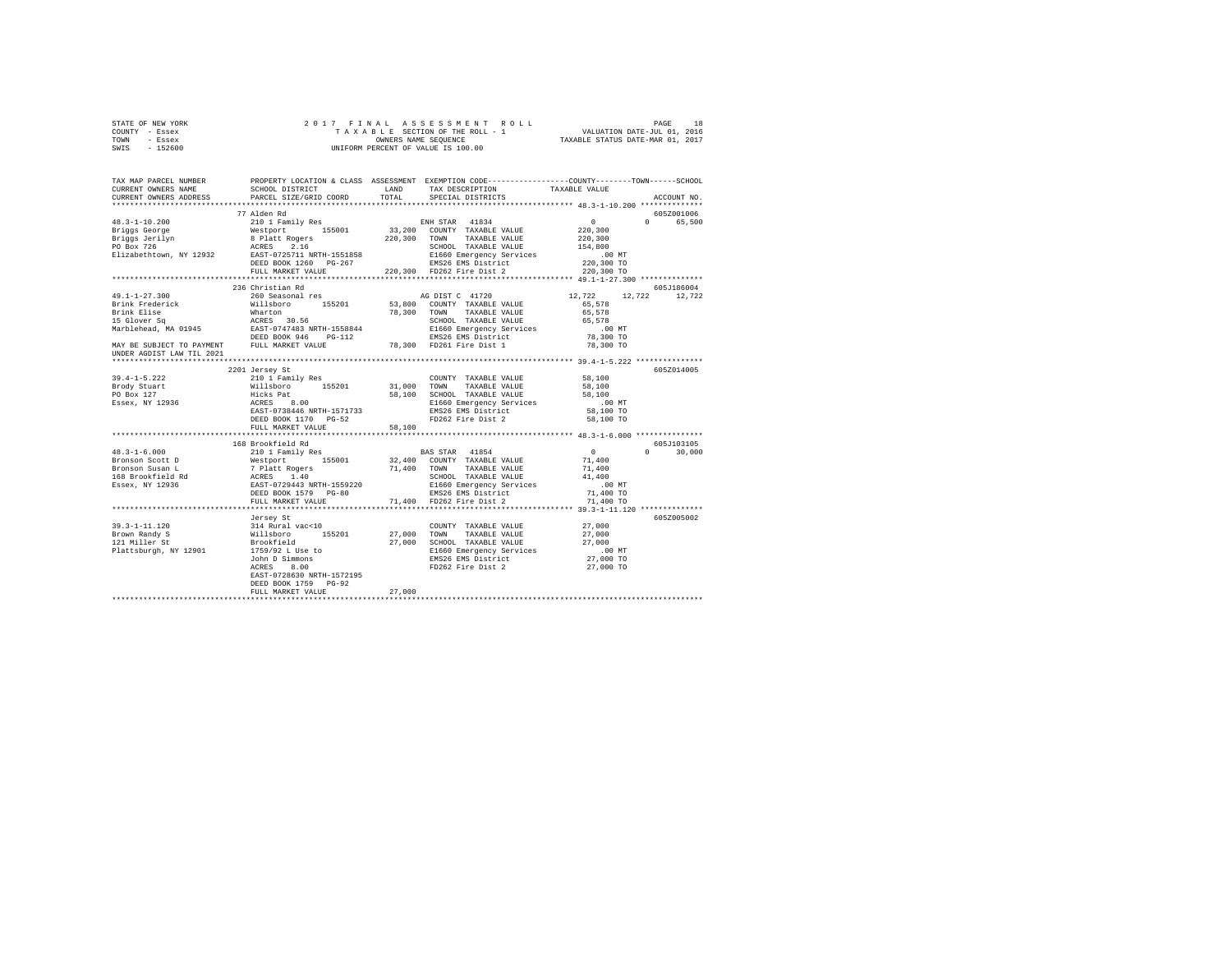| STATE OF NEW YORK | 2017 FINAL ASSESSMENT ROLL         | 18<br>PAGE                       |
|-------------------|------------------------------------|----------------------------------|
| COUNTY - Essex    | TAXABLE SECTION OF THE ROLL - 1    | VALUATION DATE-JUL 01, 2016      |
| TOWN<br>- Essex   | OWNERS NAME SEOUENCE               | TAXABLE STATUS DATE-MAR 01, 2017 |
| - 152600<br>SWIS  | UNIFORM PERCENT OF VALUE IS 100.00 |                                  |

| TAX MAP PARCEL NUMBER<br>CURRENT OWNERS NAME<br>CURRENT OWNERS ADDRESS                                                                                 | SCHOOL DISTRICT<br>PARCEL SIZE/GRID COORD                              | LAND<br>TOTAL | TAX DESCRIPTION<br>SPECIAL DISTRICTS                                | PROPERTY LOCATION & CLASS ASSESSMENT EXEMPTION CODE---------------COUNTY-------TOWN-----SCHOOL<br>TAXABLE VALUE | ACCOUNT NO. |
|--------------------------------------------------------------------------------------------------------------------------------------------------------|------------------------------------------------------------------------|---------------|---------------------------------------------------------------------|-----------------------------------------------------------------------------------------------------------------|-------------|
|                                                                                                                                                        |                                                                        |               |                                                                     |                                                                                                                 |             |
|                                                                                                                                                        | 77 Alden Rd                                                            |               |                                                                     |                                                                                                                 | 605Z001006  |
|                                                                                                                                                        |                                                                        |               |                                                                     | $\sim$ 0<br>$\Omega$                                                                                            | 65,500      |
|                                                                                                                                                        |                                                                        |               |                                                                     | 220,300                                                                                                         |             |
|                                                                                                                                                        |                                                                        |               |                                                                     |                                                                                                                 |             |
|                                                                                                                                                        |                                                                        |               |                                                                     | 220,300<br>154,800                                                                                              |             |
|                                                                                                                                                        |                                                                        |               |                                                                     |                                                                                                                 |             |
|                                                                                                                                                        |                                                                        |               |                                                                     | 00 MT.<br>220,300 TO                                                                                            |             |
|                                                                                                                                                        | FULL MARKET VALUE 220,300 FD262 Fire Dist 2                            |               |                                                                     | 220,300 TO                                                                                                      |             |
|                                                                                                                                                        |                                                                        |               |                                                                     |                                                                                                                 |             |
|                                                                                                                                                        | 236 Christian Rd                                                       |               |                                                                     |                                                                                                                 | 605J186004  |
| $49.1 - 1 - 27.300$                                                                                                                                    | 260 Seasonal res                                                       |               | AG DIST C 41720                                                     | 12,722 12,722 12,722                                                                                            |             |
| Brink Frederick                                                                                                                                        | Willsboro 155201 53,800 COUNTY TAXABLE VALUE                           |               |                                                                     | 65,578                                                                                                          |             |
|                                                                                                                                                        |                                                                        |               | 78,300 TOWN TAXABLE VALUE                                           | 65,578                                                                                                          |             |
|                                                                                                                                                        |                                                                        |               | SCHOOL TAXABLE VALUE                                                | 65,578                                                                                                          |             |
|                                                                                                                                                        |                                                                        |               | E1660 Emergency Services<br>EMS26 EMS District                      | $.00$ MT<br>00 MT.<br>78,300 TO                                                                                 |             |
|                                                                                                                                                        |                                                                        |               |                                                                     |                                                                                                                 |             |
| Brink Elise Mharton<br>15 Glover Sq = ACRES 30.56<br>Marblehead, MA 01945 = EAST-0747483 NRTH-1558844<br>MAY BE SUBJECT TO PAYMENT = FULL MARKET VALUE |                                                                        |               | 78,300 FD261 Fire Dist 1                                            | 78,300 TO                                                                                                       |             |
| UNDER AGDIST LAW TIL 2021                                                                                                                              |                                                                        |               |                                                                     |                                                                                                                 |             |
|                                                                                                                                                        |                                                                        |               |                                                                     |                                                                                                                 | 605Z014005  |
| $39.4 - 1 - 5.222$                                                                                                                                     | 2201 Jersey St                                                         |               | COUNTY TAXABLE VALUE 58,100                                         |                                                                                                                 |             |
|                                                                                                                                                        |                                                                        |               |                                                                     | 58,100                                                                                                          |             |
| Brody Stuart<br>PO Box 127                                                                                                                             |                                                                        |               | 58,100 SCHOOL TAXABLE VALUE                                         | 58,100                                                                                                          |             |
| Essex, NY 12936                                                                                                                                        |                                                                        |               |                                                                     | $.00$ MT                                                                                                        |             |
|                                                                                                                                                        |                                                                        |               | E1660 Emergency Services<br>EMS26 EMS District                      | 58,100 TO                                                                                                       |             |
|                                                                                                                                                        | DEED BOOK 1170 PG-52                                                   |               | FD262 Fire Dist 2                                                   | 58,100 TO                                                                                                       |             |
|                                                                                                                                                        | FULL MARKET VALUE                                                      | 58,100        |                                                                     |                                                                                                                 |             |
|                                                                                                                                                        |                                                                        |               |                                                                     |                                                                                                                 |             |
|                                                                                                                                                        | 168 Brookfield Rd                                                      |               |                                                                     |                                                                                                                 | 605J103105  |
|                                                                                                                                                        |                                                                        |               |                                                                     | $\Omega$                                                                                                        | 30,000      |
|                                                                                                                                                        |                                                                        |               |                                                                     |                                                                                                                 |             |
|                                                                                                                                                        |                                                                        |               |                                                                     |                                                                                                                 |             |
|                                                                                                                                                        |                                                                        |               |                                                                     |                                                                                                                 |             |
|                                                                                                                                                        |                                                                        |               |                                                                     |                                                                                                                 |             |
|                                                                                                                                                        |                                                                        |               |                                                                     |                                                                                                                 |             |
|                                                                                                                                                        | FULL MARKET VALUE                                                      |               | 71,400 FD262 Fire Dist 2                                            | 71,400 TO                                                                                                       |             |
|                                                                                                                                                        |                                                                        |               |                                                                     |                                                                                                                 |             |
|                                                                                                                                                        | Jersey St                                                              |               |                                                                     |                                                                                                                 | 605Z005002  |
| $39.3 - 1 - 11.120$                                                                                                                                    | 314 Rural vac<10<br>Willsboro 155201<br>Brookfield<br>1759/92 L Use to |               | COUNTY TAXABLE VALUE 27,000                                         |                                                                                                                 |             |
| Brown Randy S                                                                                                                                          |                                                                        |               | 27,000 TOWN TAXABLE VALUE                                           | 27,000                                                                                                          |             |
| 121 Miller St                                                                                                                                          |                                                                        |               | 27,000 SCHOOL TAXABLE VALUE                                         | 27,000                                                                                                          |             |
| Plattsburgh, NY 12901                                                                                                                                  |                                                                        |               | E1660 Emergency Services<br>EMS26 EMS District<br>FD262 Fire Dist 2 | .00 MT                                                                                                          |             |
|                                                                                                                                                        | John D Simmons<br>ACRES 8.00                                           |               |                                                                     | 27,000 TO                                                                                                       |             |
|                                                                                                                                                        | EAST-0728630 NRTH-1572195                                              |               |                                                                     | 27,000 TO                                                                                                       |             |
|                                                                                                                                                        | DEED BOOK 1759 PG-92                                                   |               |                                                                     |                                                                                                                 |             |
|                                                                                                                                                        | FULL MARKET VALUE                                                      | 27,000        |                                                                     |                                                                                                                 |             |
|                                                                                                                                                        |                                                                        |               |                                                                     |                                                                                                                 |             |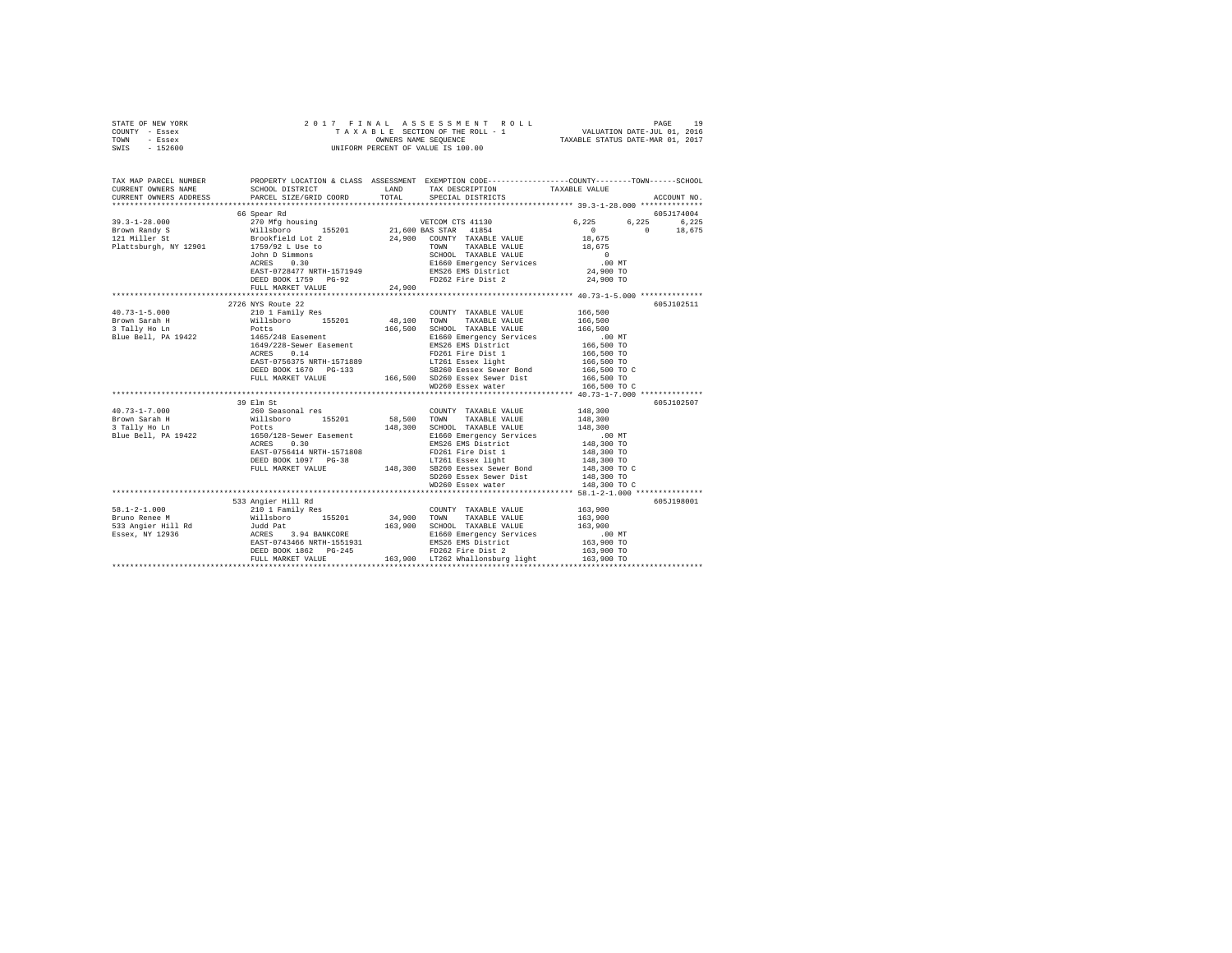| STATE OF NEW YORK | 2017 FINAL ASSESSMENT ROLL         | 19<br>PAGE                       |
|-------------------|------------------------------------|----------------------------------|
| COUNTY - Essex    | TAXABLE SECTION OF THE ROLL - 1    | VALUATION DATE-JUL 01, 2016      |
| TOWN<br>- Essex   | OWNERS NAME SEOUENCE               | TAXABLE STATUS DATE-MAR 01, 2017 |
| - 152600<br>SWIS  | UNIFORM PERCENT OF VALUE IS 100.00 |                                  |

| TAX MAP PARCEL NUMBER                                                                                                                                                                                                                                                                                                                                                                                                                  | PROPERTY LOCATION & CLASS ASSESSMENT EXEMPTION CODE---------------COUNTY-------TOWN-----SCHOOL |                                                                                                                                                                                                                                                                                                                                                                                                                                                   |                        |             |
|----------------------------------------------------------------------------------------------------------------------------------------------------------------------------------------------------------------------------------------------------------------------------------------------------------------------------------------------------------------------------------------------------------------------------------------|------------------------------------------------------------------------------------------------|---------------------------------------------------------------------------------------------------------------------------------------------------------------------------------------------------------------------------------------------------------------------------------------------------------------------------------------------------------------------------------------------------------------------------------------------------|------------------------|-------------|
| CURRENT OWNERS ADDRESS PARCEL SIZE/GRID COORD TOTAL SPECIAL DISTRICTS                                                                                                                                                                                                                                                                                                                                                                  |                                                                                                |                                                                                                                                                                                                                                                                                                                                                                                                                                                   |                        | ACCOUNT NO. |
|                                                                                                                                                                                                                                                                                                                                                                                                                                        |                                                                                                |                                                                                                                                                                                                                                                                                                                                                                                                                                                   |                        | 605J174004  |
|                                                                                                                                                                                                                                                                                                                                                                                                                                        |                                                                                                |                                                                                                                                                                                                                                                                                                                                                                                                                                                   | 6,225 6,225 6,225      |             |
|                                                                                                                                                                                                                                                                                                                                                                                                                                        |                                                                                                |                                                                                                                                                                                                                                                                                                                                                                                                                                                   |                        |             |
|                                                                                                                                                                                                                                                                                                                                                                                                                                        |                                                                                                |                                                                                                                                                                                                                                                                                                                                                                                                                                                   | $0$ 0 18,675<br>18,675 |             |
|                                                                                                                                                                                                                                                                                                                                                                                                                                        |                                                                                                |                                                                                                                                                                                                                                                                                                                                                                                                                                                   |                        |             |
|                                                                                                                                                                                                                                                                                                                                                                                                                                        |                                                                                                |                                                                                                                                                                                                                                                                                                                                                                                                                                                   |                        |             |
|                                                                                                                                                                                                                                                                                                                                                                                                                                        |                                                                                                |                                                                                                                                                                                                                                                                                                                                                                                                                                                   |                        |             |
|                                                                                                                                                                                                                                                                                                                                                                                                                                        |                                                                                                |                                                                                                                                                                                                                                                                                                                                                                                                                                                   |                        |             |
|                                                                                                                                                                                                                                                                                                                                                                                                                                        |                                                                                                |                                                                                                                                                                                                                                                                                                                                                                                                                                                   |                        |             |
|                                                                                                                                                                                                                                                                                                                                                                                                                                        | FULL MARKET VALUE 24,900                                                                       |                                                                                                                                                                                                                                                                                                                                                                                                                                                   |                        |             |
|                                                                                                                                                                                                                                                                                                                                                                                                                                        |                                                                                                |                                                                                                                                                                                                                                                                                                                                                                                                                                                   |                        |             |
| $\begin{tabular}{l c c c c} \multicolumn{3}{c}{40.73--1-5.000} & \multicolumn{3}{c}{2726 NTS} \multicolumn{3}{c}{N26 NTS} & \multicolumn{3}{c}{COUNITY} & TAXABLE VALUE & 166,500 \\ \multicolumn{3}{c}{Brown} & \multicolumn{3}{c}{N201} & Tami1y Res & \multicolumn{3}{c}{COUNITY} & TAXABLE VALUE & 166,500 \\ \multicolumn{3}{c}{Brown} & \multicolumn{3}{c}{N211} & \multicolumn{3}{c}{M111} \end{tabular} & \multicolumn{3}{c}{$ | 2726 NYS Route 22                                                                              |                                                                                                                                                                                                                                                                                                                                                                                                                                                   |                        | 605J102511  |
|                                                                                                                                                                                                                                                                                                                                                                                                                                        |                                                                                                |                                                                                                                                                                                                                                                                                                                                                                                                                                                   |                        |             |
|                                                                                                                                                                                                                                                                                                                                                                                                                                        |                                                                                                |                                                                                                                                                                                                                                                                                                                                                                                                                                                   |                        |             |
|                                                                                                                                                                                                                                                                                                                                                                                                                                        |                                                                                                |                                                                                                                                                                                                                                                                                                                                                                                                                                                   |                        |             |
|                                                                                                                                                                                                                                                                                                                                                                                                                                        |                                                                                                |                                                                                                                                                                                                                                                                                                                                                                                                                                                   |                        |             |
|                                                                                                                                                                                                                                                                                                                                                                                                                                        |                                                                                                |                                                                                                                                                                                                                                                                                                                                                                                                                                                   |                        |             |
|                                                                                                                                                                                                                                                                                                                                                                                                                                        |                                                                                                |                                                                                                                                                                                                                                                                                                                                                                                                                                                   |                        |             |
|                                                                                                                                                                                                                                                                                                                                                                                                                                        |                                                                                                |                                                                                                                                                                                                                                                                                                                                                                                                                                                   |                        |             |
|                                                                                                                                                                                                                                                                                                                                                                                                                                        |                                                                                                |                                                                                                                                                                                                                                                                                                                                                                                                                                                   |                        |             |
|                                                                                                                                                                                                                                                                                                                                                                                                                                        |                                                                                                | WD260 Essex water                                                                                                                                                                                                                                                                                                                                                                                                                                 | 166,500 TO C           |             |
|                                                                                                                                                                                                                                                                                                                                                                                                                                        |                                                                                                |                                                                                                                                                                                                                                                                                                                                                                                                                                                   |                        |             |
|                                                                                                                                                                                                                                                                                                                                                                                                                                        | 39 Elm St                                                                                      |                                                                                                                                                                                                                                                                                                                                                                                                                                                   |                        | 605J102507  |
| $\begin{tabular}{l c c c c c} \multicolumn{3}{c c c c} \multicolumn{3}{c c c} \multicolumn{3}{c c c} \multicolumn{3}{c c c} \multicolumn{3}{c c c} \multicolumn{3}{c c c} \multicolumn{3}{c c c} \multicolumn{3}{c c c} \multicolumn{3}{c c c} \multicolumn{3}{c c c} \multicolumn{3}{c c c} \multicolumn{3}{c c c} \multicolumn{3}{c c c} \multicolumn{3}{c c c} \multicolumn{3}{c c c} \multicolumn{$                                |                                                                                                |                                                                                                                                                                                                                                                                                                                                                                                                                                                   |                        |             |
|                                                                                                                                                                                                                                                                                                                                                                                                                                        |                                                                                                |                                                                                                                                                                                                                                                                                                                                                                                                                                                   |                        |             |
|                                                                                                                                                                                                                                                                                                                                                                                                                                        |                                                                                                |                                                                                                                                                                                                                                                                                                                                                                                                                                                   |                        |             |
|                                                                                                                                                                                                                                                                                                                                                                                                                                        |                                                                                                |                                                                                                                                                                                                                                                                                                                                                                                                                                                   |                        |             |
|                                                                                                                                                                                                                                                                                                                                                                                                                                        |                                                                                                |                                                                                                                                                                                                                                                                                                                                                                                                                                                   |                        |             |
|                                                                                                                                                                                                                                                                                                                                                                                                                                        |                                                                                                |                                                                                                                                                                                                                                                                                                                                                                                                                                                   |                        |             |
|                                                                                                                                                                                                                                                                                                                                                                                                                                        |                                                                                                |                                                                                                                                                                                                                                                                                                                                                                                                                                                   |                        |             |
|                                                                                                                                                                                                                                                                                                                                                                                                                                        |                                                                                                |                                                                                                                                                                                                                                                                                                                                                                                                                                                   |                        |             |
|                                                                                                                                                                                                                                                                                                                                                                                                                                        |                                                                                                | $\begin{tabular}{llllll} \texttt{SD260 Essex} & \texttt{Sewer} & \texttt{Dist} & & \texttt{148,300 TO} \\ \texttt{WD260 Essex water} & & & \texttt{148,300 TO C} \end{tabular}$                                                                                                                                                                                                                                                                   |                        |             |
|                                                                                                                                                                                                                                                                                                                                                                                                                                        |                                                                                                |                                                                                                                                                                                                                                                                                                                                                                                                                                                   |                        |             |
|                                                                                                                                                                                                                                                                                                                                                                                                                                        | 533 Angier Hill Rd                                                                             |                                                                                                                                                                                                                                                                                                                                                                                                                                                   |                        | 605J198001  |
| $58.1 - 2 - 1.000$                                                                                                                                                                                                                                                                                                                                                                                                                     |                                                                                                | $\begin{tabular}{lllllllll} \multicolumn{2}{c}{\textbf{COUNTY}} & \textbf{TAXABLE VALUE} & & & 163,900 \\ \multicolumn{2}{c}{\textbf{TOWN}} & \textbf{TAXABLE VALUE} & & 163,900 \\ \multicolumn{2}{c}{\textbf{TOWN}} & \textbf{TAXABLE VALUE} & & & 163,900 \\ \multicolumn{2}{c}{\textbf{TOWN}} & \textbf{TAXABLE VALUE} & & & 163,900 \\ \multicolumn{2}{c}{\textbf{TOWN}} & \textbf{SUSY} & \textbf{SUSY} & \textbf{SUSY} & \textbf{SUSY} \\$ |                        |             |
|                                                                                                                                                                                                                                                                                                                                                                                                                                        |                                                                                                |                                                                                                                                                                                                                                                                                                                                                                                                                                                   |                        |             |
|                                                                                                                                                                                                                                                                                                                                                                                                                                        |                                                                                                |                                                                                                                                                                                                                                                                                                                                                                                                                                                   |                        |             |
|                                                                                                                                                                                                                                                                                                                                                                                                                                        |                                                                                                |                                                                                                                                                                                                                                                                                                                                                                                                                                                   |                        |             |
|                                                                                                                                                                                                                                                                                                                                                                                                                                        |                                                                                                |                                                                                                                                                                                                                                                                                                                                                                                                                                                   |                        |             |
|                                                                                                                                                                                                                                                                                                                                                                                                                                        |                                                                                                |                                                                                                                                                                                                                                                                                                                                                                                                                                                   |                        |             |
|                                                                                                                                                                                                                                                                                                                                                                                                                                        |                                                                                                |                                                                                                                                                                                                                                                                                                                                                                                                                                                   |                        |             |
|                                                                                                                                                                                                                                                                                                                                                                                                                                        |                                                                                                |                                                                                                                                                                                                                                                                                                                                                                                                                                                   |                        |             |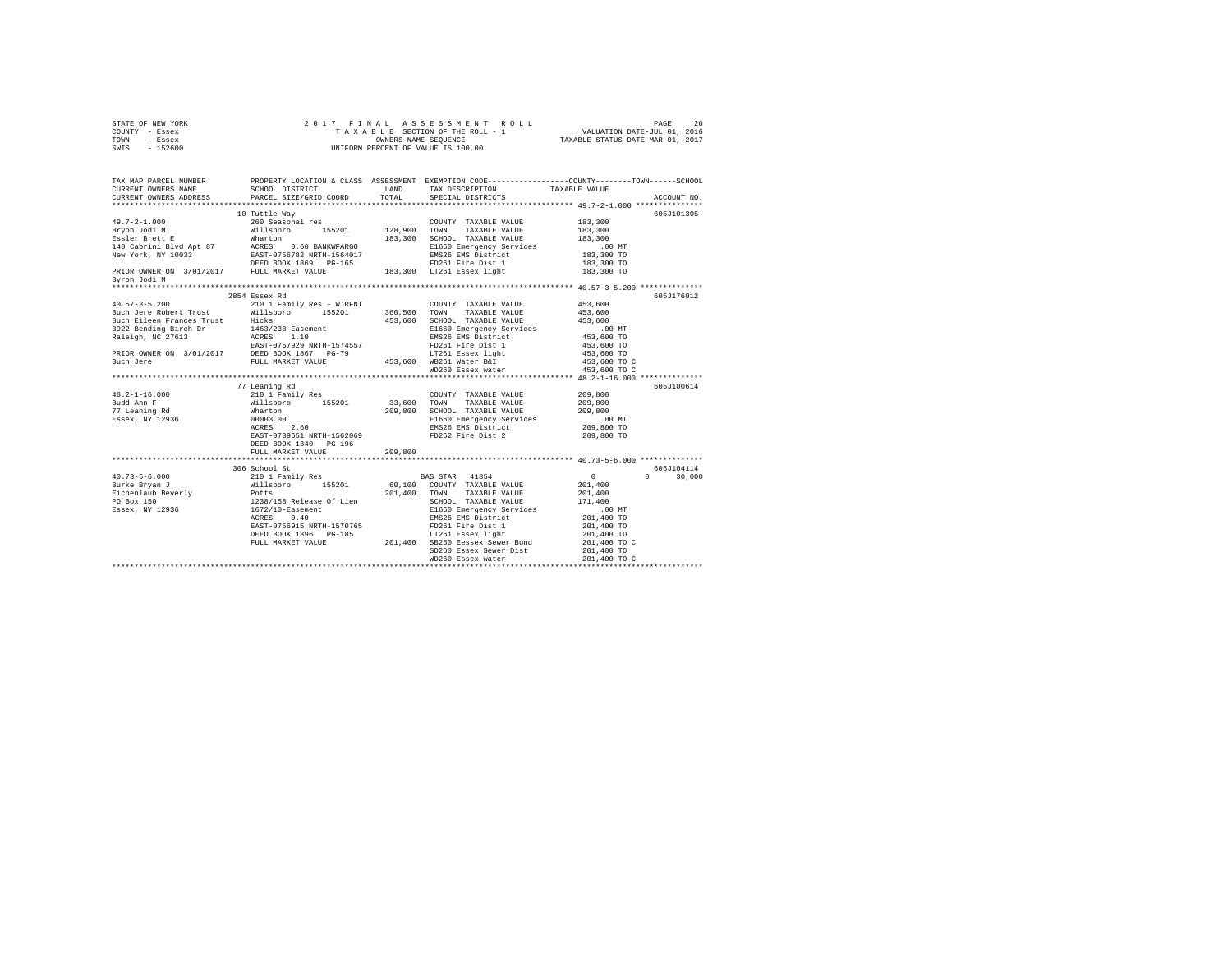|      | STATE OF NEW YORK |  |  | 2017 FINAL ASSESSMENT ROLL         | PAGE                             | 20 |
|------|-------------------|--|--|------------------------------------|----------------------------------|----|
|      | COUNTY - Essex    |  |  | TAXABLE SECTION OF THE ROLL - 1    | VALUATION DATE-JUL 01, 2016      |    |
| TOWN | - Essex           |  |  | OWNERS NAME SEOUENCE               | TAXABLE STATUS DATE-MAR 01, 2017 |    |
| SWIS | $-152600$         |  |  | UNIFORM PERCENT OF VALUE IS 100.00 |                                  |    |

| Byron Jodi M | 10 Tuttle Way                                                                                                                                                                                                                                                                                                                                                                                                              |         |                                                                                                                                  |                              | 605J101305                  |
|--------------|----------------------------------------------------------------------------------------------------------------------------------------------------------------------------------------------------------------------------------------------------------------------------------------------------------------------------------------------------------------------------------------------------------------------------|---------|----------------------------------------------------------------------------------------------------------------------------------|------------------------------|-----------------------------|
|              | 2854 Essex Rd<br>$\begin{tabular}{l c c c c} \multicolumn{1}{c}{\textbf{45.3, 600}} & \multicolumn{1}{c}{2854} & \multicolumn{1}{c}{2854} & \multicolumn{1}{c}{2854} & \multicolumn{1}{c}{2854} & \multicolumn{1}{c}{2854} & \multicolumn{1}{c}{2854} & \multicolumn{1}{c}{2854} & \multicolumn{1}{c}{2854} & \multicolumn{1}{c}{2854} & \multicolumn{1}{c}{2854} & \multicolumn{1}{c}{2854} & \multicolumn{1}{c}{2854} &$ |         |                                                                                                                                  | 453,600 TO C<br>453,600 TO C | 605J176012                  |
|              | 77 Leaning Rd<br>EAST-0739651 NRTH-1562069<br>DEED BOOK 1340 PG-196<br>FULL MARKET VALUE                                                                                                                                                                                                                                                                                                                                   | 209,800 | COUNTY TAXABLE VALUE 209,800<br>E1660 Emergency Services .00 MT<br>EMS26 EMS District 209,800 TO<br>FD262 Fire Dist 2 209,800 TO | 209,800<br>209,800           | 605J100614                  |
|              | 306 School St                                                                                                                                                                                                                                                                                                                                                                                                              |         | SD260 Essex Sewer Dist 201,400 TO<br>WD260 Essex water 201,400 TO                                                                | 201,400 TO C                 | 605J104114<br>$0 \t 30,000$ |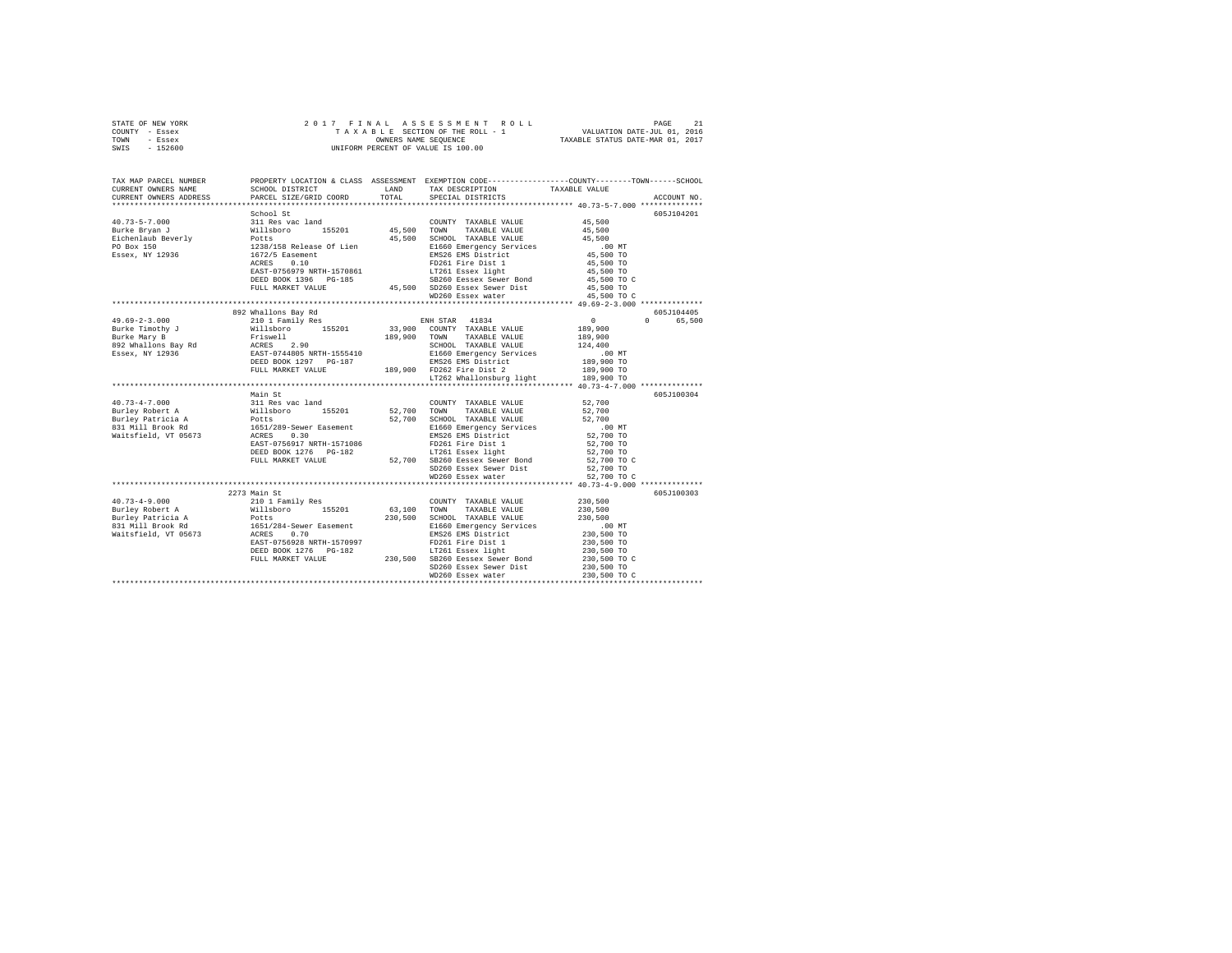|      | STATE OF NEW YORK |  |  | 2017 FINAL ASSESSMENT ROLL         | PAGE                             |  |
|------|-------------------|--|--|------------------------------------|----------------------------------|--|
|      | COUNTY - Essex    |  |  | TAXABLE SECTION OF THE ROLL - 1    | VALUATION DATE-JUL 01, 2016      |  |
| TOWN | - Essex           |  |  | OWNERS NAME SEOUENCE               | TAXABLE STATUS DATE-MAR 01, 2017 |  |
| SWIS | - 152600          |  |  | UNIFORM PERCENT OF VALUE IS 100.00 |                                  |  |

| TAX MAP PARCEL NUMBER<br>CURRENT OWNERS NAME<br>CURRENT OWNERS ADDRESS                                                                                                                                                                                                                                                                        | SCHOOL DISTRICT TAND TAX DESCRIPTION<br>PARCEL SIZE/GRID COORD | TOTAL | PROPERTY LOCATION & CLASS ASSESSMENT EXEMPTION CODE---------------COUNTY-------TOWN------SCHOOL<br>SPECIAL DISTRICTS                                                                                           | TAXABLE VALUE                   | ACCOUNT NO.        |
|-----------------------------------------------------------------------------------------------------------------------------------------------------------------------------------------------------------------------------------------------------------------------------------------------------------------------------------------------|----------------------------------------------------------------|-------|----------------------------------------------------------------------------------------------------------------------------------------------------------------------------------------------------------------|---------------------------------|--------------------|
|                                                                                                                                                                                                                                                                                                                                               |                                                                |       |                                                                                                                                                                                                                |                                 |                    |
|                                                                                                                                                                                                                                                                                                                                               | School St                                                      |       |                                                                                                                                                                                                                |                                 | 605J104201         |
|                                                                                                                                                                                                                                                                                                                                               |                                                                |       |                                                                                                                                                                                                                |                                 |                    |
|                                                                                                                                                                                                                                                                                                                                               |                                                                |       |                                                                                                                                                                                                                |                                 |                    |
|                                                                                                                                                                                                                                                                                                                                               |                                                                |       |                                                                                                                                                                                                                |                                 |                    |
|                                                                                                                                                                                                                                                                                                                                               |                                                                |       |                                                                                                                                                                                                                |                                 |                    |
|                                                                                                                                                                                                                                                                                                                                               |                                                                |       |                                                                                                                                                                                                                |                                 |                    |
|                                                                                                                                                                                                                                                                                                                                               |                                                                |       | ACRES 0.10 FD261 Fire Dist 1<br>EAST-0756979 NRTH-1570861 LT261 Essex light                                                                                                                                    | 45,500 TO<br>45,500 TO          |                    |
|                                                                                                                                                                                                                                                                                                                                               |                                                                |       |                                                                                                                                                                                                                |                                 |                    |
|                                                                                                                                                                                                                                                                                                                                               | DEED BOOK 1396 PG-185                                          |       | 3-185 SB260 Eessex Sewer Bond<br>45,500 SD260 Essex Sewer Dist                                                                                                                                                 | 45,500 TO C<br>45,500 TO        |                    |
|                                                                                                                                                                                                                                                                                                                                               | FULL MARKET VALUE                                              |       |                                                                                                                                                                                                                |                                 |                    |
|                                                                                                                                                                                                                                                                                                                                               |                                                                |       | WD260 Essex water                                                                                                                                                                                              | 45,500 TO C                     |                    |
|                                                                                                                                                                                                                                                                                                                                               |                                                                |       |                                                                                                                                                                                                                |                                 |                    |
| $\begin{tabular}{l c c c c} \multicolumn{3}{c}{49.69-2-3.000} & $92$ &\multicolumn{3}{c}{2011~Pamily~Res}} & $818$ &\multicolumn{3}{c}{2011~Pamily~Res}} & $183.900$ & $101.98$ &\multicolumn{3}{c}{2011~Pamily~Res}} & $183.900$ & $101.98$ &\multicolumn{3}{c}{2011~Pamily~Res}} & $189.900$ & $189.900$ & $189.900$ & $189.900$ & $189.90$ | 892 Whallons Bay Rd                                            |       |                                                                                                                                                                                                                |                                 | 605J104405         |
|                                                                                                                                                                                                                                                                                                                                               |                                                                |       |                                                                                                                                                                                                                |                                 | $\Omega$<br>65,500 |
|                                                                                                                                                                                                                                                                                                                                               |                                                                |       |                                                                                                                                                                                                                |                                 |                    |
|                                                                                                                                                                                                                                                                                                                                               |                                                                |       |                                                                                                                                                                                                                |                                 |                    |
|                                                                                                                                                                                                                                                                                                                                               |                                                                |       |                                                                                                                                                                                                                |                                 |                    |
|                                                                                                                                                                                                                                                                                                                                               |                                                                |       |                                                                                                                                                                                                                | 124,400<br>00 MT.<br>189,900 TO |                    |
|                                                                                                                                                                                                                                                                                                                                               |                                                                |       |                                                                                                                                                                                                                |                                 |                    |
|                                                                                                                                                                                                                                                                                                                                               |                                                                |       |                                                                                                                                                                                                                | 189,900 TO                      |                    |
|                                                                                                                                                                                                                                                                                                                                               |                                                                |       | LT262 Whallonsburg light                                                                                                                                                                                       | 189,900 TO                      |                    |
|                                                                                                                                                                                                                                                                                                                                               | Main St                                                        |       |                                                                                                                                                                                                                |                                 | 605J100304         |
|                                                                                                                                                                                                                                                                                                                                               |                                                                |       | COUNTY TAXABLE VALUE 52,700                                                                                                                                                                                    |                                 |                    |
|                                                                                                                                                                                                                                                                                                                                               |                                                                |       |                                                                                                                                                                                                                | 52,700                          |                    |
|                                                                                                                                                                                                                                                                                                                                               |                                                                |       | 52,700 SCHOOL TAXABLE VALUE                                                                                                                                                                                    | 52,700                          |                    |
|                                                                                                                                                                                                                                                                                                                                               |                                                                |       |                                                                                                                                                                                                                |                                 |                    |
|                                                                                                                                                                                                                                                                                                                                               |                                                                |       | E1660 Emergency Services .00 MT<br>EMS26 EMS District 52,700 TO                                                                                                                                                |                                 |                    |
|                                                                                                                                                                                                                                                                                                                                               |                                                                |       |                                                                                                                                                                                                                | 52,700 TO                       |                    |
|                                                                                                                                                                                                                                                                                                                                               |                                                                |       | EAST-0756917 NRTH-1571086<br>DEED BOOK 1276 PG-182<br>FULL MARKET VALUE 96-182 52,700 SB260 Eesex Sewer Bond                                                                                                   |                                 |                    |
|                                                                                                                                                                                                                                                                                                                                               |                                                                |       |                                                                                                                                                                                                                | 52,700 TO<br>52,700 TO C        |                    |
|                                                                                                                                                                                                                                                                                                                                               |                                                                |       | SD260 Essex Sewer Dist 52,700 TO                                                                                                                                                                               |                                 |                    |
|                                                                                                                                                                                                                                                                                                                                               |                                                                |       | WD260 Essex water                                                                                                                                                                                              | 52,700 TO C                     |                    |
|                                                                                                                                                                                                                                                                                                                                               |                                                                |       | *********************************** 40.73-4-9.000 *************                                                                                                                                                |                                 |                    |
|                                                                                                                                                                                                                                                                                                                                               | 2273 Main St                                                   |       |                                                                                                                                                                                                                |                                 | 605J100303         |
|                                                                                                                                                                                                                                                                                                                                               |                                                                |       | COUNTY TAXABLE VALUE                                                                                                                                                                                           | $2\,3\,0$ , $5\,0\,0$           |                    |
| 40.73-4-9.000<br>Burley Robert A                                                                                                                                                                                                                                                                                                              | 210 1 Family Res<br>Willsboro 155201                           |       |                                                                                                                                                                                                                | 230,500                         |                    |
|                                                                                                                                                                                                                                                                                                                                               |                                                                |       |                                                                                                                                                                                                                |                                 |                    |
|                                                                                                                                                                                                                                                                                                                                               |                                                                |       |                                                                                                                                                                                                                |                                 |                    |
|                                                                                                                                                                                                                                                                                                                                               |                                                                |       | Notional American Control of Marshall (1992)<br>E1660 Emergency Services<br>E1660 Emergency Services<br>FD261 Fire Dist 1 230,500 TO<br>17261 Essex light 230,500 TO C<br>SB260 Eessex Sewer Bond 230,500 TO C |                                 |                    |
|                                                                                                                                                                                                                                                                                                                                               |                                                                |       |                                                                                                                                                                                                                |                                 |                    |
|                                                                                                                                                                                                                                                                                                                                               |                                                                |       |                                                                                                                                                                                                                |                                 |                    |
|                                                                                                                                                                                                                                                                                                                                               |                                                                |       |                                                                                                                                                                                                                |                                 |                    |
|                                                                                                                                                                                                                                                                                                                                               |                                                                |       |                                                                                                                                                                                                                | 230,500 TO                      |                    |
| Furley Robert A<br>Burley Robert A<br>Burley Robert A<br>Burley Robert A<br>Burley Robert A<br>Burley Robert A<br>1651/284-Sewer Easement<br>Raitsfield, VT 05673<br>230,500 EMS26 EMS District<br>EMS26 EMS District<br>FULL MARKET VALUE<br>FULL M                                                                                          |                                                                |       |                                                                                                                                                                                                                |                                 |                    |
|                                                                                                                                                                                                                                                                                                                                               |                                                                |       |                                                                                                                                                                                                                |                                 |                    |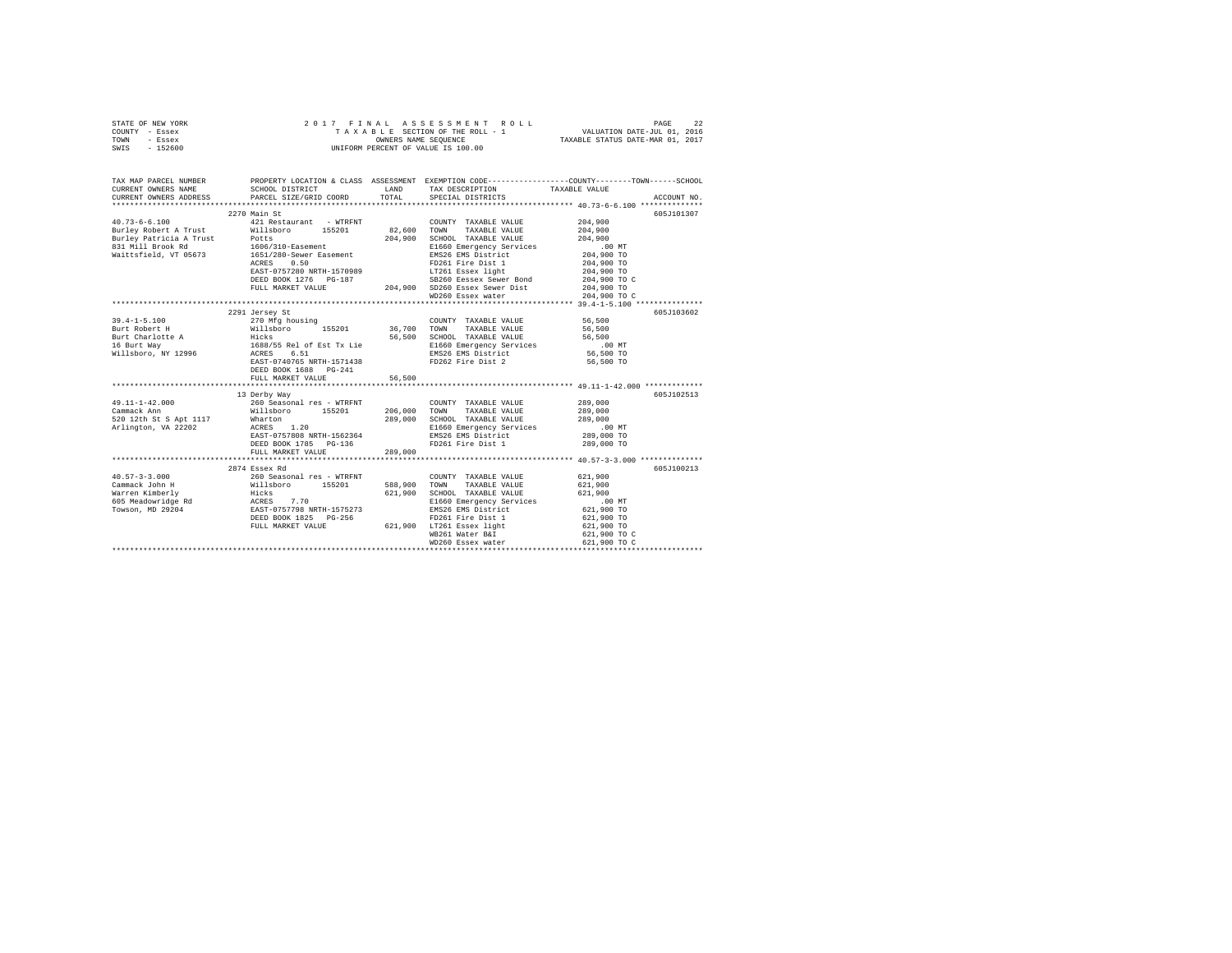| STATE OF NEW YORK | 2017 FINAL ASSESSMENT ROLL         | 22<br>PAGE                       |
|-------------------|------------------------------------|----------------------------------|
| COUNTY - Essex    | TAXABLE SECTION OF THE ROLL - 1    | VALUATION DATE-JUL 01, 2016      |
| TOWN<br>- Essex   | OWNERS NAME SEOUENCE               | TAXABLE STATUS DATE-MAR 01, 2017 |
| - 152600<br>SWIS  | UNIFORM PERCENT OF VALUE IS 100.00 |                                  |

| TAX MAP PARCEL NUMBER<br>CURRENT OWNERS NAME<br>CURRENT OWNERS ADDRESS | SCHOOL DISTRICT<br>PARCEL SIZE/GRID COORD                                                                                                                                                              | LAND<br>TOTAL | TAX DESCRIPTION<br>SPECIAL DISTRICTS                                                                                                                                                                                 | PROPERTY LOCATION & CLASS ASSESSMENT EXEMPTION CODE---------------COUNTY-------TOWN-----SCHOOL<br>TAXABLE VALUE<br>ACCOUNT NO. |
|------------------------------------------------------------------------|--------------------------------------------------------------------------------------------------------------------------------------------------------------------------------------------------------|---------------|----------------------------------------------------------------------------------------------------------------------------------------------------------------------------------------------------------------------|--------------------------------------------------------------------------------------------------------------------------------|
|                                                                        |                                                                                                                                                                                                        |               |                                                                                                                                                                                                                      |                                                                                                                                |
|                                                                        | 2270 Main St                                                                                                                                                                                           |               |                                                                                                                                                                                                                      | 605J101307                                                                                                                     |
| $40.73 - 6 - 6.100$                                                    | 421 Restaurant - WTRFNT                                                                                                                                                                                |               | COUNTY TAXABLE VALUE                                                                                                                                                                                                 | 204,900                                                                                                                        |
| Burley Robert A Trust                                                  | Willsboro 155201                                                                                                                                                                                       | 82,600 TOWN   | TAXABLE VALUE                                                                                                                                                                                                        | 204,900                                                                                                                        |
|                                                                        |                                                                                                                                                                                                        | 204,900       | SCHOOL TAXABLE VALUE                                                                                                                                                                                                 | 204,900                                                                                                                        |
| 831 Mill Brook Rd                                                      | 1606/310-Easement<br>673 1651/280-Sewer Easement                                                                                                                                                       |               | E1660 Emergency Services<br>EMS26 EMS District                                                                                                                                                                       | .00 MT                                                                                                                         |
| Waittsfield, VT 05673                                                  |                                                                                                                                                                                                        |               |                                                                                                                                                                                                                      | 204,900 TO                                                                                                                     |
|                                                                        | 0.50<br>ACRES                                                                                                                                                                                          |               | FD261 Fire Dist 1                                                                                                                                                                                                    | 204,900 TO                                                                                                                     |
|                                                                        |                                                                                                                                                                                                        |               | RAST-0757280 NRTH-1570989 - 2022<br>204,900 TO 204,900 TO 204,900 SD260 RESERVER 204,900 TO 2050 BORD 204,900 TO 204,900 TO 204,900 TO 204,900 TO<br>204,900 SD260 ESSEX Sewer Dist 204,900 TO 204,900 TO 204,900 TO |                                                                                                                                |
|                                                                        |                                                                                                                                                                                                        |               |                                                                                                                                                                                                                      | 204,900 TO C                                                                                                                   |
|                                                                        |                                                                                                                                                                                                        |               |                                                                                                                                                                                                                      |                                                                                                                                |
|                                                                        |                                                                                                                                                                                                        |               | WD260 Essex water                                                                                                                                                                                                    | 204,900 TO C                                                                                                                   |
|                                                                        |                                                                                                                                                                                                        |               |                                                                                                                                                                                                                      |                                                                                                                                |
|                                                                        | 2291 Jersey St                                                                                                                                                                                         |               |                                                                                                                                                                                                                      | 605J103602                                                                                                                     |
| $39.4 - 1 - 5.100$                                                     | 270 Mfg housing                                                                                                                                                                                        |               | COUNTY TAXABLE VALUE                                                                                                                                                                                                 | 56,500                                                                                                                         |
|                                                                        | Burt Robert H 6,500 Willsboro 155201 36,700 TOWN TAXABLE VALUE 56,500                                                                                                                                  |               |                                                                                                                                                                                                                      |                                                                                                                                |
|                                                                        |                                                                                                                                                                                                        |               |                                                                                                                                                                                                                      | 56,500                                                                                                                         |
|                                                                        |                                                                                                                                                                                                        |               | 56,500 SCHOOL TAXABLE VALUE<br>E1660 Emergency Services<br>EMS26 EMS District                                                                                                                                        | $.00$ MT                                                                                                                       |
|                                                                        |                                                                                                                                                                                                        |               |                                                                                                                                                                                                                      | 56,500 TO                                                                                                                      |
|                                                                        | EAST-0740765 NRTH-1571438                                                                                                                                                                              |               | FD262 Fire Dist 2                                                                                                                                                                                                    | 56,500 TO                                                                                                                      |
|                                                                        | DEED BOOK 1688 PG-241                                                                                                                                                                                  |               |                                                                                                                                                                                                                      |                                                                                                                                |
|                                                                        | FULL MARKET VALUE                                                                                                                                                                                      | 56,500        |                                                                                                                                                                                                                      |                                                                                                                                |
|                                                                        |                                                                                                                                                                                                        |               |                                                                                                                                                                                                                      |                                                                                                                                |
|                                                                        | 13 Derby Way                                                                                                                                                                                           |               |                                                                                                                                                                                                                      | 605J102513                                                                                                                     |
| 49.11-1-42.000                                                         | 260 Seasonal res - WTRFNT                                                                                                                                                                              |               | COUNTY TAXABLE VALUE                                                                                                                                                                                                 | 289,000                                                                                                                        |
| The company of the company<br>Cammack Ann                              | Willsboro 155201 206,000 TOWN TAXABLE VALUE                                                                                                                                                            |               |                                                                                                                                                                                                                      | 289,000                                                                                                                        |
| 520 12th St S Apt 1117 Wharton                                         | Wharton<br>ACRES 1.20                                                                                                                                                                                  | 289,000       | SCHOOL TAXABLE VALUE                                                                                                                                                                                                 | 289,000                                                                                                                        |
| Arlington, VA 22202                                                    |                                                                                                                                                                                                        |               | E1660 Emergency Services<br>EMS26 EMS District                                                                                                                                                                       | .00 MT                                                                                                                         |
|                                                                        | EAST-0757808 NRTH-1562364                                                                                                                                                                              |               |                                                                                                                                                                                                                      | 289,000 TO                                                                                                                     |
|                                                                        | DEED BOOK 1785 PG-136                                                                                                                                                                                  |               | FD261 Fire Dist 1                                                                                                                                                                                                    | 289,000 TO                                                                                                                     |
|                                                                        | FULL MARKET VALUE                                                                                                                                                                                      | 289,000       |                                                                                                                                                                                                                      |                                                                                                                                |
|                                                                        |                                                                                                                                                                                                        |               |                                                                                                                                                                                                                      |                                                                                                                                |
|                                                                        | 2874 Essex Rd                                                                                                                                                                                          |               |                                                                                                                                                                                                                      | 605J100213                                                                                                                     |
|                                                                        |                                                                                                                                                                                                        |               | COUNTY TAXABLE VALUE                                                                                                                                                                                                 | 621,900                                                                                                                        |
|                                                                        |                                                                                                                                                                                                        | 588,900       | TOWN<br>TAXABLE VALUE                                                                                                                                                                                                | 621,900                                                                                                                        |
|                                                                        |                                                                                                                                                                                                        | 621,900       | SCHOOL TAXABLE VALUE                                                                                                                                                                                                 | 621,900                                                                                                                        |
|                                                                        |                                                                                                                                                                                                        |               | E1660 Emergency Services                                                                                                                                                                                             | .00MT                                                                                                                          |
|                                                                        | 40.57-3-3.000<br>Cammack John H (1988)<br>Marren Kimberly (1988)<br>Marren Kimberly (1988)<br>Towaon, MD 29204 (1988)<br>Towaon, MD 29204 (1988)<br>Towaon, MD 29204 (1988)<br>Towaon, MD 29204 (1988) |               | EMS26 EMS District<br>ED261 Eire Dist 1                                                                                                                                                                              | 621,900 TO                                                                                                                     |
|                                                                        | DEED BOOK 1825 PG-256                                                                                                                                                                                  |               | FD261 Fire Dist 1                                                                                                                                                                                                    | 621,900 TO                                                                                                                     |
|                                                                        | FULL MARKET VALUE                                                                                                                                                                                      |               | 621,900 LT261 Essex light                                                                                                                                                                                            | 621,900 TO                                                                                                                     |
|                                                                        |                                                                                                                                                                                                        |               | WB261 Water B&I                                                                                                                                                                                                      | 621,900 TO C                                                                                                                   |
|                                                                        |                                                                                                                                                                                                        |               | WD260 Essex water                                                                                                                                                                                                    | 621,900 TO C                                                                                                                   |
|                                                                        |                                                                                                                                                                                                        |               |                                                                                                                                                                                                                      |                                                                                                                                |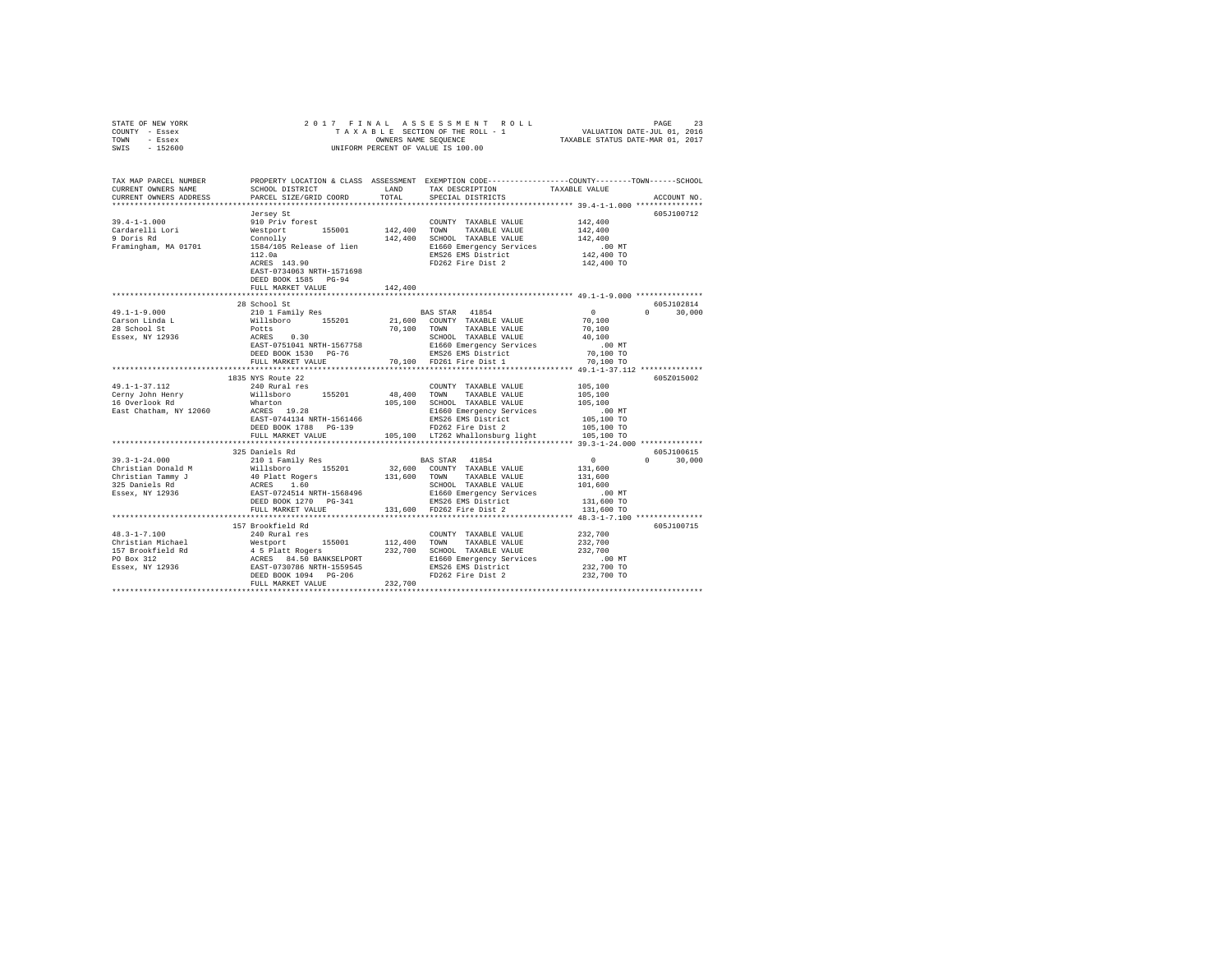| STATE OF NEW YORK<br>COUNTY - Essex<br>TOWN - Essex<br>$-152600$<br>SWIS                                                                                                                                                                | OWNERS NAME SEQUENCE<br>UNIFORM PERCENT OF VALUE IS 100.00 |         |                                                                                                                                                                                                                                         |                        |                    |
|-----------------------------------------------------------------------------------------------------------------------------------------------------------------------------------------------------------------------------------------|------------------------------------------------------------|---------|-----------------------------------------------------------------------------------------------------------------------------------------------------------------------------------------------------------------------------------------|------------------------|--------------------|
| TAX MAP PARCEL NUMBER PROPERTY LOCATION & CLASS ASSESSMENT EXEMPTION CODE---------------COUNTY-------TOWN------SCHOOL                                                                                                                   | SCHOOL DISTRICT LAND                                       |         | TAX DESCRIPTION                                                                                                                                                                                                                         |                        |                    |
| CURRENT OWNERS NAME<br>CURRENT OWNERS ADDRESS                                                                                                                                                                                           | PARCEL SIZE/GRID COORD                                     | TOTAL   | SPECIAL DISTRICTS                                                                                                                                                                                                                       | TAXABLE VALUE          | ACCOUNT NO.        |
|                                                                                                                                                                                                                                         |                                                            |         |                                                                                                                                                                                                                                         |                        |                    |
|                                                                                                                                                                                                                                         | Jersey St                                                  |         |                                                                                                                                                                                                                                         |                        | 605J100712         |
| $39.4 - 1 - 1.000$                                                                                                                                                                                                                      |                                                            |         |                                                                                                                                                                                                                                         | 142,400                |                    |
| Cardarelli Lori<br>9 Doris Rd                                                                                                                                                                                                           |                                                            |         |                                                                                                                                                                                                                                         | 142,400                |                    |
|                                                                                                                                                                                                                                         |                                                            |         |                                                                                                                                                                                                                                         | 142,400                |                    |
| Framingham, MA 01701                                                                                                                                                                                                                    |                                                            |         |                                                                                                                                                                                                                                         | $.00$ MT               |                    |
|                                                                                                                                                                                                                                         | 112.0a<br>ACRES 143.90                                     |         | 910 Priv forest<br>Westport 155001 142,400 TOWN TAXABLE VALUE<br>Connolly Connolly 155001 142,400 SCHOOL TAXABLE VALUE<br>Connolly 1584/105 Release of lien<br>142,400 SCHOOL TAXABLE VALUE<br>EMS26 EMS DES ENSIS DETRICT FOR THE Dist | 142,400 TO             |                    |
|                                                                                                                                                                                                                                         |                                                            |         |                                                                                                                                                                                                                                         | 142,400 TO             |                    |
|                                                                                                                                                                                                                                         | EAST-0734063 NRTH-1571698<br>DEED BOOK 1585 PG-94          |         |                                                                                                                                                                                                                                         |                        |                    |
|                                                                                                                                                                                                                                         | FULL MARKET VALUE                                          | 142,400 |                                                                                                                                                                                                                                         |                        |                    |
|                                                                                                                                                                                                                                         |                                                            |         |                                                                                                                                                                                                                                         |                        |                    |
|                                                                                                                                                                                                                                         | 28 School St                                               |         |                                                                                                                                                                                                                                         |                        | 605J102814         |
| $49.1 - 1 - 9.000$                                                                                                                                                                                                                      | 210 1 Family Res                                           |         | BAS STAR 41854                                                                                                                                                                                                                          | $\sim$ 0               | $\Omega$<br>30,000 |
|                                                                                                                                                                                                                                         | willsboro 155201<br>Potts 2013<br>ACRES 0.30               |         | 21,600 COUNTY TAXABLE VALUE                                                                                                                                                                                                             | 70,100                 |                    |
| Carson Linda L<br>28 School St                                                                                                                                                                                                          |                                                            |         | 70,100 TOWN TAXABLE VALUE                                                                                                                                                                                                               | 70,100                 |                    |
| Essex, NY 12936                                                                                                                                                                                                                         |                                                            |         | SCHOOL TAXABLE VALUE<br>E1660 Emergency Services<br>EMS26 EMS District<br>70,100 FD261 Fire Dist 1                                                                                                                                      | 40,100                 |                    |
|                                                                                                                                                                                                                                         | EAST-0751041 NRTH-1567758                                  |         |                                                                                                                                                                                                                                         | $.00$ MT               |                    |
|                                                                                                                                                                                                                                         | DEED BOOK 1530 PG-76                                       |         |                                                                                                                                                                                                                                         | 70,100 TO              |                    |
|                                                                                                                                                                                                                                         | FULL MARKET VALUE                                          |         |                                                                                                                                                                                                                                         | 70,100 TO              |                    |
|                                                                                                                                                                                                                                         | 1835 NYS Route 22                                          |         |                                                                                                                                                                                                                                         |                        | 605Z015002         |
| 49.1-1-37.112                                                                                                                                                                                                                           | 240 Rural res                                              |         | COUNTY TAXABLE VALUE                                                                                                                                                                                                                    | 105,100                |                    |
|                                                                                                                                                                                                                                         |                                                            |         |                                                                                                                                                                                                                                         | 105,100                |                    |
|                                                                                                                                                                                                                                         |                                                            |         | 48,400 TOWN TAXABLE VALUE<br>105,100 SCHOOL TAXABLE VALUE                                                                                                                                                                               | 105,100                |                    |
|                                                                                                                                                                                                                                         |                                                            |         | E1660 Emergency Services                                                                                                                                                                                                                | $.00$ MT               |                    |
|                                                                                                                                                                                                                                         |                                                            |         | EAST-0744134 NRTH-1561466<br>EMS26 EMS District<br>FD262 Fire Dist 2<br>FIRED BOX 1788 PD262 Fire Dist 2                                                                                                                                | 105,100 TO             |                    |
|                                                                                                                                                                                                                                         |                                                            |         |                                                                                                                                                                                                                                         | 105,100 TO             |                    |
|                                                                                                                                                                                                                                         | FULL MARKET VALUE                                          |         | 105,100 LT262 Whallonsburg light                                                                                                                                                                                                        | 105,100 TO             |                    |
|                                                                                                                                                                                                                                         |                                                            |         |                                                                                                                                                                                                                                         |                        |                    |
| $39.3 - 1 - 24.000$                                                                                                                                                                                                                     | 325 Daniels Rd                                             |         | <b>BAS STAR</b> 41854                                                                                                                                                                                                                   | $\sim$ 0               | 605J100615         |
|                                                                                                                                                                                                                                         | 210 1 Family Res                                           |         |                                                                                                                                                                                                                                         | 131,600                | $0 \t 30,000$      |
| Christian Donald M (1918boro 155201 32,600 COUNTY TAXABLE VALUE<br>Christian Tammy J (40 Platt Rogers 131,600 COUNTY TAXABLE VALUE<br>235 Daniels Rd ACRES 1.60 ACRES 1560 EMERE VALUE<br>Essex, NY 12936 DEED BOOK 1270 PG-341<br>ESS  |                                                            |         |                                                                                                                                                                                                                                         | 131,600                |                    |
|                                                                                                                                                                                                                                         |                                                            |         | SCHOOL TAXABLE VALUE                                                                                                                                                                                                                    | 101,600                |                    |
|                                                                                                                                                                                                                                         |                                                            |         | SCHOOL TAXABLE VALUE<br>E1660 Emergency Services<br>EMS26 EMS District                                                                                                                                                                  | $.00$ MT               |                    |
|                                                                                                                                                                                                                                         |                                                            |         |                                                                                                                                                                                                                                         | 131,600 TO             |                    |
|                                                                                                                                                                                                                                         | FULL MARKET VALUE                                          |         | 131,600 FD262 Fire Dist 2                                                                                                                                                                                                               | 131,600 TO             |                    |
|                                                                                                                                                                                                                                         |                                                            |         |                                                                                                                                                                                                                                         |                        |                    |
|                                                                                                                                                                                                                                         | 157 Brookfield Rd                                          |         |                                                                                                                                                                                                                                         |                        | 605J100715         |
| $48.3 - 1 - 7.100$                                                                                                                                                                                                                      | 240 Rural res                                              |         | COUNTY TAXABLE VALUE                                                                                                                                                                                                                    | 232,700                |                    |
| 46.3-1-7.1.00<br>TORE TRAFFIC MELTINE WEIGHT 155001 112,400 TOWN TAXABLE VALUE<br>157 Brookfield Rd 45 Platt Rogers 232,700 SCRIOD TAXABLE VALUE<br>PD Box 312<br>PD Box 312 RAST-073076 NRTH-1559545<br>ESSEX, NY 12936 EAST-0730766 N |                                                            |         |                                                                                                                                                                                                                                         | 232,700                |                    |
|                                                                                                                                                                                                                                         |                                                            |         |                                                                                                                                                                                                                                         | 232,700                |                    |
|                                                                                                                                                                                                                                         |                                                            |         |                                                                                                                                                                                                                                         | $.00$ MT<br>232,700 TO |                    |
|                                                                                                                                                                                                                                         |                                                            |         |                                                                                                                                                                                                                                         | 232,700 TO             |                    |
|                                                                                                                                                                                                                                         | FULL MARKET VALUE                                          | 232,700 |                                                                                                                                                                                                                                         |                        |                    |
|                                                                                                                                                                                                                                         |                                                            |         |                                                                                                                                                                                                                                         |                        |                    |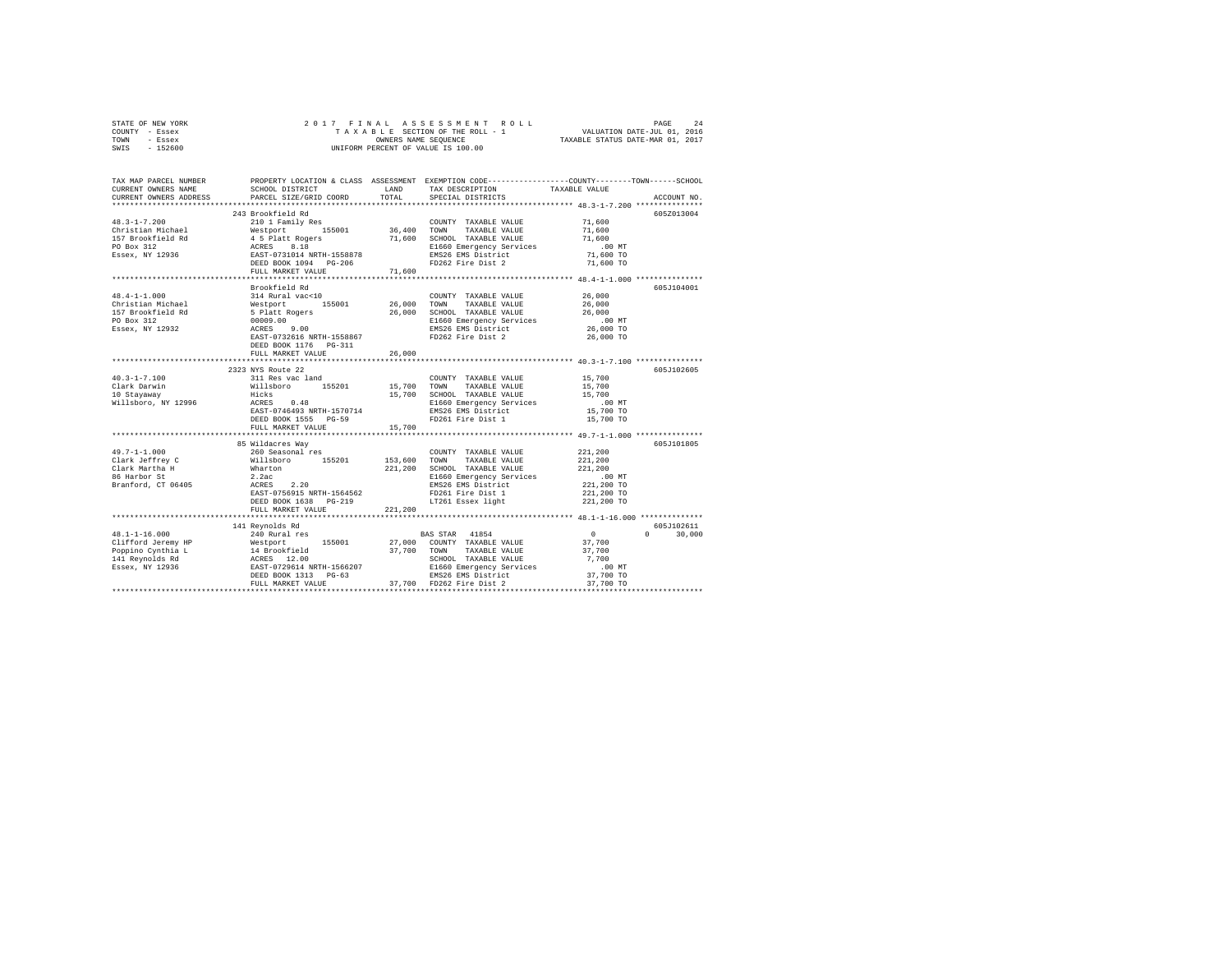|      | STATE OF NEW YORK |  |  | 2017 FINAL ASSESSMENT ROLL         |                                  | PAGE                        | 2.4 |
|------|-------------------|--|--|------------------------------------|----------------------------------|-----------------------------|-----|
|      | COUNTY - Essex    |  |  | TAXABLE SECTION OF THE ROLL - 1    |                                  | VALUATION DATE-JUL 01, 2016 |     |
| TOWN | - Essex           |  |  | OWNERS NAME SEOUENCE               | TAXABLE STATUS DATE-MAR 01, 2017 |                             |     |
| SWIS | $-152600$         |  |  | UNIFORM PERCENT OF VALUE IS 100.00 |                                  |                             |     |

| TAX MAP PARCEL NUMBER<br>CURRENT OWNERS NAME                                                                                                                                                                                                                                                                                                                                                                                                           | SCHOOL DISTRICT                                                                                                           | LAND                  | PROPERTY LOCATION & CLASS ASSESSMENT EXEMPTION CODE----------------COUNTY-------TOWN------SCHOOL<br>TAX DESCRIPTION | TAXABLE VALUE                                  |                    |
|--------------------------------------------------------------------------------------------------------------------------------------------------------------------------------------------------------------------------------------------------------------------------------------------------------------------------------------------------------------------------------------------------------------------------------------------------------|---------------------------------------------------------------------------------------------------------------------------|-----------------------|---------------------------------------------------------------------------------------------------------------------|------------------------------------------------|--------------------|
| CURRENT OWNERS ADDRESS<br>************************                                                                                                                                                                                                                                                                                                                                                                                                     | PARCEL SIZE/GRID COORD                                                                                                    | TOTAL                 | SPECIAL DISTRICTS                                                                                                   |                                                | ACCOUNT NO.        |
|                                                                                                                                                                                                                                                                                                                                                                                                                                                        | 243 Brookfield Rd                                                                                                         |                       |                                                                                                                     |                                                | 605Z013004         |
|                                                                                                                                                                                                                                                                                                                                                                                                                                                        |                                                                                                                           |                       | COUNTY TAXABLE VALUE 71,600                                                                                         |                                                |                    |
|                                                                                                                                                                                                                                                                                                                                                                                                                                                        |                                                                                                                           |                       | TAXABLE VALUE                                                                                                       | 71,600                                         |                    |
|                                                                                                                                                                                                                                                                                                                                                                                                                                                        |                                                                                                                           |                       | 71,600 SCHOOL TAXABLE VALUE                                                                                         | 71,600                                         |                    |
|                                                                                                                                                                                                                                                                                                                                                                                                                                                        |                                                                                                                           |                       | E1660 Emergency Services                                                                                            | .00 MT                                         |                    |
|                                                                                                                                                                                                                                                                                                                                                                                                                                                        |                                                                                                                           |                       | EMS26 EMS District                                                                                                  | 71,600 TO                                      |                    |
|                                                                                                                                                                                                                                                                                                                                                                                                                                                        |                                                                                                                           |                       | FD262 Fire Dist 2                                                                                                   | 71,600 TO                                      |                    |
|                                                                                                                                                                                                                                                                                                                                                                                                                                                        |                                                                                                                           |                       |                                                                                                                     |                                                |                    |
|                                                                                                                                                                                                                                                                                                                                                                                                                                                        |                                                                                                                           |                       |                                                                                                                     |                                                |                    |
|                                                                                                                                                                                                                                                                                                                                                                                                                                                        | Brookfield Rd                                                                                                             |                       |                                                                                                                     |                                                | 605J104001         |
| $48.4 - 1 - 1.000$                                                                                                                                                                                                                                                                                                                                                                                                                                     | 314 Rural vac<10                                                                                                          |                       | COUNTY TAXABLE VALUE                                                                                                | 26,000                                         |                    |
| Christian Michael                                                                                                                                                                                                                                                                                                                                                                                                                                      |                                                                                                                           | $26\,,000$            | TOWN<br>TAXABLE VALUE                                                                                               | 26,000                                         |                    |
| 157 Brookfield Rd                                                                                                                                                                                                                                                                                                                                                                                                                                      |                                                                                                                           | 26,000                | SCHOOL TAXABLE VALUE                                                                                                | 26,000                                         |                    |
| PO Box 312                                                                                                                                                                                                                                                                                                                                                                                                                                             |                                                                                                                           |                       | E1660 Emergency Services<br>EMS26 EMS District                                                                      | .00 MT                                         |                    |
| Essex, NY 12932                                                                                                                                                                                                                                                                                                                                                                                                                                        |                                                                                                                           |                       |                                                                                                                     | 26,000 TO                                      |                    |
|                                                                                                                                                                                                                                                                                                                                                                                                                                                        | 314 Rurai vac <i0<br>Nestport 155001<br/>5 Platt Rogers<br/>00099.00<br/>ACRES 9.00<br/>EAST-0732616 NRTH-1558867</i0<br> |                       | FD262 Fire Dist 2                                                                                                   | 26,000 TO                                      |                    |
|                                                                                                                                                                                                                                                                                                                                                                                                                                                        | DEED BOOK 1176    PG-311                                                                                                  |                       |                                                                                                                     |                                                |                    |
|                                                                                                                                                                                                                                                                                                                                                                                                                                                        | FULL MARKET VALUE                                                                                                         | 26,000<br>*********** |                                                                                                                     |                                                |                    |
|                                                                                                                                                                                                                                                                                                                                                                                                                                                        | ***************************                                                                                               |                       |                                                                                                                     | **************** 40.3-1-7.100 **************** |                    |
|                                                                                                                                                                                                                                                                                                                                                                                                                                                        | 2323 NYS Route 22                                                                                                         |                       |                                                                                                                     |                                                | 605J102605         |
| $40.3 - 1 - 7.100$<br>Clark Darwin                                                                                                                                                                                                                                                                                                                                                                                                                     |                                                                                                                           |                       | COUNTY TAXABLE VALUE                                                                                                | 15,700                                         |                    |
|                                                                                                                                                                                                                                                                                                                                                                                                                                                        |                                                                                                                           | 15,700 TOWN           | TAXABLE VALUE                                                                                                       | 15,700<br>15,700                               |                    |
| 10 Stayaway<br>Willsboro, NY 12996                                                                                                                                                                                                                                                                                                                                                                                                                     | 311 Res vac land<br>311 Res vac land<br>Willsboro 155201<br>Hicks<br>ACRES 0.48<br>EAST-0746493 NRTH-1570714              |                       | 15,700 SCHOOL TAXABLE VALUE<br>E1660 Emergency Services                                                             | $.00$ MT                                       |                    |
|                                                                                                                                                                                                                                                                                                                                                                                                                                                        |                                                                                                                           |                       | EMS26 EMS District                                                                                                  | 15,700 TO                                      |                    |
|                                                                                                                                                                                                                                                                                                                                                                                                                                                        | DEED BOOK 1555 PG-59                                                                                                      |                       | FD261 Fire Dist 1                                                                                                   | 15,700 TO                                      |                    |
|                                                                                                                                                                                                                                                                                                                                                                                                                                                        | FULL MARKET VALUE                                                                                                         | 15,700                |                                                                                                                     |                                                |                    |
|                                                                                                                                                                                                                                                                                                                                                                                                                                                        |                                                                                                                           |                       |                                                                                                                     |                                                |                    |
|                                                                                                                                                                                                                                                                                                                                                                                                                                                        | 85 Wildacres Way                                                                                                          |                       |                                                                                                                     |                                                | 605J101805         |
| $49.7 - 1 - 1.000$<br>$\begin{tabular}{lllllllllll} \textbf{49.7--1-1.000} & \textbf{260 Seasonal res} \\ \textbf{Clark Matrine} & \textbf{Wairlshoro} & \textbf{155201} \\ \textbf{Clark Matriha H} & \textbf{Wialisbro} & \textbf{155201} \\ \textbf{86 Harbor St} & \textbf{2.2ac} & \textbf{ACRES} & \textbf{2.20} \\ \textbf{Branford, CT 06405} & \textbf{ACRES} & \textbf{2.20} \\ \textbf{152.3ac} & \textbf{2.20} & \textbf{2.20} \\ \textbf$ |                                                                                                                           |                       | COUNTY TAXABLE VALUE                                                                                                | 221,200                                        |                    |
|                                                                                                                                                                                                                                                                                                                                                                                                                                                        |                                                                                                                           |                       | 153,600 TOWN TAXABLE VALUE                                                                                          | 221,200                                        |                    |
|                                                                                                                                                                                                                                                                                                                                                                                                                                                        |                                                                                                                           | 221,200               | SCHOOL TAXABLE VALUE                                                                                                | 221,200                                        |                    |
|                                                                                                                                                                                                                                                                                                                                                                                                                                                        | $221, 20$ $2.20$                                                                                                          |                       |                                                                                                                     | .00 MT                                         |                    |
|                                                                                                                                                                                                                                                                                                                                                                                                                                                        |                                                                                                                           |                       | E1660 Emergency Services<br>EMS26 EMS District                                                                      | 221,200 TO                                     |                    |
|                                                                                                                                                                                                                                                                                                                                                                                                                                                        |                                                                                                                           |                       | FD261 Fire Dist 1                                                                                                   | 221,200 TO                                     |                    |
|                                                                                                                                                                                                                                                                                                                                                                                                                                                        | DEED BOOK 1638 PG-219                                                                                                     |                       | LT261 Essex light                                                                                                   | 221,200 TO                                     |                    |
|                                                                                                                                                                                                                                                                                                                                                                                                                                                        | FULL MARKET VALUE                                                                                                         | 221,200               |                                                                                                                     |                                                |                    |
|                                                                                                                                                                                                                                                                                                                                                                                                                                                        |                                                                                                                           |                       |                                                                                                                     |                                                |                    |
|                                                                                                                                                                                                                                                                                                                                                                                                                                                        | 141 Reynolds Rd                                                                                                           |                       |                                                                                                                     |                                                | 605J102611         |
| $48.1 - 1 - 16.000$                                                                                                                                                                                                                                                                                                                                                                                                                                    | 240 Rural res                                                                                                             |                       | BAS STAR 41854                                                                                                      | $\sim$ 0                                       | $\Omega$<br>30,000 |
|                                                                                                                                                                                                                                                                                                                                                                                                                                                        |                                                                                                                           |                       |                                                                                                                     | 37,700                                         |                    |
|                                                                                                                                                                                                                                                                                                                                                                                                                                                        |                                                                                                                           |                       |                                                                                                                     | 37,700                                         |                    |
|                                                                                                                                                                                                                                                                                                                                                                                                                                                        |                                                                                                                           |                       |                                                                                                                     | 7,700                                          |                    |
|                                                                                                                                                                                                                                                                                                                                                                                                                                                        |                                                                                                                           |                       |                                                                                                                     | $.00$ MT<br>37,700 TO                          |                    |
|                                                                                                                                                                                                                                                                                                                                                                                                                                                        |                                                                                                                           |                       |                                                                                                                     |                                                |                    |
|                                                                                                                                                                                                                                                                                                                                                                                                                                                        | FULL MARKET VALUE                                                                                                         |                       | 37,700 FD262 Fire Dist 2                                                                                            | 37,700 TO                                      |                    |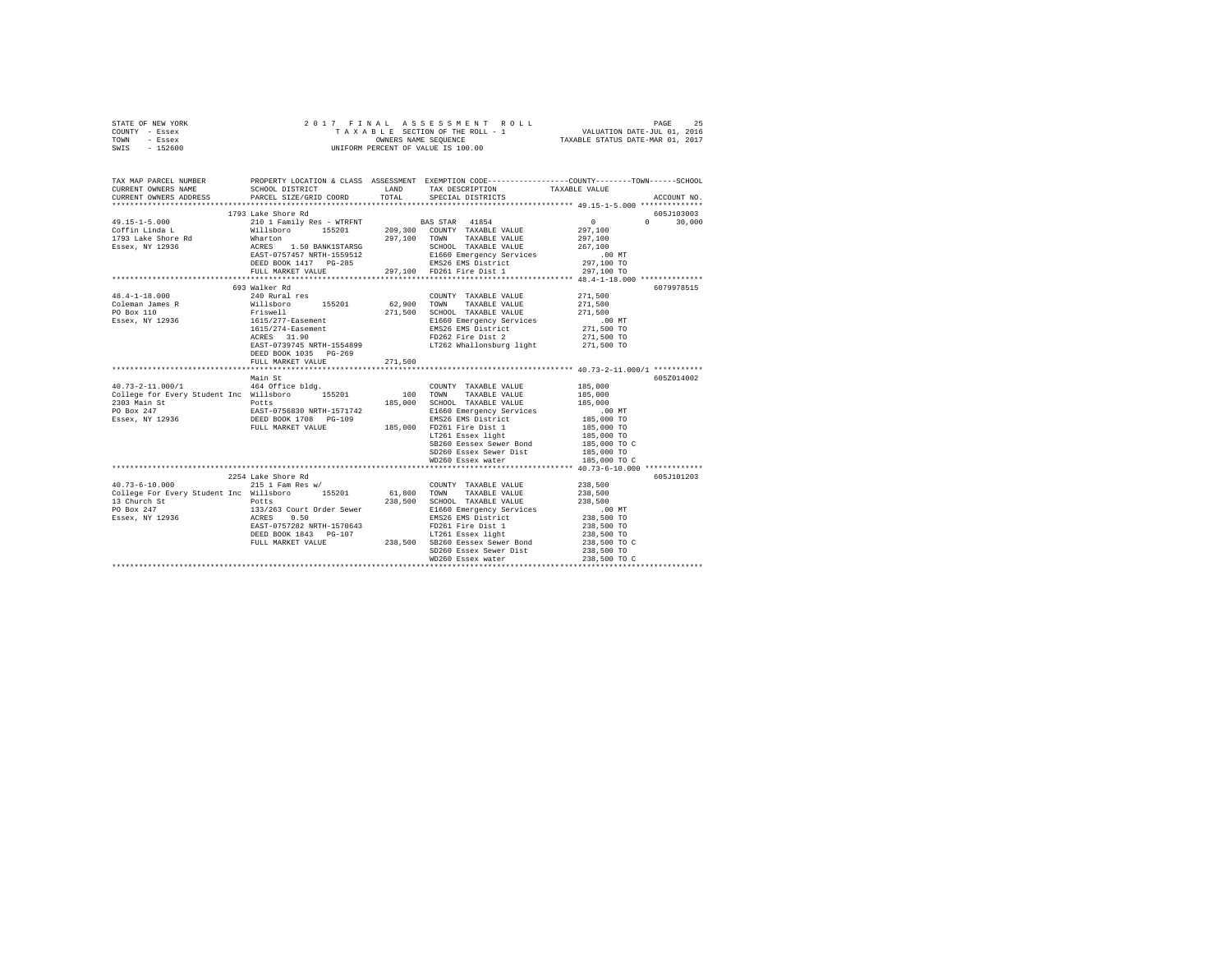| STATE OF NEW YORK                                                                                                                                                  |                                                                                                                                                                                                                                        |             |                                                                                      |                                                                                                 |
|--------------------------------------------------------------------------------------------------------------------------------------------------------------------|----------------------------------------------------------------------------------------------------------------------------------------------------------------------------------------------------------------------------------------|-------------|--------------------------------------------------------------------------------------|-------------------------------------------------------------------------------------------------|
| COUNTY - Essex                                                                                                                                                     |                                                                                                                                                                                                                                        |             |                                                                                      |                                                                                                 |
| TOWN - Essex<br>SWIS - 152600                                                                                                                                      |                                                                                                                                                                                                                                        |             |                                                                                      |                                                                                                 |
|                                                                                                                                                                    |                                                                                                                                                                                                                                        |             |                                                                                      |                                                                                                 |
| TAX MAP PARCEL NUMBER                                                                                                                                              |                                                                                                                                                                                                                                        |             |                                                                                      | PROPERTY LOCATION & CLASS ASSESSMENT EXEMPTION CODE---------------COUNTY-------TOWN------SCHOOL |
| CURRENT OWNERS NAME                                                                                                                                                |                                                                                                                                                                                                                                        |             | SCHOOL DISTRICT $\hfill\textsc{LAND}$ TAX DESCRIPTION $\hfill\textsc{TAXABLE}$ VALUE |                                                                                                 |
| CURRENT OWNERS ADDRESS                                                                                                                                             | PARCEL SIZE/GRID COORD                                                                                                                                                                                                                 |             | TOTAL SPECIAL DISTRICTS                                                              | ACCOUNT NO.                                                                                     |
|                                                                                                                                                                    |                                                                                                                                                                                                                                        |             |                                                                                      |                                                                                                 |
|                                                                                                                                                                    | 1793 Lake Shore Rd                                                                                                                                                                                                                     |             |                                                                                      | 605J103003                                                                                      |
| $49.15 - 1 - 5.000$                                                                                                                                                | 2010 1 Family Res - WTRFNT<br>Wilshort 0155201 209,300 COUNTY TAXABLE VALUE ACTION 2010 ACTION 2010 AND 2010<br>Marton 297,100 TOWN TAXABLE VALUE ACRES<br>ACRES 1.50 BANK1STARSG<br>EAST-0757457 NRTH-1559512 E1660 Emergency Service |             |                                                                                      | $\sim$ 0<br>$0 \t 30.000$                                                                       |
| Coffin Linda L                                                                                                                                                     |                                                                                                                                                                                                                                        |             |                                                                                      | 297,100                                                                                         |
| 1793 Lake Shore Rd<br>Essex, NY 12936                                                                                                                              | Wharton                                                                                                                                                                                                                                |             |                                                                                      | 297,100                                                                                         |
|                                                                                                                                                                    |                                                                                                                                                                                                                                        |             |                                                                                      | 267,100<br>$.00$ MT                                                                             |
|                                                                                                                                                                    |                                                                                                                                                                                                                                        |             |                                                                                      | 297,100 TO                                                                                      |
|                                                                                                                                                                    |                                                                                                                                                                                                                                        |             | FULL MARKET VALUE 297,100 FD261 Fire Dist 1                                          | 297,100 TO                                                                                      |
|                                                                                                                                                                    |                                                                                                                                                                                                                                        |             |                                                                                      |                                                                                                 |
|                                                                                                                                                                    | 693 Walker Rd                                                                                                                                                                                                                          |             |                                                                                      | 6079978515                                                                                      |
| $48.4 - 1 - 18.000$                                                                                                                                                | 240 Rural res                                                                                                                                                                                                                          |             | COUNTY TAXABLE VALUE 271,500                                                         |                                                                                                 |
| Coleman James R                                                                                                                                                    | Willsboro 155201 62,900 TOWN                                                                                                                                                                                                           |             | TAXABLE VALUE                                                                        | 271,500                                                                                         |
| PO Box 110                                                                                                                                                         | Friswell                                                                                                                                                                                                                               |             | 271,500 SCHOOL TAXABLE VALUE                                                         | 271,500                                                                                         |
| Essex, NY 12936                                                                                                                                                    | 1615/277-Easement                                                                                                                                                                                                                      |             | E1660 Emergency Services                                                             | 00 MT.<br>271,500 TO<br>271,500 TO                                                              |
|                                                                                                                                                                    | 1615/274-Easement<br>ACRES 31.90                                                                                                                                                                                                       |             | ET000 EMELYERY SELVICES<br>EMS26 EMS District                                        |                                                                                                 |
|                                                                                                                                                                    |                                                                                                                                                                                                                                        |             | FD262 Fire Dist 2                                                                    |                                                                                                 |
|                                                                                                                                                                    |                                                                                                                                                                                                                                        |             | EAST-0739745 NRTH-1554899 LT262 Whallonsburg light 271,500 TO                        |                                                                                                 |
|                                                                                                                                                                    | DEED BOOK 1035 PG-269                                                                                                                                                                                                                  |             |                                                                                      |                                                                                                 |
|                                                                                                                                                                    | FULL MARKET VALUE                                                                                                                                                                                                                      | 271,500     |                                                                                      |                                                                                                 |
|                                                                                                                                                                    | Main St                                                                                                                                                                                                                                |             |                                                                                      | 605Z014002                                                                                      |
|                                                                                                                                                                    |                                                                                                                                                                                                                                        |             | COUNTY TAXABLE VALUE                                                                 | 185,000                                                                                         |
| $\begin{tabular}{lllllllllll} 40.73-2-11.000/1 & 464 \rm \;{office} \;{bldg}. & 00 \rm{UNTY} \hspace{0.5cm} & 00 \rm{UNTY} \hspace{0.5cm} \\ \hline \end{tabular}$ |                                                                                                                                                                                                                                        |             | TAXABLE VALUE                                                                        | 185,000                                                                                         |
|                                                                                                                                                                    |                                                                                                                                                                                                                                        |             | 185,000 SCHOOL TAXABLE VALUE                                                         | 185,000                                                                                         |
|                                                                                                                                                                    |                                                                                                                                                                                                                                        |             | E1660 Emergency Services                                                             |                                                                                                 |
|                                                                                                                                                                    |                                                                                                                                                                                                                                        |             | EMS26 EMS District                                                                   | 00 MT.<br>185,000 TO                                                                            |
|                                                                                                                                                                    |                                                                                                                                                                                                                                        |             |                                                                                      |                                                                                                 |
|                                                                                                                                                                    | DEED BOOK 1700 FOR 2000 185,000 FD261 Fire Dist 1<br>FULL MARKET VALUE 185,000 LT261 Essex light                                                                                                                                       |             |                                                                                      | 185,000 TO<br>185,000 TO<br>185,000 TO C                                                        |
|                                                                                                                                                                    |                                                                                                                                                                                                                                        |             | SB260 Eessex Sewer Bond                                                              |                                                                                                 |
|                                                                                                                                                                    |                                                                                                                                                                                                                                        |             | SD260 Essex Sewer Dist                                                               | 185,000 TO                                                                                      |
|                                                                                                                                                                    |                                                                                                                                                                                                                                        |             | WD260 Essex water                                                                    | 185,000 TO C                                                                                    |
|                                                                                                                                                                    |                                                                                                                                                                                                                                        |             |                                                                                      |                                                                                                 |
|                                                                                                                                                                    | 2254 Lake Shore Rd                                                                                                                                                                                                                     |             |                                                                                      | 605J101203                                                                                      |
| $40.73 - 6 - 10.000$                                                                                                                                               | $215$ 1 Fam Res w/                                                                                                                                                                                                                     |             | COUNTY TAXABLE VALUE 238,500                                                         |                                                                                                 |
| College For Every Student Inc Willsboro 155201                                                                                                                     |                                                                                                                                                                                                                                        | 61,800 TOWN | TAXABLE VALUE                                                                        | 238,500                                                                                         |
| 13 Church St<br>PO Box 247                                                                                                                                         | Potts                                                                                                                                                                                                                                  |             | 238,500 SCHOOL TAXABLE VALUE                                                         | 238,500                                                                                         |
|                                                                                                                                                                    | 133/263 Court Order Sewer<br>ACRES 0.50                                                                                                                                                                                                |             | E1660 Emergency Services<br>EMS26 EMS District                                       | .00 MT                                                                                          |
| Essex, NY 12936                                                                                                                                                    | EAST-0757282 NRTH-1570643                                                                                                                                                                                                              |             | FD261 Fire Dist 1                                                                    | 238,500 TO<br>238,500 TO<br>238,500 TO                                                          |
|                                                                                                                                                                    | DEED BOOK 1843 PG-107                                                                                                                                                                                                                  |             | LT261 Essex light                                                                    |                                                                                                 |
|                                                                                                                                                                    | FULL MARKET VALUE                                                                                                                                                                                                                      |             | 238,500 SB260 Eessex Sewer Bond                                                      | 238,500 TO C                                                                                    |
|                                                                                                                                                                    |                                                                                                                                                                                                                                        |             | SD260 Essex Sewer Dist                                                               | 238,500 TO                                                                                      |
|                                                                                                                                                                    |                                                                                                                                                                                                                                        |             | WD260 Essex water                                                                    | 238,500 TO C                                                                                    |
|                                                                                                                                                                    |                                                                                                                                                                                                                                        |             |                                                                                      |                                                                                                 |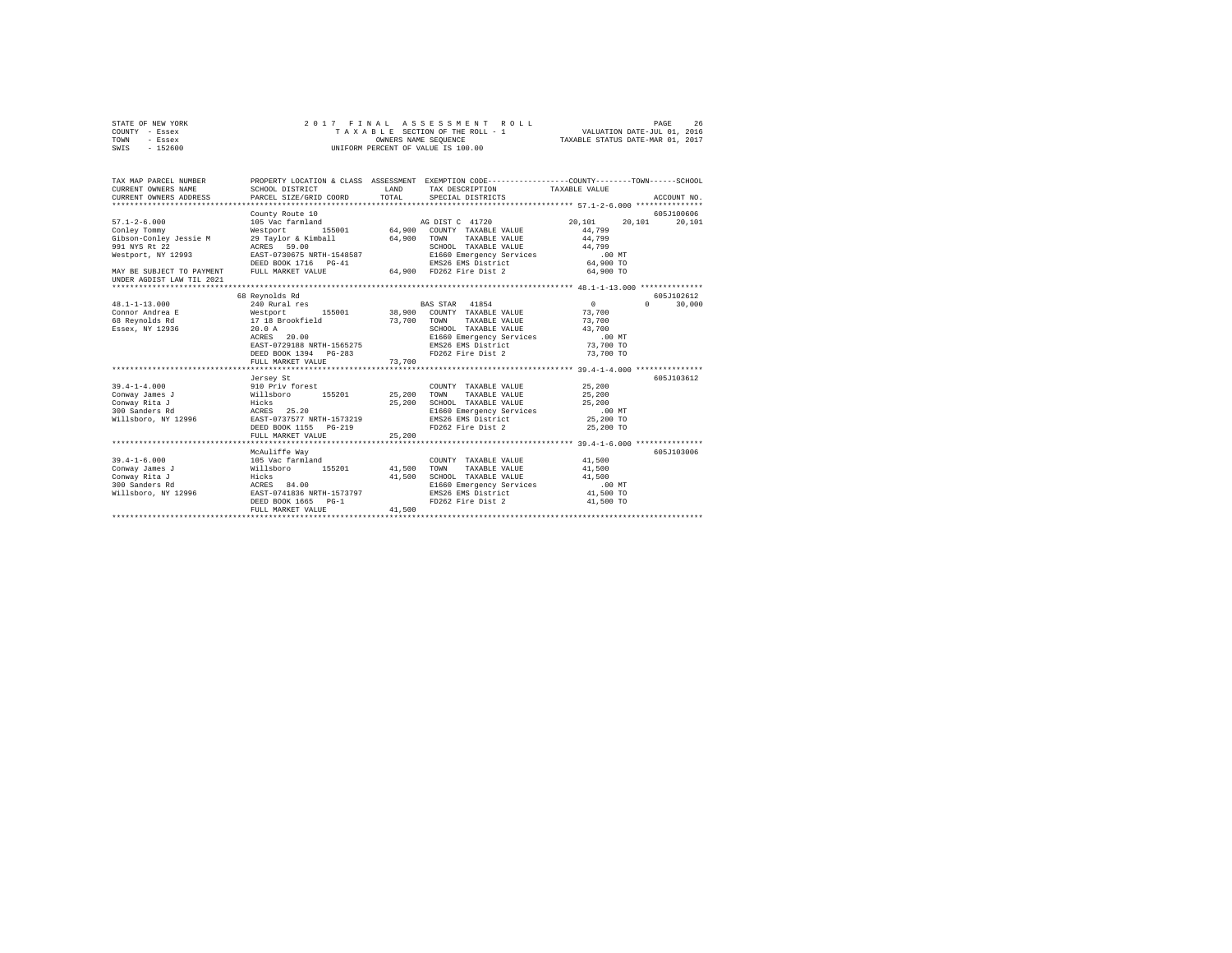| STATE OF NEW YORK         | 2017 FINAL                                                                                            |                                                                 | ASSESSMENT ROLL                                  |               | PAGE<br>26         |
|---------------------------|-------------------------------------------------------------------------------------------------------|-----------------------------------------------------------------|--------------------------------------------------|---------------|--------------------|
| COUNTY - Essex            | T A X A B L E SECTION OF THE ROLL - 1 OWNERS NAME SEQUENCE                                            | VALUATION DATE-JUL 01, 2016<br>TAXABLE STATUS DATE-MAR 01, 2017 |                                                  |               |                    |
| TOWN<br>- Essex           |                                                                                                       |                                                                 |                                                  |               |                    |
| $-152600$<br>SWIS         |                                                                                                       |                                                                 | UNIFORM PERCENT OF VALUE IS 100.00               |               |                    |
|                           |                                                                                                       |                                                                 |                                                  |               |                    |
|                           |                                                                                                       |                                                                 |                                                  |               |                    |
| TAX MAP PARCEL NUMBER     | PROPERTY LOCATION & CLASS ASSESSMENT EXEMPTION CODE---------------COUNTY-------TOWN------SCHOOL       |                                                                 |                                                  |               |                    |
| CURRENT OWNERS NAME       | <b>LAND</b><br>SCHOOL DISTRICT                                                                        |                                                                 | TAX DESCRIPTION                                  | TAXABLE VALUE |                    |
| CURRENT OWNERS ADDRESS    | PARCEL SIZE/GRID COORD                                                                                | TOTAL                                                           | SPECIAL DISTRICTS                                |               | ACCOUNT NO.        |
|                           |                                                                                                       |                                                                 |                                                  |               |                    |
|                           | County Route 10                                                                                       |                                                                 |                                                  |               | 605J100606         |
| $57.1 - 2 - 6.000$        |                                                                                                       |                                                                 |                                                  | 20,101        | 20,101 20,101      |
| Conley Tommy              |                                                                                                       |                                                                 |                                                  | 44,799        |                    |
| Gibson-Conley Jessie M    | 29 Taylor & Kimball 64,900 TOWN TAXABLE VALUE                                                         |                                                                 |                                                  | 44,799        |                    |
| 991 NYS Rt 22             | ACRES 59.00                                                                                           |                                                                 | SCHOOL TAXABLE VALUE                             | 44,799        |                    |
| Westport, NY 12993        | ACES 750675 NRTH-1548587<br>EAST-0730675 NRTH-1548587<br>DEED BOOK 1716 PG-41 MS26 EMS26 EMS District |                                                                 |                                                  | $.00$ MT      |                    |
|                           |                                                                                                       |                                                                 |                                                  | 64,900 TO     |                    |
| MAY BE SUBJECT TO PAYMENT | FULL MARKET VALUE                                                                                     |                                                                 | 64.900 FD262 Fire Dist 2                         | 64,900 TO     |                    |
| UNDER AGDIST LAW TIL 2021 |                                                                                                       |                                                                 |                                                  |               |                    |
|                           |                                                                                                       |                                                                 |                                                  |               |                    |
|                           | 68 Reynolds Rd                                                                                        |                                                                 |                                                  |               | 605J102612         |
| $48.1 - 1 - 13.000$       | 240 Rural res                                                                                         |                                                                 | BAS STAR 41854                                   | $\sim$ 0      | $\Omega$<br>30,000 |
| Connor Andrea E           |                                                                                                       |                                                                 | 38,900 COUNTY TAXABLE VALUE                      | 73,700        |                    |
| 68 Reynolds Rd            | Westport 155001 38,900<br>17 18 Brookfield 73,700                                                     |                                                                 | TOWN<br>TAXABLE VALUE                            | 73,700        |                    |
| Essex, NY 12936           | 20.0A                                                                                                 |                                                                 | SCHOOL TAXABLE VALUE<br>E1660 Emergency Services | 43,700        |                    |
|                           | ACRES 20.00                                                                                           |                                                                 |                                                  | $.00$ MT      |                    |
|                           | EAST-0729188 NRTH-1565275                                                                             |                                                                 | EMS26 EMS District                               | 73,700 TO     |                    |
|                           | DEED BOOK 1394 PG-283                                                                                 |                                                                 | FD262 Fire Dist 2                                | 73,700 TO     |                    |
|                           | FULL MARKET VALUE                                                                                     | 73,700                                                          |                                                  |               |                    |
|                           |                                                                                                       |                                                                 |                                                  |               |                    |
|                           | Jersey St                                                                                             |                                                                 |                                                  |               | 605J103612         |
| $39.4 - 1 - 4.000$        |                                                                                                       |                                                                 | COUNTY TAXABLE VALUE                             | 25,200        |                    |
| Conway James J            |                                                                                                       | 25,200                                                          | TOWN<br>TAXABLE VALUE                            | 25,200        |                    |
| Conway Rita J             |                                                                                                       | 25,200                                                          | SCHOOL TAXABLE VALUE                             | 25,200        |                    |
| 300 Sanders Rd            | ------<br>910 Priv forest<br>Willsboro 155201<br>Hicks 25.20<br>EAST-0737577 NRTH-1573219             |                                                                 | E1660 Emergency Services                         | $.00$ MT      |                    |
| Willsboro, NY 12996       |                                                                                                       |                                                                 | EMS26 EMS District                               | 25,200 TO     |                    |
|                           | DEED BOOK 1155 PG-219                                                                                 |                                                                 | FD262 Fire Dist 2 25,200 TO                      |               |                    |
|                           | FULL MARKET VALUE                                                                                     | 25,200                                                          |                                                  |               |                    |
|                           |                                                                                                       |                                                                 |                                                  |               |                    |
|                           | McAuliffe Way                                                                                         |                                                                 |                                                  |               | 605J103006         |
| $39.4 - 1 - 6.000$        |                                                                                                       |                                                                 | COUNTY TAXABLE VALUE                             | 41,500        |                    |
| Conway James J            |                                                                                                       | 41,500                                                          | TOWN<br>TAXABLE VALUE                            | 41,500        |                    |
| Conway Rita J             |                                                                                                       | 41,500                                                          | SCHOOL TAXABLE VALUE                             | 41,500        |                    |
| 300 Sanders Rd            | 105 Vac farmland<br>Willsboro 155201<br>Hicks<br>ACRES 84.00<br>EAST-0741836 NRTH-1573797             |                                                                 | E1660 Emergency Services<br>EMS26 EMS District   | $.00$ MT      |                    |
| Willsboro, NY 12996       |                                                                                                       |                                                                 |                                                  | 41,500 TO     |                    |
|                           | DEED BOOK 1665 PG-1                                                                                   |                                                                 | FD262 Fire Dist 2                                | 41,500 TO     |                    |
|                           | FULL MARKET VALUE                                                                                     | 41,500                                                          |                                                  |               |                    |
|                           |                                                                                                       |                                                                 |                                                  |               |                    |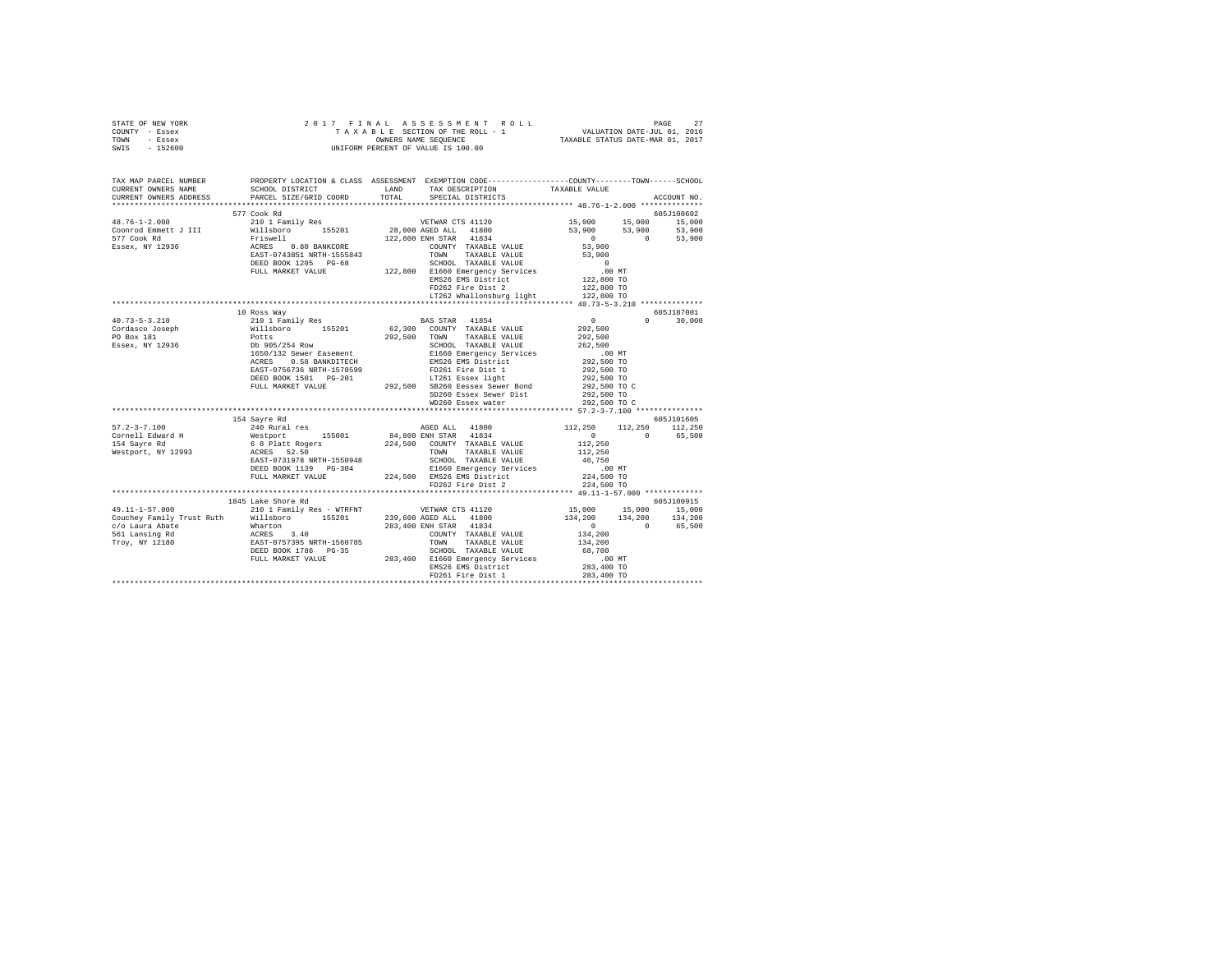| STATE OF NEW YORK                                                                                                                                                                                                                                                                                                                                                                    |                                                                                                                                                                                                                                 | 2017 FINAL ASSESSMENT ROLL                                                | 27<br>PAGE                                                              |
|--------------------------------------------------------------------------------------------------------------------------------------------------------------------------------------------------------------------------------------------------------------------------------------------------------------------------------------------------------------------------------------|---------------------------------------------------------------------------------------------------------------------------------------------------------------------------------------------------------------------------------|---------------------------------------------------------------------------|-------------------------------------------------------------------------|
| COUNTY<br>- Essex                                                                                                                                                                                                                                                                                                                                                                    |                                                                                                                                                                                                                                 | TAXABLE SECTION OF THE ROLL - 1 VALUATION DATE-JUL 01, 2016               |                                                                         |
| TOWN<br>- Essex                                                                                                                                                                                                                                                                                                                                                                      |                                                                                                                                                                                                                                 |                                                                           | OWNERS NAME SEQUENCE TAXABLE STATUS DATE-MAR 01, 2017                   |
| SWIS<br>$-152600$                                                                                                                                                                                                                                                                                                                                                                    |                                                                                                                                                                                                                                 | UNIFORM PERCENT OF VALUE IS 100.00                                        |                                                                         |
|                                                                                                                                                                                                                                                                                                                                                                                      |                                                                                                                                                                                                                                 |                                                                           |                                                                         |
|                                                                                                                                                                                                                                                                                                                                                                                      |                                                                                                                                                                                                                                 |                                                                           |                                                                         |
|                                                                                                                                                                                                                                                                                                                                                                                      |                                                                                                                                                                                                                                 |                                                                           |                                                                         |
| TAX MAP PARCEL NUMBER                                                                                                                                                                                                                                                                                                                                                                | PROPERTY LOCATION & CLASS ASSESSMENT                                                                                                                                                                                            |                                                                           | EXEMPTION CODE-----------------COUNTY-------TOWN------SCHOOL            |
| CURRENT OWNERS NAME                                                                                                                                                                                                                                                                                                                                                                  | SCHOOL DISTRICT                                                                                                                                                                                                                 | LAND<br>TAX DESCRIPTION TAXABLE VALUE                                     |                                                                         |
|                                                                                                                                                                                                                                                                                                                                                                                      |                                                                                                                                                                                                                                 | CURRENT OWNERS ADDRESS 6 PARCEL SIZE/GRID COORD 6 TOTAL 6PECIAL DISTRICTS | ACCOUNT NO.                                                             |
|                                                                                                                                                                                                                                                                                                                                                                                      |                                                                                                                                                                                                                                 |                                                                           |                                                                         |
|                                                                                                                                                                                                                                                                                                                                                                                      | 577 Cook Rd                                                                                                                                                                                                                     |                                                                           | 605J100602                                                              |
| $48.76 - 1 - 2.000$                                                                                                                                                                                                                                                                                                                                                                  |                                                                                                                                                                                                                                 | 210 1 Family Res WETWAR CTS 41120                                         | 15,000<br>15,000<br>15,000                                              |
| Coonrod Emmett J III                                                                                                                                                                                                                                                                                                                                                                 |                                                                                                                                                                                                                                 | Willsboro 155201 28,000 AGED ALL 41800                                    | 53,900<br>53,900 53,900                                                 |
| 577 Cook Rd                                                                                                                                                                                                                                                                                                                                                                          | Friswell and the state of the state of the state of the state of the state of the state of the state of the state of the state of the state of the state of the state of the state of the state of the state of the state of th | 122,800 ENH STAR 41834                                                    | 53,900<br>$\Omega$<br>$\Omega$                                          |
| Essex, NY 12936                                                                                                                                                                                                                                                                                                                                                                      | 0.80 BANKCORE<br>ACRES                                                                                                                                                                                                          | COUNTY TAXABLE VALUE                                                      | 53,900                                                                  |
|                                                                                                                                                                                                                                                                                                                                                                                      | EAST-0743851 NRTH-1555843                                                                                                                                                                                                       | TAXABLE VALUE<br>TOWN                                                     | 53,900                                                                  |
|                                                                                                                                                                                                                                                                                                                                                                                      | DEED BOOK 1205 PG-68                                                                                                                                                                                                            | SCHOOL TAXABLE VALUE                                                      | $\Omega$                                                                |
|                                                                                                                                                                                                                                                                                                                                                                                      | FULL MARKET VALUE                                                                                                                                                                                                               | E1660 Emergency Services .00 MT<br>122,800                                |                                                                         |
|                                                                                                                                                                                                                                                                                                                                                                                      |                                                                                                                                                                                                                                 | EMS26 EMS District                                                        | 122,800 TO                                                              |
|                                                                                                                                                                                                                                                                                                                                                                                      |                                                                                                                                                                                                                                 | FD262 Fire Dist 2 122,800 TO                                              |                                                                         |
|                                                                                                                                                                                                                                                                                                                                                                                      |                                                                                                                                                                                                                                 | LT262 Whallonsburg light 122.800 TO                                       |                                                                         |
|                                                                                                                                                                                                                                                                                                                                                                                      |                                                                                                                                                                                                                                 |                                                                           |                                                                         |
|                                                                                                                                                                                                                                                                                                                                                                                      | 10 Ross Way                                                                                                                                                                                                                     |                                                                           | 605J187001                                                              |
| $\overline{A}$ $\overline{A}$ $\overline{B}$ $\overline{B}$ $\overline{C}$ $\overline{A}$ $\overline{A}$ $\overline{A}$ $\overline{A}$ $\overline{A}$ $\overline{A}$ $\overline{A}$ $\overline{A}$ $\overline{A}$ $\overline{A}$ $\overline{A}$ $\overline{A}$ $\overline{A}$ $\overline{A}$ $\overline{A}$ $\overline{A}$ $\overline{A}$ $\overline{A}$ $\overline{A}$ $\overline{$ |                                                                                                                                                                                                                                 | 010 1 Paully Book (1965) - Paul Proposal (1964)                           | $\wedge$ $\wedge$ $\wedge$ $\wedge$ $\wedge$ $\wedge$ $\wedge$ $\wedge$ |

|                           | FULL MARKET VALUE         | 122,800 | Elbou Emergency Services                                          | .UU MI               |            |
|---------------------------|---------------------------|---------|-------------------------------------------------------------------|----------------------|------------|
|                           |                           |         | EMS26 EMS District                                                | 122,800 TO           |            |
|                           |                           |         | FD262 Fire Dist 2                                                 | 122,800 TO           |            |
|                           |                           |         | LT262 Whallonsburg light                                          | 122,800 TO           |            |
|                           |                           |         |                                                                   |                      |            |
|                           | 10 Ross Way               |         |                                                                   |                      | 605J187001 |
| $40.73 - 5 - 3.210$       | 210 1 Family Res          |         | BAS STAR 41854                                                    | $\Omega$<br>$\Omega$ | 30,000     |
| Cordasco Joseph           | Willsboro<br>155201       |         | 62.300 COUNTY TAXABLE VALUE                                       | 292.500              |            |
| PO Box 181                | Potts                     | 292,500 | TOWN<br>TAXABLE VALUE                                             | 292,500              |            |
| Essex, NY 12936           | Db 905/254 Row            |         | SCHOOL TAXABLE VALUE                                              | 262,500              |            |
|                           | 1650/132 Sewer Easement   |         | E1660 Emergency Services                                          | .00MT                |            |
|                           | 0.58 BANKDITECH<br>ACRES  |         | EMS26 EMS District                                                | 292,500 TO           |            |
|                           | EAST-0756736 NRTH-1570599 |         | FD261 Fire Dist 1                                                 | 292,500 TO           |            |
|                           | DEED BOOK 1501 PG-201     |         | LT261 Essex light                                                 | 292,500 TO           |            |
|                           | FULL MARKET VALUE         | 292.500 | SB260 Eessex Sewer Bond                                           | 292,500 TO C         |            |
|                           |                           |         | SD260 Essex Sewer Dist                                            | 292,500 TO           |            |
|                           |                           |         | WD260 Essex water                                                 | 292,500 TO C         |            |
|                           |                           |         | ************************************* 57.2-3-7.100 ************** |                      |            |
|                           | 154 Savre Rd              |         |                                                                   |                      | 605J101605 |
| $57.2 - 3 - 7.100$        | 240 Rural res             |         | AGED ALL 41800                                                    | 112,250<br>112,250   | 112,250    |
| Cornell Edward H          | 155001<br>Westport        |         | 84,800 ENH STAR 41834                                             | $\Omega$<br>$\cap$   | 65,500     |
| 154 Sayre Rd              | 6 8 Platt Rogers          |         | 224.500 COUNTY TAXABLE VALUE                                      | 112,250              |            |
| Westport, NY 12993        | ACRES 52.50               |         | TOWN<br>TAXABLE VALUE                                             | 112,250              |            |
|                           | EAST-0731978 NRTH-1550948 |         | SCHOOL TAXABLE VALUE                                              | 46.750               |            |
|                           | DEED BOOK 1139 PG-304     |         | E1660 Emergency Services                                          | .00MT                |            |
|                           | FULL MARKET VALUE         | 224,500 | EMS26 EMS District                                                | 224,500 TO           |            |
|                           |                           |         | FD262 Fire Dist 2                                                 | 224,500 TO           |            |
|                           | ****************          |         |                                                                   |                      |            |
|                           | 1845 Lake Shore Rd        |         |                                                                   |                      | 605J100915 |
| $49.11 - 1 - 57.000$      | 210 1 Family Res - WTRFNT |         | VETWAR CTS 41120                                                  | 15,000 15,000        | 15,000     |
| Couchev Family Trust Ruth | Willsboro<br>155201       |         | 239,600 AGED ALL 41800                                            | 134,200<br>134,200   | 134,200    |
| c/o Laura Abate           | Wharton                   |         | 283,400 ENH STAR 41834                                            | $\Omega$<br>$\Omega$ | 65,500     |
| 561 Lansing Rd            | ACRES<br>3.40             |         | COUNTY TAXABLE VALUE                                              | 134,200              |            |
| Troy, NY 12180            | EAST-0757395 NRTH-1560785 |         | TOWN<br>TAXABLE VALUE                                             | 134,200              |            |
|                           | DEED BOOK 1786 PG-35      |         | SCHOOL TAXABLE VALUE                                              | 68,700               |            |
|                           | FULL MARKET VALUE         | 283,400 | E1660 Emergency Services                                          | .00MT                |            |
|                           |                           |         | EMS26 EMS District                                                | 283,400 TO           |            |
|                           |                           |         | FD261 Fire Dist 1                                                 | 283,400 TO           |            |
|                           |                           |         |                                                                   |                      |            |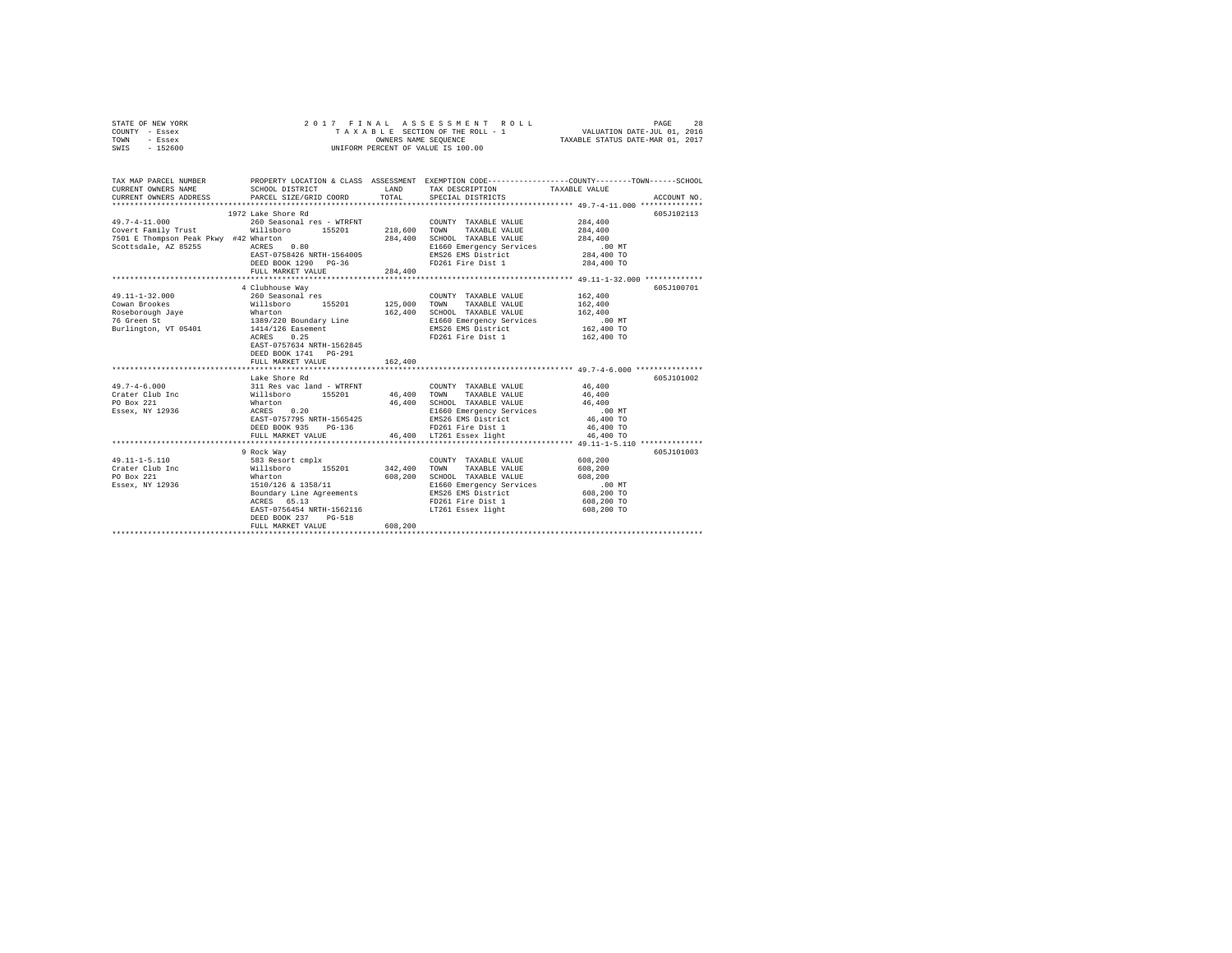| STATE OF NEW YORK | 2017 FINAL ASSESSMENT ROLL         | 2.8<br>PAGE                      |
|-------------------|------------------------------------|----------------------------------|
| COUNTY - Essex    | TAXABLE SECTION OF THE ROLL - 1    | VALUATION DATE-JUL 01, 2016      |
| TOWN<br>- Essex   | OWNERS NAME SEOUENCE               | TAXABLE STATUS DATE-MAR 01, 2017 |
| $-152600$<br>SWIS | UNIFORM PERCENT OF VALUE IS 100.00 |                                  |

| TAX MAP PARCEL NUMBER         |                                                                            |         |                                                                                                                                | PROPERTY LOCATION & CLASS ASSESSMENT EXEMPTION CODE---------------COUNTY-------TOWN-----SCHOOL |
|-------------------------------|----------------------------------------------------------------------------|---------|--------------------------------------------------------------------------------------------------------------------------------|------------------------------------------------------------------------------------------------|
| CURRENT OWNERS NAME           | SCHOOL DISTRICT TAND TAX DESCRIPTION                                       |         |                                                                                                                                | TAXABLE VALUE                                                                                  |
| CURRENT OWNERS ADDRESS        | PARCEL SIZE/GRID COORD TOTAL                                               |         | SPECIAL DISTRICTS                                                                                                              | ACCOUNT NO.                                                                                    |
|                               | 1972 Lake Shore Rd                                                         |         |                                                                                                                                | 605J102113                                                                                     |
| $49.7 - 4 - 11.000$           | 260 Seasonal res - WTRFNT                                                  |         | COUNTY TAXABLE VALUE 284,400                                                                                                   |                                                                                                |
|                               | Covert Family Trust 60 Millsboro 155201 218,600 TOWN                       |         | TAXABLE VALUE                                                                                                                  | 284,400                                                                                        |
|                               |                                                                            | 284,400 | SCHOOL TAXABLE VALUE<br>SCHOOL TAXABLE VALUE<br>ELG60 Emergency Services 100 MT<br>EMS26 EMS District 284,400 TO<br>284,400 TO |                                                                                                |
|                               | /jvi E Thompson Peak Pkwy #42 Wharton<br>Scottsdale, AZ 85255 ACRES 0.80   |         |                                                                                                                                |                                                                                                |
|                               | EAST-0758426 NRTH-1564005                                                  |         |                                                                                                                                |                                                                                                |
|                               |                                                                            |         | FD261 Fire Dist 1                                                                                                              | 284,400 TO                                                                                     |
|                               |                                                                            |         |                                                                                                                                |                                                                                                |
|                               |                                                                            |         |                                                                                                                                | ******************* 49.11-1-32.000 **************                                              |
| $49.11 - 1 - 32.000$          | 4 Clubhouse Way<br>260 Seasonal res                                        |         | COUNTY TAXABLE VALUE 162,400                                                                                                   | 605J100701                                                                                     |
|                               |                                                                            |         |                                                                                                                                |                                                                                                |
|                               | Cowan Brookes 6162,400 Willsboro 155201 125,000 TOWN TAXABLE VALUE 162,400 |         |                                                                                                                                |                                                                                                |
|                               |                                                                            |         | 162,400 SCHOOL TAXABLE VALUE 162,400                                                                                           |                                                                                                |
|                               |                                                                            |         | E1660 Emergency Services 6.00 MT<br>EMS26 EMS District 162,400 TO                                                              |                                                                                                |
|                               |                                                                            |         |                                                                                                                                |                                                                                                |
|                               | EAST-0757634 NRTH-1562845                                                  |         | FD261 Fire Dist 1 162,400 TO                                                                                                   |                                                                                                |
|                               | DEED BOOK 1741 PG-291                                                      |         |                                                                                                                                |                                                                                                |
|                               | FULL MARKET VALUE                                                          | 162,400 |                                                                                                                                |                                                                                                |
|                               |                                                                            |         |                                                                                                                                |                                                                                                |
|                               | Lake Shore Rd                                                              |         |                                                                                                                                | 605J101002                                                                                     |
| $49.7 - 4 - 6.000$            |                                                                            |         | COUNTY TAXABLE VALUE 46,400                                                                                                    |                                                                                                |
| Crater Club Inc               |                                                                            |         |                                                                                                                                | 46,400                                                                                         |
| PO Box 221                    |                                                                            |         | 46,400 SCHOOL TAXABLE VALUE 46,400<br>E1660 Emergency Services .00 MT                                                          |                                                                                                |
| Essex, NY 12936               |                                                                            |         |                                                                                                                                |                                                                                                |
|                               | EAST-0757795 NRTH-1565425                                                  |         | EMS26 EMS District                                                                                                             | 46,400 TO                                                                                      |
|                               |                                                                            |         | DEED BOOK 935 PG-136 PG PG PD261 Fire Dist 1<br>FULL MARKET VALUE 46,400 LT261 Essex light                                     | 46,400 TO                                                                                      |
|                               |                                                                            |         |                                                                                                                                | 46,400 TO                                                                                      |
|                               |                                                                            |         |                                                                                                                                |                                                                                                |
|                               | 9 Rock Way<br>583 Resort cmplx                                             |         | COUNTY TAXABLE VALUE 608,200                                                                                                   | 605J101003                                                                                     |
| 49.11-1-5.110                 |                                                                            |         |                                                                                                                                |                                                                                                |
| Crater Club Inc<br>PO Box 221 | Willsboro 155201 342,400 TOWN TAXABLE VALUE 608,200                        |         |                                                                                                                                |                                                                                                |
| Essex, NY 12936               | Wharton<br>1510/126 & 1358/11                                              |         |                                                                                                                                |                                                                                                |
|                               |                                                                            |         |                                                                                                                                |                                                                                                |
|                               | ACRES 65.13                                                                |         | FD261 Fire Dist 1                                                                                                              | 608,200 TO                                                                                     |
|                               | EAST-0756454 NRTH-1562116                                                  |         | LT261 Essex light                                                                                                              | 608,200 TO                                                                                     |
|                               | DEED BOOK 237 PG-518                                                       |         |                                                                                                                                |                                                                                                |
|                               | FULL MARKET VALUE                                                          | 608,200 |                                                                                                                                |                                                                                                |
|                               |                                                                            |         |                                                                                                                                |                                                                                                |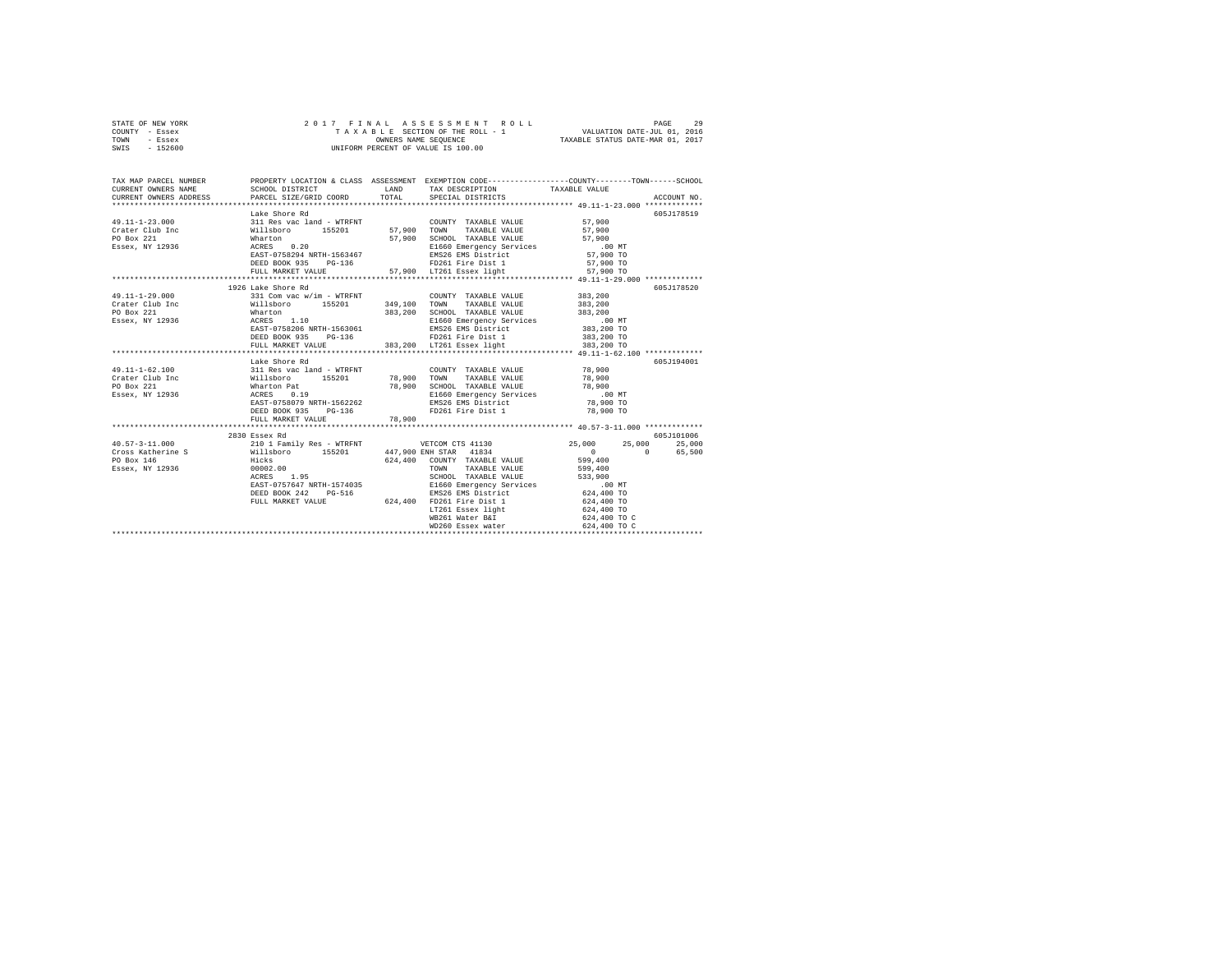| STATE OF NEW YORK |  | 2017 FINAL ASSESSMENT ROLL         |                                  | 29<br>PAGE |
|-------------------|--|------------------------------------|----------------------------------|------------|
| COUNTY - Essex    |  | TAXABLE SECTION OF THE ROLL - 1    | VALUATION DATE-JUL 01, 2016      |            |
| TOWN<br>- Essex   |  | OWNERS NAME SEOUENCE               | TAXABLE STATUS DATE-MAR 01, 2017 |            |
| $-152600$<br>SWIS |  | UNIFORM PERCENT OF VALUE IS 100.00 |                                  |            |

| TAX MAP PARCEL NUMBER             |                                                                                                                                                                                                                                                                                                                               |        | PROPERTY LOCATION & CLASS ASSESSMENT EXEMPTION CODE----------------COUNTY-------TOWN-----SCHOOL |             |
|-----------------------------------|-------------------------------------------------------------------------------------------------------------------------------------------------------------------------------------------------------------------------------------------------------------------------------------------------------------------------------|--------|-------------------------------------------------------------------------------------------------|-------------|
|                                   | Lake Shore Rd                                                                                                                                                                                                                                                                                                                 |        |                                                                                                 | 605J178519  |
| 49.11-1-29.000<br>Crater Club Inc | 1926 Lake Shore Rd<br>$331 \text{ Com vac w/in} - \text{WTRENT} \hspace{3.5cm} \text{COUNT} \hspace{3.5cm} \text{TAXABLE VALUE} \hspace{3.5cm} 383,200 \\ \text{Willsboro} \hspace{3.5cm} 155201 \hspace{3.5cm} 349,100 \hspace{3.5cm} \text{TOWN} \hspace{3.5cm} \text{TAXABLE VALUE} \hspace{3.5cm} 383,200 \hspace{3.5cm}$ |        |                                                                                                 | 605-1178520 |
|                                   | Lake Shore Rd<br>FULL MARKET VALUE                                                                                                                                                                                                                                                                                            | 78,900 |                                                                                                 | 605J194001  |
|                                   | 2830 Essex Rd                                                                                                                                                                                                                                                                                                                 |        |                                                                                                 | 605J101006  |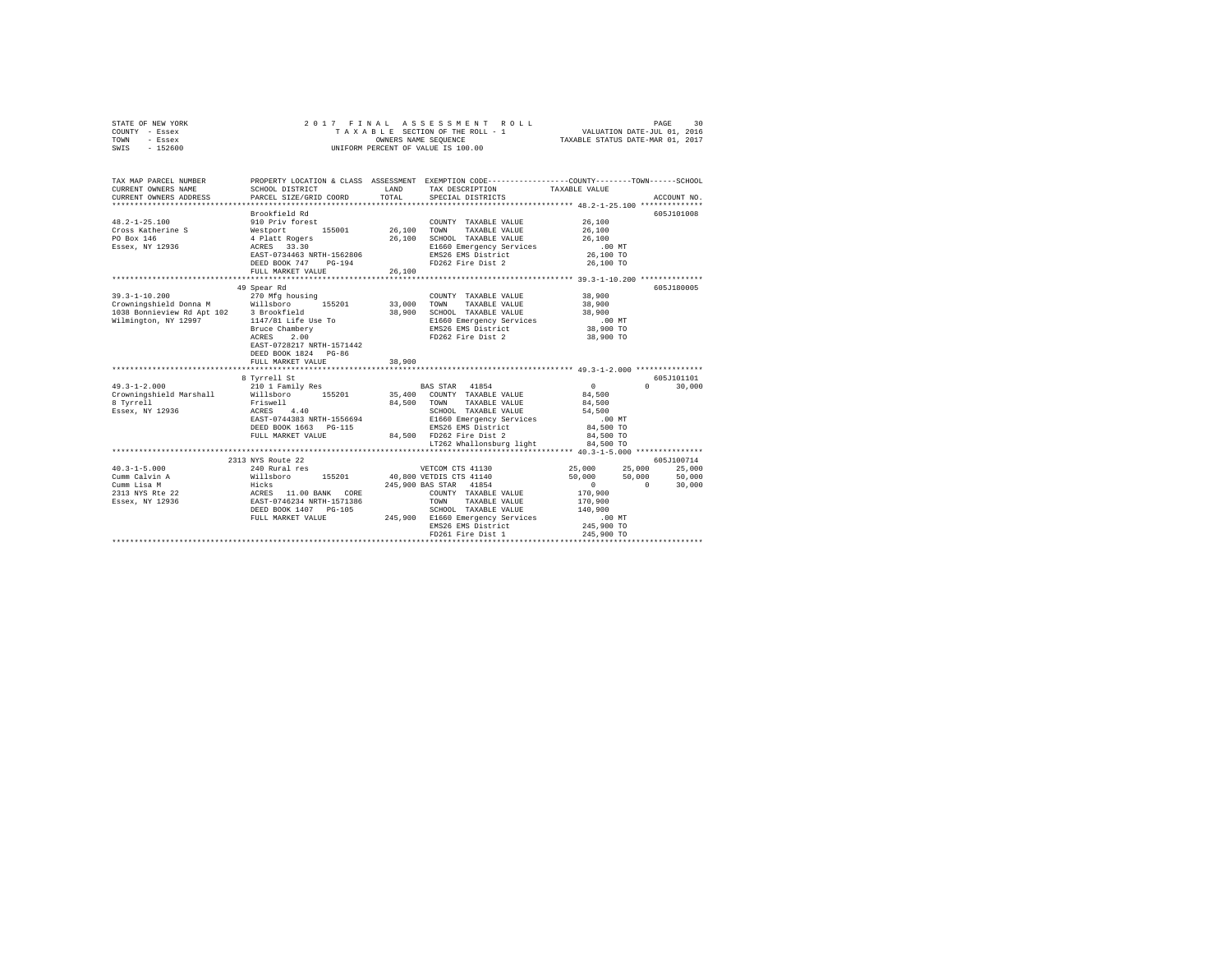|      | STATE OF NEW YORK |  |  | 2017 FINAL ASSESSMENT ROLL         |                                  | PAGE | 30 |
|------|-------------------|--|--|------------------------------------|----------------------------------|------|----|
|      | COUNTY - Essex    |  |  | TAXABLE SECTION OF THE ROLL - 1    | VALUATION DATE-JUL 01, 2016      |      |    |
| TOWN | - Essex           |  |  | OWNERS NAME SEOUENCE               | TAXABLE STATUS DATE-MAR 01, 2017 |      |    |
| SWIS | $-152600$         |  |  | UNIFORM PERCENT OF VALUE IS 100.00 |                                  |      |    |

| TAX MAP PARCEL NUMBER<br>CURRENT OWNERS NAME<br>CURRENT OWNERS ADDRESS PARCEL SIZE/GRID COORD | SCHOOL DISTRICT                                                                                                                                                          | LAND<br>TOTAL              | TAX DESCRIPTION<br>SPECIAL DISTRICTS                                                                                                                                                                                          | PROPERTY LOCATION & CLASS ASSESSMENT EXEMPTION CODE---------------COUNTY-------TOWN------SCHOOL<br>TAXABLE VALUE<br>ACCOUNT NO.                                                |  |
|-----------------------------------------------------------------------------------------------|--------------------------------------------------------------------------------------------------------------------------------------------------------------------------|----------------------------|-------------------------------------------------------------------------------------------------------------------------------------------------------------------------------------------------------------------------------|--------------------------------------------------------------------------------------------------------------------------------------------------------------------------------|--|
| $48.2 - 1 - 25.100$<br>Cross Katherine S<br>PO Box 146<br>Essex, NY 12936                     | Brookfield Rd<br>910 Priv forest<br>Westport 155001<br>4 Platt Rogers<br>ACRES 33.30<br>155001<br>EAST-0734463 NRTH-1562806<br>DEED BOOK 747 PG-194<br>FULL MARKET VALUE | 26,100<br>26,100<br>26,100 | COUNTY TAXABLE VALUE<br>TOWN<br>TAXABLE VALUE<br>SCHOOL TAXABLE VALUE<br>E1660 Emergency Services<br>EMS26 EMS District<br>FD262 Fire Dist 2                                                                                  | 605J101008<br>26,100<br>26,100<br>26,100<br>$.00$ MT<br>26,100 TO<br>26,100 TO                                                                                                 |  |
| $39.3 - 1 - 10.200$                                                                           | 49 Spear Rd<br>270 Mfg housing<br>155201<br>Bruce Chambery<br>2.00<br>ACRES<br>EAST-0728217 NRTH-1571442<br>DEED BOOK 1824 PG-86<br>FULL MARKET VALUE                    | 33,000<br>38,900<br>38,900 | COUNTY TAXABLE VALUE<br>TOWN<br>TAXABLE VALUE<br>SCHOOL TAXABLE VALUE<br>E1660 Emergency Services<br>EMS26 EMS District<br>FD262 Fire Dist 2                                                                                  | 605J180005<br>38,900<br>38,900<br>38,900<br>$.00$ MT<br>38,900 TO<br>38,900 TO                                                                                                 |  |
|                                                                                               | **********************                                                                                                                                                   | *********                  |                                                                                                                                                                                                                               | ******************************** 49.3-1-2.000 ****************                                                                                                                 |  |
| $49.3 - 1 - 2.000$<br>Crowningshield Marshall<br>8 Tyrrell<br>Essex, NY 12936                 | 8 Tyrrell St<br>210 1 Family Res<br>155201<br>Willsboro<br>Friswell<br>ACRES<br>4.40<br>EAST-0744383 NRTH-1556694<br>DEED BOOK 1663 PG-115<br>FULL MARKET VALUE          |                            | BAS STAR 41854<br>35,400 COUNTY TAXABLE VALUE<br>84,500 TOWN<br>TAXABLE VALUE<br>SCHOOL TAXABLE VALUE<br>E1660 Emergency Services<br>EMS26 EMS District<br>84,500 FD262 Fire Dist 2                                           | 605J101101<br>$\mathbf{0}$<br>$\Omega$<br>30,000<br>84,500<br>84,500<br>54,500<br>$.00$ MT<br>84,500 TO<br>84,500 TO                                                           |  |
|                                                                                               |                                                                                                                                                                          |                            | LT262 Whallonsburg light                                                                                                                                                                                                      | 84,500 TO                                                                                                                                                                      |  |
| $40.3 - 1 - 5.000$<br>Cumm Calvin A<br>Cumm Lisa M<br>2313 NYS Rte 22<br>Essex, NY 12936      | 2313 NYS Route 22<br>240 Rural res<br>Willsboro 155201<br>Hicks<br>ACRES 11.00 BANK CORE<br>EAST-0746234 NRTH-1571386<br>DEED BOOK 1407 PG-105<br>FULL MARKET VALUE      |                            | VETCOM CTS 41130<br>40,800 VETDIS CTS 41140<br>245,900 BAS STAR 41854<br>COUNTY TAXABLE VALUE<br>TOWN<br>TAXABLE VALUE<br>SCHOOL TAXABLE VALUE<br>245,900 E1660 Emergency Services<br>EMS26 EMS District<br>FD261 Fire Dist 1 | 605J100714<br>25,000<br>25,000<br>25,000<br>50,000<br>50,000<br>50,000<br>$\Omega$<br>30,000<br>$\Omega$<br>170,900<br>170,900<br>140,900<br>.00MT<br>245,900 TO<br>245,900 TO |  |
|                                                                                               |                                                                                                                                                                          |                            |                                                                                                                                                                                                                               |                                                                                                                                                                                |  |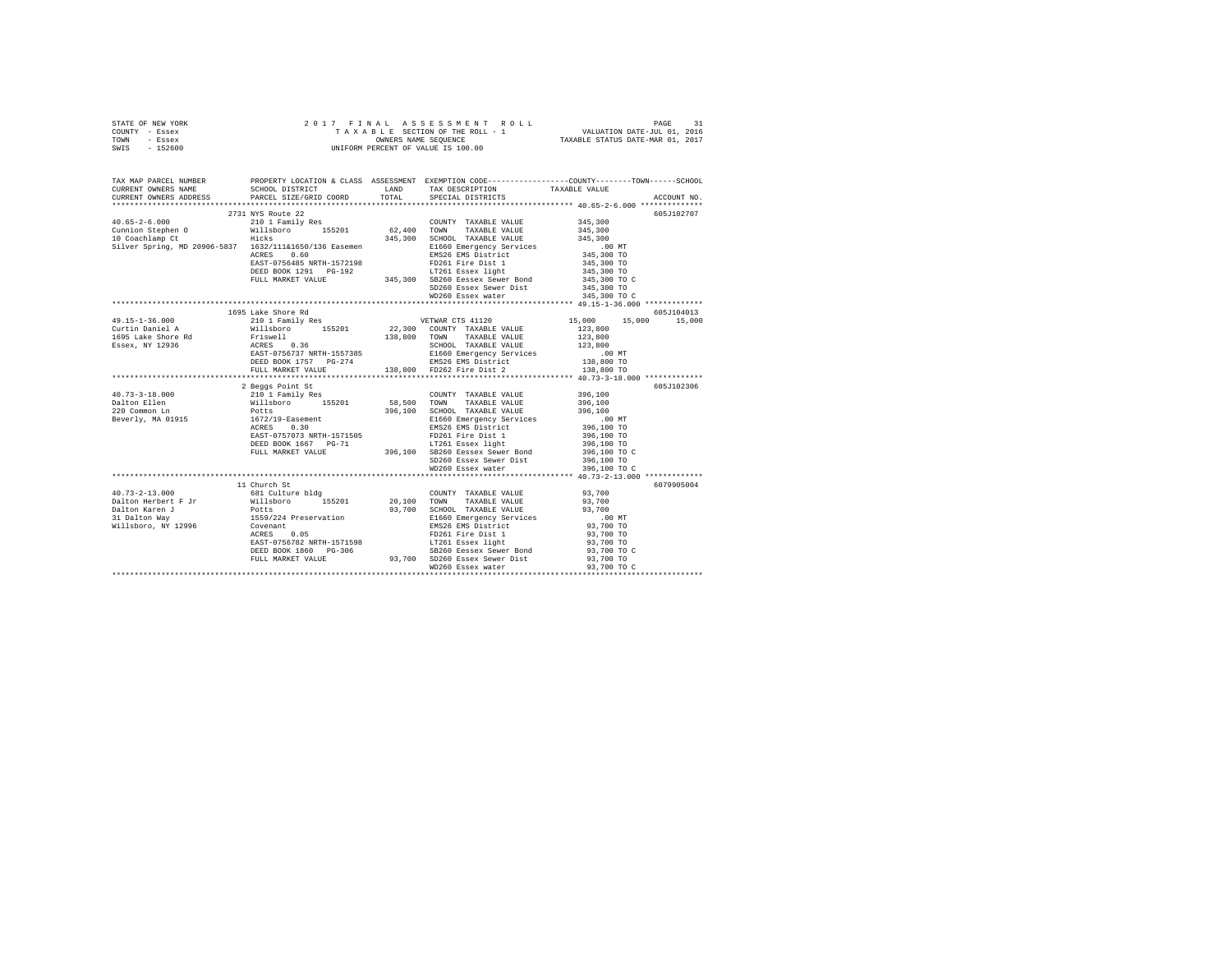| STATE OF NEW YORK | 2017 FINAL ASSESSMENT ROLL         | 31<br>PAGE                       |
|-------------------|------------------------------------|----------------------------------|
| - Essex<br>COUNTY | TAXABLE SECTION OF THE ROLL - 1    | VALUATION DATE-JUL 01, 2016      |
| TOWN<br>- Essex   | OWNERS NAME SEOUENCE               | TAXABLE STATUS DATE-MAR 01, 2017 |
| $-152600$<br>SWIS | UNIFORM PERCENT OF VALUE IS 100.00 |                                  |
|                   |                                    |                                  |

| TAX MAP PARCEL NUMBER<br>CURRENT OWNERS NAME                                                                                                                                                                                                                                                                                                                                  | PROPERTY LOCATION & CLASS ASSESSMENT EXEMPTION CODE---------------COUNTY-------TOWN-----SCHOOL<br>SCHOOL DISTRICT LAND TAX DESCRIPTION<br>PARCEL SIZE/GRID COORD |       |                             | TAXABLE VALUE            |             |
|-------------------------------------------------------------------------------------------------------------------------------------------------------------------------------------------------------------------------------------------------------------------------------------------------------------------------------------------------------------------------------|------------------------------------------------------------------------------------------------------------------------------------------------------------------|-------|-----------------------------|--------------------------|-------------|
| CURRENT OWNERS ADDRESS                                                                                                                                                                                                                                                                                                                                                        |                                                                                                                                                                  | TOTAL | SPECIAL DISTRICTS           |                          | ACCOUNT NO. |
|                                                                                                                                                                                                                                                                                                                                                                               |                                                                                                                                                                  |       |                             |                          | 605J102707  |
|                                                                                                                                                                                                                                                                                                                                                                               |                                                                                                                                                                  |       |                             |                          |             |
|                                                                                                                                                                                                                                                                                                                                                                               |                                                                                                                                                                  |       |                             |                          |             |
|                                                                                                                                                                                                                                                                                                                                                                               |                                                                                                                                                                  |       |                             |                          |             |
|                                                                                                                                                                                                                                                                                                                                                                               |                                                                                                                                                                  |       |                             |                          |             |
|                                                                                                                                                                                                                                                                                                                                                                               |                                                                                                                                                                  |       |                             |                          |             |
|                                                                                                                                                                                                                                                                                                                                                                               |                                                                                                                                                                  |       |                             |                          |             |
|                                                                                                                                                                                                                                                                                                                                                                               |                                                                                                                                                                  |       |                             |                          |             |
|                                                                                                                                                                                                                                                                                                                                                                               |                                                                                                                                                                  |       |                             |                          |             |
|                                                                                                                                                                                                                                                                                                                                                                               |                                                                                                                                                                  |       |                             |                          |             |
|                                                                                                                                                                                                                                                                                                                                                                               |                                                                                                                                                                  |       |                             |                          |             |
|                                                                                                                                                                                                                                                                                                                                                                               |                                                                                                                                                                  |       |                             |                          |             |
| $\begin{tabular}{l c c c c} \hline \texttt{345, 300} & \texttt{2731} & \texttt{345, 300} \\ \hline \texttt{345, 300} & \texttt{2731} & \texttt{1788} & \texttt{5201} & \texttt{62, 400} & \texttt{TAXABLE VALUE} & \texttt{345, 300} \\ \hline \texttt{145, 55-2-6.000} & \texttt{111} & \texttt{1868} & \texttt{5201} & \texttt{62, 400} & \texttt{TXABLE VALUE} & \texttt{$ |                                                                                                                                                                  |       |                             |                          | 605J104013  |
| 1695 Lake Shore Rd (1995 Lake Shore Rd (1995 Lake Shore Rd (1995 Lake Shore Rd (1995 Lake Shore Rd (1995 Lake Shore Rd (1995 Lake Shore Rd (1995 Lake Shore Rd (1995 Lake Shore Rd (1995 Lake Shore Rd (1996 Lake Shore Rd (19                                                                                                                                                |                                                                                                                                                                  |       |                             | 15,000 15,000 15,000     |             |
|                                                                                                                                                                                                                                                                                                                                                                               |                                                                                                                                                                  |       |                             |                          |             |
|                                                                                                                                                                                                                                                                                                                                                                               |                                                                                                                                                                  |       |                             |                          |             |
|                                                                                                                                                                                                                                                                                                                                                                               |                                                                                                                                                                  |       |                             |                          |             |
|                                                                                                                                                                                                                                                                                                                                                                               |                                                                                                                                                                  |       |                             |                          |             |
|                                                                                                                                                                                                                                                                                                                                                                               |                                                                                                                                                                  |       |                             |                          |             |
|                                                                                                                                                                                                                                                                                                                                                                               |                                                                                                                                                                  |       |                             |                          |             |
|                                                                                                                                                                                                                                                                                                                                                                               |                                                                                                                                                                  |       |                             |                          |             |
| $[30] \begin{tabular}{lcccccc} 1.111 & 1.111 & 1.111 & 1.111 & 1.111 & 1.111 & 1.111 & 1.111 & 1.111 & 1.111 & 1.111 & 1.111 & 1.111 & 1.111 & 1.111 & 1.111 & 1.111 & 1.111 & 1.111 & 1.111 & 1.111 & 1.111 & 1.111 & 1.111 & 1.111 & 1.111 & 1.111 & 1.111 & 1.111 & 1.$                                                                                                    |                                                                                                                                                                  |       |                             |                          | 605J102306  |
|                                                                                                                                                                                                                                                                                                                                                                               |                                                                                                                                                                  |       |                             |                          |             |
|                                                                                                                                                                                                                                                                                                                                                                               |                                                                                                                                                                  |       |                             |                          |             |
|                                                                                                                                                                                                                                                                                                                                                                               |                                                                                                                                                                  |       |                             |                          |             |
|                                                                                                                                                                                                                                                                                                                                                                               |                                                                                                                                                                  |       |                             |                          |             |
|                                                                                                                                                                                                                                                                                                                                                                               |                                                                                                                                                                  |       |                             |                          |             |
|                                                                                                                                                                                                                                                                                                                                                                               |                                                                                                                                                                  |       |                             |                          |             |
|                                                                                                                                                                                                                                                                                                                                                                               |                                                                                                                                                                  |       |                             |                          |             |
|                                                                                                                                                                                                                                                                                                                                                                               |                                                                                                                                                                  |       |                             |                          |             |
|                                                                                                                                                                                                                                                                                                                                                                               |                                                                                                                                                                  |       |                             |                          |             |
|                                                                                                                                                                                                                                                                                                                                                                               |                                                                                                                                                                  |       |                             |                          |             |
|                                                                                                                                                                                                                                                                                                                                                                               |                                                                                                                                                                  |       |                             |                          | 6079905004  |
| $40.73 - 2 - 13.000$                                                                                                                                                                                                                                                                                                                                                          | 681 Culture bldg                                                                                                                                                 |       | COUNTY TAXABLE VALUE 93,700 |                          |             |
|                                                                                                                                                                                                                                                                                                                                                                               |                                                                                                                                                                  |       |                             |                          |             |
|                                                                                                                                                                                                                                                                                                                                                                               |                                                                                                                                                                  |       |                             |                          |             |
|                                                                                                                                                                                                                                                                                                                                                                               |                                                                                                                                                                  |       |                             |                          |             |
|                                                                                                                                                                                                                                                                                                                                                                               |                                                                                                                                                                  |       |                             |                          |             |
|                                                                                                                                                                                                                                                                                                                                                                               |                                                                                                                                                                  |       |                             |                          |             |
|                                                                                                                                                                                                                                                                                                                                                                               |                                                                                                                                                                  |       |                             |                          |             |
|                                                                                                                                                                                                                                                                                                                                                                               |                                                                                                                                                                  |       |                             | 93,700 TO<br>93,700 TO C |             |
|                                                                                                                                                                                                                                                                                                                                                                               |                                                                                                                                                                  |       |                             | 93,700 TO                |             |
|                                                                                                                                                                                                                                                                                                                                                                               | FULL MARKET VALUE 93,700 SD260 Essex Sewer Dist<br>WD260 Essex Sewer Dist                                                                                        |       |                             | 93,700 TO C              |             |
|                                                                                                                                                                                                                                                                                                                                                                               |                                                                                                                                                                  |       |                             |                          |             |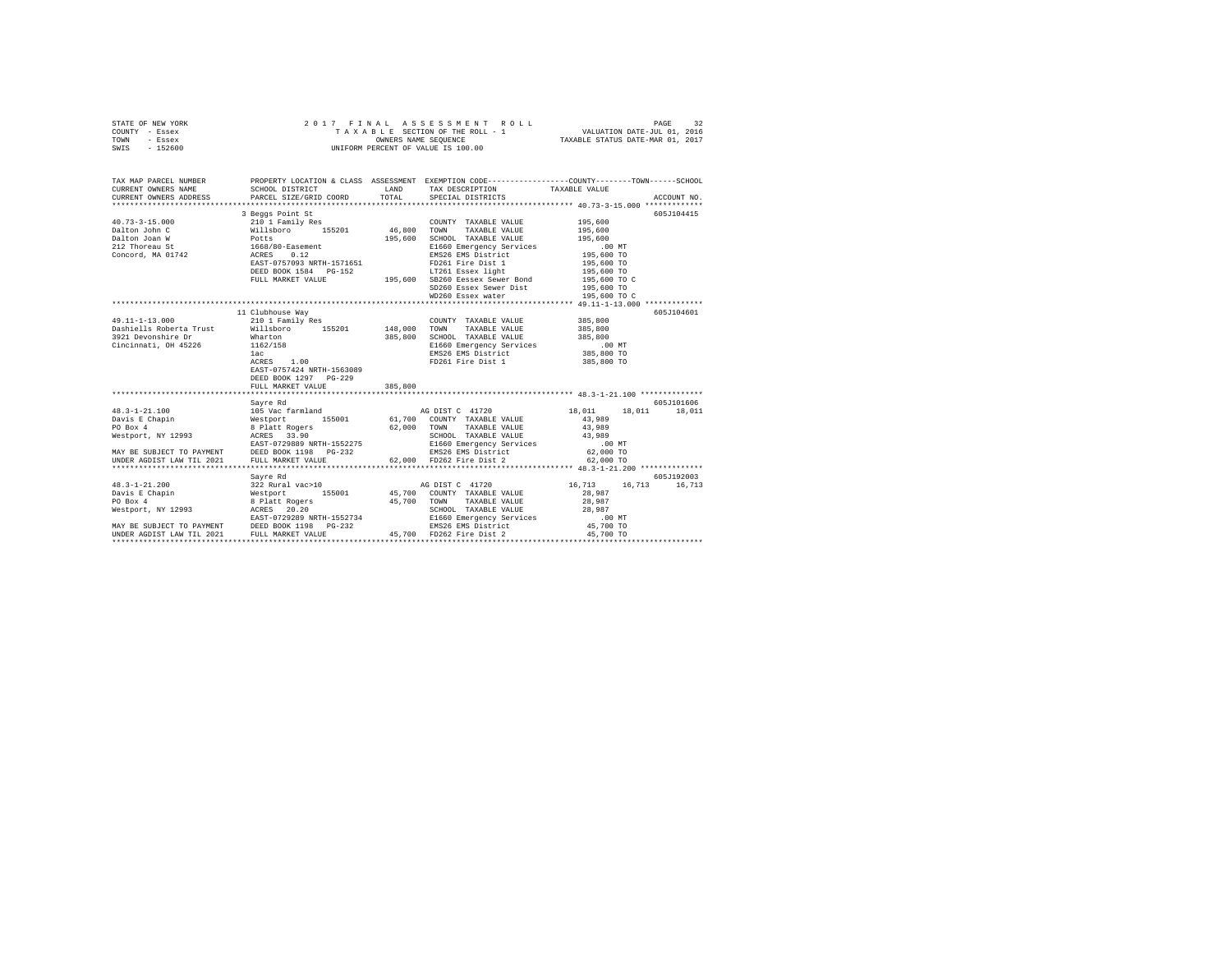| STATE OF NEW YORK<br>COUNTY - Essex<br>TOWN - Essex<br>SWIS - 152600                                                                                                                                                                                                                                                                                                                                                                                                                                                            | 2017 FINAL ASSESSMENT 1<br>TAXABLE SECTION OF THE ROLL -<br>UNIFORM PERCENT OF VALUE IS 100.00                                   |         | 7 FINAL ASSESSMENT ROLL TAXABLE SECTION OF THE ROLL TAXABLE SECTION OF THE ROLL - 1<br>TAXABLE SECTION OF THE ROLL - 1 VALUATION DATE-JUL 01.016<br>OWNERS NAME SEQUENCE  TAXABLE STATUS DATE-MAR 01, 2017                                                                                                                                                                                                                                                                       |                                          |             |
|---------------------------------------------------------------------------------------------------------------------------------------------------------------------------------------------------------------------------------------------------------------------------------------------------------------------------------------------------------------------------------------------------------------------------------------------------------------------------------------------------------------------------------|----------------------------------------------------------------------------------------------------------------------------------|---------|----------------------------------------------------------------------------------------------------------------------------------------------------------------------------------------------------------------------------------------------------------------------------------------------------------------------------------------------------------------------------------------------------------------------------------------------------------------------------------|------------------------------------------|-------------|
| TAX MAP PARCEL NUMBER PROPERTY LOCATION & CLASS ASSESSMENT EXEMPTION CODE---------------COUNTY-------TOWN------SCHOOL<br>CURRENT OWNERS NAME                                                                                                                                                                                                                                                                                                                                                                                    | SCHOOL DISTRICT LAND                                                                                                             |         | TAX DESCRIPTION                                                                                                                                                                                                                                                                                                                                                                                                                                                                  | TAXABLE VALUE                            |             |
| CURRENT OWNERS ADDRESS PARCEL SIZE/GRID COORD                                                                                                                                                                                                                                                                                                                                                                                                                                                                                   |                                                                                                                                  | TOTAL   | SPECIAL DISTRICTS                                                                                                                                                                                                                                                                                                                                                                                                                                                                |                                          | ACCOUNT NO. |
|                                                                                                                                                                                                                                                                                                                                                                                                                                                                                                                                 |                                                                                                                                  |         |                                                                                                                                                                                                                                                                                                                                                                                                                                                                                  |                                          |             |
|                                                                                                                                                                                                                                                                                                                                                                                                                                                                                                                                 | 3 Beggs Point St                                                                                                                 |         |                                                                                                                                                                                                                                                                                                                                                                                                                                                                                  |                                          | 605J104415  |
|                                                                                                                                                                                                                                                                                                                                                                                                                                                                                                                                 |                                                                                                                                  |         | COUNTY TAXABLE VALUE                                                                                                                                                                                                                                                                                                                                                                                                                                                             | 195,600                                  |             |
|                                                                                                                                                                                                                                                                                                                                                                                                                                                                                                                                 |                                                                                                                                  |         | TAXABLE VALUE<br>195,600 SCHOOL TAXABLE VALUE                                                                                                                                                                                                                                                                                                                                                                                                                                    | 195,600<br>195,600                       |             |
|                                                                                                                                                                                                                                                                                                                                                                                                                                                                                                                                 |                                                                                                                                  |         |                                                                                                                                                                                                                                                                                                                                                                                                                                                                                  |                                          |             |
|                                                                                                                                                                                                                                                                                                                                                                                                                                                                                                                                 |                                                                                                                                  |         | E1660 Emergency Services .00 MT<br>EMS26 EMS District 195,600 TO                                                                                                                                                                                                                                                                                                                                                                                                                 |                                          |             |
|                                                                                                                                                                                                                                                                                                                                                                                                                                                                                                                                 |                                                                                                                                  |         |                                                                                                                                                                                                                                                                                                                                                                                                                                                                                  |                                          |             |
|                                                                                                                                                                                                                                                                                                                                                                                                                                                                                                                                 |                                                                                                                                  |         |                                                                                                                                                                                                                                                                                                                                                                                                                                                                                  | 195,600 TO<br>195,600 TO<br>195,600 TO C |             |
|                                                                                                                                                                                                                                                                                                                                                                                                                                                                                                                                 |                                                                                                                                  |         | FULL MARKET VALUE 195,600 SB260 Eessex Sewer Bond                                                                                                                                                                                                                                                                                                                                                                                                                                |                                          |             |
|                                                                                                                                                                                                                                                                                                                                                                                                                                                                                                                                 |                                                                                                                                  |         | SD260 Essex Sewer Dist                                                                                                                                                                                                                                                                                                                                                                                                                                                           | 195,600 TO                               |             |
|                                                                                                                                                                                                                                                                                                                                                                                                                                                                                                                                 |                                                                                                                                  |         | WD260 Essex water                                                                                                                                                                                                                                                                                                                                                                                                                                                                | 195,600 TO C                             |             |
|                                                                                                                                                                                                                                                                                                                                                                                                                                                                                                                                 |                                                                                                                                  |         |                                                                                                                                                                                                                                                                                                                                                                                                                                                                                  |                                          |             |
|                                                                                                                                                                                                                                                                                                                                                                                                                                                                                                                                 | 11 Clubhouse Way                                                                                                                 |         |                                                                                                                                                                                                                                                                                                                                                                                                                                                                                  |                                          | 605J104601  |
| 49.11-1-13.000                                                                                                                                                                                                                                                                                                                                                                                                                                                                                                                  | 210 1 Family Res                                                                                                                 |         | $\begin{tabular}{lllllll} \multicolumn{2}{l}{{\text{COUNTY}}} & \multicolumn{2}{l}{\text{TAXABLE VALUE}} & \multicolumn{2}{l}{\text{S00}}\\ \multicolumn{2}{l}{\text{COUNTY}} & \multicolumn{2}{l}{\text{TAXABLE VALUE}} & \multicolumn{2}{l}{\text{S00}}\\ \multicolumn{2}{l}{\text{S00}} & \multicolumn{2}{l}{\text{S10}} & \multicolumn{2}{l}{\text{S20}} & \multicolumn{2}{l}{\text{S10}} & \multicolumn{2}{l}{\text{S20}}\\ \multicolumn{2}{l}{\text{C10}} & \multicolumn{$ |                                          |             |
| Dashiells Roberta Trust                                                                                                                                                                                                                                                                                                                                                                                                                                                                                                         |                                                                                                                                  |         | TAXABLE VALUE                                                                                                                                                                                                                                                                                                                                                                                                                                                                    | 385,800                                  |             |
| 3921 Devonshire Dr                                                                                                                                                                                                                                                                                                                                                                                                                                                                                                              | ست ستمسر 1972 / 2004<br>Millsboro 155201 148,000 TOWN<br>Mharton 385,800 SCHOOL<br>162/158 1162/158 1162 11630 1162<br>18826 181 |         | 385,800 SCHOOL TAXABLE VALUE                                                                                                                                                                                                                                                                                                                                                                                                                                                     | 385,800                                  |             |
| Cincinnati, OH 45226                                                                                                                                                                                                                                                                                                                                                                                                                                                                                                            |                                                                                                                                  |         | E1660 Emergency Services<br>E1660 Emergency Services<br>EMS26 EMS District                                                                                                                                                                                                                                                                                                                                                                                                       | .00 MT                                   |             |
|                                                                                                                                                                                                                                                                                                                                                                                                                                                                                                                                 |                                                                                                                                  |         |                                                                                                                                                                                                                                                                                                                                                                                                                                                                                  | 385,800 TO                               |             |
|                                                                                                                                                                                                                                                                                                                                                                                                                                                                                                                                 | ACRES 1.00                                                                                                                       |         | FD261 Fire Dist 1                                                                                                                                                                                                                                                                                                                                                                                                                                                                | 385,800 TO                               |             |
|                                                                                                                                                                                                                                                                                                                                                                                                                                                                                                                                 | EAST-0757424 NRTH-1563089                                                                                                        |         |                                                                                                                                                                                                                                                                                                                                                                                                                                                                                  |                                          |             |
|                                                                                                                                                                                                                                                                                                                                                                                                                                                                                                                                 | DEED BOOK 1297 PG-229                                                                                                            |         |                                                                                                                                                                                                                                                                                                                                                                                                                                                                                  |                                          |             |
| $\begin{tabular}{lllllllll} \multicolumn{4}{c }{\begin{tabular}{lcccc} \multicolumn{4}{c}{\begin{tabular}{lcccc} \multicolumn{4}{c}{\begin{tabular}{lcccc} \multicolumn{4}{c}{\begin{tabular}{lcccc} \multicolumn{4}{c}{\begin{tabular}{lcccc} \multicolumn{4}{c}{\begin{tabular}{lcccc} \multicolumn{4}{c}{\begin{tabular}{lcccc} \multicolumn{4}{c}{\begin{tabular}{lcccc} \multicolumn{4}{c}{\begin{tabular}{lcccc} \multicolumn{4}{c}{\begin{tabular}{lcccc} \multicolumn{4}{c}{\begin{tabular}{lcccc} \multicolumn{4}{c}{$ | FULL MARKET VALUE                                                                                                                | 385,800 |                                                                                                                                                                                                                                                                                                                                                                                                                                                                                  |                                          |             |
|                                                                                                                                                                                                                                                                                                                                                                                                                                                                                                                                 |                                                                                                                                  |         |                                                                                                                                                                                                                                                                                                                                                                                                                                                                                  |                                          | 605J101606  |
|                                                                                                                                                                                                                                                                                                                                                                                                                                                                                                                                 |                                                                                                                                  |         |                                                                                                                                                                                                                                                                                                                                                                                                                                                                                  | 18,011 18,011 18,011                     |             |
|                                                                                                                                                                                                                                                                                                                                                                                                                                                                                                                                 |                                                                                                                                  |         |                                                                                                                                                                                                                                                                                                                                                                                                                                                                                  | 43,989                                   |             |
|                                                                                                                                                                                                                                                                                                                                                                                                                                                                                                                                 |                                                                                                                                  |         |                                                                                                                                                                                                                                                                                                                                                                                                                                                                                  | 43,989                                   |             |
|                                                                                                                                                                                                                                                                                                                                                                                                                                                                                                                                 |                                                                                                                                  |         | SCHOOL TAXABLE VALUE                                                                                                                                                                                                                                                                                                                                                                                                                                                             | 43,989                                   |             |
|                                                                                                                                                                                                                                                                                                                                                                                                                                                                                                                                 |                                                                                                                                  |         |                                                                                                                                                                                                                                                                                                                                                                                                                                                                                  | $.00$ MT                                 |             |
|                                                                                                                                                                                                                                                                                                                                                                                                                                                                                                                                 |                                                                                                                                  |         |                                                                                                                                                                                                                                                                                                                                                                                                                                                                                  | 62,000 TO                                |             |
|                                                                                                                                                                                                                                                                                                                                                                                                                                                                                                                                 |                                                                                                                                  |         |                                                                                                                                                                                                                                                                                                                                                                                                                                                                                  | 62,000 TO                                |             |
|                                                                                                                                                                                                                                                                                                                                                                                                                                                                                                                                 |                                                                                                                                  |         |                                                                                                                                                                                                                                                                                                                                                                                                                                                                                  |                                          |             |
|                                                                                                                                                                                                                                                                                                                                                                                                                                                                                                                                 | Sayre Rd                                                                                                                         |         |                                                                                                                                                                                                                                                                                                                                                                                                                                                                                  |                                          | 605J192003  |
|                                                                                                                                                                                                                                                                                                                                                                                                                                                                                                                                 |                                                                                                                                  |         |                                                                                                                                                                                                                                                                                                                                                                                                                                                                                  | 16,713 16,713 16,713                     |             |
|                                                                                                                                                                                                                                                                                                                                                                                                                                                                                                                                 |                                                                                                                                  |         |                                                                                                                                                                                                                                                                                                                                                                                                                                                                                  | 28,987                                   |             |
|                                                                                                                                                                                                                                                                                                                                                                                                                                                                                                                                 |                                                                                                                                  |         | SCHOOL TAXABLE VALUE                                                                                                                                                                                                                                                                                                                                                                                                                                                             | 28,987                                   |             |
|                                                                                                                                                                                                                                                                                                                                                                                                                                                                                                                                 |                                                                                                                                  |         |                                                                                                                                                                                                                                                                                                                                                                                                                                                                                  | 28,987                                   |             |
|                                                                                                                                                                                                                                                                                                                                                                                                                                                                                                                                 |                                                                                                                                  |         |                                                                                                                                                                                                                                                                                                                                                                                                                                                                                  | $.00$ MT                                 |             |
|                                                                                                                                                                                                                                                                                                                                                                                                                                                                                                                                 |                                                                                                                                  |         |                                                                                                                                                                                                                                                                                                                                                                                                                                                                                  | 45,700 TO<br>45,700 TO                   |             |
|                                                                                                                                                                                                                                                                                                                                                                                                                                                                                                                                 |                                                                                                                                  |         |                                                                                                                                                                                                                                                                                                                                                                                                                                                                                  |                                          |             |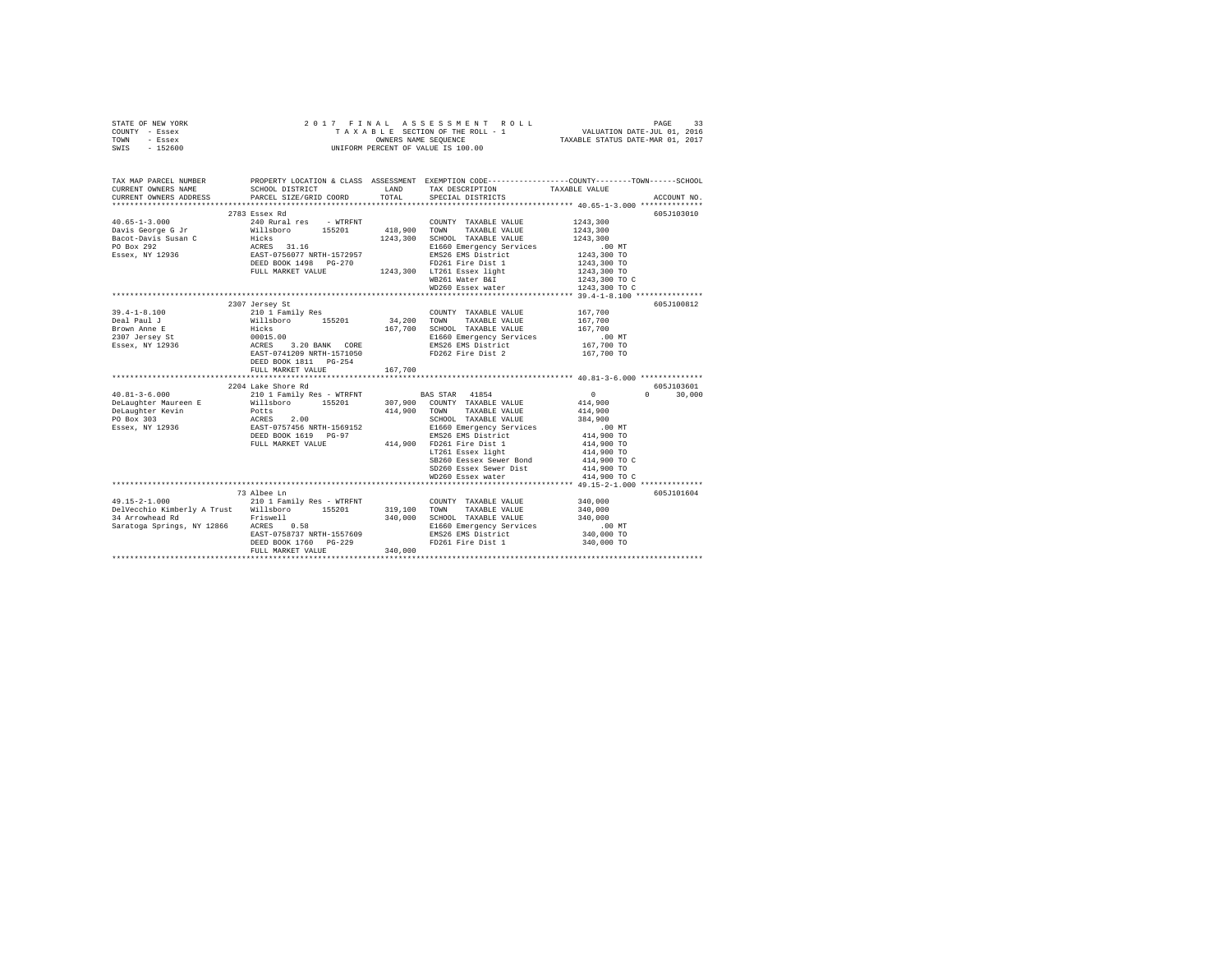|      | STATE OF NEW YORK |  |  | 2017 FINAL ASSESSMENT ROLL         | PAGE                             |  |
|------|-------------------|--|--|------------------------------------|----------------------------------|--|
|      | COUNTY - Essex    |  |  | TAXABLE SECTION OF THE ROLL - 1    | VALUATION DATE-JUL 01, 2016      |  |
| TOWN | - Essex           |  |  | OWNERS NAME SEOUENCE               | TAXABLE STATUS DATE-MAR 01, 2017 |  |
| SWIS | $-152600$         |  |  | UNIFORM PERCENT OF VALUE IS 100.00 |                                  |  |

| TAX MAP PARCEL NUMBER                                                                                                                                                                                                                                                                                                                                                                                   |                                                                                                                                                                                                                                                          |         |                                                                                                                                                                                                                                                                                                                                                                                                                          | PROPERTY LOCATION & CLASS ASSESSMENT EXEMPTION CODE---------------COUNTY-------TOWN------SCHOOL |
|---------------------------------------------------------------------------------------------------------------------------------------------------------------------------------------------------------------------------------------------------------------------------------------------------------------------------------------------------------------------------------------------------------|----------------------------------------------------------------------------------------------------------------------------------------------------------------------------------------------------------------------------------------------------------|---------|--------------------------------------------------------------------------------------------------------------------------------------------------------------------------------------------------------------------------------------------------------------------------------------------------------------------------------------------------------------------------------------------------------------------------|-------------------------------------------------------------------------------------------------|
| CURRENT OWNERS NAME                                                                                                                                                                                                                                                                                                                                                                                     | SCHOOL DISTRICT                                                                                                                                                                                                                                          |         | LAND TAX DESCRIPTION TAXABLE VALUE                                                                                                                                                                                                                                                                                                                                                                                       |                                                                                                 |
| CURRENT OWNERS ADDRESS                                                                                                                                                                                                                                                                                                                                                                                  | PARCEL SIZE/GRID COORD TOTAL SPECIAL DISTRICTS                                                                                                                                                                                                           |         |                                                                                                                                                                                                                                                                                                                                                                                                                          | ACCOUNT NO.                                                                                     |
|                                                                                                                                                                                                                                                                                                                                                                                                         |                                                                                                                                                                                                                                                          |         |                                                                                                                                                                                                                                                                                                                                                                                                                          |                                                                                                 |
|                                                                                                                                                                                                                                                                                                                                                                                                         | 2783 Essex Rd                                                                                                                                                                                                                                            |         |                                                                                                                                                                                                                                                                                                                                                                                                                          | 605J103010                                                                                      |
| $40.65 - 1 - 3.000$                                                                                                                                                                                                                                                                                                                                                                                     | 240 Rural res - WTRFNT COUNTY TAXABLE VALUE                                                                                                                                                                                                              |         |                                                                                                                                                                                                                                                                                                                                                                                                                          | 1243,300                                                                                        |
|                                                                                                                                                                                                                                                                                                                                                                                                         |                                                                                                                                                                                                                                                          |         |                                                                                                                                                                                                                                                                                                                                                                                                                          | 1243.300                                                                                        |
|                                                                                                                                                                                                                                                                                                                                                                                                         |                                                                                                                                                                                                                                                          |         |                                                                                                                                                                                                                                                                                                                                                                                                                          | 1243,300                                                                                        |
|                                                                                                                                                                                                                                                                                                                                                                                                         |                                                                                                                                                                                                                                                          |         |                                                                                                                                                                                                                                                                                                                                                                                                                          | .00 MT                                                                                          |
|                                                                                                                                                                                                                                                                                                                                                                                                         |                                                                                                                                                                                                                                                          |         |                                                                                                                                                                                                                                                                                                                                                                                                                          | 1243,300 TO<br>1243,300 TO                                                                      |
|                                                                                                                                                                                                                                                                                                                                                                                                         |                                                                                                                                                                                                                                                          |         | FULL MARKET VALUE 1243,300 LT261 Essex light                                                                                                                                                                                                                                                                                                                                                                             |                                                                                                 |
|                                                                                                                                                                                                                                                                                                                                                                                                         |                                                                                                                                                                                                                                                          |         |                                                                                                                                                                                                                                                                                                                                                                                                                          | 1243,300 TO                                                                                     |
|                                                                                                                                                                                                                                                                                                                                                                                                         |                                                                                                                                                                                                                                                          |         | WB261 Water B&I                                                                                                                                                                                                                                                                                                                                                                                                          | 1243,300 TO C                                                                                   |
|                                                                                                                                                                                                                                                                                                                                                                                                         |                                                                                                                                                                                                                                                          |         | WD260 Essex water                                                                                                                                                                                                                                                                                                                                                                                                        | 1243,300 TO C                                                                                   |
|                                                                                                                                                                                                                                                                                                                                                                                                         |                                                                                                                                                                                                                                                          |         |                                                                                                                                                                                                                                                                                                                                                                                                                          | 605J100812                                                                                      |
|                                                                                                                                                                                                                                                                                                                                                                                                         | 2307 Jersey St<br>210 1 Family Res (200NTY TAXABLE VALUE 167,700<br>Willaboro 155201 34,200 TOWN TAXABLE VALUE 167,700<br>Hicks 167,700 SCHOOL TAXABLE VALUE 167,700<br>20015.00 100015.00 EL660 Emergency Services<br>RESE 3.20 BANK CORE EMS26 EMS Dis |         |                                                                                                                                                                                                                                                                                                                                                                                                                          |                                                                                                 |
| $39.4 - 1 - 8.100$                                                                                                                                                                                                                                                                                                                                                                                      |                                                                                                                                                                                                                                                          |         |                                                                                                                                                                                                                                                                                                                                                                                                                          |                                                                                                 |
| Deal Paul J                                                                                                                                                                                                                                                                                                                                                                                             |                                                                                                                                                                                                                                                          |         |                                                                                                                                                                                                                                                                                                                                                                                                                          |                                                                                                 |
| Brown Anne E                                                                                                                                                                                                                                                                                                                                                                                            |                                                                                                                                                                                                                                                          |         |                                                                                                                                                                                                                                                                                                                                                                                                                          |                                                                                                 |
| 2307 Jersey St<br>Essex, NY 12936                                                                                                                                                                                                                                                                                                                                                                       |                                                                                                                                                                                                                                                          |         |                                                                                                                                                                                                                                                                                                                                                                                                                          |                                                                                                 |
|                                                                                                                                                                                                                                                                                                                                                                                                         |                                                                                                                                                                                                                                                          |         |                                                                                                                                                                                                                                                                                                                                                                                                                          |                                                                                                 |
|                                                                                                                                                                                                                                                                                                                                                                                                         |                                                                                                                                                                                                                                                          |         |                                                                                                                                                                                                                                                                                                                                                                                                                          |                                                                                                 |
|                                                                                                                                                                                                                                                                                                                                                                                                         | DEED BOOK 1811 PG-254                                                                                                                                                                                                                                    |         |                                                                                                                                                                                                                                                                                                                                                                                                                          |                                                                                                 |
|                                                                                                                                                                                                                                                                                                                                                                                                         | FULL MARKET VALUE                                                                                                                                                                                                                                        | 167,700 |                                                                                                                                                                                                                                                                                                                                                                                                                          |                                                                                                 |
|                                                                                                                                                                                                                                                                                                                                                                                                         | 2204 Lake Shore Rd                                                                                                                                                                                                                                       |         |                                                                                                                                                                                                                                                                                                                                                                                                                          | 605J103601                                                                                      |
| $\begin{tabular}{l c c c c c} \multicolumn{1}{c c c c} \multicolumn{1}{c c c} \multicolumn{1}{c c c} \multicolumn{1}{c c c} \multicolumn{1}{c c c} \multicolumn{1}{c c c} \multicolumn{1}{c c c} \multicolumn{1}{c c c} \multicolumn{1}{c c c} \multicolumn{1}{c c c} \multicolumn{1}{c c c} \multicolumn{1}{c c c} \multicolumn{1}{c c c} \multicolumn{1}{c c c} \multicolumn{1}{c c c} \multicolumn{$ |                                                                                                                                                                                                                                                          |         |                                                                                                                                                                                                                                                                                                                                                                                                                          | 30,000<br>$\Omega$                                                                              |
|                                                                                                                                                                                                                                                                                                                                                                                                         |                                                                                                                                                                                                                                                          |         |                                                                                                                                                                                                                                                                                                                                                                                                                          | $\begin{array}{c}0\\414,900\end{array}$                                                         |
|                                                                                                                                                                                                                                                                                                                                                                                                         |                                                                                                                                                                                                                                                          |         |                                                                                                                                                                                                                                                                                                                                                                                                                          |                                                                                                 |
|                                                                                                                                                                                                                                                                                                                                                                                                         |                                                                                                                                                                                                                                                          |         | 414,900 TOWN TAXABLE VALUE $414,900$<br>SCHOOL TAXABLE VALUE $414,900$                                                                                                                                                                                                                                                                                                                                                   |                                                                                                 |
|                                                                                                                                                                                                                                                                                                                                                                                                         |                                                                                                                                                                                                                                                          |         |                                                                                                                                                                                                                                                                                                                                                                                                                          |                                                                                                 |
|                                                                                                                                                                                                                                                                                                                                                                                                         |                                                                                                                                                                                                                                                          |         |                                                                                                                                                                                                                                                                                                                                                                                                                          |                                                                                                 |
|                                                                                                                                                                                                                                                                                                                                                                                                         |                                                                                                                                                                                                                                                          |         |                                                                                                                                                                                                                                                                                                                                                                                                                          |                                                                                                 |
|                                                                                                                                                                                                                                                                                                                                                                                                         |                                                                                                                                                                                                                                                          |         |                                                                                                                                                                                                                                                                                                                                                                                                                          |                                                                                                 |
|                                                                                                                                                                                                                                                                                                                                                                                                         |                                                                                                                                                                                                                                                          |         |                                                                                                                                                                                                                                                                                                                                                                                                                          |                                                                                                 |
|                                                                                                                                                                                                                                                                                                                                                                                                         |                                                                                                                                                                                                                                                          |         | $\begin{tabular}{l c c c} \texttt{SCH0OL} & \texttt{TXABLE} & \texttt{VALUE} & \texttt{334,900} \\ \texttt{E1660} & \texttt{Emergency} & \texttt{Services} & \texttt{384,900} & \texttt{00} \\ \texttt{EN826} & \texttt{EMS} & \texttt{Distriblet} & \texttt{414,900} & \texttt{TO} \\ \texttt{FD261} & \texttt{Fire Dist 1} & \texttt{414,900} & \texttt{TO} \\ \texttt{ST261} & \texttt{Essex Uight} & \texttt{414,90$ |                                                                                                 |
|                                                                                                                                                                                                                                                                                                                                                                                                         |                                                                                                                                                                                                                                                          |         | WD260 Essex water 414,900 TO C                                                                                                                                                                                                                                                                                                                                                                                           |                                                                                                 |
|                                                                                                                                                                                                                                                                                                                                                                                                         |                                                                                                                                                                                                                                                          |         |                                                                                                                                                                                                                                                                                                                                                                                                                          |                                                                                                 |
|                                                                                                                                                                                                                                                                                                                                                                                                         | 73 Albee Ln                                                                                                                                                                                                                                              |         |                                                                                                                                                                                                                                                                                                                                                                                                                          | 605J101604                                                                                      |
| $49.15 - 2 - 1.000$                                                                                                                                                                                                                                                                                                                                                                                     | 210 1 Family Res - WTRFNT COUNTY TAXABLE VALUE 340,000                                                                                                                                                                                                   |         |                                                                                                                                                                                                                                                                                                                                                                                                                          |                                                                                                 |
| Delvecchio Kimberly A Trust Willsboro 155201 319,100 TOWN TAXABLE VALUE 340,000                                                                                                                                                                                                                                                                                                                         |                                                                                                                                                                                                                                                          |         |                                                                                                                                                                                                                                                                                                                                                                                                                          |                                                                                                 |
|                                                                                                                                                                                                                                                                                                                                                                                                         |                                                                                                                                                                                                                                                          |         |                                                                                                                                                                                                                                                                                                                                                                                                                          |                                                                                                 |
|                                                                                                                                                                                                                                                                                                                                                                                                         |                                                                                                                                                                                                                                                          |         | E1660 Emergency Services                                                                                                                                                                                                                                                                                                                                                                                                 | .00 MT                                                                                          |
|                                                                                                                                                                                                                                                                                                                                                                                                         | EAST-0758737 NRTH-1557609                                                                                                                                                                                                                                |         | EMS26 EMS District                                                                                                                                                                                                                                                                                                                                                                                                       | 340,000 TO                                                                                      |
|                                                                                                                                                                                                                                                                                                                                                                                                         | DEED BOOK 1760 PG-229                                                                                                                                                                                                                                    |         | FD261 Fire Dist 1                                                                                                                                                                                                                                                                                                                                                                                                        | 340,000 TO                                                                                      |
|                                                                                                                                                                                                                                                                                                                                                                                                         | FULL MARKET VALUE                                                                                                                                                                                                                                        | 340,000 |                                                                                                                                                                                                                                                                                                                                                                                                                          |                                                                                                 |
|                                                                                                                                                                                                                                                                                                                                                                                                         |                                                                                                                                                                                                                                                          |         |                                                                                                                                                                                                                                                                                                                                                                                                                          |                                                                                                 |
|                                                                                                                                                                                                                                                                                                                                                                                                         |                                                                                                                                                                                                                                                          |         |                                                                                                                                                                                                                                                                                                                                                                                                                          |                                                                                                 |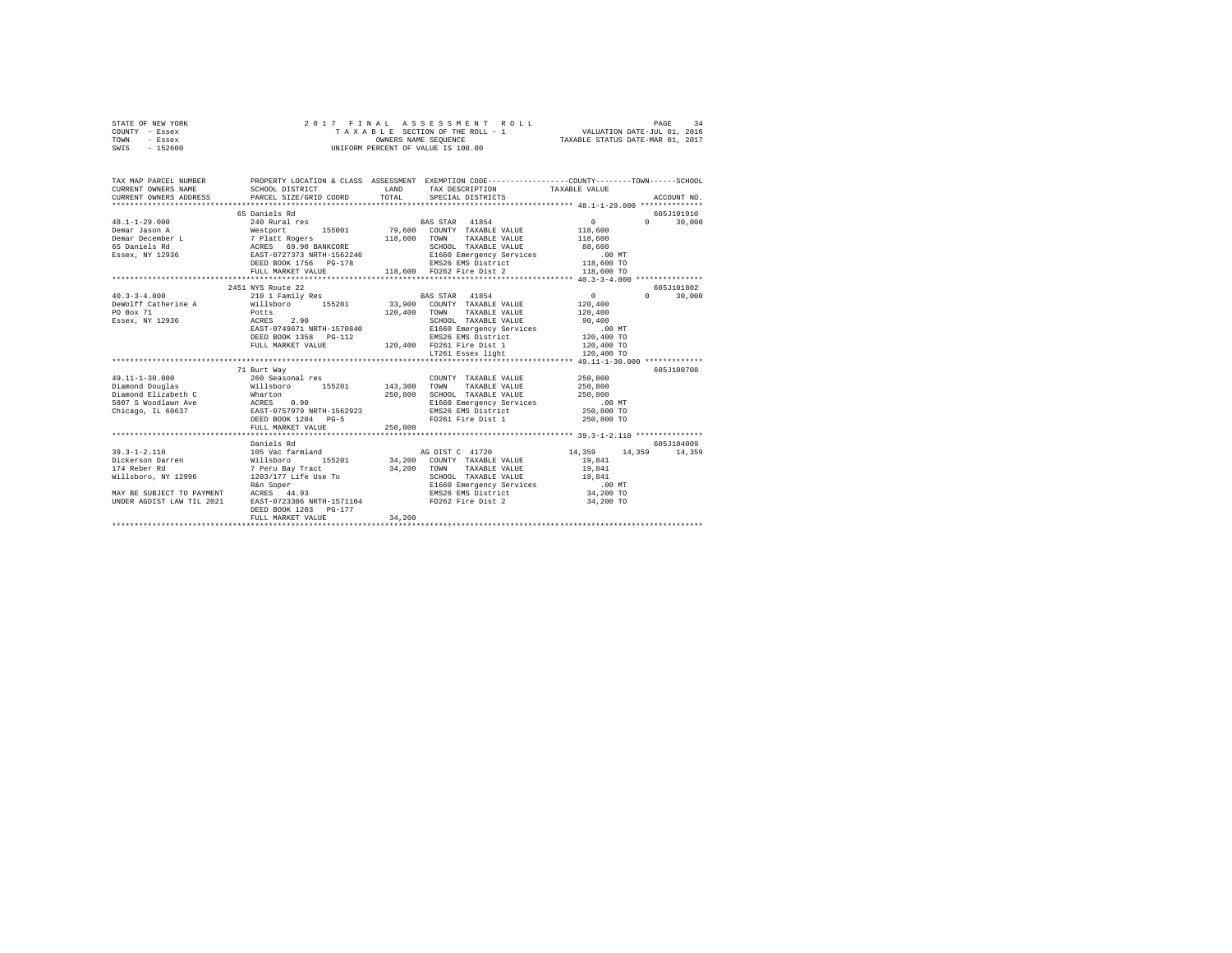| STATE OF NEW YORK | 2017 FINAL ASSESSMENT ROLL         | 34<br>PAGE                       |
|-------------------|------------------------------------|----------------------------------|
| COUNTY - Essex    | TAXABLE SECTION OF THE ROLL - 1    | VALUATION DATE-JUL 01, 2016      |
| TOWN<br>- Essex   | OWNERS NAME SEOUENCE               | TAXABLE STATUS DATE-MAR 01, 2017 |
| $-152600$<br>SWIS | UNIFORM PERCENT OF VALUE IS 100.00 |                                  |

| TAX MAP PARCEL NUMBER                                                                                                                                                                                                                                                                                                                                                    |                                                                                   |         | PROPERTY LOCATION & CLASS ASSESSMENT EXEMPTION CODE----------------COUNTY-------TOWN-----SCHOOL |              |                                 |
|--------------------------------------------------------------------------------------------------------------------------------------------------------------------------------------------------------------------------------------------------------------------------------------------------------------------------------------------------------------------------|-----------------------------------------------------------------------------------|---------|-------------------------------------------------------------------------------------------------|--------------|---------------------------------|
|                                                                                                                                                                                                                                                                                                                                                                          |                                                                                   |         |                                                                                                 |              |                                 |
|                                                                                                                                                                                                                                                                                                                                                                          | 65 Daniels Rd                                                                     |         |                                                                                                 |              | 605J101910                      |
| $\begin{tabular}{l c c c c c} \multicolumn{3}{c}{\textbf{48.1-1-29.000}} & \multicolumn{3}{c}{\textbf{54.1-1-29.000}} & \multicolumn{3}{c}{\textbf{54.1-1-29.000}} & \multicolumn{3}{c}{\textbf{54.1-1-29.000}} & \multicolumn{3}{c}{\textbf{54.1-1-29.000}} & \multicolumn{3}{c}{\textbf{54.1-1-29.000}} & \multicolumn{3}{c}{\textbf{54.1-1-29.000}} & \multicolumn{3$ |                                                                                   |         |                                                                                                 |              | 30,000<br>$\Omega$ and $\Omega$ |
|                                                                                                                                                                                                                                                                                                                                                                          |                                                                                   |         |                                                                                                 |              |                                 |
|                                                                                                                                                                                                                                                                                                                                                                          |                                                                                   |         |                                                                                                 |              |                                 |
|                                                                                                                                                                                                                                                                                                                                                                          |                                                                                   |         |                                                                                                 |              |                                 |
|                                                                                                                                                                                                                                                                                                                                                                          |                                                                                   |         |                                                                                                 |              |                                 |
|                                                                                                                                                                                                                                                                                                                                                                          |                                                                                   |         |                                                                                                 |              |                                 |
|                                                                                                                                                                                                                                                                                                                                                                          |                                                                                   |         |                                                                                                 |              |                                 |
|                                                                                                                                                                                                                                                                                                                                                                          |                                                                                   |         |                                                                                                 |              |                                 |
|                                                                                                                                                                                                                                                                                                                                                                          | 2451 NYS Route 22                                                                 |         |                                                                                                 |              | 605J101802                      |
| $40.3 - 3 - 4.000$                                                                                                                                                                                                                                                                                                                                                       | 210 1 Family Res BAS STAR 41854                                                   |         |                                                                                                 | $\sim$ 0     | 30,000<br>$\Omega$              |
| DeWolff Catherine A Millsboro 155201 33,900 COUNTY TAXABLE VALUE 120,400                                                                                                                                                                                                                                                                                                 |                                                                                   |         |                                                                                                 |              |                                 |
| PO Box 71                                                                                                                                                                                                                                                                                                                                                                | Potts 120,400 TOWN<br>ACRES 2.90 120,400 SCHOC<br>EAST-0749671 NRTH-1570840 E1660 |         | TAXABLE VALUE 120,400                                                                           |              |                                 |
| PO Box 71<br>Essex, NY 12936                                                                                                                                                                                                                                                                                                                                             |                                                                                   |         | SCHOOL TAXABLE VALUE 90,400<br>E1660 Emergency Services .00 MT                                  |              |                                 |
|                                                                                                                                                                                                                                                                                                                                                                          |                                                                                   |         |                                                                                                 |              |                                 |
|                                                                                                                                                                                                                                                                                                                                                                          | DEED BOOK 1358 PG-112                                                             |         | EMS26 EMS District 120,400 TO                                                                   |              |                                 |
|                                                                                                                                                                                                                                                                                                                                                                          |                                                                                   |         | FULL MARKET VALUE 120,400 FD261 Fire Dist 1<br>IT261 Essex light                                | $120,400$ TO |                                 |
|                                                                                                                                                                                                                                                                                                                                                                          |                                                                                   |         |                                                                                                 | 120,400 TO   |                                 |
|                                                                                                                                                                                                                                                                                                                                                                          |                                                                                   |         |                                                                                                 |              |                                 |
|                                                                                                                                                                                                                                                                                                                                                                          | 71 Burt Way                                                                       |         |                                                                                                 |              | 605J100708                      |
| $49.11 - 1 - 30.000$                                                                                                                                                                                                                                                                                                                                                     | 260 Seasonal res                                                                  |         | COUNTY TAXABLE VALUE 250.800                                                                    |              |                                 |
| Diamond Douglas <b>155201</b> 143,300 TOWN TAXABLE VALUE                                                                                                                                                                                                                                                                                                                 |                                                                                   |         |                                                                                                 | 250,800      |                                 |
|                                                                                                                                                                                                                                                                                                                                                                          |                                                                                   |         | 250,800 SCHOOL TAXABLE VALUE 250,800                                                            |              |                                 |
| Diamond Elizabeth C Mharton (1980)<br>19807 S Woodlawn Ave ACRES 0.90<br>Chicago, IL 60637 EAST-0757979 NRTH-1562923                                                                                                                                                                                                                                                     |                                                                                   |         | E1660 Emergency Services .00 MT<br>EMS26 EMS District 250,800 TO                                |              |                                 |
|                                                                                                                                                                                                                                                                                                                                                                          |                                                                                   |         |                                                                                                 |              |                                 |
|                                                                                                                                                                                                                                                                                                                                                                          | DEED BOOK 1204 PG-5                                                               |         | FD261 Fire Dist 1                                                                               | 250,800 TO   |                                 |
|                                                                                                                                                                                                                                                                                                                                                                          | FULL MARKET VALUE                                                                 | 250,800 |                                                                                                 |              |                                 |
|                                                                                                                                                                                                                                                                                                                                                                          |                                                                                   |         |                                                                                                 |              |                                 |
|                                                                                                                                                                                                                                                                                                                                                                          | Daniels Rd                                                                        |         |                                                                                                 |              | 605-7104009                     |
| $39.3 - 1 - 2.110$                                                                                                                                                                                                                                                                                                                                                       | 105 Vac farmland                                                                  |         | AG DIST C 41720 14,359 14,359 14,359                                                            |              |                                 |
| 39.3–1-2.11.10<br>29.41 Dickerson Darren Willisboro 155201 34,200 COUNTY TAXABLE VALUE 19,841<br>20.41 Dickerson Darren 19,944 7 Peru Bay Tract 34,200 TOWN TAXABLE VALUE 19,841<br>20.41 SCHOL TAXABLE VALUE SCHOL TAXABLE VALUE 1                                                                                                                                      |                                                                                   |         |                                                                                                 |              |                                 |
|                                                                                                                                                                                                                                                                                                                                                                          |                                                                                   |         |                                                                                                 |              |                                 |
|                                                                                                                                                                                                                                                                                                                                                                          |                                                                                   |         |                                                                                                 |              |                                 |
|                                                                                                                                                                                                                                                                                                                                                                          |                                                                                   |         |                                                                                                 |              |                                 |
| MAY BE SUBJECT TO PAYMENT ACRES 44.93<br>UNDER AGDIST LAW TIL 2021 EAST-0723306 N                                                                                                                                                                                                                                                                                        |                                                                                   |         |                                                                                                 |              |                                 |
|                                                                                                                                                                                                                                                                                                                                                                          | EAST-0723306 NRTH-1571104                                                         |         | FD262 Fire Dist 2                                                                               | 34,200 TO    |                                 |
|                                                                                                                                                                                                                                                                                                                                                                          | DEED BOOK 1203 PG-177                                                             |         |                                                                                                 |              |                                 |
|                                                                                                                                                                                                                                                                                                                                                                          | FULL MARKET VALUE                                                                 | 34,200  |                                                                                                 |              |                                 |
|                                                                                                                                                                                                                                                                                                                                                                          |                                                                                   |         |                                                                                                 |              |                                 |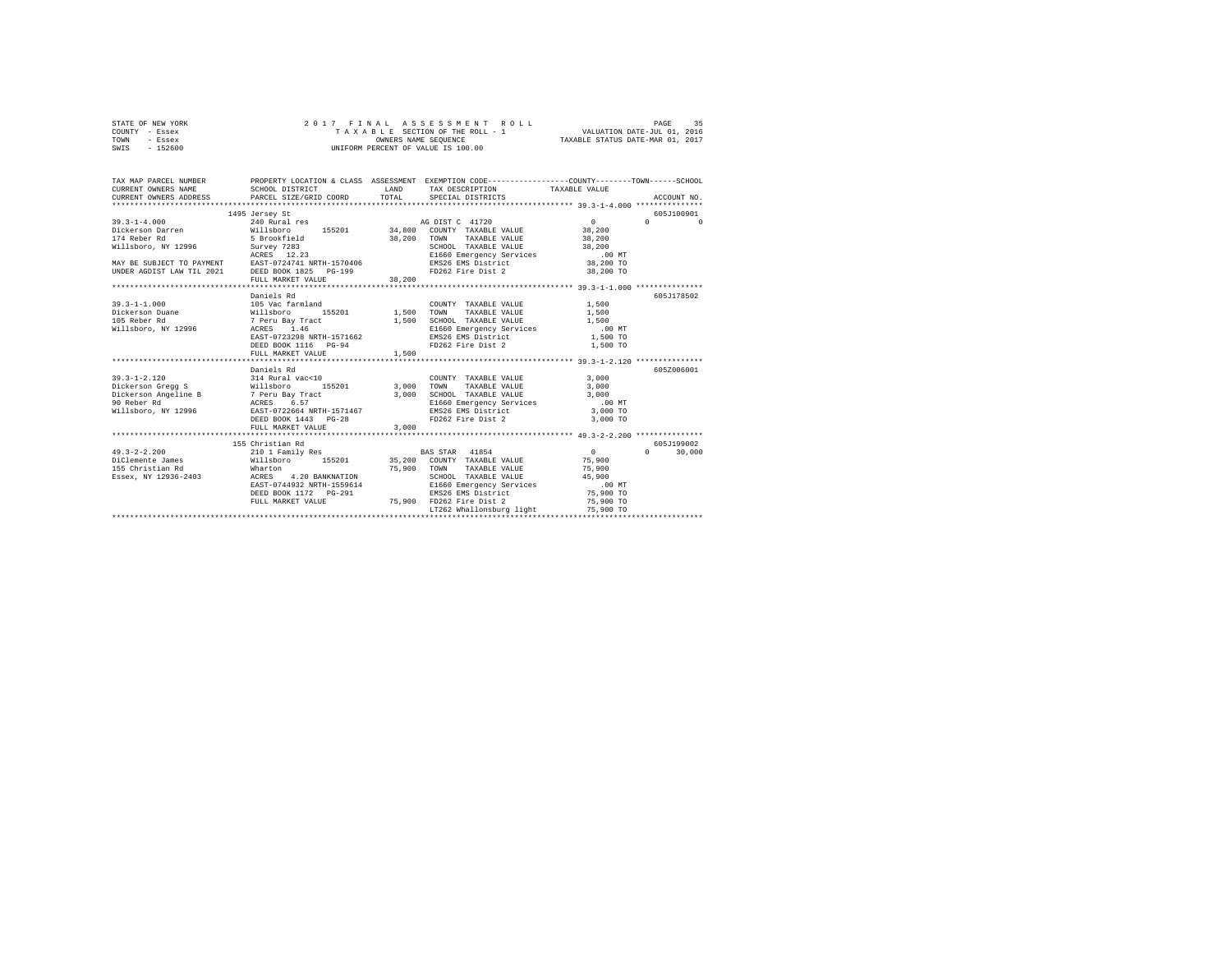|      | STATE OF NEW YORK |  |  | 2017 FINAL ASSESSMENT ROLL         | PAGE                             | 35 |
|------|-------------------|--|--|------------------------------------|----------------------------------|----|
|      | COUNTY - Essex    |  |  | TAXABLE SECTION OF THE ROLL - 1    | VALUATION DATE-JUL 01, 2016      |    |
| TOWN | - Essex           |  |  | OWNERS NAME SEOUENCE               | TAXABLE STATUS DATE-MAR 01, 2017 |    |
| SWIS | $-152600$         |  |  | UNIFORM PERCENT OF VALUE IS 100.00 |                                  |    |

| TAX MAP PARCEL NUMBER<br>CURRENT OWNERS NAME<br>CURRENT OWNERS ADDRESS PARCEL SIZE/GRID COORD TOTAL                                                                                                                                  | PROPERTY LOCATION & CLASS ASSESSMENT EXEMPTION CODE----------------COUNTY-------TOWN------SCHOOL<br>LAND<br>SCHOOL DISTRICT                                                                                                                                                  |       | TAX DESCRIPTION TAXABLE VALUE<br>SPECIAL DISTRICTS              |                                           | ACCOUNT NO.                                      |
|--------------------------------------------------------------------------------------------------------------------------------------------------------------------------------------------------------------------------------------|------------------------------------------------------------------------------------------------------------------------------------------------------------------------------------------------------------------------------------------------------------------------------|-------|-----------------------------------------------------------------|-------------------------------------------|--------------------------------------------------|
| MAY BE SUBJECT TO PAYMENT ACKES 12.23<br>MAY BE SUBJECT TO PAYMENT EAST-0724741 NRTH-1570406 EMS26 EMS District and DO MT<br>TUNDER AGDIST LAW TIL 2021 DEED BOOK 1825 POLISALE PRODUCER AGDIST LAW TIL 2021<br>FD262 Fire Dist 2 38 | 1495 Jersey St                                                                                                                                                                                                                                                               |       | 38,200 TOWN TAXABLE VALUE 38,200<br>SCHOOL TAXABLE VALUE 38,200 | $\sim$ 0                                  | 605-7100901<br>$\Omega$ and $\Omega$<br>$\Omega$ |
|                                                                                                                                                                                                                                      | Daniels Rd<br>%111sboro 155201 1,500 TOWN TAXABLE VALUE 1,500<br>7 Peru Bay Tract 1,500 SCHOOL TAXABLE VALUE 1,500<br>ACRES 1.46 1,500 E1660 Emergency Services .00 MT<br>RAST-0723298 NRTH-1571662 RMS26 EMS District 1,500 TO<br>DEED BOOK 1116 PG-94<br>FULL MARKET VALUE | 1,500 | COUNTY TAXABLE VALUE<br>FD262 Fire Dist 2                       | 1,500<br>1,500 TO                         | 605.7178502                                      |
|                                                                                                                                                                                                                                      | Daniels Rd<br>DEED BOOK 1443 PG-28<br>FULL MARKET VALUE                                                                                                                                                                                                                      | 3,000 | FD262 Fire Dist 2                                               | 3,000 TO                                  | 605Z006001                                       |
| Essex, NY 12936-2403<br>ACRES 4.20 BANKNATION                                                                                                                                                                                        | 155 Christian Rd<br>EAST-0744932 NRTH-1559614 E1660 Emergency Services<br>DEED BOOK 1172 PG-291 PENS26 ENS District (1990 TO 16,900 TO<br>FULL MARKET VALUE 75,900 TO262 Fire Dist 2                                                                                         |       | SCHOOL TAXABLE VALUE 45,900<br>LT262 Whallonsburg light         | $\sim$ 0<br>75,900<br>75,900<br>75,900 TO | 605-7199002<br>$0 \t 30.000$                     |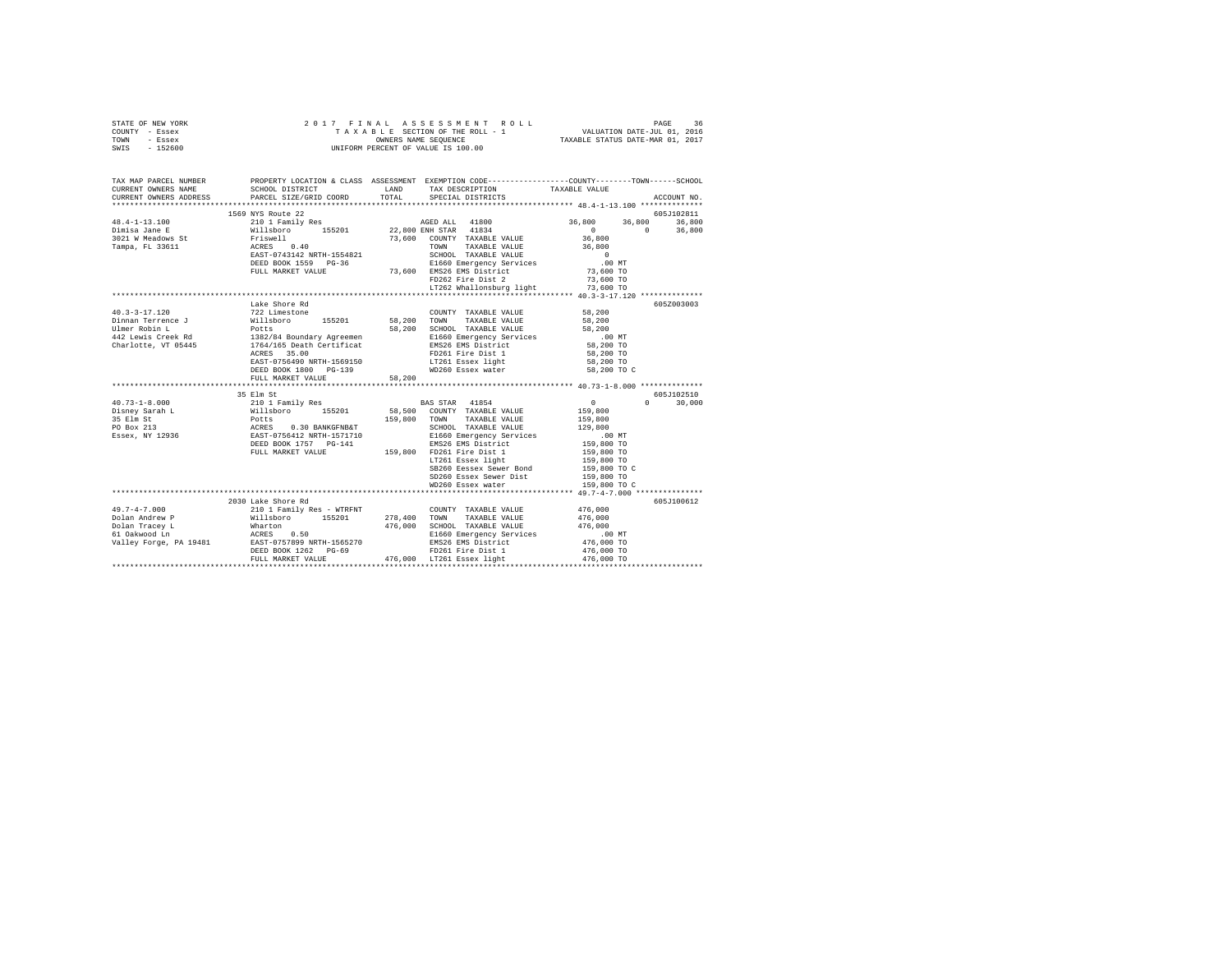| STATE OF NEW YORK                                                                                                                                                                                                                                                                                                                                                                                                   |                                           |        |                                                                                                                                                         |                                                                                                 |
|---------------------------------------------------------------------------------------------------------------------------------------------------------------------------------------------------------------------------------------------------------------------------------------------------------------------------------------------------------------------------------------------------------------------|-------------------------------------------|--------|---------------------------------------------------------------------------------------------------------------------------------------------------------|-------------------------------------------------------------------------------------------------|
| COUNTY - Essex                                                                                                                                                                                                                                                                                                                                                                                                      |                                           |        |                                                                                                                                                         |                                                                                                 |
| TOWN - Essex                                                                                                                                                                                                                                                                                                                                                                                                        |                                           |        |                                                                                                                                                         |                                                                                                 |
| SWIS - 152600                                                                                                                                                                                                                                                                                                                                                                                                       |                                           |        |                                                                                                                                                         |                                                                                                 |
|                                                                                                                                                                                                                                                                                                                                                                                                                     |                                           |        |                                                                                                                                                         |                                                                                                 |
|                                                                                                                                                                                                                                                                                                                                                                                                                     |                                           |        |                                                                                                                                                         |                                                                                                 |
|                                                                                                                                                                                                                                                                                                                                                                                                                     |                                           |        |                                                                                                                                                         |                                                                                                 |
| TAX MAP PARCEL NUMBER                                                                                                                                                                                                                                                                                                                                                                                               |                                           |        |                                                                                                                                                         | PROPERTY LOCATION & CLASS ASSESSMENT EXEMPTION CODE---------------COUNTY-------TOWN------SCHOOL |
| CURRENT OWNERS NAME                                                                                                                                                                                                                                                                                                                                                                                                 |                                           |        | SCHOOL DISTRICT LAND TAX DESCRIPTION TAXABLE VALUE                                                                                                      |                                                                                                 |
| CURRENT OWNERS ADDRESS                                                                                                                                                                                                                                                                                                                                                                                              | SCHOOL DIGINIC.<br>PARCEL SIZE/GRID COORD |        | TOTAL SPECIAL DISTRICTS                                                                                                                                 | ACCOUNT NO.                                                                                     |
| $\begin{tabular}{l c c c c c} \multicolumn{4}{c}{\textbf{1550} NTS}\\ \multicolumn{4}{c}{\textbf{1550} NTS} & \multicolumn{4}{c}{\textbf{1550} NTS} & \multicolumn{4}{c}{\textbf{155201}} & \multicolumn{4}{c}{\textbf{155201}} & \multicolumn{4}{c}{\textbf{155201}} & \multicolumn{4}{c}{\textbf{155201}} & \multicolumn{4}{c}{\textbf{22,800 ENIH STAR}} & \multicolumn{4}{c}{\textbf{3101} M} & \multicolumn{4$ |                                           |        |                                                                                                                                                         |                                                                                                 |
|                                                                                                                                                                                                                                                                                                                                                                                                                     |                                           |        |                                                                                                                                                         | 605J102811                                                                                      |
|                                                                                                                                                                                                                                                                                                                                                                                                                     |                                           |        |                                                                                                                                                         | 36,800 36,800 36,800                                                                            |
|                                                                                                                                                                                                                                                                                                                                                                                                                     |                                           |        |                                                                                                                                                         | $0$ 0 36,800<br>36,800                                                                          |
|                                                                                                                                                                                                                                                                                                                                                                                                                     |                                           |        |                                                                                                                                                         |                                                                                                 |
|                                                                                                                                                                                                                                                                                                                                                                                                                     |                                           |        |                                                                                                                                                         |                                                                                                 |
|                                                                                                                                                                                                                                                                                                                                                                                                                     |                                           |        |                                                                                                                                                         |                                                                                                 |
|                                                                                                                                                                                                                                                                                                                                                                                                                     |                                           |        |                                                                                                                                                         |                                                                                                 |
|                                                                                                                                                                                                                                                                                                                                                                                                                     |                                           |        |                                                                                                                                                         |                                                                                                 |
|                                                                                                                                                                                                                                                                                                                                                                                                                     |                                           |        |                                                                                                                                                         |                                                                                                 |
|                                                                                                                                                                                                                                                                                                                                                                                                                     |                                           |        |                                                                                                                                                         |                                                                                                 |
|                                                                                                                                                                                                                                                                                                                                                                                                                     |                                           |        |                                                                                                                                                         |                                                                                                 |
|                                                                                                                                                                                                                                                                                                                                                                                                                     | Lake Shore Rd                             |        |                                                                                                                                                         | 605Z003003                                                                                      |
|                                                                                                                                                                                                                                                                                                                                                                                                                     |                                           |        |                                                                                                                                                         | 58,200                                                                                          |
|                                                                                                                                                                                                                                                                                                                                                                                                                     |                                           |        |                                                                                                                                                         | 58,200                                                                                          |
|                                                                                                                                                                                                                                                                                                                                                                                                                     |                                           |        |                                                                                                                                                         | 58,200                                                                                          |
|                                                                                                                                                                                                                                                                                                                                                                                                                     |                                           |        |                                                                                                                                                         | $.00$ MT                                                                                        |
|                                                                                                                                                                                                                                                                                                                                                                                                                     |                                           |        |                                                                                                                                                         | 58,200 TO                                                                                       |
|                                                                                                                                                                                                                                                                                                                                                                                                                     | ACRES 35.00                               |        |                                                                                                                                                         |                                                                                                 |
|                                                                                                                                                                                                                                                                                                                                                                                                                     |                                           |        |                                                                                                                                                         |                                                                                                 |
|                                                                                                                                                                                                                                                                                                                                                                                                                     |                                           |        | ACRES 35.00 PD261 Fire Dist 1 58,200 TO<br>EAST-0754490 NRTH-1569150 LT261 Easex light 58,200 TO<br>DEED BOOK 1800 PG-139 WD260 Essex water 58,200 TO C |                                                                                                 |
|                                                                                                                                                                                                                                                                                                                                                                                                                     | FULL MARKET VALUE                         | 58,200 |                                                                                                                                                         |                                                                                                 |
|                                                                                                                                                                                                                                                                                                                                                                                                                     |                                           |        |                                                                                                                                                         |                                                                                                 |
|                                                                                                                                                                                                                                                                                                                                                                                                                     | 35 Elm St                                 |        |                                                                                                                                                         | 605J102510                                                                                      |
| $\begin{tabular}{l c c c c c} \multicolumn{3}{c c c c} \multicolumn{3}{c c c} \multicolumn{3}{c c c} \multicolumn{3}{c c c} \multicolumn{3}{c c c} \multicolumn{3}{c c c} \multicolumn{3}{c c c} \multicolumn{3}{c c c} \multicolumn{3}{c c c} \multicolumn{3}{c c c} \multicolumn{3}{c c c} \multicolumn{3}{c c c} \multicolumn{3}{c c c} \multicolumn{3}{c c c} \multicolumn{3}{c c c} \multicolumn{$             |                                           |        |                                                                                                                                                         | $0 \t 30,000$                                                                                   |
|                                                                                                                                                                                                                                                                                                                                                                                                                     |                                           |        |                                                                                                                                                         |                                                                                                 |
|                                                                                                                                                                                                                                                                                                                                                                                                                     |                                           |        |                                                                                                                                                         |                                                                                                 |
|                                                                                                                                                                                                                                                                                                                                                                                                                     |                                           |        |                                                                                                                                                         |                                                                                                 |
|                                                                                                                                                                                                                                                                                                                                                                                                                     |                                           |        |                                                                                                                                                         |                                                                                                 |
|                                                                                                                                                                                                                                                                                                                                                                                                                     |                                           |        |                                                                                                                                                         |                                                                                                 |
|                                                                                                                                                                                                                                                                                                                                                                                                                     |                                           |        |                                                                                                                                                         |                                                                                                 |
|                                                                                                                                                                                                                                                                                                                                                                                                                     |                                           |        |                                                                                                                                                         |                                                                                                 |
|                                                                                                                                                                                                                                                                                                                                                                                                                     |                                           |        | SB260 Eessex Sewer Bond                                                                                                                                 | 159,800 TO C                                                                                    |
|                                                                                                                                                                                                                                                                                                                                                                                                                     |                                           |        |                                                                                                                                                         |                                                                                                 |
|                                                                                                                                                                                                                                                                                                                                                                                                                     |                                           |        | SD260 Essex Sewer Dist 159,800 TO<br>WD260 Essex water 159,800 TO                                                                                       |                                                                                                 |
|                                                                                                                                                                                                                                                                                                                                                                                                                     |                                           |        |                                                                                                                                                         |                                                                                                 |
|                                                                                                                                                                                                                                                                                                                                                                                                                     | 2030 Lake Shore Rd                        |        |                                                                                                                                                         | 605J100612                                                                                      |
| $\begin{tabular}{l c c c c c} \multicolumn{3}{c c c c} \multicolumn{3}{c c c} \multicolumn{3}{c c c} \multicolumn{3}{c c c} \multicolumn{3}{c c c} \multicolumn{3}{c c c} \multicolumn{3}{c c c} \multicolumn{3}{c c c} \multicolumn{3}{c c c} \multicolumn{3}{c c c} \multicolumn{3}{c c c} \multicolumn{3}{c c c} \multicolumn{3}{c c c} \multicolumn{3}{c c c} \multicolumn{3}{c c c} \multicolumn{$             |                                           |        |                                                                                                                                                         |                                                                                                 |
|                                                                                                                                                                                                                                                                                                                                                                                                                     |                                           |        |                                                                                                                                                         |                                                                                                 |
|                                                                                                                                                                                                                                                                                                                                                                                                                     |                                           |        |                                                                                                                                                         |                                                                                                 |
|                                                                                                                                                                                                                                                                                                                                                                                                                     |                                           |        |                                                                                                                                                         |                                                                                                 |
|                                                                                                                                                                                                                                                                                                                                                                                                                     |                                           |        |                                                                                                                                                         |                                                                                                 |
|                                                                                                                                                                                                                                                                                                                                                                                                                     |                                           |        |                                                                                                                                                         |                                                                                                 |
|                                                                                                                                                                                                                                                                                                                                                                                                                     |                                           |        |                                                                                                                                                         |                                                                                                 |
|                                                                                                                                                                                                                                                                                                                                                                                                                     |                                           |        |                                                                                                                                                         |                                                                                                 |
|                                                                                                                                                                                                                                                                                                                                                                                                                     |                                           |        |                                                                                                                                                         |                                                                                                 |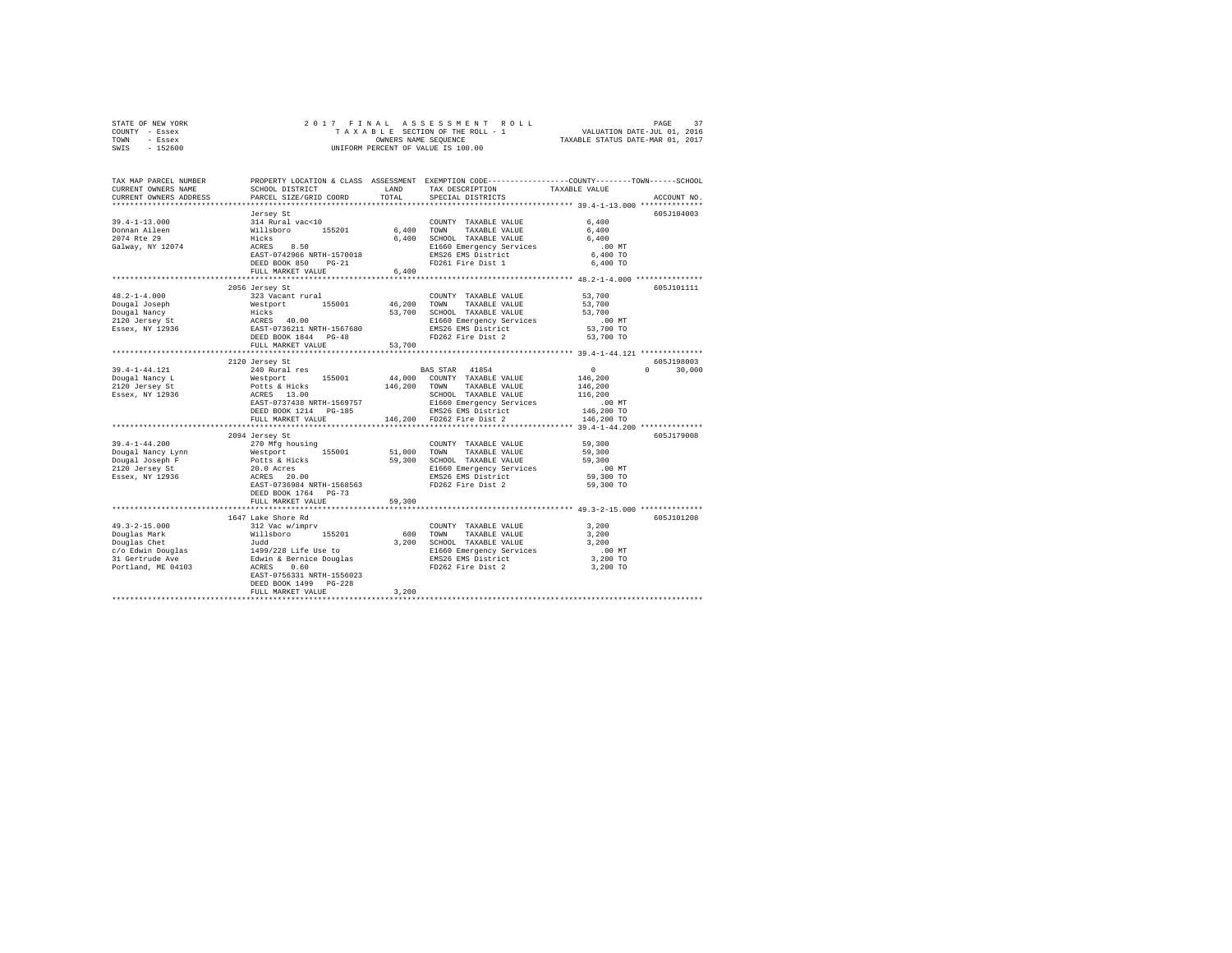|      | STATE OF NEW YORK |  |                      | 2017 FINAL ASSESSMENT ROLL         | PAGE                        |  |
|------|-------------------|--|----------------------|------------------------------------|-----------------------------|--|
|      | COUNTY - Essex    |  |                      | TAXABLE SECTION OF THE ROLL - 1    | VALUATION DATE-JUL 01, 2016 |  |
| TOWN | - Essex           |  | OWNERS NAME SEOUENCE | TAXABLE STATUS DATE-MAR 01, 2017   |                             |  |
| SWIS | - 152600          |  |                      | UNIFORM PERCENT OF VALUE IS 100.00 |                             |  |

| TAX MAP PARCEL NUMBER<br>CURRENT OWNERS NAME<br>CURRENT OWNERS ADDRESS | SCHOOL DISTRICT<br>PARCEL SIZE/GRID COORD                                                          | LAND<br>TOTAL | PROPERTY LOCATION & CLASS ASSESSMENT EXEMPTION CODE---------------COUNTY-------TOWN-----SCHOOL<br>TAX DESCRIPTION<br>SPECIAL DISTRICTS | TAXABLE VALUE                                  | ACCOUNT NO.        |
|------------------------------------------------------------------------|----------------------------------------------------------------------------------------------------|---------------|----------------------------------------------------------------------------------------------------------------------------------------|------------------------------------------------|--------------------|
| **************************                                             |                                                                                                    |               |                                                                                                                                        |                                                |                    |
|                                                                        |                                                                                                    |               |                                                                                                                                        |                                                | 605J104003         |
| $39.4 - 1 - 13.000$                                                    | Jersey St                                                                                          |               | COUNTY TAXABLE VALUE                                                                                                                   | 6,400                                          |                    |
| Donnan Aileen                                                          |                                                                                                    |               | 6,400 TOWN TAXABLE VALUE                                                                                                               | 6.400                                          |                    |
| 2074 Rte 29                                                            |                                                                                                    |               | 6,400 SCHOOL TAXABLE VALUE                                                                                                             | 6,400                                          |                    |
| Galway, NY 12074                                                       | 314 Rural vac<10<br>Willsboro 155201<br>Hicks<br>ACRES 8.50                                        |               |                                                                                                                                        | $.00$ MT                                       |                    |
|                                                                        |                                                                                                    |               |                                                                                                                                        | 6,400 TO                                       |                    |
|                                                                        | ACRES 8.50<br>EAST-0742966 NRTH-1570018<br>DEED BOOK 850 PG-21                                     |               | E1660 Emergency Services<br>EMS26 EMS District<br>FD261 Fire Dist 1                                                                    | 6,400 TO                                       |                    |
|                                                                        | FULL MARKET VALUE                                                                                  | 6,400         |                                                                                                                                        |                                                |                    |
|                                                                        |                                                                                                    |               |                                                                                                                                        |                                                |                    |
|                                                                        | 2056 Jersey St                                                                                     |               |                                                                                                                                        |                                                | 605J101111         |
| $48.2 - 1 - 4.000$                                                     | 323 Vacant rural                                                                                   |               | COUNTY TAXABLE VALUE                                                                                                                   | 53,700                                         |                    |
|                                                                        |                                                                                                    |               | 46,200 TOWN TAXABLE VALUE                                                                                                              | 53,700                                         |                    |
|                                                                        |                                                                                                    |               | 53,700 SCHOOL TAXABLE VALUE                                                                                                            | 53,700                                         |                    |
|                                                                        |                                                                                                    |               | E1660 Emergency Services                                                                                                               | $.00$ MT                                       |                    |
|                                                                        |                                                                                                    |               |                                                                                                                                        | 53,700 TO                                      |                    |
|                                                                        |                                                                                                    |               | EMS26 EMS District<br>FD262 Fire Dist 2                                                                                                | 53,700 TO                                      |                    |
|                                                                        | FULL MARKET VALUE                                                                                  | 53,700        |                                                                                                                                        |                                                |                    |
|                                                                        |                                                                                                    |               |                                                                                                                                        |                                                |                    |
|                                                                        | 2120 Jersey St                                                                                     |               |                                                                                                                                        |                                                | 605J198003         |
| 39.4-1-44.121                                                          | 2100 Rural res<br>240 Rural res<br>Westport 155001<br>Potts & Hicks<br>ACRES 13.00<br>There formed |               | BAS STAR 41854                                                                                                                         | $\sim$ 0                                       | $\Omega$<br>30,000 |
| Dougal Nancy L                                                         |                                                                                                    |               | 44,000 COUNTY TAXABLE VALUE                                                                                                            | 146,200                                        |                    |
| 2120 Jersey St<br>Essex, NY 12936                                      |                                                                                                    |               | 146,200 TOWN TAXABLE VALUE<br>קידותי האת המצאה המציאה                                                                                  | 146,200                                        |                    |
|                                                                        |                                                                                                    |               | SCHOOL TAXABLE VALUE                                                                                                                   | 116,200                                        |                    |
|                                                                        | EAST-0737438 NRTH-1569757                                                                          |               | E1660 Emergency Services<br>EMS26 EMS District                                                                                         | .00 MT                                         |                    |
|                                                                        | DEED BOOK 1214 PG-185                                                                              |               |                                                                                                                                        | 146,200 TO                                     |                    |
|                                                                        | FULL MARKET VALUE                                                                                  |               | 146,200 FD262 Fire Dist 2                                                                                                              | 146,200 TO                                     |                    |
|                                                                        | *************************                                                                          |               |                                                                                                                                        | ****************** 39.4-1-44.200 ************* |                    |
|                                                                        | 2094 Jersey St                                                                                     |               |                                                                                                                                        |                                                | 605J179008         |
| $39.4 - 1 - 44.200$                                                    | 270 Mfg housing                                                                                    |               | COUNTY TAXABLE VALUE                                                                                                                   | 59,300                                         |                    |
|                                                                        |                                                                                                    |               |                                                                                                                                        | 59,300<br>59,300                               |                    |
|                                                                        |                                                                                                    |               | E1660 Emergency Services                                                                                                               | $.00$ MT                                       |                    |
|                                                                        |                                                                                                    |               |                                                                                                                                        | 59,300 TO                                      |                    |
|                                                                        | EAST-0736984 NRTH-1568563                                                                          |               | FD262 Fire Dist 2                                                                                                                      | 59,300 TO                                      |                    |
|                                                                        | DEED BOOK 1764 PG-73                                                                               |               |                                                                                                                                        |                                                |                    |
|                                                                        | FULL MARKET VALUE                                                                                  | 59,300        |                                                                                                                                        |                                                |                    |
|                                                                        |                                                                                                    |               |                                                                                                                                        |                                                |                    |
|                                                                        | 1647 Lake Shore Rd                                                                                 |               |                                                                                                                                        |                                                | 605J101208         |
|                                                                        |                                                                                                    |               | COUNTY TAXABLE VALUE                                                                                                                   | 3,200                                          |                    |
|                                                                        |                                                                                                    |               | 600 TOWN TAXABLE VALUE                                                                                                                 | 3,200                                          |                    |
|                                                                        |                                                                                                    |               | 3,200 SCHOOL TAXABLE VALUE                                                                                                             | 3,200                                          |                    |
|                                                                        |                                                                                                    |               |                                                                                                                                        | .00 MT                                         |                    |
|                                                                        |                                                                                                    |               |                                                                                                                                        | 3,200 TO                                       |                    |
|                                                                        |                                                                                                    |               | E1660 Emergency Services<br>EMS26 EMS District<br>FD262 Fire Dist 2                                                                    | 3,200 TO                                       |                    |
|                                                                        |                                                                                                    |               |                                                                                                                                        |                                                |                    |
|                                                                        | DEED BOOK 1499 PG-228                                                                              |               |                                                                                                                                        |                                                |                    |
|                                                                        | FULL MARKET VALUE                                                                                  | 3,200         |                                                                                                                                        |                                                |                    |
|                                                                        |                                                                                                    |               |                                                                                                                                        |                                                |                    |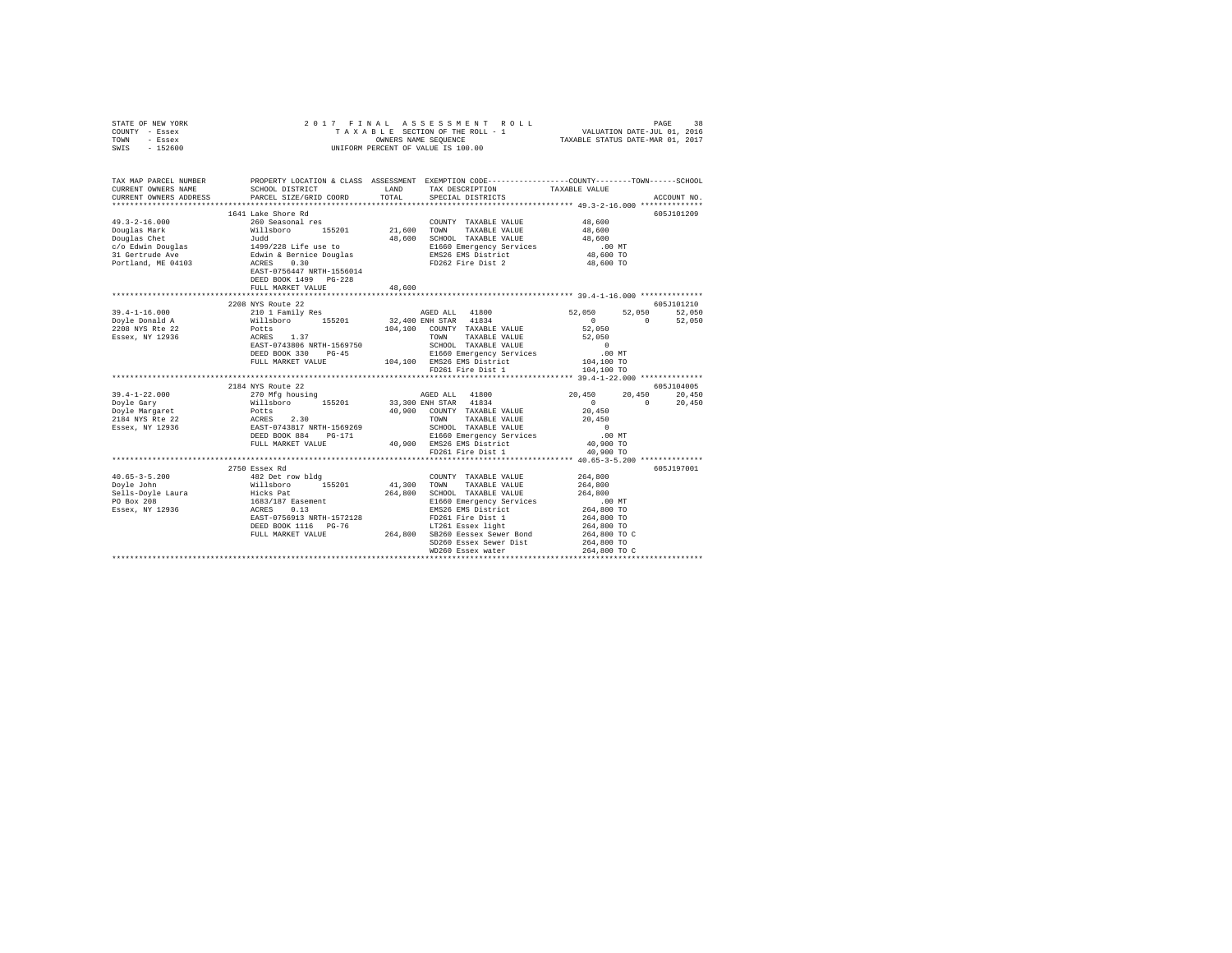| STATE OF NEW YORK     |                                                                                                                                                 |        | 2017 FINAL ASSESSMENT ROLL                                                                      |                                                                             | PAGE<br>38  |
|-----------------------|-------------------------------------------------------------------------------------------------------------------------------------------------|--------|-------------------------------------------------------------------------------------------------|-----------------------------------------------------------------------------|-------------|
| COUNTY - Essex        |                                                                                                                                                 |        | TAXABLE SECTION OF THE ROLL - 1 $\hfill$ VALUATION DATE-JUL 01, 2016                            |                                                                             |             |
| TOWN<br>- Essex       |                                                                                                                                                 |        | OWNERS NAME SEQUENCE TAXABLE STATUS DATE-MAR 01, 2017                                           |                                                                             |             |
| SWIS - 152600         |                                                                                                                                                 |        | UNIFORM PERCENT OF VALUE IS 100.00                                                              |                                                                             |             |
|                       |                                                                                                                                                 |        |                                                                                                 |                                                                             |             |
|                       |                                                                                                                                                 |        |                                                                                                 |                                                                             |             |
| TAX MAP PARCEL NUMBER |                                                                                                                                                 |        | PROPERTY LOCATION & CLASS ASSESSMENT EXEMPTION CODE---------------COUNTY-------TOWN------SCHOOL |                                                                             |             |
|                       |                                                                                                                                                 |        | TAX DESCRIPTION TAXABLE VALUE                                                                   |                                                                             |             |
|                       |                                                                                                                                                 |        |                                                                                                 |                                                                             | ACCOUNT NO. |
|                       |                                                                                                                                                 |        |                                                                                                 |                                                                             |             |
|                       | 1641 Lake Shore Rd                                                                                                                              |        |                                                                                                 |                                                                             | 605J101209  |
| $49.3 - 2 - 16.000$   |                                                                                                                                                 |        | COUNTY TAXABLE VALUE                                                                            | 48,600                                                                      |             |
| Douglas Mark          |                                                                                                                                                 |        |                                                                                                 | 48,600<br>48,600                                                            |             |
|                       | 000yaas mark 199201 - 199201 - 199201<br>Douglas Chet - Judd<br>C/o Edwin Douglas - 1499/228 Life use to                                        | 48,600 | SCHOOL TAXABLE VALUE                                                                            |                                                                             |             |
|                       |                                                                                                                                                 |        | E1660 Emergency Services                                                                        | .00MT                                                                       |             |
|                       |                                                                                                                                                 |        | EMS26 EMS District 48,600 TO                                                                    |                                                                             |             |
| Portland, ME 04103    | ACRES<br>0.30                                                                                                                                   |        | FD262 Fire Dist 2                                                                               | 48,600 TO                                                                   |             |
|                       | EAST-0756447 NRTH-1556014                                                                                                                       |        |                                                                                                 |                                                                             |             |
|                       | DEED BOOK 1499 PG-228                                                                                                                           |        |                                                                                                 |                                                                             |             |
|                       | FULL MARKET VALUE                                                                                                                               | 48,600 |                                                                                                 |                                                                             |             |
|                       |                                                                                                                                                 |        |                                                                                                 |                                                                             |             |
|                       | 2208 NYS Route 22                                                                                                                               |        |                                                                                                 |                                                                             | 605J101210  |
| $39.4 - 1 - 16.000$   | 210 1 Family Res                                                                                                                                |        | AGED ALL 41800                                                                                  | 52.050 52.050                                                               | 52,050      |
| Doyle Donald A        | Willsboro 155201 32,400 ENH STAR 41834                                                                                                          |        |                                                                                                 | $\sim$ 0 $\sim$ 0 $\sim$<br>$\Omega$                                        | 52,050      |
| 2208 NYS Rte 22       | Potts                                                                                                                                           |        | 104.100 COUNTY TAXABLE VALUE 52.050                                                             |                                                                             |             |
| Essex, NY 12936       | 1.37<br>ACRES                                                                                                                                   |        | TOWN<br>TAXABLE VALUE 52,050                                                                    |                                                                             |             |
|                       | EAST-0743806 NRTH-1569750<br>DEED BOOK 330 PG-45                                                                                                |        |                                                                                                 | $\begin{array}{c}\n0 \\ 1\n\end{array}$                                     |             |
|                       |                                                                                                                                                 |        | SCHOOL TAXABLE VALUE<br>E1660 Emergency Services                                                | .00MT                                                                       |             |
|                       | FULL MARKET VALUE                                                                                                                               |        | 104,100 EMS26 EMS District 104,100 TO                                                           |                                                                             |             |
|                       |                                                                                                                                                 |        | FD261 Fire Dist 1                                                                               | 104,100 TO                                                                  |             |
|                       |                                                                                                                                                 |        |                                                                                                 |                                                                             |             |
|                       | 2184 NYS Route 22                                                                                                                               |        |                                                                                                 |                                                                             | 605J104005  |
| $39.4 - 1 - 22.000$   | 270 Mfg housing                                                                                                                                 |        | AGED ALL 41800                                                                                  | 20,450 20,450                                                               | 20,450      |
| Doyle Gary            | Willsboro 155201 33,300 ENH STAR 41834                                                                                                          |        |                                                                                                 | $\mathbf{0}$ and $\mathbf{0}$ and $\mathbf{0}$ and $\mathbf{0}$<br>$\Omega$ | 20,450      |
| Doyle Margaret        | Potts                                                                                                                                           |        | 40.900 COUNTY TAXABLE VALUE                                                                     | 20,450                                                                      |             |
|                       |                                                                                                                                                 |        | TOWN                                                                                            |                                                                             |             |
|                       | $\begin{array}{lllll} 2184&\text{NYS} &\text{Rte} & 22\\ \text{Essex.} &\text{NY} & 12936 &\text{EAST}-0743817&\text{NRTH}-1569269 \end{array}$ |        | TAXABLE VALUE 20,450                                                                            | $\sim$ 0                                                                    |             |
|                       | DEED BOOK 884 PG-171                                                                                                                            |        | SCHOOL TAXABLE VALUE<br>E1660 Emergency Services                                                | .00MT                                                                       |             |
|                       | FULL MARKET VALUE                                                                                                                               |        | 40.900 EMS26 EMS District                                                                       | 40,900 TO                                                                   |             |
|                       |                                                                                                                                                 |        | FD261 Fire Dist 1                                                                               | 40,900 TO                                                                   |             |
|                       |                                                                                                                                                 |        |                                                                                                 |                                                                             |             |
|                       |                                                                                                                                                 |        |                                                                                                 |                                                                             |             |

2750 Essex Rd 605J197001 40.65-3-5.200 482 Det row bldg COUNTY TAXABLE VALUE 264,800

EDS6913 NRTH-1572128<br>DEED BOOK 1116 PG-76<br>DEED BOOK 1116 PG-76<br>FULL MARKET VALUE 264,800 PG 284,800 POLL MARKET VALUE<br>SD260 Easex Sewer Dist 264,800 TO<br>WD260 Easex Sewer Dist 264,800 TO<br>WD260 Easex water 19264,800 TO 264,8

Doyle John Willsboro 155201 41,300 TOWN TAXABLE VALUE 264,800 Sells-Doyle Laura Hicks Pat 264,800 SCHOOL TAXABLE VALUE 264,800 PO Box 208 1683/187 Easement E1660 Emergency Services .00 MT Essex, NY 12936 ACRES 0.13 EMS26 EMS District 264,800 TO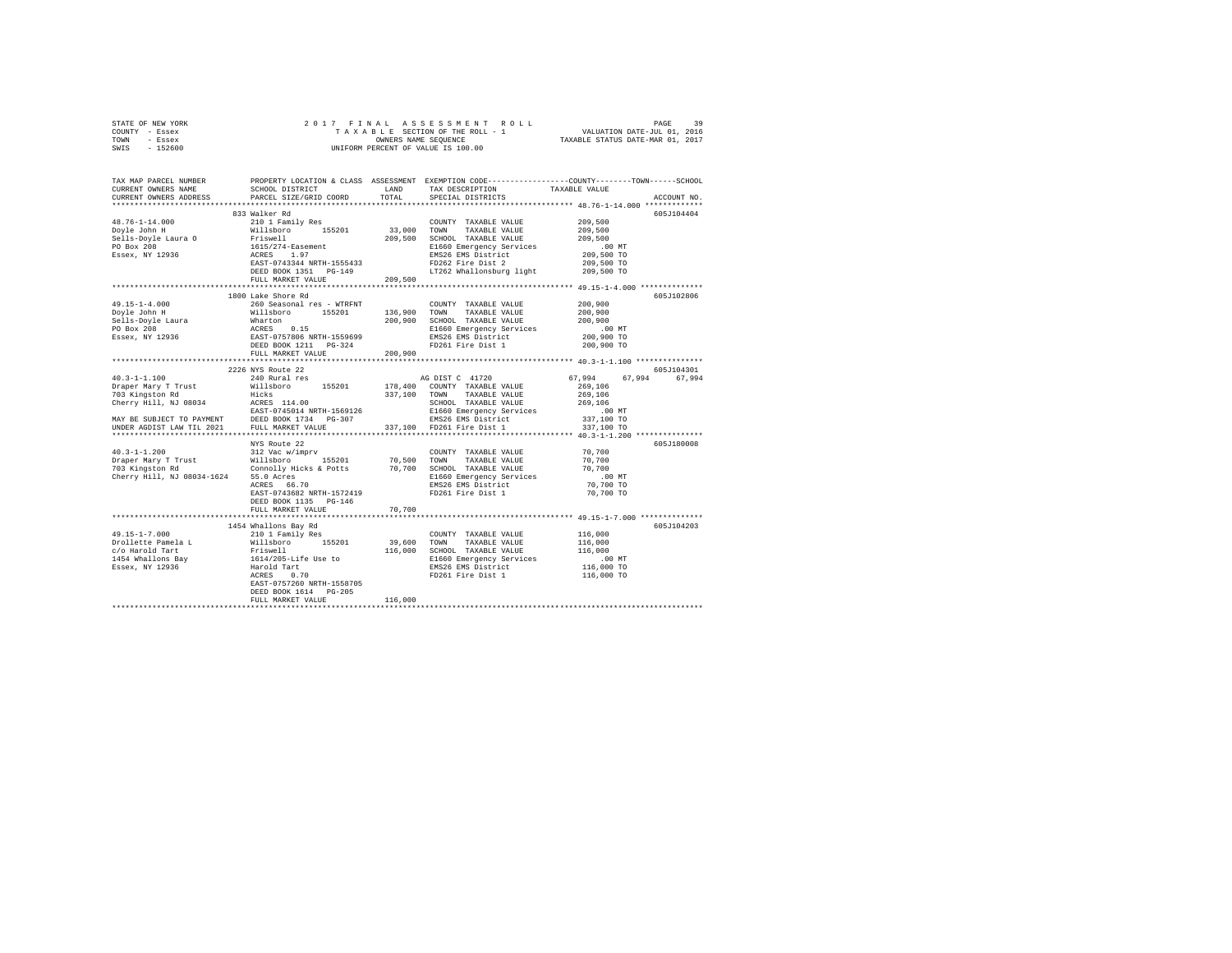|      | STATE OF NEW YORK |  |                      | 2017 FINAL ASSESSMENT ROLL         | PAGE                        | 39 |
|------|-------------------|--|----------------------|------------------------------------|-----------------------------|----|
|      | COUNTY - Essex    |  |                      | TAXABLE SECTION OF THE ROLL - 1    | VALUATION DATE-JUL 01, 2016 |    |
| TOWN | - Essex           |  | OWNERS NAME SEOUENCE | TAXABLE STATUS DATE-MAR 01, 2017   |                             |    |
| SWIS | - 152600          |  |                      | UNIFORM PERCENT OF VALUE IS 100.00 |                             |    |

| TAX MAP PARCEL NUMBER<br>CURRENT OWNERS NAME<br>CURRENT OWNERS ADDRESS                                                                                                                                                                                                                                                                             | SCHOOL DISTRICT<br>PARCEL SIZE/GRID COORD                                                                                     | LAND<br>TOTAL                  | TAX DESCRIPTION<br>SPECIAL DISTRICTS                                                                                                                                                                                                                       | PROPERTY LOCATION & CLASS ASSESSMENT EXEMPTION CODE---------------COUNTY-------TOWN-----SCHOOL<br>TAXABLE VALUE                                          | ACCOUNT NO.              |
|----------------------------------------------------------------------------------------------------------------------------------------------------------------------------------------------------------------------------------------------------------------------------------------------------------------------------------------------------|-------------------------------------------------------------------------------------------------------------------------------|--------------------------------|------------------------------------------------------------------------------------------------------------------------------------------------------------------------------------------------------------------------------------------------------------|----------------------------------------------------------------------------------------------------------------------------------------------------------|--------------------------|
| **********************                                                                                                                                                                                                                                                                                                                             |                                                                                                                               |                                |                                                                                                                                                                                                                                                            |                                                                                                                                                          |                          |
| $48.76 - 1 - 14.000$<br>-80.70-1-14.000<br>Doyle John H<br>Sells-Doyle Laura O<br>PO Box 208<br>Essex, NY 12936                                                                                                                                                                                                                                    | 833 Walker Rd<br>210 1 Family Res<br>Willsboro 155201<br>FULL MARKET VALUE                                                    | $33\,,000$ $-$ TOWN<br>209,500 | COUNTY TAXABLE VALUE<br>TAXABLE VALUE<br>209,500 SCHOOL TAXABLE VALUE<br>E1660 Emergency Services<br>EMS26 EMS District<br>FD262 Fire Dist 2<br>LT262 Whallonsburg light                                                                                   | 209,500<br>209,500<br>209,500<br>$.00$ MT<br>209,500 TO<br>209,500 TO<br>209,500 TO                                                                      | 605J104404               |
|                                                                                                                                                                                                                                                                                                                                                    | 1800 Lake Shore Rd                                                                                                            |                                |                                                                                                                                                                                                                                                            |                                                                                                                                                          | 605J102806               |
|                                                                                                                                                                                                                                                                                                                                                    |                                                                                                                               |                                | COUNTY TAXABLE VALUE<br>136,900 TOWN TAXABLE VALUE<br>200,900 SCHOOL TAXABLE VALUE<br>E1660 Emergency Services<br>EMS26 EMS District<br>FD261 Fire Dist 1                                                                                                  | 200,900<br>200,900<br>200,900<br>$.00$ MT<br>200,900 TO<br>200,900 TO                                                                                    |                          |
|                                                                                                                                                                                                                                                                                                                                                    | FULL MARKET VALUE                                                                                                             | 200,900                        |                                                                                                                                                                                                                                                            |                                                                                                                                                          |                          |
|                                                                                                                                                                                                                                                                                                                                                    |                                                                                                                               |                                |                                                                                                                                                                                                                                                            |                                                                                                                                                          |                          |
| $40.3 - 1 - 1.100$<br>Draper Mary T Trust Willsboro 155201 178,400 COUNTY TAXABLE VALUE<br>103 Kingston Rd<br>Cherry Hill, NJ 08034<br>RASTE - 245014 NRTH-1569126<br>MAY BE SUBJECT TO PAYMENT DEED BOOK 1734<br>PROBER AGDIST LAW TIL 2021<br>DEED BOOK 1734 PG-307<br>PULL MARKET VALUE<br>Cherry Hill, NJ 08034-1624 55.0 Acres<br>ACRES 66.70 | 2226 NYS Route 22<br>240 Rural res<br>NYS Route 22<br>EAST-0743682 NRTH-1572419<br>DEED BOOK 1135 PG-146<br>FULL MARKET VALUE | 70,700                         | AG DIST C 41720<br>337,100 TOWN TAXABLE VALUE<br>SCHOOL TAXABLE VALUE<br>E1660 Emergency Services<br>EMS26 EMS District<br>337,100 FD261 Fire Dist 1<br>COUNTY TAXABLE VALUE 70,700<br>E1660 Emergency Services<br>EMS26 EMS District<br>FD261 Fire Dist 1 | 67.994 67.994<br>67.994<br>269,106<br>269,106<br>269,106<br>$.00$ MT<br>337,100 TO<br>337,100 TO<br>70,700<br>70,700<br>.00 MT<br>70,700 TO<br>70,700 TO | 605J104301<br>605J180008 |
|                                                                                                                                                                                                                                                                                                                                                    | 1454 Whallons Bay Rd                                                                                                          |                                |                                                                                                                                                                                                                                                            |                                                                                                                                                          | 605J104203               |
| $49.15 - 1 - 7.000$<br>Problette Pamela Land Millsboro 155201<br>1961 - Millsboro 155201<br>1454 Whallons Bay Priswell<br>1454 Whallons Bay 1614/205-Life Use to<br>Essex, NY 12936 Harold Tart<br>ACRES 0.70                                                                                                                                      | 210 1 Family Res<br>EAST-0757260 NRTH-1558705<br>DEED BOOK 1614 PG-205<br>FULL MARKET VALUE                                   | 39,600 TOWN<br>116,000         | COUNTY TAXABLE VALUE<br>TAXABLE VALUE<br>116,000 SCHOOL TAXABLE VALUE<br>E1660 Emergency Services<br>EMS26 EMS District<br>FD261 Fire Dist 1                                                                                                               | 116,000<br>116,000<br>116,000<br>$.00$ MT<br>116,000 TO<br>116,000 TO                                                                                    |                          |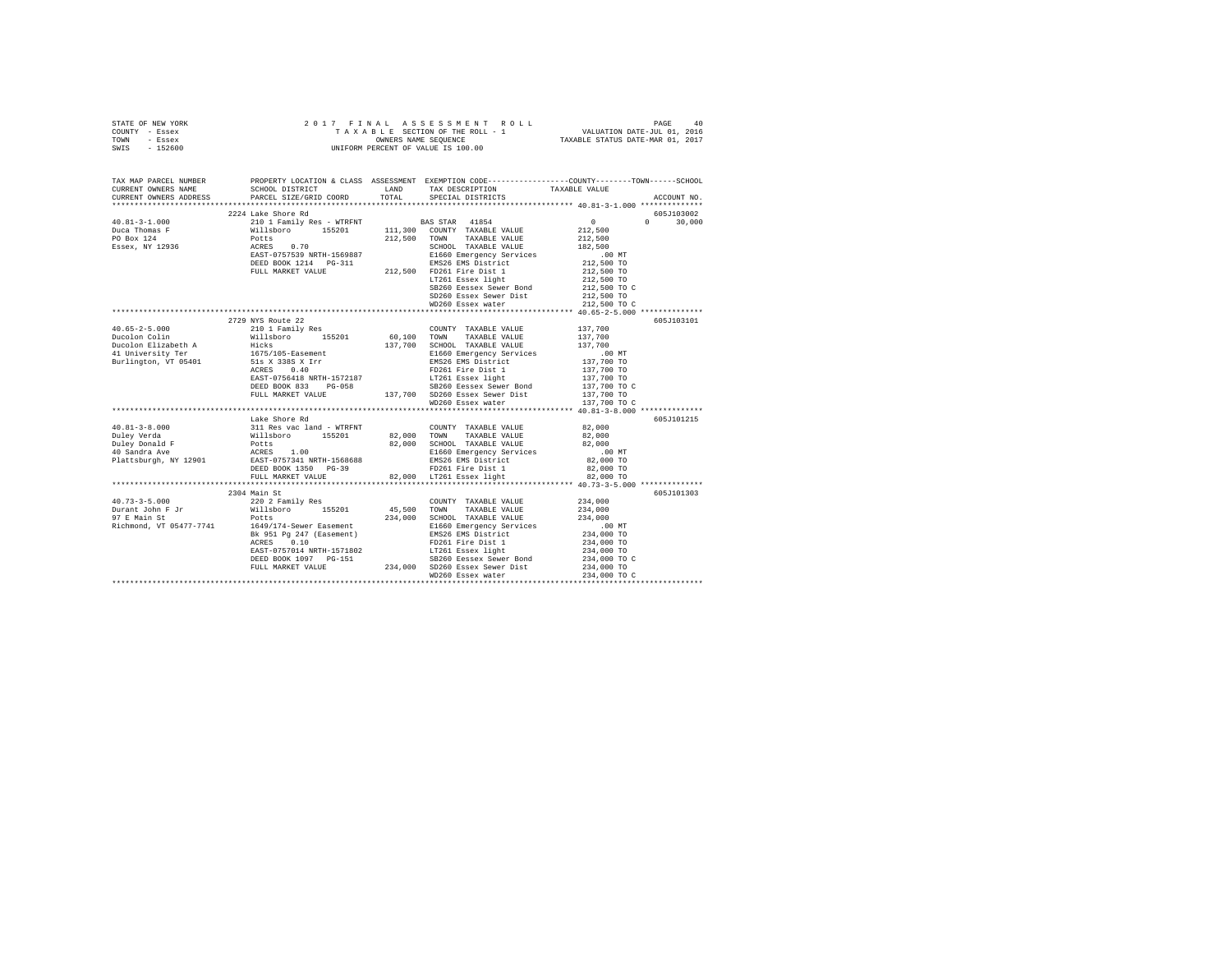| STATE OF NEW YORK | 2017 FINAL ASSESSMENT ROLL                                     | PAGE | 40 |
|-------------------|----------------------------------------------------------------|------|----|
| COUNTY - Essex    | VALUATION DATE-JUL 01, 2016<br>TAXABLE SECTION OF THE ROLL - 1 |      |    |
| TOWN<br>- Essex   | TAXABLE STATUS DATE-MAR 01, 2017<br>OWNERS NAME SEOUENCE       |      |    |
| SWIS<br>- 152600  | UNIFORM PERCENT OF VALUE IS 100.00                             |      |    |
|                   |                                                                |      |    |
|                   |                                                                |      |    |

| PROPERTY LOCATION & CLASS ASSESSMENT EXEMPTION CODE----------------COUNTY-------TOWN------SCHOOL<br>CURRENT OWNERS NAME<br>CURRENT OWNERS ADDRESS<br>ACCOUNT NO.<br>2224 Lake Shore Rd<br>605J103002<br>212,500 TO C<br>SB260 Eessex Sewer Bond 212,500 TO<br>SD260 Essex Sewer Dist 212,500 TO<br>212,500 TO C<br>WD260 Essex water<br>2729 NYS Route 22<br>605J103101<br>Lake Shore Rd<br>605J101215<br>FULL MARKET VALUE 82,000 LT261 Essex light<br>82,000 TO<br>2304 Main St<br>605J101303<br>COUNTY TAXABLE VALUE 234,000<br>234,000<br>Minimus 234,000 SCHOOL TAXABLE VALUE<br>1649/174-Sewer Easement 234,000 SCHOOL TAXABLE VALUE<br>1649/174-Sewer Easement 234,000 E1660 Emergency Services<br>19. 951 Pg 247 (Easement) 284,000 EMES26 EMS District 234,000 TO<br>Richmond, VT 05477-7741 1649/174-Sewer Easement<br>ACRES 0.10<br>ERST-0757014 NRTH-1571802<br>ERST-0757014 NRTH-1571802<br>DEED BOOK 1097 PG-151<br>DEED ROOK 1097 PG-151<br>234,000 TOLL MARKET VALUE<br>234,000 TOLL MARKET VALUE<br>234,000 TOLL MARKET VALUE<br>234,000 TOLL MARKET VALUE<br>23<br>WD260 Essex water<br>234,000 TO C | TAX MAP PARCEL NUMBER |  |  |
|------------------------------------------------------------------------------------------------------------------------------------------------------------------------------------------------------------------------------------------------------------------------------------------------------------------------------------------------------------------------------------------------------------------------------------------------------------------------------------------------------------------------------------------------------------------------------------------------------------------------------------------------------------------------------------------------------------------------------------------------------------------------------------------------------------------------------------------------------------------------------------------------------------------------------------------------------------------------------------------------------------------------------------------------------------------------------------------------------------------------|-----------------------|--|--|
|                                                                                                                                                                                                                                                                                                                                                                                                                                                                                                                                                                                                                                                                                                                                                                                                                                                                                                                                                                                                                                                                                                                        |                       |  |  |
|                                                                                                                                                                                                                                                                                                                                                                                                                                                                                                                                                                                                                                                                                                                                                                                                                                                                                                                                                                                                                                                                                                                        |                       |  |  |
|                                                                                                                                                                                                                                                                                                                                                                                                                                                                                                                                                                                                                                                                                                                                                                                                                                                                                                                                                                                                                                                                                                                        |                       |  |  |
|                                                                                                                                                                                                                                                                                                                                                                                                                                                                                                                                                                                                                                                                                                                                                                                                                                                                                                                                                                                                                                                                                                                        |                       |  |  |
|                                                                                                                                                                                                                                                                                                                                                                                                                                                                                                                                                                                                                                                                                                                                                                                                                                                                                                                                                                                                                                                                                                                        |                       |  |  |
|                                                                                                                                                                                                                                                                                                                                                                                                                                                                                                                                                                                                                                                                                                                                                                                                                                                                                                                                                                                                                                                                                                                        |                       |  |  |
|                                                                                                                                                                                                                                                                                                                                                                                                                                                                                                                                                                                                                                                                                                                                                                                                                                                                                                                                                                                                                                                                                                                        |                       |  |  |
|                                                                                                                                                                                                                                                                                                                                                                                                                                                                                                                                                                                                                                                                                                                                                                                                                                                                                                                                                                                                                                                                                                                        |                       |  |  |
|                                                                                                                                                                                                                                                                                                                                                                                                                                                                                                                                                                                                                                                                                                                                                                                                                                                                                                                                                                                                                                                                                                                        |                       |  |  |
|                                                                                                                                                                                                                                                                                                                                                                                                                                                                                                                                                                                                                                                                                                                                                                                                                                                                                                                                                                                                                                                                                                                        |                       |  |  |
|                                                                                                                                                                                                                                                                                                                                                                                                                                                                                                                                                                                                                                                                                                                                                                                                                                                                                                                                                                                                                                                                                                                        |                       |  |  |
|                                                                                                                                                                                                                                                                                                                                                                                                                                                                                                                                                                                                                                                                                                                                                                                                                                                                                                                                                                                                                                                                                                                        |                       |  |  |
|                                                                                                                                                                                                                                                                                                                                                                                                                                                                                                                                                                                                                                                                                                                                                                                                                                                                                                                                                                                                                                                                                                                        |                       |  |  |
|                                                                                                                                                                                                                                                                                                                                                                                                                                                                                                                                                                                                                                                                                                                                                                                                                                                                                                                                                                                                                                                                                                                        |                       |  |  |
|                                                                                                                                                                                                                                                                                                                                                                                                                                                                                                                                                                                                                                                                                                                                                                                                                                                                                                                                                                                                                                                                                                                        |                       |  |  |
|                                                                                                                                                                                                                                                                                                                                                                                                                                                                                                                                                                                                                                                                                                                                                                                                                                                                                                                                                                                                                                                                                                                        |                       |  |  |
|                                                                                                                                                                                                                                                                                                                                                                                                                                                                                                                                                                                                                                                                                                                                                                                                                                                                                                                                                                                                                                                                                                                        |                       |  |  |
|                                                                                                                                                                                                                                                                                                                                                                                                                                                                                                                                                                                                                                                                                                                                                                                                                                                                                                                                                                                                                                                                                                                        |                       |  |  |
|                                                                                                                                                                                                                                                                                                                                                                                                                                                                                                                                                                                                                                                                                                                                                                                                                                                                                                                                                                                                                                                                                                                        |                       |  |  |
|                                                                                                                                                                                                                                                                                                                                                                                                                                                                                                                                                                                                                                                                                                                                                                                                                                                                                                                                                                                                                                                                                                                        |                       |  |  |
|                                                                                                                                                                                                                                                                                                                                                                                                                                                                                                                                                                                                                                                                                                                                                                                                                                                                                                                                                                                                                                                                                                                        |                       |  |  |
|                                                                                                                                                                                                                                                                                                                                                                                                                                                                                                                                                                                                                                                                                                                                                                                                                                                                                                                                                                                                                                                                                                                        |                       |  |  |
|                                                                                                                                                                                                                                                                                                                                                                                                                                                                                                                                                                                                                                                                                                                                                                                                                                                                                                                                                                                                                                                                                                                        |                       |  |  |
|                                                                                                                                                                                                                                                                                                                                                                                                                                                                                                                                                                                                                                                                                                                                                                                                                                                                                                                                                                                                                                                                                                                        |                       |  |  |
|                                                                                                                                                                                                                                                                                                                                                                                                                                                                                                                                                                                                                                                                                                                                                                                                                                                                                                                                                                                                                                                                                                                        |                       |  |  |
|                                                                                                                                                                                                                                                                                                                                                                                                                                                                                                                                                                                                                                                                                                                                                                                                                                                                                                                                                                                                                                                                                                                        |                       |  |  |
|                                                                                                                                                                                                                                                                                                                                                                                                                                                                                                                                                                                                                                                                                                                                                                                                                                                                                                                                                                                                                                                                                                                        |                       |  |  |
|                                                                                                                                                                                                                                                                                                                                                                                                                                                                                                                                                                                                                                                                                                                                                                                                                                                                                                                                                                                                                                                                                                                        |                       |  |  |
|                                                                                                                                                                                                                                                                                                                                                                                                                                                                                                                                                                                                                                                                                                                                                                                                                                                                                                                                                                                                                                                                                                                        |                       |  |  |
|                                                                                                                                                                                                                                                                                                                                                                                                                                                                                                                                                                                                                                                                                                                                                                                                                                                                                                                                                                                                                                                                                                                        |                       |  |  |
|                                                                                                                                                                                                                                                                                                                                                                                                                                                                                                                                                                                                                                                                                                                                                                                                                                                                                                                                                                                                                                                                                                                        |                       |  |  |
|                                                                                                                                                                                                                                                                                                                                                                                                                                                                                                                                                                                                                                                                                                                                                                                                                                                                                                                                                                                                                                                                                                                        |                       |  |  |
|                                                                                                                                                                                                                                                                                                                                                                                                                                                                                                                                                                                                                                                                                                                                                                                                                                                                                                                                                                                                                                                                                                                        |                       |  |  |
|                                                                                                                                                                                                                                                                                                                                                                                                                                                                                                                                                                                                                                                                                                                                                                                                                                                                                                                                                                                                                                                                                                                        |                       |  |  |
|                                                                                                                                                                                                                                                                                                                                                                                                                                                                                                                                                                                                                                                                                                                                                                                                                                                                                                                                                                                                                                                                                                                        |                       |  |  |
|                                                                                                                                                                                                                                                                                                                                                                                                                                                                                                                                                                                                                                                                                                                                                                                                                                                                                                                                                                                                                                                                                                                        |                       |  |  |
|                                                                                                                                                                                                                                                                                                                                                                                                                                                                                                                                                                                                                                                                                                                                                                                                                                                                                                                                                                                                                                                                                                                        |                       |  |  |
|                                                                                                                                                                                                                                                                                                                                                                                                                                                                                                                                                                                                                                                                                                                                                                                                                                                                                                                                                                                                                                                                                                                        |                       |  |  |
|                                                                                                                                                                                                                                                                                                                                                                                                                                                                                                                                                                                                                                                                                                                                                                                                                                                                                                                                                                                                                                                                                                                        |                       |  |  |
|                                                                                                                                                                                                                                                                                                                                                                                                                                                                                                                                                                                                                                                                                                                                                                                                                                                                                                                                                                                                                                                                                                                        |                       |  |  |
|                                                                                                                                                                                                                                                                                                                                                                                                                                                                                                                                                                                                                                                                                                                                                                                                                                                                                                                                                                                                                                                                                                                        |                       |  |  |
|                                                                                                                                                                                                                                                                                                                                                                                                                                                                                                                                                                                                                                                                                                                                                                                                                                                                                                                                                                                                                                                                                                                        |                       |  |  |
|                                                                                                                                                                                                                                                                                                                                                                                                                                                                                                                                                                                                                                                                                                                                                                                                                                                                                                                                                                                                                                                                                                                        |                       |  |  |
|                                                                                                                                                                                                                                                                                                                                                                                                                                                                                                                                                                                                                                                                                                                                                                                                                                                                                                                                                                                                                                                                                                                        |                       |  |  |
|                                                                                                                                                                                                                                                                                                                                                                                                                                                                                                                                                                                                                                                                                                                                                                                                                                                                                                                                                                                                                                                                                                                        |                       |  |  |
|                                                                                                                                                                                                                                                                                                                                                                                                                                                                                                                                                                                                                                                                                                                                                                                                                                                                                                                                                                                                                                                                                                                        |                       |  |  |
|                                                                                                                                                                                                                                                                                                                                                                                                                                                                                                                                                                                                                                                                                                                                                                                                                                                                                                                                                                                                                                                                                                                        |                       |  |  |
|                                                                                                                                                                                                                                                                                                                                                                                                                                                                                                                                                                                                                                                                                                                                                                                                                                                                                                                                                                                                                                                                                                                        |                       |  |  |
|                                                                                                                                                                                                                                                                                                                                                                                                                                                                                                                                                                                                                                                                                                                                                                                                                                                                                                                                                                                                                                                                                                                        |                       |  |  |
|                                                                                                                                                                                                                                                                                                                                                                                                                                                                                                                                                                                                                                                                                                                                                                                                                                                                                                                                                                                                                                                                                                                        |                       |  |  |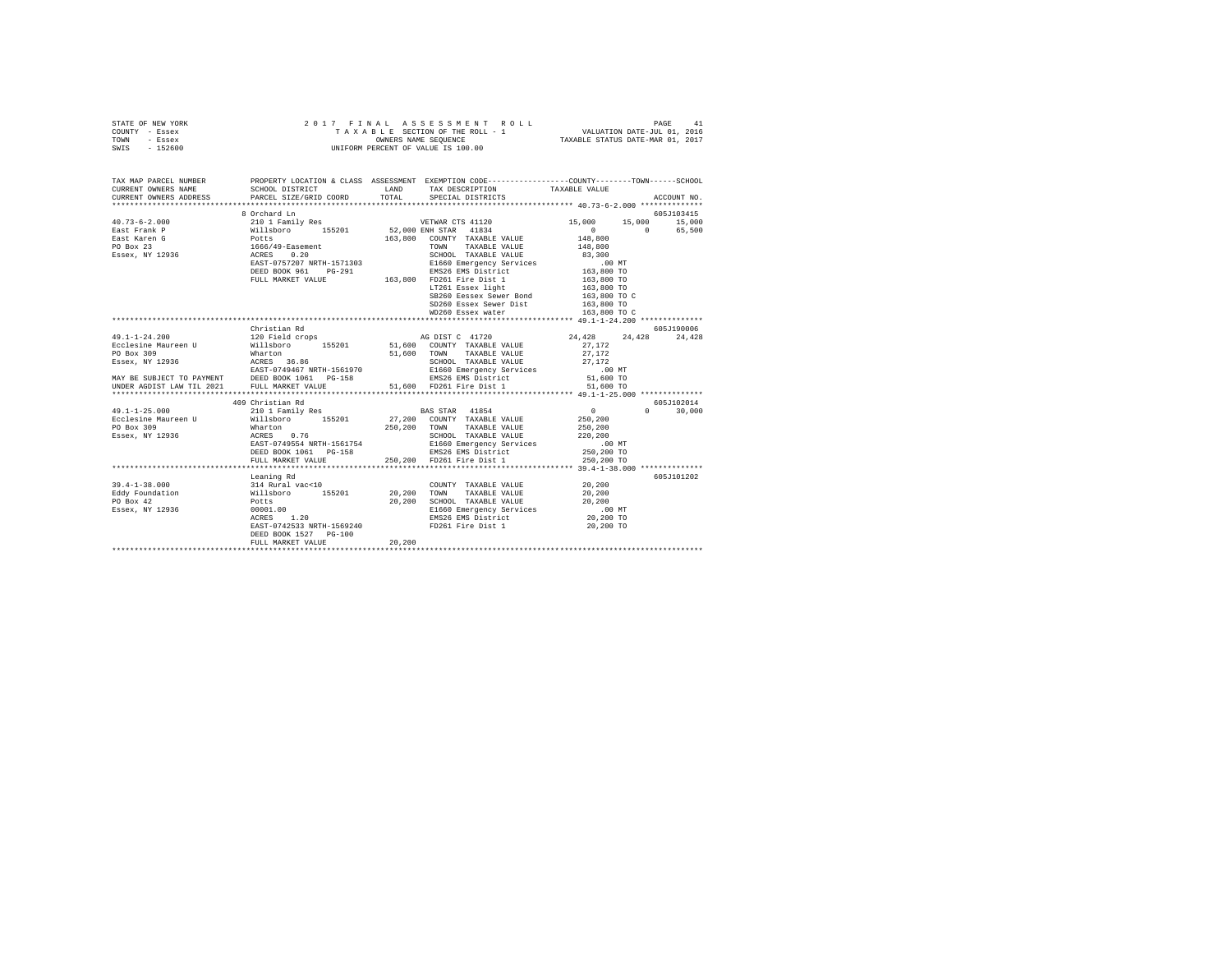| STATE OF NEW YORK | 2017 FINAL ASSESSMENT ROLL         | 41<br>PAGE                       |
|-------------------|------------------------------------|----------------------------------|
| COUNTY - Essex    | TAXABLE SECTION OF THE ROLL - 1    | VALUATION DATE-JUL 01, 2016      |
| TOWN<br>- Essex   | OWNERS NAME SEOUENCE               | TAXABLE STATUS DATE-MAR 01, 2017 |
| - 152600<br>SWIS  | UNIFORM PERCENT OF VALUE IS 100.00 |                                  |

| TAX MAP PARCEL NUMBER<br>CURRENT OWNERS NAME                           | PROPERTY LOCATION & CLASS ASSESSMENT EXEMPTION CODE---------------COUNTY-------TOWN-----SCHOOL<br>SCHOOL DISTRICT<br>LAND TAX DESCRIPTION                                                                                                                                                                                |        |                                                                                                                                                                                                                                             | TAXABLE VALUE                                                                                                    |                                 |
|------------------------------------------------------------------------|--------------------------------------------------------------------------------------------------------------------------------------------------------------------------------------------------------------------------------------------------------------------------------------------------------------------------|--------|---------------------------------------------------------------------------------------------------------------------------------------------------------------------------------------------------------------------------------------------|------------------------------------------------------------------------------------------------------------------|---------------------------------|
| CURRENT OWNERS ADDRESS PARCEL SIZE/GRID COORD TOTAL                    |                                                                                                                                                                                                                                                                                                                          |        | SPECIAL DISTRICTS                                                                                                                                                                                                                           |                                                                                                                  | ACCOUNT NO.                     |
|                                                                        | 8 Orchard Ln                                                                                                                                                                                                                                                                                                             |        | $LT261$ Essex light $163,800$ TO<br>SB260 Eessex Sewer Bond $163,800$ TO C<br>SD260 Essex Sewer Dist 163,800 TO                                                                                                                             | $\begin{array}{cccc} 15 \, , & 000 & & 15 \, , & 000 & & 15 \, , & 000 \\ & & & 0 & & 65 \, , & 500 \end{array}$ | 605J103415                      |
|                                                                        |                                                                                                                                                                                                                                                                                                                          |        |                                                                                                                                                                                                                                             |                                                                                                                  |                                 |
|                                                                        | Christian Rd                                                                                                                                                                                                                                                                                                             |        |                                                                                                                                                                                                                                             |                                                                                                                  | 605J190006<br>24,428 24,428     |
|                                                                        | 409 Christian Rd                                                                                                                                                                                                                                                                                                         |        |                                                                                                                                                                                                                                             |                                                                                                                  | 605J102014                      |
| 49.1-1-25.000 210 1 Family Res BAS STAR 41854                          | FULL MARKET VALUE 250,200 FD261 Fire Dist 1                                                                                                                                                                                                                                                                              |        |                                                                                                                                                                                                                                             | $\sim$ 0.000 $\sim$<br>250,200 TO                                                                                | $\Omega$ and $\Omega$<br>30,000 |
|                                                                        | Leaning Rd                                                                                                                                                                                                                                                                                                               |        |                                                                                                                                                                                                                                             |                                                                                                                  | 605J101202                      |
| $39.4 - 1 - 38.000$<br>Eddy Foundation<br>PO Box 42<br>Essex, NY 12936 | Leaning Rd<br>314 Rural vac<10<br>Willsboro 155201 20,200 TOWN TAXABLE VALUE<br>Nillsboro 155201 20,200 SCHOOL TAXABLE VALUE<br>POtts<br>POLO1.00 200 200 SCHOOL TAXABLE VALUE<br>POLO1.00 200 SCHOOL TAXABLE VALUE<br>RESS 1.20<br>RMS26 EMS<br>EAST-0742533 NRTH-1569240<br>DEED BOOK 1527 PG-100<br>FULL MARKET VALUE | 20,200 | $\begin{array}{cccc}\n\text{COUNTY} & \text{TAXABLE VALUE} & & & 20,200 \\ & -\text{YININ IN VALUE} & & & 20,200\n\end{array}$<br>20,200 SCHOOL TAXABLE VALUE 20,200<br>E1660 Emergency Services<br>EMS26 EMS District<br>FD261 Fire Dist 1 | .00 MT<br>20,200 TO<br>20,200 TO                                                                                 |                                 |
|                                                                        |                                                                                                                                                                                                                                                                                                                          |        |                                                                                                                                                                                                                                             |                                                                                                                  |                                 |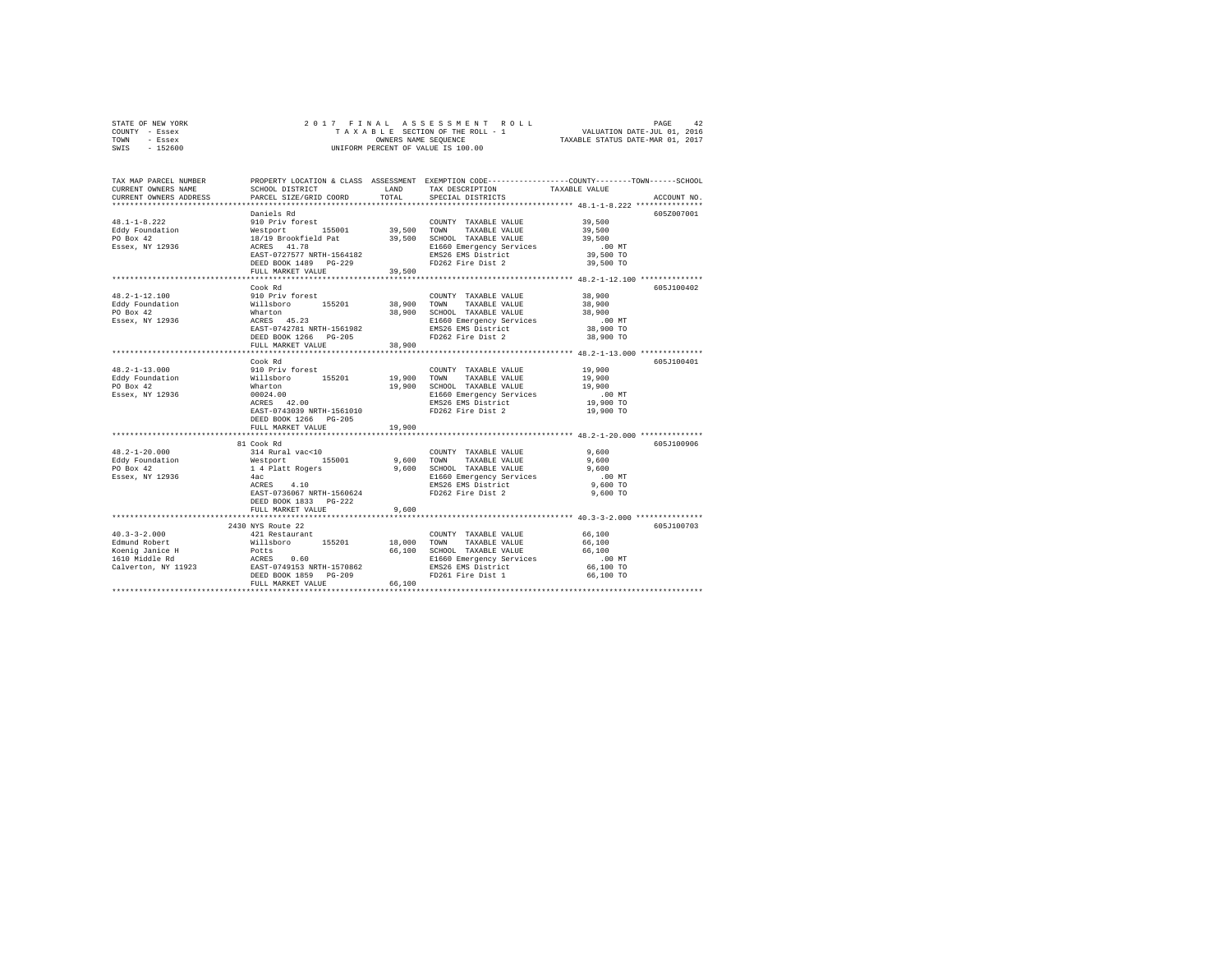| STATE OF NEW YORK | 2017 FINAL ASSESSMENT ROLL         | 42<br>PAGE                       |
|-------------------|------------------------------------|----------------------------------|
| COUNTY - Essex    | TAXABLE SECTION OF THE ROLL - 1    | VALUATION DATE-JUL 01, 2016      |
| TOWN<br>- Essex   | OWNERS NAME SEOUENCE               | TAXABLE STATUS DATE-MAR 01, 2017 |
| $-152600$<br>SWIS | UNIFORM PERCENT OF VALUE IS 100.00 |                                  |

| Daniels Rd<br>605Z007001<br>Daniels Rd<br>910 Priv forest 155001 19,500 TOWN TAXABLE VALUE<br>Nestport 11,78 19,500 SCHOOL TAXABLE VALUE<br>18/19 Brookfield Pat 19,500 SCHOOL TAXABLE VALUE<br>ACRES 14.78 1166<br>28.57-0727577 NRTH-1564182 180526 EMS District<br>COUNTY TAXABLE VALUE 39,500<br>Eddy Foundation<br>39,500<br>39,500<br>PO Box 42<br>Essex, NY 12936<br>E1660 Emergency Services<br>EMS26 EMS District<br>$.00$ MT<br>39,500 TO<br>FD262 Fire Dist 2<br>DEED BOOK 1489    PG-229<br>39,500 TO<br>39,500<br>FULL MARKET VALUE<br>****************** 48.2-1-12.100 **************<br>***************************<br>Cook Rd<br>605J100402<br>$48.2 - 1 - 12.100$<br>910 Priv forest<br>38,900<br>COUNTY TAXABLE VALUE<br>+ 0.2 - 1-1.1.100<br>Follow Robert Marton 155201 38,900 TOWN<br>PO Box 42 Mharton 38,900 SCHOO<br>ESSE 45.23 45.23 MARTH-1561982 B1660<br>ESSE ENS26 BARTS-0742781 NRTH-1561982 BNS26<br>TAXABLE VALUE<br>38,900<br>SCHOOL TAXABLE VALUE<br>38,900<br>E1660 Emergency Services<br>EMS26 EMS District<br>$.00$ MT<br>38,900 TO<br>FD262 Fire Dist 2<br>DEED BOOK 1266 PG-205<br>38,900 TO<br>38,900<br>FULL MARKET VALUE<br>605J100401<br>Cook Rd<br>19,900<br>910 Priv forest<br>COUNTY TAXABLE VALUE<br>Nillaboro 155201 19,900 TOWN TAXABLE VALUE<br>What to 19,900 TOWN TAXABLE VALUE<br>00024.00 19,900 ECHOL TAXABLE VALUE<br>00024.00 EL660 Emergency Services<br>RMS26 EMS District<br>19,900<br>19,900<br>Essex, NY 12936<br>00 MT.<br>19,900 TO<br>EAST-0743039 NRTH-1561010<br>FD262 Fire Dist 2<br>19,900 TO<br>DEED BOOK 1266 PG-205<br>19,900<br>FULL MARKET VALUE<br>81 Cook Rd<br>605J100906<br>$48.2 - 1 - 20.000$<br>314 Rural vac<10<br>Westport 155001<br>14 Platt Rogers<br>4ac<br>9,600<br>COUNTY TAXABLE VALUE<br>9,600 TOWN TAXABLE VALUE<br>9,600<br>Eddy Foundation<br>PO Box 42<br>9,600 SCHOOL TAXABLE VALUE<br>9,600<br>PO Box 42<br>E1660 Emergency Services<br>EMS26 EMS District<br>$.00$ MT<br>ACRES 4.10<br>$9.600$ TO<br>EAST-0736067 NRTH-1560624<br>FD262 Fire Dist 2<br>9,600 TO<br>DEED BOOK 1833 PG-222<br>9,600<br>FULL MARKET VALUE<br>605J100703<br>2430 NYS Route 22<br>421 Restaurant<br>66,100<br>COUNTY TAXABLE VALUE<br>40.3–3–2.1000<br>Edmund Robert Millsboro 155201 18,000 TOWN<br>1600 TOWN 10000 FORD POLTS<br>1600 Millsboro 155201 18,000 TOWN<br>1610 Middle Rd<br>1600 TOWN RESS 0.60<br>1610 Middle Rd<br>1600 TOWN RESS 0.60<br>2010 155251 POLTS RESS P<br>66,100<br>TAXABLE VALUE<br>66,100 SCHOOL TAXABLE VALUE<br>66,100<br>SCHOOL TAXABLE VALUE<br>E1660 Emergency Services<br>$.00$ MT<br>EMS26 EMS District<br>66,100 TO<br>FD261 Fire Dist 1<br>66,100 TO<br>66,100<br>FULL MARKET VALUE | TAX MAP PARCEL NUMBER<br>CURRENT OWNERS NAME<br>CURRENT OWNERS ADDRESS | SCHOOL DISTRICT<br>PARCEL SIZE/GRID COORD | LAND<br>TOTAL | TAX DESCRIPTION<br>SPECIAL DISTRICTS | PROPERTY LOCATION & CLASS ASSESSMENT EXEMPTION CODE----------------COUNTY-------TOWN-----SCHOOL<br>TAXABLE VALUE<br>ACCOUNT NO. |
|--------------------------------------------------------------------------------------------------------------------------------------------------------------------------------------------------------------------------------------------------------------------------------------------------------------------------------------------------------------------------------------------------------------------------------------------------------------------------------------------------------------------------------------------------------------------------------------------------------------------------------------------------------------------------------------------------------------------------------------------------------------------------------------------------------------------------------------------------------------------------------------------------------------------------------------------------------------------------------------------------------------------------------------------------------------------------------------------------------------------------------------------------------------------------------------------------------------------------------------------------------------------------------------------------------------------------------------------------------------------------------------------------------------------------------------------------------------------------------------------------------------------------------------------------------------------------------------------------------------------------------------------------------------------------------------------------------------------------------------------------------------------------------------------------------------------------------------------------------------------------------------------------------------------------------------------------------------------------------------------------------------------------------------------------------------------------------------------------------------------------------------------------------------------------------------------------------------------------------------------------------------------------------------------------------------------------------------------------------------------------------------------------------------------------------------------------------------------------------------------------------------------------------------------------------------------------------------------------------------------------------------------------------------------------------------------------------|------------------------------------------------------------------------|-------------------------------------------|---------------|--------------------------------------|---------------------------------------------------------------------------------------------------------------------------------|
|                                                                                                                                                                                                                                                                                                                                                                                                                                                                                                                                                                                                                                                                                                                                                                                                                                                                                                                                                                                                                                                                                                                                                                                                                                                                                                                                                                                                                                                                                                                                                                                                                                                                                                                                                                                                                                                                                                                                                                                                                                                                                                                                                                                                                                                                                                                                                                                                                                                                                                                                                                                                                                                                                                        |                                                                        |                                           |               |                                      |                                                                                                                                 |
|                                                                                                                                                                                                                                                                                                                                                                                                                                                                                                                                                                                                                                                                                                                                                                                                                                                                                                                                                                                                                                                                                                                                                                                                                                                                                                                                                                                                                                                                                                                                                                                                                                                                                                                                                                                                                                                                                                                                                                                                                                                                                                                                                                                                                                                                                                                                                                                                                                                                                                                                                                                                                                                                                                        |                                                                        |                                           |               |                                      |                                                                                                                                 |
|                                                                                                                                                                                                                                                                                                                                                                                                                                                                                                                                                                                                                                                                                                                                                                                                                                                                                                                                                                                                                                                                                                                                                                                                                                                                                                                                                                                                                                                                                                                                                                                                                                                                                                                                                                                                                                                                                                                                                                                                                                                                                                                                                                                                                                                                                                                                                                                                                                                                                                                                                                                                                                                                                                        | $48.1 - 1 - 8.222$                                                     |                                           |               |                                      |                                                                                                                                 |
|                                                                                                                                                                                                                                                                                                                                                                                                                                                                                                                                                                                                                                                                                                                                                                                                                                                                                                                                                                                                                                                                                                                                                                                                                                                                                                                                                                                                                                                                                                                                                                                                                                                                                                                                                                                                                                                                                                                                                                                                                                                                                                                                                                                                                                                                                                                                                                                                                                                                                                                                                                                                                                                                                                        |                                                                        |                                           |               |                                      |                                                                                                                                 |
|                                                                                                                                                                                                                                                                                                                                                                                                                                                                                                                                                                                                                                                                                                                                                                                                                                                                                                                                                                                                                                                                                                                                                                                                                                                                                                                                                                                                                                                                                                                                                                                                                                                                                                                                                                                                                                                                                                                                                                                                                                                                                                                                                                                                                                                                                                                                                                                                                                                                                                                                                                                                                                                                                                        |                                                                        |                                           |               |                                      |                                                                                                                                 |
|                                                                                                                                                                                                                                                                                                                                                                                                                                                                                                                                                                                                                                                                                                                                                                                                                                                                                                                                                                                                                                                                                                                                                                                                                                                                                                                                                                                                                                                                                                                                                                                                                                                                                                                                                                                                                                                                                                                                                                                                                                                                                                                                                                                                                                                                                                                                                                                                                                                                                                                                                                                                                                                                                                        |                                                                        |                                           |               |                                      |                                                                                                                                 |
|                                                                                                                                                                                                                                                                                                                                                                                                                                                                                                                                                                                                                                                                                                                                                                                                                                                                                                                                                                                                                                                                                                                                                                                                                                                                                                                                                                                                                                                                                                                                                                                                                                                                                                                                                                                                                                                                                                                                                                                                                                                                                                                                                                                                                                                                                                                                                                                                                                                                                                                                                                                                                                                                                                        |                                                                        |                                           |               |                                      |                                                                                                                                 |
|                                                                                                                                                                                                                                                                                                                                                                                                                                                                                                                                                                                                                                                                                                                                                                                                                                                                                                                                                                                                                                                                                                                                                                                                                                                                                                                                                                                                                                                                                                                                                                                                                                                                                                                                                                                                                                                                                                                                                                                                                                                                                                                                                                                                                                                                                                                                                                                                                                                                                                                                                                                                                                                                                                        |                                                                        |                                           |               |                                      |                                                                                                                                 |
|                                                                                                                                                                                                                                                                                                                                                                                                                                                                                                                                                                                                                                                                                                                                                                                                                                                                                                                                                                                                                                                                                                                                                                                                                                                                                                                                                                                                                                                                                                                                                                                                                                                                                                                                                                                                                                                                                                                                                                                                                                                                                                                                                                                                                                                                                                                                                                                                                                                                                                                                                                                                                                                                                                        |                                                                        |                                           |               |                                      |                                                                                                                                 |
|                                                                                                                                                                                                                                                                                                                                                                                                                                                                                                                                                                                                                                                                                                                                                                                                                                                                                                                                                                                                                                                                                                                                                                                                                                                                                                                                                                                                                                                                                                                                                                                                                                                                                                                                                                                                                                                                                                                                                                                                                                                                                                                                                                                                                                                                                                                                                                                                                                                                                                                                                                                                                                                                                                        |                                                                        |                                           |               |                                      |                                                                                                                                 |
|                                                                                                                                                                                                                                                                                                                                                                                                                                                                                                                                                                                                                                                                                                                                                                                                                                                                                                                                                                                                                                                                                                                                                                                                                                                                                                                                                                                                                                                                                                                                                                                                                                                                                                                                                                                                                                                                                                                                                                                                                                                                                                                                                                                                                                                                                                                                                                                                                                                                                                                                                                                                                                                                                                        |                                                                        |                                           |               |                                      |                                                                                                                                 |
|                                                                                                                                                                                                                                                                                                                                                                                                                                                                                                                                                                                                                                                                                                                                                                                                                                                                                                                                                                                                                                                                                                                                                                                                                                                                                                                                                                                                                                                                                                                                                                                                                                                                                                                                                                                                                                                                                                                                                                                                                                                                                                                                                                                                                                                                                                                                                                                                                                                                                                                                                                                                                                                                                                        |                                                                        |                                           |               |                                      |                                                                                                                                 |
|                                                                                                                                                                                                                                                                                                                                                                                                                                                                                                                                                                                                                                                                                                                                                                                                                                                                                                                                                                                                                                                                                                                                                                                                                                                                                                                                                                                                                                                                                                                                                                                                                                                                                                                                                                                                                                                                                                                                                                                                                                                                                                                                                                                                                                                                                                                                                                                                                                                                                                                                                                                                                                                                                                        |                                                                        |                                           |               |                                      |                                                                                                                                 |
|                                                                                                                                                                                                                                                                                                                                                                                                                                                                                                                                                                                                                                                                                                                                                                                                                                                                                                                                                                                                                                                                                                                                                                                                                                                                                                                                                                                                                                                                                                                                                                                                                                                                                                                                                                                                                                                                                                                                                                                                                                                                                                                                                                                                                                                                                                                                                                                                                                                                                                                                                                                                                                                                                                        |                                                                        |                                           |               |                                      |                                                                                                                                 |
|                                                                                                                                                                                                                                                                                                                                                                                                                                                                                                                                                                                                                                                                                                                                                                                                                                                                                                                                                                                                                                                                                                                                                                                                                                                                                                                                                                                                                                                                                                                                                                                                                                                                                                                                                                                                                                                                                                                                                                                                                                                                                                                                                                                                                                                                                                                                                                                                                                                                                                                                                                                                                                                                                                        |                                                                        |                                           |               |                                      |                                                                                                                                 |
|                                                                                                                                                                                                                                                                                                                                                                                                                                                                                                                                                                                                                                                                                                                                                                                                                                                                                                                                                                                                                                                                                                                                                                                                                                                                                                                                                                                                                                                                                                                                                                                                                                                                                                                                                                                                                                                                                                                                                                                                                                                                                                                                                                                                                                                                                                                                                                                                                                                                                                                                                                                                                                                                                                        |                                                                        |                                           |               |                                      |                                                                                                                                 |
|                                                                                                                                                                                                                                                                                                                                                                                                                                                                                                                                                                                                                                                                                                                                                                                                                                                                                                                                                                                                                                                                                                                                                                                                                                                                                                                                                                                                                                                                                                                                                                                                                                                                                                                                                                                                                                                                                                                                                                                                                                                                                                                                                                                                                                                                                                                                                                                                                                                                                                                                                                                                                                                                                                        |                                                                        |                                           |               |                                      |                                                                                                                                 |
|                                                                                                                                                                                                                                                                                                                                                                                                                                                                                                                                                                                                                                                                                                                                                                                                                                                                                                                                                                                                                                                                                                                                                                                                                                                                                                                                                                                                                                                                                                                                                                                                                                                                                                                                                                                                                                                                                                                                                                                                                                                                                                                                                                                                                                                                                                                                                                                                                                                                                                                                                                                                                                                                                                        |                                                                        |                                           |               |                                      |                                                                                                                                 |
|                                                                                                                                                                                                                                                                                                                                                                                                                                                                                                                                                                                                                                                                                                                                                                                                                                                                                                                                                                                                                                                                                                                                                                                                                                                                                                                                                                                                                                                                                                                                                                                                                                                                                                                                                                                                                                                                                                                                                                                                                                                                                                                                                                                                                                                                                                                                                                                                                                                                                                                                                                                                                                                                                                        |                                                                        |                                           |               |                                      |                                                                                                                                 |
|                                                                                                                                                                                                                                                                                                                                                                                                                                                                                                                                                                                                                                                                                                                                                                                                                                                                                                                                                                                                                                                                                                                                                                                                                                                                                                                                                                                                                                                                                                                                                                                                                                                                                                                                                                                                                                                                                                                                                                                                                                                                                                                                                                                                                                                                                                                                                                                                                                                                                                                                                                                                                                                                                                        | $48.2 - 1 - 13.000$                                                    |                                           |               |                                      |                                                                                                                                 |
|                                                                                                                                                                                                                                                                                                                                                                                                                                                                                                                                                                                                                                                                                                                                                                                                                                                                                                                                                                                                                                                                                                                                                                                                                                                                                                                                                                                                                                                                                                                                                                                                                                                                                                                                                                                                                                                                                                                                                                                                                                                                                                                                                                                                                                                                                                                                                                                                                                                                                                                                                                                                                                                                                                        | Eddy Foundation                                                        |                                           |               |                                      |                                                                                                                                 |
|                                                                                                                                                                                                                                                                                                                                                                                                                                                                                                                                                                                                                                                                                                                                                                                                                                                                                                                                                                                                                                                                                                                                                                                                                                                                                                                                                                                                                                                                                                                                                                                                                                                                                                                                                                                                                                                                                                                                                                                                                                                                                                                                                                                                                                                                                                                                                                                                                                                                                                                                                                                                                                                                                                        | PO Box 42                                                              |                                           |               |                                      |                                                                                                                                 |
|                                                                                                                                                                                                                                                                                                                                                                                                                                                                                                                                                                                                                                                                                                                                                                                                                                                                                                                                                                                                                                                                                                                                                                                                                                                                                                                                                                                                                                                                                                                                                                                                                                                                                                                                                                                                                                                                                                                                                                                                                                                                                                                                                                                                                                                                                                                                                                                                                                                                                                                                                                                                                                                                                                        |                                                                        |                                           |               |                                      |                                                                                                                                 |
|                                                                                                                                                                                                                                                                                                                                                                                                                                                                                                                                                                                                                                                                                                                                                                                                                                                                                                                                                                                                                                                                                                                                                                                                                                                                                                                                                                                                                                                                                                                                                                                                                                                                                                                                                                                                                                                                                                                                                                                                                                                                                                                                                                                                                                                                                                                                                                                                                                                                                                                                                                                                                                                                                                        |                                                                        |                                           |               |                                      |                                                                                                                                 |
|                                                                                                                                                                                                                                                                                                                                                                                                                                                                                                                                                                                                                                                                                                                                                                                                                                                                                                                                                                                                                                                                                                                                                                                                                                                                                                                                                                                                                                                                                                                                                                                                                                                                                                                                                                                                                                                                                                                                                                                                                                                                                                                                                                                                                                                                                                                                                                                                                                                                                                                                                                                                                                                                                                        |                                                                        |                                           |               |                                      |                                                                                                                                 |
|                                                                                                                                                                                                                                                                                                                                                                                                                                                                                                                                                                                                                                                                                                                                                                                                                                                                                                                                                                                                                                                                                                                                                                                                                                                                                                                                                                                                                                                                                                                                                                                                                                                                                                                                                                                                                                                                                                                                                                                                                                                                                                                                                                                                                                                                                                                                                                                                                                                                                                                                                                                                                                                                                                        |                                                                        |                                           |               |                                      |                                                                                                                                 |
|                                                                                                                                                                                                                                                                                                                                                                                                                                                                                                                                                                                                                                                                                                                                                                                                                                                                                                                                                                                                                                                                                                                                                                                                                                                                                                                                                                                                                                                                                                                                                                                                                                                                                                                                                                                                                                                                                                                                                                                                                                                                                                                                                                                                                                                                                                                                                                                                                                                                                                                                                                                                                                                                                                        |                                                                        |                                           |               |                                      |                                                                                                                                 |
|                                                                                                                                                                                                                                                                                                                                                                                                                                                                                                                                                                                                                                                                                                                                                                                                                                                                                                                                                                                                                                                                                                                                                                                                                                                                                                                                                                                                                                                                                                                                                                                                                                                                                                                                                                                                                                                                                                                                                                                                                                                                                                                                                                                                                                                                                                                                                                                                                                                                                                                                                                                                                                                                                                        |                                                                        |                                           |               |                                      |                                                                                                                                 |
|                                                                                                                                                                                                                                                                                                                                                                                                                                                                                                                                                                                                                                                                                                                                                                                                                                                                                                                                                                                                                                                                                                                                                                                                                                                                                                                                                                                                                                                                                                                                                                                                                                                                                                                                                                                                                                                                                                                                                                                                                                                                                                                                                                                                                                                                                                                                                                                                                                                                                                                                                                                                                                                                                                        |                                                                        |                                           |               |                                      |                                                                                                                                 |
|                                                                                                                                                                                                                                                                                                                                                                                                                                                                                                                                                                                                                                                                                                                                                                                                                                                                                                                                                                                                                                                                                                                                                                                                                                                                                                                                                                                                                                                                                                                                                                                                                                                                                                                                                                                                                                                                                                                                                                                                                                                                                                                                                                                                                                                                                                                                                                                                                                                                                                                                                                                                                                                                                                        |                                                                        |                                           |               |                                      |                                                                                                                                 |
|                                                                                                                                                                                                                                                                                                                                                                                                                                                                                                                                                                                                                                                                                                                                                                                                                                                                                                                                                                                                                                                                                                                                                                                                                                                                                                                                                                                                                                                                                                                                                                                                                                                                                                                                                                                                                                                                                                                                                                                                                                                                                                                                                                                                                                                                                                                                                                                                                                                                                                                                                                                                                                                                                                        |                                                                        |                                           |               |                                      |                                                                                                                                 |
|                                                                                                                                                                                                                                                                                                                                                                                                                                                                                                                                                                                                                                                                                                                                                                                                                                                                                                                                                                                                                                                                                                                                                                                                                                                                                                                                                                                                                                                                                                                                                                                                                                                                                                                                                                                                                                                                                                                                                                                                                                                                                                                                                                                                                                                                                                                                                                                                                                                                                                                                                                                                                                                                                                        | Essex, NY 12936                                                        |                                           |               |                                      |                                                                                                                                 |
|                                                                                                                                                                                                                                                                                                                                                                                                                                                                                                                                                                                                                                                                                                                                                                                                                                                                                                                                                                                                                                                                                                                                                                                                                                                                                                                                                                                                                                                                                                                                                                                                                                                                                                                                                                                                                                                                                                                                                                                                                                                                                                                                                                                                                                                                                                                                                                                                                                                                                                                                                                                                                                                                                                        |                                                                        |                                           |               |                                      |                                                                                                                                 |
|                                                                                                                                                                                                                                                                                                                                                                                                                                                                                                                                                                                                                                                                                                                                                                                                                                                                                                                                                                                                                                                                                                                                                                                                                                                                                                                                                                                                                                                                                                                                                                                                                                                                                                                                                                                                                                                                                                                                                                                                                                                                                                                                                                                                                                                                                                                                                                                                                                                                                                                                                                                                                                                                                                        |                                                                        |                                           |               |                                      |                                                                                                                                 |
|                                                                                                                                                                                                                                                                                                                                                                                                                                                                                                                                                                                                                                                                                                                                                                                                                                                                                                                                                                                                                                                                                                                                                                                                                                                                                                                                                                                                                                                                                                                                                                                                                                                                                                                                                                                                                                                                                                                                                                                                                                                                                                                                                                                                                                                                                                                                                                                                                                                                                                                                                                                                                                                                                                        |                                                                        |                                           |               |                                      |                                                                                                                                 |
|                                                                                                                                                                                                                                                                                                                                                                                                                                                                                                                                                                                                                                                                                                                                                                                                                                                                                                                                                                                                                                                                                                                                                                                                                                                                                                                                                                                                                                                                                                                                                                                                                                                                                                                                                                                                                                                                                                                                                                                                                                                                                                                                                                                                                                                                                                                                                                                                                                                                                                                                                                                                                                                                                                        |                                                                        |                                           |               |                                      |                                                                                                                                 |
|                                                                                                                                                                                                                                                                                                                                                                                                                                                                                                                                                                                                                                                                                                                                                                                                                                                                                                                                                                                                                                                                                                                                                                                                                                                                                                                                                                                                                                                                                                                                                                                                                                                                                                                                                                                                                                                                                                                                                                                                                                                                                                                                                                                                                                                                                                                                                                                                                                                                                                                                                                                                                                                                                                        |                                                                        |                                           |               |                                      |                                                                                                                                 |
|                                                                                                                                                                                                                                                                                                                                                                                                                                                                                                                                                                                                                                                                                                                                                                                                                                                                                                                                                                                                                                                                                                                                                                                                                                                                                                                                                                                                                                                                                                                                                                                                                                                                                                                                                                                                                                                                                                                                                                                                                                                                                                                                                                                                                                                                                                                                                                                                                                                                                                                                                                                                                                                                                                        |                                                                        |                                           |               |                                      |                                                                                                                                 |
|                                                                                                                                                                                                                                                                                                                                                                                                                                                                                                                                                                                                                                                                                                                                                                                                                                                                                                                                                                                                                                                                                                                                                                                                                                                                                                                                                                                                                                                                                                                                                                                                                                                                                                                                                                                                                                                                                                                                                                                                                                                                                                                                                                                                                                                                                                                                                                                                                                                                                                                                                                                                                                                                                                        | $40.3 - 3 - 2.000$                                                     |                                           |               |                                      |                                                                                                                                 |
|                                                                                                                                                                                                                                                                                                                                                                                                                                                                                                                                                                                                                                                                                                                                                                                                                                                                                                                                                                                                                                                                                                                                                                                                                                                                                                                                                                                                                                                                                                                                                                                                                                                                                                                                                                                                                                                                                                                                                                                                                                                                                                                                                                                                                                                                                                                                                                                                                                                                                                                                                                                                                                                                                                        |                                                                        |                                           |               |                                      |                                                                                                                                 |
|                                                                                                                                                                                                                                                                                                                                                                                                                                                                                                                                                                                                                                                                                                                                                                                                                                                                                                                                                                                                                                                                                                                                                                                                                                                                                                                                                                                                                                                                                                                                                                                                                                                                                                                                                                                                                                                                                                                                                                                                                                                                                                                                                                                                                                                                                                                                                                                                                                                                                                                                                                                                                                                                                                        |                                                                        |                                           |               |                                      |                                                                                                                                 |
|                                                                                                                                                                                                                                                                                                                                                                                                                                                                                                                                                                                                                                                                                                                                                                                                                                                                                                                                                                                                                                                                                                                                                                                                                                                                                                                                                                                                                                                                                                                                                                                                                                                                                                                                                                                                                                                                                                                                                                                                                                                                                                                                                                                                                                                                                                                                                                                                                                                                                                                                                                                                                                                                                                        |                                                                        |                                           |               |                                      |                                                                                                                                 |
|                                                                                                                                                                                                                                                                                                                                                                                                                                                                                                                                                                                                                                                                                                                                                                                                                                                                                                                                                                                                                                                                                                                                                                                                                                                                                                                                                                                                                                                                                                                                                                                                                                                                                                                                                                                                                                                                                                                                                                                                                                                                                                                                                                                                                                                                                                                                                                                                                                                                                                                                                                                                                                                                                                        |                                                                        |                                           |               |                                      |                                                                                                                                 |
|                                                                                                                                                                                                                                                                                                                                                                                                                                                                                                                                                                                                                                                                                                                                                                                                                                                                                                                                                                                                                                                                                                                                                                                                                                                                                                                                                                                                                                                                                                                                                                                                                                                                                                                                                                                                                                                                                                                                                                                                                                                                                                                                                                                                                                                                                                                                                                                                                                                                                                                                                                                                                                                                                                        |                                                                        |                                           |               |                                      |                                                                                                                                 |
|                                                                                                                                                                                                                                                                                                                                                                                                                                                                                                                                                                                                                                                                                                                                                                                                                                                                                                                                                                                                                                                                                                                                                                                                                                                                                                                                                                                                                                                                                                                                                                                                                                                                                                                                                                                                                                                                                                                                                                                                                                                                                                                                                                                                                                                                                                                                                                                                                                                                                                                                                                                                                                                                                                        |                                                                        |                                           |               |                                      |                                                                                                                                 |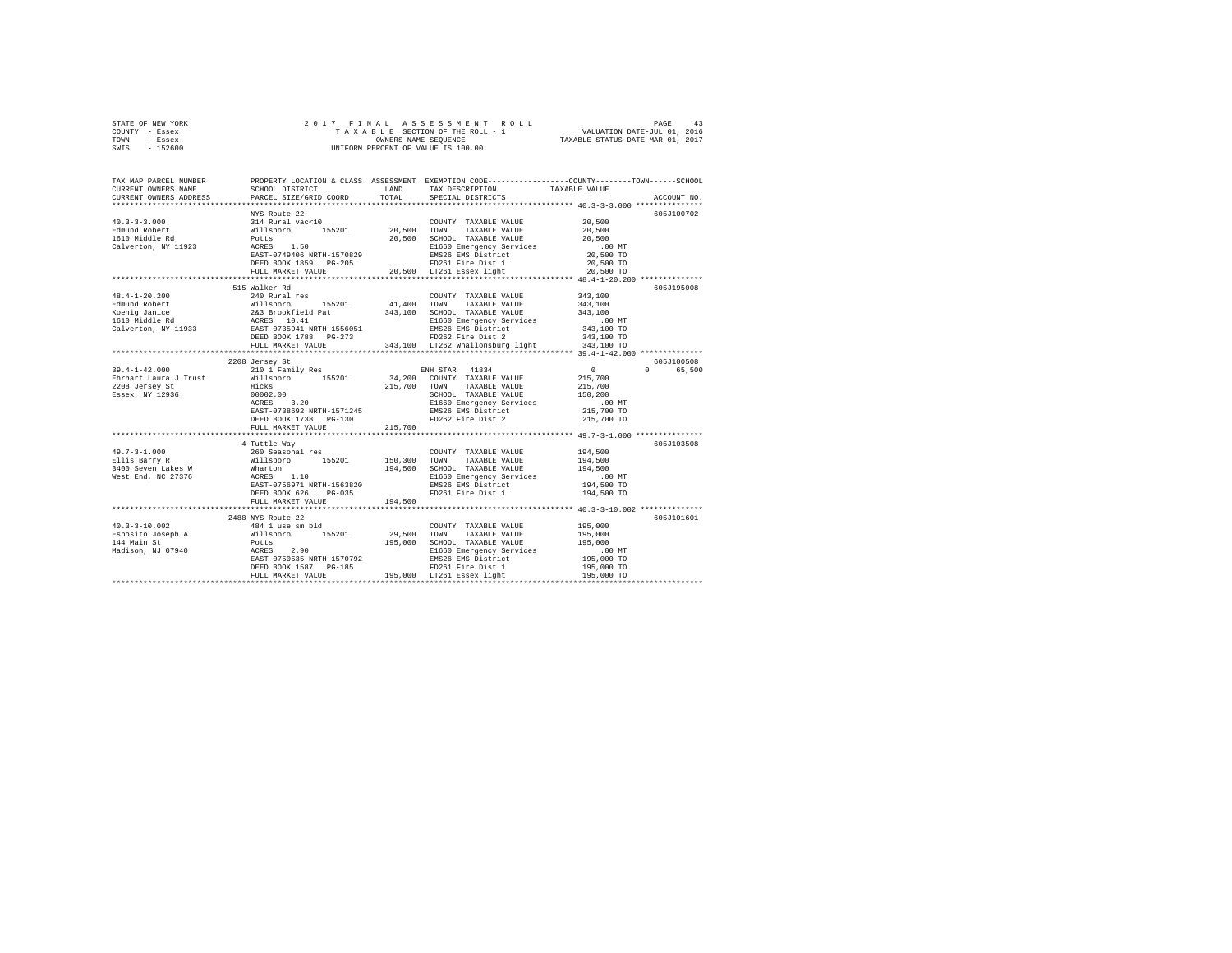|      | STATE OF NEW YORK |  |                      | 2017 FINAL ASSESSMENT ROLL         | 43<br>PAGE                  |  |
|------|-------------------|--|----------------------|------------------------------------|-----------------------------|--|
|      | COUNTY - Essex    |  |                      | TAXABLE SECTION OF THE ROLL - 1    | VALUATION DATE-JUL 01, 2016 |  |
| TOWN | - Essex           |  | OWNERS NAME SEOUENCE | TAXABLE STATUS DATE-MAR 01, 2017   |                             |  |
| SWIS | - 152600          |  |                      | UNIFORM PERCENT OF VALUE IS 100.00 |                             |  |

| TAX MAP PARCEL NUMBER<br>CURRENT OWNERS NAME<br>CURRENT OWNERS ADDRESS                                                                                                                                                                                                                                                                                                                                   | SCHOOL DISTRICT<br>PARCEL SIZE/GRID COORD | TOTAL   | LAND TAX DESCRIPTION<br>SPECIAL DISTRICTS | PROPERTY LOCATION & CLASS ASSESSMENT EXEMPTION CODE----------------COUNTY-------TOWN-----SCHOOL<br>TAXABLE VALUE<br>ACCOUNT NO. |
|----------------------------------------------------------------------------------------------------------------------------------------------------------------------------------------------------------------------------------------------------------------------------------------------------------------------------------------------------------------------------------------------------------|-------------------------------------------|---------|-------------------------------------------|---------------------------------------------------------------------------------------------------------------------------------|
|                                                                                                                                                                                                                                                                                                                                                                                                          |                                           |         |                                           |                                                                                                                                 |
|                                                                                                                                                                                                                                                                                                                                                                                                          |                                           |         |                                           | 605J100702                                                                                                                      |
|                                                                                                                                                                                                                                                                                                                                                                                                          |                                           |         |                                           |                                                                                                                                 |
|                                                                                                                                                                                                                                                                                                                                                                                                          |                                           |         |                                           |                                                                                                                                 |
|                                                                                                                                                                                                                                                                                                                                                                                                          |                                           |         |                                           |                                                                                                                                 |
|                                                                                                                                                                                                                                                                                                                                                                                                          |                                           |         |                                           |                                                                                                                                 |
|                                                                                                                                                                                                                                                                                                                                                                                                          |                                           |         |                                           |                                                                                                                                 |
|                                                                                                                                                                                                                                                                                                                                                                                                          |                                           |         |                                           |                                                                                                                                 |
|                                                                                                                                                                                                                                                                                                                                                                                                          |                                           |         |                                           |                                                                                                                                 |
| $\begin{tabular}{lcccc} \texttt{CURRERT} & \texttt{WINS} & \texttt{BOLR} & \texttt{CQUNTY} & \texttt{TAXABLE VALUE} & \texttt{20,500} \\ \texttt{M111} & \texttt{M111} & \texttt{M111} & \texttt{N111} & \texttt{C111} & \texttt{C111} & \texttt{C111} & \texttt{C111} \\ \texttt{Edmund Robert} & \texttt{N111} & \texttt{N111} & \texttt{R111} & \texttt{R201} & \texttt{20,500} & \texttt{TONNT} & \$ |                                           |         |                                           |                                                                                                                                 |
|                                                                                                                                                                                                                                                                                                                                                                                                          |                                           |         |                                           | 605J195008                                                                                                                      |
|                                                                                                                                                                                                                                                                                                                                                                                                          |                                           |         |                                           |                                                                                                                                 |
|                                                                                                                                                                                                                                                                                                                                                                                                          |                                           |         |                                           |                                                                                                                                 |
|                                                                                                                                                                                                                                                                                                                                                                                                          |                                           |         |                                           |                                                                                                                                 |
|                                                                                                                                                                                                                                                                                                                                                                                                          |                                           |         |                                           |                                                                                                                                 |
|                                                                                                                                                                                                                                                                                                                                                                                                          |                                           |         |                                           |                                                                                                                                 |
|                                                                                                                                                                                                                                                                                                                                                                                                          |                                           |         |                                           |                                                                                                                                 |
| $\begin{tabular}{cccccc} 48.4-1-20.200 & 34.3, 100 & 34.4, 100 & 34.5, 100 & 34.5, 100 & 34.5, 100 & 34.5, 100 & 34.5, 100 & 34.5, 100 & 34.5, 100 & 34.5, 100 & 34.5, 100 & 34.5, 100 & 34.5, 100 & 34.5, 100 & 34.5, 100 & 34.5, 100 & 34.5, 100 & 34.5, 10$                                                                                                                                           |                                           |         |                                           |                                                                                                                                 |
|                                                                                                                                                                                                                                                                                                                                                                                                          |                                           |         |                                           |                                                                                                                                 |
|                                                                                                                                                                                                                                                                                                                                                                                                          | 2208 Jersey St                            |         |                                           | 605J100508                                                                                                                      |
|                                                                                                                                                                                                                                                                                                                                                                                                          |                                           |         |                                           | 0 65,500                                                                                                                        |
|                                                                                                                                                                                                                                                                                                                                                                                                          |                                           |         |                                           |                                                                                                                                 |
|                                                                                                                                                                                                                                                                                                                                                                                                          |                                           |         |                                           |                                                                                                                                 |
|                                                                                                                                                                                                                                                                                                                                                                                                          |                                           |         |                                           |                                                                                                                                 |
|                                                                                                                                                                                                                                                                                                                                                                                                          |                                           |         |                                           |                                                                                                                                 |
|                                                                                                                                                                                                                                                                                                                                                                                                          |                                           |         | FD262 Fire Dist 2                         | 215,700 TO                                                                                                                      |
|                                                                                                                                                                                                                                                                                                                                                                                                          | DEED BOOK 1738     PG-130                 |         |                                           |                                                                                                                                 |
|                                                                                                                                                                                                                                                                                                                                                                                                          | FULL MARKET VALUE                         | 215,700 |                                           |                                                                                                                                 |
|                                                                                                                                                                                                                                                                                                                                                                                                          | 4 Tuttle Wav                              |         |                                           | 605-7103508                                                                                                                     |
| 49.7-3-1.000<br>260 Seasonal res (COUNTY TAXABLE VALUE 194,500<br>27.3-1.000 - 260 Seasonal res (2013)<br>28.300 TOWN TAXABLE VALUE 194,500<br>28.300 TOWN TAXABLE VALUE 194,500<br>28.300 TOWN TAXABLE VALUE 194,500<br>28.300 TOWN TAXA                                                                                                                                                                |                                           |         |                                           |                                                                                                                                 |
|                                                                                                                                                                                                                                                                                                                                                                                                          |                                           |         |                                           |                                                                                                                                 |
|                                                                                                                                                                                                                                                                                                                                                                                                          |                                           |         |                                           |                                                                                                                                 |
|                                                                                                                                                                                                                                                                                                                                                                                                          |                                           |         |                                           |                                                                                                                                 |
|                                                                                                                                                                                                                                                                                                                                                                                                          |                                           |         |                                           |                                                                                                                                 |
|                                                                                                                                                                                                                                                                                                                                                                                                          | DEED BOOK 626 PG-035                      |         | FD261 Fire Dist 1                         | 194,500 TO                                                                                                                      |
|                                                                                                                                                                                                                                                                                                                                                                                                          | FULL MARKET VALUE 194,500                 |         |                                           |                                                                                                                                 |
|                                                                                                                                                                                                                                                                                                                                                                                                          |                                           |         |                                           |                                                                                                                                 |
|                                                                                                                                                                                                                                                                                                                                                                                                          | 2488 NYS Route 22                         |         |                                           | 605J101601                                                                                                                      |
|                                                                                                                                                                                                                                                                                                                                                                                                          |                                           |         |                                           |                                                                                                                                 |
|                                                                                                                                                                                                                                                                                                                                                                                                          |                                           |         |                                           |                                                                                                                                 |
|                                                                                                                                                                                                                                                                                                                                                                                                          |                                           |         |                                           |                                                                                                                                 |
|                                                                                                                                                                                                                                                                                                                                                                                                          |                                           |         |                                           |                                                                                                                                 |
|                                                                                                                                                                                                                                                                                                                                                                                                          |                                           |         |                                           |                                                                                                                                 |
|                                                                                                                                                                                                                                                                                                                                                                                                          |                                           |         |                                           |                                                                                                                                 |
|                                                                                                                                                                                                                                                                                                                                                                                                          |                                           |         |                                           |                                                                                                                                 |
|                                                                                                                                                                                                                                                                                                                                                                                                          |                                           |         |                                           |                                                                                                                                 |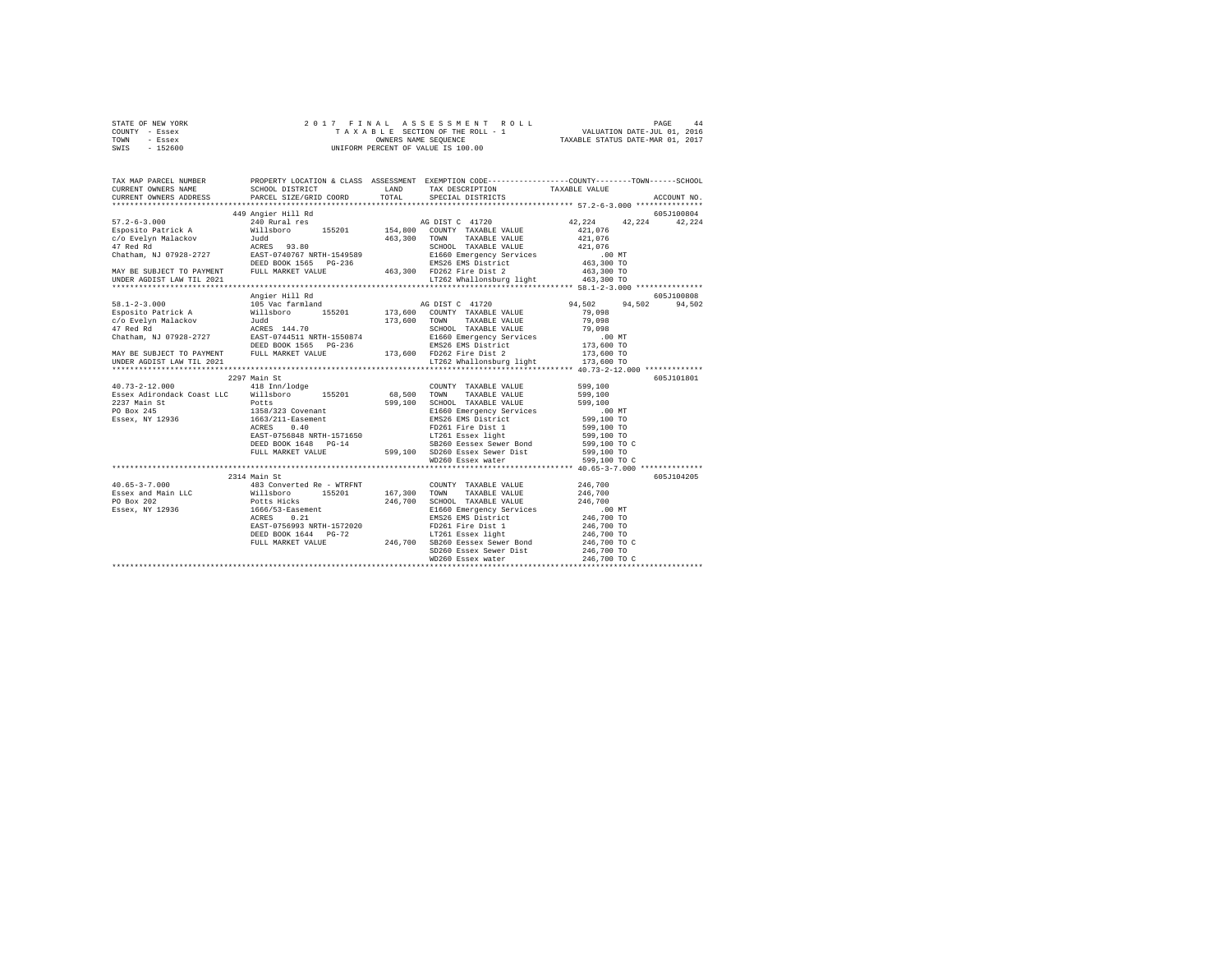|      | STATE OF NEW YORK |  | 2017 FINAL ASSESSMENT ROLL         | PAGE                             | 44 |
|------|-------------------|--|------------------------------------|----------------------------------|----|
|      | COUNTY - Essex    |  | TAXABLE SECTION OF THE ROLL - 1    | VALUATION DATE-JUL 01, 2016      |    |
| TOWN | - Essex           |  | OWNERS NAME SEOUENCE               | TAXABLE STATUS DATE-MAR 01, 2017 |    |
| SWIS | - 152600          |  | UNIFORM PERCENT OF VALUE IS 100.00 |                                  |    |

| TAX MAP PARCEL NUMBER PROPERTY LOCATION & CLASS ASSESSMENT EXEMPTION CODE--------------COUNTY-------TOWN------SCHOOL<br>CURRENT OWNERS NAME SCHOOL DISTRICT TAND TAX DESCRIPTION TAXABLE VALUE                                                                                                                                                                                                                                                                                          |                                                                                                                                                                                                                                      |                                                                                                                                                                                                                                                                                    |                                          |                      |
|-----------------------------------------------------------------------------------------------------------------------------------------------------------------------------------------------------------------------------------------------------------------------------------------------------------------------------------------------------------------------------------------------------------------------------------------------------------------------------------------|--------------------------------------------------------------------------------------------------------------------------------------------------------------------------------------------------------------------------------------|------------------------------------------------------------------------------------------------------------------------------------------------------------------------------------------------------------------------------------------------------------------------------------|------------------------------------------|----------------------|
| CURRENT OWNERS ADDRESS PARCEL SIZE/GRID COORD TOTAL                                                                                                                                                                                                                                                                                                                                                                                                                                     |                                                                                                                                                                                                                                      | SPECIAL DISTRICTS                                                                                                                                                                                                                                                                  |                                          | ACCOUNT NO.          |
|                                                                                                                                                                                                                                                                                                                                                                                                                                                                                         |                                                                                                                                                                                                                                      |                                                                                                                                                                                                                                                                                    |                                          |                      |
|                                                                                                                                                                                                                                                                                                                                                                                                                                                                                         |                                                                                                                                                                                                                                      |                                                                                                                                                                                                                                                                                    |                                          |                      |
| UNDER AGDIST LAW TIL 2021                                                                                                                                                                                                                                                                                                                                                                                                                                                               |                                                                                                                                                                                                                                      | $LT262$ Whallonsburg light $463,300$ TO                                                                                                                                                                                                                                            |                                          |                      |
|                                                                                                                                                                                                                                                                                                                                                                                                                                                                                         |                                                                                                                                                                                                                                      |                                                                                                                                                                                                                                                                                    |                                          |                      |
| 1912–1920 (1920)<br>195 (1922) (1920) (1932) (1932) (1932) (1932) (1932) (1932) (1932) (1932) (1932) (1932) (1932) (1932) (1932)<br>1973,600 (1902) (1932) (1933) (1933) (1933) (1945) (1945) (1945) (1946) (1946) (1946) (1946) (                                                                                                                                                                                                                                                      | Angier Hill Rd                                                                                                                                                                                                                       |                                                                                                                                                                                                                                                                                    | 94,502 94,502                            | 605J100808<br>94,502 |
| UNDER AGDIST LAW TIL 2021                                                                                                                                                                                                                                                                                                                                                                                                                                                               |                                                                                                                                                                                                                                      | LT262 Whallonsburg light 173,600 TO                                                                                                                                                                                                                                                |                                          |                      |
|                                                                                                                                                                                                                                                                                                                                                                                                                                                                                         |                                                                                                                                                                                                                                      |                                                                                                                                                                                                                                                                                    |                                          |                      |
|                                                                                                                                                                                                                                                                                                                                                                                                                                                                                         | 2297 Main St                                                                                                                                                                                                                         |                                                                                                                                                                                                                                                                                    |                                          | 605J101801           |
| $\begin{array}{cccc} 40.73-2-12.000 & 418 \text{ Im}/\text{1} \text{edge} \\ \text{Essex Adirondack Coast LLC} & \text{Willsboro} & 155201 & 68,500 \text{ TOWN} \end{array}$<br>2237 Main St<br>PO Box 245<br>Essex, NY 12936                                                                                                                                                                                                                                                          | 999,100 SCHOOL TAXABLE VALUE 599,100 SCHOOL TAXABLE VALUE 599,100 SCHOOL TAXABLE VALUE 12936 ST UNITS<br>12936 SET-0756848 NRTH-1571650 EMS DISTRICT 500 SCHOOL STATES<br>12936 SET-0756848 NRTH-1571650 EMS DISTRICT 599,100 TO<br> | COUNTY TAXABLE VALUE 599,100<br>- 68,500 TOWN TAXABLE VALUE 599,100<br>599,100 SCHOOL TAXABLE VALUE 599,100 TRI660 Emergency Services<br>299,100 TO EMERGENCY SERVICES 599,100 TO TAIL 599,100 TO TAIL 100 TO TAIL 100 TO TAIL 100 TO TAIL 100 TO TAIL 100 TO<br>WD260 Essex water | 599,100 TO C<br>599,100 TO C             |                      |
|                                                                                                                                                                                                                                                                                                                                                                                                                                                                                         |                                                                                                                                                                                                                                      |                                                                                                                                                                                                                                                                                    |                                          |                      |
| $\texttt{40.65-3-7.000} \begin{minipage}{0.93\textwidth} \begin{minipage}{0.93\textwidth} \begin{minipage}{0.93\textwidth} \begin{minipage}{0.93\textwidth} \begin{minipage}{0.93\textwidth} \begin{minipage}{0.93\textwidth} \begin{minipage}{0.93\textwidth} \begin{minipage}{0.93\textwidth} \begin{minipage}{0.93\textwidth} \begin{minipage}{0.93\textwidth} \begin{minipage}{0.93\textwidth} \begin{minipage}{0.93\textwidth} \begin{minipage}{0.93\textwidth} \begin{minipage}{$ | 2314 Main St<br>EAST-0756993 NRTH-1572020                                                                                                                                                                                            | $FD261$ Fire Dist 1                                                                                                                                                                                                                                                                | 246,700 TO<br>246,700 TO<br>246,700 TO C | 605J104205           |
|                                                                                                                                                                                                                                                                                                                                                                                                                                                                                         |                                                                                                                                                                                                                                      |                                                                                                                                                                                                                                                                                    |                                          |                      |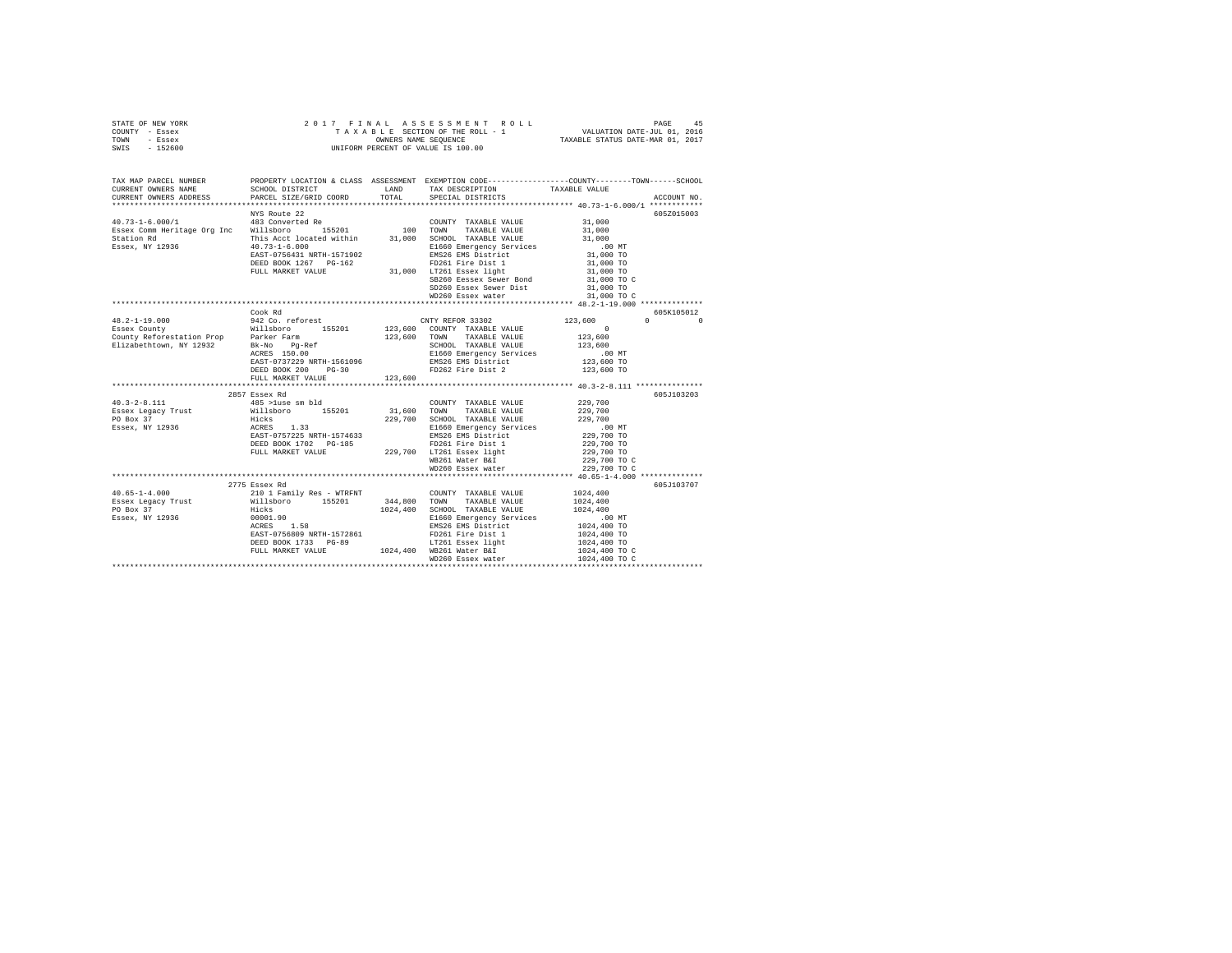|                | STATE OF NEW YORK |  | 2017 FINAL ASSESSMENT ROLL         | 45<br>PAGE                       |  |
|----------------|-------------------|--|------------------------------------|----------------------------------|--|
| COUNTY - Essex |                   |  | TAXABLE SECTION OF THE ROLL - 1    | VALUATION DATE-JUL 01, 2016      |  |
| TOWN           | - Essex           |  | OWNERS NAME SEOUENCE               | TAXABLE STATUS DATE-MAR 01, 2017 |  |
| SWIS           | - 152600          |  | UNIFORM PERCENT OF VALUE IS 100.00 |                                  |  |

|                                                                                                                                                                                                                                                                                                                                                                                                                                                       |                              |         | SD260 Essex Sewer Dist 31,000 TO       |                                                                                                                    | 605Z015003                             |
|-------------------------------------------------------------------------------------------------------------------------------------------------------------------------------------------------------------------------------------------------------------------------------------------------------------------------------------------------------------------------------------------------------------------------------------------------------|------------------------------|---------|----------------------------------------|--------------------------------------------------------------------------------------------------------------------|----------------------------------------|
|                                                                                                                                                                                                                                                                                                                                                                                                                                                       |                              |         |                                        |                                                                                                                    |                                        |
|                                                                                                                                                                                                                                                                                                                                                                                                                                                       | Cook Rd<br>FULL MARKET VALUE | 123,600 | FD262 Fire Dist 2                      |                                                                                                                    | 605K105012<br>$\mathbf{0}$<br>$\Omega$ |
|                                                                                                                                                                                                                                                                                                                                                                                                                                                       |                              |         |                                        |                                                                                                                    | 605J103203                             |
| $\begin{tabular}{lcccc} \textbf{23.4} & 2017 & 2018 & 2018 & 2018 & 2018 & 2018 & 2018 & 2018 & 2018 & 2018 & 2018 & 2018 & 2018 & 2018 & 2018 & 2018 & 2018 & 2018 & 2018 & 2018 & 2018 & 2018 & 2018 & 2018 & 2018 & 2018 & 2018 & 2018 & 2018 & 2018 & 2018 & 2018 & 2018 & 20$                                                                                                                                                                    |                              |         |                                        | 229,700 TO C<br>229,700 TO C                                                                                       |                                        |
|                                                                                                                                                                                                                                                                                                                                                                                                                                                       | 2775 Essex Rd                |         |                                        |                                                                                                                    | 605J103707                             |
| $\begin{tabular}{l c c c c} \multicolumn{3}{c}{\textbf{40.65--1-4.000}} & \multicolumn{3}{c}{2775\text{ Essex Red}} & \multicolumn{3}{c}{2775\text{ Essex Red}} & \multicolumn{3}{c}{2101\text{ Family Res - WTRINT}} & \multicolumn{3}{c}{\textbf{COMITY TAXABLE VALUE PO Box 37}} \\ \multicolumn{3}{c}{\textbf{Essex Legacy Trust}} & \multicolumn{3}{c}{\textbf{M111s}boro} & \multicolumn{3}{c}{\textbf{15201}} & \multicolumn{3}{c}{\textbf{34$ |                              |         | 1024,400 SCHOOL TAXABLE VALUE 1024,400 | $1024\,, 400$<br>1024,400<br>00 MT.<br>1024,400 TO<br>1024,400 TO<br>1024,400 TO<br>1024,400 TO C<br>1024,400 TO C |                                        |
|                                                                                                                                                                                                                                                                                                                                                                                                                                                       |                              |         |                                        |                                                                                                                    |                                        |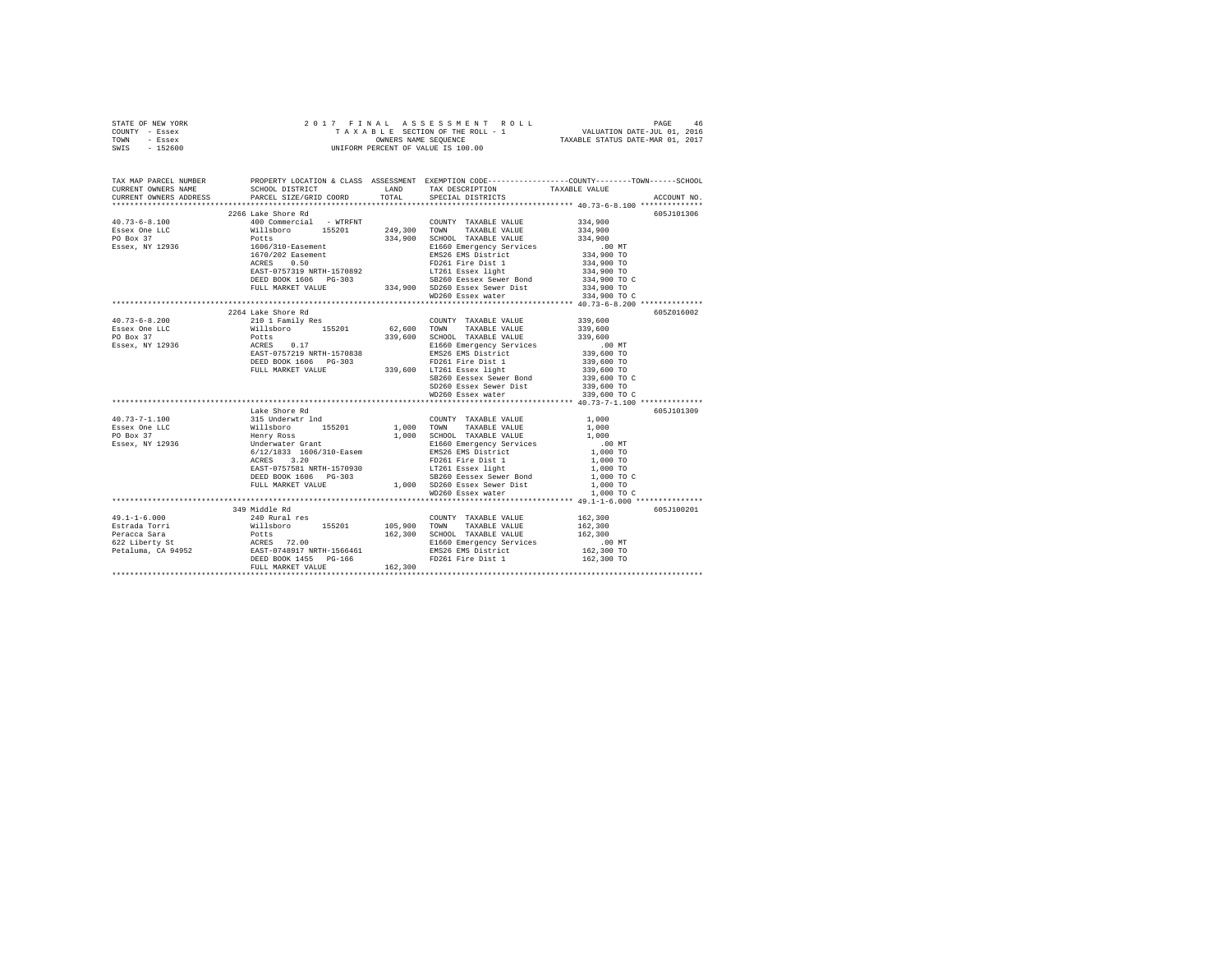| STATE OF NEW YORK | 2017 FINAL ASSESSMENT ROLL         | 46<br>PAGE                       |
|-------------------|------------------------------------|----------------------------------|
| COUNTY - Essex    | TAXABLE SECTION OF THE ROLL - 1    | VALUATION DATE-JUL 01, 2016      |
| TOWN<br>- Essex   | OWNERS NAME SEOUENCE               | TAXABLE STATUS DATE-MAR 01, 2017 |
| - 152600<br>SWIS  | UNIFORM PERCENT OF VALUE IS 100.00 |                                  |

| TAX MAP PARCEL NUMBER<br>CURRENT OWNERS NAME                                                                                                                                                                                                                                                                                                                                                            | SCHOOL DISTRICT TAND TAX DESCRIPTION                                                                                                                                                                                                           |                   | PROPERTY LOCATION & CLASS ASSESSMENT EXEMPTION CODE---------------COUNTY-------TOWN------SCHOOL<br>TAXABLE VALUE |
|---------------------------------------------------------------------------------------------------------------------------------------------------------------------------------------------------------------------------------------------------------------------------------------------------------------------------------------------------------------------------------------------------------|------------------------------------------------------------------------------------------------------------------------------------------------------------------------------------------------------------------------------------------------|-------------------|------------------------------------------------------------------------------------------------------------------|
| CURRENT OWNERS ADDRESS                                                                                                                                                                                                                                                                                                                                                                                  | PARCEL SIZE/GRID COORD TOTAL SPECIAL DISTRICTS                                                                                                                                                                                                 |                   | ACCOUNT NO.                                                                                                      |
|                                                                                                                                                                                                                                                                                                                                                                                                         | 2266 Lake Shore Rd                                                                                                                                                                                                                             |                   | 605J101306                                                                                                       |
| $\begin{tabular}{l c c c c} \multicolumn{4}{l}{\textbf{40.73--6-8.100}} & \multicolumn{4}{l}{\textbf{40.73--6-8.100}} & \multicolumn{4}{l}{\textbf{40.73--6-8.100}} & \multicolumn{4}{l}{\textbf{40.73--6-8.100}} & \multicolumn{4}{l}{\textbf{40.73--6-8.100}} & \multicolumn{4}{l}{\textbf{40.73--6-8.100}} & \multicolumn{4}{l}{\textbf{40.73--6-8.100}} & \multicolumn{4}{l$                        |                                                                                                                                                                                                                                                |                   |                                                                                                                  |
|                                                                                                                                                                                                                                                                                                                                                                                                         |                                                                                                                                                                                                                                                |                   |                                                                                                                  |
|                                                                                                                                                                                                                                                                                                                                                                                                         |                                                                                                                                                                                                                                                |                   |                                                                                                                  |
|                                                                                                                                                                                                                                                                                                                                                                                                         |                                                                                                                                                                                                                                                |                   |                                                                                                                  |
|                                                                                                                                                                                                                                                                                                                                                                                                         |                                                                                                                                                                                                                                                |                   |                                                                                                                  |
|                                                                                                                                                                                                                                                                                                                                                                                                         |                                                                                                                                                                                                                                                |                   |                                                                                                                  |
|                                                                                                                                                                                                                                                                                                                                                                                                         |                                                                                                                                                                                                                                                |                   |                                                                                                                  |
|                                                                                                                                                                                                                                                                                                                                                                                                         |                                                                                                                                                                                                                                                |                   |                                                                                                                  |
|                                                                                                                                                                                                                                                                                                                                                                                                         |                                                                                                                                                                                                                                                |                   |                                                                                                                  |
|                                                                                                                                                                                                                                                                                                                                                                                                         |                                                                                                                                                                                                                                                |                   |                                                                                                                  |
|                                                                                                                                                                                                                                                                                                                                                                                                         |                                                                                                                                                                                                                                                |                   |                                                                                                                  |
|                                                                                                                                                                                                                                                                                                                                                                                                         | 2264 Lake Shore Rd                                                                                                                                                                                                                             |                   | 605Z016002                                                                                                       |
|                                                                                                                                                                                                                                                                                                                                                                                                         |                                                                                                                                                                                                                                                |                   |                                                                                                                  |
|                                                                                                                                                                                                                                                                                                                                                                                                         |                                                                                                                                                                                                                                                |                   |                                                                                                                  |
|                                                                                                                                                                                                                                                                                                                                                                                                         |                                                                                                                                                                                                                                                |                   |                                                                                                                  |
|                                                                                                                                                                                                                                                                                                                                                                                                         |                                                                                                                                                                                                                                                |                   |                                                                                                                  |
|                                                                                                                                                                                                                                                                                                                                                                                                         |                                                                                                                                                                                                                                                |                   |                                                                                                                  |
|                                                                                                                                                                                                                                                                                                                                                                                                         |                                                                                                                                                                                                                                                |                   |                                                                                                                  |
|                                                                                                                                                                                                                                                                                                                                                                                                         |                                                                                                                                                                                                                                                |                   |                                                                                                                  |
|                                                                                                                                                                                                                                                                                                                                                                                                         |                                                                                                                                                                                                                                                |                   |                                                                                                                  |
|                                                                                                                                                                                                                                                                                                                                                                                                         |                                                                                                                                                                                                                                                |                   |                                                                                                                  |
|                                                                                                                                                                                                                                                                                                                                                                                                         |                                                                                                                                                                                                                                                |                   |                                                                                                                  |
|                                                                                                                                                                                                                                                                                                                                                                                                         |                                                                                                                                                                                                                                                |                   |                                                                                                                  |
|                                                                                                                                                                                                                                                                                                                                                                                                         |                                                                                                                                                                                                                                                |                   |                                                                                                                  |
|                                                                                                                                                                                                                                                                                                                                                                                                         | Lake Shore Rd                                                                                                                                                                                                                                  |                   | 605J101309                                                                                                       |
| $40.73 - 7 - 1.100$                                                                                                                                                                                                                                                                                                                                                                                     |                                                                                                                                                                                                                                                |                   |                                                                                                                  |
| Essex One LLC<br>PO Box 37                                                                                                                                                                                                                                                                                                                                                                              |                                                                                                                                                                                                                                                |                   |                                                                                                                  |
|                                                                                                                                                                                                                                                                                                                                                                                                         |                                                                                                                                                                                                                                                |                   |                                                                                                                  |
| Essex, NY 12936                                                                                                                                                                                                                                                                                                                                                                                         |                                                                                                                                                                                                                                                |                   |                                                                                                                  |
|                                                                                                                                                                                                                                                                                                                                                                                                         |                                                                                                                                                                                                                                                |                   |                                                                                                                  |
|                                                                                                                                                                                                                                                                                                                                                                                                         |                                                                                                                                                                                                                                                |                   |                                                                                                                  |
|                                                                                                                                                                                                                                                                                                                                                                                                         | ACRES 3.20<br>PD261 Fire Dist 1 1,000 TO<br>EAST-0757581 RRTH-1570930<br>DEED BOOK 1606 PG-303<br>TOPA SE260 Bessex 199er Bond<br>PD261 Eine Dist 1,000 TO C<br>PD261 Eine Dist 1,000 TO C<br>SE260 Bessex Sewer Bond<br>TOPA SD260 Essex Sewe |                   |                                                                                                                  |
|                                                                                                                                                                                                                                                                                                                                                                                                         |                                                                                                                                                                                                                                                |                   |                                                                                                                  |
|                                                                                                                                                                                                                                                                                                                                                                                                         |                                                                                                                                                                                                                                                |                   |                                                                                                                  |
|                                                                                                                                                                                                                                                                                                                                                                                                         |                                                                                                                                                                                                                                                | WD260 Essex water | 1,000 TO C                                                                                                       |
|                                                                                                                                                                                                                                                                                                                                                                                                         |                                                                                                                                                                                                                                                |                   |                                                                                                                  |
|                                                                                                                                                                                                                                                                                                                                                                                                         | 349 Middle Rd                                                                                                                                                                                                                                  |                   | 605J100201                                                                                                       |
|                                                                                                                                                                                                                                                                                                                                                                                                         |                                                                                                                                                                                                                                                |                   |                                                                                                                  |
|                                                                                                                                                                                                                                                                                                                                                                                                         |                                                                                                                                                                                                                                                |                   |                                                                                                                  |
|                                                                                                                                                                                                                                                                                                                                                                                                         |                                                                                                                                                                                                                                                |                   |                                                                                                                  |
|                                                                                                                                                                                                                                                                                                                                                                                                         |                                                                                                                                                                                                                                                |                   |                                                                                                                  |
|                                                                                                                                                                                                                                                                                                                                                                                                         |                                                                                                                                                                                                                                                |                   |                                                                                                                  |
|                                                                                                                                                                                                                                                                                                                                                                                                         |                                                                                                                                                                                                                                                |                   |                                                                                                                  |
| $\begin{tabular}{l c c c c c} \multicolumn{3}{c c c c} \multicolumn{3}{c c c} \multicolumn{3}{c c c} \multicolumn{3}{c c c} \multicolumn{3}{c c c} \multicolumn{3}{c c c} \multicolumn{3}{c c c} \multicolumn{3}{c c c} \multicolumn{3}{c c c} \multicolumn{3}{c c c} \multicolumn{3}{c c c} \multicolumn{3}{c c c} \multicolumn{3}{c c c} \multicolumn{3}{c c c} \multicolumn{3}{c c c} \multicolumn{$ |                                                                                                                                                                                                                                                |                   |                                                                                                                  |
|                                                                                                                                                                                                                                                                                                                                                                                                         |                                                                                                                                                                                                                                                |                   |                                                                                                                  |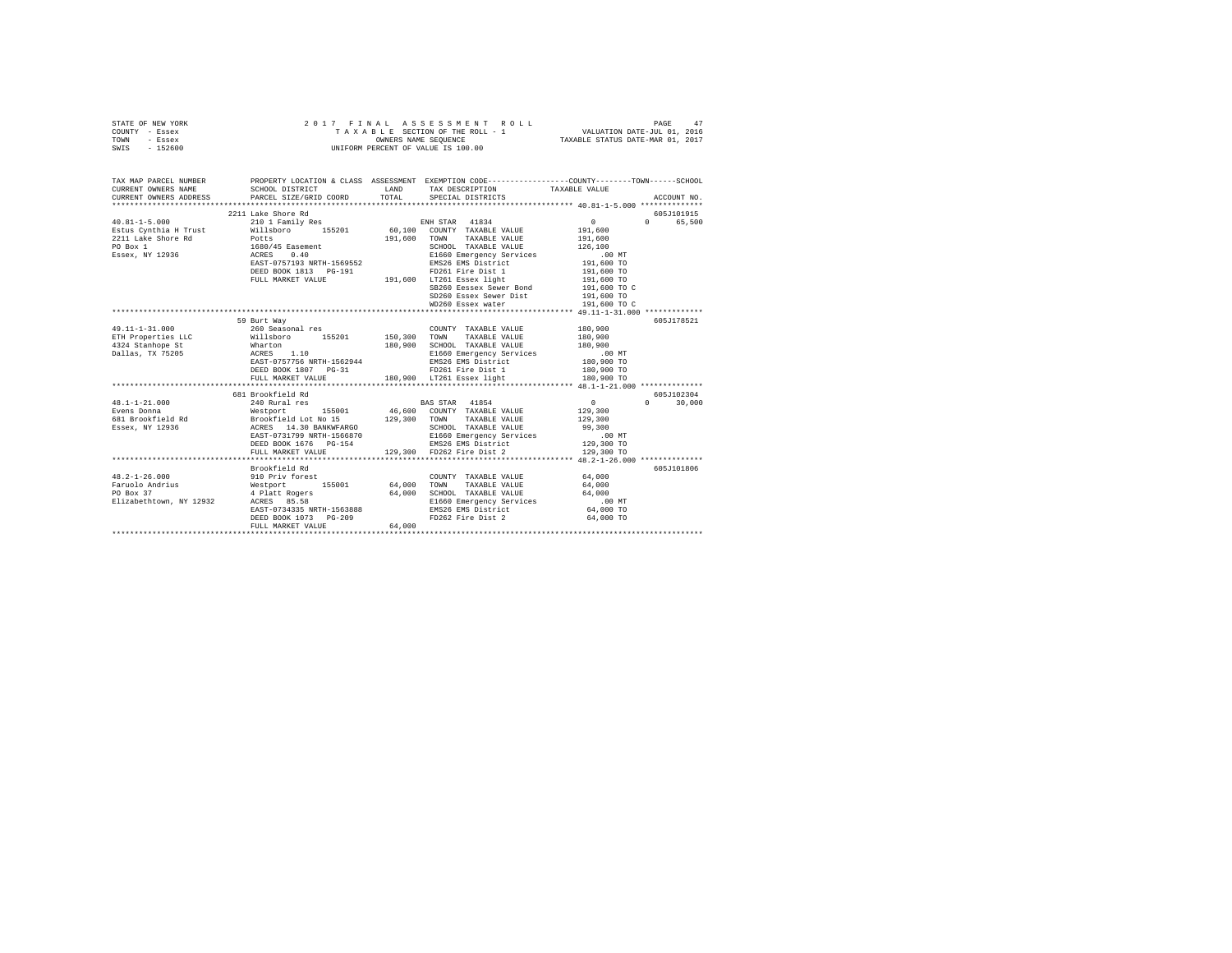|                | STATE OF NEW YORK |  | 2017 FINAL ASSESSMENT ROLL         | PAGE                             | 47 |
|----------------|-------------------|--|------------------------------------|----------------------------------|----|
| COUNTY - Essex |                   |  | TAXABLE SECTION OF THE ROLL - 1    | VALUATION DATE-JUL 01, 2016      |    |
| TOWN           | - Essex           |  | OWNERS NAME SEOUENCE               | TAXABLE STATUS DATE-MAR 01, 2017 |    |
| SWIS           | - 152600          |  | UNIFORM PERCENT OF VALUE IS 100.00 |                                  |    |

| TAX MAP PARCEL NUMBER<br>CURRENT OWNERS NAME<br>CURRENT OWNERS ADDRESS PARCEL SIZE/GRID COORD TOTAL SPECIAL DISTRICTS                                                                                                                                                                                         | PROPERTY LOCATION & CLASS ASSESSMENT EXEMPTION CODE----------------COUNTY-------TOWN------SCHOOL<br>SCHOOL DISTRICT                                                                                                                                                            |        | LAND TAX DESCRIPTION TAXABLE VALUE                                                                                                                                                                                                                                                                                                   |                   |                             |
|---------------------------------------------------------------------------------------------------------------------------------------------------------------------------------------------------------------------------------------------------------------------------------------------------------------|--------------------------------------------------------------------------------------------------------------------------------------------------------------------------------------------------------------------------------------------------------------------------------|--------|--------------------------------------------------------------------------------------------------------------------------------------------------------------------------------------------------------------------------------------------------------------------------------------------------------------------------------------|-------------------|-----------------------------|
| $40.81 - 1 - 5.000$<br>Estus Cynthia H Trust Willsboro 155201 60,100 COUNTY TAXABLE VALUE 191,600                                                                                                                                                                                                             | 2211 Lake Shore Rd<br>210 1 Family Res                                                                                                                                                                                                                                         |        | ENH STAR 41834<br>SB260 Eessex Sewer Bond<br>SD260 Essex Sewer Dist<br>WD260 Essex water<br>WD260 Essex water<br>191,600 TO                                                                                                                                                                                                          | $\sim$ 0 $\sim$ 0 | 605J101915<br>0 65,500      |
| 49.11-1-31.000<br>ETH Properties LLC Millsboro 155201 150,300 TOWN<br>180,900 SCHOOL TAXABLE VALUE 180,900<br>1924 Stanhope St – ACRES 1.10 – 180,900 SCHOOL TAXABLE VALUE 180,900<br>1911as, TX 75205 – RACRES 1.10 – 198,900 – 180,900 – 180,900 – 180,900 – 180,900 – 180,900 – 180,900 – 180,900<br>180,9 | 59 Burt Way<br>260 Seasonal res<br>DEED BOOK 1807 PG-31                                                                                                                                                                                                                        |        | COUNTY TAXABLE VALUE 180.900<br>TAXABLE VALUE 180.900<br>FD261 Fire Dist 1                                                                                                                                                                                                                                                           | 180,900 TO        | 605J178521                  |
| 48.1-1-21.000 681 Resolution and Except and Health and 248.1-1-21.000 681 Resolution 249.<br>Even Boomaa 240 Rural res<br>55001 46,600 COUNTY TAXABLE VALUE 129,300<br>EVEN BOOKTEER 160 RESOLUTE 129,300<br>583ex, NY 12936 ACRES 14.                                                                        |                                                                                                                                                                                                                                                                                |        |                                                                                                                                                                                                                                                                                                                                      |                   | 605J102304<br>$0 \t 30,000$ |
| $48.2 - 1 - 26.000$<br>Faruolo Andrius<br>PO Box 37<br>Elizabethtown, NY 12932 ACRES 85.58                                                                                                                                                                                                                    | Brookfield Rd<br>910 Priv forest (2000) 2000 COUNTY TAXABLE VALUE (1990) 2000 155001 64,000 TONN TAXABLE VALUE (4)<br>1990 Mars (1990) 4 G4,000 TONN TAXABLE VALUE (4)<br>EAST-0734335 NRTH-1563888<br>EAST-0734335 NRTH-1563888<br>DEED BOOK 1073 PG-209<br>FULL MARKET VALUE | 64.000 | $\begin{tabular}{lllll} \multicolumn{2}{l}{{\text{COUNTY}}} & \multicolumn{2}{l}{\text{TAXABLE VALUE}} & \multicolumn{2}{l}{\text{YALUE}} & \multicolumn{2}{l}{\text{64,000}} \end{tabular}$<br>64,000 SCHOOL TAXABLE VALUE 64,000<br>E1660 Emergency Services 100 MT<br>EMS26 EMS District 64,000 TO<br>FD262 Fire Dist 2 64,000 TO | 64,000            | 605J101806                  |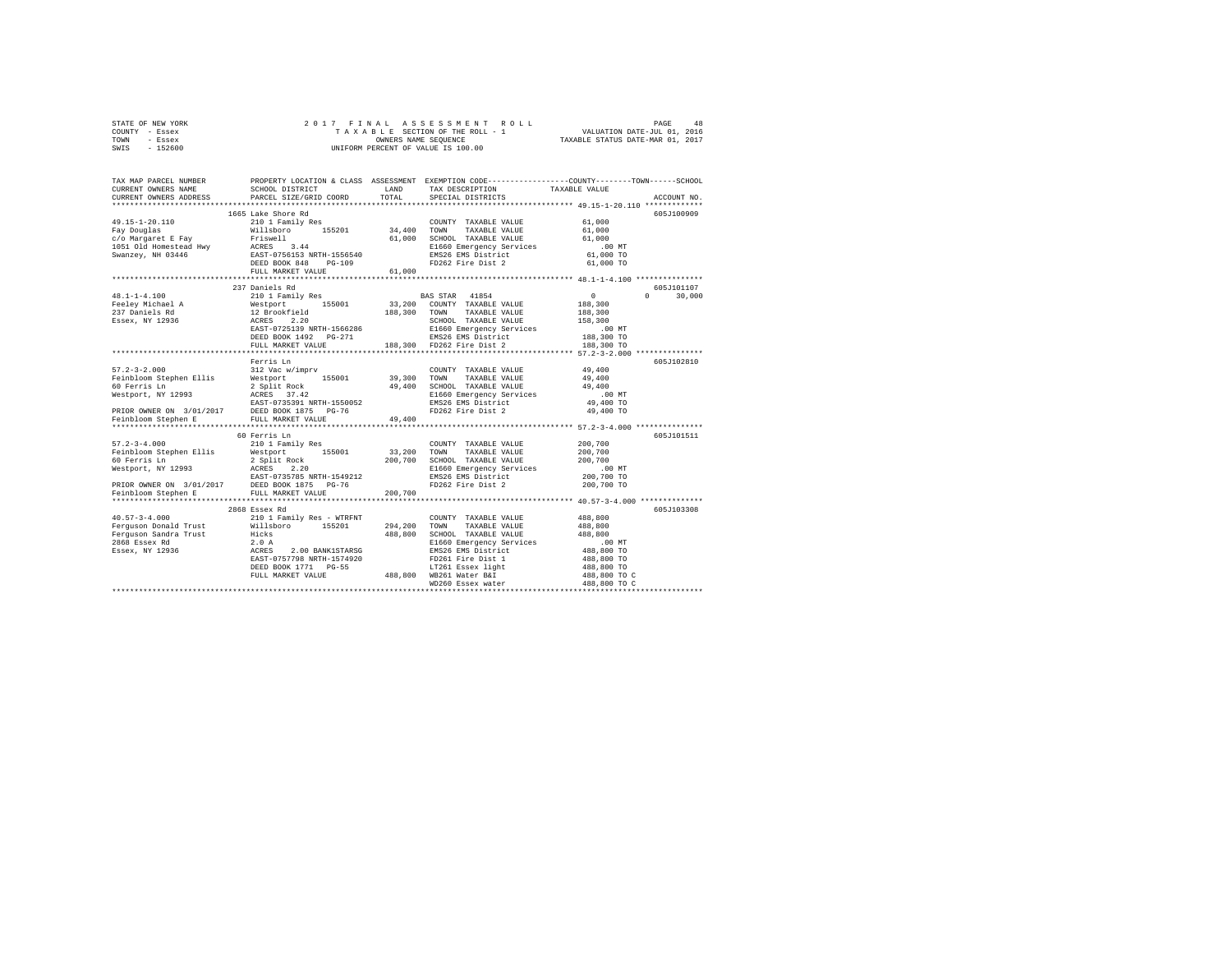|      | STATE OF NEW YORK |  |  | 2017 FINAL ASSESSMENT ROLL         |                                  | PAGE | 48 |
|------|-------------------|--|--|------------------------------------|----------------------------------|------|----|
|      | COUNTY - Essex    |  |  | TAXABLE SECTION OF THE ROLL - 1    | VALUATION DATE-JUL 01, 2016      |      |    |
| TOWN | - Essex           |  |  | OWNERS NAME SEOUENCE               | TAXABLE STATUS DATE-MAR 01, 2017 |      |    |
| SWIS | $-152600$         |  |  | UNIFORM PERCENT OF VALUE IS 100.00 |                                  |      |    |

| TAX MAP PARCEL NUMBER<br>CURRENT OWNERS NAME                                                                                                                                                                                 | SCHOOL DISTRICT                                                                  | LAND         | TAX DESCRIPTION                                                        | PROPERTY LOCATION & CLASS ASSESSMENT EXEMPTION CODE----------------COUNTY-------TOWN------SCHOOL<br>TAXABLE VALUE |
|------------------------------------------------------------------------------------------------------------------------------------------------------------------------------------------------------------------------------|----------------------------------------------------------------------------------|--------------|------------------------------------------------------------------------|-------------------------------------------------------------------------------------------------------------------|
| CURRENT OWNERS ADDRESS                                                                                                                                                                                                       | PARCEL SIZE/GRID COORD                                                           | TOTAL        | SPECIAL DISTRICTS                                                      | ACCOUNT NO.                                                                                                       |
|                                                                                                                                                                                                                              |                                                                                  |              |                                                                        |                                                                                                                   |
|                                                                                                                                                                                                                              | 1665 Lake Shore Rd                                                               |              |                                                                        | 605J100909                                                                                                        |
| $49.15 - 1 - 20.110$                                                                                                                                                                                                         | 210 1 Family Res                                                                 | 34,400 TOWN  | COUNTY TAXABLE VALUE<br>TAXABLE VALUE                                  | 61,000<br>61,000                                                                                                  |
| r<br>Tay Douglas – Exay – Priswell – 2001<br>1051 Old Homestead Hwy – ACRES – 3.44<br>Swanzey, NH 03446 – EAST-0756133 NRTH-1556540<br>Swanzey, NH 03446 – EAST-0756133 NRTH-1556540<br>FREE PORT AGR – EAST-07000 NRTH-1000 |                                                                                  | 61,000       | SCHOOL TAXABLE VALUE                                                   | 61,000                                                                                                            |
|                                                                                                                                                                                                                              |                                                                                  |              | E1660 Emergency Services                                               | .00MT                                                                                                             |
|                                                                                                                                                                                                                              |                                                                                  |              | EMS26 EMS District                                                     | 61,000 TO                                                                                                         |
|                                                                                                                                                                                                                              |                                                                                  |              | FD262 Fire Dist 2                                                      | 61,000 TO                                                                                                         |
|                                                                                                                                                                                                                              | FULL MARKET VALUE                                                                | 61,000       |                                                                        |                                                                                                                   |
|                                                                                                                                                                                                                              |                                                                                  |              |                                                                        |                                                                                                                   |
|                                                                                                                                                                                                                              | 237 Daniels Rd                                                                   |              |                                                                        | 605J101107                                                                                                        |
| 48.1-1-4.100                                                                                                                                                                                                                 | 210 1 Family Res                                                                 |              | BAS STAR 41854                                                         | $\sim$ 0<br>$0 \qquad \qquad$<br>30,000                                                                           |
| Feeley Michael A                                                                                                                                                                                                             |                                                                                  |              | 33,200 COUNTY TAXABLE VALUE                                            | 188,300                                                                                                           |
| 237 Daniels Rd                                                                                                                                                                                                               |                                                                                  | 188,300 TOWN | TAXABLE VALUE                                                          | 188,300                                                                                                           |
| Essex, NY 12936                                                                                                                                                                                                              | Westport 155001<br>12 Brookfield<br>ACRES 2.20                                   |              | SCHOOL TAXABLE VALUE                                                   | 158,300                                                                                                           |
|                                                                                                                                                                                                                              | EAST-0725139 NRTH-1566286                                                        |              | E1660 Emergency Services                                               | .00MT                                                                                                             |
|                                                                                                                                                                                                                              | DEED BOOK 1492    PG-271                                                         |              |                                                                        | 188,300 TO                                                                                                        |
|                                                                                                                                                                                                                              | FULL MARKET VALUE                                                                |              | EMS26 EMS District<br>188,300 FD262 Fire Dist 2                        | 188,300 TO                                                                                                        |
|                                                                                                                                                                                                                              |                                                                                  |              |                                                                        |                                                                                                                   |
|                                                                                                                                                                                                                              | Ferris Ln                                                                        |              |                                                                        | 605J102810                                                                                                        |
| $57.2 - 3 - 2.000$                                                                                                                                                                                                           | 312 Vac w/imprv                                                                  |              | COUNTY TAXABLE VALUE                                                   | 49,400                                                                                                            |
| Feinbloom Stephen Ellis                                                                                                                                                                                                      | Westport 155001                                                                  | 39,300 TOWN  | TAXABLE VALUE                                                          | 49,400                                                                                                            |
| 60 Ferris Ln                                                                                                                                                                                                                 |                                                                                  |              | 49,400 SCHOOL TAXABLE VALUE                                            | 49,400                                                                                                            |
|                                                                                                                                                                                                                              | 2 Split Rock<br>ACRES 37.42                                                      |              |                                                                        | .00 MT                                                                                                            |
| Westport, NY 12993<br>EAST-0735391 NRTH-1550052                                                                                                                                                                              |                                                                                  |              | E1660 Emergency Services<br>EMS26 EMS District                         | 49,400 TO                                                                                                         |
|                                                                                                                                                                                                                              |                                                                                  |              | FD262 Fire Dist 2                                                      | 49,400 TO                                                                                                         |
| PRIOR OWNER ON 3/01/2017<br>Feinbloom Stephen E FULL MARKET VALUE<br>Feinbloom Stephen E FULL MARKET VALUE                                                                                                                   |                                                                                  | 49,400       |                                                                        |                                                                                                                   |
|                                                                                                                                                                                                                              |                                                                                  |              |                                                                        |                                                                                                                   |
|                                                                                                                                                                                                                              | 60 Ferris Ln                                                                     |              |                                                                        | 605J101511                                                                                                        |
| $57.2 - 3 - 4.000$                                                                                                                                                                                                           | 210 1 Family Res                                                                 |              | COUNTY TAXABLE VALUE                                                   | 200,700                                                                                                           |
| Feinbloom Stephen Ellis Westport 155001                                                                                                                                                                                      |                                                                                  | 33,200 TOWN  | TAXABLE VALUE                                                          | 200,700                                                                                                           |
|                                                                                                                                                                                                                              |                                                                                  |              | 200,700 SCHOOL TAXABLE VALUE                                           | 200,700                                                                                                           |
|                                                                                                                                                                                                                              |                                                                                  |              | E1660 Emergency Services                                               | $.00$ MT                                                                                                          |
|                                                                                                                                                                                                                              |                                                                                  |              | EMS26 EMS District                                                     | 200,700 TO                                                                                                        |
| PRIOR OWNER ON 3/01/2017 DEED BOOK 1875 PG-76<br>Feinbloom Stephen E FULL MARKET VALUE                                                                                                                                       |                                                                                  |              | FD262 Fire Dist 2                                                      | 200,700 TO                                                                                                        |
|                                                                                                                                                                                                                              |                                                                                  | 200,700      |                                                                        |                                                                                                                   |
|                                                                                                                                                                                                                              |                                                                                  |              |                                                                        |                                                                                                                   |
|                                                                                                                                                                                                                              | 2868 Essex Rd                                                                    |              |                                                                        | 605J103308                                                                                                        |
| $40.57 - 3 - 4.000$                                                                                                                                                                                                          | 210 1 Family Res - WTRFNT                                                        |              | COUNTY TAXABLE VALUE                                                   | 488,800                                                                                                           |
| Ferguson Donald Trust 1997 - 1997 - 1998 - 1999 - 1999 - 1999 - 1999 - 1999 - 1999 - 1999 - 1999 - 1999 - 199                                                                                                                |                                                                                  | 294,200      | TOWN<br>TAXABLE VALUE                                                  | 488,800                                                                                                           |
| Ferguson Sandra Trust                                                                                                                                                                                                        | Hicks                                                                            | 488,800      | SCHOOL TAXABLE VALUE                                                   | 488,800                                                                                                           |
| 2868 Essex Rd                                                                                                                                                                                                                |                                                                                  |              | E1660 Emergency Services                                               | $.00$ MT                                                                                                          |
| Essex, NY 12936                                                                                                                                                                                                              | 2.0 A<br>ACRES 2.00 BANK1STARSG<br>EAST-0757798 NRTH-1574920<br>2.00 BANK1STARSG |              | EMS26 EMS District                                                     | 488,800 TO                                                                                                        |
|                                                                                                                                                                                                                              |                                                                                  |              | FD261 Fire Dist 1                                                      | 488,800 TO                                                                                                        |
|                                                                                                                                                                                                                              | DEED BOOK 1771 PG-55                                                             |              |                                                                        | 488,800 TO                                                                                                        |
|                                                                                                                                                                                                                              | FULL MARKET VALUE                                                                |              |                                                                        | 488,800 TO C                                                                                                      |
|                                                                                                                                                                                                                              |                                                                                  |              | 3-55 LT261 Essex light<br>488,800 WB261 Water B&I<br>WD260 Essex water | 488,800 TO C                                                                                                      |
|                                                                                                                                                                                                                              |                                                                                  |              |                                                                        |                                                                                                                   |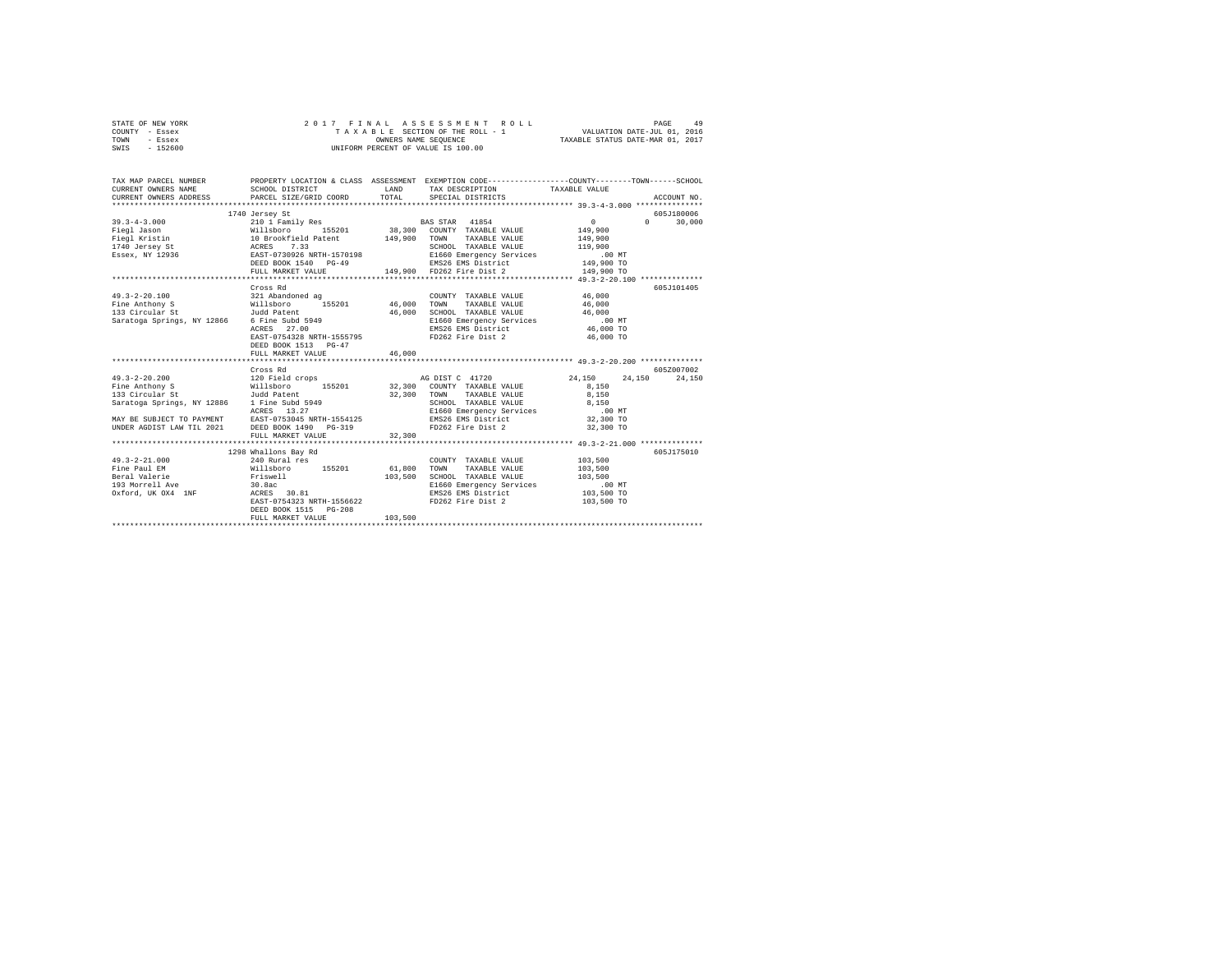|      | STATE OF NEW YORK |  | 2017 FINAL ASSESSMENT ROLL         | PAGE                             | 49 |
|------|-------------------|--|------------------------------------|----------------------------------|----|
|      | COUNTY - Essex    |  | TAXABLE SECTION OF THE ROLL - 1    | VALUATION DATE-JUL 01, 2016      |    |
| TOWN | - Essex           |  | OWNERS NAME SEOUENCE               | TAXABLE STATUS DATE-MAR 01, 2017 |    |
| SWIS | - 152600          |  | UNIFORM PERCENT OF VALUE IS 100.00 |                                  |    |

| TAX MAP PARCEL NUMBER                                                                                                                                                                                                                                                                                                                                                                                                                                       | PROPERTY LOCATION & CLASS ASSESSMENT EXEMPTION CODE----------------COUNTY-------TOWN------SCHOOL                                                                                                                                                                                                         |                       |                                                                                       |                                           |            |
|-------------------------------------------------------------------------------------------------------------------------------------------------------------------------------------------------------------------------------------------------------------------------------------------------------------------------------------------------------------------------------------------------------------------------------------------------------------|----------------------------------------------------------------------------------------------------------------------------------------------------------------------------------------------------------------------------------------------------------------------------------------------------------|-----------------------|---------------------------------------------------------------------------------------|-------------------------------------------|------------|
| $\begin{tabular}{lllllllllllll} \textbf{39.3-4-3.000} & \textbf{149 erge} & \textbf{5101} & \textbf{Family Res} \\ \textbf{Fig1} & \textbf{38.000} & \textbf{2101} & \textbf{Family Res} & \textbf{38.000} & \textbf{30.000} & \textbf{30.000} \\ \textbf{Fig2} & \textbf{18.000} & \textbf{310.000} & \textbf{320.000} & \textbf{33.000} & \textbf{30.000} \\ \textbf{Fig2} & \textbf$                                                                     | 1740 Jersey St                                                                                                                                                                                                                                                                                           |                       |                                                                                       |                                           | 605J180006 |
|                                                                                                                                                                                                                                                                                                                                                                                                                                                             |                                                                                                                                                                                                                                                                                                          |                       |                                                                                       |                                           |            |
| $\begin{array}{cccccccc} 49.3-2-20.100 & 321\quad \text{Abandoned ag} & \text{COUNTY TAXABLE VALUE} & 46,000\\ \text{File Anthony S} & \text{Willsboro} & 155201 & 46,000\quad \text{TONY TAXABLE VALUE} & 46,000 \end{array}$<br>133 Circular St<br>133 Circular St<br>Saratoga Springs, NY 12866 6 Fine Subd 5949<br>ACRES 27.00                                                                                                                          | Cross Rd<br>Judd Patent<br>6 Fine Subd 5949<br>ACRES 27.00 NT EXAMPLE 200 TO EXAMPLE 200 TO EXAMPLE 200 TO EXAMPLE 200 TO EXAMPLE 200 TO EXAMPLE 200 TO EXAMPLE 200 TO EXAMPLE 200 TO EXAMPLE 200 TO EXAMPLE 200 TO EXAMPLE 200 TO EXAMPLE 200 TO EXAMPLE 2<br>DEED BOOK 1513 PG-47<br>FULL MARKET VALUE | 46,000<br>46,000      | COUNTY TAXABLE VALUE 46.000<br>SCHOOL TAXABLE VALUE 46,000                            |                                           | 605J101405 |
|                                                                                                                                                                                                                                                                                                                                                                                                                                                             | Cross Rd                                                                                                                                                                                                                                                                                                 |                       |                                                                                       |                                           | 605Z007002 |
| $\begin{array}{cccccc} 49.3-2-20.200 & & & 120 & \text{Field crops} & & & \text{AG DIST C} & 41720 \ & & & & & & \text{Willisboro} & & & \text{32,300} & \text{COMINT} & \text{TXABE} & \text{VALUE} \end{array}$<br>Saratoga Springs, NY 12886 1 Fine Subd 5949<br>Saratoga Springs, NY 12886 1 Fine Subd 5949<br>ACRES 13.27 21660 Emergency Services .00 MT<br>MAY BE SUBJECT TO PAYMENT EAST-0753045 NRTH-1554125 23,300 TO<br>UNDER AGDIST LAW TIL 202 | FULL MARKET VALUE                                                                                                                                                                                                                                                                                        | 32,300 TOWN<br>32,300 |                                                                                       | 24, 150 24, 150 24, 150<br>8,150<br>8,150 |            |
|                                                                                                                                                                                                                                                                                                                                                                                                                                                             | 1298 Whallons Bav Rd                                                                                                                                                                                                                                                                                     |                       |                                                                                       |                                           | 605J175010 |
| $49.3 - 2 - 21.000$<br>Beral Valerie – Friswell – 2003,500 SCHOOL TAXABLE VALUE – 103,500<br>1931 Morrell Ave – 30.8ac – 103,500 – 103,500 – 103,500 – 103,500 – 103,500 – 103,500 – 103,500 – 103,500 – 1<br>2037 – 2038 – 2038 – 2038 – 103,500 – 103,500                                                                                                                                                                                                 | 240 Rural res<br>EAST-0754323 NRTH-1556622<br>DEED BOOK 1515 PG-208<br>FULL MARKET VALUE                                                                                                                                                                                                                 | 103,500               | COUNTY TAXABLE VALUE 103.500<br>TAXABLE VALUE 103,500<br>FD262 Fire Dist 2 103,500 TO |                                           |            |
|                                                                                                                                                                                                                                                                                                                                                                                                                                                             |                                                                                                                                                                                                                                                                                                          |                       |                                                                                       |                                           |            |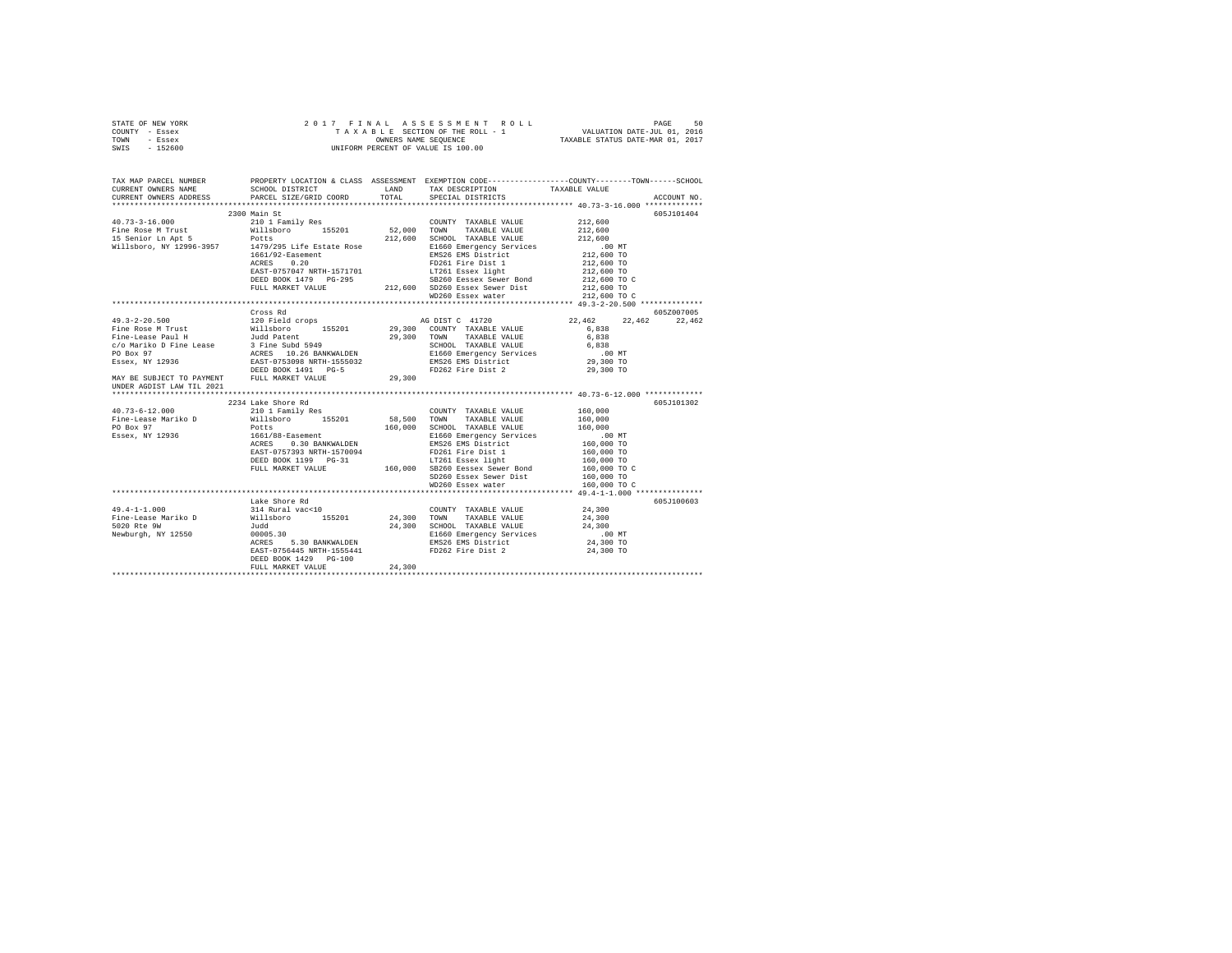| STATE OF NEW YORK | 2017 FINAL ASSESSMENT ROLL         | 50<br>PAGE                       |
|-------------------|------------------------------------|----------------------------------|
| COUNTY - Essex    | TAXABLE SECTION OF THE ROLL - 1    | VALUATION DATE-JUL 01, 2016      |
| TOWN<br>- Essex   | OWNERS NAME SEOUENCE               | TAXABLE STATUS DATE-MAR 01, 2017 |
| $-152600$<br>SWIS | UNIFORM PERCENT OF VALUE IS 100.00 |                                  |

| TAX MAP PARCEL NUMBER<br>CURRENT OWNERS NAME | PROPERTY LOCATION & CLASS ASSESSMENT EXEMPTION CODE---------------COUNTY-------TOWN------SCHOOL<br>SCHOOL DISTRICT                                                                                                                                                           | LAND                  | TAX DESCRIPTION                                                                                                                                                                                   | TAXABLE VALUE                                                                                   |             |
|----------------------------------------------|------------------------------------------------------------------------------------------------------------------------------------------------------------------------------------------------------------------------------------------------------------------------------|-----------------------|---------------------------------------------------------------------------------------------------------------------------------------------------------------------------------------------------|-------------------------------------------------------------------------------------------------|-------------|
| CURRENT OWNERS ADDRESS                       | PARCEL SIZE/GRID COORD                                                                                                                                                                                                                                                       | TOTAL                 | SPECIAL DISTRICTS                                                                                                                                                                                 |                                                                                                 | ACCOUNT NO. |
|                                              | 2300 Main St                                                                                                                                                                                                                                                                 |                       |                                                                                                                                                                                                   |                                                                                                 | 605J101404  |
|                                              | 40.73-3-16.000<br>Fine Rose M Trust 210 1 Family Res COUNTY TAXABLE VALUE 212,600<br>Fine Rose M Trust Politishoro 155201 52,000 TONN TAXABLE VALUE 212,600<br>15 Senior Ln Apt 5 Potts 212,600 SCHOOL TAXABLE VALUE 212,600<br>1479/2<br>$1661/92 -$ Easement<br>ACRES 0.20 |                       | EMS26 EMS District<br>FD261 Fire Dist 1                                                                                                                                                           | .00 MT<br>212,600 TO<br>212,600 TO                                                              |             |
|                                              | EAST-0757047 NRTH-1571701<br>DEED BOOK 1479 PG-295 SB260 Eessex Sewer Bond<br>FULL MARKET VALUE 212,600 SD260 Essex Sewer Dist                                                                                                                                               |                       | LT261 Essex light<br>SB260 Eessex Sewer Bond<br>WD260 Essex water                                                                                                                                 | 212,600 TO<br>212,600 TO C<br>212,600 TO<br>212,600 TO C                                        |             |
|                                              | Cross Rd                                                                                                                                                                                                                                                                     |                       |                                                                                                                                                                                                   |                                                                                                 | 6052007005  |
| UNDER AGDIST LAW TIL 2021                    |                                                                                                                                                                                                                                                                              |                       | SCHOOL TAXABLE VALUE<br>E1660 Emergency Services<br>EMS26 EMS District                                                                                                                            | 22,462 22,462 22,462<br>6,838<br>6.838<br>6,838<br>$.00$ MT<br>00 MT.<br>29,300 TO<br>29,300 TO |             |
|                                              |                                                                                                                                                                                                                                                                              |                       |                                                                                                                                                                                                   |                                                                                                 |             |
| $40.73 - 6 - 12.000$<br>Essex, NY 12936      | 2234 Lake Shore Rd<br>210 1 Family Res<br>1661/88-Easement<br>ACRES 0.30 BANKWALDEN<br>EAST-0757393 NRTH-1570094 – FD251 Fire Pist 1<br>DEED BOOK 1199 PG-31 – DEED FOR THE 11910 160,000 TO<br>FULL MARKET VALUE – 160,000 1000 SB260 Eessex Sewer Bond 160,000 TO C        |                       | COUNTY TAXABLE VALUE<br>TOWN<br>TAXABLE VALUE<br>160,000 SCHOOL TAXABLE VALUE<br>E1660 Emergency Services .00 MT<br>EMS26 EMS District  160,000 TO<br>SD260 Essex Sewer Dist<br>WD260 Essex water | 160,000<br>160,000<br>160,000<br>160,000 TO<br>160,000 TO C                                     | 605J101302  |
|                                              | Lake Shore Rd                                                                                                                                                                                                                                                                |                       |                                                                                                                                                                                                   |                                                                                                 | 605J100603  |
|                                              | EAST-0756445 NRTH-1555441<br>DEED BOOK 1429 PG-100<br>FULL MARKET VALUE                                                                                                                                                                                                      | 24,300 TOWN<br>24,300 | COUNTY TAXABLE VALUE<br>TAXABLE VALUE<br>24,300 SCHOOL TAXABLE VALUE<br>E1660 Emergency Services<br>EMS26 EMS District<br>FD262 Fire Dist 2                                                       | 24,300<br>24,300<br>24,300<br>.00 MT<br>24,300 TO<br>24,300 TO                                  |             |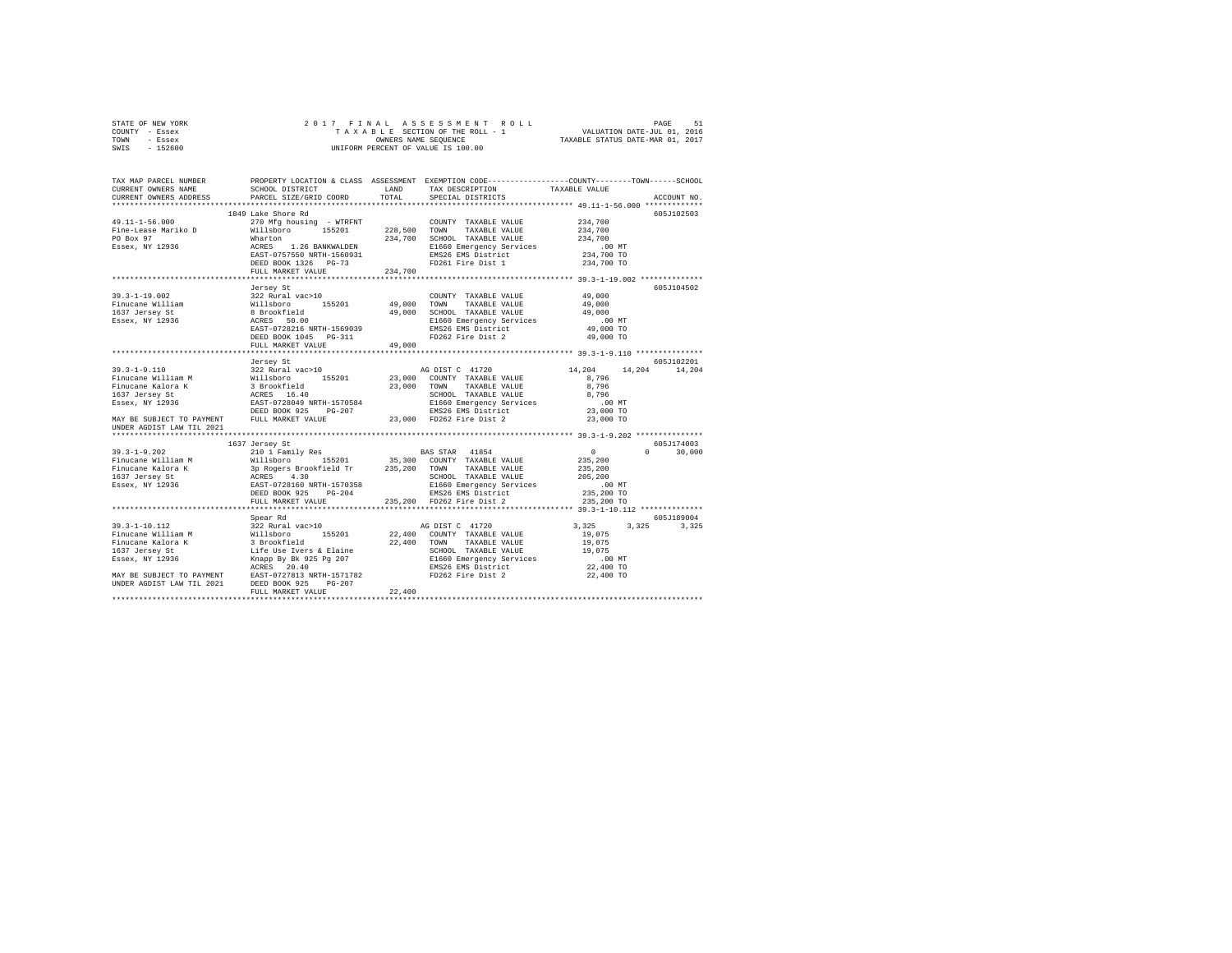|      | STATE OF NEW YORK |  | 2017 FINAL ASSESSMENT ROLL         |                                  | PAGE                        | 51 |
|------|-------------------|--|------------------------------------|----------------------------------|-----------------------------|----|
|      | COUNTY - Essex    |  | TAXABLE SECTION OF THE ROLL - 1    |                                  | VALUATION DATE-JUL 01, 2016 |    |
| TOWN | - Essex           |  | OWNERS NAME SEOUENCE               | TAXABLE STATUS DATE-MAR 01, 2017 |                             |    |
| SWIS | - 152600          |  | UNIFORM PERCENT OF VALUE IS 100.00 |                                  |                             |    |

| TAX MAP PARCEL NUMBER<br>CURRENT OWNERS NAME<br>CURRENT OWNERS ADDRESS                                                                                                                                                                                                    | SCHOOL DISTRICT<br>PARCEL SIZE/GRID COORD                                  | LAND<br>TOTAL | PROPERTY LOCATION & CLASS ASSESSMENT EXEMPTION CODE----------------COUNTY-------TOWN------SCHOOL<br>TAX DESCRIPTION<br>SPECIAL DISTRICTS | TAXABLE VALUE                               | ACCOUNT NO. |
|---------------------------------------------------------------------------------------------------------------------------------------------------------------------------------------------------------------------------------------------------------------------------|----------------------------------------------------------------------------|---------------|------------------------------------------------------------------------------------------------------------------------------------------|---------------------------------------------|-------------|
|                                                                                                                                                                                                                                                                           |                                                                            |               |                                                                                                                                          |                                             |             |
|                                                                                                                                                                                                                                                                           | 1849 Lake Shore Rd                                                         |               |                                                                                                                                          |                                             | 605-7102503 |
| $49.11 - 1 - 56.000$                                                                                                                                                                                                                                                      | 270 Mfg housing - WTRFNT                                                   |               | COUNTY TAXABLE VALUE                                                                                                                     | 234,700                                     |             |
| Fine-Lease Mariko D                                                                                                                                                                                                                                                       | Willsboro 155201                                                           | 228,500 TOWN  | TAXABLE VALUE                                                                                                                            | 234,700                                     |             |
| PO Box 97                                                                                                                                                                                                                                                                 | Wharton                                                                    | 234,700       | SCHOOL TAXABLE VALUE                                                                                                                     | 234,700                                     |             |
| Essex, NY 12936                                                                                                                                                                                                                                                           | n<br>ACRES 1.26 BANKWALDEN<br>EAST-0757550 NRTH-1560931<br>---- 1226 PG-73 |               | E1660 Emergency Services                                                                                                                 | .00 MT                                      |             |
|                                                                                                                                                                                                                                                                           |                                                                            |               | EMS26 EMS District                                                                                                                       | 234,700 TO                                  |             |
|                                                                                                                                                                                                                                                                           |                                                                            |               | FD261 Fire Dist 1                                                                                                                        | 234,700 TO                                  |             |
|                                                                                                                                                                                                                                                                           | FULL MARKET VALUE                                                          | 234,700       |                                                                                                                                          |                                             |             |
|                                                                                                                                                                                                                                                                           | **************************                                                 |               |                                                                                                                                          |                                             |             |
|                                                                                                                                                                                                                                                                           | Jersey St                                                                  |               |                                                                                                                                          |                                             | 605J104502  |
|                                                                                                                                                                                                                                                                           |                                                                            |               | COUNTY TAXABLE VALUE                                                                                                                     | 49,000                                      |             |
|                                                                                                                                                                                                                                                                           |                                                                            |               | TAXABLE VALUE<br>TOWN                                                                                                                    | 49,000                                      |             |
|                                                                                                                                                                                                                                                                           |                                                                            |               | SCHOOL TAXABLE VALUE<br>E1660 Emergency Services                                                                                         | 49,000                                      |             |
|                                                                                                                                                                                                                                                                           |                                                                            |               |                                                                                                                                          | $.00$ MT                                    |             |
|                                                                                                                                                                                                                                                                           |                                                                            |               | EMS26 EMS District                                                                                                                       | 49,000 TO                                   |             |
|                                                                                                                                                                                                                                                                           | DEED BOOK 1045 PG-311                                                      |               | FD262 Fire Dist 2                                                                                                                        | 49,000 TO                                   |             |
|                                                                                                                                                                                                                                                                           | FULL MARKET VALUE                                                          | 49,000        |                                                                                                                                          |                                             |             |
|                                                                                                                                                                                                                                                                           |                                                                            |               |                                                                                                                                          |                                             |             |
|                                                                                                                                                                                                                                                                           | Jersey St                                                                  |               |                                                                                                                                          |                                             | 605J102201  |
|                                                                                                                                                                                                                                                                           |                                                                            |               | AG DIST C 41720                                                                                                                          | 14,204<br>14,204                            | 14,204      |
|                                                                                                                                                                                                                                                                           |                                                                            |               | 23,000 COUNTY TAXABLE VALUE                                                                                                              | 8,796                                       |             |
|                                                                                                                                                                                                                                                                           |                                                                            | 23,000 TOWN   | TAXABLE VALUE                                                                                                                            | 8,796                                       |             |
|                                                                                                                                                                                                                                                                           |                                                                            |               | SCHOOL TAXABLE VALUE                                                                                                                     | 8.796                                       |             |
|                                                                                                                                                                                                                                                                           |                                                                            |               |                                                                                                                                          | .00 MT                                      |             |
|                                                                                                                                                                                                                                                                           |                                                                            |               | E1660 Emergency Services<br>EMS26 EMS District                                                                                           | 23,000 TO                                   |             |
| 39.3-1-9.110<br>Finucane William M Millaboro 155201<br>Finucane Kalora K Millaboro 155201<br>1637 Jersey St<br>267 Jersey St<br>26281 MAY BE SUBJECT TO PAYMENT DEED BOOK 925<br>NAY BE SUBJECT TO PAYMENT DEED BOOK 925 PG-207<br>NAY BE SU<br>UNDER AGDIST LAW TIL 2021 |                                                                            |               | 23,000 FD262 Fire Dist 2                                                                                                                 | 23,000 TO                                   |             |
|                                                                                                                                                                                                                                                                           |                                                                            |               |                                                                                                                                          |                                             |             |
|                                                                                                                                                                                                                                                                           | 1637 Jersey St                                                             |               |                                                                                                                                          |                                             | 605J174003  |
|                                                                                                                                                                                                                                                                           |                                                                            |               |                                                                                                                                          | $\Omega$                                    | 30,000      |
|                                                                                                                                                                                                                                                                           |                                                                            |               |                                                                                                                                          | $\begin{array}{c} 0 \\ 235,200 \end{array}$ |             |
|                                                                                                                                                                                                                                                                           |                                                                            |               |                                                                                                                                          | 235,200                                     |             |
|                                                                                                                                                                                                                                                                           |                                                                            |               |                                                                                                                                          | 205,200                                     |             |
|                                                                                                                                                                                                                                                                           |                                                                            |               | SCHOOL TAXABLE VALUE<br>E1660 Emergency Services<br>EMS26 EMS District                                                                   |                                             |             |
|                                                                                                                                                                                                                                                                           |                                                                            |               |                                                                                                                                          | .00 MT.<br>235,200 TO                       |             |
|                                                                                                                                                                                                                                                                           | FULL MARKET VALUE                                                          |               | 235,200 FD262 Fire Dist 2                                                                                                                | 235,200 TO                                  |             |
|                                                                                                                                                                                                                                                                           |                                                                            |               |                                                                                                                                          |                                             |             |
|                                                                                                                                                                                                                                                                           | Spear Rd                                                                   |               |                                                                                                                                          |                                             | 605J189004  |
|                                                                                                                                                                                                                                                                           |                                                                            |               |                                                                                                                                          | 3.325<br>3,325                              | 3,325       |
|                                                                                                                                                                                                                                                                           |                                                                            |               |                                                                                                                                          | 19,075                                      |             |
|                                                                                                                                                                                                                                                                           |                                                                            |               |                                                                                                                                          | 19,075                                      |             |
|                                                                                                                                                                                                                                                                           |                                                                            |               |                                                                                                                                          | 19,075                                      |             |
|                                                                                                                                                                                                                                                                           |                                                                            |               |                                                                                                                                          | .00 MT                                      |             |
|                                                                                                                                                                                                                                                                           |                                                                            |               |                                                                                                                                          | 22,400 TO                                   |             |
| 39.3-1-10.112 $\frac{322 \text{ RWA}}{10000 \text{ N}}$<br>Finucane William M Willisoro 155201 22,400 CONNTY TAXABLE VALUE<br>Finucane Kalora K 31 Brookfield 22,400 CONNTY TAXABLE VALUE<br>1637 Jersey St Life Use Ivers & Elaine<br>1637 Mary BE S                     |                                                                            |               |                                                                                                                                          | 22,400 TO                                   |             |
|                                                                                                                                                                                                                                                                           |                                                                            |               |                                                                                                                                          |                                             |             |
|                                                                                                                                                                                                                                                                           | FULL MARKET VALUE                                                          | 22,400        |                                                                                                                                          |                                             |             |
|                                                                                                                                                                                                                                                                           |                                                                            |               |                                                                                                                                          |                                             |             |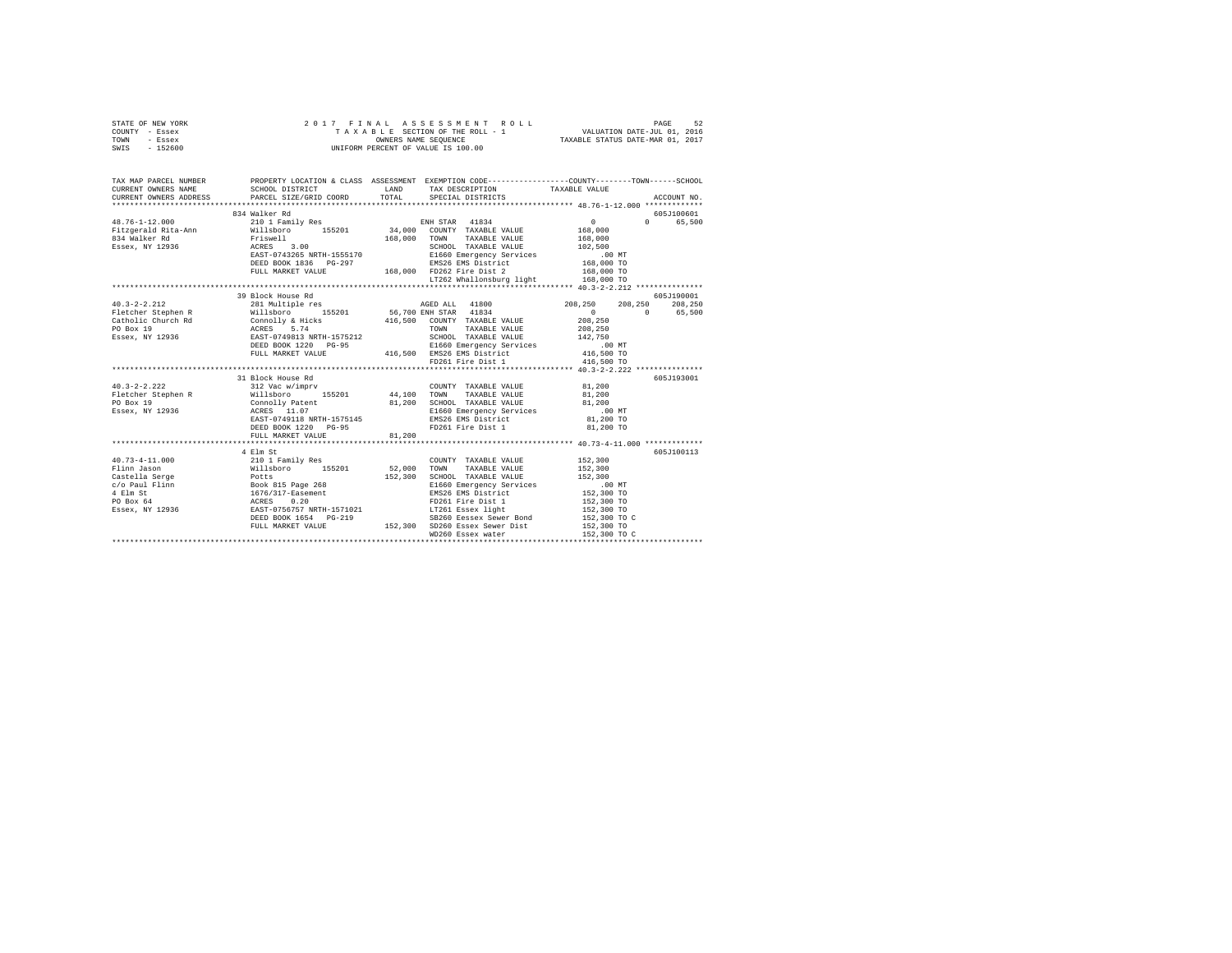| STATE OF NEW YORK<br>COUNTY - Essex<br>TOWN - Essex<br>SWIS - 152600                                                                                                                                                                                                                                                                                                                                               | 2017 FINAL ASSESSMENT I<br>TAXABLE SECTION OF THE ROLL -<br>UNIFORM PERCENT OF VALUE IS 100.00                                                                                                                                 |        | 7 FINAL ASSESSMENT ROLL TAXABLE 52 SESSMENT ROLL TAXABLE SECTION OF THE ROLL - 1<br>TAXABLE SECTION OF THE ROLL - 1 VALUATION DATE-JUL 01.016<br>OWNERS NAME SEQUENCE TAXABLE STATUS DATE-MAR 01, 2017<br>2017 FINAL ASSESSMENT ROLL |                            |             |
|--------------------------------------------------------------------------------------------------------------------------------------------------------------------------------------------------------------------------------------------------------------------------------------------------------------------------------------------------------------------------------------------------------------------|--------------------------------------------------------------------------------------------------------------------------------------------------------------------------------------------------------------------------------|--------|--------------------------------------------------------------------------------------------------------------------------------------------------------------------------------------------------------------------------------------|----------------------------|-------------|
| TAX MAP PARCEL NUMBER PROPERTY LOCATION & CLASS ASSESSMENT EXEMPTION CODE--------------COUNTY-------TOWN------SCHOOL<br>CURRENT OWNERS NAME                                                                                                                                                                                                                                                                        | SCHOOL DISTRICT TAND TAX DESCRIPTION                                                                                                                                                                                           |        |                                                                                                                                                                                                                                      | TAXABLE VALUE              |             |
| CURRENT OWNERS NAME<br>CURRENT OWNERS ADDRESS                                                                                                                                                                                                                                                                                                                                                                      | PARCEL SIZE/GRID COORD TOTAL SPECIAL DISTRICTS                                                                                                                                                                                 |        |                                                                                                                                                                                                                                      |                            | ACCOUNT NO. |
|                                                                                                                                                                                                                                                                                                                                                                                                                    |                                                                                                                                                                                                                                |        |                                                                                                                                                                                                                                      |                            |             |
|                                                                                                                                                                                                                                                                                                                                                                                                                    | 834 Walker Rd                                                                                                                                                                                                                  |        |                                                                                                                                                                                                                                      |                            | 605J100601  |
| 48.76-1-12.000                                                                                                                                                                                                                                                                                                                                                                                                     | 210 1 Family Res                                                                                                                                                                                                               |        | ENH STAR 41834                                                                                                                                                                                                                       | $\sim$ 0                   | 0 65,500    |
| ${\small \begin{tabular}{lcccccc} 48.7b & 14.7c & 10.00 & 10.00 & 10.00 & 10.00 & 10.00 & 10.00 & 10.00 & 10.00 & 10.00 & 10.00 & 10.00 & 10.00 & 10.00 & 10.00 & 10.00 & 10.00 & 10.00 & 10.00 & 10.00 & 10.00 & 10.00 & 10.00 & 10.00 & 10.00 & 10.00 & 10.00 & 10.00 & 10.0$                                                                                                                                    |                                                                                                                                                                                                                                |        |                                                                                                                                                                                                                                      | 168,000                    |             |
|                                                                                                                                                                                                                                                                                                                                                                                                                    |                                                                                                                                                                                                                                |        |                                                                                                                                                                                                                                      | 168,000                    |             |
|                                                                                                                                                                                                                                                                                                                                                                                                                    |                                                                                                                                                                                                                                |        | SCHOOL TAXABLE VALUE                                                                                                                                                                                                                 | 102,500                    |             |
|                                                                                                                                                                                                                                                                                                                                                                                                                    | DEED BOOK 1836 PG-297                                                                                                                                                                                                          |        |                                                                                                                                                                                                                                      | . 00 MT                    |             |
|                                                                                                                                                                                                                                                                                                                                                                                                                    | FULL MARKET VALUE                                                                                                                                                                                                              |        | EMS26 EMS District<br>168,000 FD262 Fire District<br>168,000 FD262 Fire Dist 2                                                                                                                                                       | 168,000 TO<br>168,000 TO   |             |
|                                                                                                                                                                                                                                                                                                                                                                                                                    |                                                                                                                                                                                                                                |        | LT262 Whallonsburg light 168,000 TO                                                                                                                                                                                                  |                            |             |
|                                                                                                                                                                                                                                                                                                                                                                                                                    |                                                                                                                                                                                                                                |        |                                                                                                                                                                                                                                      |                            |             |
|                                                                                                                                                                                                                                                                                                                                                                                                                    | 39 Block House Rd                                                                                                                                                                                                              |        |                                                                                                                                                                                                                                      |                            | 605J190001  |
|                                                                                                                                                                                                                                                                                                                                                                                                                    | 281 Multiple res 60 208,250 208,250 208,250 208,250 208,250 208,250 208,250 208,250 208,250 208,250 208,250 208,250 208,250 208,250 208,250 208,250 208,250 208,250 208,250 208,250 208,250 208,250 208,250 208,250 208,250 20 |        |                                                                                                                                                                                                                                      |                            |             |
|                                                                                                                                                                                                                                                                                                                                                                                                                    |                                                                                                                                                                                                                                |        |                                                                                                                                                                                                                                      | $0 \t 0 \t 65,500$         |             |
|                                                                                                                                                                                                                                                                                                                                                                                                                    |                                                                                                                                                                                                                                |        |                                                                                                                                                                                                                                      | 208,250                    |             |
|                                                                                                                                                                                                                                                                                                                                                                                                                    |                                                                                                                                                                                                                                |        |                                                                                                                                                                                                                                      | 208,250                    |             |
|                                                                                                                                                                                                                                                                                                                                                                                                                    |                                                                                                                                                                                                                                |        |                                                                                                                                                                                                                                      | 142,750                    |             |
|                                                                                                                                                                                                                                                                                                                                                                                                                    |                                                                                                                                                                                                                                |        |                                                                                                                                                                                                                                      | .00 MT                     |             |
|                                                                                                                                                                                                                                                                                                                                                                                                                    |                                                                                                                                                                                                                                |        |                                                                                                                                                                                                                                      | 416,500 TO                 |             |
|                                                                                                                                                                                                                                                                                                                                                                                                                    |                                                                                                                                                                                                                                |        |                                                                                                                                                                                                                                      | 416,500 TO                 |             |
|                                                                                                                                                                                                                                                                                                                                                                                                                    |                                                                                                                                                                                                                                |        |                                                                                                                                                                                                                                      |                            |             |
| $40.3 - 2 - 2.222$                                                                                                                                                                                                                                                                                                                                                                                                 | 31 Block House Rd<br>Bluck nuuse Ru<br>312 Vac w/imprv                                                                                                                                                                         |        | COUNTY TAXABLE VALUE 81,200                                                                                                                                                                                                          |                            | 605J193001  |
| Fletcher Stephen R                                                                                                                                                                                                                                                                                                                                                                                                 | Willsboro 155201 44,100 TOWN TAXABLE VALUE                                                                                                                                                                                     |        |                                                                                                                                                                                                                                      | 81,200                     |             |
| PO Box 19                                                                                                                                                                                                                                                                                                                                                                                                          | Connolly Patent                                                                                                                                                                                                                |        | 81,200 SCHOOL TAXABLE VALUE                                                                                                                                                                                                          | 81,200                     |             |
| Essex, NY 12936                                                                                                                                                                                                                                                                                                                                                                                                    |                                                                                                                                                                                                                                |        | E1660 Emergency Services                                                                                                                                                                                                             | $.00$ MT                   |             |
|                                                                                                                                                                                                                                                                                                                                                                                                                    | ACRES 11.07<br>EAST-0749118 NRTH-1575145                                                                                                                                                                                       |        | EMS26 EMS District                                                                                                                                                                                                                   | 81,200 TO                  |             |
|                                                                                                                                                                                                                                                                                                                                                                                                                    | DEED BOOK 1220 PG-95                                                                                                                                                                                                           |        | FD261 Fire Dist 1                                                                                                                                                                                                                    | 81,200 TO                  |             |
|                                                                                                                                                                                                                                                                                                                                                                                                                    | FULL MARKET VALUE                                                                                                                                                                                                              | 81,200 |                                                                                                                                                                                                                                      |                            |             |
|                                                                                                                                                                                                                                                                                                                                                                                                                    |                                                                                                                                                                                                                                |        |                                                                                                                                                                                                                                      |                            |             |
|                                                                                                                                                                                                                                                                                                                                                                                                                    |                                                                                                                                                                                                                                |        |                                                                                                                                                                                                                                      |                            | 605J100113  |
|                                                                                                                                                                                                                                                                                                                                                                                                                    |                                                                                                                                                                                                                                |        |                                                                                                                                                                                                                                      | 152,300                    |             |
|                                                                                                                                                                                                                                                                                                                                                                                                                    |                                                                                                                                                                                                                                |        |                                                                                                                                                                                                                                      | 152,300                    |             |
|                                                                                                                                                                                                                                                                                                                                                                                                                    |                                                                                                                                                                                                                                |        |                                                                                                                                                                                                                                      | 152,300                    |             |
| $\begin{tabular}{l c c c c} \multicolumn{4}{c}{\textbf{40.73--4--11.000}} & \multicolumn{4}{c}{\textbf{41.000}} & \multicolumn{4}{c}{\textbf{42.01}} & \multicolumn{4}{c}{\textbf{52.01}} & \multicolumn{4}{c}{\textbf{52.01}} & \multicolumn{4}{c}{\textbf{52.00}} & \multicolumn{4}{c}{\textbf{72.00}} & \multicolumn{4}{c}{\textbf{72.01}} & \multicolumn{4}{c}{\textbf{72.01}} & \multicolumn{4}{c}{\textbf{7$ |                                                                                                                                                                                                                                |        |                                                                                                                                                                                                                                      | .00 MT.<br>152,300 TO      |             |
|                                                                                                                                                                                                                                                                                                                                                                                                                    |                                                                                                                                                                                                                                |        |                                                                                                                                                                                                                                      |                            |             |
|                                                                                                                                                                                                                                                                                                                                                                                                                    |                                                                                                                                                                                                                                |        |                                                                                                                                                                                                                                      | 152,300 TO<br>152,300 TO   |             |
|                                                                                                                                                                                                                                                                                                                                                                                                                    |                                                                                                                                                                                                                                |        |                                                                                                                                                                                                                                      |                            |             |
|                                                                                                                                                                                                                                                                                                                                                                                                                    |                                                                                                                                                                                                                                |        | DEED BOOK 1654 PG-219<br>SB260 Eessex Sewer Bond<br>FULL MARKET VALUE 152,300 SD260 Essex Sewer Dist                                                                                                                                 | 152,300 TO C<br>152,300 TO |             |
|                                                                                                                                                                                                                                                                                                                                                                                                                    |                                                                                                                                                                                                                                |        | WD260 Essex water                                                                                                                                                                                                                    | 152,300 TO C               |             |
|                                                                                                                                                                                                                                                                                                                                                                                                                    |                                                                                                                                                                                                                                |        |                                                                                                                                                                                                                                      |                            |             |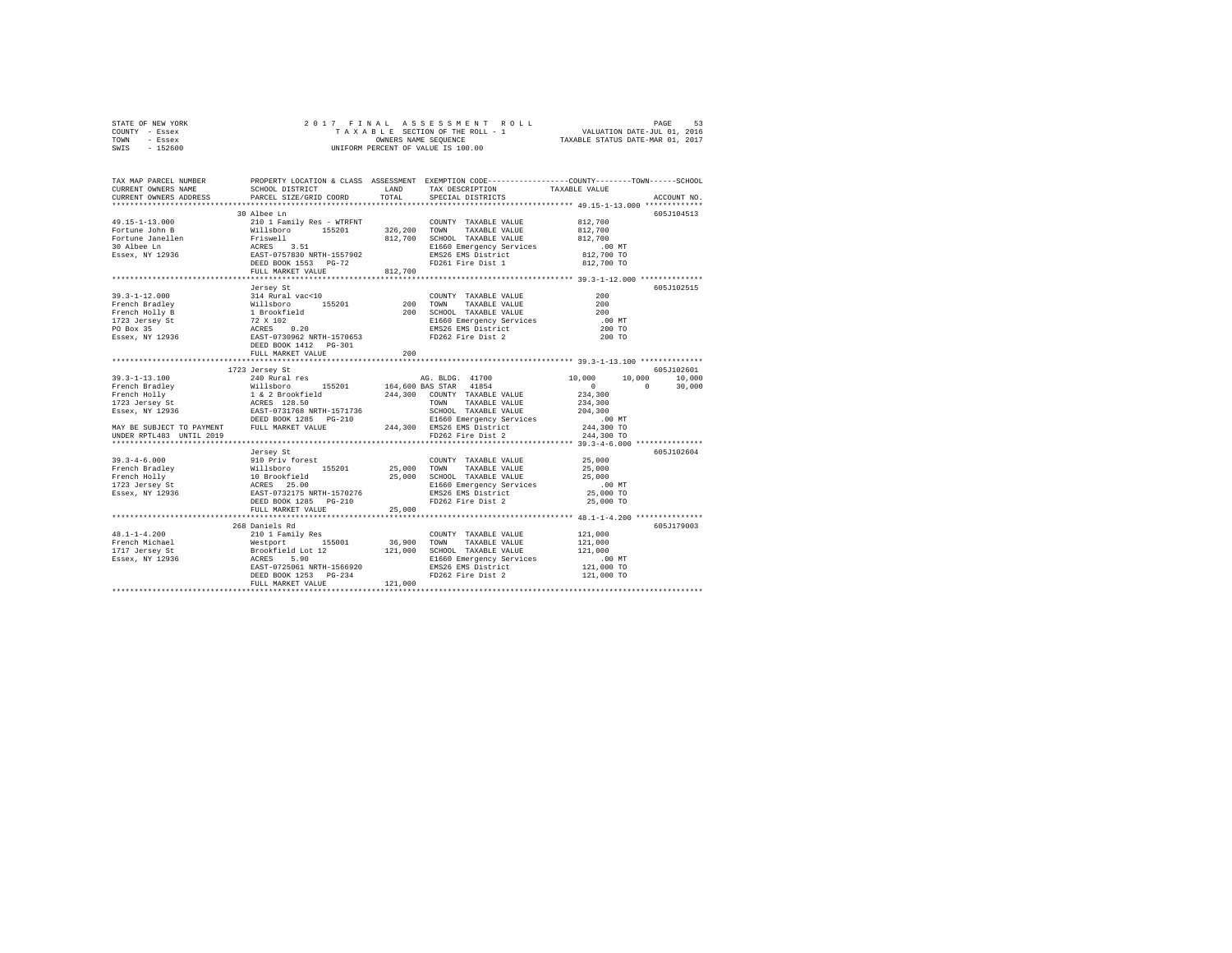|      | STATE OF NEW YORK |  |  | 2017 FINAL ASSESSMENT ROLL         | 53<br>PAGE                       |  |
|------|-------------------|--|--|------------------------------------|----------------------------------|--|
|      | COUNTY - Essex    |  |  | TAXABLE SECTION OF THE ROLL - 1    | VALUATION DATE-JUL 01, 2016      |  |
| TOWN | - Essex           |  |  | OWNERS NAME SEOUENCE               | TAXABLE STATUS DATE-MAR 01, 2017 |  |
| SWIS | - 152600          |  |  | UNIFORM PERCENT OF VALUE IS 100.00 |                                  |  |

| TAX MAP PARCEL NUMBER<br>CURRENT OWNERS NAME<br>CURRENT OWNERS ADDRESS                                                                                                                                                         | SCHOOL DISTRICT TAND TAX DESCRIPTION<br>PARCEL SIZE/GRID COORD | TOTAL  | PROPERTY LOCATION & CLASS ASSESSMENT EXEMPTION CODE----------------COUNTY-------TOWN-----SCHOOL<br>SPECIAL DISTRICTS | TAXABLE VALUE | ACCOUNT NO. |
|--------------------------------------------------------------------------------------------------------------------------------------------------------------------------------------------------------------------------------|----------------------------------------------------------------|--------|----------------------------------------------------------------------------------------------------------------------|---------------|-------------|
|                                                                                                                                                                                                                                |                                                                |        |                                                                                                                      |               |             |
|                                                                                                                                                                                                                                | 30 Albee Ln                                                    |        |                                                                                                                      |               | 605J104513  |
|                                                                                                                                                                                                                                |                                                                |        |                                                                                                                      |               |             |
|                                                                                                                                                                                                                                |                                                                |        |                                                                                                                      |               |             |
|                                                                                                                                                                                                                                |                                                                |        |                                                                                                                      |               |             |
|                                                                                                                                                                                                                                |                                                                |        |                                                                                                                      | .00 MT        |             |
|                                                                                                                                                                                                                                |                                                                |        |                                                                                                                      | 812,700 TO    |             |
|                                                                                                                                                                                                                                |                                                                |        |                                                                                                                      | 812,700 TO    |             |
|                                                                                                                                                                                                                                | FULL MARKET VALUE 812,700                                      |        |                                                                                                                      |               |             |
|                                                                                                                                                                                                                                |                                                                |        |                                                                                                                      |               |             |
|                                                                                                                                                                                                                                | Jersey St                                                      |        |                                                                                                                      |               | 605J102515  |
| $39.3 - 1 - 12.000$                                                                                                                                                                                                            | 314 Rural vac<10                                               |        | COUNTY TAXABLE VALUE                                                                                                 | 200           |             |
|                                                                                                                                                                                                                                |                                                                |        | TAXABLE VALUE<br>TAXABLE VALUE<br>TIVIDIR VALUE                                                                      | 200           |             |
|                                                                                                                                                                                                                                |                                                                |        | SCHOOL TAXABLE VALUE                                                                                                 | 200           |             |
|                                                                                                                                                                                                                                |                                                                |        | E1660 Emergency Services<br>EMS26 EMS District                                                                       | $.00$ MT      |             |
|                                                                                                                                                                                                                                |                                                                |        |                                                                                                                      | 200 TO        |             |
|                                                                                                                                                                                                                                |                                                                |        | FD262 Fire Dist 2                                                                                                    | 200 TO        |             |
|                                                                                                                                                                                                                                |                                                                |        |                                                                                                                      |               |             |
|                                                                                                                                                                                                                                | FULL MARKET VALUE                                              | 200    |                                                                                                                      |               |             |
|                                                                                                                                                                                                                                | 1723 Jersey St                                                 |        |                                                                                                                      |               | 605J102601  |
|                                                                                                                                                                                                                                |                                                                |        | AG. BLDG. 41700 10,000 10,000 10,000                                                                                 |               |             |
|                                                                                                                                                                                                                                |                                                                |        |                                                                                                                      | $\sim$ 0      | 30,000      |
|                                                                                                                                                                                                                                |                                                                |        |                                                                                                                      |               |             |
|                                                                                                                                                                                                                                |                                                                |        |                                                                                                                      |               |             |
|                                                                                                                                                                                                                                |                                                                |        |                                                                                                                      |               |             |
|                                                                                                                                                                                                                                |                                                                |        |                                                                                                                      |               |             |
|                                                                                                                                                                                                                                |                                                                |        |                                                                                                                      |               |             |
|                                                                                                                                                                                                                                |                                                                |        |                                                                                                                      |               |             |
|                                                                                                                                                                                                                                |                                                                |        |                                                                                                                      |               |             |
|                                                                                                                                                                                                                                |                                                                |        |                                                                                                                      |               | 605J102604  |
|                                                                                                                                                                                                                                |                                                                |        |                                                                                                                      |               |             |
|                                                                                                                                                                                                                                |                                                                |        |                                                                                                                      |               |             |
|                                                                                                                                                                                                                                |                                                                |        | 25,000 SCHOOL TAXABLE VALUE 25,000 25,000<br>E1660 Emergency Services 100 MT<br>EMS26 EMS District 25,000 TO         |               |             |
|                                                                                                                                                                                                                                |                                                                |        |                                                                                                                      |               |             |
|                                                                                                                                                                                                                                | DEED BOOK 1285 PG-210                                          |        | FD262 Fire Dist 2                                                                                                    |               |             |
|                                                                                                                                                                                                                                | FULL MARKET VALUE                                              | 25,000 |                                                                                                                      | 25,000 TO     |             |
|                                                                                                                                                                                                                                |                                                                |        |                                                                                                                      |               |             |
|                                                                                                                                                                                                                                | 268 Daniels Rd                                                 |        |                                                                                                                      |               | 605J179003  |
|                                                                                                                                                                                                                                |                                                                |        |                                                                                                                      | 121,000       |             |
|                                                                                                                                                                                                                                |                                                                |        |                                                                                                                      | 121,000       |             |
|                                                                                                                                                                                                                                |                                                                |        |                                                                                                                      | 121,000       |             |
|                                                                                                                                                                                                                                |                                                                |        |                                                                                                                      | .00 MT        |             |
|                                                                                                                                                                                                                                |                                                                |        |                                                                                                                      | 121,000 TO    |             |
|                                                                                                                                                                                                                                |                                                                |        |                                                                                                                      | 121,000 TO    |             |
| $17.1-1-4.200$ $17.1-1-4.200$ $17.1-1.200$ $17.1-1.200$ $17.1-1.200$ $17.1-1.200$ $17.1-1.200$ $17.1-1.200$ $17.1-1.200$ $17.1-1.200$ $17.1-1.200$ $17.1-1.200$ $17.1-1.200$ $17.1-1.200$ $17.1-1.200$ $17.1-1.200$ $17.1-1.2$ |                                                                |        |                                                                                                                      |               |             |
|                                                                                                                                                                                                                                |                                                                |        |                                                                                                                      |               |             |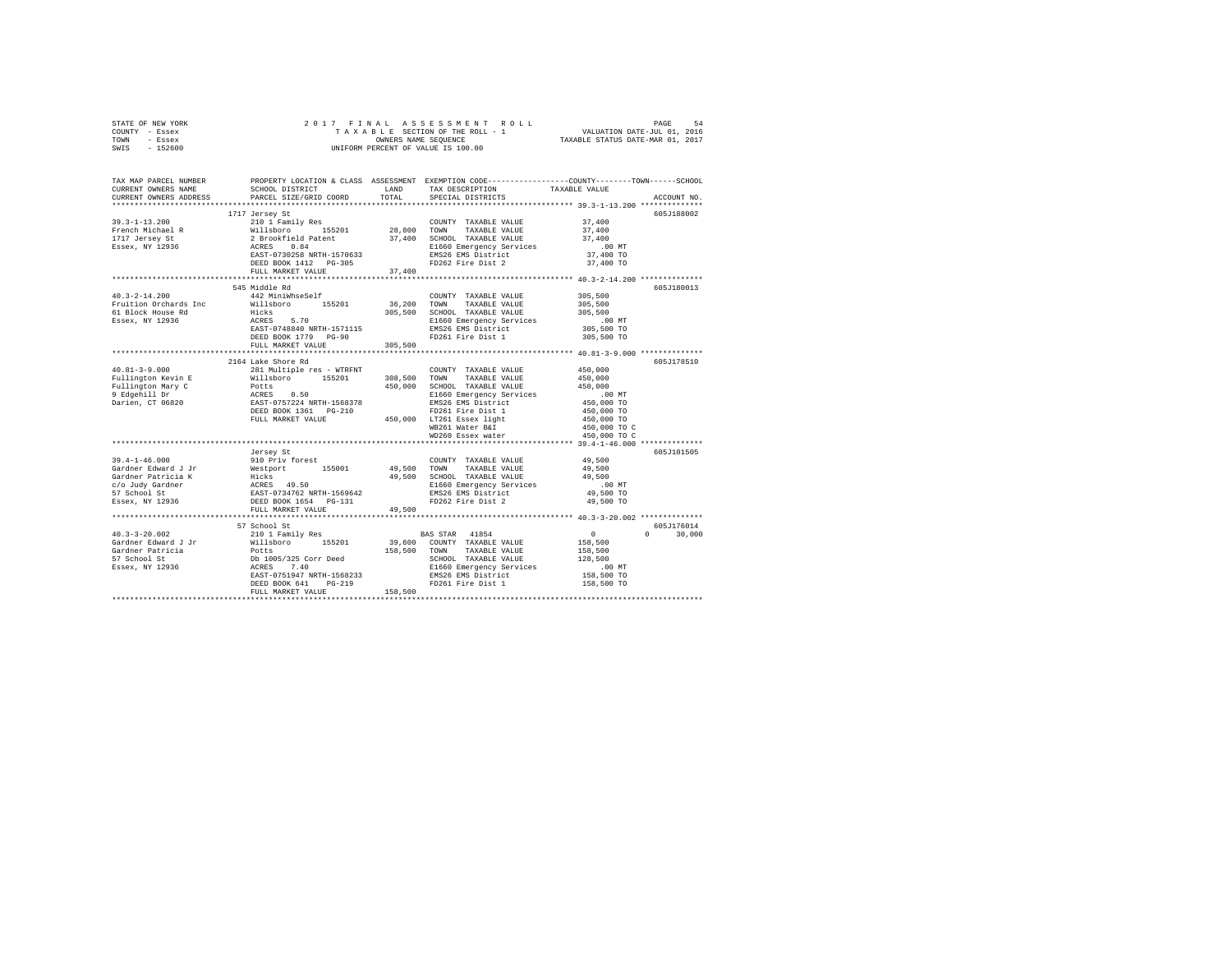|      | STATE OF NEW YORK |  |  | 2017 FINAL ASSESSMENT ROLL         | PAGE                             | 54 |
|------|-------------------|--|--|------------------------------------|----------------------------------|----|
|      | COUNTY - Essex    |  |  | TAXABLE SECTION OF THE ROLL - 1    | VALUATION DATE-JUL 01, 2016      |    |
| TOWN | - Essex           |  |  | OWNERS NAME SEOUENCE               | TAXABLE STATUS DATE-MAR 01, 2017 |    |
| SWIS | - 152600          |  |  | UNIFORM PERCENT OF VALUE IS 100.00 |                                  |    |

| PARCEL SIZE/GRID COORD<br>605J188002<br>1717 Jersey St<br>COUNTY TAXABLE VALUE 37,400<br>37,400<br>37,400<br>00 MT.<br>37,400 TO<br>37,400 TO<br>FULL MARKET VALUE<br>37,400<br>545 Middle Rd<br>605J180013<br>$40.3 - 2 - 14.200$<br>305,500<br>305,500<br>442 MiniWhseSelf<br>COUNTY TAXABLE VALUE<br>Willsboro 155201 36,200 TOWN<br>Fruition Orchards Inc<br>TAXABLE VALUE<br>Hicks 5.70 305,500 SCHOOL TAXABLE VALUE<br>ACRES 5.70 2016 E1660 Emergency Services<br>EAST-0748840 NRTH-1571115 2016 EMS26 EMS District<br>DEED BOOK 1779 PG-90 PD261 Fire Dist 1<br>61 Block House Rd<br>305,500<br>.00 MT<br>305,500 TO<br>Essex, NY 12936<br>305,500 TO<br>305,500<br>FULL MARKET VALUE<br>**************** 40.81-3-9.000 ************<br>****************************<br>********************<br>2164 Lake Shore Rd<br>605J178510<br>450,000<br>COUNTY TAXABLE VALUE<br>FD261 Fire Dist 1<br>450,000 TO<br>450,000 TO<br>WB261 Water B&I<br>450,000 TO C<br>450,000 TO C<br>WD260 Essex water<br>605J101505<br>605J176014<br>$\sim$ 0.000 $\sim$ 0.000 $\sim$ 0.000 $\sim$<br>$0 \t 30,000$<br>158,500<br>158,500<br>128,500<br>.00MT<br>158,500 TO<br>FD261 Fire Dist 1 158,500 TO | TAX MAP PARCEL NUMBER<br>CURRENT OWNERS NAME | SCHOOL DISTRICT |       | PROPERTY LOCATION & CLASS ASSESSMENT EXEMPTION CODE---------------COUNTY-------TOWN------SCHOOL<br>LAND TAX DESCRIPTION | TAXABLE VALUE |             |
|--------------------------------------------------------------------------------------------------------------------------------------------------------------------------------------------------------------------------------------------------------------------------------------------------------------------------------------------------------------------------------------------------------------------------------------------------------------------------------------------------------------------------------------------------------------------------------------------------------------------------------------------------------------------------------------------------------------------------------------------------------------------------------------------------------------------------------------------------------------------------------------------------------------------------------------------------------------------------------------------------------------------------------------------------------------------------------------------------------------------------------------------------------------------------------------------|----------------------------------------------|-----------------|-------|-------------------------------------------------------------------------------------------------------------------------|---------------|-------------|
|                                                                                                                                                                                                                                                                                                                                                                                                                                                                                                                                                                                                                                                                                                                                                                                                                                                                                                                                                                                                                                                                                                                                                                                            | CURRENT OWNERS ADDRESS                       |                 | TOTAL | SPECIAL DISTRICTS                                                                                                       |               | ACCOUNT NO. |
|                                                                                                                                                                                                                                                                                                                                                                                                                                                                                                                                                                                                                                                                                                                                                                                                                                                                                                                                                                                                                                                                                                                                                                                            |                                              |                 |       |                                                                                                                         |               |             |
|                                                                                                                                                                                                                                                                                                                                                                                                                                                                                                                                                                                                                                                                                                                                                                                                                                                                                                                                                                                                                                                                                                                                                                                            |                                              |                 |       |                                                                                                                         |               |             |
|                                                                                                                                                                                                                                                                                                                                                                                                                                                                                                                                                                                                                                                                                                                                                                                                                                                                                                                                                                                                                                                                                                                                                                                            |                                              |                 |       |                                                                                                                         |               |             |
|                                                                                                                                                                                                                                                                                                                                                                                                                                                                                                                                                                                                                                                                                                                                                                                                                                                                                                                                                                                                                                                                                                                                                                                            |                                              |                 |       |                                                                                                                         |               |             |
|                                                                                                                                                                                                                                                                                                                                                                                                                                                                                                                                                                                                                                                                                                                                                                                                                                                                                                                                                                                                                                                                                                                                                                                            |                                              |                 |       |                                                                                                                         |               |             |
|                                                                                                                                                                                                                                                                                                                                                                                                                                                                                                                                                                                                                                                                                                                                                                                                                                                                                                                                                                                                                                                                                                                                                                                            |                                              |                 |       |                                                                                                                         |               |             |
|                                                                                                                                                                                                                                                                                                                                                                                                                                                                                                                                                                                                                                                                                                                                                                                                                                                                                                                                                                                                                                                                                                                                                                                            |                                              |                 |       |                                                                                                                         |               |             |
|                                                                                                                                                                                                                                                                                                                                                                                                                                                                                                                                                                                                                                                                                                                                                                                                                                                                                                                                                                                                                                                                                                                                                                                            |                                              |                 |       |                                                                                                                         |               |             |
|                                                                                                                                                                                                                                                                                                                                                                                                                                                                                                                                                                                                                                                                                                                                                                                                                                                                                                                                                                                                                                                                                                                                                                                            |                                              |                 |       |                                                                                                                         |               |             |
|                                                                                                                                                                                                                                                                                                                                                                                                                                                                                                                                                                                                                                                                                                                                                                                                                                                                                                                                                                                                                                                                                                                                                                                            |                                              |                 |       |                                                                                                                         |               |             |
|                                                                                                                                                                                                                                                                                                                                                                                                                                                                                                                                                                                                                                                                                                                                                                                                                                                                                                                                                                                                                                                                                                                                                                                            |                                              |                 |       |                                                                                                                         |               |             |
|                                                                                                                                                                                                                                                                                                                                                                                                                                                                                                                                                                                                                                                                                                                                                                                                                                                                                                                                                                                                                                                                                                                                                                                            |                                              |                 |       |                                                                                                                         |               |             |
|                                                                                                                                                                                                                                                                                                                                                                                                                                                                                                                                                                                                                                                                                                                                                                                                                                                                                                                                                                                                                                                                                                                                                                                            |                                              |                 |       |                                                                                                                         |               |             |
|                                                                                                                                                                                                                                                                                                                                                                                                                                                                                                                                                                                                                                                                                                                                                                                                                                                                                                                                                                                                                                                                                                                                                                                            |                                              |                 |       |                                                                                                                         |               |             |
|                                                                                                                                                                                                                                                                                                                                                                                                                                                                                                                                                                                                                                                                                                                                                                                                                                                                                                                                                                                                                                                                                                                                                                                            |                                              |                 |       |                                                                                                                         |               |             |
|                                                                                                                                                                                                                                                                                                                                                                                                                                                                                                                                                                                                                                                                                                                                                                                                                                                                                                                                                                                                                                                                                                                                                                                            |                                              |                 |       |                                                                                                                         |               |             |
|                                                                                                                                                                                                                                                                                                                                                                                                                                                                                                                                                                                                                                                                                                                                                                                                                                                                                                                                                                                                                                                                                                                                                                                            |                                              |                 |       |                                                                                                                         |               |             |
|                                                                                                                                                                                                                                                                                                                                                                                                                                                                                                                                                                                                                                                                                                                                                                                                                                                                                                                                                                                                                                                                                                                                                                                            |                                              |                 |       |                                                                                                                         |               |             |
|                                                                                                                                                                                                                                                                                                                                                                                                                                                                                                                                                                                                                                                                                                                                                                                                                                                                                                                                                                                                                                                                                                                                                                                            |                                              |                 |       |                                                                                                                         |               |             |
|                                                                                                                                                                                                                                                                                                                                                                                                                                                                                                                                                                                                                                                                                                                                                                                                                                                                                                                                                                                                                                                                                                                                                                                            |                                              |                 |       |                                                                                                                         |               |             |
|                                                                                                                                                                                                                                                                                                                                                                                                                                                                                                                                                                                                                                                                                                                                                                                                                                                                                                                                                                                                                                                                                                                                                                                            |                                              |                 |       |                                                                                                                         |               |             |
|                                                                                                                                                                                                                                                                                                                                                                                                                                                                                                                                                                                                                                                                                                                                                                                                                                                                                                                                                                                                                                                                                                                                                                                            |                                              |                 |       |                                                                                                                         |               |             |
|                                                                                                                                                                                                                                                                                                                                                                                                                                                                                                                                                                                                                                                                                                                                                                                                                                                                                                                                                                                                                                                                                                                                                                                            |                                              |                 |       |                                                                                                                         |               |             |
|                                                                                                                                                                                                                                                                                                                                                                                                                                                                                                                                                                                                                                                                                                                                                                                                                                                                                                                                                                                                                                                                                                                                                                                            |                                              |                 |       |                                                                                                                         |               |             |
|                                                                                                                                                                                                                                                                                                                                                                                                                                                                                                                                                                                                                                                                                                                                                                                                                                                                                                                                                                                                                                                                                                                                                                                            |                                              |                 |       |                                                                                                                         |               |             |
|                                                                                                                                                                                                                                                                                                                                                                                                                                                                                                                                                                                                                                                                                                                                                                                                                                                                                                                                                                                                                                                                                                                                                                                            |                                              |                 |       |                                                                                                                         |               |             |
|                                                                                                                                                                                                                                                                                                                                                                                                                                                                                                                                                                                                                                                                                                                                                                                                                                                                                                                                                                                                                                                                                                                                                                                            |                                              |                 |       |                                                                                                                         |               |             |
|                                                                                                                                                                                                                                                                                                                                                                                                                                                                                                                                                                                                                                                                                                                                                                                                                                                                                                                                                                                                                                                                                                                                                                                            |                                              |                 |       |                                                                                                                         |               |             |
|                                                                                                                                                                                                                                                                                                                                                                                                                                                                                                                                                                                                                                                                                                                                                                                                                                                                                                                                                                                                                                                                                                                                                                                            |                                              |                 |       |                                                                                                                         |               |             |
|                                                                                                                                                                                                                                                                                                                                                                                                                                                                                                                                                                                                                                                                                                                                                                                                                                                                                                                                                                                                                                                                                                                                                                                            |                                              |                 |       |                                                                                                                         |               |             |
|                                                                                                                                                                                                                                                                                                                                                                                                                                                                                                                                                                                                                                                                                                                                                                                                                                                                                                                                                                                                                                                                                                                                                                                            |                                              |                 |       |                                                                                                                         |               |             |
|                                                                                                                                                                                                                                                                                                                                                                                                                                                                                                                                                                                                                                                                                                                                                                                                                                                                                                                                                                                                                                                                                                                                                                                            |                                              |                 |       |                                                                                                                         |               |             |
|                                                                                                                                                                                                                                                                                                                                                                                                                                                                                                                                                                                                                                                                                                                                                                                                                                                                                                                                                                                                                                                                                                                                                                                            |                                              |                 |       |                                                                                                                         |               |             |
|                                                                                                                                                                                                                                                                                                                                                                                                                                                                                                                                                                                                                                                                                                                                                                                                                                                                                                                                                                                                                                                                                                                                                                                            |                                              |                 |       |                                                                                                                         |               |             |
|                                                                                                                                                                                                                                                                                                                                                                                                                                                                                                                                                                                                                                                                                                                                                                                                                                                                                                                                                                                                                                                                                                                                                                                            |                                              |                 |       |                                                                                                                         |               |             |
|                                                                                                                                                                                                                                                                                                                                                                                                                                                                                                                                                                                                                                                                                                                                                                                                                                                                                                                                                                                                                                                                                                                                                                                            |                                              |                 |       |                                                                                                                         |               |             |
|                                                                                                                                                                                                                                                                                                                                                                                                                                                                                                                                                                                                                                                                                                                                                                                                                                                                                                                                                                                                                                                                                                                                                                                            |                                              |                 |       |                                                                                                                         |               |             |
|                                                                                                                                                                                                                                                                                                                                                                                                                                                                                                                                                                                                                                                                                                                                                                                                                                                                                                                                                                                                                                                                                                                                                                                            |                                              |                 |       |                                                                                                                         |               |             |
|                                                                                                                                                                                                                                                                                                                                                                                                                                                                                                                                                                                                                                                                                                                                                                                                                                                                                                                                                                                                                                                                                                                                                                                            |                                              |                 |       |                                                                                                                         |               |             |
|                                                                                                                                                                                                                                                                                                                                                                                                                                                                                                                                                                                                                                                                                                                                                                                                                                                                                                                                                                                                                                                                                                                                                                                            |                                              |                 |       |                                                                                                                         |               |             |
|                                                                                                                                                                                                                                                                                                                                                                                                                                                                                                                                                                                                                                                                                                                                                                                                                                                                                                                                                                                                                                                                                                                                                                                            |                                              |                 |       |                                                                                                                         |               |             |
|                                                                                                                                                                                                                                                                                                                                                                                                                                                                                                                                                                                                                                                                                                                                                                                                                                                                                                                                                                                                                                                                                                                                                                                            |                                              |                 |       |                                                                                                                         |               |             |
|                                                                                                                                                                                                                                                                                                                                                                                                                                                                                                                                                                                                                                                                                                                                                                                                                                                                                                                                                                                                                                                                                                                                                                                            |                                              |                 |       |                                                                                                                         |               |             |
|                                                                                                                                                                                                                                                                                                                                                                                                                                                                                                                                                                                                                                                                                                                                                                                                                                                                                                                                                                                                                                                                                                                                                                                            |                                              |                 |       |                                                                                                                         |               |             |
|                                                                                                                                                                                                                                                                                                                                                                                                                                                                                                                                                                                                                                                                                                                                                                                                                                                                                                                                                                                                                                                                                                                                                                                            |                                              |                 |       |                                                                                                                         |               |             |
|                                                                                                                                                                                                                                                                                                                                                                                                                                                                                                                                                                                                                                                                                                                                                                                                                                                                                                                                                                                                                                                                                                                                                                                            |                                              |                 |       |                                                                                                                         |               |             |
|                                                                                                                                                                                                                                                                                                                                                                                                                                                                                                                                                                                                                                                                                                                                                                                                                                                                                                                                                                                                                                                                                                                                                                                            |                                              |                 |       |                                                                                                                         |               |             |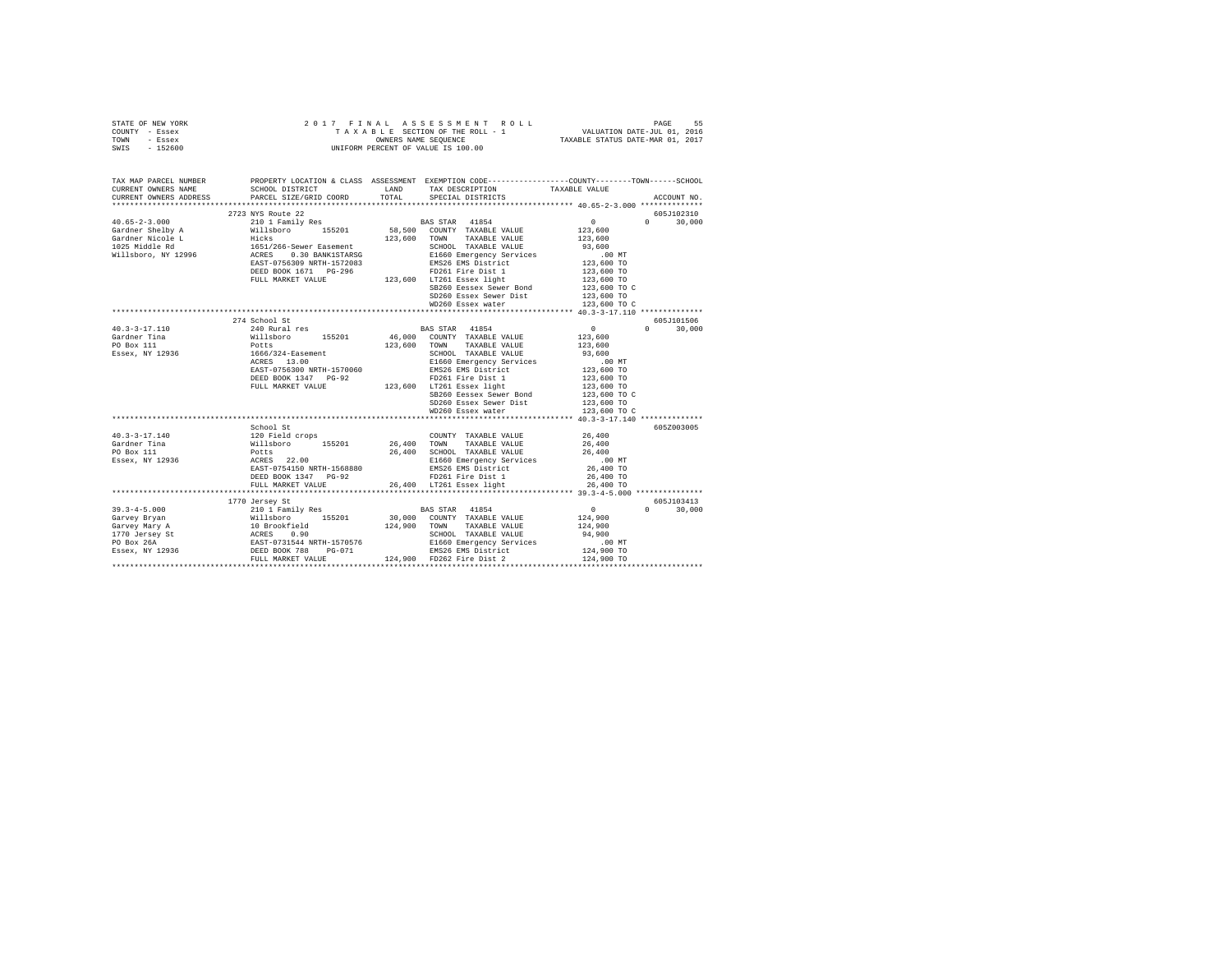| STATE OF NEW YORK<br>COUNTY - Essex<br>TOWN - Essex<br>SWIS - 152600                                                                                                                                                                                                                                                                                 |                        |                                                                                                 |               |
|------------------------------------------------------------------------------------------------------------------------------------------------------------------------------------------------------------------------------------------------------------------------------------------------------------------------------------------------------|------------------------|-------------------------------------------------------------------------------------------------|---------------|
| TAX MAP PARCEL NUMBER<br>CURRENT OWNERS NAME<br>CURRENT OWNERS ADDRESS                                                                                                                                                                                                                                                                               | PARCEL SIZE/GRID COORD | PROPERTY LOCATION & CLASS ASSESSMENT EXEMPTION CODE----------------COUNTY-------TOWN-----SCHOOL | ACCOUNT NO.   |
|                                                                                                                                                                                                                                                                                                                                                      |                        |                                                                                                 |               |
|                                                                                                                                                                                                                                                                                                                                                      |                        |                                                                                                 | 605J102310    |
|                                                                                                                                                                                                                                                                                                                                                      |                        |                                                                                                 | $0 \t 30.000$ |
|                                                                                                                                                                                                                                                                                                                                                      |                        |                                                                                                 |               |
|                                                                                                                                                                                                                                                                                                                                                      |                        |                                                                                                 |               |
|                                                                                                                                                                                                                                                                                                                                                      |                        |                                                                                                 |               |
|                                                                                                                                                                                                                                                                                                                                                      |                        |                                                                                                 |               |
|                                                                                                                                                                                                                                                                                                                                                      |                        |                                                                                                 |               |
|                                                                                                                                                                                                                                                                                                                                                      |                        |                                                                                                 |               |
| 40.65-2-3.000<br>40.65-2-3.000<br>40.65-2-3.000<br>Gardner Shelly A Willsboro 155201<br>Gardner Shelly A Willsboro 155201<br>Gardner Shelly A Willsboro 155201<br>123,600<br>Gardner Micole L<br>1025 Middle Rd 1651/266-Sewer Easement<br>Wills                                                                                                     |                        |                                                                                                 |               |
|                                                                                                                                                                                                                                                                                                                                                      |                        |                                                                                                 |               |
|                                                                                                                                                                                                                                                                                                                                                      |                        | SD260 Essex Sewer Dist 123,600 TO<br>WD260 Essex water 123,600 TO C                             |               |
|                                                                                                                                                                                                                                                                                                                                                      |                        |                                                                                                 |               |
|                                                                                                                                                                                                                                                                                                                                                      |                        |                                                                                                 |               |
|                                                                                                                                                                                                                                                                                                                                                      | 274 School St          |                                                                                                 | 605J101506    |
|                                                                                                                                                                                                                                                                                                                                                      |                        |                                                                                                 | $0 \t 30.000$ |
|                                                                                                                                                                                                                                                                                                                                                      |                        |                                                                                                 |               |
|                                                                                                                                                                                                                                                                                                                                                      |                        |                                                                                                 |               |
|                                                                                                                                                                                                                                                                                                                                                      |                        |                                                                                                 |               |
|                                                                                                                                                                                                                                                                                                                                                      |                        |                                                                                                 |               |
|                                                                                                                                                                                                                                                                                                                                                      |                        |                                                                                                 |               |
|                                                                                                                                                                                                                                                                                                                                                      |                        |                                                                                                 |               |
|                                                                                                                                                                                                                                                                                                                                                      |                        |                                                                                                 |               |
|                                                                                                                                                                                                                                                                                                                                                      |                        |                                                                                                 |               |
|                                                                                                                                                                                                                                                                                                                                                      |                        |                                                                                                 |               |
|                                                                                                                                                                                                                                                                                                                                                      |                        |                                                                                                 |               |
|                                                                                                                                                                                                                                                                                                                                                      | School St              |                                                                                                 | 605Z003005    |
|                                                                                                                                                                                                                                                                                                                                                      |                        |                                                                                                 |               |
|                                                                                                                                                                                                                                                                                                                                                      |                        |                                                                                                 |               |
|                                                                                                                                                                                                                                                                                                                                                      |                        |                                                                                                 |               |
|                                                                                                                                                                                                                                                                                                                                                      |                        |                                                                                                 |               |
|                                                                                                                                                                                                                                                                                                                                                      |                        |                                                                                                 |               |
|                                                                                                                                                                                                                                                                                                                                                      |                        |                                                                                                 |               |
|                                                                                                                                                                                                                                                                                                                                                      |                        |                                                                                                 |               |
|                                                                                                                                                                                                                                                                                                                                                      |                        |                                                                                                 |               |
|                                                                                                                                                                                                                                                                                                                                                      | 1770 Jersey St         |                                                                                                 | 605J103413    |
|                                                                                                                                                                                                                                                                                                                                                      |                        |                                                                                                 | $0 \t 30.000$ |
|                                                                                                                                                                                                                                                                                                                                                      |                        |                                                                                                 |               |
|                                                                                                                                                                                                                                                                                                                                                      |                        |                                                                                                 |               |
|                                                                                                                                                                                                                                                                                                                                                      |                        |                                                                                                 |               |
|                                                                                                                                                                                                                                                                                                                                                      |                        |                                                                                                 |               |
|                                                                                                                                                                                                                                                                                                                                                      |                        |                                                                                                 |               |
| $\begin{tabular}{cccccc} 39.3-4-5.000 & 1770~\text{Jereey X} & 1815~\text{GHz} & 0 & 100~\text{TeV} & 100~\text{GHz} & 0 & 100~\text{GeV} \\[.05in] \text{Gary} & 10 & 10~\text{Family Res} & 10~\text{H} & 10~\text{H} & 10~\text{H} & 10~\text{H} & 10~\text{MHz} \\[.05in] \text{Gary} & 10~\text{Bros/field} & 10~\text{H} & 10~\text{H} & 10~\$ |                        |                                                                                                 |               |
|                                                                                                                                                                                                                                                                                                                                                      |                        |                                                                                                 |               |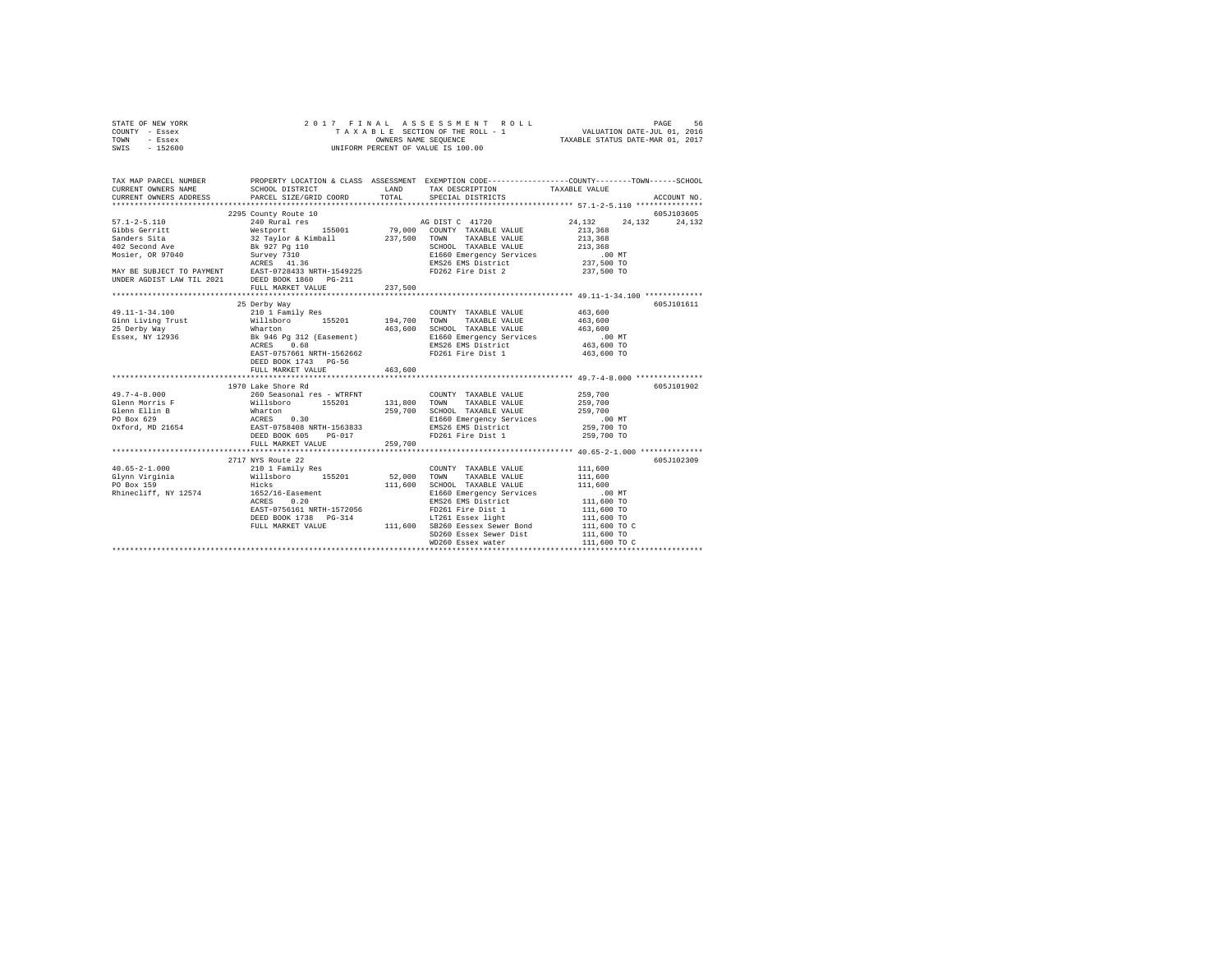| STATE OF NEW YORK | 2017 FINAL ASSESSMENT ROLL         | 56<br>PAGE                       |
|-------------------|------------------------------------|----------------------------------|
| COUNTY - Essex    | TAXABLE SECTION OF THE ROLL - 1    | VALUATION DATE-JUL 01, 2016      |
| TOWN<br>- Essex   | OWNERS NAME SEOUENCE               | TAXABLE STATUS DATE-MAR 01, 2017 |
| $-152600$<br>SWIS | UNIFORM PERCENT OF VALUE IS 100.00 |                                  |

| TAX MAP PARCEL NUMBER |                                                                       |         |                                                                                                                                                                              | PROPERTY LOCATION & CLASS ASSESSMENT EXEMPTION CODE---------------COUNTY-------TOWN-----SCHOOL                                                                                                                                                   |  |
|-----------------------|-----------------------------------------------------------------------|---------|------------------------------------------------------------------------------------------------------------------------------------------------------------------------------|--------------------------------------------------------------------------------------------------------------------------------------------------------------------------------------------------------------------------------------------------|--|
|                       |                                                                       |         |                                                                                                                                                                              |                                                                                                                                                                                                                                                  |  |
|                       | CURRENT OWNERS ADDRESS PARCEL SIZE/GRID COORD TOTAL SPECIAL DISTRICTS |         |                                                                                                                                                                              | ACCOUNT NO.                                                                                                                                                                                                                                      |  |
|                       |                                                                       |         |                                                                                                                                                                              | 57.1-2-5.110 2295 County Route 10<br>3295 County Route 10<br>3295 County Route 10<br>3295 County RAMBLE VALUE<br>3297,500 COUNTY TAXABLE VALUE<br>321,358<br>32 Taylor & Kimball<br>327,500 TOWN TAXABLE VALUE<br>8260 EMS26 EMSINE VALUE<br>321 |  |
|                       |                                                                       |         |                                                                                                                                                                              |                                                                                                                                                                                                                                                  |  |
|                       |                                                                       |         |                                                                                                                                                                              |                                                                                                                                                                                                                                                  |  |
|                       |                                                                       |         |                                                                                                                                                                              |                                                                                                                                                                                                                                                  |  |
|                       |                                                                       |         |                                                                                                                                                                              |                                                                                                                                                                                                                                                  |  |
|                       |                                                                       |         |                                                                                                                                                                              |                                                                                                                                                                                                                                                  |  |
|                       |                                                                       |         |                                                                                                                                                                              |                                                                                                                                                                                                                                                  |  |
|                       |                                                                       |         |                                                                                                                                                                              |                                                                                                                                                                                                                                                  |  |
|                       |                                                                       |         |                                                                                                                                                                              |                                                                                                                                                                                                                                                  |  |
|                       |                                                                       |         |                                                                                                                                                                              |                                                                                                                                                                                                                                                  |  |
|                       | FULL MARKET VALUE                                                     | 237,500 |                                                                                                                                                                              |                                                                                                                                                                                                                                                  |  |
|                       |                                                                       |         |                                                                                                                                                                              |                                                                                                                                                                                                                                                  |  |
|                       | 25 Derby Way                                                          |         |                                                                                                                                                                              | 605J101611                                                                                                                                                                                                                                       |  |
|                       |                                                                       |         |                                                                                                                                                                              |                                                                                                                                                                                                                                                  |  |
|                       |                                                                       |         |                                                                                                                                                                              |                                                                                                                                                                                                                                                  |  |
|                       |                                                                       |         |                                                                                                                                                                              |                                                                                                                                                                                                                                                  |  |
|                       |                                                                       |         |                                                                                                                                                                              |                                                                                                                                                                                                                                                  |  |
|                       |                                                                       |         |                                                                                                                                                                              |                                                                                                                                                                                                                                                  |  |
|                       | EAST-0757661 NRTH-1562662                                             |         | FD261 Fire Dist 1                                                                                                                                                            | 463,600 TO                                                                                                                                                                                                                                       |  |
|                       | DEED BOOK 1743 PG-56                                                  |         |                                                                                                                                                                              |                                                                                                                                                                                                                                                  |  |
|                       | FULL MARKET VALUE 463,600                                             |         |                                                                                                                                                                              |                                                                                                                                                                                                                                                  |  |
|                       |                                                                       |         |                                                                                                                                                                              |                                                                                                                                                                                                                                                  |  |
|                       | 1970 Lake Shore Rd                                                    |         |                                                                                                                                                                              | 605J101902                                                                                                                                                                                                                                       |  |
|                       |                                                                       |         |                                                                                                                                                                              |                                                                                                                                                                                                                                                  |  |
|                       |                                                                       |         |                                                                                                                                                                              |                                                                                                                                                                                                                                                  |  |
|                       |                                                                       |         |                                                                                                                                                                              |                                                                                                                                                                                                                                                  |  |
|                       |                                                                       |         |                                                                                                                                                                              |                                                                                                                                                                                                                                                  |  |
|                       |                                                                       |         |                                                                                                                                                                              |                                                                                                                                                                                                                                                  |  |
|                       |                                                                       |         |                                                                                                                                                                              |                                                                                                                                                                                                                                                  |  |
|                       |                                                                       |         |                                                                                                                                                                              |                                                                                                                                                                                                                                                  |  |
|                       |                                                                       |         |                                                                                                                                                                              |                                                                                                                                                                                                                                                  |  |
|                       |                                                                       |         |                                                                                                                                                                              | 605J102309                                                                                                                                                                                                                                       |  |
|                       |                                                                       |         | COUNTY TAXABLE VALUE 111,600                                                                                                                                                 |                                                                                                                                                                                                                                                  |  |
|                       |                                                                       |         | TAXABLE VALUE                                                                                                                                                                | 111,600                                                                                                                                                                                                                                          |  |
|                       |                                                                       |         |                                                                                                                                                                              |                                                                                                                                                                                                                                                  |  |
|                       |                                                                       |         | 24,000 1000 10000 12000 12000 12000 12000 12000 12000 12000 12000 12000 12000 12000 12000 12000 1200<br>E1660 Emergency Services 111,600 TD<br>EMS26 EMS District 111,600 TO |                                                                                                                                                                                                                                                  |  |
|                       | $\mathbf{r}$<br>ACRES 0.20                                            |         |                                                                                                                                                                              |                                                                                                                                                                                                                                                  |  |
|                       |                                                                       |         |                                                                                                                                                                              | 111,600 TO                                                                                                                                                                                                                                       |  |
|                       |                                                                       |         |                                                                                                                                                                              | 111,600 TO                                                                                                                                                                                                                                       |  |
|                       |                                                                       |         |                                                                                                                                                                              | 111,600 TO C                                                                                                                                                                                                                                     |  |
|                       |                                                                       |         | SD260 Essex Sewer Dist                                                                                                                                                       | 111,600 TO                                                                                                                                                                                                                                       |  |
|                       |                                                                       |         |                                                                                                                                                                              |                                                                                                                                                                                                                                                  |  |
|                       |                                                                       |         |                                                                                                                                                                              |                                                                                                                                                                                                                                                  |  |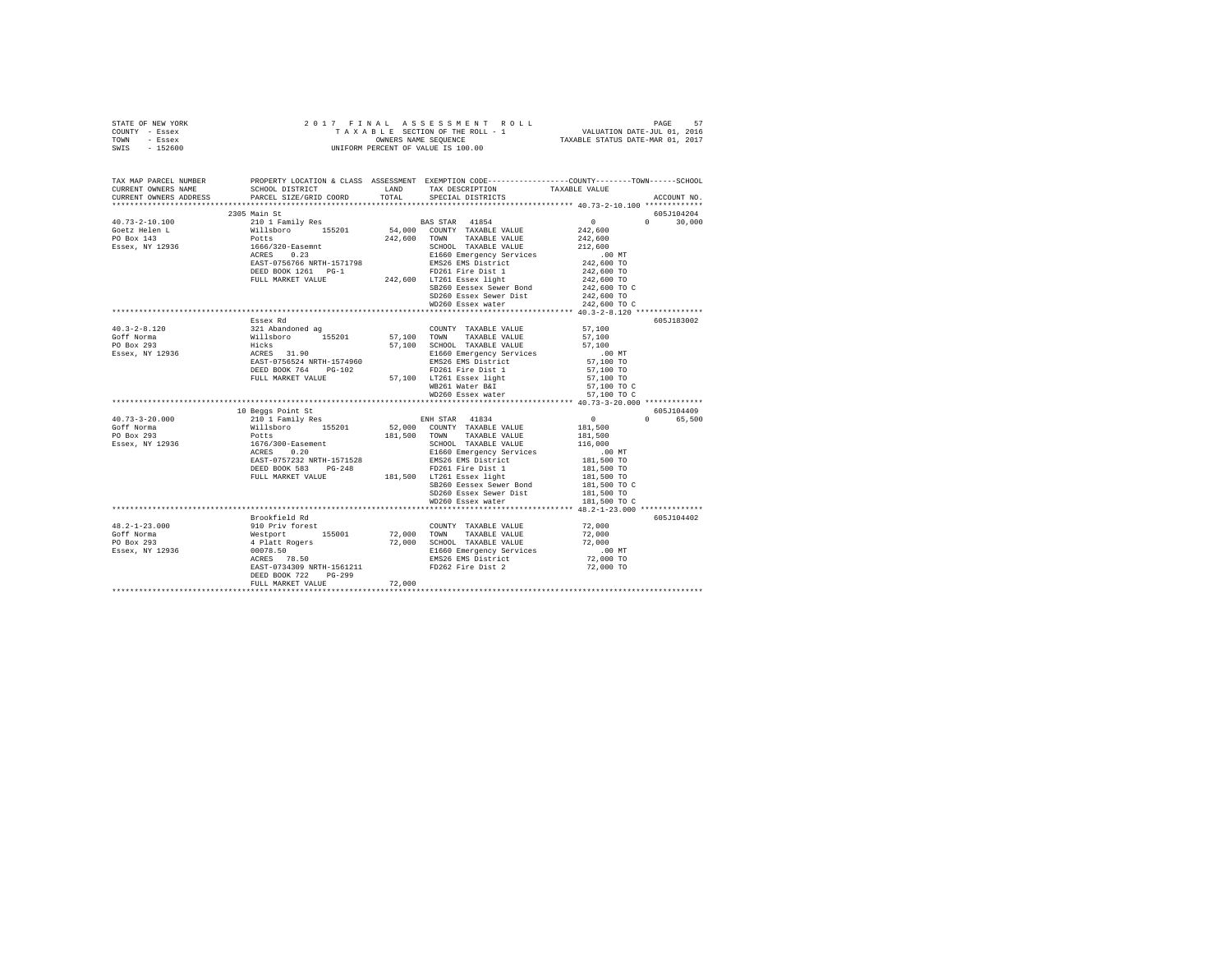|      | STATE OF NEW YORK |                      |  |  |  | 2017 FINAL ASSESSMENT ROLL         |  | PAGE                             | 57 |
|------|-------------------|----------------------|--|--|--|------------------------------------|--|----------------------------------|----|
|      | COUNTY - Essex    |                      |  |  |  | TAXABLE SECTION OF THE ROLL - 1    |  | VALUATION DATE-JUL 01, 2016      |    |
| TOWN | - Essex           | OWNERS NAME SEOUENCE |  |  |  |                                    |  | TAXABLE STATUS DATE-MAR 01, 2017 |    |
| SWIS | $-152600$         |                      |  |  |  | UNIFORM PERCENT OF VALUE IS 100.00 |  |                                  |    |

| TAX MAP PARCEL NUMBER<br>CURRENT OWNERS ADDRESS | PROPERTY LOCATION & CLASS ASSESSMENT EXEMPTION CODE----------------COUNTY-------TOWN------SCHOOL<br>CURRENT OWNERS NAME SCHOOL DISTRICT WE LAND TAX DESCRIPTION TAXABLE VALUE<br>PARCEL SIZE/GRID COORD                                                                                                                                                                                                  |        |                                                                                                                                                                                                                                                                                     | ACCOUNT NO.        |
|-------------------------------------------------|----------------------------------------------------------------------------------------------------------------------------------------------------------------------------------------------------------------------------------------------------------------------------------------------------------------------------------------------------------------------------------------------------------|--------|-------------------------------------------------------------------------------------------------------------------------------------------------------------------------------------------------------------------------------------------------------------------------------------|--------------------|
|                                                 |                                                                                                                                                                                                                                                                                                                                                                                                          |        | TOTAL SPECIAL DISTRICTS                                                                                                                                                                                                                                                             |                    |
|                                                 | 2305 Main St                                                                                                                                                                                                                                                                                                                                                                                             |        |                                                                                                                                                                                                                                                                                     | 605J104204         |
|                                                 | $\begin{tabular}{l c c c c} \multicolumn{3}{c c c} \multicolumn{3}{c c c} \multicolumn{3}{c c c} \multicolumn{3}{c c c} \multicolumn{3}{c c c} \multicolumn{3}{c c c} \multicolumn{3}{c c c} \multicolumn{3}{c c c} \multicolumn{3}{c c c} \multicolumn{3}{c c c} \multicolumn{3}{c c c} \multicolumn{3}{c c c} \multicolumn{3}{c c c} \multicolumn{3}{c c c} \multicolumn{3}{c c c} \multicolumn{3}{c $ |        |                                                                                                                                                                                                                                                                                     | $\Omega$<br>30,000 |
|                                                 |                                                                                                                                                                                                                                                                                                                                                                                                          |        |                                                                                                                                                                                                                                                                                     |                    |
|                                                 |                                                                                                                                                                                                                                                                                                                                                                                                          |        |                                                                                                                                                                                                                                                                                     |                    |
|                                                 |                                                                                                                                                                                                                                                                                                                                                                                                          |        |                                                                                                                                                                                                                                                                                     |                    |
|                                                 |                                                                                                                                                                                                                                                                                                                                                                                                          |        |                                                                                                                                                                                                                                                                                     |                    |
|                                                 |                                                                                                                                                                                                                                                                                                                                                                                                          |        |                                                                                                                                                                                                                                                                                     |                    |
|                                                 |                                                                                                                                                                                                                                                                                                                                                                                                          |        |                                                                                                                                                                                                                                                                                     |                    |
|                                                 |                                                                                                                                                                                                                                                                                                                                                                                                          |        |                                                                                                                                                                                                                                                                                     |                    |
|                                                 |                                                                                                                                                                                                                                                                                                                                                                                                          |        |                                                                                                                                                                                                                                                                                     |                    |
|                                                 |                                                                                                                                                                                                                                                                                                                                                                                                          |        |                                                                                                                                                                                                                                                                                     |                    |
|                                                 |                                                                                                                                                                                                                                                                                                                                                                                                          |        |                                                                                                                                                                                                                                                                                     |                    |
|                                                 | Essex Rd                                                                                                                                                                                                                                                                                                                                                                                                 |        | $(242,600 \text{ m})$ $242,600 \text{ m}$ $242,600 \text{ m}$ SB260 Eessex Sewer Bint<br>SB260 Essex Sewer Bist<br>$242,600 \text{ m}$<br>SD260 Essex Sewer Bist<br>$242,600 \text{ m}$<br>ND260 Essex water<br>$242,600 \text{ m}$<br>ND260 Essex water<br>$242,600 \text{ m}$<br> | 605J183002         |
| $40.3 - 2 - 8.120$                              |                                                                                                                                                                                                                                                                                                                                                                                                          |        |                                                                                                                                                                                                                                                                                     |                    |
| Goff Norma                                      |                                                                                                                                                                                                                                                                                                                                                                                                          |        |                                                                                                                                                                                                                                                                                     |                    |
| PO Box 293<br>Essex, NY 12936                   |                                                                                                                                                                                                                                                                                                                                                                                                          |        |                                                                                                                                                                                                                                                                                     |                    |
|                                                 |                                                                                                                                                                                                                                                                                                                                                                                                          |        |                                                                                                                                                                                                                                                                                     |                    |
|                                                 |                                                                                                                                                                                                                                                                                                                                                                                                          |        |                                                                                                                                                                                                                                                                                     |                    |
|                                                 |                                                                                                                                                                                                                                                                                                                                                                                                          |        |                                                                                                                                                                                                                                                                                     |                    |
|                                                 |                                                                                                                                                                                                                                                                                                                                                                                                          |        |                                                                                                                                                                                                                                                                                     |                    |
|                                                 |                                                                                                                                                                                                                                                                                                                                                                                                          |        |                                                                                                                                                                                                                                                                                     |                    |
|                                                 | $\begin{tabular}{l c c c c} \hline \texttt{Esex Rid} & \texttt{COMHY} & \texttt{TAXABLE VALUE} & \texttt{57,100} \\ \hline 321 \texttt{Abandoned} & 155201 & 57,100 & \texttt{TOWAY} & \texttt{TAXABLE VALUE} & \texttt{57,100} \\ \texttt{Hicks} & 155201 & 57,100 & \texttt{STQB} & \texttt{STQB} & \texttt{57,100} \\ \texttt{Hicks} & 100 & \texttt{SCT,000L} & \texttt{TAXABLE VALUE} & 57,100 \\$  |        |                                                                                                                                                                                                                                                                                     |                    |
|                                                 | 10 Beggs Point St                                                                                                                                                                                                                                                                                                                                                                                        |        |                                                                                                                                                                                                                                                                                     | 605J104409         |
| $40.73 - 3 - 20.000$                            |                                                                                                                                                                                                                                                                                                                                                                                                          |        |                                                                                                                                                                                                                                                                                     | 0 65,500           |
| Goff Norma                                      |                                                                                                                                                                                                                                                                                                                                                                                                          |        |                                                                                                                                                                                                                                                                                     |                    |
| PO Box 293                                      |                                                                                                                                                                                                                                                                                                                                                                                                          |        |                                                                                                                                                                                                                                                                                     |                    |
| Essex, NY 12936                                 |                                                                                                                                                                                                                                                                                                                                                                                                          |        |                                                                                                                                                                                                                                                                                     |                    |
|                                                 |                                                                                                                                                                                                                                                                                                                                                                                                          |        |                                                                                                                                                                                                                                                                                     |                    |
|                                                 |                                                                                                                                                                                                                                                                                                                                                                                                          |        |                                                                                                                                                                                                                                                                                     |                    |
|                                                 |                                                                                                                                                                                                                                                                                                                                                                                                          |        |                                                                                                                                                                                                                                                                                     |                    |
|                                                 |                                                                                                                                                                                                                                                                                                                                                                                                          |        |                                                                                                                                                                                                                                                                                     |                    |
|                                                 |                                                                                                                                                                                                                                                                                                                                                                                                          |        | SB260 Eessex Sewer Bond<br>SD260 Essex Sewer Dist<br>WD260 Essex water<br>WD260 Essex water<br>181,500 TO C                                                                                                                                                                         |                    |
|                                                 |                                                                                                                                                                                                                                                                                                                                                                                                          |        |                                                                                                                                                                                                                                                                                     |                    |
|                                                 |                                                                                                                                                                                                                                                                                                                                                                                                          |        |                                                                                                                                                                                                                                                                                     |                    |
|                                                 |                                                                                                                                                                                                                                                                                                                                                                                                          |        |                                                                                                                                                                                                                                                                                     | 605J104402         |
|                                                 |                                                                                                                                                                                                                                                                                                                                                                                                          |        |                                                                                                                                                                                                                                                                                     |                    |
|                                                 |                                                                                                                                                                                                                                                                                                                                                                                                          |        |                                                                                                                                                                                                                                                                                     |                    |
|                                                 |                                                                                                                                                                                                                                                                                                                                                                                                          |        |                                                                                                                                                                                                                                                                                     |                    |
|                                                 | MONTE TRANSLE VALUE (1990)<br>Hotel Brookfield Rd<br>2018 - 23.000<br>2018 - 23.000<br>2018 - 23.000<br>2018 - 23.000<br>22.000<br>22.000<br>22.000<br>23.000<br>23.000<br>23.000<br>23.000<br>23.000<br>23.000<br>23.000<br>23.000<br>23.000<br>23.000<br>23.000<br>2                                                                                                                                   |        |                                                                                                                                                                                                                                                                                     |                    |
|                                                 |                                                                                                                                                                                                                                                                                                                                                                                                          |        |                                                                                                                                                                                                                                                                                     |                    |
|                                                 |                                                                                                                                                                                                                                                                                                                                                                                                          |        |                                                                                                                                                                                                                                                                                     |                    |
|                                                 | DEED BOOK 722<br>$PG-299$                                                                                                                                                                                                                                                                                                                                                                                |        |                                                                                                                                                                                                                                                                                     |                    |
|                                                 | FULL MARKET VALUE                                                                                                                                                                                                                                                                                                                                                                                        | 72,000 |                                                                                                                                                                                                                                                                                     |                    |
|                                                 |                                                                                                                                                                                                                                                                                                                                                                                                          |        |                                                                                                                                                                                                                                                                                     |                    |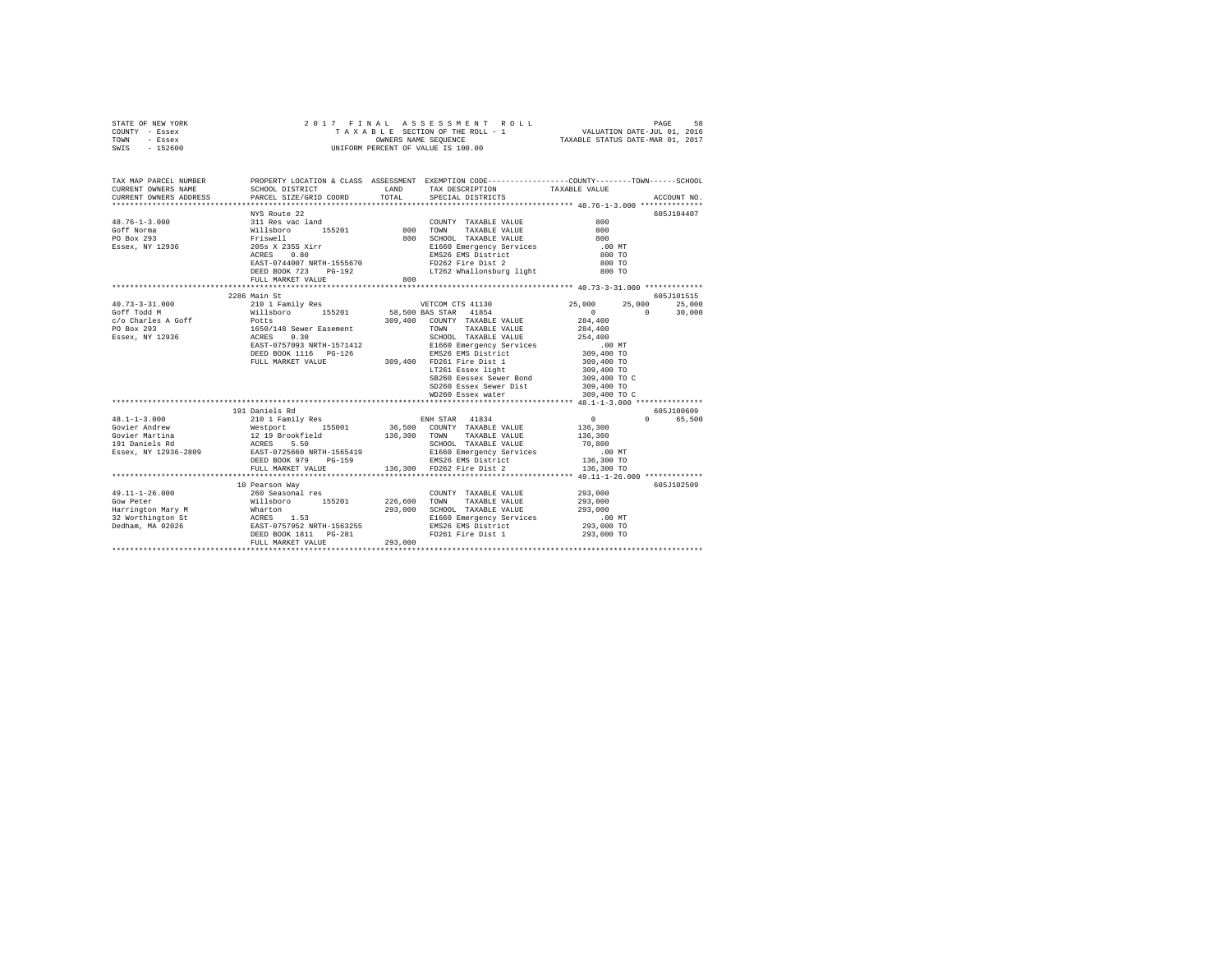| STATE OF NEW YORK | 2017 FINAL ASSESSMENT ROLL         | 58<br>PAGE                       |
|-------------------|------------------------------------|----------------------------------|
| COUNTY - Essex    | TAXABLE SECTION OF THE ROLL - 1    | VALUATION DATE-JUL 01, 2016      |
| TOWN<br>- Essex   | OWNERS NAME SEOUENCE               | TAXABLE STATUS DATE-MAR 01, 2017 |
| $-152600$<br>SWIS | UNIFORM PERCENT OF VALUE IS 100.00 |                                  |

| TAX MAP PARCEL NUMBER                                                                                                                                                                                                                                                                                                                                                                                                                                          |                                    |      | PROPERTY LOCATION & CLASS ASSESSMENT EXEMPTION CODE---------------COUNTY-------TOWN------SCHOOL                                                                                                                                                                                                                                                                                         |                                                     |            |
|----------------------------------------------------------------------------------------------------------------------------------------------------------------------------------------------------------------------------------------------------------------------------------------------------------------------------------------------------------------------------------------------------------------------------------------------------------------|------------------------------------|------|-----------------------------------------------------------------------------------------------------------------------------------------------------------------------------------------------------------------------------------------------------------------------------------------------------------------------------------------------------------------------------------------|-----------------------------------------------------|------------|
|                                                                                                                                                                                                                                                                                                                                                                                                                                                                |                                    | LAND |                                                                                                                                                                                                                                                                                                                                                                                         |                                                     |            |
|                                                                                                                                                                                                                                                                                                                                                                                                                                                                |                                    |      | TAX DESCRIPTION TAXABLE VALUE<br>SPECIAL DISTRICTS                                                                                                                                                                                                                                                                                                                                      |                                                     |            |
|                                                                                                                                                                                                                                                                                                                                                                                                                                                                |                                    |      |                                                                                                                                                                                                                                                                                                                                                                                         |                                                     |            |
|                                                                                                                                                                                                                                                                                                                                                                                                                                                                | NYS Route 22                       |      |                                                                                                                                                                                                                                                                                                                                                                                         |                                                     | 605J104407 |
|                                                                                                                                                                                                                                                                                                                                                                                                                                                                | c land<br>155201 800               |      | COUNTY TAXABLE VALUE                                                                                                                                                                                                                                                                                                                                                                    | 800                                                 |            |
|                                                                                                                                                                                                                                                                                                                                                                                                                                                                |                                    |      | TAXABLE VALUE 800<br>TOWN                                                                                                                                                                                                                                                                                                                                                               |                                                     |            |
| 48.76-1-3.000<br>Goff Norma – 311 Res vac land<br>CO Box 293 – Williaboro – 155201<br>Essex, NY 12936 – 2058 x 235 Xirr<br>ACRES 0.80                                                                                                                                                                                                                                                                                                                          |                                    |      | $\begin{tabular}{l c c c c c} \hline \texttt{Priswell} & \texttt{100} & \texttt{SCHODI} & \texttt{100} & \texttt{100} & \texttt{100} & \texttt{100} & \texttt{100} & \texttt{100} & \texttt{100} & \texttt{100} & \texttt{100} & \texttt{100} & \texttt{100} & \texttt{100} & \texttt{100} & \texttt{100} & \texttt{100} & \texttt{100} & \texttt{100} & \texttt{100} & \texttt{100} &$ |                                                     |            |
|                                                                                                                                                                                                                                                                                                                                                                                                                                                                |                                    |      |                                                                                                                                                                                                                                                                                                                                                                                         |                                                     |            |
|                                                                                                                                                                                                                                                                                                                                                                                                                                                                |                                    |      |                                                                                                                                                                                                                                                                                                                                                                                         |                                                     |            |
|                                                                                                                                                                                                                                                                                                                                                                                                                                                                |                                    |      |                                                                                                                                                                                                                                                                                                                                                                                         |                                                     |            |
|                                                                                                                                                                                                                                                                                                                                                                                                                                                                |                                    |      |                                                                                                                                                                                                                                                                                                                                                                                         |                                                     |            |
|                                                                                                                                                                                                                                                                                                                                                                                                                                                                |                                    |      |                                                                                                                                                                                                                                                                                                                                                                                         |                                                     |            |
|                                                                                                                                                                                                                                                                                                                                                                                                                                                                | 2286 Main St                       |      |                                                                                                                                                                                                                                                                                                                                                                                         |                                                     | 605J101515 |
| $\begin{tabular}{l c c c c c} \multicolumn{3}{c c c} \multicolumn{3}{c c c} \multicolumn{3}{c c c} \multicolumn{3}{c c c} \multicolumn{3}{c c c} \multicolumn{3}{c c c} \multicolumn{3}{c c c} \multicolumn{3}{c c c} \multicolumn{3}{c c c} \multicolumn{3}{c c c} \multicolumn{3}{c c c} \multicolumn{3}{c c c} \multicolumn{3}{c c c} \multicolumn{3}{c c c} \multicolumn{3}{c c c} \multicolumn{3}{$                                                       |                                    |      |                                                                                                                                                                                                                                                                                                                                                                                         | 25,000                                              | 25,000     |
|                                                                                                                                                                                                                                                                                                                                                                                                                                                                |                                    |      |                                                                                                                                                                                                                                                                                                                                                                                         | $\Omega$                                            | 30,000     |
|                                                                                                                                                                                                                                                                                                                                                                                                                                                                |                                    |      |                                                                                                                                                                                                                                                                                                                                                                                         |                                                     |            |
|                                                                                                                                                                                                                                                                                                                                                                                                                                                                |                                    |      |                                                                                                                                                                                                                                                                                                                                                                                         |                                                     |            |
|                                                                                                                                                                                                                                                                                                                                                                                                                                                                |                                    |      |                                                                                                                                                                                                                                                                                                                                                                                         |                                                     |            |
|                                                                                                                                                                                                                                                                                                                                                                                                                                                                |                                    |      |                                                                                                                                                                                                                                                                                                                                                                                         |                                                     |            |
|                                                                                                                                                                                                                                                                                                                                                                                                                                                                |                                    |      |                                                                                                                                                                                                                                                                                                                                                                                         |                                                     |            |
|                                                                                                                                                                                                                                                                                                                                                                                                                                                                |                                    |      |                                                                                                                                                                                                                                                                                                                                                                                         |                                                     |            |
|                                                                                                                                                                                                                                                                                                                                                                                                                                                                |                                    |      |                                                                                                                                                                                                                                                                                                                                                                                         | 309,400 TO<br>309,400 TO                            |            |
|                                                                                                                                                                                                                                                                                                                                                                                                                                                                |                                    |      | SB260 Eessex Sewer Bond 309,400 TO C<br>SD260 Essex Sewer Dist 309,400 TO                                                                                                                                                                                                                                                                                                               |                                                     |            |
|                                                                                                                                                                                                                                                                                                                                                                                                                                                                |                                    |      | SD260 Essex Sewer Dist<br>WD260 Essex water                                                                                                                                                                                                                                                                                                                                             |                                                     |            |
|                                                                                                                                                                                                                                                                                                                                                                                                                                                                |                                    |      |                                                                                                                                                                                                                                                                                                                                                                                         | 309,400 TO C                                        |            |
|                                                                                                                                                                                                                                                                                                                                                                                                                                                                |                                    |      |                                                                                                                                                                                                                                                                                                                                                                                         |                                                     |            |
|                                                                                                                                                                                                                                                                                                                                                                                                                                                                | 191 Daniels Rd                     |      |                                                                                                                                                                                                                                                                                                                                                                                         |                                                     | 605J100609 |
| $48.1 - 1 - 3.000$                                                                                                                                                                                                                                                                                                                                                                                                                                             | 210 1 Family Res ENH STAR 41834    |      |                                                                                                                                                                                                                                                                                                                                                                                         | $\begin{array}{c}0\\136,300\end{array}$<br>$\Omega$ | 65,500     |
|                                                                                                                                                                                                                                                                                                                                                                                                                                                                |                                    |      | 36,500 COUNTY TAXABLE VALUE                                                                                                                                                                                                                                                                                                                                                             |                                                     |            |
| Covier Andrew Mestport (1990)<br>1991 - Marchina (1991 - 1991 - 1991 - 1992)<br>1991 - Andrejina (1992 - 1992 - 1992 - 1993 - 1992 - 1993 - 1993 - 1993 - 1993 - 1993 - 1993 - 1993 - 1993 -<br>1992 - 1993 - 1993 - 1993 - 1993 - 1994                                                                                                                                                                                                                        |                                    |      | TAXABLE VALUE                                                                                                                                                                                                                                                                                                                                                                           | 136,300                                             |            |
|                                                                                                                                                                                                                                                                                                                                                                                                                                                                |                                    |      |                                                                                                                                                                                                                                                                                                                                                                                         |                                                     |            |
|                                                                                                                                                                                                                                                                                                                                                                                                                                                                |                                    |      |                                                                                                                                                                                                                                                                                                                                                                                         |                                                     |            |
|                                                                                                                                                                                                                                                                                                                                                                                                                                                                | FULL MARKET VALUE                  |      |                                                                                                                                                                                                                                                                                                                                                                                         |                                                     |            |
|                                                                                                                                                                                                                                                                                                                                                                                                                                                                |                                    |      |                                                                                                                                                                                                                                                                                                                                                                                         |                                                     |            |
|                                                                                                                                                                                                                                                                                                                                                                                                                                                                | 10 Pearson Way                     |      |                                                                                                                                                                                                                                                                                                                                                                                         |                                                     | 605J102509 |
| $49.11 - 1 - 26.000$                                                                                                                                                                                                                                                                                                                                                                                                                                           | 10 Pearson way<br>260 Seasonal res |      | COUNTY TAXABLE VALUE 293,000                                                                                                                                                                                                                                                                                                                                                            |                                                     |            |
|                                                                                                                                                                                                                                                                                                                                                                                                                                                                |                                    |      | TOWN<br>TAXABLE VALUE 293,000                                                                                                                                                                                                                                                                                                                                                           |                                                     |            |
|                                                                                                                                                                                                                                                                                                                                                                                                                                                                |                                    |      | 293,000 SCHOOL TAXABLE VALUE                                                                                                                                                                                                                                                                                                                                                            | 293,000                                             |            |
|                                                                                                                                                                                                                                                                                                                                                                                                                                                                |                                    |      | E1660 Emergency Services                                                                                                                                                                                                                                                                                                                                                                | .00 MT                                              |            |
|                                                                                                                                                                                                                                                                                                                                                                                                                                                                |                                    |      | EMS26 EMS District                                                                                                                                                                                                                                                                                                                                                                      | 293,000 TO                                          |            |
|                                                                                                                                                                                                                                                                                                                                                                                                                                                                |                                    |      | FD261 Fire Dist 1                                                                                                                                                                                                                                                                                                                                                                       | 293,000 TO                                          |            |
| $\begin{tabular}{lllllllllllll} \multicolumn{2}{c}{\textbf{G0}} & \multicolumn{2}{c}{\textbf{G0}} & \multicolumn{2}{c}{\textbf{G0}} & \multicolumn{2}{c}{\textbf{G0}} & \multicolumn{2}{c}{\textbf{G0}} & \multicolumn{2}{c}{\textbf{G0}} & \multicolumn{2}{c}{\textbf{G0}} & \multicolumn{2}{c}{\textbf{G0}} & \multicolumn{2}{c}{\textbf{G0}} & \multicolumn{2}{c}{\textbf{G0}} & \multicolumn{2}{c}{\textbf{G0}} & \multicolumn{2}{c}{\textbf{G0}} & \mult$ |                                    |      |                                                                                                                                                                                                                                                                                                                                                                                         |                                                     |            |
|                                                                                                                                                                                                                                                                                                                                                                                                                                                                |                                    |      |                                                                                                                                                                                                                                                                                                                                                                                         |                                                     |            |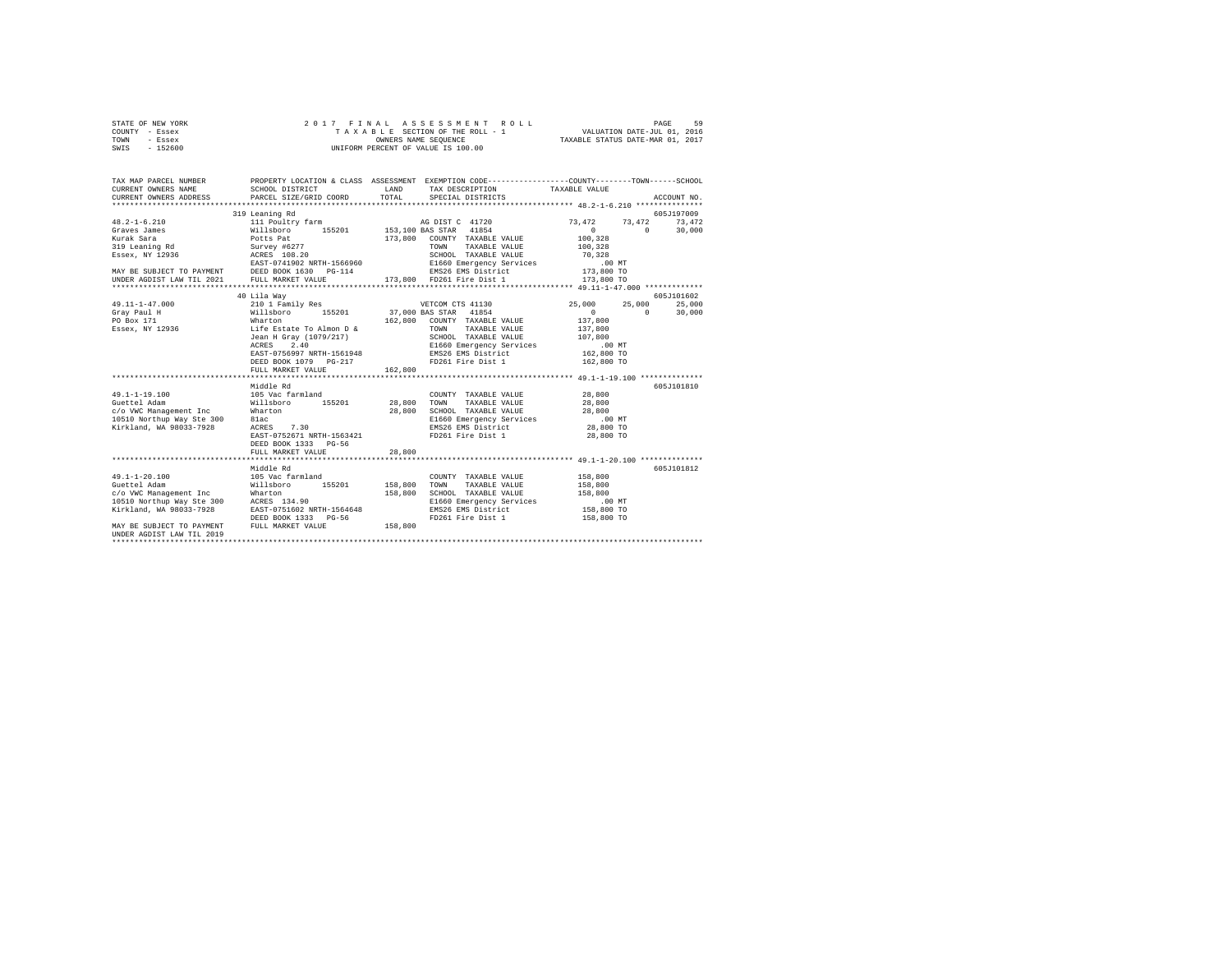|                | STATE OF NEW YORK |  | 2017 FINAL ASSESSMENT ROLL         | 59<br>PAGE                       |  |
|----------------|-------------------|--|------------------------------------|----------------------------------|--|
| COUNTY - Essex |                   |  | TAXABLE SECTION OF THE ROLL - 1    | VALUATION DATE-JUL 01, 2016      |  |
| TOWN           | - Essex           |  | OWNERS NAME SEOUENCE               | TAXABLE STATUS DATE-MAR 01, 2017 |  |
| SWIS           | - 152600          |  | UNIFORM PERCENT OF VALUE IS 100.00 |                                  |  |

| TAX MAP PARCEL NUMBER<br>CURRENT OWNERS NAME<br>CURRENT OWNERS ADDRESS                                                                                                                                                                                                                                                                                                                                                                                                                                   | PROPERTY LOCATION & CLASS ASSESSMENT EXEMPTION CODE----------------COUNTY-------TOWN------SCHOOL<br>SCHOOL DISTRICT<br>PARCEL SIZE/GRID COORD | <b>T.AND</b>  | TAX DESCRIPTION TAXABLE VALUE<br>TOTAL SPECIAL DISTRICTS                   |                                                             | ACCOUNT NO.                    |
|----------------------------------------------------------------------------------------------------------------------------------------------------------------------------------------------------------------------------------------------------------------------------------------------------------------------------------------------------------------------------------------------------------------------------------------------------------------------------------------------------------|-----------------------------------------------------------------------------------------------------------------------------------------------|---------------|----------------------------------------------------------------------------|-------------------------------------------------------------|--------------------------------|
| 319 Learning Role (1997 MATRIS 108.20 1997 MARINE VALUE 10,328<br>ESSEX, NY 12936 20 EAST-0741902 NRTH-1566960 2CHOOL TAXABLE VALUE 70,328<br>MAY BE SUBJECT TO PAYMENT DEED BOOK 1630 PG-114 EMS26 EMS District 113,800 TO<br>UNDER                                                                                                                                                                                                                                                                     | 319 Leaning Rd                                                                                                                                |               | 173,800 COUNTY TAXABLE VALUE<br>TOWN<br>TAXABLE VALUE                      | 73,472 73,472<br>$\sim$ 0<br>$\sim$ 0<br>100,328<br>100,328 | 605J197009<br>73,472<br>30,000 |
| $\begin{tabular}{l c c c c c} \hline \texttt{49.11--1-47.000} & \texttt{40\,Li1 & \texttt{Way} & \texttt{VETCOM CTS 41130} & \texttt{25,000} & \texttt{25,000} & \texttt{25,000} & \texttt{25,000} & \texttt{25,000} & \texttt{25,000} & \texttt{25,000} & \texttt{25,000} & \texttt{25,000} & \texttt{25,000} & \texttt{25,000} & \texttt{25,000}$                                                                                                                                                      | EAST-0756997 NRTH-1561948<br>DEED BOOK 1079 PG-217 FD261 Fire District<br>FD261 Fire Dist 1<br>FULL MARKET VALUE                              | 162,800       |                                                                            | 25,000 25,000 25,000<br>$\Omega$<br>162,800 TO              | 605J101602<br>30,000           |
| $\begin{array}{l} \texttt{49.1-1-19.100} & \texttt{105 Vac farmland} & \texttt{COUNT} \texttt{TAXABLE VALUE} & \texttt{28,800} \\ \texttt{Queue Addam} & \texttt{Mills Doro} & \texttt{155201} & \texttt{28,800} \texttt{ TAXABLE VALUE} & \texttt{28,800} \\ \texttt{C/O VWC} & \texttt{Mansgement Inc} & \texttt{Walls Doro} & \texttt{155201} & \texttt{28,800} \texttt{ SCHOOL} \texttt{TAXABLE VALUE} & \texttt{18,800} \\ \end{array$<br>10510 Northup Way Ste 300 81ac<br>Kirkland, WA 98033-7928 | Middle Rd<br>7.30<br>ACRES 7.30<br>EAST-0752671 NRTH-1563421<br>DEED BOOK 1333 PG-56<br>FULL MARKET VALUE                                     | 28,800        | E1660 Emergency Services .00 MT<br>EMS26 EMS District<br>FD261 Fire Dist 1 | 28,800 TO<br>28,800 TO                                      | 605J101810                     |
| $49.1 - 1 - 20.100$<br>Guettel Adam<br>MAY BE SUBJECT TO PAYMENT FULL MARKET VALUE<br>UNDER AGDIST LAW TIL 2019                                                                                                                                                                                                                                                                                                                                                                                          | Middle Rd<br>105 Vac farmland<br>Willsboro 155201 158,800 TOWN TAXABLE VALUE 158,800<br>DEED BOOK 1333 PG-56                                  | $-56$ 158,800 | COUNTY TAXABLE VALUE 158,800<br>FD261 Fire Dist 1 158,800 TO               |                                                             | 605J101812                     |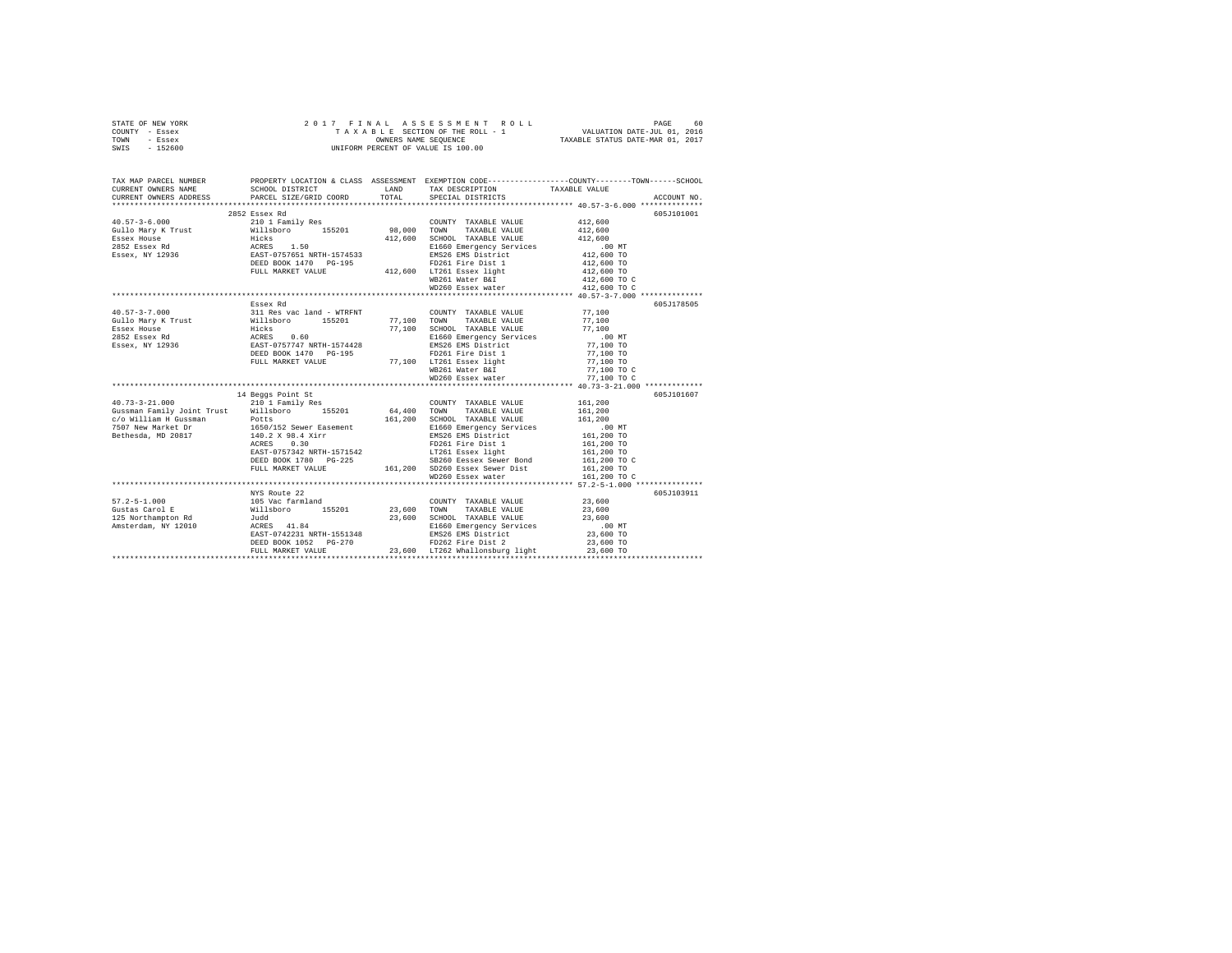| STATE OF NEW YORK | 2017 FINAL ASSESSMENT ROLL         | 60<br>PAGE                       |
|-------------------|------------------------------------|----------------------------------|
| COUNTY - Essex    | TAXABLE SECTION OF THE ROLL - 1    | VALUATION DATE-JUL 01, 2016      |
| TOWN<br>- Essex   | OWNERS NAME SEOUENCE               | TAXABLE STATUS DATE-MAR 01, 2017 |
| - 152600<br>SWIS  | UNIFORM PERCENT OF VALUE IS 100.00 |                                  |

| TAX MAP PARCEL NUMBER<br>CURRENT OWNERS NAME                                                                                                                                                                                   | SCHOOL DISTRICT<br>LAND TAX DESCRIPTION        |                                                                                                                                                                                                                                                                                                                                                                                                                                                                                              | PROPERTY LOCATION & CLASS ASSESSMENT EXEMPTION CODE---------------COUNTY-------TOWN------SCHOOL<br>TAXABLE VALUE |
|--------------------------------------------------------------------------------------------------------------------------------------------------------------------------------------------------------------------------------|------------------------------------------------|----------------------------------------------------------------------------------------------------------------------------------------------------------------------------------------------------------------------------------------------------------------------------------------------------------------------------------------------------------------------------------------------------------------------------------------------------------------------------------------------|------------------------------------------------------------------------------------------------------------------|
| CURRENT OWNERS ADDRESS                                                                                                                                                                                                         | PARCEL SIZE/GRID COORD TOTAL SPECIAL DISTRICTS |                                                                                                                                                                                                                                                                                                                                                                                                                                                                                              | ACCOUNT NO.                                                                                                      |
|                                                                                                                                                                                                                                | 2852 Essex Rd                                  |                                                                                                                                                                                                                                                                                                                                                                                                                                                                                              | 605J101001                                                                                                       |
|                                                                                                                                                                                                                                |                                                |                                                                                                                                                                                                                                                                                                                                                                                                                                                                                              |                                                                                                                  |
|                                                                                                                                                                                                                                |                                                |                                                                                                                                                                                                                                                                                                                                                                                                                                                                                              |                                                                                                                  |
|                                                                                                                                                                                                                                |                                                |                                                                                                                                                                                                                                                                                                                                                                                                                                                                                              |                                                                                                                  |
|                                                                                                                                                                                                                                |                                                |                                                                                                                                                                                                                                                                                                                                                                                                                                                                                              |                                                                                                                  |
|                                                                                                                                                                                                                                |                                                |                                                                                                                                                                                                                                                                                                                                                                                                                                                                                              |                                                                                                                  |
|                                                                                                                                                                                                                                |                                                |                                                                                                                                                                                                                                                                                                                                                                                                                                                                                              |                                                                                                                  |
|                                                                                                                                                                                                                                |                                                |                                                                                                                                                                                                                                                                                                                                                                                                                                                                                              |                                                                                                                  |
|                                                                                                                                                                                                                                |                                                | WB261 Water B&I                                                                                                                                                                                                                                                                                                                                                                                                                                                                              | 412,600 TO C<br>412,600 TO C                                                                                     |
|                                                                                                                                                                                                                                |                                                | WD260 Essex water                                                                                                                                                                                                                                                                                                                                                                                                                                                                            |                                                                                                                  |
|                                                                                                                                                                                                                                |                                                |                                                                                                                                                                                                                                                                                                                                                                                                                                                                                              |                                                                                                                  |
|                                                                                                                                                                                                                                |                                                |                                                                                                                                                                                                                                                                                                                                                                                                                                                                                              | 605J178505                                                                                                       |
|                                                                                                                                                                                                                                |                                                |                                                                                                                                                                                                                                                                                                                                                                                                                                                                                              |                                                                                                                  |
|                                                                                                                                                                                                                                |                                                |                                                                                                                                                                                                                                                                                                                                                                                                                                                                                              |                                                                                                                  |
|                                                                                                                                                                                                                                |                                                |                                                                                                                                                                                                                                                                                                                                                                                                                                                                                              |                                                                                                                  |
|                                                                                                                                                                                                                                |                                                |                                                                                                                                                                                                                                                                                                                                                                                                                                                                                              |                                                                                                                  |
|                                                                                                                                                                                                                                |                                                |                                                                                                                                                                                                                                                                                                                                                                                                                                                                                              |                                                                                                                  |
|                                                                                                                                                                                                                                |                                                |                                                                                                                                                                                                                                                                                                                                                                                                                                                                                              |                                                                                                                  |
|                                                                                                                                                                                                                                |                                                |                                                                                                                                                                                                                                                                                                                                                                                                                                                                                              |                                                                                                                  |
|                                                                                                                                                                                                                                |                                                |                                                                                                                                                                                                                                                                                                                                                                                                                                                                                              |                                                                                                                  |
|                                                                                                                                                                                                                                |                                                | WD260 Essex water                                                                                                                                                                                                                                                                                                                                                                                                                                                                            | 77,100 TO C                                                                                                      |
| 14 Beggs Point Strains and 14 Beggs Point Strains and 14 Beggs Point Strains and 10 1 Family Res (300 Milliam H Guaraman Family Joint Trust 2010 1 Family Res (300 Milliam H Guaraman Point 200 Milliam H Guaraman Point 200 M |                                                |                                                                                                                                                                                                                                                                                                                                                                                                                                                                                              |                                                                                                                  |
|                                                                                                                                                                                                                                |                                                |                                                                                                                                                                                                                                                                                                                                                                                                                                                                                              | 605J101607                                                                                                       |
|                                                                                                                                                                                                                                |                                                |                                                                                                                                                                                                                                                                                                                                                                                                                                                                                              |                                                                                                                  |
|                                                                                                                                                                                                                                |                                                |                                                                                                                                                                                                                                                                                                                                                                                                                                                                                              |                                                                                                                  |
|                                                                                                                                                                                                                                |                                                |                                                                                                                                                                                                                                                                                                                                                                                                                                                                                              |                                                                                                                  |
|                                                                                                                                                                                                                                |                                                |                                                                                                                                                                                                                                                                                                                                                                                                                                                                                              |                                                                                                                  |
|                                                                                                                                                                                                                                |                                                |                                                                                                                                                                                                                                                                                                                                                                                                                                                                                              |                                                                                                                  |
|                                                                                                                                                                                                                                |                                                |                                                                                                                                                                                                                                                                                                                                                                                                                                                                                              |                                                                                                                  |
|                                                                                                                                                                                                                                |                                                |                                                                                                                                                                                                                                                                                                                                                                                                                                                                                              |                                                                                                                  |
|                                                                                                                                                                                                                                |                                                |                                                                                                                                                                                                                                                                                                                                                                                                                                                                                              |                                                                                                                  |
|                                                                                                                                                                                                                                |                                                |                                                                                                                                                                                                                                                                                                                                                                                                                                                                                              |                                                                                                                  |
|                                                                                                                                                                                                                                |                                                |                                                                                                                                                                                                                                                                                                                                                                                                                                                                                              |                                                                                                                  |
|                                                                                                                                                                                                                                | NYS Route 22                                   |                                                                                                                                                                                                                                                                                                                                                                                                                                                                                              | 605J103911                                                                                                       |
|                                                                                                                                                                                                                                |                                                |                                                                                                                                                                                                                                                                                                                                                                                                                                                                                              |                                                                                                                  |
|                                                                                                                                                                                                                                |                                                | $\begin{tabular}{llllll} \multicolumn{2}{l}{{\small\texttt{COUNTY}}} & \multicolumn{2}{l}{\small\texttt{TAXABLE}} & \multicolumn{2}{l}{\small\texttt{VALUE}} & & \\ & & & & 23,600 & \\ \multicolumn{2}{l}{\small\texttt{m}^{\small\texttt{WNN}}} & \multicolumn{2}{l}{\small\texttt{TAXARLE}} & \multicolumn{2}{l}{\small\texttt{VALUE}} & & \\ \multicolumn{2}{l}{\small\texttt{m}^{\small\texttt{WNN}}} & \multicolumn{2}{l}{\small\texttt{TAYARHE}} & \multicolumn{2}{l}{\small\texttt{$ |                                                                                                                  |
|                                                                                                                                                                                                                                |                                                |                                                                                                                                                                                                                                                                                                                                                                                                                                                                                              |                                                                                                                  |
|                                                                                                                                                                                                                                |                                                |                                                                                                                                                                                                                                                                                                                                                                                                                                                                                              |                                                                                                                  |
|                                                                                                                                                                                                                                |                                                |                                                                                                                                                                                                                                                                                                                                                                                                                                                                                              |                                                                                                                  |
|                                                                                                                                                                                                                                |                                                |                                                                                                                                                                                                                                                                                                                                                                                                                                                                                              | 23,600 TO                                                                                                        |
|                                                                                                                                                                                                                                |                                                |                                                                                                                                                                                                                                                                                                                                                                                                                                                                                              | $23,600$ TO                                                                                                      |
|                                                                                                                                                                                                                                |                                                |                                                                                                                                                                                                                                                                                                                                                                                                                                                                                              |                                                                                                                  |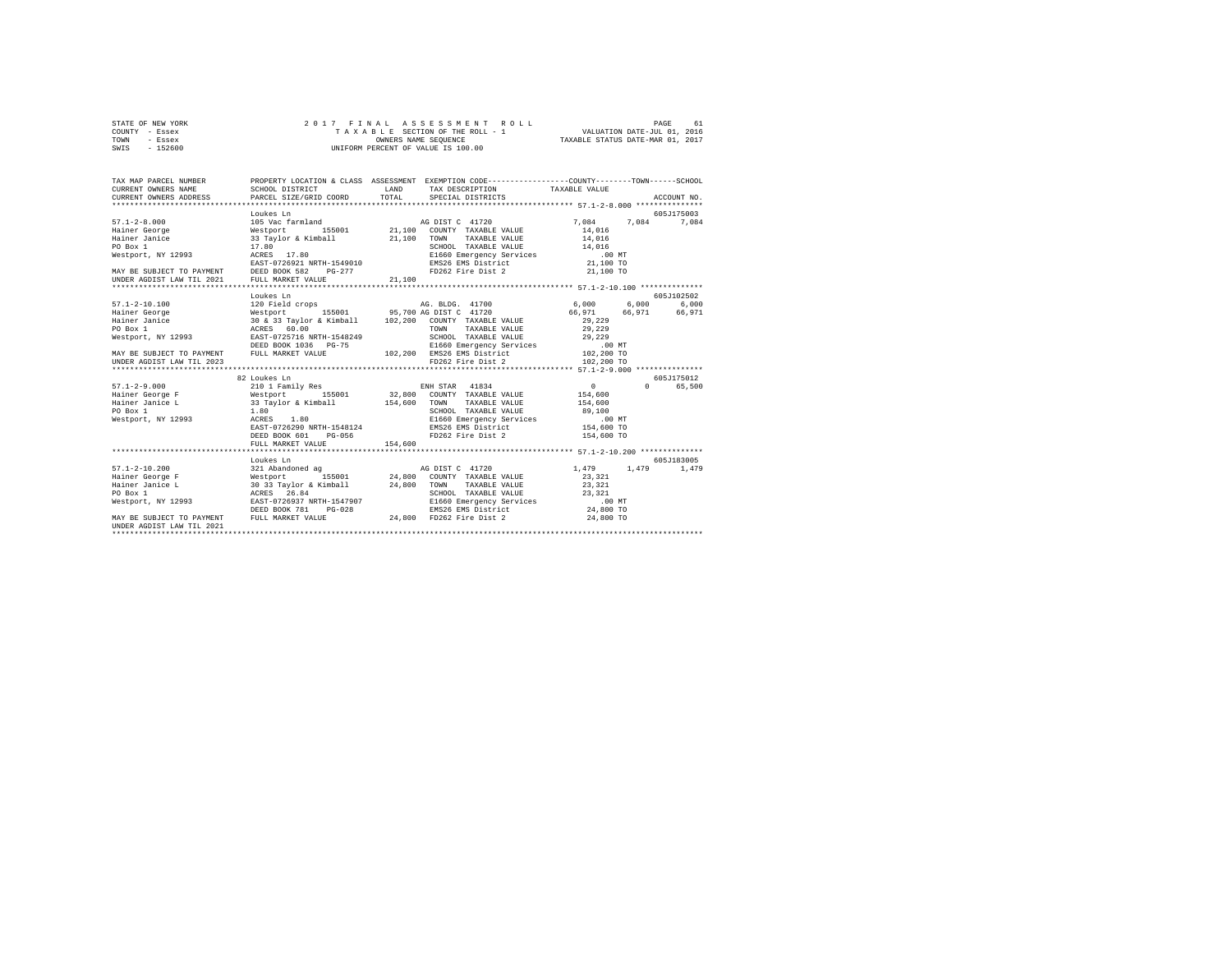| STATE OF NEW YORK | 2017 FINAL ASSESSMENT ROLL         | 61<br>PAGE                       |
|-------------------|------------------------------------|----------------------------------|
| COUNTY - Essex    | TAXABLE SECTION OF THE ROLL - 1    | VALUATION DATE-JUL 01, 2016      |
| TOWN<br>- Essex   | OWNERS NAME SEOUENCE               | TAXABLE STATUS DATE-MAR 01, 2017 |
| $-152600$<br>SWIS | UNIFORM PERCENT OF VALUE IS 100.00 |                                  |

| TAX MAP PARCEL NUMBER                       |                                                                                                                                                                                                                                      |         | PROPERTY LOCATION & CLASS ASSESSMENT EXEMPTION CODE----------------COUNTY-------TOWN------SCHOOL                                            |                 |                    |
|---------------------------------------------|--------------------------------------------------------------------------------------------------------------------------------------------------------------------------------------------------------------------------------------|---------|---------------------------------------------------------------------------------------------------------------------------------------------|-----------------|--------------------|
|                                             |                                                                                                                                                                                                                                      |         |                                                                                                                                             |                 |                    |
|                                             |                                                                                                                                                                                                                                      |         |                                                                                                                                             |                 |                    |
|                                             |                                                                                                                                                                                                                                      |         |                                                                                                                                             |                 |                    |
|                                             | Loukes Ln                                                                                                                                                                                                                            |         |                                                                                                                                             |                 | 605J175003         |
| $57.1 - 2 - 8.000$                          |                                                                                                                                                                                                                                      |         |                                                                                                                                             | 7.084 7.084     | 7,084              |
|                                             |                                                                                                                                                                                                                                      |         |                                                                                                                                             | 14,016          |                    |
|                                             |                                                                                                                                                                                                                                      |         | TAXABLE VALUE 14,016                                                                                                                        |                 |                    |
|                                             |                                                                                                                                                                                                                                      |         |                                                                                                                                             |                 |                    |
|                                             | 1971–2-20100 Mestport (1980) Mainer George (1980) Mestport (1980) Mestport (1980) Mainer Journal (1980) Mainer<br>Hainer Janice (1980) Mestport (1980) Mainer Janice (1980) Mestport (1980) Mainer (1980) Mainer (1980) Mainer (<br> |         |                                                                                                                                             |                 |                    |
|                                             |                                                                                                                                                                                                                                      |         |                                                                                                                                             |                 |                    |
|                                             |                                                                                                                                                                                                                                      |         | FD262 Fire Dist 2                                                                                                                           | 21,100 TO       |                    |
|                                             |                                                                                                                                                                                                                                      |         |                                                                                                                                             |                 |                    |
|                                             |                                                                                                                                                                                                                                      |         |                                                                                                                                             |                 |                    |
|                                             | Loukes Ln                                                                                                                                                                                                                            |         |                                                                                                                                             |                 | 605J102502         |
| 57.1-2-10.100                               | 120 Field crops                                                                                                                                                                                                                      |         | AG. BLDG. 41700 6,000 6,000 6,000 6,000                                                                                                     |                 |                    |
|                                             |                                                                                                                                                                                                                                      |         |                                                                                                                                             |                 |                    |
|                                             |                                                                                                                                                                                                                                      |         |                                                                                                                                             |                 |                    |
|                                             |                                                                                                                                                                                                                                      |         |                                                                                                                                             |                 |                    |
|                                             |                                                                                                                                                                                                                                      |         | SCHOOL TAXABLE VALUE 29, 229                                                                                                                |                 |                    |
|                                             |                                                                                                                                                                                                                                      |         |                                                                                                                                             |                 |                    |
|                                             | DEED BOOK 1036 PG-75 E1660 Emergency Services TITLO NT<br>MAY BE SUBJECT TO PAYMENT FULL MARKET VALUE 102,200 EMS26 EMS District 102,200 TO 2,200 TO 2,200 TO 2,200 TO                                                               |         |                                                                                                                                             |                 |                    |
|                                             |                                                                                                                                                                                                                                      |         |                                                                                                                                             |                 |                    |
|                                             |                                                                                                                                                                                                                                      |         |                                                                                                                                             |                 |                    |
|                                             | 82 Loukes Ln                                                                                                                                                                                                                         |         |                                                                                                                                             |                 | 605J175012         |
|                                             |                                                                                                                                                                                                                                      |         |                                                                                                                                             | $\sim$ 0 $\sim$ | $\Omega$<br>65,500 |
|                                             |                                                                                                                                                                                                                                      |         |                                                                                                                                             |                 |                    |
|                                             |                                                                                                                                                                                                                                      |         |                                                                                                                                             |                 |                    |
|                                             |                                                                                                                                                                                                                                      |         | SCHOOL TAXABLE VALUE 194,000<br>E1660 Emergency Services 09,100<br>ENS26 EMS District 154,600 TO<br>EMS262 Fire Dist 2<br>FD262 Fire Dist 2 |                 |                    |
| Westport, NY 12993 ACRES 1.80               | ACRES 1.80<br>EAST-0726290 NRTH-1548124<br>DEED BOOK 601 PG-056                                                                                                                                                                      |         |                                                                                                                                             |                 |                    |
|                                             |                                                                                                                                                                                                                                      |         |                                                                                                                                             |                 |                    |
|                                             |                                                                                                                                                                                                                                      |         | FD262 Fire Dist 2                                                                                                                           | 154,600 TO      |                    |
|                                             | FULL MARKET VALUE                                                                                                                                                                                                                    | 154,600 |                                                                                                                                             |                 |                    |
|                                             |                                                                                                                                                                                                                                      |         |                                                                                                                                             |                 |                    |
|                                             | Loukes Ln                                                                                                                                                                                                                            |         |                                                                                                                                             |                 | 605-7183005        |
| $57.1 - 2 - 10.200$                         | 321 Abandoned ag                                                                                                                                                                                                                     |         |                                                                                                                                             |                 | 1,479              |
|                                             |                                                                                                                                                                                                                                      |         | AG DIST C 41720 1,479 1,479                                                                                                                 |                 |                    |
|                                             | - 2000 - 21, 2000 - 24, 2000 - 2000 - 2000 - 2000 - 2000 - 2000 - 2000 - 2000 - 2000 - 2000 - 2000 - 2000 - 20<br>Hainer Janice L (2000 - 2000 - 2000 - 2000 - 2000 - 2000 - 2000 - 2000 - 2000 - 2000 - 2000 - 2000 - 2000 - 20<br> |         |                                                                                                                                             |                 |                    |
|                                             |                                                                                                                                                                                                                                      |         |                                                                                                                                             |                 |                    |
|                                             |                                                                                                                                                                                                                                      |         |                                                                                                                                             |                 |                    |
|                                             | Westport, NY 12993 EAST-0726937 NRTH-1547907                                                                                                                                                                                         |         |                                                                                                                                             |                 |                    |
|                                             | DEED BOOK 781<br>$PG-0.28$                                                                                                                                                                                                           |         | E1660 Emergency Services  00 MT<br>EMS26 EMS District  24,800 TO<br>PD160 Eise District  24,800 TO                                          |                 |                    |
| MAY BE SUBJECT TO PAYMENT FULL MARKET VALUE |                                                                                                                                                                                                                                      |         | 24,800 FD262 Fire Dist 2                                                                                                                    | 24,800 TO       |                    |
| UNDER AGDIST LAW TIL 2021                   |                                                                                                                                                                                                                                      |         |                                                                                                                                             |                 |                    |
|                                             |                                                                                                                                                                                                                                      |         |                                                                                                                                             |                 |                    |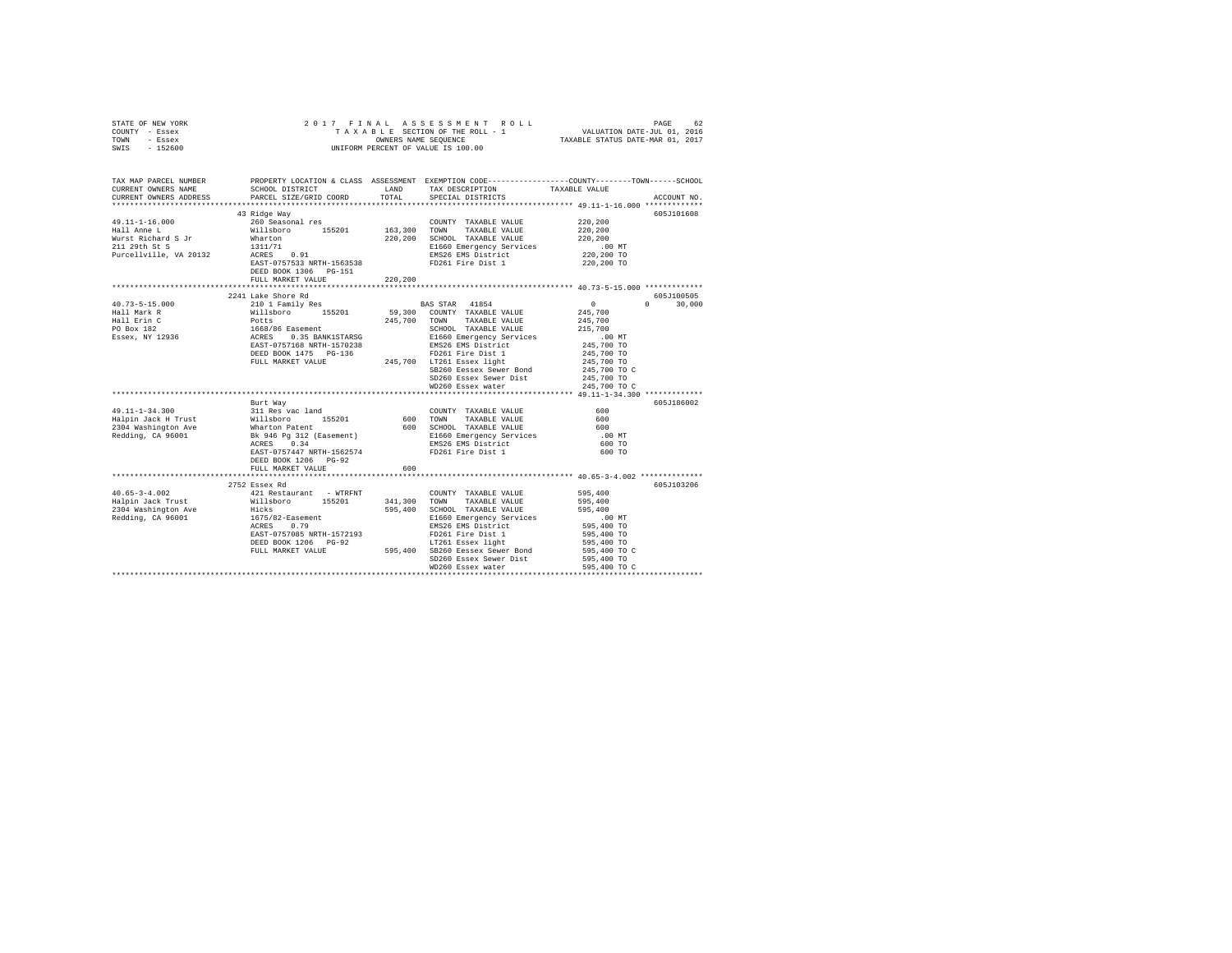| STATE OF NEW YORK<br>COUNTY - Essex                                                                                                                                                                                                                                                                                                                                                                                                        |                                                                                                                                                                                                                                          |              |                        |                                                         |               |
|--------------------------------------------------------------------------------------------------------------------------------------------------------------------------------------------------------------------------------------------------------------------------------------------------------------------------------------------------------------------------------------------------------------------------------------------|------------------------------------------------------------------------------------------------------------------------------------------------------------------------------------------------------------------------------------------|--------------|------------------------|---------------------------------------------------------|---------------|
| TOWN - Essex<br>SWIS - 152600                                                                                                                                                                                                                                                                                                                                                                                                              |                                                                                                                                                                                                                                          |              |                        |                                                         |               |
|                                                                                                                                                                                                                                                                                                                                                                                                                                            |                                                                                                                                                                                                                                          |              |                        |                                                         |               |
| TAX MAP PARCEL NUMBER<br>CURRENT OWNERS NAME                                                                                                                                                                                                                                                                                                                                                                                               | PROPERTY LOCATION & CLASS ASSESSMENT EXEMPTION CODE----------------COUNTY-------TOWN-----SCHOOL                                                                                                                                          |              |                        |                                                         |               |
| CURRENT OWNERS ADDRESS                                                                                                                                                                                                                                                                                                                                                                                                                     | PARCEL SIZE/GRID COORD                                                                                                                                                                                                                   | TOTAL        |                        |                                                         | ACCOUNT NO.   |
|                                                                                                                                                                                                                                                                                                                                                                                                                                            |                                                                                                                                                                                                                                          |              |                        |                                                         |               |
|                                                                                                                                                                                                                                                                                                                                                                                                                                            | 43 Ridge Way                                                                                                                                                                                                                             |              |                        |                                                         | 605J101608    |
| 49.11-1-16.000                                                                                                                                                                                                                                                                                                                                                                                                                             | 260 Seasonal res                                                                                                                                                                                                                         |              | COUNTY TAXABLE VALUE   | 220,200                                                 |               |
| Hall Anne L                                                                                                                                                                                                                                                                                                                                                                                                                                | Willsboro 155201                                                                                                                                                                                                                         | 163,300 TOWN | TAXABLE VALUE          | 220,200                                                 |               |
| Wurst Richard S Jr<br>211 29th St S                                                                                                                                                                                                                                                                                                                                                                                                        | WILISDON: 199201 1020,200 SCHOOL TAXABLE VALUE 1020,200<br>1311/71 1220,200 ECHOOL TAXABLE VALUE 220,200<br>1311/71 1220,200 ECHOOL TAXABLE VALUE 220,200<br>REES 0.91 EMS26 EMS District 220,200 TO<br>REES 1 220,200 TO<br>REES 1 220, |              |                        |                                                         |               |
| Purcellville, VA 20132                                                                                                                                                                                                                                                                                                                                                                                                                     |                                                                                                                                                                                                                                          |              |                        |                                                         |               |
|                                                                                                                                                                                                                                                                                                                                                                                                                                            |                                                                                                                                                                                                                                          |              |                        |                                                         |               |
|                                                                                                                                                                                                                                                                                                                                                                                                                                            | DEED BOOK 1306 PG-151                                                                                                                                                                                                                    |              |                        |                                                         |               |
|                                                                                                                                                                                                                                                                                                                                                                                                                                            | FULL MARKET VALUE                                                                                                                                                                                                                        | 220,200      |                        |                                                         |               |
|                                                                                                                                                                                                                                                                                                                                                                                                                                            |                                                                                                                                                                                                                                          |              |                        | ******************* 40.73-5-15.000 **************       |               |
|                                                                                                                                                                                                                                                                                                                                                                                                                                            |                                                                                                                                                                                                                                          |              |                        |                                                         | 605J100505    |
|                                                                                                                                                                                                                                                                                                                                                                                                                                            |                                                                                                                                                                                                                                          |              |                        | $\sim$ 0                                                | $0 \t 30,000$ |
|                                                                                                                                                                                                                                                                                                                                                                                                                                            |                                                                                                                                                                                                                                          |              |                        | 245,700                                                 |               |
|                                                                                                                                                                                                                                                                                                                                                                                                                                            |                                                                                                                                                                                                                                          |              |                        | 245,700                                                 |               |
|                                                                                                                                                                                                                                                                                                                                                                                                                                            |                                                                                                                                                                                                                                          |              |                        |                                                         |               |
|                                                                                                                                                                                                                                                                                                                                                                                                                                            |                                                                                                                                                                                                                                          |              |                        | 245,700<br>215,700<br>00 MT<br>245,700 TO<br>245,700 TO |               |
|                                                                                                                                                                                                                                                                                                                                                                                                                                            |                                                                                                                                                                                                                                          |              |                        |                                                         |               |
|                                                                                                                                                                                                                                                                                                                                                                                                                                            |                                                                                                                                                                                                                                          |              |                        |                                                         |               |
|                                                                                                                                                                                                                                                                                                                                                                                                                                            |                                                                                                                                                                                                                                          |              |                        | 245,700 TO<br>245,700 TO C                              |               |
|                                                                                                                                                                                                                                                                                                                                                                                                                                            |                                                                                                                                                                                                                                          |              |                        | 245,700 TO                                              |               |
|                                                                                                                                                                                                                                                                                                                                                                                                                                            |                                                                                                                                                                                                                                          |              | WD260 Essex water      | 245,700 TO C                                            |               |
|                                                                                                                                                                                                                                                                                                                                                                                                                                            |                                                                                                                                                                                                                                          |              |                        |                                                         |               |
|                                                                                                                                                                                                                                                                                                                                                                                                                                            |                                                                                                                                                                                                                                          |              |                        |                                                         | 605J186002    |
|                                                                                                                                                                                                                                                                                                                                                                                                                                            |                                                                                                                                                                                                                                          |              |                        |                                                         |               |
|                                                                                                                                                                                                                                                                                                                                                                                                                                            |                                                                                                                                                                                                                                          |              |                        |                                                         |               |
|                                                                                                                                                                                                                                                                                                                                                                                                                                            |                                                                                                                                                                                                                                          |              |                        |                                                         |               |
|                                                                                                                                                                                                                                                                                                                                                                                                                                            |                                                                                                                                                                                                                                          |              |                        |                                                         |               |
|                                                                                                                                                                                                                                                                                                                                                                                                                                            |                                                                                                                                                                                                                                          |              |                        |                                                         |               |
|                                                                                                                                                                                                                                                                                                                                                                                                                                            |                                                                                                                                                                                                                                          |              |                        |                                                         |               |
|                                                                                                                                                                                                                                                                                                                                                                                                                                            |                                                                                                                                                                                                                                          |              |                        |                                                         |               |
|                                                                                                                                                                                                                                                                                                                                                                                                                                            | FULL MARKET VALUE                                                                                                                                                                                                                        |              |                        |                                                         |               |
|                                                                                                                                                                                                                                                                                                                                                                                                                                            | 2752 Essex Rd                                                                                                                                                                                                                            |              |                        |                                                         | 605J103206    |
| $40.65 - 3 - 4.002$                                                                                                                                                                                                                                                                                                                                                                                                                        | 421 Restaurant - WTRFNT                                                                                                                                                                                                                  |              | COUNTY TAXABLE VALUE   | 595,400                                                 |               |
|                                                                                                                                                                                                                                                                                                                                                                                                                                            |                                                                                                                                                                                                                                          |              |                        | 595,400                                                 |               |
|                                                                                                                                                                                                                                                                                                                                                                                                                                            |                                                                                                                                                                                                                                          |              |                        | 595,400                                                 |               |
|                                                                                                                                                                                                                                                                                                                                                                                                                                            |                                                                                                                                                                                                                                          |              |                        | .00 MT                                                  |               |
| ${\small \begin{tabular}{l c c c c c} \multicolumn{3}{c}{\textbf{H4D}}{\textbf{595-3}-4.002}} & \multicolumn{3}{c}{\textbf{H4D}}{\textbf{595-4.002}} & \multicolumn{3}{c}{\textbf{H4D}}{\textbf{595-4.002}} & \multicolumn{3}{c}{\textbf{GMDR}} & \multicolumn{3}{c}{\textbf{TMABLE VALUE}} & \multicolumn{3}{c}{\textbf{HALB}}\\ \hline \multicolumn{3}{c}{\textbf{Haplin Jack Trust}} & \multicolumn{3}{c}{\textbf{H1lsboro}} & \multic$ |                                                                                                                                                                                                                                          |              |                        |                                                         |               |
|                                                                                                                                                                                                                                                                                                                                                                                                                                            |                                                                                                                                                                                                                                          |              |                        | 595,400 TO<br>595,400 TO                                |               |
|                                                                                                                                                                                                                                                                                                                                                                                                                                            |                                                                                                                                                                                                                                          |              |                        | 595,400 TO                                              |               |
|                                                                                                                                                                                                                                                                                                                                                                                                                                            |                                                                                                                                                                                                                                          |              |                        | 595,400 TO C                                            |               |
|                                                                                                                                                                                                                                                                                                                                                                                                                                            |                                                                                                                                                                                                                                          |              | SD260 Essex Sewer Dist | 595,400 TO                                              |               |
|                                                                                                                                                                                                                                                                                                                                                                                                                                            |                                                                                                                                                                                                                                          |              | WD260 Essex water      | 595,400 TO C                                            |               |
|                                                                                                                                                                                                                                                                                                                                                                                                                                            |                                                                                                                                                                                                                                          |              |                        |                                                         |               |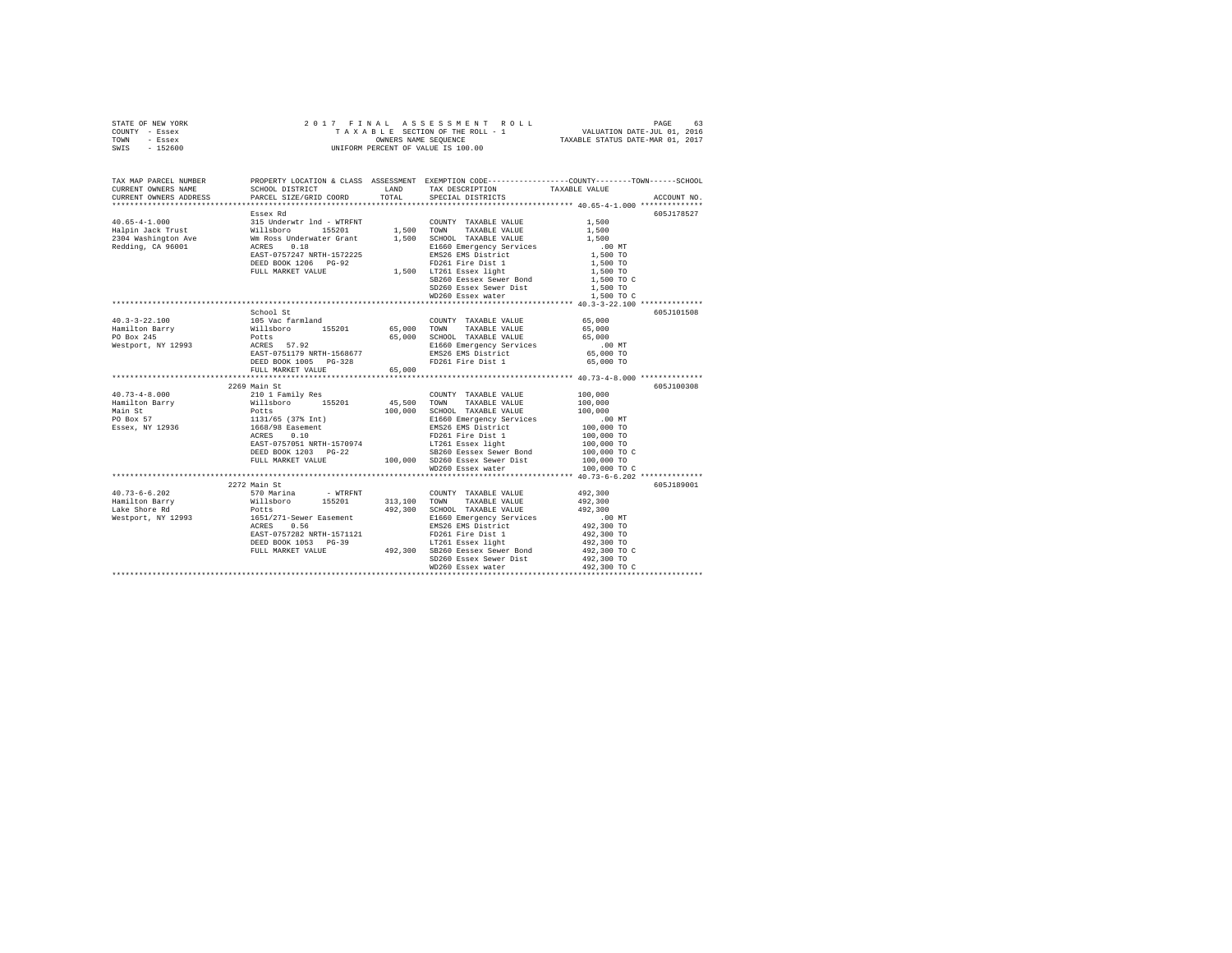| STATE OF NEW YORK | 2017 FINAL ASSESSMENT ROLL         | 63<br>PAGE                       |
|-------------------|------------------------------------|----------------------------------|
| - Essex<br>COUNTY | TAXABLE SECTION OF THE ROLL - 1    | VALUATION DATE-JUL 01, 2016      |
| TOWN<br>- Essex   | OWNERS NAME SEOUENCE               | TAXABLE STATUS DATE-MAR 01, 2017 |
| $-152600$<br>SWIS | UNIFORM PERCENT OF VALUE IS 100.00 |                                  |
|                   |                                    |                                  |

| TAX MAP PARCEL NUMBER<br>CURRENT OWNERS NAME<br>CURRENT OWNERS ADDRESS PARCEL SIZE/GRID COORD TOTAL SPECIAL DISTRICTS                                                                                                                                                                                                                                                                                                  | SCHOOL DISTRICT TAND TAX DESCRIPTION                                                                                                                                                                                                           |                                                                   | PROPERTY LOCATION & CLASS ASSESSMENT EXEMPTION CODE---------------COUNTY-------TOWN------SCHOOL<br>TAXABLE VALUE<br>ACCOUNT NO. |      |      |      |      |      |      |      |      |      |      |      |      |      |      |      |      |  |  |            |
|------------------------------------------------------------------------------------------------------------------------------------------------------------------------------------------------------------------------------------------------------------------------------------------------------------------------------------------------------------------------------------------------------------------------|------------------------------------------------------------------------------------------------------------------------------------------------------------------------------------------------------------------------------------------------|-------------------------------------------------------------------|---------------------------------------------------------------------------------------------------------------------------------|------|------|------|------|------|------|------|------|------|------|------|------|------|------|------|------|--|--|------------|
|                                                                                                                                                                                                                                                                                                                                                                                                                        |                                                                                                                                                                                                                                                |                                                                   |                                                                                                                                 |      |      |      |      |      |      |      |      |      |      |      |      |      |      |      |      |  |  |            |
| $\n\n\n1.00\n2.00\n\n\n1.00\n2.01\n3.00\n4.00\n4.00\n4.00\n\n\n1.00\n3.01\n4.00\n4.00\n4.00\n4.00\n\n\n1.00\n2.01\n4.00\n4.00\n4.00\n$                                                                                                                                                                                                                                                                                 | 1.00                                                                                                                                                                                                                                           | 2.00                                                              | 1.00                                                                                                                            | 2.01 | 3.00 | 4.00 | 4.00 | 4.00 | 1.00 | 3.01 | 4.00 | 4.00 | 4.00 | 4.00 | 1.00 | 2.01 | 4.00 | 4.00 | 4.00 |  |  | 605J178527 |
| 1.00                                                                                                                                                                                                                                                                                                                                                                                                                   | 2.00                                                                                                                                                                                                                                           |                                                                   |                                                                                                                                 |      |      |      |      |      |      |      |      |      |      |      |      |      |      |      |      |  |  |            |
| 1.00                                                                                                                                                                                                                                                                                                                                                                                                                   | 2.01                                                                                                                                                                                                                                           | 3.00                                                              | 4.00                                                                                                                            | 4.00 | 4.00 |      |      |      |      |      |      |      |      |      |      |      |      |      |      |  |  |            |
| 1.00                                                                                                                                                                                                                                                                                                                                                                                                                   | 3.01                                                                                                                                                                                                                                           | 4.00                                                              | 4.00                                                                                                                            | 4.00 | 4.00 |      |      |      |      |      |      |      |      |      |      |      |      |      |      |  |  |            |
| 1.00                                                                                                                                                                                                                                                                                                                                                                                                                   | 2.01                                                                                                                                                                                                                                           | 4.00                                                              | 4.00                                                                                                                            | 4.00 |      |      |      |      |      |      |      |      |      |      |      |      |      |      |      |  |  |            |
|                                                                                                                                                                                                                                                                                                                                                                                                                        |                                                                                                                                                                                                                                                |                                                                   |                                                                                                                                 |      |      |      |      |      |      |      |      |      |      |      |      |      |      |      |      |  |  |            |
|                                                                                                                                                                                                                                                                                                                                                                                                                        |                                                                                                                                                                                                                                                |                                                                   |                                                                                                                                 |      |      |      |      |      |      |      |      |      |      |      |      |      |      |      |      |  |  |            |
|                                                                                                                                                                                                                                                                                                                                                                                                                        |                                                                                                                                                                                                                                                |                                                                   |                                                                                                                                 |      |      |      |      |      |      |      |      |      |      |      |      |      |      |      |      |  |  |            |
|                                                                                                                                                                                                                                                                                                                                                                                                                        |                                                                                                                                                                                                                                                |                                                                   |                                                                                                                                 |      |      |      |      |      |      |      |      |      |      |      |      |      |      |      |      |  |  |            |
|                                                                                                                                                                                                                                                                                                                                                                                                                        |                                                                                                                                                                                                                                                |                                                                   |                                                                                                                                 |      |      |      |      |      |      |      |      |      |      |      |      |      |      |      |      |  |  |            |
|                                                                                                                                                                                                                                                                                                                                                                                                                        |                                                                                                                                                                                                                                                |                                                                   |                                                                                                                                 |      |      |      |      |      |      |      |      |      |      |      |      |      |      |      |      |  |  |            |
|                                                                                                                                                                                                                                                                                                                                                                                                                        |                                                                                                                                                                                                                                                |                                                                   |                                                                                                                                 |      |      |      |      |      |      |      |      |      |      |      |      |      |      |      |      |  |  |            |
|                                                                                                                                                                                                                                                                                                                                                                                                                        |                                                                                                                                                                                                                                                |                                                                   |                                                                                                                                 |      |      |      |      |      |      |      |      |      |      |      |      |      |      |      |      |  |  |            |
|                                                                                                                                                                                                                                                                                                                                                                                                                        |                                                                                                                                                                                                                                                | SD260 Essex Sewer Dist<br>WD260 Essex water                       | 1,500 TO                                                                                                                        |      |      |      |      |      |      |      |      |      |      |      |      |      |      |      |      |  |  |            |
|                                                                                                                                                                                                                                                                                                                                                                                                                        |                                                                                                                                                                                                                                                |                                                                   |                                                                                                                                 |      |      |      |      |      |      |      |      |      |      |      |      |      |      |      |      |  |  |            |
|                                                                                                                                                                                                                                                                                                                                                                                                                        |                                                                                                                                                                                                                                                |                                                                   |                                                                                                                                 |      |      |      |      |      |      |      |      |      |      |      |      |      |      |      |      |  |  |            |
|                                                                                                                                                                                                                                                                                                                                                                                                                        | School St                                                                                                                                                                                                                                      |                                                                   | 605J101508                                                                                                                      |      |      |      |      |      |      |      |      |      |      |      |      |      |      |      |      |  |  |            |
|                                                                                                                                                                                                                                                                                                                                                                                                                        |                                                                                                                                                                                                                                                |                                                                   |                                                                                                                                 |      |      |      |      |      |      |      |      |      |      |      |      |      |      |      |      |  |  |            |
|                                                                                                                                                                                                                                                                                                                                                                                                                        |                                                                                                                                                                                                                                                |                                                                   |                                                                                                                                 |      |      |      |      |      |      |      |      |      |      |      |      |      |      |      |      |  |  |            |
|                                                                                                                                                                                                                                                                                                                                                                                                                        |                                                                                                                                                                                                                                                |                                                                   |                                                                                                                                 |      |      |      |      |      |      |      |      |      |      |      |      |      |      |      |      |  |  |            |
|                                                                                                                                                                                                                                                                                                                                                                                                                        |                                                                                                                                                                                                                                                |                                                                   |                                                                                                                                 |      |      |      |      |      |      |      |      |      |      |      |      |      |      |      |      |  |  |            |
|                                                                                                                                                                                                                                                                                                                                                                                                                        |                                                                                                                                                                                                                                                |                                                                   |                                                                                                                                 |      |      |      |      |      |      |      |      |      |      |      |      |      |      |      |      |  |  |            |
|                                                                                                                                                                                                                                                                                                                                                                                                                        |                                                                                                                                                                                                                                                |                                                                   |                                                                                                                                 |      |      |      |      |      |      |      |      |      |      |      |      |      |      |      |      |  |  |            |
|                                                                                                                                                                                                                                                                                                                                                                                                                        | FULL MARKET VALUE 65,000                                                                                                                                                                                                                       |                                                                   |                                                                                                                                 |      |      |      |      |      |      |      |      |      |      |      |      |      |      |      |      |  |  |            |
| $\begin{tabular}{l c c c c c} \multicolumn{4}{c}{\textbf{100,000}} & \multicolumn{4}{c}{2269} \multicolumn{4}{c}{\textbf{2269}} & \multicolumn{4}{c}{\textbf{2269}} & \multicolumn{4}{c}{\textbf{100,000}} & \multicolumn{4}{c}{\textbf{2269}} & \multicolumn{4}{c}{\textbf{2269}} & \multicolumn{4}{c}{\textbf{100,000}} & \multicolumn{4}{c}{\textbf{2269}} & \multicolumn{4}{c}{\textbf{2269}} & \multicolumn{4}{c$ |                                                                                                                                                                                                                                                |                                                                   |                                                                                                                                 |      |      |      |      |      |      |      |      |      |      |      |      |      |      |      |      |  |  |            |
|                                                                                                                                                                                                                                                                                                                                                                                                                        |                                                                                                                                                                                                                                                |                                                                   | 605J100308                                                                                                                      |      |      |      |      |      |      |      |      |      |      |      |      |      |      |      |      |  |  |            |
|                                                                                                                                                                                                                                                                                                                                                                                                                        |                                                                                                                                                                                                                                                |                                                                   |                                                                                                                                 |      |      |      |      |      |      |      |      |      |      |      |      |      |      |      |      |  |  |            |
|                                                                                                                                                                                                                                                                                                                                                                                                                        |                                                                                                                                                                                                                                                |                                                                   |                                                                                                                                 |      |      |      |      |      |      |      |      |      |      |      |      |      |      |      |      |  |  |            |
|                                                                                                                                                                                                                                                                                                                                                                                                                        |                                                                                                                                                                                                                                                |                                                                   |                                                                                                                                 |      |      |      |      |      |      |      |      |      |      |      |      |      |      |      |      |  |  |            |
|                                                                                                                                                                                                                                                                                                                                                                                                                        |                                                                                                                                                                                                                                                |                                                                   |                                                                                                                                 |      |      |      |      |      |      |      |      |      |      |      |      |      |      |      |      |  |  |            |
|                                                                                                                                                                                                                                                                                                                                                                                                                        |                                                                                                                                                                                                                                                |                                                                   |                                                                                                                                 |      |      |      |      |      |      |      |      |      |      |      |      |      |      |      |      |  |  |            |
|                                                                                                                                                                                                                                                                                                                                                                                                                        |                                                                                                                                                                                                                                                |                                                                   |                                                                                                                                 |      |      |      |      |      |      |      |      |      |      |      |      |      |      |      |      |  |  |            |
|                                                                                                                                                                                                                                                                                                                                                                                                                        |                                                                                                                                                                                                                                                |                                                                   |                                                                                                                                 |      |      |      |      |      |      |      |      |      |      |      |      |      |      |      |      |  |  |            |
|                                                                                                                                                                                                                                                                                                                                                                                                                        |                                                                                                                                                                                                                                                |                                                                   |                                                                                                                                 |      |      |      |      |      |      |      |      |      |      |      |      |      |      |      |      |  |  |            |
|                                                                                                                                                                                                                                                                                                                                                                                                                        |                                                                                                                                                                                                                                                |                                                                   |                                                                                                                                 |      |      |      |      |      |      |      |      |      |      |      |      |      |      |      |      |  |  |            |
|                                                                                                                                                                                                                                                                                                                                                                                                                        |                                                                                                                                                                                                                                                |                                                                   |                                                                                                                                 |      |      |      |      |      |      |      |      |      |      |      |      |      |      |      |      |  |  |            |
|                                                                                                                                                                                                                                                                                                                                                                                                                        |                                                                                                                                                                                                                                                |                                                                   |                                                                                                                                 |      |      |      |      |      |      |      |      |      |      |      |      |      |      |      |      |  |  |            |
|                                                                                                                                                                                                                                                                                                                                                                                                                        |                                                                                                                                                                                                                                                |                                                                   | 605J189001                                                                                                                      |      |      |      |      |      |      |      |      |      |      |      |      |      |      |      |      |  |  |            |
|                                                                                                                                                                                                                                                                                                                                                                                                                        |                                                                                                                                                                                                                                                |                                                                   |                                                                                                                                 |      |      |      |      |      |      |      |      |      |      |      |      |      |      |      |      |  |  |            |
|                                                                                                                                                                                                                                                                                                                                                                                                                        |                                                                                                                                                                                                                                                |                                                                   |                                                                                                                                 |      |      |      |      |      |      |      |      |      |      |      |      |      |      |      |      |  |  |            |
|                                                                                                                                                                                                                                                                                                                                                                                                                        |                                                                                                                                                                                                                                                |                                                                   |                                                                                                                                 |      |      |      |      |      |      |      |      |      |      |      |      |      |      |      |      |  |  |            |
|                                                                                                                                                                                                                                                                                                                                                                                                                        |                                                                                                                                                                                                                                                |                                                                   |                                                                                                                                 |      |      |      |      |      |      |      |      |      |      |      |      |      |      |      |      |  |  |            |
|                                                                                                                                                                                                                                                                                                                                                                                                                        |                                                                                                                                                                                                                                                |                                                                   |                                                                                                                                 |      |      |      |      |      |      |      |      |      |      |      |      |      |      |      |      |  |  |            |
|                                                                                                                                                                                                                                                                                                                                                                                                                        | 011/12/11<br>Potts 192,300 SCROOL TAXABLE VALUE 192,300<br>1651/2711-Sever Easement 192,300 SCROOL TAXABLE VALUE 10<br>200 MT<br>EAST-0757282 NRTH-1571121<br>PERS 192,300 TO<br>EAST-0757282 NRTH-1571121<br>PERS 192,300 TO<br>DEED BOOK 105 |                                                                   |                                                                                                                                 |      |      |      |      |      |      |      |      |      |      |      |      |      |      |      |      |  |  |            |
|                                                                                                                                                                                                                                                                                                                                                                                                                        |                                                                                                                                                                                                                                                |                                                                   | 492,300 TO<br>492,300 TO C                                                                                                      |      |      |      |      |      |      |      |      |      |      |      |      |      |      |      |      |  |  |            |
|                                                                                                                                                                                                                                                                                                                                                                                                                        |                                                                                                                                                                                                                                                |                                                                   |                                                                                                                                 |      |      |      |      |      |      |      |      |      |      |      |      |      |      |      |      |  |  |            |
|                                                                                                                                                                                                                                                                                                                                                                                                                        |                                                                                                                                                                                                                                                | SD260 Essex Sewer Dist 492,300 TO<br>WD260 Essex water 492,300 TO |                                                                                                                                 |      |      |      |      |      |      |      |      |      |      |      |      |      |      |      |      |  |  |            |
|                                                                                                                                                                                                                                                                                                                                                                                                                        |                                                                                                                                                                                                                                                |                                                                   |                                                                                                                                 |      |      |      |      |      |      |      |      |      |      |      |      |      |      |      |      |  |  |            |
|                                                                                                                                                                                                                                                                                                                                                                                                                        |                                                                                                                                                                                                                                                |                                                                   |                                                                                                                                 |      |      |      |      |      |      |      |      |      |      |      |      |      |      |      |      |  |  |            |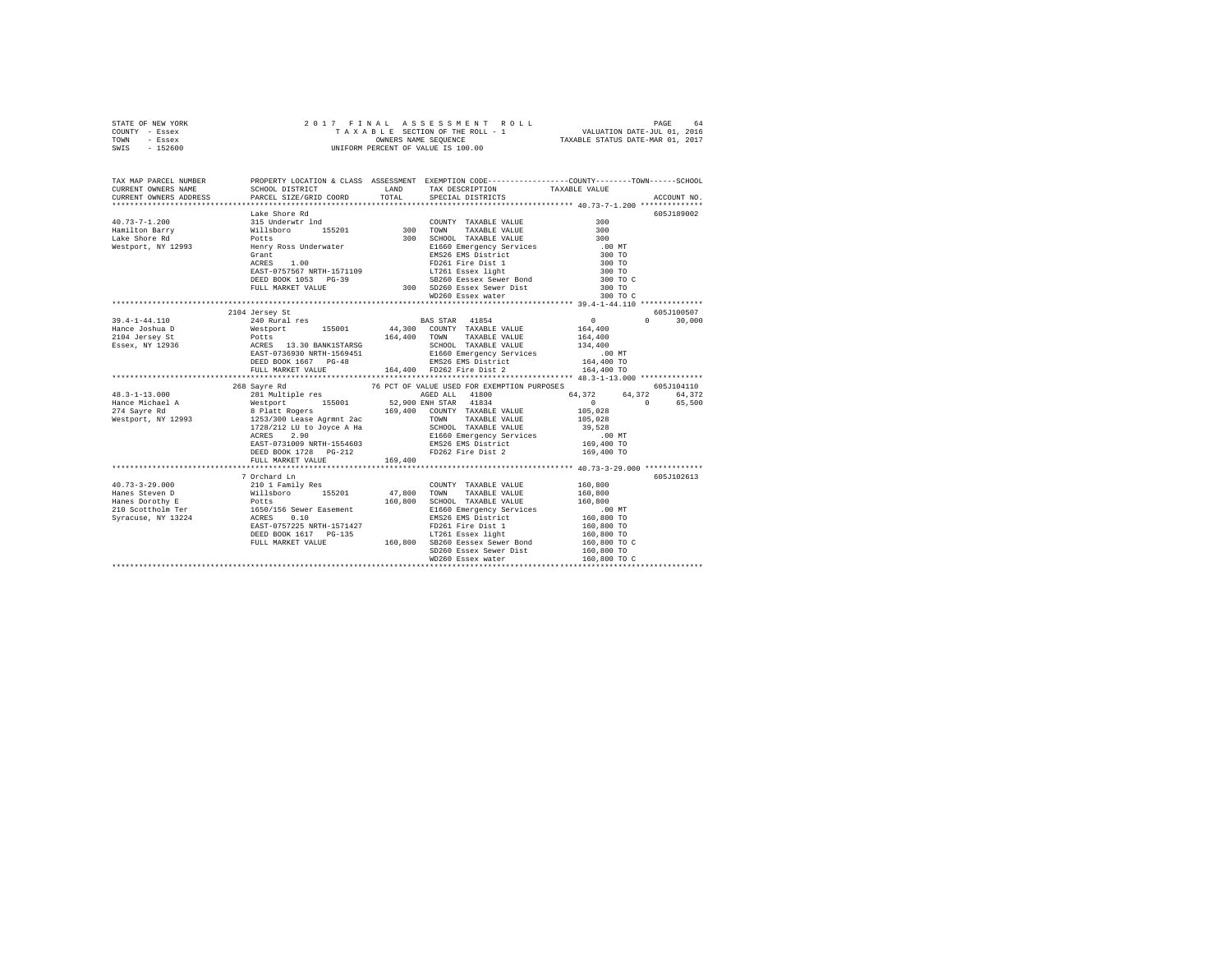| STATE OF NEW YORK | 2017 FINAL ASSESSMENT ROLL         | 64<br>PAGE                       |
|-------------------|------------------------------------|----------------------------------|
| COUNTY - Essex    | TAXABLE SECTION OF THE ROLL - 1    | VALUATION DATE-JUL 01, 2016      |
| TOWN<br>- Essex   | OWNERS NAME SEOUENCE               | TAXABLE STATUS DATE-MAR 01, 2017 |
| $-152600$<br>SWIS | UNIFORM PERCENT OF VALUE IS 100.00 |                                  |

| TAX MAP PARCEL NUMBER |                                                                                                                                                                                                                                                                                                                                                                                                                                                      | TOTAL   | LAND TAX DESCRIPTION                                                                                                                                                                                              | PROPERTY LOCATION & CLASS ASSESSMENT EXEMPTION CODE---------------COUNTY-------TOWN-----SCHOOL<br>ACCOUNT NO. |
|-----------------------|------------------------------------------------------------------------------------------------------------------------------------------------------------------------------------------------------------------------------------------------------------------------------------------------------------------------------------------------------------------------------------------------------------------------------------------------------|---------|-------------------------------------------------------------------------------------------------------------------------------------------------------------------------------------------------------------------|---------------------------------------------------------------------------------------------------------------|
|                       |                                                                                                                                                                                                                                                                                                                                                                                                                                                      |         |                                                                                                                                                                                                                   | 605J189002<br>300 TO<br>300 TO<br>300 TO<br>300 TO C<br>300 TO C                                              |
|                       | 2104 Jersey St<br>$\begin{tabular}{l c c c c c} \multicolumn{1}{c c c} \multicolumn{1}{c c c} \multicolumn{1}{c c}{} & \multicolumn{1}{c c}{} & \multicolumn{1}{c c}{} & \multicolumn{1}{c c}{} & \multicolumn{1}{c c}{} & \multicolumn{1}{c c}{} & \multicolumn{1}{c c}{} & \multicolumn{1}{c c}{} & \multicolumn{1}{c c}{} & \multicolumn{1}{c c}{} & \multicolumn{1}{c c}{} & \multicolumn{1}{c c}{} & \multicolumn{1}{c c}{} & \multicolumn{1}{$ |         |                                                                                                                                                                                                                   | 605J100507<br>$0 \qquad \qquad$<br>30,000                                                                     |
|                       | 1931 128/31 12993 268 Sayre Rd<br>268 Sayre Rd<br>268 Sayre Rd<br>268 Sayre Rd<br>261 Multiple res<br>274 Sayre Rd<br>281 Multiple res<br>274 Sayre Rd<br>281 Multiple res<br>274 Sayre Rd<br>274 Sayre Rd<br>274 Sayre Rd<br>274 Sayre Rd<br>274 Sayre<br>FULL MARKET VALUE                                                                                                                                                                         | 169,400 |                                                                                                                                                                                                                   | 605J104110<br>64,372<br>64,372<br>$\sim$ 0<br>65,500                                                          |
|                       | 7 Orchard Ln<br>DEED BOOK 1617 PG-135                                                                                                                                                                                                                                                                                                                                                                                                                |         | $$\tt DEED\ BOOK\ 1617\quad PG-135\qquad \qquad $\tt LT261\ Bssex\ 1ight\qquad \qquad 160,800\ TO\qquad \qquad $00$\ FUL\ MARKET\ VALUE\qquad \qquad 160,800\ TO\qquad \qquad $160$\t}$<br>SD260 Essex Sewer Dist | 605J102613<br>160,800 TO                                                                                      |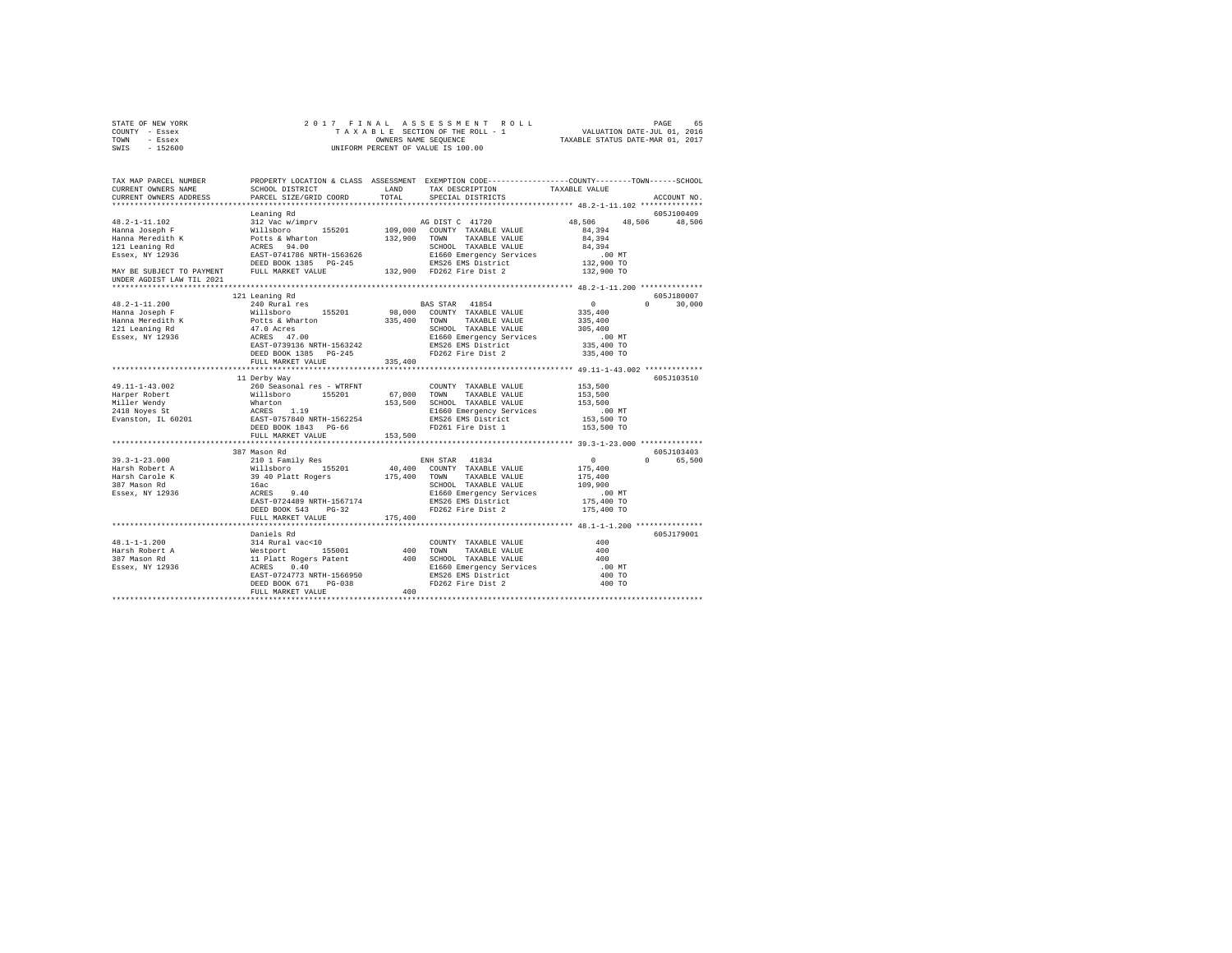| STATE OF NEW YORK                                                         |                           |                                                                                                                                                                                                                                                                                                                                                                                                                                             |                                                                                                 |
|---------------------------------------------------------------------------|---------------------------|---------------------------------------------------------------------------------------------------------------------------------------------------------------------------------------------------------------------------------------------------------------------------------------------------------------------------------------------------------------------------------------------------------------------------------------------|-------------------------------------------------------------------------------------------------|
| COUNTY - Essex                                                            |                           |                                                                                                                                                                                                                                                                                                                                                                                                                                             |                                                                                                 |
| TOWN - Essex                                                              |                           |                                                                                                                                                                                                                                                                                                                                                                                                                                             |                                                                                                 |
| SWIS - 152600                                                             |                           |                                                                                                                                                                                                                                                                                                                                                                                                                                             |                                                                                                 |
|                                                                           |                           |                                                                                                                                                                                                                                                                                                                                                                                                                                             |                                                                                                 |
| TAX MAP PARCEL NUMBER                                                     |                           |                                                                                                                                                                                                                                                                                                                                                                                                                                             | PROPERTY LOCATION & CLASS ASSESSMENT EXEMPTION CODE---------------COUNTY-------TOWN------SCHOOL |
| CURRENT OWNERS NAME                                                       | SCHOOL DISTRICT LAND      | TAX DESCRIPTION TAXABLE VALUE                                                                                                                                                                                                                                                                                                                                                                                                               |                                                                                                 |
| CURRENT OWNERS ADDRESS                                                    | PARCEL SIZE/GRID COORD    | TOTAL<br>SPECIAL DISTRICTS                                                                                                                                                                                                                                                                                                                                                                                                                  | ACCOUNT NO.                                                                                     |
|                                                                           |                           |                                                                                                                                                                                                                                                                                                                                                                                                                                             |                                                                                                 |
|                                                                           | Leaning Rd                |                                                                                                                                                                                                                                                                                                                                                                                                                                             | 605J100409                                                                                      |
|                                                                           |                           |                                                                                                                                                                                                                                                                                                                                                                                                                                             | 48,506 48,506 48,506                                                                            |
|                                                                           |                           |                                                                                                                                                                                                                                                                                                                                                                                                                                             | 84,394                                                                                          |
|                                                                           |                           |                                                                                                                                                                                                                                                                                                                                                                                                                                             | 84,394                                                                                          |
|                                                                           |                           | SCHOOL TAXABLE VALUE                                                                                                                                                                                                                                                                                                                                                                                                                        | 84,394                                                                                          |
| 121 Leaning<br>Essex, NY 12936                                            |                           |                                                                                                                                                                                                                                                                                                                                                                                                                                             |                                                                                                 |
|                                                                           |                           |                                                                                                                                                                                                                                                                                                                                                                                                                                             |                                                                                                 |
|                                                                           |                           |                                                                                                                                                                                                                                                                                                                                                                                                                                             |                                                                                                 |
| UNDER AGDIST LAW TIL 2021                                                 |                           |                                                                                                                                                                                                                                                                                                                                                                                                                                             |                                                                                                 |
|                                                                           |                           |                                                                                                                                                                                                                                                                                                                                                                                                                                             |                                                                                                 |
|                                                                           | 121 Leaning Rd            |                                                                                                                                                                                                                                                                                                                                                                                                                                             | 605J180007                                                                                      |
| $48.2 - 1 - 11.200$                                                       | 240 Rural res             | BAS STAR 41854<br>98,000 COUNTY TAXABLE VALUE                                                                                                                                                                                                                                                                                                                                                                                               | $0 \t 30,000$<br>$\sim$ 0                                                                       |
| Hanna Joseph F                                                            | Willsboro 155201          |                                                                                                                                                                                                                                                                                                                                                                                                                                             | 335,400                                                                                         |
|                                                                           |                           |                                                                                                                                                                                                                                                                                                                                                                                                                                             | 335,400                                                                                         |
|                                                                           |                           | SCHOOL TAXABLE VALUE                                                                                                                                                                                                                                                                                                                                                                                                                        | 305,400                                                                                         |
| Hanna Meredith K<br>Hanna Meredith K<br>121 Leaning Rd<br>Essex, NY 12936 |                           | notts & Wharton (2008), 1996 (2008), 1997 (2008), 1997<br>2010 (2008) (2008) (2009), 2010 (2010), 2010<br>2011 (2010) (2010) (2010) (2010) (2010), E1660 Emergency Services<br>------<br>E1660 Emergency Services<br>EMS26 EMS District<br>FD262 Fire Dist 2                                                                                                                                                                                |                                                                                                 |
|                                                                           | EAST-0739136 NRTH-1563242 |                                                                                                                                                                                                                                                                                                                                                                                                                                             | .00 MT<br>335,400 TO                                                                            |
|                                                                           | DEED BOOK 1385 PG-245     |                                                                                                                                                                                                                                                                                                                                                                                                                                             | 335,400 TO                                                                                      |
|                                                                           | FULL MARKET VALUE         | 335,400                                                                                                                                                                                                                                                                                                                                                                                                                                     |                                                                                                 |
|                                                                           |                           |                                                                                                                                                                                                                                                                                                                                                                                                                                             |                                                                                                 |
|                                                                           | 11 Derby Way              |                                                                                                                                                                                                                                                                                                                                                                                                                                             | 605J103510                                                                                      |
| 49.11-1-43.002                                                            | 260 Seasonal res - WTRFNT | COUNTY TAXABLE VALUE                                                                                                                                                                                                                                                                                                                                                                                                                        | 153,500                                                                                         |
|                                                                           |                           |                                                                                                                                                                                                                                                                                                                                                                                                                                             | 153,500                                                                                         |
|                                                                           |                           |                                                                                                                                                                                                                                                                                                                                                                                                                                             | 153,500                                                                                         |
|                                                                           |                           |                                                                                                                                                                                                                                                                                                                                                                                                                                             | $.00$ MT                                                                                        |
|                                                                           |                           | 19.11–1-1-4.3.000 Happer Robert Millsboro 155201 67,000 TOWN TAXABLE VALUE NIIIer Wendy Willsboro 155201 67,000 TOWN TAXABLE VALUE NIIIer Wendy Willsboro 155201 53,500 SCHODL TAXABLE VALUE NEW MARTEN 2418 Noves of Marrier                                                                                                                                                                                                               |                                                                                                 |
|                                                                           |                           |                                                                                                                                                                                                                                                                                                                                                                                                                                             | 153,500 TO<br>153,500 TO                                                                        |
|                                                                           | FULL MARKET VALUE 153.500 |                                                                                                                                                                                                                                                                                                                                                                                                                                             |                                                                                                 |
|                                                                           |                           |                                                                                                                                                                                                                                                                                                                                                                                                                                             |                                                                                                 |
|                                                                           | 387 Mason Rd              |                                                                                                                                                                                                                                                                                                                                                                                                                                             | 605J103403                                                                                      |
| $39.3 - 1 - 23.000$                                                       |                           | ENH STAR 41834<br>$\begin{tabular}{lllllllllllll} & \multicolumn{1}{c}{\textbf{ENH} & \textbf{STAR} & 41834} \\ \multicolumn{1}{c}{\textbf{NH} & \textbf{STAR} & 41834} \\ \multicolumn{1}{c}{\textbf{39 40} & \textbf{Pattern} & \textbf{39 40} \\ \textbf{10} & \textbf{10} & \textbf{175,400} & \textbf{TONNY} & \textbf{TAXABLE VALUE} \\ \textbf{16} & \textbf{SCHOOL} & \textbf{TXABLE VALUE} \\ \textbf{RAST-0724489 NRTT-156733333$ | $\sim$ 0<br>0 65,500                                                                            |
| Harsh Robert A                                                            |                           |                                                                                                                                                                                                                                                                                                                                                                                                                                             | 175,400                                                                                         |
| Harsh Robert A<br>Harsh Carole K<br>387 Mason Rd                          |                           |                                                                                                                                                                                                                                                                                                                                                                                                                                             |                                                                                                 |
|                                                                           |                           | TOWN TAXABLE VALUE<br>SCHOOL TAXABLE VALUE                                                                                                                                                                                                                                                                                                                                                                                                  | 175,400<br>109,900                                                                              |
| Essex, NY 12936                                                           |                           | E1660 Emergency Services                                                                                                                                                                                                                                                                                                                                                                                                                    |                                                                                                 |
|                                                                           |                           | EMS26 EMS District<br>FD262 Fire District                                                                                                                                                                                                                                                                                                                                                                                                   | 00 MT.<br>175,400 TO<br>175,400 TO                                                              |
|                                                                           | DEED BOOK 543 PG-32       |                                                                                                                                                                                                                                                                                                                                                                                                                                             |                                                                                                 |
|                                                                           | FULL MARKET VALUE         | 175,400                                                                                                                                                                                                                                                                                                                                                                                                                                     |                                                                                                 |
|                                                                           |                           |                                                                                                                                                                                                                                                                                                                                                                                                                                             |                                                                                                 |
|                                                                           | Daniels Rd                |                                                                                                                                                                                                                                                                                                                                                                                                                                             | 605J179001                                                                                      |
| $48.1 - 1 - 1.200$                                                        |                           | COUNTY TAXABLE VALUE                                                                                                                                                                                                                                                                                                                                                                                                                        | 400                                                                                             |
|                                                                           |                           |                                                                                                                                                                                                                                                                                                                                                                                                                                             | 400                                                                                             |
| Harsh Robert A<br>387 Mason Rd                                            |                           |                                                                                                                                                                                                                                                                                                                                                                                                                                             | 400                                                                                             |
| Essex, NY 12936                                                           |                           |                                                                                                                                                                                                                                                                                                                                                                                                                                             |                                                                                                 |
|                                                                           |                           |                                                                                                                                                                                                                                                                                                                                                                                                                                             | .00 MT<br>400 TO                                                                                |
|                                                                           |                           |                                                                                                                                                                                                                                                                                                                                                                                                                                             |                                                                                                 |
|                                                                           |                           |                                                                                                                                                                                                                                                                                                                                                                                                                                             |                                                                                                 |
|                                                                           |                           | 2011-120 Martin 155001<br>214 Rural vac<br>-10 55001<br>214 Rural vac-10 155001<br>215 Platt Rogers Patent 400 SCHOOL TAXABLE VALUE Platt Rogers 0.40<br>                                                                                                                                                                                                                                                                                   | 400 TO                                                                                          |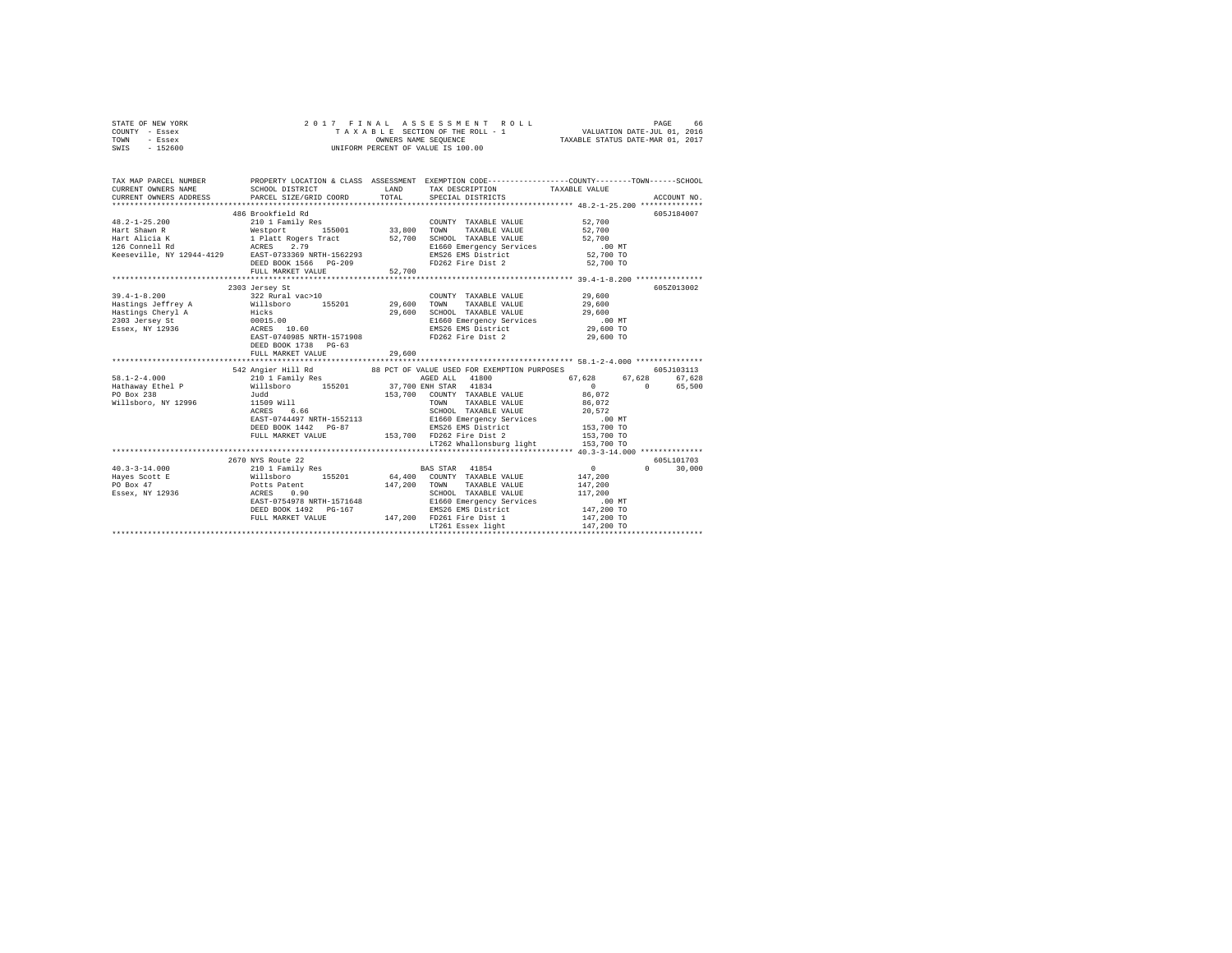|      | STATE OF NEW YORK |  |  | 2017 FINAL ASSESSMENT ROLL         |                                  | PAGE | 66 |
|------|-------------------|--|--|------------------------------------|----------------------------------|------|----|
|      | COUNTY - Essex    |  |  | TAXABLE SECTION OF THE ROLL - 1    | VALUATION DATE-JUL 01, 2016      |      |    |
| TOWN | - Essex           |  |  | OWNERS NAME SEOUENCE               | TAXABLE STATUS DATE-MAR 01, 2017 |      |    |
| SWIS | $-152600$         |  |  | UNIFORM PERCENT OF VALUE IS 100.00 |                                  |      |    |

| TAX MAP PARCEL NUMBER<br>CURRENT OWNERS NAME | SCHOOL DISTRICT<br>CURRENT OWNERS ADDRESS PARCEL SIZE/GRID COORD                                                                                                                                                                                                                                                                                                                    | LAND   | TAX DESCRIPTION TAXABLE VALUE                                                                                                       | PROPERTY LOCATION & CLASS ASSESSMENT EXEMPTION CODE----------------COUNTY-------TOWN------SCHOOL |
|----------------------------------------------|-------------------------------------------------------------------------------------------------------------------------------------------------------------------------------------------------------------------------------------------------------------------------------------------------------------------------------------------------------------------------------------|--------|-------------------------------------------------------------------------------------------------------------------------------------|--------------------------------------------------------------------------------------------------|
|                                              | 486 Brookfield Rd<br>48.2-1-25.200<br>Hart Shawn R (2000) Randly Res<br>Hart Shawn R (1990) 1998 (1990) 33,800 TOWN TAXABLE VALUE 52,700<br>Hart Alicia K (1994–1998 Tract 52,700 SCHOOL TAXABLE VALUE 52,700<br>12000 Hart Rogers Tract 52,700 SCHOOL TAX<br>DEED BOOK 1566 PG-209<br>FULL MARKET VALUE                                                                            | 52,700 | FD262 Fire Dist 2 52,700 TO                                                                                                         | 605J184007                                                                                       |
| $39.4 - 1 - 8.200$                           | 2303 Jersey St<br>322 Rural vac>10<br>Eastings Jeffrey A  Willsboro 155201  29,600 TOWN TAXABLE VALUE  29,600<br>Example the Hicks and Hicks and Hastings Cheryl A Hicks 29,600 SCHOOL TAXABLE VALUE<br>2303 Jersey St 00015.00 EMS26 E1660 Emergency Services<br>2303 Jersey St 100015.00 EMS26 EMS26 EMS26 EMS26 ENGLATION ENGLATION<br>DEED BOOK 1738 PG-63<br>FULL MARKET VALUE | 29,600 | COUNTY TAXABLE VALUE 29,600<br>SCHOOL TAXABLE VALUE 29,600<br>E1660 Emergency Services .00 MT<br>EMS26 EMS District 29,600 TO       | 605Z013002<br>29,600 TO                                                                          |
| PO Box 238<br>Willsboro, NY 12996            | 542 Angier Hill Rd 88 PCT OF VALUE USED FOR EXEMPTION PURPOSES<br>Judd<br>11509 Will<br>10000 Will                                                                                                                                                                                                                                                                                  |        | 153,700 COUNTY TAXABLE VALUE 86,072<br>LT262 Whallonsburg light 153,700 TO                                                          | 605J103113<br>$67,628$ $67,628$ $67,628$ $67,628$<br>65,500                                      |
| $40.3 - 3 - 14.000$                          | 2670 NYS Route 22<br>210 1 Family Res 60 BAS STAR 41854<br>EAST-0754978 NRTH-1571648<br>DEED BOOK 1492 PG-167<br>FULL MARKET VALUE                                                                                                                                                                                                                                                  |        | SCHOOL TAXABLE VALUE 117,200<br>E1660 Emergency Services 6 147,200 MT<br>EMS26 EMS District 147,200 TO<br>147,200 FD261 Fire Dist 1 | 605L101703<br>$\sim$ 0 $\sim$ 0<br>$\Omega$<br>30,000<br>147,200 TO                              |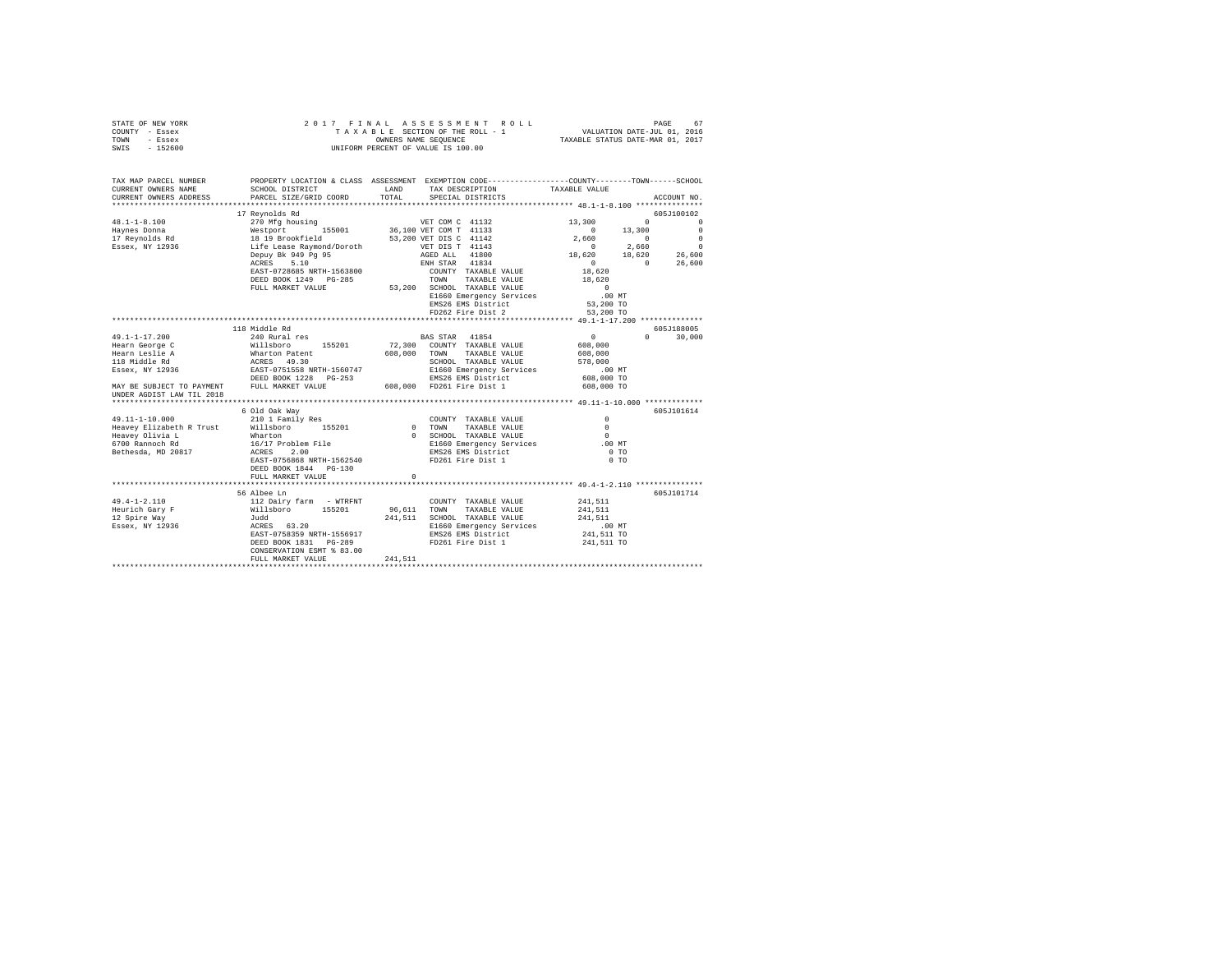|      | STATE OF NEW YORK |  |  | 2017 FINAL ASSESSMENT ROLL         | PAGE                             | 67 |
|------|-------------------|--|--|------------------------------------|----------------------------------|----|
|      | COUNTY - Essex    |  |  | TAXABLE SECTION OF THE ROLL - 1    | VALUATION DATE-JUL 01, 2016      |    |
| TOWN | - Essex           |  |  | OWNERS NAME SEOUENCE               | TAXABLE STATUS DATE-MAR 01, 2017 |    |
| SWIS | $-152600$         |  |  | UNIFORM PERCENT OF VALUE IS 100.00 |                                  |    |

| TAX MAP PARCEL NUMBER<br>CURRENT OWNERS NAME<br>CURRENT OWNERS ADDRESS                                                  | SCHOOL DISTRICT<br>PARCEL SIZE/GRID COORD                                                                                                                                                                | LAND<br>TOTAL | PROPERTY LOCATION & CLASS ASSESSMENT EXEMPTION CODE----------------COUNTY-------TOWN------SCHOOL<br>TAX DESCRIPTION<br>SPECIAL DISTRICTS | TAXABLE VALUE                  | ACCOUNT NO.                     |
|-------------------------------------------------------------------------------------------------------------------------|----------------------------------------------------------------------------------------------------------------------------------------------------------------------------------------------------------|---------------|------------------------------------------------------------------------------------------------------------------------------------------|--------------------------------|---------------------------------|
|                                                                                                                         |                                                                                                                                                                                                          |               |                                                                                                                                          |                                |                                 |
|                                                                                                                         | 17 Revnolds Rd                                                                                                                                                                                           |               |                                                                                                                                          |                                | 605J100102                      |
| $48.1 - 1 - 8.100$                                                                                                      | % Almousia American State of the Marian State (2010)<br>Westport 1133<br>18 19 Brookfield 36,100 VET DIS C 41133<br>18 19 Brookfield 53,200 VET DIS C 41142<br>Life Lease Raymond/Doroth VET DIS T 41143 |               |                                                                                                                                          | 13,300<br>$\Omega$             | $\Omega$                        |
| Haynes Donna                                                                                                            |                                                                                                                                                                                                          |               |                                                                                                                                          | $\sim$ 0<br>13,300             | $\overline{\phantom{0}}$        |
| 17 Reynolds Rd                                                                                                          |                                                                                                                                                                                                          |               |                                                                                                                                          | 2.660<br>$\sim$ 0              | $\circ$                         |
| Essex, NY 12936                                                                                                         |                                                                                                                                                                                                          |               |                                                                                                                                          | $\sim$ 0<br>2.660              | $\circ$                         |
|                                                                                                                         | Depuy Bk 949 Pg 95<br>ACRES 5.10                                                                                                                                                                         |               | AGED ALL 41800<br>ENH STAR 41834                                                                                                         | 18,620                         | $18,620$ $26,600$<br>0 $26,600$ |
|                                                                                                                         | EAST-0728685 NRTH-1563800                                                                                                                                                                                |               |                                                                                                                                          | $\sim$ 0<br>$\sim$ 0<br>18,620 | 26,600                          |
|                                                                                                                         | DEED BOOK 1249 PG-285                                                                                                                                                                                    |               | COUNTY TAXABLE VALUE<br>TOWN TAXABLE VALUE                                                                                               | 18,620                         |                                 |
|                                                                                                                         | FULL MARKET VALUE                                                                                                                                                                                        |               | 53,200 SCHOOL TAXABLE VALUE                                                                                                              |                                |                                 |
|                                                                                                                         |                                                                                                                                                                                                          |               | E1660 Emergency Services                                                                                                                 | $\qquad \qquad 0$<br>$.00$ MT  |                                 |
|                                                                                                                         |                                                                                                                                                                                                          |               | EMS26 EMS District                                                                                                                       | 53,200 TO                      |                                 |
|                                                                                                                         |                                                                                                                                                                                                          |               | FD262 Fire Dist 2                                                                                                                        | 53,200 TO                      |                                 |
|                                                                                                                         |                                                                                                                                                                                                          |               |                                                                                                                                          |                                |                                 |
|                                                                                                                         | 118 Middle Rd                                                                                                                                                                                            |               |                                                                                                                                          |                                | 605J188005                      |
| $49.1 - 1 - 17.200$                                                                                                     | 240 Rural res BAS STAR 41854                                                                                                                                                                             |               |                                                                                                                                          | $\sim$ 0                       | $\Omega$<br>30,000              |
|                                                                                                                         |                                                                                                                                                                                                          |               |                                                                                                                                          | 608,000                        |                                 |
|                                                                                                                         |                                                                                                                                                                                                          |               |                                                                                                                                          | 608,000                        |                                 |
|                                                                                                                         |                                                                                                                                                                                                          |               | SCHOOL TAXABLE VALUE                                                                                                                     | 578,000                        |                                 |
|                                                                                                                         |                                                                                                                                                                                                          |               |                                                                                                                                          | .00 MT                         |                                 |
|                                                                                                                         |                                                                                                                                                                                                          |               |                                                                                                                                          | 608,000 TO                     |                                 |
|                                                                                                                         |                                                                                                                                                                                                          |               |                                                                                                                                          | 608,000 TO                     |                                 |
|                                                                                                                         |                                                                                                                                                                                                          |               |                                                                                                                                          |                                |                                 |
|                                                                                                                         |                                                                                                                                                                                                          |               |                                                                                                                                          |                                | 605J101614                      |
|                                                                                                                         | 6 Old Oak Way                                                                                                                                                                                            |               |                                                                                                                                          | $\Omega$                       |                                 |
|                                                                                                                         |                                                                                                                                                                                                          | COUNT COUNT   | COUNTY TAXABLE VALUE<br>TAXABLE VALUE                                                                                                    | $\Omega$                       |                                 |
|                                                                                                                         |                                                                                                                                                                                                          |               | 0 SCHOOL TAXABLE VALUE                                                                                                                   | $\bigcap$                      |                                 |
|                                                                                                                         |                                                                                                                                                                                                          |               | E1660 Emergency Services                                                                                                                 | .00MT                          |                                 |
|                                                                                                                         |                                                                                                                                                                                                          |               | EMS26 EMS District                                                                                                                       | $0$ TO                         |                                 |
|                                                                                                                         | EAST-0756868 NRTH-1562540                                                                                                                                                                                |               | FD261 Fire Dist 1                                                                                                                        | 0 <sub>T</sub>                 |                                 |
|                                                                                                                         | DEED BOOK 1844 PG-130                                                                                                                                                                                    |               |                                                                                                                                          |                                |                                 |
|                                                                                                                         | FULL MARKET VALUE                                                                                                                                                                                        | $\Omega$      |                                                                                                                                          |                                |                                 |
|                                                                                                                         |                                                                                                                                                                                                          |               |                                                                                                                                          |                                |                                 |
|                                                                                                                         | 56 Albee Ln                                                                                                                                                                                              |               |                                                                                                                                          |                                | 605J101714                      |
| $49.4 - 1 - 2.110$                                                                                                      | 112 Dairy farm - WTRFNT                                                                                                                                                                                  |               | COUNTY TAXABLE VALUE                                                                                                                     | 241,511                        |                                 |
|                                                                                                                         |                                                                                                                                                                                                          | 96,611 TOWN   | TAXABLE VALUE                                                                                                                            | 241,511                        |                                 |
| Eeurich Gary F<br>12 Spire Way F<br>12 Spire Way F<br>12 Spire Way 5001<br>12 Spire Way 5001<br>12936<br>12 ACRES 63.20 |                                                                                                                                                                                                          |               | 241,511 SCHOOL TAXABLE VALUE                                                                                                             | 241.511                        |                                 |
|                                                                                                                         |                                                                                                                                                                                                          |               | E1660 Emergency Services                                                                                                                 | $.00$ MT                       |                                 |
|                                                                                                                         | EAST-0758359 NRTH-1556917                                                                                                                                                                                |               | EMS26 EMS District                                                                                                                       | 241,511 TO                     |                                 |
|                                                                                                                         | DEED BOOK 1831 PG-289                                                                                                                                                                                    |               | FD261 Fire Dist 1                                                                                                                        | 241,511 TO                     |                                 |
|                                                                                                                         | CONSERVATION ESMT % 83.00<br>FULL MARKET VALUE                                                                                                                                                           | 241,511       |                                                                                                                                          |                                |                                 |
|                                                                                                                         |                                                                                                                                                                                                          |               |                                                                                                                                          |                                |                                 |
|                                                                                                                         |                                                                                                                                                                                                          |               |                                                                                                                                          |                                |                                 |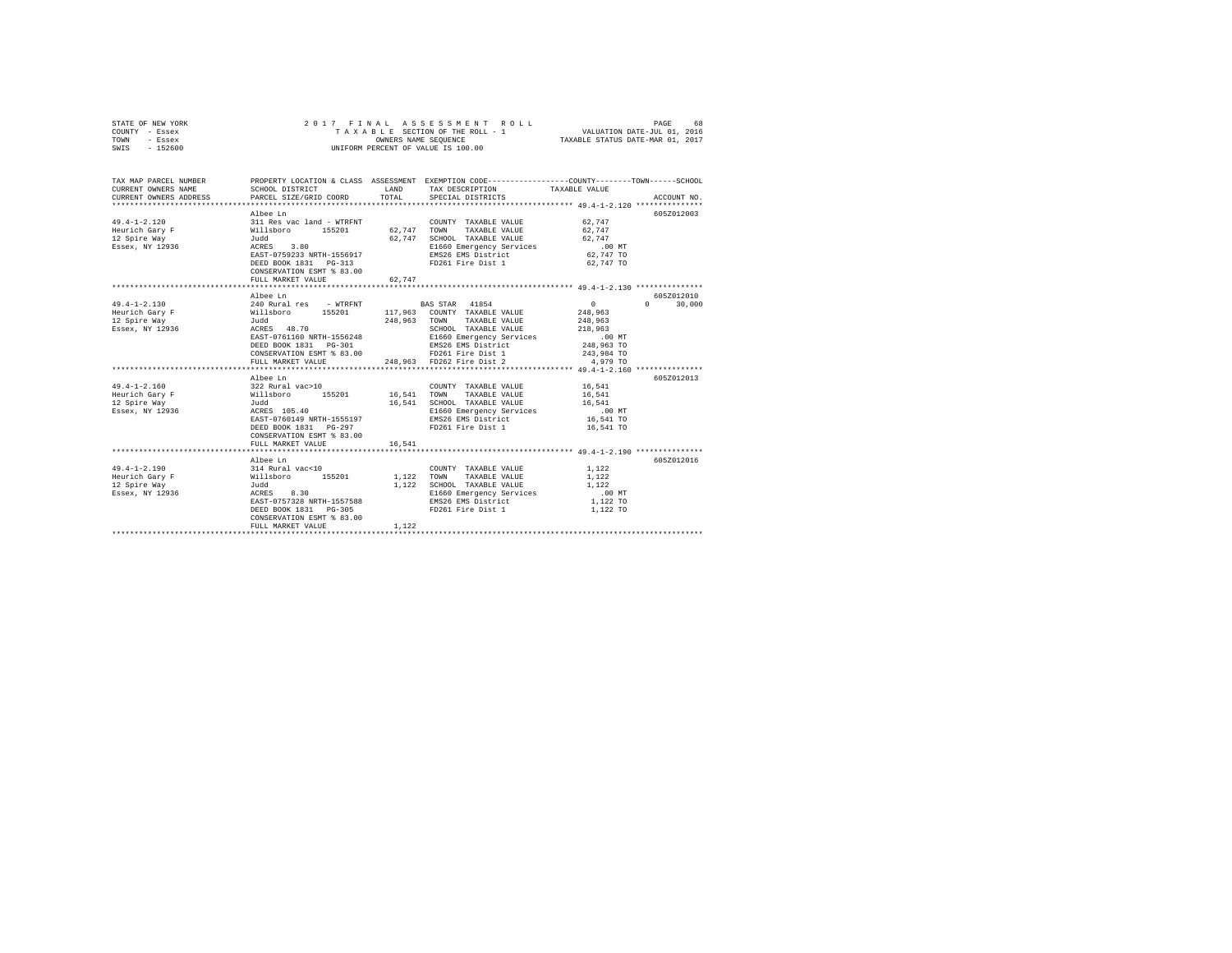| STATE OF NEW YORK<br>COUNTY - Essex<br>TOWN<br>- Essex<br>SWIS - 152600 | 2017 FINAL                                                              |        | ASSESSMENT ROLL<br>TAXABLE SECTION OF THE ROLL - 1<br>OWNERS NAME SEOUENCE<br>UNIFORM PERCENT OF VALUE IS 100.00 | PAGE<br>68<br>VALUATION DATE-JUL 01, 2016<br>TAXABLE STATUS DATE-MAR 01, 2017                                    |
|-------------------------------------------------------------------------|-------------------------------------------------------------------------|--------|------------------------------------------------------------------------------------------------------------------|------------------------------------------------------------------------------------------------------------------|
| TAX MAP PARCEL NUMBER<br>CURRENT OWNERS NAME                            | SCHOOL DISTRICT                                                         |        | LAND TAX DESCRIPTION                                                                                             | PROPERTY LOCATION & CLASS ASSESSMENT EXEMPTION CODE----------------COUNTY-------TOWN-----SCHOOL<br>TAXABLE VALUE |
| CURRENT OWNERS ADDRESS                                                  | PARCEL SIZE/GRID COORD                                                  | TOTAL  | SPECIAL DISTRICTS                                                                                                | ACCOUNT NO.                                                                                                      |
|                                                                         |                                                                         |        |                                                                                                                  |                                                                                                                  |
| $49.4 - 1 - 2.120$                                                      | Albee Ln                                                                |        | COUNTY TAXABLE VALUE                                                                                             | 605Z012003<br>62.747                                                                                             |
| Heurich Gary F                                                          |                                                                         | 62.747 | 62,747 TOWN TAXABLE VALUE                                                                                        | 62,747                                                                                                           |
| 12 Spire Way                                                            | 311 Res vac land - WTRFNT<br>Willsboro - 155201<br>Judd<br>ACRES - 3.80 |        | 62.747 SCHOOL TAXABLE VALUE                                                                                      | 62,747                                                                                                           |
| Essex, NY 12936                                                         |                                                                         |        | E1660 Emergency Services                                                                                         | .00 MT                                                                                                           |
|                                                                         | EAST-0759233 NRTH-1556917                                               |        | EMS26 EMS District                                                                                               | 62,747 TO                                                                                                        |
|                                                                         | DEED BOOK 1831 PG-313                                                   |        | FD261 Fire Dist 1                                                                                                | 62,747 TO                                                                                                        |
|                                                                         | CONSERVATION ESMT % 83.00                                               |        |                                                                                                                  |                                                                                                                  |
|                                                                         | FULL MARKET VALUE                                                       | 62,747 |                                                                                                                  |                                                                                                                  |
|                                                                         |                                                                         |        |                                                                                                                  |                                                                                                                  |
|                                                                         | Albee Ln                                                                |        |                                                                                                                  | 605Z012010                                                                                                       |
| $49.4 - 1 - 2.130$                                                      | 240 Rural res - WTRFNT                                                  |        | BAS STAR 41854                                                                                                   | $\sim$ 0<br>$0 \t 30,000$                                                                                        |
| Heurich Gary F                                                          | Willsboro 155201<br>Judd                                                |        | 117,963 COUNTY TAXABLE VALUE                                                                                     | 248,963                                                                                                          |
| 12 Spire Way                                                            |                                                                         |        | 248,963 TOWN TAXABLE VALUE                                                                                       | 248,963                                                                                                          |
| Essex, NY 12936                                                         | ACRES 48.70                                                             |        | SCHOOL TAXABLE VALUE                                                                                             | 218,963                                                                                                          |
|                                                                         | EAST-0761160 NRTH-1556248                                               |        | E1660 Emergency Services                                                                                         | $.00$ MT                                                                                                         |
|                                                                         | DEED BOOK 1831 PG-301                                                   |        | EMS26 EMS District                                                                                               | 248,963 TO                                                                                                       |
|                                                                         | CONSERVATION ESMT % 83.00<br>FULL MARKET VALUE                          |        | FD261 Fire Dist 1<br>248,963 FD262 Fire Dist 2                                                                   | 243,984 TO<br>4,979 TO                                                                                           |
|                                                                         |                                                                         |        |                                                                                                                  |                                                                                                                  |
|                                                                         | Albee Ln                                                                |        |                                                                                                                  | 605Z012013                                                                                                       |
| $49.4 - 1 - 2.160$                                                      |                                                                         |        | COUNTY TAXABLE VALUE                                                                                             | 16,541                                                                                                           |
| Heurich Gary F                                                          |                                                                         |        | 16,541 TOWN TAXABLE VALUE                                                                                        | 16,541                                                                                                           |
| 12 Spire Way                                                            | 322 Rural vac>10<br>Willsboro 155201<br>Judd                            |        | 16,541 SCHOOL TAXABLE VALUE                                                                                      | 16,541                                                                                                           |
| Essex, NY 12936                                                         | ACRES 105.40                                                            |        | E1660 Emergency Services                                                                                         | $.00$ MT                                                                                                         |
|                                                                         | EAST-0760149 NRTH-1555197                                               |        | EMS26 EMS District                                                                                               | 16,541 TO                                                                                                        |
|                                                                         | DEED BOOK 1831 PG-297                                                   |        | FD261 Fire Dist 1                                                                                                | 16,541 TO                                                                                                        |
|                                                                         | CONSERVATION ESMT % 83.00                                               |        |                                                                                                                  |                                                                                                                  |
|                                                                         | FULL MARKET VALUE                                                       | 16,541 |                                                                                                                  |                                                                                                                  |
|                                                                         |                                                                         |        |                                                                                                                  |                                                                                                                  |
|                                                                         | Albee Ln                                                                |        |                                                                                                                  | 605Z012016                                                                                                       |
| $49.4 - 1 - 2.190$                                                      |                                                                         |        | COUNTY TAXABLE VALUE                                                                                             | 1,122                                                                                                            |
| Heurich Gary F                                                          |                                                                         |        | 1,122 TOWN TAXABLE VALUE                                                                                         | 1,122                                                                                                            |
| 12 Spire Way<br>Essex, NY 12936                                         | 314 Rural vac<10<br>Willsboro 155201<br>Judd<br>ACRES 8.30              |        | 1,122 SCHOOL TAXABLE VALUE                                                                                       | 1,122<br>$.00$ MT                                                                                                |
|                                                                         | EAST-0757328 NRTH-1557588                                               |        | E1660 Emergency Services<br>EMS26 EMS District                                                                   | 1,122 TO                                                                                                         |
|                                                                         | DEED BOOK 1831 PG-305                                                   |        | FD261 Fire Dist 1                                                                                                | 1,122 TO                                                                                                         |
|                                                                         | CONSERVATION ESMT % 83.00                                               |        |                                                                                                                  |                                                                                                                  |
|                                                                         | FULL MARKET VALUE                                                       | 1.122  |                                                                                                                  |                                                                                                                  |
|                                                                         |                                                                         |        |                                                                                                                  |                                                                                                                  |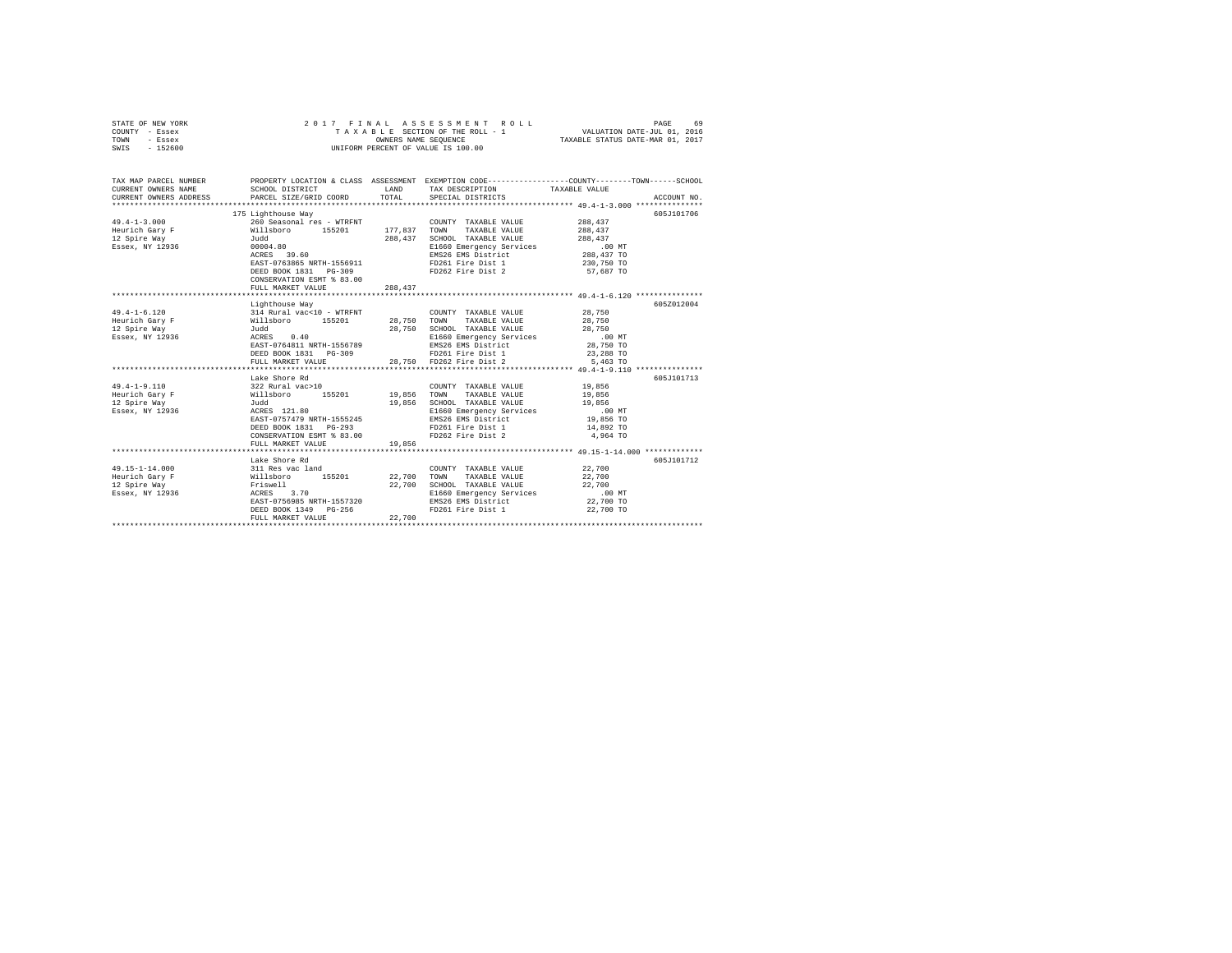| TOWN<br>- Essex                                                                                                     | OWNERS NAME SEQUENCE<br>TAXABLE STATUS DATE-MAR 01, 2017                                                                                                                                                                            |         |                                                                  |                     |             |
|---------------------------------------------------------------------------------------------------------------------|-------------------------------------------------------------------------------------------------------------------------------------------------------------------------------------------------------------------------------------|---------|------------------------------------------------------------------|---------------------|-------------|
| $-152600$<br>SWIS                                                                                                   |                                                                                                                                                                                                                                     |         | UNIFORM PERCENT OF VALUE IS 100.00                               |                     |             |
|                                                                                                                     |                                                                                                                                                                                                                                     |         |                                                                  |                     |             |
|                                                                                                                     |                                                                                                                                                                                                                                     |         |                                                                  |                     |             |
|                                                                                                                     |                                                                                                                                                                                                                                     |         |                                                                  |                     |             |
| TAX MAP PARCEL NUMBER PROPERTY LOCATION & CLASS ASSESSMENT EXEMPTION CODE--------------COUNTY-------TOWN-----SCHOOL |                                                                                                                                                                                                                                     |         |                                                                  |                     |             |
| CURRENT OWNERS NAME                                                                                                 | SCHOOL DISTRICT LAND                                                                                                                                                                                                                |         | TAX DESCRIPTION                                                  | TAXABLE VALUE       |             |
| CURRENT OWNERS ADDRESS PARCEL SIZE/GRID COORD TOTAL                                                                 |                                                                                                                                                                                                                                     |         | SPECIAL DISTRICTS                                                |                     | ACCOUNT NO. |
|                                                                                                                     |                                                                                                                                                                                                                                     |         |                                                                  |                     |             |
|                                                                                                                     | ------------- way<br>260 Seasonal res - WTRFNT<br>Willsboro 155201 177,837<br>Judd 200                                                                                                                                              |         |                                                                  |                     | 605J101706  |
| $49.4 - 1 - 3.000$                                                                                                  |                                                                                                                                                                                                                                     |         | COUNTY TAXABLE VALUE                                             | 288,437             |             |
| Heurich Gary F                                                                                                      |                                                                                                                                                                                                                                     |         | TOWN<br>TAXABLE VALUE                                            | 288,437             |             |
| 12 Spire Way                                                                                                        |                                                                                                                                                                                                                                     |         | SCHOOL TAXABLE VALUE                                             | 288,437             |             |
| Essex, NY 12936                                                                                                     | 00004.80                                                                                                                                                                                                                            |         | E1660 Emergency Services<br>EMS26 EMS District                   | .00 MT              |             |
|                                                                                                                     | ACRES 39.60                                                                                                                                                                                                                         |         |                                                                  | 288,437 TO          |             |
|                                                                                                                     | EAST-0763865 NRTH-1556911                                                                                                                                                                                                           |         | FD261 Fire Dist 1                                                | 230,750 TO          |             |
|                                                                                                                     | DEED BOOK 1831    PG-309                                                                                                                                                                                                            |         | FD262 Fire Dist 2                                                | 57.687 TO           |             |
|                                                                                                                     | CONSERVATION ESMT % 83.00                                                                                                                                                                                                           |         |                                                                  |                     |             |
|                                                                                                                     | FULL MARKET VALUE                                                                                                                                                                                                                   | 288,437 |                                                                  |                     |             |
|                                                                                                                     |                                                                                                                                                                                                                                     |         | ********************************** 49.4-1-6.120 **************** |                     |             |
|                                                                                                                     | Lighthouse Way<br>114 Rural vac<10 - WTRFNT<br>Willsboro 155201<br>Judd<br>Judd                                                                                                                                                     |         |                                                                  |                     | 605Z012004  |
| $49.4 - 1 - 6.120$                                                                                                  |                                                                                                                                                                                                                                     |         | COUNTY TAXABLE VALUE 28,750                                      |                     |             |
| Heurich Gary F                                                                                                      |                                                                                                                                                                                                                                     | 28,750  | TAXABLE VALUE<br>TOWN                                            | 28,750<br>28,750    |             |
| 12 Spire Way                                                                                                        |                                                                                                                                                                                                                                     | 28,750  | SCHOOL TAXABLE VALUE                                             |                     |             |
| Essex, NY 12936                                                                                                     | Judd<br>ACRES 0.40<br>ACKES 0.40<br>EAST-0764811 NRTH-1556789                                                                                                                                                                       |         | E1660 Emergency Services<br>EMS26 EMS District                   | 00 MT.<br>28,750 TO |             |
|                                                                                                                     |                                                                                                                                                                                                                                     |         |                                                                  |                     |             |
|                                                                                                                     | DEED BOOK 1831    PG-309                                                                                                                                                                                                            |         | FD261 Fire Dist 1                                                | 23,288 TO           |             |
|                                                                                                                     | FULL MARKET VALUE                                                                                                                                                                                                                   |         | 28,750 FD262 Fire Dist 2                                         | 5,463 TO            |             |
|                                                                                                                     |                                                                                                                                                                                                                                     |         |                                                                  |                     |             |
|                                                                                                                     | الله علي الله عن الله عن الله عن الله عن الله عن الله عن الله عن الله عن الله عن الله عن الله عن ال<br>الله عن الله عن الله عن الله عن الله عن الله عن الله عن الله عن الله عن الله عن الله عن الله عن الله عن الله ع<br>الله عن ال |         |                                                                  |                     | 605J101713  |
| $49.4 - 1 - 9.110$                                                                                                  |                                                                                                                                                                                                                                     |         | COUNTY TAXABLE VALUE 19,856                                      |                     |             |
| Heurich Gary F                                                                                                      |                                                                                                                                                                                                                                     |         | TAXABLE VALUE<br>TOWN                                            | 19,856              |             |
| 12 Spire Way                                                                                                        | Judd<br>ACRES 121.80                                                                                                                                                                                                                |         | SCHOOL TAXABLE VALUE                                             | 19,856              |             |
| Essex, NY 12936                                                                                                     |                                                                                                                                                                                                                                     |         | E1660 Emergency Services                                         |                     |             |
|                                                                                                                     | EAST-0757479 NRTH-1555245                                                                                                                                                                                                           |         | EMS26 EMS District                                               | 00 MT.<br>19,856 TO |             |
|                                                                                                                     | DEED BOOK 1831 PG-293                                                                                                                                                                                                               |         | FD261 Fire Dist 1                                                | 14,892 TO           |             |
|                                                                                                                     | CONSERVATION ESMT % 83.00                                                                                                                                                                                                           |         | FD262 Fire Dist 2                                                | 4,964 TO            |             |
|                                                                                                                     | FULL MARKET VALUE                                                                                                                                                                                                                   | 19,856  |                                                                  |                     |             |
|                                                                                                                     |                                                                                                                                                                                                                                     |         |                                                                  |                     |             |
|                                                                                                                     | Lake Shore Rd                                                                                                                                                                                                                       |         |                                                                  |                     | 605J101712  |
| 49.15-1-14.000                                                                                                      |                                                                                                                                                                                                                                     |         | COUNTY TAXABLE VALUE                                             |                     |             |
| Heurich Gary F                                                                                                      |                                                                                                                                                                                                                                     |         | TOWN<br>TAXABLE VALUE                                            | 22,700<br>22,700    |             |
| 12 Spire Way                                                                                                        | Friswell<br>ACRES 3.70                                                                                                                                                                                                              | 22.700  | SCHOOL TAXABLE VALUE                                             | 22,700              |             |
| Essex, NY 12936                                                                                                     |                                                                                                                                                                                                                                     |         |                                                                  | $.00$ MT            |             |
|                                                                                                                     | EAST-0756985 NRTH-1557320                                                                                                                                                                                                           |         | E1660 Emergency Services<br>EMS26 EMS District                   | 22,700 TO           |             |
|                                                                                                                     | DEED BOOK 1349 PG-256                                                                                                                                                                                                               |         | FD261 Fire Dist 1                                                | 22,700 TO           |             |
|                                                                                                                     | FULL MARKET VALUE                                                                                                                                                                                                                   | 22,700  |                                                                  |                     |             |
|                                                                                                                     |                                                                                                                                                                                                                                     |         |                                                                  |                     |             |

STATE OF NEW YORK 2 0 1 7 F I N A L A S S E S S M E N T R O L L PAGE 69 COUNTY - Essex T A X A B L E SECTION OF THE ROLL - 1 VALUATION DATE-JUL 01, 2016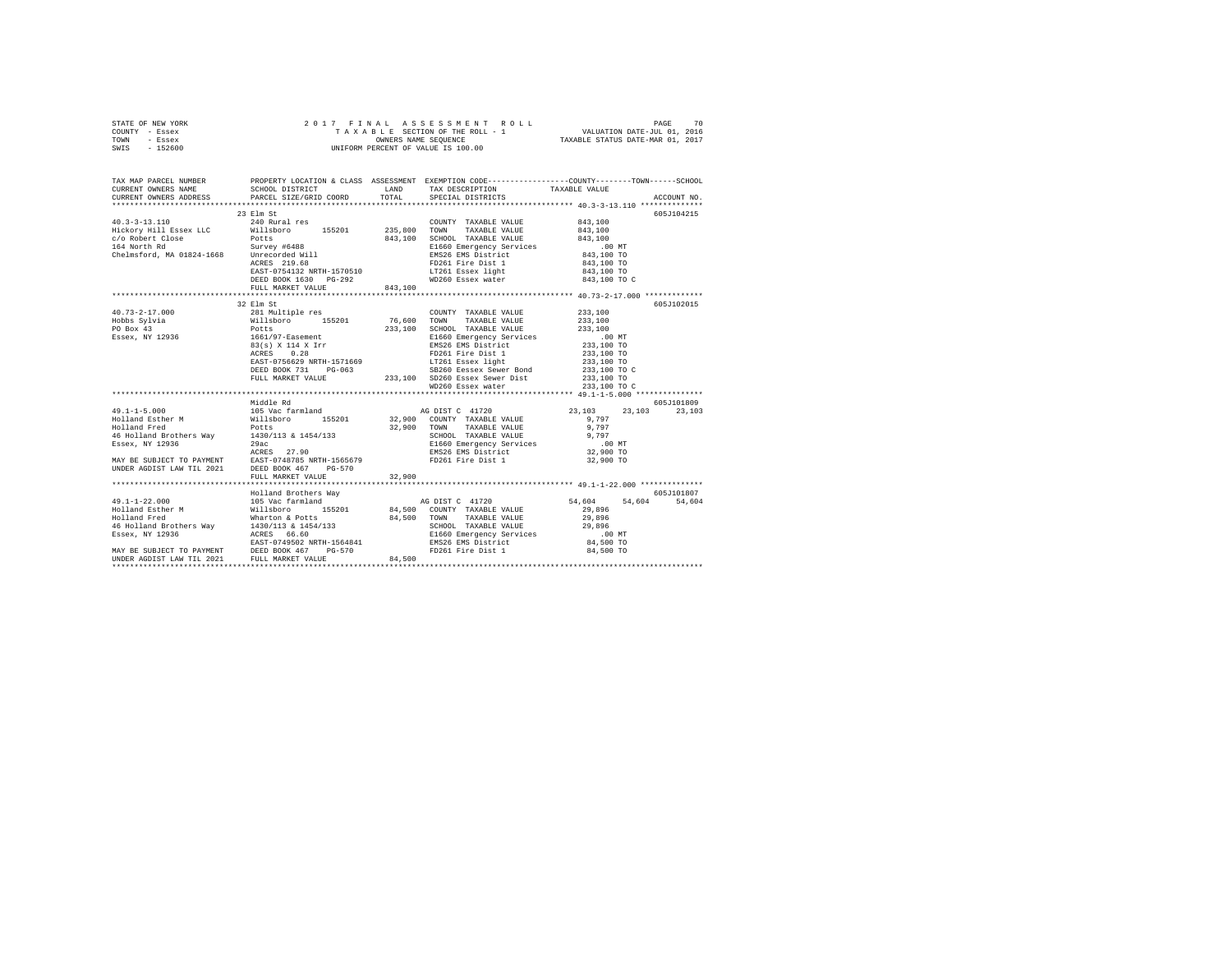| STATE OF NEW YORK | 2017 FINAL ASSESSMENT ROLL         | 70<br>PAGE                       |
|-------------------|------------------------------------|----------------------------------|
| COUNTY - Essex    | TAXABLE SECTION OF THE ROLL - 1    | VALUATION DATE-JUL 01, 2016      |
| TOWN<br>- Essex   | OWNERS NAME SEOUENCE               | TAXABLE STATUS DATE-MAR 01, 2017 |
| - 152600<br>SWIS  | UNIFORM PERCENT OF VALUE IS 100.00 |                                  |

| TAX MAP PARCEL NUMBER PROPERTY LOCATION & CLASS ASSESSMENT EXEMPTION CODE--------------COUNTY-------TOWN------SCHOOL                                                                                                                                                                                                                                                                    |  |                   |                            |             |
|-----------------------------------------------------------------------------------------------------------------------------------------------------------------------------------------------------------------------------------------------------------------------------------------------------------------------------------------------------------------------------------------|--|-------------------|----------------------------|-------------|
|                                                                                                                                                                                                                                                                                                                                                                                         |  |                   |                            | ACCOUNT NO. |
|                                                                                                                                                                                                                                                                                                                                                                                         |  |                   |                            |             |
|                                                                                                                                                                                                                                                                                                                                                                                         |  |                   |                            | 605J104215  |
|                                                                                                                                                                                                                                                                                                                                                                                         |  |                   |                            |             |
|                                                                                                                                                                                                                                                                                                                                                                                         |  |                   |                            |             |
|                                                                                                                                                                                                                                                                                                                                                                                         |  |                   |                            |             |
|                                                                                                                                                                                                                                                                                                                                                                                         |  |                   |                            |             |
|                                                                                                                                                                                                                                                                                                                                                                                         |  |                   |                            |             |
|                                                                                                                                                                                                                                                                                                                                                                                         |  |                   | $843,100$ TO               |             |
|                                                                                                                                                                                                                                                                                                                                                                                         |  |                   | 843,100 TO<br>843,100 TO C |             |
|                                                                                                                                                                                                                                                                                                                                                                                         |  |                   |                            |             |
|                                                                                                                                                                                                                                                                                                                                                                                         |  |                   |                            |             |
| 32 Elm St                                                                                                                                                                                                                                                                                                                                                                               |  |                   |                            | 605J102015  |
| $\begin{array}{cccccc} 40.73-2-17.000 && 281 {\rm\; Muliple res} && {\rm\; COUNTY} && {\rm\; TAXABLE\; VALUE} && 233,100 \\ {\rm\; Hobs\; Sylvia} && {\rm\; Nillsboro} && 155201 && 76,600 && {\rm\; TAXABLE\; VALUE} && 233,100 \\ {\rm\;PO\; Box\; 43} && {\rm\;POLts} && 233,100 && {\rm\;CHOOL\; \; TAXABLE\; VALUE} && 233,100 \\ {\rm\;PC\; Box\; 43} && {\rm\;POLts} && 1661/97$ |  |                   |                            |             |
|                                                                                                                                                                                                                                                                                                                                                                                         |  |                   |                            |             |
|                                                                                                                                                                                                                                                                                                                                                                                         |  |                   |                            |             |
|                                                                                                                                                                                                                                                                                                                                                                                         |  |                   |                            |             |
|                                                                                                                                                                                                                                                                                                                                                                                         |  |                   |                            |             |
|                                                                                                                                                                                                                                                                                                                                                                                         |  |                   |                            |             |
|                                                                                                                                                                                                                                                                                                                                                                                         |  |                   |                            |             |
|                                                                                                                                                                                                                                                                                                                                                                                         |  |                   | 233,100 TO<br>233,100 TO C |             |
| POLES 233,100 SCHOOL TAXABLE VALUE 233,100<br>1661/97-Basement 233,100 SCHOOL TAXABLE VALUE 233,100<br>1661/97-Basement 233,100 EASE EMS District 233,100 TO<br>83(s) X 114 X Irr EMS26 EMS District 233,100 TO<br>RARES 0.28<br>FD261 F                                                                                                                                                |  |                   |                            |             |
|                                                                                                                                                                                                                                                                                                                                                                                         |  | WD260 Essex water | 233,100 TO C               |             |
|                                                                                                                                                                                                                                                                                                                                                                                         |  |                   |                            |             |
| Middle Rd                                                                                                                                                                                                                                                                                                                                                                               |  |                   |                            | 605J101809  |
|                                                                                                                                                                                                                                                                                                                                                                                         |  |                   |                            |             |
|                                                                                                                                                                                                                                                                                                                                                                                         |  |                   |                            |             |
|                                                                                                                                                                                                                                                                                                                                                                                         |  |                   |                            |             |
|                                                                                                                                                                                                                                                                                                                                                                                         |  |                   |                            |             |
|                                                                                                                                                                                                                                                                                                                                                                                         |  |                   |                            |             |
|                                                                                                                                                                                                                                                                                                                                                                                         |  |                   |                            |             |
|                                                                                                                                                                                                                                                                                                                                                                                         |  |                   |                            |             |
|                                                                                                                                                                                                                                                                                                                                                                                         |  |                   |                            |             |
|                                                                                                                                                                                                                                                                                                                                                                                         |  |                   |                            |             |
|                                                                                                                                                                                                                                                                                                                                                                                         |  |                   |                            |             |
|                                                                                                                                                                                                                                                                                                                                                                                         |  |                   |                            |             |
|                                                                                                                                                                                                                                                                                                                                                                                         |  |                   |                            |             |
|                                                                                                                                                                                                                                                                                                                                                                                         |  |                   |                            |             |
|                                                                                                                                                                                                                                                                                                                                                                                         |  |                   |                            |             |
|                                                                                                                                                                                                                                                                                                                                                                                         |  |                   |                            |             |
| 49.1-1-22.000 (1990)<br>49.1-1-22.000 (1990)<br>49.1-1-22.000 (1990)<br>49.1-1-22.000 (1990)<br>49.1-1-22.000 (1990)<br>49.1-1-22.000 (1990)<br>49.1-1-22.000 (1990)<br>49.500 (1990)<br>49.500 (1990)<br>49.500 (1990)<br>49.500 (1990)<br>49.500 (                                                                                                                                    |  |                   |                            |             |
|                                                                                                                                                                                                                                                                                                                                                                                         |  |                   |                            |             |
|                                                                                                                                                                                                                                                                                                                                                                                         |  |                   |                            |             |
|                                                                                                                                                                                                                                                                                                                                                                                         |  |                   |                            |             |
|                                                                                                                                                                                                                                                                                                                                                                                         |  |                   |                            |             |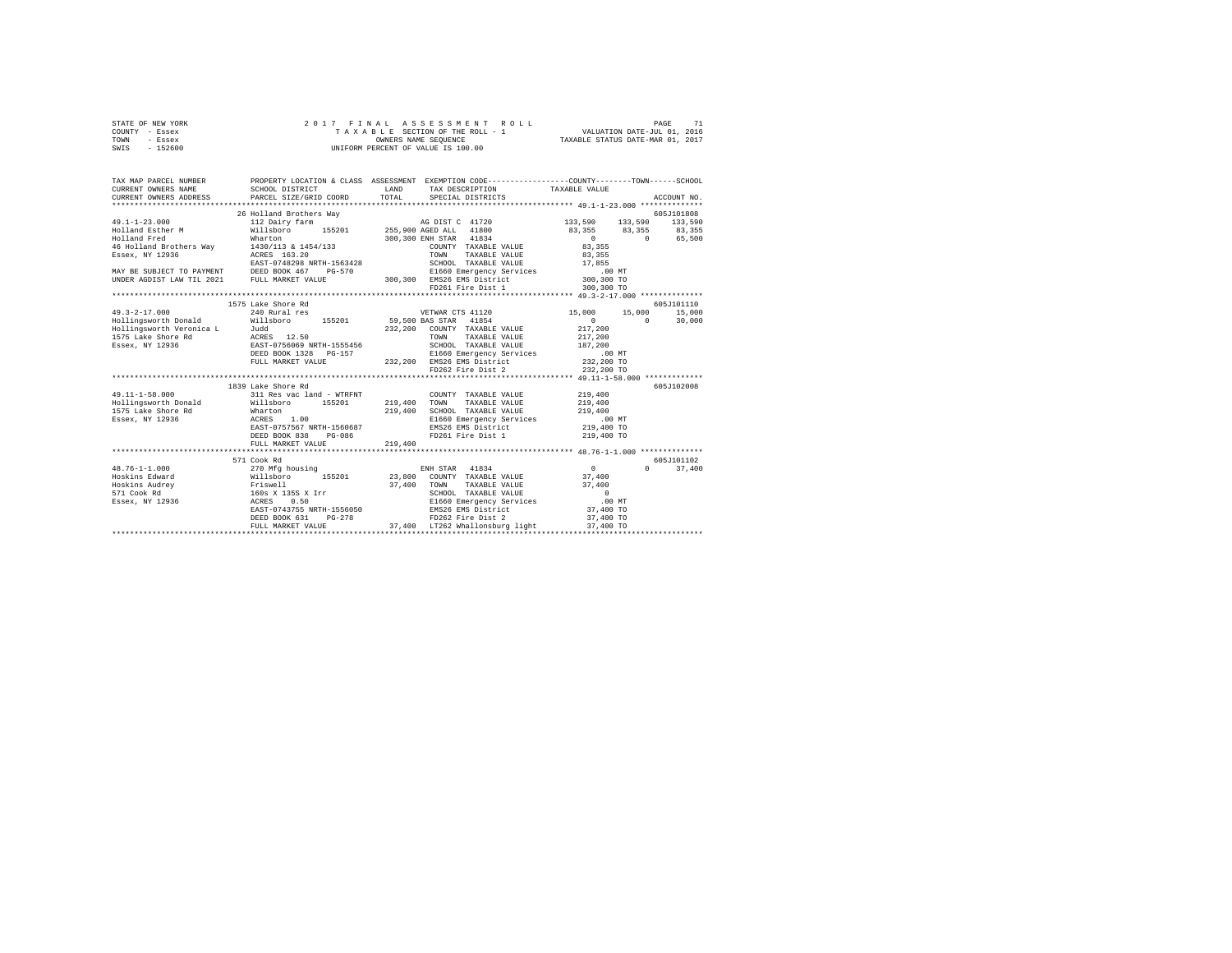| STATE OF NEW YORK | 2017 FINAL ASSESSMENT ROLL         | PAGE                             |
|-------------------|------------------------------------|----------------------------------|
| COUNTY - Essex    | TAXABLE SECTION OF THE ROLL - 1    | VALUATION DATE-JUL 01, 2016      |
| TOWN<br>- Essex   | OWNERS NAME SEOUENCE               | TAXABLE STATUS DATE-MAR 01, 2017 |
| - 152600<br>SWIS  | UNIFORM PERCENT OF VALUE IS 100.00 |                                  |

| TAX MAP PARCEL NUMBER<br>CURRENT OWNERS NAME<br>CURRENT OWNERS ADDRESS                                                                                           | SCHOOL DISTRICT<br>PARCEL SIZE/GRID COORD                                                                                                                                 | TAX DESCRIPTION TAXABLE VALUE<br>LAND<br>TOTAL<br>SPECIAL DISTRICTS                                                                                                                                                                                                                                                                                                                                                                                                                                                                                                                                                                                                                                   | PROPERTY LOCATION & CLASS ASSESSMENT EXEMPTION CODE---------------COUNTY-------TOWN------SCHOOL<br>ACCOUNT NO.                                                                                                                                                                                                                                                                    |
|------------------------------------------------------------------------------------------------------------------------------------------------------------------|---------------------------------------------------------------------------------------------------------------------------------------------------------------------------|-------------------------------------------------------------------------------------------------------------------------------------------------------------------------------------------------------------------------------------------------------------------------------------------------------------------------------------------------------------------------------------------------------------------------------------------------------------------------------------------------------------------------------------------------------------------------------------------------------------------------------------------------------------------------------------------------------|-----------------------------------------------------------------------------------------------------------------------------------------------------------------------------------------------------------------------------------------------------------------------------------------------------------------------------------------------------------------------------------|
| Holland Fred<br>46 Holland Brothers Way<br>Essex, NY 12936                                                                                                       | 26 Holland Brothers Wav<br>Wharton<br>1430/113 & 1454/133<br>ACRES 163.20                                                                                                 | $300\,, 300\begin{array}{l} \texttt{ENH} \texttt{ STAR} \end{array} \quad \begin{array}{l} 41834 \\ \texttt{COUNTY} \end{array} \quad \begin{array}{l} \texttt{TARABLE} \texttt{ VALUE} \\ \texttt{TONN} \end{array}$<br>COUNTY TAXABLE VALUE<br>EAST-0748298.NRTH-1563428 SCHOOL TAXABLE VALUE 17,855<br>DISO ENGLISE DEED BOOK 467 PG-570 PSIS60.Emergency.Services 1.00 NT<br>100,300 TONDER AGDIST LAW TIL 2021 FULL MARKET VALUE 300,300 BMS26.EMS District 300,300 TO<br>FD261 Fire Dist 1                                                                                                                                                                                                      | 605J101808<br>133,590 133,590 133,590<br>83, 355 83, 355 83, 355<br>$\begin{array}{c}0\\83,355\end{array}$<br>0 65,500<br>TAXABLE VALUE 83,355<br>300,300 TO                                                                                                                                                                                                                      |
| $49.3 - 2 - 17.000$                                                                                                                                              | 1575 Lake Shore Rd<br>240 Rural res                                                                                                                                       | VETWAR CTS 41120 15,000 15,000                                                                                                                                                                                                                                                                                                                                                                                                                                                                                                                                                                                                                                                                        | 605J101110<br>15,000<br>30,000<br>$\mathbf{0}$<br>$\Omega$                                                                                                                                                                                                                                                                                                                        |
|                                                                                                                                                                  | FULL MARKET VALUE                                                                                                                                                         | Hollingsworth Donald Willsboro 155201 59,500 BAS STAR 41854<br>Hollingsworth Veronica L Judd<br>1975 Lake Shore Rd acks 12.50 232,200 COUNTY TAXABLE VALUE<br>1975 Lake Shore Rd acks 12.50<br>232,200 COWN TAXABLE VALUE<br>236 DEED BO<br>232, 200 COUNTY TAXABLE VALUE<br>TAXABLE VALUE<br>$\begin{array}{cccc} \texttt{1555456} & \texttt{SCHOOL} & \texttt{TAXABLE VALUE} & \texttt{187,200} \\ \texttt{5-157} & \texttt{E60} & \texttt{Bmergency Services} & \texttt{187,200} \\ & \texttt{E860} & \texttt{Bms26 EMS} & \texttt{MST} \\ & \texttt{232,200} & \texttt{EMS26 EMS} & \texttt{District} & \texttt{232,200 TO} \\ & \texttt{FD262 Fire Dist 2} & \texttt{232,200 TO} \\ \end{array}$ | 217,200<br>217,200                                                                                                                                                                                                                                                                                                                                                                |
| $49.11 - 1 - 58.000$<br>Hollingsworth Donald<br>1575 Lake Shore Rd<br>Essex, NY 12936                                                                            | 1839 Lake Shore Rd<br>311 Res vac land - WTRFNT<br>Willsboro 155201<br>Wharton<br>ACRES<br>1.00<br>EAST-0757567 NRTH-1560687<br>DEED BOOK 838 PG-086<br>FULL MARKET VALUE | COUNTY TAXABLE VALUE 219,400<br>219,400 TOWN<br>TAXABLE VALUE<br>SCHOOL TAXABLE VALUE 219,400<br>219,400<br>EMS26 EMS District<br>FD261 Fire Dist 1<br>219,400                                                                                                                                                                                                                                                                                                                                                                                                                                                                                                                                        | 605J102008<br>219,400<br>SCROOM Induced Income<br>E1660 Emergency Services 1660 00 MT<br>EMS26 EMS District 219,400 TO<br>219,400 TO                                                                                                                                                                                                                                              |
| $48.76 - 1 - 1.000$<br>% Hoskins Edward Millsboro 15520:<br>Hoskins Audrey Friewell (1952)<br>571 Cook Rd 160s x 1355 x Irr<br>Essex, NY 12936 160s X 1355 x Irr | 571 Cook Rd<br>270 Mfg housing<br>EAST-0743755 NRTH-1556050<br>$PG-278$<br>DEED BOOK 631<br>FULL MARKET VALUE                                                             | ENH STAR 41834<br>EMS26 EMS District<br>FD262 Fire Dist 2<br>37,400 LT262 Whallonsburg light                                                                                                                                                                                                                                                                                                                                                                                                                                                                                                                                                                                                          | 605J101102<br>$\sim$ 0.000 $\sim$ 0.000 $\sim$ 0.000 $\sim$ 0.000 $\sim$ 0.000 $\sim$ 0.000 $\sim$ 0.000 $\sim$ 0.000 $\sim$ 0.000 $\sim$ 0.000 $\sim$ 0.000 $\sim$ 0.000 $\sim$ 0.000 $\sim$ 0.000 $\sim$ 0.000 $\sim$ 0.000 $\sim$ 0.000 $\sim$ 0.000 $\sim$ 0.000 $\sim$ 0.000<br>$\Omega$<br>37,400<br>E1660 Emergency Services .00 MT<br>37,400 TO<br>37,400 TO<br>37,400 TO |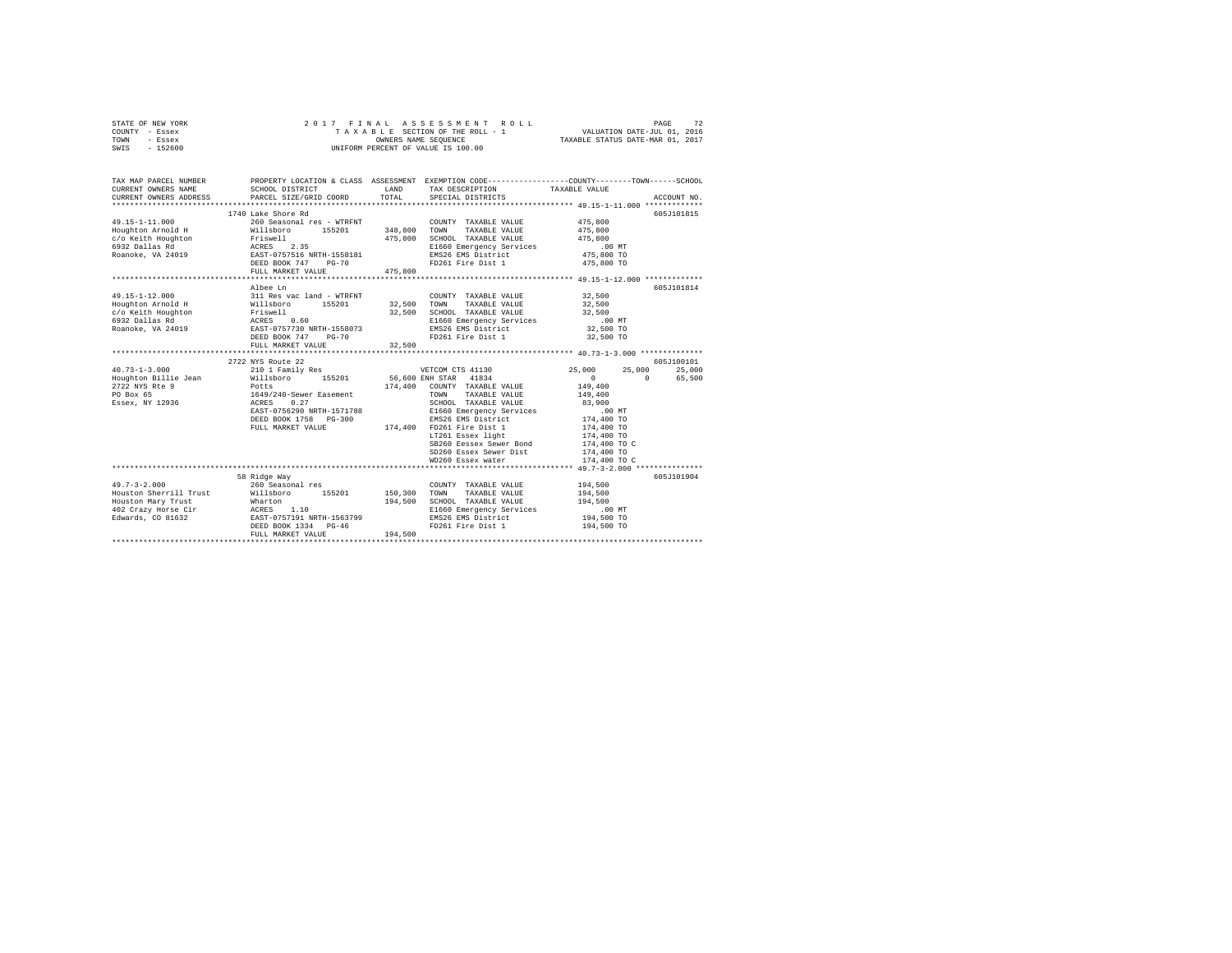|      | STATE OF NEW YORK |  |  | 2017 FINAL ASSESSMENT ROLL         |                                  | PAGE | 72 |
|------|-------------------|--|--|------------------------------------|----------------------------------|------|----|
|      | COUNTY - Essex    |  |  | TAXABLE SECTION OF THE ROLL - 1    | VALUATION DATE-JUL 01, 2016      |      |    |
| TOWN | - Essex           |  |  | OWNERS NAME SEOUENCE               | TAXABLE STATUS DATE-MAR 01, 2017 |      |    |
| SWIS | $-152600$         |  |  | UNIFORM PERCENT OF VALUE IS 100.00 |                                  |      |    |

| TAX MAP PARCEL NUMBER<br>CURRENT OWNERS NAME                                                                                                                                                                                         | PROPERTY LOCATION & CLASS ASSESSMENT EXEMPTION CODE----------------COUNTY-------TOWN------SCHOOL<br>SCHOOL DISTRICT | LAND    | TAX DESCRIPTION                                                                                                                                  | TAXABLE VALUE        |             |
|--------------------------------------------------------------------------------------------------------------------------------------------------------------------------------------------------------------------------------------|---------------------------------------------------------------------------------------------------------------------|---------|--------------------------------------------------------------------------------------------------------------------------------------------------|----------------------|-------------|
|                                                                                                                                                                                                                                      |                                                                                                                     |         |                                                                                                                                                  |                      |             |
|                                                                                                                                                                                                                                      | 1740 Lake Shore Rd                                                                                                  |         |                                                                                                                                                  |                      | 605J101815  |
| 49.15-1-11.000                                                                                                                                                                                                                       | 260 Seasonal res - WTRFNT                                                                                           |         | COUNTY TAXABLE VALUE 475,800                                                                                                                     |                      |             |
|                                                                                                                                                                                                                                      |                                                                                                                     |         | TAXABLE VALUE                                                                                                                                    | $475\,, 800$         |             |
|                                                                                                                                                                                                                                      |                                                                                                                     |         | SCHOOL TAXABLE VALUE                                                                                                                             | 475,800              |             |
|                                                                                                                                                                                                                                      |                                                                                                                     |         |                                                                                                                                                  |                      |             |
|                                                                                                                                                                                                                                      |                                                                                                                     |         | EMS26 EMS District<br>FD261 Fire Dist 1                                                                                                          |                      |             |
| 19.13-1-1.000<br>19.19.1000 10000 10000 10000 10000 10000 10000 10000 10000 10000 10000 10000 10000 10000 10000<br>19.13.11.18.18.18 10000 10000 10000 10000 10000 10000 10000 10000 10000 10000 10000 10000 10000 10000 10000 1<br> | FULL MARKET VALUE 475,800                                                                                           |         |                                                                                                                                                  | 475,800 TO           |             |
|                                                                                                                                                                                                                                      |                                                                                                                     |         |                                                                                                                                                  |                      |             |
|                                                                                                                                                                                                                                      | Albee Ln                                                                                                            |         |                                                                                                                                                  |                      | 605-7101814 |
|                                                                                                                                                                                                                                      |                                                                                                                     |         | COUNTY TAXABLE VALUE 32,500                                                                                                                      |                      |             |
|                                                                                                                                                                                                                                      |                                                                                                                     |         |                                                                                                                                                  | 32,500               |             |
|                                                                                                                                                                                                                                      |                                                                                                                     |         |                                                                                                                                                  | 32,500               |             |
|                                                                                                                                                                                                                                      |                                                                                                                     |         | E1660 Emergency Services .00 MT                                                                                                                  |                      |             |
|                                                                                                                                                                                                                                      |                                                                                                                     |         | EMS26 EMS District<br>FD261 Fire Dist 1                                                                                                          | 32,500 TO            |             |
|                                                                                                                                                                                                                                      |                                                                                                                     |         |                                                                                                                                                  | 32,500 TO            |             |
|                                                                                                                                                                                                                                      | FULL MARKET VALUE                                                                                                   | 32,500  |                                                                                                                                                  |                      |             |
|                                                                                                                                                                                                                                      |                                                                                                                     |         |                                                                                                                                                  |                      |             |
|                                                                                                                                                                                                                                      | 2722 NYS Route 22                                                                                                   |         |                                                                                                                                                  |                      | 605-7100101 |
| $40.73 - 1 - 3.000$                                                                                                                                                                                                                  |                                                                                                                     |         |                                                                                                                                                  | 25,000<br>25,000     | 25,000      |
| Houghton Billie Jean<br>2722 NYS Rte 9                                                                                                                                                                                               |                                                                                                                     |         |                                                                                                                                                  | $\sim$ 0<br>$\sim$ 0 | 65,500      |
|                                                                                                                                                                                                                                      |                                                                                                                     |         |                                                                                                                                                  | 149,400              |             |
| PO Box 65                                                                                                                                                                                                                            |                                                                                                                     |         | TOWN TAXABLE VALUE 149,400                                                                                                                       |                      |             |
| Essex, NY 12936                                                                                                                                                                                                                      |                                                                                                                     |         |                                                                                                                                                  | 83,900               |             |
|                                                                                                                                                                                                                                      |                                                                                                                     |         |                                                                                                                                                  | $.00$ MT             |             |
|                                                                                                                                                                                                                                      |                                                                                                                     |         |                                                                                                                                                  | 174,400 TO           |             |
|                                                                                                                                                                                                                                      |                                                                                                                     |         |                                                                                                                                                  | 174,400 TO           |             |
|                                                                                                                                                                                                                                      |                                                                                                                     |         | EAST-0756290 NKIH-1974700<br>DEED BOOK 1758 PG-300 MARKET VALUE<br>FULL MARKET VALUE 174,400 FD261 Fire Dist 1<br>LT261 Essex light<br>Anny Book | 174,400 TO           |             |
|                                                                                                                                                                                                                                      |                                                                                                                     |         | SB260 Eessex Sewer Bond                                                                                                                          | 174,400 TO C         |             |
|                                                                                                                                                                                                                                      |                                                                                                                     |         | SD260 Essex Sewer Dist                                                                                                                           | 174,400 TO           |             |
|                                                                                                                                                                                                                                      |                                                                                                                     |         | WD260 Essex water                                                                                                                                | 174,400 TO C         |             |
|                                                                                                                                                                                                                                      |                                                                                                                     |         |                                                                                                                                                  |                      |             |
|                                                                                                                                                                                                                                      | 58 Ridge Way                                                                                                        |         |                                                                                                                                                  |                      | 605J101904  |
| $49.7 - 3 - 2.000$                                                                                                                                                                                                                   | 260 Seasonal res                                                                                                    |         | COUNTY TAXABLE VALUE 194,500                                                                                                                     |                      |             |
|                                                                                                                                                                                                                                      |                                                                                                                     |         |                                                                                                                                                  | 194,500<br>194,500   |             |
|                                                                                                                                                                                                                                      |                                                                                                                     |         | 194,500 SCHOOL TAXABLE VALUE<br>E1660 Emergency Services                                                                                         | .00 MT               |             |
|                                                                                                                                                                                                                                      |                                                                                                                     |         |                                                                                                                                                  | 194,500 TO           |             |
|                                                                                                                                                                                                                                      |                                                                                                                     |         | EMS26 EMS District                                                                                                                               |                      |             |
|                                                                                                                                                                                                                                      | FULL MARKET VALUE                                                                                                   | 194,500 |                                                                                                                                                  | 194,500 TO           |             |
|                                                                                                                                                                                                                                      |                                                                                                                     |         |                                                                                                                                                  |                      |             |
|                                                                                                                                                                                                                                      |                                                                                                                     |         |                                                                                                                                                  |                      |             |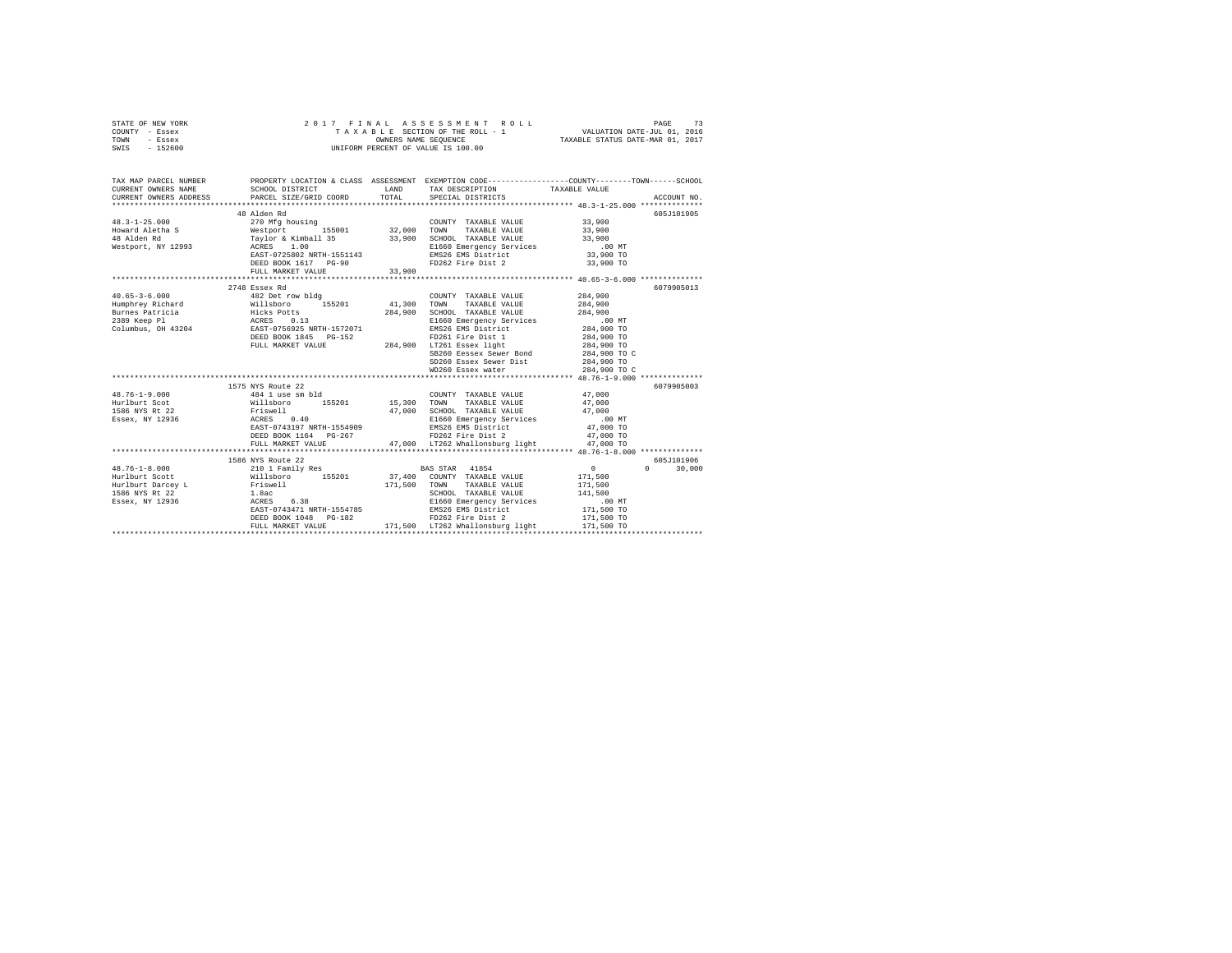| STATE OF NEW YORK | 2017 FINAL ASSESSMENT ROLL         | 73<br>PAGE                       |
|-------------------|------------------------------------|----------------------------------|
| COUNTY - Essex    | TAXABLE SECTION OF THE ROLL - 1    | VALUATION DATE-JUL 01, 2016      |
| TOWN<br>- Essex   | OWNERS NAME SEOUENCE               | TAXABLE STATUS DATE-MAR 01, 2017 |
| - 152600<br>SWIS  | UNIFORM PERCENT OF VALUE IS 100.00 |                                  |

| TAX MAP PARCEL NUMBER<br>CURRENT OWNERS NAME<br>CURRENT OWNERS ADDRESS    | SCHOOL DISTRICT<br>PARCEL SIZE/GRID COORD                                                                                                                                  | LAND<br>TOTAL | PROPERTY LOCATION & CLASS ASSESSMENT EXEMPTION CODE---------------COUNTY-------TOWN------SCHOOL<br>TAX DESCRIPTION TAXABLE VALUE<br>SPECIAL DISTRICTS                                                                           |                                                                   | ACCOUNT NO.                      |
|---------------------------------------------------------------------------|----------------------------------------------------------------------------------------------------------------------------------------------------------------------------|---------------|---------------------------------------------------------------------------------------------------------------------------------------------------------------------------------------------------------------------------------|-------------------------------------------------------------------|----------------------------------|
|                                                                           | 48 Alden Rd<br>EAST-0725802 NRTH-1551143<br>DEED BOOK 1617 PG-90<br>FULL MARKET VALUE                                                                                      | 33,900        | COUNTY TAXABLE VALUE 33,900<br>TAXABLE VALUE 33,900<br>SCHOOL TAXABLE VALUE 33,900<br>E1660 Emergency Services .00 MT<br>EMS26 EMS District 33,900 TO<br>FD262 Fire Dist 2 33,900 TO                                            |                                                                   | 605J101905                       |
|                                                                           | 2748 Essex Rd                                                                                                                                                              |               |                                                                                                                                                                                                                                 |                                                                   | 6079905013                       |
| $48.76 - 1 - 9.000$<br>Hurlburt Scot<br>1586 NYS Rt 22<br>Essex, NY 12936 | 1575 NYS Route 22<br>484 1 use sm bld<br>Willsboro 155201 15,300 TOWN<br>Friswell<br>ACRES 0.40<br>EAST-0743197 NRTH-1554909<br>DEED BOOK 1164 PG-267<br>FULL MARKET VALUE |               | COUNTY TAXABLE VALUE 47,000<br>TAXABLE VALUE<br>47,000 SCHOOL TAXABLE VALUE 47,000<br>E1660 Emergency Services .00 MT<br>EMS26 EMS District<br>FD262 Fire Dist 2<br>47.000 LT262 Whallonsburg light 67.000 TO                   | 47,000<br>47,000 TO<br>47,000 TO                                  | 6079905003                       |
| $48.76 - 1 - 8.000$                                                       | 1586 NYS Route 22<br>210 1 Family Res BAS STAR 41854<br>EAST-0743471 NRTH-1554785<br>DEED BOOK 1048 PG-182<br>FULL MARKET VALUE                                            |               | 37,400 COUNTY TAXABLE VALUE<br>171,500 TOWN TAXABLE VALUE<br>SCHOOL TAXABLE VALUE 141,500<br>E1660 Emergency Services .00 MT<br>EMS26 EMS District .00 TO<br>FD262 Fire Dist 2 .0171,500 TO<br>171.500 LT262 Whallonsburg light | $\sim$ 0 $\sim$<br>171,500<br>171,500<br>171,500 TO<br>171,500 TO | 605J101906<br>$\Omega$<br>30,000 |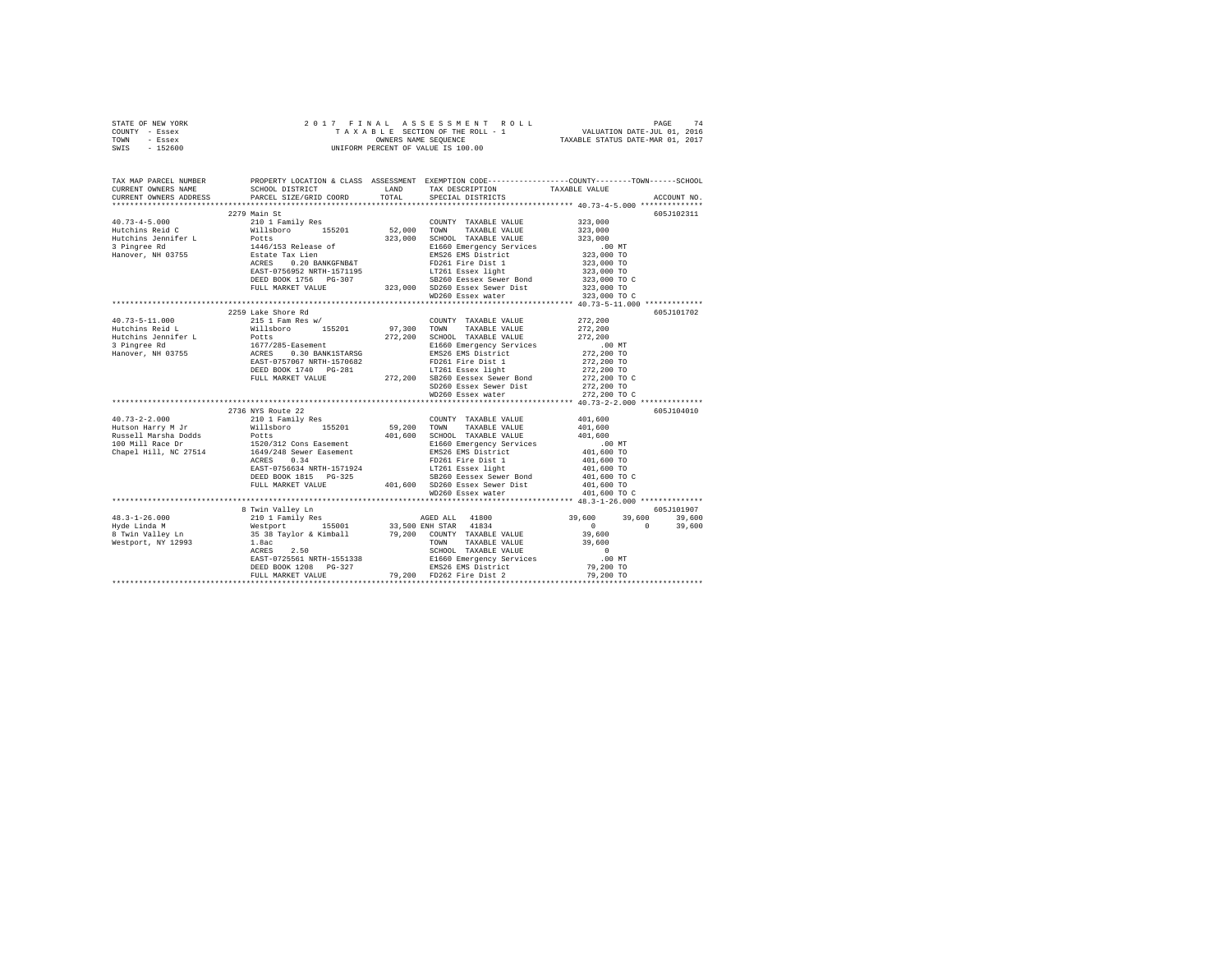| STATE OF NEW YORK | 2017 FINAL ASSESSMENT ROLL         | 74<br>PAGE                       |
|-------------------|------------------------------------|----------------------------------|
| COUNTY - Essex    | TAXABLE SECTION OF THE ROLL - 1    | VALUATION DATE-JUL 01, 2016      |
| TOWN<br>- Essex   | OWNERS NAME SEOUENCE               | TAXABLE STATUS DATE-MAR 01, 2017 |
| - 152600<br>SWIS  | UNIFORM PERCENT OF VALUE IS 100.00 |                                  |

| TAX MAP PARCEL NUMBER<br>CURRENT OWNERS NAME | SCHOOL DISTRICT                                                                                                                                                                                                                                                                                                                                                                                               | LAND TAX DESCRIPTION TAXABLE VALUE | PROPERTY LOCATION & CLASS ASSESSMENT EXEMPTION CODE---------------COUNTY-------TOWN------SCHOOL                                                                                                                                                                                                             |
|----------------------------------------------|---------------------------------------------------------------------------------------------------------------------------------------------------------------------------------------------------------------------------------------------------------------------------------------------------------------------------------------------------------------------------------------------------------------|------------------------------------|-------------------------------------------------------------------------------------------------------------------------------------------------------------------------------------------------------------------------------------------------------------------------------------------------------------|
| CURRENT OWNERS ADDRESS                       | PARCEL SIZE/GRID COORD                                                                                                                                                                                                                                                                                                                                                                                        | TOTAL SPECIAL DISTRICTS            | ACCOUNT NO.                                                                                                                                                                                                                                                                                                 |
|                                              |                                                                                                                                                                                                                                                                                                                                                                                                               |                                    | 605J102311                                                                                                                                                                                                                                                                                                  |
|                                              |                                                                                                                                                                                                                                                                                                                                                                                                               |                                    |                                                                                                                                                                                                                                                                                                             |
|                                              |                                                                                                                                                                                                                                                                                                                                                                                                               |                                    |                                                                                                                                                                                                                                                                                                             |
|                                              |                                                                                                                                                                                                                                                                                                                                                                                                               |                                    |                                                                                                                                                                                                                                                                                                             |
|                                              |                                                                                                                                                                                                                                                                                                                                                                                                               |                                    |                                                                                                                                                                                                                                                                                                             |
|                                              |                                                                                                                                                                                                                                                                                                                                                                                                               |                                    |                                                                                                                                                                                                                                                                                                             |
|                                              |                                                                                                                                                                                                                                                                                                                                                                                                               |                                    |                                                                                                                                                                                                                                                                                                             |
|                                              |                                                                                                                                                                                                                                                                                                                                                                                                               |                                    |                                                                                                                                                                                                                                                                                                             |
|                                              |                                                                                                                                                                                                                                                                                                                                                                                                               |                                    |                                                                                                                                                                                                                                                                                                             |
|                                              |                                                                                                                                                                                                                                                                                                                                                                                                               |                                    |                                                                                                                                                                                                                                                                                                             |
|                                              |                                                                                                                                                                                                                                                                                                                                                                                                               |                                    |                                                                                                                                                                                                                                                                                                             |
|                                              | 2259 Lake Shore Rd                                                                                                                                                                                                                                                                                                                                                                                            |                                    | 605J101702                                                                                                                                                                                                                                                                                                  |
|                                              | $\begin{tabular}{l c c c c} \multicolumn{4}{c}{\textbf{40.73--5--11.000}} & \multicolumn{4}{c}{225} & \multicolumn{4}{c}{\textbf{212.00}} & \multicolumn{4}{c}{\textbf{223.00}} & \multicolumn{4}{c}{\textbf{223.00}} & \multicolumn{4}{c}{\textbf{223.00}} & \multicolumn{4}{c}{\textbf{223.00}} & \multicolumn{4}{c}{\textbf{223.00}} & \multicolumn{4}{c}{\textbf{223.00}} & \multicolumn{4}{c}{\textbf{2$ |                                    |                                                                                                                                                                                                                                                                                                             |
|                                              |                                                                                                                                                                                                                                                                                                                                                                                                               |                                    |                                                                                                                                                                                                                                                                                                             |
|                                              |                                                                                                                                                                                                                                                                                                                                                                                                               |                                    |                                                                                                                                                                                                                                                                                                             |
|                                              |                                                                                                                                                                                                                                                                                                                                                                                                               |                                    |                                                                                                                                                                                                                                                                                                             |
|                                              |                                                                                                                                                                                                                                                                                                                                                                                                               |                                    |                                                                                                                                                                                                                                                                                                             |
|                                              |                                                                                                                                                                                                                                                                                                                                                                                                               |                                    |                                                                                                                                                                                                                                                                                                             |
|                                              |                                                                                                                                                                                                                                                                                                                                                                                                               |                                    |                                                                                                                                                                                                                                                                                                             |
|                                              |                                                                                                                                                                                                                                                                                                                                                                                                               |                                    |                                                                                                                                                                                                                                                                                                             |
|                                              |                                                                                                                                                                                                                                                                                                                                                                                                               |                                    |                                                                                                                                                                                                                                                                                                             |
|                                              |                                                                                                                                                                                                                                                                                                                                                                                                               |                                    |                                                                                                                                                                                                                                                                                                             |
|                                              |                                                                                                                                                                                                                                                                                                                                                                                                               |                                    | ************************************* 40.73-2-2.000 *************                                                                                                                                                                                                                                           |
|                                              | 2736 NYS Route 22                                                                                                                                                                                                                                                                                                                                                                                             |                                    | 605J104010                                                                                                                                                                                                                                                                                                  |
|                                              |                                                                                                                                                                                                                                                                                                                                                                                                               |                                    |                                                                                                                                                                                                                                                                                                             |
|                                              |                                                                                                                                                                                                                                                                                                                                                                                                               |                                    |                                                                                                                                                                                                                                                                                                             |
|                                              |                                                                                                                                                                                                                                                                                                                                                                                                               |                                    |                                                                                                                                                                                                                                                                                                             |
|                                              |                                                                                                                                                                                                                                                                                                                                                                                                               |                                    |                                                                                                                                                                                                                                                                                                             |
|                                              |                                                                                                                                                                                                                                                                                                                                                                                                               |                                    |                                                                                                                                                                                                                                                                                                             |
|                                              |                                                                                                                                                                                                                                                                                                                                                                                                               |                                    |                                                                                                                                                                                                                                                                                                             |
|                                              |                                                                                                                                                                                                                                                                                                                                                                                                               |                                    |                                                                                                                                                                                                                                                                                                             |
|                                              |                                                                                                                                                                                                                                                                                                                                                                                                               |                                    |                                                                                                                                                                                                                                                                                                             |
|                                              |                                                                                                                                                                                                                                                                                                                                                                                                               |                                    |                                                                                                                                                                                                                                                                                                             |
|                                              |                                                                                                                                                                                                                                                                                                                                                                                                               |                                    |                                                                                                                                                                                                                                                                                                             |
|                                              | 8 Twin Valley Ln                                                                                                                                                                                                                                                                                                                                                                                              |                                    | 605J101907                                                                                                                                                                                                                                                                                                  |
| $48.3 - 1 - 26.000$                          |                                                                                                                                                                                                                                                                                                                                                                                                               |                                    |                                                                                                                                                                                                                                                                                                             |
| Hyde Linda M<br>8 Twin Valley Ln             |                                                                                                                                                                                                                                                                                                                                                                                                               |                                    |                                                                                                                                                                                                                                                                                                             |
|                                              |                                                                                                                                                                                                                                                                                                                                                                                                               |                                    |                                                                                                                                                                                                                                                                                                             |
| Westport, NY 12993                           |                                                                                                                                                                                                                                                                                                                                                                                                               |                                    |                                                                                                                                                                                                                                                                                                             |
|                                              |                                                                                                                                                                                                                                                                                                                                                                                                               |                                    |                                                                                                                                                                                                                                                                                                             |
|                                              |                                                                                                                                                                                                                                                                                                                                                                                                               |                                    |                                                                                                                                                                                                                                                                                                             |
|                                              |                                                                                                                                                                                                                                                                                                                                                                                                               |                                    |                                                                                                                                                                                                                                                                                                             |
|                                              |                                                                                                                                                                                                                                                                                                                                                                                                               |                                    | $\begin{array}{ccccccccc} 8 & \text{Twin Value Line} & \text{Time Time} & \text{AGED ALL} & 41800 & 39,600 & 39,600 & 39,600 & 39,600 & 39,600 & 39,600 & 39,600 & 39,600 & 39,600 & 39,600 & 39,600 & 39,600 & 39,600 & 39,600 & 39,600 & 39,600 & 39,600 & 39,600 & 39,600 & 39,600 & 39,600 & 39,600 & $ |
|                                              |                                                                                                                                                                                                                                                                                                                                                                                                               |                                    |                                                                                                                                                                                                                                                                                                             |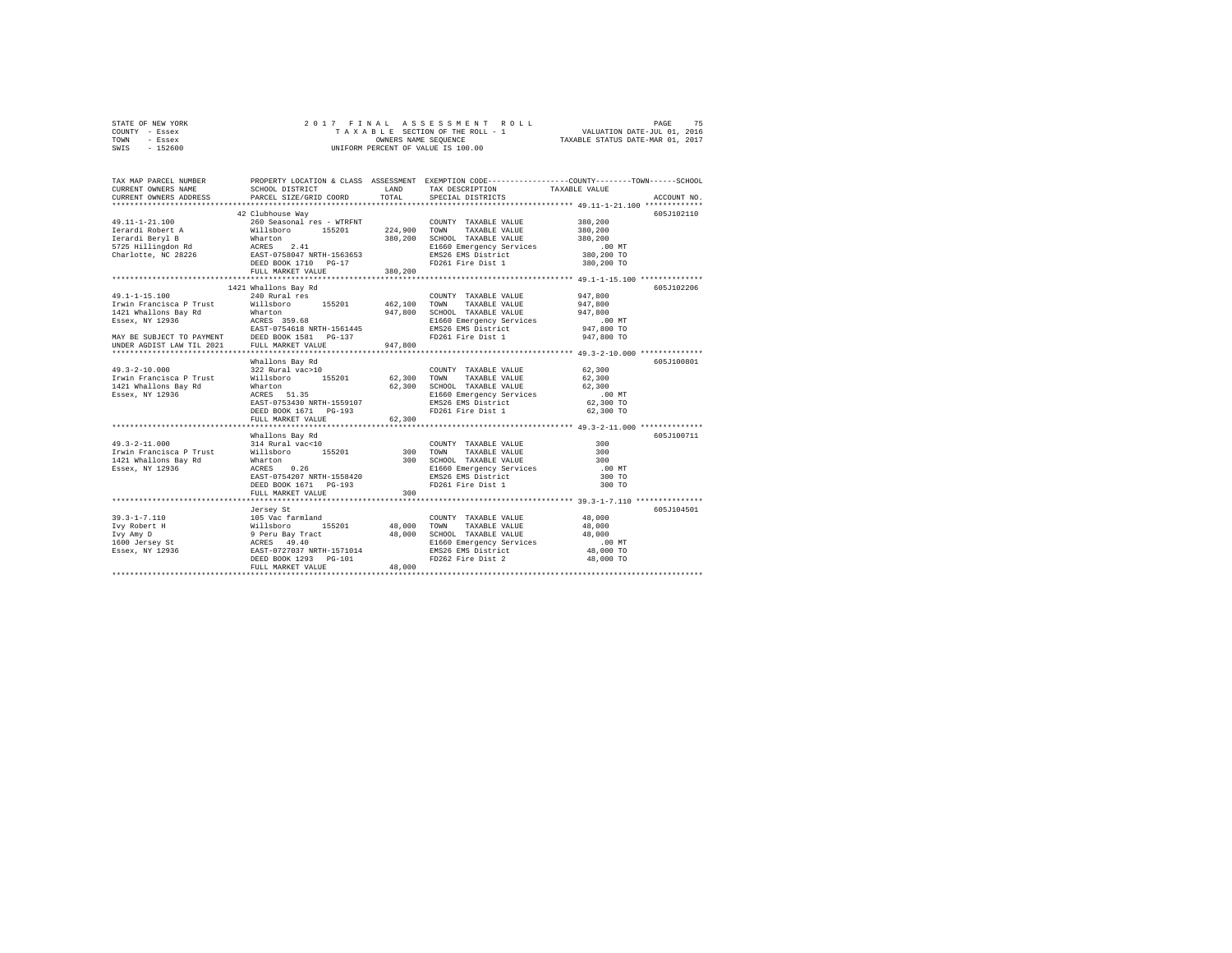| STATE OF NEW YORK | 2017 FINAL ASSESSMENT ROLL         | 75<br>PAGE                       |
|-------------------|------------------------------------|----------------------------------|
| COUNTY - Essex    | TAXABLE SECTION OF THE ROLL - 1    | VALUATION DATE-JUL 01, 2016      |
| TOWN<br>- Essex   | OWNERS NAME SEOUENCE               | TAXABLE STATUS DATE-MAR 01, 2017 |
| - 152600<br>SWIS  | UNIFORM PERCENT OF VALUE IS 100.00 |                                  |

| TAX MAP PARCEL NUMBER<br>CURRENT OWNERS NAME                                                                                                                                                                                    | SCHOOL DISTRICT                                                                  | T.AND       | TAX DESCRIPTION                                                              | PROPERTY LOCATION & CLASS ASSESSMENT EXEMPTION CODE----------------COUNTY-------TOWN------SCHOOL<br>TAXABLE VALUE |
|---------------------------------------------------------------------------------------------------------------------------------------------------------------------------------------------------------------------------------|----------------------------------------------------------------------------------|-------------|------------------------------------------------------------------------------|-------------------------------------------------------------------------------------------------------------------|
| CURRENT OWNERS ADDRESS                                                                                                                                                                                                          | PARCEL SIZE/GRID COORD                                                           | TOTAL       | SPECIAL DISTRICTS                                                            | ACCOUNT NO.                                                                                                       |
|                                                                                                                                                                                                                                 |                                                                                  |             |                                                                              |                                                                                                                   |
| 49.11-1-21.100                                                                                                                                                                                                                  | 42 Clubhouse Way                                                                 |             | 260 Seasonal res - WTRFNT COUNTY TAXABLE VALUE                               | 605J102110<br>380,200                                                                                             |
|                                                                                                                                                                                                                                 | Willsboro 155201 224,900 TOWN                                                    |             | TAXABLE VALUE                                                                | 380,200                                                                                                           |
| Ierardi Robert A                                                                                                                                                                                                                |                                                                                  |             | 380,200 SCHOOL TAXABLE VALUE                                                 | 380,200                                                                                                           |
|                                                                                                                                                                                                                                 |                                                                                  |             | E1660 Emergency Services                                                     | .00 MT                                                                                                            |
|                                                                                                                                                                                                                                 |                                                                                  |             | EMS26 EMS District                                                           | 00 MT.<br>380,200 TO                                                                                              |
|                                                                                                                                                                                                                                 |                                                                                  |             | FD261 Fire Dist 1                                                            | 380,200 TO                                                                                                        |
|                                                                                                                                                                                                                                 | FULL MARKET VALUE                                                                | 380,200     |                                                                              |                                                                                                                   |
|                                                                                                                                                                                                                                 |                                                                                  |             |                                                                              |                                                                                                                   |
|                                                                                                                                                                                                                                 | 1421 Whallons Bay Rd                                                             |             |                                                                              | 605J102206                                                                                                        |
| $49.1 - 1 - 15.100$                                                                                                                                                                                                             | 240 Rural res                                                                    |             | COUNTY TAXABLE VALUE                                                         | 947,800                                                                                                           |
| Irwin Francisca P Trust                                                                                                                                                                                                         | Willsboro 155201 462,100 TOWN                                                    |             | TAXABLE VALUE                                                                | 947,800                                                                                                           |
|                                                                                                                                                                                                                                 |                                                                                  |             | 947,800 SCHOOL TAXABLE VALUE                                                 | 947,800                                                                                                           |
|                                                                                                                                                                                                                                 |                                                                                  |             | E1660 Emergency Services                                                     | $.00$ MT                                                                                                          |
|                                                                                                                                                                                                                                 |                                                                                  |             | EMS26 EMS District                                                           | ىس ∪∪.<br>947,800 TO                                                                                              |
|                                                                                                                                                                                                                                 |                                                                                  |             | FD261 Fire Dist 1                                                            | 947,800 TO                                                                                                        |
| 1921 Whallons Bay Rd<br>1921 Whallons Bay Rd<br>Essex, NY 12936<br>NARY BE SUBJECT TO RAYMENT DEST-0754618 NRTH-1561445<br>NAP BE SUBJECT TO PAYMENT DEST DESED BOOK 1581 PG-137<br>UNDER AGDIST LAW TIL 2021 FULL MARKET VALUE |                                                                                  | 947,800     |                                                                              |                                                                                                                   |
|                                                                                                                                                                                                                                 |                                                                                  |             |                                                                              |                                                                                                                   |
|                                                                                                                                                                                                                                 | Whallons Bay Rd                                                                  |             |                                                                              | 605J100801                                                                                                        |
| $49.3 - 2 - 10.000$                                                                                                                                                                                                             |                                                                                  |             | COUNTY TAXABLE VALUE                                                         | 62,300                                                                                                            |
| Irwin Francisca P Trust                                                                                                                                                                                                         |                                                                                  |             | TAXABLE VALUE                                                                | 62,300                                                                                                            |
| 1421 Whallons Bay Rd                                                                                                                                                                                                            | Wharton<br>ACRES 51.35                                                           |             | 62,300 SCHOOL TAXABLE VALUE<br>E1660 Emergency Services<br>MS26 EMS District | 62,300                                                                                                            |
| Essex, NY 12936                                                                                                                                                                                                                 |                                                                                  |             |                                                                              | $.00$ MT                                                                                                          |
|                                                                                                                                                                                                                                 | EAST-0753430 NRTH-1559107                                                        |             |                                                                              | 62,300 TO                                                                                                         |
|                                                                                                                                                                                                                                 | DEED BOOK 1671 PG-193                                                            |             | FD261 Fire Dist 1                                                            | 62,300 TO                                                                                                         |
|                                                                                                                                                                                                                                 | FULL MARKET VALUE                                                                | 62,300      |                                                                              |                                                                                                                   |
|                                                                                                                                                                                                                                 |                                                                                  |             |                                                                              |                                                                                                                   |
|                                                                                                                                                                                                                                 | Whallons Bay Rd                                                                  |             |                                                                              | 605J100711                                                                                                        |
| $49.3 - 2 - 11.000$                                                                                                                                                                                                             | 314 Rural vac<10                                                                 |             | COUNTY TAXABLE VALUE                                                         | 300                                                                                                               |
| Irwin Francisca P Trust Millsboro 155201 300                                                                                                                                                                                    |                                                                                  |             | TAXABLE VALUE<br>TOWN                                                        | 300                                                                                                               |
| 1421 Whallons Bay Rd                                                                                                                                                                                                            | Wharton<br>ACRES                                                                 |             | 300 SCHOOL TAXABLE VALUE<br>SCHOOL TAXABLE VALUE<br>E1660 Emergency Services | 300                                                                                                               |
| Essex, NY 12936                                                                                                                                                                                                                 | Wharton 0.26<br>ACRES 0.26<br>EAST-0754207 NRTH-1558420<br>DEED BOOK 1671 PG-193 |             |                                                                              | $.00$ MT                                                                                                          |
|                                                                                                                                                                                                                                 |                                                                                  |             | EMS26 EMS District<br>FD261 Fire Dist 1                                      | 300 TO                                                                                                            |
|                                                                                                                                                                                                                                 |                                                                                  |             |                                                                              | 300 TO                                                                                                            |
|                                                                                                                                                                                                                                 | FULL MARKET VALUE                                                                | 300         |                                                                              |                                                                                                                   |
|                                                                                                                                                                                                                                 |                                                                                  |             |                                                                              | 605J104501                                                                                                        |
| $39.3 - 1 - 7.110$                                                                                                                                                                                                              | Jersey St<br>105 Vac farmland                                                    |             |                                                                              | 48,000                                                                                                            |
| Ivy Robert H                                                                                                                                                                                                                    |                                                                                  | 48,000 TOWN | COUNTY TAXABLE VALUE<br>TAXABLE VALUE                                        |                                                                                                                   |
|                                                                                                                                                                                                                                 |                                                                                  |             | 48,000 TOWN TAXABLE VALUE<br>48,000 SCHOOL TAXABLE VALUE                     | 48,000<br>48,000                                                                                                  |
| Ivy Amy D<br>1600 Jersey St                                                                                                                                                                                                     | willsboro 155201<br>9 Peru Bay Tract<br>ACRES 49.40<br>EAST-0727037 NRTH-1571014 |             |                                                                              |                                                                                                                   |
| Lis versey St.<br>Essex, NY 12936                                                                                                                                                                                               |                                                                                  |             | E1660 Emergency Services<br>EMS26 EMS District                               | 00 MT.<br>48,000 TO                                                                                               |
|                                                                                                                                                                                                                                 | DEED BOOK 1293 PG-101                                                            |             | FD262 Fire Dist 2                                                            | 48,000 TO                                                                                                         |
|                                                                                                                                                                                                                                 | FULL MARKET VALUE                                                                | 48,000      |                                                                              |                                                                                                                   |
|                                                                                                                                                                                                                                 |                                                                                  |             |                                                                              |                                                                                                                   |
|                                                                                                                                                                                                                                 |                                                                                  |             |                                                                              |                                                                                                                   |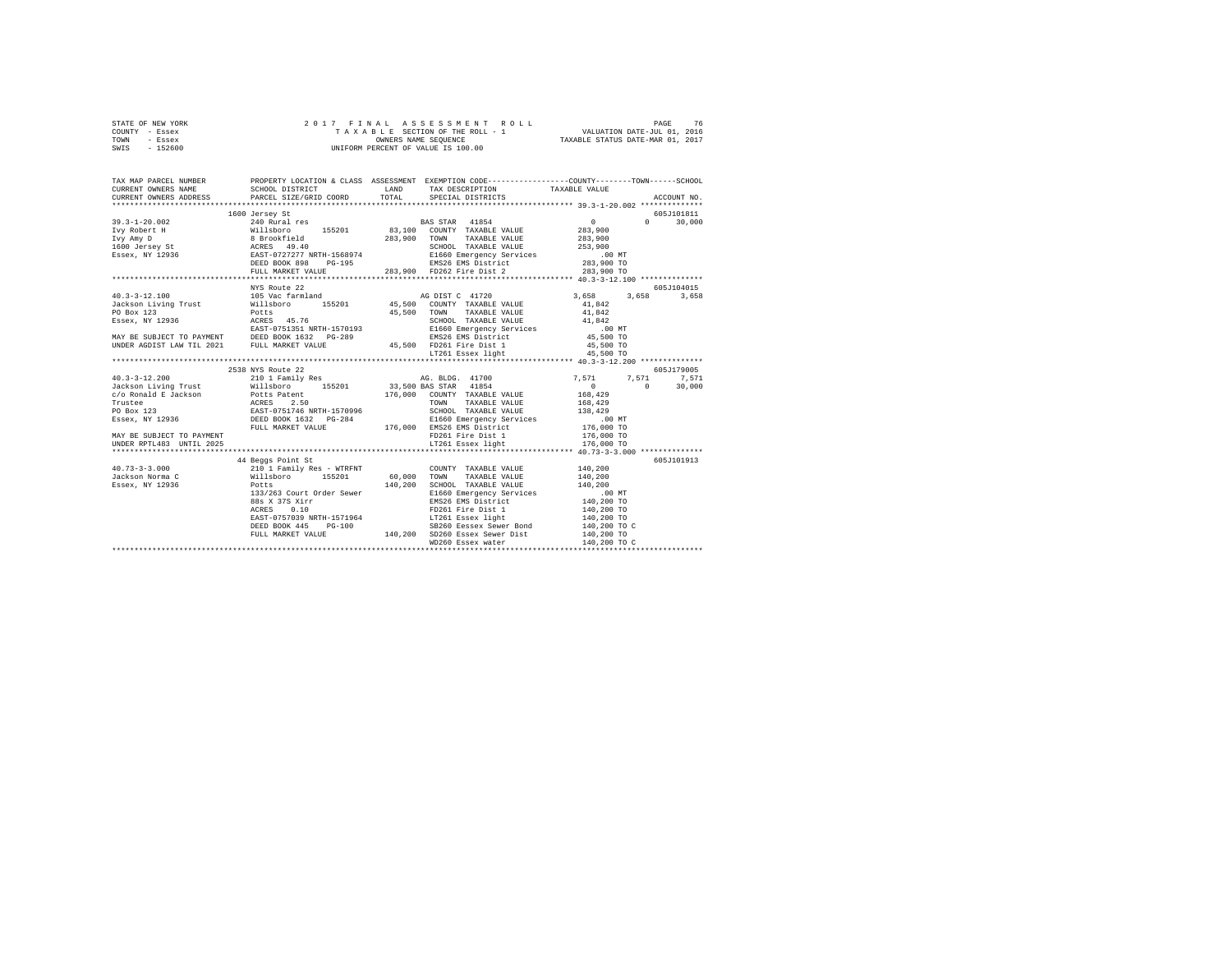| STATE OF NEW YORK | 2017 FINAL ASSESSMENT ROLL         | 76<br>PAGE                       |
|-------------------|------------------------------------|----------------------------------|
| COUNTY - Essex    | TAXABLE SECTION OF THE ROLL - 1    | VALUATION DATE-JUL 01, 2016      |
| TOWN<br>- Essex   | OWNERS NAME SEOUENCE               | TAXABLE STATUS DATE-MAR 01, 2017 |
| - 152600<br>SWIS  | UNIFORM PERCENT OF VALUE IS 100.00 |                                  |

| $\begin{tabular}{cccccc} 39.3-1-20.002 & 1600~3ergs~\text{St}} & 6055101811 & 6055101811 \\ \hline \text{Ivy Rober H} & 81.000~30.000~30.000~30.000~30.000~30.000 \\ \text{Ivy Rober H} & 81.0060~30.000~30.000~30.000~30.000 \\ \text{Ivy Rober H} & 81.0060~34.0 & 283.900~30.000~30.000 \\ \text{IgJ$                                           | 1600 Jersey St    |  | 605J101811 |
|----------------------------------------------------------------------------------------------------------------------------------------------------------------------------------------------------------------------------------------------------------------------------------------------------------------------------------------------------|-------------------|--|------------|
|                                                                                                                                                                                                                                                                                                                                                    |                   |  |            |
|                                                                                                                                                                                                                                                                                                                                                    |                   |  |            |
|                                                                                                                                                                                                                                                                                                                                                    |                   |  |            |
|                                                                                                                                                                                                                                                                                                                                                    |                   |  |            |
|                                                                                                                                                                                                                                                                                                                                                    |                   |  |            |
|                                                                                                                                                                                                                                                                                                                                                    |                   |  |            |
|                                                                                                                                                                                                                                                                                                                                                    |                   |  |            |
|                                                                                                                                                                                                                                                                                                                                                    |                   |  |            |
|                                                                                                                                                                                                                                                                                                                                                    | NYS Route 22      |  | 605J104015 |
|                                                                                                                                                                                                                                                                                                                                                    |                   |  |            |
|                                                                                                                                                                                                                                                                                                                                                    |                   |  |            |
|                                                                                                                                                                                                                                                                                                                                                    |                   |  |            |
|                                                                                                                                                                                                                                                                                                                                                    |                   |  |            |
|                                                                                                                                                                                                                                                                                                                                                    |                   |  |            |
|                                                                                                                                                                                                                                                                                                                                                    |                   |  |            |
|                                                                                                                                                                                                                                                                                                                                                    |                   |  |            |
|                                                                                                                                                                                                                                                                                                                                                    |                   |  |            |
|                                                                                                                                                                                                                                                                                                                                                    |                   |  |            |
|                                                                                                                                                                                                                                                                                                                                                    | 2538 NYS Route 22 |  | 605J179005 |
|                                                                                                                                                                                                                                                                                                                                                    |                   |  |            |
|                                                                                                                                                                                                                                                                                                                                                    |                   |  |            |
|                                                                                                                                                                                                                                                                                                                                                    |                   |  |            |
|                                                                                                                                                                                                                                                                                                                                                    |                   |  |            |
|                                                                                                                                                                                                                                                                                                                                                    |                   |  |            |
|                                                                                                                                                                                                                                                                                                                                                    |                   |  |            |
|                                                                                                                                                                                                                                                                                                                                                    |                   |  |            |
|                                                                                                                                                                                                                                                                                                                                                    |                   |  |            |
|                                                                                                                                                                                                                                                                                                                                                    |                   |  |            |
|                                                                                                                                                                                                                                                                                                                                                    |                   |  |            |
|                                                                                                                                                                                                                                                                                                                                                    |                   |  | 605J101913 |
|                                                                                                                                                                                                                                                                                                                                                    |                   |  |            |
|                                                                                                                                                                                                                                                                                                                                                    |                   |  |            |
|                                                                                                                                                                                                                                                                                                                                                    |                   |  |            |
|                                                                                                                                                                                                                                                                                                                                                    |                   |  |            |
|                                                                                                                                                                                                                                                                                                                                                    |                   |  |            |
|                                                                                                                                                                                                                                                                                                                                                    |                   |  |            |
|                                                                                                                                                                                                                                                                                                                                                    |                   |  |            |
|                                                                                                                                                                                                                                                                                                                                                    |                   |  |            |
|                                                                                                                                                                                                                                                                                                                                                    |                   |  |            |
|                                                                                                                                                                                                                                                                                                                                                    |                   |  |            |
| $\begin{tabular}{lcccc} \textbf{40.73--3--3.000} & \textbf{44 Begas Point Set} & \textbf{55--3.001} & \textbf{55--3.001} & \textbf{55--3.002} & \textbf{49.73--3.000} & \textbf{49.73--3.000} & \textbf{40.73--3.001} & \textbf{50.73--3.000} & \textbf{41.73--3.001} & \textbf{52.73--3.002} & \textbf{52.73--3.003} & \textbf{52.73--3.004} & \$ |                   |  |            |
|                                                                                                                                                                                                                                                                                                                                                    |                   |  |            |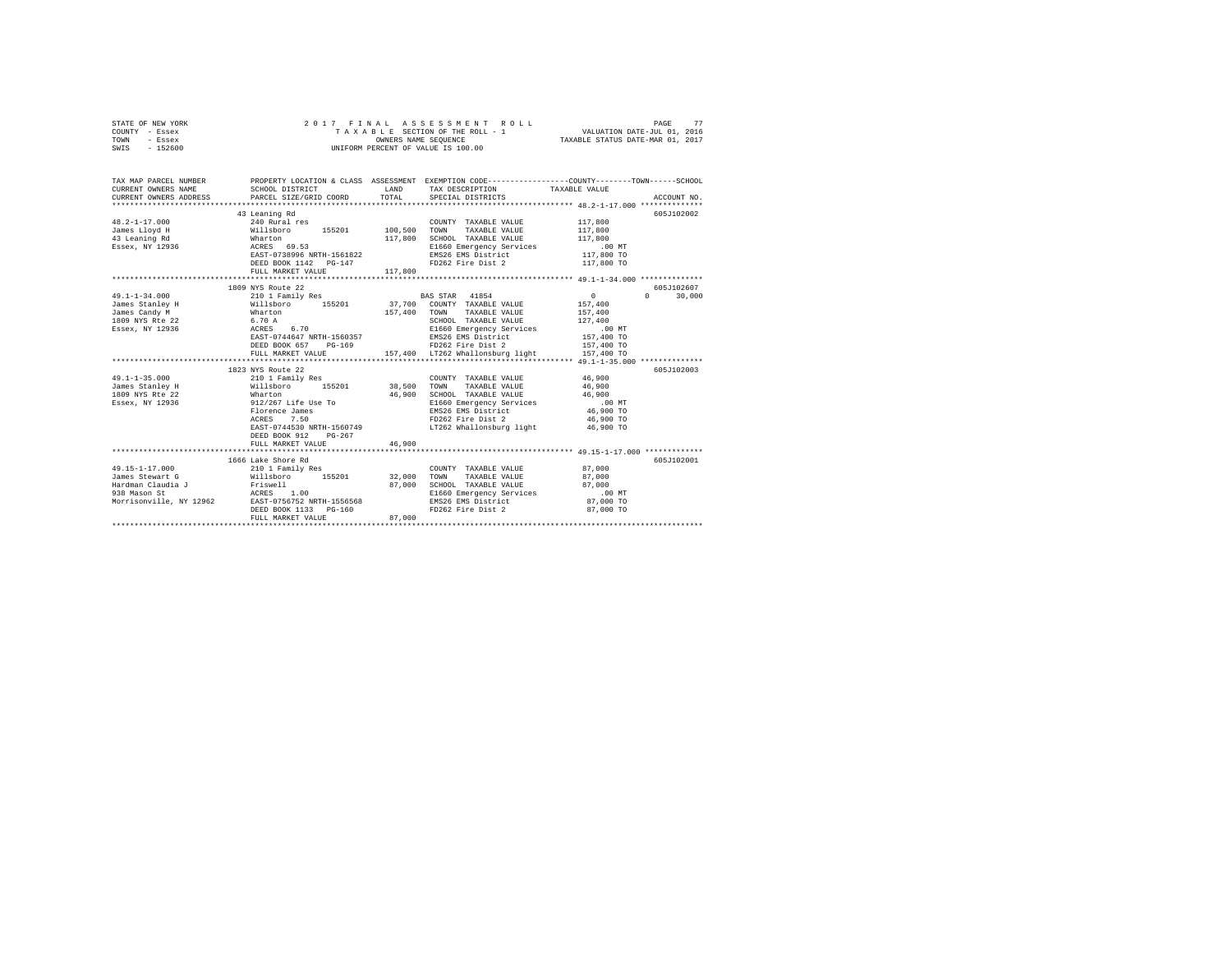| STATE OF NEW YORK |  |  |  | 2017 FINAL ASSESSMENT ROLL         |                                  | PAGE |  |
|-------------------|--|--|--|------------------------------------|----------------------------------|------|--|
| COUNTY - Essex    |  |  |  | TAXABLE SECTION OF THE ROLL - 1    | VALUATION DATE-JUL 01, 2016      |      |  |
| TOWN<br>- Essex   |  |  |  | OWNERS NAME SEOUENCE               | TAXABLE STATUS DATE-MAR 01, 2017 |      |  |
| $-152600$<br>SWIS |  |  |  | UNIFORM PERCENT OF VALUE IS 100.00 |                                  |      |  |

| TAX MAP PARCEL NUMBER                                                                                                                                                                                                            |                                                                                      |              |                                                                                                           | PROPERTY LOCATION & CLASS ASSESSMENT EXEMPTION CODE---------------COUNTY-------TOWN-----SCHOOL<br>$\begin{array}{cccc} \texttt{CUREREW} & \texttt{OMNER} & \texttt{NAHD} & \texttt{TAX DESCRIPTION} & \texttt{TAX ABLE WALUE} \\ \texttt{CUREREW} & \texttt{OMNES} & \texttt{PARECUS HZB} & \texttt{PACEAIL} & \texttt{SPECTRUS ACCOURT NO} \\ \texttt{CICUINT NO} & \texttt{ARCCONR} & \texttt{PACEA} & \texttt{SPECTR} & \texttt{SPECTR} \\ \texttt{SPEAEN IN LUMEN SUS ACEA} & \texttt{PACEA} & \texttt{SPECTR} & \texttt{SPECTR} & \texttt{SPECTR} \\ \$ |
|----------------------------------------------------------------------------------------------------------------------------------------------------------------------------------------------------------------------------------|--------------------------------------------------------------------------------------|--------------|-----------------------------------------------------------------------------------------------------------|--------------------------------------------------------------------------------------------------------------------------------------------------------------------------------------------------------------------------------------------------------------------------------------------------------------------------------------------------------------------------------------------------------------------------------------------------------------------------------------------------------------------------------------------------------------|
|                                                                                                                                                                                                                                  | 43 Leaning Rd                                                                        |              | COUNTY TAXABLE VALUE                                                                                      | 605J102002<br>117,800<br>117,800                                                                                                                                                                                                                                                                                                                                                                                                                                                                                                                             |
|                                                                                                                                                                                                                                  |                                                                                      |              |                                                                                                           |                                                                                                                                                                                                                                                                                                                                                                                                                                                                                                                                                              |
|                                                                                                                                                                                                                                  | FULL MARKET VALUE                                                                    | 117,800      | DEED BOOK 1142 PG-147 FD262 Fire Dist 2 117,800 TO                                                        |                                                                                                                                                                                                                                                                                                                                                                                                                                                                                                                                                              |
|                                                                                                                                                                                                                                  |                                                                                      |              |                                                                                                           |                                                                                                                                                                                                                                                                                                                                                                                                                                                                                                                                                              |
|                                                                                                                                                                                                                                  | 1809 NYS Route 22                                                                    |              |                                                                                                           | 605J102607                                                                                                                                                                                                                                                                                                                                                                                                                                                                                                                                                   |
| 49.1-1-34.000                                                                                                                                                                                                                    | 210 1 Family Res                                                                     |              | BAS STAR 41854                                                                                            | $\sim$ 0<br>$0 \qquad \qquad$<br>30,000                                                                                                                                                                                                                                                                                                                                                                                                                                                                                                                      |
| James Stanley H Millsboro 155201 37,700 COUNTY TAXABLE VALUE 157,400                                                                                                                                                             |                                                                                      |              |                                                                                                           |                                                                                                                                                                                                                                                                                                                                                                                                                                                                                                                                                              |
|                                                                                                                                                                                                                                  |                                                                                      | 157,400 TOWN | TAXABLE VALUE                                                                                             |                                                                                                                                                                                                                                                                                                                                                                                                                                                                                                                                                              |
| James Candy M<br>1809 NYS Rte 22                                                                                                                                                                                                 | Wharton<br>6.70 A                                                                    |              | SCHOOL TAXABLE VALUE                                                                                      | 157,400<br>127,400                                                                                                                                                                                                                                                                                                                                                                                                                                                                                                                                           |
|                                                                                                                                                                                                                                  |                                                                                      |              |                                                                                                           |                                                                                                                                                                                                                                                                                                                                                                                                                                                                                                                                                              |
|                                                                                                                                                                                                                                  |                                                                                      |              |                                                                                                           |                                                                                                                                                                                                                                                                                                                                                                                                                                                                                                                                                              |
|                                                                                                                                                                                                                                  |                                                                                      |              |                                                                                                           |                                                                                                                                                                                                                                                                                                                                                                                                                                                                                                                                                              |
|                                                                                                                                                                                                                                  |                                                                                      |              |                                                                                                           |                                                                                                                                                                                                                                                                                                                                                                                                                                                                                                                                                              |
|                                                                                                                                                                                                                                  |                                                                                      |              |                                                                                                           |                                                                                                                                                                                                                                                                                                                                                                                                                                                                                                                                                              |
|                                                                                                                                                                                                                                  | 1823 NYS Route 22                                                                    |              |                                                                                                           | 605-7102003                                                                                                                                                                                                                                                                                                                                                                                                                                                                                                                                                  |
| $49.1 - 1 - 35.000$                                                                                                                                                                                                              | 210 1 Family Res                                                                     |              | COUNTY TAXABLE VALUE 46,900                                                                               |                                                                                                                                                                                                                                                                                                                                                                                                                                                                                                                                                              |
| James Stanley H 38,500 TOWN TAXABLE VALUE 46,900                                                                                                                                                                                 | Willsboro<br>Whatron Digorous<br>912/267 Life Use To<br>Florence James<br>Arexe 7.50 |              |                                                                                                           |                                                                                                                                                                                                                                                                                                                                                                                                                                                                                                                                                              |
| 1809 NYS Rte 22                                                                                                                                                                                                                  |                                                                                      |              | 46,900 SCHOOL TAXABLE VALUE 46,900<br>E1660 Emergency Services 1600 CD MT<br>EMS26 EMS District 46,900 TO |                                                                                                                                                                                                                                                                                                                                                                                                                                                                                                                                                              |
| Essex, NY 12936                                                                                                                                                                                                                  |                                                                                      |              |                                                                                                           |                                                                                                                                                                                                                                                                                                                                                                                                                                                                                                                                                              |
|                                                                                                                                                                                                                                  |                                                                                      |              |                                                                                                           |                                                                                                                                                                                                                                                                                                                                                                                                                                                                                                                                                              |
|                                                                                                                                                                                                                                  |                                                                                      |              | FD262 Fire Dist 2 46,900 TO                                                                               |                                                                                                                                                                                                                                                                                                                                                                                                                                                                                                                                                              |
|                                                                                                                                                                                                                                  | DEED BOOK 912<br>$PG-267$<br>FULL MARKET VALUE                                       | 46,900       | EAST-0744530 NRTH-1560749 LT262 Whallonsburg light 46,900 TO                                              |                                                                                                                                                                                                                                                                                                                                                                                                                                                                                                                                                              |
|                                                                                                                                                                                                                                  |                                                                                      |              |                                                                                                           |                                                                                                                                                                                                                                                                                                                                                                                                                                                                                                                                                              |
|                                                                                                                                                                                                                                  | 1666 Lake Shore Rd                                                                   |              |                                                                                                           | 605J102001                                                                                                                                                                                                                                                                                                                                                                                                                                                                                                                                                   |
|                                                                                                                                                                                                                                  |                                                                                      |              | COUNTY TAXABLE VALUE 87,000                                                                               |                                                                                                                                                                                                                                                                                                                                                                                                                                                                                                                                                              |
| $\begin{array}{ccccccccc} 49.15-1-17.000 && 210& 1 Family Res && 0.000 \\ \text{James Stewart G && 210& 1 Family Res && 32,000 & 70NN & 1AXABLE VALUE && 87,000 \\ \end{array}$                                                  |                                                                                      |              |                                                                                                           |                                                                                                                                                                                                                                                                                                                                                                                                                                                                                                                                                              |
|                                                                                                                                                                                                                                  |                                                                                      |              |                                                                                                           |                                                                                                                                                                                                                                                                                                                                                                                                                                                                                                                                                              |
|                                                                                                                                                                                                                                  |                                                                                      |              |                                                                                                           |                                                                                                                                                                                                                                                                                                                                                                                                                                                                                                                                                              |
|                                                                                                                                                                                                                                  |                                                                                      |              | SCHOOL TAXABLE VALUE 87,000<br>E1660 Emergency Services 00 MT<br>EMS26 EMS District 87,000 TO             |                                                                                                                                                                                                                                                                                                                                                                                                                                                                                                                                                              |
| vames stewart unit and the minimum of the stewart of the stead of the stead of the stead of the stead of the s<br>Hardman Claudia J archivell 2000<br>Morrisonville, NY 12962 EAST-0756752 NRTH-1556568<br>DEED BOOK 1133 PG-160 |                                                                                      |              | FD262 Fire Dist 2 87.000 TO                                                                               |                                                                                                                                                                                                                                                                                                                                                                                                                                                                                                                                                              |
|                                                                                                                                                                                                                                  | FULL MARKET VALUE                                                                    | 87,000       |                                                                                                           |                                                                                                                                                                                                                                                                                                                                                                                                                                                                                                                                                              |
|                                                                                                                                                                                                                                  |                                                                                      |              |                                                                                                           | ************************************                                                                                                                                                                                                                                                                                                                                                                                                                                                                                                                         |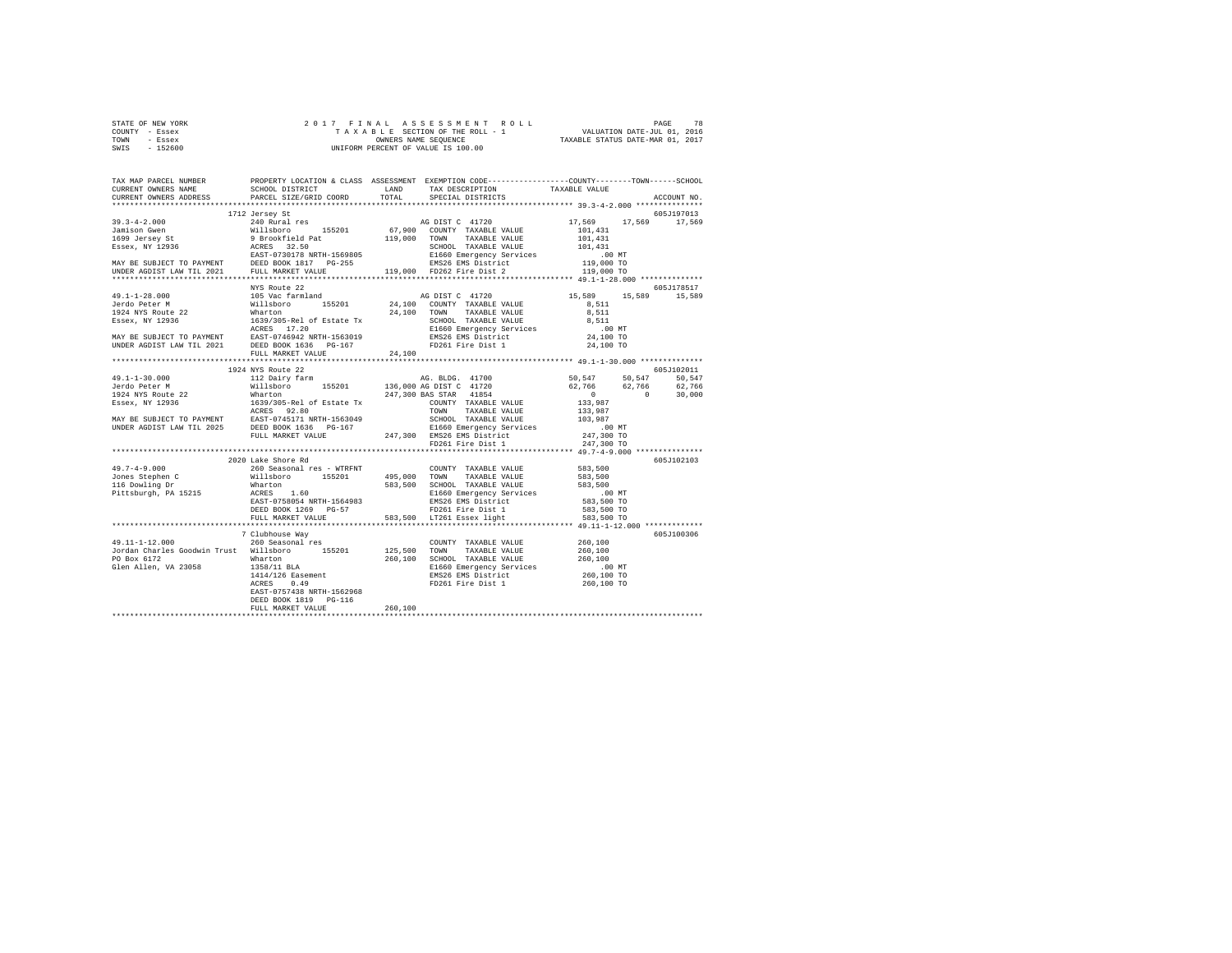| STATE OF NEW YORK | 2017 FINAL ASSESSMENT ROLL         | 78<br>PAGE                       |
|-------------------|------------------------------------|----------------------------------|
| COUNTY - Essex    | TAXABLE SECTION OF THE ROLL - 1    | VALUATION DATE-JUL 01, 2016      |
| TOWN<br>- Essex   | OWNERS NAME SEOUENCE               | TAXABLE STATUS DATE-MAR 01, 2017 |
| - 152600<br>SWIS  | UNIFORM PERCENT OF VALUE IS 100.00 |                                  |

| TAX MAP PARCEL NUMBER<br>CURRENT OWNERS NAME                                                                                                                                                                                                                                                                                                                                                                                                    | PROPERTY LOCATION & CLASS ASSESSMENT EXEMPTION CODE----------------COUNTY-------TOWN------SCHOOL |         |  |             |
|-------------------------------------------------------------------------------------------------------------------------------------------------------------------------------------------------------------------------------------------------------------------------------------------------------------------------------------------------------------------------------------------------------------------------------------------------|--------------------------------------------------------------------------------------------------|---------|--|-------------|
| CURRENT OWNERS ADDRESS PARCEL SIZE/GRID COORD TOTAL SPECIAL DISTRICTS                                                                                                                                                                                                                                                                                                                                                                           |                                                                                                  |         |  | ACCOUNT NO. |
|                                                                                                                                                                                                                                                                                                                                                                                                                                                 | 1712 Jersey St                                                                                   |         |  | 605J197013  |
|                                                                                                                                                                                                                                                                                                                                                                                                                                                 |                                                                                                  |         |  |             |
|                                                                                                                                                                                                                                                                                                                                                                                                                                                 |                                                                                                  |         |  |             |
|                                                                                                                                                                                                                                                                                                                                                                                                                                                 |                                                                                                  |         |  |             |
|                                                                                                                                                                                                                                                                                                                                                                                                                                                 |                                                                                                  |         |  |             |
|                                                                                                                                                                                                                                                                                                                                                                                                                                                 |                                                                                                  |         |  |             |
|                                                                                                                                                                                                                                                                                                                                                                                                                                                 |                                                                                                  |         |  |             |
|                                                                                                                                                                                                                                                                                                                                                                                                                                                 |                                                                                                  |         |  |             |
|                                                                                                                                                                                                                                                                                                                                                                                                                                                 |                                                                                                  |         |  |             |
| MIS ROLL 22<br>$J=1-28.000$<br>TRIS ROLL 22<br>$J=400$ Peter M<br>15,589<br>15,589<br>15,589<br>15,589<br>MAY BE SUBACT TO PAYMENT<br>ESSET TO PAYMENT RAST POST CRITE-1563019<br>MAY BE SUBACT TO PAYMENT RAST POST ON TRABLE VALUE<br>MAY BE SUBAC                                                                                                                                                                                            |                                                                                                  |         |  |             |
|                                                                                                                                                                                                                                                                                                                                                                                                                                                 |                                                                                                  |         |  |             |
|                                                                                                                                                                                                                                                                                                                                                                                                                                                 |                                                                                                  |         |  |             |
|                                                                                                                                                                                                                                                                                                                                                                                                                                                 |                                                                                                  |         |  |             |
|                                                                                                                                                                                                                                                                                                                                                                                                                                                 |                                                                                                  |         |  |             |
|                                                                                                                                                                                                                                                                                                                                                                                                                                                 |                                                                                                  |         |  |             |
|                                                                                                                                                                                                                                                                                                                                                                                                                                                 |                                                                                                  |         |  |             |
|                                                                                                                                                                                                                                                                                                                                                                                                                                                 |                                                                                                  |         |  |             |
|                                                                                                                                                                                                                                                                                                                                                                                                                                                 |                                                                                                  |         |  |             |
|                                                                                                                                                                                                                                                                                                                                                                                                                                                 | FULL MARKET VALUE 24,100                                                                         |         |  |             |
|                                                                                                                                                                                                                                                                                                                                                                                                                                                 |                                                                                                  |         |  |             |
|                                                                                                                                                                                                                                                                                                                                                                                                                                                 | 1924 NYS Route 22                                                                                |         |  | 605J102011  |
|                                                                                                                                                                                                                                                                                                                                                                                                                                                 |                                                                                                  |         |  |             |
|                                                                                                                                                                                                                                                                                                                                                                                                                                                 |                                                                                                  |         |  |             |
|                                                                                                                                                                                                                                                                                                                                                                                                                                                 |                                                                                                  |         |  |             |
|                                                                                                                                                                                                                                                                                                                                                                                                                                                 |                                                                                                  |         |  |             |
|                                                                                                                                                                                                                                                                                                                                                                                                                                                 |                                                                                                  |         |  |             |
|                                                                                                                                                                                                                                                                                                                                                                                                                                                 |                                                                                                  |         |  |             |
|                                                                                                                                                                                                                                                                                                                                                                                                                                                 |                                                                                                  |         |  |             |
|                                                                                                                                                                                                                                                                                                                                                                                                                                                 |                                                                                                  |         |  |             |
|                                                                                                                                                                                                                                                                                                                                                                                                                                                 |                                                                                                  |         |  |             |
|                                                                                                                                                                                                                                                                                                                                                                                                                                                 |                                                                                                  |         |  |             |
|                                                                                                                                                                                                                                                                                                                                                                                                                                                 |                                                                                                  |         |  |             |
|                                                                                                                                                                                                                                                                                                                                                                                                                                                 | 2020 Lake Shore Rd                                                                               |         |  | 605J102103  |
|                                                                                                                                                                                                                                                                                                                                                                                                                                                 |                                                                                                  |         |  |             |
|                                                                                                                                                                                                                                                                                                                                                                                                                                                 |                                                                                                  |         |  |             |
|                                                                                                                                                                                                                                                                                                                                                                                                                                                 |                                                                                                  |         |  |             |
|                                                                                                                                                                                                                                                                                                                                                                                                                                                 |                                                                                                  |         |  |             |
|                                                                                                                                                                                                                                                                                                                                                                                                                                                 |                                                                                                  |         |  |             |
|                                                                                                                                                                                                                                                                                                                                                                                                                                                 |                                                                                                  |         |  |             |
| $\begin{tabular}{l c c c c c} \multicolumn{1}{c}{\textbf{49.7-4-9.000}} & \multicolumn{1}{c}{2020} \text{Lake Short Red} & \multicolumn{1}{c}{2020} \end{tabular} & \multicolumn{1}{c}{\textbf{2000} kake Shorted} & \multicolumn{1}{c}{\textbf{200} kase Soncal} & \multicolumn{1}{c}{\textbf{200} kase Soncal} & \multicolumn{1}{c}{\textbf{200} kase Soncal} & \multicolumn{1}{c}{\textbf{200} kase Soncal} & \multicolumn{1}{c}{\textbf{20$ |                                                                                                  |         |  |             |
|                                                                                                                                                                                                                                                                                                                                                                                                                                                 |                                                                                                  |         |  |             |
|                                                                                                                                                                                                                                                                                                                                                                                                                                                 | 7 Clubhouse Way                                                                                  |         |  | 605J100306  |
|                                                                                                                                                                                                                                                                                                                                                                                                                                                 |                                                                                                  |         |  |             |
|                                                                                                                                                                                                                                                                                                                                                                                                                                                 |                                                                                                  |         |  |             |
|                                                                                                                                                                                                                                                                                                                                                                                                                                                 |                                                                                                  |         |  |             |
|                                                                                                                                                                                                                                                                                                                                                                                                                                                 |                                                                                                  |         |  |             |
|                                                                                                                                                                                                                                                                                                                                                                                                                                                 |                                                                                                  |         |  |             |
|                                                                                                                                                                                                                                                                                                                                                                                                                                                 |                                                                                                  |         |  |             |
|                                                                                                                                                                                                                                                                                                                                                                                                                                                 | EAST-0757438 NRTH-1562968                                                                        |         |  |             |
|                                                                                                                                                                                                                                                                                                                                                                                                                                                 | DEED BOOK 1819 PG-116                                                                            |         |  |             |
|                                                                                                                                                                                                                                                                                                                                                                                                                                                 | FULL MARKET VALUE                                                                                | 260,100 |  |             |
|                                                                                                                                                                                                                                                                                                                                                                                                                                                 |                                                                                                  |         |  |             |
|                                                                                                                                                                                                                                                                                                                                                                                                                                                 |                                                                                                  |         |  |             |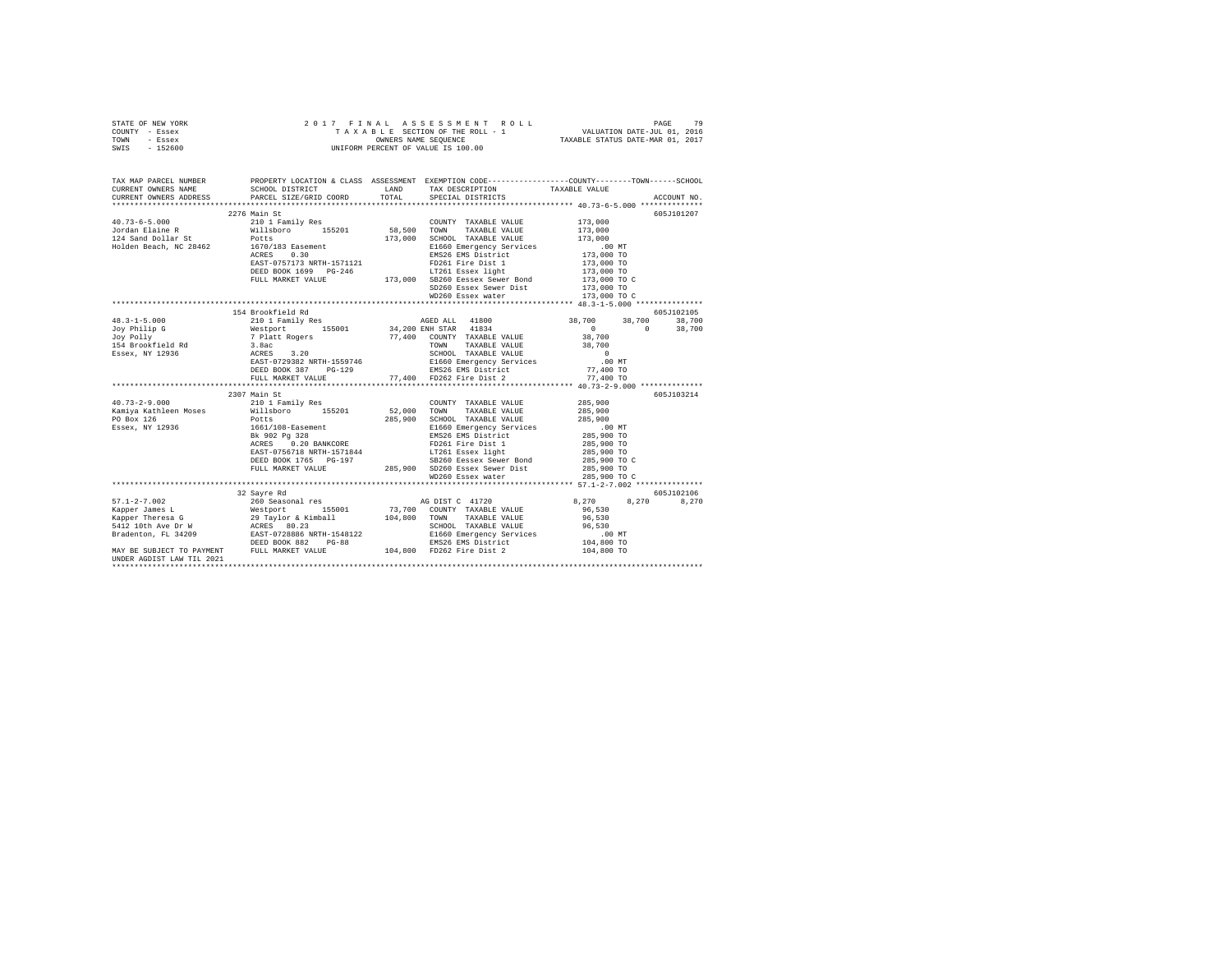|      | STATE OF NEW YORK |  |  | 2017 FINAL ASSESSMENT ROLL         | 79<br>PAGE                       |  |
|------|-------------------|--|--|------------------------------------|----------------------------------|--|
|      | COUNTY - Essex    |  |  | TAXABLE SECTION OF THE ROLL - 1    | VALUATION DATE-JUL 01, 2016      |  |
| TOWN | - Essex           |  |  | OWNERS NAME SEOUENCE               | TAXABLE STATUS DATE-MAR 01, 2017 |  |
| SWIS | - 152600          |  |  | UNIFORM PERCENT OF VALUE IS 100.00 |                                  |  |

| TAX MAP PARCEL NUMBER     | PROPERTY LOCATION & CLASS ASSESSMENT EXEMPTION CODE---------------COUNTY-------TOWN------SCHOOL                                                                                                                                                                                                                                                                                      |                                                        |                                                                            | ACCOUNT NO. |
|---------------------------|--------------------------------------------------------------------------------------------------------------------------------------------------------------------------------------------------------------------------------------------------------------------------------------------------------------------------------------------------------------------------------------|--------------------------------------------------------|----------------------------------------------------------------------------|-------------|
|                           |                                                                                                                                                                                                                                                                                                                                                                                      |                                                        |                                                                            |             |
|                           |                                                                                                                                                                                                                                                                                                                                                                                      |                                                        |                                                                            | 605J101207  |
|                           | URKENT OWNERS ADDRESS<br>1973-6-5.000<br>2276 Main St<br>2276 Main St<br>2276 Main St<br>2276 Main St<br>2276 Main St<br>2276 Main St<br>2276 Main St<br>2276 Main St<br>2276 Main St<br>2276 Main St<br>2276 Main St<br>2276 Main St<br>2276 Main St<br>227<br>DEED BOOK 1699 PG-246 LT261 Essex light 173,000 TO<br>FULL MARKET VALUE 173,000 SB260 Eessex Sewer Bond 173,000 TO C |                                                        |                                                                            |             |
|                           |                                                                                                                                                                                                                                                                                                                                                                                      | SD260 Essex Sewer Dist 173,000 TO<br>WD260 Essex water | 173,000 TO C                                                               |             |
|                           |                                                                                                                                                                                                                                                                                                                                                                                      |                                                        |                                                                            |             |
|                           | 154 Brookfield Rd                                                                                                                                                                                                                                                                                                                                                                    |                                                        |                                                                            | 605J102105  |
|                           |                                                                                                                                                                                                                                                                                                                                                                                      | AGED ALL 41800 38,700 38,700 38,700                    | $\begin{array}{ccc} & & & 0 & \quad & 0 \\ 38,700 & & & \quad \end{array}$ | 38,700      |
|                           | 2307 Main St<br>1001/1008-1888<br>RMS26 EMS District 285,900 TO<br>RCRES 0.20 BANKCORE PD261 Fire Dist 1 285,900 TO<br>RS26 EMS District 285,900 TO<br>RS26 EMS District 285,900 TO<br>RS26 ESSE PO261 EXPLEMENT 285,900 TO<br>RULL MARKET VALUE 285,900 S                                                                                                                           | WD260 Essex water                                      | 285,900 TO C                                                               | 605J103214  |
|                           | 32 Savre Rd                                                                                                                                                                                                                                                                                                                                                                          |                                                        |                                                                            | 605J102106  |
|                           |                                                                                                                                                                                                                                                                                                                                                                                      |                                                        | 8,270 8,270 8,270                                                          |             |
| UNDER AGDIST LAW TIL 2021 |                                                                                                                                                                                                                                                                                                                                                                                      |                                                        |                                                                            |             |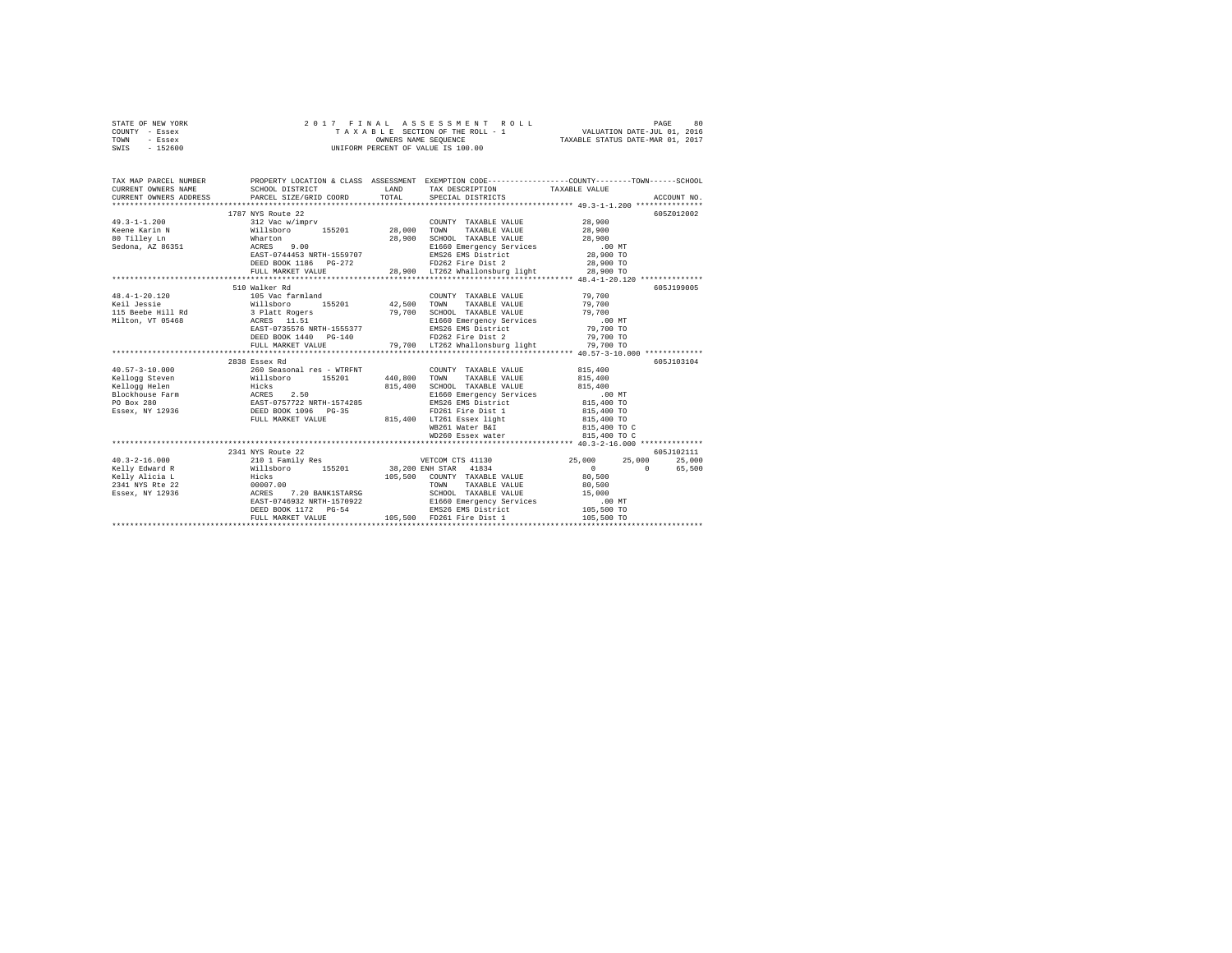|      | STATE OF NEW YORK |  |  | 2017 FINAL ASSESSMENT ROLL         | PAGE                             | 80 |
|------|-------------------|--|--|------------------------------------|----------------------------------|----|
|      | COUNTY - Essex    |  |  | TAXABLE SECTION OF THE ROLL - 1    | VALUATION DATE-JUL 01, 2016      |    |
| TOWN | - Essex           |  |  | OWNERS NAME SEOUENCE               | TAXABLE STATUS DATE-MAR 01, 2017 |    |
| SWIS | $-152600$         |  |  | UNIFORM PERCENT OF VALUE IS 100.00 |                                  |    |

| TAX MAP PARCEL NUMBER                                                                                                                                                                                                                                                                                                                                                                                                                                         | PROPERTY LOCATION & CLASS ASSESSMENT EXEMPTION CODE----------------COUNTY-------TOWN------SCHOOL                |                                                                                                                                                                                                                |                                        |            |
|---------------------------------------------------------------------------------------------------------------------------------------------------------------------------------------------------------------------------------------------------------------------------------------------------------------------------------------------------------------------------------------------------------------------------------------------------------------|-----------------------------------------------------------------------------------------------------------------|----------------------------------------------------------------------------------------------------------------------------------------------------------------------------------------------------------------|----------------------------------------|------------|
|                                                                                                                                                                                                                                                                                                                                                                                                                                                               | 1787 NYS Route 22                                                                                               |                                                                                                                                                                                                                |                                        | 605Z012002 |
|                                                                                                                                                                                                                                                                                                                                                                                                                                                               |                                                                                                                 |                                                                                                                                                                                                                |                                        |            |
| $\texttt{Rein Rariin N} \begin{minipage}{0.9cm} \begin{minipage}{0.9cm} \begin{minipage}{0.9cm} \begin{minipage}{0.9cm} \begin{minipage}{0.9cm} \begin{minipage}{0.9cm} \begin{minipage}{0.9cm} \begin{minipage}{0.9cm} \begin{minipage}{0.9cm} \begin{minipage}{0.9cm} \begin{minipage}{0.9cm} \begin{minipage}{0.9cm} \begin{minipage}{0.9cm} \begin{minipage}{0.9cm} \begin{minipage}{0.9cm} \begin{minipage}{0.9cm} \begin{minipage}{0.9cm} \begin{minip$ |                                                                                                                 |                                                                                                                                                                                                                |                                        |            |
|                                                                                                                                                                                                                                                                                                                                                                                                                                                               |                                                                                                                 |                                                                                                                                                                                                                |                                        |            |
|                                                                                                                                                                                                                                                                                                                                                                                                                                                               |                                                                                                                 |                                                                                                                                                                                                                |                                        |            |
|                                                                                                                                                                                                                                                                                                                                                                                                                                                               |                                                                                                                 |                                                                                                                                                                                                                |                                        |            |
|                                                                                                                                                                                                                                                                                                                                                                                                                                                               |                                                                                                                 |                                                                                                                                                                                                                |                                        |            |
|                                                                                                                                                                                                                                                                                                                                                                                                                                                               |                                                                                                                 |                                                                                                                                                                                                                |                                        |            |
| Eene Karin Ni American Marton 28,900 SCHOOL TAXABLE VALUE 26,900 SCHOOL TAXABLE VALUE 28,900 SCHOOL TAXABLE VALUE 28,900 SCHOOL TAXABLE VALUE 28,900 SCHOOL TAXABLE VALUE 28,900 SCHOOL TAXABLE VALUE 28,900 SCHOOL TAXABLE V                                                                                                                                                                                                                                 |                                                                                                                 |                                                                                                                                                                                                                |                                        |            |
|                                                                                                                                                                                                                                                                                                                                                                                                                                                               | 510 Walker Rd                                                                                                   |                                                                                                                                                                                                                |                                        | 605J199005 |
| $48.4 - 1 - 20.120$                                                                                                                                                                                                                                                                                                                                                                                                                                           | 105 Vac farmland                                                                                                | COUNTY TAXABLE VALUE 79,700                                                                                                                                                                                    |                                        |            |
| Willsboro<br>Keil Jessie                                                                                                                                                                                                                                                                                                                                                                                                                                      | $155201$ $42,500$                                                                                               | TAXABLE VALUE 79,700<br>TOWN                                                                                                                                                                                   |                                        |            |
|                                                                                                                                                                                                                                                                                                                                                                                                                                                               |                                                                                                                 |                                                                                                                                                                                                                |                                        |            |
|                                                                                                                                                                                                                                                                                                                                                                                                                                                               |                                                                                                                 |                                                                                                                                                                                                                |                                        |            |
|                                                                                                                                                                                                                                                                                                                                                                                                                                                               |                                                                                                                 |                                                                                                                                                                                                                |                                        |            |
|                                                                                                                                                                                                                                                                                                                                                                                                                                                               | DEED BOOK 1440 PG-140                                                                                           | FD262 Fire Dist 2 79,700 TO                                                                                                                                                                                    |                                        |            |
|                                                                                                                                                                                                                                                                                                                                                                                                                                                               |                                                                                                                 |                                                                                                                                                                                                                |                                        |            |
|                                                                                                                                                                                                                                                                                                                                                                                                                                                               |                                                                                                                 |                                                                                                                                                                                                                |                                        |            |
|                                                                                                                                                                                                                                                                                                                                                                                                                                                               | 2838 Essex Rd                                                                                                   |                                                                                                                                                                                                                |                                        | 605J103104 |
|                                                                                                                                                                                                                                                                                                                                                                                                                                                               |                                                                                                                 | COUNTY TAXABLE VALUE 815,400                                                                                                                                                                                   |                                        |            |
|                                                                                                                                                                                                                                                                                                                                                                                                                                                               |                                                                                                                 | TAXABLE VALUE                                                                                                                                                                                                  |                                        |            |
|                                                                                                                                                                                                                                                                                                                                                                                                                                                               |                                                                                                                 |                                                                                                                                                                                                                |                                        |            |
|                                                                                                                                                                                                                                                                                                                                                                                                                                                               |                                                                                                                 | COMM TAXABLE VALUE<br>SCHOOL TAXABLE VALUE<br>E1660 Emergency Services 015,400 TO<br>ENS26 EMS District 015,400 TO<br>FD261 Fire Dist 1 015,400 TO<br>1915,400 TO<br>1915,400 TO<br>1915,400 TO<br>1915,400 TO |                                        |            |
|                                                                                                                                                                                                                                                                                                                                                                                                                                                               |                                                                                                                 |                                                                                                                                                                                                                |                                        |            |
|                                                                                                                                                                                                                                                                                                                                                                                                                                                               |                                                                                                                 |                                                                                                                                                                                                                |                                        |            |
|                                                                                                                                                                                                                                                                                                                                                                                                                                                               |                                                                                                                 |                                                                                                                                                                                                                |                                        |            |
|                                                                                                                                                                                                                                                                                                                                                                                                                                                               |                                                                                                                 | WB261 Water B&I                                                                                                                                                                                                | 815,400 TO C                           |            |
|                                                                                                                                                                                                                                                                                                                                                                                                                                                               |                                                                                                                 | WD260 Essex water                                                                                                                                                                                              | 815,400 TO C                           |            |
|                                                                                                                                                                                                                                                                                                                                                                                                                                                               |                                                                                                                 |                                                                                                                                                                                                                |                                        |            |
|                                                                                                                                                                                                                                                                                                                                                                                                                                                               | 2341 NYS Route 22                                                                                               |                                                                                                                                                                                                                |                                        | 605J102111 |
| $40.3 - 2 - 16.000$                                                                                                                                                                                                                                                                                                                                                                                                                                           |                                                                                                                 |                                                                                                                                                                                                                |                                        | 25,000     |
|                                                                                                                                                                                                                                                                                                                                                                                                                                                               |                                                                                                                 |                                                                                                                                                                                                                | $\sim$ 0 $\sim$ 0                      | 65,500     |
|                                                                                                                                                                                                                                                                                                                                                                                                                                                               |                                                                                                                 | $\begin{tabular}{ccccc} 105,500 & \text{COUNTY} & \text{TAXABLE VALUE} & & 80,500 \\ & \text{TOWN} & \text{TAXABLE VALUE} & & 80,500 \end{tabular}$                                                            | $\begin{array}{c}0\\80,500\end{array}$ |            |
|                                                                                                                                                                                                                                                                                                                                                                                                                                                               |                                                                                                                 |                                                                                                                                                                                                                |                                        |            |
|                                                                                                                                                                                                                                                                                                                                                                                                                                                               |                                                                                                                 | SCHOOL TAXABLE VALUE 15,000                                                                                                                                                                                    |                                        |            |
|                                                                                                                                                                                                                                                                                                                                                                                                                                                               | EAST-0746932 NRTH-1570922 E1660 Emergency Services 600 MT<br>DEED BOOK 1172 PG-54 EMS26 EMS District 105,500 TO |                                                                                                                                                                                                                |                                        |            |
|                                                                                                                                                                                                                                                                                                                                                                                                                                                               |                                                                                                                 |                                                                                                                                                                                                                |                                        |            |
|                                                                                                                                                                                                                                                                                                                                                                                                                                                               |                                                                                                                 | 105,500 FD261 Fire Dist 1                                                                                                                                                                                      |                                        |            |
|                                                                                                                                                                                                                                                                                                                                                                                                                                                               |                                                                                                                 |                                                                                                                                                                                                                |                                        |            |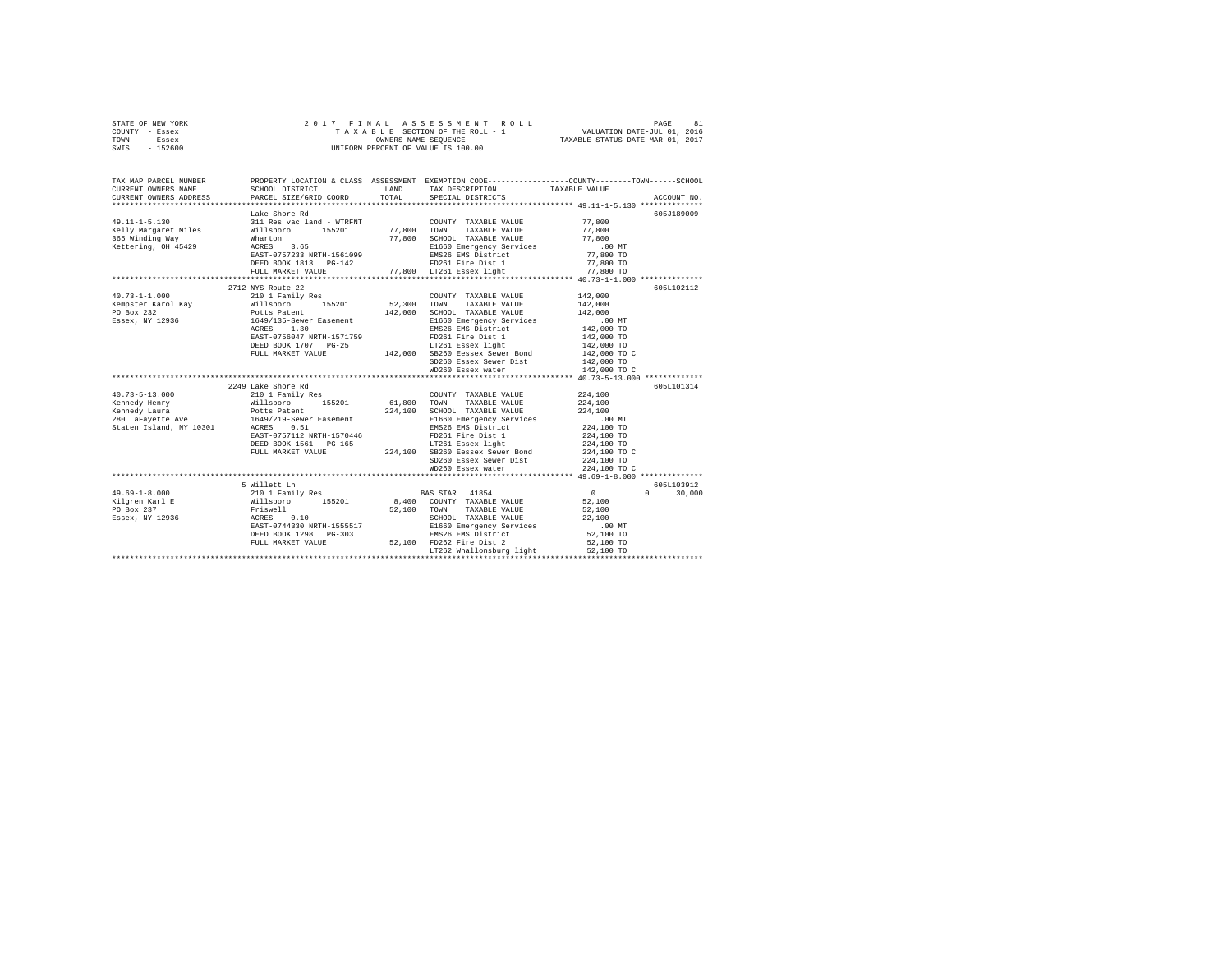| STATE OF NEW YORK | 2017 FINAL ASSESSMENT ROLL         | 81<br>PAGE                       |
|-------------------|------------------------------------|----------------------------------|
| COUNTY - Essex    | TAXABLE SECTION OF THE ROLL - 1    | VALUATION DATE-JUL 01, 2016      |
| TOWN<br>- Essex   | OWNERS NAME SEOUENCE               | TAXABLE STATUS DATE-MAR 01, 2017 |
| $-152600$<br>SWIS | UNIFORM PERCENT OF VALUE IS 100.00 |                                  |

| TAX MAP PARCEL NUMBER                                                                                                                                                                                                                                                                                                                                                                                                             |                                                                                                                                                                                                                      | PROPERTY LOCATION & CLASS ASSESSMENT EXEMPTION CODE---------------COUNTY-------TOWN-----SCHOOL                                                                                       |                            |                             |
|-----------------------------------------------------------------------------------------------------------------------------------------------------------------------------------------------------------------------------------------------------------------------------------------------------------------------------------------------------------------------------------------------------------------------------------|----------------------------------------------------------------------------------------------------------------------------------------------------------------------------------------------------------------------|--------------------------------------------------------------------------------------------------------------------------------------------------------------------------------------|----------------------------|-----------------------------|
|                                                                                                                                                                                                                                                                                                                                                                                                                                   |                                                                                                                                                                                                                      |                                                                                                                                                                                      |                            |                             |
| $49.11 - 1 - 5.130$                                                                                                                                                                                                                                                                                                                                                                                                               | The World Country TAXABLE VALUE<br>Nillaboro 155201 77,800 TOWN TAXABLE VALUE<br>Wharton 155201 77,800 SCHOOL TAXABLE VALUE<br>NCRES 3.65<br>ACCES 3.65<br>RESPACE TART RESPOND RESPOND FOR THE RESPONDING PRESS     | $\begin{array}{lll} \texttt{COUNTY} & \texttt{TAXABLE} & \texttt{VALUE} & & \texttt{77,800} \\ \texttt{mean} & \texttt{maxair}, & \texttt{value} & & \texttt{77,800} \\ \end{array}$ |                            | 605J189009                  |
|                                                                                                                                                                                                                                                                                                                                                                                                                                   |                                                                                                                                                                                                                      |                                                                                                                                                                                      |                            |                             |
| Kelly Margaret Miles                                                                                                                                                                                                                                                                                                                                                                                                              |                                                                                                                                                                                                                      | 77,800 SCHOOL TAXABLE VALUE 77,800                                                                                                                                                   |                            |                             |
| 365 Winding Way                                                                                                                                                                                                                                                                                                                                                                                                                   |                                                                                                                                                                                                                      |                                                                                                                                                                                      |                            |                             |
| Kettering, OH 45429                                                                                                                                                                                                                                                                                                                                                                                                               | ACRES 3.65<br>EAST-0757233 NRTH-1561099                                                                                                                                                                              |                                                                                                                                                                                      |                            |                             |
|                                                                                                                                                                                                                                                                                                                                                                                                                                   |                                                                                                                                                                                                                      |                                                                                                                                                                                      |                            |                             |
|                                                                                                                                                                                                                                                                                                                                                                                                                                   |                                                                                                                                                                                                                      |                                                                                                                                                                                      | $77,800$ TO                |                             |
|                                                                                                                                                                                                                                                                                                                                                                                                                                   |                                                                                                                                                                                                                      |                                                                                                                                                                                      |                            |                             |
|                                                                                                                                                                                                                                                                                                                                                                                                                                   |                                                                                                                                                                                                                      |                                                                                                                                                                                      |                            |                             |
|                                                                                                                                                                                                                                                                                                                                                                                                                                   | 2712 NYS Route 22                                                                                                                                                                                                    |                                                                                                                                                                                      |                            | 605L102112                  |
| $40.73 - 1 - 1.000$                                                                                                                                                                                                                                                                                                                                                                                                               | 210 1 Family Res                                                                                                                                                                                                     | COUNTY TAXABLE VALUE 142,000                                                                                                                                                         |                            |                             |
|                                                                                                                                                                                                                                                                                                                                                                                                                                   |                                                                                                                                                                                                                      |                                                                                                                                                                                      | 142,000                    |                             |
|                                                                                                                                                                                                                                                                                                                                                                                                                                   |                                                                                                                                                                                                                      |                                                                                                                                                                                      | 142,000                    |                             |
| Example F Arcol Kay (1995)<br>Example F Arcol Kay (1997)<br>For the Hotel Polis Polis Polis Polis Paper (1997)<br>Fassex, NY 12936 (1997)<br>Essex, NY 12936 (1997)<br>Example Recept ACRES 1.30<br>EXAGE MAS District<br>EXAGE MAS District                                                                                                                                                                                      |                                                                                                                                                                                                                      | E1660 Emergency Services .00 MT<br>EMS26 EMS District 142,000 TO                                                                                                                     |                            |                             |
|                                                                                                                                                                                                                                                                                                                                                                                                                                   |                                                                                                                                                                                                                      |                                                                                                                                                                                      |                            |                             |
|                                                                                                                                                                                                                                                                                                                                                                                                                                   |                                                                                                                                                                                                                      |                                                                                                                                                                                      |                            |                             |
|                                                                                                                                                                                                                                                                                                                                                                                                                                   |                                                                                                                                                                                                                      |                                                                                                                                                                                      |                            |                             |
|                                                                                                                                                                                                                                                                                                                                                                                                                                   | 142,000 TO 2561 Fire Dist 142,000 TO 2010 TO 2011 PRESS BAST-0756047 NRTH-1571759 PD261 Fire Dist 142,000 TO 2<br>DEED BOOK 1707 PG-25 142,000 TO 201261 ESSEX 1431000 TO 2142,000 TO 2010 TO 2010 PTUL MARKET VALUE |                                                                                                                                                                                      |                            |                             |
|                                                                                                                                                                                                                                                                                                                                                                                                                                   |                                                                                                                                                                                                                      | $142,000$ TO<br>$142,000$ TO<br>$142,000$ TO                                                                                                                                         |                            |                             |
|                                                                                                                                                                                                                                                                                                                                                                                                                                   |                                                                                                                                                                                                                      | WD260 Essex water                                                                                                                                                                    | 142,000 TO C               |                             |
|                                                                                                                                                                                                                                                                                                                                                                                                                                   | ***********************************                                                                                                                                                                                  |                                                                                                                                                                                      |                            |                             |
|                                                                                                                                                                                                                                                                                                                                                                                                                                   | 2249 Lake Shore Rd                                                                                                                                                                                                   |                                                                                                                                                                                      |                            | 605L101314                  |
|                                                                                                                                                                                                                                                                                                                                                                                                                                   |                                                                                                                                                                                                                      |                                                                                                                                                                                      |                            |                             |
|                                                                                                                                                                                                                                                                                                                                                                                                                                   |                                                                                                                                                                                                                      |                                                                                                                                                                                      |                            |                             |
|                                                                                                                                                                                                                                                                                                                                                                                                                                   |                                                                                                                                                                                                                      |                                                                                                                                                                                      |                            |                             |
|                                                                                                                                                                                                                                                                                                                                                                                                                                   |                                                                                                                                                                                                                      |                                                                                                                                                                                      |                            |                             |
|                                                                                                                                                                                                                                                                                                                                                                                                                                   |                                                                                                                                                                                                                      |                                                                                                                                                                                      |                            |                             |
|                                                                                                                                                                                                                                                                                                                                                                                                                                   |                                                                                                                                                                                                                      |                                                                                                                                                                                      |                            |                             |
|                                                                                                                                                                                                                                                                                                                                                                                                                                   |                                                                                                                                                                                                                      |                                                                                                                                                                                      |                            |                             |
|                                                                                                                                                                                                                                                                                                                                                                                                                                   |                                                                                                                                                                                                                      |                                                                                                                                                                                      |                            |                             |
| $\begin{tabular}{l c c c c c} \multicolumn{1}{c}{40.73-5-13.000} & \multicolumn{1}{c}{224} & \multicolumn{1}{c}{224} & \multicolumn{1}{c}{224} & \multicolumn{1}{c}{C} & \multicolumn{1}{c}{C} & \multicolumn{1}{c}{C} & \multicolumn{1}{c}{C} & \multicolumn{1}{c}{C} & \multicolumn{1}{c}{C} & \multicolumn{1}{c}{C} & \multicolumn{1}{c}{C} & \multicolumn{1}{c}{C} & \multicolumn{1}{c}{C} & \multicolumn{1}{c}{C} & \multic$ |                                                                                                                                                                                                                      |                                                                                                                                                                                      |                            |                             |
|                                                                                                                                                                                                                                                                                                                                                                                                                                   |                                                                                                                                                                                                                      | SD260 Essex Sewer Dist<br>WD260 Essex water                                                                                                                                          | 224,100 TO<br>224,100 TO C |                             |
|                                                                                                                                                                                                                                                                                                                                                                                                                                   |                                                                                                                                                                                                                      |                                                                                                                                                                                      |                            |                             |
|                                                                                                                                                                                                                                                                                                                                                                                                                                   |                                                                                                                                                                                                                      |                                                                                                                                                                                      |                            | 605L103912                  |
|                                                                                                                                                                                                                                                                                                                                                                                                                                   |                                                                                                                                                                                                                      |                                                                                                                                                                                      |                            | $0 \qquad \qquad$<br>30,000 |
|                                                                                                                                                                                                                                                                                                                                                                                                                                   |                                                                                                                                                                                                                      |                                                                                                                                                                                      |                            |                             |
|                                                                                                                                                                                                                                                                                                                                                                                                                                   |                                                                                                                                                                                                                      |                                                                                                                                                                                      |                            |                             |
|                                                                                                                                                                                                                                                                                                                                                                                                                                   |                                                                                                                                                                                                                      |                                                                                                                                                                                      |                            |                             |
|                                                                                                                                                                                                                                                                                                                                                                                                                                   |                                                                                                                                                                                                                      |                                                                                                                                                                                      |                            |                             |
|                                                                                                                                                                                                                                                                                                                                                                                                                                   |                                                                                                                                                                                                                      |                                                                                                                                                                                      |                            |                             |
|                                                                                                                                                                                                                                                                                                                                                                                                                                   |                                                                                                                                                                                                                      |                                                                                                                                                                                      |                            |                             |
|                                                                                                                                                                                                                                                                                                                                                                                                                                   | FULL MARKET VALUE<br>FULL MARKET VALUE 52,100 FD262 Fire Dist 2<br>LT262 Whallonsburg light                                                                                                                          |                                                                                                                                                                                      |                            |                             |
|                                                                                                                                                                                                                                                                                                                                                                                                                                   |                                                                                                                                                                                                                      | LT262 Whallonsburg light                                                                                                                                                             | 52,100 TO                  |                             |
|                                                                                                                                                                                                                                                                                                                                                                                                                                   |                                                                                                                                                                                                                      |                                                                                                                                                                                      |                            |                             |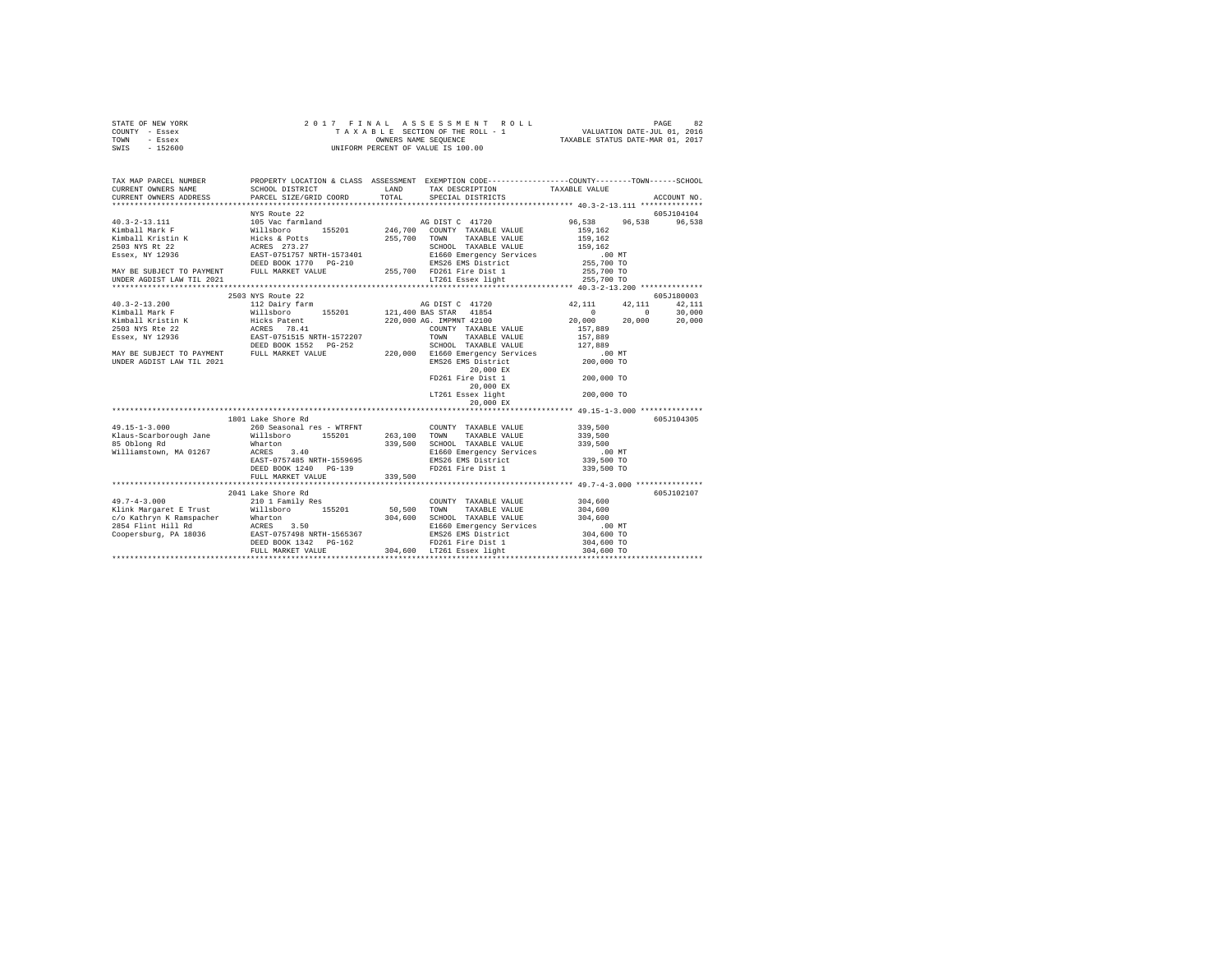| STATE OF NEW YORK | 2017 FINAL ASSESSMENT ROLL         | 82<br>PAGE                       |
|-------------------|------------------------------------|----------------------------------|
| COUNTY - Essex    | TAXABLE SECTION OF THE ROLL - 1    | VALUATION DATE-JUL 01, 2016      |
| TOWN<br>- Essex   | OWNERS NAME SEOUENCE               | TAXABLE STATUS DATE-MAR 01, 2017 |
| - 152600<br>SWIS  | UNIFORM PERCENT OF VALUE IS 100.00 |                                  |

|                           | NYS Route 22                                                                                                                                                                                                                                       |         |                                                                                                                                                                                                                                |                                               | 605J104104 |
|---------------------------|----------------------------------------------------------------------------------------------------------------------------------------------------------------------------------------------------------------------------------------------------|---------|--------------------------------------------------------------------------------------------------------------------------------------------------------------------------------------------------------------------------------|-----------------------------------------------|------------|
|                           |                                                                                                                                                                                                                                                    |         |                                                                                                                                                                                                                                | 96,538 96,538                                 | 96,538     |
|                           |                                                                                                                                                                                                                                                    |         |                                                                                                                                                                                                                                |                                               |            |
|                           |                                                                                                                                                                                                                                                    |         |                                                                                                                                                                                                                                |                                               |            |
|                           |                                                                                                                                                                                                                                                    |         |                                                                                                                                                                                                                                |                                               |            |
|                           |                                                                                                                                                                                                                                                    |         |                                                                                                                                                                                                                                |                                               |            |
|                           |                                                                                                                                                                                                                                                    |         |                                                                                                                                                                                                                                |                                               |            |
|                           |                                                                                                                                                                                                                                                    |         |                                                                                                                                                                                                                                |                                               |            |
| UNDER AGDIST LAW TIL 2021 |                                                                                                                                                                                                                                                    |         |                                                                                                                                                                                                                                |                                               |            |
|                           |                                                                                                                                                                                                                                                    |         | 1.00 1.000 1.000 1.000 1.000 1.000 1.000 1.000 1.000 1.000 1.000 1.000 1.000 1.000 1.000 1.000 1.000 1.000 1.000 1.000 1.000 1.000 1.000 1.000 1.000 1.000 1.000 1.000 1.000 1.000 1.000 1.000 1.000 1.000 1.000 1.000 1.000 1 |                                               |            |
|                           |                                                                                                                                                                                                                                                    |         |                                                                                                                                                                                                                                |                                               | 605J180003 |
|                           |                                                                                                                                                                                                                                                    |         |                                                                                                                                                                                                                                | 42, 111 42, 111                               | 42.111     |
|                           |                                                                                                                                                                                                                                                    |         |                                                                                                                                                                                                                                | $\sim$ 0                                      | 30,000     |
|                           |                                                                                                                                                                                                                                                    |         |                                                                                                                                                                                                                                | 20,000                                        | 20,000     |
|                           |                                                                                                                                                                                                                                                    |         |                                                                                                                                                                                                                                |                                               |            |
|                           |                                                                                                                                                                                                                                                    |         |                                                                                                                                                                                                                                |                                               |            |
|                           |                                                                                                                                                                                                                                                    |         |                                                                                                                                                                                                                                |                                               |            |
|                           |                                                                                                                                                                                                                                                    |         |                                                                                                                                                                                                                                |                                               |            |
|                           | 3503 NYS Route 22<br>40 DIST C 41720<br>42,111 42<br>42,111 42<br>121,400 BAS STAR 41854<br>121,400 BAS STAR 41854<br>121,400 BAS STAR 41854<br>121,400 BAS STAR 41854<br>220,000 AG. IMPMNT 42100<br>20,000 BAY BE VALUE 157,889<br>220,000 AG. I |         |                                                                                                                                                                                                                                |                                               |            |
|                           |                                                                                                                                                                                                                                                    |         | 20,000 EX                                                                                                                                                                                                                      |                                               |            |
|                           |                                                                                                                                                                                                                                                    |         | FD261 Fire Dist 1                                                                                                                                                                                                              | 200,000 TO                                    |            |
|                           |                                                                                                                                                                                                                                                    |         | 20,000 EX                                                                                                                                                                                                                      |                                               |            |
|                           |                                                                                                                                                                                                                                                    |         | LT261 Essex light                                                                                                                                                                                                              | 200,000 TO                                    |            |
|                           |                                                                                                                                                                                                                                                    |         |                                                                                                                                                                                                                                |                                               |            |
|                           |                                                                                                                                                                                                                                                    |         |                                                                                                                                                                                                                                |                                               |            |
|                           | 1801 Lake Shore Rd                                                                                                                                                                                                                                 |         |                                                                                                                                                                                                                                |                                               | 605J104305 |
| $49.15 - 1 - 3.000$       | 260 Seasonal res - WTRFNT COUNTY TAXABLE VALUE 339,500                                                                                                                                                                                             |         |                                                                                                                                                                                                                                |                                               |            |
|                           |                                                                                                                                                                                                                                                    |         |                                                                                                                                                                                                                                |                                               |            |
|                           |                                                                                                                                                                                                                                                    |         |                                                                                                                                                                                                                                |                                               |            |
|                           | Xlaus-Scarborough Jane Millsboro 155201 263,100 TOWN TAXABLE VALUE 339,500<br>85 Oblong Rd Marton 155201 339,500 SCHOOL TAXABLE VALUE 339,500<br>Milliamstown, MA 01267 ACRES 3.40 2010 E1660 Emergency Services .00                               |         |                                                                                                                                                                                                                                | 339,500<br>.00 MT<br>339,500 TO<br>339,500 TO |            |
|                           |                                                                                                                                                                                                                                                    |         |                                                                                                                                                                                                                                |                                               |            |
|                           | EAST-0757485 NRTH-1559695<br>DEED BOOK 1240 PG-139                                                                                                                                                                                                 |         | EMS26 EMS District<br>FD261 Fire Dist 1                                                                                                                                                                                        |                                               |            |
|                           | FULL MARKET VALUE                                                                                                                                                                                                                                  | 339,500 |                                                                                                                                                                                                                                |                                               |            |
|                           |                                                                                                                                                                                                                                                    |         |                                                                                                                                                                                                                                |                                               |            |
|                           |                                                                                                                                                                                                                                                    |         |                                                                                                                                                                                                                                |                                               |            |
|                           | 2041 Lake Shore Rd<br>Lake Shore Rd<br>210 1 Family Res                                                                                                                                                                                            |         |                                                                                                                                                                                                                                |                                               | 605J102107 |
| $49.7 - 4 - 3.000$        | Elink Margaret E Trust and Millsboro 155201 50,500 TOWN                                                                                                                                                                                            |         | $\begin{tabular}{llll} \texttt{TAXABLE} & \texttt{VALUE} & \texttt{304,600} \\ \texttt{TAXABLE} & \texttt{VALUE} & \texttt{304,600} \\ \end{tabular}$<br>COUNTY TAXABLE VALUE                                                  |                                               |            |
|                           |                                                                                                                                                                                                                                                    |         |                                                                                                                                                                                                                                |                                               |            |
|                           |                                                                                                                                                                                                                                                    |         |                                                                                                                                                                                                                                |                                               |            |
|                           |                                                                                                                                                                                                                                                    |         |                                                                                                                                                                                                                                |                                               |            |
|                           |                                                                                                                                                                                                                                                    |         |                                                                                                                                                                                                                                |                                               |            |
|                           |                                                                                                                                                                                                                                                    |         |                                                                                                                                                                                                                                |                                               |            |
|                           |                                                                                                                                                                                                                                                    |         |                                                                                                                                                                                                                                |                                               |            |
|                           |                                                                                                                                                                                                                                                    |         |                                                                                                                                                                                                                                |                                               |            |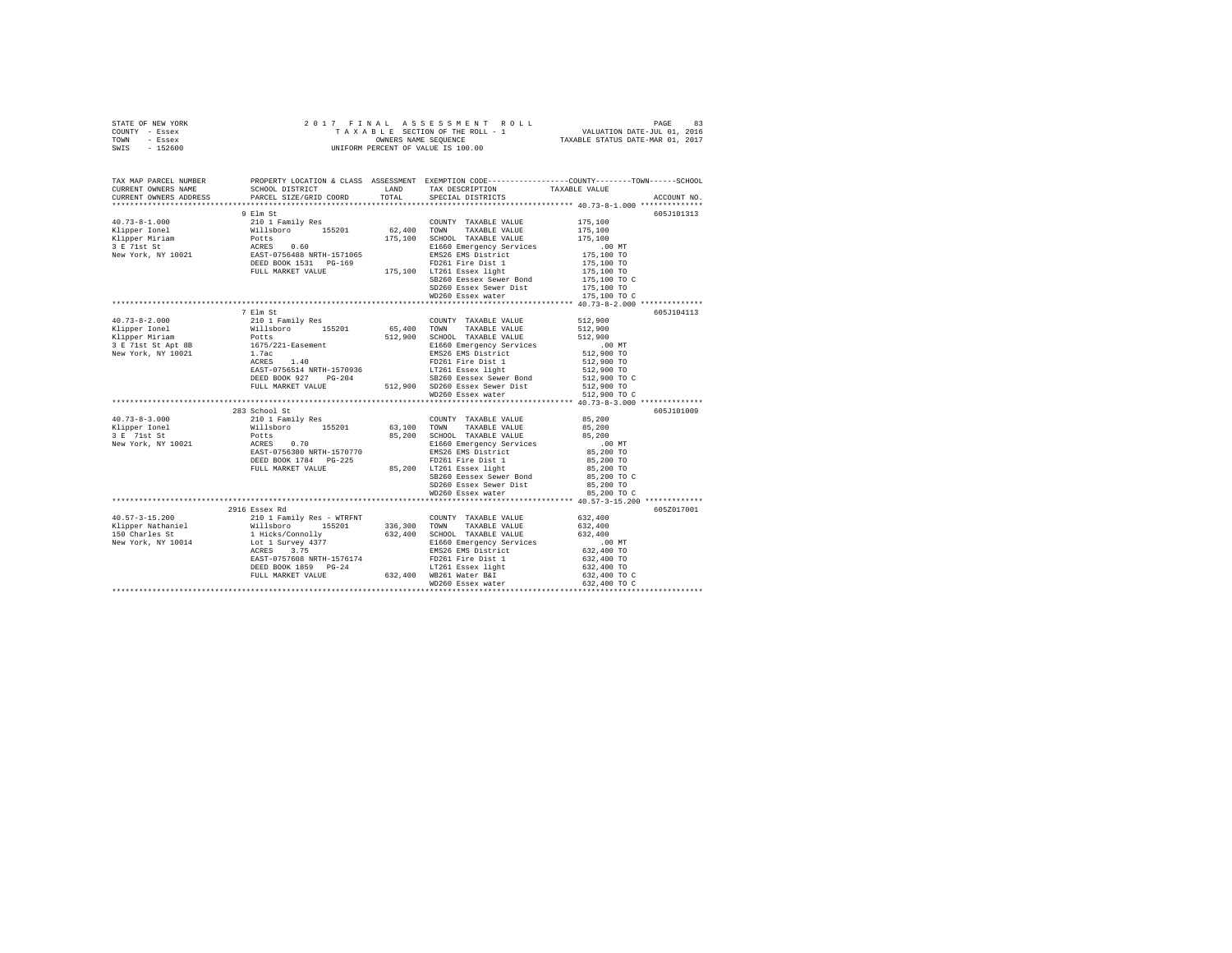|                | STATE OF NEW YORK |  |  |                                    |  | 2017 FINAL ASSESSMENT ROLL |                                  | PAGE | 83 |
|----------------|-------------------|--|--|------------------------------------|--|----------------------------|----------------------------------|------|----|
| COUNTY - Essex |                   |  |  | TAXABLE SECTION OF THE ROLL - 1    |  |                            | VALUATION DATE-JUL 01, 2016      |      |    |
| TOWN           | - Essex           |  |  | OWNERS NAME SEOUENCE               |  |                            | TAXABLE STATUS DATE-MAR 01, 2017 |      |    |
| SWIS           | $-152600$         |  |  | UNIFORM PERCENT OF VALUE IS 100.00 |  |                            |                                  |      |    |
|                |                   |  |  |                                    |  |                            |                                  |      |    |

|                                                                                                                                                                                                                                                                                                                                                                                                                                                         |               |                                                                                                                                                                                                                     | TAX MAP PARCEL NUMBER THE PROPERTY LOCATION & CLASS ASSESSMENT EXEMPTION CODE-------------COUNTY-------TOWN-----SCHOOL |
|---------------------------------------------------------------------------------------------------------------------------------------------------------------------------------------------------------------------------------------------------------------------------------------------------------------------------------------------------------------------------------------------------------------------------------------------------------|---------------|---------------------------------------------------------------------------------------------------------------------------------------------------------------------------------------------------------------------|------------------------------------------------------------------------------------------------------------------------|
|                                                                                                                                                                                                                                                                                                                                                                                                                                                         |               |                                                                                                                                                                                                                     |                                                                                                                        |
|                                                                                                                                                                                                                                                                                                                                                                                                                                                         |               |                                                                                                                                                                                                                     | ACCOUNT NO.                                                                                                            |
|                                                                                                                                                                                                                                                                                                                                                                                                                                                         |               |                                                                                                                                                                                                                     |                                                                                                                        |
|                                                                                                                                                                                                                                                                                                                                                                                                                                                         | 9 Elm St      |                                                                                                                                                                                                                     | 605J101313                                                                                                             |
| $\begin{tabular}{l c c c c c} \multicolumn{3}{c}{\textbf{40.73--8-1.000}} & \multicolumn{3}{c}{210&1~Fami1y~Res} & \multicolumn{3}{c}{\textbf{210 1~Fami1y~Res}} & \multicolumn{3}{c}{\textbf{C} \textbf{OWITY}} & \textbf{TAXABLE VALUE} & \textbf{175,100} \\ \multicolumn{3}{c}{\textbf{Kilpper Inrich}} & \multicolumn{3}{c}{\textbf{Willisbro}} & \textbf{175,100} & \textbf{52.400~TMXABLE VALUE} & \textbf{175,1$                                |               |                                                                                                                                                                                                                     |                                                                                                                        |
|                                                                                                                                                                                                                                                                                                                                                                                                                                                         |               |                                                                                                                                                                                                                     |                                                                                                                        |
|                                                                                                                                                                                                                                                                                                                                                                                                                                                         |               |                                                                                                                                                                                                                     |                                                                                                                        |
|                                                                                                                                                                                                                                                                                                                                                                                                                                                         |               |                                                                                                                                                                                                                     |                                                                                                                        |
|                                                                                                                                                                                                                                                                                                                                                                                                                                                         |               |                                                                                                                                                                                                                     |                                                                                                                        |
|                                                                                                                                                                                                                                                                                                                                                                                                                                                         |               |                                                                                                                                                                                                                     |                                                                                                                        |
|                                                                                                                                                                                                                                                                                                                                                                                                                                                         |               |                                                                                                                                                                                                                     |                                                                                                                        |
|                                                                                                                                                                                                                                                                                                                                                                                                                                                         |               |                                                                                                                                                                                                                     |                                                                                                                        |
|                                                                                                                                                                                                                                                                                                                                                                                                                                                         |               |                                                                                                                                                                                                                     |                                                                                                                        |
|                                                                                                                                                                                                                                                                                                                                                                                                                                                         |               |                                                                                                                                                                                                                     |                                                                                                                        |
|                                                                                                                                                                                                                                                                                                                                                                                                                                                         |               |                                                                                                                                                                                                                     |                                                                                                                        |
|                                                                                                                                                                                                                                                                                                                                                                                                                                                         | 7 Elm St      |                                                                                                                                                                                                                     | 605J104113                                                                                                             |
|                                                                                                                                                                                                                                                                                                                                                                                                                                                         |               |                                                                                                                                                                                                                     |                                                                                                                        |
|                                                                                                                                                                                                                                                                                                                                                                                                                                                         |               |                                                                                                                                                                                                                     |                                                                                                                        |
|                                                                                                                                                                                                                                                                                                                                                                                                                                                         |               |                                                                                                                                                                                                                     |                                                                                                                        |
|                                                                                                                                                                                                                                                                                                                                                                                                                                                         |               |                                                                                                                                                                                                                     |                                                                                                                        |
|                                                                                                                                                                                                                                                                                                                                                                                                                                                         |               |                                                                                                                                                                                                                     |                                                                                                                        |
|                                                                                                                                                                                                                                                                                                                                                                                                                                                         |               |                                                                                                                                                                                                                     |                                                                                                                        |
|                                                                                                                                                                                                                                                                                                                                                                                                                                                         |               |                                                                                                                                                                                                                     |                                                                                                                        |
|                                                                                                                                                                                                                                                                                                                                                                                                                                                         |               |                                                                                                                                                                                                                     | 512,900 TO<br>512,900 TO C                                                                                             |
|                                                                                                                                                                                                                                                                                                                                                                                                                                                         |               |                                                                                                                                                                                                                     |                                                                                                                        |
| $\begin{tabular}{l c c c c} \multicolumn{1}{c}{\textbf{40.73--8-2.000}} & \multicolumn{1}{c}{7.1\text{ in}} & \multicolumn{1}{c}{21\text{ in}} & \multicolumn{1}{c}{21\text{ in}} & \multicolumn{1}{c}{21\text{ in}} & \multicolumn{1}{c}{21\text{ in}} & \multicolumn{1}{c}{21\text{ in}} & \multicolumn{1}{c}{21\text{ in}} & \multicolumn{1}{c}{21\text{ in}} & \multicolumn{1}{c}{21\text{ in}} & \multicolumn{1}{c}{21\text{ in}} & \multicolumn{$ |               | WD260 Essex water                                                                                                                                                                                                   | 512,900 TO C                                                                                                           |
|                                                                                                                                                                                                                                                                                                                                                                                                                                                         |               |                                                                                                                                                                                                                     |                                                                                                                        |
| 40.73-8-3.000 2033<br>2033<br>2020 2033<br>2020 2020 2021 Family Res COUNTY TAXABLE VALUE 95,200<br>2020 2021 2021 2021 2021 35,200 2021<br>2021 2021 2021 2023 203<br>2021 2021 2022 2031 2022<br>2021 2022 2021 2023 2022 2023<br>2022 2023                                                                                                                                                                                                           |               |                                                                                                                                                                                                                     | 605J101009                                                                                                             |
|                                                                                                                                                                                                                                                                                                                                                                                                                                                         |               |                                                                                                                                                                                                                     |                                                                                                                        |
|                                                                                                                                                                                                                                                                                                                                                                                                                                                         |               |                                                                                                                                                                                                                     |                                                                                                                        |
|                                                                                                                                                                                                                                                                                                                                                                                                                                                         |               |                                                                                                                                                                                                                     |                                                                                                                        |
|                                                                                                                                                                                                                                                                                                                                                                                                                                                         |               |                                                                                                                                                                                                                     |                                                                                                                        |
|                                                                                                                                                                                                                                                                                                                                                                                                                                                         |               |                                                                                                                                                                                                                     |                                                                                                                        |
|                                                                                                                                                                                                                                                                                                                                                                                                                                                         |               |                                                                                                                                                                                                                     |                                                                                                                        |
|                                                                                                                                                                                                                                                                                                                                                                                                                                                         |               |                                                                                                                                                                                                                     |                                                                                                                        |
|                                                                                                                                                                                                                                                                                                                                                                                                                                                         |               |                                                                                                                                                                                                                     |                                                                                                                        |
|                                                                                                                                                                                                                                                                                                                                                                                                                                                         |               |                                                                                                                                                                                                                     |                                                                                                                        |
|                                                                                                                                                                                                                                                                                                                                                                                                                                                         |               | SD260 Essex Sewer Dist 85,200 TO<br>WD260 Essex water 85,200 TO                                                                                                                                                     | 85,200 TO C                                                                                                            |
|                                                                                                                                                                                                                                                                                                                                                                                                                                                         |               |                                                                                                                                                                                                                     |                                                                                                                        |
|                                                                                                                                                                                                                                                                                                                                                                                                                                                         | 2916 Essex Rd |                                                                                                                                                                                                                     | 605Z017001                                                                                                             |
|                                                                                                                                                                                                                                                                                                                                                                                                                                                         |               |                                                                                                                                                                                                                     |                                                                                                                        |
|                                                                                                                                                                                                                                                                                                                                                                                                                                                         |               |                                                                                                                                                                                                                     |                                                                                                                        |
|                                                                                                                                                                                                                                                                                                                                                                                                                                                         |               |                                                                                                                                                                                                                     |                                                                                                                        |
|                                                                                                                                                                                                                                                                                                                                                                                                                                                         |               |                                                                                                                                                                                                                     |                                                                                                                        |
|                                                                                                                                                                                                                                                                                                                                                                                                                                                         |               |                                                                                                                                                                                                                     |                                                                                                                        |
|                                                                                                                                                                                                                                                                                                                                                                                                                                                         |               |                                                                                                                                                                                                                     | 632,400 TO                                                                                                             |
|                                                                                                                                                                                                                                                                                                                                                                                                                                                         |               |                                                                                                                                                                                                                     | 632,400 TO                                                                                                             |
|                                                                                                                                                                                                                                                                                                                                                                                                                                                         |               |                                                                                                                                                                                                                     |                                                                                                                        |
|                                                                                                                                                                                                                                                                                                                                                                                                                                                         |               | ERST-0757608 NRTH-1576174<br>PERST-0757608 NRTH-1576174<br>DEED BOOK 1859 PG-24<br>PERST VALUE 632,400 MB261 Nater B4I<br>FULL MARKET VALUE 632,400 MB261 Nater B4I<br>MD260 BS862 Ware B4I<br>MD260 BS862 Ware B4I | 632,400 TO C                                                                                                           |
|                                                                                                                                                                                                                                                                                                                                                                                                                                                         |               |                                                                                                                                                                                                                     |                                                                                                                        |
|                                                                                                                                                                                                                                                                                                                                                                                                                                                         |               |                                                                                                                                                                                                                     |                                                                                                                        |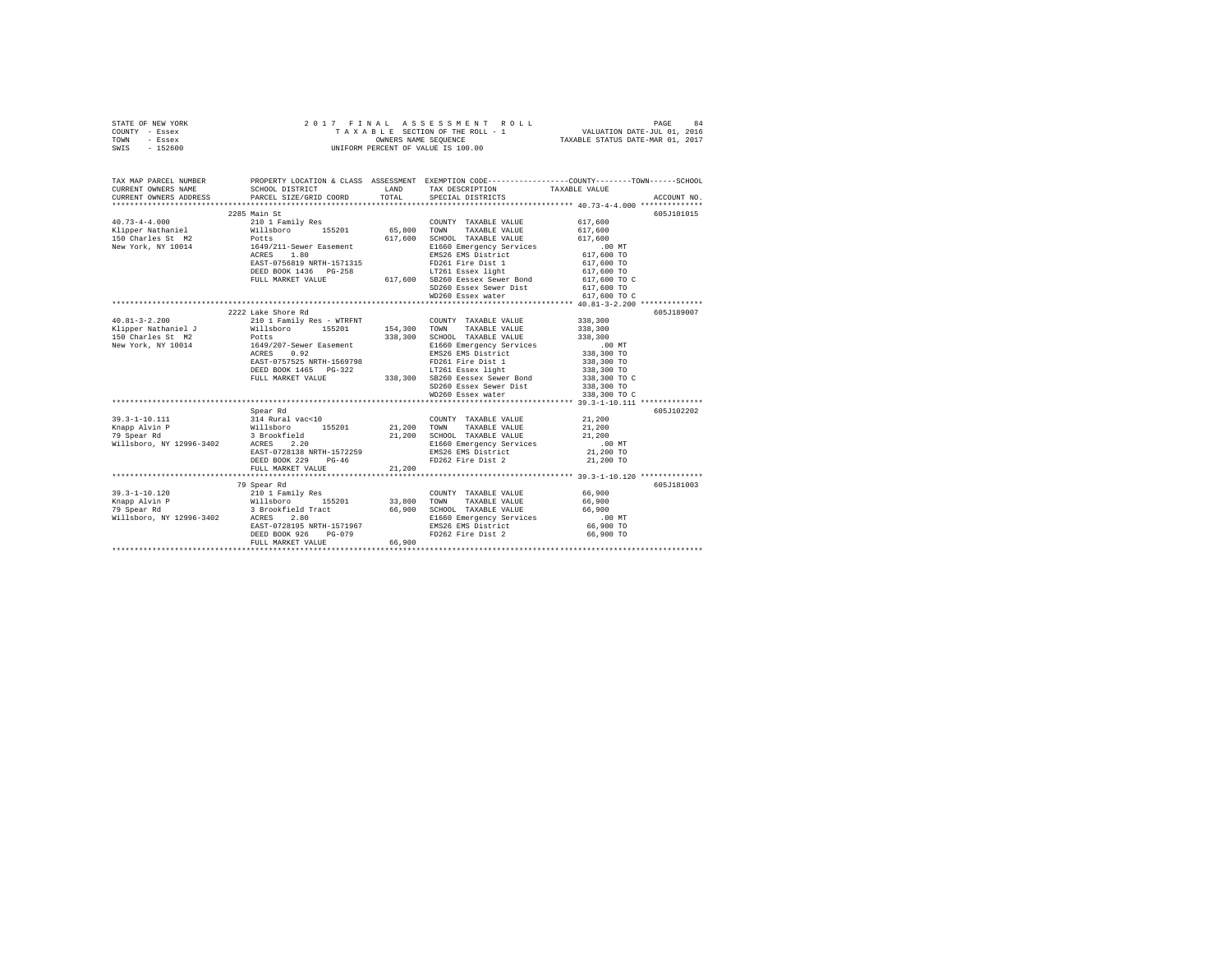|      | STATE OF NEW YORK |  |  | 2017 FINAL ASSESSMENT ROLL         | PAGE                             | 84 |
|------|-------------------|--|--|------------------------------------|----------------------------------|----|
|      | COUNTY - Essex    |  |  | TAXABLE SECTION OF THE ROLL - 1    | VALUATION DATE-JUL 01, 2016      |    |
| TOWN | - Essex           |  |  | OWNERS NAME SEOUENCE               | TAXABLE STATUS DATE-MAR 01, 2017 |    |
| SWIS | - 152600          |  |  | UNIFORM PERCENT OF VALUE IS 100.00 |                                  |    |

| TAX MAP PARCEL NUMBER<br>CURRENT OWNERS NAME SCHOOL DISTRICT LAND TAX DESCRIPTION TAXABLE VALUE ACCOUNT NO. THE SCHOOL DISTRICT LAND TAX DESCRIPTION TAXABLE VALUE ACCOUNT NO.                                                                                                                                                                                        |                                         | PROPERTY LOCATION & CLASS ASSESSMENT EXEMPTION CODE---------------COUNTY-------TOWN------SCHOOL                                                                                                                                            |                    |            |
|-----------------------------------------------------------------------------------------------------------------------------------------------------------------------------------------------------------------------------------------------------------------------------------------------------------------------------------------------------------------------|-----------------------------------------|--------------------------------------------------------------------------------------------------------------------------------------------------------------------------------------------------------------------------------------------|--------------------|------------|
|                                                                                                                                                                                                                                                                                                                                                                       |                                         |                                                                                                                                                                                                                                            |                    |            |
|                                                                                                                                                                                                                                                                                                                                                                       | 2285 Main St                            |                                                                                                                                                                                                                                            |                    | 605J101015 |
|                                                                                                                                                                                                                                                                                                                                                                       |                                         | COUNTY TAXABLE VALUE 617,600                                                                                                                                                                                                               |                    |            |
|                                                                                                                                                                                                                                                                                                                                                                       |                                         | TAXABLE VALUE                                                                                                                                                                                                                              | 617,600            |            |
|                                                                                                                                                                                                                                                                                                                                                                       |                                         | SCHOOL TAXABLE VALUE                                                                                                                                                                                                                       | 617,600            |            |
|                                                                                                                                                                                                                                                                                                                                                                       |                                         |                                                                                                                                                                                                                                            |                    |            |
|                                                                                                                                                                                                                                                                                                                                                                       |                                         |                                                                                                                                                                                                                                            |                    |            |
|                                                                                                                                                                                                                                                                                                                                                                       |                                         |                                                                                                                                                                                                                                            |                    |            |
|                                                                                                                                                                                                                                                                                                                                                                       |                                         | 2002 1.1.1.1 2.1.2.51 Essex light<br>DEED BOOK 1436 PG-258 617,600 SB260 Eessex Sever Bond<br>FULL MARKET VALUE 617,600 SB260 Essex Sever Bond<br>SD260 Essex Sever Dist 617,600 TO<br>SD260 Essex Sever Dist 617,600 TO                   |                    |            |
|                                                                                                                                                                                                                                                                                                                                                                       |                                         |                                                                                                                                                                                                                                            |                    |            |
|                                                                                                                                                                                                                                                                                                                                                                       |                                         |                                                                                                                                                                                                                                            |                    |            |
|                                                                                                                                                                                                                                                                                                                                                                       |                                         |                                                                                                                                                                                                                                            |                    |            |
|                                                                                                                                                                                                                                                                                                                                                                       |                                         |                                                                                                                                                                                                                                            |                    |            |
|                                                                                                                                                                                                                                                                                                                                                                       | 2222 Lake Shore Rd                      |                                                                                                                                                                                                                                            |                    | 605J189007 |
| $\begin{array}{lllllllllll} 40.81-3-2.200 & 210 & 1\text{ Family Res}\end{array} & \begin{array}{lllllllllllll} \text{"RINR"} \\ \text{7.55201} \\ \text{7.5630} \\ \text{7.6740} \\ \text{7.76581} \\ \text{7.77681} \\ \text{7.77681} \\ \text{7.77681} \\ \text{7.77681} \\ \text{7.77681} \\ \text{7.77681} \\ \text{7.77681} \\ \text{7.77681} \\ \text{7.77681$ |                                         |                                                                                                                                                                                                                                            | 338,300<br>338,300 |            |
|                                                                                                                                                                                                                                                                                                                                                                       |                                         |                                                                                                                                                                                                                                            |                    |            |
|                                                                                                                                                                                                                                                                                                                                                                       |                                         |                                                                                                                                                                                                                                            |                    |            |
| Arabic Marine (1992)<br>150 Charles St. W. 2001 - 2003 2004 2005 2006 2010 2011 2013<br>150 Mew York, NY 10014 1649/207-Sewer Easement 2006 2013 2014 2010 2010 2011<br>138,300 TO ACRES 0.92 2014 2012 2013 2014 2015 338,300 TO                                                                                                                                     |                                         |                                                                                                                                                                                                                                            |                    |            |
|                                                                                                                                                                                                                                                                                                                                                                       |                                         |                                                                                                                                                                                                                                            |                    |            |
|                                                                                                                                                                                                                                                                                                                                                                       |                                         |                                                                                                                                                                                                                                            |                    |            |
|                                                                                                                                                                                                                                                                                                                                                                       |                                         | ACRES 0 0.724 MRTH-1569798<br>EAST-0757525 NRTH-1569798<br>DEED BOOK 1465 PG-322<br>238,300 TO SEED BOOK 1465 PG-322<br>238,300 TO SEED AND SD260 Essex Sewer Dist<br>238,300 TO C SEER AND SD260 Essex Sewer Dist<br>238,300 TO C ND260 E |                    |            |
|                                                                                                                                                                                                                                                                                                                                                                       |                                         |                                                                                                                                                                                                                                            |                    |            |
|                                                                                                                                                                                                                                                                                                                                                                       |                                         |                                                                                                                                                                                                                                            |                    |            |
|                                                                                                                                                                                                                                                                                                                                                                       |                                         |                                                                                                                                                                                                                                            |                    |            |
|                                                                                                                                                                                                                                                                                                                                                                       |                                         |                                                                                                                                                                                                                                            |                    |            |
|                                                                                                                                                                                                                                                                                                                                                                       | Spear Rd                                |                                                                                                                                                                                                                                            |                    | 605J102202 |
|                                                                                                                                                                                                                                                                                                                                                                       |                                         |                                                                                                                                                                                                                                            |                    |            |
|                                                                                                                                                                                                                                                                                                                                                                       |                                         |                                                                                                                                                                                                                                            |                    |            |
|                                                                                                                                                                                                                                                                                                                                                                       |                                         |                                                                                                                                                                                                                                            |                    |            |
|                                                                                                                                                                                                                                                                                                                                                                       |                                         |                                                                                                                                                                                                                                            |                    |            |
| 39.3-1-10.111<br>39.3-1-10.111<br>39.3-1-10.111<br>39.3-1-10.111<br>39.200<br>39.200<br>39.200<br>39.3-1-10.111<br>39.3-1-10.111<br>39.3-1-10.111<br>39.200<br>39.200<br>39.200<br>39.200<br>21,200<br>21,200<br>21,200<br>21,200<br>21,200<br>21                                                                                                                     |                                         |                                                                                                                                                                                                                                            |                    |            |
|                                                                                                                                                                                                                                                                                                                                                                       |                                         |                                                                                                                                                                                                                                            |                    |            |
|                                                                                                                                                                                                                                                                                                                                                                       |                                         |                                                                                                                                                                                                                                            |                    |            |
|                                                                                                                                                                                                                                                                                                                                                                       | FULL MARKET VALUE 21,200                |                                                                                                                                                                                                                                            |                    |            |
|                                                                                                                                                                                                                                                                                                                                                                       |                                         |                                                                                                                                                                                                                                            |                    |            |
|                                                                                                                                                                                                                                                                                                                                                                       | 79 Spear Rd                             |                                                                                                                                                                                                                                            |                    | 605J181003 |
|                                                                                                                                                                                                                                                                                                                                                                       |                                         |                                                                                                                                                                                                                                            |                    |            |
|                                                                                                                                                                                                                                                                                                                                                                       |                                         |                                                                                                                                                                                                                                            |                    |            |
|                                                                                                                                                                                                                                                                                                                                                                       |                                         |                                                                                                                                                                                                                                            |                    |            |
|                                                                                                                                                                                                                                                                                                                                                                       |                                         |                                                                                                                                                                                                                                            |                    |            |
|                                                                                                                                                                                                                                                                                                                                                                       |                                         |                                                                                                                                                                                                                                            |                    |            |
|                                                                                                                                                                                                                                                                                                                                                                       | DEED BOOK 926<br>$PG-079$<br>LUE 66,900 | FD262 Fire Dist 2 66,900 TO                                                                                                                                                                                                                |                    |            |
|                                                                                                                                                                                                                                                                                                                                                                       | FULL MARKET VALUE                       |                                                                                                                                                                                                                                            |                    |            |
|                                                                                                                                                                                                                                                                                                                                                                       |                                         |                                                                                                                                                                                                                                            |                    |            |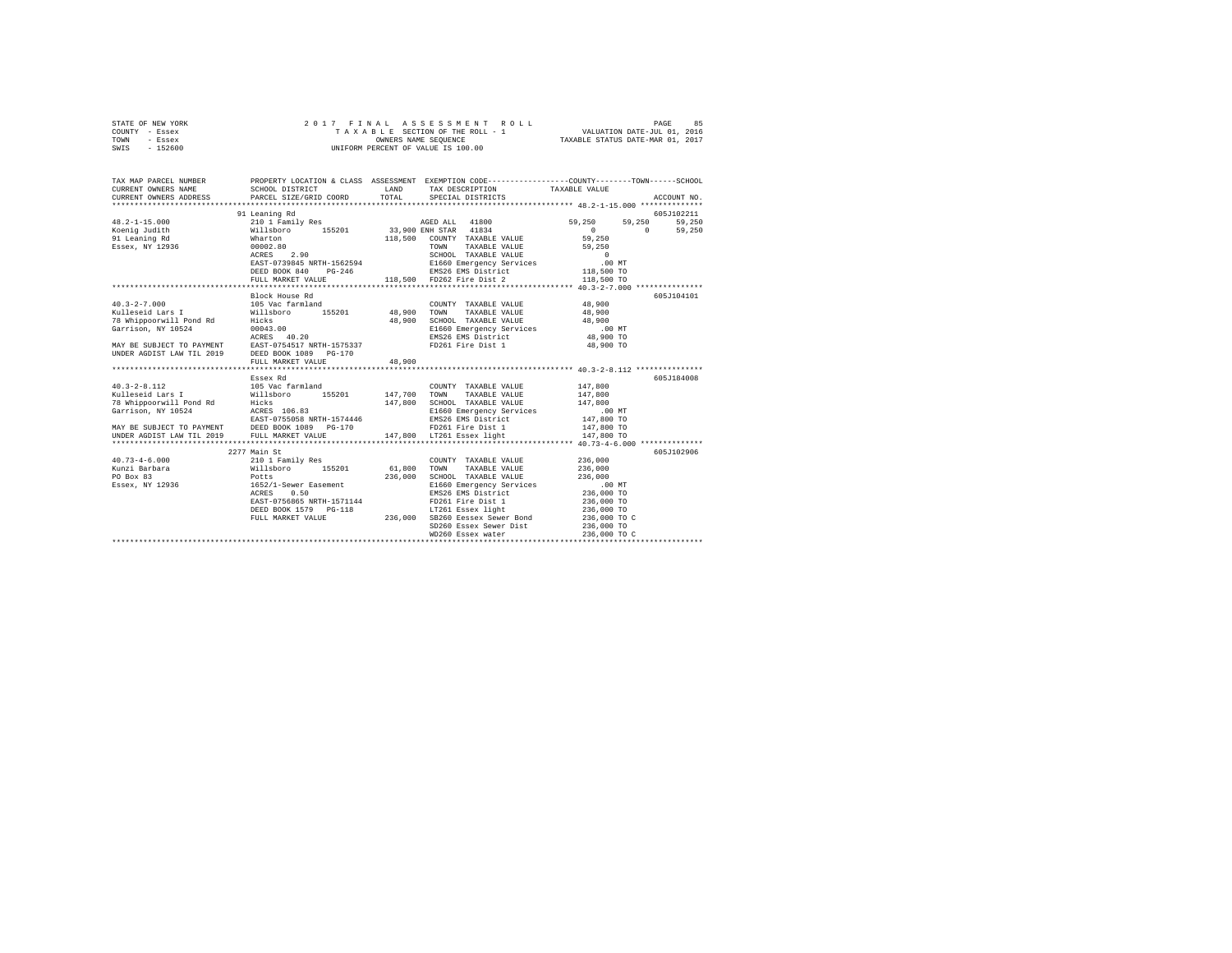| STATE OF NEW YORK<br>COUNTY - Essex<br>TOWN<br>- Essex<br>SWIS - 152600                                                                                                                                                                                                                                                                                                                                                                                            |                                                                                                                                                                                                                                                                                                                                                                                                                                                 |        | UNIFORM PERCENT OF VALUE IS 100.00                                                                                                                                                                                                                                                                                                                                                                                                                         |                        |               |
|--------------------------------------------------------------------------------------------------------------------------------------------------------------------------------------------------------------------------------------------------------------------------------------------------------------------------------------------------------------------------------------------------------------------------------------------------------------------|-------------------------------------------------------------------------------------------------------------------------------------------------------------------------------------------------------------------------------------------------------------------------------------------------------------------------------------------------------------------------------------------------------------------------------------------------|--------|------------------------------------------------------------------------------------------------------------------------------------------------------------------------------------------------------------------------------------------------------------------------------------------------------------------------------------------------------------------------------------------------------------------------------------------------------------|------------------------|---------------|
| TAX MAP PARCEL NUMBER PROPERTY LOCATION & CLASS ASSESSMENT EXEMPTION CODE--------------COUNTY-------TOWN------SCHOOL<br>CURRENT OWNERS NAME<br>CURRENT OWNERS ADDRESS                                                                                                                                                                                                                                                                                              | SCHOOL DISTRICT                                                                                                                                                                                                                                                                                                                                                                                                                                 | LAND   | TAX DESCRIPTION                                                                                                                                                                                                                                                                                                                                                                                                                                            | TAXABLE VALUE          |               |
|                                                                                                                                                                                                                                                                                                                                                                                                                                                                    | PARCEL SIZE/GRID COORD                                                                                                                                                                                                                                                                                                                                                                                                                          | TOTAL  | SPECIAL DISTRICTS                                                                                                                                                                                                                                                                                                                                                                                                                                          |                        | ACCOUNT NO.   |
|                                                                                                                                                                                                                                                                                                                                                                                                                                                                    | 91 Leaning Rd                                                                                                                                                                                                                                                                                                                                                                                                                                   |        |                                                                                                                                                                                                                                                                                                                                                                                                                                                            |                        | 605J102211    |
| $48.2 - 1 - 15.000$                                                                                                                                                                                                                                                                                                                                                                                                                                                |                                                                                                                                                                                                                                                                                                                                                                                                                                                 |        |                                                                                                                                                                                                                                                                                                                                                                                                                                                            | 59,250                 | 59,250 59,250 |
| Koenig Judith                                                                                                                                                                                                                                                                                                                                                                                                                                                      | $\begin{tabular}{c c c c} \multicolumn{4}{c }{\textbf{7.01} \quad \textbf{Family Res}} \quad \textbf{AGED ALL} \quad \textbf{41800} \\ \multicolumn{4}{c }{\textbf{7.01} \quad \textbf{Family Res}} \quad \textbf{155201} \quad \textbf{33,900 EMR STAR} \quad \textbf{41834} \\ \multicolumn{4}{c }{\textbf{Willab} over} \quad \textbf{118,500} \quad \textbf{COMIFY} \quad \textbf{TARABLE VALUE} \\ \textbf{000202.80} \quad \textbf{00022$ |        |                                                                                                                                                                                                                                                                                                                                                                                                                                                            | 0 0 59,250             |               |
| 91 Leaning Rd                                                                                                                                                                                                                                                                                                                                                                                                                                                      |                                                                                                                                                                                                                                                                                                                                                                                                                                                 |        | 118,500 COUNTY TAXABLE VALUE                                                                                                                                                                                                                                                                                                                                                                                                                               | 59,250                 |               |
| Essex, NY 12936                                                                                                                                                                                                                                                                                                                                                                                                                                                    |                                                                                                                                                                                                                                                                                                                                                                                                                                                 |        | TOWN TAXABLE VALUE                                                                                                                                                                                                                                                                                                                                                                                                                                         | 59,250                 |               |
|                                                                                                                                                                                                                                                                                                                                                                                                                                                                    |                                                                                                                                                                                                                                                                                                                                                                                                                                                 |        | $\begin{tabular}{l l l l} \multicolumn{1}{c}{\textbf{SCHOOL}} & \textbf{TAXABLE VALUE} & & & & 0 \\ \multicolumn{1}{c}{\textbf{E166 Bmerenergy Services}} & & & .00 MT \\ \multicolumn{1}{c}{\textbf{E167 Bmerency Services}} & & & .00 MT \\ \multicolumn{1}{c}{\textbf{ENSS6} KMS} & \textbf{E1s} & \textbf{S1s} & \textbf{L18,500 TO} \\ \multicolumn{1}{c}{\textbf{F18,500}} & \textbf{F0262} & \textbf{F1re Dist1c} & & & 118,500 TO \\ \end{tabular$ |                        |               |
|                                                                                                                                                                                                                                                                                                                                                                                                                                                                    | EAST-0739845 NRTH-1562594<br>DEED BOOK 840 PG-246                                                                                                                                                                                                                                                                                                                                                                                               |        |                                                                                                                                                                                                                                                                                                                                                                                                                                                            |                        |               |
|                                                                                                                                                                                                                                                                                                                                                                                                                                                                    | FULL MARKET VALUE                                                                                                                                                                                                                                                                                                                                                                                                                               |        |                                                                                                                                                                                                                                                                                                                                                                                                                                                            |                        |               |
|                                                                                                                                                                                                                                                                                                                                                                                                                                                                    |                                                                                                                                                                                                                                                                                                                                                                                                                                                 |        |                                                                                                                                                                                                                                                                                                                                                                                                                                                            |                        |               |
|                                                                                                                                                                                                                                                                                                                                                                                                                                                                    | Block House Rd                                                                                                                                                                                                                                                                                                                                                                                                                                  |        |                                                                                                                                                                                                                                                                                                                                                                                                                                                            |                        | 605J104101    |
| $40.3 - 2 - 7.000$                                                                                                                                                                                                                                                                                                                                                                                                                                                 |                                                                                                                                                                                                                                                                                                                                                                                                                                                 |        | COUNTY TAXABLE VALUE 48,900<br>COUNTY TAXABLE VALUE<br>48,900 TOWN TAXABLE VALUE                                                                                                                                                                                                                                                                                                                                                                           |                        |               |
| Kulleseid Lars I                                                                                                                                                                                                                                                                                                                                                                                                                                                   | 105 Vac farmland<br>Willsboro 155201                                                                                                                                                                                                                                                                                                                                                                                                            |        |                                                                                                                                                                                                                                                                                                                                                                                                                                                            | 48,900                 |               |
|                                                                                                                                                                                                                                                                                                                                                                                                                                                                    |                                                                                                                                                                                                                                                                                                                                                                                                                                                 |        | 48,900 SCHOOL TAXABLE VALUE                                                                                                                                                                                                                                                                                                                                                                                                                                | 48,900                 |               |
|                                                                                                                                                                                                                                                                                                                                                                                                                                                                    |                                                                                                                                                                                                                                                                                                                                                                                                                                                 |        | E1660 Emergency Services                                                                                                                                                                                                                                                                                                                                                                                                                                   | $.00$ MT               |               |
|                                                                                                                                                                                                                                                                                                                                                                                                                                                                    |                                                                                                                                                                                                                                                                                                                                                                                                                                                 |        |                                                                                                                                                                                                                                                                                                                                                                                                                                                            | 48,900 TO<br>48,900 TO |               |
| NATIES<br>NATIES TO PAYMENT THISONAL SCHOOL TAXABLE VALUE<br>SCHOOL TAXABLE VALUE<br>SCHOOL TAXABLE VALUE<br>TO PAYMENT ACRES 40.20<br>EMS26 EMS District<br>MAY BE SUBJECT TO PAYMENT EAST-0754517 NRTH-1575337<br>MAY BE SUBJECT TO PAYMEN                                                                                                                                                                                                                       |                                                                                                                                                                                                                                                                                                                                                                                                                                                 |        |                                                                                                                                                                                                                                                                                                                                                                                                                                                            |                        |               |
|                                                                                                                                                                                                                                                                                                                                                                                                                                                                    | FULL MARKET VALUE                                                                                                                                                                                                                                                                                                                                                                                                                               | 48,900 |                                                                                                                                                                                                                                                                                                                                                                                                                                                            |                        |               |
|                                                                                                                                                                                                                                                                                                                                                                                                                                                                    |                                                                                                                                                                                                                                                                                                                                                                                                                                                 |        |                                                                                                                                                                                                                                                                                                                                                                                                                                                            |                        |               |
|                                                                                                                                                                                                                                                                                                                                                                                                                                                                    | Essex Rd                                                                                                                                                                                                                                                                                                                                                                                                                                        |        |                                                                                                                                                                                                                                                                                                                                                                                                                                                            |                        | 605J184008    |
|                                                                                                                                                                                                                                                                                                                                                                                                                                                                    |                                                                                                                                                                                                                                                                                                                                                                                                                                                 |        |                                                                                                                                                                                                                                                                                                                                                                                                                                                            | 147,800                |               |
|                                                                                                                                                                                                                                                                                                                                                                                                                                                                    |                                                                                                                                                                                                                                                                                                                                                                                                                                                 |        |                                                                                                                                                                                                                                                                                                                                                                                                                                                            | 147,800                |               |
|                                                                                                                                                                                                                                                                                                                                                                                                                                                                    |                                                                                                                                                                                                                                                                                                                                                                                                                                                 |        |                                                                                                                                                                                                                                                                                                                                                                                                                                                            | 147.800                |               |
|                                                                                                                                                                                                                                                                                                                                                                                                                                                                    |                                                                                                                                                                                                                                                                                                                                                                                                                                                 |        | E1660 Emergency Services                                                                                                                                                                                                                                                                                                                                                                                                                                   | $.00$ MT<br>147,800 TO |               |
|                                                                                                                                                                                                                                                                                                                                                                                                                                                                    |                                                                                                                                                                                                                                                                                                                                                                                                                                                 |        | EMS26 EMS District                                                                                                                                                                                                                                                                                                                                                                                                                                         | 147,800 TO             |               |
|                                                                                                                                                                                                                                                                                                                                                                                                                                                                    |                                                                                                                                                                                                                                                                                                                                                                                                                                                 |        | 147,800 LT261 Essex light                                                                                                                                                                                                                                                                                                                                                                                                                                  | 147,800 TO             |               |
|                                                                                                                                                                                                                                                                                                                                                                                                                                                                    |                                                                                                                                                                                                                                                                                                                                                                                                                                                 |        |                                                                                                                                                                                                                                                                                                                                                                                                                                                            |                        |               |
|                                                                                                                                                                                                                                                                                                                                                                                                                                                                    | 2277 Main St                                                                                                                                                                                                                                                                                                                                                                                                                                    |        |                                                                                                                                                                                                                                                                                                                                                                                                                                                            |                        | 605J102906    |
|                                                                                                                                                                                                                                                                                                                                                                                                                                                                    |                                                                                                                                                                                                                                                                                                                                                                                                                                                 |        |                                                                                                                                                                                                                                                                                                                                                                                                                                                            | 236,000                |               |
|                                                                                                                                                                                                                                                                                                                                                                                                                                                                    |                                                                                                                                                                                                                                                                                                                                                                                                                                                 |        |                                                                                                                                                                                                                                                                                                                                                                                                                                                            | 236,000                |               |
|                                                                                                                                                                                                                                                                                                                                                                                                                                                                    |                                                                                                                                                                                                                                                                                                                                                                                                                                                 |        |                                                                                                                                                                                                                                                                                                                                                                                                                                                            | 236,000                |               |
| $\begin{tabular}{l c c c c} \multicolumn{3}{c }{\text{\texttt{40.73--4-6.000}}} & \multicolumn{3}{c }{2277} & \multicolumn{3}{c }{\text{\texttt{Main}} & \multicolumn{3}{c }{\text{\texttt{Null}}}} & \multicolumn{3}{c }{\text{\texttt{ReLU}} & \multicolumn{3}{c }{\text{\texttt{XADLE} VALUE}} & \multicolumn{3}{c }{\text{\texttt{COWNY}} & \multicolumn{3}{c }{\text{\texttt{YALUE}}} & \multicolumn{3}{c }{\text{\texttt{XADLE VALUE}}} & \multicolumn{3}{c$ |                                                                                                                                                                                                                                                                                                                                                                                                                                                 |        |                                                                                                                                                                                                                                                                                                                                                                                                                                                            | .00 MT<br>236,000 TO   |               |
|                                                                                                                                                                                                                                                                                                                                                                                                                                                                    |                                                                                                                                                                                                                                                                                                                                                                                                                                                 |        |                                                                                                                                                                                                                                                                                                                                                                                                                                                            | 236,000 TO             |               |
|                                                                                                                                                                                                                                                                                                                                                                                                                                                                    |                                                                                                                                                                                                                                                                                                                                                                                                                                                 |        |                                                                                                                                                                                                                                                                                                                                                                                                                                                            | 236,000 TO             |               |
|                                                                                                                                                                                                                                                                                                                                                                                                                                                                    |                                                                                                                                                                                                                                                                                                                                                                                                                                                 |        |                                                                                                                                                                                                                                                                                                                                                                                                                                                            | 236,000 TO C           |               |
|                                                                                                                                                                                                                                                                                                                                                                                                                                                                    |                                                                                                                                                                                                                                                                                                                                                                                                                                                 |        | SD260 Essex Sewer Dist                                                                                                                                                                                                                                                                                                                                                                                                                                     | 236,000 TO             |               |
|                                                                                                                                                                                                                                                                                                                                                                                                                                                                    |                                                                                                                                                                                                                                                                                                                                                                                                                                                 |        | WD260 Essex water                                                                                                                                                                                                                                                                                                                                                                                                                                          | 236,000 TO C           |               |
|                                                                                                                                                                                                                                                                                                                                                                                                                                                                    |                                                                                                                                                                                                                                                                                                                                                                                                                                                 |        |                                                                                                                                                                                                                                                                                                                                                                                                                                                            |                        |               |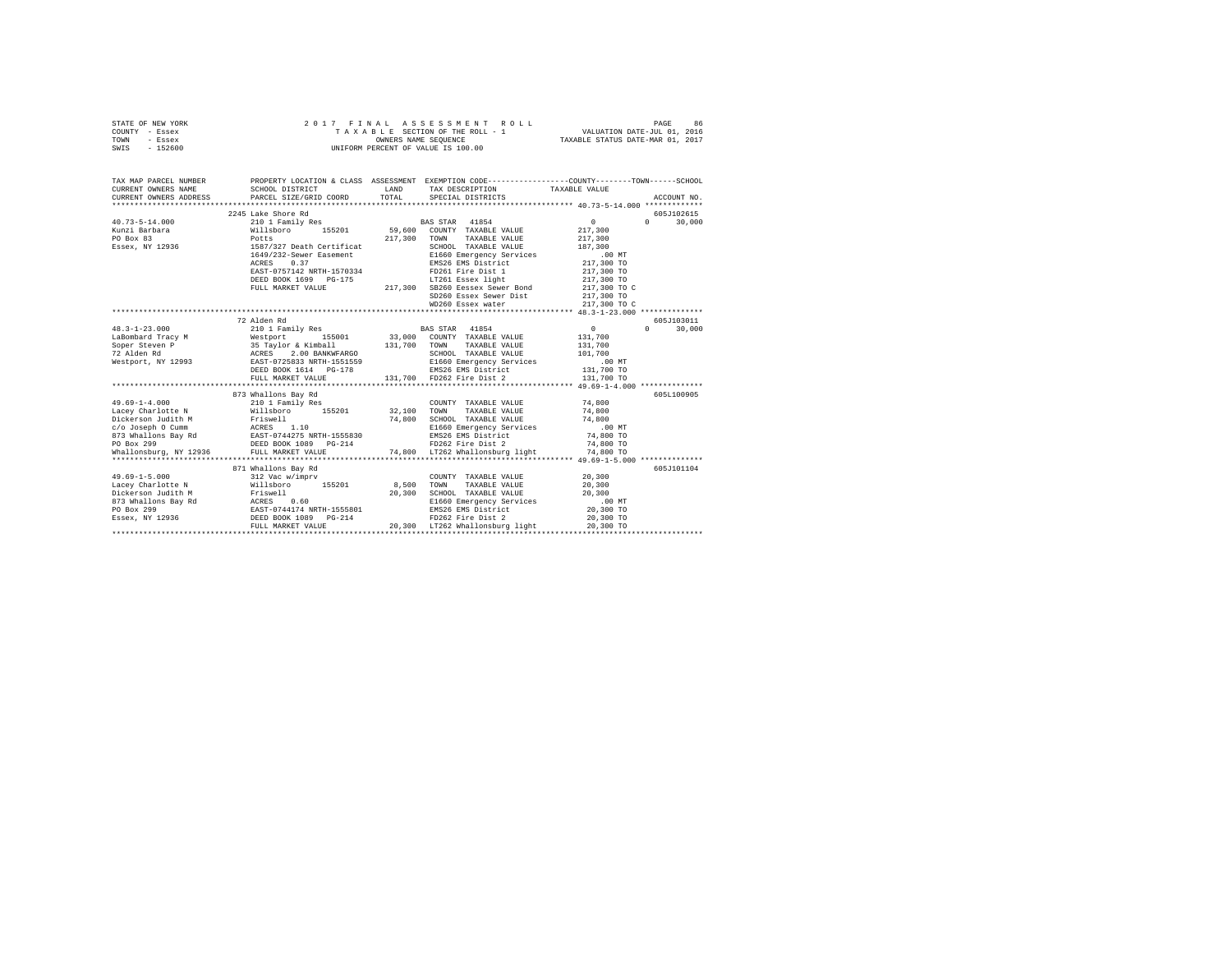|      | STATE OF NEW YORK |  |  | 2017 FINAL ASSESSMENT ROLL         |                                  | PAGE                        | 86 |
|------|-------------------|--|--|------------------------------------|----------------------------------|-----------------------------|----|
|      | COUNTY - Essex    |  |  | TAXABLE SECTION OF THE ROLL - 1    |                                  | VALUATION DATE-JUL 01, 2016 |    |
| TOWN | - Essex           |  |  | OWNERS NAME SEOUENCE               | TAXABLE STATUS DATE-MAR 01, 2017 |                             |    |
|      | SWIS - 152600     |  |  | UNIFORM PERCENT OF VALUE IS 100.00 |                                  |                             |    |

| TAX MAP PARCEL NUMBER               | PROPERTY LOCATION & CLASS ASSESSMENT EXEMPTION CODE---------------COUNTY-------TOWN-----SCHOOL                                                                                                                                |                                                                                                                                                                       |                    |                             |
|-------------------------------------|-------------------------------------------------------------------------------------------------------------------------------------------------------------------------------------------------------------------------------|-----------------------------------------------------------------------------------------------------------------------------------------------------------------------|--------------------|-----------------------------|
| CURRENT OWNERS NAME SCHOOL DISTRICT |                                                                                                                                                                                                                               | LAND TAX DESCRIPTION TAXABLE VALUE                                                                                                                                    |                    |                             |
|                                     |                                                                                                                                                                                                                               |                                                                                                                                                                       |                    |                             |
|                                     |                                                                                                                                                                                                                               |                                                                                                                                                                       |                    |                             |
|                                     | 2245 Lake Shore Rd                                                                                                                                                                                                            |                                                                                                                                                                       | $\sim$ 0 $\sim$    | 605J102615<br>$0 \t 30,000$ |
|                                     |                                                                                                                                                                                                                               | BAS STAR 41854                                                                                                                                                        |                    |                             |
|                                     |                                                                                                                                                                                                                               |                                                                                                                                                                       | 217,300<br>217,300 |                             |
|                                     |                                                                                                                                                                                                                               | SCHOOL TAXABLE VALUE 187,300                                                                                                                                          |                    |                             |
|                                     | 1649/232-Sewer Easement                                                                                                                                                                                                       |                                                                                                                                                                       |                    |                             |
|                                     | ACRES 0.37                                                                                                                                                                                                                    | E1660 Emergency Services 6.00 MT<br>EMS26 EMS District 217,300 TO                                                                                                     |                    |                             |
|                                     | EAST-0757142 NRTH-1570334 FD261 Fire Dist 1 217,300 TO                                                                                                                                                                        |                                                                                                                                                                       |                    |                             |
|                                     |                                                                                                                                                                                                                               |                                                                                                                                                                       | 217,300 TO         |                             |
|                                     | BED BOOK 1699 PG-175<br>PELD MARKET VALUE 217,300 SB260 Eessex Sewer Bond<br>PULL MARKET VALUE 217,300 SB260 Eessex Sewer Bist                                                                                                |                                                                                                                                                                       | 217,300 TO C       |                             |
|                                     |                                                                                                                                                                                                                               |                                                                                                                                                                       | 217,300 TO         |                             |
|                                     |                                                                                                                                                                                                                               | WD260 Essex water 217,300 TO C                                                                                                                                        |                    |                             |
|                                     |                                                                                                                                                                                                                               |                                                                                                                                                                       |                    |                             |
|                                     |                                                                                                                                                                                                                               |                                                                                                                                                                       |                    |                             |
| $48.3 - 1 - 23.000$                 | 72 Alden Rd<br>210 1 Family Res 60 BAS STAR 41854                                                                                                                                                                             |                                                                                                                                                                       | $0 \qquad \qquad$  | 605J103011<br>$0 \t 30,000$ |
|                                     |                                                                                                                                                                                                                               |                                                                                                                                                                       |                    |                             |
|                                     |                                                                                                                                                                                                                               |                                                                                                                                                                       |                    |                             |
|                                     |                                                                                                                                                                                                                               |                                                                                                                                                                       |                    |                             |
|                                     |                                                                                                                                                                                                                               |                                                                                                                                                                       |                    |                             |
|                                     |                                                                                                                                                                                                                               |                                                                                                                                                                       |                    |                             |
|                                     |                                                                                                                                                                                                                               | 3-178 EMS26 EMS District<br>131,700 FD262 Fire Dist 2                                                                                                                 |                    |                             |
|                                     | FULL MARKET VALUE                                                                                                                                                                                                             |                                                                                                                                                                       | 131,700 TO         |                             |
|                                     |                                                                                                                                                                                                                               |                                                                                                                                                                       |                    |                             |
| $49.69 - 1 - 4.000$                 | 873 Whallons Bay Rd<br>210 1 Family Res                                                                                                                                                                                       | COUNTY TAXABLE VALUE 74,800                                                                                                                                           |                    | 605L100905                  |
|                                     | Lacey Charlotte N Millsboro 155201 32,100 TOWN TAXABLE VALUE 74,800                                                                                                                                                           |                                                                                                                                                                       |                    |                             |
|                                     |                                                                                                                                                                                                                               |                                                                                                                                                                       |                    |                             |
|                                     |                                                                                                                                                                                                                               |                                                                                                                                                                       |                    |                             |
|                                     |                                                                                                                                                                                                                               |                                                                                                                                                                       |                    |                             |
|                                     |                                                                                                                                                                                                                               |                                                                                                                                                                       |                    |                             |
|                                     |                                                                                                                                                                                                                               |                                                                                                                                                                       |                    |                             |
|                                     | 2012 - 2012 - 2022 - 2022 - 2022 - 2022 - 2022 - 2022 - 2022 - 2022 - 2022 - 2022 - 2022 - 2022 - 2022 - 2022 - 2022 - 2022 - 2022 - 2022 - 2022 - 2022 - 2022 - 2022 - 2022 - 2022 - 2022 - 2022 - 2022 - 2022 - 2022 - 2022 |                                                                                                                                                                       |                    |                             |
|                                     |                                                                                                                                                                                                                               |                                                                                                                                                                       |                    |                             |
|                                     | 871 Whallons Bay Rd                                                                                                                                                                                                           |                                                                                                                                                                       |                    | 605J101104                  |
|                                     |                                                                                                                                                                                                                               | COUNTY TAXABLE VALUE<br>8,500 TOWN TAXABLE VALUE<br>$\begin{tabular}{lllllll} \multicolumn{2}{c}{\textbf{COUNTY}} & \textbf{TAXABLE VALUE} & & & & 20 \end{tabular},$ |                    |                             |
|                                     |                                                                                                                                                                                                                               |                                                                                                                                                                       | 20,300             |                             |
|                                     |                                                                                                                                                                                                                               | 20,300 SCHOOL TAXABLE VALUE 20,300                                                                                                                                    |                    |                             |
|                                     |                                                                                                                                                                                                                               | E1660 Emergency Services<br>EMS26 EMS District<br>FD262 Fire Dist 2 20,300 TO<br>20,300 TO                                                                            |                    |                             |
|                                     |                                                                                                                                                                                                                               |                                                                                                                                                                       |                    |                             |
|                                     |                                                                                                                                                                                                                               |                                                                                                                                                                       | 20,300 TO          |                             |
|                                     | FULL MARKET VALUE                                                                                                                                                                                                             | 20,300 LT262 Whallonsburg light                                                                                                                                       | 20,300 TO          |                             |
|                                     |                                                                                                                                                                                                                               |                                                                                                                                                                       |                    |                             |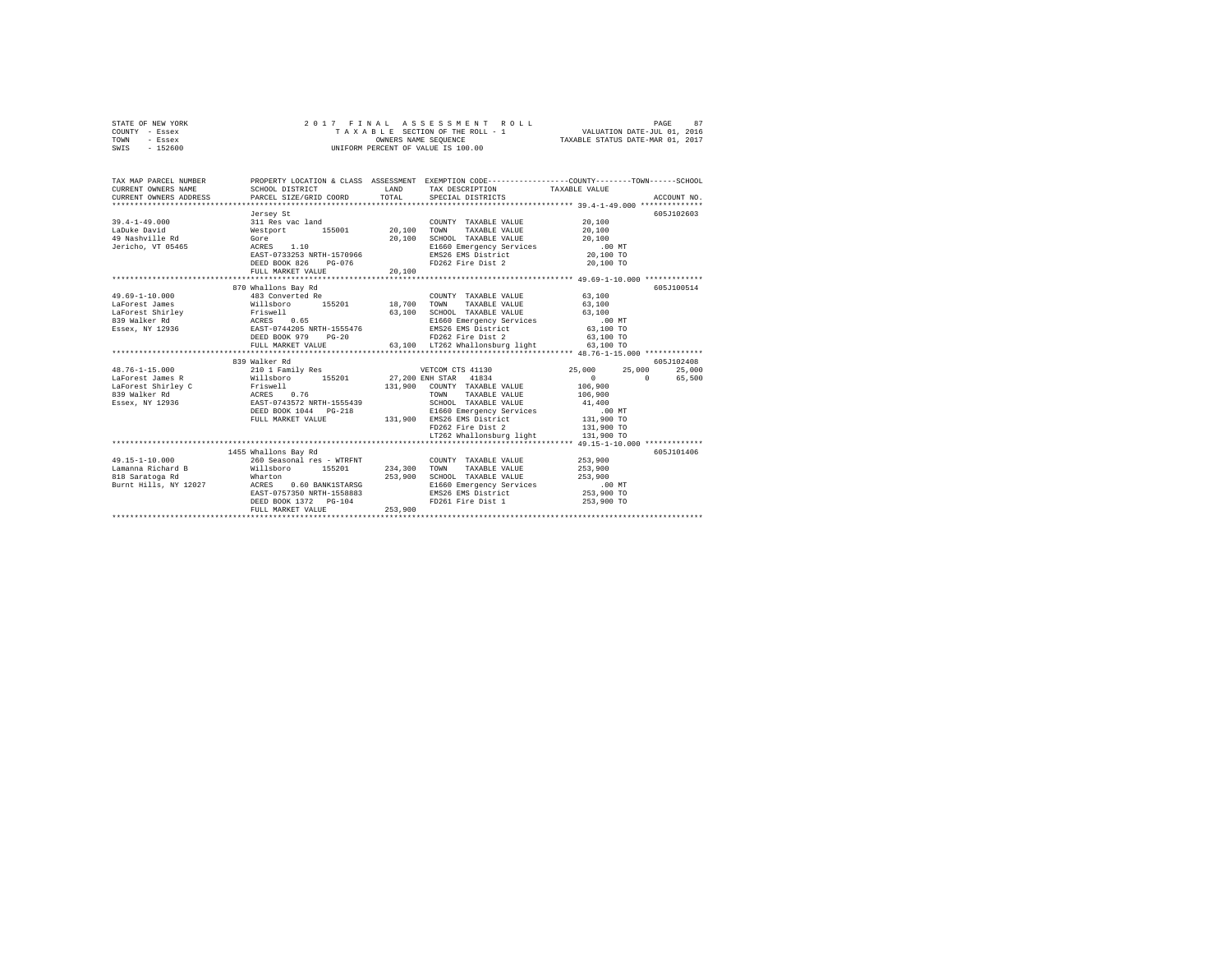| STATE OF NEW YORK | 2017 FINAL ASSESSMENT ROLL         | 87<br>PAGE                       |
|-------------------|------------------------------------|----------------------------------|
| COUNTY - Essex    | TAXABLE SECTION OF THE ROLL - 1    | VALUATION DATE-JUL 01, 2016      |
| TOWN<br>- Essex   | OWNERS NAME SEOUENCE               | TAXABLE STATUS DATE-MAR 01, 2017 |
| $-152600$<br>SWIS | UNIFORM PERCENT OF VALUE IS 100.00 |                                  |

| TAX MAP PARCEL NUMBER                                                                                                                                                                                                                                                                                                |                                                                                                                               |                    | PROPERTY LOCATION & CLASS ASSESSMENT EXEMPTION CODE----------------COUNTY-------TOWN-----SCHOOL                                                                                                                                                                                                                                                                                                                                                                                      |                                                                       |                                |
|----------------------------------------------------------------------------------------------------------------------------------------------------------------------------------------------------------------------------------------------------------------------------------------------------------------------|-------------------------------------------------------------------------------------------------------------------------------|--------------------|--------------------------------------------------------------------------------------------------------------------------------------------------------------------------------------------------------------------------------------------------------------------------------------------------------------------------------------------------------------------------------------------------------------------------------------------------------------------------------------|-----------------------------------------------------------------------|--------------------------------|
|                                                                                                                                                                                                                                                                                                                      | DEED BOOK 826<br>$PG-0.76$                                                                                                    |                    | FD262 Fire Dist 2 20,100 TO                                                                                                                                                                                                                                                                                                                                                                                                                                                          |                                                                       | 605J102603                     |
| 49.69-1-10.000<br>1970 - 1970 - 1970 - 1970 - 1970 - 1970 - 1970 - 1970 - 1970 - 1970 - 1970 - 1970 - 1970 - 1970 - 1970 - 1970<br>1970 - 1970 - 1971 - 1970 - 1970 - 1970 - 1970 - 1970 - 1970 - 1970 - 1970 - 1970 - 1970 - 1970 - 1970 - 1970<br>19                                                               | 870 Whallons Bay Rd<br>483 Converted Re<br>$PG-20$<br>DEED BOOK 979                                                           |                    | COUNTY TAXABLE VALUE 63,100<br>FD262 Fire Dist 2 63,100 TO                                                                                                                                                                                                                                                                                                                                                                                                                           |                                                                       | 605-7100514                    |
| 48.76-1-15.000 25,000 210 1 Family Res WETCOM CTS 41130 25,000 25,000 25,000                                                                                                                                                                                                                                         | 839 Walker Rd                                                                                                                 |                    | $\begin{tabular}{lllllll} \multicolumn{2}{l}{{\bf SCHOOL}} & \multicolumn{2}{l}{\bf TAXABLE} & \multicolumn{2}{l}{\bf VALUE} & \multicolumn{2}{l}{\bf 41,400} \end{tabular}$<br>EXPLAINING THE SPIN CONTROL CONTROL CONTROL OF THE SERIES OF THE SERIES OF THE SERIES OF THE SERIES OF THE SERIES OF THE SERIES OF THE SERIES OF THE SERIES OF THE SERIES OF THE SPIN CONTROL OF THE SPIN CONTROL OF THE SPIN<br>FD262 Fire Dist 2 131,900 TO<br>LT262 Whallonsburg light 131,900 TO | $\begin{array}{c}0\\106,900\\106,900\end{array}$<br>$0 \qquad \qquad$ | 605J102408<br>25,000<br>65,500 |
| $\begin{array}{lllllllllll} 49.15\text{--}1\text{--}10.000 & \text{260 Seasonal res - WTRENT} & \text{COUNTY TAXABLE VALUE} \\ \text{Lamanna Richard B} & \text{Willsboro} & \text{155201} & \text{234,300 TOWN} & \text{TAXABLE VALUE} \\ \end{array}$<br>Wharton<br>818 Saratoga Rd<br>Burnt Hills, NY 12027 ACRES | 1455 Whallons Bay Rd<br>0.60 BANK1STARSG<br>EAST-0757350 NRTH-1558883<br>198883<br>DEED BOOK 1372 PG-104<br>FULL MARKET VALUE | 253,900<br>253,900 | COUNTY TAXABLE VALUE 453,900<br>SCHOOL TAXABLE VALUE 253,900<br>E1660 Emergency Services .00 MT<br>EMS26 EMS District 253,900 TO<br>FD261 Fire Dist 1 253,900 TO                                                                                                                                                                                                                                                                                                                     | 253,900                                                               | 605J101406                     |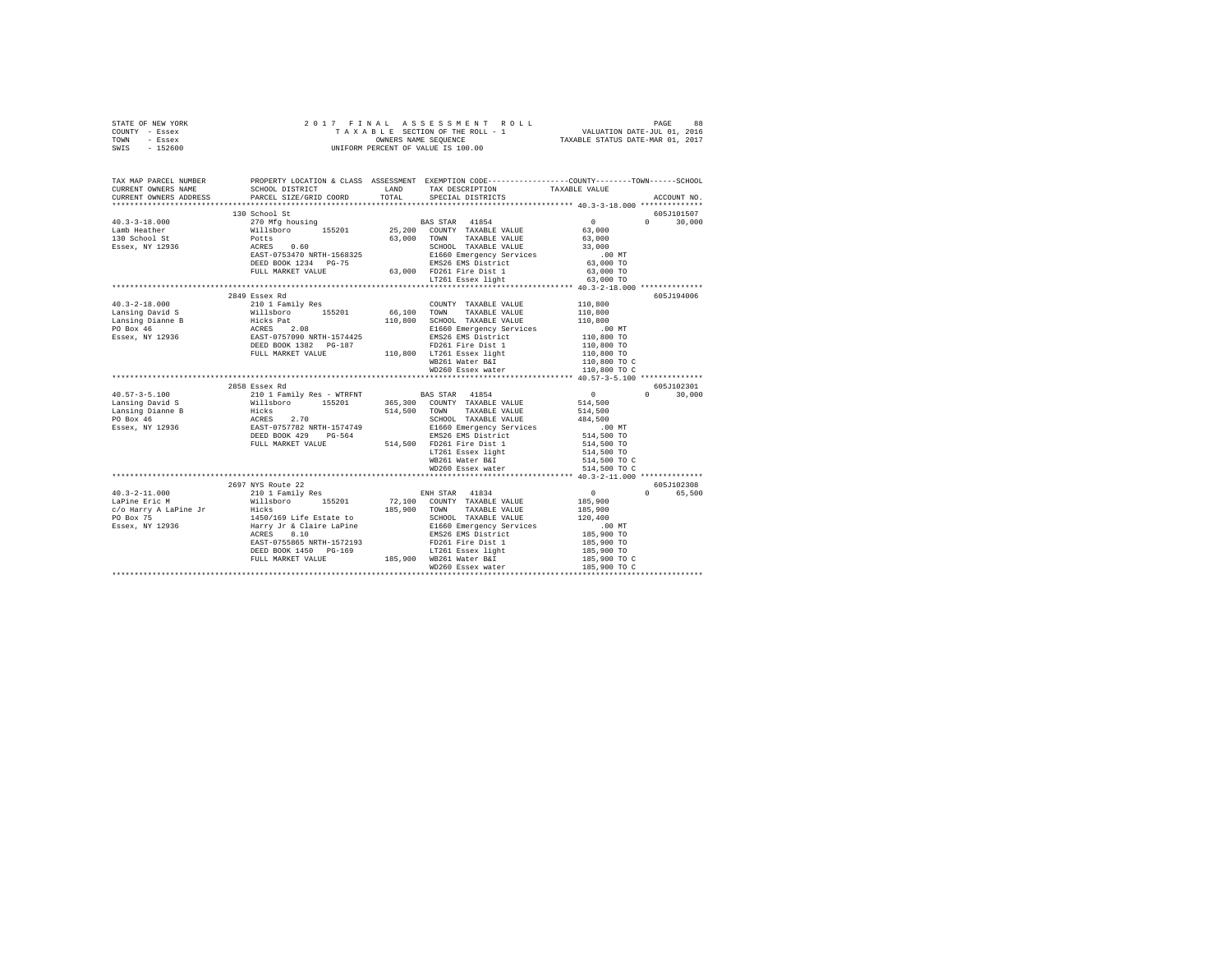| TOWN - Essex<br>SWIS - 152600<br>PROPERTY LOCATION & CLASS ASSESSMENT EXEMPTION CODE---------------COUNTY-------TOWN-----SCHOOL<br>TAX MAP PARCEL NUMBER<br>CURRENT OWNERS NAME<br>CURRENT OWNERS ADDRESS<br>ACCOUNT NO.<br>130 School St<br>605J101507<br>$0 \t 30,000$<br>2849 Essex Rd<br>605J194006<br>$\begin{tabular}{l c c c c c} \multicolumn{3}{c}{\textbf{40.3--2--18.000}} & \multicolumn{3}{c}{210.12$\,\mathrm{Fase\,N}~\mathrm{H}} & \multicolumn{3}{c}{\textbf{55.201}} & \multicolumn{3}{c}{\textbf{5.201}} & \multicolumn{3}{c}{\textbf{5.202}} & \multicolumn{3}{c}{\textbf{5.201}} & \multicolumn{3}{c}{\textbf{5.202}} & \multicolumn{3}{c}{\textbf{5.203}} & \multicolumn{3}{c}{\textbf{5.204}} & \$<br>2858 Essex Rd<br>605J102301<br>$0 \t 30,000$<br>605J102308<br>0 65,500<br>$40.3 - 2 - 11.000$ | STATE OF NEW YORK<br>COUNTY - Essex |  |  |  |  |  |  |  |  |
|----------------------------------------------------------------------------------------------------------------------------------------------------------------------------------------------------------------------------------------------------------------------------------------------------------------------------------------------------------------------------------------------------------------------------------------------------------------------------------------------------------------------------------------------------------------------------------------------------------------------------------------------------------------------------------------------------------------------------------------------------------------------------------------------------------------------------|-------------------------------------|--|--|--|--|--|--|--|--|
|                                                                                                                                                                                                                                                                                                                                                                                                                                                                                                                                                                                                                                                                                                                                                                                                                            |                                     |  |  |  |  |  |  |  |  |
|                                                                                                                                                                                                                                                                                                                                                                                                                                                                                                                                                                                                                                                                                                                                                                                                                            |                                     |  |  |  |  |  |  |  |  |
|                                                                                                                                                                                                                                                                                                                                                                                                                                                                                                                                                                                                                                                                                                                                                                                                                            |                                     |  |  |  |  |  |  |  |  |
|                                                                                                                                                                                                                                                                                                                                                                                                                                                                                                                                                                                                                                                                                                                                                                                                                            |                                     |  |  |  |  |  |  |  |  |
|                                                                                                                                                                                                                                                                                                                                                                                                                                                                                                                                                                                                                                                                                                                                                                                                                            |                                     |  |  |  |  |  |  |  |  |
|                                                                                                                                                                                                                                                                                                                                                                                                                                                                                                                                                                                                                                                                                                                                                                                                                            |                                     |  |  |  |  |  |  |  |  |
|                                                                                                                                                                                                                                                                                                                                                                                                                                                                                                                                                                                                                                                                                                                                                                                                                            |                                     |  |  |  |  |  |  |  |  |
|                                                                                                                                                                                                                                                                                                                                                                                                                                                                                                                                                                                                                                                                                                                                                                                                                            |                                     |  |  |  |  |  |  |  |  |
|                                                                                                                                                                                                                                                                                                                                                                                                                                                                                                                                                                                                                                                                                                                                                                                                                            |                                     |  |  |  |  |  |  |  |  |
|                                                                                                                                                                                                                                                                                                                                                                                                                                                                                                                                                                                                                                                                                                                                                                                                                            |                                     |  |  |  |  |  |  |  |  |
|                                                                                                                                                                                                                                                                                                                                                                                                                                                                                                                                                                                                                                                                                                                                                                                                                            |                                     |  |  |  |  |  |  |  |  |
|                                                                                                                                                                                                                                                                                                                                                                                                                                                                                                                                                                                                                                                                                                                                                                                                                            |                                     |  |  |  |  |  |  |  |  |
|                                                                                                                                                                                                                                                                                                                                                                                                                                                                                                                                                                                                                                                                                                                                                                                                                            |                                     |  |  |  |  |  |  |  |  |
|                                                                                                                                                                                                                                                                                                                                                                                                                                                                                                                                                                                                                                                                                                                                                                                                                            |                                     |  |  |  |  |  |  |  |  |
|                                                                                                                                                                                                                                                                                                                                                                                                                                                                                                                                                                                                                                                                                                                                                                                                                            |                                     |  |  |  |  |  |  |  |  |
|                                                                                                                                                                                                                                                                                                                                                                                                                                                                                                                                                                                                                                                                                                                                                                                                                            |                                     |  |  |  |  |  |  |  |  |
|                                                                                                                                                                                                                                                                                                                                                                                                                                                                                                                                                                                                                                                                                                                                                                                                                            |                                     |  |  |  |  |  |  |  |  |
|                                                                                                                                                                                                                                                                                                                                                                                                                                                                                                                                                                                                                                                                                                                                                                                                                            |                                     |  |  |  |  |  |  |  |  |
|                                                                                                                                                                                                                                                                                                                                                                                                                                                                                                                                                                                                                                                                                                                                                                                                                            |                                     |  |  |  |  |  |  |  |  |
|                                                                                                                                                                                                                                                                                                                                                                                                                                                                                                                                                                                                                                                                                                                                                                                                                            |                                     |  |  |  |  |  |  |  |  |
|                                                                                                                                                                                                                                                                                                                                                                                                                                                                                                                                                                                                                                                                                                                                                                                                                            |                                     |  |  |  |  |  |  |  |  |
|                                                                                                                                                                                                                                                                                                                                                                                                                                                                                                                                                                                                                                                                                                                                                                                                                            |                                     |  |  |  |  |  |  |  |  |
|                                                                                                                                                                                                                                                                                                                                                                                                                                                                                                                                                                                                                                                                                                                                                                                                                            |                                     |  |  |  |  |  |  |  |  |
|                                                                                                                                                                                                                                                                                                                                                                                                                                                                                                                                                                                                                                                                                                                                                                                                                            |                                     |  |  |  |  |  |  |  |  |
|                                                                                                                                                                                                                                                                                                                                                                                                                                                                                                                                                                                                                                                                                                                                                                                                                            |                                     |  |  |  |  |  |  |  |  |
|                                                                                                                                                                                                                                                                                                                                                                                                                                                                                                                                                                                                                                                                                                                                                                                                                            |                                     |  |  |  |  |  |  |  |  |
|                                                                                                                                                                                                                                                                                                                                                                                                                                                                                                                                                                                                                                                                                                                                                                                                                            |                                     |  |  |  |  |  |  |  |  |
|                                                                                                                                                                                                                                                                                                                                                                                                                                                                                                                                                                                                                                                                                                                                                                                                                            |                                     |  |  |  |  |  |  |  |  |
|                                                                                                                                                                                                                                                                                                                                                                                                                                                                                                                                                                                                                                                                                                                                                                                                                            |                                     |  |  |  |  |  |  |  |  |
|                                                                                                                                                                                                                                                                                                                                                                                                                                                                                                                                                                                                                                                                                                                                                                                                                            |                                     |  |  |  |  |  |  |  |  |
|                                                                                                                                                                                                                                                                                                                                                                                                                                                                                                                                                                                                                                                                                                                                                                                                                            |                                     |  |  |  |  |  |  |  |  |
|                                                                                                                                                                                                                                                                                                                                                                                                                                                                                                                                                                                                                                                                                                                                                                                                                            |                                     |  |  |  |  |  |  |  |  |
|                                                                                                                                                                                                                                                                                                                                                                                                                                                                                                                                                                                                                                                                                                                                                                                                                            |                                     |  |  |  |  |  |  |  |  |
|                                                                                                                                                                                                                                                                                                                                                                                                                                                                                                                                                                                                                                                                                                                                                                                                                            |                                     |  |  |  |  |  |  |  |  |
|                                                                                                                                                                                                                                                                                                                                                                                                                                                                                                                                                                                                                                                                                                                                                                                                                            |                                     |  |  |  |  |  |  |  |  |
|                                                                                                                                                                                                                                                                                                                                                                                                                                                                                                                                                                                                                                                                                                                                                                                                                            |                                     |  |  |  |  |  |  |  |  |
|                                                                                                                                                                                                                                                                                                                                                                                                                                                                                                                                                                                                                                                                                                                                                                                                                            |                                     |  |  |  |  |  |  |  |  |
|                                                                                                                                                                                                                                                                                                                                                                                                                                                                                                                                                                                                                                                                                                                                                                                                                            |                                     |  |  |  |  |  |  |  |  |
|                                                                                                                                                                                                                                                                                                                                                                                                                                                                                                                                                                                                                                                                                                                                                                                                                            |                                     |  |  |  |  |  |  |  |  |
|                                                                                                                                                                                                                                                                                                                                                                                                                                                                                                                                                                                                                                                                                                                                                                                                                            |                                     |  |  |  |  |  |  |  |  |
|                                                                                                                                                                                                                                                                                                                                                                                                                                                                                                                                                                                                                                                                                                                                                                                                                            |                                     |  |  |  |  |  |  |  |  |
|                                                                                                                                                                                                                                                                                                                                                                                                                                                                                                                                                                                                                                                                                                                                                                                                                            |                                     |  |  |  |  |  |  |  |  |
|                                                                                                                                                                                                                                                                                                                                                                                                                                                                                                                                                                                                                                                                                                                                                                                                                            |                                     |  |  |  |  |  |  |  |  |
|                                                                                                                                                                                                                                                                                                                                                                                                                                                                                                                                                                                                                                                                                                                                                                                                                            |                                     |  |  |  |  |  |  |  |  |
|                                                                                                                                                                                                                                                                                                                                                                                                                                                                                                                                                                                                                                                                                                                                                                                                                            |                                     |  |  |  |  |  |  |  |  |
|                                                                                                                                                                                                                                                                                                                                                                                                                                                                                                                                                                                                                                                                                                                                                                                                                            |                                     |  |  |  |  |  |  |  |  |
|                                                                                                                                                                                                                                                                                                                                                                                                                                                                                                                                                                                                                                                                                                                                                                                                                            |                                     |  |  |  |  |  |  |  |  |
|                                                                                                                                                                                                                                                                                                                                                                                                                                                                                                                                                                                                                                                                                                                                                                                                                            |                                     |  |  |  |  |  |  |  |  |
|                                                                                                                                                                                                                                                                                                                                                                                                                                                                                                                                                                                                                                                                                                                                                                                                                            |                                     |  |  |  |  |  |  |  |  |
|                                                                                                                                                                                                                                                                                                                                                                                                                                                                                                                                                                                                                                                                                                                                                                                                                            |                                     |  |  |  |  |  |  |  |  |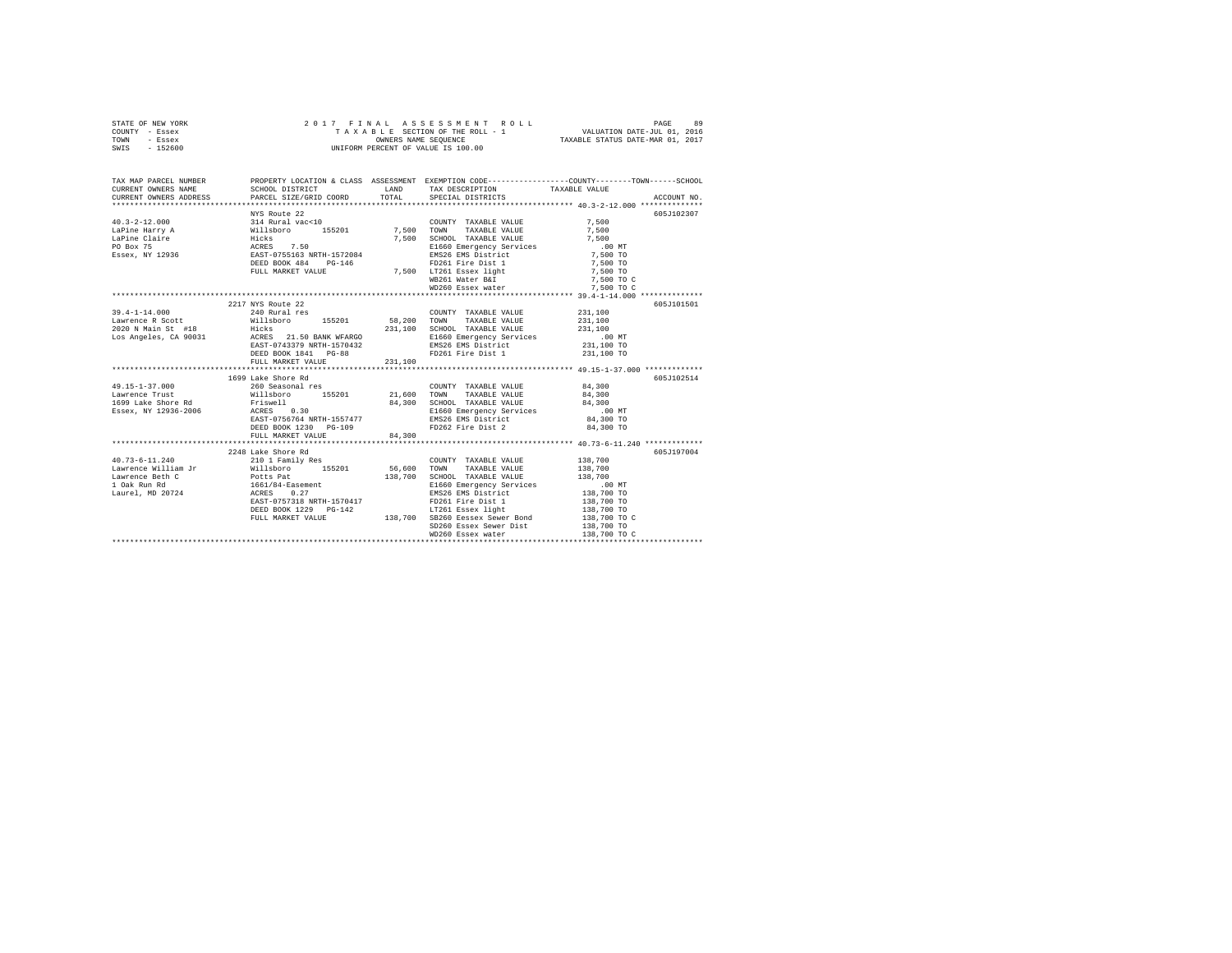| STATE OF NEW YORK |           |  |  |  | 2017 FINAL ASSESSMENT ROLL         |                                  | PAGE                        | 89 |
|-------------------|-----------|--|--|--|------------------------------------|----------------------------------|-----------------------------|----|
| COUNTY - Essex    |           |  |  |  | TAXABLE SECTION OF THE ROLL - 1    |                                  | VALUATION DATE-JUL 01, 2016 |    |
| TOWN              | - Essex   |  |  |  | OWNERS NAME SEOUENCE               | TAXABLE STATUS DATE-MAR 01, 2017 |                             |    |
| SWIS              | $-152600$ |  |  |  | UNIFORM PERCENT OF VALUE IS 100.00 |                                  |                             |    |

|                                                                                                                                                                                                                                                                                                                     |         |                                                                                                                                                    | TAX MAP PARCEL NUMBER<br>CURRENT OWNERS NAME SCHOOL DISTRICT ON TAND TAX DESCRIPTION CODE------------------COUNTY--------TOWN-------SCHOOL<br>CURRENT OWNERS ADDRESS PARCEL SIZE/GRID COORD TOTAL SPECIAL DISTRICTS TAXABLE VALUE<br>** |
|---------------------------------------------------------------------------------------------------------------------------------------------------------------------------------------------------------------------------------------------------------------------------------------------------------------------|---------|----------------------------------------------------------------------------------------------------------------------------------------------------|-----------------------------------------------------------------------------------------------------------------------------------------------------------------------------------------------------------------------------------------|
| 40.3–2–12.000 MYS Route 22<br>40.3–2–12.000 MYS Route 22<br>Inspire Harvard Millshoro 155201 7,500 TOWNTY TAXABLE VALUE 7,500<br>Inspire Claire willshoro 155201 7,500 TOWN TAXABLE VALUE 7,500<br>Inspire Claire Hicks 7.50 RGROS<br>PO                                                                            |         |                                                                                                                                                    | 605J102307                                                                                                                                                                                                                              |
| 2217 NYS Route 22<br>2020 N Main St #18 Hicks Hicks 21.50 BANK WFARGO 231,100 SCHOOL TAXABLE VALUE 231,100<br>Los Angeles, CA 90031 ACRES 21.50 BANK WFARGO 21.50 B1660 Emergency Services 21.50 MT<br>EXST-0743379 NRTH-1570432 EMS26 EMS District 231,1<br>DEED BOOK 1841 PG-88<br>FULL MARKET VALUE              | 231,100 | FD261 Fire Dist 1 231,100 TO                                                                                                                       | 605J101501<br>231,100                                                                                                                                                                                                                   |
| $1699\,$ Lake Shore Rd<br>49.15-1-37.000 1699 Lake Shore Rd<br>49.15-1-37.000 1699 Lake Shore Rd 21,600 TOWN TAXABLE VALUE 84,300<br>1699 Lake Shore Rd Friswell 155201 21,600 TOWN TAXABLE VALUE 84,300<br>1699 Lake Shore Rd Friswell 201,300 SCHOOL TAXABLE<br>DEED BOOK 1230 PG-109<br>FULL MARKET VALUE 84,300 |         | FD262 Fire Dist 2 84,300 TO                                                                                                                        | 605.7102514                                                                                                                                                                                                                             |
| Lawrence Beth C<br>1 Oak Run Rd 11 - 1661/84-Easement<br>Laurel, MD 20724 - ACRES 0.27<br>EAST-0757318 NRTH-1570417<br>EASI-0757318 NKTH-1570417<br>DEED BOOK 1229 PG-142<br>FULL MARKET VALUE 138,700 SB260 Eessex Sewer Bond 138,700 TO C                                                                         |         | 138,700 SCHOOL TAXABLE VALUE 138,700<br>E1660 Emergency Services 100 MT<br>EMS26 EMS District 138,700 TO<br>FD261 Fire Dist 1<br>LT261 Essex light | 605J197004<br>138,700<br>138,700 TO<br>138,700 TO                                                                                                                                                                                       |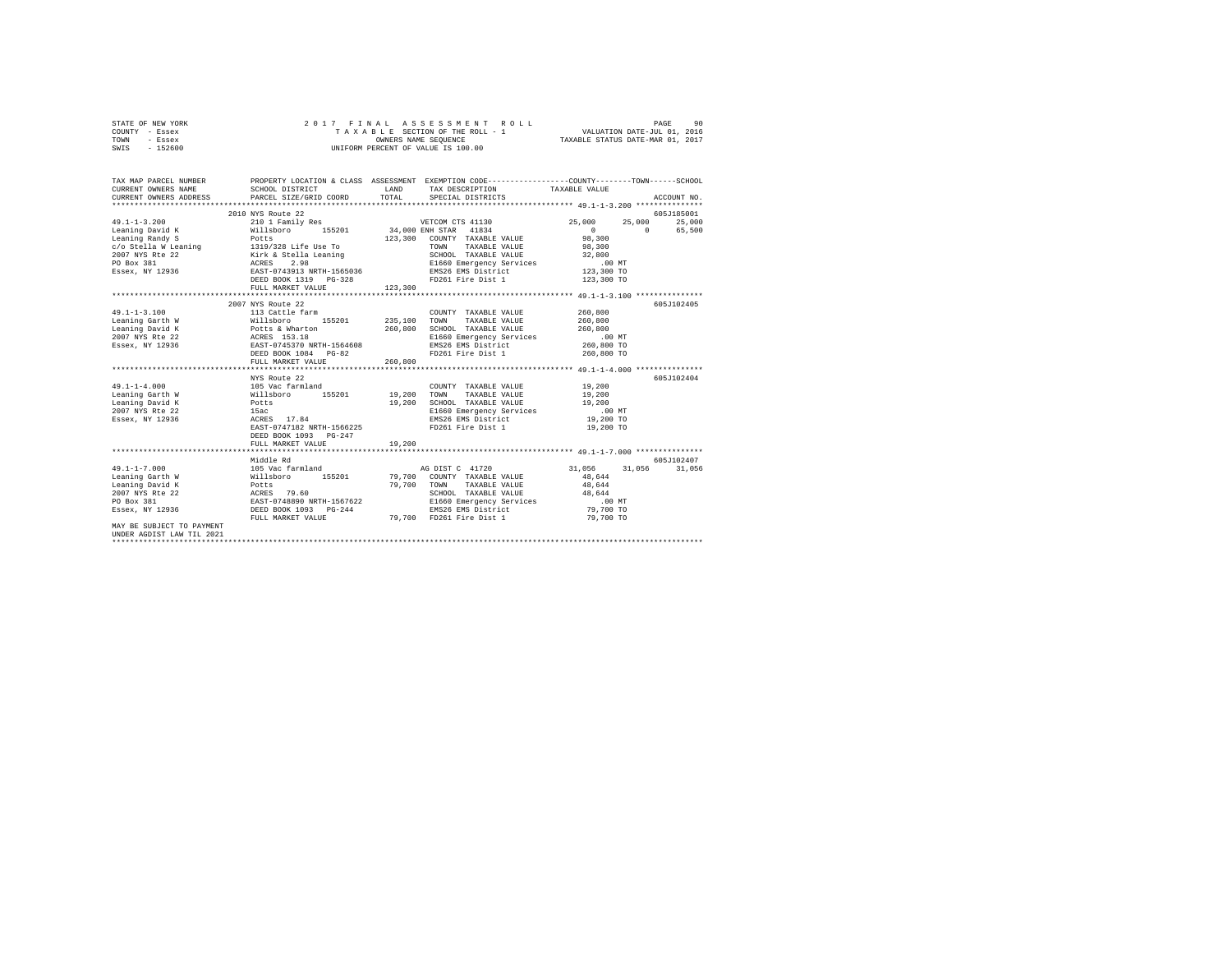| STATE OF NEW YORK | 2017 FINAL ASSESSMENT ROLL         | 90<br>PAGE                       |
|-------------------|------------------------------------|----------------------------------|
| COUNTY - Essex    | TAXABLE SECTION OF THE ROLL - 1    | VALUATION DATE-JUL 01, 2016      |
| TOWN<br>- Essex   | OWNERS NAME SEOUENCE               | TAXABLE STATUS DATE-MAR 01, 2017 |
| $-152600$<br>SWIS | UNIFORM PERCENT OF VALUE IS 100.00 |                                  |

| TAX MAP PARCEL NUMBER<br>CURRENT OWNERS NAME<br>CURRENT OWNERS ADDRESS PARCEL SIZE/GRID COORD TOTAL SPECIAL DISTRICTS (2000) ACCOUNT NO.<br>CURRENT OWNERS ADDRESS PARCEL SIZE/GRID COORD TOTAL | SCHOOL DISTRICT                                   | <b>LAND</b> | PROPERTY LOCATION & CLASS ASSESSMENT EXEMPTION CODE---------------COUNTY-------TOWN------SCHOOL<br>TAX DESCRIPTION TAXABLE VALUE                |                        |            |
|-------------------------------------------------------------------------------------------------------------------------------------------------------------------------------------------------|---------------------------------------------------|-------------|-------------------------------------------------------------------------------------------------------------------------------------------------|------------------------|------------|
|                                                                                                                                                                                                 |                                                   |             |                                                                                                                                                 |                        |            |
|                                                                                                                                                                                                 | 2010 NYS Route 22                                 |             |                                                                                                                                                 |                        | 605J185001 |
| $49.1 - 1 - 3.200$                                                                                                                                                                              | 210 1 Family Res                                  |             | VETCOM CTS 41130                                                                                                                                | 25,000 25,000 25,000   |            |
|                                                                                                                                                                                                 |                                                   |             |                                                                                                                                                 |                        |            |
|                                                                                                                                                                                                 |                                                   |             |                                                                                                                                                 | $0$ 0 65,500<br>98,300 |            |
|                                                                                                                                                                                                 |                                                   |             |                                                                                                                                                 |                        |            |
|                                                                                                                                                                                                 |                                                   |             |                                                                                                                                                 |                        |            |
|                                                                                                                                                                                                 |                                                   |             |                                                                                                                                                 |                        |            |
|                                                                                                                                                                                                 |                                                   |             |                                                                                                                                                 |                        |            |
|                                                                                                                                                                                                 |                                                   |             |                                                                                                                                                 |                        |            |
|                                                                                                                                                                                                 |                                                   |             |                                                                                                                                                 |                        |            |
|                                                                                                                                                                                                 |                                                   |             |                                                                                                                                                 |                        |            |
|                                                                                                                                                                                                 | 2007 NYS Route 22                                 |             |                                                                                                                                                 |                        | 605J102405 |
| $49.1 - 1 - 3.100$                                                                                                                                                                              | 113 Cattle farm                                   |             | COUNTY TAXABLE VALUE                                                                                                                            | 260,800                |            |
|                                                                                                                                                                                                 |                                                   |             |                                                                                                                                                 |                        |            |
|                                                                                                                                                                                                 |                                                   |             |                                                                                                                                                 |                        |            |
|                                                                                                                                                                                                 |                                                   |             |                                                                                                                                                 |                        |            |
|                                                                                                                                                                                                 |                                                   |             |                                                                                                                                                 |                        |            |
|                                                                                                                                                                                                 | DEED BOOK 1084 PG-82<br>FULL MARKET VALUE 260,800 |             | FD261 Fire Dist 1                                                                                                                               | 260,800 TO             |            |
|                                                                                                                                                                                                 |                                                   |             |                                                                                                                                                 |                        |            |
|                                                                                                                                                                                                 |                                                   |             |                                                                                                                                                 |                        |            |
|                                                                                                                                                                                                 | NYS Route 22                                      |             |                                                                                                                                                 |                        | 605J102404 |
| $49.1 - 1 - 4.000$                                                                                                                                                                              | 105 Vac farmland                                  |             | COUNTY TAXABLE VALUE 19,200                                                                                                                     |                        |            |
| Leaning Garth W                                                                                                                                                                                 |                                                   |             |                                                                                                                                                 |                        |            |
| Leaning David K                                                                                                                                                                                 |                                                   |             |                                                                                                                                                 |                        |            |
| 2007 NYS Rte 22                                                                                                                                                                                 |                                                   |             | Willsboro 155201 19,200 TOWN TAXABLE VALUE 19,200<br>Potts 19,200 SCHOOL TAXABLE VALUE 19,200<br>15ac 19,200 SI660 Emergency Services 19,200 NT |                        |            |
| Essex, NY 12936                                                                                                                                                                                 | ACRES 17.84                                       |             | EMS26 EMS District 19,200 TO                                                                                                                    |                        |            |
|                                                                                                                                                                                                 | EAST-0747182 NRTH-1566225                         |             | FD261 Fire Dist 1                                                                                                                               | 19,200 TO              |            |
|                                                                                                                                                                                                 | DEED BOOK 1093 PG-247                             |             |                                                                                                                                                 |                        |            |
|                                                                                                                                                                                                 | FULL MARKET VALUE                                 | 19,200      |                                                                                                                                                 |                        |            |
|                                                                                                                                                                                                 |                                                   |             |                                                                                                                                                 |                        |            |
|                                                                                                                                                                                                 | Middle Rd                                         |             |                                                                                                                                                 |                        | 605J102407 |
|                                                                                                                                                                                                 |                                                   |             |                                                                                                                                                 | 31,056 31,056 31,056   |            |
|                                                                                                                                                                                                 |                                                   |             |                                                                                                                                                 |                        |            |
|                                                                                                                                                                                                 |                                                   |             |                                                                                                                                                 |                        |            |
|                                                                                                                                                                                                 |                                                   |             |                                                                                                                                                 |                        |            |
|                                                                                                                                                                                                 |                                                   |             |                                                                                                                                                 |                        |            |
|                                                                                                                                                                                                 |                                                   |             |                                                                                                                                                 |                        |            |
|                                                                                                                                                                                                 |                                                   |             | FULL MARKET VALUE 79,700 FD261 Fire Dist 1 79,700 TO                                                                                            |                        |            |
| MAY BE SUBJECT TO PAYMENT<br>UNDER AGDIST LAW TIL 2021                                                                                                                                          |                                                   |             |                                                                                                                                                 |                        |            |
|                                                                                                                                                                                                 |                                                   |             |                                                                                                                                                 |                        |            |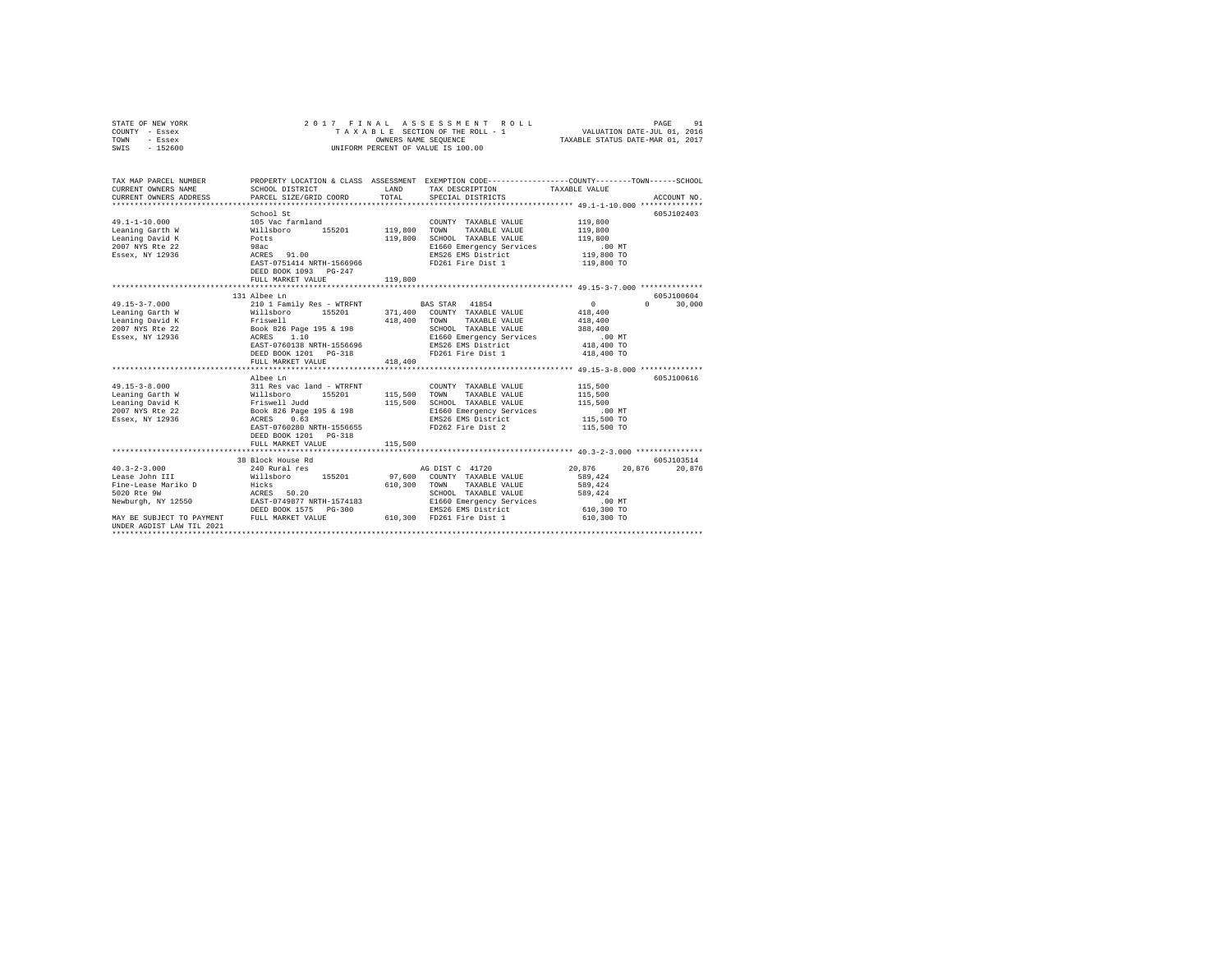| STATE OF NEW YORK<br>COUNTY - Essex<br>TOWN<br>- Essex<br>$-152600$<br>SWIS                                                                                  | 2017 FINAL                                         | OWNERS NAME SEQUENCE | ASSESSMENT<br>ROLL<br>TAXABLE SECTION OF THE ROLL - 1<br>UNIFORM PERCENT OF VALUE IS 100.00 | PAGE<br>VALUATION DATE-JUL 01, 2016<br>TAXABLE STATUS DATE-MAR 01, 2017                                          | 91          |
|--------------------------------------------------------------------------------------------------------------------------------------------------------------|----------------------------------------------------|----------------------|---------------------------------------------------------------------------------------------|------------------------------------------------------------------------------------------------------------------|-------------|
| TAX MAP PARCEL NUMBER<br>CURRENT OWNERS NAME                                                                                                                 | SCHOOL DISTRICT                                    | LAND                 | TAX DESCRIPTION                                                                             | PROPERTY LOCATION & CLASS ASSESSMENT EXEMPTION CODE---------------COUNTY-------TOWN------SCHOOL<br>TAXABLE VALUE |             |
| CURRENT OWNERS ADDRESS                                                                                                                                       | PARCEL SIZE/GRID COORD                             | TOTAL                | SPECIAL DISTRICTS                                                                           |                                                                                                                  | ACCOUNT NO. |
|                                                                                                                                                              |                                                    |                      |                                                                                             |                                                                                                                  |             |
|                                                                                                                                                              | School St                                          |                      |                                                                                             |                                                                                                                  | 605J102403  |
| $49.1 - 1 - 10.000$                                                                                                                                          | 105 Vac farmland                                   |                      | COUNTY TAXABLE VALUE                                                                        | 119,800                                                                                                          |             |
| Leaning Garth W                                                                                                                                              | willsboro 155201<br>Potts<br>98ac                  | 119,800              | TOWN<br>TAXABLE VALUE                                                                       | 119,800                                                                                                          |             |
| Leaning David K                                                                                                                                              |                                                    | 119,800              | SCHOOL TAXABLE VALUE                                                                        | 119,800                                                                                                          |             |
| 2007 NYS Rte 22                                                                                                                                              |                                                    |                      | E1660 Emergency Services                                                                    | $.00$ MT                                                                                                         |             |
| Essex, NY 12936                                                                                                                                              | ACRES 91.00                                        |                      | EMS26 EMS District                                                                          | 119,800 TO                                                                                                       |             |
|                                                                                                                                                              | EAST-0751414 NRTH-1566966<br>DEED BOOK 1093 PG-247 |                      | FD261 Fire Dist 1                                                                           | 119,800 TO                                                                                                       |             |
|                                                                                                                                                              | FULL MARKET VALUE                                  | 119,800              |                                                                                             |                                                                                                                  |             |
|                                                                                                                                                              |                                                    |                      |                                                                                             |                                                                                                                  |             |
|                                                                                                                                                              | 131 Albee Ln                                       |                      |                                                                                             |                                                                                                                  | 605J100604  |
| $49.15 - 3 - 7.000$                                                                                                                                          | 210 1 Family Res - WTRFNT                          |                      | BAS STAR 41854                                                                              | $\sim$ 0<br>$\Omega$                                                                                             | 30,000      |
| Leaning Garth W                                                                                                                                              | 155201<br>Willsboro<br>Friswell                    | 418,400              | 371,400 COUNTY TAXABLE VALUE<br>TOWN<br>TAXABLE VALUE                                       | 418,400<br>418,400                                                                                               |             |
| Leaning David K<br>2007 NYS Rte 22                                                                                                                           |                                                    |                      | SCHOOL TAXABLE VALUE                                                                        | 388,400                                                                                                          |             |
| Essex, NY 12936                                                                                                                                              | Book 826 Page 195 & 198<br>ACRES 1.10              |                      | E1660 Emergency Services                                                                    | $.00$ MT                                                                                                         |             |
|                                                                                                                                                              | EAST-0760138 NRTH-1556696                          |                      | EMS26 EMS District                                                                          | 418,400 TO                                                                                                       |             |
|                                                                                                                                                              | DEED BOOK 1201 PG-318                              |                      | FD261 Fire Dist 1                                                                           | 418,400 TO                                                                                                       |             |
|                                                                                                                                                              | FULL MARKET VALUE                                  | 418,400              |                                                                                             |                                                                                                                  |             |
|                                                                                                                                                              |                                                    |                      |                                                                                             |                                                                                                                  |             |
|                                                                                                                                                              | Albee Ln                                           |                      |                                                                                             |                                                                                                                  | 605J100616  |
| $49.15 - 3 - 8.000$                                                                                                                                          |                                                    |                      | COUNTY TAXABLE VALUE                                                                        | 115,500                                                                                                          |             |
| Leaning Garth W                                                                                                                                              |                                                    | 115,500              | TOWN<br>TAXABLE VALUE                                                                       | 115,500                                                                                                          |             |
| Leaning David K                                                                                                                                              |                                                    | 115,500              | SCHOOL TAXABLE VALUE                                                                        | 115,500                                                                                                          |             |
| 2007 NYS Rte 22                                                                                                                                              | Book 826 Page 195 & 198<br>ACRES 0.63              |                      | E1660 Emergency Services                                                                    | $.00$ MT                                                                                                         |             |
| Essex, NY 12936                                                                                                                                              |                                                    |                      | EMS26 EMS District                                                                          | 115,500 TO                                                                                                       |             |
|                                                                                                                                                              | EAST-0760280 NRTH-1556655                          |                      | FD262 Fire Dist 2                                                                           | 115,500 TO                                                                                                       |             |
|                                                                                                                                                              | DEED BOOK 1201 PG-318                              |                      |                                                                                             |                                                                                                                  |             |
|                                                                                                                                                              | FULL MARKET VALUE                                  | 115,500              |                                                                                             |                                                                                                                  |             |
|                                                                                                                                                              | 38 Block House Rd                                  |                      |                                                                                             |                                                                                                                  | 605J103514  |
| $40.3 - 2 - 3.000$                                                                                                                                           | 240 Rural res                                      |                      | AG DIST C 41720                                                                             | 20.876<br>20.876                                                                                                 | 20,876      |
| Lease John III                                                                                                                                               | Willsboro 155201                                   |                      | 97,600 COUNTY TAXABLE VALUE                                                                 | 589,424                                                                                                          |             |
| Fine-Lease Mariko D                                                                                                                                          |                                                    | 610,300              | TOWN<br>TAXABLE VALUE                                                                       | 589,424                                                                                                          |             |
| 5020 Rte 9W                                                                                                                                                  | Hicks<br>ACRES 50.20                               |                      | SCHOOL TAXABLE VALUE                                                                        | 589,424                                                                                                          |             |
|                                                                                                                                                              |                                                    |                      | E1660 Emergency Services                                                                    | $.00$ MT                                                                                                         |             |
| ${\small \texttt{Newburgh, NY 12550}} \begin{tabular}{lcccc} \texttt{RST-0749877 NRTH-1574183} \\ \texttt{BESD BOK 1575} & \texttt{PG-300} \\ \end{tabular}$ |                                                    |                      | EMS26 EMS District                                                                          | 610,300 TO                                                                                                       |             |
| MAY BE SUBJECT TO PAYMENT FULL MARKET VALUE<br>UNDER AGDIST LAW TIL 2021                                                                                     |                                                    |                      | 610,300 FD261 Fire Dist 1                                                                   | 610,300 TO                                                                                                       |             |
|                                                                                                                                                              |                                                    |                      |                                                                                             |                                                                                                                  |             |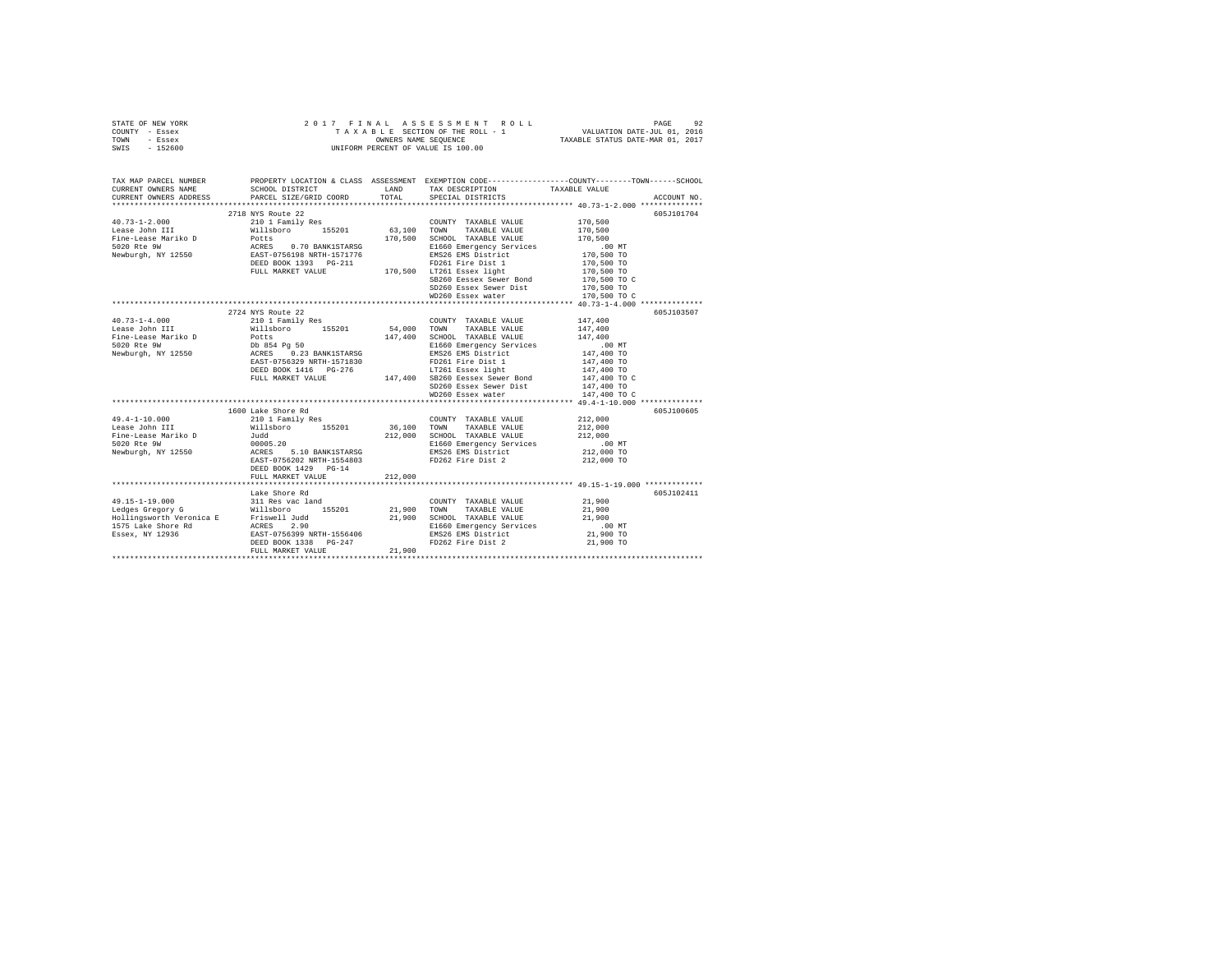|      | STATE OF NEW YORK | 2017 FINAL ASSESSMENT ROLL         | 92<br>PAGE                       |
|------|-------------------|------------------------------------|----------------------------------|
|      | COUNTY - Essex    | TAXABLE SECTION OF THE ROLL - 1    | VALUATION DATE-JUL 01, 2016      |
| TOWN | - Essex           | OWNERS NAME SEOUENCE               | TAXABLE STATUS DATE-MAR 01, 2017 |
| SWIS | - 152600          | UNIFORM PERCENT OF VALUE IS 100.00 |                                  |

| TAX MAP PARCEL NUMBER<br>CURRENT OWNERS NAME | SCHOOL DISTRICT<br>CURRENT OWNERS ADDRESS PARCEL SIZE/GRID COORD TOTAL                                                                                                                                                                                                                                                                                                                                                                                 |         | LAND TAX DESCRIPTION<br>SPECIAL DISTRICTS         | PROPERTY LOCATION & CLASS ASSESSMENT EXEMPTION CODE---------------COUNTY-------TOWN-----SCHOOL<br>TAXABLE VALUE<br>ACCOUNT NO. |
|----------------------------------------------|--------------------------------------------------------------------------------------------------------------------------------------------------------------------------------------------------------------------------------------------------------------------------------------------------------------------------------------------------------------------------------------------------------------------------------------------------------|---------|---------------------------------------------------|--------------------------------------------------------------------------------------------------------------------------------|
|                                              |                                                                                                                                                                                                                                                                                                                                                                                                                                                        |         |                                                   |                                                                                                                                |
|                                              | 2718 NYS Route 22                                                                                                                                                                                                                                                                                                                                                                                                                                      |         |                                                   | 605J101704                                                                                                                     |
|                                              |                                                                                                                                                                                                                                                                                                                                                                                                                                                        |         |                                                   |                                                                                                                                |
|                                              |                                                                                                                                                                                                                                                                                                                                                                                                                                                        |         |                                                   |                                                                                                                                |
|                                              |                                                                                                                                                                                                                                                                                                                                                                                                                                                        |         |                                                   |                                                                                                                                |
|                                              |                                                                                                                                                                                                                                                                                                                                                                                                                                                        |         |                                                   |                                                                                                                                |
|                                              |                                                                                                                                                                                                                                                                                                                                                                                                                                                        |         |                                                   |                                                                                                                                |
|                                              |                                                                                                                                                                                                                                                                                                                                                                                                                                                        |         |                                                   |                                                                                                                                |
|                                              |                                                                                                                                                                                                                                                                                                                                                                                                                                                        |         |                                                   |                                                                                                                                |
|                                              |                                                                                                                                                                                                                                                                                                                                                                                                                                                        |         | SB260 Eessex Sewer Bond<br>SD260 Essex Sewer Dist | 170,500 TO C<br>170,500 TO                                                                                                     |
|                                              |                                                                                                                                                                                                                                                                                                                                                                                                                                                        |         |                                                   |                                                                                                                                |
|                                              |                                                                                                                                                                                                                                                                                                                                                                                                                                                        |         |                                                   |                                                                                                                                |
|                                              |                                                                                                                                                                                                                                                                                                                                                                                                                                                        |         |                                                   |                                                                                                                                |
|                                              | 2724 NYS Route 22                                                                                                                                                                                                                                                                                                                                                                                                                                      |         |                                                   | 605J103507                                                                                                                     |
|                                              | $\begin{array}{cccccc} 40.73\texttt{-}1\texttt{-}4.000 & & & & 210\ 1 &\texttt{Family Res} & & & \texttt{COUNT} & \texttt{TAXABLE VALUE} \\ \texttt{Lease John III} & & & & \texttt{Willsboro} & & 155201 & & 54,000 & \texttt{TOWN} & \texttt{TAXABLE VALUE} \end{array}$                                                                                                                                                                             |         |                                                   | 147,400<br>147,400                                                                                                             |
|                                              |                                                                                                                                                                                                                                                                                                                                                                                                                                                        |         |                                                   |                                                                                                                                |
|                                              |                                                                                                                                                                                                                                                                                                                                                                                                                                                        |         |                                                   |                                                                                                                                |
|                                              |                                                                                                                                                                                                                                                                                                                                                                                                                                                        |         |                                                   |                                                                                                                                |
|                                              |                                                                                                                                                                                                                                                                                                                                                                                                                                                        |         |                                                   |                                                                                                                                |
|                                              |                                                                                                                                                                                                                                                                                                                                                                                                                                                        |         |                                                   |                                                                                                                                |
|                                              |                                                                                                                                                                                                                                                                                                                                                                                                                                                        |         |                                                   |                                                                                                                                |
|                                              |                                                                                                                                                                                                                                                                                                                                                                                                                                                        |         |                                                   |                                                                                                                                |
|                                              |                                                                                                                                                                                                                                                                                                                                                                                                                                                        |         |                                                   |                                                                                                                                |
|                                              | $\begin{tabular}{lllllllllllll} \textbf{Lease } \texttt{John III} & \texttt{WillubD} & \texttt{MillubD} & \texttt{MillubD} & \texttt{MillubD} & \texttt{MillubD} & \texttt{MillubD} & \texttt{MillubD} & \texttt{MillubD} & \texttt{MillubD} & \texttt{MillubD} & \texttt{MillubD} & \texttt{MillubD} \\ \texttt{File-Lase } \texttt{Min} & \texttt{DD} & \texttt{BSS4} & \texttt{MillubD} & \texttt{MillubD} & \texttt{MillubD} & \texttt{MillubD} &$ |         |                                                   |                                                                                                                                |
|                                              |                                                                                                                                                                                                                                                                                                                                                                                                                                                        |         |                                                   |                                                                                                                                |
|                                              |                                                                                                                                                                                                                                                                                                                                                                                                                                                        |         |                                                   | 605J100605                                                                                                                     |
|                                              |                                                                                                                                                                                                                                                                                                                                                                                                                                                        |         |                                                   |                                                                                                                                |
|                                              |                                                                                                                                                                                                                                                                                                                                                                                                                                                        |         |                                                   |                                                                                                                                |
|                                              |                                                                                                                                                                                                                                                                                                                                                                                                                                                        |         |                                                   |                                                                                                                                |
|                                              |                                                                                                                                                                                                                                                                                                                                                                                                                                                        |         |                                                   |                                                                                                                                |
|                                              |                                                                                                                                                                                                                                                                                                                                                                                                                                                        |         |                                                   |                                                                                                                                |
|                                              | DEED BOOK 1429 PG-14                                                                                                                                                                                                                                                                                                                                                                                                                                   |         |                                                   |                                                                                                                                |
|                                              |                                                                                                                                                                                                                                                                                                                                                                                                                                                        | 212,000 |                                                   |                                                                                                                                |
|                                              | FULL MARKET VALUE                                                                                                                                                                                                                                                                                                                                                                                                                                      |         |                                                   |                                                                                                                                |
|                                              | Lake Shore Rd                                                                                                                                                                                                                                                                                                                                                                                                                                          |         |                                                   | 605J102411                                                                                                                     |
|                                              |                                                                                                                                                                                                                                                                                                                                                                                                                                                        |         |                                                   |                                                                                                                                |
|                                              |                                                                                                                                                                                                                                                                                                                                                                                                                                                        |         |                                                   |                                                                                                                                |
|                                              |                                                                                                                                                                                                                                                                                                                                                                                                                                                        |         |                                                   |                                                                                                                                |
|                                              |                                                                                                                                                                                                                                                                                                                                                                                                                                                        |         |                                                   |                                                                                                                                |
|                                              |                                                                                                                                                                                                                                                                                                                                                                                                                                                        |         |                                                   |                                                                                                                                |
|                                              |                                                                                                                                                                                                                                                                                                                                                                                                                                                        |         |                                                   |                                                                                                                                |
|                                              | FULL MARKET VALUE                                                                                                                                                                                                                                                                                                                                                                                                                                      | 21,900  |                                                   |                                                                                                                                |
|                                              |                                                                                                                                                                                                                                                                                                                                                                                                                                                        |         |                                                   |                                                                                                                                |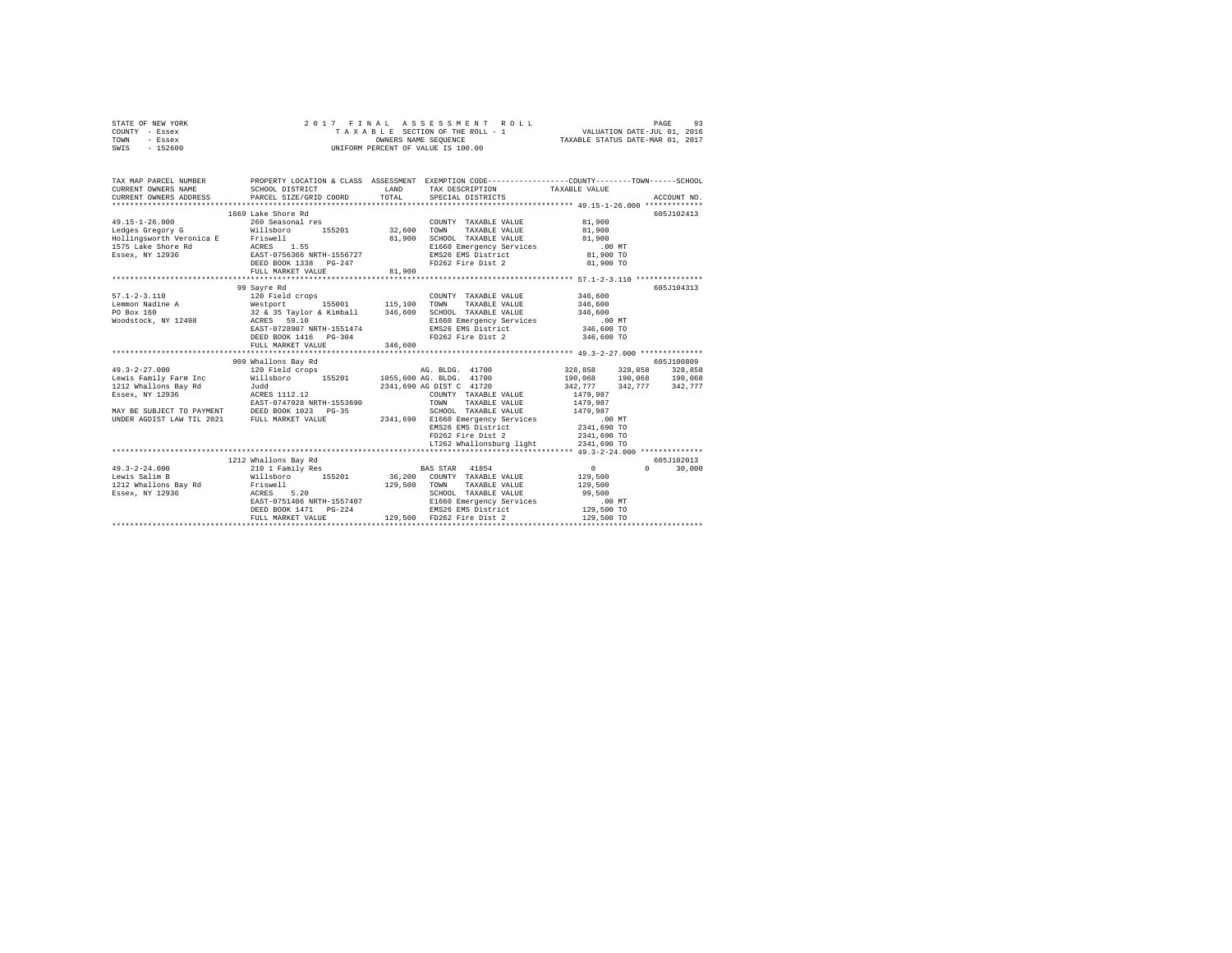|      | STATE OF NEW YORK |  |  | 2017 FINAL ASSESSMENT ROLL         | 93<br>PAGE                       |  |
|------|-------------------|--|--|------------------------------------|----------------------------------|--|
|      | COUNTY - Essex    |  |  | TAXABLE SECTION OF THE ROLL - 1    | VALUATION DATE-JUL 01, 2016      |  |
| TOWN | - Essex           |  |  | OWNERS NAME SEOUENCE               | TAXABLE STATUS DATE-MAR 01, 2017 |  |
| SWIS | $-152600$         |  |  | UNIFORM PERCENT OF VALUE IS 100.00 |                                  |  |

| TAX MAP PARCEL NUMBER<br>$\begin{tabular}{lllllllll} \texttt{CURRENT} & & & & & & & \texttt{TAXABLE} & \texttt{WALUE} \\ \texttt{CURRENT} & & & & & \texttt{SCE0} & \texttt{DSE0} & \texttt{DSTRICT} & \texttt{DSTRICT} & \texttt{TAXABLE} & \texttt{NALUE} & \texttt{SECUINT NO} \\ \texttt{CURRENT} & & & & & \texttt{PACE} & \texttt{SPE0} & \texttt{PACE} & \texttt{SPE0} & \texttt{NCLU} & \texttt{SPE0} & \texttt{RCCUINT MO} \\ & & & & \texttt{NCE0} & \$ |                       |        | PROPERTY LOCATION & CLASS ASSESSMENT EXEMPTION CODE----------------COUNTY-------TOWN------SCHOOL                                                                                                                                       |                                         |              |
|-------------------------------------------------------------------------------------------------------------------------------------------------------------------------------------------------------------------------------------------------------------------------------------------------------------------------------------------------------------------------------------------------------------------------------------------------------------------|-----------------------|--------|----------------------------------------------------------------------------------------------------------------------------------------------------------------------------------------------------------------------------------------|-----------------------------------------|--------------|
|                                                                                                                                                                                                                                                                                                                                                                                                                                                                   | 1669 Lake Shore Rd    |        |                                                                                                                                                                                                                                        |                                         | 605J102413   |
| $\begin{array}{cccccc} 49.15\texttt{-}1\texttt{-}26.000 & 260\texttt{}\quad & 260\texttt{}\quad & \text{res} & \texttt{COUNTY} & \texttt{TAXABLE VALUE} & 81,900 \\ \texttt{Ledges Gregory G} & \texttt{WillsDrop} & 155201 & 32,600 & \texttt{TOMN} & \texttt{TAXABLE VALUE} & 81,900 \\ \end{array}$                                                                                                                                                            |                       |        | COUNTY TAXABLE VALUE 81,900                                                                                                                                                                                                            |                                         |              |
|                                                                                                                                                                                                                                                                                                                                                                                                                                                                   |                       |        |                                                                                                                                                                                                                                        |                                         |              |
| Examples of the control of the control of the control of the control of the control of the method of the method of the control of the control of the control of the control of the control of the control of the control of th                                                                                                                                                                                                                                    |                       |        |                                                                                                                                                                                                                                        |                                         |              |
|                                                                                                                                                                                                                                                                                                                                                                                                                                                                   |                       |        |                                                                                                                                                                                                                                        |                                         |              |
|                                                                                                                                                                                                                                                                                                                                                                                                                                                                   |                       |        |                                                                                                                                                                                                                                        |                                         |              |
|                                                                                                                                                                                                                                                                                                                                                                                                                                                                   |                       |        |                                                                                                                                                                                                                                        | 81,900 TO                               |              |
|                                                                                                                                                                                                                                                                                                                                                                                                                                                                   | FULL MARKET VALUE     | 81,900 |                                                                                                                                                                                                                                        |                                         |              |
|                                                                                                                                                                                                                                                                                                                                                                                                                                                                   |                       |        |                                                                                                                                                                                                                                        |                                         |              |
|                                                                                                                                                                                                                                                                                                                                                                                                                                                                   | 99 Savre Rd           |        |                                                                                                                                                                                                                                        |                                         | 605J104313   |
|                                                                                                                                                                                                                                                                                                                                                                                                                                                                   |                       |        |                                                                                                                                                                                                                                        |                                         |              |
|                                                                                                                                                                                                                                                                                                                                                                                                                                                                   |                       |        |                                                                                                                                                                                                                                        |                                         |              |
|                                                                                                                                                                                                                                                                                                                                                                                                                                                                   |                       |        |                                                                                                                                                                                                                                        |                                         |              |
|                                                                                                                                                                                                                                                                                                                                                                                                                                                                   |                       |        |                                                                                                                                                                                                                                        |                                         |              |
|                                                                                                                                                                                                                                                                                                                                                                                                                                                                   |                       |        |                                                                                                                                                                                                                                        |                                         |              |
|                                                                                                                                                                                                                                                                                                                                                                                                                                                                   | DEED BOOK 1416 PG-304 |        | FD262 Fire Dist 2 346,600 TO                                                                                                                                                                                                           |                                         |              |
|                                                                                                                                                                                                                                                                                                                                                                                                                                                                   |                       |        |                                                                                                                                                                                                                                        |                                         |              |
|                                                                                                                                                                                                                                                                                                                                                                                                                                                                   |                       |        |                                                                                                                                                                                                                                        |                                         |              |
|                                                                                                                                                                                                                                                                                                                                                                                                                                                                   |                       |        |                                                                                                                                                                                                                                        |                                         |              |
|                                                                                                                                                                                                                                                                                                                                                                                                                                                                   |                       |        |                                                                                                                                                                                                                                        |                                         |              |
|                                                                                                                                                                                                                                                                                                                                                                                                                                                                   |                       |        |                                                                                                                                                                                                                                        |                                         |              |
|                                                                                                                                                                                                                                                                                                                                                                                                                                                                   |                       |        |                                                                                                                                                                                                                                        |                                         |              |
|                                                                                                                                                                                                                                                                                                                                                                                                                                                                   |                       |        |                                                                                                                                                                                                                                        |                                         |              |
|                                                                                                                                                                                                                                                                                                                                                                                                                                                                   |                       |        |                                                                                                                                                                                                                                        |                                         |              |
|                                                                                                                                                                                                                                                                                                                                                                                                                                                                   |                       |        |                                                                                                                                                                                                                                        |                                         |              |
|                                                                                                                                                                                                                                                                                                                                                                                                                                                                   |                       |        |                                                                                                                                                                                                                                        |                                         |              |
|                                                                                                                                                                                                                                                                                                                                                                                                                                                                   |                       |        |                                                                                                                                                                                                                                        |                                         |              |
|                                                                                                                                                                                                                                                                                                                                                                                                                                                                   |                       |        | FD262 Fire Dist 2 2341,690 TO                                                                                                                                                                                                          |                                         |              |
|                                                                                                                                                                                                                                                                                                                                                                                                                                                                   |                       |        |                                                                                                                                                                                                                                        |                                         |              |
|                                                                                                                                                                                                                                                                                                                                                                                                                                                                   |                       |        |                                                                                                                                                                                                                                        |                                         |              |
|                                                                                                                                                                                                                                                                                                                                                                                                                                                                   | 1212 Whallons Bay Rd  |        |                                                                                                                                                                                                                                        |                                         | 605J102013   |
|                                                                                                                                                                                                                                                                                                                                                                                                                                                                   |                       |        |                                                                                                                                                                                                                                        | $\begin{array}{c}0\\129,500\end{array}$ | $0 \t30,000$ |
|                                                                                                                                                                                                                                                                                                                                                                                                                                                                   |                       |        |                                                                                                                                                                                                                                        |                                         |              |
|                                                                                                                                                                                                                                                                                                                                                                                                                                                                   |                       |        |                                                                                                                                                                                                                                        | 129,500                                 |              |
|                                                                                                                                                                                                                                                                                                                                                                                                                                                                   |                       |        |                                                                                                                                                                                                                                        |                                         |              |
|                                                                                                                                                                                                                                                                                                                                                                                                                                                                   |                       |        |                                                                                                                                                                                                                                        |                                         |              |
|                                                                                                                                                                                                                                                                                                                                                                                                                                                                   |                       |        |                                                                                                                                                                                                                                        |                                         |              |
|                                                                                                                                                                                                                                                                                                                                                                                                                                                                   |                       |        | ACRES 5.20<br>EAST-071406 NRTH-1557407 - CHOOL TAXABLE VALUE 29,500<br>EE60 BOOK 1471 PG-224 EMS26 EMS District 129,500 TO<br>PEED BOOK 1471 PG-224 EMS26 EMS District 129,500 TO<br>PULL MARKET VALUE 129,500 FD262 Fire Dist 2 129,5 |                                         |              |
|                                                                                                                                                                                                                                                                                                                                                                                                                                                                   |                       |        |                                                                                                                                                                                                                                        |                                         |              |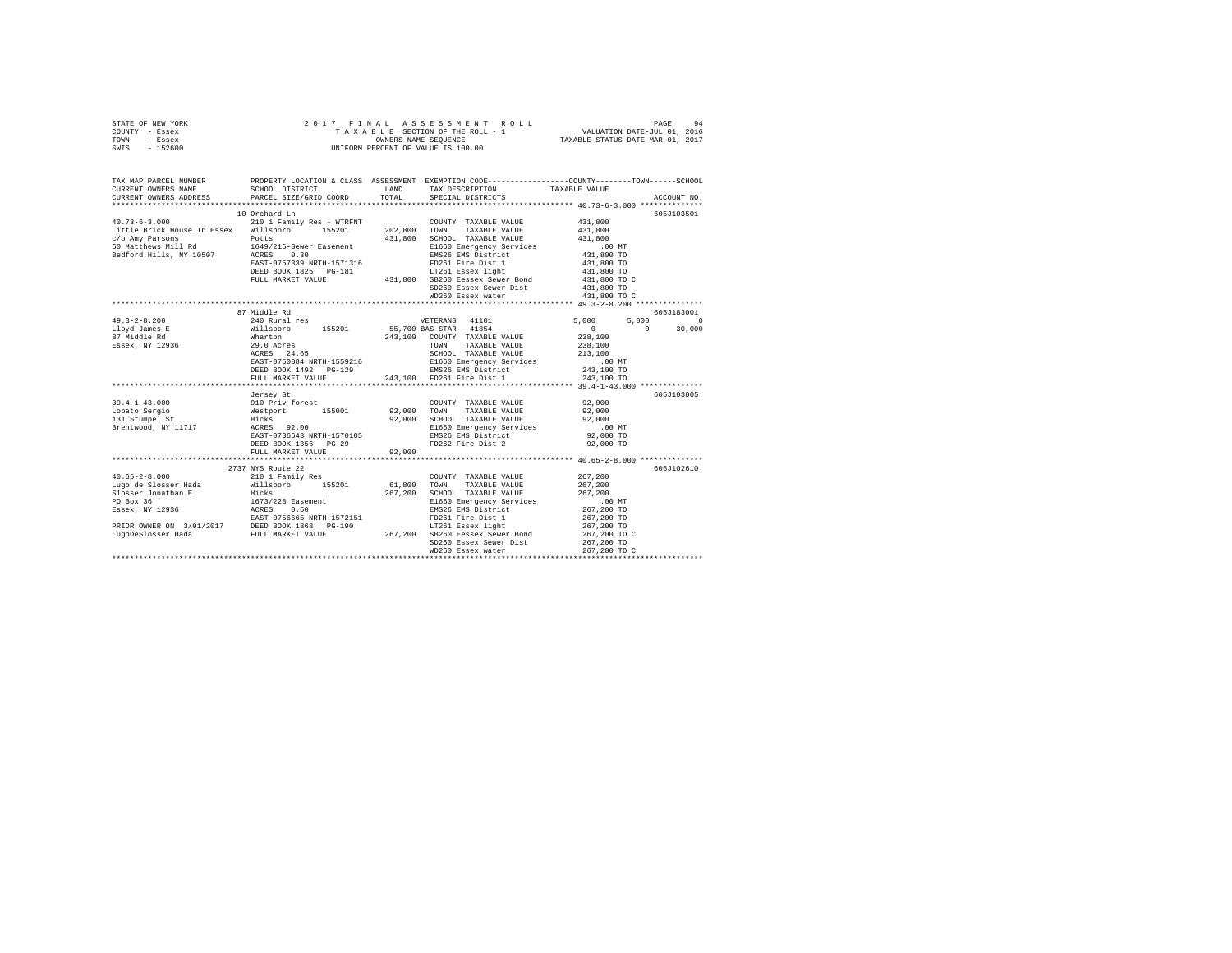| STATE OF NEW YORK | 2017 FINAL ASSESSMENT ROLL         | 94<br>PAGE                       |
|-------------------|------------------------------------|----------------------------------|
| COUNTY - Essex    | TAXABLE SECTION OF THE ROLL - 1    | VALUATION DATE-JUL 01, 2016      |
| TOWN<br>- Essex   | OWNERS NAME SEOUENCE               | TAXABLE STATUS DATE-MAR 01, 2017 |
| $-152600$<br>SWIS | UNIFORM PERCENT OF VALUE IS 100.00 |                                  |

| TAX MAP PARCEL NUMBER<br>CURRENT OWNERS NAME<br>CURRENT OWNERS ADDRESS PARCEL SIZE/GRID COORD TOTAL SPECIAL DISTRICTS                                                                                                                       |                                                                                                                                                                                                                                                                                                                                                                                           |                                                                                                                                                                             | PROPERTY LOCATION & CLASS ASSESSMENT EXEMPTION CODE---------------COUNTY-------TOWN------SCHOOL<br>SCHOOL DISTRICT LAND TAX DESCRIPTION TAXABLE VALUE<br>ACCOUNT NO. |  |
|---------------------------------------------------------------------------------------------------------------------------------------------------------------------------------------------------------------------------------------------|-------------------------------------------------------------------------------------------------------------------------------------------------------------------------------------------------------------------------------------------------------------------------------------------------------------------------------------------------------------------------------------------|-----------------------------------------------------------------------------------------------------------------------------------------------------------------------------|----------------------------------------------------------------------------------------------------------------------------------------------------------------------|--|
|                                                                                                                                                                                                                                             |                                                                                                                                                                                                                                                                                                                                                                                           |                                                                                                                                                                             |                                                                                                                                                                      |  |
|                                                                                                                                                                                                                                             | 10 Orchard Ln                                                                                                                                                                                                                                                                                                                                                                             |                                                                                                                                                                             | 605J103501                                                                                                                                                           |  |
| 40.73-6-3.000            210 1 Family Res - WTRFNT         COUNTY TAXABLE VALUE<br>Little Brick House In Essex   Willsboro    155201     202,800   TOWN   TAXABLE VALUE                                                                     |                                                                                                                                                                                                                                                                                                                                                                                           | COUNTY TAXABLE VALUE                                                                                                                                                        | 431,800<br>431,800                                                                                                                                                   |  |
|                                                                                                                                                                                                                                             |                                                                                                                                                                                                                                                                                                                                                                                           |                                                                                                                                                                             |                                                                                                                                                                      |  |
|                                                                                                                                                                                                                                             |                                                                                                                                                                                                                                                                                                                                                                                           |                                                                                                                                                                             |                                                                                                                                                                      |  |
|                                                                                                                                                                                                                                             |                                                                                                                                                                                                                                                                                                                                                                                           |                                                                                                                                                                             |                                                                                                                                                                      |  |
| c/o Amy Parsons 131,800 SCHOOL TAXABLE VALUE 431,800<br>60 Matthews Mill Rd 164/215-Sewer Easement 2016 E1660 Emergency Services 100 MT<br>Bedford Hills, NY 10507 ACRES 0.30 200 EMS26 EMS District 431,800 TO                             |                                                                                                                                                                                                                                                                                                                                                                                           |                                                                                                                                                                             |                                                                                                                                                                      |  |
|                                                                                                                                                                                                                                             | ACRES U.30<br>ERSE UNITED 1571316<br>DEED BOOK 1825 PG-181<br>PULL MARKET VALUE 431,800 SB250 Bessex light<br>PULL MARKET VALUE 431,800 SB250 Bessex Sewer Bond<br>PULL MARKET VALUE 431,800 SB250 Bessex Sewer Bond                                                                                                                                                                      |                                                                                                                                                                             | 431,800 TO                                                                                                                                                           |  |
|                                                                                                                                                                                                                                             |                                                                                                                                                                                                                                                                                                                                                                                           |                                                                                                                                                                             | 431,800 TO                                                                                                                                                           |  |
|                                                                                                                                                                                                                                             |                                                                                                                                                                                                                                                                                                                                                                                           |                                                                                                                                                                             | 431,800 TO C                                                                                                                                                         |  |
|                                                                                                                                                                                                                                             |                                                                                                                                                                                                                                                                                                                                                                                           | SD260 Essex Sewer Dist                                                                                                                                                      | 431,800 TO                                                                                                                                                           |  |
|                                                                                                                                                                                                                                             |                                                                                                                                                                                                                                                                                                                                                                                           | WD260 Essex water                                                                                                                                                           | 431,800 TO C                                                                                                                                                         |  |
|                                                                                                                                                                                                                                             |                                                                                                                                                                                                                                                                                                                                                                                           |                                                                                                                                                                             |                                                                                                                                                                      |  |
|                                                                                                                                                                                                                                             | 87 Middle Rd                                                                                                                                                                                                                                                                                                                                                                              |                                                                                                                                                                             | 605-7183001                                                                                                                                                          |  |
| $49.3 - 2 - 8.200$                                                                                                                                                                                                                          | $\begin{tabular}{l c c c} \hline $\times$ Mau = r\hline $\times$ 14014 $\times$ 5,000$ & $\times$ 14014 $\times$ 5,000$ & $\times$ 14018 $\times$ 14018 $\times$ 14018 $\times$ 14018 $\times$ 14018 $\times$ 14018 $\times$ 14018 $\times$ 14018 $\times$ 14018 $\times$ 14018 $\times$ 14018 $\times$ 14018 $\times$ 14018 $\times$ 14018 $\times$ 14018 $\times$ 14018 $\times$ 14018$ |                                                                                                                                                                             | $5,000$ 0                                                                                                                                                            |  |
| Lloyd James E                                                                                                                                                                                                                               |                                                                                                                                                                                                                                                                                                                                                                                           |                                                                                                                                                                             | $0 \t 30,000$                                                                                                                                                        |  |
| 87 Middle Rd                                                                                                                                                                                                                                |                                                                                                                                                                                                                                                                                                                                                                                           |                                                                                                                                                                             |                                                                                                                                                                      |  |
| Essex, NY 12936                                                                                                                                                                                                                             |                                                                                                                                                                                                                                                                                                                                                                                           |                                                                                                                                                                             |                                                                                                                                                                      |  |
|                                                                                                                                                                                                                                             |                                                                                                                                                                                                                                                                                                                                                                                           |                                                                                                                                                                             |                                                                                                                                                                      |  |
|                                                                                                                                                                                                                                             |                                                                                                                                                                                                                                                                                                                                                                                           |                                                                                                                                                                             |                                                                                                                                                                      |  |
|                                                                                                                                                                                                                                             |                                                                                                                                                                                                                                                                                                                                                                                           |                                                                                                                                                                             |                                                                                                                                                                      |  |
|                                                                                                                                                                                                                                             |                                                                                                                                                                                                                                                                                                                                                                                           | 243,100 FD261 Fire Dist 1                                                                                                                                                   |                                                                                                                                                                      |  |
|                                                                                                                                                                                                                                             | FULL MARKET VALUE                                                                                                                                                                                                                                                                                                                                                                         |                                                                                                                                                                             | 243,100 TO                                                                                                                                                           |  |
|                                                                                                                                                                                                                                             |                                                                                                                                                                                                                                                                                                                                                                                           |                                                                                                                                                                             | 605J103005                                                                                                                                                           |  |
|                                                                                                                                                                                                                                             |                                                                                                                                                                                                                                                                                                                                                                                           |                                                                                                                                                                             |                                                                                                                                                                      |  |
|                                                                                                                                                                                                                                             |                                                                                                                                                                                                                                                                                                                                                                                           |                                                                                                                                                                             |                                                                                                                                                                      |  |
|                                                                                                                                                                                                                                             |                                                                                                                                                                                                                                                                                                                                                                                           |                                                                                                                                                                             |                                                                                                                                                                      |  |
|                                                                                                                                                                                                                                             |                                                                                                                                                                                                                                                                                                                                                                                           |                                                                                                                                                                             |                                                                                                                                                                      |  |
|                                                                                                                                                                                                                                             |                                                                                                                                                                                                                                                                                                                                                                                           |                                                                                                                                                                             | $.00$ MT                                                                                                                                                             |  |
|                                                                                                                                                                                                                                             |                                                                                                                                                                                                                                                                                                                                                                                           |                                                                                                                                                                             | 92,000 TO                                                                                                                                                            |  |
|                                                                                                                                                                                                                                             | DEED BOOK 1356 PG-29<br>PHILL MARKET VALUE 92,000                                                                                                                                                                                                                                                                                                                                         | FD262 Fire Dist 2                                                                                                                                                           | 92,000 TO                                                                                                                                                            |  |
|                                                                                                                                                                                                                                             |                                                                                                                                                                                                                                                                                                                                                                                           |                                                                                                                                                                             |                                                                                                                                                                      |  |
|                                                                                                                                                                                                                                             |                                                                                                                                                                                                                                                                                                                                                                                           |                                                                                                                                                                             |                                                                                                                                                                      |  |
|                                                                                                                                                                                                                                             | 2737 NYS Route 22                                                                                                                                                                                                                                                                                                                                                                         |                                                                                                                                                                             | 605-T102610                                                                                                                                                          |  |
|                                                                                                                                                                                                                                             |                                                                                                                                                                                                                                                                                                                                                                                           | COUNTY TAXABLE VALUE 267,200                                                                                                                                                |                                                                                                                                                                      |  |
|                                                                                                                                                                                                                                             |                                                                                                                                                                                                                                                                                                                                                                                           |                                                                                                                                                                             | 267,200                                                                                                                                                              |  |
|                                                                                                                                                                                                                                             |                                                                                                                                                                                                                                                                                                                                                                                           | $\begin{tabular}{lllll} \multicolumn{2}{l}{{\bf SCHOOL}} & \multicolumn{2}{l}{\bf TAXABLE} & \multicolumn{2}{l}{\bf VALUE} & \multicolumn{2}{l}{\bf 267,200} \end{tabular}$ |                                                                                                                                                                      |  |
|                                                                                                                                                                                                                                             |                                                                                                                                                                                                                                                                                                                                                                                           |                                                                                                                                                                             |                                                                                                                                                                      |  |
|                                                                                                                                                                                                                                             |                                                                                                                                                                                                                                                                                                                                                                                           |                                                                                                                                                                             | 00 MT.<br>267,200 TO                                                                                                                                                 |  |
| 40.65-2-8.000<br>A0.65-2-8.000 $213$ and $210$ I Family Res $267,200$ COUNTY TAXABLE VALUE<br>Lugo de Slosser Jonathan E<br>Elosser Jonathan E<br>FO Box 36<br>1673/228 Eassement<br>FO Box 36<br>1673/228 EASE 267,200 SCHOOL TAXABLE VALU |                                                                                                                                                                                                                                                                                                                                                                                           |                                                                                                                                                                             |                                                                                                                                                                      |  |
|                                                                                                                                                                                                                                             |                                                                                                                                                                                                                                                                                                                                                                                           |                                                                                                                                                                             |                                                                                                                                                                      |  |
|                                                                                                                                                                                                                                             |                                                                                                                                                                                                                                                                                                                                                                                           |                                                                                                                                                                             |                                                                                                                                                                      |  |
|                                                                                                                                                                                                                                             |                                                                                                                                                                                                                                                                                                                                                                                           |                                                                                                                                                                             |                                                                                                                                                                      |  |
|                                                                                                                                                                                                                                             |                                                                                                                                                                                                                                                                                                                                                                                           | SD260 Essex Sewer Dist 267,200 TO<br>WD260 Essex water 267,200 TO                                                                                                           |                                                                                                                                                                      |  |
|                                                                                                                                                                                                                                             |                                                                                                                                                                                                                                                                                                                                                                                           |                                                                                                                                                                             |                                                                                                                                                                      |  |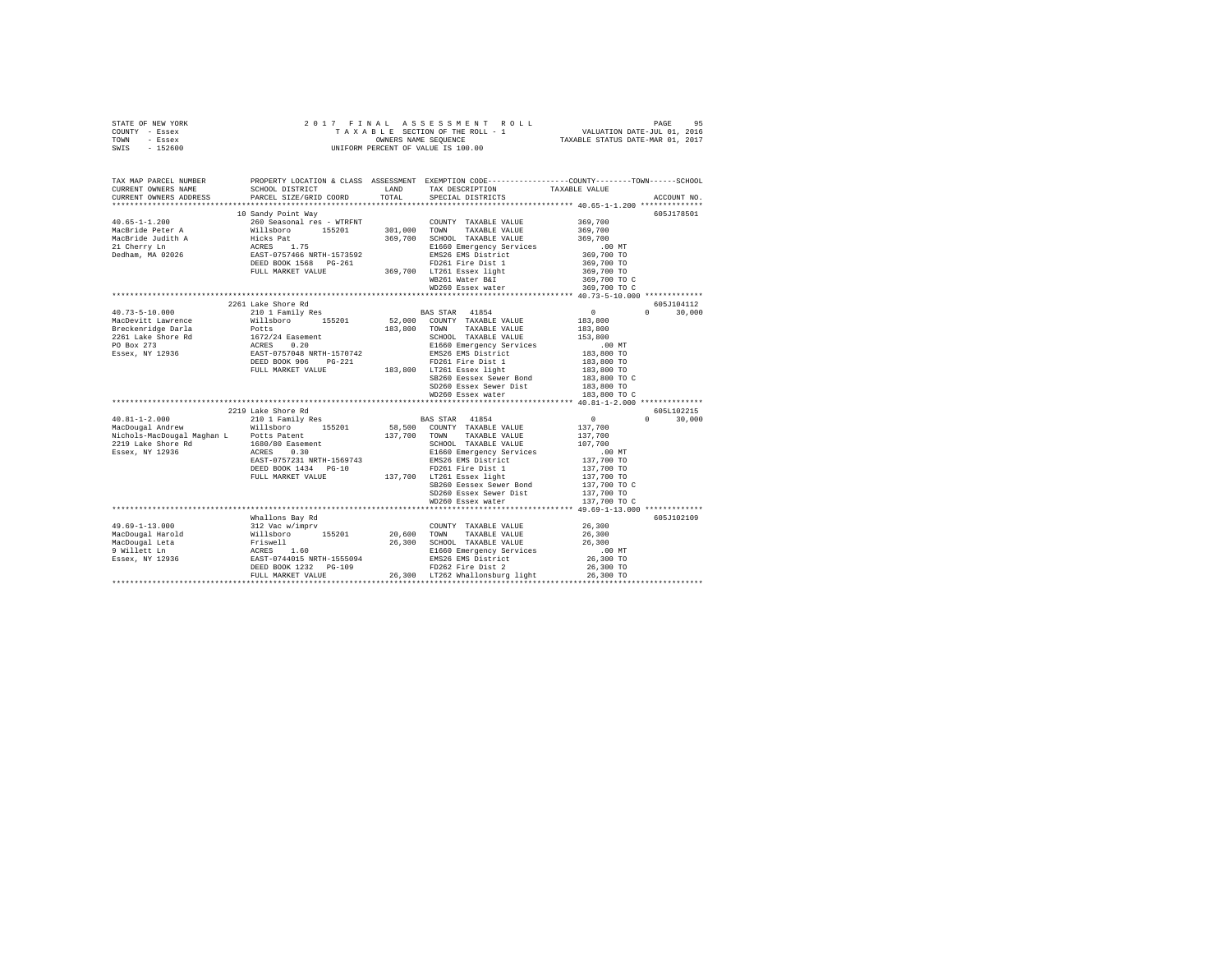| STATE OF NEW YORK                             |                                      |         | 2017 FINAL ASSESSMENT ROLL                                   |                                  | 95<br>PAGE  |
|-----------------------------------------------|--------------------------------------|---------|--------------------------------------------------------------|----------------------------------|-------------|
| COUNTY<br>- Essex                             |                                      |         | TAXABLE SECTION OF THE ROLL - 1 WALUATION DATE-JUL 01, 2016  |                                  |             |
| TOWN<br>- Essex                               |                                      |         | OWNERS NAME SEOUENCE                                         | TAXABLE STATUS DATE-MAR 01, 2017 |             |
| $-152600$<br>SWIS                             |                                      |         | UNIFORM PERCENT OF VALUE IS 100.00                           |                                  |             |
|                                               |                                      |         |                                                              |                                  |             |
|                                               |                                      |         |                                                              |                                  |             |
|                                               |                                      |         |                                                              |                                  |             |
| TAX MAP PARCEL NUMBER                         | PROPERTY LOCATION & CLASS ASSESSMENT |         | EXEMPTION CODE-----------------COUNTY-------TOWN------SCHOOL |                                  |             |
| CURRENT OWNERS NAME                           | SCHOOL DISTRICT                      | LAND    | TAX DESCRIPTION                                              | TAXABLE VALUE                    |             |
| CURRENT OWNERS ADDRESS PARCEL SIZE/GRID COORD |                                      |         | TOTAL SPECIAL DISTRICTS                                      |                                  | ACCOUNT NO. |
|                                               |                                      |         |                                                              |                                  |             |
|                                               | 10 Sandy Point Way                   |         |                                                              |                                  | 605J178501  |
| $40.65 - 1 - 1.200$                           | 260 Seasonal res - WTRFNT            |         | COUNTY TAXABLE VALUE                                         | 369,700                          |             |
| MacBride Peter A                              | Willsboro 155201                     | 301,000 | TOWN<br>TAXABLE VALUE                                        | 369,700                          |             |
| MacBride Judith A                             | Hicks Pat                            | 369,700 | SCHOOL TAXABLE VALUE                                         | 369,700                          |             |
| 21 Cherry Ln                                  | ACRES 1.75                           |         | E1660 Emergency Services .00 MT                              |                                  |             |
| Dedham, MA 02026                              | EAST-0757466 NRTH-1573592            |         | EMS26 EMS District                                           | 369,700 TO                       |             |
|                                               | DEED BOOK 1568 PG-261                |         | FD261 Fire Dist 1                                            | 369,700 TO                       |             |
|                                               | FULL MARKET VALUE                    | 369,700 | LT261 Essex light                                            | 369,700 TO                       |             |
|                                               |                                      |         | WB261 Water B&I                                              | 369,700 TO C                     |             |
|                                               |                                      |         | WD260 Essex water                                            | 369,700 TO C                     |             |
|                                               |                                      |         |                                                              |                                  |             |
|                                               | 2261 Lake Shore Rd                   |         |                                                              |                                  | 605.T104112 |

|                            |                            |         | WDZUI WALEI D&I                       | 305,700 IO C                 |                    |
|----------------------------|----------------------------|---------|---------------------------------------|------------------------------|--------------------|
|                            |                            |         | WD260 Essex water                     | 369,700 TO C                 |                    |
|                            |                            |         |                                       |                              |                    |
|                            | 2261 Lake Shore Rd         |         |                                       |                              | 605J104112         |
| $40.73 - 5 - 10.000$       | 210 1 Family Res           |         | BAS STAR<br>41854                     | $^{\circ}$                   | $\Omega$<br>30,000 |
| MacDevitt Lawrence         | Willsboro<br>155201        | 52,000  | COUNTY TAXABLE VALUE                  | 183,800                      |                    |
| Breckenridge Darla         | Potts                      | 183,800 | TOWN<br>TAXABLE VALUE                 | 183,800                      |                    |
| 2261 Lake Shore Rd         | 1672/24 Easement           |         | SCHOOL TAXABLE VALUE                  | 153,800                      |                    |
| PO Box 273                 | 0.20<br>ACRES              |         | E1660 Emergency Services              | $.00$ MT                     |                    |
| Essex, NY 12936            | EAST-0757048 NRTH-1570742  |         | EMS26 EMS District                    | 183,800 TO                   |                    |
|                            | DEED BOOK 906<br>$PG-221$  |         | FD261 Fire Dist 1                     | 183,800 TO                   |                    |
|                            | FULL MARKET VALUE          | 183,800 | LT261 Essex light                     | 183,800 TO                   |                    |
|                            |                            |         | SB260 Eessex Sewer Bond               | 183,800 TO C                 |                    |
|                            |                            |         | SD260 Essex Sewer Dist                | 183,800 TO                   |                    |
|                            |                            |         | WD260 Essex water                     | 183,800 TO C                 |                    |
|                            |                            |         |                                       |                              |                    |
|                            | 2219 Lake Shore Rd         |         |                                       |                              | 605L102215         |
| $40.81 - 1 - 2.000$        | 210 1 Family Res           |         | BAS STAR<br>41854                     | $^{\circ}$                   | $\Omega$<br>30,000 |
| MacDougal Andrew           | Willsboro<br>155201        | 58,500  | COUNTY TAXABLE VALUE                  | 137,700                      |                    |
| Nichols-MacDougal Maghan L | Potts Patent               | 137,700 | TOWN<br>TAXABLE VALUE                 | 137,700                      |                    |
| 2219 Lake Shore Rd         | 1680/80 Easement           |         | SCHOOL TAXABLE VALUE                  | 107,700                      |                    |
| Essex, NY 12936            | 0.30<br>ACRES              |         | E1660 Emergency Services              | $.00$ MT                     |                    |
|                            | EAST-0757231 NRTH-1569743  |         | EMS26 EMS District                    | 137,700 TO                   |                    |
|                            | DEED BOOK 1434 PG-10       |         | FD261 Fire Dist 1                     | 137,700 TO                   |                    |
|                            | FULL MARKET VALUE          | 137,700 | LT261 Essex light                     | 137,700 TO                   |                    |
|                            |                            |         | SB260 Eessex Sewer Bond               | 137,700 TO C                 |                    |
|                            |                            |         | SD260 Essex Sewer Dist                | 137,700 TO                   |                    |
|                            |                            |         | WD260 Essex water                     | 137,700 TO C                 |                    |
|                            |                            |         | ************************************* | 49.69-1-13.000 ************* |                    |
|                            | Whallons Bay Rd            |         |                                       |                              | 605J102109         |
| $49.69 - 1 - 13.000$       | 312 Vac w/imprv            |         | COUNTY TAXABLE VALUE                  | 26,300                       |                    |
| MacDougal Harold           | 155201<br>Willsboro        | 20,600  | TOWN<br>TAXABLE VALUE                 | 26,300                       |                    |
| MacDougal Leta             | Friswell                   | 26,300  | SCHOOL TAXABLE VALUE                  | 26,300                       |                    |
| 9 Willett Ln               | 1.60<br>ACRES              |         | E1660 Emergency Services              | $.00$ MT                     |                    |
| Essex, NY 12936            | EAST-0744015 NRTH-1555094  |         | EMS26 EMS District                    | 26,300 TO                    |                    |
|                            | DEED BOOK 1232<br>$PG-109$ |         | FD262 Fire Dist 2                     | 26,300 TO                    |                    |
|                            | FULL MARKET VALUE          | 26,300  | LT262 Whallonsburg light              | 26,300 TO                    |                    |
|                            | *************************  |         |                                       |                              |                    |
|                            |                            |         |                                       |                              |                    |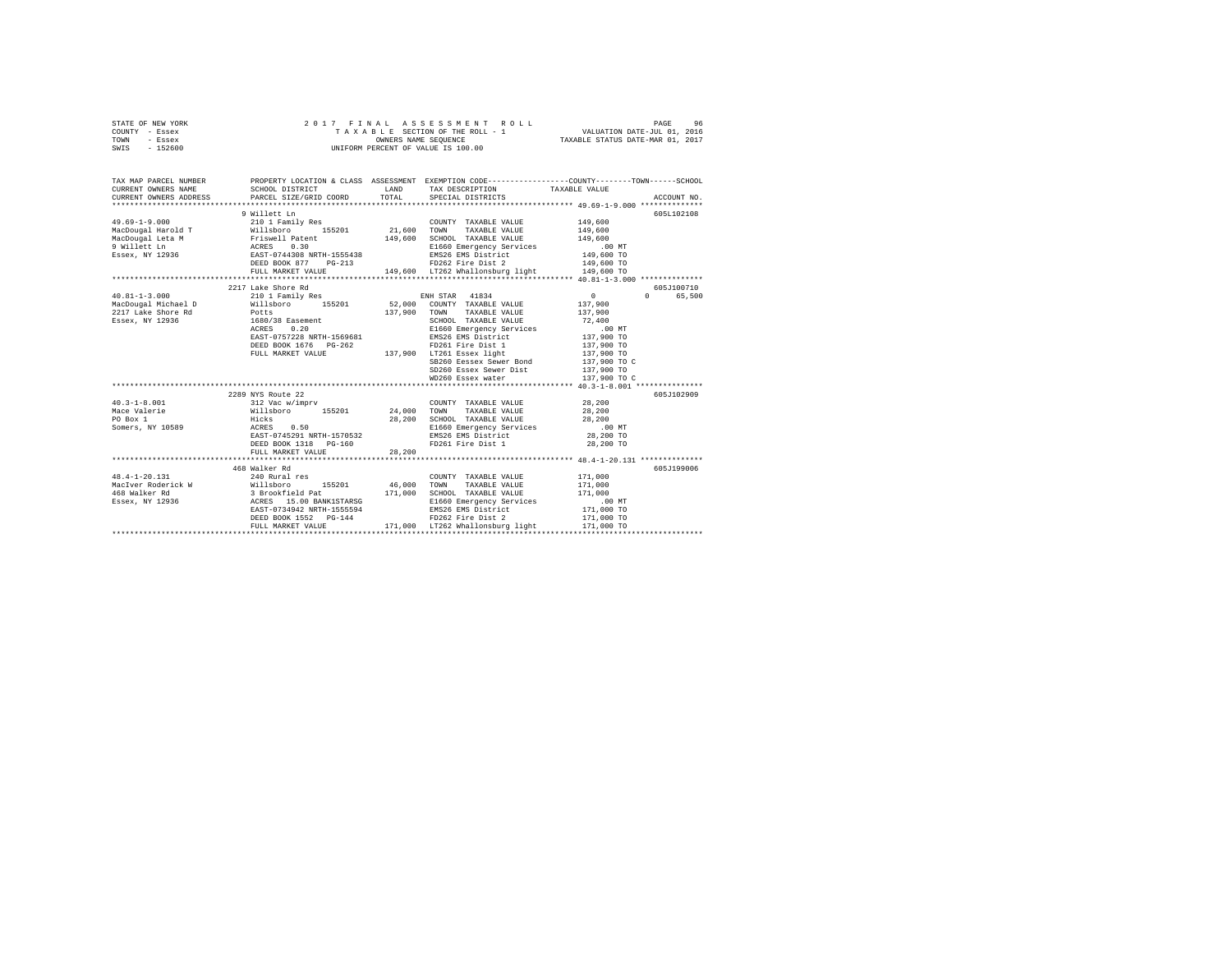| STATE OF NEW YORK | 2017 FINAL ASSESSMENT ROLL         | 96<br>PAGE                       |
|-------------------|------------------------------------|----------------------------------|
| COUNTY - Essex    | TAXABLE SECTION OF THE ROLL - 1    | VALUATION DATE-JUL 01, 2016      |
| TOWN<br>- Essex   | OWNERS NAME SEOUENCE               | TAXABLE STATUS DATE-MAR 01, 2017 |
| - 152600<br>SWIS  | UNIFORM PERCENT OF VALUE IS 100.00 |                                  |

| TAX MAP PARCEL NUMBER                                              |                                                                                                                                                                                                                                                                                                                                                                                                                               |         | PROPERTY LOCATION & CLASS ASSESSMENT EXEMPTION CODE---------------COUNTY-------TOWN------SCHOOL                                                                                                                                   |                                                                                    |                                               |
|--------------------------------------------------------------------|-------------------------------------------------------------------------------------------------------------------------------------------------------------------------------------------------------------------------------------------------------------------------------------------------------------------------------------------------------------------------------------------------------------------------------|---------|-----------------------------------------------------------------------------------------------------------------------------------------------------------------------------------------------------------------------------------|------------------------------------------------------------------------------------|-----------------------------------------------|
| $49.69 - 1 - 9.000$                                                | 9 Willett Ln<br>210 1 Family Res<br>MacDougal Harold T Willsboro 155201 21,600 TOWN<br>-According Internal MacDougal Leta M<br>- MacDougal Leta M - Priswell Patent - 149,600 SCHOOL TAXABLE VALUE 149,600<br>- Patent - Access 0.30 - 149,600 E1660 Emergency Services<br>- Easex, NY 12936 - EAST-0744308 NRTH-1555438 - EN<br>DEED BOOK 877 PG-213 FD262 Fire Dist 2<br>FULL MARKET VALUE 149,600 LT262 Whallonsburg light |         | COUNTY TAXABLE VALUE<br>TAXABLE VALUE<br>FD262 Fire Dist 2 149,600 TO<br>LT262 Whallonsburg light 149,600 TO                                                                                                                      | 149,600<br>149,600                                                                 | 605L102108                                    |
| 2217 Lake Shore Rd<br>Essex, NY 12936                              | 2217 Lake Shore Rd<br>Potts<br>1680/38 Easement<br>ACRES 0.20<br>EAST-0757228 NRTH-1569681<br>DEED BOOK 1676 PG-262 PD261 Fire Dist 1<br>FULL MARKET VALUE 137,900 LT261 Essex light                                                                                                                                                                                                                                          |         | 137,900 TOWN TAXABLE VALUE 137,900<br>SCHOOL TAXABLE VALUE<br>E1660 Emergency Services .00 MT<br>EMS26 EMS District  137,900 TO<br>SB260 Eessex Sewer Bond 137,900 TO C<br>SD260 Essex Sewer Dist 137,900 TO<br>WD260 Essex water | $\sim$ 0 $\sim$ 0<br>137,900<br>72,400<br>137,900 TO<br>137,900 TO<br>137,900 TO C | 605J100710<br>65,500<br>$\Omega$ and $\Omega$ |
| $40.3 - 1 - 8.001$<br>Mace Valerie<br>PO Box 1<br>Somers, NY 10589 | 2289 NYS Route 22<br>Hicks 28<br>ACRES 0.50<br>EAST-0745291 NRTH-1570532<br>DEED BOOK 1318    PG-160<br>FULL MARKET VALUE                                                                                                                                                                                                                                                                                                     | 28, 200 | COUNTY TAXABLE VALUE 28,200<br>28, 200 SCHOOL TAXABLE VALUE 28, 200<br>E1660 Emergency Services .00 MT<br>EMS26 EMS District 28,200 TO<br>FD261 Fire Dist 1                                                                       | 28,200 TO                                                                          | 605J102909                                    |
|                                                                    | 468 Walker Rd<br>EAST-0734942 NRTH-1555594<br>DEED BOOK 1552    PG-144<br>FULL MARKET VALUE                                                                                                                                                                                                                                                                                                                                   |         | E1660 Emergency Services .00 MT<br>EMS26 EMS District .171,000 TO<br>FD262 Fire Dist 2 .171,000 TO<br>FD262 Fire Dist 2<br>171.000 LT262 Whallonsburg light                                                                       | 171,000 TO                                                                         | 605J199006                                    |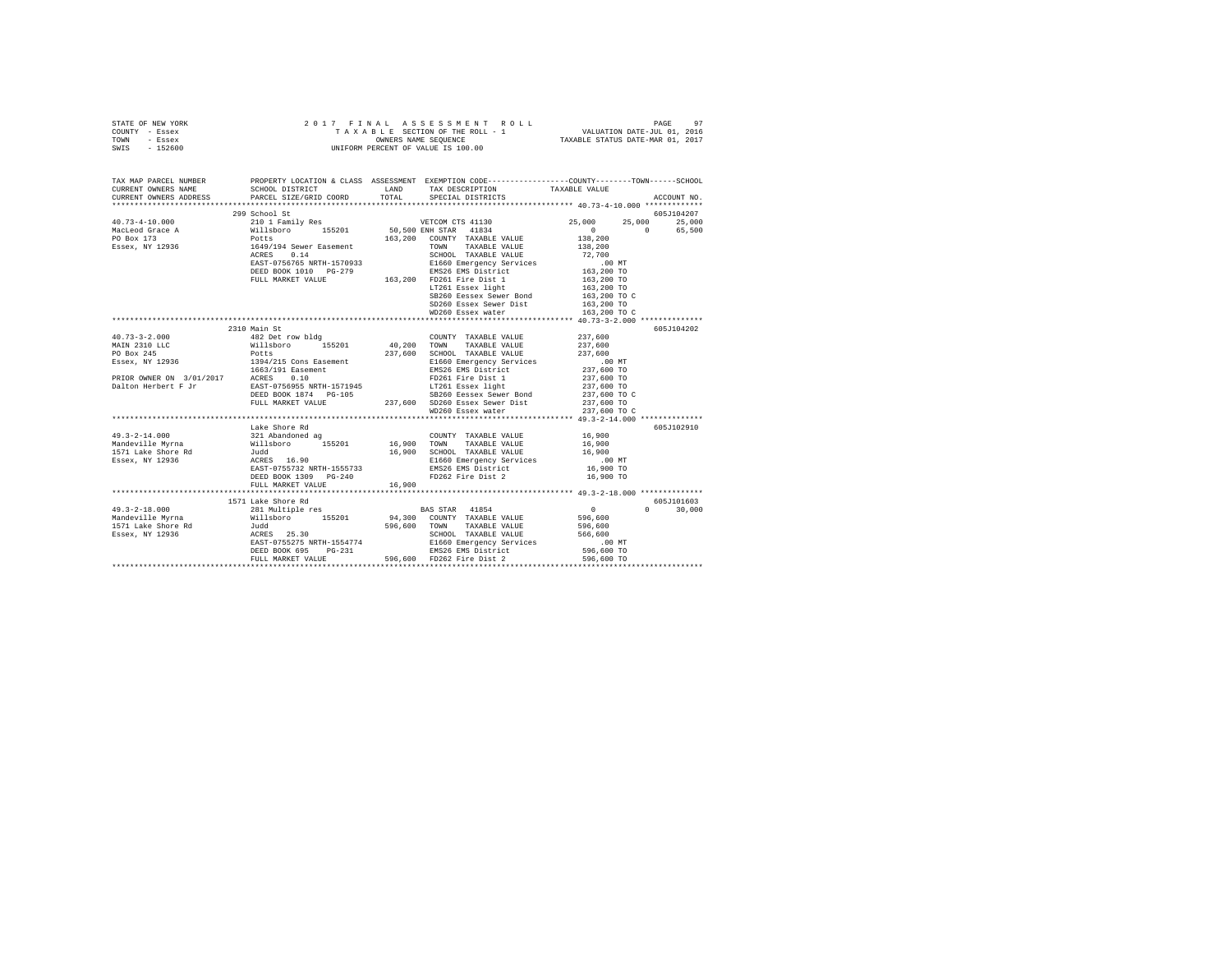|      | STATE OF NEW YORK |  |  | 2017 FINAL ASSESSMENT ROLL         | PAGE                             | 97 |
|------|-------------------|--|--|------------------------------------|----------------------------------|----|
|      | COUNTY - Essex    |  |  | TAXABLE SECTION OF THE ROLL - 1    | VALUATION DATE-JUL 01, 2016      |    |
| TOWN | - Essex           |  |  | OWNERS NAME SEOUENCE               | TAXABLE STATUS DATE-MAR 01, 2017 |    |
|      | SWIS - 152600     |  |  | UNIFORM PERCENT OF VALUE IS 100.00 |                                  |    |

| TAX MAP PARCEL NUMBER                                                                                                                                                                                                                                                                                                                                                                               |                                                | PROPERTY LOCATION & CLASS ASSESSMENT EXEMPTION CODE---------------COUNTY-------TOWN------SCHOOL                                                         |           |             |
|-----------------------------------------------------------------------------------------------------------------------------------------------------------------------------------------------------------------------------------------------------------------------------------------------------------------------------------------------------------------------------------------------------|------------------------------------------------|---------------------------------------------------------------------------------------------------------------------------------------------------------|-----------|-------------|
| CURRENT OWNERS ADDRESS                                                                                                                                                                                                                                                                                                                                                                              | PARCEL SIZE/GRID COORD TOTAL SPECIAL DISTRICTS |                                                                                                                                                         |           | ACCOUNT NO. |
|                                                                                                                                                                                                                                                                                                                                                                                                     |                                                |                                                                                                                                                         |           |             |
| $\begin{tabular}{l c c c c c} \multicolumn{3}{c c c c} \multicolumn{3}{c c c c} \multicolumn{3}{c c c} \multicolumn{3}{c c c} \multicolumn{3}{c c c} \multicolumn{3}{c c c} \multicolumn{3}{c c c} \multicolumn{3}{c c c} \multicolumn{3}{c c c} \multicolumn{3}{c c c} \multicolumn{3}{c c c} \multicolumn{3}{c c c} \multicolumn{3}{c c c} \multicolumn{3}{c c c} \multicolumn{3}{c c c} \multic$ |                                                |                                                                                                                                                         |           |             |
|                                                                                                                                                                                                                                                                                                                                                                                                     |                                                |                                                                                                                                                         |           |             |
|                                                                                                                                                                                                                                                                                                                                                                                                     |                                                |                                                                                                                                                         |           |             |
|                                                                                                                                                                                                                                                                                                                                                                                                     |                                                |                                                                                                                                                         |           |             |
|                                                                                                                                                                                                                                                                                                                                                                                                     |                                                |                                                                                                                                                         |           |             |
|                                                                                                                                                                                                                                                                                                                                                                                                     |                                                |                                                                                                                                                         |           |             |
|                                                                                                                                                                                                                                                                                                                                                                                                     |                                                |                                                                                                                                                         |           |             |
|                                                                                                                                                                                                                                                                                                                                                                                                     |                                                |                                                                                                                                                         |           |             |
|                                                                                                                                                                                                                                                                                                                                                                                                     |                                                |                                                                                                                                                         |           |             |
|                                                                                                                                                                                                                                                                                                                                                                                                     |                                                |                                                                                                                                                         |           |             |
|                                                                                                                                                                                                                                                                                                                                                                                                     |                                                |                                                                                                                                                         |           |             |
|                                                                                                                                                                                                                                                                                                                                                                                                     |                                                | % FD261 Fire user 1<br>163,200 TO<br>SB260 Eessex Sewer Bond<br>163,200 TO<br>SD260 Essex Sewer Dist<br>163,200 TO<br>SD260 Essex water<br>163,200 TO C |           |             |
|                                                                                                                                                                                                                                                                                                                                                                                                     |                                                |                                                                                                                                                         |           |             |
|                                                                                                                                                                                                                                                                                                                                                                                                     | 2310 Main St                                   |                                                                                                                                                         |           | 605J104202  |
|                                                                                                                                                                                                                                                                                                                                                                                                     |                                                |                                                                                                                                                         |           |             |
|                                                                                                                                                                                                                                                                                                                                                                                                     |                                                |                                                                                                                                                         |           |             |
|                                                                                                                                                                                                                                                                                                                                                                                                     |                                                |                                                                                                                                                         |           |             |
|                                                                                                                                                                                                                                                                                                                                                                                                     |                                                |                                                                                                                                                         |           |             |
|                                                                                                                                                                                                                                                                                                                                                                                                     |                                                |                                                                                                                                                         |           |             |
|                                                                                                                                                                                                                                                                                                                                                                                                     |                                                |                                                                                                                                                         |           |             |
|                                                                                                                                                                                                                                                                                                                                                                                                     |                                                |                                                                                                                                                         |           |             |
|                                                                                                                                                                                                                                                                                                                                                                                                     |                                                |                                                                                                                                                         |           |             |
|                                                                                                                                                                                                                                                                                                                                                                                                     |                                                |                                                                                                                                                         |           |             |
|                                                                                                                                                                                                                                                                                                                                                                                                     |                                                |                                                                                                                                                         |           |             |
|                                                                                                                                                                                                                                                                                                                                                                                                     | Lake Shore Rd                                  |                                                                                                                                                         |           | 605J102910  |
|                                                                                                                                                                                                                                                                                                                                                                                                     |                                                |                                                                                                                                                         |           |             |
|                                                                                                                                                                                                                                                                                                                                                                                                     |                                                |                                                                                                                                                         |           |             |
|                                                                                                                                                                                                                                                                                                                                                                                                     |                                                |                                                                                                                                                         |           |             |
|                                                                                                                                                                                                                                                                                                                                                                                                     |                                                |                                                                                                                                                         |           |             |
|                                                                                                                                                                                                                                                                                                                                                                                                     |                                                |                                                                                                                                                         |           |             |
|                                                                                                                                                                                                                                                                                                                                                                                                     | DEED BOOK 1309 PG-240                          | FD262 Fire Dist 2                                                                                                                                       | 16,900 TO |             |
|                                                                                                                                                                                                                                                                                                                                                                                                     | FULL MARKET VALUE 16,900                       |                                                                                                                                                         |           |             |
|                                                                                                                                                                                                                                                                                                                                                                                                     |                                                |                                                                                                                                                         |           |             |
|                                                                                                                                                                                                                                                                                                                                                                                                     |                                                |                                                                                                                                                         |           |             |
|                                                                                                                                                                                                                                                                                                                                                                                                     |                                                |                                                                                                                                                         |           |             |
|                                                                                                                                                                                                                                                                                                                                                                                                     |                                                |                                                                                                                                                         |           |             |
|                                                                                                                                                                                                                                                                                                                                                                                                     |                                                |                                                                                                                                                         |           |             |
|                                                                                                                                                                                                                                                                                                                                                                                                     |                                                |                                                                                                                                                         |           |             |
|                                                                                                                                                                                                                                                                                                                                                                                                     |                                                |                                                                                                                                                         |           |             |
|                                                                                                                                                                                                                                                                                                                                                                                                     |                                                |                                                                                                                                                         |           |             |
| 1971 Lake Shore Rd<br>Mandeville Myrna 281 Multiple res<br>Mandeville Myrna 281 Multiple res<br>Mandeville Myrna 281 Multiple res<br>Mandeville Myrna 281 Multiple res<br>Mandeville Myrna 281 Multiple res<br>Mandeville Myrna 281 Multip                                                                                                                                                          |                                                |                                                                                                                                                         |           |             |
|                                                                                                                                                                                                                                                                                                                                                                                                     |                                                |                                                                                                                                                         |           |             |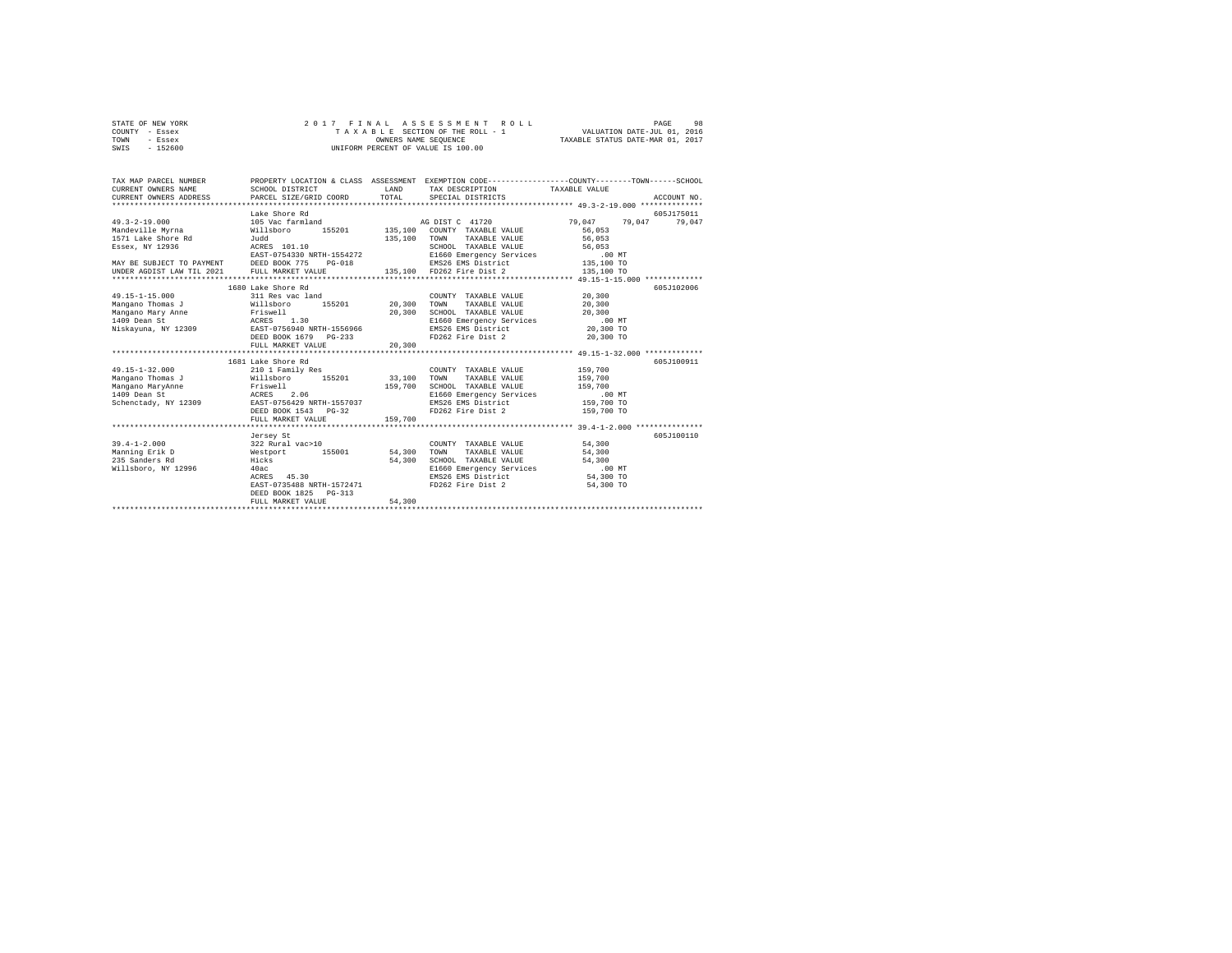| STATE OF NEW YORK | 2017 FINAL ASSESSMENT ROLL         | 98<br>PAGE                       |
|-------------------|------------------------------------|----------------------------------|
| COUNTY - Essex    | TAXABLE SECTION OF THE ROLL - 1    | VALUATION DATE-JUL 01, 2016      |
| TOWN<br>- Essex   | OWNERS NAME SEOUENCE               | TAXABLE STATUS DATE-MAR 01, 2017 |
| - 152600<br>SWIS  | UNIFORM PERCENT OF VALUE IS 100.00 |                                  |

| TAX MAP PARCEL NUMBER<br>CURRENT OWNERS NAME<br>CURRENT OWNERS ADDRESS                                                                                          | SCHOOL DISTRICT<br>PARCEL SIZE/GRID COORD                                                                                                                          | LAND               | TAX DESCRIPTION TAXABLE VALUE<br>TOTAL SPECIAL DISTRICTS                                                                                                                  | PROPERTY LOCATION & CLASS ASSESSMENT EXEMPTION CODE----------------COUNTY-------TOWN------SCHOOL<br>ACCOUNT NO. |
|-----------------------------------------------------------------------------------------------------------------------------------------------------------------|--------------------------------------------------------------------------------------------------------------------------------------------------------------------|--------------------|---------------------------------------------------------------------------------------------------------------------------------------------------------------------------|-----------------------------------------------------------------------------------------------------------------|
| $49.3 - 2 - 19.000$<br>Mandeville Myrna<br>1571 Lake Shore Rd<br>Essex, NY 12936<br>MAY BE SUBJECT TO PAYMENT DEED BOOK 775 PG-018<br>UNDER AGDIST LAW TIL 2021 | Lake Shore Rd<br>105 Vac farmland<br>Willsboro<br>Judd<br>ACRES 101.10<br>EAST-0754330 NRTH-1554272<br>FULL MARKET VALUE                                           |                    | AG DIST C 41720<br>155201 135,100 COUNTY TAXABLE VALUE<br>135,100 TOWN TAXABLE VALUE 56,053<br>SCHOOL TAXABLE VALUE 56,053                                                | 605-1175011<br>79.047 79.047<br>79.047<br>56,053                                                                |
| $49.15 - 1 - 15.000$<br>Mangano Thomas J<br>Mangano Mary Anne<br>ACRES 1.30<br>1409 Dean St<br>Niskayuna, NY 12309 EAST-0756940 NRTH-1556966                    | 1680 Lake Shore Rd<br>311 Res vac land<br>Willsboro 155201 20,300<br>Friswell<br>DEED BOOK 1679 PG-233<br>FULL MARKET VALUE                                        | 20,300<br>20,300   | COUNTY TAXABLE VALUE<br>TOWN<br>TAXABLE VALUE<br>SCHOOL TAXABLE VALUE<br>E1660 Emergency Services .00 MT<br>EMS26 EMS District 20,300 TO<br>FD262 Fire Dist 2 20,300 TO   | 605J102006<br>20,300<br>20,300<br>20,300                                                                        |
| $49.15 - 1 - 32.000$<br>Mangano Thomas J<br>Mangano MaryAnne<br>1409 Dean St<br>Schenctady, NY 12309 EAST-0756429 NRTH-1557037                                  | 1681 Lake Shore Rd<br>210 1 Family Res<br>Willsboro 155201 33,100<br>Friswell<br>ACRES<br>2.06<br>DEED BOOK 1543 PG-32<br>FULL MARKET VALUE                        | 159,700<br>159,700 | COUNTY TAXABLE VALUE<br>TOWN<br>TAXABLE VALUE<br>SCHOOL TAXABLE VALUE<br>E1660 Emergency Services .00 MT<br>EMS26 EMS District 159,700 TO<br>FD262 Fire Dist 2 159,700 TO | 605J100911<br>159,700<br>159,700<br>159,700                                                                     |
| $39.4 - 1 - 2.000$<br>Manning Erik D<br>235 Sanders Rd<br>Willsboro, NY 12996                                                                                   | Jersey St<br>322 Rural vac>10<br>Westport 155001 54,300<br>Hicks<br>40ac<br>ACRES 45.30<br>EAST-0735488 NRTH-1572471<br>DEED BOOK 1825 PG-313<br>FULL MARKET VALUE | 54,300<br>54,300   | COUNTY TAXABLE VALUE<br>TOWN<br>TAXABLE VALUE<br>SCHOOL TAXABLE VALUE<br>E1660 Emergency Services<br>EMS26 EMS District<br>FD262 Fire Dist 2                              | 605J100110<br>54,300<br>54,300<br>54,300<br>.00 MT<br>54,300 TO<br>54,300 TO                                    |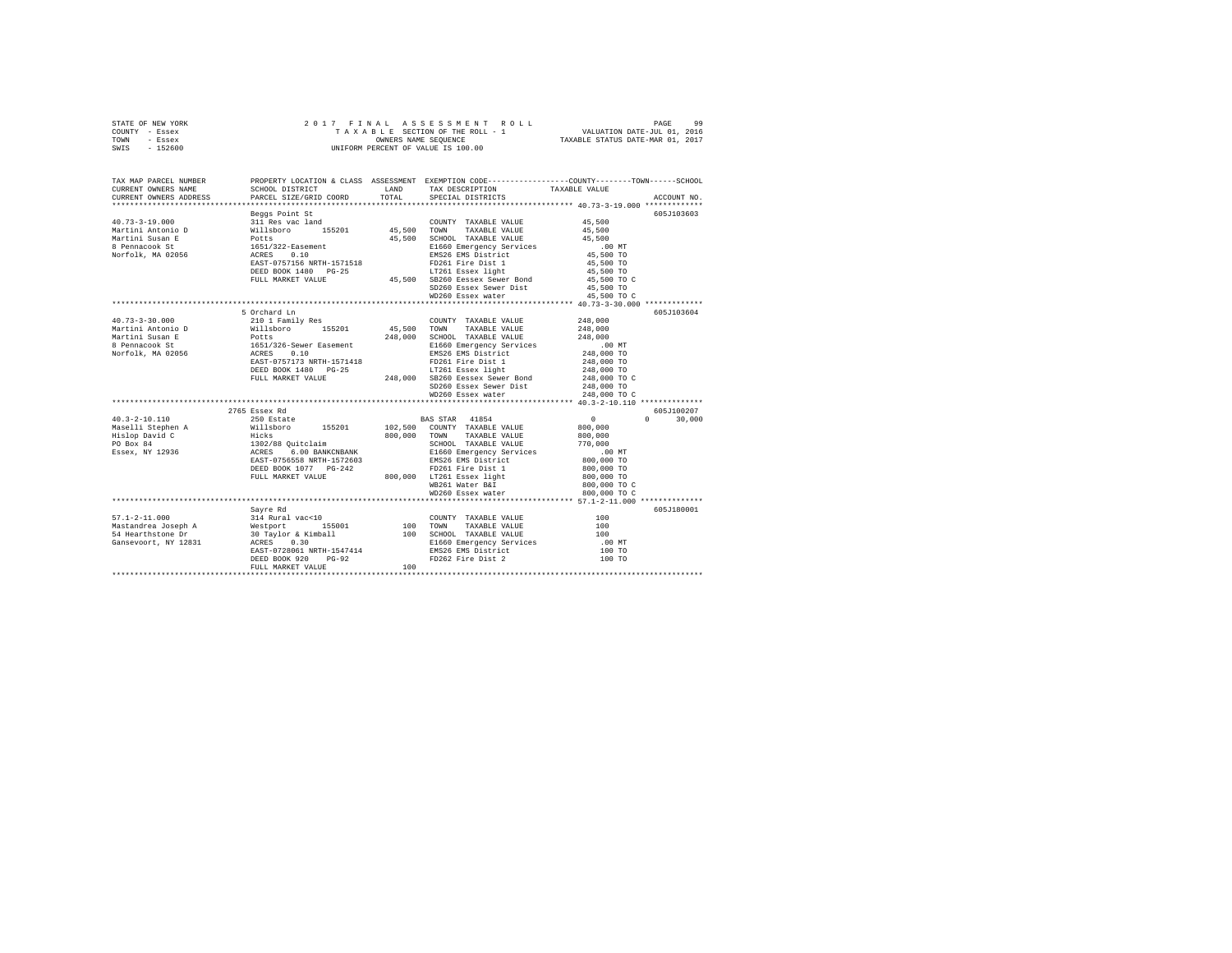|      | STATE OF NEW YORK |  |  | 2017 FINAL ASSESSMENT ROLL         |                                  | PAGE | 99 |
|------|-------------------|--|--|------------------------------------|----------------------------------|------|----|
|      | COUNTY - Essex    |  |  | TAXABLE SECTION OF THE ROLL - 1    | VALUATION DATE-JUL 01, 2016      |      |    |
| TOWN | - Essex           |  |  | OWNERS NAME SEOUENCE               | TAXABLE STATUS DATE-MAR 01, 2017 |      |    |
| SWIS | - 152600          |  |  | UNIFORM PERCENT OF VALUE IS 100.00 |                                  |      |    |
|      |                   |  |  |                                    |                                  |      |    |
|      |                   |  |  |                                    |                                  |      |    |

| TAX MAP PARCEL NUMBER<br>CURRENT OWNERS NAME<br>CURRENT OWNERS ADDRESS | SCHOOL DISTRICT<br>PARCEL SIZE/GRID COORD                          | LAND<br>TOTAL. | PROPERTY LOCATION & CLASS ASSESSMENT EXEMPTION CODE---------------COUNTY-------TOWN------SCHOOL<br>TAX DESCRIPTION TAXABLE VALUE<br>SPECIAL DISTRICTS |                            | ACCOUNT NO.        |
|------------------------------------------------------------------------|--------------------------------------------------------------------|----------------|-------------------------------------------------------------------------------------------------------------------------------------------------------|----------------------------|--------------------|
|                                                                        |                                                                    |                |                                                                                                                                                       |                            |                    |
|                                                                        | Beggs Point St                                                     |                |                                                                                                                                                       |                            | 605J103603         |
| $40.73 - 3 - 19.000$                                                   | 311 Res vac land<br>Willsboro                                      |                | COUNTY TAXABLE VALUE                                                                                                                                  | 45,500                     |                    |
| Martini Antonio D                                                      | 155201 45,500 TOWN                                                 |                | TAXABLE VALUE                                                                                                                                         | 45,500                     |                    |
| Martini Susan E                                                        | Potts<br>1651/322-Easement                                         |                | 45,500 SCHOOL TAXABLE VALUE                                                                                                                           | 45,500                     |                    |
| 8 Pennacook St                                                         |                                                                    |                | E1660 Emergency Services                                                                                                                              | $.00$ MT                   |                    |
| Norfolk, MA 02056                                                      | ACRES 0.10                                                         |                | EMS26 EMS District                                                                                                                                    | 45,500 TO                  |                    |
|                                                                        | EAST-0757156 NRTH-1571518                                          |                | FD261 Fire Dist 1                                                                                                                                     | $45,500$ TO                |                    |
|                                                                        | DEED BOOK 1480 PG-25                                               |                | LT261 Essex light<br>45,500 SB260 Eessex Sewer Bond                                                                                                   | 45,500 TO                  |                    |
|                                                                        | FULL MARKET VALUE                                                  |                |                                                                                                                                                       | 45,500 TO C                |                    |
|                                                                        |                                                                    |                | SD260 Essex Sewer Dist<br>WD260 Essex water                                                                                                           | 45,500 TO                  |                    |
|                                                                        |                                                                    |                |                                                                                                                                                       | 45,500 TO C                |                    |
|                                                                        |                                                                    |                |                                                                                                                                                       |                            |                    |
|                                                                        | 5 Orchard Ln                                                       |                |                                                                                                                                                       |                            | 605J103604         |
| $40.73 - 3 - 30.000$                                                   | 210 1 Family Res                                                   |                | COUNTY TAXABLE VALUE                                                                                                                                  | 248,000                    |                    |
| Martini Antonio D                                                      | Willsboro 155201                                                   | 45,500 TOWN    | TAXABLE VALUE                                                                                                                                         | 248,000                    |                    |
| Martini Susan E                                                        | Potts<br>1651/326-Sewer Easement                                   |                | 248,000 SCHOOL TAXABLE VALUE                                                                                                                          | 248,000                    |                    |
| 8 Pennacook St                                                         |                                                                    |                | E1660 Emergency Services                                                                                                                              | $.00$ MT                   |                    |
| Norfolk, MA 02056 ACRES                                                | 0.10                                                               |                | EMS26 EMS District                                                                                                                                    | 248,000 TO                 |                    |
|                                                                        | EAST-0757173 NRTH-1571418                                          |                | FD261 Fire Dist 1                                                                                                                                     | 248,000 TO                 |                    |
|                                                                        | DEED BOOK 1480 PG-25                                               |                | LT261 Essex light<br>LT261 Essex light<br>248,000 SB260 Eessex Sewer Bond                                                                             | 248,000 TO<br>248,000 TO C |                    |
|                                                                        | FULL MARKET VALUE                                                  |                |                                                                                                                                                       |                            |                    |
|                                                                        |                                                                    |                | SD260 Essex Sewer Dist 248,000 TO                                                                                                                     |                            |                    |
|                                                                        |                                                                    |                | WD260 Essex water                                                                                                                                     | 248,000 TO C               |                    |
|                                                                        |                                                                    |                |                                                                                                                                                       |                            |                    |
|                                                                        | 2765 Essex Rd                                                      |                |                                                                                                                                                       |                            | 605J100207         |
| $40.3 - 2 - 10.110$                                                    | 250 Estate                                                         |                | BAS STAR 41854                                                                                                                                        | $\Omega$                   | $\Omega$<br>30,000 |
| Maselli Stephen A<br>Wislop David C                                    | Willsboro 155201                                                   |                | 102,500 COUNTY TAXABLE VALUE                                                                                                                          | 800,000                    |                    |
|                                                                        | Hicks<br>1302/88 Quitclaim<br>ACRES 6.00 BANKCNBAN                 | 800,000        | TOWN TAXABLE VALUE                                                                                                                                    | 800,000                    |                    |
| PO Box 84                                                              |                                                                    |                | SCHOOL TAXABLE VALUE                                                                                                                                  | 770,000                    |                    |
| Essex, NY 12936                                                        | 6.00 BANKCNBANK                                                    |                | E1660 Emergency Services                                                                                                                              | $.00$ MT                   |                    |
|                                                                        | EAST-0756558 NRTH-1572603                                          |                | EMS26 EMS District                                                                                                                                    | 800,000 TO                 |                    |
|                                                                        | DEED BOOK 1077 PG-242                                              |                | FD261 Fire Dist 1                                                                                                                                     | 800,000 TO                 |                    |
|                                                                        | FULL MARKET VALUE                                                  |                | 800,000 LT261 Essex light                                                                                                                             | 800,000 TO                 |                    |
|                                                                        |                                                                    |                | WB261 Water B&I                                                                                                                                       | 800,000 TO C               |                    |
|                                                                        |                                                                    |                | WD260 Essex water                                                                                                                                     | 800,000 TO C               |                    |
|                                                                        |                                                                    |                |                                                                                                                                                       |                            |                    |
|                                                                        | Savre Rd                                                           |                |                                                                                                                                                       |                            | 605J180001         |
| $57.1 - 2 - 11.000$                                                    | 314 Rural vac<10                                                   |                | COUNTY TAXABLE VALUE                                                                                                                                  | 100                        |                    |
| Mastandrea Joseph A                                                    | --- ---<br>Westport 155001<br>30 Taylor & Kimball<br>מי יירות המות | 100            | TAXABLE VALUE<br><b>TOWN</b>                                                                                                                          | 100                        |                    |
| 54 Hearthstone Dr                                                      |                                                                    |                | 100 SCHOOL TAXABLE VALUE                                                                                                                              | 100                        |                    |
| Gansevoort, NY 12831                                                   |                                                                    |                | E1660 Emergency Services                                                                                                                              | .00 MT                     |                    |
|                                                                        | EAST-0728061 NRTH-1547414                                          |                | EMS26 EMS District                                                                                                                                    | 100 TO                     |                    |
|                                                                        | DEED BOOK 920<br>$PG-92$                                           |                | FD262 Fire Dist 2                                                                                                                                     | 100 TO                     |                    |
|                                                                        | FULL MARKET VALUE                                                  | 100            |                                                                                                                                                       |                            |                    |
|                                                                        |                                                                    |                |                                                                                                                                                       |                            |                    |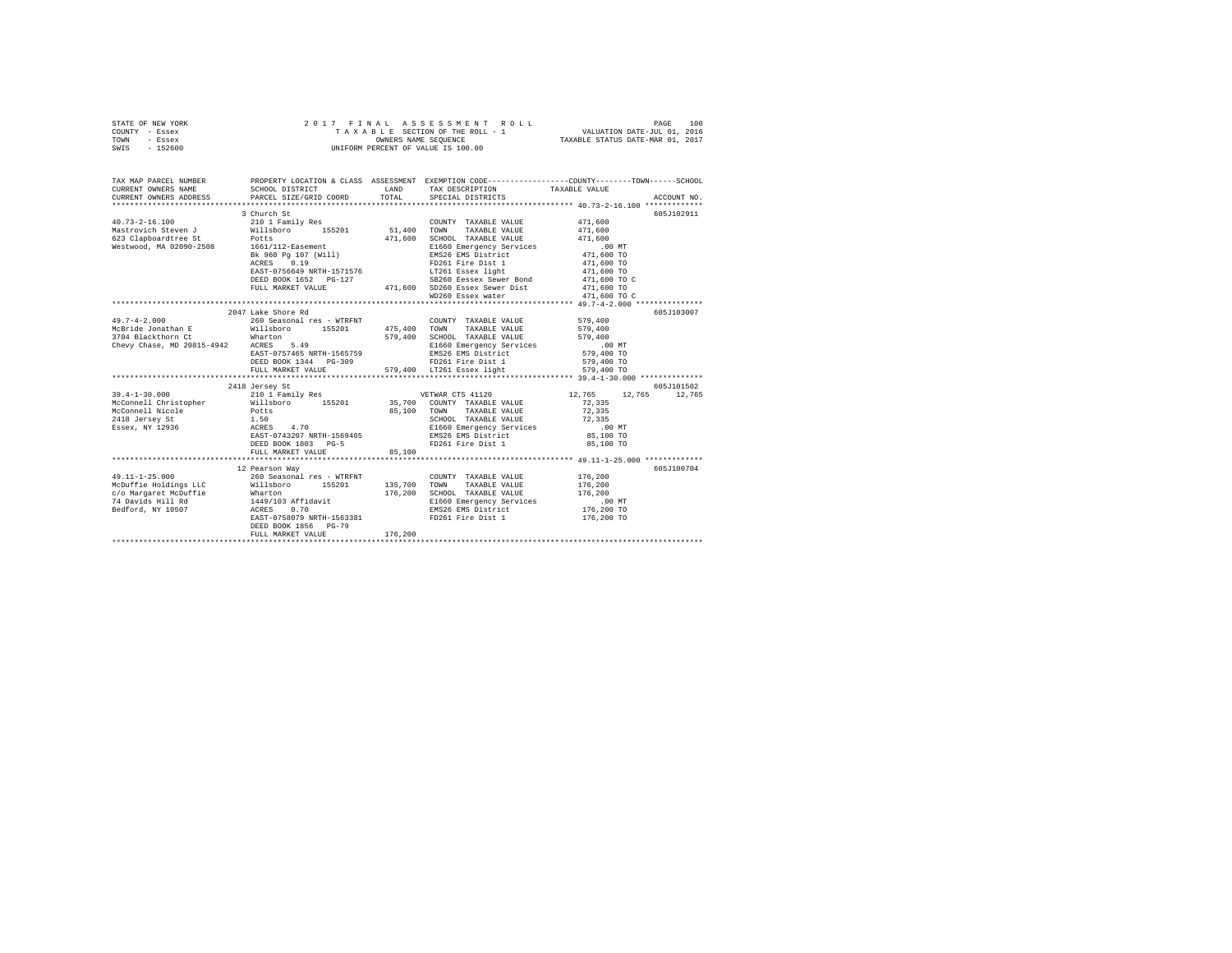| STATE OF NEW YORK | 2017 FINAL ASSESSMENT ROLL         | 100<br>PAGE                      |
|-------------------|------------------------------------|----------------------------------|
| COUNTY - Essex    | TAXABLE SECTION OF THE ROLL - 1    | VALUATION DATE-JUL 01, 2016      |
| TOWN<br>- Essex   | OWNERS NAME SEOUENCE               | TAXABLE STATUS DATE-MAR 01, 2017 |
| - 152600<br>SWIS  | UNIFORM PERCENT OF VALUE IS 100.00 |                                  |

| TAX MAP PARCEL NUMBER<br>CURRENT OWNERS NAME                                                                                                                                                                                   | SCHOOL DISTRICT                                                                                                                                                                                                                                                                                                                                  |         | PROPERTY LOCATION & CLASS ASSESSMENT EXEMPTION CODE---------------COUNTY-------TOWN------SCHOOL<br>LAND TAX DESCRIPTION TAXABLE VALUE |                      |             |
|--------------------------------------------------------------------------------------------------------------------------------------------------------------------------------------------------------------------------------|--------------------------------------------------------------------------------------------------------------------------------------------------------------------------------------------------------------------------------------------------------------------------------------------------------------------------------------------------|---------|---------------------------------------------------------------------------------------------------------------------------------------|----------------------|-------------|
|                                                                                                                                                                                                                                |                                                                                                                                                                                                                                                                                                                                                  |         |                                                                                                                                       |                      |             |
|                                                                                                                                                                                                                                | 3 Church St                                                                                                                                                                                                                                                                                                                                      |         |                                                                                                                                       |                      | 605J102911  |
| $40.73 - 2 - 16.100$                                                                                                                                                                                                           | 210 1 Family Res                                                                                                                                                                                                                                                                                                                                 |         | COUNTY TAXABLE VALUE 471,600                                                                                                          |                      |             |
|                                                                                                                                                                                                                                |                                                                                                                                                                                                                                                                                                                                                  |         | TAXABLE VALUE                                                                                                                         | 471,600              |             |
|                                                                                                                                                                                                                                |                                                                                                                                                                                                                                                                                                                                                  |         | SCHOOL TAXABLE VALUE                                                                                                                  | 471,600              |             |
|                                                                                                                                                                                                                                |                                                                                                                                                                                                                                                                                                                                                  |         |                                                                                                                                       |                      |             |
| composed in Potts – Posts – Posts<br>Westwood, MA 02090-2508 – 1661/112-Easement                                                                                                                                               | $\begin{tabular}{l c c c c c} \hline 1661/112-Fasement & E1660 Energy Services & .00 MTBA Y60 pay 107 (Will1) & E1656 EMS District & 471,600 TOACRES & 0.19 & EMS26 EMS District & 471,600 TOEAST-0756649 NETH-1571576 & I7261 Fise Dist 1 & 471,600 TODEDD 5064 1652 & 471,600 TO & 53260 Eessex 1981t & 471,600 TOFULI MARKET VALUE & 471,600$ |         | E1660 Emergency Services<br>EMS26 EMS District<br>FMS26 EMS District<br>FD261 Fire Dist 1 471,600 TO<br>PMS21 Fire Dist 1 471,600 TO  |                      |             |
|                                                                                                                                                                                                                                |                                                                                                                                                                                                                                                                                                                                                  |         |                                                                                                                                       |                      |             |
|                                                                                                                                                                                                                                |                                                                                                                                                                                                                                                                                                                                                  |         |                                                                                                                                       |                      |             |
|                                                                                                                                                                                                                                |                                                                                                                                                                                                                                                                                                                                                  |         |                                                                                                                                       |                      |             |
|                                                                                                                                                                                                                                |                                                                                                                                                                                                                                                                                                                                                  |         |                                                                                                                                       |                      |             |
|                                                                                                                                                                                                                                |                                                                                                                                                                                                                                                                                                                                                  |         | WD260 Essex water 471,600 TO C                                                                                                        |                      |             |
|                                                                                                                                                                                                                                |                                                                                                                                                                                                                                                                                                                                                  |         |                                                                                                                                       |                      |             |
|                                                                                                                                                                                                                                | 2047 Lake Shore Rd                                                                                                                                                                                                                                                                                                                               |         |                                                                                                                                       |                      | 605J103007  |
|                                                                                                                                                                                                                                | 260 Seasonal res - WTRFNT                                                                                                                                                                                                                                                                                                                        |         |                                                                                                                                       |                      |             |
|                                                                                                                                                                                                                                |                                                                                                                                                                                                                                                                                                                                                  |         |                                                                                                                                       |                      |             |
|                                                                                                                                                                                                                                |                                                                                                                                                                                                                                                                                                                                                  |         |                                                                                                                                       |                      |             |
|                                                                                                                                                                                                                                |                                                                                                                                                                                                                                                                                                                                                  |         |                                                                                                                                       |                      |             |
|                                                                                                                                                                                                                                |                                                                                                                                                                                                                                                                                                                                                  |         |                                                                                                                                       |                      |             |
|                                                                                                                                                                                                                                | DEED BOOK 1344 PG-309 FD261 Fire Dist 1                                                                                                                                                                                                                                                                                                          |         |                                                                                                                                       | 579,400 TO           |             |
|                                                                                                                                                                                                                                |                                                                                                                                                                                                                                                                                                                                                  |         |                                                                                                                                       |                      |             |
|                                                                                                                                                                                                                                |                                                                                                                                                                                                                                                                                                                                                  |         |                                                                                                                                       |                      |             |
|                                                                                                                                                                                                                                | 2418 Jersey St                                                                                                                                                                                                                                                                                                                                   |         |                                                                                                                                       |                      | 605J101502  |
|                                                                                                                                                                                                                                |                                                                                                                                                                                                                                                                                                                                                  |         |                                                                                                                                       | 12,765 12,765 12,765 |             |
|                                                                                                                                                                                                                                |                                                                                                                                                                                                                                                                                                                                                  |         |                                                                                                                                       | 72.335               |             |
|                                                                                                                                                                                                                                |                                                                                                                                                                                                                                                                                                                                                  |         | 85,100 TOWN TAXABLE VALUE 72,335                                                                                                      |                      |             |
|                                                                                                                                                                                                                                |                                                                                                                                                                                                                                                                                                                                                  |         |                                                                                                                                       |                      |             |
|                                                                                                                                                                                                                                |                                                                                                                                                                                                                                                                                                                                                  |         | SCHOOL TAXABLE VALUE<br>R1660 Emergency Services 1660 AMT                                                                             |                      |             |
|                                                                                                                                                                                                                                | 1.50 5CHOOL TAXABLE VALUE 72,335<br>RCRES 4.70 TRESS ENGLIGE BEFORE THE SACRES 1.00 NT<br>EAST-0743207 NRTH-1569465 EMS26 EMS District 65,100 TO                                                                                                                                                                                                 |         |                                                                                                                                       |                      |             |
|                                                                                                                                                                                                                                | DEED BOOK 1803 PG-5                                                                                                                                                                                                                                                                                                                              |         | FD261 Fire Dist 1 85,100 TO                                                                                                           |                      |             |
|                                                                                                                                                                                                                                | FULL MARKET VALUE                                                                                                                                                                                                                                                                                                                                | 85,100  |                                                                                                                                       |                      |             |
|                                                                                                                                                                                                                                |                                                                                                                                                                                                                                                                                                                                                  |         |                                                                                                                                       |                      |             |
|                                                                                                                                                                                                                                | 12 Pearson Way                                                                                                                                                                                                                                                                                                                                   |         |                                                                                                                                       |                      | 605-7100704 |
| $49.11 - 1 - 25.000$                                                                                                                                                                                                           | 260 Seasonal res - WTRFNT                                                                                                                                                                                                                                                                                                                        |         | COUNTY TAXABLE VALUE 176,200                                                                                                          |                      |             |
| McDuffie Holdings LLC (Willsboro 155201 135,700 TOWN TAXABLE VALUE 176,200                                                                                                                                                     |                                                                                                                                                                                                                                                                                                                                                  |         |                                                                                                                                       |                      |             |
|                                                                                                                                                                                                                                |                                                                                                                                                                                                                                                                                                                                                  |         |                                                                                                                                       |                      |             |
|                                                                                                                                                                                                                                |                                                                                                                                                                                                                                                                                                                                                  |         |                                                                                                                                       |                      |             |
| -Communication-Communication-Communication-Communication-Communication-Communication-Communication-Communication-Communication-Communication-Communication-Communication-Communication-Communication-Communication-Communicati |                                                                                                                                                                                                                                                                                                                                                  |         |                                                                                                                                       |                      |             |
|                                                                                                                                                                                                                                | EAST-0758079 NRTH-1563381                                                                                                                                                                                                                                                                                                                        |         | FD261 Fire Dist 1 176,200 TO                                                                                                          |                      |             |
|                                                                                                                                                                                                                                | DEED BOOK 1856 PG-79                                                                                                                                                                                                                                                                                                                             |         |                                                                                                                                       |                      |             |
|                                                                                                                                                                                                                                | FULL MARKET VALUE                                                                                                                                                                                                                                                                                                                                | 176.200 |                                                                                                                                       |                      |             |
|                                                                                                                                                                                                                                |                                                                                                                                                                                                                                                                                                                                                  |         |                                                                                                                                       |                      |             |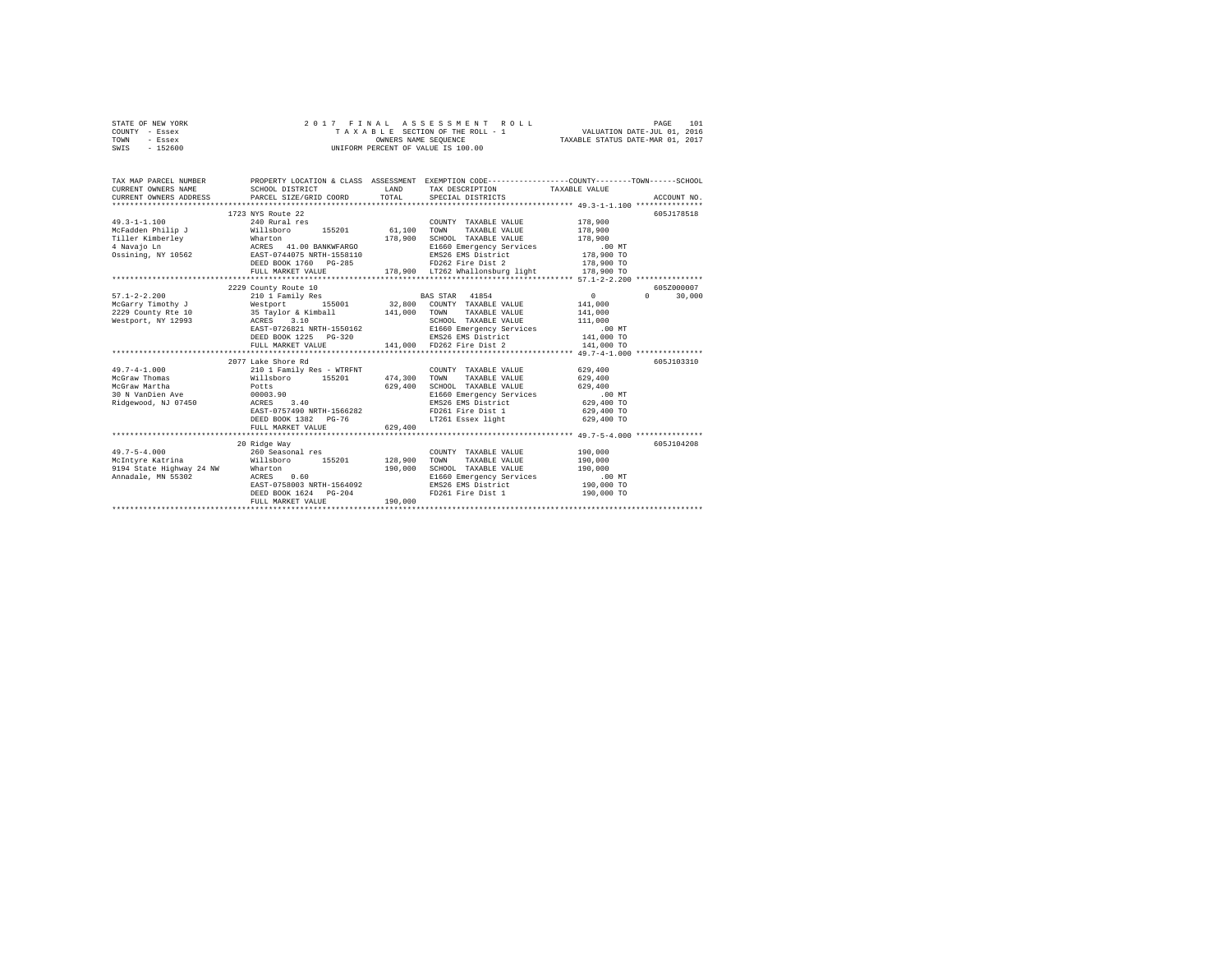| STATE OF NEW YORK | 2017 FINAL ASSESSMENT ROLL         | 101<br>PAGE                      |
|-------------------|------------------------------------|----------------------------------|
| COUNTY - Essex    | TAXABLE SECTION OF THE ROLL - 1    | VALUATION DATE-JUL 01, 2016      |
| TOWN<br>- Essex   | OWNERS NAME SEOUENCE               | TAXABLE STATUS DATE-MAR 01, 2017 |
| SWIS<br>$-152600$ | UNIFORM PERCENT OF VALUE IS 100.00 |                                  |

| TAX MAP PARCEL NUMBER<br>CURRENT OWNERS NAME<br>CURRENT OWNERS ADDRESS<br>*******************          | SCHOOL DISTRICT<br>PARCEL SIZE/GRID COORD                                                                                                                                            | LAND<br>TOTAL      | TAX DESCRIPTION TAXABLE VALUE<br>SPECIAL DISTRICTS                                                                                                                                                                                                  | PROPERTY LOCATION & CLASS ASSESSMENT EXEMPTION CODE----------------COUNTY-------TOWN-----SCHOOL<br>ACCOUNT NO. |  |
|--------------------------------------------------------------------------------------------------------|--------------------------------------------------------------------------------------------------------------------------------------------------------------------------------------|--------------------|-----------------------------------------------------------------------------------------------------------------------------------------------------------------------------------------------------------------------------------------------------|----------------------------------------------------------------------------------------------------------------|--|
| $49.3 - 1 - 1.100$<br>McFadden Philip J Willsboro                                                      | 1723 NYS Route 22<br>240 Rural res<br>155201 61,100<br>DEED BOOK 1760 PG-285<br>FULL MARKET VALUE                                                                                    |                    | COUNTY TAXABLE VALUE 178.900<br>TOWN<br>TAXABLE VALUE 178,900<br>SCHOOL TAXABLE VALUE 178,900<br>E1660 Emergency Services .00 MT<br>EMS26 EMS District 178,900 TO<br>FD262 Fire Dist 2 178,900 TO<br>178,900 LT262 Whallonsburg light 178,900 TO    | 605J178518                                                                                                     |  |
|                                                                                                        | 2229 County Route 10                                                                                                                                                                 |                    |                                                                                                                                                                                                                                                     | 605Z000007                                                                                                     |  |
| $57.1 - 2 - 2.200$<br>Westport, NY 12993 ACRES 3.10                                                    | 210 1 Family Res<br>2229 County Rte 10 35 Taylor & Kimball 141,000                                                                                                                   |                    | <b>BAS STAR</b> 41854<br>TOWN TAXABLE VALUE 141,000<br>SCHOOL TAXABLE VALUE<br>EAST-0726821 NRTH-1550162 B1660 Emergency Services<br>DEED BOOK 1225 PG-320<br>PEED BOOK 1225 PG-320 BMS26 EME Dist 2<br>PULL MARKET VALUE 141,000 PD262 Fire Dist 2 | $\sim$ 0<br>$\Omega$<br>30,000<br>141,000<br>111,000<br>00 MT.<br>141,000 TO<br>141,000 TO                     |  |
|                                                                                                        | 2077 Lake Shore Rd                                                                                                                                                                   |                    |                                                                                                                                                                                                                                                     | 605J103310                                                                                                     |  |
| $49.7 - 4 - 1.000$<br>McGraw Thomas<br>McGraw Martha<br>30 N VanDien Ave                               | 210 1 Family Res - WTRFNT<br>Willsboro 155201 474,300 TOWN<br>Potts 629,400 SCHOC<br>00003.90<br>Ridgewood, NJ 07450 ACRES 3.40<br>EAST-0757490 NRTH-1566282<br>DEED BOOK 1382 PG-76 |                    | COUNTY TAXABLE VALUE<br>TAXABLE VALUE<br>SCHOOL TAXABLE VALUE<br>E1660 Emergency Services<br>EMS26 EMS District 629,400 TO<br>FD261 Fire Dist 1<br>LT261 Essex light                                                                                | 629,400<br>629,400<br>629,400<br>$.00$ MT<br>629,400 TO<br>629,400 TO                                          |  |
|                                                                                                        | FULL MARKET VALUE                                                                                                                                                                    | 629,400            |                                                                                                                                                                                                                                                     |                                                                                                                |  |
|                                                                                                        | 20 Ridge Way                                                                                                                                                                         |                    |                                                                                                                                                                                                                                                     | 605J104208                                                                                                     |  |
| $49.7 - 5 - 4.000$<br>McIntyre Katrina<br>9194 State Highway 24 NW Wharton<br>Annadale, MN 55302 ACRES | 260 Seasonal res<br>Willsboro 155201 128,900<br>0.60<br>EAST-0758003 NRTH-1564092<br>DEED BOOK 1624 PG-204<br>FULL MARKET VALUE                                                      | 190,000<br>190.000 | COUNTY TAXABLE VALUE 190.000<br>TAXABLE VALUE<br>TOWN<br>SCHOOL TAXABLE VALUE<br>E1660 Emergency Services<br>EMS26 EMS District<br>FD261 Fire Dist 1 190,000 TO                                                                                     | 190,000<br>190,000<br>.00 MT<br>190,000 TO                                                                     |  |
|                                                                                                        |                                                                                                                                                                                      |                    |                                                                                                                                                                                                                                                     |                                                                                                                |  |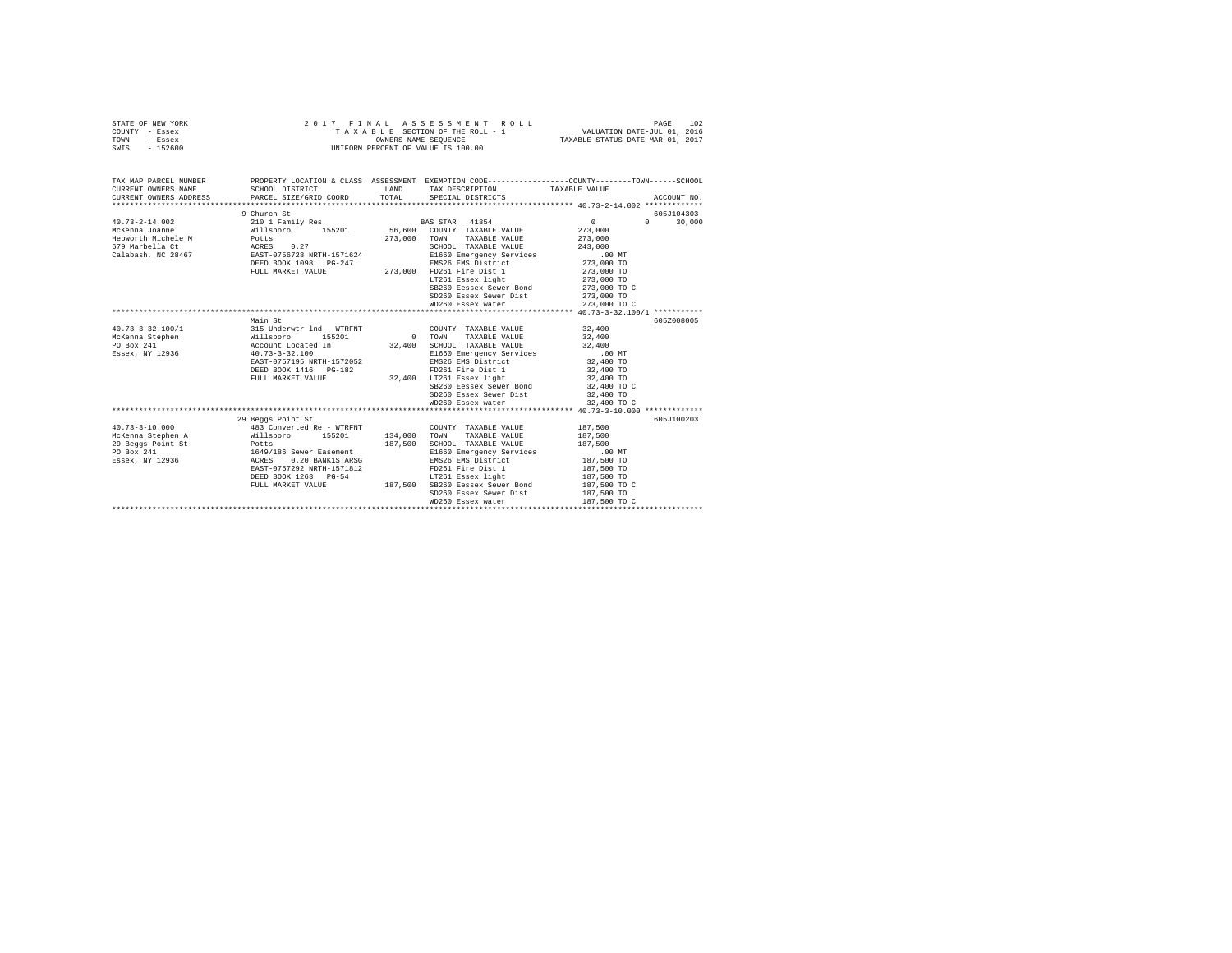| STATE OF NEW YORK<br>COUNTY<br>- Essex<br>TOWN<br>- Essex<br>$-152600$<br>SWIS                        |                                                                                                                                                  |                    | 2017 FINAL ASSESSMENT ROLL<br>TAXABLE SECTION OF THE ROLL - 1 WALUATION DATE-JUL 01, 2016<br>OWNERS NAME SEQUENCE<br>UNIFORM PERCENT OF VALUE IS 100.00                                                                                                       | TAXABLE STATUS DATE-MAR 01, 2017                                                                                                                      | 102<br>PAGE |
|-------------------------------------------------------------------------------------------------------|--------------------------------------------------------------------------------------------------------------------------------------------------|--------------------|---------------------------------------------------------------------------------------------------------------------------------------------------------------------------------------------------------------------------------------------------------------|-------------------------------------------------------------------------------------------------------------------------------------------------------|-------------|
| TAX MAP PARCEL NUMBER<br>CURRENT OWNERS NAME<br>CURRENT OWNERS ADDRESS                                | SCHOOL DISTRICT<br>PARCEL SIZE/GRID COORD TOTAL                                                                                                  | T.AND              | PROPERTY LOCATION & CLASS ASSESSMENT EXEMPTION CODE---------------COUNTY-------TOWN------SCHOOL<br>TAX DESCRIPTION TAXABLE VALUE<br>SPECIAL DISTRICTS                                                                                                         |                                                                                                                                                       | ACCOUNT NO. |
|                                                                                                       | 9 Church St                                                                                                                                      |                    |                                                                                                                                                                                                                                                               |                                                                                                                                                       | 605J104303  |
| $40.73 - 2 - 14.002$<br>McKenna Joanne<br>Hepworth Michele M<br>679 Marbella Ct<br>Calabash, NC 28467 | 210 1 Family Res<br>Willsboro<br>155201 56,600<br>Potts<br>ACRES 0.27<br>EAST-0756728 NRTH-1571624<br>DEED BOOK 1098 PG-247<br>FULL MARKET VALUE | 273,000<br>273,000 | BAS STAR 41854<br>COUNTY TAXABLE VALUE<br>TOWN<br>TAXABLE VALUE<br>SCHOOL TAXABLE VALUE<br>E1660 Emergency Services<br>EMS26 EMS District<br>FD261 Fire Dist 1<br>LT261 Essex light<br>SB260 Eessex Sewer Bond<br>SD260 Essex Sewer Dist<br>WD260 Essex water | $\sim$<br>$\Omega$<br>273,000<br>273,000<br>243,000<br>.00 MT<br>273,000 TO<br>273,000 TO<br>273,000 TO<br>273,000 TO C<br>273,000 TO<br>273,000 TO C | 30,000      |
|                                                                                                       |                                                                                                                                                  |                    |                                                                                                                                                                                                                                                               |                                                                                                                                                       |             |
|                                                                                                       | Main St                                                                                                                                          |                    |                                                                                                                                                                                                                                                               |                                                                                                                                                       | 605Z008005  |

|                                   |                           |          | WD260 Essex water        | 273,000 TO C    |            |
|-----------------------------------|---------------------------|----------|--------------------------|-----------------|------------|
|                                   |                           |          |                          |                 |            |
|                                   | Main St                   |          |                          |                 | 605Z008005 |
| 40.73-3-32.100/1                  | 315 Underwtr 1nd - WTRFNT |          | COUNTY<br>TAXABLE VALUE  | 32,400          |            |
| McKenna Stephen                   | 155201<br>Willsboro       | $\Omega$ | TOWN<br>TAXABLE VALUE    | 32,400          |            |
| PO Box 241                        | Account Located In        | 32,400   | SCHOOL TAXABLE VALUE     | 32,400          |            |
| Essex, NY 12936                   | $40.73 - 3 - 32.100$      |          | E1660 Emergency Services | $00 \text{ MT}$ |            |
|                                   | EAST-0757195 NRTH-1572052 |          | EMS26 EMS District       | 32,400 TO       |            |
|                                   | DEED BOOK 1416    PG-182  |          | FD261 Fire Dist 1        | 32,400 TO       |            |
|                                   | FULL MARKET VALUE         | 32,400   | LT261 Essex light        | 32,400 TO       |            |
|                                   |                           |          | SB260 Eessex Sewer Bond  | 32,400 TO C     |            |
|                                   |                           |          | SD260 Essex Sewer Dist   | 32,400 TO       |            |
|                                   |                           |          | WD260 Essex water        | 32,400 TO C     |            |
|                                   |                           |          |                          |                 |            |
|                                   | 29 Beggs Point St         |          |                          |                 | 605J100203 |
| 40.73-3-10.000                    | 483 Converted Re - WTRFNT |          | COUNTY TAXABLE VALUE     | 187,500         |            |
| McKenna Stephen A                 | 155201<br>Willsboro       | 134,000  | TOWN<br>TAXABLE VALUE    | 187,500         |            |
| 29 Beggs Point St<br><b>Potts</b> |                           | 187.500  | SCHOOL TAXABLE VALUE     | 187.500         |            |
| PO Box 241                        | 1649/186 Sewer Easement   |          | E1660 Emergency Services | $.00$ MT        |            |
| Essex, NY 12936                   | 0.20 BANK1STARSG<br>ACRES |          | EMS26 EMS District       | 187,500 TO      |            |
|                                   | EAST-0757292 NRTH-1571812 |          | FD261 Fire Dist 1        | 187,500 TO      |            |
|                                   | DEED BOOK 1263 PG-54      |          | LT261 Essex light        | 187,500 TO      |            |
|                                   | FULL MARKET VALUE         | 187.500  | SB260 Eessex Sewer Bond  | 187,500 TO C    |            |
|                                   |                           |          | SD260 Essex Sewer Dist   | 187,500 TO      |            |
|                                   |                           |          | WD260 Essex water        | 187.500 TO C    |            |
|                                   |                           |          |                          |                 |            |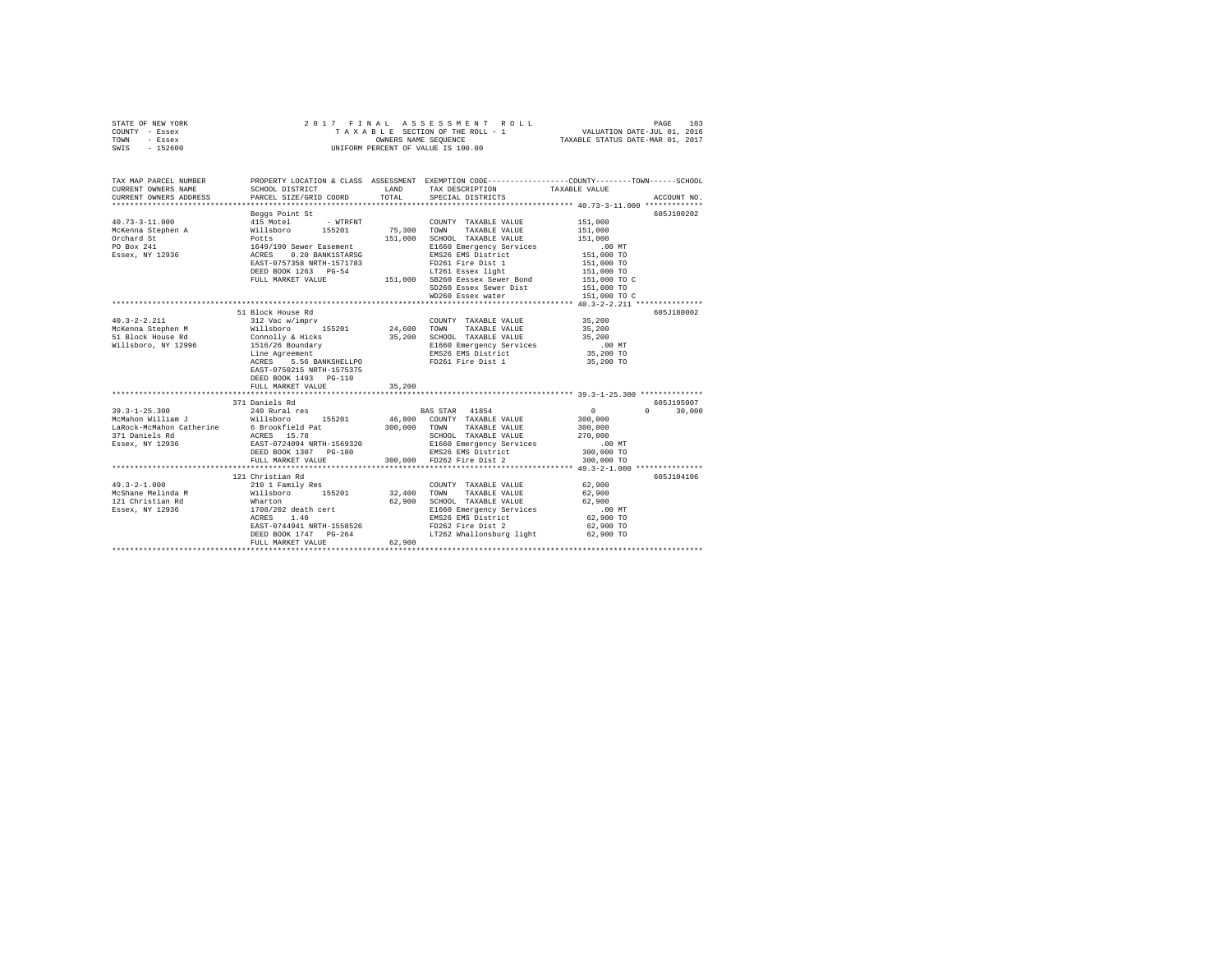| STATE OF NEW YORK        | 2017 FINAL                                                                                                  |                      | ASSESSMENT ROLL                    | PAGE<br>103                                                                                     |  |
|--------------------------|-------------------------------------------------------------------------------------------------------------|----------------------|------------------------------------|-------------------------------------------------------------------------------------------------|--|
| COUNTY - Essex           |                                                                                                             |                      | TAXABLE SECTION OF THE ROLL - 1    | VALUATION DATE-JUL 01, 2016                                                                     |  |
| TOWN<br>- Essex          |                                                                                                             | OWNERS NAME SEQUENCE |                                    | TAXABLE STATUS DATE-MAR 01, 2017                                                                |  |
| $-152600$<br>SWIS        |                                                                                                             |                      | UNIFORM PERCENT OF VALUE IS 100.00 |                                                                                                 |  |
| TAX MAP PARCEL NUMBER    |                                                                                                             |                      |                                    | PROPERTY LOCATION & CLASS ASSESSMENT EXEMPTION CODE---------------COUNTY-------TOWN------SCHOOL |  |
| CURRENT OWNERS NAME      | SCHOOL DISTRICT                                                                                             | LAND                 | TAX DESCRIPTION                    | TAXABLE VALUE                                                                                   |  |
| CURRENT OWNERS ADDRESS   | PARCEL SIZE/GRID COORD                                                                                      | TOTAL                | SPECIAL DISTRICTS                  | ACCOUNT NO.                                                                                     |  |
|                          | Beggs Point St                                                                                              |                      |                                    | 605J100202                                                                                      |  |
| $40.73 - 3 - 11.000$     | 415 Motel<br>- WTRFNT                                                                                       |                      | COUNTY TAXABLE VALUE               | 151,000                                                                                         |  |
| McKenna Stephen A        | Willsboro 155201<br>Potts<br>1649/190 Sewer Easement<br>ACRES 0.20 BANK1STARSG<br>EAST-0757358 NRTH-1571783 | 75,300               | TOWN<br>TAXABLE VALUE              | 151,000                                                                                         |  |
| Orchard St               |                                                                                                             | 151,000              | SCHOOL TAXABLE VALUE               | 151,000                                                                                         |  |
| PO Box 241               |                                                                                                             |                      | E1660 Emergency Services           | $.00$ MT                                                                                        |  |
| Essex, NY 12936          | 0.20 BANK1STARSG                                                                                            |                      | EMS26 EMS District                 | 151,000 TO                                                                                      |  |
|                          |                                                                                                             |                      | FD261 Fire Dist 1                  | 151,000 TO                                                                                      |  |
|                          | DEED BOOK 1263 PG-54                                                                                        |                      | LT261 Essex light                  | 151,000 TO                                                                                      |  |
|                          | FULL MARKET VALUE                                                                                           |                      | 151,000 SB260 Eessex Sewer Bond    | 151,000 TO C                                                                                    |  |
|                          |                                                                                                             |                      | SD260 Essex Sewer Dist             | 151,000 TO                                                                                      |  |
|                          |                                                                                                             |                      | WD260 Essex water                  | 151,000 TO C                                                                                    |  |
|                          |                                                                                                             |                      |                                    |                                                                                                 |  |
|                          | 51 Block House Rd                                                                                           |                      |                                    | 605J180002                                                                                      |  |
| $40.3 - 2 - 2.211$       | 312 Vac w/imprv                                                                                             |                      | COUNTY TAXABLE VALUE               | 35,200                                                                                          |  |
| McKenna Stephen M        | Willsboro<br>155201                                                                                         | 24,600               | TOWN<br>TAXABLE VALUE              | 35,200                                                                                          |  |
| 51 Block House Rd        | Connolly & Hicks                                                                                            | 35,200               | SCHOOL TAXABLE VALUE               | 35,200                                                                                          |  |
| Willsboro, NY 12996      | 1516/26 Boundary                                                                                            |                      | E1660 Emergency Services           | $.00$ MT                                                                                        |  |
|                          | Line Agreement                                                                                              |                      | EMS26 EMS District                 | 35,200 TO                                                                                       |  |
|                          | ACRES<br>5.56 BANKSHELLPO                                                                                   |                      | FD261 Fire Dist 1                  | 35,200 TO                                                                                       |  |
|                          | EAST-0750215 NRTH-1575375<br>DEED BOOK 1493 PG-110                                                          |                      |                                    |                                                                                                 |  |
|                          | FULL MARKET VALUE                                                                                           | 35,200               |                                    |                                                                                                 |  |
|                          |                                                                                                             |                      |                                    | ************************ 39.3-1-25.300 **************                                           |  |
|                          | 371 Daniels Rd                                                                                              |                      |                                    | 605-7195007                                                                                     |  |
| $39.3 - 1 - 25.300$      | 240 Rural res                                                                                               |                      | BAS STAR 41854                     | $\circ$<br>$\Omega$<br>30,000                                                                   |  |
| McMahon William J        | Willsboro 155201                                                                                            | 46,800               | COUNTY TAXABLE VALUE               | 300,000                                                                                         |  |
| LaRock-McMahon Catherine | 6 Brookfield Pat                                                                                            | 300,000              | TOWN<br>TAXABLE VALUE              | 300,000                                                                                         |  |
| 371 Daniels Rd           | ACRES 15.78                                                                                                 |                      | SCHOOL TAXABLE VALUE               | 270,000                                                                                         |  |
| Essex, NY 12936          | EAST-0724094 NRTH-1569320                                                                                   |                      | E1660 Emergency Services           | $.00$ MT                                                                                        |  |
|                          | DEED BOOK 1307 PG-180                                                                                       |                      | EMS26 EMS District                 | 300,000 TO                                                                                      |  |
|                          | FULL MARKET VALUE                                                                                           | 300,000              | FD262 Fire Dist 2                  | 300,000 TO                                                                                      |  |
|                          | ****************************                                                                                |                      |                                    | *********************************** 49.3-2-1.000 ***************                                |  |
|                          | 121 Christian Rd                                                                                            |                      |                                    | 605J104106                                                                                      |  |
| $49.3 - 2 - 1.000$       | 210 1 Family Res                                                                                            |                      | COUNTY TAXABLE VALUE               | 62,900                                                                                          |  |
| McShane Melinda M        | Willsboro<br>155201                                                                                         | 32,400               | TOWN<br>TAXABLE VALUE              | 62,900                                                                                          |  |
| 121 Christian Rd         | Wharton                                                                                                     | 62,900               | SCHOOL TAXABLE VALUE               | 62,900                                                                                          |  |
| Essex, NY 12936          | 1708/202 death cert                                                                                         |                      | E1660 Emergency Services           | .00 MT                                                                                          |  |
|                          | 1.40<br>ACRES                                                                                               |                      | EMS26 EMS District                 | 62,900 TO                                                                                       |  |
|                          | EAST-0744941 NRTH-1558526                                                                                   |                      | FD262 Fire Dist 2                  | 62,900 TO                                                                                       |  |
|                          | DEED BOOK 1747 PG-264                                                                                       |                      | LT262 Whallonsburg light           | 62,900 TO                                                                                       |  |
|                          | FULL MARKET VALUE                                                                                           | 62,900               |                                    |                                                                                                 |  |
|                          |                                                                                                             |                      |                                    |                                                                                                 |  |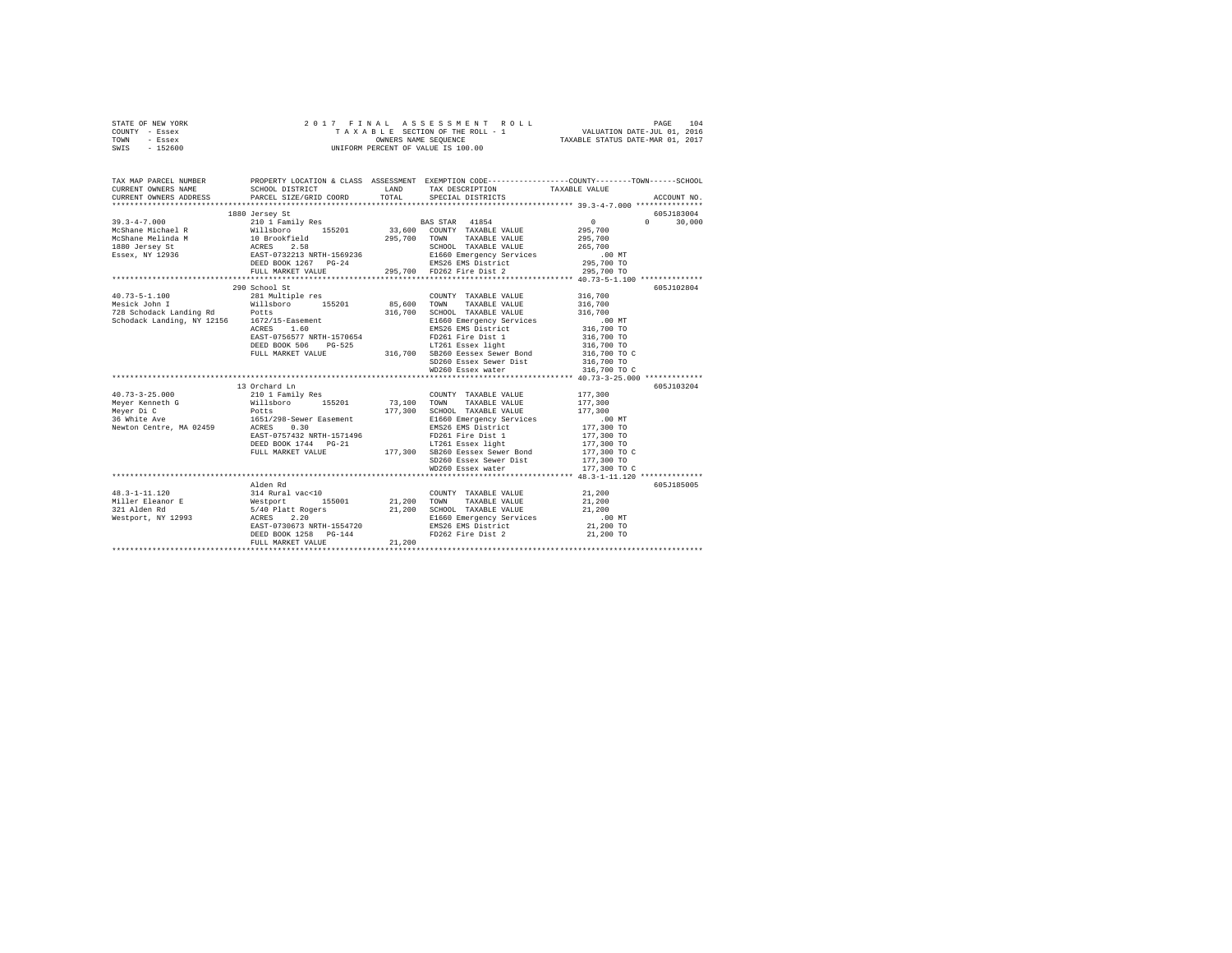| STATE OF NEW YORK | 2017 FINAL ASSESSMENT ROLL         | 104<br>PAGE                      |
|-------------------|------------------------------------|----------------------------------|
| COUNTY - Essex    | TAXABLE SECTION OF THE ROLL - 1    | VALUATION DATE-JUL 01, 2016      |
| TOWN<br>- Essex   | OWNERS NAME SEOUENCE               | TAXABLE STATUS DATE-MAR 01, 2017 |
| $-152600$<br>SWIS | UNIFORM PERCENT OF VALUE IS 100.00 |                                  |

| TAX MAP PARCEL NUMBER<br>CURRENT OWNERS NAME | CURRENT OWNERS ADDRESS PARCEL SIZE/GRID COORD TOTAL SPECIAL DISTRICTS                                                                                                                                                                                             |                                                                     | PROPERTY LOCATION & CLASS ASSESSMENT EXEMPTION CODE---------------COUNTY-------TOWN------SCHOOL<br>ACCOUNT NO. |
|----------------------------------------------|-------------------------------------------------------------------------------------------------------------------------------------------------------------------------------------------------------------------------------------------------------------------|---------------------------------------------------------------------|----------------------------------------------------------------------------------------------------------------|
|                                              | 1880 Jersey St                                                                                                                                                                                                                                                    |                                                                     | 605J183004                                                                                                     |
|                                              | 290 School St                                                                                                                                                                                                                                                     | SD260 Essex Sewer Dist 316,700 TO<br>WD260 Essex water 316,700 TO C | 605J102804                                                                                                     |
|                                              | 13 Orchard Ln<br>1651/298-Sewer Easement<br>1651/298-Sewer Easement<br>RERS 0.30<br>RERS 0.70412 NRTH-1571496<br>DEED BOOK 1744 PG-21<br>177,300 TOLL MARKET VALUE<br>177,300 TOLL MARKET VALUE<br>177,300 TO SD260 Easex Sewer Dat<br>20260 Easex Sewer Dat<br>2 |                                                                     | 605J103204                                                                                                     |
|                                              | Alden Rd<br>DEED BOOK 1258 PG-144<br>FULL MARKET VALUE 21,200                                                                                                                                                                                                     | FD262 Fire Dist 2 21,200 TO                                         | 605J185005                                                                                                     |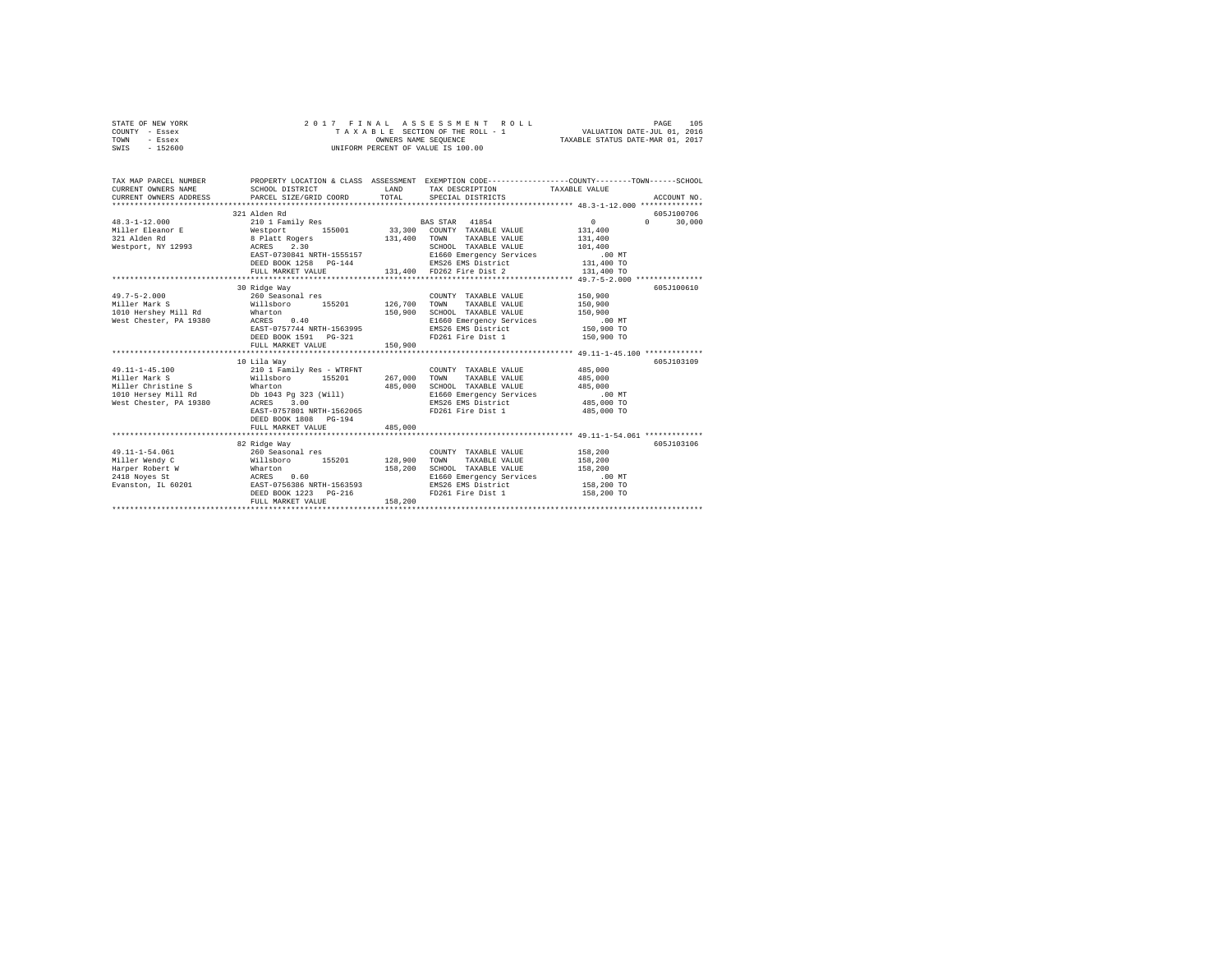| STATE OF NEW YORK<br>COUNTY - Essex                                                                                                                                                                                                                                                                                                                      |                                                                                                                             |  | 2017 FINAL ASSESSMENT ROLL |  |             |  |
|----------------------------------------------------------------------------------------------------------------------------------------------------------------------------------------------------------------------------------------------------------------------------------------------------------------------------------------------------------|-----------------------------------------------------------------------------------------------------------------------------|--|----------------------------|--|-------------|--|
| TOWN - Essex                                                                                                                                                                                                                                                                                                                                             | 2017 FINAL ASSESSMENT COLL-1<br>TAXABLE SECTION OF THE ROLL-1<br>ONNERS NAME SEQUENCE<br>UNIFORM PERCENT OF VALUE IS 100.00 |  |                            |  |             |  |
| SWIS - 152600                                                                                                                                                                                                                                                                                                                                            |                                                                                                                             |  |                            |  |             |  |
|                                                                                                                                                                                                                                                                                                                                                          |                                                                                                                             |  |                            |  |             |  |
|                                                                                                                                                                                                                                                                                                                                                          |                                                                                                                             |  |                            |  |             |  |
| TAX MAP PARCEL NUMBER PROPERTY LOCATION & CLASS ASSESSMENT EXEMPTION CODE--------------COUNTY-------TOWN------SCHOOL                                                                                                                                                                                                                                     |                                                                                                                             |  |                            |  |             |  |
|                                                                                                                                                                                                                                                                                                                                                          |                                                                                                                             |  |                            |  |             |  |
|                                                                                                                                                                                                                                                                                                                                                          |                                                                                                                             |  |                            |  | ACCOUNT NO. |  |
|                                                                                                                                                                                                                                                                                                                                                          |                                                                                                                             |  |                            |  |             |  |
|                                                                                                                                                                                                                                                                                                                                                          | 321 Alden Rd                                                                                                                |  |                            |  | 605J100706  |  |
|                                                                                                                                                                                                                                                                                                                                                          |                                                                                                                             |  |                            |  |             |  |
|                                                                                                                                                                                                                                                                                                                                                          |                                                                                                                             |  |                            |  |             |  |
|                                                                                                                                                                                                                                                                                                                                                          |                                                                                                                             |  |                            |  |             |  |
|                                                                                                                                                                                                                                                                                                                                                          |                                                                                                                             |  |                            |  |             |  |
|                                                                                                                                                                                                                                                                                                                                                          |                                                                                                                             |  |                            |  |             |  |
|                                                                                                                                                                                                                                                                                                                                                          |                                                                                                                             |  |                            |  |             |  |
| $\begin{tabular}{lllllllllllll} \textbf{48.3--1--12.000} & \textbf{521 A160B N} & \textbf{531 A160} & \textbf{632 A160} & \textbf{743 A161} & \textbf{853 B161} & \textbf{953 B161} & \textbf{1045 B161} & \textbf{1050 B161} & \textbf{1050 B161} & \textbf{1050 B161} & \textbf{1050 B161} & \textbf{1050 B161} & \textbf{1050 B161} & \textbf{1050 B$ |                                                                                                                             |  |                            |  |             |  |
|                                                                                                                                                                                                                                                                                                                                                          |                                                                                                                             |  |                            |  |             |  |
|                                                                                                                                                                                                                                                                                                                                                          | 30 Ridge Way                                                                                                                |  |                            |  | 605J100610  |  |
|                                                                                                                                                                                                                                                                                                                                                          |                                                                                                                             |  |                            |  |             |  |
|                                                                                                                                                                                                                                                                                                                                                          |                                                                                                                             |  |                            |  |             |  |
|                                                                                                                                                                                                                                                                                                                                                          |                                                                                                                             |  |                            |  |             |  |
|                                                                                                                                                                                                                                                                                                                                                          |                                                                                                                             |  |                            |  |             |  |
|                                                                                                                                                                                                                                                                                                                                                          |                                                                                                                             |  |                            |  |             |  |
|                                                                                                                                                                                                                                                                                                                                                          |                                                                                                                             |  |                            |  |             |  |
|                                                                                                                                                                                                                                                                                                                                                          |                                                                                                                             |  |                            |  |             |  |
|                                                                                                                                                                                                                                                                                                                                                          |                                                                                                                             |  |                            |  |             |  |
|                                                                                                                                                                                                                                                                                                                                                          | 10 Lila Way                                                                                                                 |  |                            |  | 605J103109  |  |
|                                                                                                                                                                                                                                                                                                                                                          |                                                                                                                             |  |                            |  |             |  |
|                                                                                                                                                                                                                                                                                                                                                          |                                                                                                                             |  |                            |  |             |  |
|                                                                                                                                                                                                                                                                                                                                                          |                                                                                                                             |  |                            |  |             |  |
|                                                                                                                                                                                                                                                                                                                                                          |                                                                                                                             |  |                            |  |             |  |
|                                                                                                                                                                                                                                                                                                                                                          |                                                                                                                             |  |                            |  |             |  |
|                                                                                                                                                                                                                                                                                                                                                          | DEED BOOK 1808 PG-194                                                                                                       |  |                            |  |             |  |
|                                                                                                                                                                                                                                                                                                                                                          | FULL MARKET VALUE 485,000                                                                                                   |  |                            |  |             |  |
|                                                                                                                                                                                                                                                                                                                                                          |                                                                                                                             |  |                            |  |             |  |
|                                                                                                                                                                                                                                                                                                                                                          | 82 Ridge Way                                                                                                                |  |                            |  | 605J103106  |  |
|                                                                                                                                                                                                                                                                                                                                                          |                                                                                                                             |  |                            |  |             |  |
|                                                                                                                                                                                                                                                                                                                                                          |                                                                                                                             |  |                            |  |             |  |
|                                                                                                                                                                                                                                                                                                                                                          |                                                                                                                             |  |                            |  |             |  |
|                                                                                                                                                                                                                                                                                                                                                          |                                                                                                                             |  |                            |  |             |  |
|                                                                                                                                                                                                                                                                                                                                                          |                                                                                                                             |  |                            |  |             |  |
|                                                                                                                                                                                                                                                                                                                                                          |                                                                                                                             |  |                            |  |             |  |
|                                                                                                                                                                                                                                                                                                                                                          |                                                                                                                             |  |                            |  |             |  |
|                                                                                                                                                                                                                                                                                                                                                          |                                                                                                                             |  |                            |  |             |  |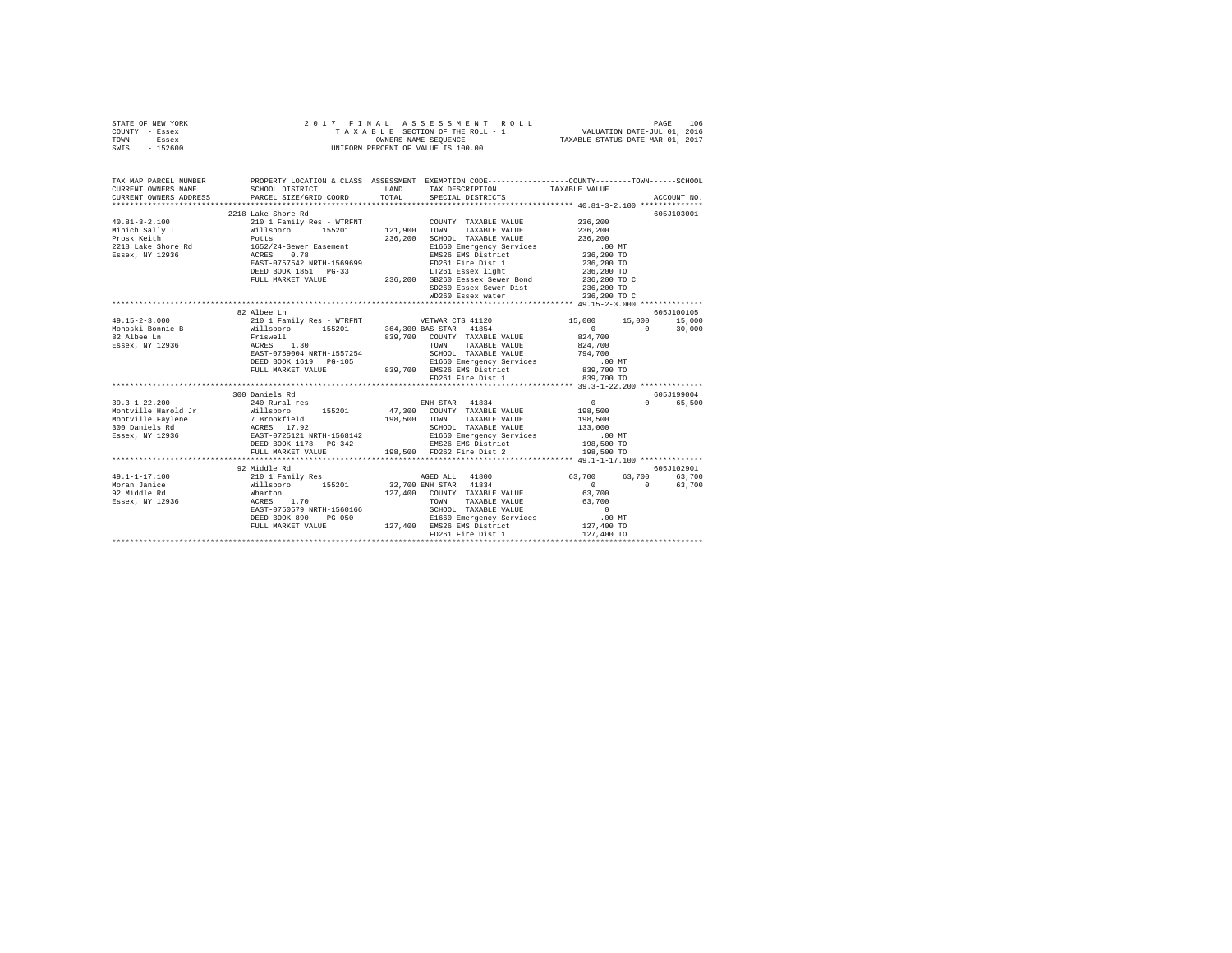|      | STATE OF NEW YORK |  |  | 2017 FINAL ASSESSMENT ROLL         | 106<br>PAGE                      |  |
|------|-------------------|--|--|------------------------------------|----------------------------------|--|
|      | COUNTY - Essex    |  |  | TAXABLE SECTION OF THE ROLL - 1    | VALUATION DATE-JUL 01, 2016      |  |
| TOWN | - Essex           |  |  | OWNERS NAME SEOUENCE               | TAXABLE STATUS DATE-MAR 01, 2017 |  |
| SWIS | - 152600          |  |  | UNIFORM PERCENT OF VALUE IS 100.00 |                                  |  |

| TAX MAP PARCEL NUMBER                                                                                                                                                                                                                                                                                                                                                               | SCHOOL DISTRICT    | PROPERTY LOCATION & CLASS ASSESSMENT EXEMPTION CODE---------------COUNTY-------TOWN------SCHOOL |                |             |
|-------------------------------------------------------------------------------------------------------------------------------------------------------------------------------------------------------------------------------------------------------------------------------------------------------------------------------------------------------------------------------------|--------------------|-------------------------------------------------------------------------------------------------|----------------|-------------|
|                                                                                                                                                                                                                                                                                                                                                                                     |                    |                                                                                                 |                |             |
|                                                                                                                                                                                                                                                                                                                                                                                     | 2218 Lake Shore Rd |                                                                                                 |                | 605J103001  |
|                                                                                                                                                                                                                                                                                                                                                                                     |                    | COUNTY TAXABLE VALUE 236,200                                                                    |                |             |
|                                                                                                                                                                                                                                                                                                                                                                                     |                    | TAXABLE VALUE                                                                                   | 236, 200       |             |
|                                                                                                                                                                                                                                                                                                                                                                                     |                    | SCHOOL TAXABLE VALUE                                                                            | 236,200        |             |
|                                                                                                                                                                                                                                                                                                                                                                                     |                    |                                                                                                 |                |             |
|                                                                                                                                                                                                                                                                                                                                                                                     |                    |                                                                                                 |                |             |
|                                                                                                                                                                                                                                                                                                                                                                                     |                    |                                                                                                 |                |             |
|                                                                                                                                                                                                                                                                                                                                                                                     |                    |                                                                                                 |                |             |
|                                                                                                                                                                                                                                                                                                                                                                                     |                    |                                                                                                 |                |             |
|                                                                                                                                                                                                                                                                                                                                                                                     |                    |                                                                                                 |                |             |
|                                                                                                                                                                                                                                                                                                                                                                                     |                    |                                                                                                 |                |             |
|                                                                                                                                                                                                                                                                                                                                                                                     |                    |                                                                                                 |                |             |
|                                                                                                                                                                                                                                                                                                                                                                                     | 82 Albee Ln        |                                                                                                 |                | 605J100105  |
|                                                                                                                                                                                                                                                                                                                                                                                     |                    |                                                                                                 |                |             |
|                                                                                                                                                                                                                                                                                                                                                                                     |                    |                                                                                                 |                |             |
|                                                                                                                                                                                                                                                                                                                                                                                     |                    |                                                                                                 |                |             |
|                                                                                                                                                                                                                                                                                                                                                                                     |                    |                                                                                                 |                |             |
|                                                                                                                                                                                                                                                                                                                                                                                     |                    |                                                                                                 |                |             |
|                                                                                                                                                                                                                                                                                                                                                                                     |                    |                                                                                                 |                |             |
| $\begin{tabular}{l c c c c c} \multicolumn{1}{c}{\textbf{49.15}-2-3.000 & $\textbf{82} \text{ } \text{Albe L} & $\textbf{63.15}-1$ & $\textbf{15.000}$ & $\textbf{15.000}$ & $\textbf{15.000}$ & $\textbf{15.000}$ & $\textbf{15.000}$ & $\textbf{15.000}$ & $\textbf{15.000}$ & $\textbf{15.000}$ & $\textbf{15.000}$ & $\textbf{15.000}$ & $\textbf{15.000}$ & $\textbf{15.000}$$ |                    |                                                                                                 |                |             |
|                                                                                                                                                                                                                                                                                                                                                                                     |                    |                                                                                                 |                |             |
|                                                                                                                                                                                                                                                                                                                                                                                     |                    |                                                                                                 |                |             |
|                                                                                                                                                                                                                                                                                                                                                                                     | 300 Daniels Rd     |                                                                                                 |                | 605J199004  |
| $39.3 - 1 - 22.200$                                                                                                                                                                                                                                                                                                                                                                 | 240 Rural res      | ENH STAR 41834                                                                                  | $\overline{0}$ | 0 65.500    |
|                                                                                                                                                                                                                                                                                                                                                                                     |                    |                                                                                                 |                |             |
|                                                                                                                                                                                                                                                                                                                                                                                     |                    |                                                                                                 |                |             |
|                                                                                                                                                                                                                                                                                                                                                                                     |                    |                                                                                                 |                |             |
|                                                                                                                                                                                                                                                                                                                                                                                     |                    |                                                                                                 |                |             |
|                                                                                                                                                                                                                                                                                                                                                                                     |                    |                                                                                                 |                |             |
| Montville Faylene<br>Montville Faylene<br>Montville Faylene<br>200 Daniels Rd RCRES 17.92<br>200 Daniels Rd RCRES 17.92<br>200 Daniels Rd RCRES 17.92<br>200 Daniels Rd RES PORT 1178<br>200 Daniels Rd RES PORT 1178<br>200 Daniels Rd RES                                                                                                                                         |                    |                                                                                                 |                |             |
|                                                                                                                                                                                                                                                                                                                                                                                     |                    |                                                                                                 |                |             |
|                                                                                                                                                                                                                                                                                                                                                                                     | 92 Middle Rd       |                                                                                                 |                | 605-7102901 |
| $49.1 - 1 - 17.100$                                                                                                                                                                                                                                                                                                                                                                 |                    |                                                                                                 |                |             |
| Moran Janice                                                                                                                                                                                                                                                                                                                                                                        |                    |                                                                                                 |                |             |
|                                                                                                                                                                                                                                                                                                                                                                                     |                    |                                                                                                 |                |             |
| 92 Middle Rd<br>Essex, NY 12936                                                                                                                                                                                                                                                                                                                                                     |                    |                                                                                                 |                |             |
|                                                                                                                                                                                                                                                                                                                                                                                     |                    |                                                                                                 |                |             |
|                                                                                                                                                                                                                                                                                                                                                                                     |                    |                                                                                                 |                |             |
|                                                                                                                                                                                                                                                                                                                                                                                     |                    |                                                                                                 |                |             |
|                                                                                                                                                                                                                                                                                                                                                                                     |                    |                                                                                                 |                |             |
|                                                                                                                                                                                                                                                                                                                                                                                     |                    |                                                                                                 |                |             |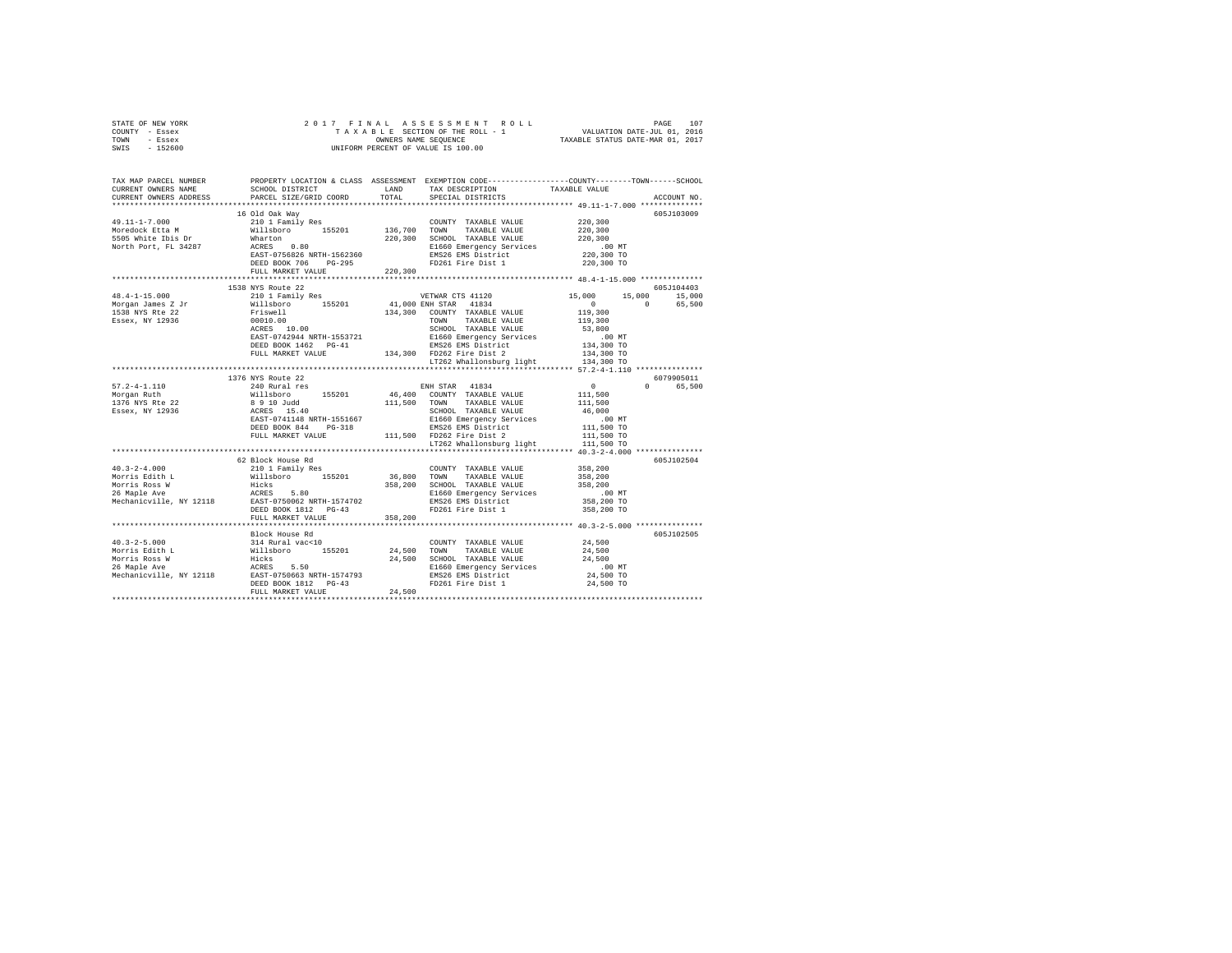| STATE OF NEW YORK<br>COUNTY - Essex<br>TOWN - Essex<br>SWIS - 152600 |                                                                                                                                                                                                                                                                   |         |                                                                                                                  |                                  |             |
|----------------------------------------------------------------------|-------------------------------------------------------------------------------------------------------------------------------------------------------------------------------------------------------------------------------------------------------------------|---------|------------------------------------------------------------------------------------------------------------------|----------------------------------|-------------|
|                                                                      | TAX MAP PARCEL NUMBER PROPERTY LOCATION & CLASS ASSESSMENT EXEMPTION CODE--------------COUNTY-------TOWN------SCHOOL<br>CURRENT OWNERS NAME SCHOOL DISTRICT LAND TAX DESCRIPTION TAVARER VALUE                                                                    |         | TAX DESCRIPTION TAXABLE VALUE                                                                                    |                                  |             |
| CURRENT OWNERS ADDRESS                                               | PARCEL SIZE/GRID COORD                                                                                                                                                                                                                                            | TOTAL   | SPECIAL DISTRICTS                                                                                                |                                  | ACCOUNT NO. |
|                                                                      |                                                                                                                                                                                                                                                                   |         |                                                                                                                  |                                  |             |
|                                                                      | %<br><br>van may Res (COUNTY TAXABLE VALUE Will<br>sboro 155201 136,700 TOWN TAXABLE VALUE What<br>TOWN 220,300 SCHOOL TAXABLE VALUE ACRES (2010) 1980 1660 Emergency Sav<br>viracle $\,$                                                                         |         |                                                                                                                  | 220,300                          | 605J103009  |
| $49.11 - 1 - 7.000$<br>Moredock Etta M                               |                                                                                                                                                                                                                                                                   |         |                                                                                                                  | 220,300                          |             |
|                                                                      |                                                                                                                                                                                                                                                                   |         |                                                                                                                  |                                  |             |
| 5505 White Ibis Dr<br>North Port, FL 34287                           |                                                                                                                                                                                                                                                                   |         |                                                                                                                  |                                  |             |
|                                                                      |                                                                                                                                                                                                                                                                   |         |                                                                                                                  | $220,300$<br>00 MT<br>220,300 TO |             |
|                                                                      | ACRES 0.80<br>EAST-0756826 NRTH-1562360 - EMS26 EMS District<br>DEED BOOK 706 PG-295 - PD261 Fire Dist 1                                                                                                                                                          |         |                                                                                                                  | 220,300 TO                       |             |
|                                                                      | FULL MARKET VALUE 220.300                                                                                                                                                                                                                                         |         |                                                                                                                  |                                  |             |
|                                                                      | 1538 NYS Route 22                                                                                                                                                                                                                                                 |         |                                                                                                                  |                                  | 605J104403  |
|                                                                      |                                                                                                                                                                                                                                                                   |         |                                                                                                                  |                                  |             |
|                                                                      | $\begin{array}{cccccc} 48.4-1-15.000 & 155.000 & 155.000 & 155.000 & 155.000 & 155.000 & 155.000 & 155.000 & 155.000 & 155.000 & 155.000 & 155.000 & 155.000 & 155.000 & 155.000 & 155.000 & 155.000 & 155.000 & 155.000 & 155.000 & 155.000 & 155.000 & 155.000$ |         |                                                                                                                  |                                  |             |
|                                                                      |                                                                                                                                                                                                                                                                   |         |                                                                                                                  |                                  |             |
|                                                                      |                                                                                                                                                                                                                                                                   |         |                                                                                                                  |                                  |             |
|                                                                      |                                                                                                                                                                                                                                                                   |         |                                                                                                                  |                                  |             |
|                                                                      |                                                                                                                                                                                                                                                                   |         |                                                                                                                  |                                  |             |
|                                                                      |                                                                                                                                                                                                                                                                   |         |                                                                                                                  |                                  |             |
|                                                                      |                                                                                                                                                                                                                                                                   |         |                                                                                                                  |                                  |             |
|                                                                      |                                                                                                                                                                                                                                                                   |         |                                                                                                                  |                                  |             |
|                                                                      | 1376 NYS Route 22                                                                                                                                                                                                                                                 |         |                                                                                                                  |                                  | 6079905011  |
| $57.2 - 4 - 1.110$<br>Morgan Ruth                                    | 240 Rural res                                                                                                                                                                                                                                                     |         |                                                                                                                  |                                  | 0 65,500    |
| 1376 NYS Rte 22                                                      |                                                                                                                                                                                                                                                                   |         |                                                                                                                  |                                  |             |
| Essex, NY 12936                                                      |                                                                                                                                                                                                                                                                   |         |                                                                                                                  |                                  |             |
|                                                                      |                                                                                                                                                                                                                                                                   |         |                                                                                                                  |                                  |             |
|                                                                      |                                                                                                                                                                                                                                                                   |         |                                                                                                                  |                                  |             |
|                                                                      |                                                                                                                                                                                                                                                                   |         |                                                                                                                  |                                  |             |
|                                                                      |                                                                                                                                                                                                                                                                   |         |                                                                                                                  |                                  |             |
|                                                                      |                                                                                                                                                                                                                                                                   |         |                                                                                                                  |                                  |             |
|                                                                      |                                                                                                                                                                                                                                                                   |         |                                                                                                                  |                                  | 605J102504  |
|                                                                      |                                                                                                                                                                                                                                                                   |         |                                                                                                                  |                                  |             |
|                                                                      |                                                                                                                                                                                                                                                                   |         |                                                                                                                  |                                  |             |
|                                                                      |                                                                                                                                                                                                                                                                   |         |                                                                                                                  | .00 MT                           |             |
|                                                                      |                                                                                                                                                                                                                                                                   |         |                                                                                                                  | 358,200 TO                       |             |
|                                                                      |                                                                                                                                                                                                                                                                   |         |                                                                                                                  | 358,200 TO                       |             |
|                                                                      | FULL MARKET VALUE                                                                                                                                                                                                                                                 | 358,200 |                                                                                                                  |                                  |             |
|                                                                      | Block House Rd                                                                                                                                                                                                                                                    |         |                                                                                                                  |                                  | 605J102505  |
| $40.3 - 2 - 5.000$                                                   |                                                                                                                                                                                                                                                                   |         | $\begin{tabular}{lllllll} \textbf{COUNTY} & \textbf{TAXABLE} & \textbf{VALUE} & & \textbf{24,500} \end{tabular}$ |                                  |             |
|                                                                      |                                                                                                                                                                                                                                                                   |         |                                                                                                                  | 24,500                           |             |
|                                                                      |                                                                                                                                                                                                                                                                   |         |                                                                                                                  | 24,500                           |             |
|                                                                      |                                                                                                                                                                                                                                                                   |         |                                                                                                                  | .00 MT<br>24,500 TO              |             |
|                                                                      |                                                                                                                                                                                                                                                                   |         |                                                                                                                  | 24,500 TO                        |             |
|                                                                      | FULL MARKET VALUE 24,500                                                                                                                                                                                                                                          |         |                                                                                                                  |                                  |             |
|                                                                      |                                                                                                                                                                                                                                                                   |         |                                                                                                                  |                                  |             |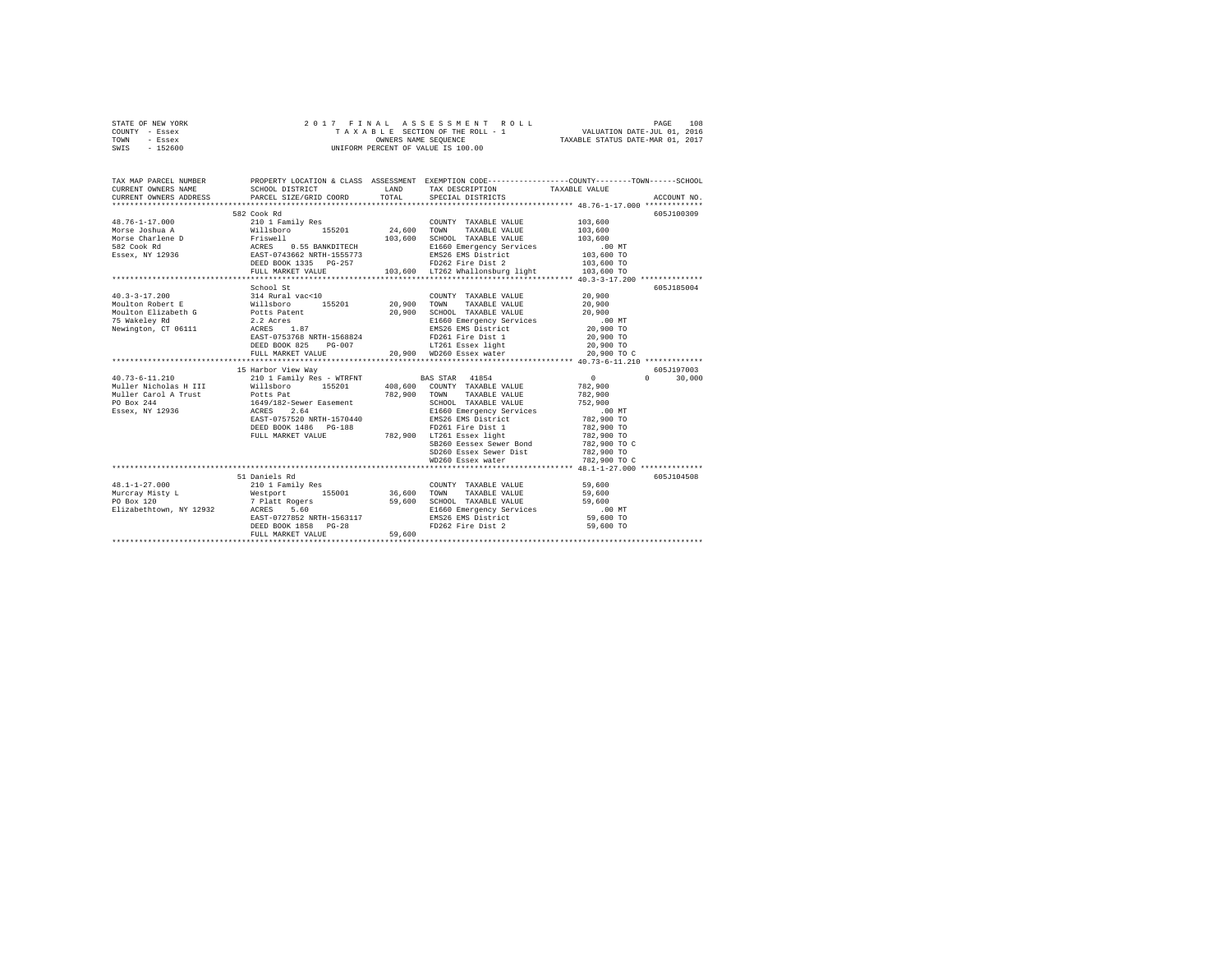| STATE OF NEW YORK | 2017 FINAL ASSESSMENT ROLL         | 108<br>PAGE                      |
|-------------------|------------------------------------|----------------------------------|
| COUNTY - Essex    | TAXABLE SECTION OF THE ROLL - 1    | VALUATION DATE-JUL 01, 2016      |
| TOWN<br>- Essex   | OWNERS NAME SEOUENCE               | TAXABLE STATUS DATE-MAR 01, 2017 |
| - 152600<br>SWIS  | UNIFORM PERCENT OF VALUE IS 100.00 |                                  |

| TAX MAP PARCEL NUMBER                                                                                                                                                                                                                                            |                           |        | PROPERTY LOCATION & CLASS ASSESSMENT EXEMPTION CODE---------------COUNTY-------TOWN------SCHOOL                                            |                          |                              |
|------------------------------------------------------------------------------------------------------------------------------------------------------------------------------------------------------------------------------------------------------------------|---------------------------|--------|--------------------------------------------------------------------------------------------------------------------------------------------|--------------------------|------------------------------|
|                                                                                                                                                                                                                                                                  | 582 Cook Rd               |        |                                                                                                                                            |                          | 605J100309                   |
| 48.76-1-17.000                                                                                                                                                                                                                                                   | 210 1 Family Res          |        | COUNTY TAXABLE VALUE 103,600                                                                                                               |                          |                              |
|                                                                                                                                                                                                                                                                  |                           |        | TAXABLE VALUE<br>TOWN                                                                                                                      | 103,600                  |                              |
| More Joshua A 1991 - 2011 - 2012<br>More Charlene D - 24,600<br>More Charlene D - 24,600<br>More Charlene D - 24,600<br>292 - 24,600<br>292 - 24,600<br>292 - 24,600<br>292 - 24,600<br>292 - 24,600<br>292 - 24,600<br>292 - 24,600<br>292 - 24,600             |                           |        | SCHOOL TAXABLE VALUE                                                                                                                       | 103,600                  |                              |
|                                                                                                                                                                                                                                                                  |                           |        |                                                                                                                                            |                          |                              |
|                                                                                                                                                                                                                                                                  |                           |        |                                                                                                                                            |                          |                              |
|                                                                                                                                                                                                                                                                  |                           |        | SCHOOL TAXABLE VALUE<br>E1660 Emergency Services<br>EMS26 EMS District 103,600 TO<br>103,600 TO<br>EMS26 EMS District<br>FD262 Fire Dist 2 | 103,600 TO               |                              |
|                                                                                                                                                                                                                                                                  | FULL MARKET VALUE         |        | 103,600 LT262 Whallonsburg light 103,600 TO                                                                                                |                          |                              |
|                                                                                                                                                                                                                                                                  |                           |        |                                                                                                                                            |                          |                              |
|                                                                                                                                                                                                                                                                  | School St                 |        |                                                                                                                                            |                          | 605J185004                   |
|                                                                                                                                                                                                                                                                  |                           |        | COUNTY TAXABLE VALUE 20,900                                                                                                                |                          |                              |
| 40.3-3-17.200<br>Moulton Robert E (1990)<br>Moulton Elizabeth G (1991)<br>Moulton Elizabeth G (1991)<br>75 Wakeley Rd (2.2 Acres<br>Newington, CT 06111 (1993)<br>2825-0753768 NRTH-1568824                                                                      |                           |        |                                                                                                                                            |                          |                              |
|                                                                                                                                                                                                                                                                  |                           |        | 20,900 TOWN TAXABLE VALUE                                                                                                                  | 20,900                   |                              |
|                                                                                                                                                                                                                                                                  |                           |        | SCHOOL TAXABLE VALUE                                                                                                                       | 20,900                   |                              |
|                                                                                                                                                                                                                                                                  |                           |        | E1660 Emergency Services .00 MT                                                                                                            |                          |                              |
|                                                                                                                                                                                                                                                                  |                           |        | EMS26 EMS District                                                                                                                         | 20,900 TO<br>20,900 TO   |                              |
|                                                                                                                                                                                                                                                                  |                           |        | FD261 Fire Dist 1                                                                                                                          |                          |                              |
|                                                                                                                                                                                                                                                                  | DEED BOOK 825             |        | PG-007 17261 Essex light 20,900 TO                                                                                                         |                          |                              |
|                                                                                                                                                                                                                                                                  | FULL MARKET VALUE         |        | 20,900 WD260 Essex water                                                                                                                   | 20,900 TO C              |                              |
|                                                                                                                                                                                                                                                                  |                           |        |                                                                                                                                            |                          |                              |
|                                                                                                                                                                                                                                                                  | 15 Harbor View Way        |        |                                                                                                                                            | $\sim$ 0 $\sim$          | 605J197003<br>0 <sup>1</sup> |
| $\begin{array}{lllllll} 40.73\hbox{--}6\hbox{--}11.210 & & & 210\hbox{1 Family Res}\hbox{--}WTRFWT & & & \text{BAS STAR} & 41854 \\ \text{Muller Nicholas H III} & & & \text{Willsboro} & 155201 & & 408,600 & \text{COUNTY} & \text{TAXABLE VALUE} \end{array}$ |                           |        |                                                                                                                                            | 782,900                  | 30,000                       |
|                                                                                                                                                                                                                                                                  |                           |        |                                                                                                                                            |                          |                              |
|                                                                                                                                                                                                                                                                  |                           |        |                                                                                                                                            | 782,900                  |                              |
|                                                                                                                                                                                                                                                                  |                           |        |                                                                                                                                            | 752,900                  |                              |
|                                                                                                                                                                                                                                                                  |                           |        | E1660 Emergency Services                                                                                                                   | .00MT                    |                              |
|                                                                                                                                                                                                                                                                  | EAST-0757520 NRTH-1570440 |        | EMS26 EMS District 782,900 TO                                                                                                              |                          |                              |
|                                                                                                                                                                                                                                                                  | DEED BOOK 1486 PG-188     |        | G-188 FD261 Fire Dist 1<br>782,900 LT261 Essex light                                                                                       | 782,900 TO<br>782,900 TO |                              |
|                                                                                                                                                                                                                                                                  | FULL MARKET VALUE         |        |                                                                                                                                            |                          |                              |
|                                                                                                                                                                                                                                                                  |                           |        | SB260 Eessex Sewer Bond 782,900 TO C                                                                                                       |                          |                              |
|                                                                                                                                                                                                                                                                  |                           |        | SD260 Essex Sewer Dist<br>WD260 Essex water                                                                                                | 782,900 TO               |                              |
|                                                                                                                                                                                                                                                                  |                           |        |                                                                                                                                            | 782,900 TO C             |                              |
|                                                                                                                                                                                                                                                                  |                           |        |                                                                                                                                            |                          |                              |
|                                                                                                                                                                                                                                                                  | 51 Daniels Rd             |        |                                                                                                                                            |                          | 605J104508                   |
| $48.1 - 1 - 27.000$                                                                                                                                                                                                                                              | 210 1 Family Res          |        | COUNTY TAXABLE VALUE 59,600                                                                                                                |                          |                              |
|                                                                                                                                                                                                                                                                  |                           |        | 36,600 TOWN TAXABLE VALUE 59,600<br>59,600 SCHOOL TAXABLE VALUE 59,600                                                                     |                          |                              |
| Murcray Misty Law Westport 155001<br>PO Box 120 10 10 7 Platt Rogers<br>Elizabethtown, NY 12932 ACRES 5.60                                                                                                                                                       |                           |        | SCHOOL TAXABLE VALUE 59,600<br>E1660 Emergency Services .00 MT                                                                             |                          |                              |
|                                                                                                                                                                                                                                                                  |                           |        |                                                                                                                                            |                          |                              |
|                                                                                                                                                                                                                                                                  | EAST-0727852 NRTH-1563117 |        | EMS26 EMS District                                                                                                                         | 59,600 TO                |                              |
|                                                                                                                                                                                                                                                                  | DEED BOOK 1858 PG-28      |        | FD262 Fire Dist 2                                                                                                                          | 59,600 TO                |                              |
|                                                                                                                                                                                                                                                                  | FULL MARKET VALUE         | 59.600 |                                                                                                                                            |                          |                              |
|                                                                                                                                                                                                                                                                  |                           |        |                                                                                                                                            |                          |                              |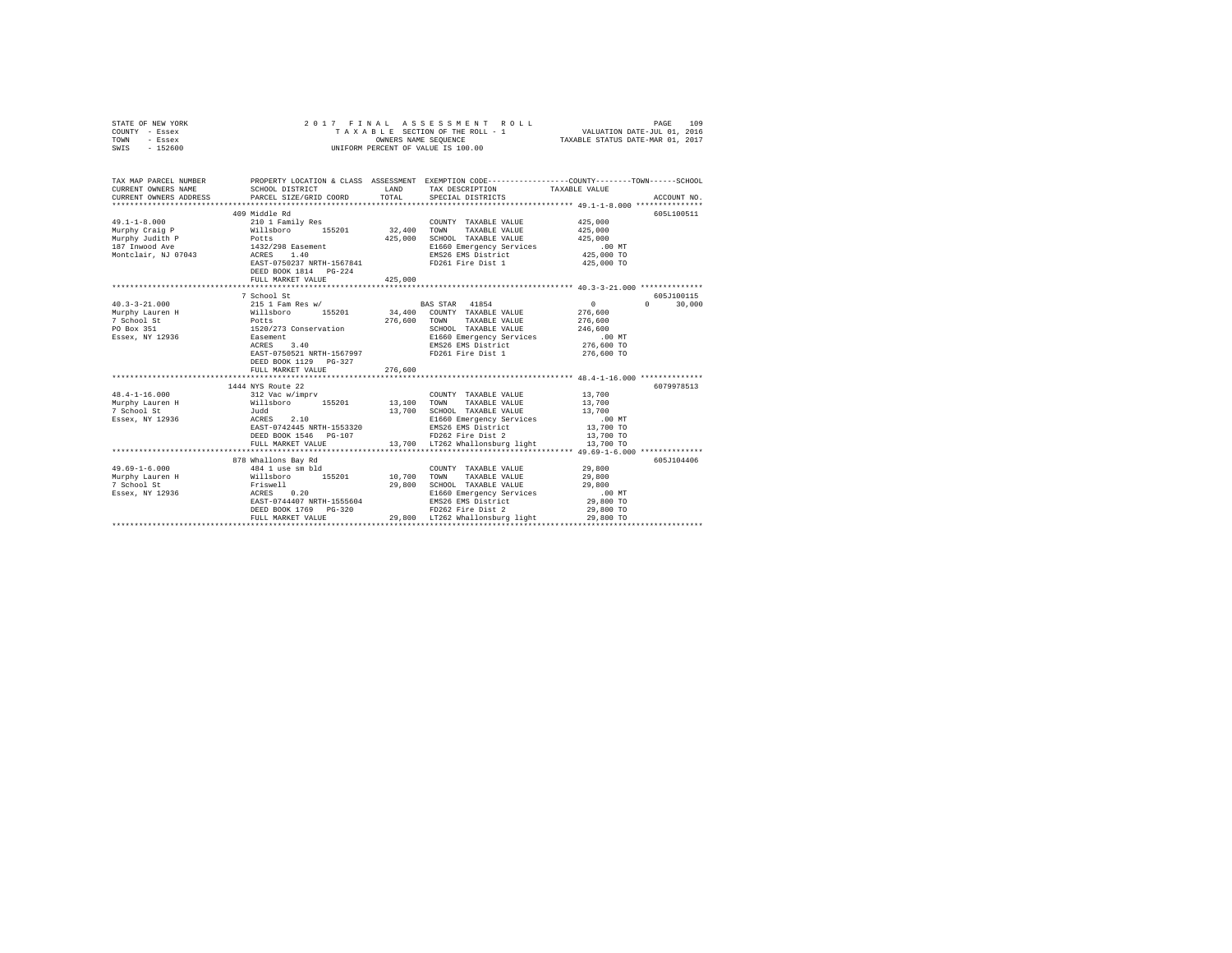| STATE OF NEW YORK<br>COUNTY - Essex<br>TOWN<br>- Essex<br>SWIS - 152600                | 2017 FINAL                                                                                                                                                                                                                                                                             |         | ASSESSMENT ROLL<br>T A X A B L E SECTION OF THE ROLL - 1<br>OWNERS NAME SEQUENCE<br>UNIFORM PERCENT OF VALUE IS 100.00  | VALUATION DATE-JUL 01, 2016<br>TAXABLE STATUS DATE-MAR 01, 2017               | 109<br>PAGE                 |
|----------------------------------------------------------------------------------------|----------------------------------------------------------------------------------------------------------------------------------------------------------------------------------------------------------------------------------------------------------------------------------------|---------|-------------------------------------------------------------------------------------------------------------------------|-------------------------------------------------------------------------------|-----------------------------|
| TAX MAP PARCEL NUMBER<br>CURRENT OWNERS NAME<br>CURRENT OWNERS ADDRESS                 | PROPERTY LOCATION & CLASS ASSESSMENT EXEMPTION CODE-----------------COUNTY-------TOWN-----SCHOOL<br>SCHOOL DISTRICT TAND TAX DESCRIPTION<br>PARCEL SIZE/GRID COORD                                                                                                                     | TOTAL   | SPECIAL DISTRICTS                                                                                                       | TAXABLE VALUE                                                                 | ACCOUNT NO.                 |
|                                                                                        | 409 Middle Rd<br>DEED BOOK 1814 PG-224<br>FULL MARKET VALUE                                                                                                                                                                                                                            | 425,000 | COUNTY TAXABLE VALUE 425,000                                                                                            | 425,000<br>425,000<br>425,000 TO                                              | 605L100511                  |
|                                                                                        |                                                                                                                                                                                                                                                                                        |         |                                                                                                                         |                                                                               |                             |
| $40.3 - 3 - 21.000$<br>Murphy Lauren H<br>7 School St<br>PO Box 351<br>Essex, NY 12936 | 7 School St<br>215 1 Fam Res w/<br>Willsboro 155201 34,400 COUNTY TAXABLE VALUE<br>Potts 276,600 TOWN TAXABLE VALUE<br>1520/273 Conservation SCHOOL TAXABLE VALUE<br>Easement E1660 Emergency Services<br>Easement<br>ACRES 3.40<br>EAST-0750521 NRTH-1567997<br>DEED BOOK 1129 PG-327 |         | BAS STAR 41854<br>SCHOOL TAXABLE VALUE<br>EMS26 EMS District<br>ED261 Fire Dist 1<br>FD261 Fire Dist 1                  | 0<br>276,600<br>276,600<br>246,600<br>.00 MT<br>276,600 TO<br>276,600 TO      | 605J100115<br>$0 \t 30.000$ |
|                                                                                        | FULL MARKET VALUE                                                                                                                                                                                                                                                                      | 276,600 |                                                                                                                         |                                                                               |                             |
| $48.4 - 1 - 16.000$<br>Murphy Lauren H<br>7 School St<br>Essex, NY 12936               | 1444 NYS Route 22<br>ACRES 2.10<br>EAST-0742445 NRTH-1553320<br>DEED BOOK 1546 PG-107                                                                                                                                                                                                  |         | EMS26 EMS District<br>FD262 Fire Dist 2<br>FULL MARKET VALUE 13,700 LT262 Whallonsburg light 13,700 TO                  | 13,700<br>13,700<br>13,700<br>.00 MT<br>13,700 TO<br>13,700 TO                | 6079978513                  |
|                                                                                        | 878 Whallons Bay Rd                                                                                                                                                                                                                                                                    |         |                                                                                                                         |                                                                               | 605J104406                  |
| $49.69 - 1 - 6.000$<br>Murphy Lauren H<br>7 School St<br>Essex, NY 12936               | 444 1 use sm bld<br>444 1 use sm bld<br>10,700<br>Priswell<br>ACRES 0.20<br>29,800<br>ACRES 0.20<br>EAST-0744407<br>RETH-1555604<br>DEED BOOK 1769 PG-320 PD262 Fire Dist 2<br>PEED BOOK 1769 PG-320 29,800 LT262 What construct in the PTF Mapping Light                              |         | COUNTY TAXABLE VALUE<br>TAXABLE VALUE<br>TOWN<br>SCHOOL TAXABLE VALUE<br>E1660 Emergency Services<br>EMS26 EMS District | 29,800<br>29,800<br>29,800<br>$.00$ MT<br>29,800 TO<br>29,800 TO<br>29,800 TO |                             |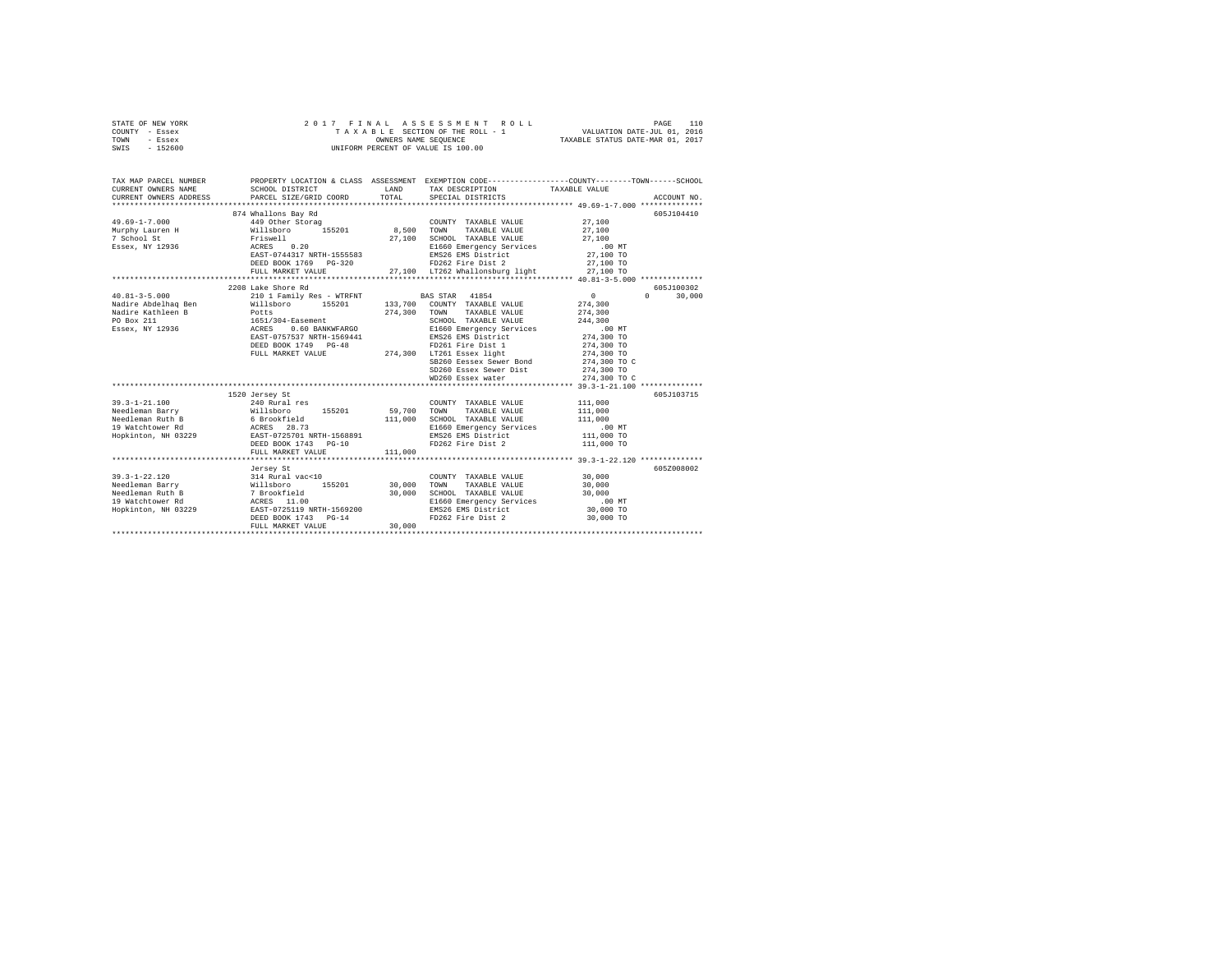| STATE OF NEW YORK | 2017 FINAL ASSESSMENT ROLL         | 110<br>PAGE                      |
|-------------------|------------------------------------|----------------------------------|
| COUNTY - Essex    | TAXABLE SECTION OF THE ROLL - 1    | VALUATION DATE-JUL 01, 2016      |
| TOWN<br>- Essex   | OWNERS NAME SEOUENCE               | TAXABLE STATUS DATE-MAR 01, 2017 |
| $-152600$<br>SWIS | UNIFORM PERCENT OF VALUE IS 100.00 |                                  |

| TAX MAP PARCEL NUMBER<br>CURRENT OWNERS NAME<br>CURRENT OWNERS ADDRESS                                | SCHOOL DISTRICT<br>PARCEL SIZE/GRID COORD                                                                                                                                                            | LAND<br>TOTAL                     | PROPERTY LOCATION & CLASS ASSESSMENT EXEMPTION CODE----------------COUNTY-------TOWN-----SCHOOL<br>TAX DESCRIPTION TAXABLE VALUE<br>SPECIAL DISTRICTS                                                                                                                                                     |                                                                                                                 | ACCOUNT NO.                     |
|-------------------------------------------------------------------------------------------------------|------------------------------------------------------------------------------------------------------------------------------------------------------------------------------------------------------|-----------------------------------|-----------------------------------------------------------------------------------------------------------------------------------------------------------------------------------------------------------------------------------------------------------------------------------------------------------|-----------------------------------------------------------------------------------------------------------------|---------------------------------|
| $49.69 - 1 - 7.000$<br>7 School St<br>Essex, NY 12936                                                 | 874 Whallons Bay Rd<br>449 Other Storag<br>Murphy Lauren H Willsboro 155201 8,500 TOWN<br>Friswell<br>ACRES 0.20<br>EAST-0744317 NRTH-1555583<br>DEED BOOK 1769 PG-320<br>FULL MARKET VALUE          | 27,100                            | COUNTY TAXABLE VALUE<br>TAXABLE VALUE<br>SCHOOL TAXABLE VALUE<br>E1660 Emergency Services<br>EMS26 EMS District<br>FD262 Fire Dist 2<br>27.100 LT262 Whallonsburg light                                                                                                                                   | 27,100<br>27,100<br>27,100<br>.00MT<br>27,100 TO<br>27,100 TO<br>27,100 TO                                      | 605J104410                      |
| $40.81 - 3 - 5.000$<br>Nadire Abdelhaq Ben<br>Nadire Kathleen B<br>PO Box 211<br>Essex, NY 12936      | 2208 Lake Shore Rd<br>210 1 Family Res - WTRFNT<br>Willsboro 155201<br>Potts<br>1651/304-Easement<br>ACRES 0.60 BANKWFARGO<br>EAST-0757537 NRTH-1569441<br>DEED BOOK 1749 PG-48<br>FULL MARKET VALUE | 274,300                           | <b>BAS STAR</b> 41854<br>133,700 COUNTY TAXABLE VALUE<br>TOWN TAXABLE VALUE<br>SCHOOL TAXABLE VALUE<br>E1660 Emergency Services<br>EMS26 EMS District<br>FD261 Fire Dist 1<br>274,300 LT261 Essex light<br>SB260 Eessex Sewer Bond 274,300 TO C<br>SD260 Essex Sewer Dist 274,300 TO<br>WD260 Essex water | $\sim$ 0<br>274,300<br>274,300<br>244,300<br>$.00$ MT<br>274,300 TO<br>274,300 TO<br>274,300 TO<br>274,300 TO C | 605-7100302<br>$\cap$<br>30,000 |
| $39.3 - 1 - 21.100$<br>Needleman Barry<br>Needleman Ruth B<br>19 Watchtower Rd<br>Hopkinton, NH 03229 | 1520 Jersey St<br>240 Rural res<br>Willsboro 155201<br>6 Brookfield<br>ACRES 28.73<br>29 EAST-0725701 NRTH-1568891<br>DEED BOOK 1743 PG-10<br>FULL MARKET VALUE                                      | 59,700 TOWN<br>111,000<br>111,000 | COUNTY TAXABLE VALUE<br>TAXABLE VALUE<br>SCHOOL TAXABLE VALUE<br>E1660 Emergency Services<br>EMS26 EMS District<br>FD262 Fire Dist 2                                                                                                                                                                      | 111,000<br>111,000<br>111,000<br>$.00$ MT<br>111,000 TO<br>111,000 TO                                           | 605J103715                      |
| $39.3 - 1 - 22.120$<br>Needleman Barry<br>Needleman Ruth B<br>19 Watchtower Rd<br>Hopkinton, NH 03229 | Jersey St<br>314 Rural vac<10<br>7 Brookfield<br>7 Brookfield<br>29<br>8 Rural 1.00<br>8 Rural 1.00<br>8 Rural 1.00<br>8 Rural 1569200<br>DEED BOOK 1743 PG-14<br>FULL MARKET VALUE                  | 30,000<br>30,000                  | COUNTY TAXABLE VALUE<br>30,000 TOWN TAXABLE VALUE<br>SCHOOL TAXABLE VALUE<br>E1660 Emergency Services<br>EMS26 EMS District<br>FD262 Fire Dist 2                                                                                                                                                          | 30,000<br>30,000<br>30,000<br>$.00$ MT<br>30,000 TO<br>30,000 TO                                                | 605Z008002                      |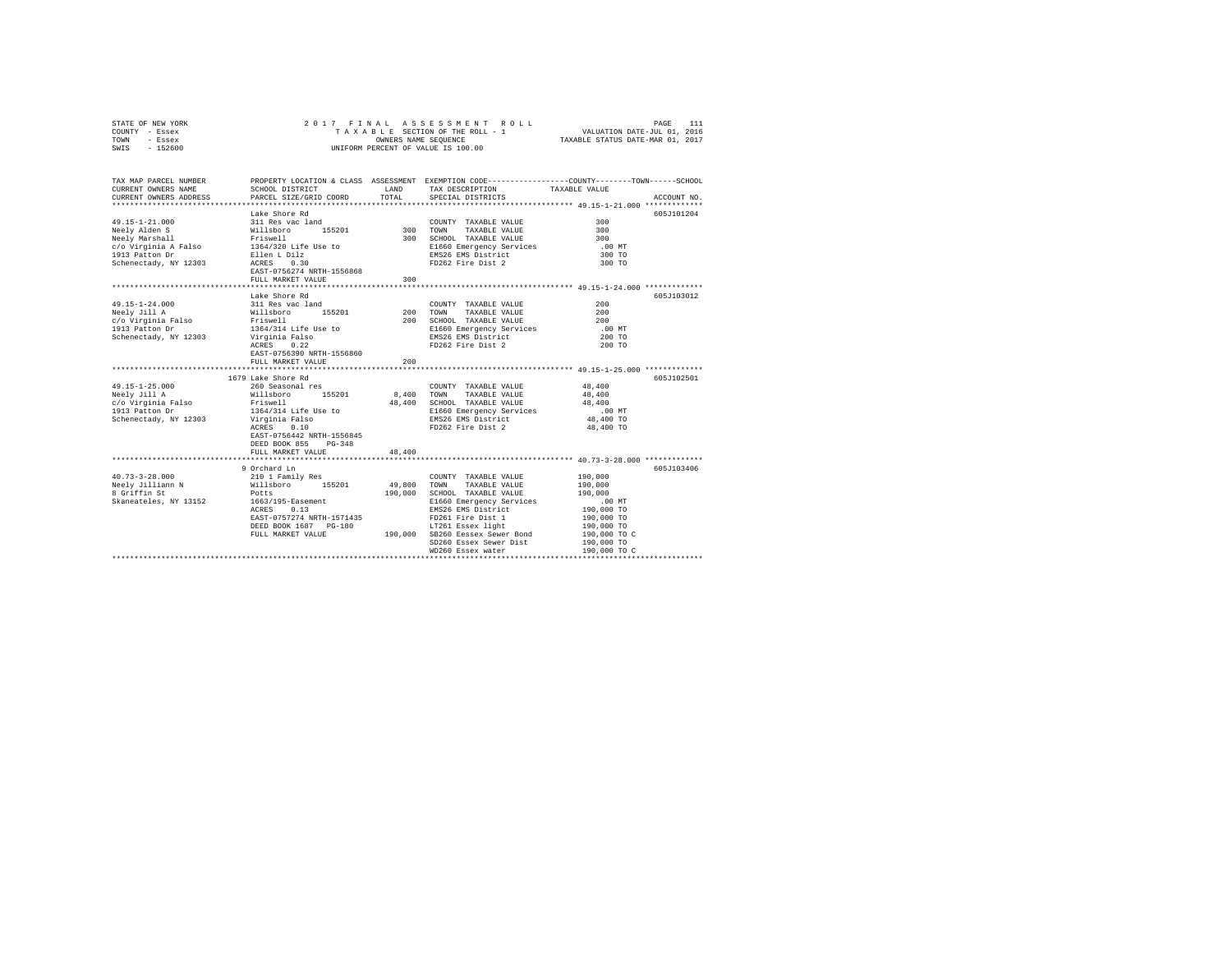| STATE OF NEW YORK                |                                        |            |                                                                                                 |                          |             |
|----------------------------------|----------------------------------------|------------|-------------------------------------------------------------------------------------------------|--------------------------|-------------|
| COUNTY - Essex                   |                                        |            |                                                                                                 |                          |             |
| - Essex<br>TOWN                  |                                        |            |                                                                                                 |                          |             |
| $-152600$<br>SWIS                |                                        |            | UNIFORM PERCENT OF VALUE IS 100.00                                                              |                          |             |
|                                  |                                        |            |                                                                                                 |                          |             |
|                                  |                                        |            |                                                                                                 |                          |             |
|                                  |                                        |            |                                                                                                 |                          |             |
| TAX MAP PARCEL NUMBER            |                                        |            | PROPERTY LOCATION & CLASS ASSESSMENT EXEMPTION CODE---------------COUNTY-------TOWN------SCHOOL |                          |             |
| CURRENT OWNERS NAME              | SCHOOL DISTRICT                        | LAND       | TAX DESCRIPTION                                                                                 | TAXABLE VALUE            |             |
| CURRENT OWNERS ADDRESS           | PARCEL SIZE/GRID COORD                 | TOTAL      | SPECIAL DISTRICTS                                                                               |                          | ACCOUNT NO. |
|                                  |                                        |            |                                                                                                 |                          |             |
|                                  | Lake Shore Rd                          |            |                                                                                                 |                          | 605J101204  |
| 49.15-1-21.000                   | 311 Res vac land                       |            | COUNTY TAXABLE VALUE                                                                            | 300                      |             |
|                                  |                                        |            |                                                                                                 | 300                      |             |
|                                  |                                        |            | 300 TOWN TAXABLE VALUE<br>300 SCHOOL TAXABLE VALUE                                              | 300                      |             |
|                                  |                                        |            | E1660 Emergency Services                                                                        | $.00$ MT                 |             |
|                                  |                                        |            | EMS26 EMS District                                                                              | 300 TO                   |             |
| Schenectady, NY 12303 ACRES 0.30 |                                        |            | FD262 Fire Dist 2                                                                               | 300 TO                   |             |
|                                  | EAST-0756274 NRTH-1556868              |            |                                                                                                 |                          |             |
|                                  | FULL MARKET VALUE                      | 300        |                                                                                                 |                          |             |
|                                  |                                        |            | **************************** 49.15-1-24.000 *************                                       |                          |             |
|                                  | Lake Shore Rd                          |            |                                                                                                 |                          | 605J103012  |
| 49.15-1-24.000                   | 311 Res vac land                       |            | COUNTY TAXABLE VALUE                                                                            | 200                      |             |
| Neely Jill A                     | willsboro 155201<br>Friswell           |            | 200 TOWN<br>TAXABLE VALUE                                                                       | 200                      |             |
| c/o Virginia Falso               |                                        |            | 200 SCHOOL TAXABLE VALUE                                                                        | 200                      |             |
| 1913 Patton Dr                   |                                        |            | E1660 Emergency Services                                                                        | .00 MT                   |             |
| Schenectady, NY 12303            | 1364/314 Life Use to<br>Virginia Falso |            | EMS26 EMS District                                                                              | 200 TO                   |             |
|                                  | ACRES 0.22                             |            | FD262 Fire Dist 2                                                                               | 200 TO                   |             |
|                                  | EAST-0756390 NRTH-1556860              |            |                                                                                                 |                          |             |
|                                  | FULL MARKET VALUE                      | 200        |                                                                                                 |                          |             |
|                                  |                                        |            | ********************************* 49.15-1-25.000 *************                                  |                          |             |
|                                  | 1679 Lake Shore Rd                     |            |                                                                                                 |                          | 605J102501  |
| 49.15-1-25.000                   | 260 Seasonal res                       |            | COUNTY TAXABLE VALUE                                                                            | 48,400                   |             |
| Neely Jill A                     |                                        | 8,400 TOWN | TAXABLE VALUE                                                                                   | 48,400                   |             |
| c/o Virginia Falso               | Willsboro 155201<br>Friswell           |            | 48,400 SCHOOL TAXABLE VALUE                                                                     | 48,400                   |             |
| 1913 Patton Dr                   | 1364/314 Life Use to                   |            | E1660 Emergency Services                                                                        | $.00$ MT                 |             |
| Schenectady, NY 12303            |                                        |            | E1660 EMS District                                                                              | 48,400 TO                |             |
|                                  | Virginia Falso<br>ACRES 0.10           |            | FD262 Fire Dist 2                                                                               | 48,400 TO                |             |
|                                  | EAST-0756442 NRTH-1556845              |            |                                                                                                 |                          |             |
|                                  | DEED BOOK 855 PG-348                   |            |                                                                                                 |                          |             |
|                                  | FULL MARKET VALUE                      | 48,400     |                                                                                                 |                          |             |
|                                  |                                        |            |                                                                                                 |                          |             |
|                                  | 9 Orchard Ln                           |            |                                                                                                 |                          | 605-T103406 |
| $40.73 - 3 - 28.000$             | 210 1 Family Res<br>Willsboro 155201   |            | COUNTY TAXABLE VALUE                                                                            | 190,000                  |             |
|                                  |                                        | 49,800     | TOWN<br>TAXABLE VALUE                                                                           | 190,000                  |             |
| Neely Jilliann N<br>Alliann N    | Potts                                  | 190,000    | SCHOOL TAXABLE VALUE                                                                            | 190,000                  |             |
| Skaneateles, NY 13152            | 1663/195-Easement                      |            | E1660 Emergency Services                                                                        | .00 MT                   |             |
|                                  | ACRES 0.13                             |            | EMS26 EMS District                                                                              | 190,000 TO               |             |
|                                  | EAST-0757274 NRTH-1571435              |            |                                                                                                 |                          |             |
|                                  | DEED BOOK 1687 PG-180                  |            | FD261 Fire Dist 1<br>LT261 Essex light                                                          | 190,000 TO<br>190,000 TO |             |
|                                  | FULL MARKET VALUE                      |            | 190,000 SB260 Eessex Sewer Bond                                                                 | 190,000 TO C             |             |
|                                  |                                        |            | SD260 Essex Sewer Dist                                                                          | 190,000 TO               |             |
|                                  |                                        |            | WD260 Essex water                                                                               | 190,000 TO C             |             |
|                                  |                                        |            |                                                                                                 |                          |             |
|                                  |                                        |            |                                                                                                 |                          |             |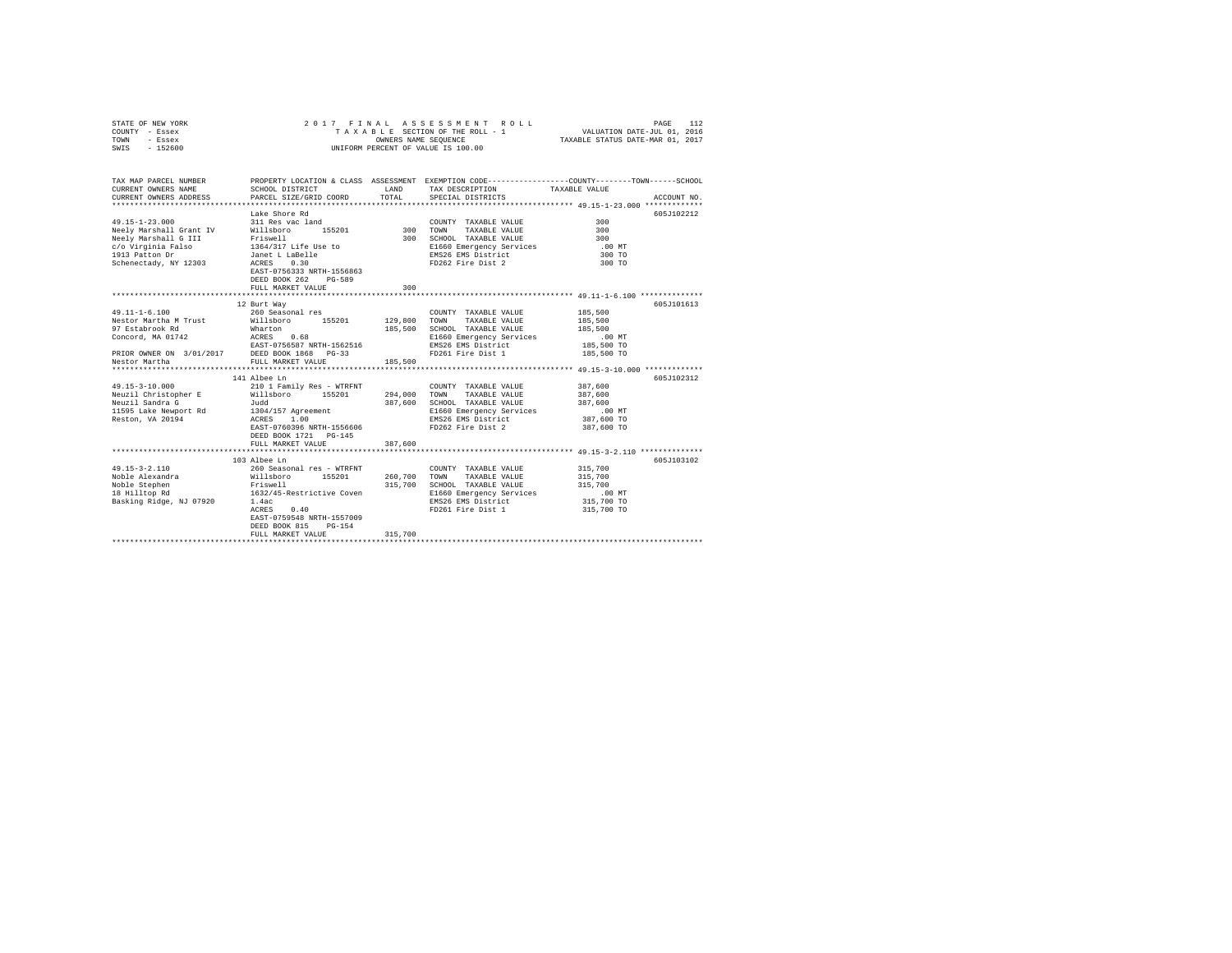| STATE OF NEW YORK<br>COUNTY - Essex<br>TOWN<br>- Essex<br>SWIS - 152600                                                                                                                                     |                                                                                                                                                                                                                                                                                                                                                                                                                                                                                       |                                                     | 2017 FINAL ASSESSMENT ROLL<br>T A X A B L E SECTION OF THE ROLL - 1<br>OWNERS NAME SEQUENCE<br>UNIFORM PERCENT OF VALUE IS 100.00                                                                                                                                                            | 112<br>PAGE<br>VALUATION DATE-JUL 01, 2016<br>TAXABLE STATUS DATE-MAR 01, 2017                                                                                             |
|-------------------------------------------------------------------------------------------------------------------------------------------------------------------------------------------------------------|---------------------------------------------------------------------------------------------------------------------------------------------------------------------------------------------------------------------------------------------------------------------------------------------------------------------------------------------------------------------------------------------------------------------------------------------------------------------------------------|-----------------------------------------------------|----------------------------------------------------------------------------------------------------------------------------------------------------------------------------------------------------------------------------------------------------------------------------------------------|----------------------------------------------------------------------------------------------------------------------------------------------------------------------------|
| TAX MAP PARCEL NUMBER<br>CURRENT OWNERS NAME<br>CURRENT OWNERS ADDRESS                                                                                                                                      | SCHOOL DISTRICT                                                                                                                                                                                                                                                                                                                                                                                                                                                                       | LAND<br>TOTAL                                       | TAX DESCRIPTION                                                                                                                                                                                                                                                                              | PROPERTY LOCATION & CLASS ASSESSMENT EXEMPTION CODE---------------COUNTY-------TOWN------SCHOOL<br>TAXABLE VALUE                                                           |
|                                                                                                                                                                                                             | PARCEL SIZE/GRID COORD                                                                                                                                                                                                                                                                                                                                                                                                                                                                |                                                     | SPECIAL DISTRICTS                                                                                                                                                                                                                                                                            | ACCOUNT NO.                                                                                                                                                                |
| $49.15 - 1 - 23.000$<br>Neely Marshall Grant IV<br>Neely Marshall G III                                                                                                                                     | Lake Shore Rd<br>311 Res vac land<br>Willsboro 155201<br>Friswell<br>Nedly materials and the control of the control of the control of the control of the control of the control of the control of the control of the control of the control of the control of the control of the control of the con<br>EAST-0756333 NRTH-1556863<br>DEED BOOK 262 PG-589                                                                                                                              | 300 TOWN                                            | COUNTY TAXABLE VALUE<br>TAXABLE VALUE<br>300 SCHOOL TAXABLE VALUE<br>E1660 Emergency Services<br>EMS26 EMS District<br>FD262 Fire Dist 2                                                                                                                                                     | 605J102212<br>300<br>300<br>300<br>$.00$ MT<br>300 TO<br>300 TO                                                                                                            |
|                                                                                                                                                                                                             | FULL MARKET VALUE                                                                                                                                                                                                                                                                                                                                                                                                                                                                     | 300                                                 |                                                                                                                                                                                                                                                                                              |                                                                                                                                                                            |
| $49.11 - 1 - 6.100$<br>Nestor Martha M Trust Millsboro 155201<br>97 Estabrook Rd<br>49.15-3-10.000<br>Neuzil Christopher E Willsboro 155201<br>Neuzil Sandra G<br>11595 Lake Newport Rd<br>Reston, VA 20194 | 12 Burt Way<br>260 Seasonal res<br>Wharton<br>141 Albee Ln<br>210 1 Family Res - WTRFNT<br>Judd<br>1304/157 Agreement<br>ACRES 1.00<br>EAST-0760396 NRTH-1556606<br>DEED BOOK 1721 PG-145                                                                                                                                                                                                                                                                                             | 129,800<br>185,500<br>185,500<br>294,000<br>387,600 | COUNTY TAXABLE VALUE<br>TOWN<br>TAXABLE VALUE<br>SCHOOL TAXABLE VALUE<br>E1660 Emergency Services<br>EMS26 EMS District<br>FD261 Fire Dist 1<br>COUNTY TAXABLE VALUE<br>TOWN<br>TAXABLE VALUE<br>SCHOOL TAXABLE VALUE<br>E1660 Emergency Services<br>EMS26 EMS District<br>FD262 Fire Dist 2 | 605J101613<br>185,500<br>185,500<br>185,500<br>$.00$ MT<br>185,500 TO<br>185,500 TO<br>605J102312<br>387,600<br>387,600<br>387,600<br>$.00$ MT<br>387,600 TO<br>387,600 TO |
| $49.15 - 3 - 2.110$<br>Noble Alexandra<br>Noble Stephen<br>18 Hilltop Rd<br>Basking Ridge, NJ 07920                                                                                                         | FULL MARKET VALUE<br>103 Albee Ln<br>260 Seasonal res - WTRFNT<br>Willsboro 155201<br>Friswell and the state of the state of the state of the state of the state of the state of the state of the state of the state of the state of the state of the state of the state of the state of the state of the state of th<br>1632/45-Restrictive Coven<br>1.4ac<br>ACRES<br>0.40<br>EAST-0759548 NRTH-1557009<br>DEED BOOK 815<br>PG-154<br>FULL MARKET VALUE<br>************************ | 387,600<br>260,700<br>315,700<br>315,700            | COUNTY TAXABLE VALUE<br>TAXABLE VALUE<br>TOWN<br>SCHOOL TAXABLE VALUE<br>E1660 Emergency Services<br>EMS26 EMS District<br>FD261 Fire Dist 1                                                                                                                                                 | *********************************** 49.15-3-2.110 **************<br>605J103102<br>315,700<br>315,700<br>315,700<br>.00 MT<br>315,700 TO<br>315,700 TO                      |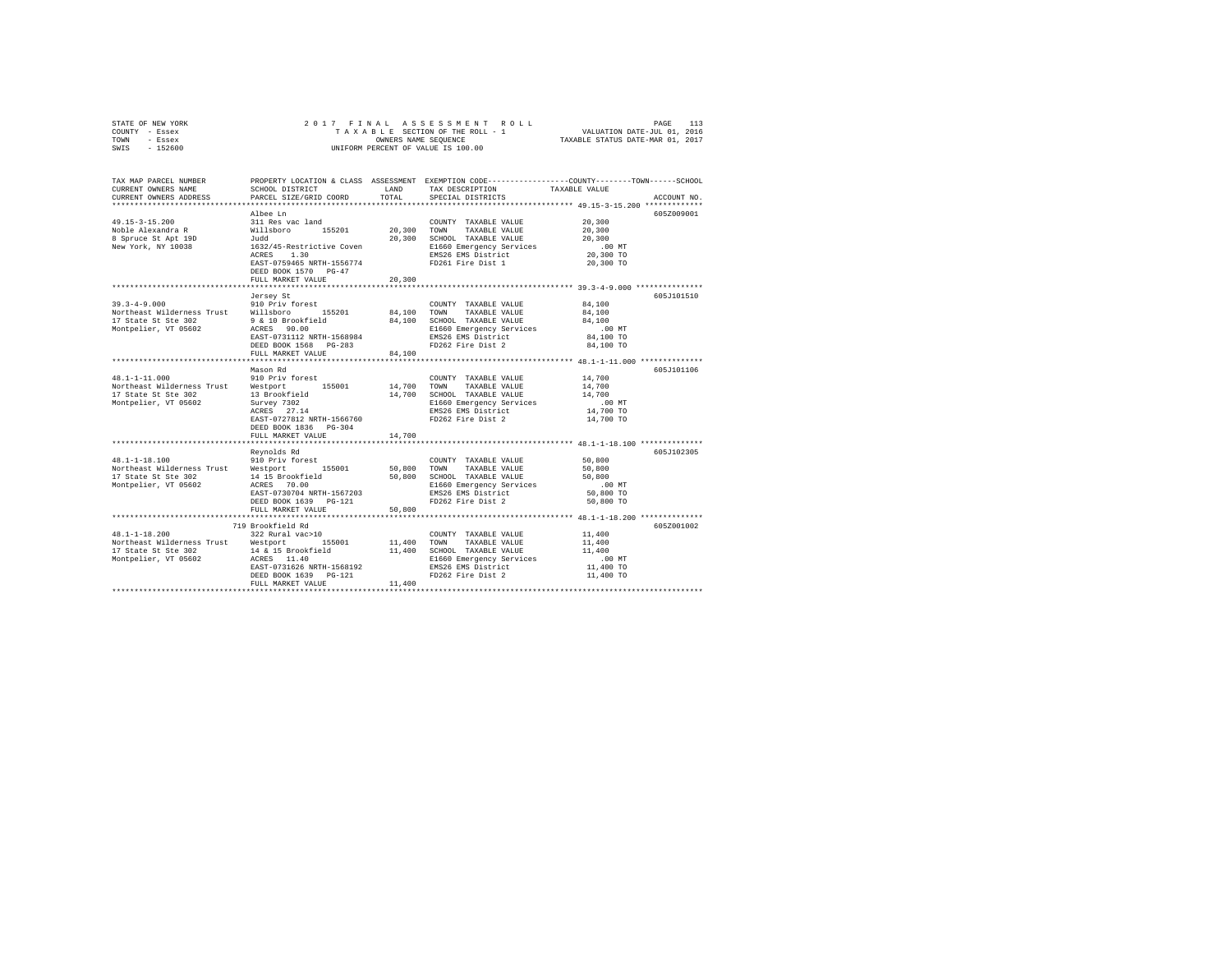|      | STATE OF NEW YORK |  | 2017 FINAL ASSESSMENT ROLL         | PAGE                             | 113 |
|------|-------------------|--|------------------------------------|----------------------------------|-----|
|      | COUNTY - Essex    |  | TAXABLE SECTION OF THE ROLL - 1    | VALUATION DATE-JUL 01, 2016      |     |
| TOWN | - Essex           |  | OWNERS NAME SEOUENCE               | TAXABLE STATUS DATE-MAR 01, 2017 |     |
| SWIS | - 152600          |  | UNIFORM PERCENT OF VALUE IS 100.00 |                                  |     |

| TAX MAP PARCEL NUMBER<br>CURRENT OWNERS NAME<br>CURRENT OWNERS ADDRESS                      | SCHOOL DISTRICT<br>PARCEL SIZE/GRID COORD | LAND<br>TOTAL | TAX DESCRIPTION<br>SPECIAL DISTRICTS           | PROPERTY LOCATION & CLASS ASSESSMENT EXEMPTION CODE----------------COUNTY-------TOWN-----SCHOOL<br>TAXABLE VALUE<br>ACCOUNT NO. |
|---------------------------------------------------------------------------------------------|-------------------------------------------|---------------|------------------------------------------------|---------------------------------------------------------------------------------------------------------------------------------|
|                                                                                             |                                           |               |                                                |                                                                                                                                 |
| $49.15 - 3 - 15.200$                                                                        | Albee Ln<br>311 Res vac land              |               | COUNTY TAXABLE VALUE                           | 605Z009001<br>20,300                                                                                                            |
| Noble Alexandra R                                                                           | 155201                                    | 20.300 TOWN   | TAXABLE VALUE                                  | 20,300                                                                                                                          |
| 8 Spruce St Apt 19D                                                                         | Willsboro<br>Judd                         | 20,300        | SCHOOL TAXABLE VALUE                           | 20,300                                                                                                                          |
| New York, NY 10038                                                                          | 1632/45-Restrictive Coven                 |               | E1660 Emergency Services                       | $.00$ MT                                                                                                                        |
|                                                                                             | 1.30<br>ACRES                             |               | EMS26 EMS District                             | 20,300 TO                                                                                                                       |
|                                                                                             | EAST-0759465 NRTH-1556774                 |               | FD261 Fire Dist 1                              | 20,300 TO                                                                                                                       |
|                                                                                             | DEED BOOK 1570 PG-47<br>FULL MARKET VALUE | 20,300        |                                                |                                                                                                                                 |
|                                                                                             | ************************                  |               |                                                |                                                                                                                                 |
|                                                                                             | Jersey St                                 |               |                                                | 605J101510                                                                                                                      |
| 33.3-4-9.000 910 Priv forest<br>Northeast Wilderness Trust Willsboro<br>17 State St Ste 202 |                                           |               | COUNTY TAXABLE VALUE                           | 84,100                                                                                                                          |
|                                                                                             | 155201                                    | 84.100 TOWN   | TAXABLE VALUE                                  | 84,100                                                                                                                          |
| 17 State St Ste 302                                                                         | 9 & 10 Brookfield                         | 84,100        | SCHOOL TAXABLE VALUE                           | 84,100                                                                                                                          |
| Montpelier, VT 05602                                                                        | ACRES 90.00                               |               | E1660 Emergency Services                       | .00 MT                                                                                                                          |
|                                                                                             | EAST-0731112 NRTH-1568984                 |               | EMS26 EMS District                             | 84,100 TO                                                                                                                       |
|                                                                                             | DEED BOOK 1568<br>$PG-283$                |               | FD262 Fire Dist 2                              | 84,100 TO                                                                                                                       |
|                                                                                             | FULL MARKET VALUE                         | 84,100        |                                                |                                                                                                                                 |
|                                                                                             | **********************                    |               |                                                | *********************************** 48.1-1-11.000 ***************                                                               |
|                                                                                             | Mason Rd                                  |               |                                                | 605J101106                                                                                                                      |
| $48.1 - 1 - 11.000$                                                                         | 910 Priv forest                           |               | COUNTY TAXABLE VALUE                           | 14,700                                                                                                                          |
| Northeast Wilderness Trust Westport                                                         | 155001                                    | 14,700 TOWN   | TAXABLE VALUE                                  | 14,700                                                                                                                          |
| 17 State St Ste 302                                                                         | 13 Brookfield                             | 14,700        | SCHOOL TAXABLE VALUE                           | 14,700                                                                                                                          |
| Montpelier, VT 05602                                                                        | Survey 7302                               |               | E1660 Emergency Services                       | $.00$ MT                                                                                                                        |
|                                                                                             | ACRES 27.14                               |               | EMS26 EMS District                             | 14,700 TO                                                                                                                       |
|                                                                                             | EAST-0727812 NRTH-1566760                 |               | FD262 Fire Dist 2                              | 14,700 TO                                                                                                                       |
|                                                                                             | DEED BOOK 1836 PG-304                     |               |                                                |                                                                                                                                 |
|                                                                                             | FULL MARKET VALUE                         | 14,700        |                                                | ********************************** 48.1-1-18.100 **************                                                                 |
|                                                                                             | Reynolds Rd                               |               |                                                | 605J102305                                                                                                                      |
| $48.1 - 1 - 18.100$                                                                         | 910 Priv forest                           |               | COUNTY TAXABLE VALUE                           | 50,800                                                                                                                          |
| Northeast Wilderness Trust Westport                                                         | 155001                                    | 50.800 TOWN   | TAXABLE VALUE                                  | 50,800                                                                                                                          |
| 17 State St Ste 302                                                                         | 14 15 Brookfield                          | 50,800        | SCHOOL TAXABLE VALUE                           | 50,800<br>$.00$ MT                                                                                                              |
| Montpelier, VT 05602                                                                        | ACRES 70.00<br>EAST-0730704 NRTH-1567203  |               | E1660 Emergency Services<br>EMS26 EMS District | 50,800 TO                                                                                                                       |
|                                                                                             | DEED BOOK 1639<br>PG-121                  |               | FD262 Fire Dist 2                              | 50,800 TO                                                                                                                       |
|                                                                                             | FULL MARKET VALUE                         | 50,800        |                                                |                                                                                                                                 |
|                                                                                             | ********************************          |               |                                                | ************************************* 48.1-1-18.200 **************                                                              |
|                                                                                             | 719 Brookfield Rd                         |               |                                                | 605Z001002                                                                                                                      |
| $48.1 - 1 - 18.200$                                                                         | 322 Rural vac>10                          |               | COUNTY TAXABLE VALUE                           | 11,400                                                                                                                          |
| Northeast Wilderness Trust Westport                                                         | 155001                                    |               | 11,400 TOWN<br>TAXABLE VALUE                   | 11,400                                                                                                                          |
| 17 State St Ste 302                                                                         |                                           | 11,400        | SCHOOL TAXABLE VALUE                           | 11,400                                                                                                                          |
| Montpelier, VT 05602                                                                        | 14 & 15 Brookfield<br>ACRES 11.40         |               | E1660 Emergency Services                       | $.00$ MT                                                                                                                        |
|                                                                                             | EAST-0731626 NRTH-1568192                 |               | EMS26 EMS District                             | 11,400 TO                                                                                                                       |
|                                                                                             | $PG-121$<br>DEED BOOK 1639                |               | FD262 Fire Dist 2                              | 11,400 TO                                                                                                                       |
|                                                                                             | FULL MARKET VALUE                         | 11,400        |                                                |                                                                                                                                 |
|                                                                                             |                                           |               |                                                |                                                                                                                                 |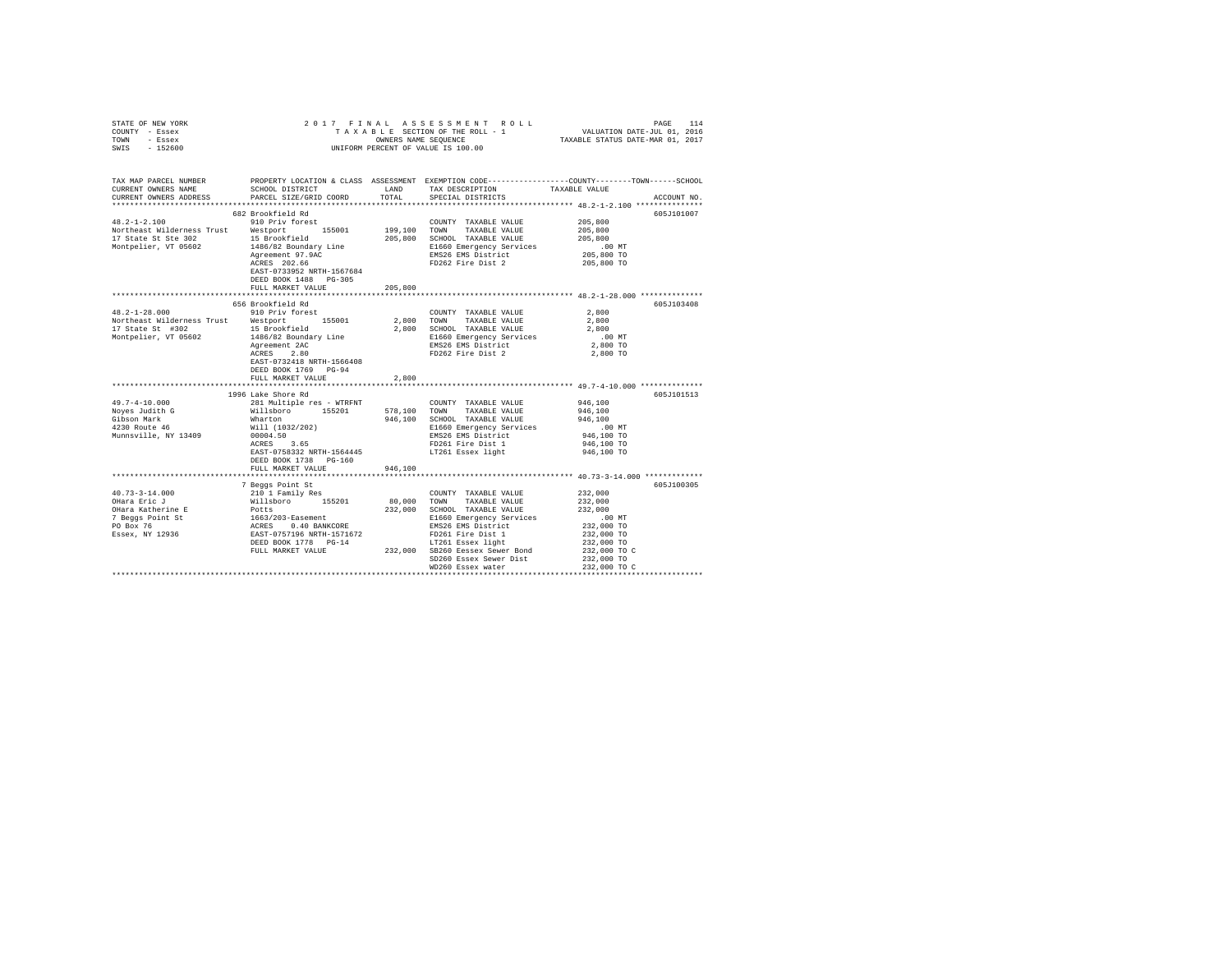|        | STATE OF NEW YORK     |                                      |      | 2017 FINAL ASSESSMENT ROLL                           |                                  | PAGE                        | 114        |
|--------|-----------------------|--------------------------------------|------|------------------------------------------------------|----------------------------------|-----------------------------|------------|
| COUNTY | - Essex               |                                      |      | TAXABLE SECTION OF THE ROLL - 1                      |                                  | VALUATION DATE-JUL 01, 2016 |            |
| TOWN   | - Essex               |                                      |      | OWNERS NAME SEOUENCE                                 | TAXABLE STATUS DATE-MAR 01, 2017 |                             |            |
| SWIS   | $-152600$             |                                      |      | UNIFORM PERCENT OF VALUE IS 100.00                   |                                  |                             |            |
|        |                       |                                      |      |                                                      |                                  |                             |            |
|        |                       |                                      |      |                                                      |                                  |                             |            |
|        |                       |                                      |      |                                                      |                                  |                             |            |
|        | TAX MAP PARCEL NUMBER | PROPERTY LOCATION & CLASS ASSESSMENT |      | EXEMPTION CODE-----------------COUNTY------TOWN----- |                                  |                             | $-SCHOOT.$ |
|        | CURRENT OWNERS NAME   | SCHOOL DISTRICT                      | LAND | TAX DESCRIPTION                                      | TAXABLE VALUE                    |                             |            |

| ******************************<br>*********************************** 48.2-1-2.100 ***************<br>682 Brookfield Rd<br>605J101007<br>$48.2 - 1 - 2.100$<br>910 Priv forest<br>205,800<br>COUNTY TAXABLE VALUE<br>Northeast Wilderness Trust<br>Westport<br>155001<br>199,100<br>TOWN<br>TAXABLE VALUE<br>205,800<br>17 State St Ste 302<br>15 Brookfield<br>205,800<br>SCHOOL TAXABLE VALUE<br>205,800<br>Montpelier, VT 05602<br>1486/82 Boundary Line<br>E1660 Emergency Services<br>.00MT<br>EMS26 EMS District<br>205,800 TO<br>Agreement 97.9AC<br>ACRES 202.66<br>FD262 Fire Dist 2<br>205,800 TO<br>EAST-0733952 NRTH-1567684<br>DEED BOOK 1488 PG-305<br>205,800<br>FULL MARKET VALUE<br>656 Brookfield Rd<br>605J103408<br>$48.2 - 1 - 28.000$<br>910 Priv forest<br>2,800<br>COUNTY TAXABLE VALUE<br>Northeast Wilderness Trust<br>155001<br>2,800<br>2,800<br>Westport<br>TOWN<br>TAXABLE VALUE<br>17 State St #302<br>15 Brookfield<br>2,800<br>SCHOOL TAXABLE VALUE<br>2,800<br>Montpelier, VT 05602<br>E1660 Emergency Services<br>1486/82 Boundary Line<br>$.00$ MT<br>EMS26 EMS District<br>2,800 TO<br>Agreement 2AC<br>2.80<br>FD262 Fire Dist 2<br>2,800 TO<br>ACRES<br>EAST-0732418 NRTH-1566408<br>DEED BOOK 1769 PG-94<br>2,800<br>FULL MARKET VALUE<br>******************************* 49.7-4-10.000 ***************<br>**************************<br>1996 Lake Shore Rd<br>605J101513 |
|-------------------------------------------------------------------------------------------------------------------------------------------------------------------------------------------------------------------------------------------------------------------------------------------------------------------------------------------------------------------------------------------------------------------------------------------------------------------------------------------------------------------------------------------------------------------------------------------------------------------------------------------------------------------------------------------------------------------------------------------------------------------------------------------------------------------------------------------------------------------------------------------------------------------------------------------------------------------------------------------------------------------------------------------------------------------------------------------------------------------------------------------------------------------------------------------------------------------------------------------------------------------------------------------------------------------------------------------------------------------------------------------------------------------|
|                                                                                                                                                                                                                                                                                                                                                                                                                                                                                                                                                                                                                                                                                                                                                                                                                                                                                                                                                                                                                                                                                                                                                                                                                                                                                                                                                                                                                   |
|                                                                                                                                                                                                                                                                                                                                                                                                                                                                                                                                                                                                                                                                                                                                                                                                                                                                                                                                                                                                                                                                                                                                                                                                                                                                                                                                                                                                                   |
|                                                                                                                                                                                                                                                                                                                                                                                                                                                                                                                                                                                                                                                                                                                                                                                                                                                                                                                                                                                                                                                                                                                                                                                                                                                                                                                                                                                                                   |
|                                                                                                                                                                                                                                                                                                                                                                                                                                                                                                                                                                                                                                                                                                                                                                                                                                                                                                                                                                                                                                                                                                                                                                                                                                                                                                                                                                                                                   |
|                                                                                                                                                                                                                                                                                                                                                                                                                                                                                                                                                                                                                                                                                                                                                                                                                                                                                                                                                                                                                                                                                                                                                                                                                                                                                                                                                                                                                   |
|                                                                                                                                                                                                                                                                                                                                                                                                                                                                                                                                                                                                                                                                                                                                                                                                                                                                                                                                                                                                                                                                                                                                                                                                                                                                                                                                                                                                                   |
|                                                                                                                                                                                                                                                                                                                                                                                                                                                                                                                                                                                                                                                                                                                                                                                                                                                                                                                                                                                                                                                                                                                                                                                                                                                                                                                                                                                                                   |
|                                                                                                                                                                                                                                                                                                                                                                                                                                                                                                                                                                                                                                                                                                                                                                                                                                                                                                                                                                                                                                                                                                                                                                                                                                                                                                                                                                                                                   |
|                                                                                                                                                                                                                                                                                                                                                                                                                                                                                                                                                                                                                                                                                                                                                                                                                                                                                                                                                                                                                                                                                                                                                                                                                                                                                                                                                                                                                   |
|                                                                                                                                                                                                                                                                                                                                                                                                                                                                                                                                                                                                                                                                                                                                                                                                                                                                                                                                                                                                                                                                                                                                                                                                                                                                                                                                                                                                                   |
|                                                                                                                                                                                                                                                                                                                                                                                                                                                                                                                                                                                                                                                                                                                                                                                                                                                                                                                                                                                                                                                                                                                                                                                                                                                                                                                                                                                                                   |
|                                                                                                                                                                                                                                                                                                                                                                                                                                                                                                                                                                                                                                                                                                                                                                                                                                                                                                                                                                                                                                                                                                                                                                                                                                                                                                                                                                                                                   |
|                                                                                                                                                                                                                                                                                                                                                                                                                                                                                                                                                                                                                                                                                                                                                                                                                                                                                                                                                                                                                                                                                                                                                                                                                                                                                                                                                                                                                   |
|                                                                                                                                                                                                                                                                                                                                                                                                                                                                                                                                                                                                                                                                                                                                                                                                                                                                                                                                                                                                                                                                                                                                                                                                                                                                                                                                                                                                                   |
|                                                                                                                                                                                                                                                                                                                                                                                                                                                                                                                                                                                                                                                                                                                                                                                                                                                                                                                                                                                                                                                                                                                                                                                                                                                                                                                                                                                                                   |
|                                                                                                                                                                                                                                                                                                                                                                                                                                                                                                                                                                                                                                                                                                                                                                                                                                                                                                                                                                                                                                                                                                                                                                                                                                                                                                                                                                                                                   |
|                                                                                                                                                                                                                                                                                                                                                                                                                                                                                                                                                                                                                                                                                                                                                                                                                                                                                                                                                                                                                                                                                                                                                                                                                                                                                                                                                                                                                   |
|                                                                                                                                                                                                                                                                                                                                                                                                                                                                                                                                                                                                                                                                                                                                                                                                                                                                                                                                                                                                                                                                                                                                                                                                                                                                                                                                                                                                                   |
|                                                                                                                                                                                                                                                                                                                                                                                                                                                                                                                                                                                                                                                                                                                                                                                                                                                                                                                                                                                                                                                                                                                                                                                                                                                                                                                                                                                                                   |
|                                                                                                                                                                                                                                                                                                                                                                                                                                                                                                                                                                                                                                                                                                                                                                                                                                                                                                                                                                                                                                                                                                                                                                                                                                                                                                                                                                                                                   |
|                                                                                                                                                                                                                                                                                                                                                                                                                                                                                                                                                                                                                                                                                                                                                                                                                                                                                                                                                                                                                                                                                                                                                                                                                                                                                                                                                                                                                   |
|                                                                                                                                                                                                                                                                                                                                                                                                                                                                                                                                                                                                                                                                                                                                                                                                                                                                                                                                                                                                                                                                                                                                                                                                                                                                                                                                                                                                                   |
|                                                                                                                                                                                                                                                                                                                                                                                                                                                                                                                                                                                                                                                                                                                                                                                                                                                                                                                                                                                                                                                                                                                                                                                                                                                                                                                                                                                                                   |
|                                                                                                                                                                                                                                                                                                                                                                                                                                                                                                                                                                                                                                                                                                                                                                                                                                                                                                                                                                                                                                                                                                                                                                                                                                                                                                                                                                                                                   |
| $49.7 - 4 - 10.000$<br>946,100<br>281 Multiple res - WTRFNT<br>COUNTY TAXABLE VALUE                                                                                                                                                                                                                                                                                                                                                                                                                                                                                                                                                                                                                                                                                                                                                                                                                                                                                                                                                                                                                                                                                                                                                                                                                                                                                                                               |
| 578,100 TOWN TAXABLE VALUE<br>Noyes Judith G<br>Willsboro<br>155201<br>946,100                                                                                                                                                                                                                                                                                                                                                                                                                                                                                                                                                                                                                                                                                                                                                                                                                                                                                                                                                                                                                                                                                                                                                                                                                                                                                                                                    |
| 946,100<br>946,100<br>Gibson Mark<br>Wharton<br>SCHOOL TAXABLE VALUE                                                                                                                                                                                                                                                                                                                                                                                                                                                                                                                                                                                                                                                                                                                                                                                                                                                                                                                                                                                                                                                                                                                                                                                                                                                                                                                                              |
| 4230 Route 46<br>Will (1032/202)<br>E1660 Emergency Services<br>.00MT                                                                                                                                                                                                                                                                                                                                                                                                                                                                                                                                                                                                                                                                                                                                                                                                                                                                                                                                                                                                                                                                                                                                                                                                                                                                                                                                             |
| Munnsville, NY 13409<br>EMS26 EMS District<br>946,100 TO<br>00004.50                                                                                                                                                                                                                                                                                                                                                                                                                                                                                                                                                                                                                                                                                                                                                                                                                                                                                                                                                                                                                                                                                                                                                                                                                                                                                                                                              |
| 3.65<br>FD261 Fire Dist 1<br>946,100 TO<br>ACRES                                                                                                                                                                                                                                                                                                                                                                                                                                                                                                                                                                                                                                                                                                                                                                                                                                                                                                                                                                                                                                                                                                                                                                                                                                                                                                                                                                  |
| EAST-0758332 NRTH-1564445<br>LT261 Essex light<br>946,100 TO                                                                                                                                                                                                                                                                                                                                                                                                                                                                                                                                                                                                                                                                                                                                                                                                                                                                                                                                                                                                                                                                                                                                                                                                                                                                                                                                                      |
| DEED BOOK 1738 PG-160                                                                                                                                                                                                                                                                                                                                                                                                                                                                                                                                                                                                                                                                                                                                                                                                                                                                                                                                                                                                                                                                                                                                                                                                                                                                                                                                                                                             |
| FULL MARKET VALUE<br>946,100                                                                                                                                                                                                                                                                                                                                                                                                                                                                                                                                                                                                                                                                                                                                                                                                                                                                                                                                                                                                                                                                                                                                                                                                                                                                                                                                                                                      |
|                                                                                                                                                                                                                                                                                                                                                                                                                                                                                                                                                                                                                                                                                                                                                                                                                                                                                                                                                                                                                                                                                                                                                                                                                                                                                                                                                                                                                   |
| 605J100305<br>7 Beggs Point St                                                                                                                                                                                                                                                                                                                                                                                                                                                                                                                                                                                                                                                                                                                                                                                                                                                                                                                                                                                                                                                                                                                                                                                                                                                                                                                                                                                    |
| 232,000<br>$40.73 - 3 - 14.000$<br>210 1 Family Res<br>COUNTY TAXABLE VALUE                                                                                                                                                                                                                                                                                                                                                                                                                                                                                                                                                                                                                                                                                                                                                                                                                                                                                                                                                                                                                                                                                                                                                                                                                                                                                                                                       |
| Willsboro 155201<br>OHara Eric J<br>80,000<br>TOWN TAXABLE VALUE<br>232,000                                                                                                                                                                                                                                                                                                                                                                                                                                                                                                                                                                                                                                                                                                                                                                                                                                                                                                                                                                                                                                                                                                                                                                                                                                                                                                                                       |
|                                                                                                                                                                                                                                                                                                                                                                                                                                                                                                                                                                                                                                                                                                                                                                                                                                                                                                                                                                                                                                                                                                                                                                                                                                                                                                                                                                                                                   |
| 232,000                                                                                                                                                                                                                                                                                                                                                                                                                                                                                                                                                                                                                                                                                                                                                                                                                                                                                                                                                                                                                                                                                                                                                                                                                                                                                                                                                                                                           |
| OHara Katherine E<br>232,000<br>SCHOOL TAXABLE VALUE<br>Potts                                                                                                                                                                                                                                                                                                                                                                                                                                                                                                                                                                                                                                                                                                                                                                                                                                                                                                                                                                                                                                                                                                                                                                                                                                                                                                                                                     |
| 7 Beggs Point St<br>E1660 Emergency Services<br>$.00$ MT                                                                                                                                                                                                                                                                                                                                                                                                                                                                                                                                                                                                                                                                                                                                                                                                                                                                                                                                                                                                                                                                                                                                                                                                                                                                                                                                                          |
| 1663/203-Easement<br>ACRES 0.40 BANP<br>232,000 TO<br>PO Box 76<br>EMS26 EMS District<br>0.40 BANKCORE<br>EAST-0757196 NRTH-1571672<br>Essex, NY 12936<br>232,000 TO                                                                                                                                                                                                                                                                                                                                                                                                                                                                                                                                                                                                                                                                                                                                                                                                                                                                                                                                                                                                                                                                                                                                                                                                                                              |
| FD261 Fire Dist 1<br>DEED BOOK 1778 PG-14                                                                                                                                                                                                                                                                                                                                                                                                                                                                                                                                                                                                                                                                                                                                                                                                                                                                                                                                                                                                                                                                                                                                                                                                                                                                                                                                                                         |
| LT261 Essex light<br>232,000 TO<br>SB260 Eessex Sewer Bond<br>FULL MARKET VALUE                                                                                                                                                                                                                                                                                                                                                                                                                                                                                                                                                                                                                                                                                                                                                                                                                                                                                                                                                                                                                                                                                                                                                                                                                                                                                                                                   |
| 232,000<br>232,000 TO C<br>SD260 Essex Sewer Dist                                                                                                                                                                                                                                                                                                                                                                                                                                                                                                                                                                                                                                                                                                                                                                                                                                                                                                                                                                                                                                                                                                                                                                                                                                                                                                                                                                 |
| 232,000 TO<br>WD260 Essex water<br>232,000 TO C                                                                                                                                                                                                                                                                                                                                                                                                                                                                                                                                                                                                                                                                                                                                                                                                                                                                                                                                                                                                                                                                                                                                                                                                                                                                                                                                                                   |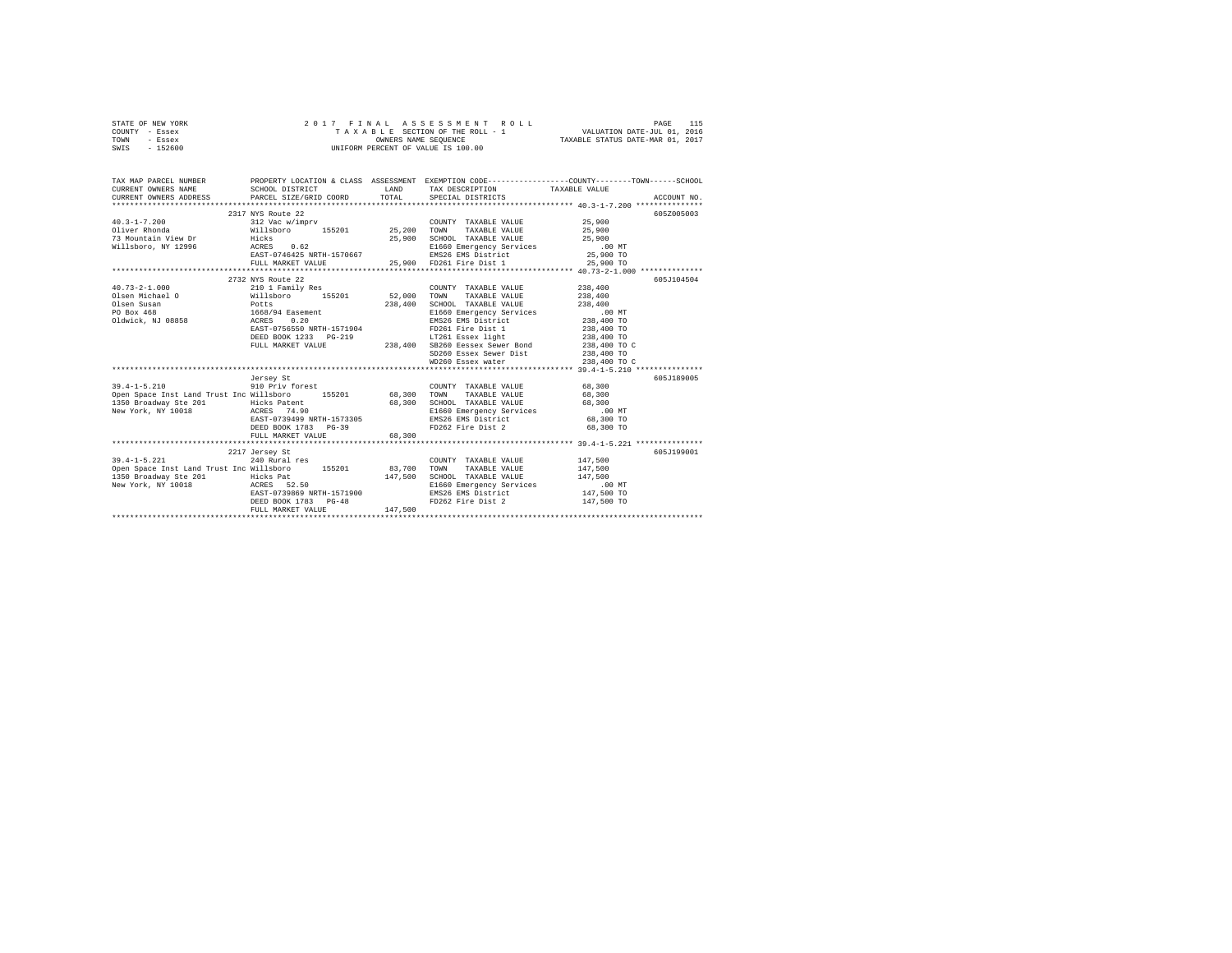| STATE OF NEW YORK                                                                                                                                                                                                                                                                                                                                                                                                                                                             | 2017 FINAL ASSESSMENT ROLL - 1<br>TAXABLE SECTION OF THE ROLL - 1<br>ONNERS NAME SEQUENCE |         |                                                                                                                                                                                                             | PAGE 115 PAGE 115 PAGE 115 PAGE 115<br>TA XA B LE SECTION OF THE ROLL - 1 WALUATION DATE-JUL 01, 2016<br>ONNERS NAME SEQUENCE 1 TAXABLE STATUS DATE-MAR 01, 2017 |
|-------------------------------------------------------------------------------------------------------------------------------------------------------------------------------------------------------------------------------------------------------------------------------------------------------------------------------------------------------------------------------------------------------------------------------------------------------------------------------|-------------------------------------------------------------------------------------------|---------|-------------------------------------------------------------------------------------------------------------------------------------------------------------------------------------------------------------|------------------------------------------------------------------------------------------------------------------------------------------------------------------|
| COUNTY - Essex                                                                                                                                                                                                                                                                                                                                                                                                                                                                |                                                                                           |         |                                                                                                                                                                                                             |                                                                                                                                                                  |
| TOWN<br>- Essex                                                                                                                                                                                                                                                                                                                                                                                                                                                               |                                                                                           |         |                                                                                                                                                                                                             |                                                                                                                                                                  |
| SWIS - 152600                                                                                                                                                                                                                                                                                                                                                                                                                                                                 |                                                                                           |         |                                                                                                                                                                                                             |                                                                                                                                                                  |
|                                                                                                                                                                                                                                                                                                                                                                                                                                                                               |                                                                                           |         |                                                                                                                                                                                                             |                                                                                                                                                                  |
|                                                                                                                                                                                                                                                                                                                                                                                                                                                                               |                                                                                           |         |                                                                                                                                                                                                             |                                                                                                                                                                  |
|                                                                                                                                                                                                                                                                                                                                                                                                                                                                               |                                                                                           |         |                                                                                                                                                                                                             | TAX MAP PARCEL NUMBER PROPERTY LOCATION & CLASS ASSESSMENT EXEMPTION CODE--------------COUNTY-------TOWN------SCHOOL                                             |
| CURRENT OWNERS NAME                                                                                                                                                                                                                                                                                                                                                                                                                                                           | SCHOOL DISTRICT                                                                           |         | LAND TAX DESCRIPTION TAXABLE VALUE                                                                                                                                                                          |                                                                                                                                                                  |
| CURRENT OWNERS ADDRESS PARCEL SIZE/GRID COORD TOTAL SPECIAL DISTRICTS                                                                                                                                                                                                                                                                                                                                                                                                         |                                                                                           |         |                                                                                                                                                                                                             | ACCOUNT NO.                                                                                                                                                      |
|                                                                                                                                                                                                                                                                                                                                                                                                                                                                               |                                                                                           |         |                                                                                                                                                                                                             |                                                                                                                                                                  |
|                                                                                                                                                                                                                                                                                                                                                                                                                                                                               | 2317 NYS Route 22                                                                         |         |                                                                                                                                                                                                             | 605Z005003                                                                                                                                                       |
| $\begin{tabular}{ccccc} 40.3-1-7.200 & 251.718& Notice & 25,900\\ \hline O1iver & Rnoncl} & 312 Vac w /imprv & 25201 & 25,200 TONNT TAKABLE VALUE & 25,900\\ \hline O178&Mellubloro & 155201 & 25,200 TONNT TAKABLE VALUE & 25,900\\ \end{tabular}$                                                                                                                                                                                                                           |                                                                                           |         |                                                                                                                                                                                                             |                                                                                                                                                                  |
|                                                                                                                                                                                                                                                                                                                                                                                                                                                                               |                                                                                           |         |                                                                                                                                                                                                             |                                                                                                                                                                  |
|                                                                                                                                                                                                                                                                                                                                                                                                                                                                               |                                                                                           |         |                                                                                                                                                                                                             |                                                                                                                                                                  |
|                                                                                                                                                                                                                                                                                                                                                                                                                                                                               |                                                                                           |         |                                                                                                                                                                                                             |                                                                                                                                                                  |
|                                                                                                                                                                                                                                                                                                                                                                                                                                                                               |                                                                                           |         |                                                                                                                                                                                                             |                                                                                                                                                                  |
|                                                                                                                                                                                                                                                                                                                                                                                                                                                                               |                                                                                           |         |                                                                                                                                                                                                             |                                                                                                                                                                  |
| $\begin{tabular}{c c c c} \multicolumn{3}{c c c} \multicolumn{3}{c}{\multicolumn{3}{c}{\multicolumn{3}{c}{\multicolumn{3}{c}{\multicolumn{3}{c}{\multicolumn{3}{c}{\multicolumn{3}{c}{\multicolumn{3}{c}{\multicolumn{3}{c}{\multicolumn{3}{c}{\multicolumn{3}{c}{\multicolumn{3}{c}{\multicolumn{3}{c}{\multicolumn{3}{c}{\multicolumn{3}{c}{\multicolumn{3}{c}{\multicolumn{3}{c}{\multicolumn{3}{c}{\multicolumn{3}{c}{\multicolumn{3}{c}{\multicolumn{3}{c}{\multicolumn$ |                                                                                           |         |                                                                                                                                                                                                             |                                                                                                                                                                  |
|                                                                                                                                                                                                                                                                                                                                                                                                                                                                               |                                                                                           |         |                                                                                                                                                                                                             | 605J104504                                                                                                                                                       |
|                                                                                                                                                                                                                                                                                                                                                                                                                                                                               |                                                                                           |         | $\begin{tabular}{lllllllll} \multicolumn{4}{c}{\text{COUNTY}} & \text{TAXABLE} & \text{VALUE} & & & 238,400 \\ \multicolumn{4}{c}{\text{TOWN}} & \text{TAXABLE} & \text{VALUE} & & & 238,400 \end{tabular}$ |                                                                                                                                                                  |
|                                                                                                                                                                                                                                                                                                                                                                                                                                                                               |                                                                                           |         |                                                                                                                                                                                                             |                                                                                                                                                                  |
|                                                                                                                                                                                                                                                                                                                                                                                                                                                                               |                                                                                           |         | 238,400 SCHOOL TAXABLE VALUE 238,400                                                                                                                                                                        |                                                                                                                                                                  |
|                                                                                                                                                                                                                                                                                                                                                                                                                                                                               |                                                                                           |         |                                                                                                                                                                                                             |                                                                                                                                                                  |
|                                                                                                                                                                                                                                                                                                                                                                                                                                                                               |                                                                                           |         |                                                                                                                                                                                                             |                                                                                                                                                                  |
|                                                                                                                                                                                                                                                                                                                                                                                                                                                                               |                                                                                           |         |                                                                                                                                                                                                             |                                                                                                                                                                  |
|                                                                                                                                                                                                                                                                                                                                                                                                                                                                               |                                                                                           |         |                                                                                                                                                                                                             |                                                                                                                                                                  |
|                                                                                                                                                                                                                                                                                                                                                                                                                                                                               |                                                                                           |         |                                                                                                                                                                                                             | 238,400 TO C                                                                                                                                                     |
|                                                                                                                                                                                                                                                                                                                                                                                                                                                                               |                                                                                           |         | 9260 Essex Sewer Donald MD260 Essex Sewer Dist<br>WD260 Essex water 11st 238,400 TO                                                                                                                         |                                                                                                                                                                  |
|                                                                                                                                                                                                                                                                                                                                                                                                                                                                               |                                                                                           |         |                                                                                                                                                                                                             | 238,400 TO C                                                                                                                                                     |
|                                                                                                                                                                                                                                                                                                                                                                                                                                                                               |                                                                                           |         |                                                                                                                                                                                                             |                                                                                                                                                                  |
| $39.4 - 1 - 5.210$                                                                                                                                                                                                                                                                                                                                                                                                                                                            | Jersey St<br>910 Priv forest                                                              |         | COUNTY TAXABLE VALUE 68,300                                                                                                                                                                                 | 605J189005                                                                                                                                                       |
|                                                                                                                                                                                                                                                                                                                                                                                                                                                                               |                                                                                           |         |                                                                                                                                                                                                             |                                                                                                                                                                  |
| Open Space Inst Land Trust Inc Willsboro 155201 68,300 TOWN                                                                                                                                                                                                                                                                                                                                                                                                                   |                                                                                           |         | TAXABLE VALUE                                                                                                                                                                                               | 68,300                                                                                                                                                           |
|                                                                                                                                                                                                                                                                                                                                                                                                                                                                               |                                                                                           |         |                                                                                                                                                                                                             |                                                                                                                                                                  |
|                                                                                                                                                                                                                                                                                                                                                                                                                                                                               |                                                                                           |         |                                                                                                                                                                                                             |                                                                                                                                                                  |
|                                                                                                                                                                                                                                                                                                                                                                                                                                                                               | DEED BOOK 1783 PG-39                                                                      |         | FD262 Fire Dist 2 68,300 TO                                                                                                                                                                                 |                                                                                                                                                                  |
|                                                                                                                                                                                                                                                                                                                                                                                                                                                                               | FULL MARKET VALUE                                                                         | 68,300  |                                                                                                                                                                                                             |                                                                                                                                                                  |
|                                                                                                                                                                                                                                                                                                                                                                                                                                                                               |                                                                                           |         |                                                                                                                                                                                                             |                                                                                                                                                                  |
|                                                                                                                                                                                                                                                                                                                                                                                                                                                                               | 2217 Jersey St                                                                            |         |                                                                                                                                                                                                             | 605J199001                                                                                                                                                       |
| $39.4 - 1 - 5.221$                                                                                                                                                                                                                                                                                                                                                                                                                                                            | 240 Rural res                                                                             |         | COUNTY TAXABLE VALUE 147,500                                                                                                                                                                                |                                                                                                                                                                  |
|                                                                                                                                                                                                                                                                                                                                                                                                                                                                               |                                                                                           |         |                                                                                                                                                                                                             |                                                                                                                                                                  |
|                                                                                                                                                                                                                                                                                                                                                                                                                                                                               |                                                                                           |         |                                                                                                                                                                                                             |                                                                                                                                                                  |
| 99.4-1-9.221 2018<br>29.4-1-9.221 2018<br>29.700 2008 2018<br>29.700 2008 2018<br>29.700 2008 2019<br>2008 2019<br>2008 2019869 2017<br>2008 2019869 2017<br>2008 2019869 2017<br>2008 2019869 2017<br>2018 2019869 2017<br>2018 2019869 2017<br>2018                                                                                                                                                                                                                         |                                                                                           |         |                                                                                                                                                                                                             |                                                                                                                                                                  |
|                                                                                                                                                                                                                                                                                                                                                                                                                                                                               |                                                                                           |         |                                                                                                                                                                                                             |                                                                                                                                                                  |
|                                                                                                                                                                                                                                                                                                                                                                                                                                                                               | DEED BOOK 1783 PG-48                                                                      |         | FD262 Fire Dist 2 147,500 TO                                                                                                                                                                                |                                                                                                                                                                  |
|                                                                                                                                                                                                                                                                                                                                                                                                                                                                               | FULL MARKET VALUE                                                                         | 147,500 |                                                                                                                                                                                                             |                                                                                                                                                                  |
|                                                                                                                                                                                                                                                                                                                                                                                                                                                                               |                                                                                           |         |                                                                                                                                                                                                             |                                                                                                                                                                  |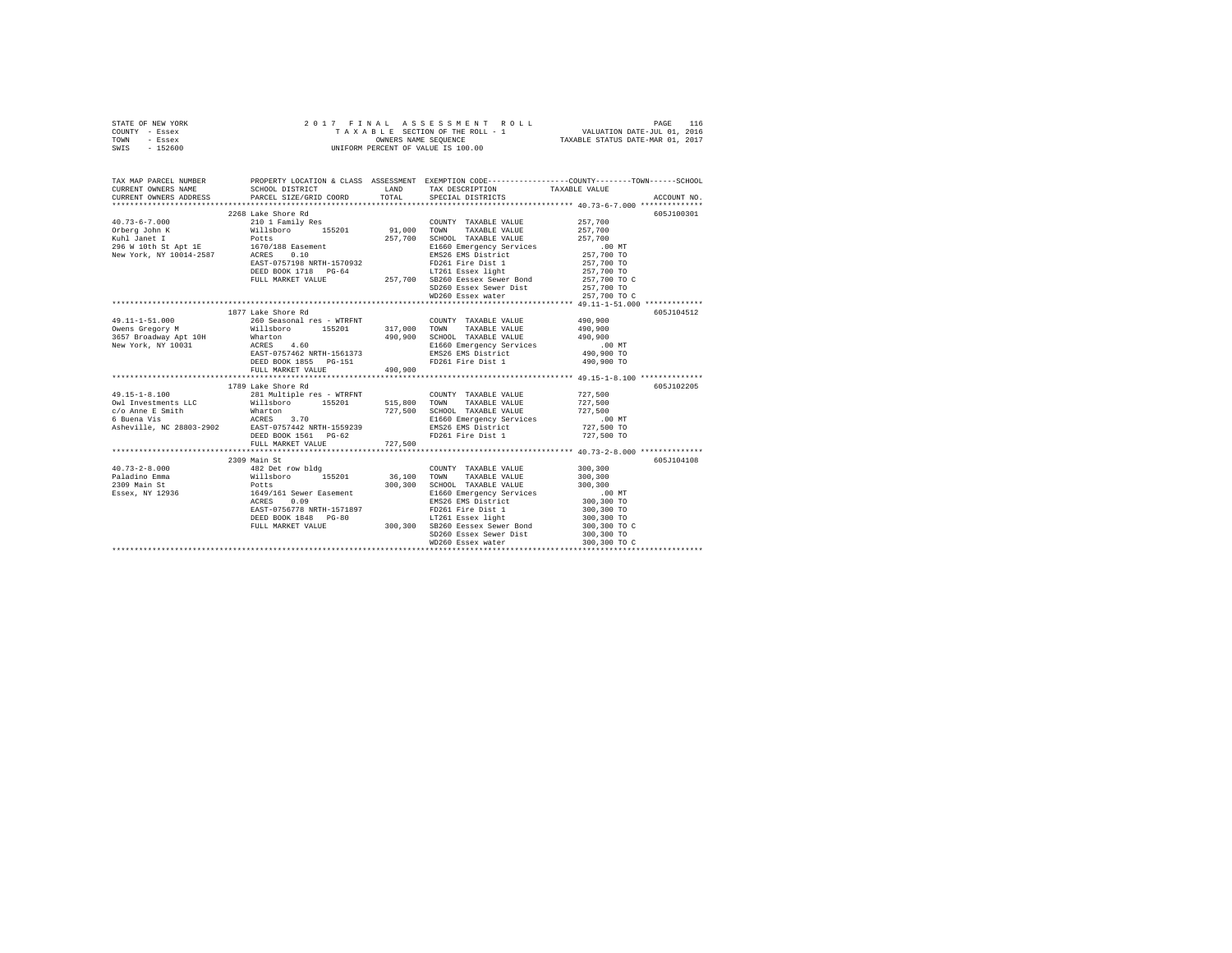|      | STATE OF NEW YORK |  | 2017 FINAL ASSESSMENT ROLL         |                                  | PAGE                        | 116 |
|------|-------------------|--|------------------------------------|----------------------------------|-----------------------------|-----|
|      | COUNTY - Essex    |  | TAXABLE SECTION OF THE ROLL - 1    |                                  | VALUATION DATE-JUL 01, 2016 |     |
| TOWN | - Essex           |  | OWNERS NAME SEOUENCE               | TAXABLE STATUS DATE-MAR 01, 2017 |                             |     |
| SWIS | $-152600$         |  | UNIFORM PERCENT OF VALUE IS 100.00 |                                  |                             |     |

| TAX MAP PARCEL NUMBER<br>CURRENT OWNERS NAME | CURRENT OWNERS ADDRESS PARCEL SIZE/GRID COORD TOTAL SPECIAL DISTRICTS |         |                                                                                                                                              | ACCOUNT NO.  |
|----------------------------------------------|-----------------------------------------------------------------------|---------|----------------------------------------------------------------------------------------------------------------------------------------------|--------------|
|                                              |                                                                       |         |                                                                                                                                              |              |
|                                              | 2268 Lake Shore Rd                                                    |         |                                                                                                                                              | 605J100301   |
|                                              |                                                                       |         |                                                                                                                                              |              |
|                                              |                                                                       |         |                                                                                                                                              |              |
|                                              |                                                                       |         |                                                                                                                                              |              |
|                                              |                                                                       |         |                                                                                                                                              |              |
|                                              |                                                                       |         |                                                                                                                                              |              |
|                                              |                                                                       |         |                                                                                                                                              |              |
|                                              |                                                                       |         |                                                                                                                                              |              |
|                                              |                                                                       |         |                                                                                                                                              |              |
|                                              |                                                                       |         | SD260 Essex Sewer Dist 257,700 TO                                                                                                            |              |
|                                              |                                                                       |         | WD260 Essex water                                                                                                                            | 257,700 TO C |
|                                              |                                                                       |         |                                                                                                                                              |              |
|                                              | 1877 Lake Shore Rd                                                    |         |                                                                                                                                              | 605J104512   |
|                                              |                                                                       |         |                                                                                                                                              |              |
|                                              |                                                                       |         |                                                                                                                                              |              |
|                                              |                                                                       |         |                                                                                                                                              |              |
|                                              |                                                                       |         |                                                                                                                                              |              |
|                                              |                                                                       |         |                                                                                                                                              |              |
|                                              |                                                                       |         |                                                                                                                                              |              |
|                                              | FULL MARKET VALUE                                                     | 490,900 |                                                                                                                                              |              |
|                                              |                                                                       |         |                                                                                                                                              |              |
|                                              | 1789 Lake Shore Rd                                                    |         |                                                                                                                                              | 605J102205   |
|                                              |                                                                       |         |                                                                                                                                              |              |
|                                              |                                                                       |         |                                                                                                                                              |              |
|                                              |                                                                       |         |                                                                                                                                              |              |
|                                              |                                                                       |         |                                                                                                                                              |              |
|                                              |                                                                       |         |                                                                                                                                              |              |
|                                              | FULL MARKET VALUE 727,500                                             |         |                                                                                                                                              |              |
|                                              |                                                                       |         |                                                                                                                                              |              |
|                                              | 2309 Main St                                                          |         |                                                                                                                                              | 605J104108   |
|                                              |                                                                       |         |                                                                                                                                              |              |
|                                              |                                                                       |         |                                                                                                                                              |              |
|                                              |                                                                       |         |                                                                                                                                              |              |
|                                              |                                                                       |         |                                                                                                                                              |              |
|                                              |                                                                       |         | 300,300 SCHOOL TAXABLE VALUE 300,300 SCHOOL TAXABLE VALUE 300,300 TO<br>BI660 Emergency Services 300,300 TO<br>BMS26 EMS District 300,300 TO |              |
|                                              |                                                                       |         |                                                                                                                                              | 300,300 TO   |
|                                              |                                                                       |         | FD261 Fire Dist 1<br>LT261 Essex light                                                                                                       | 300,300 TO   |
|                                              |                                                                       |         |                                                                                                                                              | 300,300 TO C |
|                                              |                                                                       |         |                                                                                                                                              |              |
|                                              |                                                                       |         |                                                                                                                                              |              |
|                                              |                                                                       |         |                                                                                                                                              |              |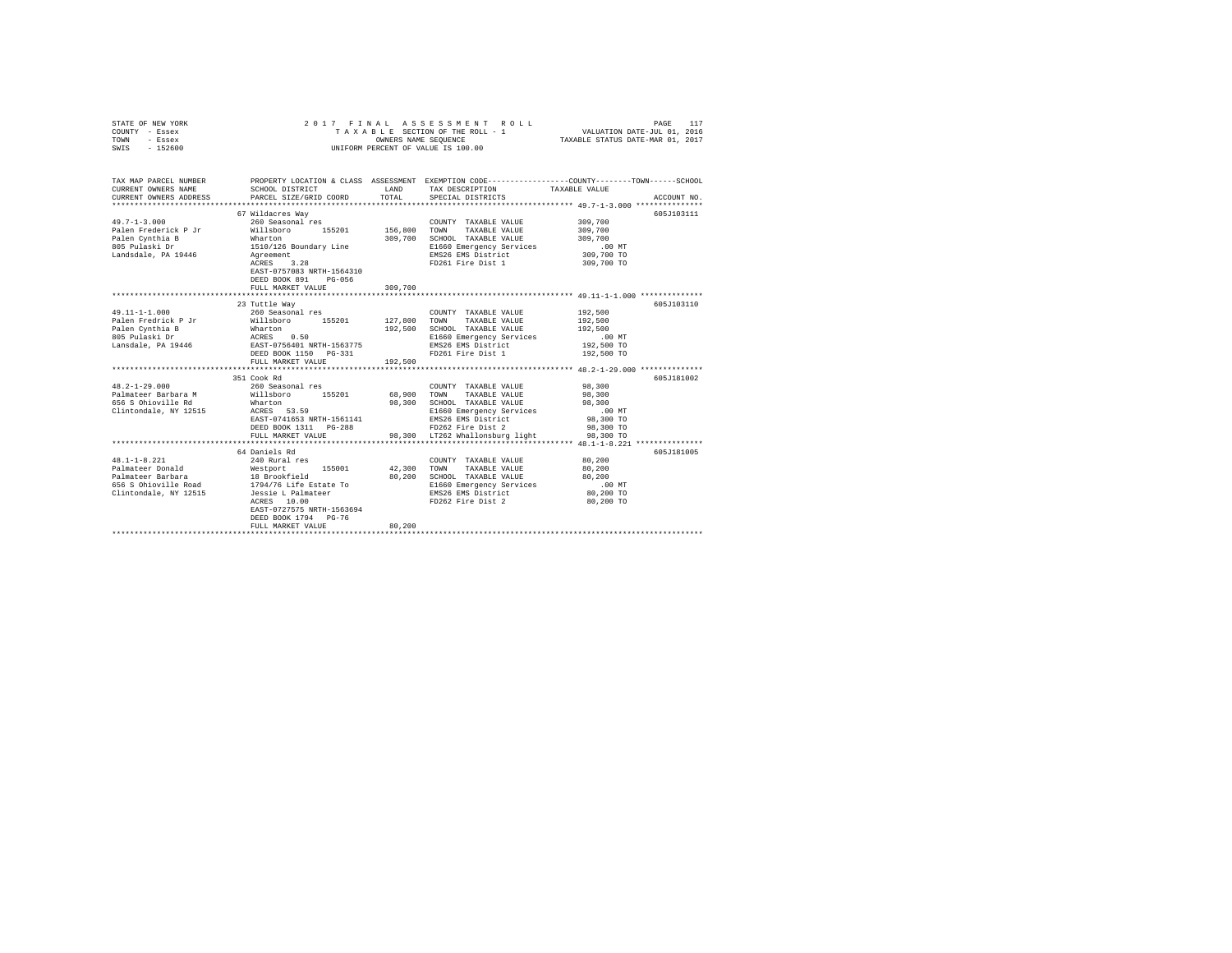| STATE OF NEW YORK<br>COUNTY - Essex<br>TOWN<br>- Essex<br>$-152600$<br>SWIS | 2017 FINAL                                             | OWNERS NAME SEQUENCE | ASSESSMENT ROLL<br>TAXABLE SECTION OF THE ROLL - 1<br>UNIFORM PERCENT OF VALUE IS 100.00 | PAGE<br>117<br>VALUATION DATE-JUL 01, 2016<br>TAXABLE STATUS DATE-MAR 01, 2017                                                  |
|-----------------------------------------------------------------------------|--------------------------------------------------------|----------------------|------------------------------------------------------------------------------------------|---------------------------------------------------------------------------------------------------------------------------------|
| TAX MAP PARCEL NUMBER<br>CURRENT OWNERS NAME<br>CURRENT OWNERS ADDRESS      | SCHOOL DISTRICT<br>PARCEL SIZE/GRID COORD              | TOTAL                | LAND TAX DESCRIPTION<br>SPECIAL DISTRICTS                                                | PROPERTY LOCATION & CLASS ASSESSMENT EXEMPTION CODE---------------COUNTY-------TOWN------SCHOOL<br>TAXABLE VALUE<br>ACCOUNT NO. |
|                                                                             |                                                        |                      |                                                                                          |                                                                                                                                 |
|                                                                             | 67 Wildacres Way                                       |                      |                                                                                          | 605J103111                                                                                                                      |
| $49.7 - 1 - 3.000$                                                          | 260 Seasonal res                                       |                      | COUNTY TAXABLE VALUE                                                                     | 309,700                                                                                                                         |
| Palen Frederick P Jr                                                        | Willsboro 155201                                       | 156,800              | TAXABLE VALUE<br>TOWN                                                                    | 309,700                                                                                                                         |
| Palen Cynthia B<br>805 Pulaski Dr                                           | Wharton<br>1510/126 Boundary Line                      | 309,700              | SCHOOL TAXABLE VALUE<br>E1660 Emergency Services                                         | 309,700<br>.00 MT                                                                                                               |
| Landsdale, PA 19446                                                         |                                                        |                      | EMS26 EMS District                                                                       | 309,700 TO                                                                                                                      |
|                                                                             | Agreement<br>ACRES 3.28                                |                      | FD261 Fire Dist 1                                                                        | 309,700 TO                                                                                                                      |
|                                                                             | EAST-0757083 NRTH-1564310<br>DEED BOOK 891<br>$PG-056$ |                      |                                                                                          |                                                                                                                                 |
|                                                                             | FULL MARKET VALUE                                      | 309,700              |                                                                                          |                                                                                                                                 |
|                                                                             |                                                        |                      |                                                                                          |                                                                                                                                 |
|                                                                             | 23 Tuttle Way                                          |                      |                                                                                          | 605J103110                                                                                                                      |
| $49.11 - 1 - 1.000$                                                         | 260 Seasonal res                                       |                      | COUNTY TAXABLE VALUE                                                                     | 192,500                                                                                                                         |
| Palen Fredrick P Jr                                                         | Willsboro 155201                                       | 127,800              | TOWN<br>TAXABLE VALUE                                                                    | 192,500                                                                                                                         |
| Palen Cynthia B                                                             | Wharton<br>ACRES 0.50                                  | 192,500              | SCHOOL TAXABLE VALUE                                                                     | 192,500                                                                                                                         |
| 805 Pulaski Dr                                                              |                                                        |                      | E1660 Emergency Services                                                                 | $.00$ MT                                                                                                                        |
| Lansdale, PA 19446 EAST-0756401 NRTH-1563775                                |                                                        |                      | EMS26 EMS District                                                                       | 192,500 TO                                                                                                                      |
|                                                                             | DEED BOOK 1150 PG-331<br>FULL MARKET VALUE             | 192,500              | FD261 Fire Dist 1                                                                        | 192,500 TO                                                                                                                      |
|                                                                             |                                                        |                      |                                                                                          |                                                                                                                                 |
|                                                                             | 351 Cook Rd                                            |                      |                                                                                          | 605J181002                                                                                                                      |
| $48.2 - 1 - 29.000$                                                         | 260 Seasonal res                                       |                      | COUNTY TAXABLE VALUE                                                                     | 98,300                                                                                                                          |
| Palmateer Barbara M                                                         | Willsboro 155201                                       | 68,900               | TOWN<br>TAXABLE VALUE                                                                    | 98,300                                                                                                                          |
| 656 S Ohioville Rd                                                          | Wharton                                                | 98,300               | SCHOOL TAXABLE VALUE                                                                     | 98,300                                                                                                                          |
| Clintondale, NY 12515                                                       | ACRES 53.59                                            |                      | E1660 Emergency Services                                                                 | $.00$ MT                                                                                                                        |
|                                                                             | EAST-0741653 NRTH-1561141                              |                      | EMS26 EMS District                                                                       | 98,300 TO                                                                                                                       |
|                                                                             | DEED BOOK 1311 PG-288                                  |                      | FD262 Fire Dist 2                                                                        | 98,300 TO                                                                                                                       |
|                                                                             | FULL MARKET VALUE                                      |                      | 98,300 LT262 Whallonsburg light                                                          | 98,300 TO                                                                                                                       |
|                                                                             |                                                        |                      |                                                                                          |                                                                                                                                 |
|                                                                             | 64 Daniels Rd                                          |                      |                                                                                          | 605J181005                                                                                                                      |
| $48.1 - 1 - 8.221$                                                          | 240 Rural res                                          |                      | COUNTY TAXABLE VALUE                                                                     | 80,200                                                                                                                          |
| Palmateer Donald                                                            | Westport 155001<br>18 Brookfield<br>155001             | 42,300               | TOWN<br>TAXABLE VALUE                                                                    | 80,200                                                                                                                          |
| Palmateer Barbara<br>656 S Ohioville Road                                   |                                                        | 80,200               | SCHOOL TAXABLE VALUE                                                                     | 80,200<br>$.00$ MT                                                                                                              |
|                                                                             | 1794/76 Life Estate To                                 |                      | E1660 Emergency Services                                                                 |                                                                                                                                 |
| Clintondale, NY 12515                                                       | Jessie L Palmateer<br>ACRES 10.00                      |                      | EMS26 EMS District<br>FD262 Fire Dist 2                                                  | 80,200 TO<br>80,200 TO                                                                                                          |
|                                                                             | EAST-0727575 NRTH-1563694                              |                      |                                                                                          |                                                                                                                                 |
|                                                                             | DEED BOOK 1794 PG-76                                   |                      |                                                                                          |                                                                                                                                 |
|                                                                             | FULL MARKET VALUE                                      | 80,200               |                                                                                          |                                                                                                                                 |
|                                                                             |                                                        |                      |                                                                                          |                                                                                                                                 |
|                                                                             |                                                        |                      |                                                                                          |                                                                                                                                 |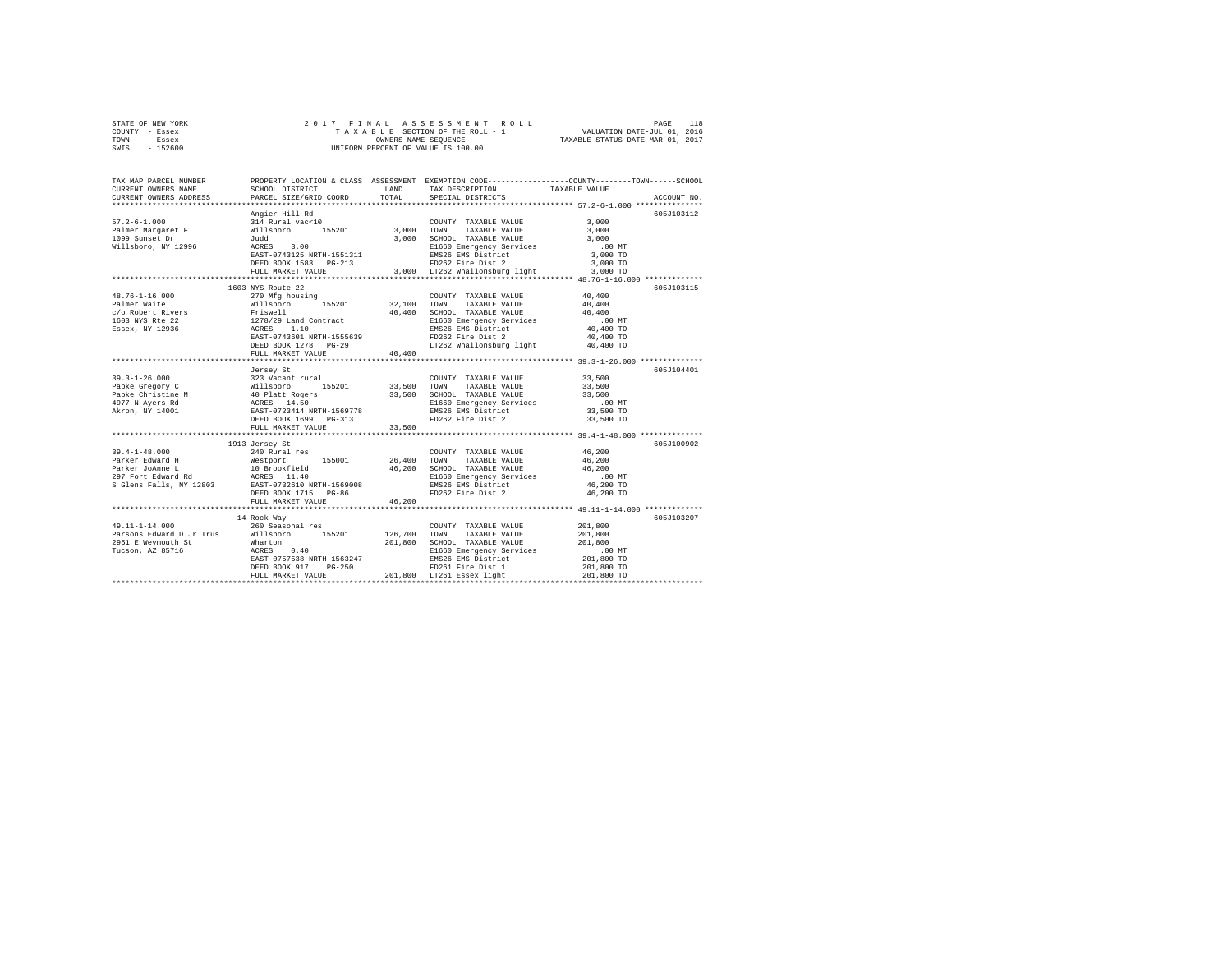| STATE OF NEW YORK | 2017 FINAL ASSESSMENT ROLL         | 118<br>PAGE                      |
|-------------------|------------------------------------|----------------------------------|
| COUNTY - Essex    | TAXABLE SECTION OF THE ROLL - 1    | VALUATION DATE-JUL 01, 2016      |
| TOWN<br>- Essex   | OWNERS NAME SEOUENCE               | TAXABLE STATUS DATE-MAR 01, 2017 |
| $-152600$<br>SWIS | UNIFORM PERCENT OF VALUE IS 100.00 |                                  |

| TAX MAP PARCEL NUMBER<br>CURRENT OWNERS NAME<br>CURRENT OWNERS ADDRESS                                                                                                                                                                                             | SCHOOL DISTRICT<br>PARCEL SIZE/GRID COORD                                                                                                                                                                                                                                                                                                                                                                     | TOTAL  | LAND TAX DESCRIPTION<br>SPECIAL DISTRICTS                                     | PROPERTY LOCATION & CLASS ASSESSMENT EXEMPTION CODE----------------COUNTY-------TOWN-----SCHOOL<br>TAXABLE VALUE<br>ACCOUNT NO. |
|--------------------------------------------------------------------------------------------------------------------------------------------------------------------------------------------------------------------------------------------------------------------|---------------------------------------------------------------------------------------------------------------------------------------------------------------------------------------------------------------------------------------------------------------------------------------------------------------------------------------------------------------------------------------------------------------|--------|-------------------------------------------------------------------------------|---------------------------------------------------------------------------------------------------------------------------------|
|                                                                                                                                                                                                                                                                    |                                                                                                                                                                                                                                                                                                                                                                                                               |        |                                                                               |                                                                                                                                 |
|                                                                                                                                                                                                                                                                    |                                                                                                                                                                                                                                                                                                                                                                                                               |        |                                                                               | 605J103112                                                                                                                      |
|                                                                                                                                                                                                                                                                    |                                                                                                                                                                                                                                                                                                                                                                                                               |        |                                                                               |                                                                                                                                 |
|                                                                                                                                                                                                                                                                    |                                                                                                                                                                                                                                                                                                                                                                                                               |        |                                                                               |                                                                                                                                 |
|                                                                                                                                                                                                                                                                    |                                                                                                                                                                                                                                                                                                                                                                                                               |        |                                                                               |                                                                                                                                 |
|                                                                                                                                                                                                                                                                    |                                                                                                                                                                                                                                                                                                                                                                                                               |        |                                                                               |                                                                                                                                 |
|                                                                                                                                                                                                                                                                    |                                                                                                                                                                                                                                                                                                                                                                                                               |        |                                                                               |                                                                                                                                 |
|                                                                                                                                                                                                                                                                    |                                                                                                                                                                                                                                                                                                                                                                                                               |        |                                                                               |                                                                                                                                 |
|                                                                                                                                                                                                                                                                    |                                                                                                                                                                                                                                                                                                                                                                                                               |        |                                                                               |                                                                                                                                 |
| ---------<br>Pangier Hill Rd<br>2996 Millaboro 155201 3,000 TOWN TAXABLE VALUE 3,000<br>29 Sunset Dr Willaboro 155201 3,000 TOWN TAXABLE VALUE 3,000<br>1099 Sunset Dr Willaboro NX 12996 3.000<br>2996 MCRES 3.00<br>2996 MCRES 3.000 TOW                         |                                                                                                                                                                                                                                                                                                                                                                                                               |        |                                                                               |                                                                                                                                 |
|                                                                                                                                                                                                                                                                    | $\begin{tabular}{l c c c c c} \multicolumn{1}{c}{1603\textrm{ NTS} Routce 22} & \multicolumn{1}{c}{1603\textrm{ NTS} Routce 22} & \multicolumn{1}{c}{1603\textrm{ NTS} Routce 22} & \multicolumn{1}{c}{1603\textrm{ NTS} Routce 22} & \multicolumn{1}{c}{407\textrm{ NTS} Loutce 22} & \multicolumn{1}{c}{407\textrm{ NTS} Loutce 22} & \multicolumn{1}{c}{407\textrm{ NTS} Loutce 22} & \multicolumn{1}{c}{$ |        |                                                                               | 605J103115                                                                                                                      |
| 48.76-1-16.000                                                                                                                                                                                                                                                     |                                                                                                                                                                                                                                                                                                                                                                                                               |        |                                                                               |                                                                                                                                 |
| Palmer Waite                                                                                                                                                                                                                                                       |                                                                                                                                                                                                                                                                                                                                                                                                               |        |                                                                               |                                                                                                                                 |
| c/o Robert Rivers<br>1603 NYS Rte 22                                                                                                                                                                                                                               |                                                                                                                                                                                                                                                                                                                                                                                                               |        |                                                                               |                                                                                                                                 |
|                                                                                                                                                                                                                                                                    |                                                                                                                                                                                                                                                                                                                                                                                                               |        |                                                                               |                                                                                                                                 |
| Essex, NY 12936                                                                                                                                                                                                                                                    |                                                                                                                                                                                                                                                                                                                                                                                                               |        |                                                                               |                                                                                                                                 |
|                                                                                                                                                                                                                                                                    |                                                                                                                                                                                                                                                                                                                                                                                                               |        |                                                                               |                                                                                                                                 |
|                                                                                                                                                                                                                                                                    |                                                                                                                                                                                                                                                                                                                                                                                                               |        |                                                                               |                                                                                                                                 |
|                                                                                                                                                                                                                                                                    |                                                                                                                                                                                                                                                                                                                                                                                                               |        |                                                                               |                                                                                                                                 |
|                                                                                                                                                                                                                                                                    |                                                                                                                                                                                                                                                                                                                                                                                                               |        |                                                                               |                                                                                                                                 |
|                                                                                                                                                                                                                                                                    | Jersey St                                                                                                                                                                                                                                                                                                                                                                                                     |        |                                                                               | 605J104401                                                                                                                      |
|                                                                                                                                                                                                                                                                    |                                                                                                                                                                                                                                                                                                                                                                                                               |        | COUNTY TAXABLE VALUE                                                          | 33,500                                                                                                                          |
|                                                                                                                                                                                                                                                                    |                                                                                                                                                                                                                                                                                                                                                                                                               |        | TAXABLE VALUE 33,500                                                          |                                                                                                                                 |
|                                                                                                                                                                                                                                                                    |                                                                                                                                                                                                                                                                                                                                                                                                               |        | 33,500 SCHOOL TAXABLE VALUE<br>E1660 Emergency Services<br>EMS26 EMS District | 33,500                                                                                                                          |
|                                                                                                                                                                                                                                                                    |                                                                                                                                                                                                                                                                                                                                                                                                               |        |                                                                               | .00 MT                                                                                                                          |
|                                                                                                                                                                                                                                                                    |                                                                                                                                                                                                                                                                                                                                                                                                               |        |                                                                               | 33,500 TO                                                                                                                       |
| 19.3-1-26.000<br>19.3-1-26.000 12131 12231 1233 124 1111 1226<br>19.5201 13,500 120101 1234<br>140 10 1111 123201 145201 13,500 120100<br>1497 17 14 14001 12587 14.50<br>14 1201 1256778 12160<br>14 1201 12581 14 1258778 12628<br>14 1258                       |                                                                                                                                                                                                                                                                                                                                                                                                               |        | FD262 Fire Dist 2                                                             | 33,500 TO                                                                                                                       |
|                                                                                                                                                                                                                                                                    | FULL MARKET VALUE                                                                                                                                                                                                                                                                                                                                                                                             | 33,500 |                                                                               |                                                                                                                                 |
|                                                                                                                                                                                                                                                                    |                                                                                                                                                                                                                                                                                                                                                                                                               |        |                                                                               |                                                                                                                                 |
|                                                                                                                                                                                                                                                                    | 1913 Jersey St                                                                                                                                                                                                                                                                                                                                                                                                |        |                                                                               | 605-7100902                                                                                                                     |
|                                                                                                                                                                                                                                                                    |                                                                                                                                                                                                                                                                                                                                                                                                               |        | COUNTY TAXABLE VALUE 46,200                                                   |                                                                                                                                 |
|                                                                                                                                                                                                                                                                    |                                                                                                                                                                                                                                                                                                                                                                                                               |        |                                                                               | 46,200                                                                                                                          |
|                                                                                                                                                                                                                                                                    |                                                                                                                                                                                                                                                                                                                                                                                                               |        | $46,200$ SCHOOL TAXABLE VALUE $46,200$<br>R1660 Emargancy Sarvices $46,200$   | $.00$ MT                                                                                                                        |
|                                                                                                                                                                                                                                                                    |                                                                                                                                                                                                                                                                                                                                                                                                               |        | E1660 Emergency Services<br>EMS26 EMS District                                | 46,200 TO                                                                                                                       |
|                                                                                                                                                                                                                                                                    | DEED BOOK 1715 PG-86                                                                                                                                                                                                                                                                                                                                                                                          |        | FD262 Fire Dist 2                                                             | 46,200 TO                                                                                                                       |
|                                                                                                                                                                                                                                                                    | FULL MARKET VALUE                                                                                                                                                                                                                                                                                                                                                                                             | 46,200 |                                                                               |                                                                                                                                 |
|                                                                                                                                                                                                                                                                    |                                                                                                                                                                                                                                                                                                                                                                                                               |        |                                                                               |                                                                                                                                 |
|                                                                                                                                                                                                                                                                    |                                                                                                                                                                                                                                                                                                                                                                                                               |        |                                                                               | 605J103207                                                                                                                      |
|                                                                                                                                                                                                                                                                    |                                                                                                                                                                                                                                                                                                                                                                                                               |        |                                                                               |                                                                                                                                 |
|                                                                                                                                                                                                                                                                    |                                                                                                                                                                                                                                                                                                                                                                                                               |        |                                                                               |                                                                                                                                 |
|                                                                                                                                                                                                                                                                    |                                                                                                                                                                                                                                                                                                                                                                                                               |        |                                                                               |                                                                                                                                 |
|                                                                                                                                                                                                                                                                    |                                                                                                                                                                                                                                                                                                                                                                                                               |        |                                                                               |                                                                                                                                 |
|                                                                                                                                                                                                                                                                    |                                                                                                                                                                                                                                                                                                                                                                                                               |        |                                                                               |                                                                                                                                 |
|                                                                                                                                                                                                                                                                    |                                                                                                                                                                                                                                                                                                                                                                                                               |        |                                                                               |                                                                                                                                 |
| 19.11-1-14.000<br>14 Rock Way<br>260 Seasonal res<br>Parsons Edward D Jr Trus<br>201,800<br>201,800<br>201,800<br>201,800<br>201,800<br>201,800<br>201,800<br>201,800<br>201,800<br>ELEGO Emergency Services<br>201,800<br>201,800<br>201,800<br>201,800<br>201,80 |                                                                                                                                                                                                                                                                                                                                                                                                               |        |                                                                               |                                                                                                                                 |
|                                                                                                                                                                                                                                                                    |                                                                                                                                                                                                                                                                                                                                                                                                               |        |                                                                               |                                                                                                                                 |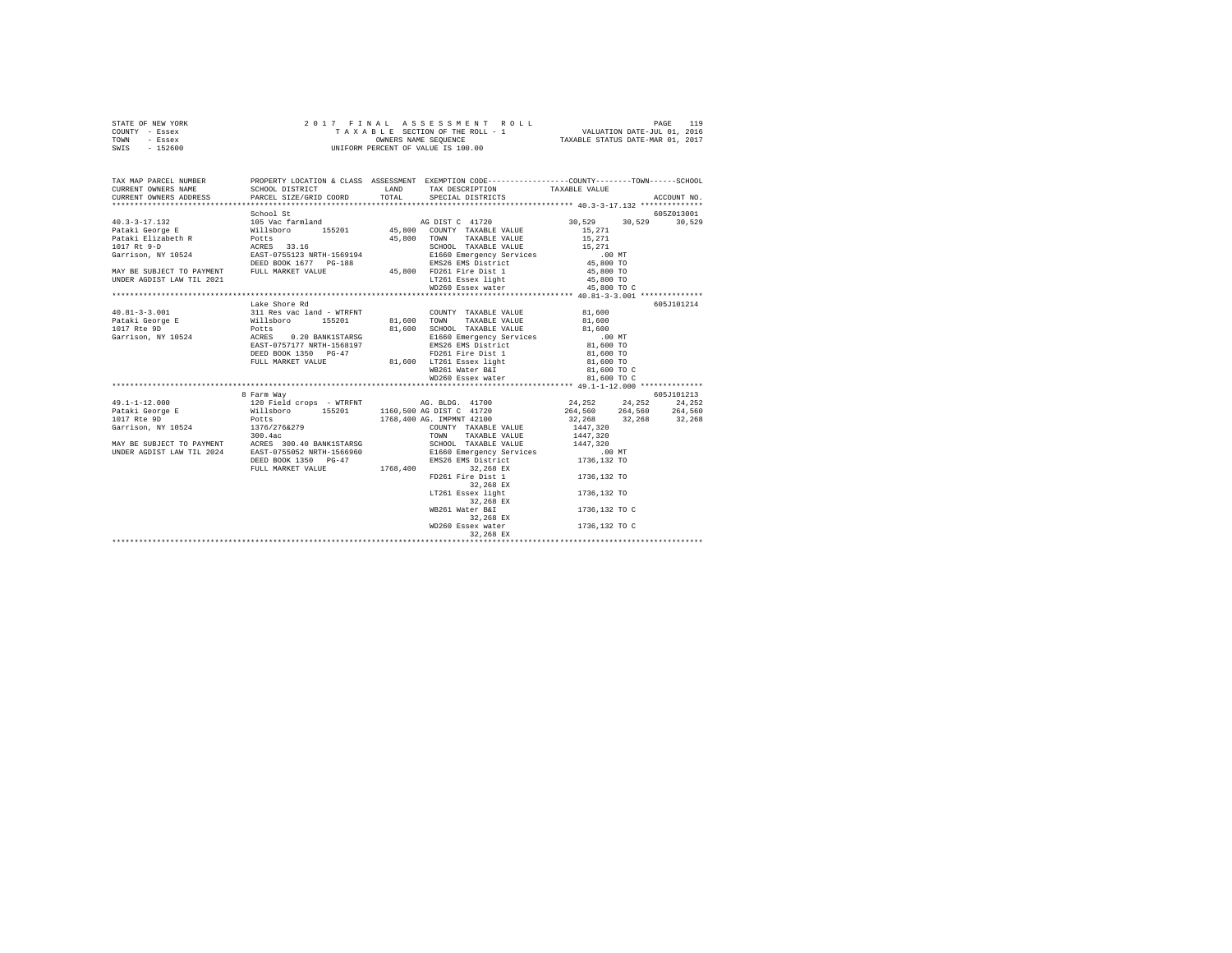| STATE OF NEW YORK | 2017 FINAL ASSESSMENT ROLL         | 119<br>PAGE                      |
|-------------------|------------------------------------|----------------------------------|
| COUNTY - Essex    | TAXABLE SECTION OF THE ROLL - 1    | VALUATION DATE-JUL 01, 2016      |
| TOWN<br>- Essex   | OWNERS NAME SEOUENCE               | TAXABLE STATUS DATE-MAR 01, 2017 |
| $-152600$<br>SWIS | UNIFORM PERCENT OF VALUE IS 100.00 |                                  |

| TAX MAP PARCEL NUMBER     PROPERTY LOCATION & CLASS ASSESSMENT EXEMPTION CODE--------------COUNTY-------TOWN------SCHOOL |                                                                                                                                             |                                |               |            |
|--------------------------------------------------------------------------------------------------------------------------|---------------------------------------------------------------------------------------------------------------------------------------------|--------------------------------|---------------|------------|
|                                                                                                                          |                                                                                                                                             |                                |               |            |
|                                                                                                                          |                                                                                                                                             |                                |               |            |
|                                                                                                                          |                                                                                                                                             |                                |               |            |
|                                                                                                                          | School St                                                                                                                                   |                                |               | 605Z013001 |
|                                                                                                                          |                                                                                                                                             |                                |               |            |
|                                                                                                                          |                                                                                                                                             |                                |               |            |
|                                                                                                                          |                                                                                                                                             |                                |               |            |
|                                                                                                                          |                                                                                                                                             |                                |               |            |
|                                                                                                                          |                                                                                                                                             |                                |               |            |
|                                                                                                                          |                                                                                                                                             |                                |               |            |
|                                                                                                                          |                                                                                                                                             |                                |               |            |
|                                                                                                                          |                                                                                                                                             |                                |               |            |
|                                                                                                                          |                                                                                                                                             |                                |               |            |
|                                                                                                                          |                                                                                                                                             |                                |               |            |
|                                                                                                                          |                                                                                                                                             |                                |               | 605J101214 |
|                                                                                                                          |                                                                                                                                             |                                |               |            |
|                                                                                                                          |                                                                                                                                             |                                |               |            |
|                                                                                                                          |                                                                                                                                             |                                |               |            |
|                                                                                                                          |                                                                                                                                             |                                |               |            |
|                                                                                                                          |                                                                                                                                             |                                |               |            |
|                                                                                                                          |                                                                                                                                             |                                |               |            |
|                                                                                                                          |                                                                                                                                             |                                |               |            |
|                                                                                                                          | DEED BOOK 1350 PG-47 PD261 Pire Dist 1 al,600 TO<br>PULL MARKET VALUE 81,600 LT261 BSBex light 81,600 TO<br>WB261 Walter B&I 81 81,600 TO C |                                |               |            |
|                                                                                                                          |                                                                                                                                             |                                |               |            |
|                                                                                                                          |                                                                                                                                             |                                |               |            |
|                                                                                                                          | 8 Farm Way                                                                                                                                  |                                |               | 605J101213 |
|                                                                                                                          |                                                                                                                                             |                                |               |            |
|                                                                                                                          |                                                                                                                                             |                                |               |            |
|                                                                                                                          |                                                                                                                                             |                                |               |            |
|                                                                                                                          |                                                                                                                                             |                                |               |            |
|                                                                                                                          |                                                                                                                                             |                                |               |            |
|                                                                                                                          |                                                                                                                                             |                                |               |            |
|                                                                                                                          |                                                                                                                                             |                                |               |            |
|                                                                                                                          |                                                                                                                                             |                                |               |            |
|                                                                                                                          | FULL MARKET VALUE 1768, 400                                                                                                                 |                                |               |            |
|                                                                                                                          |                                                                                                                                             | 32,268 EX<br>FD261 Fire Dist 1 |               |            |
|                                                                                                                          |                                                                                                                                             |                                | 1736,132 TO   |            |
|                                                                                                                          |                                                                                                                                             | 32,268 EX                      |               |            |
|                                                                                                                          |                                                                                                                                             | LT261 Essex light              | 1736,132 TO   |            |
|                                                                                                                          |                                                                                                                                             | 32,268 EX                      |               |            |
|                                                                                                                          |                                                                                                                                             | WB261 Water B&I                | 1736,132 TO C |            |
|                                                                                                                          |                                                                                                                                             | 32,268 EX                      |               |            |
|                                                                                                                          |                                                                                                                                             | WD260 Essex water              | 1736,132 TO C |            |
|                                                                                                                          |                                                                                                                                             |                                |               |            |
|                                                                                                                          |                                                                                                                                             |                                |               |            |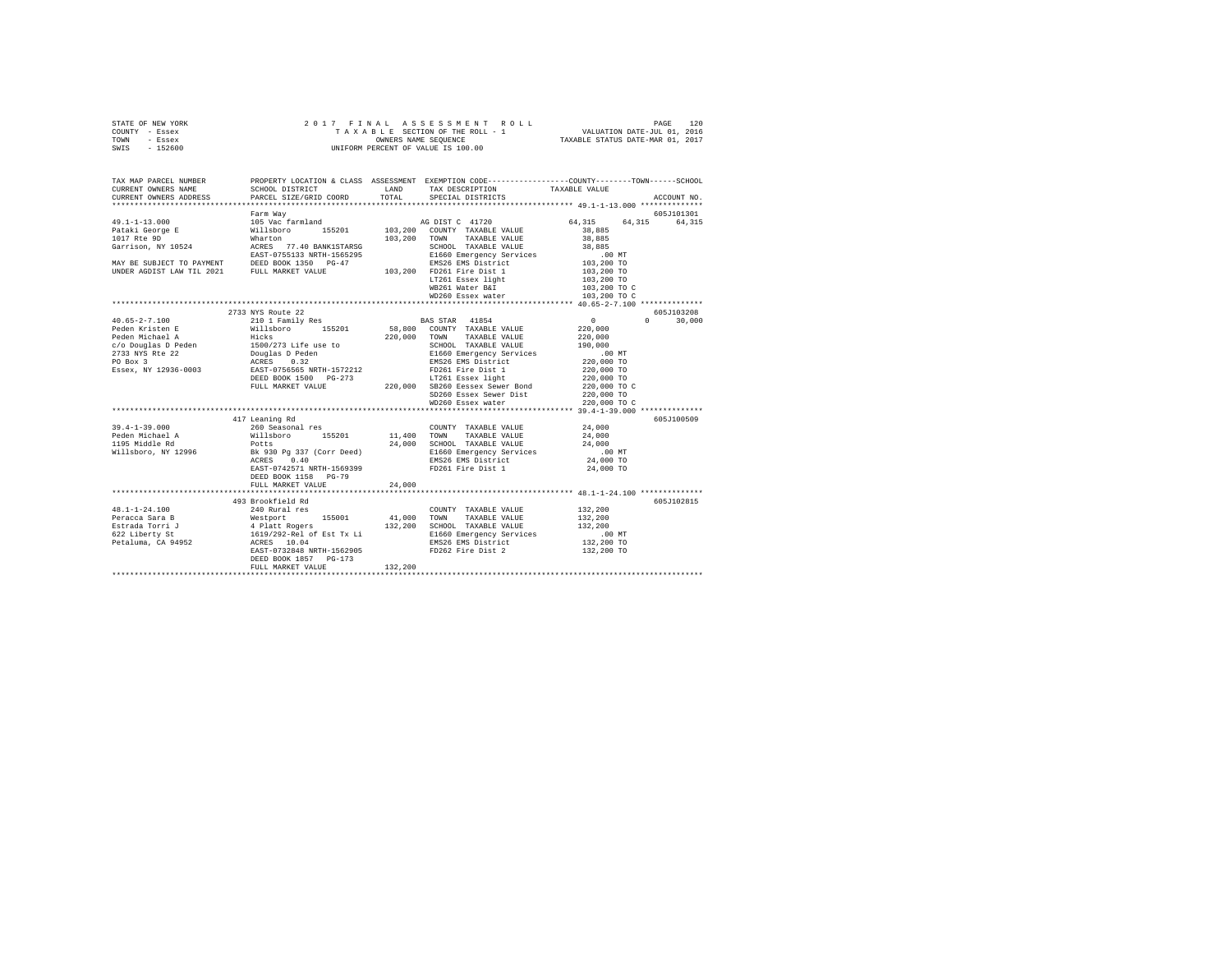|      | STATE OF NEW YORK |  |  |  | 2017 FINAL ASSESSMENT ROLL         | PAGE                             | 120 |
|------|-------------------|--|--|--|------------------------------------|----------------------------------|-----|
|      | COUNTY - Essex    |  |  |  | TAXABLE SECTION OF THE ROLL - 1    | VALUATION DATE-JUL 01, 2016      |     |
| TOWN | - Essex           |  |  |  | OWNERS NAME SEOUENCE               | TAXABLE STATUS DATE-MAR 01, 2017 |     |
|      | SWIS - 152600     |  |  |  | UNIFORM PERCENT OF VALUE IS 100.00 |                                  |     |

| TAX MAP PARCEL NUMBER<br>CURRENT OWNERS NAME<br>CURRENT OWNERS ADDRESS                                                                                                                                                                                         | SCHOOL DISTRICT<br>PARCEL SIZE/GRID COORD                                                  |         | PROPERTY LOCATION & CLASS ASSESSMENT EXEMPTION CODE----------------COUNTY-------TOWN-----SCHOOL<br>LAND TAX DESCRIPTION<br>TOTAL SPECIAL DISTRICTS | TAXABLE VALUE                                                       | ACCOUNT NO.                      |
|----------------------------------------------------------------------------------------------------------------------------------------------------------------------------------------------------------------------------------------------------------------|--------------------------------------------------------------------------------------------|---------|----------------------------------------------------------------------------------------------------------------------------------------------------|---------------------------------------------------------------------|----------------------------------|
|                                                                                                                                                                                                                                                                |                                                                                            |         |                                                                                                                                                    |                                                                     |                                  |
|                                                                                                                                                                                                                                                                |                                                                                            |         |                                                                                                                                                    |                                                                     |                                  |
|                                                                                                                                                                                                                                                                |                                                                                            |         |                                                                                                                                                    |                                                                     |                                  |
|                                                                                                                                                                                                                                                                |                                                                                            |         | LT261 Essex light<br>WB261 Water B&I                                                                                                               | 103,200 TO<br>103,200 TO C<br>103,200 TO C                          |                                  |
|                                                                                                                                                                                                                                                                |                                                                                            |         |                                                                                                                                                    |                                                                     |                                  |
|                                                                                                                                                                                                                                                                | 2733 NYS Route 22                                                                          |         |                                                                                                                                                    |                                                                     | 605J103208<br>$\Omega$<br>30,000 |
|                                                                                                                                                                                                                                                                |                                                                                            |         |                                                                                                                                                    |                                                                     |                                  |
|                                                                                                                                                                                                                                                                | 417 Leaning Rd                                                                             |         |                                                                                                                                                    |                                                                     | 605J100509                       |
| $39.4 - 1 - 39.000$<br>Peden Michael A and Millsboro 155201 11,400 TOWN TAXABLE VALUE (1990)<br>1995 Middle Rd Potts 24,000 SCHOOL TAXABLE VALUE 24,000<br>1995 Millsboro, NY 12996 BK 930 Pg 337 (Corr Deed) B1660 Emergency Services .<br>1996 BK 910 Pg 337 | 260 Seasonal res<br>EAST-0742571 NRTH-1569399<br>DEED BOOK 1158 PG-79<br>FULL MARKET VALUE | 24,000  | COUNTY TAXABLE VALUE 24,000<br>FD261 Fire Dist 1                                                                                                   | 24,000 TO                                                           |                                  |
|                                                                                                                                                                                                                                                                |                                                                                            |         |                                                                                                                                                    |                                                                     |                                  |
|                                                                                                                                                                                                                                                                | EAST-0732848 NRTH-1562905<br>DEED BOOK 1857 PG-173<br>FULL MARKET VALUE                    | 132,200 | EMS26 EMS District<br>FD262 Fire Dist 2                                                                                                            | 132,200<br>132,200<br>132,200<br>00 MT.<br>132,200 TO<br>132,200 TO | 605J102815                       |
|                                                                                                                                                                                                                                                                |                                                                                            |         |                                                                                                                                                    |                                                                     |                                  |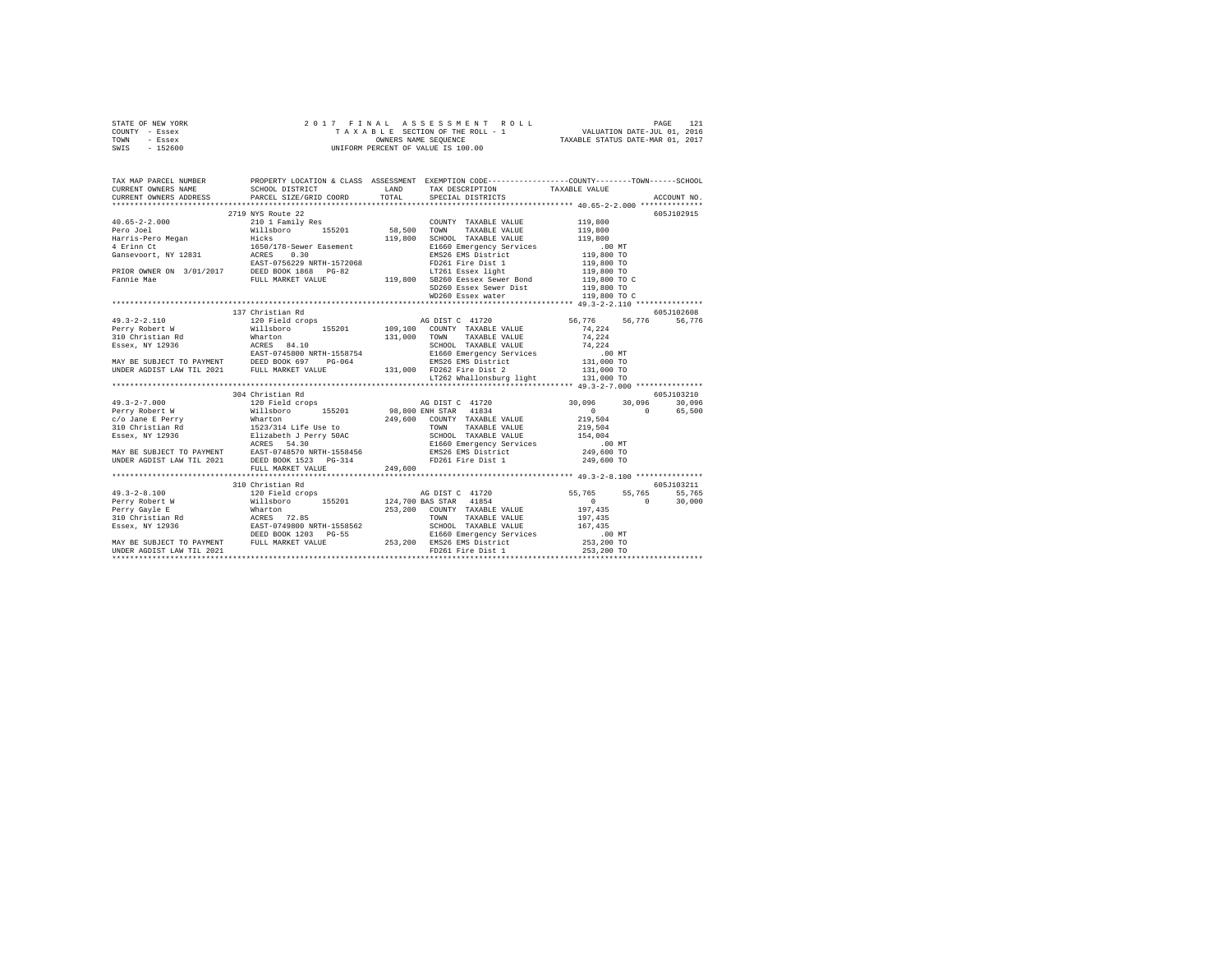| STATE OF NEW YORK | 2017 FINAL ASSESSMENT ROLL         | 121<br>PAGE                      |
|-------------------|------------------------------------|----------------------------------|
| COUNTY - Essex    | TAXABLE SECTION OF THE ROLL - 1    | VALUATION DATE-JUL 01, 2016      |
| TOWN<br>- Essex   | OWNERS NAME SEOUENCE               | TAXABLE STATUS DATE-MAR 01, 2017 |
| - 152600<br>SWIS  | UNIFORM PERCENT OF VALUE IS 100.00 |                                  |

| 2719 NYS Route 22                                                                                                                                                                                                                                                                                                                                                                                                        |                                       |                                                                   | 605J102915 |
|--------------------------------------------------------------------------------------------------------------------------------------------------------------------------------------------------------------------------------------------------------------------------------------------------------------------------------------------------------------------------------------------------------------------------|---------------------------------------|-------------------------------------------------------------------|------------|
| $\begin{tabular}{l c c c c} \multicolumn{3}{c}{\textbf{4 0.65--2-2.000}} & \multicolumn{3}{c}{2719\textrm{ NYS}~\text{Route 22}} & \multicolumn{3}{c}{\textbf{2011}~\text{Fans11}~\text{y}}~\text{Res} & \multicolumn{3}{c}{\textbf{C}0\text{INTY}~\text{TXABLE VALUE}} & \multicolumn{3}{c}{119\, ,800} \\ \multicolumn{3}{c}{\textbf{Pero Negan}} & \multicolumn{3}{c}{\textbf{Hilisboro}} & \multicolumn{3}{c}{\text$ |                                       |                                                                   |            |
|                                                                                                                                                                                                                                                                                                                                                                                                                          |                                       |                                                                   |            |
|                                                                                                                                                                                                                                                                                                                                                                                                                          |                                       |                                                                   |            |
|                                                                                                                                                                                                                                                                                                                                                                                                                          |                                       |                                                                   |            |
|                                                                                                                                                                                                                                                                                                                                                                                                                          |                                       |                                                                   |            |
|                                                                                                                                                                                                                                                                                                                                                                                                                          |                                       |                                                                   |            |
|                                                                                                                                                                                                                                                                                                                                                                                                                          |                                       |                                                                   |            |
|                                                                                                                                                                                                                                                                                                                                                                                                                          |                                       |                                                                   |            |
|                                                                                                                                                                                                                                                                                                                                                                                                                          |                                       |                                                                   |            |
|                                                                                                                                                                                                                                                                                                                                                                                                                          |                                       |                                                                   |            |
|                                                                                                                                                                                                                                                                                                                                                                                                                          |                                       |                                                                   |            |
| 137 Christian Rd                                                                                                                                                                                                                                                                                                                                                                                                         |                                       |                                                                   | 605J102608 |
|                                                                                                                                                                                                                                                                                                                                                                                                                          |                                       |                                                                   |            |
|                                                                                                                                                                                                                                                                                                                                                                                                                          |                                       |                                                                   |            |
|                                                                                                                                                                                                                                                                                                                                                                                                                          |                                       |                                                                   |            |
|                                                                                                                                                                                                                                                                                                                                                                                                                          |                                       |                                                                   |            |
|                                                                                                                                                                                                                                                                                                                                                                                                                          |                                       |                                                                   |            |
|                                                                                                                                                                                                                                                                                                                                                                                                                          |                                       |                                                                   |            |
|                                                                                                                                                                                                                                                                                                                                                                                                                          | LT262 Whallonsburg light $131,000$ TO |                                                                   |            |
|                                                                                                                                                                                                                                                                                                                                                                                                                          |                                       |                                                                   |            |
| 304 Christian Rd                                                                                                                                                                                                                                                                                                                                                                                                         |                                       |                                                                   | 605J103210 |
|                                                                                                                                                                                                                                                                                                                                                                                                                          |                                       |                                                                   |            |
|                                                                                                                                                                                                                                                                                                                                                                                                                          |                                       |                                                                   |            |
|                                                                                                                                                                                                                                                                                                                                                                                                                          |                                       |                                                                   |            |
|                                                                                                                                                                                                                                                                                                                                                                                                                          |                                       |                                                                   |            |
|                                                                                                                                                                                                                                                                                                                                                                                                                          |                                       |                                                                   |            |
|                                                                                                                                                                                                                                                                                                                                                                                                                          |                                       |                                                                   |            |
|                                                                                                                                                                                                                                                                                                                                                                                                                          |                                       |                                                                   |            |
|                                                                                                                                                                                                                                                                                                                                                                                                                          |                                       |                                                                   |            |
|                                                                                                                                                                                                                                                                                                                                                                                                                          |                                       |                                                                   |            |
|                                                                                                                                                                                                                                                                                                                                                                                                                          |                                       |                                                                   |            |
| 310 Christian Rd                                                                                                                                                                                                                                                                                                                                                                                                         |                                       |                                                                   | 605J103211 |
|                                                                                                                                                                                                                                                                                                                                                                                                                          |                                       | AG DIST C 41720<br>BAS STAR 41854<br>BAS STAR 41854<br>0 0 30,000 |            |
|                                                                                                                                                                                                                                                                                                                                                                                                                          |                                       | $0 \t 30,000$                                                     |            |
|                                                                                                                                                                                                                                                                                                                                                                                                                          |                                       |                                                                   |            |
|                                                                                                                                                                                                                                                                                                                                                                                                                          |                                       |                                                                   |            |
|                                                                                                                                                                                                                                                                                                                                                                                                                          |                                       |                                                                   |            |
|                                                                                                                                                                                                                                                                                                                                                                                                                          |                                       |                                                                   |            |
|                                                                                                                                                                                                                                                                                                                                                                                                                          |                                       |                                                                   |            |
|                                                                                                                                                                                                                                                                                                                                                                                                                          |                                       |                                                                   |            |
|                                                                                                                                                                                                                                                                                                                                                                                                                          |                                       |                                                                   |            |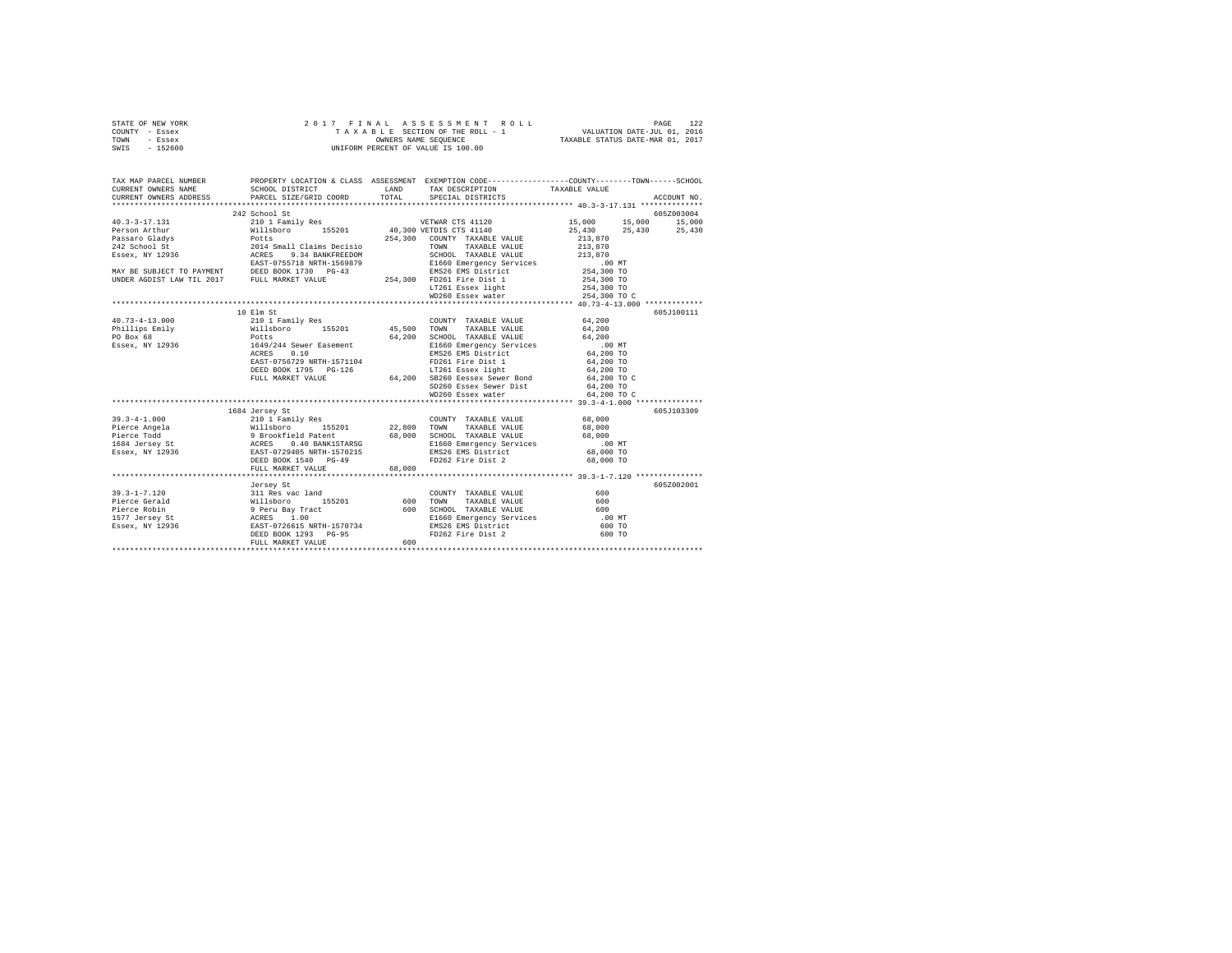| STATE OF NEW YORK | 2017 FINAL ASSESSMENT ROLL         | 122<br>PAGE                      |
|-------------------|------------------------------------|----------------------------------|
| COUNTY - Essex    | TAXABLE SECTION OF THE ROLL - 1    | VALUATION DATE-JUL 01, 2016      |
| TOWN<br>- Essex   | OWNERS NAME SEOUENCE               | TAXABLE STATUS DATE-MAR 01, 2017 |
| $-152600$<br>SWIS | UNIFORM PERCENT OF VALUE IS 100.00 |                                  |

|                                                                                                                                                                                                                                        |                   |     |                                                                                                                                                                                             | TAX MAP PARCEL NUMBER<br>CURRENT OWNERS NAME SCHOOL DISTRICT LAND TAX DESCRIPTION CODE--------------COUNTY--------TOWN------SCHOOL<br>CURRENT OWNERS AMERIC SCHOOL DISTRICT LAND TOTAL SPECIAL DISTRICTS TAXABLE VALUE ACCOUNT NO.<br>*                                                                                                                                                                                                         |  |
|----------------------------------------------------------------------------------------------------------------------------------------------------------------------------------------------------------------------------------------|-------------------|-----|---------------------------------------------------------------------------------------------------------------------------------------------------------------------------------------------|-------------------------------------------------------------------------------------------------------------------------------------------------------------------------------------------------------------------------------------------------------------------------------------------------------------------------------------------------------------------------------------------------------------------------------------------------|--|
|                                                                                                                                                                                                                                        |                   |     |                                                                                                                                                                                             |                                                                                                                                                                                                                                                                                                                                                                                                                                                 |  |
|                                                                                                                                                                                                                                        | 242 School St     |     |                                                                                                                                                                                             | 605Z003004<br>$\begin{tabular}{l c c c c c} \multicolumn{1}{c}{\textbf{40.3-3-17.131}} & \multicolumn{1}{c}{242\,\,\mathrm{School\,\,St}} & \multicolumn{1}{c}{242\,\,\mathrm{School\,\,St}} & \multicolumn{1}{c}{242\,\,\mathrm{School\,\,St}} & \multicolumn{1}{c}{242\,\,\mathrm{School\,\,St}} & \multicolumn{1}{c}{242\,\,\mathrm{School\,\,St}} & \multicolumn{1}{c}{242\,\,\mathrm{School\,\,St}} & \multicolumn{1}{c}{243\,\,\mathrm{S$ |  |
|                                                                                                                                                                                                                                        |                   |     |                                                                                                                                                                                             |                                                                                                                                                                                                                                                                                                                                                                                                                                                 |  |
|                                                                                                                                                                                                                                        |                   |     |                                                                                                                                                                                             |                                                                                                                                                                                                                                                                                                                                                                                                                                                 |  |
|                                                                                                                                                                                                                                        |                   |     |                                                                                                                                                                                             |                                                                                                                                                                                                                                                                                                                                                                                                                                                 |  |
|                                                                                                                                                                                                                                        |                   |     |                                                                                                                                                                                             |                                                                                                                                                                                                                                                                                                                                                                                                                                                 |  |
|                                                                                                                                                                                                                                        |                   |     |                                                                                                                                                                                             |                                                                                                                                                                                                                                                                                                                                                                                                                                                 |  |
|                                                                                                                                                                                                                                        |                   |     |                                                                                                                                                                                             |                                                                                                                                                                                                                                                                                                                                                                                                                                                 |  |
|                                                                                                                                                                                                                                        |                   |     |                                                                                                                                                                                             |                                                                                                                                                                                                                                                                                                                                                                                                                                                 |  |
|                                                                                                                                                                                                                                        |                   |     |                                                                                                                                                                                             |                                                                                                                                                                                                                                                                                                                                                                                                                                                 |  |
|                                                                                                                                                                                                                                        |                   |     |                                                                                                                                                                                             |                                                                                                                                                                                                                                                                                                                                                                                                                                                 |  |
|                                                                                                                                                                                                                                        |                   |     |                                                                                                                                                                                             |                                                                                                                                                                                                                                                                                                                                                                                                                                                 |  |
|                                                                                                                                                                                                                                        |                   |     |                                                                                                                                                                                             |                                                                                                                                                                                                                                                                                                                                                                                                                                                 |  |
|                                                                                                                                                                                                                                        | 10 Elm St         |     |                                                                                                                                                                                             | 605J100111                                                                                                                                                                                                                                                                                                                                                                                                                                      |  |
|                                                                                                                                                                                                                                        |                   |     |                                                                                                                                                                                             |                                                                                                                                                                                                                                                                                                                                                                                                                                                 |  |
|                                                                                                                                                                                                                                        |                   |     |                                                                                                                                                                                             |                                                                                                                                                                                                                                                                                                                                                                                                                                                 |  |
|                                                                                                                                                                                                                                        |                   |     |                                                                                                                                                                                             |                                                                                                                                                                                                                                                                                                                                                                                                                                                 |  |
|                                                                                                                                                                                                                                        |                   |     |                                                                                                                                                                                             |                                                                                                                                                                                                                                                                                                                                                                                                                                                 |  |
|                                                                                                                                                                                                                                        |                   |     |                                                                                                                                                                                             |                                                                                                                                                                                                                                                                                                                                                                                                                                                 |  |
|                                                                                                                                                                                                                                        |                   |     |                                                                                                                                                                                             |                                                                                                                                                                                                                                                                                                                                                                                                                                                 |  |
|                                                                                                                                                                                                                                        |                   |     |                                                                                                                                                                                             |                                                                                                                                                                                                                                                                                                                                                                                                                                                 |  |
|                                                                                                                                                                                                                                        |                   |     |                                                                                                                                                                                             |                                                                                                                                                                                                                                                                                                                                                                                                                                                 |  |
|                                                                                                                                                                                                                                        |                   |     |                                                                                                                                                                                             |                                                                                                                                                                                                                                                                                                                                                                                                                                                 |  |
|                                                                                                                                                                                                                                        |                   |     | $\begin{tabular}{llll} \texttt{SD260 Essex} & \texttt{Sewer} & \texttt{Dist} & \texttt{64,200 T0} \\ \texttt{WD260 Essex water} & \texttt{64,200 T0} & \texttt{69,200 T0} \\ \end{tabular}$ | 64,200 TO C                                                                                                                                                                                                                                                                                                                                                                                                                                     |  |
|                                                                                                                                                                                                                                        |                   |     |                                                                                                                                                                                             |                                                                                                                                                                                                                                                                                                                                                                                                                                                 |  |
|                                                                                                                                                                                                                                        |                   |     |                                                                                                                                                                                             | 605J103309                                                                                                                                                                                                                                                                                                                                                                                                                                      |  |
|                                                                                                                                                                                                                                        |                   |     |                                                                                                                                                                                             |                                                                                                                                                                                                                                                                                                                                                                                                                                                 |  |
|                                                                                                                                                                                                                                        |                   |     |                                                                                                                                                                                             |                                                                                                                                                                                                                                                                                                                                                                                                                                                 |  |
|                                                                                                                                                                                                                                        |                   |     |                                                                                                                                                                                             |                                                                                                                                                                                                                                                                                                                                                                                                                                                 |  |
|                                                                                                                                                                                                                                        |                   |     |                                                                                                                                                                                             |                                                                                                                                                                                                                                                                                                                                                                                                                                                 |  |
|                                                                                                                                                                                                                                        |                   |     |                                                                                                                                                                                             |                                                                                                                                                                                                                                                                                                                                                                                                                                                 |  |
|                                                                                                                                                                                                                                        |                   |     |                                                                                                                                                                                             |                                                                                                                                                                                                                                                                                                                                                                                                                                                 |  |
|                                                                                                                                                                                                                                        |                   |     |                                                                                                                                                                                             |                                                                                                                                                                                                                                                                                                                                                                                                                                                 |  |
|                                                                                                                                                                                                                                        |                   |     |                                                                                                                                                                                             |                                                                                                                                                                                                                                                                                                                                                                                                                                                 |  |
|                                                                                                                                                                                                                                        | Jersey St         |     |                                                                                                                                                                                             | 605Z002001                                                                                                                                                                                                                                                                                                                                                                                                                                      |  |
|                                                                                                                                                                                                                                        |                   |     |                                                                                                                                                                                             |                                                                                                                                                                                                                                                                                                                                                                                                                                                 |  |
|                                                                                                                                                                                                                                        |                   |     |                                                                                                                                                                                             |                                                                                                                                                                                                                                                                                                                                                                                                                                                 |  |
| 39.3-1-7.120<br>99.3-1-7.120<br>Pierce Gerald Willsboro 155201 600 TOWNTY TAXABLE VALUE 600<br>Pierce Gobin Willsboro 1577 Jerus Bay Tract 600 SCHOOL TAXABLE VALUE 600<br>1577 Jersey St ACRES 1.00 MT<br>1577 Jersey St ACRES (100 M |                   |     |                                                                                                                                                                                             |                                                                                                                                                                                                                                                                                                                                                                                                                                                 |  |
|                                                                                                                                                                                                                                        |                   |     |                                                                                                                                                                                             |                                                                                                                                                                                                                                                                                                                                                                                                                                                 |  |
|                                                                                                                                                                                                                                        |                   |     |                                                                                                                                                                                             |                                                                                                                                                                                                                                                                                                                                                                                                                                                 |  |
|                                                                                                                                                                                                                                        |                   |     |                                                                                                                                                                                             |                                                                                                                                                                                                                                                                                                                                                                                                                                                 |  |
|                                                                                                                                                                                                                                        | FULL MARKET VALUE | 600 |                                                                                                                                                                                             |                                                                                                                                                                                                                                                                                                                                                                                                                                                 |  |
|                                                                                                                                                                                                                                        |                   |     |                                                                                                                                                                                             |                                                                                                                                                                                                                                                                                                                                                                                                                                                 |  |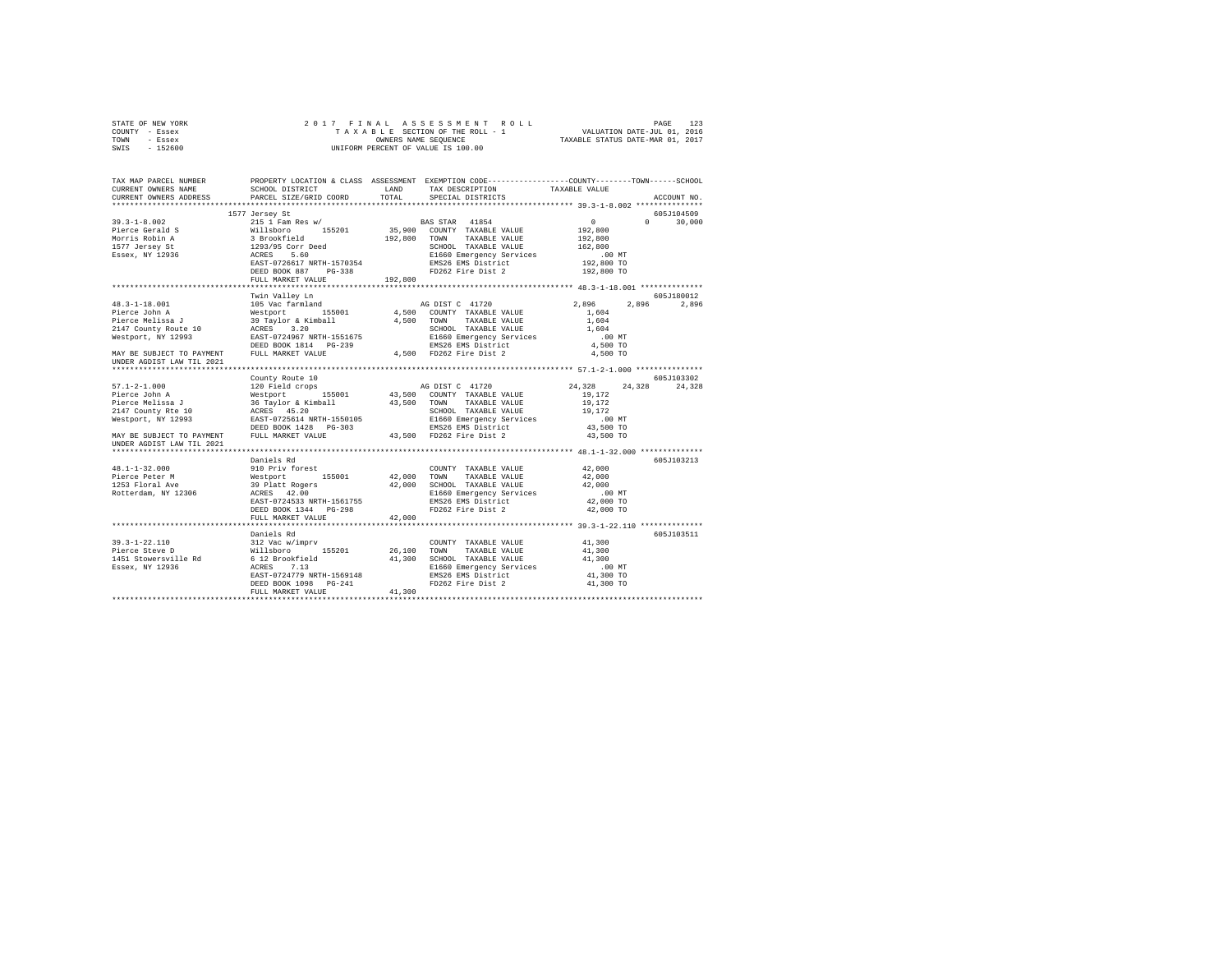| STATE OF NEW YORK                                                                                                                                                                                                                                                                                                                                                                                                                                    |                                                             |                  |                                                                                                 |                                  |                       |             |
|------------------------------------------------------------------------------------------------------------------------------------------------------------------------------------------------------------------------------------------------------------------------------------------------------------------------------------------------------------------------------------------------------------------------------------------------------|-------------------------------------------------------------|------------------|-------------------------------------------------------------------------------------------------|----------------------------------|-----------------------|-------------|
| COUNTY - Essex                                                                                                                                                                                                                                                                                                                                                                                                                                       |                                                             |                  |                                                                                                 | TAXABLE STATUS DATE-MAR 01, 2017 |                       |             |
| TOWN - Essex<br>SWIS - 152600                                                                                                                                                                                                                                                                                                                                                                                                                        |                                                             |                  | OWNERS NAME SEQUENCE<br>UNIFORM PERCENT OF VALUE IS 100.00                                      |                                  |                       |             |
|                                                                                                                                                                                                                                                                                                                                                                                                                                                      |                                                             |                  |                                                                                                 |                                  |                       |             |
| TAX MAP PARCEL NUMBER                                                                                                                                                                                                                                                                                                                                                                                                                                |                                                             |                  | PROPERTY LOCATION & CLASS ASSESSMENT EXEMPTION CODE---------------COUNTY-------TOWN------SCHOOL |                                  |                       |             |
| CURRENT OWNERS NAME                                                                                                                                                                                                                                                                                                                                                                                                                                  | SCHOOL DISTRICT                                             | LAND             | TAX DESCRIPTION                                                                                 | TAXABLE VALUE                    |                       |             |
| CURRENT OWNERS ADDRESS                                                                                                                                                                                                                                                                                                                                                                                                                               | PARCEL SIZE/GRID COORD                                      | TOTAL            | SPECIAL DISTRICTS                                                                               |                                  |                       | ACCOUNT NO. |
|                                                                                                                                                                                                                                                                                                                                                                                                                                                      |                                                             |                  |                                                                                                 |                                  |                       |             |
|                                                                                                                                                                                                                                                                                                                                                                                                                                                      | 1577 Jersey St                                              |                  |                                                                                                 |                                  |                       | 605J104509  |
| $39.3 - 1 - 8.002$                                                                                                                                                                                                                                                                                                                                                                                                                                   | 215 1 Fam Res w/                                            |                  | BAS STAR 41854                                                                                  | $\mathbf{0}$                     | $\Omega$ and $\Omega$ | 30,000      |
|                                                                                                                                                                                                                                                                                                                                                                                                                                                      | Willsboro 155201                                            |                  | 35,900 COUNTY TAXABLE VALUE                                                                     | 192,800                          |                       |             |
| Pierce Gerald S<br>Morris Robin A<br>1577 Jersey St                                                                                                                                                                                                                                                                                                                                                                                                  | 3 Brookfield                                                |                  | 192.800 TOWN TAXABLE VALUE                                                                      | 192,800                          |                       |             |
|                                                                                                                                                                                                                                                                                                                                                                                                                                                      | 1293/95 Corr Deed                                           |                  | SCHOOL TAXABLE VALUE                                                                            | 162,800                          |                       |             |
| Essex, NY 12936                                                                                                                                                                                                                                                                                                                                                                                                                                      | ACRES 5.60                                                  |                  | E1660 Emergency Services                                                                        | $.00$ MT                         |                       |             |
|                                                                                                                                                                                                                                                                                                                                                                                                                                                      | EAST-0726617 NRTH-1570354                                   |                  | EMS26 EMS District                                                                              | 192,800 TO                       |                       |             |
|                                                                                                                                                                                                                                                                                                                                                                                                                                                      | DEED BOOK 887 PG-338                                        |                  | FD262 Fire Dist 2                                                                               | 192,800 TO                       |                       |             |
|                                                                                                                                                                                                                                                                                                                                                                                                                                                      | FULL MARKET VALUE                                           | 192,800          |                                                                                                 |                                  |                       |             |
|                                                                                                                                                                                                                                                                                                                                                                                                                                                      |                                                             |                  |                                                                                                 |                                  |                       |             |
|                                                                                                                                                                                                                                                                                                                                                                                                                                                      | Twin Valley Ln                                              |                  |                                                                                                 |                                  |                       | 605J180012  |
|                                                                                                                                                                                                                                                                                                                                                                                                                                                      | 105 Vac farmland                                            |                  | AG DIST C 41720                                                                                 | 2,896                            | 2.896                 | 2.896       |
| $\begin{tabular}{lllllllllll} $\texttt{r} \texttt{.} $\texttt{error}$ & $\texttt{10} \texttt{.} $\texttt{error}$ & $155001$ \\ $\texttt{Pi} \texttt{.} $\texttt{error}$ & $155001$ & $155001$ \\ $\texttt{2147} $\texttt{ 1} \texttt{1} \texttt{1} \texttt{1}$ & $\texttt{10} \texttt{.} $\texttt{error}$ & $\texttt{10} \texttt{.} $\texttt{for} \texttt{.} $\texttt{R} \texttt{.} $\texttt{error}$ \\ $\texttt{10} \texttt{1} \texttt{1} \texttt{$ |                                                             |                  | 4,500 COUNTY TAXABLE VALUE                                                                      | 1,604                            |                       |             |
|                                                                                                                                                                                                                                                                                                                                                                                                                                                      |                                                             |                  | 4.500 TOWN<br>TAXABLE VALUE                                                                     | 1,604                            |                       |             |
|                                                                                                                                                                                                                                                                                                                                                                                                                                                      |                                                             |                  | SCHOOL TAXABLE VALUE                                                                            | 1,604                            |                       |             |
|                                                                                                                                                                                                                                                                                                                                                                                                                                                      | EAST-0724967 NRTH-1551675                                   |                  | E1660 Emergency Services                                                                        | $.00$ MT                         |                       |             |
|                                                                                                                                                                                                                                                                                                                                                                                                                                                      | DEED BOOK 1814 PG-239                                       |                  | E1000 EMS District                                                                              | 4,500 TO                         |                       |             |
| MAY BE SUBJECT TO PAYMENT                                                                                                                                                                                                                                                                                                                                                                                                                            | FULL MARKET VALUE                                           |                  | 4.500 FD262 Fire Dist 2                                                                         | 4,500 TO                         |                       |             |
| UNDER AGDIST LAW TIL 2021                                                                                                                                                                                                                                                                                                                                                                                                                            |                                                             |                  |                                                                                                 |                                  |                       |             |
|                                                                                                                                                                                                                                                                                                                                                                                                                                                      |                                                             |                  |                                                                                                 |                                  |                       |             |
|                                                                                                                                                                                                                                                                                                                                                                                                                                                      | County Route 10                                             |                  |                                                                                                 |                                  |                       | 605J103302  |
|                                                                                                                                                                                                                                                                                                                                                                                                                                                      |                                                             |                  |                                                                                                 |                                  |                       |             |
| $57.1 - 2 - 1.000$                                                                                                                                                                                                                                                                                                                                                                                                                                   | 120 Field crops                                             |                  | AG DIST C 41720                                                                                 | 24,328                           | 24.328                | 24,328      |
| Pierce John A                                                                                                                                                                                                                                                                                                                                                                                                                                        | Westport 155001                                             |                  | 43,500 COUNTY TAXABLE VALUE                                                                     | 19,172                           |                       |             |
| Pierce Melissa J                                                                                                                                                                                                                                                                                                                                                                                                                                     | 36 Taylor & Kimball                                         |                  | 43,500 TOWN TAXABLE VALUE                                                                       | 19,172                           |                       |             |
| 2147 County Rte 10                                                                                                                                                                                                                                                                                                                                                                                                                                   | ACRES 45.20                                                 |                  | SCHOOL TAXABLE VALUE                                                                            | 19.172                           |                       |             |
| Westport, NY 12993                                                                                                                                                                                                                                                                                                                                                                                                                                   | EAST-0725614 NRTH-1550105                                   |                  |                                                                                                 | .00MT                            |                       |             |
|                                                                                                                                                                                                                                                                                                                                                                                                                                                      | DEED BOOK 1428    PG-303                                    |                  | E1660 Emergency Services<br>EMS26 EMS District                                                  | 43,500 TO                        |                       |             |
| MAY BE SUBJECT TO PAYMENT                                                                                                                                                                                                                                                                                                                                                                                                                            | FULL MARKET VALUE                                           |                  | 43,500 FD262 Fire Dist 2                                                                        | 43,500 TO                        |                       |             |
| UNDER AGDIST LAW TIL 2021                                                                                                                                                                                                                                                                                                                                                                                                                            |                                                             |                  |                                                                                                 |                                  |                       |             |
|                                                                                                                                                                                                                                                                                                                                                                                                                                                      | Daniels Rd                                                  |                  |                                                                                                 |                                  |                       | 605J103213  |
| $48.1 - 1 - 32.000$                                                                                                                                                                                                                                                                                                                                                                                                                                  | 910 Priv forest                                             |                  | COUNTY TAXABLE VALUE                                                                            | 42,000                           |                       |             |
| Pierce Peter M                                                                                                                                                                                                                                                                                                                                                                                                                                       | Westport 155001                                             |                  | TOWN<br>TAXABLE VALUE                                                                           | 42,000                           |                       |             |
|                                                                                                                                                                                                                                                                                                                                                                                                                                                      |                                                             | 42,000<br>42,000 | SCHOOL TAXABLE VALUE                                                                            | 42,000                           |                       |             |
| 1253 Floral Ave<br>Rotterdam, NY 12306                                                                                                                                                                                                                                                                                                                                                                                                               |                                                             |                  | E1660 Emergency Services                                                                        | $.00$ MT                         |                       |             |
|                                                                                                                                                                                                                                                                                                                                                                                                                                                      | 39 Platt Rogers<br>ACRES 42.00<br>EAST-0724533 NRTH-1561755 |                  | EMS26 EMS District                                                                              | 42,000 TO                        |                       |             |
|                                                                                                                                                                                                                                                                                                                                                                                                                                                      | DEED BOOK 1344 PG-298                                       |                  | FD262 Fire Dist 2                                                                               | 42,000 TO                        |                       |             |
|                                                                                                                                                                                                                                                                                                                                                                                                                                                      | FULL MARKET VALUE                                           | 42,000           |                                                                                                 |                                  |                       |             |
|                                                                                                                                                                                                                                                                                                                                                                                                                                                      |                                                             |                  |                                                                                                 |                                  |                       |             |
|                                                                                                                                                                                                                                                                                                                                                                                                                                                      | Daniels Rd                                                  |                  |                                                                                                 |                                  |                       | 605J103511  |
|                                                                                                                                                                                                                                                                                                                                                                                                                                                      | 312 Vac w/imprv                                             |                  | COUNTY TAXABLE VALUE                                                                            | 41,300                           |                       |             |
| 39.3-1-22.110<br>Pierce Steve D                                                                                                                                                                                                                                                                                                                                                                                                                      | Willsboro 155201                                            | 26,100           | TOWN TAXABLE VALUE                                                                              | 41,300                           |                       |             |
| 1451 Stowersville Rd                                                                                                                                                                                                                                                                                                                                                                                                                                 | 6 12 Brookfield                                             | 41,300           | SCHOOL TAXABLE VALUE                                                                            | 41,300                           |                       |             |
| Essex, NY 12936                                                                                                                                                                                                                                                                                                                                                                                                                                      | ACRES 7.13                                                  |                  | E1660 Emergency Services                                                                        | $.00$ MT                         |                       |             |
|                                                                                                                                                                                                                                                                                                                                                                                                                                                      | EAST-0724779 NRTH-1569148                                   |                  | EMS26 EMS District                                                                              | 41,300 TO                        |                       |             |
|                                                                                                                                                                                                                                                                                                                                                                                                                                                      | DEED BOOK 1098 PG-241                                       | 41,300           | FD262 Fire Dist 2                                                                               | 41,300 TO                        |                       |             |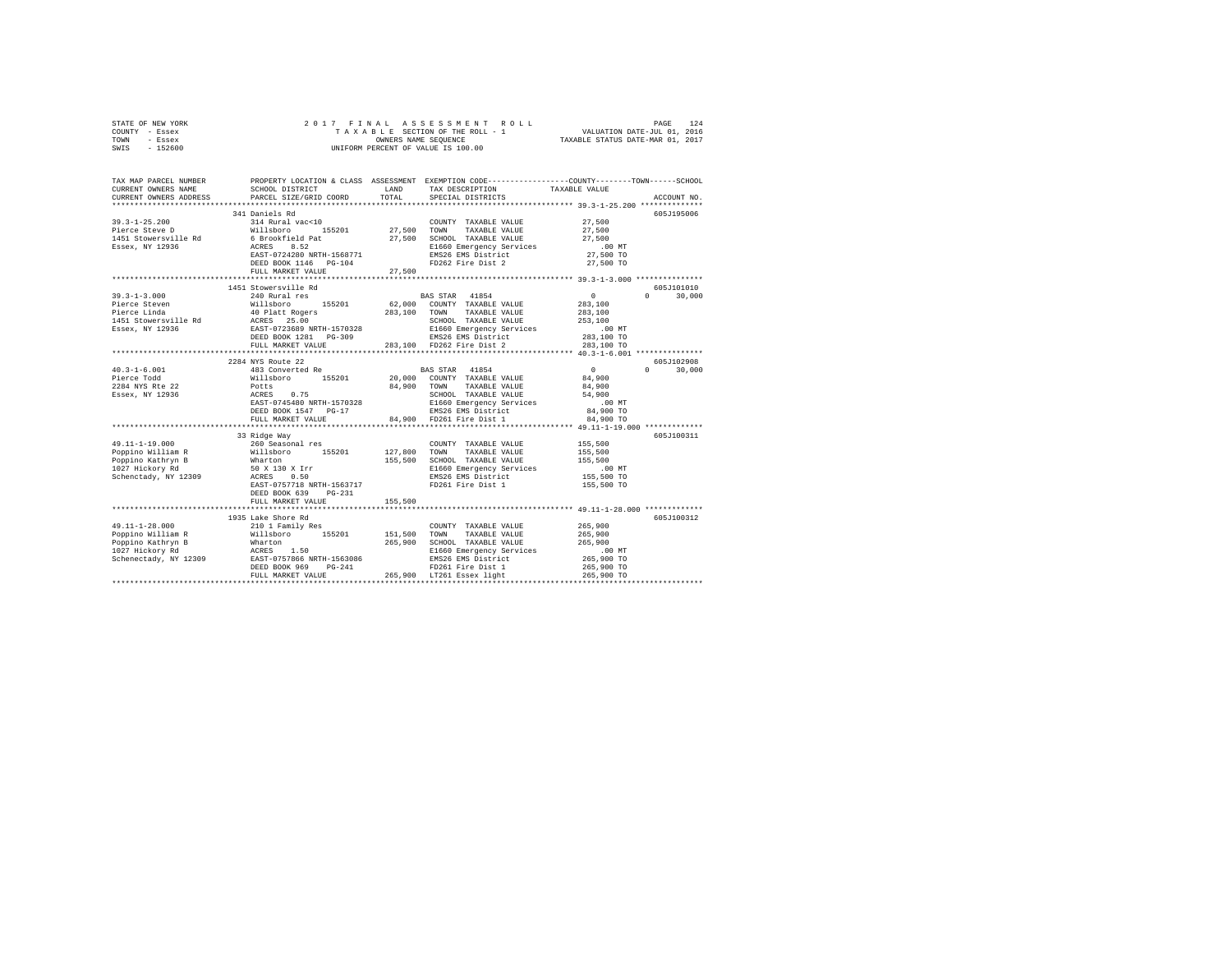| STATE OF NEW YORK |  |  | 2017 FINAL ASSESSMENT ROLL         |                                  | PAGE | 124 |
|-------------------|--|--|------------------------------------|----------------------------------|------|-----|
| COUNTY - Essex    |  |  | TAXABLE SECTION OF THE ROLL - 1    | VALUATION DATE-JUL 01, 2016      |      |     |
| TOWN<br>- Essex   |  |  | OWNERS NAME SEOUENCE               | TAXABLE STATUS DATE-MAR 01, 2017 |      |     |
| - 152600<br>SWIS  |  |  | UNIFORM PERCENT OF VALUE IS 100.00 |                                  |      |     |

| TAX MAP PARCEL NUMBER<br>CURRENT OWNERS NAME<br>CURRENT OWNERS ADDRESS | SCHOOL DISTRICT LAND<br>PARCEL SIZE/GRID COORD | TOTAL   | PROPERTY LOCATION & CLASS ASSESSMENT EXEMPTION CODE---------------COUNTY-------TOWN------SCHOOL<br>TAXABLE VALUE<br>TAX DESCRIPTION<br>SPECIAL DISTRICTS                                                                                                                                                                                                                                                                      | ACCOUNT NO.                               |
|------------------------------------------------------------------------|------------------------------------------------|---------|-------------------------------------------------------------------------------------------------------------------------------------------------------------------------------------------------------------------------------------------------------------------------------------------------------------------------------------------------------------------------------------------------------------------------------|-------------------------------------------|
|                                                                        |                                                |         |                                                                                                                                                                                                                                                                                                                                                                                                                               |                                           |
|                                                                        | 341 Daniels Rd                                 |         |                                                                                                                                                                                                                                                                                                                                                                                                                               | 605J195006                                |
| $39.3 - 1 - 25.200$                                                    | 314 Rural vac<10                               |         | COUNTY TAXABLE VALUE 27,500                                                                                                                                                                                                                                                                                                                                                                                                   |                                           |
|                                                                        |                                                |         |                                                                                                                                                                                                                                                                                                                                                                                                                               |                                           |
|                                                                        |                                                |         |                                                                                                                                                                                                                                                                                                                                                                                                                               |                                           |
|                                                                        |                                                |         |                                                                                                                                                                                                                                                                                                                                                                                                                               |                                           |
|                                                                        |                                                |         |                                                                                                                                                                                                                                                                                                                                                                                                                               |                                           |
|                                                                        | DEED BOOK 1146 PG-104                          |         | FD262 Fire Dist 2 27,500 TO                                                                                                                                                                                                                                                                                                                                                                                                   |                                           |
|                                                                        | FULL MARKET VALUE                              | 27,500  |                                                                                                                                                                                                                                                                                                                                                                                                                               |                                           |
|                                                                        |                                                |         |                                                                                                                                                                                                                                                                                                                                                                                                                               |                                           |
|                                                                        | 1451 Stowersville Rd                           |         |                                                                                                                                                                                                                                                                                                                                                                                                                               | 605J101010                                |
|                                                                        | 240 Rural res                                  |         | BAS STAR 41854                                                                                                                                                                                                                                                                                                                                                                                                                | $\sim$ 0.000 $\sim$<br>$\Omega$<br>30,000 |
|                                                                        |                                                |         |                                                                                                                                                                                                                                                                                                                                                                                                                               |                                           |
|                                                                        |                                                |         |                                                                                                                                                                                                                                                                                                                                                                                                                               |                                           |
|                                                                        |                                                |         |                                                                                                                                                                                                                                                                                                                                                                                                                               |                                           |
|                                                                        |                                                |         |                                                                                                                                                                                                                                                                                                                                                                                                                               |                                           |
|                                                                        |                                                |         |                                                                                                                                                                                                                                                                                                                                                                                                                               |                                           |
|                                                                        |                                                |         | $\begin{tabular}{l c c c c} \hline 3.9 & 3-1-3.000 & 0.000 & 0.0000 & 0.00000 & 0.000000 & 0.000000 & 0.0000000 & 0.0000000 & 0.0000000 & 0.0000000 & 0.0000000 & 0.0000000 & 0.0000000 & 0.000000 & 0.000000 & 0.000000 & 0.000000 & 0.000000 & 0.000000 & 0.0$                                                                                                                                                              |                                           |
|                                                                        |                                                |         |                                                                                                                                                                                                                                                                                                                                                                                                                               |                                           |
|                                                                        |                                                |         |                                                                                                                                                                                                                                                                                                                                                                                                                               | 605J102908                                |
|                                                                        |                                                |         |                                                                                                                                                                                                                                                                                                                                                                                                                               | $0 \t 30,000$                             |
|                                                                        |                                                |         |                                                                                                                                                                                                                                                                                                                                                                                                                               |                                           |
|                                                                        |                                                |         |                                                                                                                                                                                                                                                                                                                                                                                                                               |                                           |
|                                                                        |                                                |         |                                                                                                                                                                                                                                                                                                                                                                                                                               |                                           |
|                                                                        |                                                |         |                                                                                                                                                                                                                                                                                                                                                                                                                               |                                           |
|                                                                        |                                                |         |                                                                                                                                                                                                                                                                                                                                                                                                                               |                                           |
|                                                                        |                                                |         |                                                                                                                                                                                                                                                                                                                                                                                                                               |                                           |
|                                                                        | 33 Ridge Way                                   |         | $\begin{tabular}{l c c c c c} \multicolumn{3}{c c c} \multicolumn{3}{c c c} \multicolumn{3}{c c c} \multicolumn{3}{c c c} \multicolumn{3}{c c c} \multicolumn{3}{c c c} \multicolumn{3}{c c c} \multicolumn{3}{c c c} \multicolumn{3}{c c c} \multicolumn{3}{c c c} \multicolumn{3}{c c c} \multicolumn{3}{c c c} \multicolumn{3}{c c c} \multicolumn{3}{c c c} \multicolumn{3}{c c c} \multicolumn{3}{$                      | 605J100311                                |
|                                                                        |                                                |         |                                                                                                                                                                                                                                                                                                                                                                                                                               |                                           |
|                                                                        |                                                |         |                                                                                                                                                                                                                                                                                                                                                                                                                               |                                           |
|                                                                        |                                                |         |                                                                                                                                                                                                                                                                                                                                                                                                                               |                                           |
|                                                                        |                                                |         |                                                                                                                                                                                                                                                                                                                                                                                                                               |                                           |
|                                                                        |                                                |         |                                                                                                                                                                                                                                                                                                                                                                                                                               |                                           |
|                                                                        |                                                |         |                                                                                                                                                                                                                                                                                                                                                                                                                               |                                           |
|                                                                        |                                                |         | $\begin{tabular}{l c c c c c c} \hline $\mathsf{x_1}.\mathsf{1-1-1}\mathsf{x_2}.\mathsf{u_1} \mathsf{u_2}$ & $\mathsf{260}$ & $\mathsf{See}} & $\mathsf{260}$ & $\mathsf{See}} & $\mathsf{260}$ & $\mathsf{260}$ & $\mathsf{260}$ & $\mathsf{260}$ & $\mathsf{260}$ & $\mathsf{260}$ & $\mathsf{260}$ & $\mathsf{260}$ & $\mathsf{260}$ & $\mathsf{260}$ & $\mathsf{260}$ & $\mathsf{260}$ & $\mathsf{260}$ & $\mathsf{260}$$ |                                           |
|                                                                        | FULL MARKET VALUE                              | 155,500 |                                                                                                                                                                                                                                                                                                                                                                                                                               |                                           |
|                                                                        |                                                |         |                                                                                                                                                                                                                                                                                                                                                                                                                               |                                           |
|                                                                        | 1935 Lake Shore Rd                             |         |                                                                                                                                                                                                                                                                                                                                                                                                                               | 605J100312                                |
|                                                                        |                                                |         |                                                                                                                                                                                                                                                                                                                                                                                                                               |                                           |
|                                                                        |                                                |         |                                                                                                                                                                                                                                                                                                                                                                                                                               |                                           |
|                                                                        |                                                |         |                                                                                                                                                                                                                                                                                                                                                                                                                               |                                           |
|                                                                        |                                                |         |                                                                                                                                                                                                                                                                                                                                                                                                                               |                                           |
|                                                                        |                                                |         |                                                                                                                                                                                                                                                                                                                                                                                                                               |                                           |
|                                                                        |                                                |         |                                                                                                                                                                                                                                                                                                                                                                                                                               |                                           |
|                                                                        |                                                |         |                                                                                                                                                                                                                                                                                                                                                                                                                               |                                           |
|                                                                        |                                                |         |                                                                                                                                                                                                                                                                                                                                                                                                                               |                                           |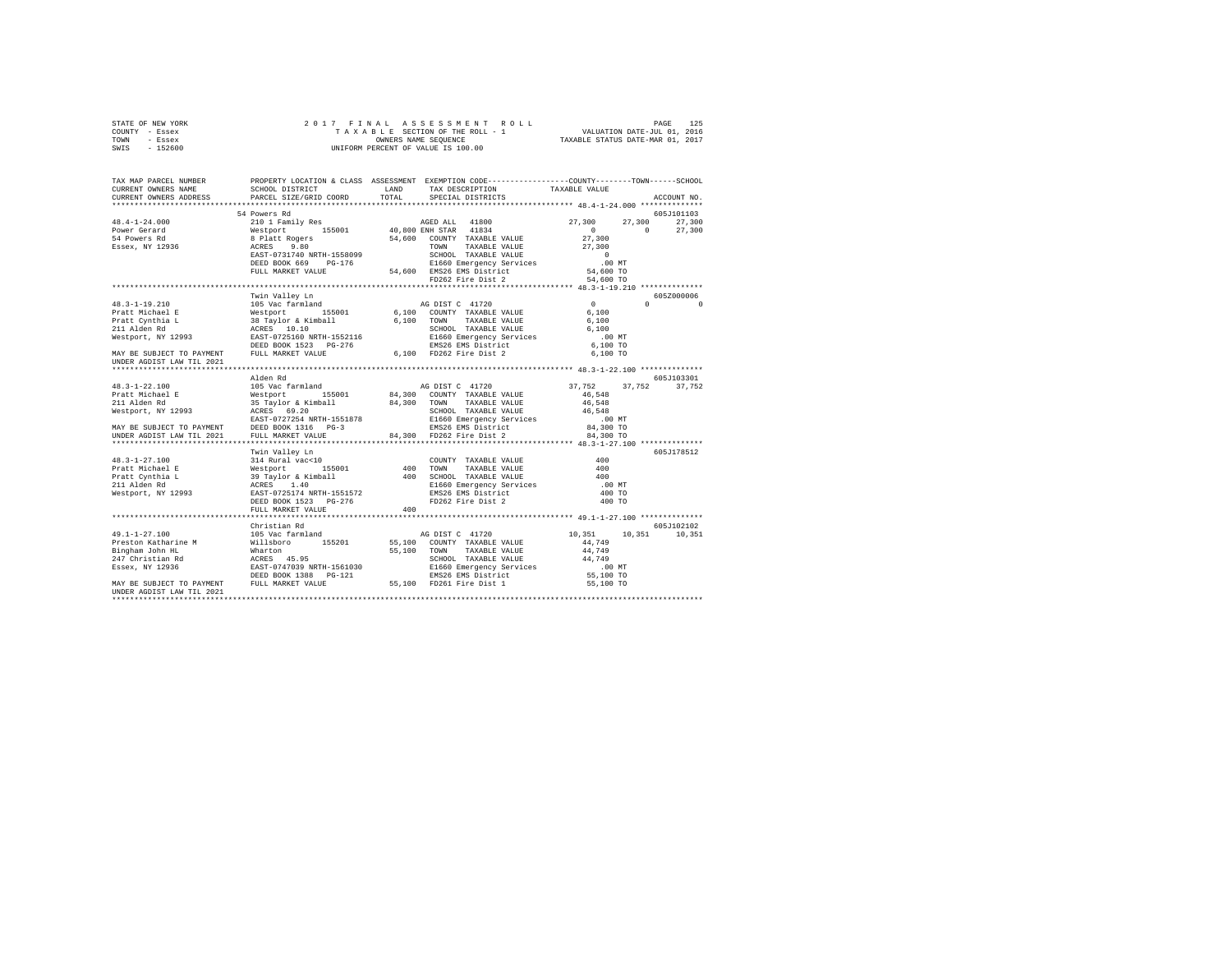|      | STATE OF NEW YORK |  | 2017 FINAL ASSESSMENT ROLL         |                                  | PAGE                        | 125 |
|------|-------------------|--|------------------------------------|----------------------------------|-----------------------------|-----|
|      | COUNTY - Essex    |  | TAXABLE SECTION OF THE ROLL - 1    |                                  | VALUATION DATE-JUL 01, 2016 |     |
| TOWN | - Essex           |  | OWNERS NAME SEOUENCE               | TAXABLE STATUS DATE-MAR 01, 2017 |                             |     |
| SWIS | - 152600          |  | UNIFORM PERCENT OF VALUE IS 100.00 |                                  |                             |     |

| TAX MAP PARCEL NUMBER<br>CURRENT OWNERS NAME                                                                                                                                                                                                   | SCHOOL DISTRICT        |       | PROPERTY LOCATION & CLASS ASSESSMENT EXEMPTION CODE---------------COUNTY-------TOWN-----SCHOOL<br>LAND TAX DESCRIPTION                                                                   | TAXABLE VALUE        |                                                          |
|------------------------------------------------------------------------------------------------------------------------------------------------------------------------------------------------------------------------------------------------|------------------------|-------|------------------------------------------------------------------------------------------------------------------------------------------------------------------------------------------|----------------------|----------------------------------------------------------|
| CURRENT OWNERS ADDRESS                                                                                                                                                                                                                         | PARCEL SIZE/GRID COORD | TOTAL | SPECIAL DISTRICTS                                                                                                                                                                        |                      | ACCOUNT NO.                                              |
|                                                                                                                                                                                                                                                | 54 Powers Rd           |       |                                                                                                                                                                                          |                      | 605J101103                                               |
|                                                                                                                                                                                                                                                |                        |       |                                                                                                                                                                                          |                      |                                                          |
|                                                                                                                                                                                                                                                |                        |       |                                                                                                                                                                                          |                      |                                                          |
|                                                                                                                                                                                                                                                |                        |       |                                                                                                                                                                                          |                      |                                                          |
|                                                                                                                                                                                                                                                |                        |       |                                                                                                                                                                                          |                      |                                                          |
|                                                                                                                                                                                                                                                |                        |       |                                                                                                                                                                                          |                      |                                                          |
|                                                                                                                                                                                                                                                |                        |       |                                                                                                                                                                                          |                      |                                                          |
|                                                                                                                                                                                                                                                |                        |       |                                                                                                                                                                                          |                      |                                                          |
|                                                                                                                                                                                                                                                |                        |       |                                                                                                                                                                                          |                      |                                                          |
|                                                                                                                                                                                                                                                |                        |       |                                                                                                                                                                                          |                      |                                                          |
|                                                                                                                                                                                                                                                | Twin Valley Ln         |       |                                                                                                                                                                                          |                      | 605Z000006<br>$\begin{array}{ccc} 0 & & & 0 \end{array}$ |
|                                                                                                                                                                                                                                                |                        |       |                                                                                                                                                                                          |                      |                                                          |
|                                                                                                                                                                                                                                                |                        |       |                                                                                                                                                                                          |                      |                                                          |
|                                                                                                                                                                                                                                                |                        |       |                                                                                                                                                                                          |                      |                                                          |
|                                                                                                                                                                                                                                                |                        |       |                                                                                                                                                                                          |                      |                                                          |
|                                                                                                                                                                                                                                                |                        |       |                                                                                                                                                                                          |                      |                                                          |
|                                                                                                                                                                                                                                                |                        |       |                                                                                                                                                                                          |                      |                                                          |
| UNDER AGDIST LAW TIL 2021                                                                                                                                                                                                                      |                        |       |                                                                                                                                                                                          |                      |                                                          |
|                                                                                                                                                                                                                                                |                        |       |                                                                                                                                                                                          |                      |                                                          |
|                                                                                                                                                                                                                                                |                        |       |                                                                                                                                                                                          |                      | 605J103301                                               |
|                                                                                                                                                                                                                                                |                        |       |                                                                                                                                                                                          | 37,752 37,752 37,752 |                                                          |
|                                                                                                                                                                                                                                                |                        |       |                                                                                                                                                                                          |                      |                                                          |
|                                                                                                                                                                                                                                                |                        |       |                                                                                                                                                                                          |                      |                                                          |
|                                                                                                                                                                                                                                                |                        |       |                                                                                                                                                                                          |                      |                                                          |
|                                                                                                                                                                                                                                                |                        |       |                                                                                                                                                                                          |                      |                                                          |
|                                                                                                                                                                                                                                                |                        |       |                                                                                                                                                                                          |                      |                                                          |
|                                                                                                                                                                                                                                                |                        |       |                                                                                                                                                                                          |                      |                                                          |
|                                                                                                                                                                                                                                                |                        |       |                                                                                                                                                                                          |                      |                                                          |
| 1993<br>1993 - Alley In Valley Land COUNTY TAXABLE VALUE<br>1994 - The Mark Monte (1994)<br>1994 - Mark Monte (1994)<br>1994 - Mark Monte (1995)<br>1994 - Mark Monte (1995)<br>1994 - Mark Monte (1995)<br>1994 - Mark Monte (1996)<br>1995 - |                        |       |                                                                                                                                                                                          |                      | 605J178512                                               |
|                                                                                                                                                                                                                                                |                        |       | $\begin{tabular}{lllllllll} \multicolumn{2}{c}{\text{COUNTY}} & \text{TAXABLE VALUE} & & & & 400 \\ \multicolumn{2}{c}{\text{TOWN}} & \text{TAXABLE VALUE} & & & & 400 \\ \end{tabular}$ |                      |                                                          |
|                                                                                                                                                                                                                                                |                        |       |                                                                                                                                                                                          |                      |                                                          |
|                                                                                                                                                                                                                                                |                        |       |                                                                                                                                                                                          | 400                  |                                                          |
|                                                                                                                                                                                                                                                |                        |       |                                                                                                                                                                                          | .00 MT               |                                                          |
|                                                                                                                                                                                                                                                |                        |       |                                                                                                                                                                                          | 400 TO               |                                                          |
|                                                                                                                                                                                                                                                |                        |       |                                                                                                                                                                                          | 400 TO               |                                                          |
|                                                                                                                                                                                                                                                |                        |       |                                                                                                                                                                                          |                      |                                                          |
|                                                                                                                                                                                                                                                |                        |       |                                                                                                                                                                                          |                      |                                                          |
|                                                                                                                                                                                                                                                | Christian Rd           |       |                                                                                                                                                                                          |                      | 605-102102                                               |
|                                                                                                                                                                                                                                                |                        |       |                                                                                                                                                                                          | 10,351 10,351 10,351 |                                                          |
|                                                                                                                                                                                                                                                |                        |       |                                                                                                                                                                                          |                      |                                                          |
|                                                                                                                                                                                                                                                |                        |       |                                                                                                                                                                                          |                      |                                                          |
|                                                                                                                                                                                                                                                |                        |       |                                                                                                                                                                                          |                      |                                                          |
|                                                                                                                                                                                                                                                |                        |       |                                                                                                                                                                                          |                      |                                                          |
|                                                                                                                                                                                                                                                |                        |       |                                                                                                                                                                                          |                      |                                                          |
| UNDER AGDIST LAW TIL 2021                                                                                                                                                                                                                      |                        |       |                                                                                                                                                                                          |                      |                                                          |
|                                                                                                                                                                                                                                                |                        |       |                                                                                                                                                                                          |                      |                                                          |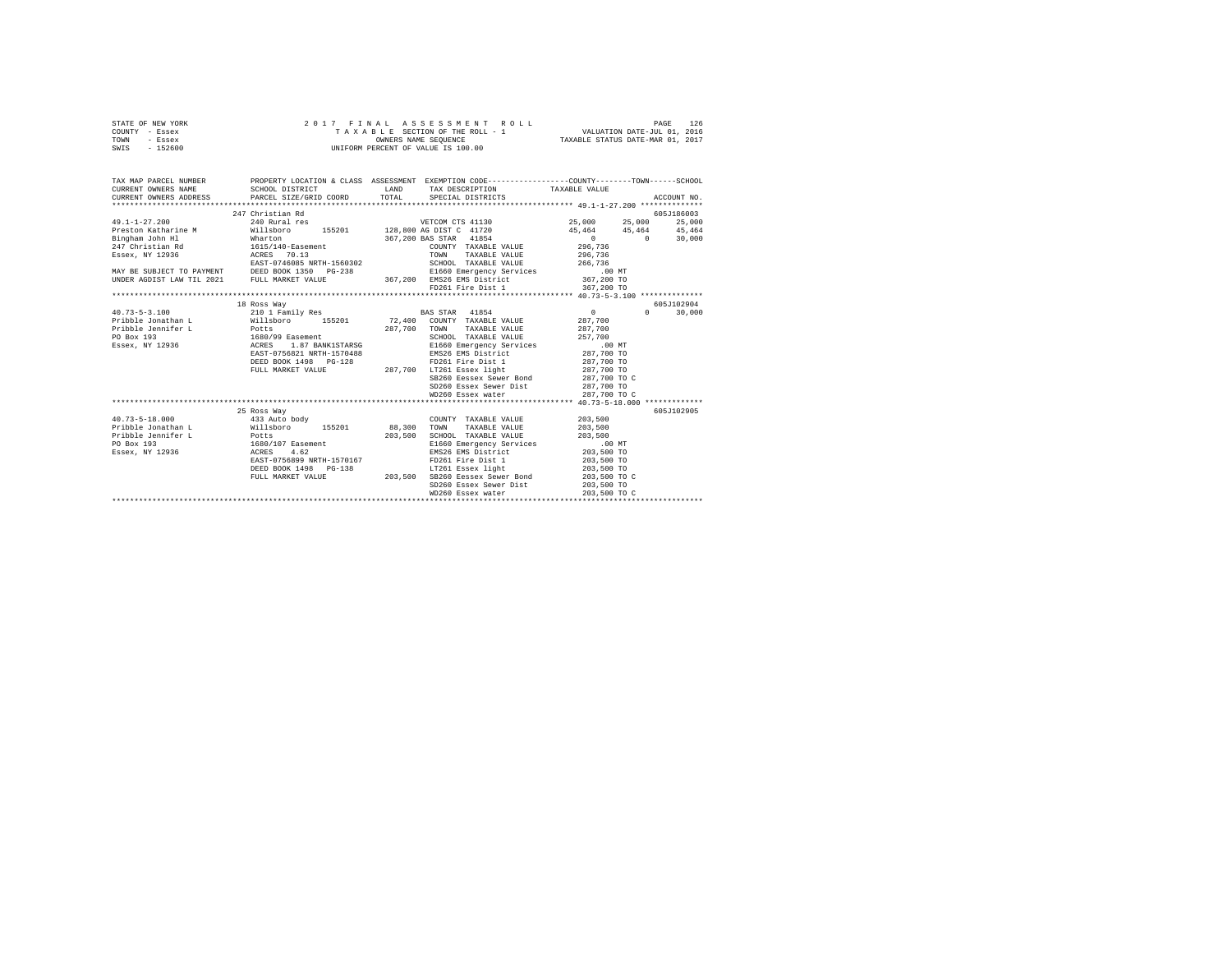| STATE OF NEW YORK | 2017 FINAL ASSESSMENT ROLL         | 126<br>PAGE                      |
|-------------------|------------------------------------|----------------------------------|
| COUNTY - Essex    | TAXABLE SECTION OF THE ROLL - 1    | VALUATION DATE-JUL 01, 2016      |
| TOWN<br>- Essex   | OWNERS NAME SEOUENCE               | TAXABLE STATUS DATE-MAR 01, 2017 |
| $-152600$<br>SWIS | UNIFORM PERCENT OF VALUE IS 100.00 |                                  |

| TAX MAP PARCEL NUMBER<br>CURRENT OWNERS NAME                                                                                                                                                                                               | PROPERTY LOCATION & CLASS ASSESSMENT EXEMPTION CODE----------------COUNTY-------TOWN------SCHOOL<br>SCHOOL DISTRICT | LAND | TAX DESCRIPTION TAXABLE VALUE                                                                                                                                                                                                                                                                        |                                                                                                                                                                                                                                                                                               |                             |
|--------------------------------------------------------------------------------------------------------------------------------------------------------------------------------------------------------------------------------------------|---------------------------------------------------------------------------------------------------------------------|------|------------------------------------------------------------------------------------------------------------------------------------------------------------------------------------------------------------------------------------------------------------------------------------------------------|-----------------------------------------------------------------------------------------------------------------------------------------------------------------------------------------------------------------------------------------------------------------------------------------------|-----------------------------|
|                                                                                                                                                                                                                                            |                                                                                                                     |      |                                                                                                                                                                                                                                                                                                      |                                                                                                                                                                                                                                                                                               |                             |
|                                                                                                                                                                                                                                            | 247 Christian Rd                                                                                                    |      |                                                                                                                                                                                                                                                                                                      |                                                                                                                                                                                                                                                                                               | 605J186003                  |
| 49.1-1-27.200 25,000 25.000 240 240 240 241 268 269 269 26.000 26.000 26.000 26.000 26.000 26.000 26.000 26.000<br>Preston Katharine M 2018boro 155201 128,800 AG DIST C 41720 45,464 45,464 45,464 45,464                                 |                                                                                                                     |      |                                                                                                                                                                                                                                                                                                      |                                                                                                                                                                                                                                                                                               | 25,000                      |
|                                                                                                                                                                                                                                            |                                                                                                                     |      |                                                                                                                                                                                                                                                                                                      |                                                                                                                                                                                                                                                                                               |                             |
| Bingham John Hl Mharton<br>247 Christian Rd 1615/140-Easement                                                                                                                                                                              |                                                                                                                     |      | 367,200 BAS STAR 41854                                                                                                                                                                                                                                                                               | $0 \t 0 \t 30,000$                                                                                                                                                                                                                                                                            |                             |
|                                                                                                                                                                                                                                            |                                                                                                                     |      | COUNTY TAXABLE VALUE 296,736                                                                                                                                                                                                                                                                         |                                                                                                                                                                                                                                                                                               |                             |
| Essex, NY 12936                                                                                                                                                                                                                            | ACRES 70.13                                                                                                         |      | TOWN TAXABLE VALUE 296,736                                                                                                                                                                                                                                                                           |                                                                                                                                                                                                                                                                                               |                             |
|                                                                                                                                                                                                                                            |                                                                                                                     |      |                                                                                                                                                                                                                                                                                                      |                                                                                                                                                                                                                                                                                               |                             |
|                                                                                                                                                                                                                                            |                                                                                                                     |      |                                                                                                                                                                                                                                                                                                      |                                                                                                                                                                                                                                                                                               |                             |
|                                                                                                                                                                                                                                            |                                                                                                                     |      |                                                                                                                                                                                                                                                                                                      |                                                                                                                                                                                                                                                                                               |                             |
| ESST-0746085 NRTH-1560302<br>EAST-0746085 NRTH-1560302<br>MAY BE SUBJECT TO PAYMENT DEED BOOK 1350 PG-238<br>EAST-0746085 NRTH-1560302<br>ENDER AGDIST LAW TIL 2021 FULL MARKET VALUE<br>TORDER AGDIST LAW TIL 2021 FULL MARKET VALUE<br>T |                                                                                                                     |      |                                                                                                                                                                                                                                                                                                      |                                                                                                                                                                                                                                                                                               |                             |
|                                                                                                                                                                                                                                            |                                                                                                                     |      |                                                                                                                                                                                                                                                                                                      |                                                                                                                                                                                                                                                                                               |                             |
|                                                                                                                                                                                                                                            | 18 Ross Way                                                                                                         |      |                                                                                                                                                                                                                                                                                                      |                                                                                                                                                                                                                                                                                               | 605J102904                  |
| $40.73 - 5 - 3.100$                                                                                                                                                                                                                        | 210 1 Family Res BAS STAR 41854                                                                                     |      |                                                                                                                                                                                                                                                                                                      | $\sim$ 0 $\sim$ 0 $\sim$ 0 $\sim$ 0 $\sim$ 0 $\sim$ 0 $\sim$ 0 $\sim$ 0 $\sim$ 0 $\sim$ 0 $\sim$ 0 $\sim$ 0 $\sim$ 0 $\sim$ 0 $\sim$ 0 $\sim$ 0 $\sim$ 0 $\sim$ 0 $\sim$ 0 $\sim$ 0 $\sim$ 0 $\sim$ 0 $\sim$ 0 $\sim$ 0 $\sim$ 0 $\sim$ 0 $\sim$ 0 $\sim$ 0 $\sim$ 0 $\sim$ 0 $\sim$ 0 $\sim$ | 30,000<br>$0 \qquad \qquad$ |
| Pribble Jonathan L Willsboro 155201 72,400 COUNTY TAXABLE VALUE 287,700                                                                                                                                                                    |                                                                                                                     |      |                                                                                                                                                                                                                                                                                                      |                                                                                                                                                                                                                                                                                               |                             |
|                                                                                                                                                                                                                                            |                                                                                                                     |      |                                                                                                                                                                                                                                                                                                      |                                                                                                                                                                                                                                                                                               |                             |
|                                                                                                                                                                                                                                            |                                                                                                                     |      |                                                                                                                                                                                                                                                                                                      |                                                                                                                                                                                                                                                                                               |                             |
|                                                                                                                                                                                                                                            |                                                                                                                     |      |                                                                                                                                                                                                                                                                                                      |                                                                                                                                                                                                                                                                                               |                             |
|                                                                                                                                                                                                                                            |                                                                                                                     |      |                                                                                                                                                                                                                                                                                                      |                                                                                                                                                                                                                                                                                               |                             |
|                                                                                                                                                                                                                                            |                                                                                                                     |      | ${\tt DEED\ BOOK\ 1498}\ {\tt PG-128}\ {\tt FD261\  \, Fire\  \, Dist\  \, 1}\ \ {\tt 287,700\  \, TO\  \, 107261\  \, Eseek\  \, light} \ {\tt 287,700\  \, TO\  \, TO\  \, 287,700\  \, 287,700\  \, 287,700\  \, 287,700\  \, 287,700\  \, 287,700\  \, 287,700\  \, 287,700\  \, 287,700\  \, 2$ |                                                                                                                                                                                                                                                                                               |                             |
|                                                                                                                                                                                                                                            |                                                                                                                     |      |                                                                                                                                                                                                                                                                                                      |                                                                                                                                                                                                                                                                                               |                             |
|                                                                                                                                                                                                                                            |                                                                                                                     |      | SB260 Eessex Sewer Bond 287,700 TO C                                                                                                                                                                                                                                                                 |                                                                                                                                                                                                                                                                                               |                             |
|                                                                                                                                                                                                                                            |                                                                                                                     |      | SD260 Essex Sewer Dist 287,700 TO                                                                                                                                                                                                                                                                    |                                                                                                                                                                                                                                                                                               |                             |
|                                                                                                                                                                                                                                            |                                                                                                                     |      |                                                                                                                                                                                                                                                                                                      |                                                                                                                                                                                                                                                                                               |                             |
|                                                                                                                                                                                                                                            |                                                                                                                     |      |                                                                                                                                                                                                                                                                                                      |                                                                                                                                                                                                                                                                                               |                             |
|                                                                                                                                                                                                                                            | 25 Ross Way                                                                                                         |      |                                                                                                                                                                                                                                                                                                      |                                                                                                                                                                                                                                                                                               | 605J102905                  |
| 40.73-5-18.000 433 Auto body                                                                                                                                                                                                               |                                                                                                                     |      | COUNTY TAXABLE VALUE 203.500                                                                                                                                                                                                                                                                         |                                                                                                                                                                                                                                                                                               |                             |
| Pribble Jonathan L Willsboro 155201 88.300 TOWN TAXABLE VALUE 203.500                                                                                                                                                                      |                                                                                                                     |      |                                                                                                                                                                                                                                                                                                      |                                                                                                                                                                                                                                                                                               |                             |
|                                                                                                                                                                                                                                            |                                                                                                                     |      | SCHOOL TAXABLE VALUE 203,500                                                                                                                                                                                                                                                                         |                                                                                                                                                                                                                                                                                               |                             |
|                                                                                                                                                                                                                                            |                                                                                                                     |      | E1660 Emergency Services 00 MT<br>EMS26 EMS District 203,500 TO                                                                                                                                                                                                                                      |                                                                                                                                                                                                                                                                                               |                             |
|                                                                                                                                                                                                                                            |                                                                                                                     |      |                                                                                                                                                                                                                                                                                                      |                                                                                                                                                                                                                                                                                               |                             |
|                                                                                                                                                                                                                                            |                                                                                                                     |      |                                                                                                                                                                                                                                                                                                      |                                                                                                                                                                                                                                                                                               |                             |
|                                                                                                                                                                                                                                            |                                                                                                                     |      |                                                                                                                                                                                                                                                                                                      |                                                                                                                                                                                                                                                                                               |                             |
|                                                                                                                                                                                                                                            |                                                                                                                     |      |                                                                                                                                                                                                                                                                                                      |                                                                                                                                                                                                                                                                                               |                             |
|                                                                                                                                                                                                                                            |                                                                                                                     |      | SD260 Essex Sewer Dist 203,500 TO                                                                                                                                                                                                                                                                    |                                                                                                                                                                                                                                                                                               |                             |
|                                                                                                                                                                                                                                            |                                                                                                                     |      |                                                                                                                                                                                                                                                                                                      |                                                                                                                                                                                                                                                                                               |                             |
|                                                                                                                                                                                                                                            |                                                                                                                     |      |                                                                                                                                                                                                                                                                                                      |                                                                                                                                                                                                                                                                                               |                             |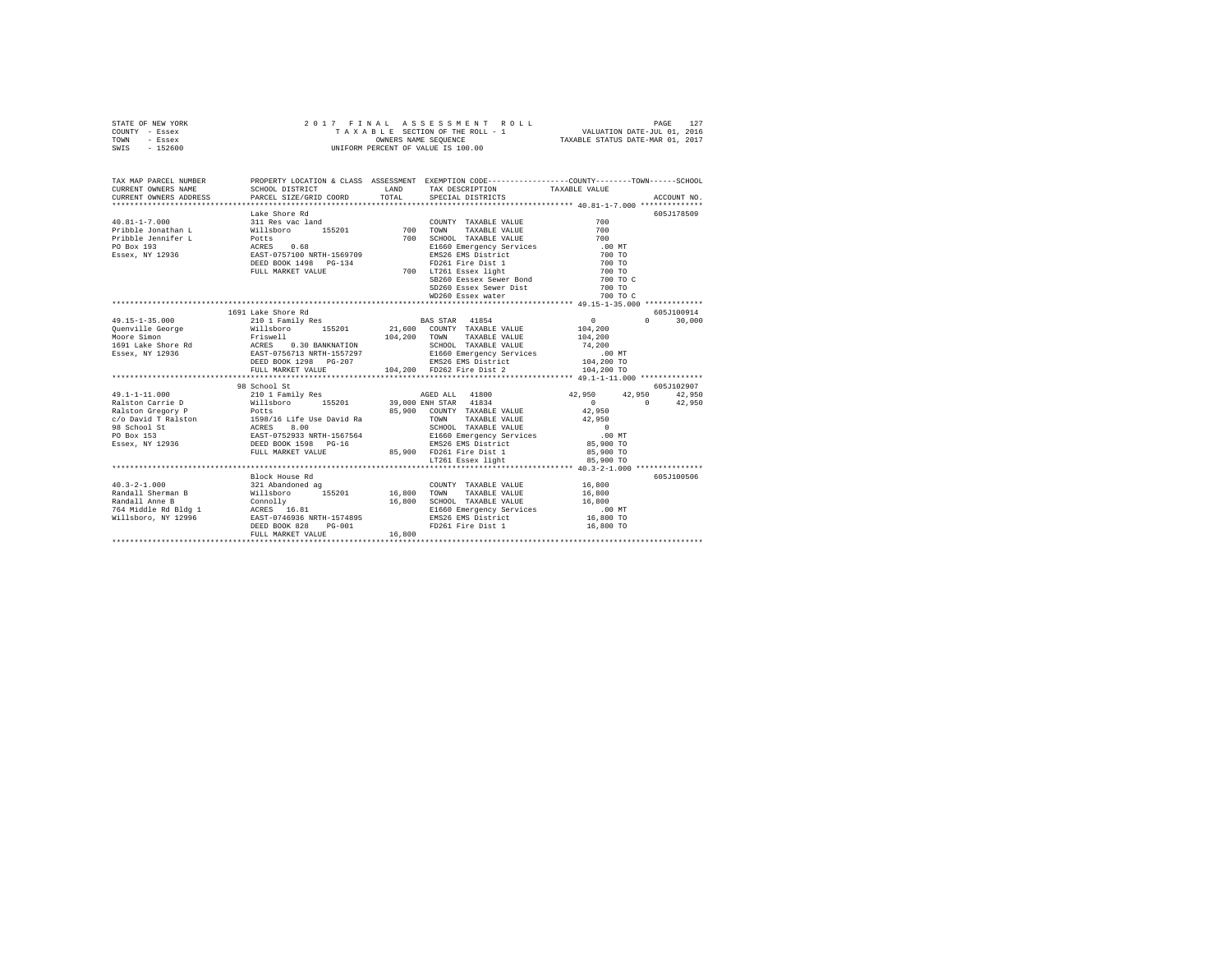|      | STATE OF NEW YORK |  | 2017 FINAL ASSESSMENT ROLL         |                                  | PAGE                        | 127 |
|------|-------------------|--|------------------------------------|----------------------------------|-----------------------------|-----|
|      | COUNTY - Essex    |  | TAXABLE SECTION OF THE ROLL - 1    |                                  | VALUATION DATE-JUL 01, 2016 |     |
| TOWN | - Essex           |  | OWNERS NAME SEOUENCE               | TAXABLE STATUS DATE-MAR 01, 2017 |                             |     |
| SWIS | $-152600$         |  | UNIFORM PERCENT OF VALUE IS 100.00 |                                  |                             |     |

|                                                                                                                                                                                                                                                                                                                                                                        |                    |        |  | 605J178509 |
|------------------------------------------------------------------------------------------------------------------------------------------------------------------------------------------------------------------------------------------------------------------------------------------------------------------------------------------------------------------------|--------------------|--------|--|------------|
|                                                                                                                                                                                                                                                                                                                                                                        |                    |        |  |            |
|                                                                                                                                                                                                                                                                                                                                                                        |                    |        |  |            |
|                                                                                                                                                                                                                                                                                                                                                                        |                    |        |  |            |
|                                                                                                                                                                                                                                                                                                                                                                        |                    |        |  |            |
|                                                                                                                                                                                                                                                                                                                                                                        |                    |        |  |            |
|                                                                                                                                                                                                                                                                                                                                                                        |                    |        |  |            |
|                                                                                                                                                                                                                                                                                                                                                                        |                    |        |  |            |
|                                                                                                                                                                                                                                                                                                                                                                        |                    |        |  |            |
|                                                                                                                                                                                                                                                                                                                                                                        |                    |        |  |            |
|                                                                                                                                                                                                                                                                                                                                                                        |                    |        |  |            |
|                                                                                                                                                                                                                                                                                                                                                                        |                    |        |  |            |
|                                                                                                                                                                                                                                                                                                                                                                        | 1691 Lake Shore Rd |        |  | 605J100914 |
|                                                                                                                                                                                                                                                                                                                                                                        |                    |        |  |            |
|                                                                                                                                                                                                                                                                                                                                                                        |                    |        |  |            |
|                                                                                                                                                                                                                                                                                                                                                                        |                    |        |  |            |
|                                                                                                                                                                                                                                                                                                                                                                        |                    |        |  |            |
|                                                                                                                                                                                                                                                                                                                                                                        |                    |        |  |            |
|                                                                                                                                                                                                                                                                                                                                                                        |                    |        |  |            |
|                                                                                                                                                                                                                                                                                                                                                                        |                    |        |  |            |
| $\begin{tabular}{l c c c c c} \multicolumn{1}{c}{\textbf{49.15--1-35.000}} & \multicolumn{1}{c}{\textbf{16.15--1-35.000}} & \multicolumn{1}{c}{\textbf{16.15--1-35.000}} & \multicolumn{1}{c}{\textbf{16.15--1-35.000}} & \multicolumn{1}{c}{\textbf{16.15--1-35.000}} & \multicolumn{1}{c}{\textbf{16.15--1-35.000}} & \multicolumn{1}{c}{\textbf{16.15--1-35.000}}$  |                    |        |  |            |
|                                                                                                                                                                                                                                                                                                                                                                        | 98 School St       |        |  | 605J102907 |
|                                                                                                                                                                                                                                                                                                                                                                        |                    |        |  |            |
|                                                                                                                                                                                                                                                                                                                                                                        |                    |        |  |            |
|                                                                                                                                                                                                                                                                                                                                                                        |                    |        |  |            |
|                                                                                                                                                                                                                                                                                                                                                                        |                    |        |  |            |
|                                                                                                                                                                                                                                                                                                                                                                        |                    |        |  |            |
|                                                                                                                                                                                                                                                                                                                                                                        |                    |        |  |            |
|                                                                                                                                                                                                                                                                                                                                                                        |                    |        |  |            |
|                                                                                                                                                                                                                                                                                                                                                                        |                    |        |  |            |
|                                                                                                                                                                                                                                                                                                                                                                        |                    |        |  |            |
| $\begin{tabular}{l c c c c c} \multicolumn{1}{c}{\textbf{43.1--1--11.000}} & \multicolumn{1}{c}{98.6000151} & \multicolumn{1}{c}{18.600151} & \multicolumn{1}{c}{18.600151} & \multicolumn{1}{c}{18.600151} & \multicolumn{1}{c}{18.600151} & \multicolumn{1}{c}{18.600151} & \multicolumn{1}{c}{18.600151} & \multicolumn{1}{c}{18.600151} & \multicolumn{1}{c}{18.6$ |                    |        |  |            |
|                                                                                                                                                                                                                                                                                                                                                                        | Block House Rd     |        |  | 605J100506 |
|                                                                                                                                                                                                                                                                                                                                                                        |                    |        |  |            |
|                                                                                                                                                                                                                                                                                                                                                                        |                    |        |  |            |
|                                                                                                                                                                                                                                                                                                                                                                        |                    |        |  |            |
| 40.3–2–1.000<br>321 Abandoned ag COUNTY TAXABLE VALUE 16,800<br>Randall Sherman B Willsboro 155201 16,800 TOWN TAXABLE VALUE 16,800<br>Randall Ame B Willsboro 155201 16,800 SCHOOL TAXABLE VALUE<br>764 Middle Rd Bldg 1 ACRES 16.81                                                                                                                                  |                    |        |  |            |
|                                                                                                                                                                                                                                                                                                                                                                        |                    |        |  |            |
|                                                                                                                                                                                                                                                                                                                                                                        |                    |        |  |            |
|                                                                                                                                                                                                                                                                                                                                                                        | FULL MARKET VALUE  | 16,800 |  |            |
|                                                                                                                                                                                                                                                                                                                                                                        |                    |        |  |            |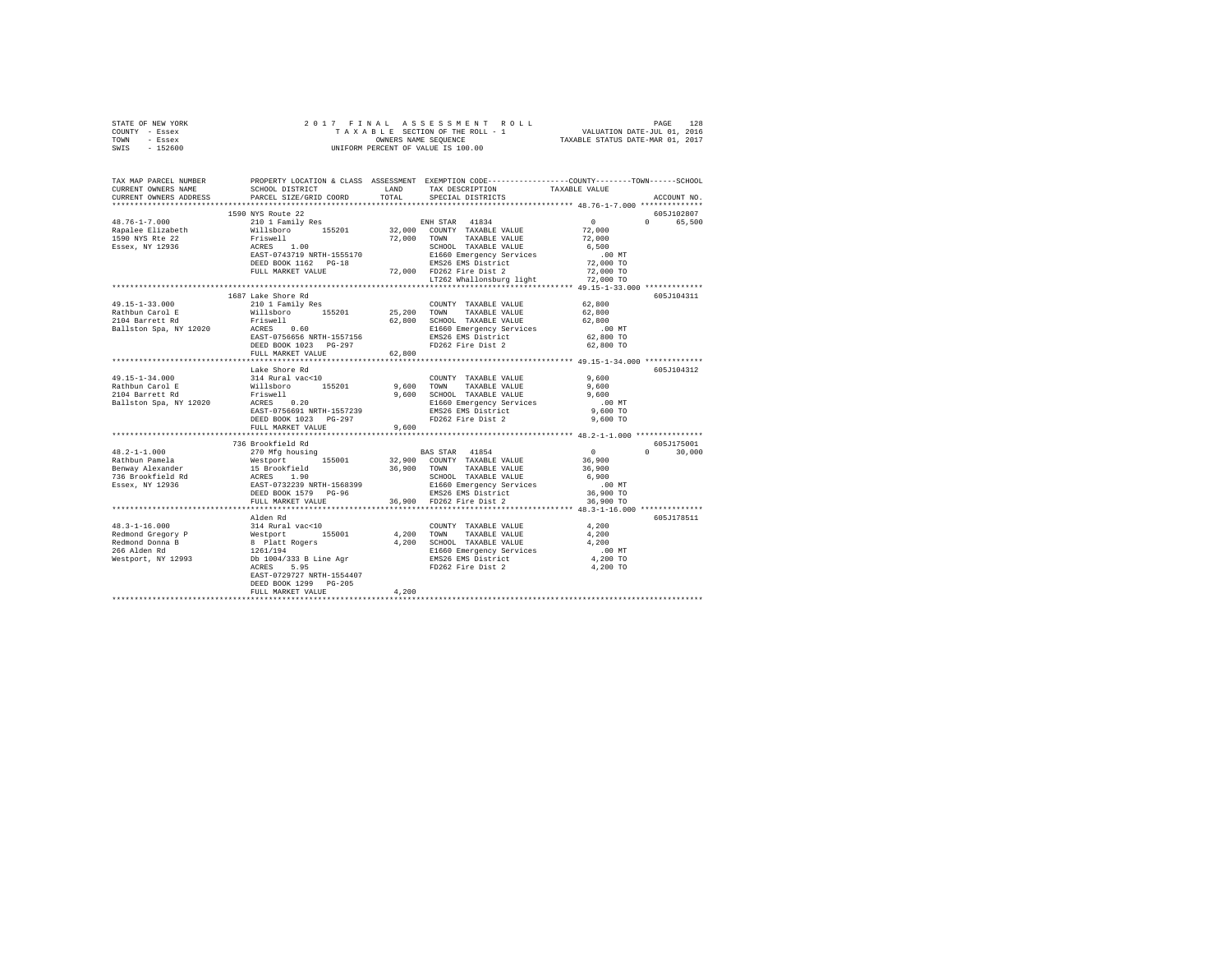| STATE OF NEW YORK                                                                                                                                                                                                                                                                                                        |                              |       |                                                                                                                                                                                                                                                                                                                                                                                                                                                                          |                                               |               |  |
|--------------------------------------------------------------------------------------------------------------------------------------------------------------------------------------------------------------------------------------------------------------------------------------------------------------------------|------------------------------|-------|--------------------------------------------------------------------------------------------------------------------------------------------------------------------------------------------------------------------------------------------------------------------------------------------------------------------------------------------------------------------------------------------------------------------------------------------------------------------------|-----------------------------------------------|---------------|--|
| COUNTY - Essex                                                                                                                                                                                                                                                                                                           |                              |       |                                                                                                                                                                                                                                                                                                                                                                                                                                                                          |                                               |               |  |
| TOWN - Essex                                                                                                                                                                                                                                                                                                             |                              |       |                                                                                                                                                                                                                                                                                                                                                                                                                                                                          |                                               |               |  |
| SWIS - 152600                                                                                                                                                                                                                                                                                                            |                              |       |                                                                                                                                                                                                                                                                                                                                                                                                                                                                          |                                               |               |  |
|                                                                                                                                                                                                                                                                                                                          |                              |       |                                                                                                                                                                                                                                                                                                                                                                                                                                                                          |                                               |               |  |
|                                                                                                                                                                                                                                                                                                                          |                              |       |                                                                                                                                                                                                                                                                                                                                                                                                                                                                          |                                               |               |  |
|                                                                                                                                                                                                                                                                                                                          |                              |       |                                                                                                                                                                                                                                                                                                                                                                                                                                                                          |                                               |               |  |
| TAX MAP PARCEL NUMBER PROPERTY LOCATION & CLASS ASSESSMENT EXEMPTION CODE--------------COUNTY-------TOWN------SCHOOL<br>CURRENT OWNERS NAME SCHOOL DISTRICT LAND TAX DESCRIPTION TAXARLE VALUE                                                                                                                           |                              |       |                                                                                                                                                                                                                                                                                                                                                                                                                                                                          |                                               |               |  |
|                                                                                                                                                                                                                                                                                                                          |                              |       | SCHOOL DISTRICT <b>LAND</b> TAX DESCRIPTION TAXABLE VALUE                                                                                                                                                                                                                                                                                                                                                                                                                |                                               |               |  |
| CURRENT OWNERS ADDRESS                                                                                                                                                                                                                                                                                                   | PARCEL SIZE/GRID COORD TOTAL |       | SPECIAL DISTRICTS                                                                                                                                                                                                                                                                                                                                                                                                                                                        |                                               | ACCOUNT NO.   |  |
|                                                                                                                                                                                                                                                                                                                          |                              |       |                                                                                                                                                                                                                                                                                                                                                                                                                                                                          |                                               |               |  |
|                                                                                                                                                                                                                                                                                                                          |                              |       | $\begin{tabular}{c cccc} 1590 NYS \textbf{ Route 22} & \textbf{ENH STR} & 41834 & \textbf{2010} & \textbf{155201} & \textbf{2101} & \textbf{1613} & \textbf{1720} & \textbf{1813} & \textbf{1813} & \textbf{1920} \\ \textbf{1711} & \textbf{18211} & \textbf{1921} & \textbf{1921} & \textbf{1921} & \textbf{1921} & \textbf{1921} & \textbf{1921} & \textbf{1921} & \textbf{$                                                                                          |                                               | 605J102807    |  |
| 48.76-1-7.000                                                                                                                                                                                                                                                                                                            |                              |       |                                                                                                                                                                                                                                                                                                                                                                                                                                                                          |                                               | 0 65,500      |  |
|                                                                                                                                                                                                                                                                                                                          |                              |       |                                                                                                                                                                                                                                                                                                                                                                                                                                                                          |                                               |               |  |
| Rapalee Elizabeth<br>1590 NYS Rte 22                                                                                                                                                                                                                                                                                     |                              |       |                                                                                                                                                                                                                                                                                                                                                                                                                                                                          |                                               |               |  |
|                                                                                                                                                                                                                                                                                                                          |                              |       |                                                                                                                                                                                                                                                                                                                                                                                                                                                                          |                                               |               |  |
| Essex, NY 12936                                                                                                                                                                                                                                                                                                          |                              |       |                                                                                                                                                                                                                                                                                                                                                                                                                                                                          |                                               |               |  |
|                                                                                                                                                                                                                                                                                                                          |                              |       |                                                                                                                                                                                                                                                                                                                                                                                                                                                                          |                                               |               |  |
|                                                                                                                                                                                                                                                                                                                          |                              |       |                                                                                                                                                                                                                                                                                                                                                                                                                                                                          |                                               |               |  |
|                                                                                                                                                                                                                                                                                                                          |                              |       |                                                                                                                                                                                                                                                                                                                                                                                                                                                                          |                                               |               |  |
|                                                                                                                                                                                                                                                                                                                          |                              |       |                                                                                                                                                                                                                                                                                                                                                                                                                                                                          |                                               |               |  |
|                                                                                                                                                                                                                                                                                                                          |                              |       |                                                                                                                                                                                                                                                                                                                                                                                                                                                                          |                                               |               |  |
|                                                                                                                                                                                                                                                                                                                          | 1687 Lake Shore Rd           |       |                                                                                                                                                                                                                                                                                                                                                                                                                                                                          |                                               | 605J104311    |  |
|                                                                                                                                                                                                                                                                                                                          |                              |       | $\begin{tabular}{lllll} \multicolumn{2}{l}{{\text{COUNTY}}} & \multicolumn{2}{l}{\text{TAXABLE VALUE}} & \multicolumn{2}{l}{\text{S2,800}}\\ \multicolumn{2}{l}{\text{COUNTY}} & \multicolumn{2}{l}{\text{TAXABLE VALUE}} & \multicolumn{2}{l}{\text{S2,800}}\\ \multicolumn{2}{l}{\text{S3,90}} & \multicolumn{2}{l}{\text{S4,90}} & \multicolumn{2}{l}{\text{S5}} & \multicolumn{2}{l}{\text{S6}}\\ \multicolumn{2}{l}{\text{C4}} & \multicolumn{2}{l}{\text{S4}} & \$ |                                               |               |  |
|                                                                                                                                                                                                                                                                                                                          |                              |       |                                                                                                                                                                                                                                                                                                                                                                                                                                                                          | 62,800                                        |               |  |
|                                                                                                                                                                                                                                                                                                                          |                              |       |                                                                                                                                                                                                                                                                                                                                                                                                                                                                          | 62,800                                        |               |  |
|                                                                                                                                                                                                                                                                                                                          |                              |       |                                                                                                                                                                                                                                                                                                                                                                                                                                                                          |                                               |               |  |
|                                                                                                                                                                                                                                                                                                                          |                              |       |                                                                                                                                                                                                                                                                                                                                                                                                                                                                          | $.00$ MT                                      |               |  |
|                                                                                                                                                                                                                                                                                                                          |                              |       |                                                                                                                                                                                                                                                                                                                                                                                                                                                                          | 62,800 TO                                     |               |  |
|                                                                                                                                                                                                                                                                                                                          |                              |       |                                                                                                                                                                                                                                                                                                                                                                                                                                                                          | 62,800 TO                                     |               |  |
|                                                                                                                                                                                                                                                                                                                          |                              |       |                                                                                                                                                                                                                                                                                                                                                                                                                                                                          |                                               |               |  |
|                                                                                                                                                                                                                                                                                                                          |                              |       |                                                                                                                                                                                                                                                                                                                                                                                                                                                                          |                                               |               |  |
|                                                                                                                                                                                                                                                                                                                          | Lake Shore Rd                |       |                                                                                                                                                                                                                                                                                                                                                                                                                                                                          |                                               | 605J104312    |  |
| 49.15-1-34.000                                                                                                                                                                                                                                                                                                           |                              |       |                                                                                                                                                                                                                                                                                                                                                                                                                                                                          | 9,600                                         |               |  |
|                                                                                                                                                                                                                                                                                                                          |                              |       |                                                                                                                                                                                                                                                                                                                                                                                                                                                                          |                                               |               |  |
| Rathbun Carol E<br>2104 Barrett Rd                                                                                                                                                                                                                                                                                       |                              |       |                                                                                                                                                                                                                                                                                                                                                                                                                                                                          | $9,600$<br>$9,600$                            |               |  |
| Ballston Spa, NY 12020                                                                                                                                                                                                                                                                                                   |                              |       |                                                                                                                                                                                                                                                                                                                                                                                                                                                                          | $.00$ MT                                      |               |  |
|                                                                                                                                                                                                                                                                                                                          |                              |       |                                                                                                                                                                                                                                                                                                                                                                                                                                                                          | 9,600 TO                                      |               |  |
|                                                                                                                                                                                                                                                                                                                          |                              |       |                                                                                                                                                                                                                                                                                                                                                                                                                                                                          | $9.600$ TO                                    |               |  |
|                                                                                                                                                                                                                                                                                                                          |                              |       |                                                                                                                                                                                                                                                                                                                                                                                                                                                                          |                                               |               |  |
|                                                                                                                                                                                                                                                                                                                          |                              |       |                                                                                                                                                                                                                                                                                                                                                                                                                                                                          |                                               |               |  |
|                                                                                                                                                                                                                                                                                                                          |                              |       |                                                                                                                                                                                                                                                                                                                                                                                                                                                                          |                                               |               |  |
|                                                                                                                                                                                                                                                                                                                          | 736 Brookfield Rd            |       |                                                                                                                                                                                                                                                                                                                                                                                                                                                                          |                                               | 605J175001    |  |
|                                                                                                                                                                                                                                                                                                                          |                              |       |                                                                                                                                                                                                                                                                                                                                                                                                                                                                          |                                               | $0 \t 30,000$ |  |
|                                                                                                                                                                                                                                                                                                                          |                              |       |                                                                                                                                                                                                                                                                                                                                                                                                                                                                          |                                               |               |  |
|                                                                                                                                                                                                                                                                                                                          |                              |       |                                                                                                                                                                                                                                                                                                                                                                                                                                                                          |                                               |               |  |
|                                                                                                                                                                                                                                                                                                                          |                              |       |                                                                                                                                                                                                                                                                                                                                                                                                                                                                          |                                               |               |  |
|                                                                                                                                                                                                                                                                                                                          |                              |       |                                                                                                                                                                                                                                                                                                                                                                                                                                                                          |                                               |               |  |
|                                                                                                                                                                                                                                                                                                                          |                              |       |                                                                                                                                                                                                                                                                                                                                                                                                                                                                          |                                               |               |  |
| $\begin{tabular}{ccccc} 48.2-1-1.000 & 750–8007144B & 48.2-1-1.000 & 32.900 & 500717 & 44.854 & 0 & 0.0000 \\ \hline \text{Rathbin planeal} & 270 Mfg hoursing & 32.900 & 500717 & 74.784E & 54.900 \\ \text{Benway A lexander} & 155001 & 36.900 & 7000 & 74.784E & 74.0U & 36.900 \\ \text{Benway A lex 4.00000000000$ |                              |       |                                                                                                                                                                                                                                                                                                                                                                                                                                                                          |                                               |               |  |
|                                                                                                                                                                                                                                                                                                                          |                              |       |                                                                                                                                                                                                                                                                                                                                                                                                                                                                          | **************** 48.3-1-16.000 ************** |               |  |
|                                                                                                                                                                                                                                                                                                                          | Alden Rd                     |       |                                                                                                                                                                                                                                                                                                                                                                                                                                                                          |                                               | 605J178511    |  |
|                                                                                                                                                                                                                                                                                                                          |                              |       |                                                                                                                                                                                                                                                                                                                                                                                                                                                                          |                                               |               |  |
|                                                                                                                                                                                                                                                                                                                          |                              |       |                                                                                                                                                                                                                                                                                                                                                                                                                                                                          |                                               |               |  |
|                                                                                                                                                                                                                                                                                                                          |                              |       |                                                                                                                                                                                                                                                                                                                                                                                                                                                                          |                                               |               |  |
|                                                                                                                                                                                                                                                                                                                          |                              |       |                                                                                                                                                                                                                                                                                                                                                                                                                                                                          |                                               |               |  |
|                                                                                                                                                                                                                                                                                                                          |                              |       |                                                                                                                                                                                                                                                                                                                                                                                                                                                                          |                                               |               |  |
|                                                                                                                                                                                                                                                                                                                          |                              |       |                                                                                                                                                                                                                                                                                                                                                                                                                                                                          |                                               |               |  |
|                                                                                                                                                                                                                                                                                                                          |                              |       |                                                                                                                                                                                                                                                                                                                                                                                                                                                                          |                                               |               |  |
|                                                                                                                                                                                                                                                                                                                          | EAST-0729727 NRTH-1554407    |       |                                                                                                                                                                                                                                                                                                                                                                                                                                                                          |                                               |               |  |
|                                                                                                                                                                                                                                                                                                                          | DEED BOOK 1299 PG-205        |       |                                                                                                                                                                                                                                                                                                                                                                                                                                                                          |                                               |               |  |
|                                                                                                                                                                                                                                                                                                                          | FULL MARKET VALUE            | 4.200 |                                                                                                                                                                                                                                                                                                                                                                                                                                                                          |                                               |               |  |
|                                                                                                                                                                                                                                                                                                                          |                              |       |                                                                                                                                                                                                                                                                                                                                                                                                                                                                          |                                               |               |  |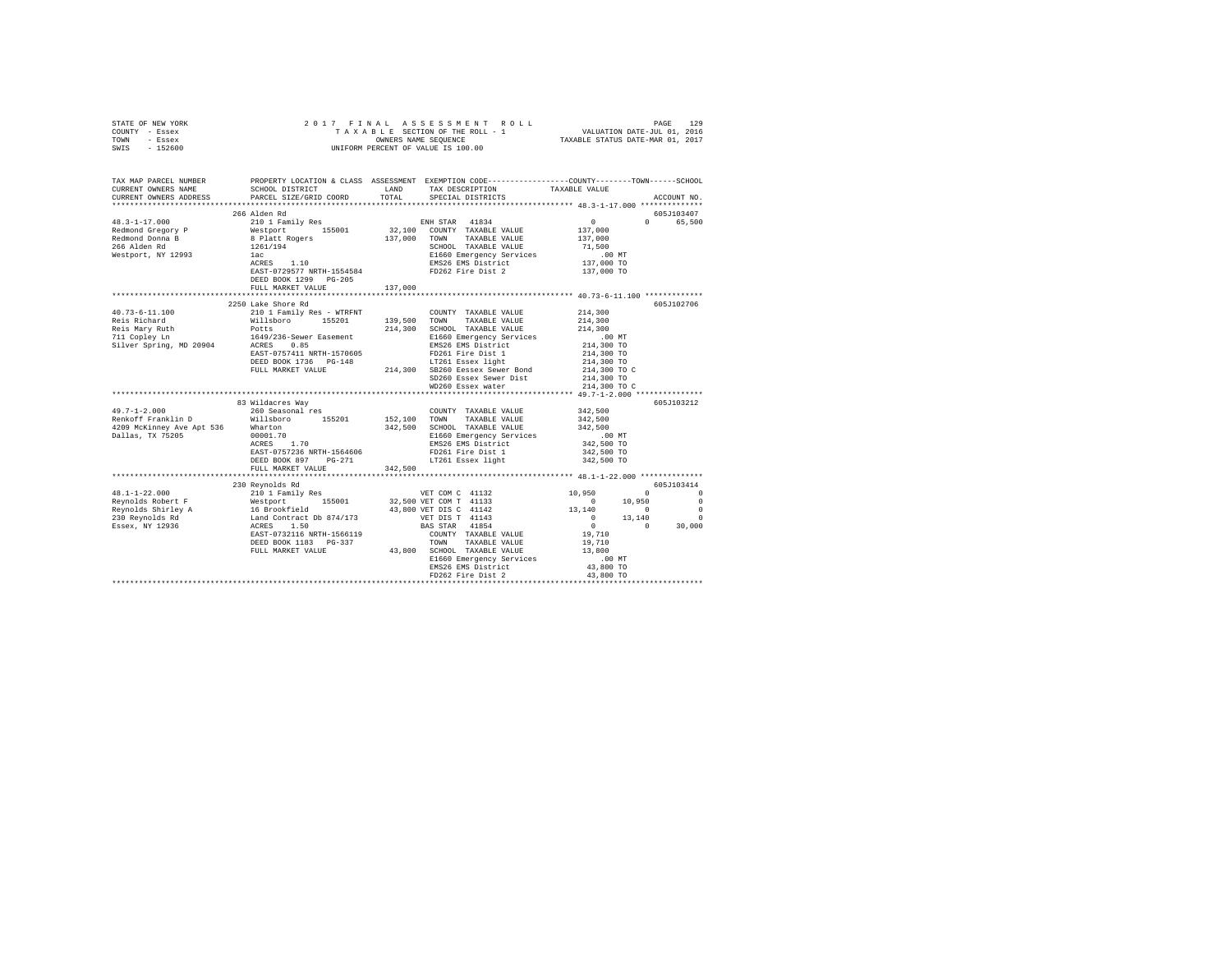| STATE OF NEW YORK<br>COUNTY - Essex<br>- Essex<br>TOWN<br>$-152600$<br>SWIS                                                                                                                                                                              | 2017 FINAL                                                                                                        |              | 7 FINAL ASSESSMENT ROLL TAXABLE PAGE 129 PAGE 12016<br>TAXABLE SECTION OF THE ROLL - 1 VALUATION DATE-JUL 01, 2016<br>OWNERS NAME SEQUENCE  TAXABLE STATUS DATE-MAR 01, 2017<br>OWNERS NAME SEQUENCE<br>UNIFORM PERCENT OF VALUE IS 100.00 |                                                                                   |             |
|----------------------------------------------------------------------------------------------------------------------------------------------------------------------------------------------------------------------------------------------------------|-------------------------------------------------------------------------------------------------------------------|--------------|--------------------------------------------------------------------------------------------------------------------------------------------------------------------------------------------------------------------------------------------|-----------------------------------------------------------------------------------|-------------|
|                                                                                                                                                                                                                                                          |                                                                                                                   |              |                                                                                                                                                                                                                                            |                                                                                   |             |
| TAX MAP PARCEL NUMBER<br>CURRENT OWNERS NAME                                                                                                                                                                                                             | PROPERTY LOCATION & CLASS ASSESSMENT EXEMPTION CODE---------------COUNTY-------TOWN-----SCHOOL<br>SCHOOL DISTRICT | LAND         | TAX DESCRIPTION                                                                                                                                                                                                                            | TAXABLE VALUE                                                                     |             |
| CURRENT OWNERS ADDRESS                                                                                                                                                                                                                                   | PARCEL SIZE/GRID COORD                                                                                            | TOTAL        | SPECIAL DISTRICTS                                                                                                                                                                                                                          |                                                                                   | ACCOUNT NO. |
|                                                                                                                                                                                                                                                          |                                                                                                                   |              |                                                                                                                                                                                                                                            |                                                                                   |             |
|                                                                                                                                                                                                                                                          | 266 Alden Rd                                                                                                      |              |                                                                                                                                                                                                                                            |                                                                                   | 605J103407  |
| $48.3 - 1 - 17.000$                                                                                                                                                                                                                                      |                                                                                                                   |              | ENH STAR 41834                                                                                                                                                                                                                             | $\mathbf{0}$<br>$\Omega$                                                          | 65,500      |
| Redmond Gregory P                                                                                                                                                                                                                                        |                                                                                                                   |              | $32,100$ COUNTY TAXABLE VALUE                                                                                                                                                                                                              | 137,000                                                                           |             |
| Redmond Donna B<br>266 Alden Rd                                                                                                                                                                                                                          |                                                                                                                   | 137,000 TOWN | TAXABLE VALUE                                                                                                                                                                                                                              | 137,000                                                                           |             |
|                                                                                                                                                                                                                                                          | ----- ---<br>210 1 Family Res<br>Westport 155001<br>8 Platt Rogers<br>1261/194<br>lac                             |              | SCHOOL TAXABLE VALUE                                                                                                                                                                                                                       | 71,500                                                                            |             |
| Westport, NY 12993                                                                                                                                                                                                                                       | $ACRES$ 1.10                                                                                                      |              | E1660 Emergency Services                                                                                                                                                                                                                   | .00 MT<br>137,000 TO                                                              |             |
|                                                                                                                                                                                                                                                          | EAST-0729577 NRTH-1554584                                                                                         |              | EMS26 EMS District<br>FD262 Fire Dist 2                                                                                                                                                                                                    | 137,000 TO                                                                        |             |
|                                                                                                                                                                                                                                                          | DEED BOOK 1299 PG-205                                                                                             |              |                                                                                                                                                                                                                                            |                                                                                   |             |
|                                                                                                                                                                                                                                                          | FULL MARKET VALUE                                                                                                 | 137,000      |                                                                                                                                                                                                                                            |                                                                                   |             |
|                                                                                                                                                                                                                                                          |                                                                                                                   |              |                                                                                                                                                                                                                                            |                                                                                   |             |
|                                                                                                                                                                                                                                                          | 2250 Lake Shore Rd                                                                                                |              |                                                                                                                                                                                                                                            |                                                                                   | 605J102706  |
| 40.73-6-11.100                                                                                                                                                                                                                                           | 210 1 Family Res - WTRFNT                                                                                         |              | COUNTY TAXABLE VALUE                                                                                                                                                                                                                       | 214,300                                                                           |             |
|                                                                                                                                                                                                                                                          |                                                                                                                   | 139,500      | TAXABLE VALUE<br>TOWN                                                                                                                                                                                                                      | 214,300                                                                           |             |
|                                                                                                                                                                                                                                                          |                                                                                                                   | 214,300      | SCHOOL TAXABLE VALUE                                                                                                                                                                                                                       | 214,300                                                                           |             |
|                                                                                                                                                                                                                                                          | 1649/236-Sewer Easement                                                                                           |              | E1660 Emergency Services                                                                                                                                                                                                                   | .00 MT                                                                            |             |
| Silver Spring, MD 20904                                                                                                                                                                                                                                  | ACRES 0.85                                                                                                        |              | EMS26 EMS District                                                                                                                                                                                                                         | 214,300 TO                                                                        |             |
|                                                                                                                                                                                                                                                          | EAST-0757411 NRTH-1570605                                                                                         |              | FD261 Fire Dist 1                                                                                                                                                                                                                          | 214,300 TO                                                                        |             |
|                                                                                                                                                                                                                                                          | DEED BOOK 1736 PG-148                                                                                             |              | LT261 Essex light                                                                                                                                                                                                                          | 214,300 TO                                                                        |             |
|                                                                                                                                                                                                                                                          | FULL MARKET VALUE                                                                                                 |              | 214,300 SB260 Eessex Sewer Bond                                                                                                                                                                                                            | 214,300 TO C                                                                      |             |
|                                                                                                                                                                                                                                                          |                                                                                                                   |              | SD260 Essex Sewer Dist                                                                                                                                                                                                                     | 214,300 TO                                                                        |             |
|                                                                                                                                                                                                                                                          |                                                                                                                   |              | WD260 Essex water                                                                                                                                                                                                                          | 214,300 TO C                                                                      |             |
|                                                                                                                                                                                                                                                          |                                                                                                                   |              |                                                                                                                                                                                                                                            |                                                                                   | 605J103212  |
| $49.7 - 1 - 2.000$                                                                                                                                                                                                                                       | 83 Wildacres Way<br>260 Seasonal res                                                                              |              | COUNTY TAXABLE VALUE                                                                                                                                                                                                                       | 342,500                                                                           |             |
| Renkoff Franklin D                                                                                                                                                                                                                                       | Willsboro 155201                                                                                                  | 152.100 TOWN | TAXABLE VALUE                                                                                                                                                                                                                              | 342,500                                                                           |             |
| 4209 McKinney Ave Apt 536                                                                                                                                                                                                                                |                                                                                                                   |              | 342,500 SCHOOL TAXABLE VALUE                                                                                                                                                                                                               | 342,500                                                                           |             |
| Dallas, TX 75205                                                                                                                                                                                                                                         | Wharton<br>00001.70                                                                                               |              | E1660 Emergency Services                                                                                                                                                                                                                   | .00 MT                                                                            |             |
|                                                                                                                                                                                                                                                          | ACRES 1.70                                                                                                        |              | EMS26 EMS District                                                                                                                                                                                                                         | 342,500 TO                                                                        |             |
|                                                                                                                                                                                                                                                          | EAST-0757236 NRTH-1564606                                                                                         |              | FD261 Fire Dist 1                                                                                                                                                                                                                          | 342,500 TO                                                                        |             |
|                                                                                                                                                                                                                                                          | DEED BOOK 897 PG-271                                                                                              |              | LT261 Essex light                                                                                                                                                                                                                          | 342,500 TO                                                                        |             |
|                                                                                                                                                                                                                                                          | FULL MARKET VALUE                                                                                                 | 342,500      |                                                                                                                                                                                                                                            |                                                                                   |             |
|                                                                                                                                                                                                                                                          |                                                                                                                   |              |                                                                                                                                                                                                                                            |                                                                                   |             |
|                                                                                                                                                                                                                                                          | 230 Reynolds Rd                                                                                                   |              |                                                                                                                                                                                                                                            |                                                                                   | 605-7103414 |
| $48.1 - 1 - 22.000$                                                                                                                                                                                                                                      | 210 1 Family Res                                                                                                  |              | VET COM C 41132                                                                                                                                                                                                                            | 10,950<br>$\sim$ 0                                                                | $\sim$ 0    |
|                                                                                                                                                                                                                                                          |                                                                                                                   |              | 32,500 VET COM T 41133                                                                                                                                                                                                                     | 10,950<br>$\sim$ 0                                                                | $\circ$     |
|                                                                                                                                                                                                                                                          |                                                                                                                   |              | 43,800 VET DIS C 41142                                                                                                                                                                                                                     | 13,140<br>$\sim$ 0.000 $\sim$ 0.000 $\sim$ 0.000 $\sim$ 0.000 $\sim$ 0.000 $\sim$ | $\Omega$    |
| Neynolds Robert F<br>Reynolds Robert F<br>Reynolds Robert F<br>Reynolds Robert F<br>155001<br>230 Reynolds Rd<br>230 Reynolds Rd<br>230 Reynolds Rd<br>230 Reynolds Rd<br>230 Reynolds Rd<br>230 Reynolds Rd<br>230 Reynolds Rd<br>230 Reynolds Rd<br>23 |                                                                                                                   |              | VET DIS T 41143                                                                                                                                                                                                                            | $\sim$ 0.000 $\sim$<br>13,140                                                     | $\Omega$    |
|                                                                                                                                                                                                                                                          |                                                                                                                   |              | BAS STAR 41854                                                                                                                                                                                                                             | $0 \qquad \qquad$<br>$\sim$ 0                                                     | 30,000      |
|                                                                                                                                                                                                                                                          |                                                                                                                   |              | COUNTY TAXABLE VALUE                                                                                                                                                                                                                       | 19,710                                                                            |             |
|                                                                                                                                                                                                                                                          | DEED BOOK 1183 PG-337                                                                                             |              | TOWN TAXABLE VALUE<br>43,800 SCHOOL TAXABLE VALUE                                                                                                                                                                                          | 19,710<br>13,800                                                                  |             |
|                                                                                                                                                                                                                                                          | FULL MARKET VALUE                                                                                                 |              | E1660 Emergency Services                                                                                                                                                                                                                   | $.00$ MT                                                                          |             |
|                                                                                                                                                                                                                                                          |                                                                                                                   |              | EMS26 EMS District                                                                                                                                                                                                                         | 43,800 TO                                                                         |             |
|                                                                                                                                                                                                                                                          |                                                                                                                   |              | FD262 Fire Dist 2                                                                                                                                                                                                                          | 43,800 TO                                                                         |             |
|                                                                                                                                                                                                                                                          |                                                                                                                   |              |                                                                                                                                                                                                                                            | *******************                                                               |             |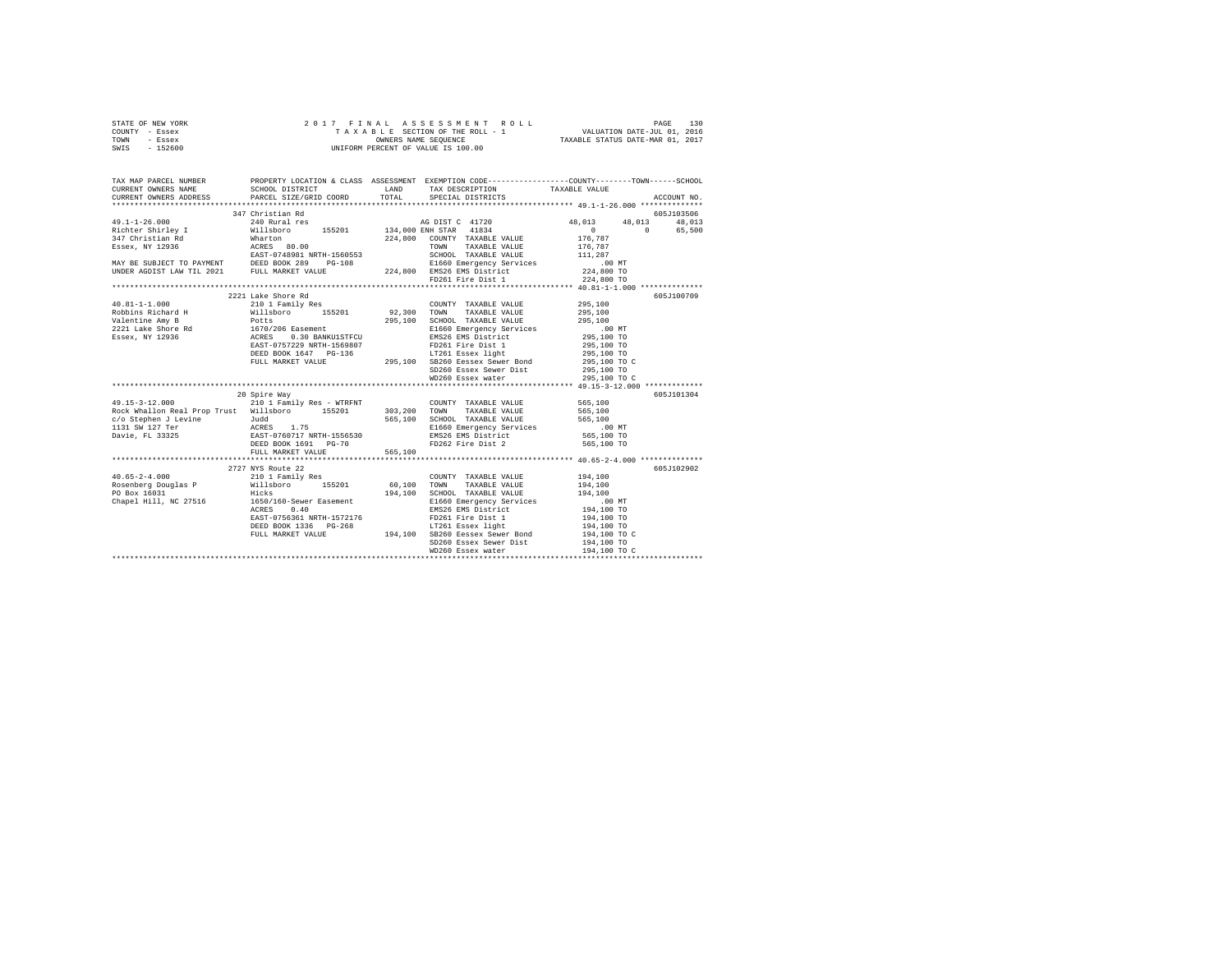| STATE OF NEW YORK | 2017 FINAL ASSESSMENT ROLL         | 130<br>PAGE                      |
|-------------------|------------------------------------|----------------------------------|
| COUNTY - Essex    | TAXABLE SECTION OF THE ROLL - 1    | VALUATION DATE-JUL 01, 2016      |
| TOWN<br>- Essex   | OWNERS NAME SEOUENCE               | TAXABLE STATUS DATE-MAR 01, 2017 |
| $-152600$<br>SWIS | UNIFORM PERCENT OF VALUE IS 100.00 |                                  |

| TAX MAP PARCEL NUMBER<br>CURRENT OWNERS NAME<br>CURRENT OWNERS ADDRESS PARCEL SIZE/GRID COORD                                                                                                                                                                                                                                                                                                                                                                                                            | PROPERTY LOCATION & CLASS ASSESSMENT EXEMPTION CODE---------------COUNTY-------TOWN------SCHOOL<br>SCHOOL DISTRICT |         | LAND TAX DESCRIPTION TAXABLE VALUE<br>TOTAL SPECIAL DISTRICTS |                            | ACCOUNT NO. |
|----------------------------------------------------------------------------------------------------------------------------------------------------------------------------------------------------------------------------------------------------------------------------------------------------------------------------------------------------------------------------------------------------------------------------------------------------------------------------------------------------------|--------------------------------------------------------------------------------------------------------------------|---------|---------------------------------------------------------------|----------------------------|-------------|
|                                                                                                                                                                                                                                                                                                                                                                                                                                                                                                          |                                                                                                                    |         |                                                               |                            |             |
|                                                                                                                                                                                                                                                                                                                                                                                                                                                                                                          |                                                                                                                    |         |                                                               |                            | 605J103506  |
|                                                                                                                                                                                                                                                                                                                                                                                                                                                                                                          |                                                                                                                    |         |                                                               | 48,013 48,013 48,013       | 0 65,500    |
|                                                                                                                                                                                                                                                                                                                                                                                                                                                                                                          |                                                                                                                    |         |                                                               |                            |             |
|                                                                                                                                                                                                                                                                                                                                                                                                                                                                                                          |                                                                                                                    |         |                                                               |                            |             |
|                                                                                                                                                                                                                                                                                                                                                                                                                                                                                                          |                                                                                                                    |         |                                                               |                            |             |
|                                                                                                                                                                                                                                                                                                                                                                                                                                                                                                          |                                                                                                                    |         |                                                               |                            |             |
|                                                                                                                                                                                                                                                                                                                                                                                                                                                                                                          |                                                                                                                    |         |                                                               |                            |             |
|                                                                                                                                                                                                                                                                                                                                                                                                                                                                                                          |                                                                                                                    |         |                                                               |                            |             |
|                                                                                                                                                                                                                                                                                                                                                                                                                                                                                                          |                                                                                                                    |         |                                                               |                            |             |
|                                                                                                                                                                                                                                                                                                                                                                                                                                                                                                          | 2221 Lake Shore Rd                                                                                                 |         |                                                               |                            | 605J100709  |
|                                                                                                                                                                                                                                                                                                                                                                                                                                                                                                          |                                                                                                                    |         |                                                               |                            |             |
|                                                                                                                                                                                                                                                                                                                                                                                                                                                                                                          |                                                                                                                    |         | COUNTY TAXABLE VALUE<br>TOWN TAXABLE VALUE 295,100            |                            |             |
|                                                                                                                                                                                                                                                                                                                                                                                                                                                                                                          |                                                                                                                    |         |                                                               |                            |             |
|                                                                                                                                                                                                                                                                                                                                                                                                                                                                                                          |                                                                                                                    |         |                                                               |                            |             |
|                                                                                                                                                                                                                                                                                                                                                                                                                                                                                                          |                                                                                                                    |         |                                                               |                            |             |
|                                                                                                                                                                                                                                                                                                                                                                                                                                                                                                          |                                                                                                                    |         |                                                               |                            |             |
|                                                                                                                                                                                                                                                                                                                                                                                                                                                                                                          |                                                                                                                    |         |                                                               |                            |             |
|                                                                                                                                                                                                                                                                                                                                                                                                                                                                                                          |                                                                                                                    |         |                                                               |                            |             |
|                                                                                                                                                                                                                                                                                                                                                                                                                                                                                                          |                                                                                                                    |         |                                                               | 295,100 TO C<br>295,100 TO |             |
|                                                                                                                                                                                                                                                                                                                                                                                                                                                                                                          |                                                                                                                    |         | WD260 Essex water                                             | 295,100 TO C               |             |
|                                                                                                                                                                                                                                                                                                                                                                                                                                                                                                          |                                                                                                                    |         |                                                               |                            |             |
|                                                                                                                                                                                                                                                                                                                                                                                                                                                                                                          | 20 Spire Way                                                                                                       |         |                                                               |                            | 605J101304  |
|                                                                                                                                                                                                                                                                                                                                                                                                                                                                                                          |                                                                                                                    |         |                                                               | 565,100                    |             |
|                                                                                                                                                                                                                                                                                                                                                                                                                                                                                                          |                                                                                                                    |         |                                                               | 565,100                    |             |
|                                                                                                                                                                                                                                                                                                                                                                                                                                                                                                          |                                                                                                                    |         |                                                               |                            |             |
| c/o Stephen J Levine متر Judd 565,100 SCHOOL TAXABLE VALUE 565,100 متر 108 565,100<br>1.131.9W 127 Text ACRES 1.75 51660 Emergency Services 1.00 MT<br>1.100 Davie, FL 33325 565,100 EAST-0760717 NRTH-1556530 EMS26 EMS District 5                                                                                                                                                                                                                                                                      |                                                                                                                    |         |                                                               |                            |             |
|                                                                                                                                                                                                                                                                                                                                                                                                                                                                                                          |                                                                                                                    |         |                                                               |                            |             |
|                                                                                                                                                                                                                                                                                                                                                                                                                                                                                                          | DEED BOOK 1691 PG-70                                                                                               |         | FD262 Fire Dist 2                                             | 565,100 TO                 |             |
|                                                                                                                                                                                                                                                                                                                                                                                                                                                                                                          | FULL MARKET VALUE                                                                                                  | 565.100 |                                                               |                            |             |
|                                                                                                                                                                                                                                                                                                                                                                                                                                                                                                          |                                                                                                                    |         |                                                               |                            |             |
|                                                                                                                                                                                                                                                                                                                                                                                                                                                                                                          | 2727 NYS Route 22                                                                                                  |         |                                                               |                            | 605J102902  |
|                                                                                                                                                                                                                                                                                                                                                                                                                                                                                                          |                                                                                                                    |         |                                                               |                            |             |
|                                                                                                                                                                                                                                                                                                                                                                                                                                                                                                          |                                                                                                                    |         |                                                               |                            |             |
|                                                                                                                                                                                                                                                                                                                                                                                                                                                                                                          |                                                                                                                    |         |                                                               |                            |             |
| $\texttt{40.65-2-4.000} \begin{minipage}{0.9\textwidth} \begin{minipage}{0.9\textwidth} \begin{minipage}{0.9\textwidth} \begin{minipage}{0.9\textwidth} \begin{minipage}{0.9\textwidth} \begin{minipage}{0.9\textwidth} \begin{minipage}{0.9\textwidth} \begin{minipage}{0.9\textwidth} \begin{minipage}{0.9\textwidth} \begin{minipage}{0.9\textwidth} \begin{minipage}{0.9\textwidth} \begin{minipage}{0.9\textwidth} \begin{minipage}{0.9\textwidth} \begin{minipage}{0.9\textwidth} \begin{minipage$ |                                                                                                                    |         |                                                               |                            |             |
|                                                                                                                                                                                                                                                                                                                                                                                                                                                                                                          |                                                                                                                    |         |                                                               |                            |             |
|                                                                                                                                                                                                                                                                                                                                                                                                                                                                                                          |                                                                                                                    |         |                                                               |                            |             |
|                                                                                                                                                                                                                                                                                                                                                                                                                                                                                                          |                                                                                                                    |         |                                                               |                            |             |
|                                                                                                                                                                                                                                                                                                                                                                                                                                                                                                          |                                                                                                                    |         | FULL MARKET VALUE 194,100 SB260 Eessex Sewer Bond             | 194,100 TO C               |             |
|                                                                                                                                                                                                                                                                                                                                                                                                                                                                                                          |                                                                                                                    |         | SD260 Essex Sewer Dist<br>WD260 Essex water                   | 194,100 TO                 |             |
|                                                                                                                                                                                                                                                                                                                                                                                                                                                                                                          |                                                                                                                    |         |                                                               |                            |             |
|                                                                                                                                                                                                                                                                                                                                                                                                                                                                                                          |                                                                                                                    |         |                                                               |                            |             |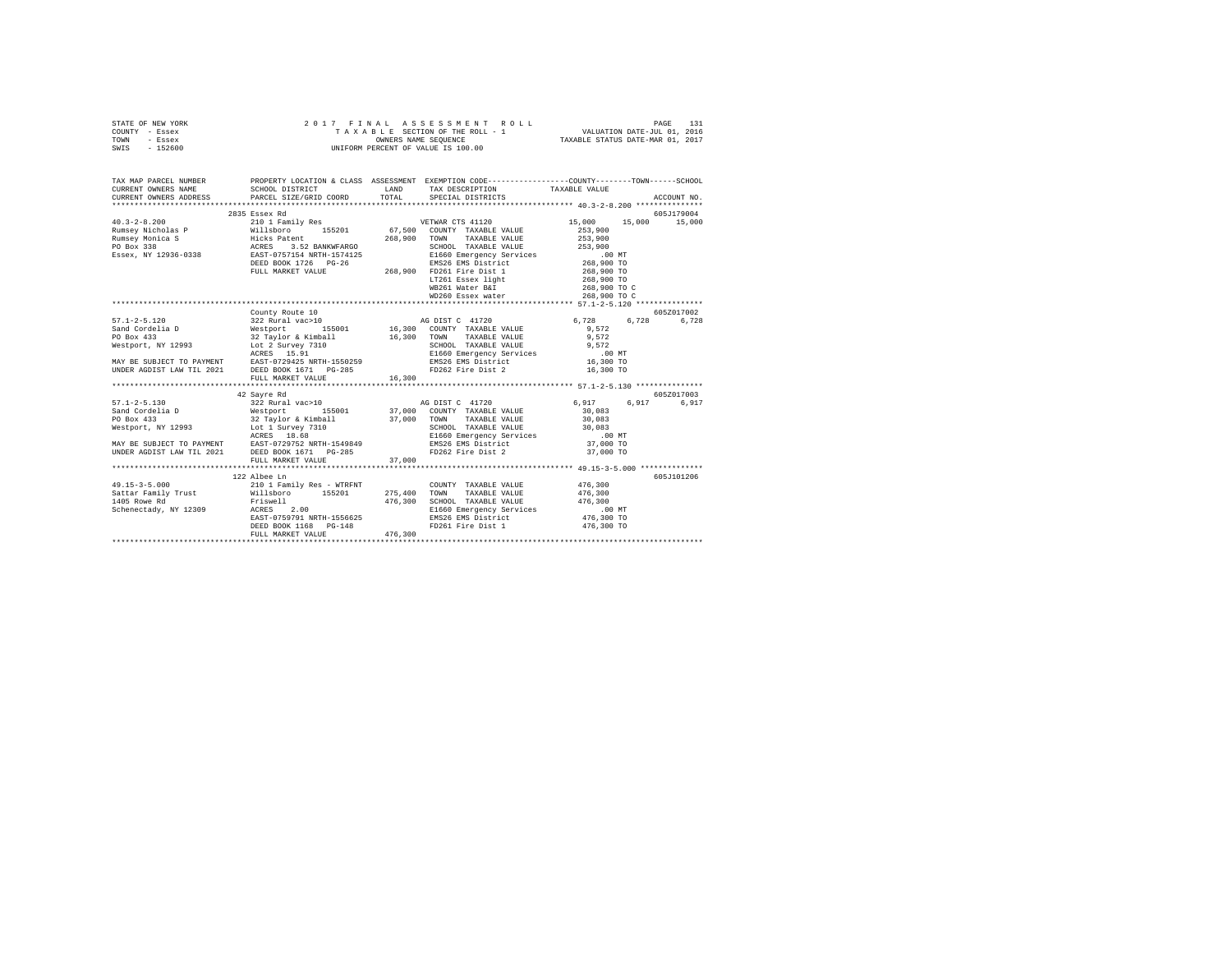|      | STATE OF NEW YORK |  | 2017 FINAL ASSESSMENT ROLL         |                                  | PAGE                        | 131 |
|------|-------------------|--|------------------------------------|----------------------------------|-----------------------------|-----|
|      | COUNTY - Essex    |  | TAXABLE SECTION OF THE ROLL - 1    |                                  | VALUATION DATE-JUL 01, 2016 |     |
| TOWN | - Essex           |  | OWNERS NAME SEOUENCE               | TAXABLE STATUS DATE-MAR 01, 2017 |                             |     |
| SWIS | $-152600$         |  | UNIFORM PERCENT OF VALUE IS 100.00 |                                  |                             |     |

| 2835 Essex Rd                                                                                                                                                                                                                                                                                                                                                                                            |                                      |                            | 605J179004 |
|----------------------------------------------------------------------------------------------------------------------------------------------------------------------------------------------------------------------------------------------------------------------------------------------------------------------------------------------------------------------------------------------------------|--------------------------------------|----------------------------|------------|
|                                                                                                                                                                                                                                                                                                                                                                                                          |                                      |                            |            |
|                                                                                                                                                                                                                                                                                                                                                                                                          |                                      |                            |            |
|                                                                                                                                                                                                                                                                                                                                                                                                          |                                      |                            |            |
|                                                                                                                                                                                                                                                                                                                                                                                                          |                                      |                            |            |
| $Rumsey Micholas P\nRunsey Micholas P\nEMmsey Micholas P\nEMmsey Micholas P\nEMmsey Micholas P\nEMmsey Micholas P\nEMmsey Micholas P\nEMmsey Micholas P\nEMmsey Micholas P\nEMmey Nonica S\nEMmey Nonica S\nEMM\n268,900 TOMN\n268,900 TOMNABLE VALUE\n268,900 TOMMABLE VALUE\n268,900 TOMMABLE VALUE\n268,900 TOMM\n268,900 TOMM\n268,900 TOMD\n268,900 TOMD\n268,$                                     |                                      |                            |            |
|                                                                                                                                                                                                                                                                                                                                                                                                          |                                      |                            |            |
|                                                                                                                                                                                                                                                                                                                                                                                                          |                                      |                            |            |
|                                                                                                                                                                                                                                                                                                                                                                                                          |                                      |                            |            |
|                                                                                                                                                                                                                                                                                                                                                                                                          | LT261 Essex light<br>WB261 Water B&I | 268,900 TO<br>268,900 TO C |            |
|                                                                                                                                                                                                                                                                                                                                                                                                          |                                      |                            |            |
|                                                                                                                                                                                                                                                                                                                                                                                                          |                                      |                            |            |
|                                                                                                                                                                                                                                                                                                                                                                                                          |                                      |                            |            |
| County Route 10                                                                                                                                                                                                                                                                                                                                                                                          |                                      |                            | 605Z017002 |
|                                                                                                                                                                                                                                                                                                                                                                                                          |                                      |                            |            |
|                                                                                                                                                                                                                                                                                                                                                                                                          |                                      |                            |            |
|                                                                                                                                                                                                                                                                                                                                                                                                          |                                      |                            |            |
|                                                                                                                                                                                                                                                                                                                                                                                                          |                                      |                            |            |
|                                                                                                                                                                                                                                                                                                                                                                                                          |                                      |                            |            |
|                                                                                                                                                                                                                                                                                                                                                                                                          |                                      |                            |            |
|                                                                                                                                                                                                                                                                                                                                                                                                          |                                      |                            |            |
|                                                                                                                                                                                                                                                                                                                                                                                                          |                                      |                            |            |
| $\begin{tabular}{l c c c c} \multicolumn{3}{c c c} \multicolumn{3}{c c c} \multicolumn{3}{c c c} \multicolumn{3}{c c c} \multicolumn{3}{c c c} \multicolumn{3}{c c c} \multicolumn{3}{c c c} \multicolumn{3}{c c c} \multicolumn{3}{c c c} \multicolumn{3}{c c c} \multicolumn{3}{c c c} \multicolumn{3}{c c c} \multicolumn{3}{c c c} \multicolumn{3}{c c c} \multicolumn{3}{c c c} \multicolumn{3}{c $ |                                      |                            |            |
| 42 Sayre Rd                                                                                                                                                                                                                                                                                                                                                                                              |                                      |                            | 605Z017003 |
|                                                                                                                                                                                                                                                                                                                                                                                                          |                                      |                            | 6.917      |
|                                                                                                                                                                                                                                                                                                                                                                                                          |                                      |                            |            |
|                                                                                                                                                                                                                                                                                                                                                                                                          |                                      |                            |            |
|                                                                                                                                                                                                                                                                                                                                                                                                          |                                      |                            |            |
|                                                                                                                                                                                                                                                                                                                                                                                                          |                                      |                            |            |
|                                                                                                                                                                                                                                                                                                                                                                                                          |                                      |                            |            |
|                                                                                                                                                                                                                                                                                                                                                                                                          |                                      |                            |            |
|                                                                                                                                                                                                                                                                                                                                                                                                          |                                      |                            |            |
|                                                                                                                                                                                                                                                                                                                                                                                                          |                                      |                            |            |
| 122 Albee Ln                                                                                                                                                                                                                                                                                                                                                                                             |                                      |                            | 605J101206 |
|                                                                                                                                                                                                                                                                                                                                                                                                          |                                      |                            |            |
|                                                                                                                                                                                                                                                                                                                                                                                                          |                                      |                            |            |
|                                                                                                                                                                                                                                                                                                                                                                                                          |                                      |                            |            |
|                                                                                                                                                                                                                                                                                                                                                                                                          |                                      |                            |            |
|                                                                                                                                                                                                                                                                                                                                                                                                          |                                      |                            |            |
|                                                                                                                                                                                                                                                                                                                                                                                                          |                                      |                            |            |
|                                                                                                                                                                                                                                                                                                                                                                                                          |                                      |                            |            |
|                                                                                                                                                                                                                                                                                                                                                                                                          |                                      |                            |            |
|                                                                                                                                                                                                                                                                                                                                                                                                          |                                      |                            |            |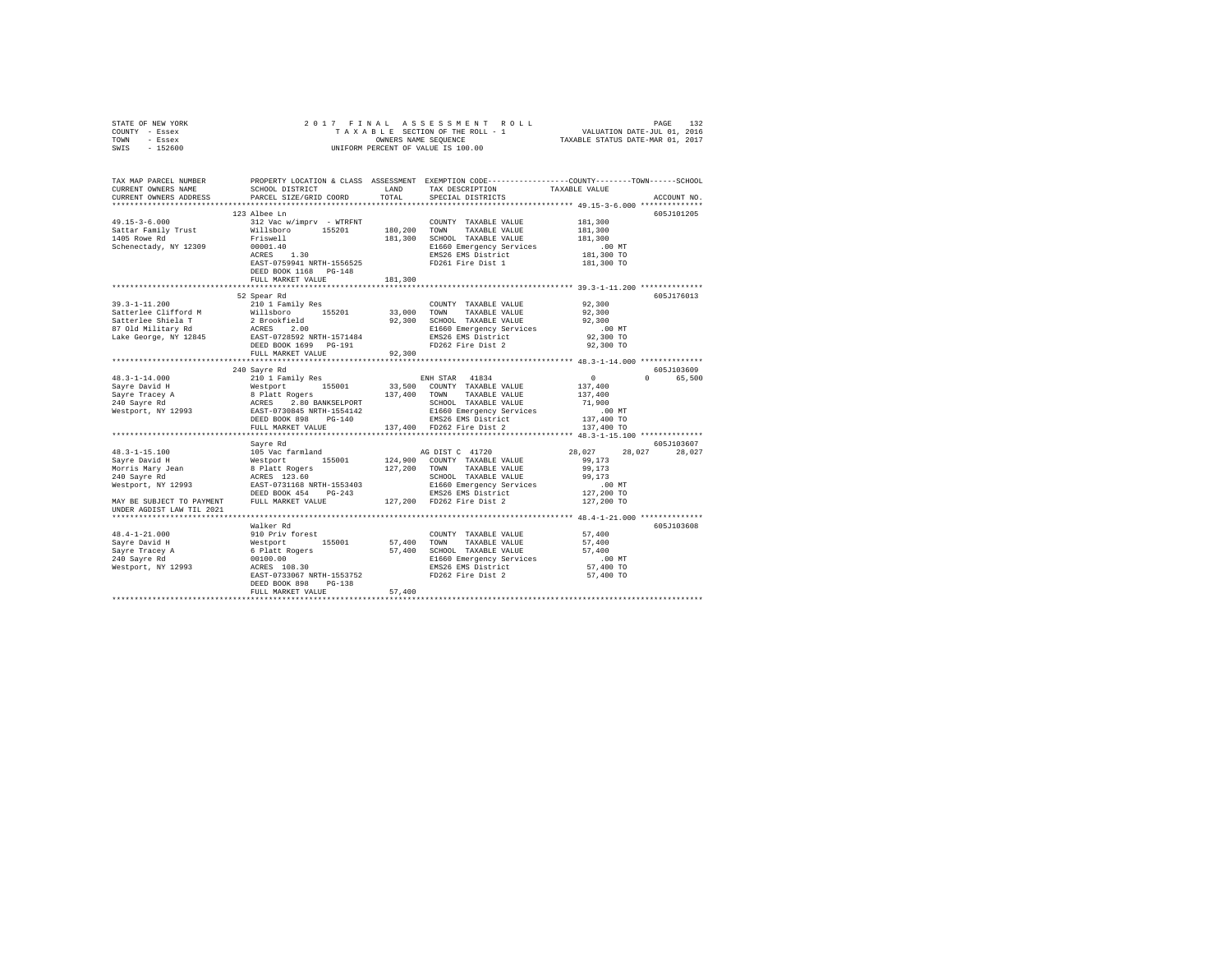| STATE OF NEW YORK                                                                                                                                                                                                                                                                                                                                                                      |                       |         |                                                                                                                                                                                          |                        |               |
|----------------------------------------------------------------------------------------------------------------------------------------------------------------------------------------------------------------------------------------------------------------------------------------------------------------------------------------------------------------------------------------|-----------------------|---------|------------------------------------------------------------------------------------------------------------------------------------------------------------------------------------------|------------------------|---------------|
| COUNTY - Essex                                                                                                                                                                                                                                                                                                                                                                         |                       |         |                                                                                                                                                                                          |                        |               |
| TOWN - Essex                                                                                                                                                                                                                                                                                                                                                                           |                       |         |                                                                                                                                                                                          |                        |               |
| SWIS - 152600                                                                                                                                                                                                                                                                                                                                                                          |                       |         |                                                                                                                                                                                          |                        |               |
|                                                                                                                                                                                                                                                                                                                                                                                        |                       |         |                                                                                                                                                                                          |                        |               |
|                                                                                                                                                                                                                                                                                                                                                                                        |                       |         |                                                                                                                                                                                          |                        |               |
|                                                                                                                                                                                                                                                                                                                                                                                        |                       |         |                                                                                                                                                                                          |                        |               |
| TAX MAP PARCEL NUMBER     PROPERTY LOCATION & CLASS ASSESSMENT EXEMPTION CODE--------------CCOUNTY-------TOWN------SCHOOL DISTRICT     LAND   TAX DESCRIPTION     TAXABLE VALUE                                                                                                                                                                                                        |                       |         |                                                                                                                                                                                          |                        |               |
| CURRENT OWNERS ADDRESS PARCEL SIZE/GRID COORD TOTAL                                                                                                                                                                                                                                                                                                                                    |                       |         | SPECIAL DISTRICTS                                                                                                                                                                        |                        | ACCOUNT NO.   |
|                                                                                                                                                                                                                                                                                                                                                                                        |                       |         |                                                                                                                                                                                          |                        |               |
|                                                                                                                                                                                                                                                                                                                                                                                        | 123 Albee Ln          |         |                                                                                                                                                                                          |                        | 605J101205    |
|                                                                                                                                                                                                                                                                                                                                                                                        |                       |         |                                                                                                                                                                                          |                        |               |
|                                                                                                                                                                                                                                                                                                                                                                                        |                       |         |                                                                                                                                                                                          |                        |               |
|                                                                                                                                                                                                                                                                                                                                                                                        |                       |         |                                                                                                                                                                                          |                        |               |
|                                                                                                                                                                                                                                                                                                                                                                                        |                       |         |                                                                                                                                                                                          |                        |               |
|                                                                                                                                                                                                                                                                                                                                                                                        |                       |         |                                                                                                                                                                                          |                        |               |
|                                                                                                                                                                                                                                                                                                                                                                                        |                       |         |                                                                                                                                                                                          |                        |               |
|                                                                                                                                                                                                                                                                                                                                                                                        | DEED BOOK 1168 PG-148 |         |                                                                                                                                                                                          |                        |               |
|                                                                                                                                                                                                                                                                                                                                                                                        | FULL MARKET VALUE     | 181,300 |                                                                                                                                                                                          |                        |               |
|                                                                                                                                                                                                                                                                                                                                                                                        |                       |         |                                                                                                                                                                                          |                        |               |
|                                                                                                                                                                                                                                                                                                                                                                                        | 52 Spear Rd           |         |                                                                                                                                                                                          |                        | 605J176013    |
|                                                                                                                                                                                                                                                                                                                                                                                        |                       |         | $\begin{tabular}{lllllll} \multicolumn{2}{l}{{\text{COUNTY}}} & \multicolumn{2}{l}{\text{TAXABLE}} & \multicolumn{2}{l}{\text{VALUE}} & \multicolumn{2}{l}{\text{92,300}} \end{tabular}$ |                        |               |
|                                                                                                                                                                                                                                                                                                                                                                                        |                       |         |                                                                                                                                                                                          | 92,300                 |               |
|                                                                                                                                                                                                                                                                                                                                                                                        |                       |         |                                                                                                                                                                                          | 92,300                 |               |
|                                                                                                                                                                                                                                                                                                                                                                                        |                       |         |                                                                                                                                                                                          | $.00$ MT               |               |
|                                                                                                                                                                                                                                                                                                                                                                                        |                       |         |                                                                                                                                                                                          | 92,300 TO              |               |
|                                                                                                                                                                                                                                                                                                                                                                                        |                       |         |                                                                                                                                                                                          | 92,300 TO              |               |
|                                                                                                                                                                                                                                                                                                                                                                                        |                       |         |                                                                                                                                                                                          |                        |               |
|                                                                                                                                                                                                                                                                                                                                                                                        |                       |         |                                                                                                                                                                                          |                        |               |
| $\begin{tabular}{l c c c c c} \multicolumn{3}{c}{\textbf{48.3--1--14.000}} & \multicolumn{3}{c}{\textbf{49.3--1--14.000}} & \multicolumn{3}{c}{\textbf{49.3--1--14.000}} & \multicolumn{3}{c}{\textbf{49.3--1--14.000}} & \multicolumn{3}{c}{\textbf{49.3--1--14.000}} & \multicolumn{3}{c}{\textbf{49.3--1--14.000}} & \multicolumn{3}{c}{\textbf{49.3--1--14.000}} & \multicolumn{3$ |                       |         |                                                                                                                                                                                          |                        | 605J103609    |
|                                                                                                                                                                                                                                                                                                                                                                                        |                       |         |                                                                                                                                                                                          |                        | 0 65,500      |
|                                                                                                                                                                                                                                                                                                                                                                                        |                       |         |                                                                                                                                                                                          |                        |               |
|                                                                                                                                                                                                                                                                                                                                                                                        |                       |         |                                                                                                                                                                                          |                        |               |
|                                                                                                                                                                                                                                                                                                                                                                                        |                       |         |                                                                                                                                                                                          |                        |               |
|                                                                                                                                                                                                                                                                                                                                                                                        |                       |         |                                                                                                                                                                                          |                        |               |
|                                                                                                                                                                                                                                                                                                                                                                                        |                       |         |                                                                                                                                                                                          |                        |               |
|                                                                                                                                                                                                                                                                                                                                                                                        |                       |         |                                                                                                                                                                                          |                        |               |
|                                                                                                                                                                                                                                                                                                                                                                                        |                       |         |                                                                                                                                                                                          |                        |               |
|                                                                                                                                                                                                                                                                                                                                                                                        | Sayre Rd              |         |                                                                                                                                                                                          |                        | 605J103607    |
|                                                                                                                                                                                                                                                                                                                                                                                        |                       |         |                                                                                                                                                                                          |                        | 28,027 28,027 |
|                                                                                                                                                                                                                                                                                                                                                                                        |                       |         |                                                                                                                                                                                          |                        |               |
|                                                                                                                                                                                                                                                                                                                                                                                        |                       |         |                                                                                                                                                                                          |                        |               |
|                                                                                                                                                                                                                                                                                                                                                                                        |                       |         |                                                                                                                                                                                          |                        |               |
|                                                                                                                                                                                                                                                                                                                                                                                        |                       |         |                                                                                                                                                                                          |                        |               |
|                                                                                                                                                                                                                                                                                                                                                                                        |                       |         |                                                                                                                                                                                          |                        |               |
|                                                                                                                                                                                                                                                                                                                                                                                        |                       |         |                                                                                                                                                                                          |                        |               |
|                                                                                                                                                                                                                                                                                                                                                                                        |                       |         |                                                                                                                                                                                          |                        |               |
|                                                                                                                                                                                                                                                                                                                                                                                        |                       |         |                                                                                                                                                                                          |                        |               |
|                                                                                                                                                                                                                                                                                                                                                                                        | Walker Rd             |         |                                                                                                                                                                                          |                        | 605J103608    |
|                                                                                                                                                                                                                                                                                                                                                                                        |                       |         |                                                                                                                                                                                          |                        |               |
|                                                                                                                                                                                                                                                                                                                                                                                        |                       |         |                                                                                                                                                                                          |                        |               |
|                                                                                                                                                                                                                                                                                                                                                                                        |                       |         |                                                                                                                                                                                          |                        |               |
|                                                                                                                                                                                                                                                                                                                                                                                        |                       |         |                                                                                                                                                                                          | $.00$ MT               |               |
|                                                                                                                                                                                                                                                                                                                                                                                        |                       |         |                                                                                                                                                                                          | 57,400 TO<br>57,400 TO |               |
|                                                                                                                                                                                                                                                                                                                                                                                        |                       |         |                                                                                                                                                                                          |                        |               |
|                                                                                                                                                                                                                                                                                                                                                                                        | DEED BOOK 898 PG-138  | 57,400  |                                                                                                                                                                                          |                        |               |
|                                                                                                                                                                                                                                                                                                                                                                                        | FULL MARKET VALUE     |         |                                                                                                                                                                                          |                        |               |
|                                                                                                                                                                                                                                                                                                                                                                                        |                       |         |                                                                                                                                                                                          |                        |               |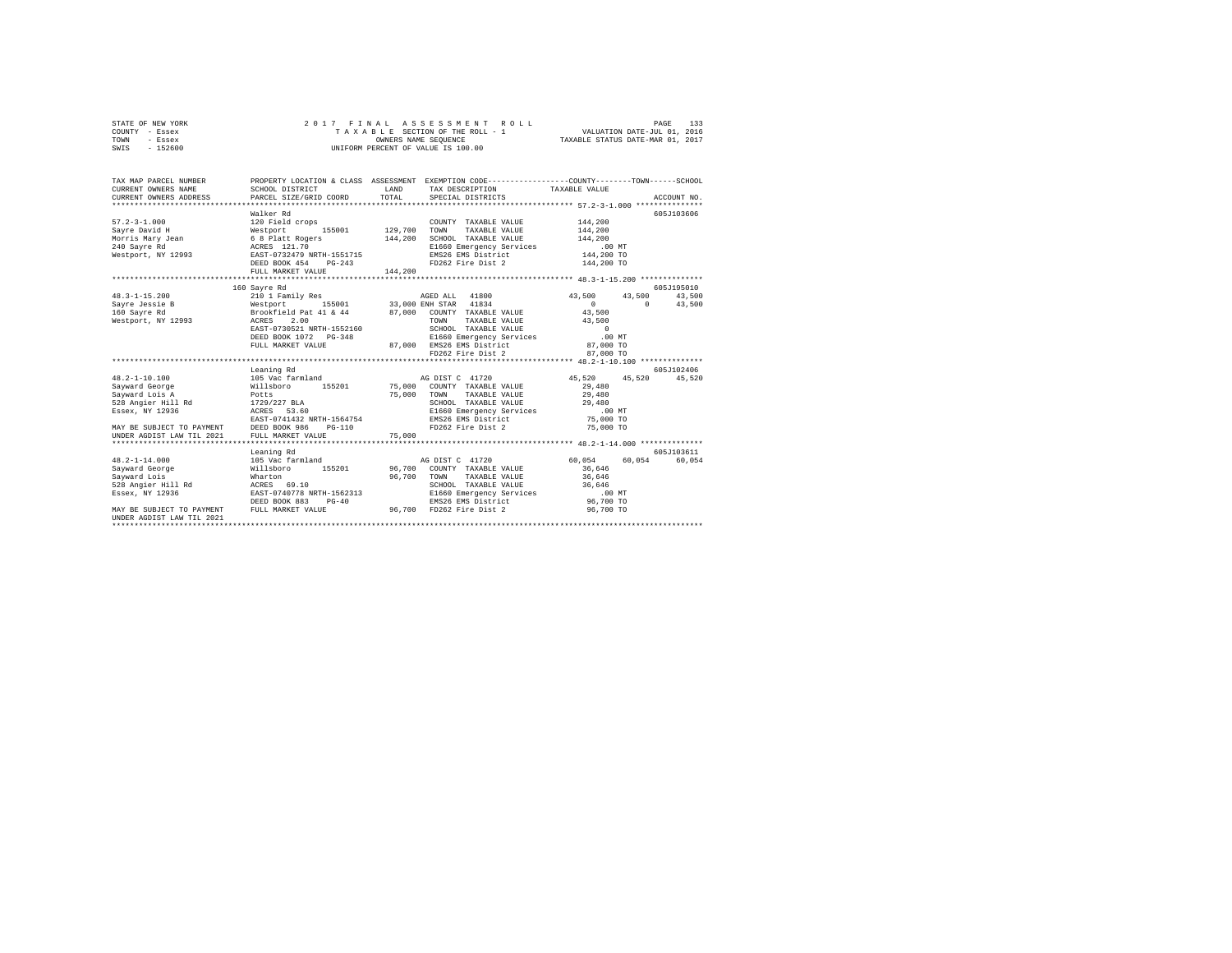| STATE OF NEW YORK | 2017 FINAL ASSESSMENT ROLL         | 133<br>PAGE                      |
|-------------------|------------------------------------|----------------------------------|
| COUNTY - Essex    | TAXABLE SECTION OF THE ROLL - 1    | VALUATION DATE-JUL 01, 2016      |
| TOWN<br>- Essex   | OWNERS NAME SEOUENCE               | TAXABLE STATUS DATE-MAR 01, 2017 |
| - 152600<br>SWIS  | UNIFORM PERCENT OF VALUE IS 100.00 |                                  |

| TAX MAP PARCEL NUMBER<br>CURRENT OWNERS NAME<br>CURRENT OWNERS ADDRESS TO PORTUGAL TRANSPORTATION CONTRIBUTION CONTRIBUTION ACCOUNT NO.<br>CURRENT OWNERS ADDRESS PARCEL SIZE/GRID COORD TOTAL SPECIAL DISTRICTS AND ACCOUNT NO. | SCHOOL DISTRICT                                                                                                                           | <b>T.AND</b> | PROPERTY LOCATION & CLASS ASSESSMENT EXEMPTION CODE----------------COUNTY-------TOWN-----SCHOOL<br>TAX DESCRIPTION TAXABLE VALUE |                                    |            |
|----------------------------------------------------------------------------------------------------------------------------------------------------------------------------------------------------------------------------------|-------------------------------------------------------------------------------------------------------------------------------------------|--------------|----------------------------------------------------------------------------------------------------------------------------------|------------------------------------|------------|
|                                                                                                                                                                                                                                  |                                                                                                                                           |              |                                                                                                                                  |                                    |            |
|                                                                                                                                                                                                                                  | Walker Rd                                                                                                                                 |              |                                                                                                                                  |                                    | 605J103606 |
|                                                                                                                                                                                                                                  |                                                                                                                                           |              | COUNTY TAXABLE VALUE                                                                                                             | 144,200                            |            |
|                                                                                                                                                                                                                                  |                                                                                                                                           |              | TAXABLE VALUE                                                                                                                    | 144,200                            |            |
|                                                                                                                                                                                                                                  |                                                                                                                                           |              | SCHOOL TAXABLE VALUE 144,200                                                                                                     |                                    |            |
| 240 Sayre Rd                                                                                                                                                                                                                     | ACRES 121.70<br>BAST-0732479 NRTH-1551715                                                                                                 |              | E1660 Emergency Services<br>EMS26 EMS District<br>FD262 Fire Dist 2                                                              | 00 MT.<br>144,200 TO<br>144,200 TO |            |
| Westport, NY 12993                                                                                                                                                                                                               |                                                                                                                                           |              |                                                                                                                                  |                                    |            |
|                                                                                                                                                                                                                                  | DEED BOOK 454                                                                                                                             | $PG-243$     |                                                                                                                                  |                                    |            |
|                                                                                                                                                                                                                                  | FULL MARKET VALUE                                                                                                                         | 144,200      |                                                                                                                                  |                                    |            |
|                                                                                                                                                                                                                                  |                                                                                                                                           |              |                                                                                                                                  |                                    |            |
|                                                                                                                                                                                                                                  | 160 Sayre Rd                                                                                                                              |              |                                                                                                                                  |                                    | 605J195010 |
| $48.3 - 1 - 15.200$                                                                                                                                                                                                              | 210 1 Family Res                                                                                                                          |              | AGED ALL 41800                                                                                                                   | 43,500 43,500                      | 43,500     |
| Sayre Jessie B                                                                                                                                                                                                                   | 0 155001 155001 133,000 ENR 37AR 41834<br>Brookfield Pat 41 & 44 87,000 COUNTY TAXABLE VALUE<br>RORES 2.00 2008 12.00 2008 7008 2008 2009 |              |                                                                                                                                  | $\sim$ 0<br>$\sim$ 0               | 43,500     |
| 160 Savre Rd                                                                                                                                                                                                                     |                                                                                                                                           |              |                                                                                                                                  | 43,500                             |            |
| Westport, NY 12993                                                                                                                                                                                                               |                                                                                                                                           |              |                                                                                                                                  | 43,500                             |            |
|                                                                                                                                                                                                                                  | EAST-0730521 NRTH-1552160                                                                                                                 |              | SCHOOL TAXABLE VALUE                                                                                                             | $\sim$ 0                           |            |
|                                                                                                                                                                                                                                  | DEED BOOK 1072 PG-348                                                                                                                     |              | E1660 Emergency Services                                                                                                         | $.00$ MT                           |            |
|                                                                                                                                                                                                                                  | FULL MARKET VALUE                                                                                                                         |              | 87,000 EMS26 EMS District                                                                                                        | 87,000 TO                          |            |
|                                                                                                                                                                                                                                  |                                                                                                                                           |              | FD262 Fire Dist 2                                                                                                                | 87,000 TO                          |            |
|                                                                                                                                                                                                                                  |                                                                                                                                           |              |                                                                                                                                  |                                    |            |
|                                                                                                                                                                                                                                  | Leaning Rd                                                                                                                                |              |                                                                                                                                  |                                    | 605J102406 |
| $48.2 - 1 - 10.100$                                                                                                                                                                                                              | 105 Vac farmland 50 M AG DIST C 41720                                                                                                     |              |                                                                                                                                  | 45,520 45,520 45,520               |            |
| Sayward George 6 6 Millsboro 155201 75,000 COUNTY TAXABLE VALUE                                                                                                                                                                  |                                                                                                                                           |              |                                                                                                                                  | 29,480                             |            |
| Savward Lois A                                                                                                                                                                                                                   |                                                                                                                                           |              | 75,000 TOWN TAXABLE VALUE 29,480                                                                                                 |                                    |            |
| 528 Angier Hill Rd                                                                                                                                                                                                               | Potts<br>Rd 1729/227 BLA<br>ACRES 53.60                                                                                                   |              | SCHOOL TAXABLE VALUE $29,480$<br>E1660 Emergency Services .00 MT<br>EMS26 EMS District 75,000 TO                                 |                                    |            |
| Essex, NY 12936                                                                                                                                                                                                                  |                                                                                                                                           |              |                                                                                                                                  |                                    |            |
|                                                                                                                                                                                                                                  | EAST-0741432 NRTH-1564754                                                                                                                 |              |                                                                                                                                  |                                    |            |
|                                                                                                                                                                                                                                  |                                                                                                                                           |              |                                                                                                                                  |                                    |            |
|                                                                                                                                                                                                                                  |                                                                                                                                           |              |                                                                                                                                  |                                    |            |
|                                                                                                                                                                                                                                  |                                                                                                                                           |              |                                                                                                                                  |                                    |            |
|                                                                                                                                                                                                                                  | Leaning Rd                                                                                                                                |              |                                                                                                                                  |                                    | 605J103611 |
| $48.2 - 1 - 14.000$                                                                                                                                                                                                              | 105 Vac farmland                                                                                                                          |              | AG DIST C 41720                                                                                                                  | 60,054 60,054                      | 60,054     |
|                                                                                                                                                                                                                                  |                                                                                                                                           |              |                                                                                                                                  | 36,646                             |            |
|                                                                                                                                                                                                                                  |                                                                                                                                           |              | TAXABLE VALUE<br>96,700 TOWN                                                                                                     | 36,646                             |            |
| 528 Angier Hill Rd ACRES 69.10                                                                                                                                                                                                   |                                                                                                                                           |              | SCHOOL TAXABLE VALUE 36,646                                                                                                      |                                    |            |
| Essex, NY 12936                                                                                                                                                                                                                  | EAST-0740778 NRTH-1562313                                                                                                                 |              | E1660 Emergency Services<br>EMS26 EMS District                                                                                   | $.00$ MT                           |            |
|                                                                                                                                                                                                                                  | DEED BOOK 883<br>$PG-40$                                                                                                                  |              |                                                                                                                                  | $96,700$ TO                        |            |
| MAY BE SUBJECT TO PAYMENT                                                                                                                                                                                                        | FULL MARKET VALUE                                                                                                                         |              | 96,700 FD262 Fire Dist 2                                                                                                         | 96,700 TO                          |            |
| UNDER AGDIST LAW TIL 2021                                                                                                                                                                                                        |                                                                                                                                           |              |                                                                                                                                  |                                    |            |
|                                                                                                                                                                                                                                  |                                                                                                                                           |              |                                                                                                                                  |                                    |            |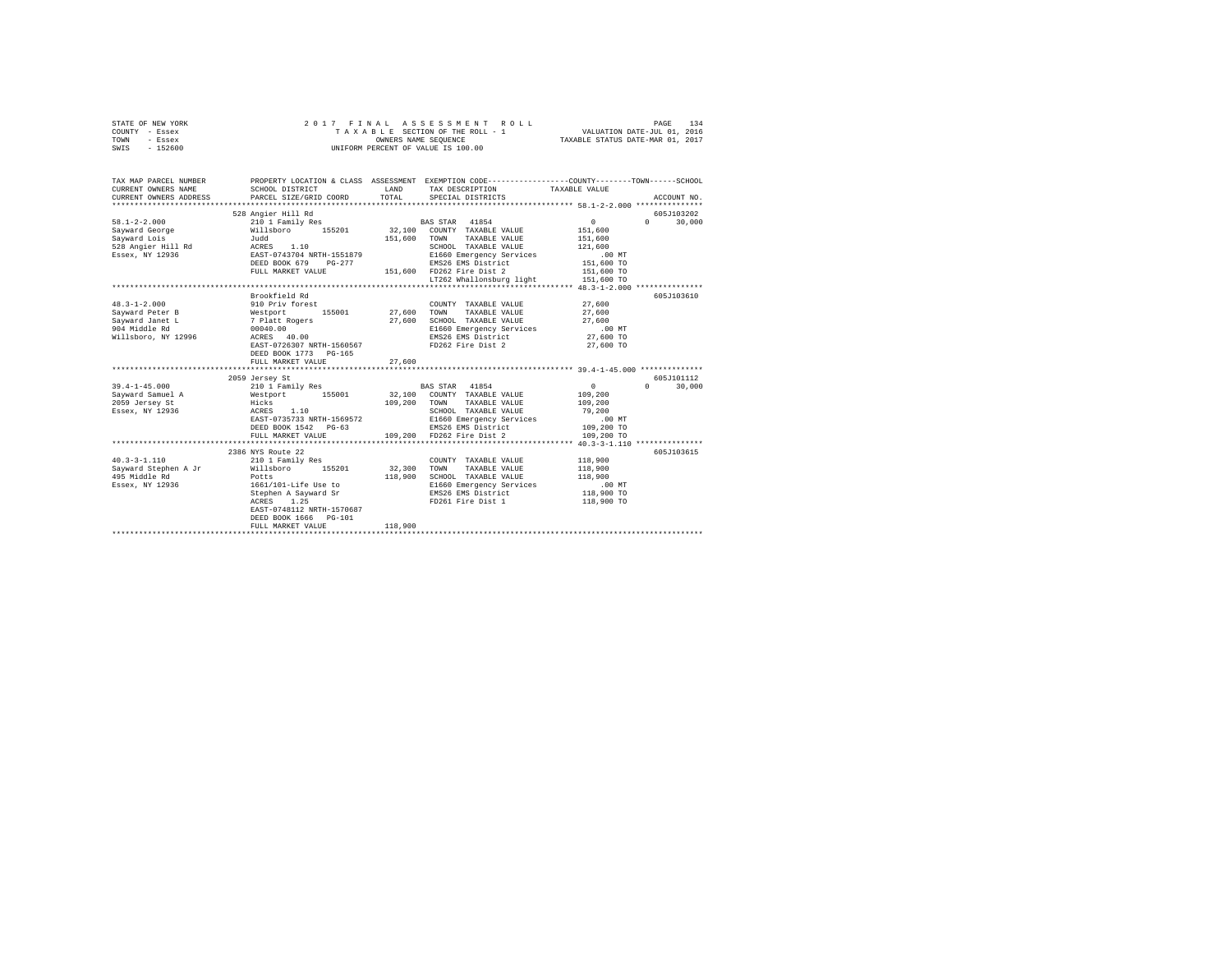| STATE OF NEW YORK<br>COUNTY - Essex<br>TOWN<br>- Essex<br>$-152600$<br>SWIS                      | 2017 FINAL                                                                                                                                                                                | OWNERS NAME SEQUENCE         | ASSESSMENT ROLL<br>TAXABLE SECTION OF THE ROLL - 1<br>UNIFORM PERCENT OF VALUE IS 100.00                                                                                   | VALUATION DATE-JUL 01, 2016<br>TAXABLE STATUS DATE-MAR 01, 2017                       | 134<br>PAGE                      |
|--------------------------------------------------------------------------------------------------|-------------------------------------------------------------------------------------------------------------------------------------------------------------------------------------------|------------------------------|----------------------------------------------------------------------------------------------------------------------------------------------------------------------------|---------------------------------------------------------------------------------------|----------------------------------|
| TAX MAP PARCEL NUMBER<br>CURRENT OWNERS NAME<br>CURRENT OWNERS ADDRESS                           | PROPERTY LOCATION & CLASS ASSESSMENT EXEMPTION CODE---------------COUNTY-------TOWN------SCHOOL<br>SCHOOL DISTRICT<br>PARCEL SIZE/GRID COORD                                              | LAND<br>TOTAL                | TAX DESCRIPTION<br>SPECIAL DISTRICTS                                                                                                                                       | TAXABLE VALUE                                                                         | ACCOUNT NO.                      |
| $58.1 - 2 - 2.000$<br>Sayward George<br>Savward Lois<br>528 Angier Hill Rd<br>Essex, NY 12936    | 528 Angier Hill Rd<br>210 1 Family Res<br>Willsboro 155201<br>Judd<br>ACRES 1.10<br>EAST-0743704 NRTH-1551879<br>DEED BOOK 679 PG-277<br>FULL MARKET VALUE                                | 151,600                      | BAS STAR 41854<br>32,100 COUNTY TAXABLE VALUE<br>TOWN TAXABLE VALUE<br>SCHOOL TAXABLE VALUE<br>E1660 Emergency Services<br>EMS26 EMS District<br>151,600 FD262 Fire Dist 2 | $\mathbf{0}$<br>151,600<br>151,600<br>121,600<br>$.00$ MT<br>151,600 TO<br>151,600 TO | 605J103202<br>$\Omega$<br>30,000 |
| $48.3 - 1 - 2.000$<br>Sayward Peter B<br>Sayward Janet L<br>904 Middle Rd<br>Willsboro, NY 12996 | Brookfield Rd<br>910 Priv forest<br>Westport 155001 27,600<br>7 Platt Rogers 27,600<br>00040.00<br>ACRES 40.00<br>EAST-0726307 NRTH-1560567<br>DEED BOOK 1773 PG-165<br>FULL MARKET VALUE | 27,600                       | LT262 Whallonsburg light<br>COUNTY TAXABLE VALUE<br>TOWN<br>TAXABLE VALUE<br>SCHOOL TAXABLE VALUE<br>E1660 Emergency Services<br>EMS26 EMS District<br>FD262 Fire Dist 2   | 151,600 TO<br>27,600<br>27,600<br>27,600<br>$.00$ MT<br>27,600 TO<br>27,600 TO        | 605J103610                       |
| $39.4 - 1 - 45.000$<br>Sayward Samuel A<br>2059 Jersey St<br>Essex, NY 12936                     | 2059 Jersey St<br>210 1 Family Res<br>Westport 155001<br>Hicks<br>ACRES 1.10<br>EAST-0735733 NRTH-1569572<br>DEED BOOK 1542 PG-63<br>FULL MARKET VALUE                                    | 109,200 TOWN                 | BAS STAR 41854<br>32,100 COUNTY TAXABLE VALUE<br>TAXABLE VALUE<br>SCHOOL TAXABLE VALUE<br>E1660 Emergency Services<br>EMS26 EMS District<br>109,200 FD262 Fire Dist 2      | $\sim$ 0<br>109,200<br>109,200<br>79,200<br>$.00$ MT<br>109,200 TO<br>109,200 TO      | 605J101112<br>$\cap$<br>30,000   |
| $40.3 - 3 - 1.110$<br>Sayward Stephen A Jr Willsboro 155201<br>495 Middle Rd<br>Essex, NY 12936  | 2386 NYS Route 22<br>210 1 Family Res<br>Potts<br>1661/101-Life Use to<br>Stephen A Sayward Sr<br>ACRES 1.25<br>EAST-0748112 NRTH-1570687<br>DEED BOOK 1666 PG-101<br>FULL MARKET VALUE   | 32,300<br>118,900<br>118,900 | COUNTY TAXABLE VALUE<br>TOWN<br>TAXABLE VALUE<br>SCHOOL TAXABLE VALUE<br>E1660 Emergency Services<br>EMS26 EMS District<br>FD261 Fire Dist 1                               | 118,900<br>118,900<br>118,900<br>.00 MT<br>118,900 TO<br>118,900 TO                   | 605J103615                       |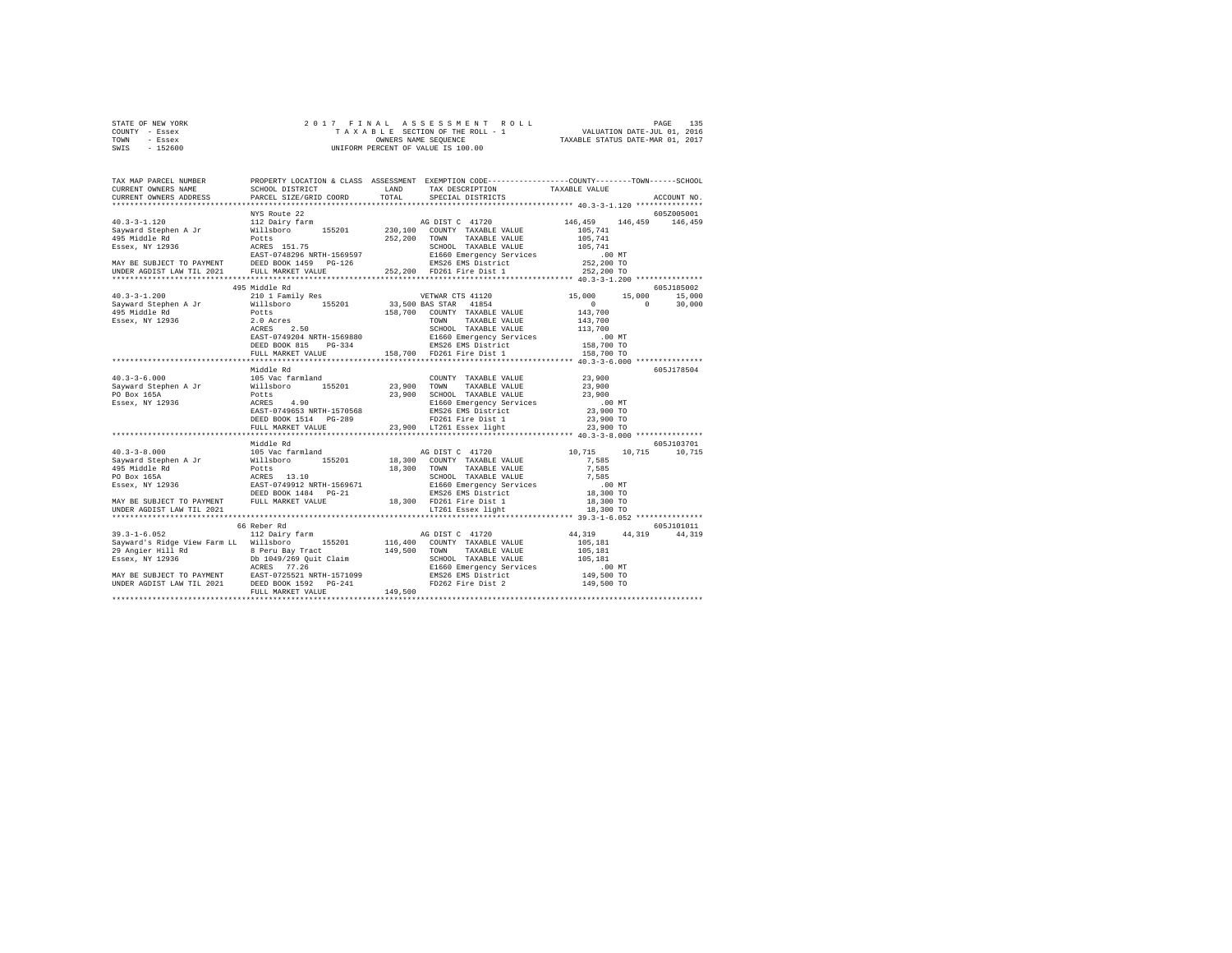| STATE OF NEW YORK | 2017 FINAL ASSESSMENT ROLL         | 135<br>PAGE                      |
|-------------------|------------------------------------|----------------------------------|
| COUNTY - Essex    | TAXABLE SECTION OF THE ROLL - 1    | VALUATION DATE-JUL 01, 2016      |
| TOWN<br>- Essex   | OWNERS NAME SEOUENCE               | TAXABLE STATUS DATE-MAR 01, 2017 |
| $-152600$<br>SWIS | UNIFORM PERCENT OF VALUE IS 100.00 |                                  |
|                   |                                    |                                  |

| TAX MAP PARCEL NUMBER                                                                                                                                                                                                                   |                         | PROPERTY LOCATION & CLASS ASSESSMENT EXEMPTION CODE---------------COUNTY-------TOWN-----SCHOOL |             |
|-----------------------------------------------------------------------------------------------------------------------------------------------------------------------------------------------------------------------------------------|-------------------------|------------------------------------------------------------------------------------------------|-------------|
|                                                                                                                                                                                                                                         |                         |                                                                                                | ACCOUNT NO. |
|                                                                                                                                                                                                                                         |                         |                                                                                                |             |
|                                                                                                                                                                                                                                         | NYS Route 22            |                                                                                                | 605Z005001  |
|                                                                                                                                                                                                                                         |                         |                                                                                                |             |
|                                                                                                                                                                                                                                         |                         |                                                                                                |             |
|                                                                                                                                                                                                                                         |                         |                                                                                                |             |
|                                                                                                                                                                                                                                         |                         |                                                                                                |             |
|                                                                                                                                                                                                                                         |                         |                                                                                                |             |
|                                                                                                                                                                                                                                         |                         |                                                                                                |             |
|                                                                                                                                                                                                                                         |                         |                                                                                                |             |
|                                                                                                                                                                                                                                         | 495 Middle Rd           |                                                                                                | 605J185002  |
| $40.3 - 3 - 1.200$                                                                                                                                                                                                                      |                         |                                                                                                |             |
|                                                                                                                                                                                                                                         |                         |                                                                                                |             |
|                                                                                                                                                                                                                                         |                         |                                                                                                |             |
|                                                                                                                                                                                                                                         |                         |                                                                                                |             |
|                                                                                                                                                                                                                                         |                         |                                                                                                |             |
|                                                                                                                                                                                                                                         |                         |                                                                                                |             |
|                                                                                                                                                                                                                                         |                         |                                                                                                |             |
|                                                                                                                                                                                                                                         |                         |                                                                                                |             |
|                                                                                                                                                                                                                                         |                         |                                                                                                |             |
|                                                                                                                                                                                                                                         | Middle Rd               |                                                                                                | 605J178504  |
| 40.3-3-6.000 - 105 Vac farmland - 23,900<br>Sayward Stephen A Jr 105 Vac farmland - 155201 23,900 TONNTY TAXABLE VALUE 23,900<br>PO Box 165A - POLLS POLES 25,900 - 23,900 SCHOOL TAXABLE VALUE 23,900<br>PO BOX 23,900 - 23,900 - 23,9 |                         |                                                                                                |             |
|                                                                                                                                                                                                                                         |                         |                                                                                                |             |
|                                                                                                                                                                                                                                         |                         |                                                                                                |             |
|                                                                                                                                                                                                                                         |                         |                                                                                                |             |
|                                                                                                                                                                                                                                         |                         |                                                                                                |             |
|                                                                                                                                                                                                                                         | DEED BOOK 1514 PG-289   |                                                                                                |             |
|                                                                                                                                                                                                                                         |                         |                                                                                                |             |
|                                                                                                                                                                                                                                         |                         |                                                                                                |             |
|                                                                                                                                                                                                                                         | Middle Rd               |                                                                                                | 605J103701  |
|                                                                                                                                                                                                                                         |                         |                                                                                                |             |
|                                                                                                                                                                                                                                         |                         |                                                                                                |             |
|                                                                                                                                                                                                                                         |                         |                                                                                                |             |
|                                                                                                                                                                                                                                         |                         |                                                                                                |             |
|                                                                                                                                                                                                                                         |                         |                                                                                                |             |
|                                                                                                                                                                                                                                         |                         |                                                                                                |             |
|                                                                                                                                                                                                                                         |                         |                                                                                                |             |
|                                                                                                                                                                                                                                         |                         |                                                                                                |             |
|                                                                                                                                                                                                                                         |                         |                                                                                                |             |
|                                                                                                                                                                                                                                         | 66 Reber Rd             |                                                                                                | 605J101011  |
|                                                                                                                                                                                                                                         |                         |                                                                                                |             |
|                                                                                                                                                                                                                                         |                         |                                                                                                |             |
|                                                                                                                                                                                                                                         |                         |                                                                                                |             |
|                                                                                                                                                                                                                                         |                         |                                                                                                |             |
|                                                                                                                                                                                                                                         |                         |                                                                                                |             |
|                                                                                                                                                                                                                                         |                         |                                                                                                |             |
|                                                                                                                                                                                                                                         |                         |                                                                                                |             |
|                                                                                                                                                                                                                                         |                         |                                                                                                |             |
|                                                                                                                                                                                                                                         | *********************** |                                                                                                |             |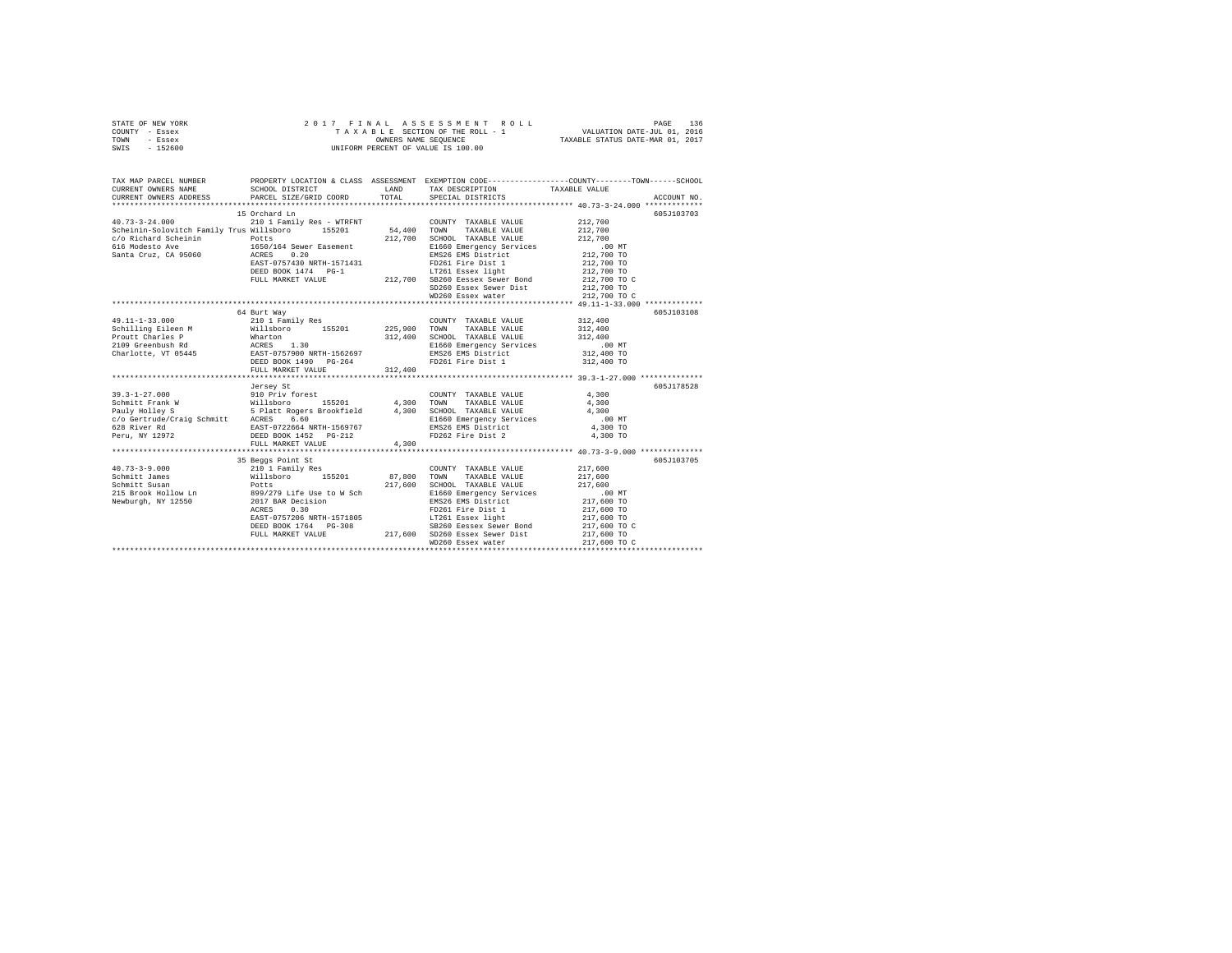| STATE OF NEW YORK | 2017 FINAL ASSESSMENT ROLL         | 136<br>PAGE                      |
|-------------------|------------------------------------|----------------------------------|
| COUNTY - Essex    | TAXABLE SECTION OF THE ROLL - 1    | VALUATION DATE-JUL 01, 2016      |
| TOWN<br>- Essex   | OWNERS NAME SEOUENCE               | TAXABLE STATUS DATE-MAR 01, 2017 |
| $-152600$<br>SWIS | UNIFORM PERCENT OF VALUE IS 100.00 |                                  |

| TAX MAP PARCEL NUMBER<br>CURRENT OWNERS NAME                                                                                                                                                                                                                             |                                                                                                                                                                                                                                            |         | LAND TAX DESCRIPTION TAXABLE VALUE                                                                                                                                                                                                                        |                                                                              |            |
|--------------------------------------------------------------------------------------------------------------------------------------------------------------------------------------------------------------------------------------------------------------------------|--------------------------------------------------------------------------------------------------------------------------------------------------------------------------------------------------------------------------------------------|---------|-----------------------------------------------------------------------------------------------------------------------------------------------------------------------------------------------------------------------------------------------------------|------------------------------------------------------------------------------|------------|
| $\frac{c}{c}$ Richard Scheinin $\frac{c}{c}$ Detts 212,700<br>Santa Cruz, CA 95060 1650/164 Sewer Easement 212,700                                                                                                                                                       | 15 Orchard Ln<br>NCRES 0.20<br>REAST-0757430 NRTH-1571431 PD261 Fire Dist 1<br>DEED BOOK 1474 PG-1<br>DEED BOOK 1474 PG-1<br>DEED BOOK 1474 PG-1<br>212,700 TOL SESSO Eesex Sewer Bond<br>SD260 Essex Sewer Dist<br>SD260 Essex Sewer Dist |         | COUNTY TAXABLE VALUE 212,700<br>SCHOOL TAXABLE VALUE<br>E1660 Emergency Services .00 MT<br>EMS26 EMS District 212,700 TO                                                                                                                                  | 212,700<br>212,700                                                           | 605J103703 |
|                                                                                                                                                                                                                                                                          |                                                                                                                                                                                                                                            |         | WD260 Essex water                                                                                                                                                                                                                                         | 212,700 TO C                                                                 |            |
| 49.11-1-33.000<br>Charlotte, VI (1998)<br>2013 - The Millisboro (1999)<br>2013 - The Millisboro (1999)<br>2019 - Schultz (1999)<br>2019 - Millisboro (1999)<br>2019 - Sant-Toris (1999)<br>2019 - Millisboro (1999)<br>2019 - Millisboro (1999)<br>2019 - Millisboro (19 | 64 Burt Way<br>210 1 Family Res<br>FULL MARKET VALUE                                                                                                                                                                                       | 312,400 | COUNTY TAXABLE VALUE 312,400                                                                                                                                                                                                                              | 312,400<br>.00 MT<br>312,400 TO<br>312,400 TO                                | 605J103108 |
|                                                                                                                                                                                                                                                                          | Jersey St                                                                                                                                                                                                                                  |         |                                                                                                                                                                                                                                                           |                                                                              | 605J178528 |
|                                                                                                                                                                                                                                                                          |                                                                                                                                                                                                                                            |         |                                                                                                                                                                                                                                                           |                                                                              |            |
|                                                                                                                                                                                                                                                                          | FULL MARKET VALUE                                                                                                                                                                                                                          | 4,300   |                                                                                                                                                                                                                                                           |                                                                              |            |
| 40.73-3-9.000<br>40.73-3-9.000<br>Schmitt James Willsboro 155201 87,800 TOWN TAXABLE VALUE<br>Schmitt James Willsboro 155201 87,800 CGHOOL TAXABLE VALUE<br>215 Brook Hollow Ln 899/279 Life Use to W Sch<br>Newburgh, NY 12550 2017                                     | 35 Beggs Point St<br>DEED BOOK 1764 PG-308<br>PULL MARKET VALUE 217,600 SB260 Eessex Sewer Bond<br>PULL MARKET VALUE 217,600 SD260 Eessex Sewer Dist                                                                                       |         | $217,600$<br>$217,600$<br>$5000$<br>$5000$<br>$5000$<br>$5000$<br>$5000$<br>$5000$<br>$5000$<br>$5000$<br>$5000$<br>$5000$<br>$5000$<br>$5000$<br>$5000$<br>$5000$<br>$5000$<br>$5000$<br>$5000$<br>$5000$<br>$5000$<br>$5000$<br>SB260 Eessex Sewer Bond | 217,600<br>217,600<br>217,600 TO<br>217,600 TO<br>217,600 TO C<br>217,600 TO | 605J103705 |
|                                                                                                                                                                                                                                                                          |                                                                                                                                                                                                                                            |         | WD260 Essex water                                                                                                                                                                                                                                         | 217,600 TO C                                                                 |            |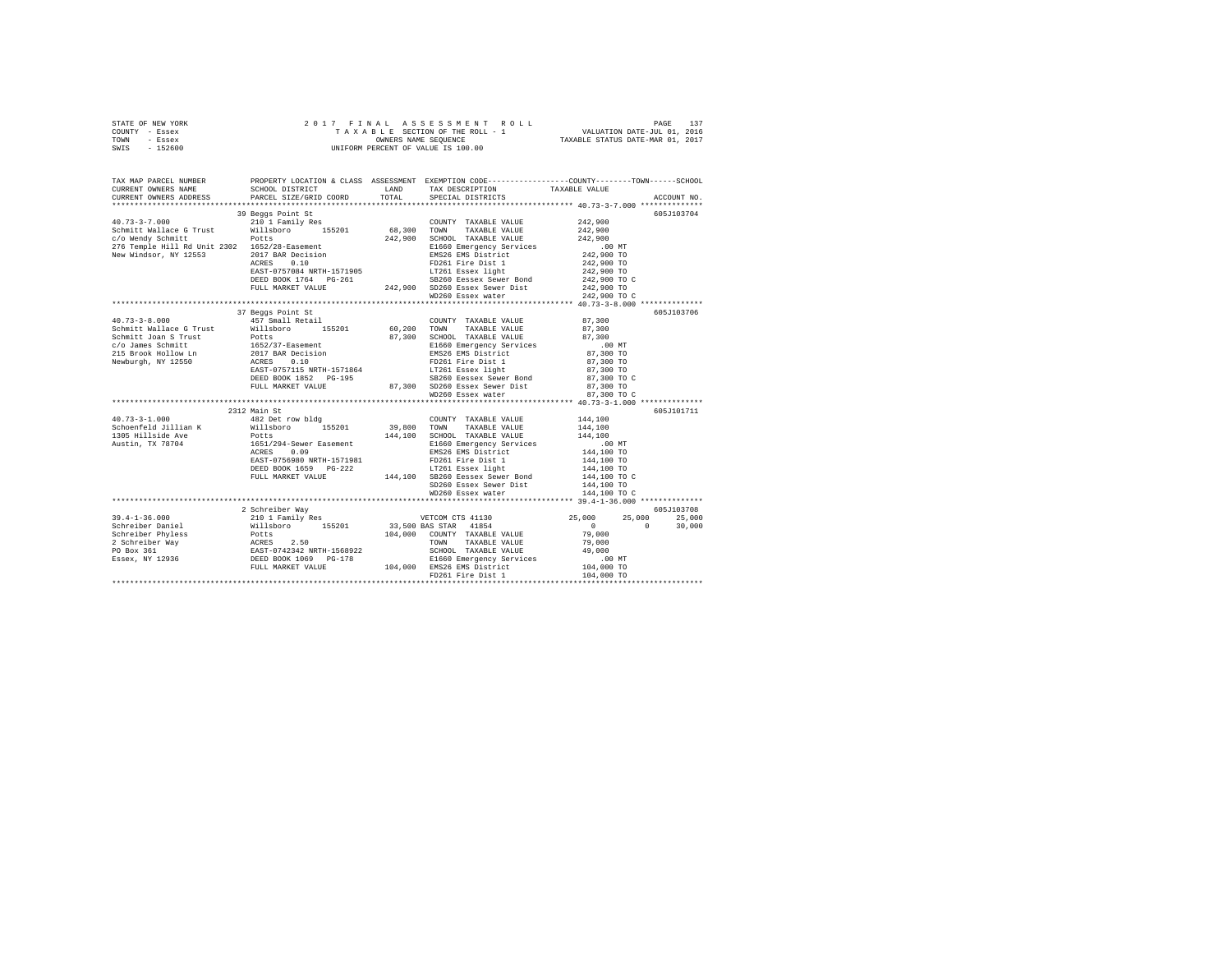| STATE OF NEW YORK | 2017 FINAL ASSESSMENT ROLL         | 137<br>PAGE                      |
|-------------------|------------------------------------|----------------------------------|
| COUNTY - Essex    | TAXABLE SECTION OF THE ROLL - 1    | VALUATION DATE-JUL 01, 2016      |
| TOWN<br>- Essex   | OWNERS NAME SEOUENCE               | TAXABLE STATUS DATE-MAR 01, 2017 |
| $-152600$<br>SWIS | UNIFORM PERCENT OF VALUE IS 100.00 |                                  |

| TAX MAP PARCEL NUMBER<br>CURRENT OWNERS NAME SCHOOL DISTRICT                                                                                                                                                                                                                                                                                                           |                   | LAND TAX DESCRIPTION TAXABLE VALUE | PROPERTY LOCATION & CLASS ASSESSMENT EXEMPTION CODE----------------COUNTY-------TOWN------SCHOOL |  |
|------------------------------------------------------------------------------------------------------------------------------------------------------------------------------------------------------------------------------------------------------------------------------------------------------------------------------------------------------------------------|-------------------|------------------------------------|--------------------------------------------------------------------------------------------------|--|
|                                                                                                                                                                                                                                                                                                                                                                        |                   |                                    |                                                                                                  |  |
|                                                                                                                                                                                                                                                                                                                                                                        | 39 Beggs Point St |                                    | 605J103704                                                                                       |  |
|                                                                                                                                                                                                                                                                                                                                                                        |                   |                                    |                                                                                                  |  |
|                                                                                                                                                                                                                                                                                                                                                                        |                   |                                    |                                                                                                  |  |
|                                                                                                                                                                                                                                                                                                                                                                        |                   |                                    |                                                                                                  |  |
|                                                                                                                                                                                                                                                                                                                                                                        |                   |                                    |                                                                                                  |  |
|                                                                                                                                                                                                                                                                                                                                                                        |                   |                                    |                                                                                                  |  |
|                                                                                                                                                                                                                                                                                                                                                                        |                   |                                    |                                                                                                  |  |
|                                                                                                                                                                                                                                                                                                                                                                        |                   |                                    |                                                                                                  |  |
|                                                                                                                                                                                                                                                                                                                                                                        |                   |                                    |                                                                                                  |  |
|                                                                                                                                                                                                                                                                                                                                                                        |                   |                                    |                                                                                                  |  |
|                                                                                                                                                                                                                                                                                                                                                                        |                   |                                    |                                                                                                  |  |
|                                                                                                                                                                                                                                                                                                                                                                        |                   |                                    |                                                                                                  |  |
| $\begin{tabular}{l c c c c c} \multicolumn{3}{c}{40.73-3-8.000} & \multicolumn{3}{c}{37.9899995}} & \multicolumn{3}{c}{457.9899995}} & \multicolumn{3}{c}{57.9899995}} & \multicolumn{3}{c}{57.989995} & \multicolumn{3}{c}{57.989995}} & \multicolumn{3}{c}{57.989995}} & \multicolumn{3}{c}{57.989995}} & \multicolumn{3}{c}{57.989995}} & \multicolumn{3}{c}{57.98$ | 37 Beggs Point St |                                    | 605J103706                                                                                       |  |
|                                                                                                                                                                                                                                                                                                                                                                        |                   |                                    |                                                                                                  |  |
|                                                                                                                                                                                                                                                                                                                                                                        |                   |                                    |                                                                                                  |  |
|                                                                                                                                                                                                                                                                                                                                                                        |                   |                                    |                                                                                                  |  |
|                                                                                                                                                                                                                                                                                                                                                                        |                   |                                    |                                                                                                  |  |
|                                                                                                                                                                                                                                                                                                                                                                        |                   |                                    |                                                                                                  |  |
|                                                                                                                                                                                                                                                                                                                                                                        |                   |                                    |                                                                                                  |  |
|                                                                                                                                                                                                                                                                                                                                                                        |                   |                                    |                                                                                                  |  |
|                                                                                                                                                                                                                                                                                                                                                                        |                   |                                    |                                                                                                  |  |
|                                                                                                                                                                                                                                                                                                                                                                        |                   |                                    |                                                                                                  |  |
|                                                                                                                                                                                                                                                                                                                                                                        |                   | WD260 Essex water                  | 87,300 TO C                                                                                      |  |
| 3312 Main St<br>44,100<br>420 Debt - 2012 Main St<br>5choenfeld Jillian K<br>44,100<br>5choenfeld Jillian K<br>44,100<br>5choenfeld Jillian K<br>44,100<br>44,100<br>44,100<br>44,100<br>44,100<br>44,100<br>44,100<br>44,100<br>44,100<br>44,100<br>44,100<br>44,10                                                                                                   |                   |                                    | 605J101711                                                                                       |  |
|                                                                                                                                                                                                                                                                                                                                                                        |                   |                                    |                                                                                                  |  |
|                                                                                                                                                                                                                                                                                                                                                                        |                   |                                    |                                                                                                  |  |
|                                                                                                                                                                                                                                                                                                                                                                        |                   |                                    |                                                                                                  |  |
|                                                                                                                                                                                                                                                                                                                                                                        |                   |                                    |                                                                                                  |  |
|                                                                                                                                                                                                                                                                                                                                                                        |                   |                                    |                                                                                                  |  |
|                                                                                                                                                                                                                                                                                                                                                                        |                   |                                    |                                                                                                  |  |
|                                                                                                                                                                                                                                                                                                                                                                        |                   |                                    |                                                                                                  |  |
|                                                                                                                                                                                                                                                                                                                                                                        |                   |                                    |                                                                                                  |  |
|                                                                                                                                                                                                                                                                                                                                                                        |                   |                                    |                                                                                                  |  |
|                                                                                                                                                                                                                                                                                                                                                                        |                   |                                    |                                                                                                  |  |
|                                                                                                                                                                                                                                                                                                                                                                        |                   |                                    |                                                                                                  |  |
|                                                                                                                                                                                                                                                                                                                                                                        | 2 Schreiber Way   |                                    | 605J103708                                                                                       |  |
|                                                                                                                                                                                                                                                                                                                                                                        |                   |                                    |                                                                                                  |  |
|                                                                                                                                                                                                                                                                                                                                                                        |                   |                                    |                                                                                                  |  |
|                                                                                                                                                                                                                                                                                                                                                                        |                   |                                    |                                                                                                  |  |
|                                                                                                                                                                                                                                                                                                                                                                        |                   |                                    |                                                                                                  |  |
|                                                                                                                                                                                                                                                                                                                                                                        |                   |                                    |                                                                                                  |  |
|                                                                                                                                                                                                                                                                                                                                                                        |                   |                                    |                                                                                                  |  |
|                                                                                                                                                                                                                                                                                                                                                                        |                   |                                    |                                                                                                  |  |
|                                                                                                                                                                                                                                                                                                                                                                        |                   |                                    |                                                                                                  |  |
|                                                                                                                                                                                                                                                                                                                                                                        |                   |                                    |                                                                                                  |  |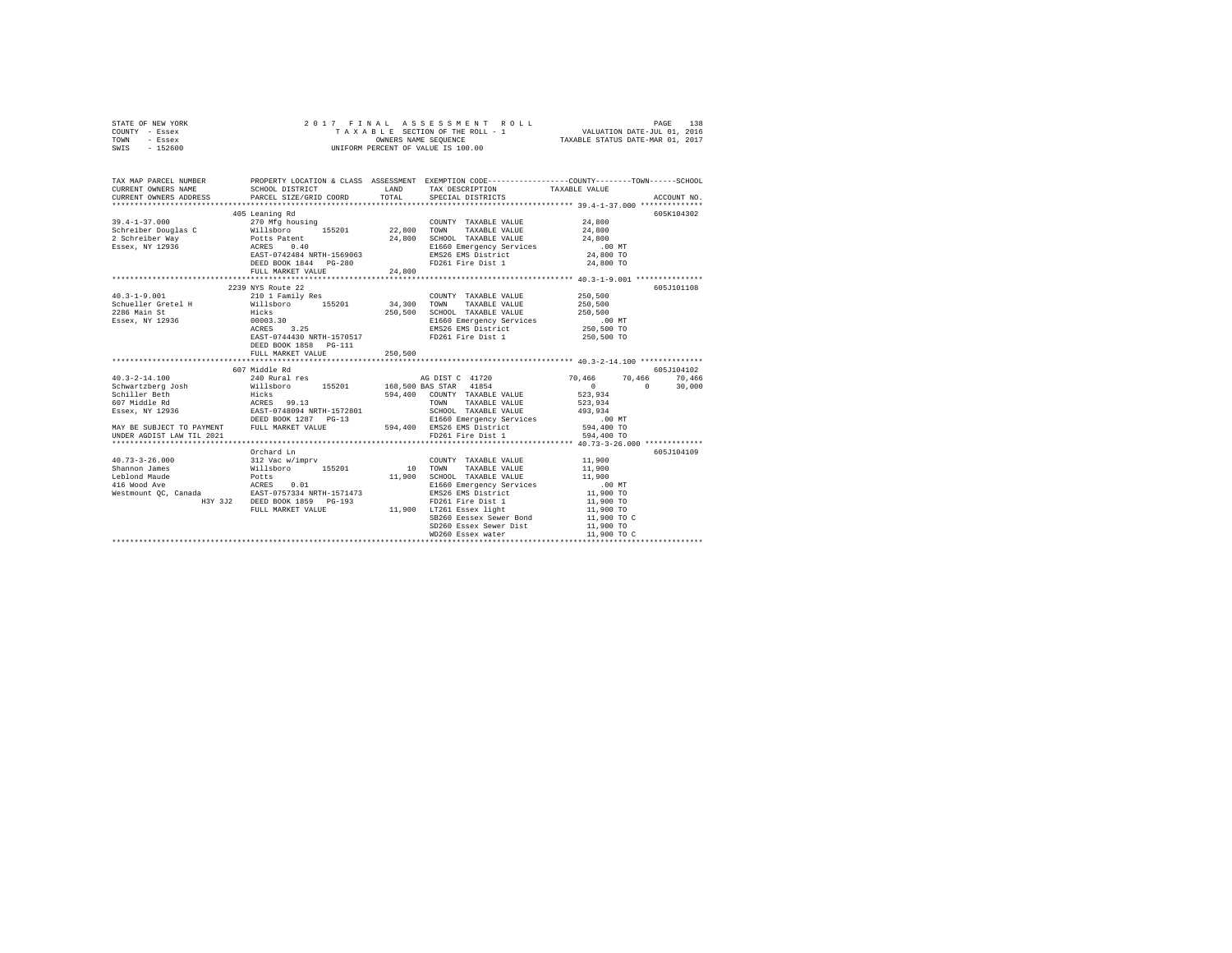| STATE OF NEW YORK | 2017 FINAL ASSESSMENT ROLL         | 138<br>PAGE                      |
|-------------------|------------------------------------|----------------------------------|
| COUNTY - Essex    | TAXABLE SECTION OF THE ROLL - 1    | VALUATION DATE-JUL 01, 2016      |
| TOWN<br>- Essex   | OWNERS NAME SEOUENCE               | TAXABLE STATUS DATE-MAR 01, 2017 |
| $-152600$<br>SWIS | UNIFORM PERCENT OF VALUE IS 100.00 |                                  |

| TAX MAP PARCEL NUMBER<br>$\begin{tabular}{lllllllll} \texttt{CURERENT} & & & & & & & \texttt{TAXABLE} & \texttt{TAXDEUR} & & & & & \texttt{TAXABLE} & \texttt{VALUE} & \\ \texttt{CURERENT} & & & & & & & \texttt{SCHOL DISTRIT} & & & & \texttt{SPECTIPTION} & & & & \texttt{RXABLE} & \texttt{VALUE} & & & & \texttt{ACCOUTNT} & \\ \texttt{CURRENT} & & & & & & & \texttt{PACEL} & \texttt{GFLT} & \texttt{SPECITL} & & & \texttt{PACEL} & \texttt{PACEL} & & & \$ |                                                                                             |         | PROPERTY LOCATION & CLASS ASSESSMENT EXEMPTION CODE---------------COUNTY-------TOWN------SCHOOL                                                                                                                                                                                                           |                                                                                            |            |
|-----------------------------------------------------------------------------------------------------------------------------------------------------------------------------------------------------------------------------------------------------------------------------------------------------------------------------------------------------------------------------------------------------------------------------------------------------------------------|---------------------------------------------------------------------------------------------|---------|-----------------------------------------------------------------------------------------------------------------------------------------------------------------------------------------------------------------------------------------------------------------------------------------------------------|--------------------------------------------------------------------------------------------|------------|
| $39.4 - 1 - 37.000$                                                                                                                                                                                                                                                                                                                                                                                                                                                   | 405 Leaning Rd<br>270 Mfg housing<br>ACRES 0.40<br>EAST-0742484 NRTH-1569063                |         | COUNTY TAXABLE VALUE 4.800<br>TOWN<br>TAXABLE VALUE 24,800<br>SCHOOL TAXABLE VALUE 24,800<br>E1660 Emergency Services 00 MT<br>EMS26 EMS District 24,800 TO<br>24,800 TO<br>24,800 TO<br>24,800 TO                                                                                                        |                                                                                            | 605K104302 |
|                                                                                                                                                                                                                                                                                                                                                                                                                                                                       | DEED BOOK 1844 PG-280<br>FULL MARKET VALUE                                                  | 24.800  | FD261 Fire Dist 1                                                                                                                                                                                                                                                                                         | 24,800 TO                                                                                  |            |
| $40.3 - 1 - 9.001$<br>Schueller Gretel H Millsboro 155201 34,300 TOWN TAXABLE VALUE<br>2286 Main St Hicks 250,500 SCHOOL TAXABLE VALUE<br>2286 main 5t<br>Essex, NY 12936 (0003.30)<br>ACRES 3.25                                                                                                                                                                                                                                                                     | 2239 NYS Route 22<br>210 1 Family Res<br>EAST-0744430 NRTH-1570517<br>DEED BOOK 1858 PG-111 |         | COUNTY TAXABLE VALUE 250,500<br>ELECTRIC MARINE WILL COMMISSION CONTRACTOR CONTRACTOR CONTRACT CONTRACT CONTRACT CONTRACT CONTRACT CONTRACT CONTRACT CONTRACT CONTRACT CONTRACT CONTRACT CONTRACT CONTRACT CONTRACT CONTRACT CONTRACT CONTRACT CONTRACT CONTRA<br>EMS26 EMS District<br>FD261 Fire Dist 1 | 250,500<br>250,500<br>250,500 TO                                                           | 605J101108 |
|                                                                                                                                                                                                                                                                                                                                                                                                                                                                       | FULL MARKET VALUE                                                                           | 250,500 |                                                                                                                                                                                                                                                                                                           |                                                                                            |            |
|                                                                                                                                                                                                                                                                                                                                                                                                                                                                       | 607 Middle Rd                                                                               |         |                                                                                                                                                                                                                                                                                                           |                                                                                            | 605J104102 |
| DEED BOOK 1287 PG-13 E1660 Emergency Services (100 NT)<br>MAY BE SUBJECT TO PAYMENT FULL MARKET VALUE 594,400 EMSIGE EMS District (594,400 TO 1594,400 TO<br>PD261 Fire Dist 1 594,400 TO 594,400 TO 594,400 TO FD261 Fire Dist 1                                                                                                                                                                                                                                     |                                                                                             |         |                                                                                                                                                                                                                                                                                                           | 70,466 70,466 70,466<br>0 0 30,000                                                         |            |
|                                                                                                                                                                                                                                                                                                                                                                                                                                                                       |                                                                                             |         |                                                                                                                                                                                                                                                                                                           |                                                                                            |            |
| $\begin{array}{cccc} 40.73\texttt{-}3\texttt{-}2 & 0.000 & 312 \text{ Vac w/imprv} & 200 \text{N} \text{T} \\ \texttt{Shannon James} & \texttt{Wils} \texttt{Dor} & 155201 & 10 \text{ T} \texttt{WN} \\ \texttt{Lebiond Maude} & \texttt{Wils} \texttt{Dotcs} & 155201 & 11,900 \text{ SCHOC} \end{array}$                                                                                                                                                           | Orchard Ln<br>FULL MARKET VALUE                                                             |         | COUNTY TAXABLE VALUE 11,900<br>TAXABLE VALUE<br>SCHOOL TAXABLE VALUE 11,900<br>E1660 Emergency Services .00 MT<br>EMS26 EMS District<br>FD261 Fire Dist 1<br>11,900 LT261 Essex light<br>SB260 Eessex Sewer Bond<br>SD260 Essex Sewer Dist<br>WD260 Essex water                                           | 11,900<br>11,900 TO<br>11,900 TO<br>11,900 TO<br>$11,900$ TO C<br>11,900 TO<br>11,900 TO C | 605J104109 |
|                                                                                                                                                                                                                                                                                                                                                                                                                                                                       |                                                                                             |         |                                                                                                                                                                                                                                                                                                           |                                                                                            |            |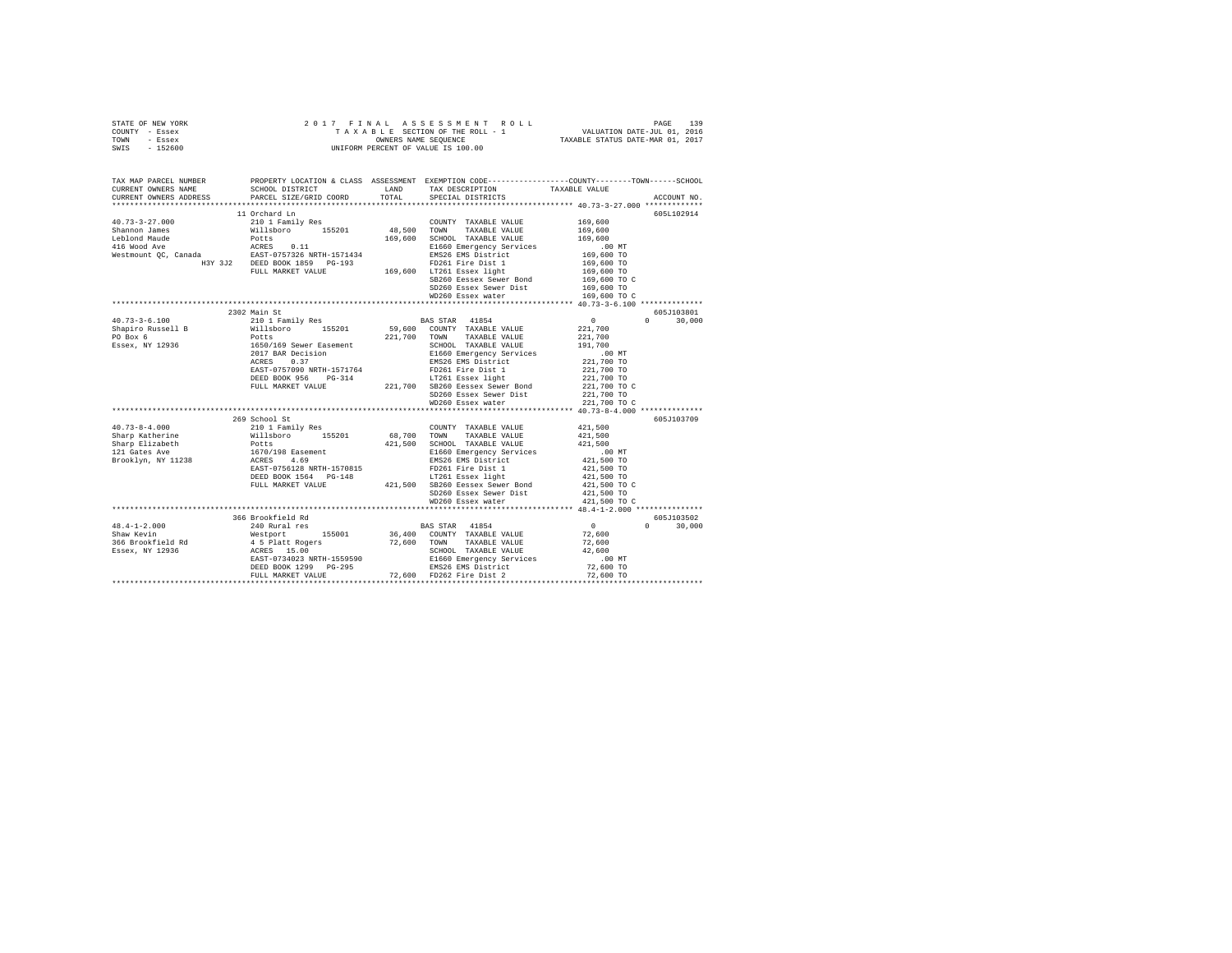|      | STATE OF NEW YORK |  |  | 2017 FINAL ASSESSMENT ROLL         | PAGE                             | 139 |
|------|-------------------|--|--|------------------------------------|----------------------------------|-----|
|      | COUNTY - Essex    |  |  | TAXABLE SECTION OF THE ROLL - 1    | VALUATION DATE-JUL 01, 2016      |     |
| TOWN | - Essex           |  |  | OWNERS NAME SEOUENCE               | TAXABLE STATUS DATE-MAR 01, 2017 |     |
| SWIS | - 152600          |  |  | UNIFORM PERCENT OF VALUE IS 100.00 |                                  |     |

| TAX MAP PARCEL NUMBER<br>CURRENT OWNERS NAME SCHOOL DISTRICT                                                                                                                                                                                                                                                                                                                |                   | PROPERTY LOCATION & CLASS ASSESSMENT EXEMPTION CODE----------------COUNTY-------TOWN-----SCHOOL<br>LAND TAX DESCRIPTION TAXABLE VALUE |              |                                 |
|-----------------------------------------------------------------------------------------------------------------------------------------------------------------------------------------------------------------------------------------------------------------------------------------------------------------------------------------------------------------------------|-------------------|---------------------------------------------------------------------------------------------------------------------------------------|--------------|---------------------------------|
| CURRENT OWNERS ADDRESS PARCEL SIZE/GRID COORD                                                                                                                                                                                                                                                                                                                               |                   | TOTAL SPECIAL DISTRICTS                                                                                                               |              | ACCOUNT NO.                     |
|                                                                                                                                                                                                                                                                                                                                                                             | 11 Orchard Ln     |                                                                                                                                       |              | 605L102914                      |
| $\begin{tabular}{l c c c c c} \multicolumn{1}{c}{40.73-3-27.000} & 11\,\mathrm{Corrant} & 169,600\\ \multicolumn{1}{c}{210\ 1\,Family Res} & 162011 & 19\,\mathrm{cm} & 189.600\\ \multicolumn{1}{c}{\text{Shannon James}} & 169.600 & 155201 & 48.500 & 70\,\mathrm{WN} & 7\,\mathrm{XXABLE} & \mathrm{VALUE} & 169.600\\ \multicolumn{1}{c}{\text{Leibland Mude}} & 169.$ |                   |                                                                                                                                       |              |                                 |
|                                                                                                                                                                                                                                                                                                                                                                             |                   |                                                                                                                                       |              |                                 |
|                                                                                                                                                                                                                                                                                                                                                                             |                   |                                                                                                                                       |              |                                 |
|                                                                                                                                                                                                                                                                                                                                                                             |                   |                                                                                                                                       |              |                                 |
|                                                                                                                                                                                                                                                                                                                                                                             |                   |                                                                                                                                       |              |                                 |
|                                                                                                                                                                                                                                                                                                                                                                             |                   |                                                                                                                                       |              |                                 |
|                                                                                                                                                                                                                                                                                                                                                                             |                   |                                                                                                                                       |              |                                 |
|                                                                                                                                                                                                                                                                                                                                                                             |                   | SB260 Eessex Sewer Bond                                                                                                               | 169,600 TO C |                                 |
|                                                                                                                                                                                                                                                                                                                                                                             |                   | SD260 Essex Sewer Dist 169,600 TO                                                                                                     |              |                                 |
|                                                                                                                                                                                                                                                                                                                                                                             |                   | WD260 Essex water                                                                                                                     | 169,600 TO C |                                 |
|                                                                                                                                                                                                                                                                                                                                                                             |                   |                                                                                                                                       |              |                                 |
|                                                                                                                                                                                                                                                                                                                                                                             | 2302 Main St      |                                                                                                                                       |              | 605J103801                      |
|                                                                                                                                                                                                                                                                                                                                                                             |                   |                                                                                                                                       |              | $\Omega$ and $\Omega$<br>30,000 |
|                                                                                                                                                                                                                                                                                                                                                                             |                   |                                                                                                                                       |              |                                 |
|                                                                                                                                                                                                                                                                                                                                                                             |                   |                                                                                                                                       |              |                                 |
|                                                                                                                                                                                                                                                                                                                                                                             |                   |                                                                                                                                       |              |                                 |
|                                                                                                                                                                                                                                                                                                                                                                             |                   |                                                                                                                                       |              |                                 |
|                                                                                                                                                                                                                                                                                                                                                                             |                   |                                                                                                                                       |              |                                 |
|                                                                                                                                                                                                                                                                                                                                                                             |                   |                                                                                                                                       |              |                                 |
|                                                                                                                                                                                                                                                                                                                                                                             |                   |                                                                                                                                       |              |                                 |
|                                                                                                                                                                                                                                                                                                                                                                             |                   |                                                                                                                                       |              |                                 |
|                                                                                                                                                                                                                                                                                                                                                                             |                   | SD260 Essex Sewer Dist                                                                                                                | 221,700 TO   |                                 |
|                                                                                                                                                                                                                                                                                                                                                                             |                   | WD260 Essex water                                                                                                                     | 221,700 TO C |                                 |
|                                                                                                                                                                                                                                                                                                                                                                             |                   |                                                                                                                                       |              |                                 |
|                                                                                                                                                                                                                                                                                                                                                                             | 269 School St     |                                                                                                                                       |              | 605J103709                      |
|                                                                                                                                                                                                                                                                                                                                                                             |                   |                                                                                                                                       |              |                                 |
|                                                                                                                                                                                                                                                                                                                                                                             |                   |                                                                                                                                       |              |                                 |
|                                                                                                                                                                                                                                                                                                                                                                             |                   |                                                                                                                                       |              |                                 |
|                                                                                                                                                                                                                                                                                                                                                                             |                   |                                                                                                                                       |              |                                 |
|                                                                                                                                                                                                                                                                                                                                                                             |                   |                                                                                                                                       |              |                                 |
|                                                                                                                                                                                                                                                                                                                                                                             |                   |                                                                                                                                       |              |                                 |
|                                                                                                                                                                                                                                                                                                                                                                             |                   |                                                                                                                                       | 421,500 TO C |                                 |
|                                                                                                                                                                                                                                                                                                                                                                             |                   |                                                                                                                                       |              |                                 |
|                                                                                                                                                                                                                                                                                                                                                                             |                   | WD260 Essex water                                                                                                                     | 421,500 TO C |                                 |
|                                                                                                                                                                                                                                                                                                                                                                             |                   |                                                                                                                                       |              |                                 |
|                                                                                                                                                                                                                                                                                                                                                                             | 366 Brookfield Rd |                                                                                                                                       |              | 605J103502                      |
|                                                                                                                                                                                                                                                                                                                                                                             |                   |                                                                                                                                       |              | $0 \t 30.000$                   |
|                                                                                                                                                                                                                                                                                                                                                                             |                   |                                                                                                                                       |              |                                 |
|                                                                                                                                                                                                                                                                                                                                                                             |                   |                                                                                                                                       |              |                                 |
|                                                                                                                                                                                                                                                                                                                                                                             |                   |                                                                                                                                       |              |                                 |
|                                                                                                                                                                                                                                                                                                                                                                             |                   |                                                                                                                                       |              |                                 |
|                                                                                                                                                                                                                                                                                                                                                                             |                   |                                                                                                                                       |              |                                 |
|                                                                                                                                                                                                                                                                                                                                                                             |                   |                                                                                                                                       |              |                                 |
| $\begin{tabular}{lcccc} 48.4-1-2.000 & 366\text{ Brocortied Red} & 48.4-1-2.000 & 30.00 \\ 240\text{ Rural red} & 155001 & 36.400\text{ COUT TAXABLE VALUE} & 0 & 0 & 30.00 \\ 240\text{ Rural red} & 155001 & 36.400\text{ COUT TAXABLE VALUE} & 72.600\text{ CNOT} \\ 366\text{ Erockfield Red} & 45\text{ Platt Rogers} & 15.00\text{ CNOT} & 74.800\text{ EGPOX.} & 12$ |                   |                                                                                                                                       |              |                                 |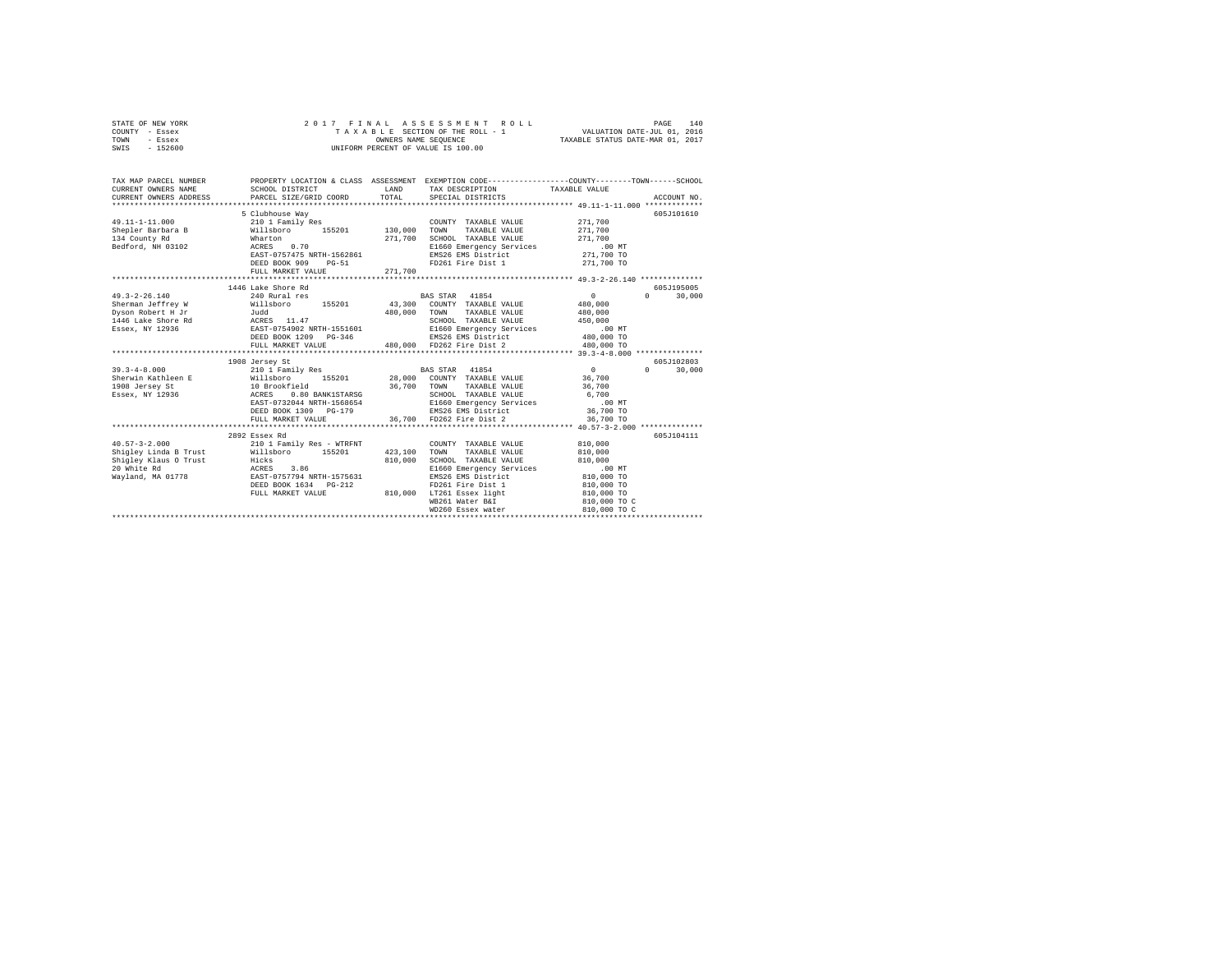| STATE OF NEW YORK |           |  |  |  | 2017 FINAL ASSESSMENT ROLL         |                                  | PAGE | 140 |
|-------------------|-----------|--|--|--|------------------------------------|----------------------------------|------|-----|
| COUNTY - Essex    |           |  |  |  | TAXABLE SECTION OF THE ROLL - 1    | VALUATION DATE-JUL 01, 2016      |      |     |
| TOWN              | - Essex   |  |  |  | OWNERS NAME SEOUENCE               | TAXABLE STATUS DATE-MAR 01, 2017 |      |     |
| SWIS              | $-152600$ |  |  |  | UNIFORM PERCENT OF VALUE IS 100.00 |                                  |      |     |

| TAX MAP PARCEL NUMBER                                                                                                                                                                                                                                                                                                                               |                                                                                                                                                                   | LAND               | PROPERTY LOCATION & CLASS ASSESSMENT EXEMPTION CODE----------------COUNTY-------TOWN-----SCHOOL<br>TAX DESCRIPTION TAXABLE VALUE<br>TOTAL SPECIAL DISTRICTS                                                                                                                                      |                                                                                                       | ACCOUNT NO.          |
|-----------------------------------------------------------------------------------------------------------------------------------------------------------------------------------------------------------------------------------------------------------------------------------------------------------------------------------------------------|-------------------------------------------------------------------------------------------------------------------------------------------------------------------|--------------------|--------------------------------------------------------------------------------------------------------------------------------------------------------------------------------------------------------------------------------------------------------------------------------------------------|-------------------------------------------------------------------------------------------------------|----------------------|
| $49.11 - 1 - 11.000$                                                                                                                                                                                                                                                                                                                                | 5 Clubhouse Way<br>210 1 Family Res<br>EAST-0757475 NRTH-1562861<br>DEED BOOK 909<br>$PG-51$<br>FULL MARKET VALUE                                                 | 271,700            | COUNTY TAXABLE VALUE<br>$\begin{tabular}{lcccc} 130,000 & TOMN & TAXABLE VALUE & & 271,700 \\ 271,700 & SCHODL & TXABLE VALUE & & 271,700 \\ & SCHODL & & 271,700 \\ & E1660 Emergency Services & & 0.0 MT \\ & EMS26 EMS District & & 271,700 TO \end{tabular}$<br>FD261 Fire Dist 1 271,700 TO | 271,700                                                                                               | 605J101610           |
| $49.3 - 2 - 26.140$                                                                                                                                                                                                                                                                                                                                 | 1446 Lake Shore Rd<br>240 Rural res                                                                                                                               |                    | BAS STAR 41854<br>$\begin{tabular}{lllllllll} \textsc{TOWN} & \textsc{TAXABLE} & \textsc{VALUE} & \textsc{480,000} \\ \textsc{SCHOOL} & \textsc{TAXABLE} & \textsc{VALUE} & \textsc{450,000} \end{tabular}$<br>E1660 Emergency Services .00 MT                                                   | $\sim$<br>$\Omega$<br>480,000                                                                         | 605J195005<br>30,000 |
| $39.3 - 4 - 8.000$<br>$15201 \hspace{1.5cm} 28,000 \hspace{1.5cm} 2000 \hspace{1.5cm} 2000 \hspace{1.5cm} 2000 \hspace{1.5cm} 2000 \hspace{1.5cm} 2000 \hspace{1.5cm} 2000 \hspace{1.5cm} 2000 \hspace{1.5cm} 2000 \hspace{1.5cm} 2000 \hspace{1.5cm} 2000 \hspace{1.5cm} 2000 \hspace{1.5cm} 2000 \hspace{1.5cm} 2000 \hspace{1.5cm} 2000 \hspace$ | 1908 Jersey St<br>210 1 Family Res BAS STAR 41854<br>EAST-0732044 NRTH-1568654<br>DEED BOOK 1309 PG-179                                                           |                    | 28,000 COUNTY TAXABLE VALUE<br>COUNTY TAXABLE VALUE 36,700<br>TOWN TAXABLE VALUE 36,700<br>SCHOOL TAXABLE VALUE 36,700<br>ST1660 ETICAL ALUE 35,700<br>E1660 Emergency Services .00 MT<br>EMS26 EMS District 36,700 TO                                                                           | $\Omega$<br>$\mathbf{0}$                                                                              | 605J102803<br>30,000 |
| $40.57 - 3 - 2.000$<br>Shigley Linda B Trust Willsboro 155201<br>Shigley Klaus 0 Trust<br>Shigley Klaus O Trust Hicks<br>20 White Rd Marks RCRES 3.86<br>Wayland, MA 01778 EAST-0757794 NRTH-1575631                                                                                                                                                | 2892 Essex Rd<br>210 1 Family Res - WTRFNT<br>EDED BOOK 1634 PG-212<br>FULL MARKET VALUE 810,000 LT261 Essex light<br>FULL MARKET VALUE 810,000 LT261 Essex light | 423,100<br>810,000 | COUNTY TAXABLE VALUE<br>TOWN TAXABLE VALUE<br>SCHOOL TAXABLE VALUE<br>E1660 Emergency Services<br>EMS26 EMS District 810,000 TO<br>FD261 Fire Dist 1<br>WB261 Water B&I<br>WD260 Essex water                                                                                                     | 810,000<br>810,000<br>810,000<br>$.00$ MT<br>810,000 TO<br>810,000 TO<br>810,000 TO C<br>810,000 TO C | 605J104111           |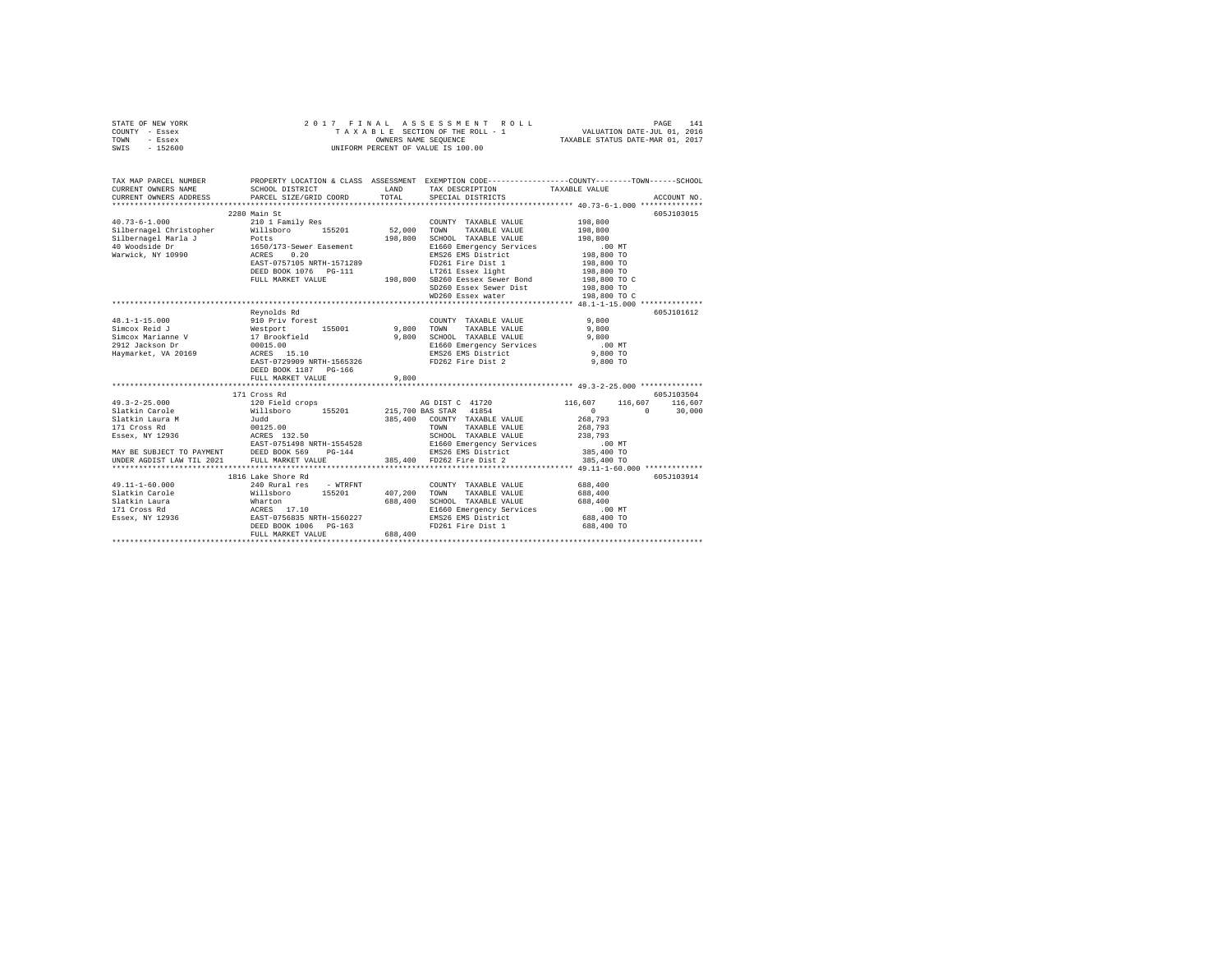| STATE OF NEW YORK | 2017 FINAL ASSESSMENT ROLL         | 141<br>PAGE                      |
|-------------------|------------------------------------|----------------------------------|
| COUNTY - Essex    | TAXABLE SECTION OF THE ROLL - 1    | VALUATION DATE-JUL 01, 2016      |
| TOWN<br>- Essex   | OWNERS NAME SEOUENCE               | TAXABLE STATUS DATE-MAR 01, 2017 |
| $-152600$<br>SWIS | UNIFORM PERCENT OF VALUE IS 100.00 |                                  |

| TAX MAP PARCEL NUMBER<br>CURRENT OWNERS NAME<br>CURRENT OWNERS ADDRESS PARCEL SIZE/GRID COORD                                                                                                                                       | PROPERTY LOCATION & CLASS ASSESSMENT EXEMPTION CODE----------------COUNTY-------TOWN------SCHOOL<br>SCHOOL DISTRICT                                                             | LAND<br>TOTAL | ${\small \begin{tabular}{ll} \bf{TAX} \textit{DESCRIPITION} \end{tabular}} \begin{tabular}{ll} \bf{TAXABLE} \textit{VALUE} \end{tabular}$                                                                  |                            | ACCOUNT NO.     |
|-------------------------------------------------------------------------------------------------------------------------------------------------------------------------------------------------------------------------------------|---------------------------------------------------------------------------------------------------------------------------------------------------------------------------------|---------------|------------------------------------------------------------------------------------------------------------------------------------------------------------------------------------------------------------|----------------------------|-----------------|
|                                                                                                                                                                                                                                     |                                                                                                                                                                                 |               |                                                                                                                                                                                                            |                            |                 |
|                                                                                                                                                                                                                                     | 2280 Main St                                                                                                                                                                    |               |                                                                                                                                                                                                            |                            | 605J103015      |
| $40.73 - 6 - 1.000$                                                                                                                                                                                                                 | 210 1 Family Res                                                                                                                                                                |               | COUNTY TAXABLE VALUE                                                                                                                                                                                       | 198,800                    |                 |
| contract the material of the contract of the contract of the contract of the contract of the contract of the c<br>difference as the contract of the contract of the contract of the contract of the contract of the contract of<br> |                                                                                                                                                                                 |               | TOWN<br>TAXABLE VALUE                                                                                                                                                                                      | 198,800                    |                 |
|                                                                                                                                                                                                                                     |                                                                                                                                                                                 |               | SCHOOL TAXABLE VALUE                                                                                                                                                                                       | 198,800                    |                 |
|                                                                                                                                                                                                                                     |                                                                                                                                                                                 |               | E1660 Emergency Services                                                                                                                                                                                   | .00 MT                     |                 |
|                                                                                                                                                                                                                                     |                                                                                                                                                                                 |               | EMS26 EMS District<br>FD261 Fire Dist 1                                                                                                                                                                    | 198,800 TO                 |                 |
|                                                                                                                                                                                                                                     |                                                                                                                                                                                 |               | LT261 Essex light 198,800 TO<br>A.A.w.<br>EAST-0757105 NRTH-1571289<br>DEED BOOK 1076 PG-111 198,800 SB260 Eessex Sewer Bond<br>FULL MARKET VALUE 198,800 SD260 Essex Sewer Dist<br>SD260 Essex Sewer Dist | 198,800 TO                 |                 |
|                                                                                                                                                                                                                                     |                                                                                                                                                                                 |               |                                                                                                                                                                                                            |                            |                 |
|                                                                                                                                                                                                                                     |                                                                                                                                                                                 |               |                                                                                                                                                                                                            | 198,800 TO C<br>198,800 TO |                 |
|                                                                                                                                                                                                                                     |                                                                                                                                                                                 |               |                                                                                                                                                                                                            |                            |                 |
|                                                                                                                                                                                                                                     |                                                                                                                                                                                 |               |                                                                                                                                                                                                            | 198,800 TO C               |                 |
|                                                                                                                                                                                                                                     |                                                                                                                                                                                 |               |                                                                                                                                                                                                            |                            |                 |
|                                                                                                                                                                                                                                     | Revnolds Rd                                                                                                                                                                     |               |                                                                                                                                                                                                            |                            | 605J101612      |
|                                                                                                                                                                                                                                     |                                                                                                                                                                                 | 9,800         | COUNTY TAXABLE VALUE                                                                                                                                                                                       | 9,800                      |                 |
|                                                                                                                                                                                                                                     | 155001                                                                                                                                                                          |               | TAXABLE VALUE<br>TOWN                                                                                                                                                                                      | 9,800                      |                 |
|                                                                                                                                                                                                                                     |                                                                                                                                                                                 | 9,800         | SCHOOL TAXABLE VALUE                                                                                                                                                                                       | 9,800                      |                 |
| 48.1-1-15.000<br>Simcox Reid J<br>Simcox Marianne V<br>2912 Jackson Dr. 17 Brookfield<br>2912 Jackson Dr. 10015.00<br>20015.00<br>20015.00<br>20015.00                                                                              |                                                                                                                                                                                 |               | E1660 Emergency Services .00 MT                                                                                                                                                                            |                            |                 |
| Haymarket, VA 20169                                                                                                                                                                                                                 | ACRES 15.10<br>EAST-0729909 NRTH-1565326<br>ACRES 15.10                                                                                                                         |               | EMS26 EMS District<br>FD262 Fire Dist 2                                                                                                                                                                    | 9,800 TO                   |                 |
|                                                                                                                                                                                                                                     |                                                                                                                                                                                 |               |                                                                                                                                                                                                            | 9,800 TO                   |                 |
|                                                                                                                                                                                                                                     | DEED BOOK 1187 PG-166                                                                                                                                                           |               |                                                                                                                                                                                                            |                            |                 |
|                                                                                                                                                                                                                                     | FULL MARKET VALUE                                                                                                                                                               | 9,800         |                                                                                                                                                                                                            |                            |                 |
|                                                                                                                                                                                                                                     |                                                                                                                                                                                 |               |                                                                                                                                                                                                            |                            |                 |
|                                                                                                                                                                                                                                     | 171 Cross Rd                                                                                                                                                                    |               |                                                                                                                                                                                                            |                            | 605J103504      |
|                                                                                                                                                                                                                                     |                                                                                                                                                                                 |               |                                                                                                                                                                                                            | 116,607                    | 116,607 116,607 |
|                                                                                                                                                                                                                                     |                                                                                                                                                                                 |               |                                                                                                                                                                                                            | $\sim$ 0<br>$\sim$ 0       | 30,000          |
|                                                                                                                                                                                                                                     |                                                                                                                                                                                 |               | 385,400 COUNTY TAXABLE VALUE                                                                                                                                                                               | 268,793                    |                 |
|                                                                                                                                                                                                                                     |                                                                                                                                                                                 |               | TAXABLE VALUE<br>TOWN                                                                                                                                                                                      | 268,793                    |                 |
|                                                                                                                                                                                                                                     |                                                                                                                                                                                 |               | SCHOOL TAXABLE VALUE                                                                                                                                                                                       | 238,793                    |                 |
|                                                                                                                                                                                                                                     |                                                                                                                                                                                 |               |                                                                                                                                                                                                            |                            |                 |
|                                                                                                                                                                                                                                     |                                                                                                                                                                                 |               |                                                                                                                                                                                                            |                            |                 |
|                                                                                                                                                                                                                                     |                                                                                                                                                                                 |               |                                                                                                                                                                                                            |                            |                 |
|                                                                                                                                                                                                                                     |                                                                                                                                                                                 |               |                                                                                                                                                                                                            |                            |                 |
|                                                                                                                                                                                                                                     | 1816 Lake Shore Rd                                                                                                                                                              |               |                                                                                                                                                                                                            |                            | 605J103914      |
| $49.11 - 1 - 60.000$                                                                                                                                                                                                                | 240 Rural res - WTRFNT                                                                                                                                                          |               | COUNTY TAXABLE VALUE 688.400                                                                                                                                                                               |                            |                 |
| Slatkin Carole                                                                                                                                                                                                                      |                                                                                                                                                                                 | 407,200       | TOWN<br>TAXABLE VALUE                                                                                                                                                                                      | 688,400                    |                 |
| Slatkin Laura                                                                                                                                                                                                                       |                                                                                                                                                                                 | 688,400       | SCHOOL TAXABLE VALUE                                                                                                                                                                                       | 688,400                    |                 |
| 171 Cross Rd                                                                                                                                                                                                                        |                                                                                                                                                                                 |               | E1660 Emergency Services                                                                                                                                                                                   | .00 MT                     |                 |
| Essex, NY 12936                                                                                                                                                                                                                     | e 2010<br>Will above 155201 407,<br>2010 688,<br>2010 688,<br>2010 688,<br>2010 688,<br>2010 688,<br>2010 688,<br>2010 688,<br>2010 688,<br>2010 688,<br>2010 688,<br>2010 688, |               | EMS26 EMS District                                                                                                                                                                                         | 688,400 TO                 |                 |
|                                                                                                                                                                                                                                     | DEED BOOK 1006 PG-163                                                                                                                                                           |               | FD261 Fire Dist 1                                                                                                                                                                                          | 688,400 TO                 |                 |
|                                                                                                                                                                                                                                     | FULL MARKET VALUE                                                                                                                                                               | 688,400       |                                                                                                                                                                                                            |                            |                 |
|                                                                                                                                                                                                                                     |                                                                                                                                                                                 |               |                                                                                                                                                                                                            |                            |                 |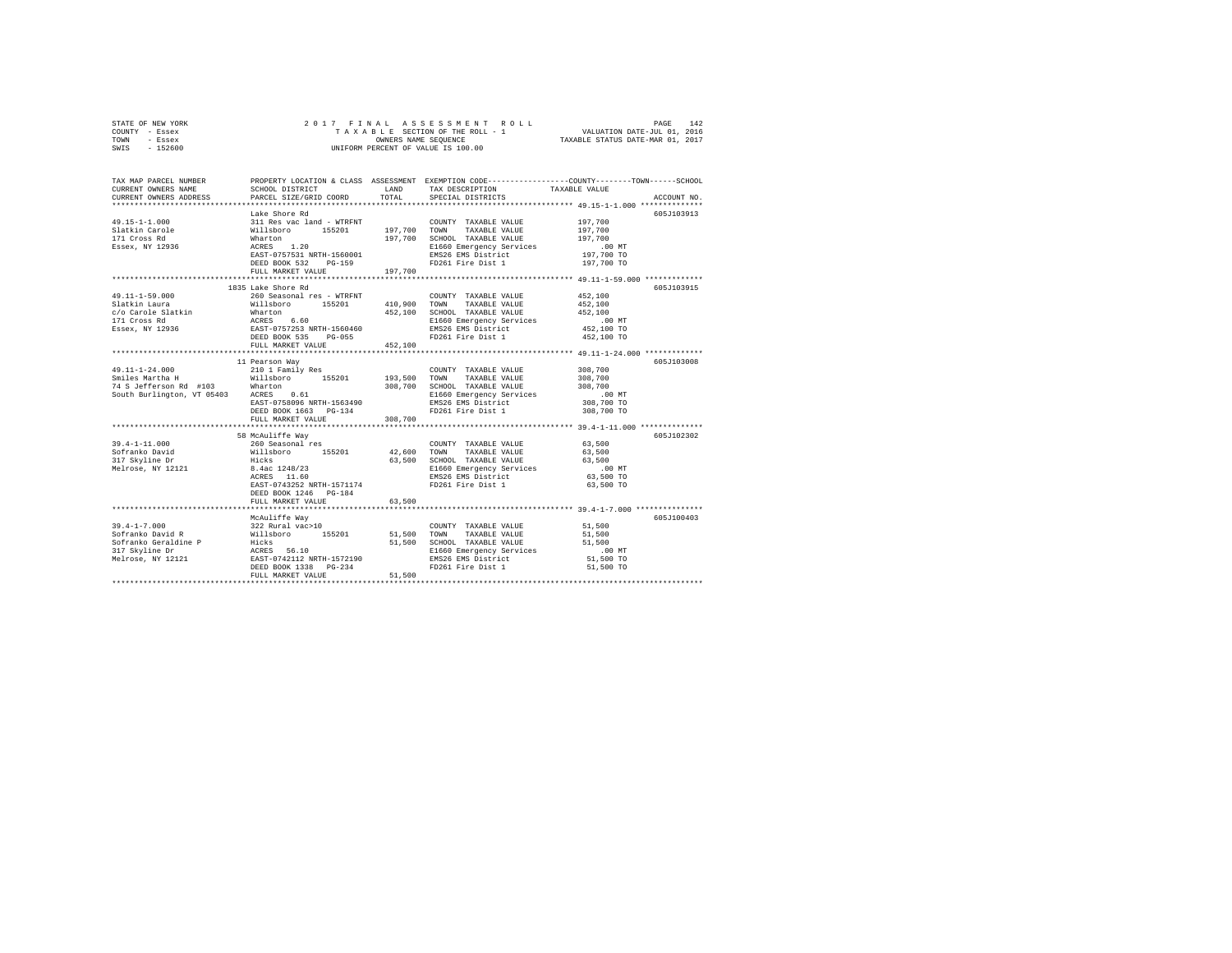| STATE OF NEW YORK | 2017 FINAL ASSESSMENT ROLL         | 142<br>PAGE                      |
|-------------------|------------------------------------|----------------------------------|
| COUNTY - Essex    | TAXABLE SECTION OF THE ROLL - 1    | VALUATION DATE-JUL 01, 2016      |
| TOWN<br>- Essex   | OWNERS NAME SEOUENCE               | TAXABLE STATUS DATE-MAR 01, 2017 |
| - 152600<br>SWIS  | UNIFORM PERCENT OF VALUE IS 100.00 |                                  |

| TAX MAP PARCEL NUMBER<br>CURRENT OWNERS NAME<br>CURRENT OWNERS ADDRESS                                                                                                                                                                                                                                                                                                                                                      | LAND<br>SCHOOL DISTRICT<br>PARCEL SIZE/GRID COORD                                             | TOTAL.  | TAX DESCRIPTION<br>SPECIAL DISTRICTS                     | PROPERTY LOCATION & CLASS ASSESSMENT EXEMPTION CODE---------------COUNTY-------TOWN-----SCHOOL<br>TAXABLE VALUE<br>ACCOUNT NO. |
|-----------------------------------------------------------------------------------------------------------------------------------------------------------------------------------------------------------------------------------------------------------------------------------------------------------------------------------------------------------------------------------------------------------------------------|-----------------------------------------------------------------------------------------------|---------|----------------------------------------------------------|--------------------------------------------------------------------------------------------------------------------------------|
|                                                                                                                                                                                                                                                                                                                                                                                                                             |                                                                                               |         |                                                          |                                                                                                                                |
|                                                                                                                                                                                                                                                                                                                                                                                                                             | Lake Shore Rd                                                                                 |         |                                                          | 605J103913                                                                                                                     |
| 49.15-1-1.000                                                                                                                                                                                                                                                                                                                                                                                                               | 311 Res vac land - WTRFNT                                                                     |         | COUNTY TAXABLE VALUE                                     | 197,700                                                                                                                        |
|                                                                                                                                                                                                                                                                                                                                                                                                                             |                                                                                               |         |                                                          | 197,700<br>197,700                                                                                                             |
|                                                                                                                                                                                                                                                                                                                                                                                                                             |                                                                                               |         |                                                          |                                                                                                                                |
|                                                                                                                                                                                                                                                                                                                                                                                                                             |                                                                                               |         |                                                          | 00 MT.<br>197,700 TO                                                                                                           |
| 49.15-1-1.000<br>197,700 TOWN TAXABLE VALUE<br>197,700 TOWN TAXABLE VALUE<br>197,700 SCHOOL TAXABLE VALUE<br>197,700 SCHOOL TAXABLE VALUE<br>20 197,700 SCHOOL TAXABLE VALUE<br>2019 20160 EMS26 EMS District<br>2019 20160 EMS26 EMS Distri                                                                                                                                                                                |                                                                                               |         |                                                          |                                                                                                                                |
|                                                                                                                                                                                                                                                                                                                                                                                                                             | DEED BOOK 532 PG-159                                                                          |         | FD261 Fire Dist 1                                        | 197,700 TO                                                                                                                     |
|                                                                                                                                                                                                                                                                                                                                                                                                                             | FULL MARKET VALUE                                                                             | 197.700 |                                                          |                                                                                                                                |
|                                                                                                                                                                                                                                                                                                                                                                                                                             |                                                                                               |         |                                                          |                                                                                                                                |
|                                                                                                                                                                                                                                                                                                                                                                                                                             | 1835 Lake Shore Rd                                                                            |         |                                                          | 605J103915                                                                                                                     |
| 49.11-1-59.000                                                                                                                                                                                                                                                                                                                                                                                                              |                                                                                               |         | COUNTY TAXABLE VALUE                                     | 452,100                                                                                                                        |
| Slatkin Laura                                                                                                                                                                                                                                                                                                                                                                                                               |                                                                                               |         | TAXABLE VALUE                                            | 452,100                                                                                                                        |
|                                                                                                                                                                                                                                                                                                                                                                                                                             |                                                                                               |         |                                                          | 452,100                                                                                                                        |
|                                                                                                                                                                                                                                                                                                                                                                                                                             |                                                                                               |         |                                                          | .00 MT                                                                                                                         |
|                                                                                                                                                                                                                                                                                                                                                                                                                             |                                                                                               |         |                                                          | 452,100 TO                                                                                                                     |
|                                                                                                                                                                                                                                                                                                                                                                                                                             |                                                                                               |         |                                                          | 452,100 TO                                                                                                                     |
| $\begin{tabular}{l c c c c c} \hline \texttt{SCAKMI}\texttt{ LMI} & \texttt{MAI} & \texttt{MAI} & \texttt{SCAKMI}\texttt{LMI} & \texttt{SCAKMI}\texttt{LMI} & \texttt{SCAKMI}\texttt{LMI} & \texttt{MAI} & \texttt{MAI} & \texttt{MAI} & \texttt{MAI} & \texttt{MAI} & \texttt{MAI} & \texttt{MAI} & \texttt{MAI} & \texttt{MAI} & \texttt{MAI} & \texttt{MAI} & \texttt{MAI} & \texttt{MAI} & \texttt{MAI} & \texttt{MAI}$ |                                                                                               |         |                                                          |                                                                                                                                |
|                                                                                                                                                                                                                                                                                                                                                                                                                             |                                                                                               |         |                                                          |                                                                                                                                |
|                                                                                                                                                                                                                                                                                                                                                                                                                             | 11 Pearson Way                                                                                |         |                                                          | 605J103008                                                                                                                     |
|                                                                                                                                                                                                                                                                                                                                                                                                                             |                                                                                               |         |                                                          | 308,700                                                                                                                        |
| 49.11-1-24.000            210 1 Family Res               COUNTY TAXABLE VALUE<br>Smiles Martha H        Willsboro    155201     193,500          TAXABLE VALUE<br>74 S Jefferson Rd #103     Wharton              308,700  SCHOOL TA                                                                                                                                                                                        |                                                                                               |         |                                                          | 308,700                                                                                                                        |
| 74 S Jefferson Rd #103 Wharton<br>South Burlington, VT 05403 ACRES 0.61                                                                                                                                                                                                                                                                                                                                                     |                                                                                               |         |                                                          | 308,700                                                                                                                        |
|                                                                                                                                                                                                                                                                                                                                                                                                                             | MILLICH<br>ACRES 0.61<br>EAST-0758096 NRTH-1563490                                            |         | E1660 Emergency Services<br>EMS26 EMS District           | $.00$ MT                                                                                                                       |
|                                                                                                                                                                                                                                                                                                                                                                                                                             |                                                                                               |         |                                                          | 308,700 TO                                                                                                                     |
|                                                                                                                                                                                                                                                                                                                                                                                                                             | DEED BOOK 1663 PG-134                                                                         |         | FD261 Fire Dist 1                                        | 308,700 TO                                                                                                                     |
|                                                                                                                                                                                                                                                                                                                                                                                                                             | FULL MARKET VALUE                                                                             | 308,700 |                                                          |                                                                                                                                |
|                                                                                                                                                                                                                                                                                                                                                                                                                             |                                                                                               |         |                                                          |                                                                                                                                |
|                                                                                                                                                                                                                                                                                                                                                                                                                             | 58 McAuliffe Way                                                                              |         |                                                          | 605J102302                                                                                                                     |
| $39.4 - 1 - 11.000$                                                                                                                                                                                                                                                                                                                                                                                                         | 260 Seasonal res                                                                              |         | COUNTY TAXABLE VALUE                                     | 63,500                                                                                                                         |
| Sofranko David                                                                                                                                                                                                                                                                                                                                                                                                              | %illsboro 155201 42,600 TOWN TAXABLE VALUE 63,500<br>Hicks 63,500 SCHOOL TAXABLE VALUE 63,500 |         |                                                          |                                                                                                                                |
|                                                                                                                                                                                                                                                                                                                                                                                                                             |                                                                                               |         |                                                          |                                                                                                                                |
|                                                                                                                                                                                                                                                                                                                                                                                                                             |                                                                                               |         |                                                          |                                                                                                                                |
|                                                                                                                                                                                                                                                                                                                                                                                                                             |                                                                                               |         |                                                          |                                                                                                                                |
|                                                                                                                                                                                                                                                                                                                                                                                                                             | EAST-0743252 NRTH-1571174                                                                     |         | FD261 Fire Dist 1                                        | 63,500 TO                                                                                                                      |
|                                                                                                                                                                                                                                                                                                                                                                                                                             | DEED BOOK 1246 PG-184                                                                         |         |                                                          |                                                                                                                                |
|                                                                                                                                                                                                                                                                                                                                                                                                                             | FULL MARKET VALUE                                                                             | 63,500  |                                                          |                                                                                                                                |
|                                                                                                                                                                                                                                                                                                                                                                                                                             |                                                                                               |         |                                                          |                                                                                                                                |
|                                                                                                                                                                                                                                                                                                                                                                                                                             | McAuliffe Way                                                                                 |         |                                                          | 605J100403                                                                                                                     |
|                                                                                                                                                                                                                                                                                                                                                                                                                             |                                                                                               |         | COUNTY TAXABLE VALUE                                     | 51,500                                                                                                                         |
|                                                                                                                                                                                                                                                                                                                                                                                                                             |                                                                                               |         | TAXABLE VALUE<br>51,500 SCHOOL TAXABLE VALUE             | 51,500<br>51,500                                                                                                               |
|                                                                                                                                                                                                                                                                                                                                                                                                                             |                                                                                               |         |                                                          |                                                                                                                                |
|                                                                                                                                                                                                                                                                                                                                                                                                                             |                                                                                               |         | E1660 Emergency Services<br>EMS26 EMS District 51,500 TO |                                                                                                                                |
|                                                                                                                                                                                                                                                                                                                                                                                                                             |                                                                                               |         | FD261 Fire Dist 1                                        | 51,500 TO                                                                                                                      |
|                                                                                                                                                                                                                                                                                                                                                                                                                             |                                                                                               |         |                                                          |                                                                                                                                |
|                                                                                                                                                                                                                                                                                                                                                                                                                             |                                                                                               |         |                                                          |                                                                                                                                |
|                                                                                                                                                                                                                                                                                                                                                                                                                             |                                                                                               |         |                                                          |                                                                                                                                |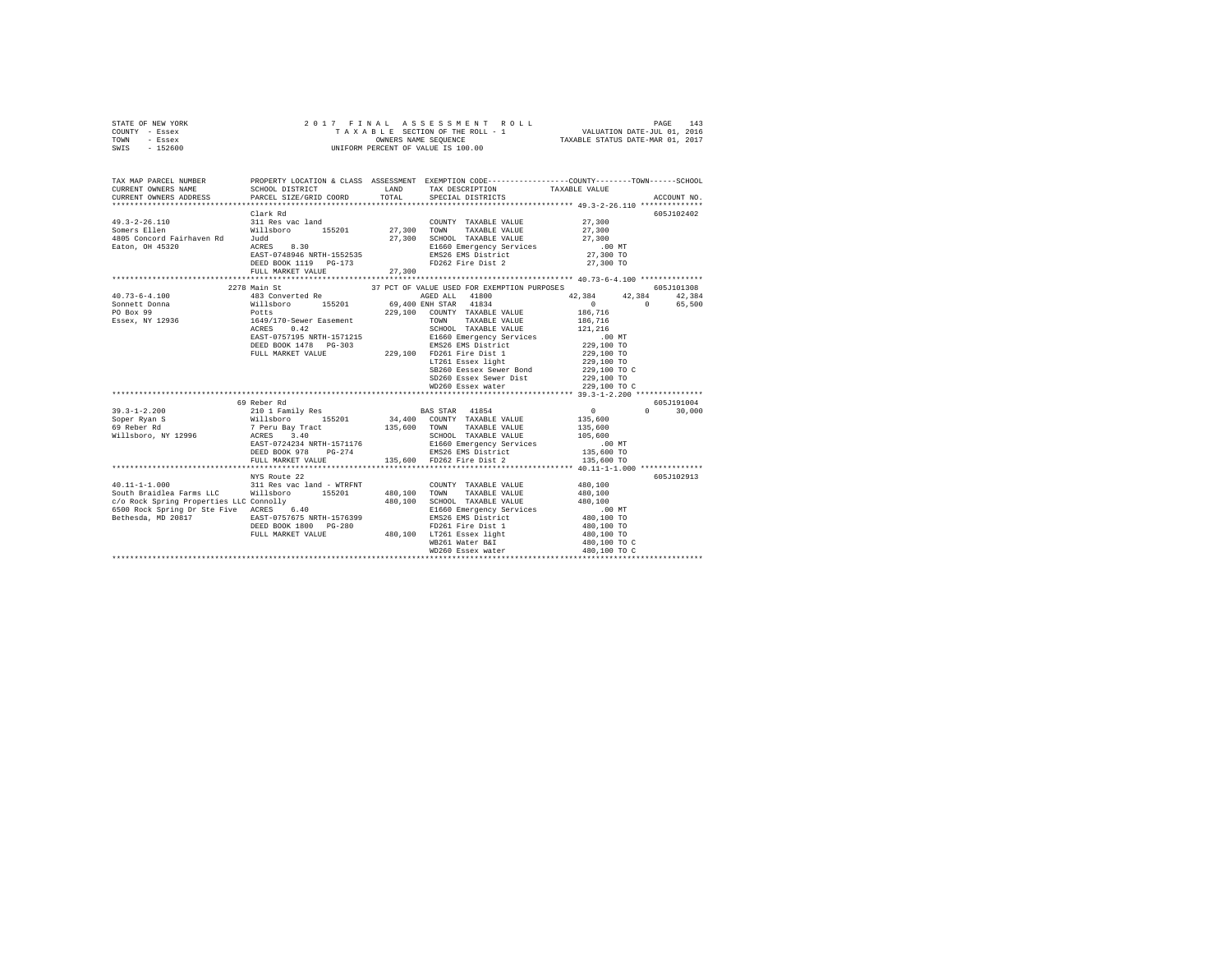| STATE OF NEW YORK | 2017 FINAL ASSESSMENT ROLL         | 143<br>PAGE                      |
|-------------------|------------------------------------|----------------------------------|
| COUNTY - Essex    | TAXABLE SECTION OF THE ROLL - 1    | VALUATION DATE-JUL 01, 2016      |
| TOWN<br>- Essex   | OWNERS NAME SEOUENCE               | TAXABLE STATUS DATE-MAR 01, 2017 |
| $-152600$<br>SWIS | UNIFORM PERCENT OF VALUE IS 100.00 |                                  |

| TAX MAP PARCEL NUMBER OR PROPERTY LOCATION & CLASS ASSESSMENT EXEMPTION CODE--------------COUNTY--------TOWN-------SCHOOL<br>CURRENT OWNERS NAME STANDER DISTRICT DORD TOTAL SPECIAL DISTRICTS TAXABLE VALUE NAMEL ACCOUNT NO.<br>CU                                                                                                                                                                                |              |                                                                                                                                             |                         |            |
|---------------------------------------------------------------------------------------------------------------------------------------------------------------------------------------------------------------------------------------------------------------------------------------------------------------------------------------------------------------------------------------------------------------------|--------------|---------------------------------------------------------------------------------------------------------------------------------------------|-------------------------|------------|
|                                                                                                                                                                                                                                                                                                                                                                                                                     | Clark Rd     | ${\tt DEED\ BOOK\ 1119\quad PG-173\qquad\qquad FD262\ {\tt Fire\ Dist\ 2\qquad\qquad\qquad 27,300\ TO}$                                     |                         | 605J102402 |
|                                                                                                                                                                                                                                                                                                                                                                                                                     |              |                                                                                                                                             |                         |            |
| $\begin{tabular}{l c c c c c} \multicolumn{1}{c}{\textbf{40.73--6-4.100}} & \multicolumn{1}{c}{2278} \multicolumn{1}{c}{\textbf{43.0} }\text{correted Re} & \multicolumn{1}{c}{\textbf{55.201}} & \multicolumn{1}{c}{\textbf{A081.5}} & \multicolumn{1}{c}{\textbf{A082.5}} & \multicolumn{1}{c}{\textbf{A183.5}} & \multicolumn{1}{c}{\textbf{A23.5}} & \multicolumn{1}{c}{\textbf{42.384}} & \multicolumn{1}{c$   | 2278 Main St | 37 PCT OF VALUE USED FOR EXEMPTION PURPOSES<br>AGED ALL 41800 42,384 42,384 42,384                                                          | $0$ 0 65,500<br>186,716 | 605J101308 |
|                                                                                                                                                                                                                                                                                                                                                                                                                     |              | ET261 Essex light<br>ET261 Essex light<br>SB260 Eessex Sewer Bond<br>229,100 TO C<br>SD260 Essex Sewer Dist 229,100 TO<br>WD260 Essex water | 229,100 TO C            |            |
|                                                                                                                                                                                                                                                                                                                                                                                                                     |              |                                                                                                                                             |                         |            |
|                                                                                                                                                                                                                                                                                                                                                                                                                     | 69 Reber Rd  |                                                                                                                                             |                         | 605J191004 |
|                                                                                                                                                                                                                                                                                                                                                                                                                     |              |                                                                                                                                             |                         |            |
|                                                                                                                                                                                                                                                                                                                                                                                                                     |              |                                                                                                                                             |                         |            |
|                                                                                                                                                                                                                                                                                                                                                                                                                     |              |                                                                                                                                             |                         |            |
| 40.11-1-1.000            311 Res vac land - WTRFNT        COUNTY TAXABLE VALUE<br>South Braidlea Farms LLC     Willsboro    155201     480,100   TOWN    TAXABLE VALUE<br>DEED BOOK 1800 PG-280 PO261 Fire Dist 1 480,100 TO<br>FULL MARKET VALUE 480,100 WB261 Easex light 480,100 TO<br>WB260 Mater Bar<br>ABO,100 TO C WD260 EULL MARKET VALUE WASOL MATER BAT 480,100 TO C<br>ABO,100 TO C 480,100 TO C 480,100 | NYS Route 22 | TAXABLE VALUE 480,100                                                                                                                       | 480,100                 | 605J102913 |
|                                                                                                                                                                                                                                                                                                                                                                                                                     |              |                                                                                                                                             |                         |            |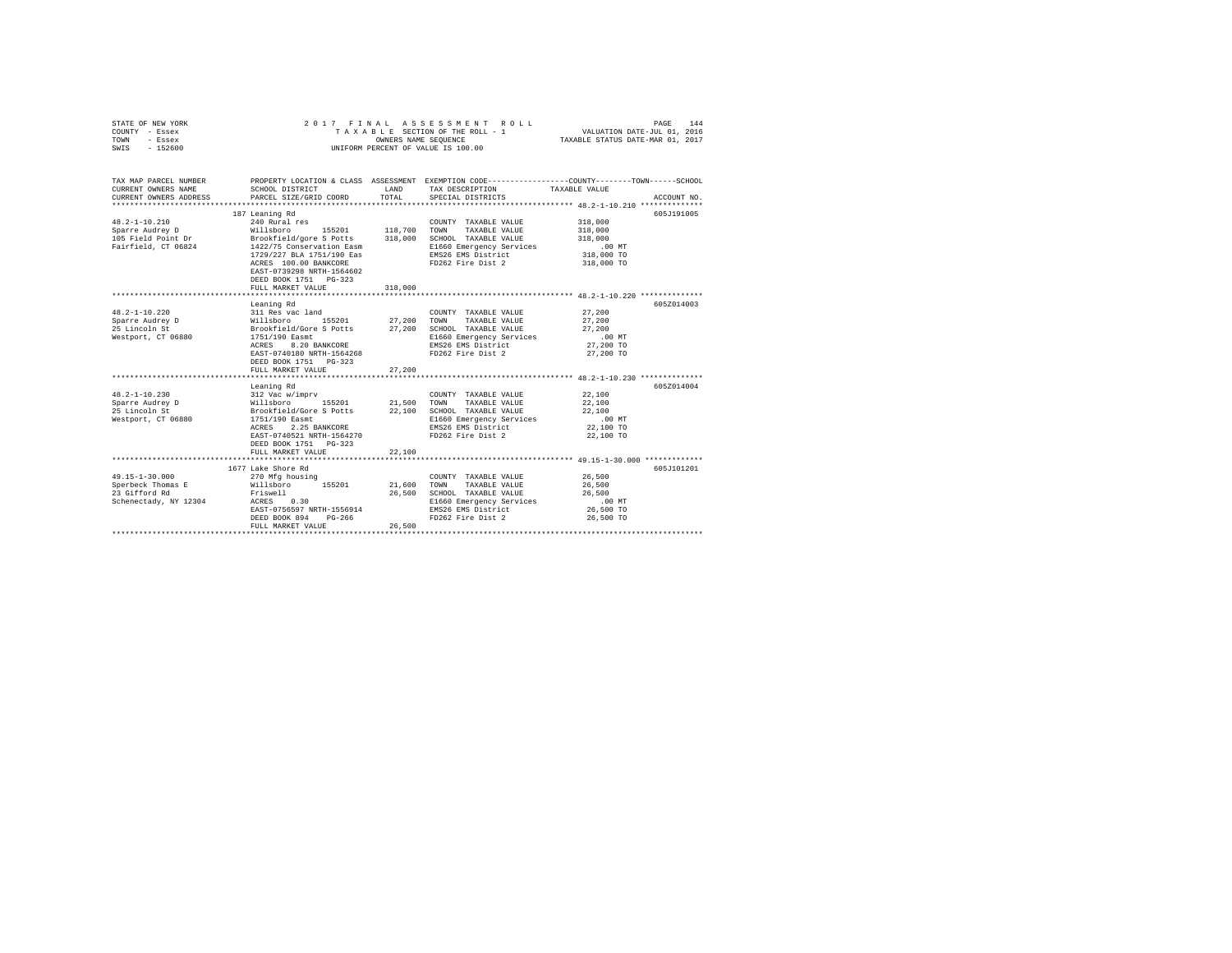| STATE OF NEW YORK<br>COUNTY - Essex<br>TOWN<br>- Essex<br>$-152600$<br>SWIS | 2017 FINAL                                                                           | OWNERS NAME SEQUENCE | ASSESSMENT ROLL<br>TAXABLE SECTION OF THE ROLL - 1<br>UNIFORM PERCENT OF VALUE IS 100.00 | 144<br>PAGE<br>VALUATION DATE-JUL 01, 2016<br>TAXABLE STATUS DATE-MAR 01, 2017                                     |
|-----------------------------------------------------------------------------|--------------------------------------------------------------------------------------|----------------------|------------------------------------------------------------------------------------------|--------------------------------------------------------------------------------------------------------------------|
| TAX MAP PARCEL NUMBER<br>CURRENT OWNERS NAME                                | SCHOOL DISTRICT                                                                      |                      | LAND TAX DESCRIPTION                                                                     | PROPERTY LOCATION & CLASS ASSESSMENT EXEMPTION CODE-----------------COUNTY-------TOWN------SCHOOL<br>TAXABLE VALUE |
| CURRENT OWNERS ADDRESS                                                      | PARCEL SIZE/GRID COORD                                                               | TOTAL                | SPECIAL DISTRICTS                                                                        | ACCOUNT NO.                                                                                                        |
|                                                                             |                                                                                      |                      |                                                                                          |                                                                                                                    |
|                                                                             | 187 Leaning Rd                                                                       |                      |                                                                                          | 605J191005                                                                                                         |
| $48.2 - 1 - 10.210$                                                         | 240 Rural res                                                                        |                      | COUNTY TAXABLE VALUE                                                                     | 318,000                                                                                                            |
| Sparre Audrey D                                                             | 240 Kurai 1es<br>Willsboro 155201                                                    | 118,700              | TOWN<br>TAXABLE VALUE                                                                    | 318,000                                                                                                            |
| 105 Field Point Dr                                                          | Brookfield/gore S Potts<br>1422/75 Conservation Easm                                 | 318,000              | SCHOOL TAXABLE VALUE                                                                     | 318,000                                                                                                            |
| Fairfield, CT 06824                                                         |                                                                                      |                      | E1660 Emergency Services                                                                 | .00 MT                                                                                                             |
|                                                                             | 1729/227 BLA 1751/190 Eas                                                            |                      | EMS26 EMS District                                                                       | 318,000 TO                                                                                                         |
|                                                                             | ACRES 100.00 BANKCORE<br>EAST-0739298 NRTH-1564602<br>DEED BOOK 1751 PG-323          |                      | FD262 Fire Dist 2                                                                        | 318,000 TO                                                                                                         |
|                                                                             | FULL MARKET VALUE                                                                    | 318,000              |                                                                                          |                                                                                                                    |
|                                                                             |                                                                                      |                      |                                                                                          |                                                                                                                    |
|                                                                             | Leaning Rd                                                                           |                      |                                                                                          | 605Z014003                                                                                                         |
| $48.2 - 1 - 10.220$                                                         | 311 Res vac land                                                                     |                      | COUNTY TAXABLE VALUE                                                                     | 27,200                                                                                                             |
| Sparre Audrey D                                                             |                                                                                      |                      | TOWN<br>TAXABLE VALUE                                                                    | 27,200                                                                                                             |
| 25 Lincoln St                                                               | % Millsboro 155201 27,200<br>Brookfield/Gore S Potts 27,200<br>1751/190 Easmt 27,200 |                      | SCHOOL TAXABLE VALUE                                                                     | 27,200                                                                                                             |
| Westport, CT 06880                                                          |                                                                                      |                      | E1660 Emergency Services                                                                 | .00MT                                                                                                              |
|                                                                             | ACRES 8.20 BANKCORE                                                                  |                      | EMS26 EMS District                                                                       | 27,200 TO                                                                                                          |
|                                                                             | EAST-0740180 NRTH-1564268                                                            |                      | FD262 Fire Dist 2                                                                        | 27,200 TO                                                                                                          |
|                                                                             | DEED BOOK 1751 PG-323                                                                |                      |                                                                                          |                                                                                                                    |
|                                                                             | FULL MARKET VALUE                                                                    | 27,200               |                                                                                          |                                                                                                                    |
|                                                                             |                                                                                      |                      |                                                                                          | 605Z014004                                                                                                         |
| $48.2 - 1 - 10.230$                                                         | Leaning Rd                                                                           |                      | COUNTY TAXABLE VALUE                                                                     | 22,100                                                                                                             |
| Sparre Audrey D                                                             | 155201 21,500                                                                        |                      | TOWN<br>TAXABLE VALUE                                                                    | 22,100                                                                                                             |
| 25 Lincoln St                                                               |                                                                                      | 22,100               | SCHOOL TAXABLE VALUE                                                                     | 22,100                                                                                                             |
| Westport, CT 06880                                                          | 312 Vac w/imprv<br>Willsboro 155201<br>Brookfield/Gore S Potts<br>1751/190 Easmt     |                      | E1660 Emergency Services                                                                 | $.00$ MT                                                                                                           |
|                                                                             | 2.25 BANKCORE<br>ACRES                                                               |                      | EMS26 EMS District                                                                       | 22,100 TO                                                                                                          |
|                                                                             | EAST-0740521 NRTH-1564270                                                            |                      | FD262 Fire Dist 2                                                                        | 22,100 TO                                                                                                          |
|                                                                             | DEED BOOK 1751 PG-323                                                                |                      |                                                                                          |                                                                                                                    |
|                                                                             | FULL MARKET VALUE                                                                    | 22,100               |                                                                                          |                                                                                                                    |
|                                                                             |                                                                                      |                      |                                                                                          |                                                                                                                    |
|                                                                             | 1677 Lake Shore Rd                                                                   |                      |                                                                                          | 605J101201                                                                                                         |
| 49.15-1-30.000                                                              | 270 Mfg housing                                                                      |                      | COUNTY TAXABLE VALUE                                                                     | 26,500                                                                                                             |
| Sperbeck Thomas E                                                           | Willsboro 155201                                                                     | 21,600               | TOWN<br>TAXABLE VALUE                                                                    | 26,500                                                                                                             |
| 23 Gifford Rd                                                               | Friswell                                                                             | 26,500               | SCHOOL TAXABLE VALUE                                                                     | 26,500                                                                                                             |
| Schenectady, NY 12304 ACRES 0.30                                            |                                                                                      |                      | E1660 Emergency Services                                                                 | .00MT                                                                                                              |
|                                                                             | EAST-0756597 NRTH-1556914                                                            |                      | EMS26 EMS District                                                                       | 26,500 TO                                                                                                          |
|                                                                             | DEED BOOK 894<br>PG-266                                                              |                      | FD262 Fire Dist 2                                                                        | 26,500 TO                                                                                                          |
|                                                                             | FULL MARKET VALUE                                                                    | 26,500               |                                                                                          |                                                                                                                    |
|                                                                             |                                                                                      |                      |                                                                                          |                                                                                                                    |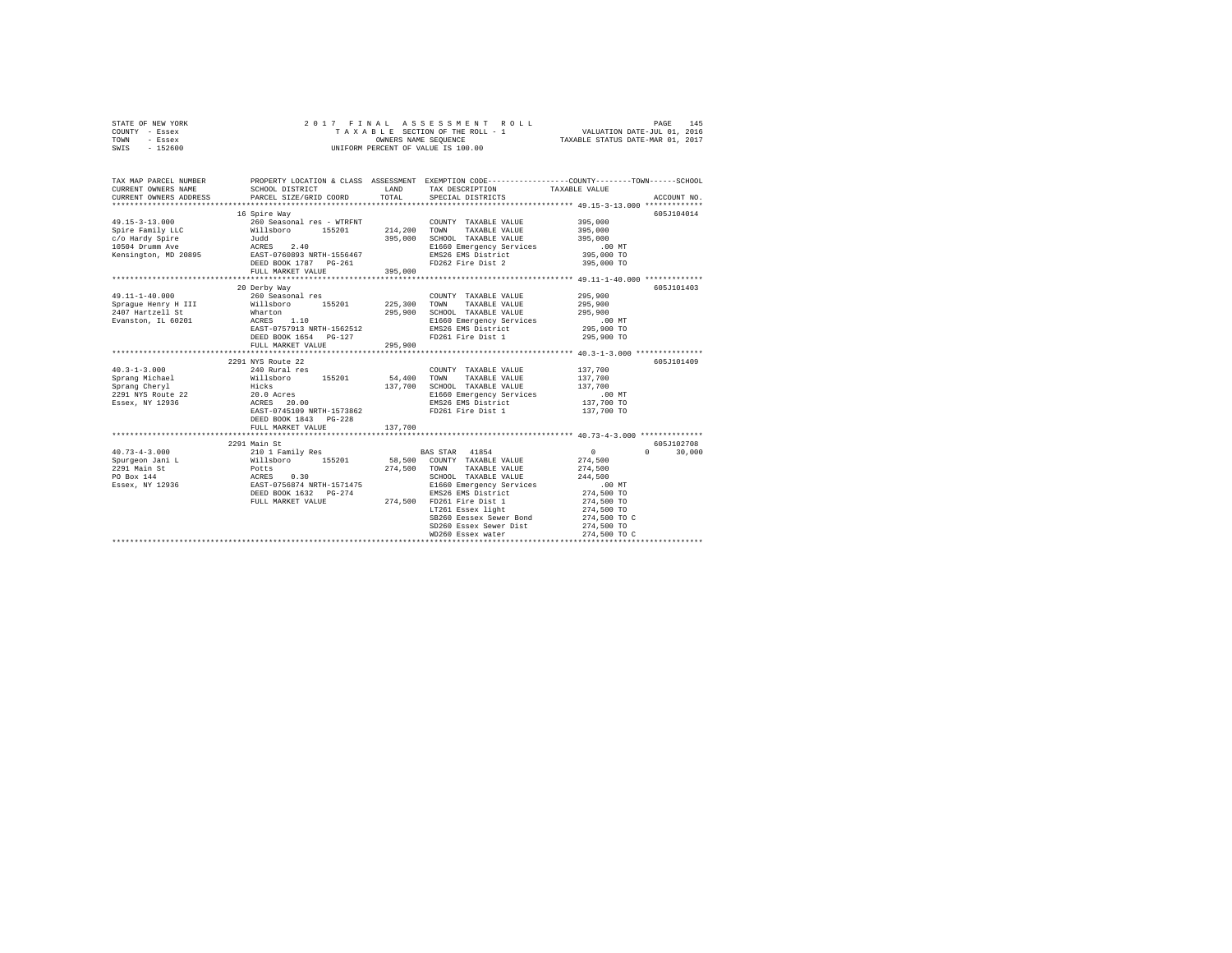|      | STATE OF NEW YORK |  |  | 2017 FINAL ASSESSMENT ROLL         | PAGE 145                         |  |
|------|-------------------|--|--|------------------------------------|----------------------------------|--|
|      | COUNTY - Essex    |  |  | TAXABLE SECTION OF THE ROLL - 1    | VALUATION DATE-JUL 01, 2016      |  |
| TOWN | - Essex           |  |  | OWNERS NAME SEOUENCE               | TAXABLE STATUS DATE-MAR 01, 2017 |  |
| SWIS | $-152600$         |  |  | UNIFORM PERCENT OF VALUE IS 100.00 |                                  |  |

| TAX MAP PARCEL NUMBER<br>CURRENT OWNERS NAME<br>CURRENT OWNERS ADDRESS                                                                                                                                                                              | SCHOOL DISTRICT<br>PARCEL SIZE/GRID COORD                                              | TOTAL   | LAND TAX DESCRIPTION TAXABLE VALUE<br>SPECIAL DISTRICTS                                                                                        | PROPERTY LOCATION & CLASS ASSESSMENT EXEMPTION CODE---------------COUNTY-------TOWN------SCHOOL<br>ACCOUNT NO. |
|-----------------------------------------------------------------------------------------------------------------------------------------------------------------------------------------------------------------------------------------------------|----------------------------------------------------------------------------------------|---------|------------------------------------------------------------------------------------------------------------------------------------------------|----------------------------------------------------------------------------------------------------------------|
|                                                                                                                                                                                                                                                     |                                                                                        |         |                                                                                                                                                |                                                                                                                |
|                                                                                                                                                                                                                                                     | 16 Spire Way                                                                           |         |                                                                                                                                                | 605J104014                                                                                                     |
| $49.15 - 3 - 13.000$                                                                                                                                                                                                                                | 260 Seasonal res - WTRFNT                                                              |         | COUNTY TAXABLE VALUE 395,000                                                                                                                   |                                                                                                                |
|                                                                                                                                                                                                                                                     |                                                                                        |         | TAXABLE VALUE<br>TOWN                                                                                                                          | 395,000                                                                                                        |
|                                                                                                                                                                                                                                                     |                                                                                        |         |                                                                                                                                                |                                                                                                                |
|                                                                                                                                                                                                                                                     |                                                                                        |         |                                                                                                                                                |                                                                                                                |
|                                                                                                                                                                                                                                                     |                                                                                        |         | TOWN THE VALUE<br>SCHOOL TAXABLE VALUE<br>E1660 Emergency Services 00 TO TO THE 1660 Emergency Services<br>25.000 TO TO TO TO TO TO THE 200 TO |                                                                                                                |
|                                                                                                                                                                                                                                                     |                                                                                        |         | FD262 Fire Dist 2                                                                                                                              | 395,000 TO                                                                                                     |
|                                                                                                                                                                                                                                                     | FULL MARKET VALUE 395,000                                                              |         |                                                                                                                                                |                                                                                                                |
|                                                                                                                                                                                                                                                     |                                                                                        |         |                                                                                                                                                |                                                                                                                |
|                                                                                                                                                                                                                                                     | 20 Derby Way                                                                           |         |                                                                                                                                                | 605J101403                                                                                                     |
| 49.11-1-40.000                                                                                                                                                                                                                                      | 260 Seasonal res                                                                       |         | COUNTY TAXABLE VALUE 295,900                                                                                                                   |                                                                                                                |
|                                                                                                                                                                                                                                                     |                                                                                        |         |                                                                                                                                                | 295,900                                                                                                        |
| $295,300\quad\text{Tom}\quad\text{TAALE} \text{ VALE} \label{eq:111}$ There is the Whatch of 155201 225,300 TOWN TAXABLE VALUE 2407 Hartzell St<br>245,900 Hartzell Structure Whatch 295,900 SCHOOL TAXABLE VALUE EVention IL660 Emergency Services |                                                                                        |         |                                                                                                                                                | 295,900<br>295.900                                                                                             |
|                                                                                                                                                                                                                                                     |                                                                                        |         | E1660 Emergency Services                                                                                                                       | .00 MT                                                                                                         |
|                                                                                                                                                                                                                                                     |                                                                                        |         | EMS26 EMS District                                                                                                                             | 295,900 TO                                                                                                     |
|                                                                                                                                                                                                                                                     | EAST-0757913 NRTH-1562512<br>DEED BOOK 1654 PG-127                                     |         | FD261 Fire Dist 1                                                                                                                              | 295,900 TO                                                                                                     |
|                                                                                                                                                                                                                                                     | FULL MARKET VALUE                                                                      | 295,900 |                                                                                                                                                |                                                                                                                |
|                                                                                                                                                                                                                                                     |                                                                                        |         |                                                                                                                                                |                                                                                                                |
|                                                                                                                                                                                                                                                     | 2291 NYS Route 22                                                                      |         |                                                                                                                                                | 605J101409                                                                                                     |
| $40.3 - 1 - 3.000$                                                                                                                                                                                                                                  | 240 Rural res<br>COUNT 7 (2007)<br>Willsboro 155201 54,400 TOWN<br>Hicks 137,700 SCHOO |         | COUNTY TAXABLE VALUE 137,700                                                                                                                   |                                                                                                                |
| Sprang Michael                                                                                                                                                                                                                                      |                                                                                        |         | TAXABLE VALUE                                                                                                                                  | 137,700                                                                                                        |
|                                                                                                                                                                                                                                                     |                                                                                        |         | SCHOOL TAXABLE VALUE                                                                                                                           | 137,700                                                                                                        |
| Sprang Cherry<br>2291 NYS Route 22 22<br>2391 NYS Route 22 22 20.00<br>288ex, NY 12936                                                                                                                                                              |                                                                                        |         | E1660 Emergency Services .00 MT<br>EMS26 EMS District 137,700 TO                                                                               |                                                                                                                |
|                                                                                                                                                                                                                                                     |                                                                                        |         |                                                                                                                                                |                                                                                                                |
|                                                                                                                                                                                                                                                     | EAST-0745109 NRTH-1573862                                                              |         | FD261 Fire Dist 1                                                                                                                              | 137,700 TO                                                                                                     |
|                                                                                                                                                                                                                                                     | DEED BOOK 1843 PG-228                                                                  |         |                                                                                                                                                |                                                                                                                |
|                                                                                                                                                                                                                                                     | FULL MARKET VALUE                                                                      | 137,700 |                                                                                                                                                |                                                                                                                |
|                                                                                                                                                                                                                                                     |                                                                                        |         |                                                                                                                                                |                                                                                                                |
|                                                                                                                                                                                                                                                     | 2291 Main St                                                                           |         |                                                                                                                                                | 605J102708                                                                                                     |
|                                                                                                                                                                                                                                                     |                                                                                        |         |                                                                                                                                                | $\Omega$ and $\Omega$<br>30,000                                                                                |
|                                                                                                                                                                                                                                                     |                                                                                        |         |                                                                                                                                                |                                                                                                                |
|                                                                                                                                                                                                                                                     |                                                                                        | 274.500 | TOWN<br>TAXABLE VALUE                                                                                                                          | 274,500                                                                                                        |
|                                                                                                                                                                                                                                                     |                                                                                        |         | SCHOOL TAXABLE VALUE 244,500<br>E1660 Emergency Services .00 MT                                                                                |                                                                                                                |
|                                                                                                                                                                                                                                                     |                                                                                        |         |                                                                                                                                                |                                                                                                                |
|                                                                                                                                                                                                                                                     | DEED BOOK 1632 PG-274                                                                  |         |                                                                                                                                                | 274,500 TO                                                                                                     |
|                                                                                                                                                                                                                                                     |                                                                                        |         |                                                                                                                                                | 274,500 TO                                                                                                     |
|                                                                                                                                                                                                                                                     |                                                                                        |         | DEED BOOK 1632 PG-274 EMS26 EMS District<br>FULL MARKET VALUE 274,500 FD261 Fire District<br>IT261 Essex light                                 | 274,500 TO                                                                                                     |
|                                                                                                                                                                                                                                                     |                                                                                        |         | SB260 Eessex Sewer Bond                                                                                                                        | 274,500 TO C                                                                                                   |
|                                                                                                                                                                                                                                                     |                                                                                        |         | SD260 Essex Sewer Dist                                                                                                                         | 274,500 TO                                                                                                     |
|                                                                                                                                                                                                                                                     |                                                                                        |         | WD260 Essex water                                                                                                                              | 274,500 TO C                                                                                                   |
|                                                                                                                                                                                                                                                     |                                                                                        |         |                                                                                                                                                |                                                                                                                |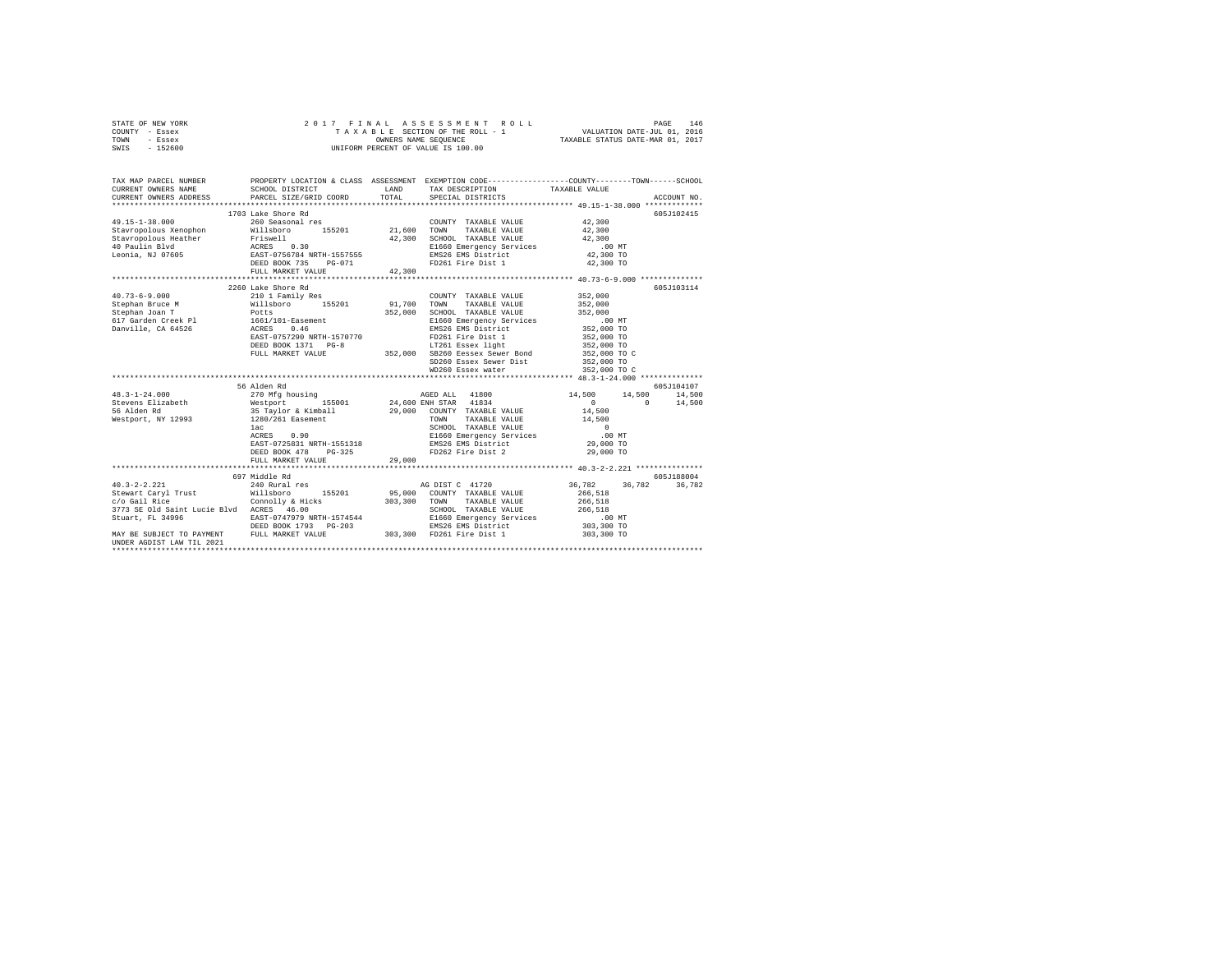| STATE OF NEW YORK | 2017 FINAL ASSESSMENT ROLL         | 146<br>PAGE                      |
|-------------------|------------------------------------|----------------------------------|
| COUNTY - Essex    | TAXABLE SECTION OF THE ROLL - 1    | VALUATION DATE-JUL 01, 2016      |
| TOWN<br>- Essex   | OWNERS NAME SEOUENCE               | TAXABLE STATUS DATE-MAR 01, 2017 |
| $-152600$<br>SWIS | UNIFORM PERCENT OF VALUE IS 100.00 |                                  |

| TAX MAP PARCEL NUMBER<br>CURRENT OWNERS NAME<br>CURRENT OWNERS ADDRESS | SCHOOL DISTRICT<br>PARCEL SIZE/GRID COORD                   | LAND<br>TOTAL | PROPERTY LOCATION & CLASS ASSESSMENT EXEMPTION CODE---------------COUNTY-------TOWN-----SCHOOL<br>TAX DESCRIPTION TAXABLE VALUE<br>SPECIAL DISTRICTS                                                                                                                                        |                                                     | ACCOUNT NO.          |
|------------------------------------------------------------------------|-------------------------------------------------------------|---------------|---------------------------------------------------------------------------------------------------------------------------------------------------------------------------------------------------------------------------------------------------------------------------------------------|-----------------------------------------------------|----------------------|
| $49.15 - 1 - 38.000$                                                   | 1703 Lake Shore Rd<br>260 Seasonal res<br>FULL MARKET VALUE | 42,300        | COUNTY TAXABLE VALUE 42,300<br>TAXABLE VALUE                                                                                                                                                                                                                                                | 42,300                                              | 605J102415           |
|                                                                        | 2260 Lake Shore Rd                                          |               | Notices<br>Notices<br>2000 SCHOOL TAXABLE VALUE<br>2000 SCHOOL TAXABLE VALUE<br>2000 SCHOOL TAXABLE VALUE<br>2000 TO EAST-0770<br>2000 TO ENSE AND SEXION FOR SEXION CONTRACT SEX 0.000 TO<br>2000 TO ENSE AND SEXION FOR SEXION SEXION CONT<br>SD260 Essex Sewer Dist<br>WD260 Essex water | 352,000<br>352,000<br>352,000 TO<br>352,000 TO C    | 605J103114           |
|                                                                        |                                                             |               | AGED ALL 41800 14,500 14,500 14,500                                                                                                                                                                                                                                                         | $\sim$ 0                                            | 605J104107<br>14,500 |
|                                                                        |                                                             |               |                                                                                                                                                                                                                                                                                             |                                                     |                      |
| $40.3 - 2 - 2.221$<br>UNDER AGDIST LAW TIL 2021                        | 697 Middle Rd<br>240 Rural res                              |               | AG DIST C 41720                                                                                                                                                                                                                                                                             | 36,782 36,782<br>.00 MT<br>303,300 TO<br>303,300 TO | 605J188004<br>36,782 |
|                                                                        |                                                             |               |                                                                                                                                                                                                                                                                                             |                                                     |                      |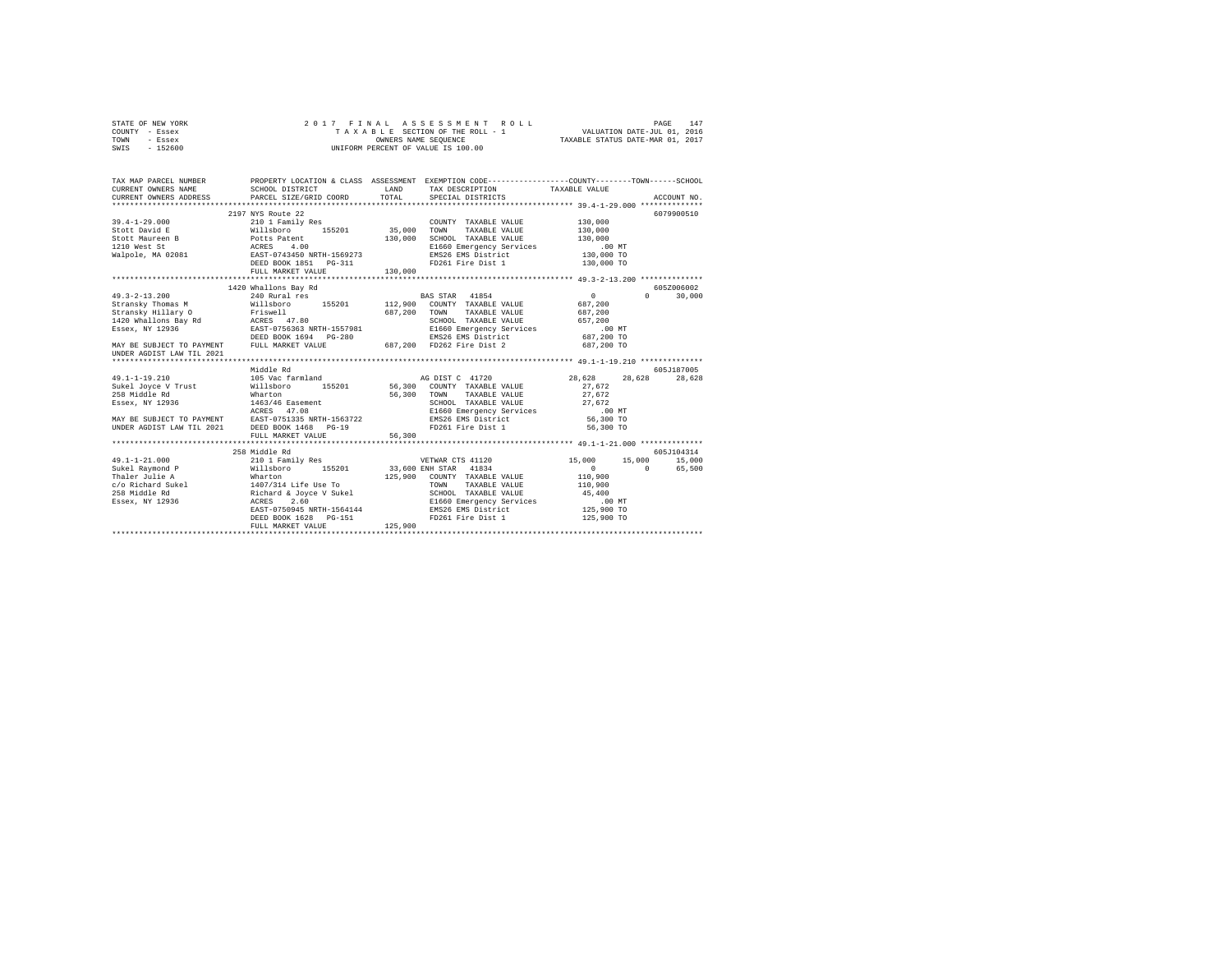|      | STATE OF NEW YORK |  |  | 2017 FINAL ASSESSMENT ROLL         | 147<br>PAGE                      |
|------|-------------------|--|--|------------------------------------|----------------------------------|
|      | COUNTY - Essex    |  |  | TAXABLE SECTION OF THE ROLL - 1    | VALUATION DATE-JUL 01, 2016      |
| TOWN | - Essex           |  |  | OWNERS NAME SEOUENCE               | TAXABLE STATUS DATE-MAR 01, 2017 |
| SWIS | $-152600$         |  |  | UNIFORM PERCENT OF VALUE IS 100.00 |                                  |

| TAX MAP PARCEL NUMBER<br>CURRENT OWNERS NAME<br>CURRENT OWNERS ADDRESS PARCEL SIZE/GRID COORD                                                                                                                                            | SCHOOL DISTRICT                                                               | LAND<br>TOTAL | TAX DESCRIPTION TAXABLE VALUE<br>SPECIAL DISTRICTS             | PROPERTY LOCATION & CLASS ASSESSMENT EXEMPTION CODE---------------COUNTY-------TOWN-----SCHOOL | ACCOUNT NO. |
|------------------------------------------------------------------------------------------------------------------------------------------------------------------------------------------------------------------------------------------|-------------------------------------------------------------------------------|---------------|----------------------------------------------------------------|------------------------------------------------------------------------------------------------|-------------|
|                                                                                                                                                                                                                                          |                                                                               |               |                                                                |                                                                                                |             |
|                                                                                                                                                                                                                                          | 2197 NYS Route 22                                                             |               |                                                                |                                                                                                | 6079900510  |
| 39.4-1-29.000 210 1 Family Res COUNT COUNT COUNT COUNT 2010 155201 35,000 TOWN                                                                                                                                                           |                                                                               |               | COUNTY TAXABLE VALUE                                           | 130,000                                                                                        |             |
|                                                                                                                                                                                                                                          |                                                                               |               | TAXABLE VALUE                                                  | 130,000                                                                                        |             |
|                                                                                                                                                                                                                                          |                                                                               | 130,000       | SCHOOL TAXABLE VALUE                                           | 130,000                                                                                        |             |
|                                                                                                                                                                                                                                          |                                                                               |               |                                                                | .00 MT                                                                                         |             |
|                                                                                                                                                                                                                                          |                                                                               |               | E1660 Emergency Services<br>EMS26 EMS District                 | $130.000$ TO                                                                                   |             |
|                                                                                                                                                                                                                                          | DEED BOOK 1851    PG-311                                                      |               | FD261 Fire Dist 1 130,000 TO                                   |                                                                                                |             |
|                                                                                                                                                                                                                                          | FULL MARKET VALUE                                                             | 130,000       |                                                                |                                                                                                |             |
|                                                                                                                                                                                                                                          |                                                                               |               |                                                                |                                                                                                |             |
|                                                                                                                                                                                                                                          | 1420 Whallons Bay Rd                                                          |               |                                                                |                                                                                                | 605Z006002  |
|                                                                                                                                                                                                                                          |                                                                               |               |                                                                | $\sim$ 0<br>$\cap$                                                                             | 30,000      |
|                                                                                                                                                                                                                                          |                                                                               |               |                                                                | 687,200                                                                                        |             |
|                                                                                                                                                                                                                                          |                                                                               |               |                                                                |                                                                                                |             |
|                                                                                                                                                                                                                                          |                                                                               |               |                                                                |                                                                                                |             |
|                                                                                                                                                                                                                                          |                                                                               |               |                                                                |                                                                                                |             |
|                                                                                                                                                                                                                                          |                                                                               |               |                                                                |                                                                                                |             |
|                                                                                                                                                                                                                                          |                                                                               |               |                                                                |                                                                                                |             |
|                                                                                                                                                                                                                                          |                                                                               |               |                                                                |                                                                                                |             |
| 3transky Thomas »<br>Stransky Hilary O Friswell (1986)<br>1420 Whallong Bay Rd RCRES 47.80<br>1420 Whallong Bay Rd RCRES 47.80<br>15866 EMS26 EMS District 687,200 PD262 Pire Dist 2 687,200 TO<br>15866 EMS26 EMS District 687,200 PD26 |                                                                               |               |                                                                |                                                                                                |             |
|                                                                                                                                                                                                                                          | Middle Rd                                                                     |               |                                                                |                                                                                                | 605J187005  |
| 49.1-1-19.210 105 Vac farmland<br>Sukel Joyce V Trust Willsboro 1                                                                                                                                                                        |                                                                               |               | AG DIST C 41720                                                | 28,628<br>28,628                                                                               | 28,628      |
|                                                                                                                                                                                                                                          |                                                                               |               | 155201 56,300 COUNTY TAXABLE VALUE                             | 27.672                                                                                         |             |
| 258 Middle Rd                                                                                                                                                                                                                            |                                                                               | 56,300 TOWN   | TAXABLE VALUE                                                  | 27.672                                                                                         |             |
| Essex, NY 12936                                                                                                                                                                                                                          |                                                                               |               | SCHOOL TAXABLE VALUE 27,672<br>E1660 Emergency Services .00 MT |                                                                                                |             |
|                                                                                                                                                                                                                                          | Wharton<br>1463/46 Easement<br>ACRES 47.08                                    |               |                                                                |                                                                                                |             |
| MAY BE SUBJECT TO PAYMENT EAST-0751335 NRTH-1563722                                                                                                                                                                                      |                                                                               |               | EMS26 EMS District 56,300 TO                                   |                                                                                                |             |
| UNDER AGDIST LAW TIL 2021 DEED BOOK 1468 PG-19                                                                                                                                                                                           |                                                                               |               | FD261 Fire Dist 1                                              | 56,300 TO                                                                                      |             |
|                                                                                                                                                                                                                                          | FULL MARKET VALUE                                                             | 56,300        |                                                                |                                                                                                |             |
|                                                                                                                                                                                                                                          |                                                                               |               |                                                                |                                                                                                |             |
|                                                                                                                                                                                                                                          | 258 Middle Rd                                                                 |               |                                                                |                                                                                                | 605J104314  |
| $49.1 - 1 - 21.000$                                                                                                                                                                                                                      | 210 1 Family Res                                                              |               | VETWAR CTS 41120                                               | 15,000<br>15,000                                                                               | 15,000      |
| Sukel Raymond P                                                                                                                                                                                                                          | Willsboro 155201 33,600 ENH STAR 41834                                        |               |                                                                | $\Omega$<br>$\mathbf{r}$                                                                       | 65,500      |
|                                                                                                                                                                                                                                          |                                                                               |               | 125,900 COUNTY TAXABLE VALUE                                   | 110,900                                                                                        |             |
|                                                                                                                                                                                                                                          |                                                                               |               | TOWN<br>TAXABLE VALUE                                          | 110,900                                                                                        |             |
|                                                                                                                                                                                                                                          |                                                                               |               | SCHOOL TAXABLE VALUE                                           | 45,400                                                                                         |             |
| Essex, NY 12936 ACRES                                                                                                                                                                                                                    | ACRES 2.60 Emergency Services<br>EAST-0750945 NRTH-1564144 EMS26 EMS District |               |                                                                | $.00$ MT                                                                                       |             |
|                                                                                                                                                                                                                                          |                                                                               |               |                                                                | 125,900,00                                                                                     |             |
|                                                                                                                                                                                                                                          | DEED BOOK 1628 PG-151                                                         |               | FD261 Fire Dist 1                                              | 125,900 TO                                                                                     |             |
|                                                                                                                                                                                                                                          | FULL MARKET VALUE                                                             | 125,900       |                                                                |                                                                                                |             |
|                                                                                                                                                                                                                                          |                                                                               |               |                                                                |                                                                                                |             |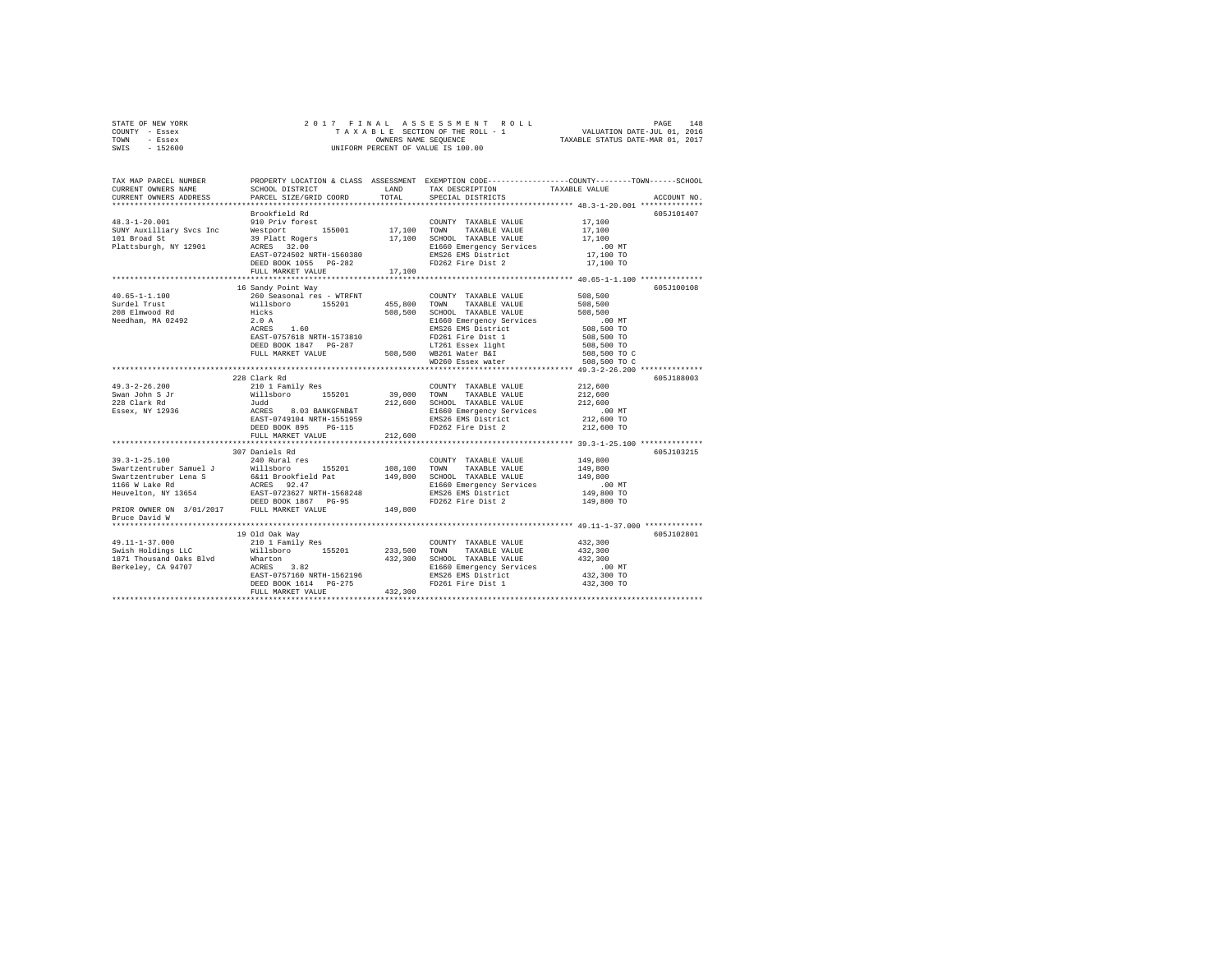| STATE OF NEW YORK |           |  |  |  | 2017 FINAL ASSESSMENT ROLL         |                                  | PAGE | 148 |
|-------------------|-----------|--|--|--|------------------------------------|----------------------------------|------|-----|
| COUNTY - Essex    |           |  |  |  | TAXABLE SECTION OF THE ROLL - 1    | VALUATION DATE-JUL 01, 2016      |      |     |
| TOWN              | - Essex   |  |  |  | OWNERS NAME SEOUENCE               | TAXABLE STATUS DATE-MAR 01, 2017 |      |     |
| SWIS              | $-152600$ |  |  |  | UNIFORM PERCENT OF VALUE IS 100.00 |                                  |      |     |

| TAX MAP PARCEL NUMBER<br>CURRENT OWNERS NAME | SCHOOL DISTRICT                                                                                                                                                                                                                                                                                                                                                                                                                                                           |                       | LAND TAX DESCRIPTION                           | PROPERTY LOCATION & CLASS ASSESSMENT EXEMPTION CODE---------------COUNTY-------TOWN------SCHOOL<br>TAXABLE VALUE                                                                                                      |
|----------------------------------------------|---------------------------------------------------------------------------------------------------------------------------------------------------------------------------------------------------------------------------------------------------------------------------------------------------------------------------------------------------------------------------------------------------------------------------------------------------------------------------|-----------------------|------------------------------------------------|-----------------------------------------------------------------------------------------------------------------------------------------------------------------------------------------------------------------------|
| CURRENT OWNERS ADDRESS                       | PARCEL SIZE/GRID COORD                                                                                                                                                                                                                                                                                                                                                                                                                                                    | TOTAL                 | SPECIAL DISTRICTS                              | ACCOUNT NO.                                                                                                                                                                                                           |
|                                              |                                                                                                                                                                                                                                                                                                                                                                                                                                                                           |                       |                                                |                                                                                                                                                                                                                       |
|                                              | Brookfield Rd                                                                                                                                                                                                                                                                                                                                                                                                                                                             |                       |                                                | 605J101407                                                                                                                                                                                                            |
|                                              |                                                                                                                                                                                                                                                                                                                                                                                                                                                                           |                       |                                                | 17,100                                                                                                                                                                                                                |
|                                              |                                                                                                                                                                                                                                                                                                                                                                                                                                                                           |                       |                                                | 17,100                                                                                                                                                                                                                |
|                                              |                                                                                                                                                                                                                                                                                                                                                                                                                                                                           |                       |                                                | 17,100                                                                                                                                                                                                                |
|                                              |                                                                                                                                                                                                                                                                                                                                                                                                                                                                           |                       |                                                | $.00$ MT                                                                                                                                                                                                              |
|                                              | 48.3-1-20.001 MONEMA AU MONEMA AND SURVEY TAXABLE VALUE<br>SUNY AUXILIARY SVCS INC WEST UP 155001 17,100 SCHOOL TAXABLE VALUE<br>SURVEY AUXILIARY SVCS TO MELEON SURVEY 17,100 SCHOOL TAXABLE VALUE<br>Plattsburgh, NY 12901 ACRES 3                                                                                                                                                                                                                                      |                       | EMS26 EMS District<br>FD262 Fire Dist 2        | 17,100 TO                                                                                                                                                                                                             |
|                                              | FULL MARKET VALUE                                                                                                                                                                                                                                                                                                                                                                                                                                                         | 17,100                |                                                | 17,100 TO                                                                                                                                                                                                             |
|                                              |                                                                                                                                                                                                                                                                                                                                                                                                                                                                           |                       |                                                |                                                                                                                                                                                                                       |
|                                              | 16 Sandy Point Way                                                                                                                                                                                                                                                                                                                                                                                                                                                        |                       |                                                | 605J100108                                                                                                                                                                                                            |
| $40.65 - 1 - 1.100$                          | 260 Seasonal res - WTRFNT<br>Willsboro 155201<br>Hicks<br>2.0 A                                                                                                                                                                                                                                                                                                                                                                                                           |                       | COUNTY TAXABLE VALUE                           | 508,500                                                                                                                                                                                                               |
| Surdel Trust                                 |                                                                                                                                                                                                                                                                                                                                                                                                                                                                           | 455,800 TOWN          | TAXABLE VALUE                                  | 508,500                                                                                                                                                                                                               |
|                                              |                                                                                                                                                                                                                                                                                                                                                                                                                                                                           |                       | 508,500 SCHOOL TAXABLE VALUE                   | 508,500                                                                                                                                                                                                               |
| 208 Elmwood Rd<br>Needham, MA 02492          |                                                                                                                                                                                                                                                                                                                                                                                                                                                                           |                       | E1660 Emergency Services                       | $.00$ MT                                                                                                                                                                                                              |
|                                              | $1.60$ $\,$<br>ACRES                                                                                                                                                                                                                                                                                                                                                                                                                                                      |                       |                                                |                                                                                                                                                                                                                       |
|                                              | EAST-0757618 NRTH-1573810                                                                                                                                                                                                                                                                                                                                                                                                                                                 |                       | EMS26 EMS District<br>FD261 Fire Dist 1        |                                                                                                                                                                                                                       |
|                                              |                                                                                                                                                                                                                                                                                                                                                                                                                                                                           |                       |                                                |                                                                                                                                                                                                                       |
|                                              |                                                                                                                                                                                                                                                                                                                                                                                                                                                                           |                       |                                                |                                                                                                                                                                                                                       |
|                                              | EXERN 1997<br>EXED BOOK 1847 PG-287<br>FULL MARKET VALUE 508,500 WB261 Water B&I<br>WD260 Essex water                                                                                                                                                                                                                                                                                                                                                                     |                       |                                                | $\begin{array}{c} .00 \text{ MT} \\ 508, 500 \text{ TO} \\ 508, 500 \text{ TO} \\ 508, 500 \text{ TO} \\ 508, 500 \text{ TO} \text{ C} \\ 508, 500 \text{ TO} \text{ C} \\ 508, 500 \text{ TO} \text{ C} \end{array}$ |
|                                              |                                                                                                                                                                                                                                                                                                                                                                                                                                                                           |                       |                                                |                                                                                                                                                                                                                       |
|                                              | 228 Clark Rd                                                                                                                                                                                                                                                                                                                                                                                                                                                              |                       |                                                | 605J188003                                                                                                                                                                                                            |
| $49.3 - 2 - 26.200$                          | 210 1 Family Res                                                                                                                                                                                                                                                                                                                                                                                                                                                          |                       | COUNTY TAXABLE VALUE                           | 212,600                                                                                                                                                                                                               |
| Swan John S Jr                               |                                                                                                                                                                                                                                                                                                                                                                                                                                                                           | 155201 39,000 TOWN    | TAXABLE VALUE                                  | 212,600                                                                                                                                                                                                               |
| 228 Clark Rd                                 | Nillsboro 155201<br>Judd<br>ACRES 8.03 BANKGFNB&T<br>EAST-0749104 NRTH-1551959                                                                                                                                                                                                                                                                                                                                                                                            |                       | 212,600 SCHOOL TAXABLE VALUE                   | 212,600                                                                                                                                                                                                               |
| Essex, NY 12936                              |                                                                                                                                                                                                                                                                                                                                                                                                                                                                           |                       | E1660 Emergency Services                       |                                                                                                                                                                                                                       |
|                                              |                                                                                                                                                                                                                                                                                                                                                                                                                                                                           |                       | EMS26 EMS District                             | 00 MT.<br>212,600 TO                                                                                                                                                                                                  |
|                                              | DEED BOOK 895 PG-115                                                                                                                                                                                                                                                                                                                                                                                                                                                      |                       | FD262 Fire Dist 2                              | 212,600 TO                                                                                                                                                                                                            |
|                                              | FULL MARKET VALUE                                                                                                                                                                                                                                                                                                                                                                                                                                                         | 212,600               |                                                |                                                                                                                                                                                                                       |
|                                              |                                                                                                                                                                                                                                                                                                                                                                                                                                                                           |                       |                                                |                                                                                                                                                                                                                       |
|                                              | 307 Daniels Rd                                                                                                                                                                                                                                                                                                                                                                                                                                                            |                       |                                                | 605J103215                                                                                                                                                                                                            |
| $39.3 - 1 - 25.100$                          | 240 Rural res                                                                                                                                                                                                                                                                                                                                                                                                                                                             |                       | COUNTY TAXABLE VALUE                           | 149,800                                                                                                                                                                                                               |
|                                              |                                                                                                                                                                                                                                                                                                                                                                                                                                                                           |                       |                                                | 149,800                                                                                                                                                                                                               |
|                                              |                                                                                                                                                                                                                                                                                                                                                                                                                                                                           |                       |                                                | 149,800                                                                                                                                                                                                               |
|                                              |                                                                                                                                                                                                                                                                                                                                                                                                                                                                           |                       |                                                |                                                                                                                                                                                                                       |
|                                              | $\begin{tabular}{l c c c c c} \multicolumn{1}{c}{\textbf{\textit{Sw}}\textit{it} & \textbf{155}} & \multicolumn{1}{c}{\textbf{\textit{W}}\textit{it}} & \multicolumn{1}{c}{\textbf{\textit{W}}\textit{it}} & \multicolumn{1}{c}{\textbf{\textit{W}}\textit{it}} & \multicolumn{1}{c}{\textbf{\textit{W}}\textit{it}} & \multicolumn{1}{c}{\textbf{\textit{W}}\textit{it}} & \multicolumn{1}{c}{\textbf{\textit{W}}\textit{it}} & \multicolumn{1}{c}{\textbf{\textit{W}}\$ |                       | E1660 Emergency Services<br>EMS26 EMS District | 00 MT.<br>149,800 TO                                                                                                                                                                                                  |
|                                              |                                                                                                                                                                                                                                                                                                                                                                                                                                                                           |                       |                                                | 149,800 TO                                                                                                                                                                                                            |
|                                              |                                                                                                                                                                                                                                                                                                                                                                                                                                                                           |                       |                                                |                                                                                                                                                                                                                       |
| Bruce David W                                |                                                                                                                                                                                                                                                                                                                                                                                                                                                                           |                       |                                                |                                                                                                                                                                                                                       |
|                                              |                                                                                                                                                                                                                                                                                                                                                                                                                                                                           |                       |                                                |                                                                                                                                                                                                                       |
|                                              | 19 Old Oak Way                                                                                                                                                                                                                                                                                                                                                                                                                                                            |                       |                                                | 605J102801                                                                                                                                                                                                            |
| 49.11-1-37.000<br>Swish Holdings LLC         | 210 1 Family Res<br>Willsboro 155201                                                                                                                                                                                                                                                                                                                                                                                                                                      | COUNT<br>233,500 TOWN | COUNTY TAXABLE VALUE                           | 432,300                                                                                                                                                                                                               |
|                                              |                                                                                                                                                                                                                                                                                                                                                                                                                                                                           |                       | TAXABLE VALUE                                  | 432,300                                                                                                                                                                                                               |
|                                              |                                                                                                                                                                                                                                                                                                                                                                                                                                                                           |                       |                                                | 432,300                                                                                                                                                                                                               |
|                                              |                                                                                                                                                                                                                                                                                                                                                                                                                                                                           |                       |                                                | .00 MT                                                                                                                                                                                                                |
|                                              |                                                                                                                                                                                                                                                                                                                                                                                                                                                                           |                       |                                                | 432,300 TO                                                                                                                                                                                                            |
|                                              |                                                                                                                                                                                                                                                                                                                                                                                                                                                                           |                       | FD261 Fire Dist 1 432,300 TO                   |                                                                                                                                                                                                                       |
|                                              | SHEM POLOGING HOLD MANURATION AND A SERIES AND MANURATION OF A SAME AND MANURATION CONTRACT AND MANURATION CONTRACT SERIES AND MANURATION CONTRACT ON THE PASS OF A SERIES AND DESCRIPS THAT THE PASS OF A SERIES AND DEEP BOO                                                                                                                                                                                                                                            |                       |                                                |                                                                                                                                                                                                                       |
|                                              |                                                                                                                                                                                                                                                                                                                                                                                                                                                                           |                       |                                                |                                                                                                                                                                                                                       |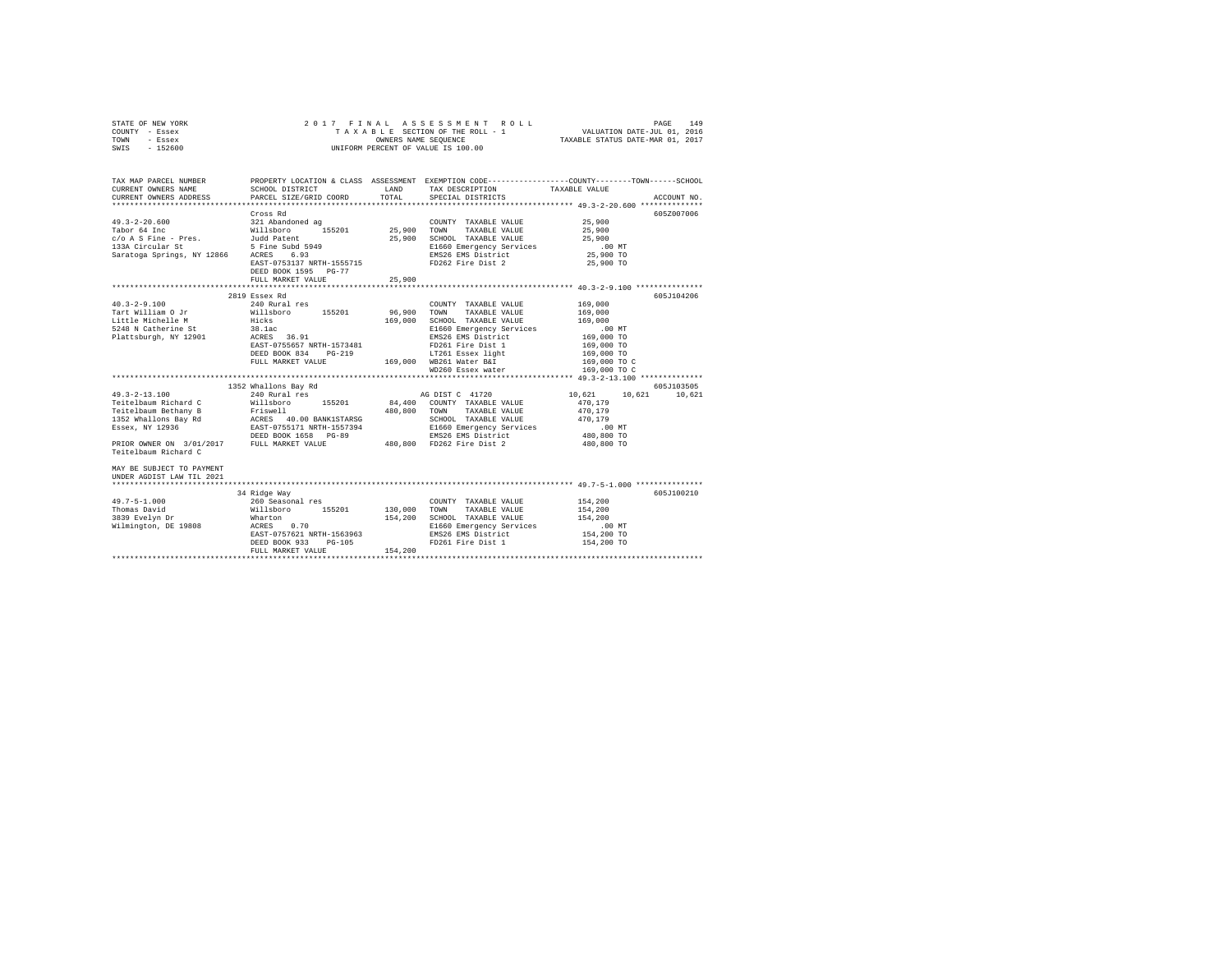|      | STATE OF NEW YORK |  | 2017 FINAL ASSESSMENT ROLL         | PAGE                             | 149 |
|------|-------------------|--|------------------------------------|----------------------------------|-----|
|      | COUNTY - Essex    |  | TAXABLE SECTION OF THE ROLL - 1    | VALUATION DATE-JUL 01, 2016      |     |
| TOWN | - Essex           |  | OWNERS NAME SEOUENCE               | TAXABLE STATUS DATE-MAR 01, 2017 |     |
| SWIS | - 152600          |  | UNIFORM PERCENT OF VALUE IS 100.00 |                                  |     |

| TAX MAP PARCEL NUMBER<br>CURRENT OWNERS NAME<br>$\texttt{CURRENT} \hspace{0.5cm} \texttt{OWNERS} \hspace{0.5cm} \texttt{ADDRESS} \hspace{1.5cm} \texttt{PARCH} \hspace{0.5cm} \texttt{SIZE/GRID} \hspace{0.5cm} \texttt{COORD} \hspace{1.5cm} \texttt{TOTAL}$           | SCHOOL DISTRICT TAX DESCRIPTION |         | SPECIAL DISTRICTS                                                                                           | PROPERTY LOCATION & CLASS ASSESSMENT EXEMPTION CODE---------------COUNTY-------TOWN------SCHOOL<br>TAXABLE VALUE<br>ACCOUNT NO. |
|-------------------------------------------------------------------------------------------------------------------------------------------------------------------------------------------------------------------------------------------------------------------------|---------------------------------|---------|-------------------------------------------------------------------------------------------------------------|---------------------------------------------------------------------------------------------------------------------------------|
|                                                                                                                                                                                                                                                                         | Cross Rd                        |         |                                                                                                             | 605Z007006                                                                                                                      |
|                                                                                                                                                                                                                                                                         |                                 |         | COUNTY TAXABLE VALUE                                                                                        |                                                                                                                                 |
|                                                                                                                                                                                                                                                                         |                                 |         |                                                                                                             | 25,900<br>25,900                                                                                                                |
|                                                                                                                                                                                                                                                                         |                                 |         | 25,900 SCHOOL TAXABLE VALUE<br>25,900 B1660 Emergency Services 00 MT<br>25,900 BMS26 EMS District 25,900 TO |                                                                                                                                 |
|                                                                                                                                                                                                                                                                         |                                 |         |                                                                                                             |                                                                                                                                 |
|                                                                                                                                                                                                                                                                         |                                 |         |                                                                                                             |                                                                                                                                 |
|                                                                                                                                                                                                                                                                         | EAST-0753137 NRTH-1555715       |         | FD262 Fire Dist 2                                                                                           | 25,900 TO                                                                                                                       |
|                                                                                                                                                                                                                                                                         | DEED BOOK 1595 PG-77            |         |                                                                                                             |                                                                                                                                 |
|                                                                                                                                                                                                                                                                         | FULL MARKET VALUE               | 25,900  |                                                                                                             |                                                                                                                                 |
|                                                                                                                                                                                                                                                                         |                                 |         |                                                                                                             | **************** 40.3-2-9.100 **************                                                                                    |
|                                                                                                                                                                                                                                                                         | 2819 Essex Rd                   |         |                                                                                                             | 605J104206                                                                                                                      |
| $40.3 - 2 - 9.100$                                                                                                                                                                                                                                                      | 240 Rural res                   |         | COUNTY TAXABLE VALUE 169,000                                                                                |                                                                                                                                 |
|                                                                                                                                                                                                                                                                         |                                 |         |                                                                                                             |                                                                                                                                 |
|                                                                                                                                                                                                                                                                         |                                 |         |                                                                                                             |                                                                                                                                 |
| $\begin{tabular}{l c c c c c} \hline 40.5-2-9.100 & 40.10 & 40.10 & 40.10 & 40.10 & 40.10 & 40.10 & 40.10 & 40.10 & 40.10 & 40.10 & 40.10 & 40.10 & 40.10 & 40.10 & 40.10 & 40.10 & 40.10 & 40.10 & 40.10 & 40.10 & 40.10 & 40.10 & 40.10 & 40.10 & 40.10 & 40.10 & 40$ |                                 |         |                                                                                                             |                                                                                                                                 |
|                                                                                                                                                                                                                                                                         |                                 |         |                                                                                                             |                                                                                                                                 |
|                                                                                                                                                                                                                                                                         |                                 |         |                                                                                                             |                                                                                                                                 |
|                                                                                                                                                                                                                                                                         |                                 |         |                                                                                                             |                                                                                                                                 |
|                                                                                                                                                                                                                                                                         |                                 |         |                                                                                                             |                                                                                                                                 |
|                                                                                                                                                                                                                                                                         |                                 |         |                                                                                                             |                                                                                                                                 |
|                                                                                                                                                                                                                                                                         |                                 |         |                                                                                                             |                                                                                                                                 |
|                                                                                                                                                                                                                                                                         | 1352 Whallons Bay Rd            |         |                                                                                                             | 605J103505                                                                                                                      |
|                                                                                                                                                                                                                                                                         |                                 |         |                                                                                                             | 10.621                                                                                                                          |
|                                                                                                                                                                                                                                                                         |                                 |         |                                                                                                             |                                                                                                                                 |
|                                                                                                                                                                                                                                                                         |                                 |         |                                                                                                             |                                                                                                                                 |
|                                                                                                                                                                                                                                                                         |                                 |         |                                                                                                             |                                                                                                                                 |
|                                                                                                                                                                                                                                                                         |                                 |         |                                                                                                             |                                                                                                                                 |
|                                                                                                                                                                                                                                                                         |                                 |         |                                                                                                             |                                                                                                                                 |
|                                                                                                                                                                                                                                                                         |                                 |         |                                                                                                             |                                                                                                                                 |
| Teitelbaum Richard C                                                                                                                                                                                                                                                    |                                 |         |                                                                                                             |                                                                                                                                 |
|                                                                                                                                                                                                                                                                         |                                 |         |                                                                                                             |                                                                                                                                 |
| MAY BE SUBJECT TO PAYMENT                                                                                                                                                                                                                                               |                                 |         |                                                                                                             |                                                                                                                                 |
| UNDER AGDIST LAW TIL 2021                                                                                                                                                                                                                                               |                                 |         |                                                                                                             |                                                                                                                                 |
|                                                                                                                                                                                                                                                                         |                                 |         |                                                                                                             |                                                                                                                                 |
|                                                                                                                                                                                                                                                                         | 34 Ridge Way                    |         |                                                                                                             | 605J100210                                                                                                                      |
| $49.7 - 5 - 1.000$                                                                                                                                                                                                                                                      |                                 |         |                                                                                                             |                                                                                                                                 |
| Thomas David                                                                                                                                                                                                                                                            |                                 |         |                                                                                                             | 154,200<br>154,200                                                                                                              |
|                                                                                                                                                                                                                                                                         |                                 |         |                                                                                                             |                                                                                                                                 |
|                                                                                                                                                                                                                                                                         |                                 |         | 154,200 SCHOOL TAXABLE VALUE 154,200<br>E1660 Emergency Services 100 MT<br>EMS26 EMS District 154,200 TO    |                                                                                                                                 |
|                                                                                                                                                                                                                                                                         | EAST-0757621 NRTH-1563963       |         |                                                                                                             |                                                                                                                                 |
|                                                                                                                                                                                                                                                                         | DEED BOOK 933 PG-105            |         | FD261 Fire Dist 1                                                                                           | 154,200 TO                                                                                                                      |
|                                                                                                                                                                                                                                                                         | FULL MARKET VALUE               | 154,200 |                                                                                                             |                                                                                                                                 |
|                                                                                                                                                                                                                                                                         |                                 |         |                                                                                                             |                                                                                                                                 |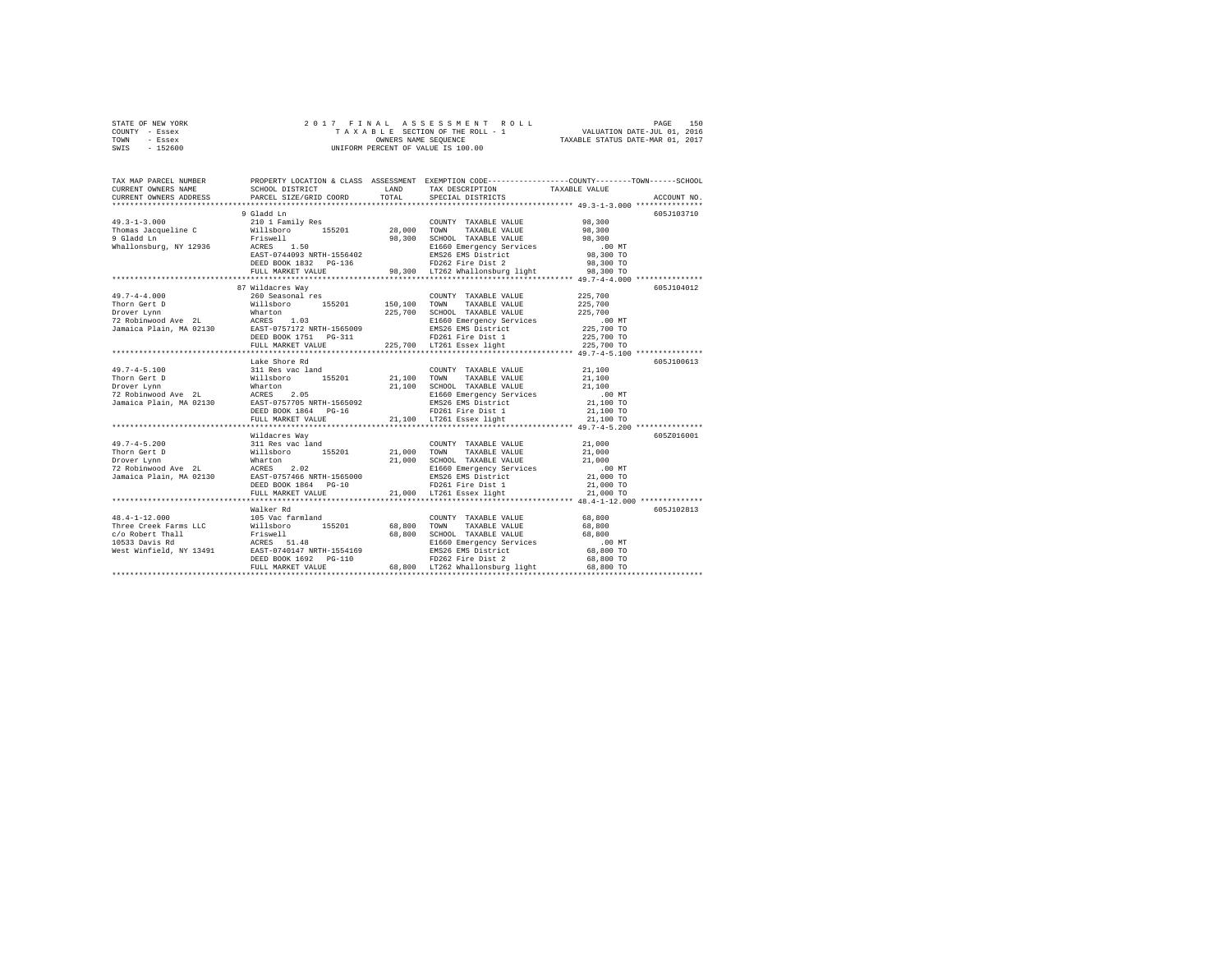| STATE OF NEW YORK |          |  |  |  | 2017 FINAL ASSESSMENT ROLL         |                                  | PAGE                        | 150 |
|-------------------|----------|--|--|--|------------------------------------|----------------------------------|-----------------------------|-----|
| COUNTY - Essex    |          |  |  |  | TAXABLE SECTION OF THE ROLL - 1    |                                  | VALUATION DATE-JUL 01, 2016 |     |
| TOWN              | - Essex  |  |  |  | OWNERS NAME SEOUENCE               | TAXABLE STATUS DATE-MAR 01, 2017 |                             |     |
| SWIS              | - 152600 |  |  |  | UNIFORM PERCENT OF VALUE IS 100.00 |                                  |                             |     |

| TAX MAP PARCEL NUMBER<br>CURRENT OWNERS NAME<br>CURRENT OWNERS ADDRESS | SCHOOL DISTRICT<br>PARCEL SIZE/GRID COORD   | <b>T.AND</b><br>TOTAL | PROPERTY LOCATION & CLASS ASSESSMENT EXEMPTION CODE----------------COUNTY-------TOWN------SCHOOL<br>TAX DESCRIPTION<br>SPECIAL DISTRICTS                                                                                                                                                                                                                                                                                       | TAXABLE VALUE            | ACCOUNT NO. |
|------------------------------------------------------------------------|---------------------------------------------|-----------------------|--------------------------------------------------------------------------------------------------------------------------------------------------------------------------------------------------------------------------------------------------------------------------------------------------------------------------------------------------------------------------------------------------------------------------------|--------------------------|-------------|
|                                                                        |                                             |                       |                                                                                                                                                                                                                                                                                                                                                                                                                                |                          |             |
|                                                                        | 9 Gladd Ln                                  |                       |                                                                                                                                                                                                                                                                                                                                                                                                                                |                          | 605J103710  |
|                                                                        |                                             |                       | COUNTY TAXABLE VALUE 98.300                                                                                                                                                                                                                                                                                                                                                                                                    |                          |             |
|                                                                        |                                             |                       |                                                                                                                                                                                                                                                                                                                                                                                                                                |                          |             |
|                                                                        |                                             |                       |                                                                                                                                                                                                                                                                                                                                                                                                                                |                          |             |
|                                                                        |                                             |                       |                                                                                                                                                                                                                                                                                                                                                                                                                                |                          |             |
|                                                                        |                                             |                       |                                                                                                                                                                                                                                                                                                                                                                                                                                |                          |             |
|                                                                        | DEED BOOK 1832 PG-136                       |                       | EMS26 EMS District<br>FD262 Fire Dist 2                                                                                                                                                                                                                                                                                                                                                                                        | 98,300 TO                |             |
|                                                                        | FULL MARKET VALUE                           |                       | 98,300 LT262 Whallonsburg light 98,300 TO                                                                                                                                                                                                                                                                                                                                                                                      |                          |             |
|                                                                        |                                             |                       |                                                                                                                                                                                                                                                                                                                                                                                                                                |                          |             |
|                                                                        | 87 Wildacres Way                            |                       |                                                                                                                                                                                                                                                                                                                                                                                                                                |                          | 605-7104012 |
| $49.7 - 4 - 4.000$                                                     | 260 Seasonal res                            |                       | COUNTY TAXABLE VALUE 225,700                                                                                                                                                                                                                                                                                                                                                                                                   |                          |             |
| Thorn Gert D                                                           | Willsboro 155201 150,100 TOWN TAXABLE VALUE |                       |                                                                                                                                                                                                                                                                                                                                                                                                                                | 225,700                  |             |
|                                                                        |                                             |                       |                                                                                                                                                                                                                                                                                                                                                                                                                                |                          |             |
|                                                                        |                                             |                       |                                                                                                                                                                                                                                                                                                                                                                                                                                |                          |             |
|                                                                        |                                             |                       |                                                                                                                                                                                                                                                                                                                                                                                                                                | .00 MT.<br>225,700 TO    |             |
|                                                                        |                                             |                       |                                                                                                                                                                                                                                                                                                                                                                                                                                |                          |             |
|                                                                        | FULL MARKET VALUE                           |                       | 3-311 FD261 Fire Dist 1<br>225,700 LT261 Essex light                                                                                                                                                                                                                                                                                                                                                                           | 225,700 TO<br>225,700 TO |             |
|                                                                        |                                             |                       |                                                                                                                                                                                                                                                                                                                                                                                                                                |                          |             |
|                                                                        | Lake Shore Rd                               |                       |                                                                                                                                                                                                                                                                                                                                                                                                                                |                          | 605J100613  |
|                                                                        |                                             |                       | $\begin{tabular}{l c c c c c} \multicolumn{1}{c}{\textbf{49.7--4-5.100}} & \multicolumn{1}{c}{331} \text{ Res over real} & \multicolumn{1}{c}{\textbf{COMITY}} & \multicolumn{1}{c}{\textbf{Z1.100}} & \multicolumn{1}{c}{\textbf{21.100}} & \multicolumn{1}{c}{\textbf{21.100}} & \multicolumn{1}{c}{\textbf{21.100}} & \multicolumn{1}{c}{\textbf{21.100}} & \multicolumn{1}{c}{\textbf{21.100}} & \multicolumn{1}{c}{\text$ |                          |             |
|                                                                        |                                             |                       |                                                                                                                                                                                                                                                                                                                                                                                                                                |                          |             |
|                                                                        |                                             |                       |                                                                                                                                                                                                                                                                                                                                                                                                                                |                          |             |
|                                                                        |                                             |                       |                                                                                                                                                                                                                                                                                                                                                                                                                                |                          |             |
|                                                                        |                                             |                       |                                                                                                                                                                                                                                                                                                                                                                                                                                |                          |             |
|                                                                        |                                             |                       |                                                                                                                                                                                                                                                                                                                                                                                                                                |                          |             |
|                                                                        |                                             |                       |                                                                                                                                                                                                                                                                                                                                                                                                                                |                          |             |
|                                                                        |                                             |                       |                                                                                                                                                                                                                                                                                                                                                                                                                                |                          |             |
|                                                                        | Wildacres Way                               |                       |                                                                                                                                                                                                                                                                                                                                                                                                                                |                          | 605Z016001  |
|                                                                        |                                             |                       |                                                                                                                                                                                                                                                                                                                                                                                                                                |                          |             |
|                                                                        |                                             |                       |                                                                                                                                                                                                                                                                                                                                                                                                                                |                          |             |
|                                                                        |                                             |                       |                                                                                                                                                                                                                                                                                                                                                                                                                                |                          |             |
|                                                                        |                                             |                       |                                                                                                                                                                                                                                                                                                                                                                                                                                |                          |             |
|                                                                        |                                             |                       |                                                                                                                                                                                                                                                                                                                                                                                                                                |                          |             |
|                                                                        |                                             |                       |                                                                                                                                                                                                                                                                                                                                                                                                                                |                          |             |
|                                                                        | FULL MARKET VALUE                           |                       | 21,000 LT261 Essex light                                                                                                                                                                                                                                                                                                                                                                                                       | 21,000 TO                |             |
|                                                                        |                                             |                       |                                                                                                                                                                                                                                                                                                                                                                                                                                |                          |             |
|                                                                        | Walker Rd                                   |                       |                                                                                                                                                                                                                                                                                                                                                                                                                                |                          | 605J102813  |
| $48.4 - 1 - 12.000$                                                    | 105 Vac farmland                            |                       | COUNTY TAXABLE VALUE 68,800                                                                                                                                                                                                                                                                                                                                                                                                    |                          |             |
|                                                                        |                                             |                       |                                                                                                                                                                                                                                                                                                                                                                                                                                |                          |             |
|                                                                        |                                             |                       |                                                                                                                                                                                                                                                                                                                                                                                                                                |                          |             |
|                                                                        |                                             |                       |                                                                                                                                                                                                                                                                                                                                                                                                                                |                          |             |
|                                                                        |                                             |                       |                                                                                                                                                                                                                                                                                                                                                                                                                                |                          |             |
|                                                                        |                                             |                       |                                                                                                                                                                                                                                                                                                                                                                                                                                |                          |             |
|                                                                        |                                             |                       | $\begin{tabular}{l c c c c} \hline \textbf{W111s}bore & 155201 & 68,800 & 700\text{N} & \textbf{TAMZBLE} & \textbf{WALDE} & 68,800 \\ \hline \textbf{Friwell} & 68,800 & 800\text{N} & \textbf{TAMZBLE} & \textbf{WALDE} & 68,800 \\ \textbf{Friwell} & 68,800 & \textbf{SCIOO} & \textbf{TAMZBLE} & \textbf{WALDE} & 68,800 \\ \textbf{RART-10410 NRTH-1554169} &$                                                            |                          |             |
|                                                                        |                                             |                       |                                                                                                                                                                                                                                                                                                                                                                                                                                |                          |             |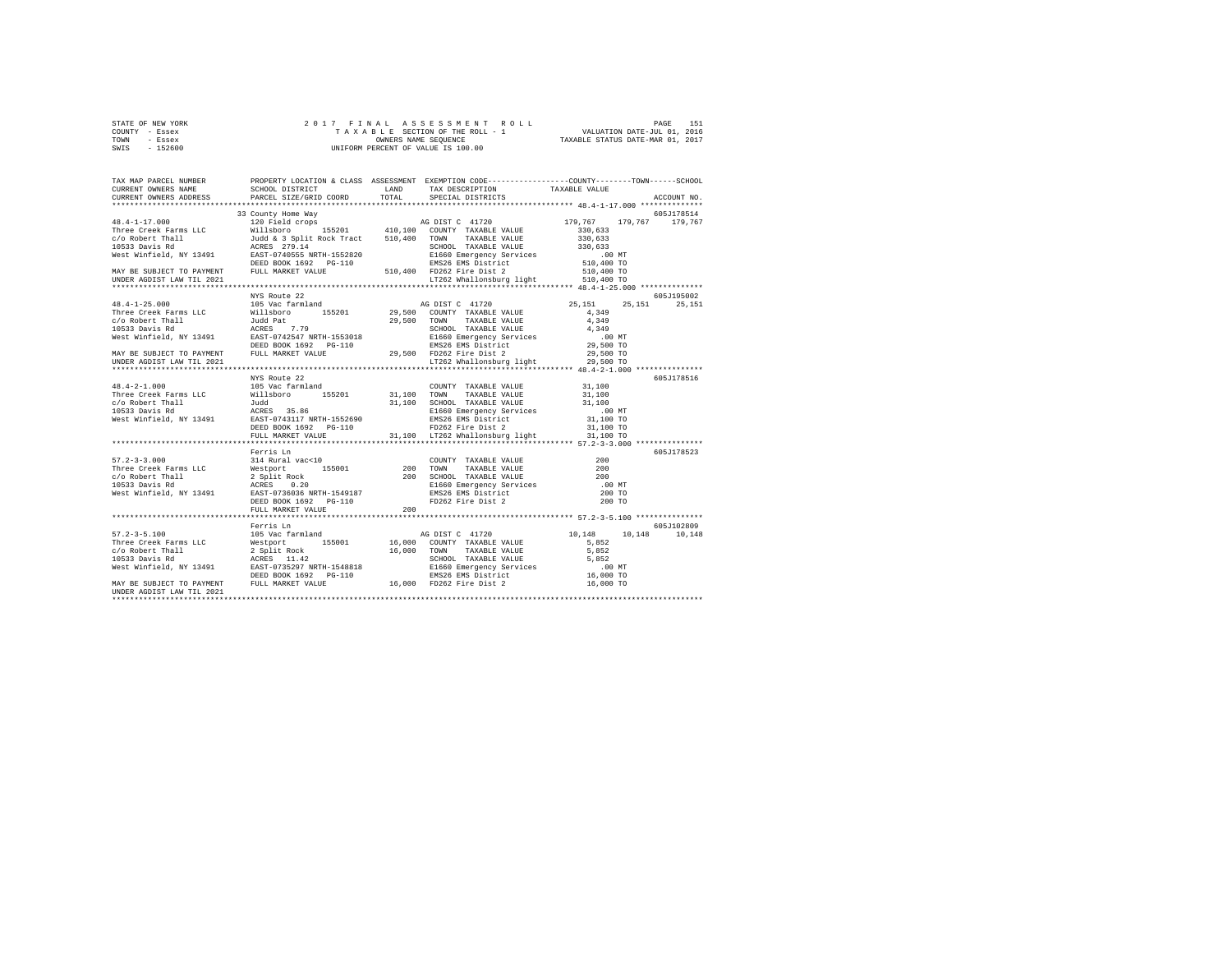| STATE OF NEW YORK | 2017 FINAL ASSESSMENT ROLL         | 151<br>PAGE                      |
|-------------------|------------------------------------|----------------------------------|
| COUNTY - Essex    | TAXABLE SECTION OF THE ROLL - 1    | VALUATION DATE-JUL 01, 2016      |
| TOWN<br>- Essex   | OWNERS NAME SEOUENCE               | TAXABLE STATUS DATE-MAR 01, 2017 |
| $-152600$<br>SWIS | UNIFORM PERCENT OF VALUE IS 100.00 |                                  |

| TAX MAP PARCEL NUMBER<br>CURRENT OWNERS NAME<br>CURRENT OWNERS ADDRESS                                                                                                                                                                                                                                                                                               | SCHOOL DISTRICT<br>PARCEL SIZE/GRID COORD | LAND<br>TOTAL. | PROPERTY LOCATION & CLASS ASSESSMENT EXEMPTION CODE----------------COUNTY-------TOWN------SCHOOL<br>TAX DESCRIPTION<br>SPECIAL DISTRICTS | TAXABLE VALUE        | ACCOUNT NO. |
|----------------------------------------------------------------------------------------------------------------------------------------------------------------------------------------------------------------------------------------------------------------------------------------------------------------------------------------------------------------------|-------------------------------------------|----------------|------------------------------------------------------------------------------------------------------------------------------------------|----------------------|-------------|
|                                                                                                                                                                                                                                                                                                                                                                      | *****************************             |                |                                                                                                                                          |                      |             |
|                                                                                                                                                                                                                                                                                                                                                                      | 33 County Home Way                        |                |                                                                                                                                          |                      | 605J178514  |
| $\begin{tabular}{cccccc} \bf 48.4-1-17.000 & \tt 33.0 \, unit \, 16.9 \, 179.767 & \tt 179.767 & \tt 179.767 & \tt 179.767 & \tt 179.767 & \tt 179.767 \\ \hline \end{tabular} \begin{tabular}{cccccc} \bf 31.0 \, unit \, 18.0 \, total \, 18.0 \, total \, 18.0 \, total \, 18.0 \, total \, 18.0 \, total \, 18.0 \, total \, 18.0 \, total \, 18.0 \, total \, $ |                                           |                |                                                                                                                                          |                      |             |
|                                                                                                                                                                                                                                                                                                                                                                      |                                           |                |                                                                                                                                          |                      |             |
|                                                                                                                                                                                                                                                                                                                                                                      |                                           |                |                                                                                                                                          |                      |             |
|                                                                                                                                                                                                                                                                                                                                                                      |                                           |                |                                                                                                                                          |                      | 605J195002  |
|                                                                                                                                                                                                                                                                                                                                                                      |                                           |                |                                                                                                                                          | 25, 151 25, 151      | 25, 151     |
|                                                                                                                                                                                                                                                                                                                                                                      |                                           |                |                                                                                                                                          |                      |             |
|                                                                                                                                                                                                                                                                                                                                                                      |                                           |                |                                                                                                                                          |                      |             |
|                                                                                                                                                                                                                                                                                                                                                                      |                                           |                |                                                                                                                                          |                      |             |
|                                                                                                                                                                                                                                                                                                                                                                      |                                           |                |                                                                                                                                          |                      |             |
|                                                                                                                                                                                                                                                                                                                                                                      |                                           |                |                                                                                                                                          |                      |             |
|                                                                                                                                                                                                                                                                                                                                                                      |                                           |                |                                                                                                                                          |                      |             |
|                                                                                                                                                                                                                                                                                                                                                                      |                                           |                |                                                                                                                                          |                      |             |
|                                                                                                                                                                                                                                                                                                                                                                      |                                           |                |                                                                                                                                          |                      | 605J178516  |
| $48.4 - 2 - 1.000$                                                                                                                                                                                                                                                                                                                                                   | 105 Vac farmland                          |                | COUNTY TAXABLE VALUE                                                                                                                     | 31,100               |             |
| *8.*-2-1.000<br>Three Creek Farms LLC = Willsboro = 155201<br>200 Robert Thall = Judd<br>10533 Davis Rd = 200 02055 35.86<br>West Winfield, NY 13491 = 2007-0743117 NRTH-1552690                                                                                                                                                                                     |                                           |                | $\begin{tabular}{ccccc} 155201 & 31,100 & T0WN & TAXABLE VALUE & 31,100 \\ 31,100 & SCHOOL & TAXABLE VALUE & 31,100 \\ \end{tabular}$    |                      |             |
|                                                                                                                                                                                                                                                                                                                                                                      |                                           |                |                                                                                                                                          |                      |             |
|                                                                                                                                                                                                                                                                                                                                                                      |                                           |                |                                                                                                                                          |                      |             |
|                                                                                                                                                                                                                                                                                                                                                                      |                                           |                |                                                                                                                                          |                      |             |
|                                                                                                                                                                                                                                                                                                                                                                      | DEED BOOK 1692    PG-110                  |                |                                                                                                                                          |                      |             |
|                                                                                                                                                                                                                                                                                                                                                                      | FULL MARKET VALUE                         |                |                                                                                                                                          |                      |             |
|                                                                                                                                                                                                                                                                                                                                                                      |                                           |                |                                                                                                                                          |                      |             |
| $57.2 - 3 - 3.000$                                                                                                                                                                                                                                                                                                                                                   | Ferris Ln                                 |                |                                                                                                                                          | 200                  | 605J178523  |
|                                                                                                                                                                                                                                                                                                                                                                      | 314 Rural vac<10                          |                | COUNTY TAXABLE VALUE<br>TOWN TAXABLE VALUE                                                                                               | 200                  |             |
|                                                                                                                                                                                                                                                                                                                                                                      |                                           |                |                                                                                                                                          | 200                  |             |
|                                                                                                                                                                                                                                                                                                                                                                      |                                           |                |                                                                                                                                          | $\cdot$ 00 MT        |             |
|                                                                                                                                                                                                                                                                                                                                                                      |                                           |                |                                                                                                                                          | 200 TO               |             |
|                                                                                                                                                                                                                                                                                                                                                                      |                                           |                |                                                                                                                                          | 200 TO               |             |
|                                                                                                                                                                                                                                                                                                                                                                      | FULL MARKET VALUE                         | 200            |                                                                                                                                          |                      |             |
|                                                                                                                                                                                                                                                                                                                                                                      |                                           |                |                                                                                                                                          |                      |             |
|                                                                                                                                                                                                                                                                                                                                                                      | Ferris Ln                                 |                |                                                                                                                                          |                      | 605J102809  |
| $57.2 - 3 - 5.100$                                                                                                                                                                                                                                                                                                                                                   | 105 Vac farmland                          |                | AG DIST C 41720                                                                                                                          | 10.148 10.148 10.148 |             |
|                                                                                                                                                                                                                                                                                                                                                                      |                                           |                |                                                                                                                                          |                      |             |
|                                                                                                                                                                                                                                                                                                                                                                      |                                           |                |                                                                                                                                          |                      |             |
|                                                                                                                                                                                                                                                                                                                                                                      |                                           |                |                                                                                                                                          |                      |             |
|                                                                                                                                                                                                                                                                                                                                                                      |                                           |                |                                                                                                                                          |                      |             |
|                                                                                                                                                                                                                                                                                                                                                                      |                                           |                |                                                                                                                                          |                      |             |
| UNDER AGDIST LAW TIL 2021                                                                                                                                                                                                                                                                                                                                            |                                           |                |                                                                                                                                          |                      |             |
|                                                                                                                                                                                                                                                                                                                                                                      |                                           |                |                                                                                                                                          |                      |             |
|                                                                                                                                                                                                                                                                                                                                                                      |                                           |                |                                                                                                                                          |                      |             |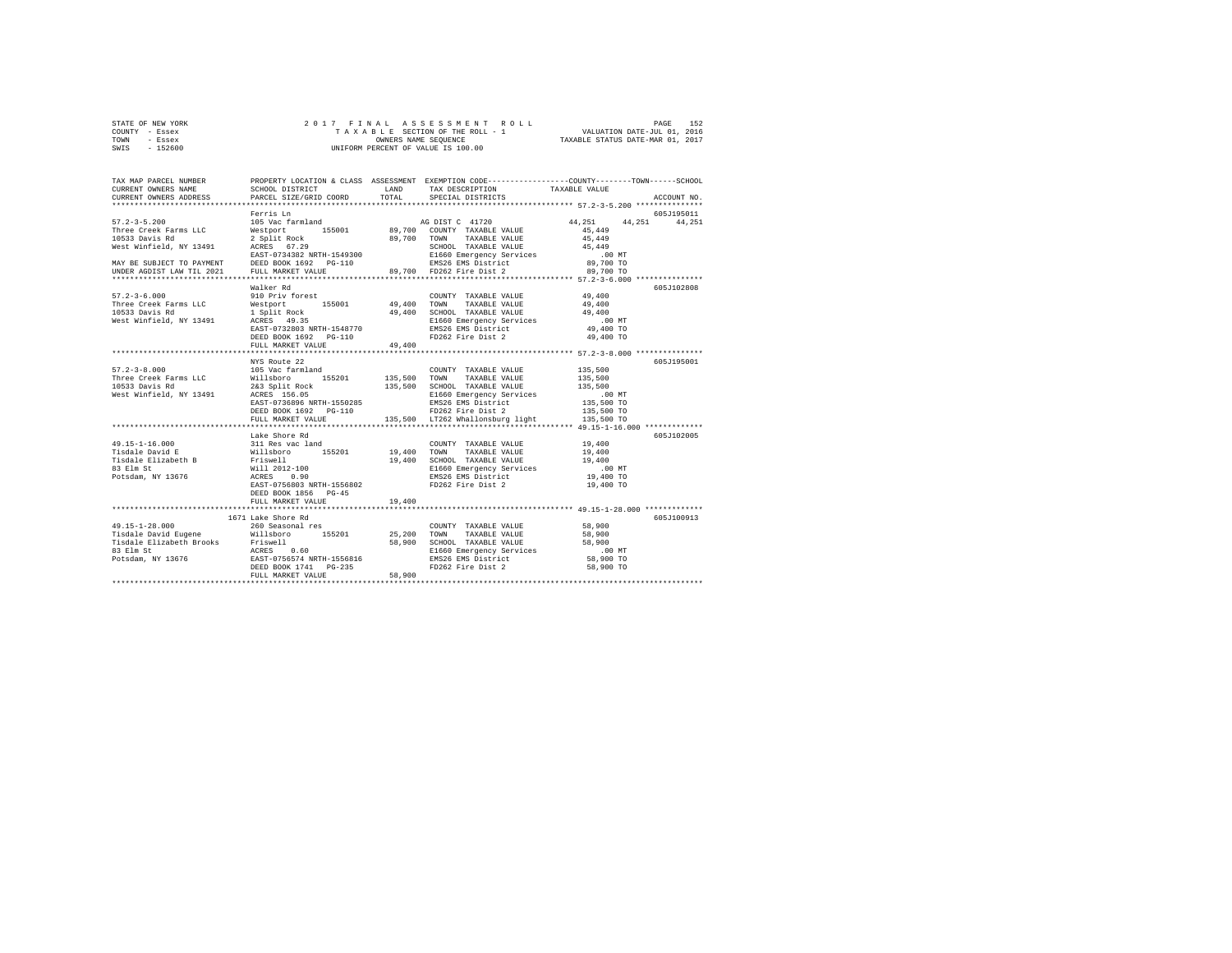|      | STATE OF NEW YORK |                      |  |  |  | 2017 FINAL ASSESSMENT ROLL         |  |                                  | PAGE | 152 |
|------|-------------------|----------------------|--|--|--|------------------------------------|--|----------------------------------|------|-----|
|      | COUNTY - Essex    |                      |  |  |  | TAXABLE SECTION OF THE ROLL - 1    |  | VALUATION DATE-JUL 01, 2016      |      |     |
| TOWN | - Essex           | OWNERS NAME SEOUENCE |  |  |  |                                    |  | TAXABLE STATUS DATE-MAR 01, 2017 |      |     |
| SWIS | $-152600$         |                      |  |  |  | UNIFORM PERCENT OF VALUE IS 100.00 |  |                                  |      |     |

| TAX MAP PARCEL NUMBER<br>CURRENT OWNERS NAME<br>CURRENT OWNERS ADDRESS                                                                                                                                                                                                                                                                                                                                                                                                                                                   | SCHOOL DISTRICT<br><b>EXAMPLE AND LAND</b><br>PARCEL SIZE/GRID COORD |        | TAX DESCRIPTION<br>TOTAL SPECIAL DISTRICTS                                                                                                                                                                                                                                                                                                                          | PROPERTY LOCATION & CLASS ASSESSMENT EXEMPTION CODE---------------COUNTY-------TOWN-----SCHOOL<br>TAXABLE VALUE<br>ACCOUNT NO. |
|--------------------------------------------------------------------------------------------------------------------------------------------------------------------------------------------------------------------------------------------------------------------------------------------------------------------------------------------------------------------------------------------------------------------------------------------------------------------------------------------------------------------------|----------------------------------------------------------------------|--------|---------------------------------------------------------------------------------------------------------------------------------------------------------------------------------------------------------------------------------------------------------------------------------------------------------------------------------------------------------------------|--------------------------------------------------------------------------------------------------------------------------------|
|                                                                                                                                                                                                                                                                                                                                                                                                                                                                                                                          |                                                                      |        |                                                                                                                                                                                                                                                                                                                                                                     |                                                                                                                                |
| $\begin{tabular}{lllllllllllllllllll} \multicolumn{3}{c}{\begin{tabular}{lcccc} $57.2-3-5.200$ & $105\text{ Weters in}}$ & $105\text{ Weters in}}$ & $105\text{ Weters in}}$ & $105\text{ Weters in}}$ & $105\text{ Weters in}}$ & $105\text{ Weters in}}$ & $105\text{ Weters in}}$ & $105\text{ Weters in}}$ & $105\text{ Weters in}}$ & $105\text{ Weters in}}$ & $105\text{ Weters in}}$ & $105\text{ Weters in}}$ & $1$<br>$57.2 - 3 - 6.000$<br>Three Creek Farms LLC<br>10533 Davis Rd<br>West Winfield, NY 13491 | Ferris Ln<br>Walker Rd                                               |        |                                                                                                                                                                                                                                                                                                                                                                     | 605J195011<br>44, 251 44, 251 44, 251<br>605-7102808                                                                           |
|                                                                                                                                                                                                                                                                                                                                                                                                                                                                                                                          | FULL MARKET VALUE                                                    | 49.400 |                                                                                                                                                                                                                                                                                                                                                                     |                                                                                                                                |
| $57.2 - 3 - 8.000$<br>Three Creek Farms LLC<br>10533 Davis Rd<br>West Winfield, NY 13491                                                                                                                                                                                                                                                                                                                                                                                                                                 | NYS Route 22                                                         |        | NES NOUGLE 2013<br>105 Vac Farmland<br>155201 135,500 TOWN TAXABLE VALUE 135,500<br>263 Split Rock 135,500 SCHOOL TAXABLE VALUE 135,500<br>263 Split Rock 135,500 SCHOOL TAXABLE VALUE 135,500 MT<br>263 Split Rock 135,500 BL660 Emerge<br>EDBED BOOK 1692 PG-110<br>FULL MARKET VALUE 135,500 10<br>TULL MARKET VALUE 135,500 LT262 Whallonsburg light 135,500 TO | 605J195001                                                                                                                     |
| $49.15 - 1 - 16.000$                                                                                                                                                                                                                                                                                                                                                                                                                                                                                                     | Lake Shore Rd<br>DEED BOOK 1856 PG-45<br>FULL MARKET VALUE           | 19,400 | COUNTY TAXABLE VALUE 19,400                                                                                                                                                                                                                                                                                                                                         | 605J102005                                                                                                                     |
| $\begin{tabular}{ccccc} 49.15-1-28.000 & & 1074 & 260 & \text{Seasonal} \\\hline \text{189d1} & 260 & \text{Seasonal} \\\text{189d1} & 260 & \text{Seasonal} \\\text{189d1} & 260 & 155201 & 25,200 & \text{TONITY} & \text{TXABLE VALUE} & 58,900\\ \text{Tisdale David Eugene} & 260 & 58,900 & \text{SROOL} & \text{TXABLE VALUE} & 58,900\\ \text{B3} & 260 & 58,900 & \text{SRO$                                                                                                                                    | 1671 Lake Shore Rd                                                   |        |                                                                                                                                                                                                                                                                                                                                                                     | 605J100913                                                                                                                     |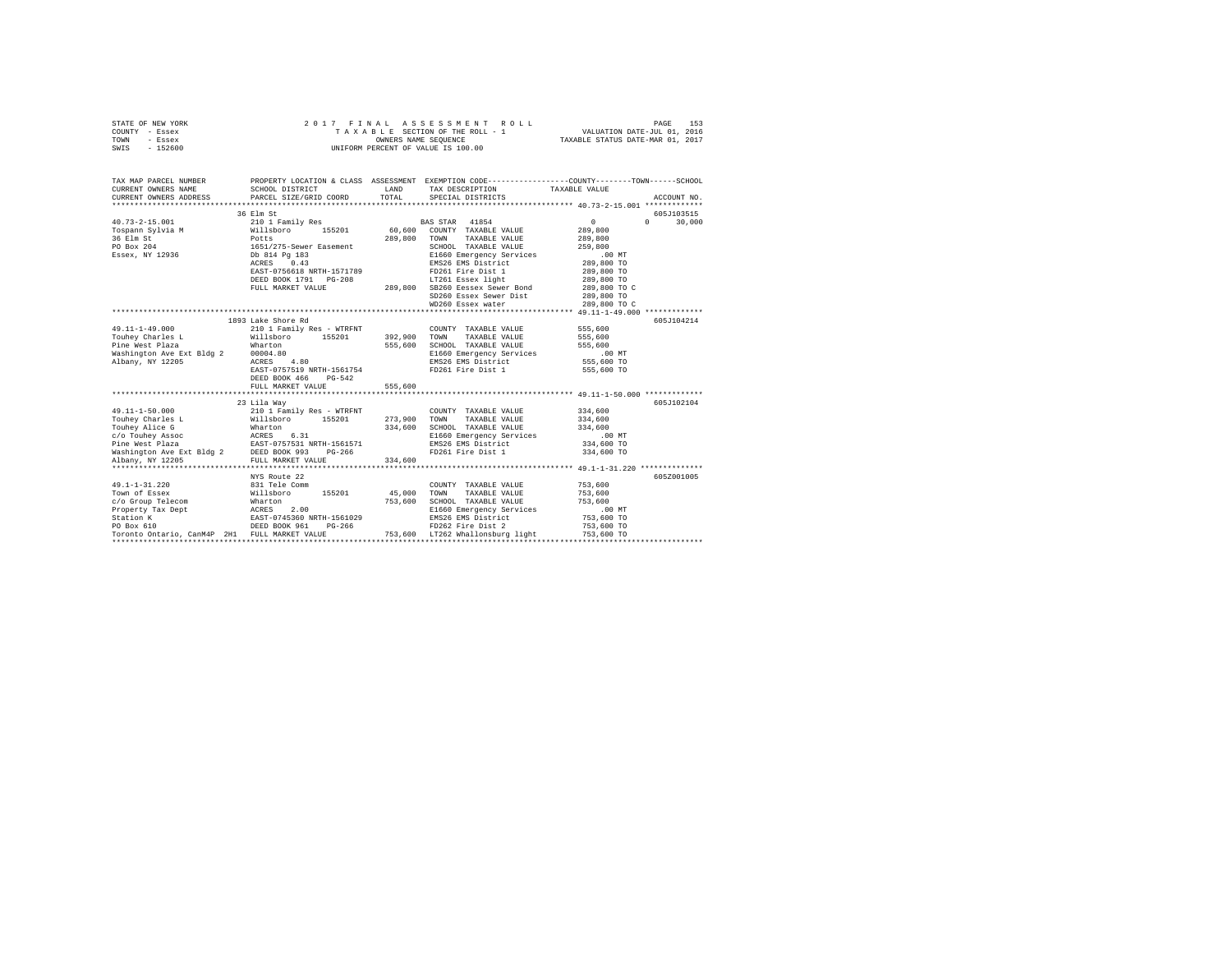| STATE OF NEW YORK<br>COUNTY - Essex<br>TOWN<br>- Essex<br>SWIS - 152600                                                                                                       |                                                                                                                                                           |                         | 2017 FINAL ASSESSMENT ROLL<br>T A X A B L E SECTION OF THE ROLL - 1<br>OWNERS NAME SEQUENCE<br>UNIFORM PERCENT OF VALUE IS 100.00                                                                                                                                                    | VALUATION DATE-JUL 01, 2016<br>TAXABLE STATUS DATE-MAR 01, 2017                                                                              | 153<br>PAGE            |
|-------------------------------------------------------------------------------------------------------------------------------------------------------------------------------|-----------------------------------------------------------------------------------------------------------------------------------------------------------|-------------------------|--------------------------------------------------------------------------------------------------------------------------------------------------------------------------------------------------------------------------------------------------------------------------------------|----------------------------------------------------------------------------------------------------------------------------------------------|------------------------|
| TAX MAP PARCEL NUMBER<br>CURRENT OWNERS NAME<br>CURRENT OWNERS ADDRESS                                                                                                        | SCHOOL DISTRICT<br>PARCEL SIZE/GRID COORD                                                                                                                 | LAND<br>TOTAL           | PROPERTY LOCATION & CLASS ASSESSMENT EXEMPTION CODE---------------COUNTY-------TOWN------SCHOOL<br>TAX DESCRIPTION<br>SPECIAL DISTRICTS                                                                                                                                              | TAXABLE VALUE                                                                                                                                | ACCOUNT NO.            |
|                                                                                                                                                                               | 36 Elm St                                                                                                                                                 |                         |                                                                                                                                                                                                                                                                                      |                                                                                                                                              | 605J103515             |
| $40.73 - 2 - 15.001$<br>Tospann Sylvia M<br>36 Elm St<br>PO Box 204<br>Essex, NY 12936                                                                                        | 210 1 Family Res<br>Willsboro 155201<br>Potts<br>1651/275-Sewer Easement<br>Db 814 Pg 183<br>ACRES 0.43<br>EAST-0756618 NRTH-1571789<br>FULL MARKET VALUE |                         | BAS STAR 41854<br>60.600 COUNTY TAXABLE VALUE<br>289,800 TOWN<br>TAXABLE VALUE<br>SCHOOL TAXABLE VALUE<br>E1660 Emergency Services<br>EMS26 EMS District<br>FD261 Fire Dist 1<br>LT261 Essex light<br>289,800 SB260 Eessex Sewer Bond<br>SD260 Essex Sewer Dist<br>WD260 Essex water | $\circ$<br>289,800<br>289,800<br>259,800<br>$.00$ MT<br>289,800 TO<br>289,800 TO<br>289,800 TO<br>289,800 TO C<br>289,800 TO<br>289,800 TO C | 30,000<br>$\mathsf{n}$ |
|                                                                                                                                                                               |                                                                                                                                                           |                         |                                                                                                                                                                                                                                                                                      |                                                                                                                                              |                        |
| $49.11 - 1 - 49.000$<br>Touhey Charles L<br>Pine West Plaza<br>Washington Ave Ext Bldg 2 00004.80<br>Albany, NY 12205 ACRES<br>Albany, NY 12205                               | 1893 Lake Shore Rd<br>210 1 Family Res - WTRFNT<br>Willsboro 155201<br>Wharton<br>4.80<br>EAST-0757519 NRTH-1561754<br>DEED BOOK 466 PG-542               | 392,900 TOWN            | COUNTY TAXABLE VALUE 555,600<br>TAXABLE VALUE<br>555,600 SCHOOL TAXABLE VALUE<br>E1660 Emergency Services<br>EMS26 EMS District<br>FD261 Fire Dist 1                                                                                                                                 | 555,600<br>555,600<br>$.00$ MT<br>555,600 TO<br>555,600 TO                                                                                   | 605J104214             |
|                                                                                                                                                                               | FULL MARKET VALUE                                                                                                                                         | 555,600                 |                                                                                                                                                                                                                                                                                      |                                                                                                                                              |                        |
| $49.11 - 1 - 50.000$<br>Touhev Charles L<br>Washington Ave Ext Bldg 2 DEED BOOK 993 PG-266                                                                                    | 23 Lila Way<br>210 1 Family Res - WTRFNT<br>Willsboro 155201                                                                                              | 273.900 TOWN<br>334,600 | COUNTY TAXABLE VALUE<br>TAXABLE VALUE<br>SCHOOL TAXABLE VALUE<br>E1660 Emergency Services<br>EMS26 EMS District<br>FD261 Fire Dist 1                                                                                                                                                 | 334,600<br>334,600<br>334,600<br>$.00$ MT<br>334,600 TO<br>334,600 TO                                                                        | 605J102104             |
| Albany, NY 12205                                                                                                                                                              | FULL MARKET VALUE                                                                                                                                         | 334,600                 |                                                                                                                                                                                                                                                                                      |                                                                                                                                              |                        |
| 49.1-1-31.220<br>Town of Essex<br>c/o Group Telecom<br>Property Tax Dept ACRES 2.00<br>Station K<br>PO Box 610<br>PO Box 610<br>Toronto Ontario, CanM4P 2H1 FULL MARKET VALUE | NYS Route 22<br>831 Tele Comm<br>Willsboro 155201<br>Wharton 155201<br>EAST-0745360 NRTH-1561029<br>DEED BOOK 961 PG-266                                  | 45,000<br>753,600       | COUNTY TAXABLE VALUE<br>TOWN<br>TAXABLE VALUE<br>SCHOOL TAXABLE VALUE<br>E1660 Emergency Services<br>EMS26 EMS District<br>FD262 Fire Dist 2<br>753,600 LT262 Whallonsburg light                                                                                                     | 753,600<br>753,600<br>753,600<br>$.00$ MT<br>753,600 TO<br>753,600 TO<br>753,600 TO                                                          | 605Z001005             |
|                                                                                                                                                                               |                                                                                                                                                           |                         |                                                                                                                                                                                                                                                                                      |                                                                                                                                              |                        |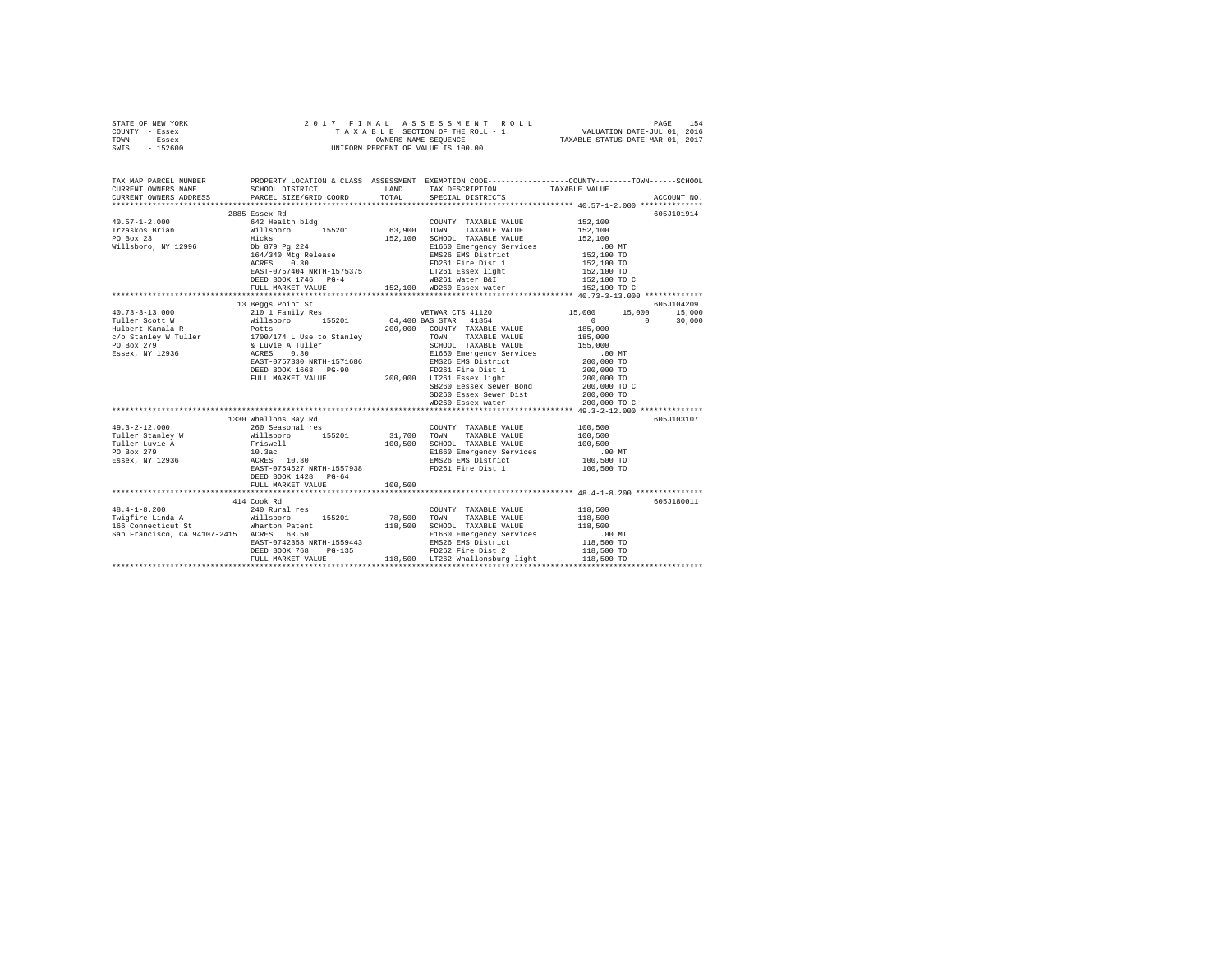| STATE OF NEW YORK | 2017 FINAL ASSESSMENT ROLL         | 154<br>PAGE                      |
|-------------------|------------------------------------|----------------------------------|
| COUNTY - Essex    | TAXABLE SECTION OF THE ROLL - 1    | VALUATION DATE-JUL 01, 2016      |
| TOWN<br>- Essex   | OWNERS NAME SEOUENCE               | TAXABLE STATUS DATE-MAR 01, 2017 |
| $-152600$<br>SWIS | UNIFORM PERCENT OF VALUE IS 100.00 |                                  |

| TAX MAP PARCEL NUMBER                                                                                                                                                                                                                                                                                                                                                                                   |                                                                        | PROPERTY LOCATION & CLASS ASSESSMENT EXEMPTION CODE----------------COUNTY-------TOWN------SCHOOL |            |
|---------------------------------------------------------------------------------------------------------------------------------------------------------------------------------------------------------------------------------------------------------------------------------------------------------------------------------------------------------------------------------------------------------|------------------------------------------------------------------------|--------------------------------------------------------------------------------------------------|------------|
|                                                                                                                                                                                                                                                                                                                                                                                                         |                                                                        |                                                                                                  |            |
| CURRENT OWNERS ADAME SCHOOL DISTRICT LAND TAX DESCRIPTION TAXABLE VALUE ACCOUNT NO. ACCOUNT NO SCHOOL DISTRICT LAND TAX DESCRIPTION TAXABLE VALUE ACCOUNT NO.                                                                                                                                                                                                                                           |                                                                        |                                                                                                  |            |
|                                                                                                                                                                                                                                                                                                                                                                                                         | 2885 Essex Rd                                                          |                                                                                                  | 605J101914 |
|                                                                                                                                                                                                                                                                                                                                                                                                         |                                                                        |                                                                                                  |            |
|                                                                                                                                                                                                                                                                                                                                                                                                         |                                                                        |                                                                                                  |            |
|                                                                                                                                                                                                                                                                                                                                                                                                         |                                                                        |                                                                                                  |            |
|                                                                                                                                                                                                                                                                                                                                                                                                         |                                                                        |                                                                                                  |            |
|                                                                                                                                                                                                                                                                                                                                                                                                         |                                                                        |                                                                                                  |            |
|                                                                                                                                                                                                                                                                                                                                                                                                         |                                                                        |                                                                                                  |            |
|                                                                                                                                                                                                                                                                                                                                                                                                         |                                                                        |                                                                                                  |            |
|                                                                                                                                                                                                                                                                                                                                                                                                         |                                                                        |                                                                                                  |            |
|                                                                                                                                                                                                                                                                                                                                                                                                         |                                                                        |                                                                                                  |            |
|                                                                                                                                                                                                                                                                                                                                                                                                         |                                                                        |                                                                                                  |            |
|                                                                                                                                                                                                                                                                                                                                                                                                         | 13 Beggs Point St                                                      |                                                                                                  | 605J104209 |
|                                                                                                                                                                                                                                                                                                                                                                                                         |                                                                        |                                                                                                  |            |
|                                                                                                                                                                                                                                                                                                                                                                                                         |                                                                        |                                                                                                  |            |
|                                                                                                                                                                                                                                                                                                                                                                                                         |                                                                        |                                                                                                  |            |
|                                                                                                                                                                                                                                                                                                                                                                                                         |                                                                        |                                                                                                  |            |
|                                                                                                                                                                                                                                                                                                                                                                                                         |                                                                        |                                                                                                  |            |
|                                                                                                                                                                                                                                                                                                                                                                                                         |                                                                        |                                                                                                  |            |
|                                                                                                                                                                                                                                                                                                                                                                                                         |                                                                        |                                                                                                  |            |
|                                                                                                                                                                                                                                                                                                                                                                                                         |                                                                        |                                                                                                  |            |
|                                                                                                                                                                                                                                                                                                                                                                                                         |                                                                        |                                                                                                  |            |
|                                                                                                                                                                                                                                                                                                                                                                                                         |                                                                        |                                                                                                  |            |
|                                                                                                                                                                                                                                                                                                                                                                                                         |                                                                        |                                                                                                  |            |
|                                                                                                                                                                                                                                                                                                                                                                                                         |                                                                        |                                                                                                  |            |
| $\begin{tabular}{l c c c c} \multicolumn{1}{c}{\textbf{40.73--3-13.000}} & \multicolumn{1}{c}{13.8898} & \multicolumn{1}{c}{13.8989} & \multicolumn{1}{c}{13.8989} & \multicolumn{1}{c}{13.8989} & \multicolumn{1}{c}{13.8989} & \multicolumn{1}{c}{13.8989} & \multicolumn{1}{c}{13.8989} & \multicolumn{1}{c}{13.8989} & \multicolumn{1}{c}{13.8989} & \multicolumn{1}{c}{13.8$                       |                                                                        |                                                                                                  |            |
| $\begin{tabular}{l c c c c c} \multicolumn{3}{c c c c} \multicolumn{3}{c c c} \multicolumn{3}{c c c} \multicolumn{3}{c c c} \multicolumn{3}{c c c} \multicolumn{3}{c c c} \multicolumn{3}{c c c} \multicolumn{3}{c c c} \multicolumn{3}{c c c} \multicolumn{3}{c c c} \multicolumn{3}{c c c} \multicolumn{3}{c c c} \multicolumn{3}{c c c} \multicolumn{3}{c c c} \multicolumn{3}{c c c} \multicolumn{$ | 1330 Whallons Bay Rd                                                   |                                                                                                  | 605J103107 |
|                                                                                                                                                                                                                                                                                                                                                                                                         |                                                                        |                                                                                                  |            |
|                                                                                                                                                                                                                                                                                                                                                                                                         |                                                                        |                                                                                                  |            |
|                                                                                                                                                                                                                                                                                                                                                                                                         |                                                                        |                                                                                                  |            |
|                                                                                                                                                                                                                                                                                                                                                                                                         |                                                                        |                                                                                                  |            |
|                                                                                                                                                                                                                                                                                                                                                                                                         |                                                                        |                                                                                                  |            |
|                                                                                                                                                                                                                                                                                                                                                                                                         |                                                                        |                                                                                                  |            |
|                                                                                                                                                                                                                                                                                                                                                                                                         | DEED BOOK 1428 PG-64<br>FULL MARKET VALUE<br>FULL MARKET VALUE 100,500 |                                                                                                  |            |
|                                                                                                                                                                                                                                                                                                                                                                                                         |                                                                        |                                                                                                  |            |
|                                                                                                                                                                                                                                                                                                                                                                                                         | 414 Cook Rd                                                            |                                                                                                  | 605J180011 |
|                                                                                                                                                                                                                                                                                                                                                                                                         |                                                                        |                                                                                                  |            |
|                                                                                                                                                                                                                                                                                                                                                                                                         |                                                                        |                                                                                                  |            |
|                                                                                                                                                                                                                                                                                                                                                                                                         |                                                                        |                                                                                                  |            |
|                                                                                                                                                                                                                                                                                                                                                                                                         |                                                                        |                                                                                                  |            |
|                                                                                                                                                                                                                                                                                                                                                                                                         |                                                                        |                                                                                                  |            |
|                                                                                                                                                                                                                                                                                                                                                                                                         |                                                                        |                                                                                                  |            |
|                                                                                                                                                                                                                                                                                                                                                                                                         |                                                                        |                                                                                                  |            |
|                                                                                                                                                                                                                                                                                                                                                                                                         |                                                                        |                                                                                                  |            |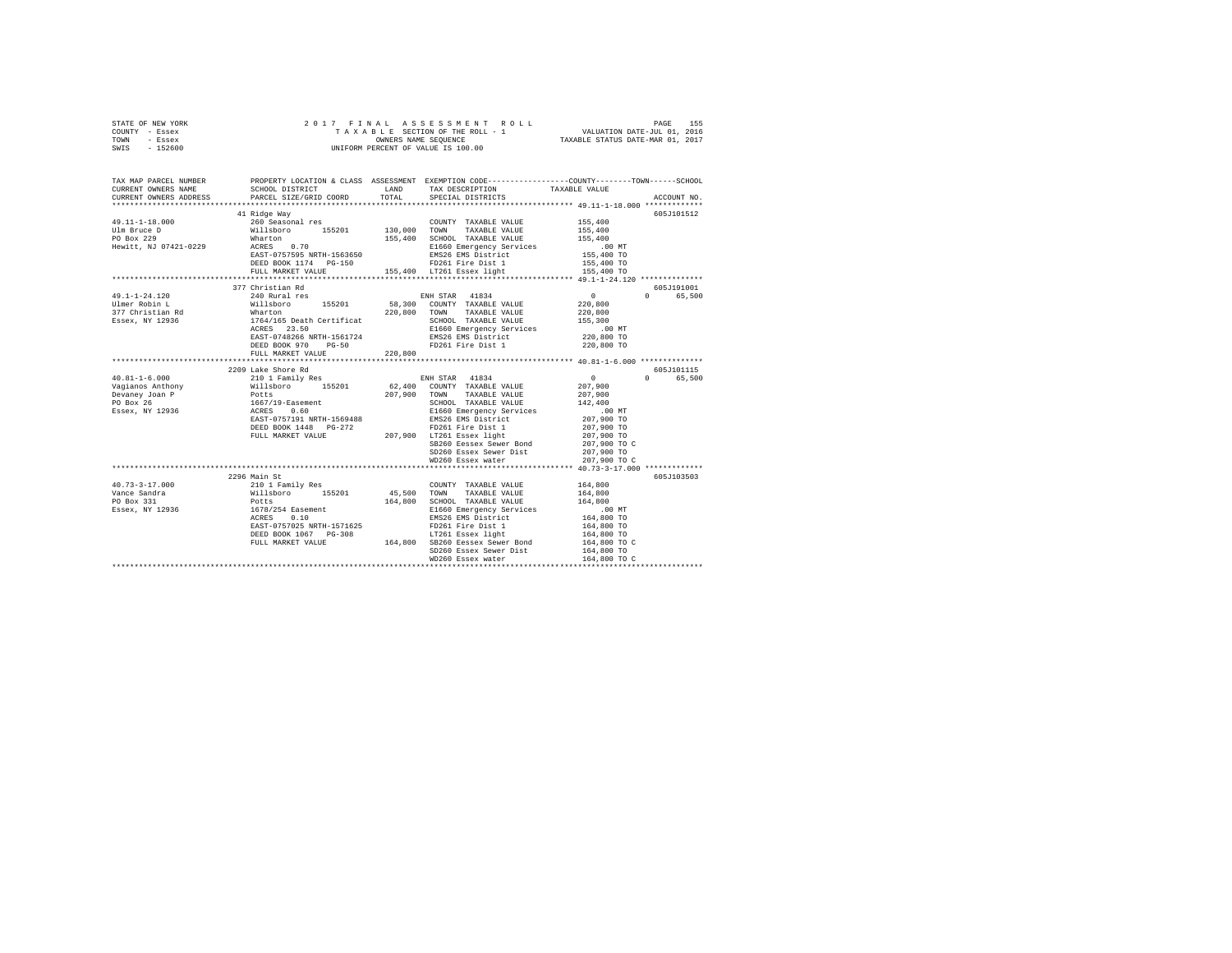|      | STATE OF NEW YORK |  | 2017 FINAL ASSESSMENT ROLL         |                             | PAGE | 155 |
|------|-------------------|--|------------------------------------|-----------------------------|------|-----|
|      | COUNTY - Essex    |  | TAXABLE SECTION OF THE ROLL - 1    | VALUATION DATE-JUL 01, 2016 |      |     |
| TOWN | - Essex           |  | TAXABLE STATUS DATE-MAR 01, 2017   |                             |      |     |
| SWIS | - 152600          |  | UNIFORM PERCENT OF VALUE IS 100.00 |                             |      |     |

| TAX MAP PARCEL NUMBER<br>CURRENT OWNERS NAME<br>CURRENT OWNERS ADDRESS | SCHOOL DISTRICT<br>PARCEL SIZE/GRID COORD                                                                                                             | TOTAL   | PROPERTY LOCATION & CLASS ASSESSMENT EXEMPTION CODE---------------COUNTY-------TOWN------SCHOOL<br>LAND TAX DESCRIPTION<br>SPECIAL DISTRICTS | TAXABLE VALUE                                       | ACCOUNT NO.        |
|------------------------------------------------------------------------|-------------------------------------------------------------------------------------------------------------------------------------------------------|---------|----------------------------------------------------------------------------------------------------------------------------------------------|-----------------------------------------------------|--------------------|
|                                                                        |                                                                                                                                                       |         |                                                                                                                                              |                                                     |                    |
|                                                                        | 41 Ridge Way                                                                                                                                          |         |                                                                                                                                              |                                                     | 605J101512         |
|                                                                        |                                                                                                                                                       |         |                                                                                                                                              |                                                     |                    |
|                                                                        |                                                                                                                                                       |         |                                                                                                                                              |                                                     |                    |
|                                                                        |                                                                                                                                                       |         |                                                                                                                                              |                                                     |                    |
|                                                                        |                                                                                                                                                       |         |                                                                                                                                              | .00 MT                                              |                    |
|                                                                        |                                                                                                                                                       |         | EMS26 EMS District<br>ED261 Fire Dist 1                                                                                                      | 155,400 TO<br>155,400 TO                            |                    |
|                                                                        | DEED BOOK 1174 PG-150                                                                                                                                 |         | FD261 Fire Dist 1                                                                                                                            |                                                     |                    |
|                                                                        |                                                                                                                                                       |         |                                                                                                                                              |                                                     |                    |
|                                                                        |                                                                                                                                                       |         |                                                                                                                                              |                                                     |                    |
|                                                                        | 377 Christian Rd                                                                                                                                      |         |                                                                                                                                              |                                                     | 605J191001         |
| 49.1-1-24.120                                                          | 240 Rural res<br>240 Rural res 240 Rural Res 240 Rural Res 240 Rural Res 240 Rural Res 2011                                                           |         |                                                                                                                                              |                                                     | 0 65,500           |
|                                                                        |                                                                                                                                                       |         |                                                                                                                                              |                                                     |                    |
|                                                                        |                                                                                                                                                       |         |                                                                                                                                              |                                                     |                    |
|                                                                        |                                                                                                                                                       |         |                                                                                                                                              |                                                     |                    |
|                                                                        |                                                                                                                                                       |         |                                                                                                                                              | 00 MT.<br>220,800 TO                                |                    |
|                                                                        |                                                                                                                                                       |         |                                                                                                                                              |                                                     |                    |
|                                                                        | DEED BOOK 970 PG-50                                                                                                                                   | 220,800 | FD261 Fire Dist 1                                                                                                                            | 220,800 TO                                          |                    |
|                                                                        | FULL MARKET VALUE                                                                                                                                     |         |                                                                                                                                              |                                                     |                    |
|                                                                        | *************************                                                                                                                             |         | ************************                                                                                                                     | ********************* 40.81-1-6.000 *************** |                    |
|                                                                        | 2209 Lake Shore Rd                                                                                                                                    |         |                                                                                                                                              |                                                     | 605J101115         |
|                                                                        |                                                                                                                                                       |         |                                                                                                                                              | $0$<br>207,900                                      | $\Omega$<br>65,500 |
|                                                                        |                                                                                                                                                       |         |                                                                                                                                              |                                                     |                    |
|                                                                        |                                                                                                                                                       |         | 207,900 TOWN TAXABLE VALUE                                                                                                                   | 207,900<br>142,400                                  |                    |
|                                                                        |                                                                                                                                                       |         | SCHOOL TAXABLE VALUE<br>E1660 Emergency Services                                                                                             | .00 MT                                              |                    |
|                                                                        |                                                                                                                                                       |         |                                                                                                                                              | 207,900 TO                                          |                    |
|                                                                        |                                                                                                                                                       |         | EMS26 EMS District<br>ED261 Eine Dist 1                                                                                                      |                                                     |                    |
|                                                                        | EAST-0757191 NRTH-1569488<br>DEED BOOK 1448 PG-272<br>FULL MARKET VALUE 2072 207,900 FDZ61 Fire Dist 1<br>FULL MARKET VALUE 207,900 LTZ61 Essex light |         |                                                                                                                                              | 207,900 TO<br>207,900 TO                            |                    |
|                                                                        |                                                                                                                                                       |         | SB260 Eessex Sewer Bond                                                                                                                      | 207,900 TO C                                        |                    |
|                                                                        |                                                                                                                                                       |         | SD260 Essex Sewer Dist 207,900 TO                                                                                                            |                                                     |                    |
|                                                                        |                                                                                                                                                       |         | WD260 Essex water                                                                                                                            | 207,900 TO C                                        |                    |
|                                                                        |                                                                                                                                                       |         |                                                                                                                                              |                                                     |                    |
|                                                                        | 2296 Main St                                                                                                                                          |         |                                                                                                                                              |                                                     | 605J103503         |
| $40.73 - 3 - 17.000$                                                   |                                                                                                                                                       |         | COUNTY TAXABLE VALUE 164,800                                                                                                                 |                                                     |                    |
| Vance Sandra                                                           |                                                                                                                                                       |         | 45,500 TOWN TAXABLE VALUE                                                                                                                    | 164,800                                             |                    |
| PO Box 331                                                             |                                                                                                                                                       |         | 164,800 SCHOOL TAXABLE VALUE                                                                                                                 | 164,800                                             |                    |
| Essex, NY 12936                                                        | 2230 main 3c<br>210 1 Family Res<br>Willaboro 155201 45,500<br>Potts 164,800<br>164,800<br>ACRES 0.10                                                 |         | E1660 Emergency Services                                                                                                                     |                                                     |                    |
|                                                                        |                                                                                                                                                       |         | EMS26 EMS District                                                                                                                           | 00 MT.<br>164,800 TO                                |                    |
|                                                                        | EAST-0757025 NRTH-1571625                                                                                                                             |         | FD261 Fire Dist 1                                                                                                                            | 164,800 TO                                          |                    |
|                                                                        | DEED BOOK 1067 PG-308                                                                                                                                 |         |                                                                                                                                              | 164,800 TO                                          |                    |
|                                                                        |                                                                                                                                                       |         | DEED BOOK 1067 PG-308 LT261 Essex light<br>FULL MARKET VALUE 164,800 SB260 Eessex Sewer Bond                                                 | 164,800 TO C                                        |                    |
|                                                                        |                                                                                                                                                       |         | SD260 Essex Sewer Dist                                                                                                                       | 164,800 TO                                          |                    |
|                                                                        |                                                                                                                                                       |         | WD260 Essex water                                                                                                                            | 164,800 TO C                                        |                    |
|                                                                        |                                                                                                                                                       |         |                                                                                                                                              |                                                     |                    |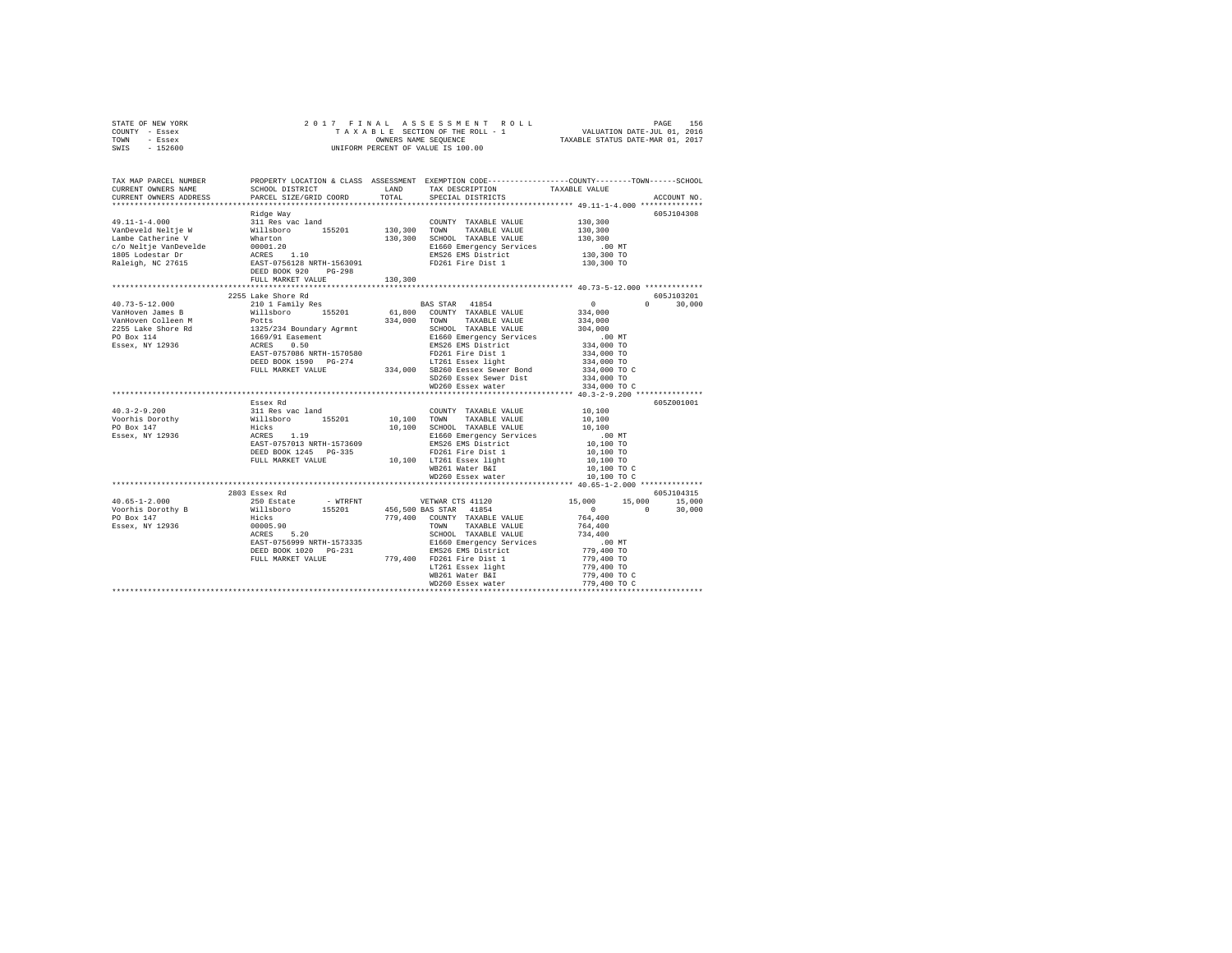| STATE OF NEW YORK<br>COUNTY - Essex<br>TOWN - Essex<br>SWIS - 152600                                                                                                                                                                                                                                                                                                                                            |                    |                   |                           |                             |
|-----------------------------------------------------------------------------------------------------------------------------------------------------------------------------------------------------------------------------------------------------------------------------------------------------------------------------------------------------------------------------------------------------------------|--------------------|-------------------|---------------------------|-----------------------------|
| TAX MAP PARCEL NUMBER PROPERTY LOCATION & CLASS ASSESSMENT EXEMPTION CODE---------------COUNTY-------TOWN------SCHOOL<br>CURRENT OWNERS NAME                                                                                                                                                                                                                                                                    |                    |                   |                           |                             |
| CURRENT OWNERS ADDRESS                                                                                                                                                                                                                                                                                                                                                                                          |                    |                   |                           | ACCOUNT NO.                 |
|                                                                                                                                                                                                                                                                                                                                                                                                                 |                    |                   |                           |                             |
|                                                                                                                                                                                                                                                                                                                                                                                                                 |                    |                   |                           | 605J104308                  |
|                                                                                                                                                                                                                                                                                                                                                                                                                 |                    |                   | 130,300                   |                             |
|                                                                                                                                                                                                                                                                                                                                                                                                                 |                    |                   | $\frac{130,300}{130,300}$ |                             |
|                                                                                                                                                                                                                                                                                                                                                                                                                 |                    |                   | .00 MT                    |                             |
|                                                                                                                                                                                                                                                                                                                                                                                                                 |                    |                   |                           |                             |
|                                                                                                                                                                                                                                                                                                                                                                                                                 |                    |                   | 130,300 TO<br>130,300 TO  |                             |
|                                                                                                                                                                                                                                                                                                                                                                                                                 |                    |                   |                           |                             |
|                                                                                                                                                                                                                                                                                                                                                                                                                 |                    |                   |                           |                             |
|                                                                                                                                                                                                                                                                                                                                                                                                                 |                    |                   |                           |                             |
|                                                                                                                                                                                                                                                                                                                                                                                                                 | 2255 Lake Shore Rd |                   |                           | 605J103201<br>$0 \t 30.000$ |
|                                                                                                                                                                                                                                                                                                                                                                                                                 |                    |                   |                           |                             |
|                                                                                                                                                                                                                                                                                                                                                                                                                 |                    |                   |                           |                             |
|                                                                                                                                                                                                                                                                                                                                                                                                                 |                    |                   |                           |                             |
|                                                                                                                                                                                                                                                                                                                                                                                                                 |                    |                   |                           |                             |
|                                                                                                                                                                                                                                                                                                                                                                                                                 |                    |                   |                           |                             |
|                                                                                                                                                                                                                                                                                                                                                                                                                 |                    |                   |                           |                             |
| $\begin{tabular}{l c c c c c} \multicolumn{3}{c}{\textbf{40.73--5--12.000}} & \multicolumn{3}{c}{2255~\text{Lake Shore }\text{Rd}} & \multicolumn{3}{c}{215~\text{Table}~\text{S}} & \multicolumn{3}{c}{\textbf{BAS STAR}} & \multicolumn{3}{c}{410~\text{Family Res}} & \multicolumn{3}{c}{\textbf{0.85--12.000}} & \multicolumn{3}{c}{\textbf{0.85--12.000}} & \multicolumn{3}{c}{\textbf{0.85--12.000}} & \$ |                    |                   |                           |                             |
|                                                                                                                                                                                                                                                                                                                                                                                                                 |                    |                   |                           |                             |
|                                                                                                                                                                                                                                                                                                                                                                                                                 |                    | WD260 Essex water | 334,000 TO C              |                             |
|                                                                                                                                                                                                                                                                                                                                                                                                                 |                    |                   |                           |                             |
|                                                                                                                                                                                                                                                                                                                                                                                                                 |                    |                   |                           | 605Z001001                  |
|                                                                                                                                                                                                                                                                                                                                                                                                                 |                    |                   |                           |                             |
|                                                                                                                                                                                                                                                                                                                                                                                                                 |                    |                   |                           |                             |
|                                                                                                                                                                                                                                                                                                                                                                                                                 |                    |                   |                           |                             |
|                                                                                                                                                                                                                                                                                                                                                                                                                 |                    |                   |                           |                             |
|                                                                                                                                                                                                                                                                                                                                                                                                                 |                    |                   |                           |                             |
|                                                                                                                                                                                                                                                                                                                                                                                                                 |                    |                   |                           |                             |
|                                                                                                                                                                                                                                                                                                                                                                                                                 |                    |                   |                           |                             |
|                                                                                                                                                                                                                                                                                                                                                                                                                 |                    |                   |                           |                             |
|                                                                                                                                                                                                                                                                                                                                                                                                                 |                    |                   |                           |                             |
|                                                                                                                                                                                                                                                                                                                                                                                                                 | 2803 Essex Rd      |                   |                           | 605J104315                  |
|                                                                                                                                                                                                                                                                                                                                                                                                                 |                    |                   |                           |                             |
|                                                                                                                                                                                                                                                                                                                                                                                                                 |                    |                   |                           |                             |
|                                                                                                                                                                                                                                                                                                                                                                                                                 |                    |                   |                           |                             |
|                                                                                                                                                                                                                                                                                                                                                                                                                 |                    |                   |                           |                             |
|                                                                                                                                                                                                                                                                                                                                                                                                                 |                    |                   |                           |                             |
|                                                                                                                                                                                                                                                                                                                                                                                                                 |                    |                   |                           |                             |
|                                                                                                                                                                                                                                                                                                                                                                                                                 |                    |                   |                           |                             |
|                                                                                                                                                                                                                                                                                                                                                                                                                 |                    |                   |                           |                             |
|                                                                                                                                                                                                                                                                                                                                                                                                                 |                    |                   |                           |                             |
|                                                                                                                                                                                                                                                                                                                                                                                                                 |                    |                   |                           |                             |
|                                                                                                                                                                                                                                                                                                                                                                                                                 |                    |                   |                           |                             |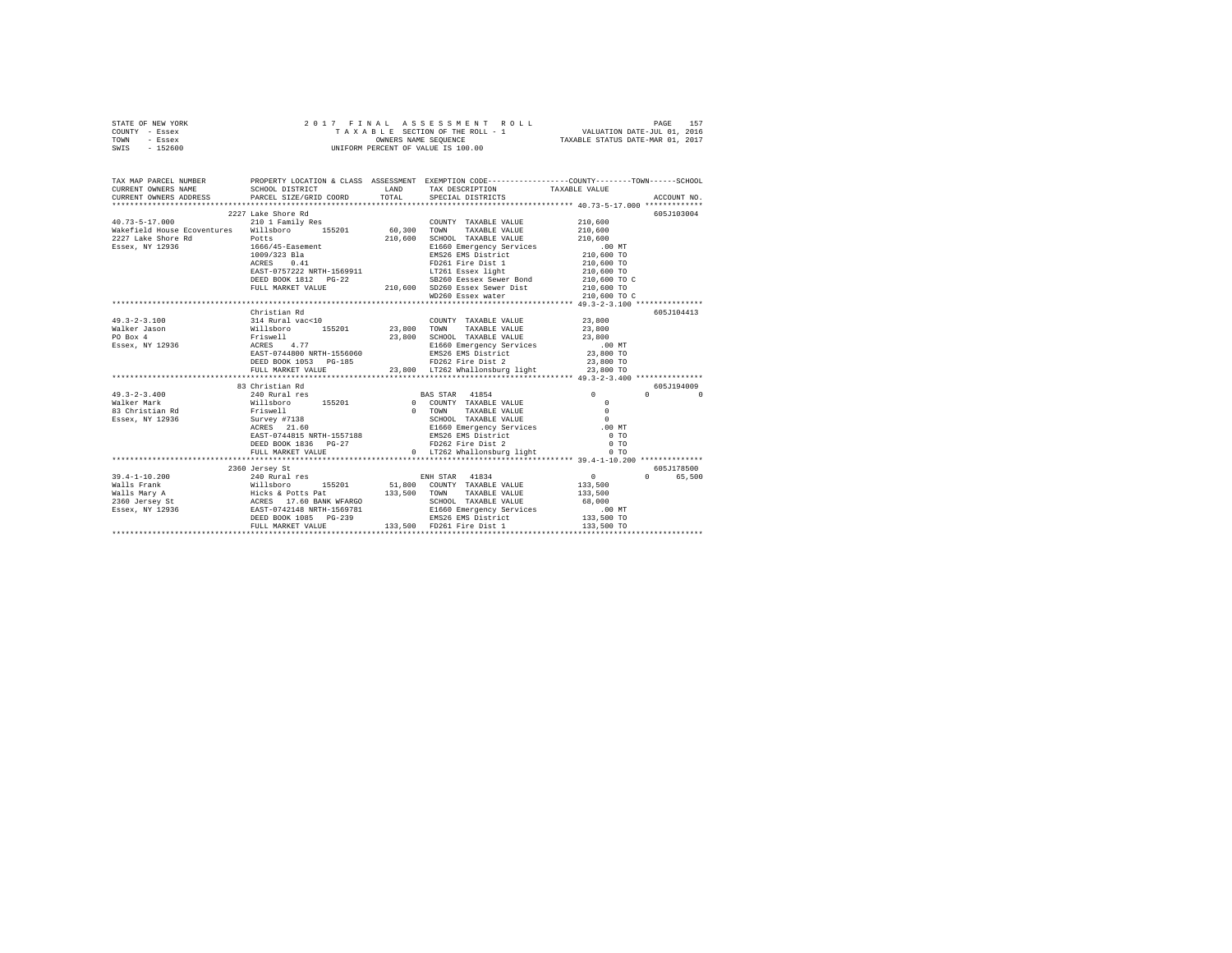| STATE OF NEW YORK | 2017 FINAL ASSESSMENT ROLL         | 157<br>PAGE                      |
|-------------------|------------------------------------|----------------------------------|
| COUNTY - Essex    | TAXABLE SECTION OF THE ROLL - 1    | VALUATION DATE-JUL 01, 2016      |
| TOWN<br>- Essex   | OWNERS NAME SEOUENCE               | TAXABLE STATUS DATE-MAR 01, 2017 |
| - 152600<br>SWIS  | UNIFORM PERCENT OF VALUE IS 100.00 |                                  |

| TAX MAP PARCEL NUMBER                                                                    |                              |                                                                                                                                                                                                                                                          |                                   |          |
|------------------------------------------------------------------------------------------|------------------------------|----------------------------------------------------------------------------------------------------------------------------------------------------------------------------------------------------------------------------------------------------------|-----------------------------------|----------|
| CURRENT OWNERS NAME                                                                      |                              |                                                                                                                                                                                                                                                          |                                   |          |
|                                                                                          |                              |                                                                                                                                                                                                                                                          |                                   |          |
|                                                                                          |                              |                                                                                                                                                                                                                                                          |                                   |          |
| $40.73 - 5 - 17.000$                                                                     | 2227 Lake Shore Rd           |                                                                                                                                                                                                                                                          | 605J103004                        |          |
|                                                                                          | 210 1 Family Res             | COUNTY TAXABLE VALUE 210,600                                                                                                                                                                                                                             |                                   |          |
| Wakefield House Ecoventures Willsboro 155201 60,300                                      |                              | TAXABLE VALUE 210,600<br>TOWN                                                                                                                                                                                                                            |                                   |          |
| 2227 Lake Shore Rd<br>Essex, NY 12936                                   1666/45-Easement | an an Albanya.<br>Mga kalawa | $\begin{tabular}{cc} 210,600 & SCHOLD & TAXABLE VALUE & 210,600El660 Emergency Services & .00 MTEMS26 EMS District & 210,600 TO \\ \end{tabular}$                                                                                                        |                                   |          |
|                                                                                          |                              |                                                                                                                                                                                                                                                          |                                   |          |
|                                                                                          | 1009/323 Bla                 |                                                                                                                                                                                                                                                          |                                   |          |
|                                                                                          |                              |                                                                                                                                                                                                                                                          |                                   |          |
|                                                                                          |                              |                                                                                                                                                                                                                                                          |                                   |          |
|                                                                                          |                              |                                                                                                                                                                                                                                                          |                                   |          |
|                                                                                          |                              |                                                                                                                                                                                                                                                          |                                   |          |
|                                                                                          |                              | 1664/49-42848<br>1609/323 Bla<br>2009/323 Bla<br>2009/323 Bla<br>2009/323 Bla<br>2009/323 Bla<br>2009/323 Bla<br>210,600 TO<br>DEED BOOK 1812 PG-22<br>210,600 SB260 Essex Sewer Bond<br>210,600 TO<br>210,600 TO<br>210,600 SB260 Essex were Bond<br>21 |                                   |          |
|                                                                                          |                              |                                                                                                                                                                                                                                                          |                                   |          |
|                                                                                          | Christian Rd                 |                                                                                                                                                                                                                                                          | 605J104413                        |          |
| $49.3 - 2 - 3.100$                                                                       |                              |                                                                                                                                                                                                                                                          |                                   |          |
| Walker Jason                                                                             |                              |                                                                                                                                                                                                                                                          |                                   |          |
| PO Box 4                                                                                 |                              |                                                                                                                                                                                                                                                          |                                   |          |
| Essex, NY 12936                                                                          |                              |                                                                                                                                                                                                                                                          |                                   |          |
|                                                                                          |                              | 0314 Rural Wac<br>410 23,800 TOUNTY TAXABLE VALUE 23,800 NIILBORTO 155201 23,800 TOWN TAXABLE VALUE 23,800 TO<br>23,800 SCHOOL TAXABLE VALUE 23,800 FITSWELL 23,800 ACRES<br>23,800 ACRES 4.77 23,800 EL660 BAST-0744800 NRTH-155                        |                                   |          |
|                                                                                          |                              | DEED BOOK 1053 PG-185 <b>PG-185</b> FD262 Fire Dist 2 23,800 TO                                                                                                                                                                                          |                                   |          |
|                                                                                          | FULL MARKET VALUE            | 23,800 LT262 Whallonsburg light 23,800 TO                                                                                                                                                                                                                |                                   |          |
|                                                                                          |                              |                                                                                                                                                                                                                                                          |                                   |          |
|                                                                                          | 83 Christian Rd              |                                                                                                                                                                                                                                                          | 605J194009                        |          |
| $49.3 - 2 - 3.400$                                                                       |                              |                                                                                                                                                                                                                                                          | $\sim$ 0<br>$\Omega$ and $\Omega$ | $\Omega$ |
|                                                                                          |                              |                                                                                                                                                                                                                                                          |                                   |          |
|                                                                                          |                              |                                                                                                                                                                                                                                                          |                                   |          |
|                                                                                          |                              |                                                                                                                                                                                                                                                          |                                   |          |
|                                                                                          |                              |                                                                                                                                                                                                                                                          |                                   |          |
|                                                                                          |                              |                                                                                                                                                                                                                                                          |                                   |          |
|                                                                                          |                              |                                                                                                                                                                                                                                                          |                                   |          |
|                                                                                          |                              | FULL MARKET VALUE 6 0 LT262 Whallonsburg light                                                                                                                                                                                                           | 0.70                              |          |
|                                                                                          |                              |                                                                                                                                                                                                                                                          |                                   |          |
|                                                                                          | 2360 Jersev St               |                                                                                                                                                                                                                                                          | 605J178500                        |          |
|                                                                                          |                              |                                                                                                                                                                                                                                                          | 0 65,500                          |          |
|                                                                                          |                              |                                                                                                                                                                                                                                                          |                                   |          |
|                                                                                          |                              |                                                                                                                                                                                                                                                          |                                   |          |
|                                                                                          |                              |                                                                                                                                                                                                                                                          |                                   |          |
|                                                                                          |                              |                                                                                                                                                                                                                                                          |                                   |          |
|                                                                                          |                              |                                                                                                                                                                                                                                                          |                                   |          |
|                                                                                          | FULL MARKET VALUE            | 133,500 FD261 Fire Dist 1                                                                                                                                                                                                                                | 133,500 TO                        |          |
|                                                                                          |                              |                                                                                                                                                                                                                                                          |                                   |          |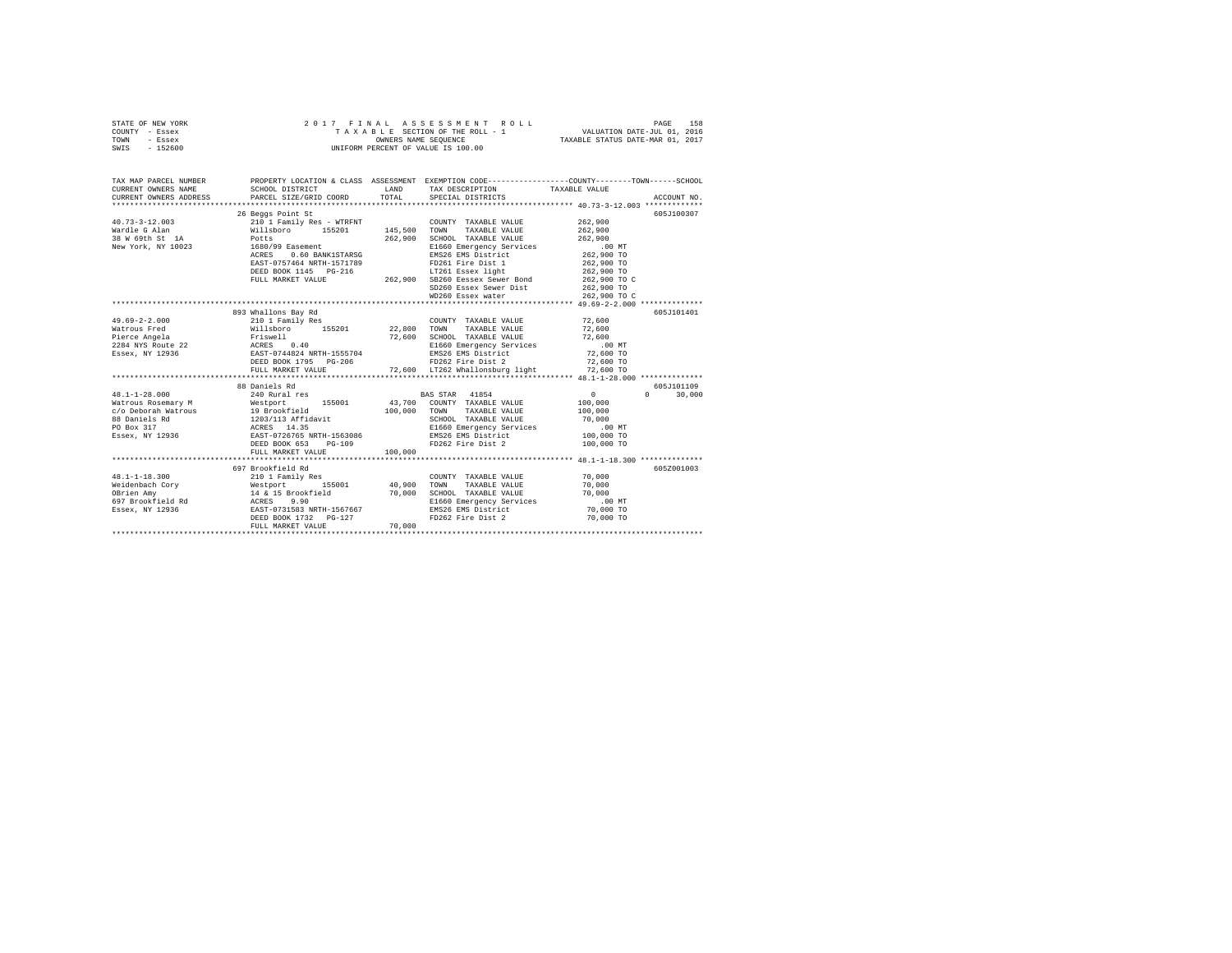| STATE OF NEW YORK<br>COUNTY - Essex<br>TOWN<br>- Essex<br>SWIS - 152600 | 2017 FINAL ASSESSMENT F<br>TAXABLE SECTION OF THE ROLL - 1<br>UNIFORM PERCENT OF VALUE IS 100.00                                                                                                                                                                                                                                                                                                                 |        | 7 FINAL ASSESSMENT ROLL TAXABLE PAGE 158<br>TAXABLE SECTION OF THE ROLL - 1 VALUATION DATE-JUL 01, 2016<br>OWNERS NAME SEQUENCE  TAXABLE STATUS DATE-NAR 01, 2017 |                      |               |
|-------------------------------------------------------------------------|------------------------------------------------------------------------------------------------------------------------------------------------------------------------------------------------------------------------------------------------------------------------------------------------------------------------------------------------------------------------------------------------------------------|--------|-------------------------------------------------------------------------------------------------------------------------------------------------------------------|----------------------|---------------|
|                                                                         | TAX MAP PARCEL NUMBER PROPERTY LOCATION & CLASS ASSESSMENT EXEMPTION CODE--------------COUNTY-------TOWN------SCHOOL                                                                                                                                                                                                                                                                                             |        |                                                                                                                                                                   |                      |               |
|                                                                         |                                                                                                                                                                                                                                                                                                                                                                                                                  |        |                                                                                                                                                                   |                      | ACCOUNT NO.   |
|                                                                         | 26 Beggs Point St                                                                                                                                                                                                                                                                                                                                                                                                |        |                                                                                                                                                                   |                      | 605-7100307   |
|                                                                         |                                                                                                                                                                                                                                                                                                                                                                                                                  |        |                                                                                                                                                                   |                      |               |
|                                                                         |                                                                                                                                                                                                                                                                                                                                                                                                                  |        |                                                                                                                                                                   |                      |               |
|                                                                         |                                                                                                                                                                                                                                                                                                                                                                                                                  |        |                                                                                                                                                                   |                      |               |
|                                                                         |                                                                                                                                                                                                                                                                                                                                                                                                                  |        |                                                                                                                                                                   |                      |               |
|                                                                         |                                                                                                                                                                                                                                                                                                                                                                                                                  |        |                                                                                                                                                                   |                      |               |
|                                                                         |                                                                                                                                                                                                                                                                                                                                                                                                                  |        |                                                                                                                                                                   |                      |               |
|                                                                         |                                                                                                                                                                                                                                                                                                                                                                                                                  |        |                                                                                                                                                                   |                      |               |
|                                                                         |                                                                                                                                                                                                                                                                                                                                                                                                                  |        |                                                                                                                                                                   |                      |               |
|                                                                         |                                                                                                                                                                                                                                                                                                                                                                                                                  |        | SD260 Essex Sewer Dist                                                                                                                                            | 262,900 TO           |               |
|                                                                         |                                                                                                                                                                                                                                                                                                                                                                                                                  |        | WD260 Essex water                                                                                                                                                 | 262,900 TO C         |               |
|                                                                         |                                                                                                                                                                                                                                                                                                                                                                                                                  |        |                                                                                                                                                                   |                      |               |
|                                                                         | 893 Whallons Bay Rd                                                                                                                                                                                                                                                                                                                                                                                              |        |                                                                                                                                                                   |                      | 605J101401    |
| $49.69 - 2 - 2.000$                                                     | 210 1 Family Res                                                                                                                                                                                                                                                                                                                                                                                                 |        | COUNTY TAXABLE VALUE                                                                                                                                              | 72,600               |               |
|                                                                         |                                                                                                                                                                                                                                                                                                                                                                                                                  |        |                                                                                                                                                                   |                      |               |
|                                                                         | $\begin{tabular}{l c c c c c} \multicolumn{2}{c}{\textbf{WAP}1111} & \multicolumn{2}{c}{\textbf{WAP}111} & \multicolumn{2}{c}{\textbf{WAP}111} & \multicolumn{2}{c}{\textbf{WAP}111} & \multicolumn{2}{c}{\textbf{WAP}111} & \multicolumn{2}{c}{\textbf{WAP}111} & \multicolumn{2}{c}{\textbf{WAP}111} & \multicolumn{2}{c}{\textbf{WAP}111} & \multicolumn{2}{c}{\textbf{WAP}111} & \multicolumn{2}{c}{\textbf$ |        |                                                                                                                                                                   |                      |               |
|                                                                         |                                                                                                                                                                                                                                                                                                                                                                                                                  |        |                                                                                                                                                                   |                      |               |
|                                                                         |                                                                                                                                                                                                                                                                                                                                                                                                                  |        |                                                                                                                                                                   |                      |               |
|                                                                         |                                                                                                                                                                                                                                                                                                                                                                                                                  |        |                                                                                                                                                                   |                      |               |
|                                                                         |                                                                                                                                                                                                                                                                                                                                                                                                                  |        |                                                                                                                                                                   |                      |               |
|                                                                         |                                                                                                                                                                                                                                                                                                                                                                                                                  |        |                                                                                                                                                                   |                      |               |
|                                                                         | 88 Daniels Rd                                                                                                                                                                                                                                                                                                                                                                                                    |        |                                                                                                                                                                   |                      | 605J101109    |
|                                                                         |                                                                                                                                                                                                                                                                                                                                                                                                                  |        |                                                                                                                                                                   | $\sim$ 0             | $0 \t 30,000$ |
|                                                                         |                                                                                                                                                                                                                                                                                                                                                                                                                  |        |                                                                                                                                                                   | 100,000              |               |
|                                                                         |                                                                                                                                                                                                                                                                                                                                                                                                                  |        |                                                                                                                                                                   | 100,000              |               |
|                                                                         |                                                                                                                                                                                                                                                                                                                                                                                                                  |        |                                                                                                                                                                   | 70,000               |               |
|                                                                         |                                                                                                                                                                                                                                                                                                                                                                                                                  |        |                                                                                                                                                                   | 00 MT.<br>100,000 TO |               |
|                                                                         |                                                                                                                                                                                                                                                                                                                                                                                                                  |        |                                                                                                                                                                   |                      |               |
|                                                                         |                                                                                                                                                                                                                                                                                                                                                                                                                  |        |                                                                                                                                                                   | 100,000 TO           |               |
|                                                                         |                                                                                                                                                                                                                                                                                                                                                                                                                  |        |                                                                                                                                                                   |                      |               |
|                                                                         |                                                                                                                                                                                                                                                                                                                                                                                                                  |        |                                                                                                                                                                   |                      |               |
|                                                                         | 697 Brookfield Rd                                                                                                                                                                                                                                                                                                                                                                                                |        |                                                                                                                                                                   |                      | 605Z001003    |
|                                                                         |                                                                                                                                                                                                                                                                                                                                                                                                                  |        | COUNTY TAXABLE VALUE                                                                                                                                              | 70,000               |               |
|                                                                         |                                                                                                                                                                                                                                                                                                                                                                                                                  |        | TOWN<br>TAXABLE VALUE                                                                                                                                             | 70,000<br>70,000     |               |
|                                                                         |                                                                                                                                                                                                                                                                                                                                                                                                                  |        | 70,000 SCHOOL TAXABLE VALUE                                                                                                                                       | $.00$ MT             |               |
|                                                                         |                                                                                                                                                                                                                                                                                                                                                                                                                  |        | E1660 Emergency Services<br>EMS26 EMS District                                                                                                                    | 70,000 TO            |               |
|                                                                         | DEED BOOK 1732 PG-127                                                                                                                                                                                                                                                                                                                                                                                            |        | FD262 Fire Dist 2                                                                                                                                                 | 70,000 TO            |               |
|                                                                         | FULL MARKET VALUE                                                                                                                                                                                                                                                                                                                                                                                                | 70,000 |                                                                                                                                                                   |                      |               |
|                                                                         |                                                                                                                                                                                                                                                                                                                                                                                                                  |        |                                                                                                                                                                   |                      |               |
|                                                                         |                                                                                                                                                                                                                                                                                                                                                                                                                  |        |                                                                                                                                                                   |                      |               |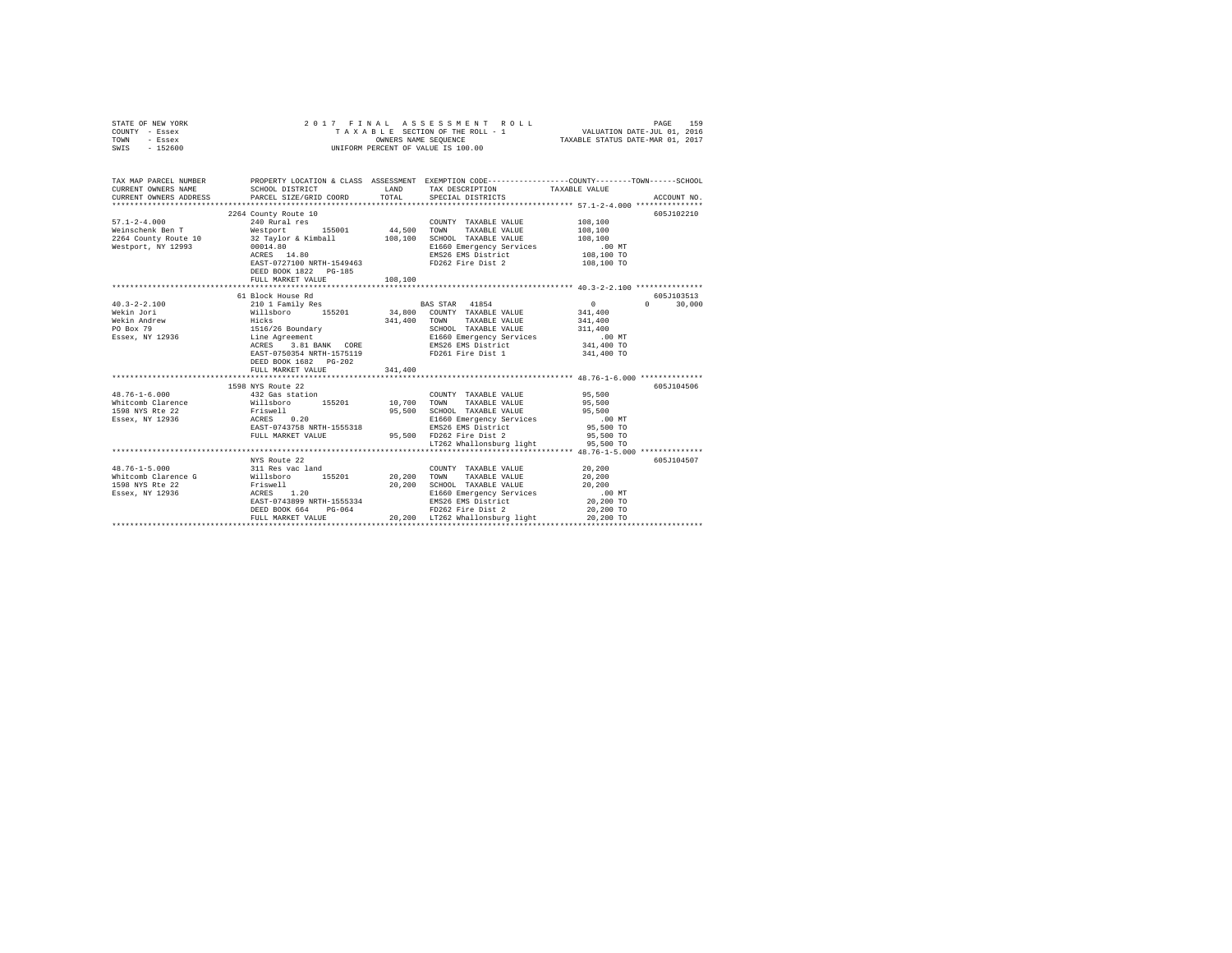| STATE OF NEW YORK<br>COUNTY - Essex<br>TOWN - Essex<br>SWIS - 152600                                                                                                                                                                                                                                                                                                                                                                                  | 2017 FINAL ASSESSMENT R<br>TAXABLE SECTION OF THE ROLL - 1<br>UNIFORM PERCENT OF VALUE IS 100.00                                                                                                                                                                                                                                                                                                                                                                        |         | PAGE 159 ו-PAGE 159 את PAGE 159 באפר 159 את PAGE 159 ו-PAGE 159 באפר 159 היה משפח המשפח בית המשפח המשפח המשפח<br>TAXABLE SECTION OF THE ROLL - 1 ו-OWNERS NAME SEQUENCE |                                                                                          |                             |
|-------------------------------------------------------------------------------------------------------------------------------------------------------------------------------------------------------------------------------------------------------------------------------------------------------------------------------------------------------------------------------------------------------------------------------------------------------|-------------------------------------------------------------------------------------------------------------------------------------------------------------------------------------------------------------------------------------------------------------------------------------------------------------------------------------------------------------------------------------------------------------------------------------------------------------------------|---------|-------------------------------------------------------------------------------------------------------------------------------------------------------------------------|------------------------------------------------------------------------------------------|-----------------------------|
| TAX MAP PARCEL NUMBER PROPERTY LOCATION & CLASS ASSESSMENT EXEMPTION CODE--------------COUNTY-------TOWN------SCHOOL<br>CURRENT OWNERS NAME<br>CURRENT OWNERS ADDRESS                                                                                                                                                                                                                                                                                 | SCHOOL DISTRICT TAND TAX DESCRIPTION<br>PARCEL SIZE/GRID COORD TOTAL                                                                                                                                                                                                                                                                                                                                                                                                    |         | SPECIAL DISTRICTS                                                                                                                                                       | TAXABLE VALUE                                                                            | ACCOUNT NO.                 |
| Westport, NY 12993                                                                                                                                                                                                                                                                                                                                                                                                                                    | 00014.80<br>$ACRES$ 14.80<br>EAST-0727100 NRTH-1549463 FD262 Fire Dist 2<br>DEED BOOK 1822 PG-185<br>FULL MARKET VALUE                                                                                                                                                                                                                                                                                                                                                  | 108,100 | COUNTY TAXABLE VALUE 108,100<br>E1660 Emergency Services<br>EMS26 EMS District                                                                                          | 108,100<br>108,100<br>00 MT.<br>108,100 TO<br>108,100 TO                                 | 605J102210                  |
|                                                                                                                                                                                                                                                                                                                                                                                                                                                       |                                                                                                                                                                                                                                                                                                                                                                                                                                                                         |         |                                                                                                                                                                         |                                                                                          |                             |
| $40.3 - 2 - 2.100$<br>Wekin Jori<br>Wekin Andrew<br>PO Box 79<br>Essex, NY 12936                                                                                                                                                                                                                                                                                                                                                                      | 61 Block House Rd<br>$\begin{tabular}{l c c c c c} \multicolumn{1}{c}{\textbf{210 1 Pauli} Yes} & \textbf{BAS STR} & \textbf{41854} \\ \multicolumn{1}{c}{\textbf{311 11} 11} & \textbf{511} & \textbf{5201} & \textbf{34,800} & \textbf{CONNT} & \textbf{TAXABLE VALUE} \\ \multicolumn{1}{c}{\textbf{111} 11} & \textbf{511} & \textbf{5201} & \textbf{34,800} & \textbf{CONNT} & \textbf{TAXABLE VALUE} \\ \multicolumn{1}{c}{\textbf{1$<br>DEED BOOK 1682    PG-202 |         | BAS STAR 41854<br>SCHOOL TAXABLE VALUE<br>SCHOOL TAXABLE VALUE<br>E1660 Emergency Services<br>EMS26 EMS District<br>FD261 Fire Dist 1                                   | $0 \qquad \qquad$<br>341,400<br>341,400<br>311,400<br>.00 MT<br>341,400 TO<br>341,400 TO | 605J103513<br>$0 \t 30.000$ |
|                                                                                                                                                                                                                                                                                                                                                                                                                                                       | FULL MARKET VALUE                                                                                                                                                                                                                                                                                                                                                                                                                                                       | 341,400 |                                                                                                                                                                         |                                                                                          |                             |
| $\begin{tabular}{l l l l l} \multicolumn{1}{c}{\textbf{432 Gass action}} & \multicolumn{1}{c}{\textbf{55201}} & \multicolumn{1}{c}{\textbf{55201}} & \multicolumn{1}{c}{\textbf{5530}} \\ \multicolumn{1}{c}{\textbf{432 Gass action}} & \multicolumn{1}{c}{\textbf{55201}} & \multicolumn{1}{c}{\textbf{10,700}} & \multicolumn{1}{c}{\textbf{777 A}XABLE VALUE} \\ \multicolumn{1}{c}{\textbf{1598 NTS RE 22}} & \multicolumn{1}{c}{\textbf{8195}}$ | 1598 NYS Route 22                                                                                                                                                                                                                                                                                                                                                                                                                                                       |         | LT262 Whallonsburg light 95,500 TO                                                                                                                                      | 95,500<br>95,500<br>95,500<br>$.00$ MT<br>95,500 TO<br>95,500 TO                         | 605J104506                  |
|                                                                                                                                                                                                                                                                                                                                                                                                                                                       |                                                                                                                                                                                                                                                                                                                                                                                                                                                                         |         |                                                                                                                                                                         |                                                                                          |                             |
| $20,200 \underbrace{\text{FULL}}_{20,200 \text{ TOL}} \underbrace{\text{NekKET VALUE}}_{20,200} \underbrace{\text{20,200}}_{20,200 \text{ TOL}} \underbrace{\text{NekB}}_{20,200 \text{ TOL}} \underbrace{\text{119ht}}_{20,200 \text{ TOL}} \underbrace{\text{20,200 T0}}_{20,200 \text{ TOL}}$                                                                                                                                                      | NYS Route 22                                                                                                                                                                                                                                                                                                                                                                                                                                                            |         | COUNTY TAXABLE VALUE 20,200<br>DEED BOOK 664 PG-064 PG-064 PD262 Fire Dist 2<br>FULL MARKET VALUE 20,200 LT262 Whallonsburg light                                       | 20,200<br>20,200<br>$.00$ MT<br>20,200 TO<br>20,200 TO                                   | 605J104507                  |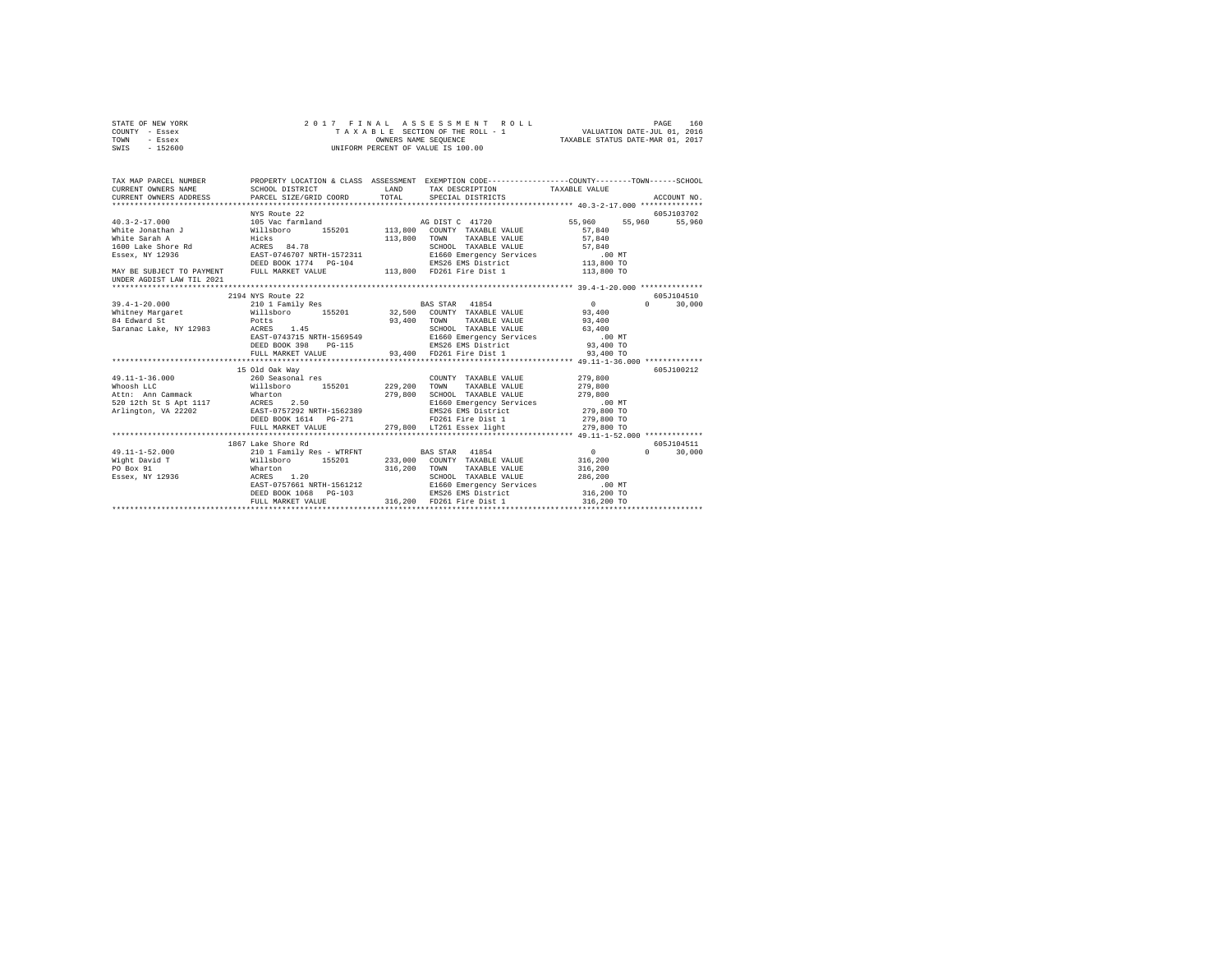| STATE OF NEW YORK | 2017 FINAL ASSESSMENT ROLL         | 160<br>PAGE                      |
|-------------------|------------------------------------|----------------------------------|
| COUNTY - Essex    | TAXABLE SECTION OF THE ROLL - 1    | VALUATION DATE-JUL 01, 2016      |
| TOWN<br>- Essex   | OWNERS NAME SEOUENCE               | TAXABLE STATUS DATE-MAR 01, 2017 |
| SWIS - 152600     | UNIFORM PERCENT OF VALUE IS 100.00 |                                  |

| TAX MAP PARCEL NUMBER                                                                                                                                    |                                                                                                                                                                                      |              | PROPERTY LOCATION & CLASS ASSESSMENT EXEMPTION CODE---------------COUNTY-------TOWN------SCHOOL                                                                                                                     |                                                              |                                                |
|----------------------------------------------------------------------------------------------------------------------------------------------------------|--------------------------------------------------------------------------------------------------------------------------------------------------------------------------------------|--------------|---------------------------------------------------------------------------------------------------------------------------------------------------------------------------------------------------------------------|--------------------------------------------------------------|------------------------------------------------|
| $40.3 - 2 - 17.000$<br>White Jonathan J Willsboro<br>MAY BE SUBJECT TO PAYMENT FULL MARKET VALUE<br>UNDER AGDIST LAW TIL 2021                            | NYS Route 22<br>105 Vac farmland                                                                                                                                                     | 113,800 TOWN | AG DIST C 41720<br>155201 113,800 COUNTY TAXABLE VALUE<br>TAXABLE VALUE<br>SCHOOL TAXABLE VALUE 57,840<br>E1660 Emergency Services 67,840<br>EMS26 EMS District 113,800 TO                                          | 55,960<br>57.840<br>57,840                                   | 605J103702<br>55,960<br>55,960                 |
|                                                                                                                                                          |                                                                                                                                                                                      |              |                                                                                                                                                                                                                     |                                                              |                                                |
| $39.4 - 1 - 20.000$<br>Whitney Margaret 6 2,400 Willsboro 155201 32,500 COUNTY TAXABLE VALUE 93,400<br>84 Edward St<br>Saranac Lake, NY 12983 ACRES 1.45 | 2194 NYS Route 22<br>210 1 Family Res<br>Potts<br>1.45<br>ACRES 1.45<br>EAST-0743715 NRTH-1569549<br>DEED BOOK 398 PG-115<br>FULL MARKET VALUE<br>15 Old Oak Way<br>260 Seasonal res | 93,400       | <b>BAS STAR</b> 41854<br>TOWN<br>TAXABLE VALUE 93,400<br>SCHOOL TAXABLE VALUE 63,400<br>E1660 Emergency Services .00 MT<br>EMS26 EMS District 93,400 TO<br>93,400 FD261 Fire Dist 1<br>COUNTY TAXABLE VALUE 279.800 | $\sim$ 0<br>93,400 TO                                        | 605J104510<br>$\Omega$<br>30,000<br>605J100212 |
| $49.11 - 1 - 36.000$<br>Attn: Ann Cammack Mharton<br>520 12th St S Apt 1117 ACRES 2.50<br>Arlington, VA 22202 EAST-0757292 NRTH-1562389                  | Willsboro 155201 229,200<br>FULL MARKET VALUE                                                                                                                                        | 279,800      | TOWN<br>TAXABLE VALUE<br>SCHOOL TAXABLE VALUE<br>E1660 Emergency Services .00 MT<br>EMS26 EMS District<br>FD261 Fire Dist 1<br>279,800 LT261 Essex light                                                            | 279,800<br>279,800<br>279,800 TO<br>279,800 TO<br>279,800 TO |                                                |
|                                                                                                                                                          | 1867 Lake Shore Rd                                                                                                                                                                   |              |                                                                                                                                                                                                                     |                                                              | 605.7104511                                    |
| $49.11 - 1 - 52.000$<br>Wight David T<br>PO Box 91<br>$\frac{1}{2}$ Essex, NY 12936                                                                      | 210 1 Family Res - WTRFNT BAS STAR 41854<br>Willsboro 155201 233,000 COUNTY TAXABLE VALUE<br>Wharton<br>ACRES 1.20<br>EAST-0757661 NRTH-1561212<br>DEED BOOK 1068 PG-103             | 316,200      | TAXABLE VALUE<br>TOWN<br>SCHOOL TAXABLE VALUE 286,<br>E1660 Emergency Services 286,<br>EMS26 EMS District 316,200 TO                                                                                                | $\sim$ 0 $\sim$<br>316,200<br>316,200<br>286,200<br>$.00$ MT | $\Omega$<br>30,000                             |
|                                                                                                                                                          |                                                                                                                                                                                      |              |                                                                                                                                                                                                                     |                                                              |                                                |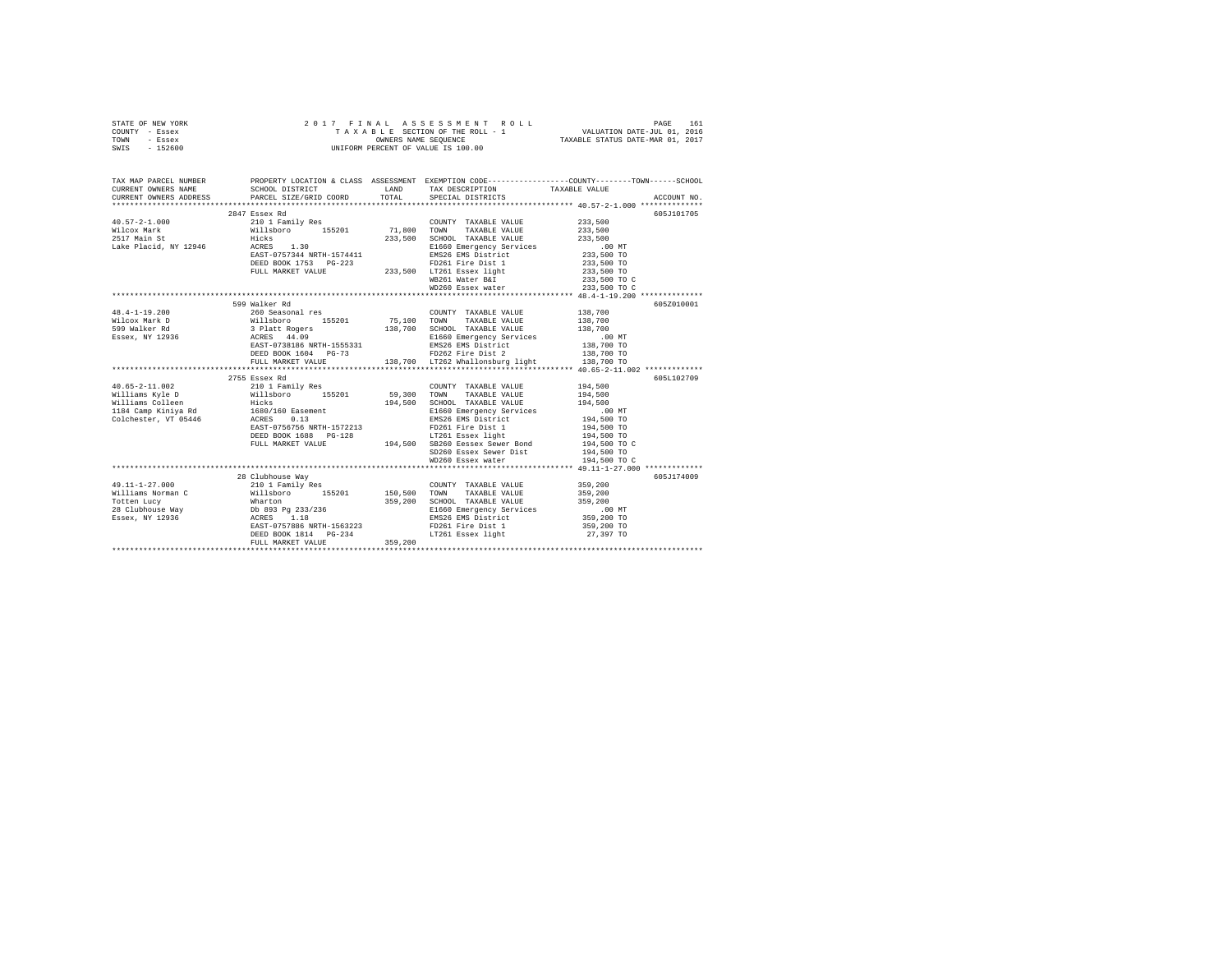| STATE OF NEW YORK | 2017 FINAL ASSESSMENT ROLL         | 161<br>PAGE                      |
|-------------------|------------------------------------|----------------------------------|
| COUNTY - Essex    | TAXABLE SECTION OF THE ROLL - 1    | VALUATION DATE-JUL 01, 2016      |
| TOWN<br>- Essex   | OWNERS NAME SEOUENCE               | TAXABLE STATUS DATE-MAR 01, 2017 |
| $-152600$<br>SWIS | UNIFORM PERCENT OF VALUE IS 100.00 |                                  |

| TAX MAP PARCEL NUMBER<br>CURRENT OWNERS NAME<br>CURRENT OWNERS ADDRESS | SCHOOL DISTRICT COMMISSION CONTROL CONTRACT THE TRANSPORT CHOOL DISTRICT<br>PARCEL SIZE/GRID COORD TOTAL                                                                                                                        | SPECIAL DISTRICTS                                                                                                                                                        | PROPERTY LOCATION & CLASS ASSESSMENT EXEMPTION CODE----------------COUNTY-------TOWN------SCHOOL<br>ACCOUNT NO. |
|------------------------------------------------------------------------|---------------------------------------------------------------------------------------------------------------------------------------------------------------------------------------------------------------------------------|--------------------------------------------------------------------------------------------------------------------------------------------------------------------------|-----------------------------------------------------------------------------------------------------------------|
|                                                                        |                                                                                                                                                                                                                                 |                                                                                                                                                                          |                                                                                                                 |
|                                                                        | 2847 Essex Rd                                                                                                                                                                                                                   |                                                                                                                                                                          | 605J101705                                                                                                      |
|                                                                        |                                                                                                                                                                                                                                 | COUNTY TAXABLE VALUE                                                                                                                                                     | 233,500                                                                                                         |
|                                                                        |                                                                                                                                                                                                                                 |                                                                                                                                                                          | 233,500                                                                                                         |
|                                                                        |                                                                                                                                                                                                                                 | SCHOOL TAXABLE VALUE 233,500                                                                                                                                             |                                                                                                                 |
|                                                                        | nicolo Main State (1988)<br>2517 Main State (1988 11:08 11:08 11:08 11:08 11:08 11:08 11:08 11:08 11:09 11:09 11:09 11:09 11:09 11:09 11:<br>2007-0757344 NRTH-1574411                                                          |                                                                                                                                                                          |                                                                                                                 |
|                                                                        |                                                                                                                                                                                                                                 | E1660 Emergency Services .00 MT<br>EMS26 EMS District 233,500 TO                                                                                                         |                                                                                                                 |
|                                                                        | DEED BOOK 1753 PG-223 PD261 Fire Dist 1<br>FULL MARKET VALUE 233,500 LT261 ESsex light<br>233,500 LT261 Trues Reserved                                                                                                          |                                                                                                                                                                          |                                                                                                                 |
|                                                                        |                                                                                                                                                                                                                                 |                                                                                                                                                                          |                                                                                                                 |
|                                                                        |                                                                                                                                                                                                                                 |                                                                                                                                                                          |                                                                                                                 |
|                                                                        |                                                                                                                                                                                                                                 |                                                                                                                                                                          |                                                                                                                 |
|                                                                        |                                                                                                                                                                                                                                 |                                                                                                                                                                          |                                                                                                                 |
|                                                                        | 599 Walker Rd                                                                                                                                                                                                                   |                                                                                                                                                                          | 605Z010001                                                                                                      |
| $48.4 - 1 - 19.200$                                                    | 399 Mark Rull (200 Mark 155201 Mark 200 Mark 200 Mark 200 Mark 200 Mark 200 Mark 200 Mark 200 Mark 200 Mark 20<br>260 Senato 200 Mark 200 Mark 200 Mark 200 Mark 200 Mark 200 Mark 200 Mark 200 Mark 200 Mark 200 Mark 200 Mark |                                                                                                                                                                          |                                                                                                                 |
| Wilcox Mark D                                                          |                                                                                                                                                                                                                                 |                                                                                                                                                                          |                                                                                                                 |
| 599 Walker Rd                                                          |                                                                                                                                                                                                                                 |                                                                                                                                                                          |                                                                                                                 |
| Essex, NY 12936                                                        |                                                                                                                                                                                                                                 |                                                                                                                                                                          |                                                                                                                 |
|                                                                        |                                                                                                                                                                                                                                 |                                                                                                                                                                          |                                                                                                                 |
|                                                                        |                                                                                                                                                                                                                                 |                                                                                                                                                                          |                                                                                                                 |
|                                                                        |                                                                                                                                                                                                                                 |                                                                                                                                                                          |                                                                                                                 |
|                                                                        |                                                                                                                                                                                                                                 |                                                                                                                                                                          |                                                                                                                 |
|                                                                        | 2755 Essex Rd                                                                                                                                                                                                                   |                                                                                                                                                                          | 605L102709                                                                                                      |
|                                                                        |                                                                                                                                                                                                                                 | COUNTY TAXABLE VALUE 194,500                                                                                                                                             |                                                                                                                 |
|                                                                        |                                                                                                                                                                                                                                 | TAXABLE VALUE                                                                                                                                                            | 194,500                                                                                                         |
|                                                                        |                                                                                                                                                                                                                                 |                                                                                                                                                                          |                                                                                                                 |
|                                                                        |                                                                                                                                                                                                                                 | TOWN TAXABLE VALUE 194, 500<br>SCHOOL TAXABLE VALUE 104, 500 MT<br>EI660 Emergency Services<br>EMS26 EMS District 104, 500 TO<br>The National 194, 500 TO<br>194, 500 TO |                                                                                                                 |
| Colchester, VT 05446 ACRES 0.13                                        | ACRES 0.13<br>EAST-0756756 NRTH-1572213                                                                                                                                                                                         |                                                                                                                                                                          |                                                                                                                 |
|                                                                        |                                                                                                                                                                                                                                 | FD261 Fire Dist 1<br>LT261 Essex light                                                                                                                                   |                                                                                                                 |
|                                                                        |                                                                                                                                                                                                                                 |                                                                                                                                                                          |                                                                                                                 |
|                                                                        |                                                                                                                                                                                                                                 |                                                                                                                                                                          |                                                                                                                 |
|                                                                        |                                                                                                                                                                                                                                 |                                                                                                                                                                          |                                                                                                                 |
|                                                                        |                                                                                                                                                                                                                                 |                                                                                                                                                                          |                                                                                                                 |
|                                                                        |                                                                                                                                                                                                                                 |                                                                                                                                                                          |                                                                                                                 |
|                                                                        |                                                                                                                                                                                                                                 |                                                                                                                                                                          | 605J174009                                                                                                      |
|                                                                        |                                                                                                                                                                                                                                 |                                                                                                                                                                          |                                                                                                                 |
|                                                                        |                                                                                                                                                                                                                                 |                                                                                                                                                                          |                                                                                                                 |
|                                                                        |                                                                                                                                                                                                                                 |                                                                                                                                                                          |                                                                                                                 |
|                                                                        |                                                                                                                                                                                                                                 |                                                                                                                                                                          |                                                                                                                 |
|                                                                        |                                                                                                                                                                                                                                 |                                                                                                                                                                          |                                                                                                                 |
|                                                                        |                                                                                                                                                                                                                                 |                                                                                                                                                                          |                                                                                                                 |
|                                                                        |                                                                                                                                                                                                                                 |                                                                                                                                                                          |                                                                                                                 |
|                                                                        |                                                                                                                                                                                                                                 |                                                                                                                                                                          |                                                                                                                 |
|                                                                        |                                                                                                                                                                                                                                 |                                                                                                                                                                          |                                                                                                                 |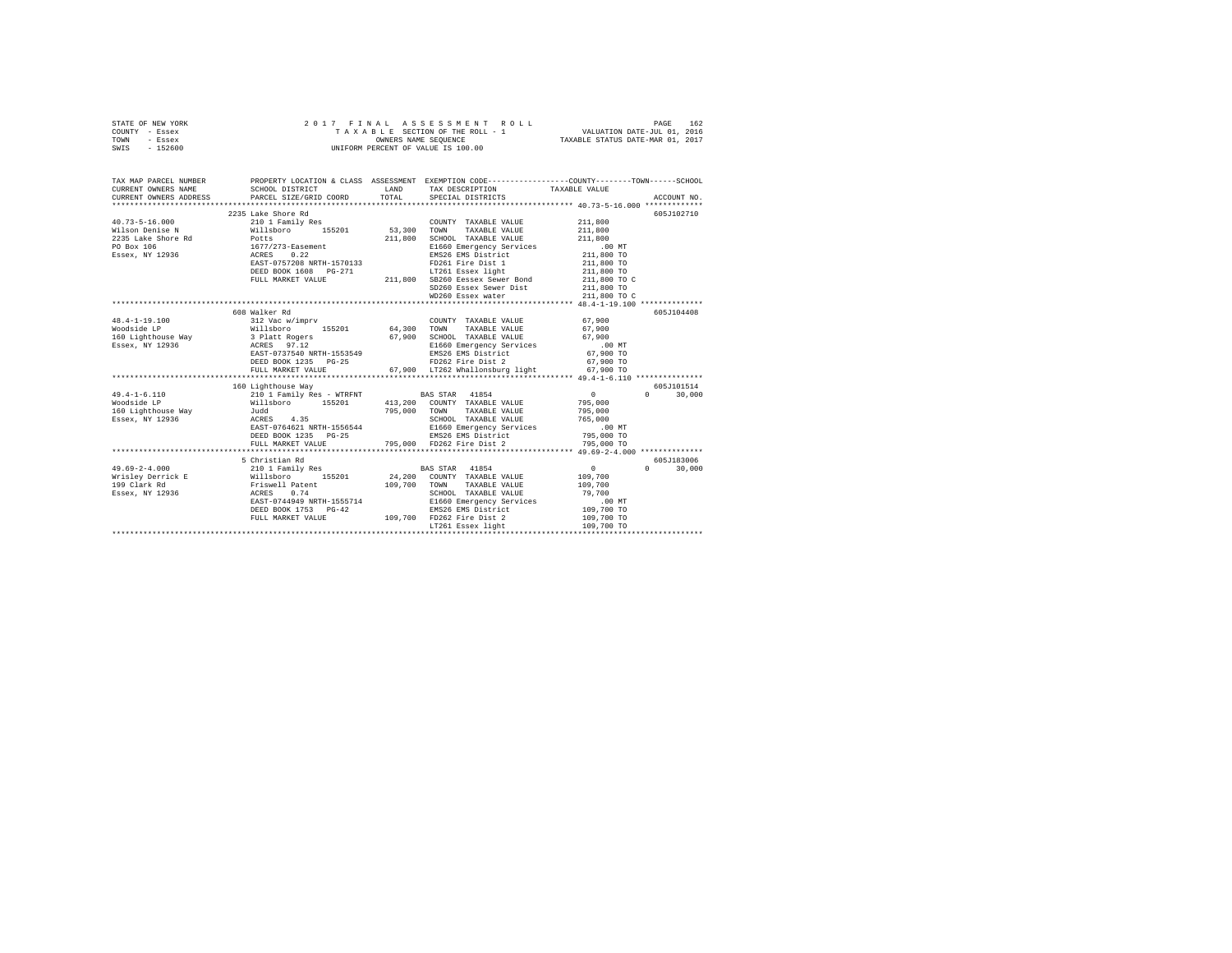|      | STATE OF NEW YORK |  |  | 2017 FINAL ASSESSMENT ROLL         |                                  | PAGE | 162 |
|------|-------------------|--|--|------------------------------------|----------------------------------|------|-----|
|      | COUNTY - Essex    |  |  | TAXABLE SECTION OF THE ROLL - 1    | VALUATION DATE-JUL 01, 2016      |      |     |
| TOWN | - Essex           |  |  | OWNERS NAME SEOUENCE               | TAXABLE STATUS DATE-MAR 01, 2017 |      |     |
| SWIS | $-152600$         |  |  | UNIFORM PERCENT OF VALUE IS 100.00 |                                  |      |     |

| TAX MAP PARCEL NUMBER                                                                                                                                                                                                                      |                           |         | PROPERTY LOCATION & CLASS ASSESSMENT EXEMPTION CODE---------------COUNTY-------TOWN-----SCHOOL                                                                                                                                         |                    |                    |
|--------------------------------------------------------------------------------------------------------------------------------------------------------------------------------------------------------------------------------------------|---------------------------|---------|----------------------------------------------------------------------------------------------------------------------------------------------------------------------------------------------------------------------------------------|--------------------|--------------------|
| CURRENT OWNERS NAME                                                                                                                                                                                                                        | SCHOOL DISTRICT           |         | LAND TAX DESCRIPTION                                                                                                                                                                                                                   | TAXABLE VALUE      |                    |
| CURRENT OWNERS ADDRESS                                                                                                                                                                                                                     |                           |         |                                                                                                                                                                                                                                        |                    |                    |
|                                                                                                                                                                                                                                            |                           |         |                                                                                                                                                                                                                                        |                    |                    |
|                                                                                                                                                                                                                                            | 2235 Lake Shore Rd        |         |                                                                                                                                                                                                                                        |                    | 605J102710         |
| $40.73 - 5 - 16.000$                                                                                                                                                                                                                       | 210 1 Family Res          |         | COUNTY TAXABLE VALUE 211,800                                                                                                                                                                                                           |                    |                    |
| Wilson Denise N Millsboro 155201 53,300                                                                                                                                                                                                    |                           |         | TOWN<br>TAXABLE VALUE                                                                                                                                                                                                                  | 211,800            |                    |
| $\begin{tabular}{lllllllllll} \textbf{2235} \textbf{ Lake} \textbf{ Short} & \textbf{Red} & \textbf{Potts} \\ \textbf{PO Box 106} & \textbf{1677/273-Sasement} \\ \textbf{ESsex, NY 12936} & \textbf{ACRES} & \textbf{0.22} \end{tabular}$ |                           | 211,800 | SCHOOL TAXABLE VALUE<br>E1660 Emergency Services                                                                                                                                                                                       | 211,800            |                    |
|                                                                                                                                                                                                                                            |                           |         | 1677/273-sasement<br>RASEX 10.22 EMS26 EMS District<br>RASE -0757208 NRTH-1570133 FD261 Fire Dist 1 211,800 TO<br>DEED BOOK 1608 PG-271 LTAGO TO CHORE 211,800 TO C<br>FULL MARKET VALUE 211,800 CHORE SERVER SERVER BOOK 1608 CHORE 2 | .00MT              |                    |
|                                                                                                                                                                                                                                            |                           |         |                                                                                                                                                                                                                                        |                    |                    |
|                                                                                                                                                                                                                                            |                           |         |                                                                                                                                                                                                                                        |                    |                    |
|                                                                                                                                                                                                                                            |                           |         |                                                                                                                                                                                                                                        |                    |                    |
|                                                                                                                                                                                                                                            |                           |         |                                                                                                                                                                                                                                        |                    |                    |
|                                                                                                                                                                                                                                            |                           |         | SD260 Essex Sewer Dist<br>WD260 Essex water                                                                                                                                                                                            | 211,800 TO         |                    |
|                                                                                                                                                                                                                                            |                           |         |                                                                                                                                                                                                                                        | 211,800 TO C       |                    |
|                                                                                                                                                                                                                                            |                           |         |                                                                                                                                                                                                                                        |                    |                    |
|                                                                                                                                                                                                                                            | 608 Walker Rd             |         |                                                                                                                                                                                                                                        |                    | 605J104408         |
| $\begin{array}{cccccc} 48.4-1-19.100 && 312\text{ Vac w/imprv} && 64,300\text{ TOWTY TAXABLE VALUE} && 67,900\\ \text{Wodside LP} && 8111\text{sboro} && 155201 && 64,300\text{ TOWN} && \text{TAXABLE VALUE} && 67,900\\ \end{array}$     |                           |         | COUNTY TAXABLE VALUE 67.900                                                                                                                                                                                                            |                    |                    |
|                                                                                                                                                                                                                                            |                           |         |                                                                                                                                                                                                                                        |                    |                    |
|                                                                                                                                                                                                                                            |                           |         |                                                                                                                                                                                                                                        |                    |                    |
|                                                                                                                                                                                                                                            |                           |         |                                                                                                                                                                                                                                        |                    |                    |
|                                                                                                                                                                                                                                            |                           |         |                                                                                                                                                                                                                                        |                    |                    |
|                                                                                                                                                                                                                                            | DEED BOOK 1235 PG-25      |         | FD262 Fire Dist 2 67.900 TO                                                                                                                                                                                                            |                    |                    |
|                                                                                                                                                                                                                                            | FULL MARKET VALUE         |         | 67,900 LT262 Whallonsburg light 67,900 TO                                                                                                                                                                                              |                    |                    |
|                                                                                                                                                                                                                                            |                           |         |                                                                                                                                                                                                                                        |                    |                    |
|                                                                                                                                                                                                                                            | 160 Lighthouse Wav        |         |                                                                                                                                                                                                                                        |                    | 605J101514         |
| $49.4 - 1 - 6.110$                                                                                                                                                                                                                         |                           |         |                                                                                                                                                                                                                                        |                    | $0 \t30.000$       |
| Woodside LP                                                                                                                                                                                                                                |                           |         |                                                                                                                                                                                                                                        |                    |                    |
| 160 Lighthouse Way 5udd                                                                                                                                                                                                                    |                           |         |                                                                                                                                                                                                                                        |                    |                    |
| Essex, NY 12936                                                                                                                                                                                                                            |                           |         |                                                                                                                                                                                                                                        |                    |                    |
|                                                                                                                                                                                                                                            |                           |         |                                                                                                                                                                                                                                        |                    |                    |
|                                                                                                                                                                                                                                            |                           |         |                                                                                                                                                                                                                                        |                    |                    |
|                                                                                                                                                                                                                                            | FULL MARKET VALUE         |         | 795,000 FD262 Fire Dist 2                                                                                                                                                                                                              | 795,000 TO         |                    |
|                                                                                                                                                                                                                                            |                           |         |                                                                                                                                                                                                                                        |                    |                    |
|                                                                                                                                                                                                                                            | 5 Christian Rd            |         |                                                                                                                                                                                                                                        |                    | 605J183006         |
| $49.69 - 2 - 4.000$                                                                                                                                                                                                                        |                           |         | 210 1 Family Res 60 BAS STAR 41854                                                                                                                                                                                                     | $\overline{0}$     | $\Omega$<br>30,000 |
|                                                                                                                                                                                                                                            |                           |         | 24,200 COUNTY TAXABLE VALUE                                                                                                                                                                                                            | 109,700<br>109,700 |                    |
|                                                                                                                                                                                                                                            |                           |         | 109,700 TOWN TAXABLE VALUE                                                                                                                                                                                                             |                    |                    |
|                                                                                                                                                                                                                                            |                           |         | SCHOOL TAXABLE VALUE 79,700                                                                                                                                                                                                            |                    |                    |
|                                                                                                                                                                                                                                            | EAST-0744949 NRTH-1555714 |         |                                                                                                                                                                                                                                        |                    |                    |
|                                                                                                                                                                                                                                            | DEED BOOK 1753 PG-42      |         |                                                                                                                                                                                                                                        |                    |                    |
|                                                                                                                                                                                                                                            | FULL MARKET VALUE         |         | 109,700 FD262 Fire Dist 2                                                                                                                                                                                                              | 109,700 TO         |                    |
|                                                                                                                                                                                                                                            |                           |         |                                                                                                                                                                                                                                        |                    |                    |
|                                                                                                                                                                                                                                            |                           |         |                                                                                                                                                                                                                                        |                    |                    |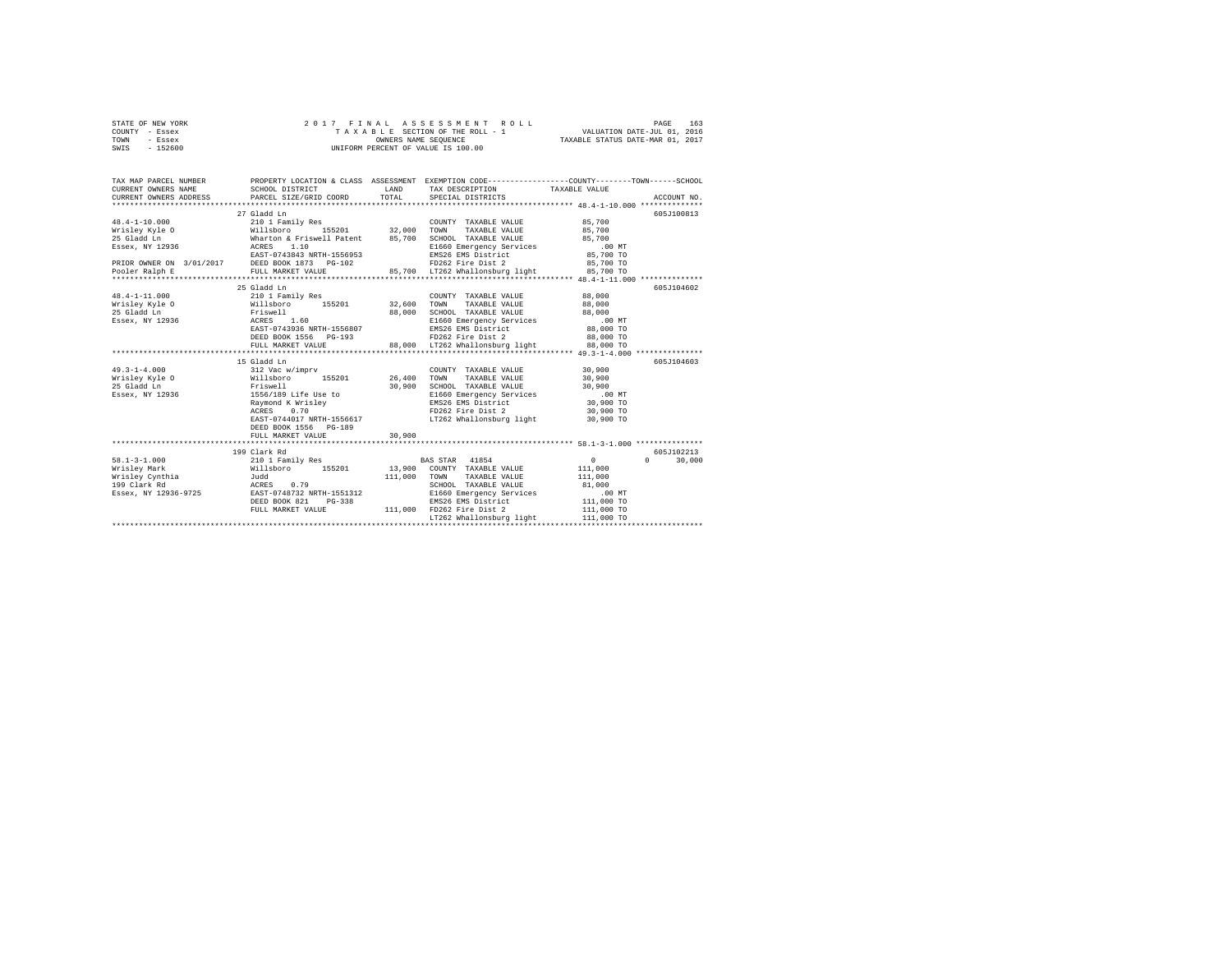| STATE OF NEW YORK | 2017 FINAL ASSESSMENT ROLL         | 163<br>PAGE                      |
|-------------------|------------------------------------|----------------------------------|
| COUNTY - Essex    | TAXABLE SECTION OF THE ROLL - 1    | VALUATION DATE-JUL 01, 2016      |
| TOWN<br>- Essex   | OWNERS NAME SEOUENCE               | TAXABLE STATUS DATE-MAR 01, 2017 |
| - 152600<br>SWIS  | UNIFORM PERCENT OF VALUE IS 100.00 |                                  |

| TAX MAP PARCEL NUMBER<br>JOURNAL SCHOOL DISTRICT<br>CURRENT OWNERS ADDRESS PARCEL SIZE/GRIP                         |                                                          | LAND    | PROPERTY LOCATION & CLASS ASSESSMENT EXEMPTION CODE----------------COUNTY-------TOWN-----SCHOOL<br>TAX DESCRIPTION TAXABLE VALUE |                          |             |
|---------------------------------------------------------------------------------------------------------------------|----------------------------------------------------------|---------|----------------------------------------------------------------------------------------------------------------------------------|--------------------------|-------------|
|                                                                                                                     | PARCEL SIZE/GRID COORD                                   | TOTAL   | SPECIAL DISTRICTS                                                                                                                |                          | ACCOUNT NO. |
|                                                                                                                     |                                                          |         |                                                                                                                                  |                          |             |
|                                                                                                                     | 27 Gladd Ln                                              |         |                                                                                                                                  |                          | 605J100813  |
|                                                                                                                     |                                                          |         | COUNTY TAXABLE VALUE                                                                                                             | 85,700                   |             |
|                                                                                                                     |                                                          |         |                                                                                                                                  | 85,700                   |             |
|                                                                                                                     |                                                          |         | SCHOOL TAXABLE VALUE 85,700                                                                                                      |                          |             |
|                                                                                                                     |                                                          |         | E1660 Emergency Services                                                                                                         | $.00$ MT                 |             |
| Essex, NY 12936<br>Essex, NY 12936<br>ERIOR OWNER ON 3/01/2017<br>ERIOR OWNER ON 3/01/2017<br>DEED BOOK 1873 PG-102 |                                                          |         | FD262 Fire District<br>ED262 Fire Dist 2<br>LT262 Whaller                                                                        | 85,700 TO                |             |
|                                                                                                                     |                                                          |         |                                                                                                                                  | 85,700 TO                |             |
| Pooler Ralph E                                                                                                      |                                                          |         |                                                                                                                                  |                          |             |
|                                                                                                                     |                                                          |         |                                                                                                                                  |                          |             |
|                                                                                                                     | 25 Gladd Ln                                              |         |                                                                                                                                  |                          | 605J104602  |
| $48.4 - 1 - 11.000$                                                                                                 | 210 1 Family Res                                         |         | COUNTY TAXABLE VALUE                                                                                                             | 88,000                   |             |
| Wrisley Kyle 0 Willsboro 155201 32,600                                                                              |                                                          |         | TOWN<br>TAXABLE VALUE                                                                                                            | 88,000                   |             |
| 25 Gladd Ln                                                                                                         | Friswell<br>ACRES 1.60                                   | 88,000  | SCHOOL TAXABLE VALUE                                                                                                             | 88,000                   |             |
| Essex, NY 12936                                                                                                     |                                                          |         | E1660 Emergency Services                                                                                                         | .00MT                    |             |
|                                                                                                                     | EAST-0743936 NRTH-1556807                                |         | EMS26 EMS District                                                                                                               | 88,000 TO                |             |
|                                                                                                                     | DEED BOOK 1556 PG-193                                    |         | FD262 Fire Dist 2 88,000 TO                                                                                                      |                          |             |
|                                                                                                                     | FULL MARKET VALUE                                        |         | 88,000 LT262 Whallonsburg light                                                                                                  | 88,000 TO                |             |
|                                                                                                                     |                                                          |         |                                                                                                                                  |                          |             |
|                                                                                                                     | 15 Gladd Ln                                              |         |                                                                                                                                  |                          | 605J104603  |
| $49.3 - 1 - 4.000$                                                                                                  | 312 Vac w/imprv                                          |         | COUNTY TAXABLE VALUE                                                                                                             | 30,900                   |             |
| Wrisley Kyle O<br>25 Gladd In                                                                                       | Willsboro 155201<br>Friswell                             | 26,400  | TAXABLE VALUE<br>TOWN                                                                                                            | 30,900                   |             |
| 25 Gladd Ln                                                                                                         |                                                          | 30,900  | SCHOOL TAXABLE VALUE                                                                                                             | 30,900                   |             |
| Essex, NY 12936 1556/189 Life Use to                                                                                | 1556/189 Life $\omega_{\text{c}}$ .<br>Raymond K Wrisley |         | E1660 Emergency Services .00 MT                                                                                                  |                          |             |
|                                                                                                                     |                                                          |         | EMS26 EMS District                                                                                                               | 30,900 TO                |             |
|                                                                                                                     |                                                          |         | FD262 Fire Dist 2                                                                                                                | 30,900 TO                |             |
|                                                                                                                     | EAST-0744017 NRTH-1556617                                |         | LT262 Whallonsburg light                                                                                                         | 30,900 TO                |             |
|                                                                                                                     | DEED BOOK 1556 PG-189                                    |         |                                                                                                                                  |                          |             |
|                                                                                                                     | FULL MARKET VALUE                                        | 30,900  |                                                                                                                                  |                          |             |
|                                                                                                                     |                                                          |         |                                                                                                                                  |                          |             |
|                                                                                                                     | 199 Clark Rd                                             |         |                                                                                                                                  |                          | 605J102213  |
| $58.1 - 3 - 1.000$                                                                                                  | 210 1 Family Res                                         |         | BAS STAR 41854                                                                                                                   | $\mathbf{0}$<br>$\Omega$ | 30,000      |
|                                                                                                                     | Willsboro 155201                                         |         | 13,900 COUNTY TAXABLE VALUE                                                                                                      | 111,000                  |             |
|                                                                                                                     | Judd<br>0.79                                             | 111,000 | TOWN<br>TAXABLE VALUE<br>SCHOOL TAXABLE VALUE                                                                                    | 111,000<br>81,000        |             |
| Boiley Mark<br>Wrisley Cynthia<br>Nisley Cynthia                                                                    | ACRES                                                    |         |                                                                                                                                  |                          |             |
| Essex, NY 12936-9725                                                                                                | EAST-0748732 NRTH-1551312<br>DEED BOOK 821<br>$PG-338$   |         | E1660 Emergency Services<br>EMS26 EMS District                                                                                   | $.00$ MT<br>$111,000$ TO |             |
|                                                                                                                     | FULL MARKET VALUE                                        |         | 111,000 FD262 Fire Dist 2                                                                                                        | 111,000 TO               |             |
|                                                                                                                     |                                                          |         | LT262 Whallonsburg light                                                                                                         | 111,000 TO               |             |
|                                                                                                                     |                                                          |         |                                                                                                                                  |                          |             |
|                                                                                                                     |                                                          |         |                                                                                                                                  |                          |             |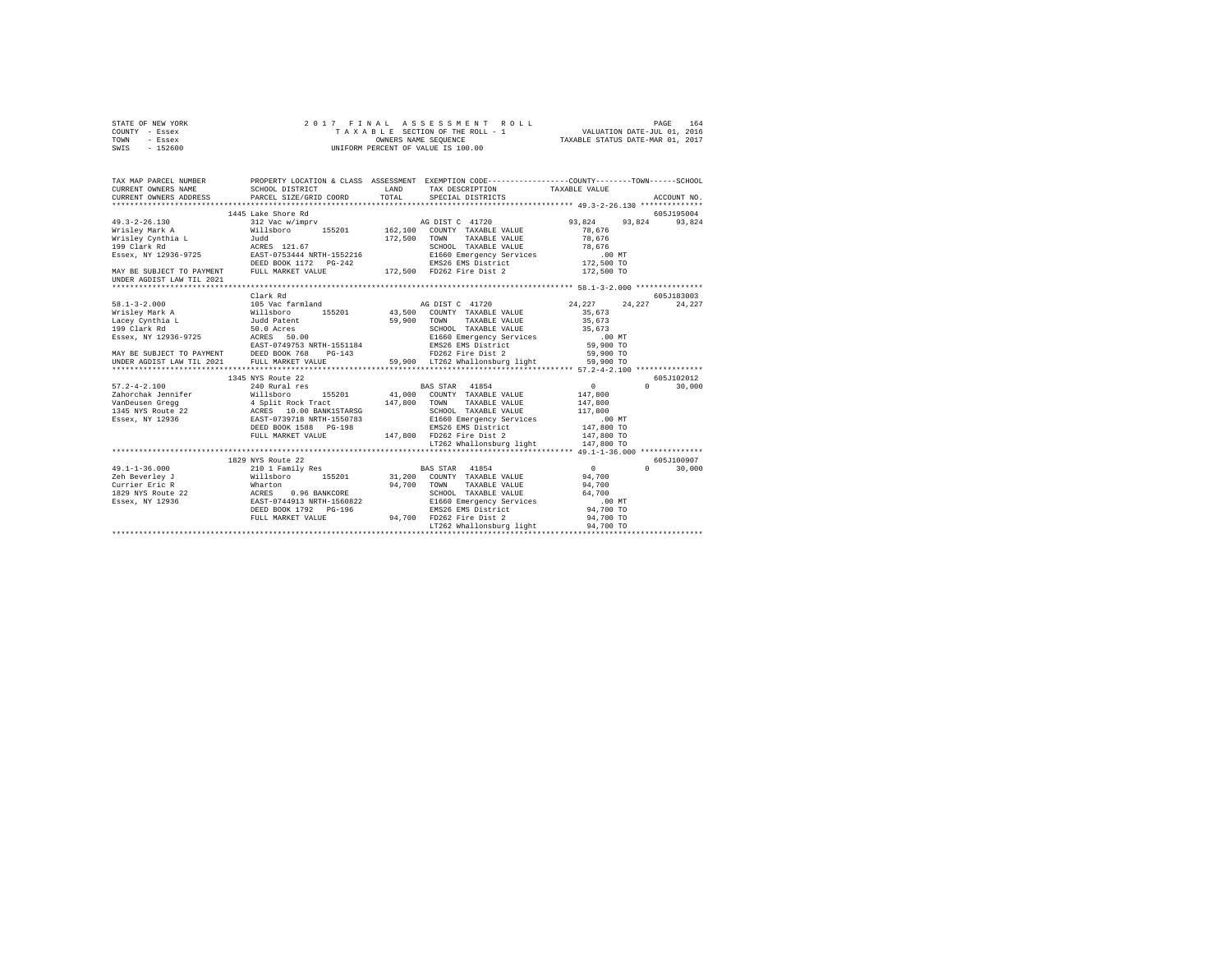| COUNTY - Essex<br>TOWN<br>- Essex<br>$-152600$<br>SWIS | TAXABLE SECTION OF THE ROLL - 1<br>UNIFORM PERCENT OF VALUE IS 100.00 | VALUATION DATE-JUL 01, 2016<br>TAXABLE STATUS DATE-MAR 01, 2017 |                                                                                                 |          |                      |
|--------------------------------------------------------|-----------------------------------------------------------------------|-----------------------------------------------------------------|-------------------------------------------------------------------------------------------------|----------|----------------------|
| TAX MAP PARCEL NUMBER                                  |                                                                       |                                                                 | PROPERTY LOCATION & CLASS ASSESSMENT EXEMPTION CODE---------------COUNTY-------TOWN------SCHOOL |          |                      |
| CURRENT OWNERS NAME                                    | SCHOOL DISTRICT                                                       | LAND<br>TAX DESCRIPTION                                         | TAXABLE VALUE                                                                                   |          |                      |
| CURRENT OWNERS ADDRESS                                 | PARCEL SIZE/GRID COORD                                                | TOTAL<br>SPECIAL DISTRICTS                                      |                                                                                                 |          | ACCOUNT NO.          |
|                                                        |                                                                       |                                                                 |                                                                                                 |          |                      |
| $49.3 - 2 - 26.130$                                    | 1445 Lake Shore Rd<br>312 Vac w/imprv                                 |                                                                 | 93.824                                                                                          | 93.824   | 605J195004<br>93.824 |
| Wrislev Mark A                                         | Willsboro<br>155201                                                   | AG DIST C 41720<br>162.100 COUNTY TAXABLE VALUE                 | 78.676                                                                                          |          |                      |
| Wrisley Cynthia L                                      |                                                                       | 172.500 TOWN                                                    | TAXABLE VALUE<br>78.676                                                                         |          |                      |
| 199 Clark Rd                                           | $\frac{1}{2}$ udd $\frac{1}{21.67}$                                   |                                                                 | SCHOOL TAXABLE VALUE<br>78.676                                                                  |          |                      |
| Essex, NY 12936-9725                                   | EAST-0753444 NRTH-1552216                                             |                                                                 | E1660 Emergency Services<br>$.00$ MT                                                            |          |                      |
|                                                        |                                                                       |                                                                 | EMS26 EMS District<br>172,500 TO                                                                |          |                      |
| MAY BE SUBJECT TO PAYMENT                              | FULL MARKET VALUE                                                     | 172,500 FD262 Fire Dist 2                                       | 172,500 TO                                                                                      |          |                      |
| UNDER AGDIST LAW TIL 2021                              |                                                                       |                                                                 |                                                                                                 |          |                      |
|                                                        |                                                                       |                                                                 |                                                                                                 |          |                      |
|                                                        | Clark Rd                                                              |                                                                 |                                                                                                 |          | 605J183003           |
| $58.1 - 3 - 2.000$                                     | 105 Vac farmland                                                      | AG DIST C 41720                                                 | 24, 227                                                                                         | 24.227   | 24.227               |
| Wrisley Mark A                                         | Willsboro 155201                                                      | 43,500<br>COUNTY TAXABLE VALUE                                  | 35,673                                                                                          |          |                      |
| Lacey Cynthia L<br>199 Clark Rd<br>199 Clark Rd        | Judd Patent<br>50.0 Acres                                             | 59,900<br>TOWN                                                  | TAXABLE VALUE<br>35,673<br>SCHOOL TAXABLE VALUE<br>35,673                                       |          |                      |
| Essex, NY 12936-9725                                   | ACRES 50.00                                                           |                                                                 | E1660 Emergency Services<br>$.00$ MT                                                            |          |                      |
|                                                        | EAST-0749753 NRTH-1551184                                             | EMS26 EMS District                                              | 59,900 TO                                                                                       |          |                      |
|                                                        | DEED BOOK 768<br>$PG-143$                                             | FD262 Fire Dist 2                                               | 59,900 TO                                                                                       |          |                      |
| MAY BE SUBJECT TO PAYMENT<br>UNDER AGDIST LAW TIL 2021 | FULL MARKET VALUE                                                     | 59,900 LT262 Whallonsburg light                                 | 59,900 TO                                                                                       |          |                      |
|                                                        |                                                                       |                                                                 |                                                                                                 |          |                      |
|                                                        | 1345 NYS Route 22                                                     |                                                                 |                                                                                                 |          | 605J102012           |
| $57.2 - 4 - 2.100$                                     | 240 Rural res                                                         | 41854<br>BAS STAR                                               | $\mathbf{0}$                                                                                    | $\Omega$ | 30,000               |
| Zahorchak Jennifer                                     | Willsboro<br>155201                                                   | 41,000                                                          | COUNTY TAXABLE VALUE<br>147,800                                                                 |          |                      |
| VanDeusen Gregg                                        | 4 Split Rock Tract<br>ACRES 10.00 BANK1STARSG                         | 147,800 TOWN                                                    | TAXABLE VALUE<br>147,800                                                                        |          |                      |
| 1345 NYS Route 22                                      |                                                                       |                                                                 | SCHOOL TAXABLE VALUE<br>117,800                                                                 |          |                      |
| Essex, NY 12936                                        | EAST-0739718 NRTH-1550783                                             |                                                                 | E1660 Emergency Services<br>$.00$ MT                                                            |          |                      |
|                                                        | DEED BOOK 1588 PG-198                                                 |                                                                 | 147,800 TO<br>EMS26 EMS District                                                                |          |                      |
|                                                        | FULL MARKET VALUE                                                     | 147.800 FD262 Fire Dist 2                                       | 147,800 TO                                                                                      |          |                      |
|                                                        |                                                                       |                                                                 | LT262 Whallonsburg light<br>147,800 TO                                                          |          |                      |
|                                                        |                                                                       |                                                                 |                                                                                                 |          |                      |
|                                                        | 1829 NYS Route 22                                                     |                                                                 |                                                                                                 |          | 605-7100907          |
| $49.1 - 1 - 36.000$                                    | 210 1 Family Res                                                      | 41854<br>BAS STAR                                               | $\mathbf{0}$                                                                                    | $\Omega$ | 30,000               |
| Zeh Beverley J                                         | Willsboro 155201                                                      | 31,200<br>COUNTY TAXABLE VALUE<br>94,700                        | 94,700                                                                                          |          |                      |
| Currier Eric R<br>1829 NYS Route 22                    | Wharton<br>ACRES<br>0.96 BANKCORE                                     | TOWN<br>SCHOOL TAXABLE VALUE                                    | TAXABLE VALUE<br>94,700<br>64,700                                                               |          |                      |
| Essex, NY 12936                                        | EAST-0744913 NRTH-1560822                                             |                                                                 | E1660 Emergency Services<br>$.00$ MT                                                            |          |                      |
|                                                        | DEED BOOK 1792    PG-196                                              | EMS26 EMS District                                              | 94,700 TO                                                                                       |          |                      |
|                                                        | FULL MARKET VALUE                                                     | 94,700 FD262 Fire Dist 2                                        | 94,700 TO                                                                                       |          |                      |
|                                                        |                                                                       |                                                                 | LT262 Whallonsburg light<br>94,700 TO                                                           |          |                      |
|                                                        |                                                                       |                                                                 |                                                                                                 |          |                      |

STATE OF NEW YORK 2 0 1 7 F I N A L A S S E S S M E N T R O L L PAGE 164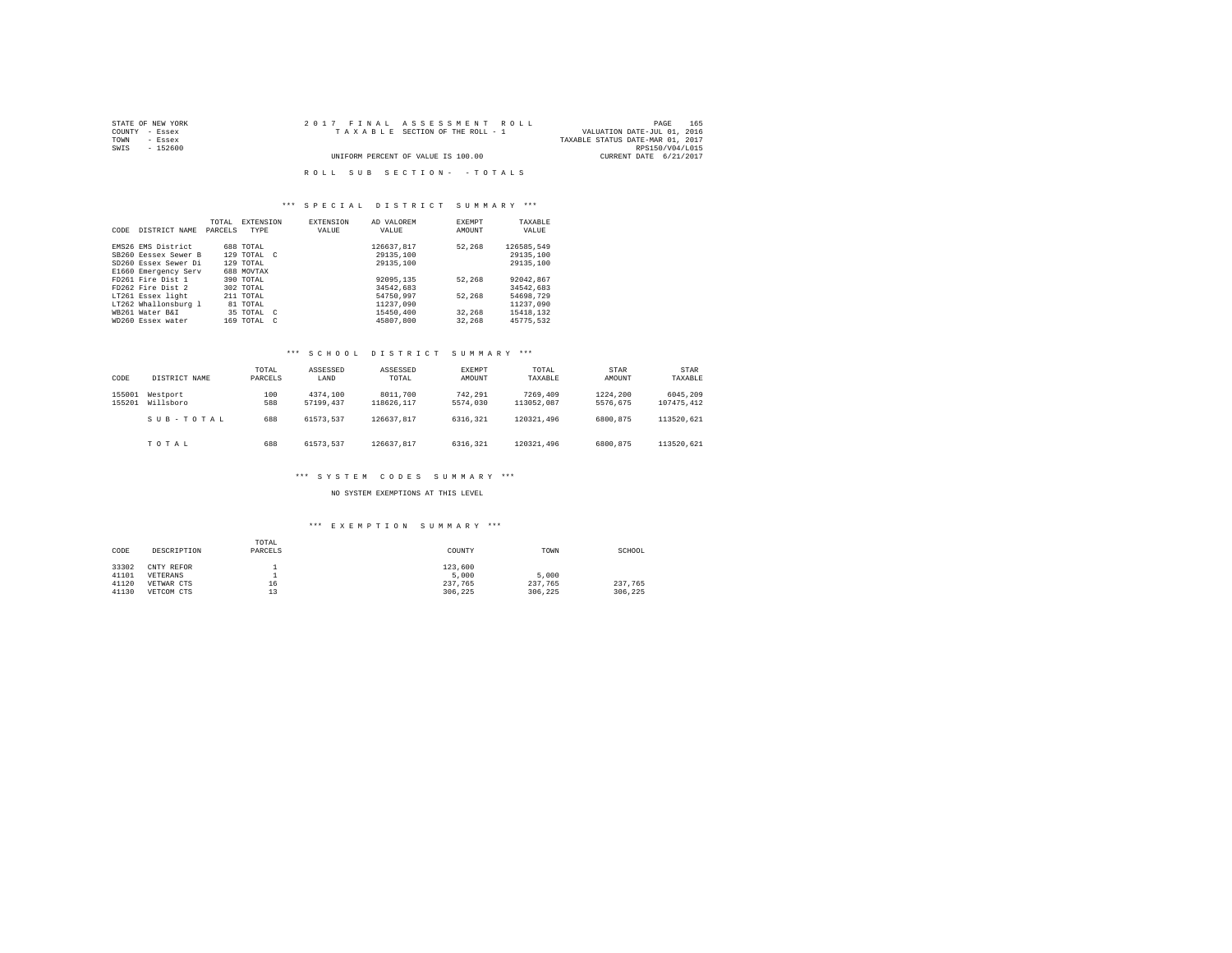| STATE OF NEW YORK | 2017 FINAL ASSESSMENT ROLL         | 165<br>PAGE                      |
|-------------------|------------------------------------|----------------------------------|
| COUNTY - Essex    | TAXABLE SECTION OF THE ROLL - 1    | VALUATION DATE-JUL 01, 2016      |
| TOWN<br>- Essex   |                                    | TAXABLE STATUS DATE-MAR 01, 2017 |
| SWIS<br>$-152600$ |                                    | RPS150/V04/L015                  |
|                   | UNIFORM PERCENT OF VALUE IS 100.00 | CURRENT DATE 6/21/2017           |
|                   |                                    |                                  |
|                   | ROLL SUB SECTION- - TOTALS         |                                  |

### \*\*\* S P E C I A L D I S T R I C T S U M M A R Y \*\*\*

| CODE | DISTRICT NAME        | TOTAL<br>PARCELS | <b>EXTENSION</b><br>TYPE |            | <b>EXTENSION</b><br>VALUE | AD VALOREM<br>VALUE | EXEMPT<br>AMOUNT | TAXABLE<br>VALUE |
|------|----------------------|------------------|--------------------------|------------|---------------------------|---------------------|------------------|------------------|
|      |                      |                  |                          |            |                           |                     |                  |                  |
|      | EMS26 EMS District   |                  | 688 TOTAL                |            |                           | 126637.817          | 52.268           | 126585.549       |
|      | SB260 Eessex Sewer B |                  | 129 TOTAL C              |            |                           | 29135,100           |                  | 29135,100        |
|      | SD260 Essex Sewer Di |                  | 129 TOTAL                |            |                           | 29135,100           |                  | 29135,100        |
|      | E1660 Emergency Serv |                  | 688 MOVTAX               |            |                           |                     |                  |                  |
|      | FD261 Fire Dist 1    |                  | 390 TOTAL                |            |                           | 92095,135           | 52.268           | 92042.867        |
|      | FD262 Fire Dist 2    |                  | 302 TOTAL                |            |                           | 34542.683           |                  | 34542.683        |
|      | LT261 Essex light    |                  | 211 TOTAL                |            |                           | 54750.997           | 52.268           | 54698.729        |
|      | LT262 Whallonsburg 1 |                  | 81 TOTAL                 |            |                           | 11237.090           |                  | 11237.090        |
|      | WB261 Water B&I      |                  | 35 TOTAL C               |            |                           | 15450,400           | 32,268           | 15418.132        |
|      | WD260 Essex water    |                  | 169 TOTAL                | $\epsilon$ |                           | 45807.800           | 32,268           | 45775.532        |
|      |                      |                  |                          |            |                           |                     |                  |                  |

### \*\*\* S C H O O L D I S T R I C T S U M M A R Y \*\*\*

| CODE             | DISTRICT NAME         | TOTAL<br>PARCELS | ASSESSED<br>LAND      | ASSESSED<br>TOTAL      | <b>EXEMPT</b><br>AMOUNT | TOTAL<br>TAXABLE       | STAR<br>AMOUNT       | STAR<br>TAXABLE        |
|------------------|-----------------------|------------------|-----------------------|------------------------|-------------------------|------------------------|----------------------|------------------------|
| 155001<br>155201 | Westport<br>Willsboro | 100<br>588       | 4374.100<br>57199.437 | 8011,700<br>118626.117 | 742.291<br>5574,030     | 7269,409<br>113052.087 | 1224,200<br>5576.675 | 6045.209<br>107475.412 |
|                  | SUB-TOTAL             | 688              | 61573.537             | 126637.817             | 6316.321                | 120321.496             | 6800.875             | 113520.621             |
|                  | TOTAL                 | 688              | 61573.537             | 126637.817             | 6316.321                | 120321.496             | 6800,875             | 113520.621             |

### \*\*\* S Y S T E M C O D E S S U M M A R Y \*\*\*

NO SYSTEM EXEMPTIONS AT THIS LEVEL

# \*\*\* E X E M P T I O N S U M M A R Y \*\*\*

| CODE  | DESCRIPTION | TOTAL<br>PARCELS | COUNTY  | TOWN    | SCHOOL  |
|-------|-------------|------------------|---------|---------|---------|
| 33302 | CNTY REFOR  |                  | 123,600 |         |         |
| 41101 | VETERANS    |                  | 5,000   | 5,000   |         |
| 41120 | VETWAR CTS  | 16               | 237.765 | 237.765 | 237.765 |
| 41130 | VETCOM CTS  | 13               | 306.225 | 306.225 | 306.225 |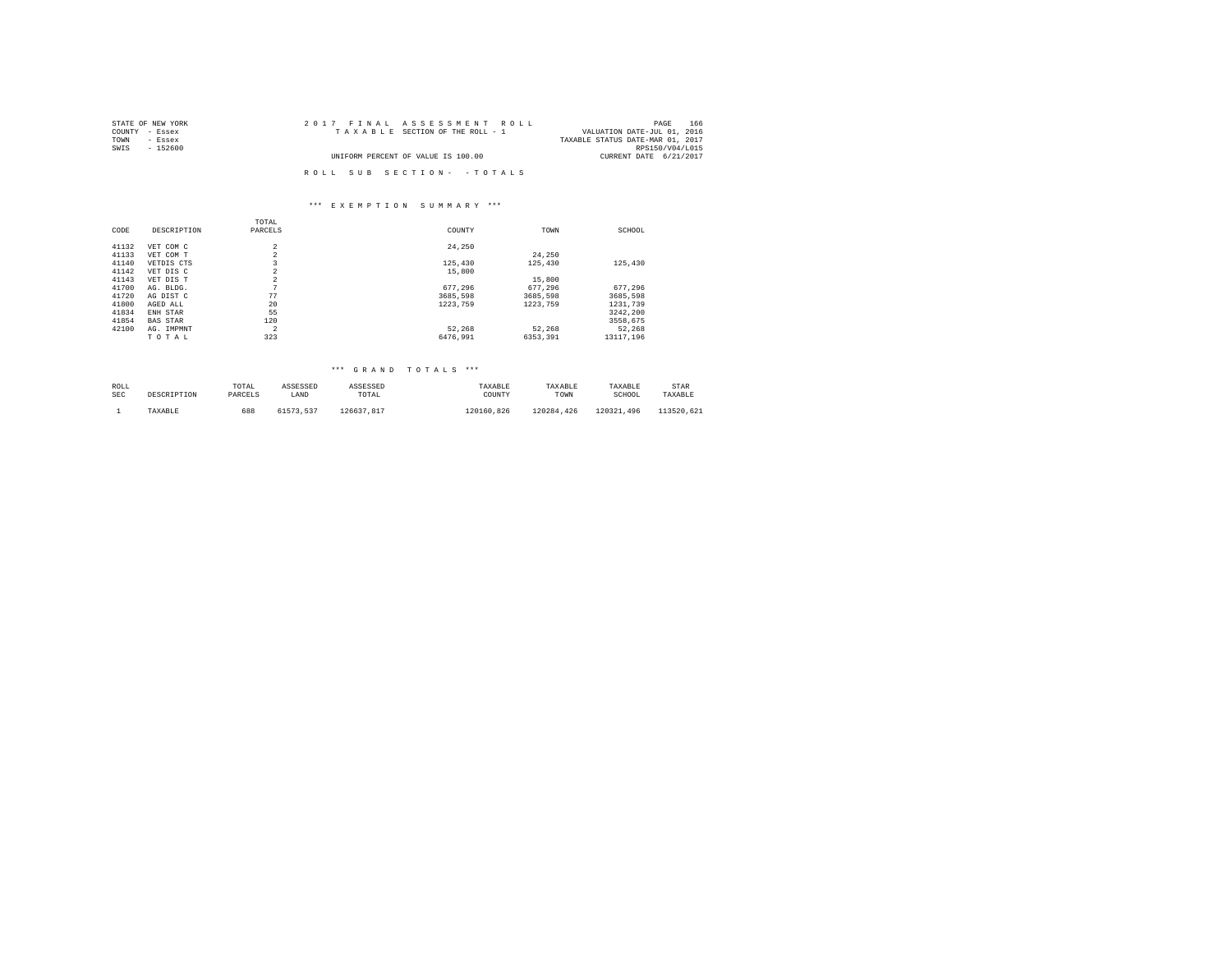| STATE OF NEW YORK | 2017 FINAL ASSESSMENT ROLL         | 166<br>PAGE                      |
|-------------------|------------------------------------|----------------------------------|
| COUNTY - Essex    | TAXABLE SECTION OF THE ROLL - 1    | VALUATION DATE-JUL 01, 2016      |
| TOWN<br>- Essex   |                                    | TAXABLE STATUS DATE-MAR 01, 2017 |
| SWIS<br>$-152600$ |                                    | RPS150/V04/L015                  |
|                   | UNIFORM PERCENT OF VALUE IS 100.00 | CURRENT DATE 6/21/2017           |
|                   |                                    |                                  |
|                   | ROLL SUB SECTION- - TOTALS         |                                  |

### \*\*\* E X E M P T I O N S U M M A R Y \*\*\*

|       |                 | TOTAL          |          |          |           |
|-------|-----------------|----------------|----------|----------|-----------|
| CODE  | DESCRIPTION     | PARCELS        | COUNTY   | TOWN     | SCHOOL    |
| 41132 | VET COM C       | $\overline{a}$ | 24.250   |          |           |
|       |                 |                |          |          |           |
| 41133 | VET COM T       | $\overline{a}$ |          | 24,250   |           |
| 41140 | VETDIS CTS      | 3              | 125,430  | 125,430  | 125,430   |
| 41142 | VET DIS C       | $\overline{2}$ | 15,800   |          |           |
| 41143 | VET DIS T       | $\overline{a}$ |          | 15,800   |           |
| 41700 | AG. BLDG.       | $\sim$         | 677.296  | 677.296  | 677.296   |
| 41720 | AG DIST C       | 77             | 3685.598 | 3685.598 | 3685.598  |
| 41800 | AGED ALL        | 20             | 1223.759 | 1223,759 | 1231,739  |
| 41834 | ENH STAR        | 55             |          |          | 3242.200  |
| 41854 | <b>BAS STAR</b> | 120            |          |          | 3558.675  |
| 42100 | AG. IMPMNT      | $\overline{2}$ | 52.268   | 52.268   | 52.268    |
|       | TOTAL           | 323            | 6476.991 | 6353.391 | 13117.196 |
|       |                 |                |          |          |           |

### \*\*\* G R A N D T O T A L S \*\*\*

| ROLL       | DESCRIPTION | TOTAL   | ASSESSED  | ASSESSED   | TAXABLE    | TAXABLE    | TAXABLE    | STAR       |
|------------|-------------|---------|-----------|------------|------------|------------|------------|------------|
| <b>SEC</b> |             | PARCELS | LAND      | TOTAL      | COUNTY     | TOWN       | SCHOOL     | TAXABLE    |
|            | TAXABLE     | 688     | 61573.537 | 126637.817 | 120160.826 | 120284.426 | 120321.496 | 113520.621 |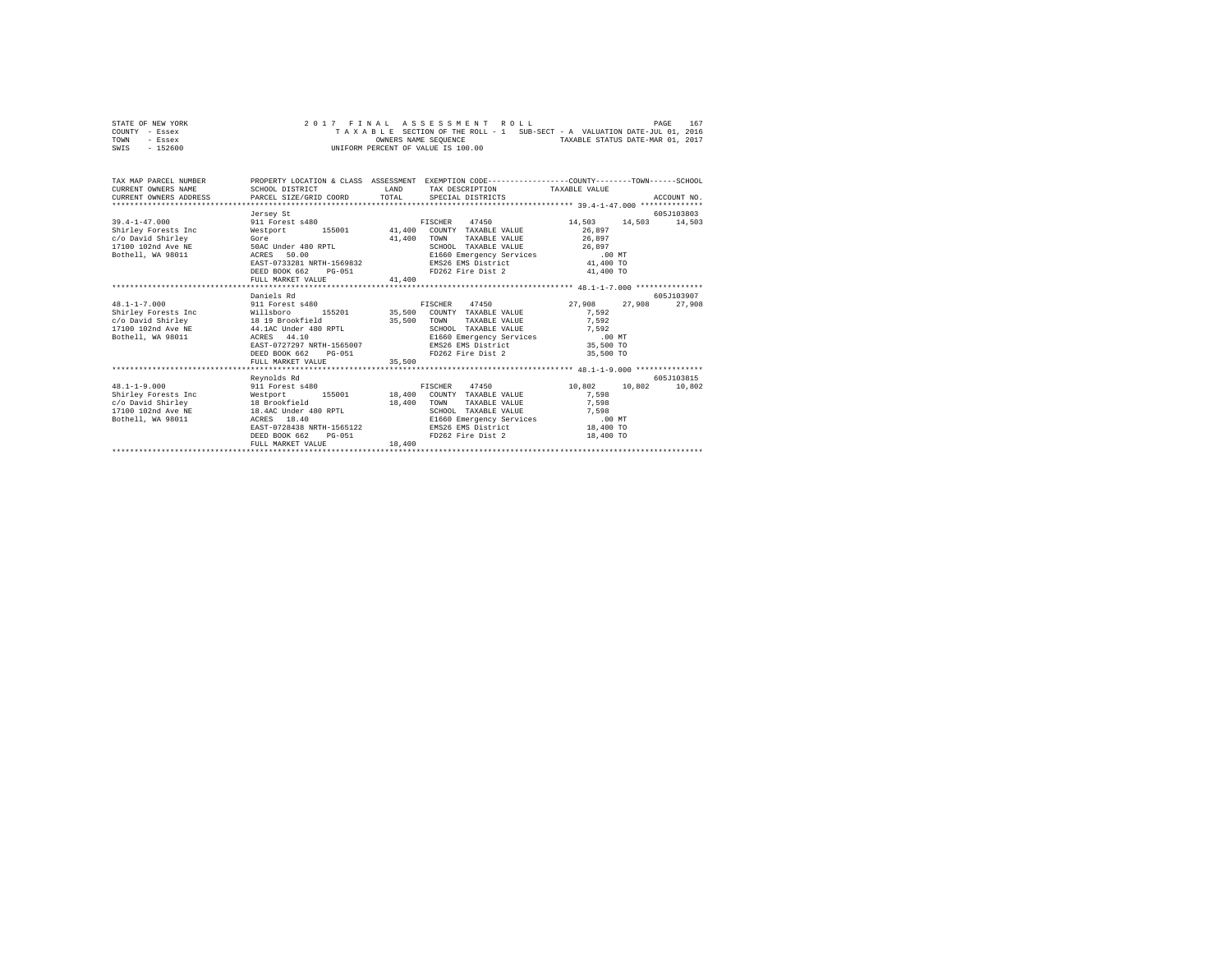|      | STATE OF NEW YORK |  |  |  | 2017 FINAL ASSESSMENT ROLL         |  |  |                                                                          |                                  | PAGE | 167 |
|------|-------------------|--|--|--|------------------------------------|--|--|--------------------------------------------------------------------------|----------------------------------|------|-----|
|      | COUNTY - Essex    |  |  |  |                                    |  |  | TAXABLE SECTION OF THE ROLL - 1 SUB-SECT - A VALUATION DATE-JUL 01, 2016 |                                  |      |     |
| TOWN | - Essex           |  |  |  | OWNERS NAME SEOUENCE               |  |  |                                                                          | TAXABLE STATUS DATE-MAR 01, 2017 |      |     |
| SWIS | - 152600          |  |  |  | UNIFORM PERCENT OF VALUE IS 100.00 |  |  |                                                                          |                                  |      |     |

| TAX MAP PARCEL NUMBER PROPERTY LOCATION & CLASS ASSESSMENT EXEMPTION CODE--------------COUNTY-------TOWN-----SCHOOL<br>CURRENT OWNERS NAME                                                                                                                                                                                                                                                                                                                                             | SCHOOL DISTRICT                             | LAND   | TAX DESCRIPTION TAXABLE VALUE                                   |               |             |
|----------------------------------------------------------------------------------------------------------------------------------------------------------------------------------------------------------------------------------------------------------------------------------------------------------------------------------------------------------------------------------------------------------------------------------------------------------------------------------------|---------------------------------------------|--------|-----------------------------------------------------------------|---------------|-------------|
| $\texttt{CURRE}\xspace \texttt{DORES}\xspace \texttt{DPESE}\xspace \texttt{DREE}\xspace \texttt{DRE}\xspace \texttt{DCE}\xspace \texttt{GORD}\xspace \texttt{TORD}\xspace \texttt{NORD}\xspace \texttt{NORD}\xspace \texttt{NORD}\xspace \texttt{NORD}\xspace \texttt{NORD}\xspace \texttt{NORD}\xspace \texttt{NORD}\xspace \texttt{NORD}\xspace \texttt{NORD}\xspace \texttt{NORD}\xspace \texttt{NORD}\xspace \texttt{NORD}\xspace \texttt{NORD}\xspace \texttt{NORD}\xspace \text$ |                                             |        |                                                                 |               |             |
|                                                                                                                                                                                                                                                                                                                                                                                                                                                                                        | Jersey St                                   |        |                                                                 |               | 605J103803  |
| $39.4 - 1 - 47.000$                                                                                                                                                                                                                                                                                                                                                                                                                                                                    | 911 Forest s480                             |        | FISCHER 47450 14,503 14,503 14,503                              |               |             |
| Shirley Forests Inc                                                                                                                                                                                                                                                                                                                                                                                                                                                                    | Westport 155001 41,400 COUNTY TAXABLE VALUE |        |                                                                 | 26,897        |             |
| c/o David Shirley<br>Gore                                                                                                                                                                                                                                                                                                                                                                                                                                                              |                                             | 41,400 | TAXABLE VALUE 26,897<br>TOWN                                    |               |             |
| 17100 102nd Ave NE                                                                                                                                                                                                                                                                                                                                                                                                                                                                     | 50AC Under 480 RPTL                         |        | SCHOOL TAXABLE VALUE 26,897                                     |               |             |
| Bothell, WA 98011 ACRES                                                                                                                                                                                                                                                                                                                                                                                                                                                                | ACRES 50.00<br>EAST-0733281 NRTH-1569832    |        |                                                                 |               |             |
|                                                                                                                                                                                                                                                                                                                                                                                                                                                                                        |                                             |        |                                                                 |               |             |
|                                                                                                                                                                                                                                                                                                                                                                                                                                                                                        | DEED BOOK 662 PG-051                        |        |                                                                 |               |             |
|                                                                                                                                                                                                                                                                                                                                                                                                                                                                                        | FULL MARKET VALUE 41,400                    |        |                                                                 |               |             |
|                                                                                                                                                                                                                                                                                                                                                                                                                                                                                        |                                             |        |                                                                 |               |             |
|                                                                                                                                                                                                                                                                                                                                                                                                                                                                                        | Daniels Rd                                  |        |                                                                 |               | 605-7103907 |
| $48.1 - 1 - 7.000$                                                                                                                                                                                                                                                                                                                                                                                                                                                                     | 911 Forest s480                             |        | FISCHER 47450                                                   | 27,908 27,908 | 27,908      |
| $c/\hbox{55.500}\begin{array}{l} \mbox{Shirley Forests Inc}\\ \mbox{C/O David Shirley} \\ \mbox{D/O David Shirley} \\ \mbox{D/OI-102nd Ave NE} \end{array} \hskip .5 in \begin{array}{l} \mbox{60.501}\begin{array}{l} \mbox{61.5201}\begin{array}{l} \mbox{62.500}\begin{array}{l} \mbox{63.500}\begin{array}{l} \mbox{64.500}\begin{array}{l} \mbox{65.500}\begin{array}{l} \mbox{66.500}\begin{array}{l} \mbox{67.500}\begin{$                                                      |                                             |        |                                                                 | 7.592         |             |
|                                                                                                                                                                                                                                                                                                                                                                                                                                                                                        |                                             |        | TAXABLE VALUE                                                   | 7,592         |             |
|                                                                                                                                                                                                                                                                                                                                                                                                                                                                                        |                                             |        | SCHOOL TAXABLE VALUE 7,592                                      |               |             |
| Bothell, WA 98011 ACRES                                                                                                                                                                                                                                                                                                                                                                                                                                                                | ACRES 44.10<br>EAST-0727297 NRTH-1565007    |        | E1660 Emergency Services .00 MT<br>EMS26 EMS District 35,500 TO |               |             |
|                                                                                                                                                                                                                                                                                                                                                                                                                                                                                        | DEED BOOK 662 PG-051                        |        | FD262 Fire Dist 2 35,500 TO                                     |               |             |
|                                                                                                                                                                                                                                                                                                                                                                                                                                                                                        | FULL MARKET VALUE                           | 35,500 |                                                                 |               |             |
|                                                                                                                                                                                                                                                                                                                                                                                                                                                                                        |                                             |        |                                                                 |               |             |
|                                                                                                                                                                                                                                                                                                                                                                                                                                                                                        | Revnolds Rd                                 |        |                                                                 |               | 605J103815  |
| $48.1 - 1 - 9.000$                                                                                                                                                                                                                                                                                                                                                                                                                                                                     |                                             |        |                                                                 |               |             |
|                                                                                                                                                                                                                                                                                                                                                                                                                                                                                        |                                             |        |                                                                 | 7,598         |             |
|                                                                                                                                                                                                                                                                                                                                                                                                                                                                                        |                                             | 18,400 | TOWN<br>TAXABLE VALUE                                           | 7,598         |             |
| c/o David Shirley<br>17100 102nd Ave NE<br>18.4AC Under 480 RPTL                                                                                                                                                                                                                                                                                                                                                                                                                       |                                             |        | SCHOOL TAXABLE VALUE                                            | 7,598         |             |
| Bothell, WA 98011 ACRES                                                                                                                                                                                                                                                                                                                                                                                                                                                                | 18.40                                       |        | E1660 Emergency Services                                        | $.00$ MT      |             |
|                                                                                                                                                                                                                                                                                                                                                                                                                                                                                        | EAST-0728438 NRTH-1565122                   |        | EMS26 EMS District 18,400 TO                                    |               |             |
|                                                                                                                                                                                                                                                                                                                                                                                                                                                                                        | DEED BOOK 662<br>$PG-051$                   |        | FD262 Fire Dist 2 18,400 TO                                     |               |             |
|                                                                                                                                                                                                                                                                                                                                                                                                                                                                                        | FULL MARKET VALUE                           | 18,400 |                                                                 |               |             |
|                                                                                                                                                                                                                                                                                                                                                                                                                                                                                        |                                             |        |                                                                 |               |             |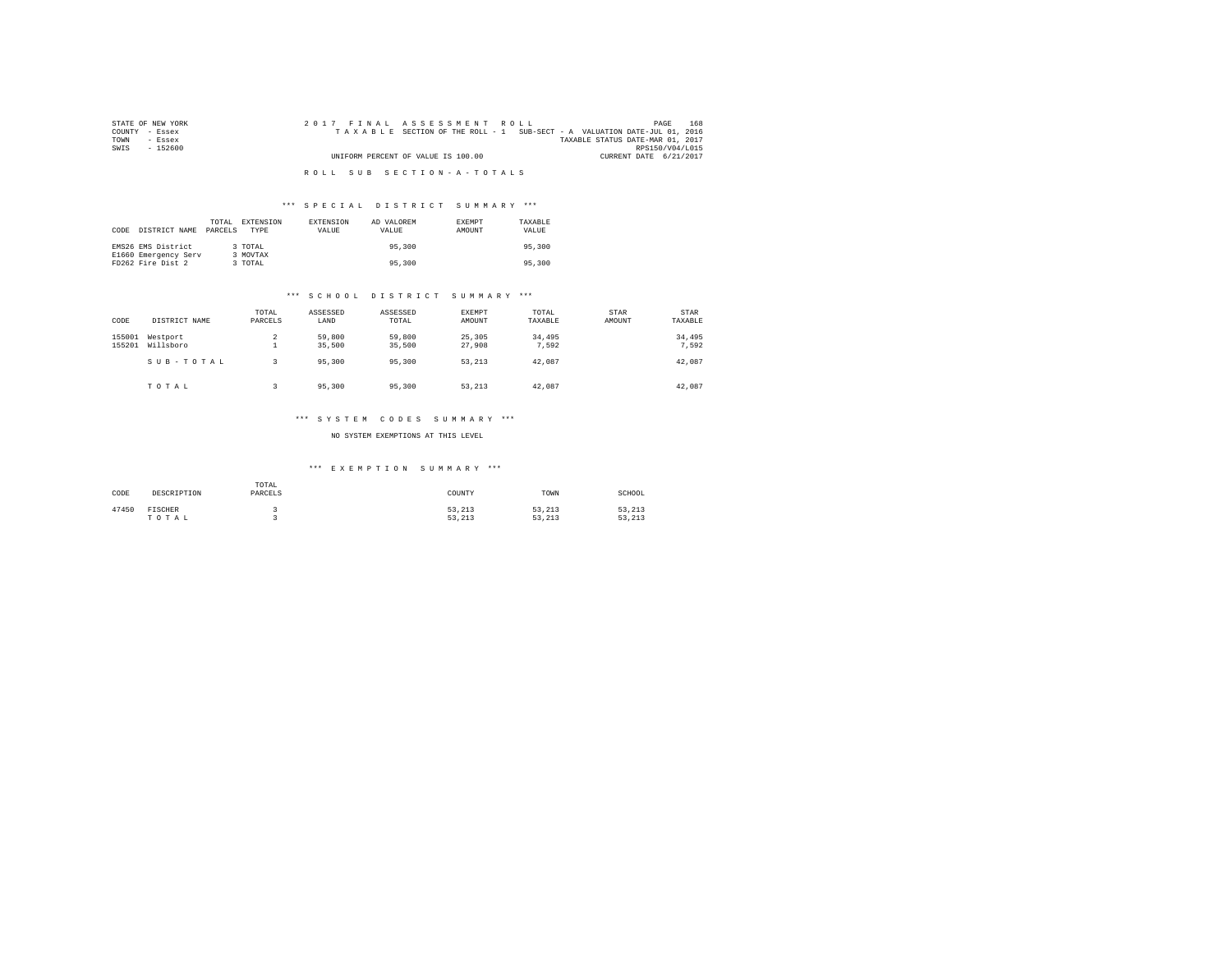| STATE OF NEW YORK | 2017 FINAL ASSESSMENT ROLL                                               | 168<br>PAGE                      |
|-------------------|--------------------------------------------------------------------------|----------------------------------|
| COUNTY - Essex    | TAXABLE SECTION OF THE ROLL - 1 SUB-SECT - A VALUATION DATE-JUL 01, 2016 |                                  |
| TOWN<br>- Essex   |                                                                          | TAXABLE STATUS DATE-MAR 01, 2017 |
| SWIS<br>- 152600  |                                                                          | RPS150/V04/L015                  |
|                   | UNIFORM PERCENT OF VALUE IS 100.00                                       | CURRENT DATE 6/21/2017           |
|                   |                                                                          |                                  |
|                   | ROLL SUB SECTION-A-TOTALS                                                |                                  |

### \*\*\* S P E C I A L D I S T R I C T S U M M A R Y \*\*\*

| CODE | DISTRICT NAME                             | TOTAL<br>PARCELS | EXTENSION<br><b>TYPE</b> | EXTENSION<br>VALUE | AD VALOREM<br>VALUE | <b>EXEMPT</b><br>AMOUNT | TAXABLE<br>VALUE |
|------|-------------------------------------------|------------------|--------------------------|--------------------|---------------------|-------------------------|------------------|
|      | EMS26 EMS District                        |                  | 3 TOTAL                  |                    | 95,300              |                         | 95,300           |
|      | E1660 Emergency Serv<br>FD262 Fire Dist 2 |                  | 3 MOVTAX<br>3 TOTAL      |                    | 95,300              |                         | 95,300           |

#### \*\*\* S C H O O L D I S T R I C T S U M M A R Y \*\*\*

| CODE             | DISTRICT NAME         | TOTAL<br>PARCELS | ASSESSED<br>LAND | ASSESSED<br>TOTAL | <b>EXEMPT</b><br>AMOUNT | TOTAL<br>TAXABLE | STAR<br>AMOUNT | STAR<br>TAXABLE |
|------------------|-----------------------|------------------|------------------|-------------------|-------------------------|------------------|----------------|-----------------|
| 155001<br>155201 | Westport<br>Willsboro | 2<br>۰           | 59,800<br>35,500 | 59,800<br>35,500  | 25,305<br>27,908        | 34,495<br>7.592  |                | 34,495<br>7.592 |
|                  | SUB-TOTAL             |                  | 95,300           | 95,300            | 53,213                  | 42.087           |                | 42.087          |
|                  | TOTAL                 | 3                | 95,300           | 95,300            | 53.213                  | 42.087           |                | 42,087          |

# \*\*\* S Y S T E M C O D E S S U M M A R Y \*\*\*

### NO SYSTEM EXEMPTIONS AT THIS LEVEL

# \*\*\* E X E M P T I O N S U M M A R Y \*\*\*

| CODE  | DESCRIPTION      | TOTAL<br>PARCELS | COUNTY           | TOWN             | SCHOOL           |
|-------|------------------|------------------|------------------|------------------|------------------|
| 47450 | FISCHER<br>TOTAL |                  | 53.213<br>53.213 | 53.213<br>53.213 | 53,213<br>53.213 |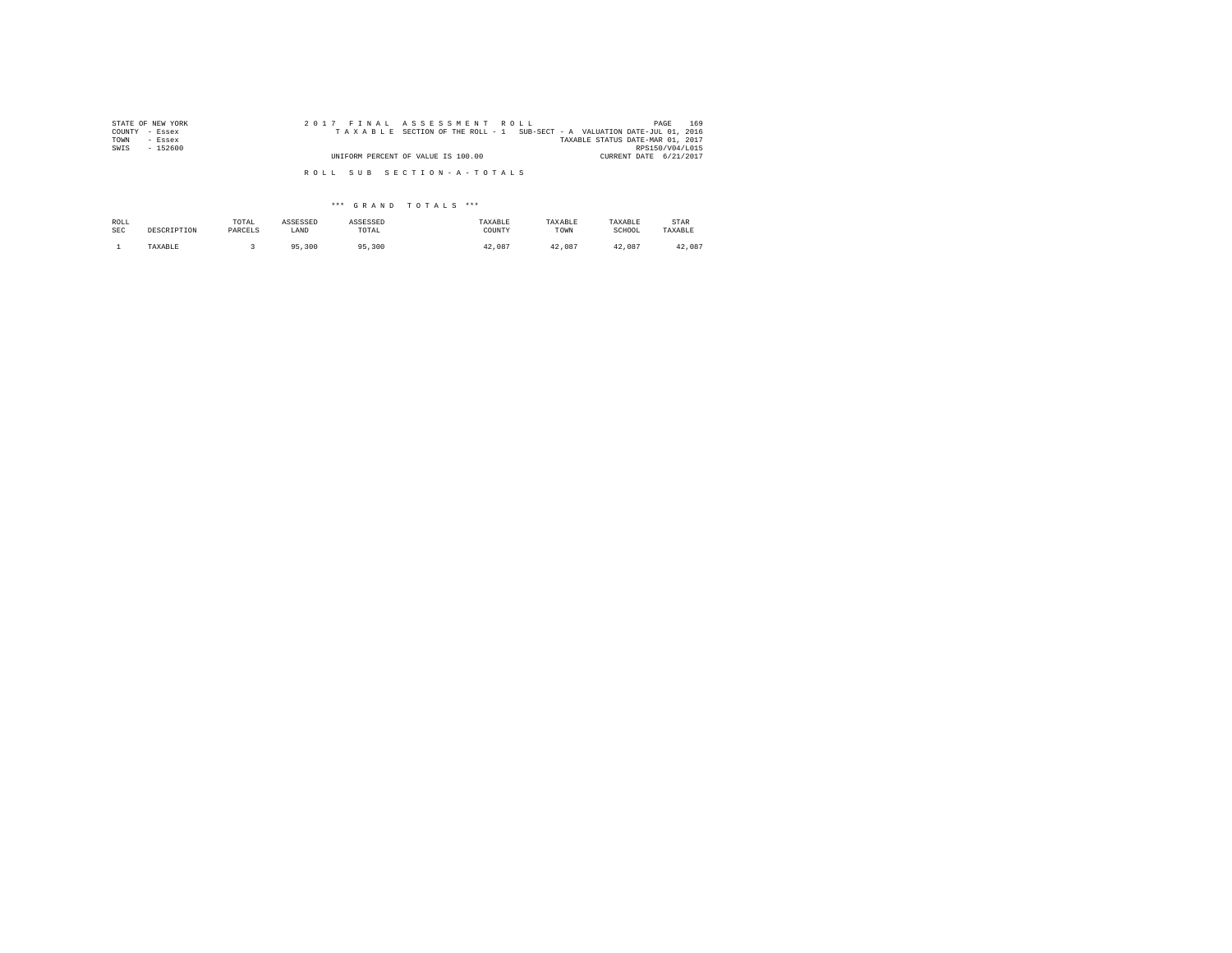| STATE OF NEW YORK<br>COUNTY | 2017 FINAL ASSESSMENT ROLL<br>TAXABLE SECTION OF THE ROLL - 1 SUB-SECT - A VALUATION DATE-JUL 01, 2016 | 169<br>PAGE                      |
|-----------------------------|--------------------------------------------------------------------------------------------------------|----------------------------------|
| - Essex<br>TOWN<br>- Essex  |                                                                                                        | TAXABLE STATUS DATE-MAR 01, 2017 |
| SWIS<br>$-152600$           |                                                                                                        | RPS150/V04/L015                  |
|                             | UNIFORM PERCENT OF VALUE IS 100.00                                                                     | CURRENT DATE 6/21/2017           |
|                             | ROLL SUB SECTION-A-TOTALS                                                                              |                                  |

\*\*\* G R A N D T O T A L S \*\*\*

| ROLL       | DESCRIPTION | TOTAL   | ASSESSED | ASSESSED   | TAXABLE | TAXABLE | TAXABLE | STAR    |
|------------|-------------|---------|----------|------------|---------|---------|---------|---------|
| <b>SEC</b> |             | PARCELS | LAND     | TOTAL      | COUNTY  | TOWN    | SCHOOL  | TAXABLE |
|            | TAXABLE     |         | 95,300   | ,300<br>QE | 42.087  | 42.087  | 42.087  | 42.087  |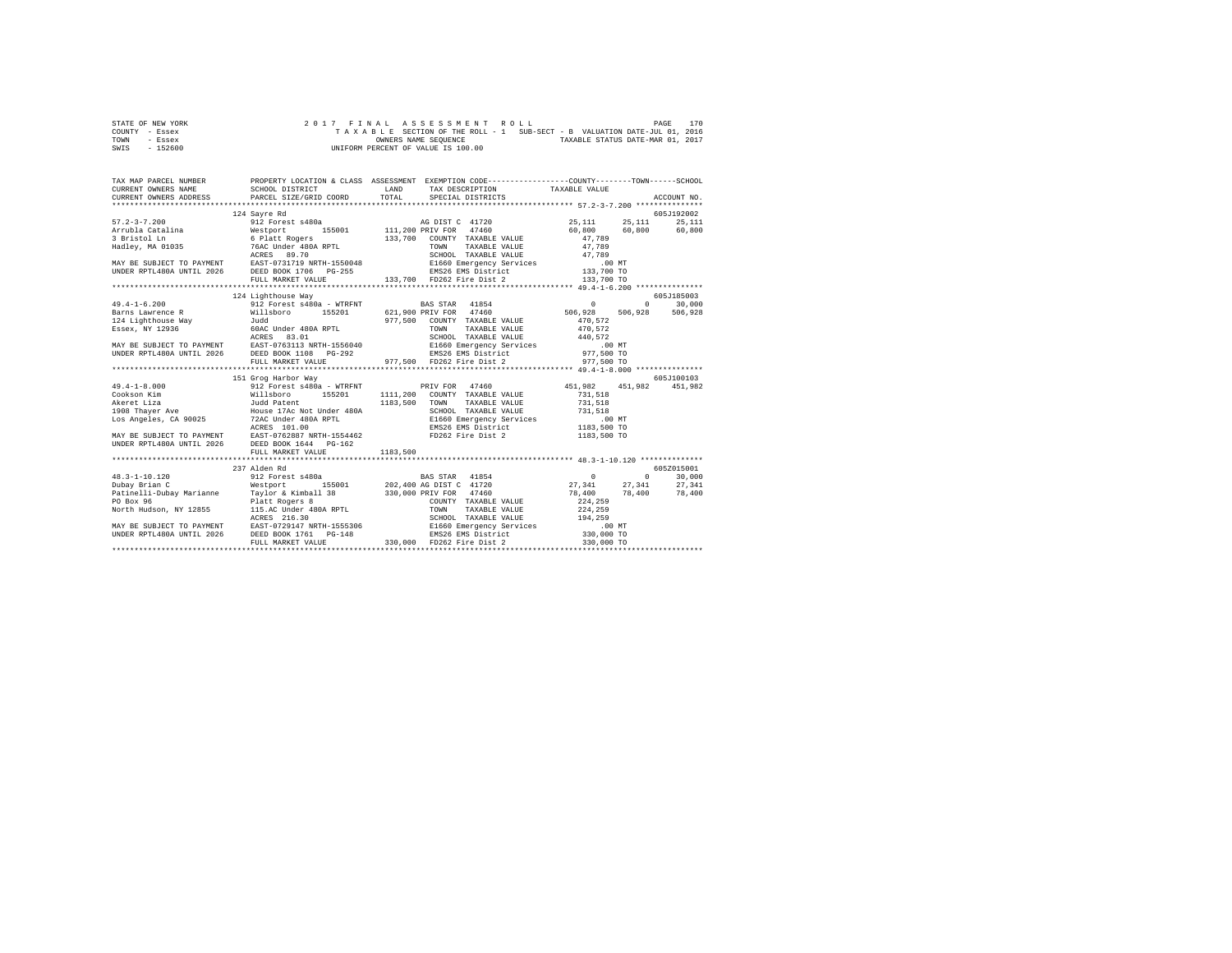| STATE OF NEW YORK |  |  |  | 2017 FINAL ASSESSMENT ROLL         |  |  |  |                                                                          | PAGE | 170 |
|-------------------|--|--|--|------------------------------------|--|--|--|--------------------------------------------------------------------------|------|-----|
| COUNTY - Essex    |  |  |  |                                    |  |  |  | TAXABLE SECTION OF THE ROLL - 1 SUB-SECT - B VALUATION DATE-JUL 01, 2016 |      |     |
| TOWN<br>- Essex   |  |  |  | OWNERS NAME SEOUENCE               |  |  |  | TAXABLE STATUS DATE-MAR 01, 2017                                         |      |     |
| $-152600$<br>SWIS |  |  |  | UNIFORM PERCENT OF VALUE IS 100.00 |  |  |  |                                                                          |      |     |

| TAX MAP PARCEL NUMBER |                     | PROPERTY LOCATION & CLASS ASSESSMENT EXEMPTION CODE----------------COUNTY-------TOWN------SCHOOL<br>SCHOOL DISTRICT LAND TAX DESCRIPTION TAXABLE VALUE |                                      |
|-----------------------|---------------------|--------------------------------------------------------------------------------------------------------------------------------------------------------|--------------------------------------|
|                       |                     |                                                                                                                                                        |                                      |
|                       | 124 Savre Rd        |                                                                                                                                                        | 605J192002                           |
| $57.2 - 3 - 7.200$    |                     |                                                                                                                                                        | AG DIST C 41720 25,111 25,111 25,111 |
|                       |                     |                                                                                                                                                        |                                      |
|                       |                     |                                                                                                                                                        |                                      |
|                       |                     |                                                                                                                                                        |                                      |
|                       |                     |                                                                                                                                                        |                                      |
|                       |                     |                                                                                                                                                        |                                      |
|                       |                     |                                                                                                                                                        |                                      |
|                       |                     |                                                                                                                                                        |                                      |
|                       |                     |                                                                                                                                                        |                                      |
|                       | 124 Lighthouse Way  |                                                                                                                                                        | 605J185003                           |
|                       |                     | 49.4-1-6.200 912 Forest s480a - WTRFNT BAS STAR 41854 0 0 0 30,000                                                                                     |                                      |
|                       |                     |                                                                                                                                                        |                                      |
|                       |                     |                                                                                                                                                        |                                      |
|                       |                     |                                                                                                                                                        |                                      |
|                       |                     |                                                                                                                                                        |                                      |
|                       |                     |                                                                                                                                                        |                                      |
|                       |                     |                                                                                                                                                        |                                      |
|                       |                     |                                                                                                                                                        |                                      |
|                       |                     |                                                                                                                                                        |                                      |
|                       | 151 Grog Harbor Way |                                                                                                                                                        | 605J100103                           |
|                       |                     |                                                                                                                                                        |                                      |
|                       |                     |                                                                                                                                                        |                                      |
|                       |                     |                                                                                                                                                        |                                      |
|                       |                     |                                                                                                                                                        |                                      |
|                       |                     |                                                                                                                                                        |                                      |
|                       |                     |                                                                                                                                                        |                                      |
|                       |                     |                                                                                                                                                        |                                      |
|                       |                     |                                                                                                                                                        |                                      |
|                       |                     |                                                                                                                                                        |                                      |
|                       | 237 Alden Rd        |                                                                                                                                                        | 605Z015001                           |
|                       |                     |                                                                                                                                                        |                                      |
|                       |                     |                                                                                                                                                        |                                      |
|                       |                     |                                                                                                                                                        |                                      |
|                       |                     |                                                                                                                                                        |                                      |
|                       |                     |                                                                                                                                                        |                                      |
|                       |                     |                                                                                                                                                        |                                      |
|                       |                     |                                                                                                                                                        |                                      |
|                       |                     |                                                                                                                                                        |                                      |
|                       |                     |                                                                                                                                                        |                                      |
|                       |                     |                                                                                                                                                        |                                      |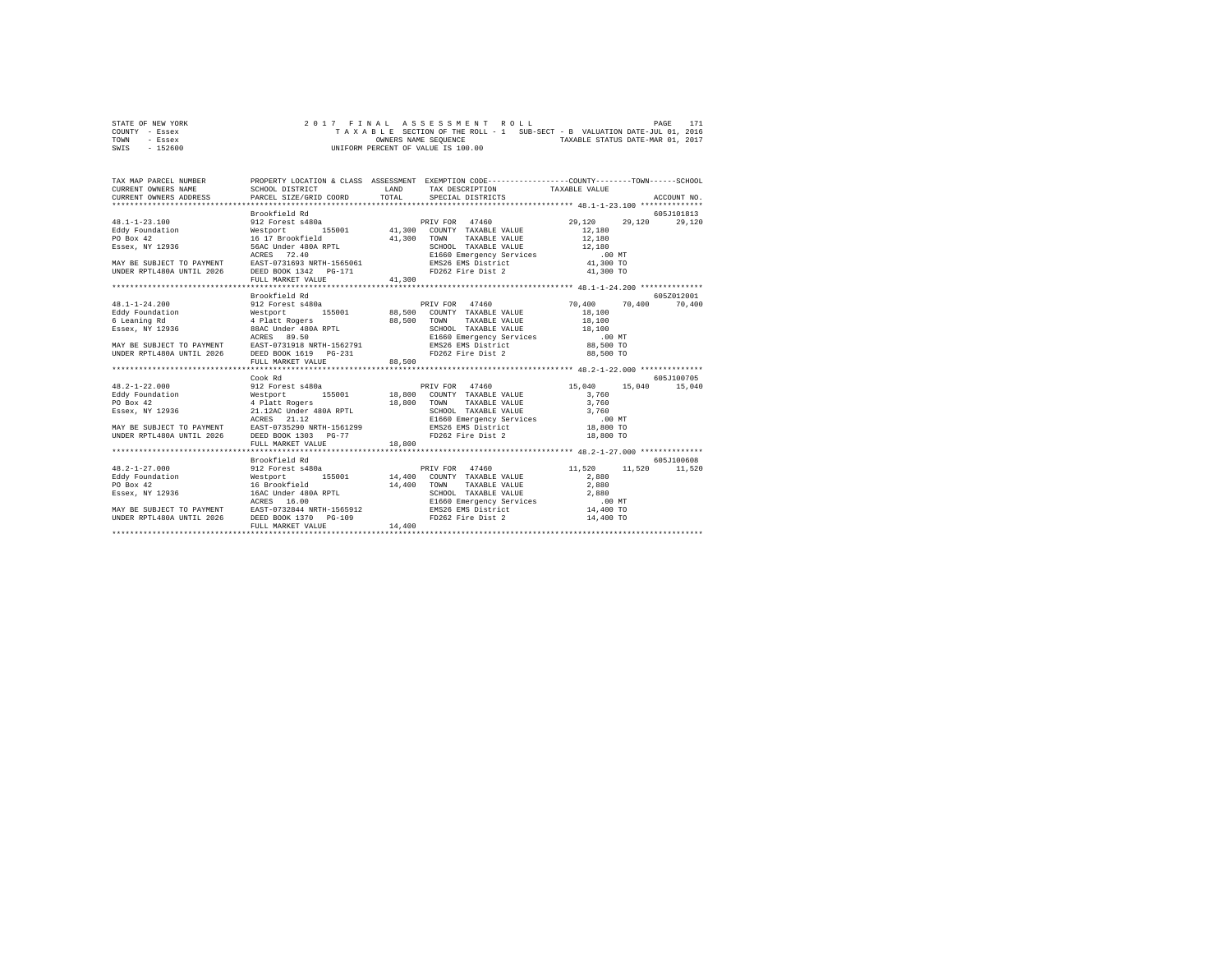| STATE OF NEW YORK |  |  |  |  | 2017 FINAL ASSESSMENT ROLL         |  |  |  |  |                                                                          | PAGE | 171 |
|-------------------|--|--|--|--|------------------------------------|--|--|--|--|--------------------------------------------------------------------------|------|-----|
| COUNTY - Essex    |  |  |  |  |                                    |  |  |  |  | TAXABLE SECTION OF THE ROLL - 1 SUB-SECT - B VALUATION DATE-JUL 01, 2016 |      |     |
| TOWN<br>- Essex   |  |  |  |  | OWNERS NAME SEOUENCE               |  |  |  |  | TAXABLE STATUS DATE-MAR 01, 2017                                         |      |     |
| $-152600$<br>SWIS |  |  |  |  | UNIFORM PERCENT OF VALUE IS 100.00 |  |  |  |  |                                                                          |      |     |

| TAX MAP PARCEL NUMBER<br>CURRENT OWNERS NAME<br>CURRENT OWNERS ADDRESS PARCEL SIZE/GRID COORD          | SCHOOL DISTRICT                                    | LAND<br>TOTAL | PROPERTY LOCATION & CLASS ASSESSMENT EXEMPTION CODE----------------COUNTY-------TOWN-----SCHOOL<br>TAX DESCRIPTION TAXABLE VALUE<br>SPECIAL DISTRICTS |                  | ACCOUNT NO.   |
|--------------------------------------------------------------------------------------------------------|----------------------------------------------------|---------------|-------------------------------------------------------------------------------------------------------------------------------------------------------|------------------|---------------|
|                                                                                                        |                                                    |               |                                                                                                                                                       |                  |               |
|                                                                                                        | Brookfield Rd                                      |               |                                                                                                                                                       |                  | 605J101813    |
| $48.1 - 1 - 23.100$                                                                                    |                                                    |               | PRIV FOR 47460                                                                                                                                        | 29,120<br>29,120 | 29,120        |
|                                                                                                        | 912 Forest s480a<br>Westport 1<br>16 17 Brookfield |               |                                                                                                                                                       | 12,180           |               |
| Eddy Foundation<br>PO Box 42                                                                           |                                                    | 41,300        | TOWN<br>TAXABLE VALUE                                                                                                                                 | 12,180           |               |
|                                                                                                        |                                                    |               |                                                                                                                                                       | 12,180           |               |
| FO BOX 72<br>Essex, NY 12936 56AC Under 480A RPTL                                                      |                                                    |               | SCHOOL TAXABLE VALUE 12,180<br>E1660 Emergency Services .00 MT<br>EMS26 EMS District 41,300 TO                                                        |                  |               |
| MAY BE SUBJECT TO PAYMENT EAST-0731693 NRTH-1565061                                                    |                                                    |               |                                                                                                                                                       |                  |               |
| UNDER RPTL480A UNTIL 2026 DEED BOOK 1342 PG-171                                                        |                                                    |               | FD262 Fire Dist 2 41,300 TO                                                                                                                           |                  |               |
|                                                                                                        | FULL MARKET VALUE                                  | 41,300        |                                                                                                                                                       |                  |               |
|                                                                                                        |                                                    |               |                                                                                                                                                       |                  |               |
|                                                                                                        | Brookfield Rd                                      |               |                                                                                                                                                       |                  | 605Z012001    |
| $48.1 - 1 - 24.200$                                                                                    | 912 Forest s480a                                   |               | PRIV FOR 47460                                                                                                                                        | 70.400 70.400    |               |
|                                                                                                        |                                                    |               |                                                                                                                                                       |                  | 70,400        |
| Eddy Foundation                                                                                        |                                                    |               | 155001 88,500 COUNTY TAXABLE VALUE                                                                                                                    | 18,100           |               |
| 6 Leaning Rd                                                                                           |                                                    |               | TOWN<br>TAXABLE VALUE                                                                                                                                 | 18,100           |               |
| Essex, NY 12936                                                                                        |                                                    |               | SCHOOL TAXABLE VALUE 18,100<br>E1660 Emergency Services .00 MT<br>EMS26 EMS District 88,500 TO                                                        |                  |               |
|                                                                                                        |                                                    |               |                                                                                                                                                       |                  |               |
| MAY BE SUBJECT TO PAYMENT EAST-0731918 NRTH-1562791                                                    |                                                    |               |                                                                                                                                                       |                  |               |
| UNDER RPTL480A UNTIL 2026                                                                              | DEED BOOK 1619 PG-231                              |               | FD262 Fire Dist 2                                                                                                                                     | 88,500 TO        |               |
|                                                                                                        | FULL MARKET VALUE                                  | 88,500        |                                                                                                                                                       |                  |               |
|                                                                                                        |                                                    |               |                                                                                                                                                       |                  |               |
|                                                                                                        | Cook Rd                                            |               |                                                                                                                                                       |                  | 605J100705    |
|                                                                                                        |                                                    |               | PRIV FOR 47460                                                                                                                                        | 15,040           | 15,040 15,040 |
|                                                                                                        |                                                    |               | COUNTY TAXABLE VALUE                                                                                                                                  | 3,760            |               |
|                                                                                                        |                                                    |               | TOWN<br>TAXABLE VALUE                                                                                                                                 | 3,760            |               |
|                                                                                                        |                                                    |               |                                                                                                                                                       |                  |               |
|                                                                                                        |                                                    |               |                                                                                                                                                       |                  |               |
|                                                                                                        |                                                    |               | $ENSS26$ EMS District                                                                                                                                 | 18,800 TO        |               |
| MAY BE SUBJECT TO PAYMENT EAST-0735290 NRTH-1561299<br>UNDER RPTL480A UNTIL 2026 DEED BOOK 1303 PG-77  |                                                    |               | FD262 Fire Dist 2                                                                                                                                     | 18,800 TO        |               |
|                                                                                                        | FULL MARKET VALUE                                  | 18,800        |                                                                                                                                                       |                  |               |
|                                                                                                        |                                                    |               |                                                                                                                                                       |                  |               |
|                                                                                                        | Brookfield Rd                                      |               |                                                                                                                                                       |                  | 605-7100608   |
| $48.2 - 1 - 27.000$                                                                                    | 912 Forest s480a                                   |               | PRIV FOR 47460                                                                                                                                        | 11,520<br>11,520 | 11,520        |
|                                                                                                        |                                                    |               | 155001 14,400 COUNTY TAXABLE VALUE                                                                                                                    | 2,880            |               |
|                                                                                                        |                                                    |               | 14,400 TOWN<br>TAXABLE VALUE                                                                                                                          | 2,880            |               |
|                                                                                                        |                                                    |               | SCHOOL TAXABLE VALUE                                                                                                                                  | 2,880            |               |
|                                                                                                        | ACRES<br>16.00                                     |               |                                                                                                                                                       |                  |               |
|                                                                                                        |                                                    |               | E1660 Emergency Services .00 MT<br>EMS26 EMS District 14,400 TO                                                                                       |                  |               |
| MAY BE SUBJECT TO PAYMENT EAST-0732844 NRTH-1565912<br>UNDER RPTL480A UNTIL 2026 DEED BOOK 1370 PG-109 |                                                    |               | FD262 Fire Dist 2                                                                                                                                     | 14,400 TO        |               |
|                                                                                                        | FULL MARKET VALUE                                  | 14,400        |                                                                                                                                                       |                  |               |
|                                                                                                        |                                                    |               |                                                                                                                                                       |                  |               |
|                                                                                                        |                                                    |               |                                                                                                                                                       |                  |               |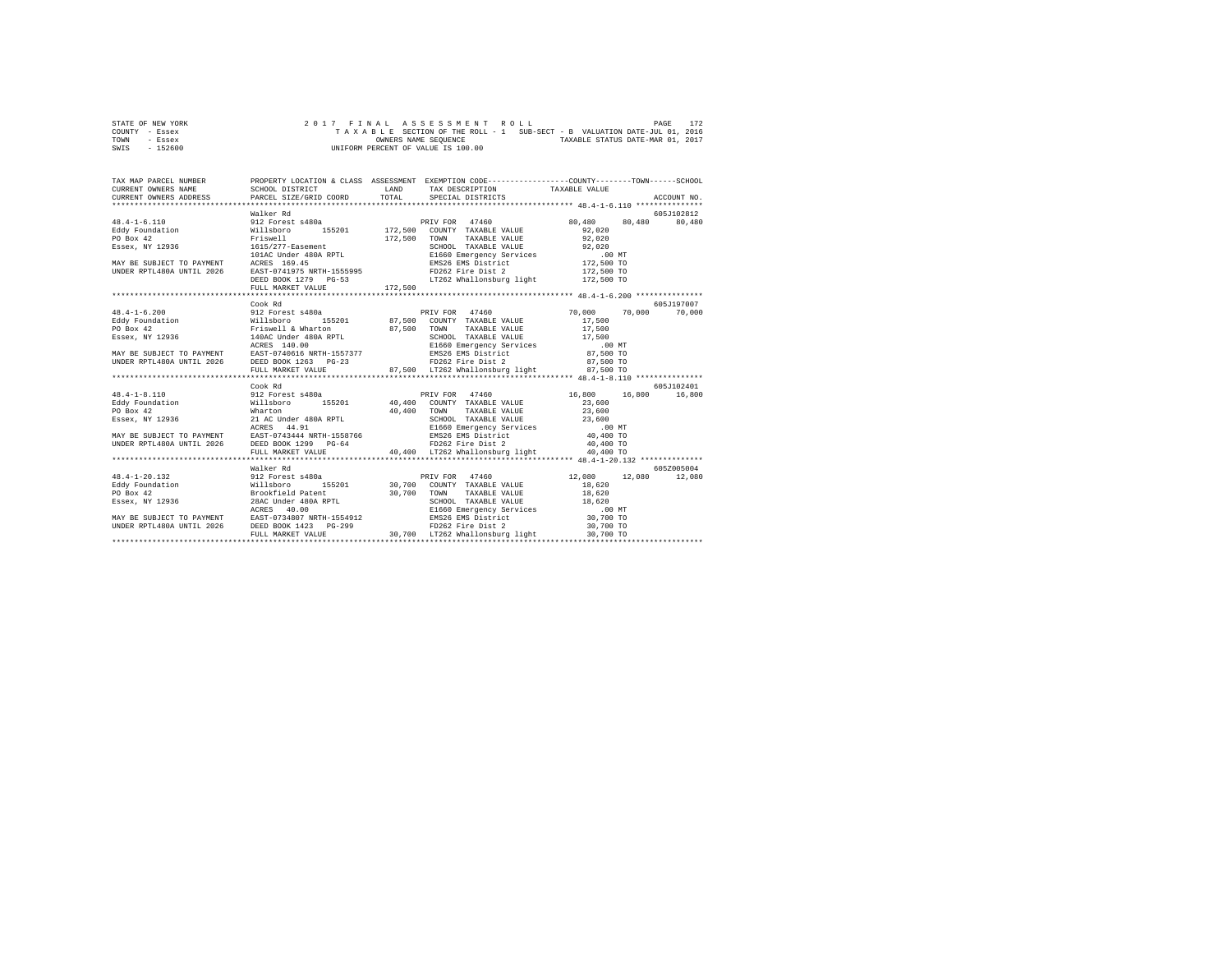| STATE OF NEW YORK |  |  | 2017 FINAL ASSESSMENT ROLL                                               |  |  | PAGE                             | 172 |
|-------------------|--|--|--------------------------------------------------------------------------|--|--|----------------------------------|-----|
| COUNTY - Essex    |  |  | TAXABLE SECTION OF THE ROLL - 1 SUB-SECT - B VALUATION DATE-JUL 01, 2016 |  |  |                                  |     |
| TOWN<br>- Essex   |  |  | OWNERS NAME SEOUENCE                                                     |  |  | TAXABLE STATUS DATE-MAR 01, 2017 |     |
| - 152600<br>SWIS  |  |  | UNIFORM PERCENT OF VALUE IS 100.00                                       |  |  |                                  |     |

| TAX MAP PARCEL NUMBER |                   |                                                                     | PROPERTY LOCATION & CLASS ASSESSMENT EXEMPTION CODE----------------COUNTY-------TOWN------SCHOOL<br>$\begin{tabular}{lllllllll} \texttt{CURERENT} & & & & & & & \texttt{TAXABLE} & \texttt{WALUE} \\ \texttt{CURERENT} & & & & & \texttt{SCEQID} & \texttt{PACEGID} & \texttt{TAXBLE} & \texttt{SPEGID} & \texttt{PACEGID} & \texttt{PACEGID} & \texttt{ACCOURT} & \texttt{ROCQURT} & \texttt{ROCQURT} & \texttt{ROCQURT} & \texttt{ROCQURT} & \texttt{ROCQURT} & \texttt{ROCQURT} & \texttt{ROCQURT} & \texttt{ROCQURT} &$ |            |
|-----------------------|-------------------|---------------------------------------------------------------------|-----------------------------------------------------------------------------------------------------------------------------------------------------------------------------------------------------------------------------------------------------------------------------------------------------------------------------------------------------------------------------------------------------------------------------------------------------------------------------------------------------------------------------|------------|
|                       |                   |                                                                     |                                                                                                                                                                                                                                                                                                                                                                                                                                                                                                                             |            |
|                       | Walker Rd         |                                                                     |                                                                                                                                                                                                                                                                                                                                                                                                                                                                                                                             | 605J102812 |
| $48.4 - 1 - 6.110$    |                   |                                                                     |                                                                                                                                                                                                                                                                                                                                                                                                                                                                                                                             |            |
|                       |                   |                                                                     |                                                                                                                                                                                                                                                                                                                                                                                                                                                                                                                             |            |
|                       |                   |                                                                     |                                                                                                                                                                                                                                                                                                                                                                                                                                                                                                                             |            |
|                       |                   |                                                                     |                                                                                                                                                                                                                                                                                                                                                                                                                                                                                                                             |            |
|                       |                   |                                                                     |                                                                                                                                                                                                                                                                                                                                                                                                                                                                                                                             |            |
|                       |                   |                                                                     |                                                                                                                                                                                                                                                                                                                                                                                                                                                                                                                             |            |
|                       |                   |                                                                     |                                                                                                                                                                                                                                                                                                                                                                                                                                                                                                                             |            |
|                       |                   |                                                                     |                                                                                                                                                                                                                                                                                                                                                                                                                                                                                                                             |            |
|                       |                   |                                                                     |                                                                                                                                                                                                                                                                                                                                                                                                                                                                                                                             |            |
|                       |                   |                                                                     | NATE SURFACE TRISMELLER TRISMELLER TRISMELLER TRISMELLER PRODUCE THE SURFAINING PO BOX 42<br>FILSWELL TRISMELLER TRISMELLER SCHOOL TAXABLE VALUE SEREY, NY 12936<br>THE SURFAINT ACRES 169.45 PO SON TAXABLE VALUE SCHOOL TAXABLE                                                                                                                                                                                                                                                                                           |            |
|                       | Cook Rd           |                                                                     |                                                                                                                                                                                                                                                                                                                                                                                                                                                                                                                             | 605J197007 |
|                       |                   |                                                                     | $\begin{tabular}{l c c c c c c c c} \multicolumn{3}{c c c c} \multicolumn{3}{c c c c} \multicolumn{3}{c c c} \multicolumn{3}{c c c} \multicolumn{3}{c c c} \multicolumn{3}{c c c} \multicolumn{3}{c c c} \multicolumn{3}{c c c} \multicolumn{3}{c c c} \multicolumn{3}{c c c} \multicolumn{3}{c c c} \multicolumn{3}{c c c} \multicolumn{3}{c c c} \multicolumn{3}{c c c} \multicolumn{3}{c c$                                                                                                                              |            |
|                       |                   |                                                                     |                                                                                                                                                                                                                                                                                                                                                                                                                                                                                                                             |            |
|                       |                   |                                                                     |                                                                                                                                                                                                                                                                                                                                                                                                                                                                                                                             |            |
|                       |                   |                                                                     |                                                                                                                                                                                                                                                                                                                                                                                                                                                                                                                             |            |
|                       |                   |                                                                     |                                                                                                                                                                                                                                                                                                                                                                                                                                                                                                                             |            |
|                       |                   |                                                                     |                                                                                                                                                                                                                                                                                                                                                                                                                                                                                                                             |            |
|                       |                   |                                                                     |                                                                                                                                                                                                                                                                                                                                                                                                                                                                                                                             |            |
|                       |                   | FULL MARKET VALUE 87,500 LT262 Whallonsburg light 87,500 TO         |                                                                                                                                                                                                                                                                                                                                                                                                                                                                                                                             |            |
|                       |                   |                                                                     |                                                                                                                                                                                                                                                                                                                                                                                                                                                                                                                             |            |
|                       | Cook Rd           |                                                                     |                                                                                                                                                                                                                                                                                                                                                                                                                                                                                                                             | 605J102401 |
|                       |                   |                                                                     |                                                                                                                                                                                                                                                                                                                                                                                                                                                                                                                             |            |
|                       |                   |                                                                     |                                                                                                                                                                                                                                                                                                                                                                                                                                                                                                                             |            |
|                       |                   |                                                                     |                                                                                                                                                                                                                                                                                                                                                                                                                                                                                                                             |            |
|                       |                   |                                                                     |                                                                                                                                                                                                                                                                                                                                                                                                                                                                                                                             |            |
|                       |                   |                                                                     |                                                                                                                                                                                                                                                                                                                                                                                                                                                                                                                             |            |
|                       |                   |                                                                     |                                                                                                                                                                                                                                                                                                                                                                                                                                                                                                                             |            |
|                       |                   |                                                                     |                                                                                                                                                                                                                                                                                                                                                                                                                                                                                                                             |            |
|                       | FULL MARKET VALUE | 40.400 LT262 Whallonsburg light                                     | 40,400 TO                                                                                                                                                                                                                                                                                                                                                                                                                                                                                                                   |            |
|                       |                   |                                                                     |                                                                                                                                                                                                                                                                                                                                                                                                                                                                                                                             |            |
|                       | Walker Rd         |                                                                     |                                                                                                                                                                                                                                                                                                                                                                                                                                                                                                                             | 605Z005004 |
| 48.4-1-20.132         |                   |                                                                     | wa⊥ker.kg<br>12.080 12,080 12,080 12,080 12,080 12,080                                                                                                                                                                                                                                                                                                                                                                                                                                                                      |            |
|                       |                   | Eddy Foundation Millsboro 155201 30,700 COUNTY TAXABLE VALUE 18,620 |                                                                                                                                                                                                                                                                                                                                                                                                                                                                                                                             |            |
|                       |                   |                                                                     |                                                                                                                                                                                                                                                                                                                                                                                                                                                                                                                             |            |
|                       |                   |                                                                     |                                                                                                                                                                                                                                                                                                                                                                                                                                                                                                                             |            |
|                       |                   |                                                                     |                                                                                                                                                                                                                                                                                                                                                                                                                                                                                                                             |            |
|                       |                   |                                                                     |                                                                                                                                                                                                                                                                                                                                                                                                                                                                                                                             |            |
|                       |                   |                                                                     |                                                                                                                                                                                                                                                                                                                                                                                                                                                                                                                             |            |
|                       | FULL MARKET VALUE | 30,700 LT262 Whallonsburg light                                     | 30,700 TO                                                                                                                                                                                                                                                                                                                                                                                                                                                                                                                   |            |
|                       |                   |                                                                     |                                                                                                                                                                                                                                                                                                                                                                                                                                                                                                                             |            |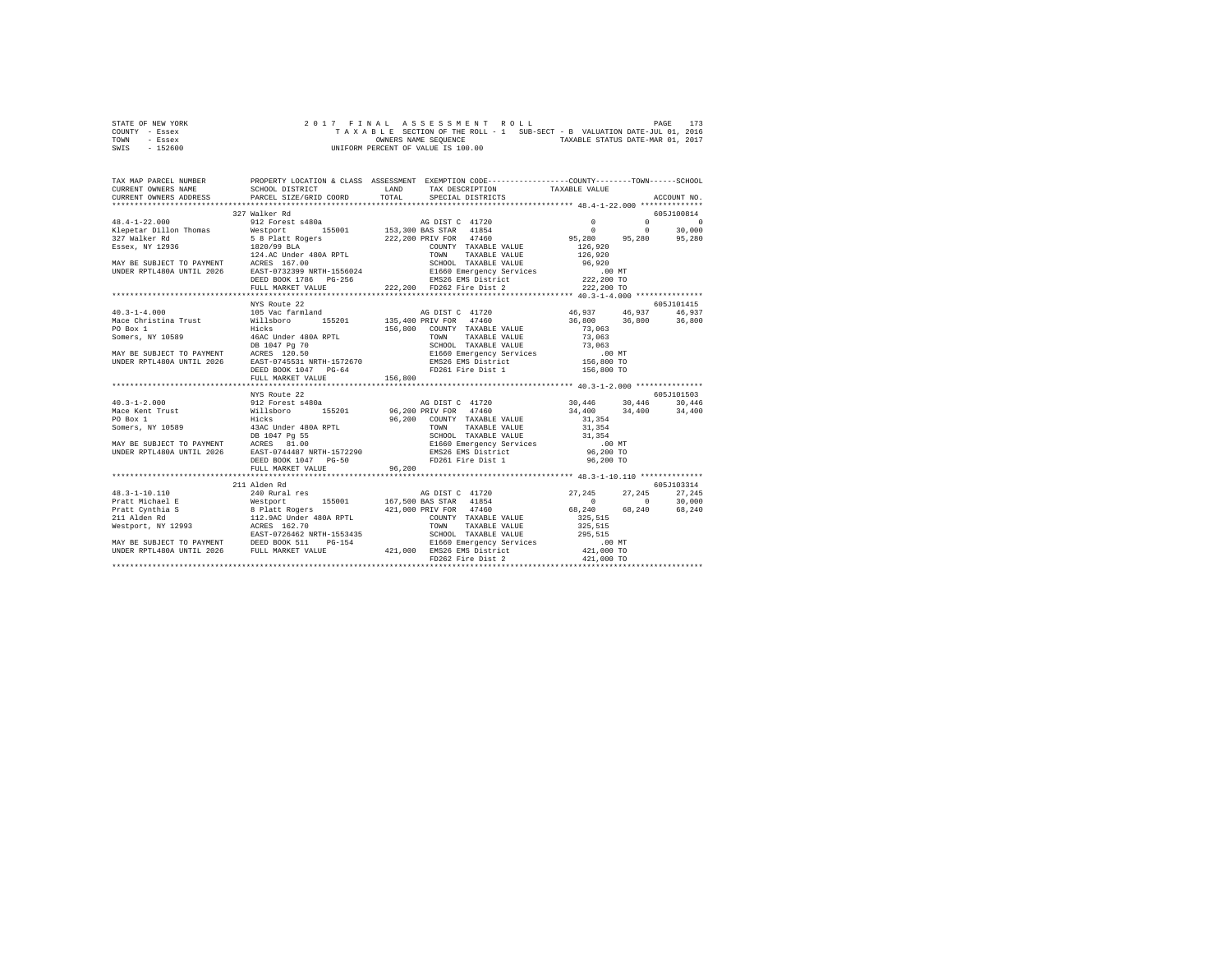| STATE OF NEW YORK |  |  |  |  | 2017 FINAL ASSESSMENT ROLL         |  |  |  |                                                                          | PAGE | 173 |
|-------------------|--|--|--|--|------------------------------------|--|--|--|--------------------------------------------------------------------------|------|-----|
| COUNTY - Essex    |  |  |  |  |                                    |  |  |  | TAXABLE SECTION OF THE ROLL - 1 SUB-SECT - B VALUATION DATE-JUL 01, 2016 |      |     |
| TOWN<br>- Essex   |  |  |  |  | OWNERS NAME SEOUENCE               |  |  |  | TAXABLE STATUS DATE-MAR 01, 2017                                         |      |     |
| - 152600<br>SWIS  |  |  |  |  | UNIFORM PERCENT OF VALUE IS 100.00 |  |  |  |                                                                          |      |     |

| TAX MAP PARCEL NUMBER<br>CURRENT OWNERS NAME |                                                  |                                                                                                                                                                                                                                                                                                                                                                                                         |                                                                                                                                             |            |
|----------------------------------------------|--------------------------------------------------|---------------------------------------------------------------------------------------------------------------------------------------------------------------------------------------------------------------------------------------------------------------------------------------------------------------------------------------------------------------------------------------------------------|---------------------------------------------------------------------------------------------------------------------------------------------|------------|
|                                              |                                                  |                                                                                                                                                                                                                                                                                                                                                                                                         |                                                                                                                                             |            |
|                                              | 327 Walker Rd                                    |                                                                                                                                                                                                                                                                                                                                                                                                         |                                                                                                                                             | 605J100814 |
|                                              |                                                  |                                                                                                                                                                                                                                                                                                                                                                                                         |                                                                                                                                             |            |
|                                              |                                                  | $\begin{tabular}{cccccc} 48.4-1-22.000 & 327 \text{ Walker R} & 102.001 & 605J100814 & 102.001 & 605J100814 & 102.001 & 60.001 & 60.001 & 60.001 & 60.001 & 60.001 & 60.001 & 60.001 & 60.001 & 60.001 & 60.001 & 60.001 & 60.001 & 60.001 & 60.001 & 60.001 & 60.001 & 60.00$                                                                                                                          |                                                                                                                                             |            |
|                                              | NYS Route 22                                     |                                                                                                                                                                                                                                                                                                                                                                                                         |                                                                                                                                             | 605J101415 |
|                                              |                                                  |                                                                                                                                                                                                                                                                                                                                                                                                         | 46,937   46,937   46,937<br>36,800   36,800   36,800                                                                                        |            |
|                                              | FULL MARKET VALUE                                | 156,800                                                                                                                                                                                                                                                                                                                                                                                                 |                                                                                                                                             |            |
|                                              | NYS Route 22                                     |                                                                                                                                                                                                                                                                                                                                                                                                         |                                                                                                                                             | 605J101503 |
|                                              | DEED BOOK 1047 PG-50<br>FULL MARKET VALUE 96,200 | FD261 Fire Dist 1                                                                                                                                                                                                                                                                                                                                                                                       | $\begin{array}{llll} 30\,,446 \qquad & 30\,,446 \qquad & 30\,,446 \\ 34\,,400 \qquad & 34\,,400 \qquad & 34\,,400 \end{array}$<br>96,200 TO |            |
|                                              | 211 Alden Rd                                     |                                                                                                                                                                                                                                                                                                                                                                                                         |                                                                                                                                             | 605J103314 |
|                                              |                                                  | $\begin{tabular}{l c c c c c} \multicolumn{1}{c c c c} \multicolumn{1}{c c c} \multicolumn{1}{c c c} \multicolumn{1}{c c c} \multicolumn{1}{c c c} \multicolumn{1}{c c c} \multicolumn{1}{c c c} \multicolumn{1}{c c c} \multicolumn{1}{c c c} \multicolumn{1}{c c c} \multicolumn{1}{c c c} \multicolumn{1}{c c c} \multicolumn{1}{c c c} \multicolumn{1}{c c c} \multicolumn{1}{c c c} \multicolumn{$ |                                                                                                                                             |            |
|                                              |                                                  |                                                                                                                                                                                                                                                                                                                                                                                                         |                                                                                                                                             |            |
|                                              |                                                  |                                                                                                                                                                                                                                                                                                                                                                                                         |                                                                                                                                             |            |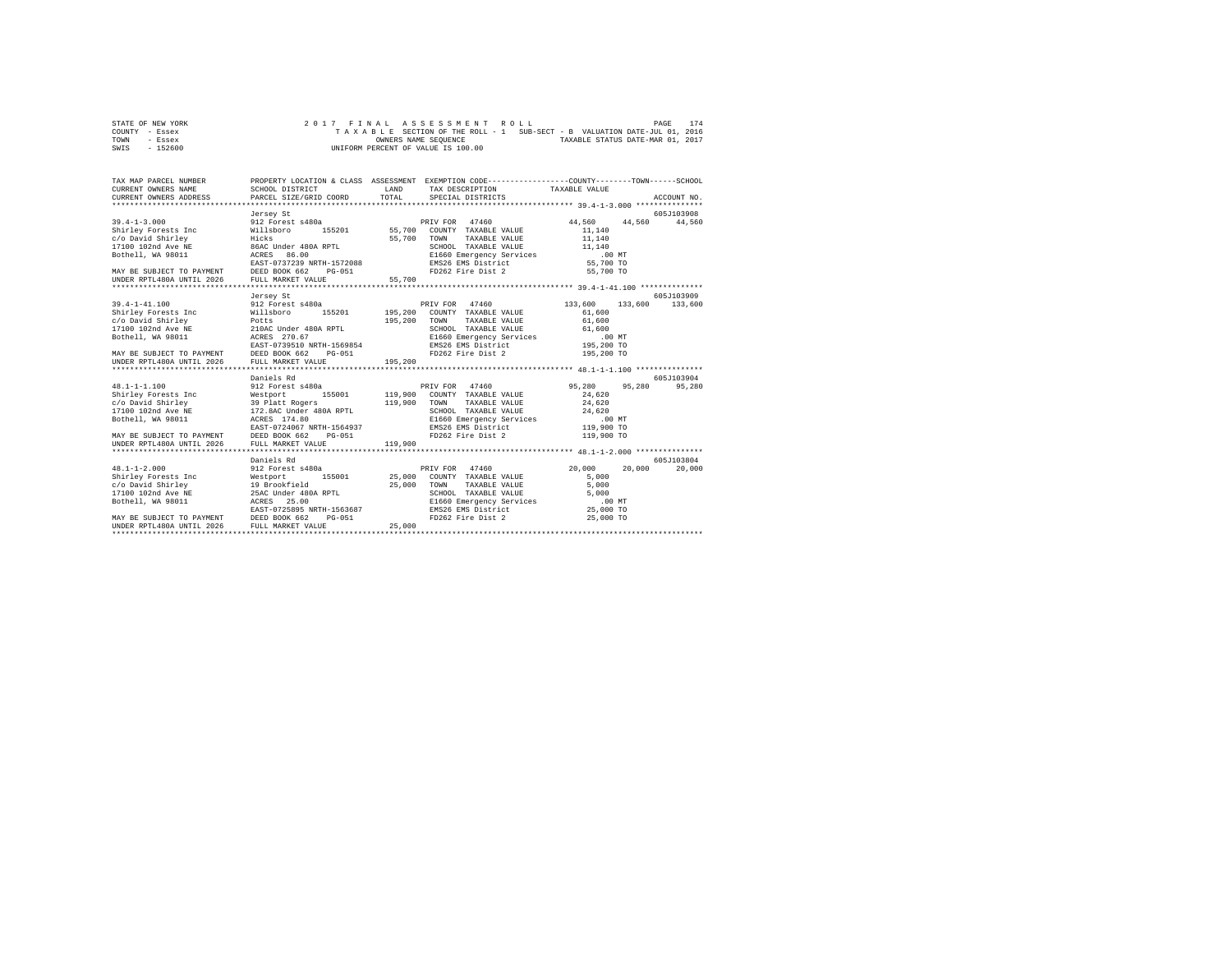| STATE OF NEW YORK | 2017 FINAL ASSESSMENT ROLL                                               | 174<br>PAGE                      |
|-------------------|--------------------------------------------------------------------------|----------------------------------|
| COUNTY - Essex    | TAXABLE SECTION OF THE ROLL - 1 SUB-SECT - B VALUATION DATE-JUL 01, 2016 |                                  |
| TOWN<br>- Essex   | OWNERS NAME SEOUENCE                                                     | TAXABLE STATUS DATE-MAR 01, 2017 |
| $-152600$<br>SWIS | UNIFORM PERCENT OF VALUE IS 100.00                                       |                                  |

| TAX MAP PARCEL NUMBER<br>CURRENT OWNERS NAME<br>CURRENT OWNERS ADDRESS PARCEL SIZE/GRID COORD                                                                                                                                                                                                                                                                      | SCHOOL DISTRICT                                                                                        | LAND<br>TOTAL      | PROPERTY LOCATION & CLASS ASSESSMENT EXEMPTION CODE---------------COUNTY-------TOWN-----SCHOOL<br>TAX DESCRIPTION TAXABLE VALUE<br>SPECIAL DISTRICTS                                            |                                                                                                    | ACCOUNT NO.           |
|--------------------------------------------------------------------------------------------------------------------------------------------------------------------------------------------------------------------------------------------------------------------------------------------------------------------------------------------------------------------|--------------------------------------------------------------------------------------------------------|--------------------|-------------------------------------------------------------------------------------------------------------------------------------------------------------------------------------------------|----------------------------------------------------------------------------------------------------|-----------------------|
| $39.4 - 1 - 3.000$<br>Shirley Forests Inc<br>Contract the minimum contract of the contract of the contract of the contract of the contract of the second th<br>17100 102nd Ave NE<br>Bothell, WA 98011 BOCRES 86.00<br>MAY BE SUBJECT TO PAYMENT DEED BOOK 662<br>UNDER RPTL480A UNTIL 2026 FULL MARKET VE                                                         | Jersey St<br>912 Forest s480a<br>Willsboro<br>EAST-0737239 NRTH-1572088<br>PG-051<br>FULL MARKET VALUE | 55,700<br>55,700   | PRIV FOR 47460<br>TOWN<br>TAXABLE VALUE<br>SCHOOL TAXABLE VALUE<br>E1660 Emergency Services<br>EMS26 EMS District<br>FD262 Fire Dist 2                                                          | 44.560<br>44,560<br>11,140<br>11,140<br>$\scriptstyle{11,140}$<br>.00 MT<br>55,700 TO<br>55,700 TO | 605J103908<br>44.560  |
|                                                                                                                                                                                                                                                                                                                                                                    |                                                                                                        |                    |                                                                                                                                                                                                 |                                                                                                    |                       |
| $39.4 - 1 - 41.100$<br>Shirley Forests Inc<br>SILITY POTESS INC. THE POTES AND THE PAST CONSIDER THE PAST CONSIDER THE PAST CONSIDER THE PAST CONSIDER THE PAST CONSIDER THE PAST CONSIDER THE PAST CONSIDER THE PAST CONSIDER THE PAST CONSIDER THE PAST CONSIDER THE PAST<br>MAY BE SUBJECT TO PAYMENT DEED BOOK 662<br>UNDER RPTL480A UNTIL 2026 FULL MARKET VA | Jersey St<br>912 Forest s480a<br>Willsboro<br>155201<br>$PG-051$<br>FULL MARKET VALUE                  | 195,200            | PRIV FOR 47460<br>195,200 COUNTY TAXABLE VALUE<br>TOWN<br>TAXABLE VALUE<br>SCHOOL TAXABLE VALUE 61,600<br>E1660 Emergency Services .00 MT<br>EMS26 EMS District 195,200 TO<br>FD262 Fire Dist 2 | 133,600 133,600<br>61,600<br>61,600<br>195,200 TO                                                  | 605J103909<br>133,600 |
|                                                                                                                                                                                                                                                                                                                                                                    |                                                                                                        |                    |                                                                                                                                                                                                 |                                                                                                    |                       |
| $48.1 - 1 - 1.100$<br>MAY BE SUBJECT TO PAYMENT DEED BOOK 662 PG-051<br>UNDER RPTL480A UNTIL 2026                                                                                                                                                                                                                                                                  | Daniels Rd<br>912 Forest s480a<br>EAST-0724067 NRTH-1564937<br>FULL MARKET VALUE                       | 119,900<br>119,900 | PRIV FOR 47460<br>COUNTY TAXABLE VALUE<br>TOWN<br>TAXABLE VALUE<br>SCHOOL TAXABLE VALUE<br>E1660 Emergency Services<br>EMS26 EMS District<br>FD262 Fire Dist 2                                  | 95,280<br>95,280<br>24,620<br>24,620<br>24,620<br>$.00$ MT<br>119,900 TO<br>119,900 TO             | 605J103904<br>95,280  |
| $48.1 - 1 - 2.000$<br>Bothell, WA 98011<br><b>ACRES</b><br>EAST-0725895 NRTH-1563687<br>MAY BE SUBJECT TO PAYMENT DEED BOOK 662 PG-051<br>UNDER RPTL480A UNTIL 2026                                                                                                                                                                                                | Daniels Rd<br>912 Forest s480a<br>25.00<br>FULL MARKET VALUE                                           | 25,000             | PRIV FOR 47460<br>COUNTY TAXABLE VALUE<br>25,000 TOWN<br>TAXABLE VALUE<br>SCHOOL TAXABLE VALUE<br>E1660 Emergency Services<br>EMS26 EMS District<br>FD262 Fire Dist 2                           | 20,000<br>20,000<br>5,000<br>5,000<br>5,000<br>.00 MT<br>25,000 TO<br>25,000 TO                    | 605-7103804<br>20,000 |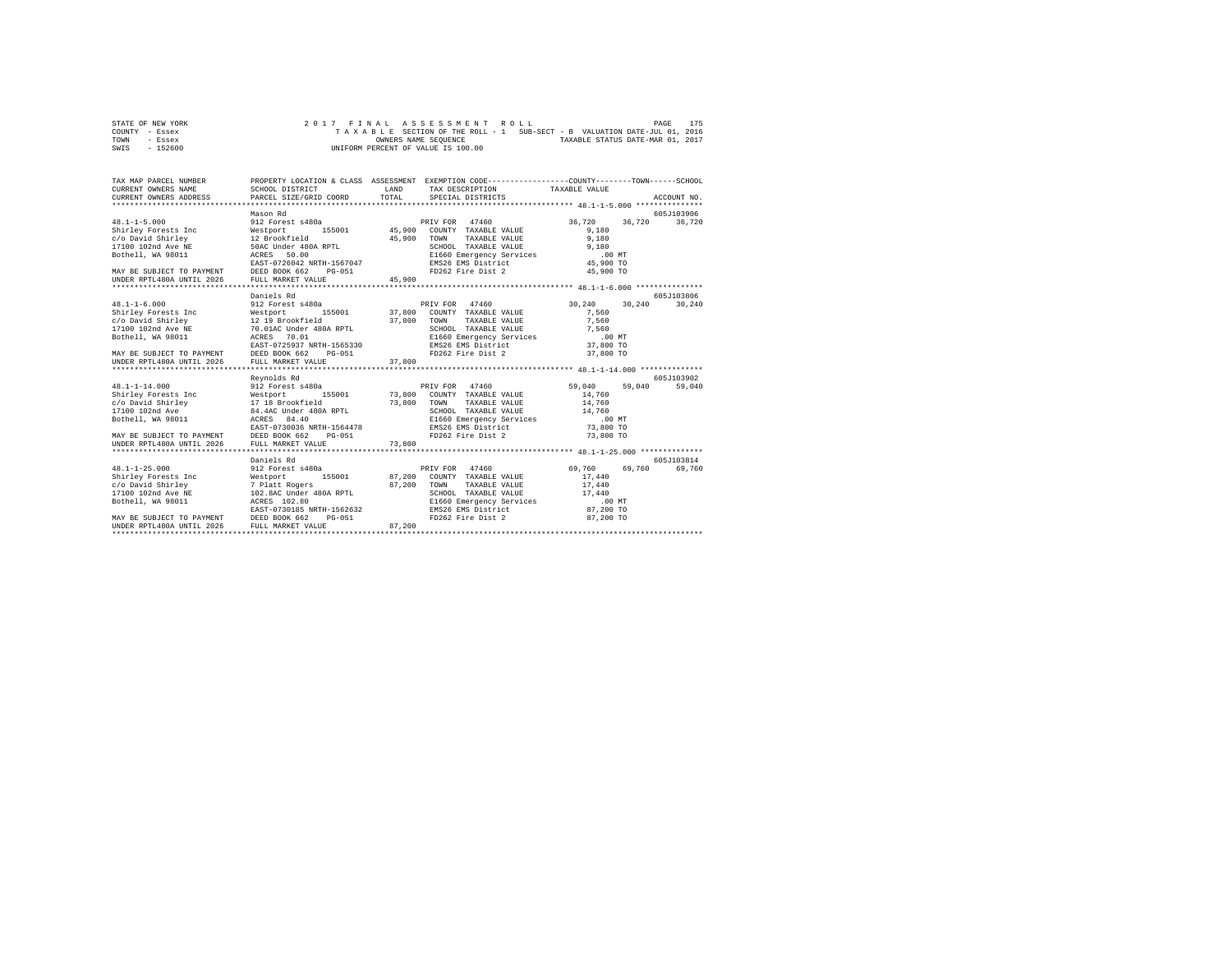| STATE OF NEW YORK | 2017 FINAL ASSESSMENT ROLL                                               | 175<br>PAGE                      |
|-------------------|--------------------------------------------------------------------------|----------------------------------|
| COUNTY - Essex    | TAXABLE SECTION OF THE ROLL - 1 SUB-SECT - B VALUATION DATE-JUL 01, 2016 |                                  |
| TOWN<br>- Essex   | OWNERS NAME SEOUENCE                                                     | TAXABLE STATUS DATE-MAR 01, 2017 |
| $-152600$<br>SWIS | UNIFORM PERCENT OF VALUE IS 100.00                                       |                                  |

| TAX MAP PARCEL NUMBER                                                                                                                                                                                                                                        | PROPERTY LOCATION & CLASS ASSESSMENT EXEMPTION CODE----------------COUNTY-------TOWN-----SCHOOL |        |                                                                                                                                                                                                                        |                                                   |                       |
|--------------------------------------------------------------------------------------------------------------------------------------------------------------------------------------------------------------------------------------------------------------|-------------------------------------------------------------------------------------------------|--------|------------------------------------------------------------------------------------------------------------------------------------------------------------------------------------------------------------------------|---------------------------------------------------|-----------------------|
|                                                                                                                                                                                                                                                              | Mason Rd                                                                                        |        |                                                                                                                                                                                                                        | 36,720                                            | 605J103906<br>36,720  |
|                                                                                                                                                                                                                                                              |                                                                                                 |        |                                                                                                                                                                                                                        |                                                   |                       |
| $48.1 - 1 - 6.000$<br>19.1.1-0.000<br>Shirley Forests Inc = Westport 155001 37,800 COUNTY TAXABLE VALUE 7560<br>C/O David Shirley Taxa and the state of the SCHOLI TAXABLE VALUE 7,560<br>2010 COUNTY TAXABLE VALUE 7,560<br>2010 COUNTY TAXABLE VALUE 7,560 | Daniels Rd<br>912 Forest s480a                                                                  |        | PRIV FOR 47460                                                                                                                                                                                                         | 30,240 30,240                                     | 605-7103806<br>30,240 |
|                                                                                                                                                                                                                                                              |                                                                                                 |        |                                                                                                                                                                                                                        |                                                   |                       |
| UNDER RPTL480A UNTIL 2026                                                                                                                                                                                                                                    | Revnolds Rd<br>FULL MARKET VALUE                                                                | 73,800 |                                                                                                                                                                                                                        | 59,040                                            | 605J103902<br>59,040  |
| $48.1 - 1 - 25.000$<br>Bothell, WA 98011<br>EAST-0730185 NRTH-1562632<br>MAY BE SUBJECT TO PAYMENT DEED BOOK 662<br>UNDER RPTL480A UNTIL 2026 FULL MARKET VALUE                                                                                              | Daniels Rd<br>912 Forest s480a<br>PG-051                                                        | 87,200 | PRIV FOR 47460<br>87,200 TOWN TAXABLE VALUE<br>SCHOOL TAXABLE VALUE<br>E1660 Emergency Services<br>SCHOOL TAXABLE VALUE 17,440<br>E1660 Emergency Services .00 MT<br>EMS26 EMS District 87,200 TO<br>FD262 Fire Dist 2 | 69,760<br>69,760<br>17,440<br>17,440<br>87,200 TO | 605J103814<br>69,760  |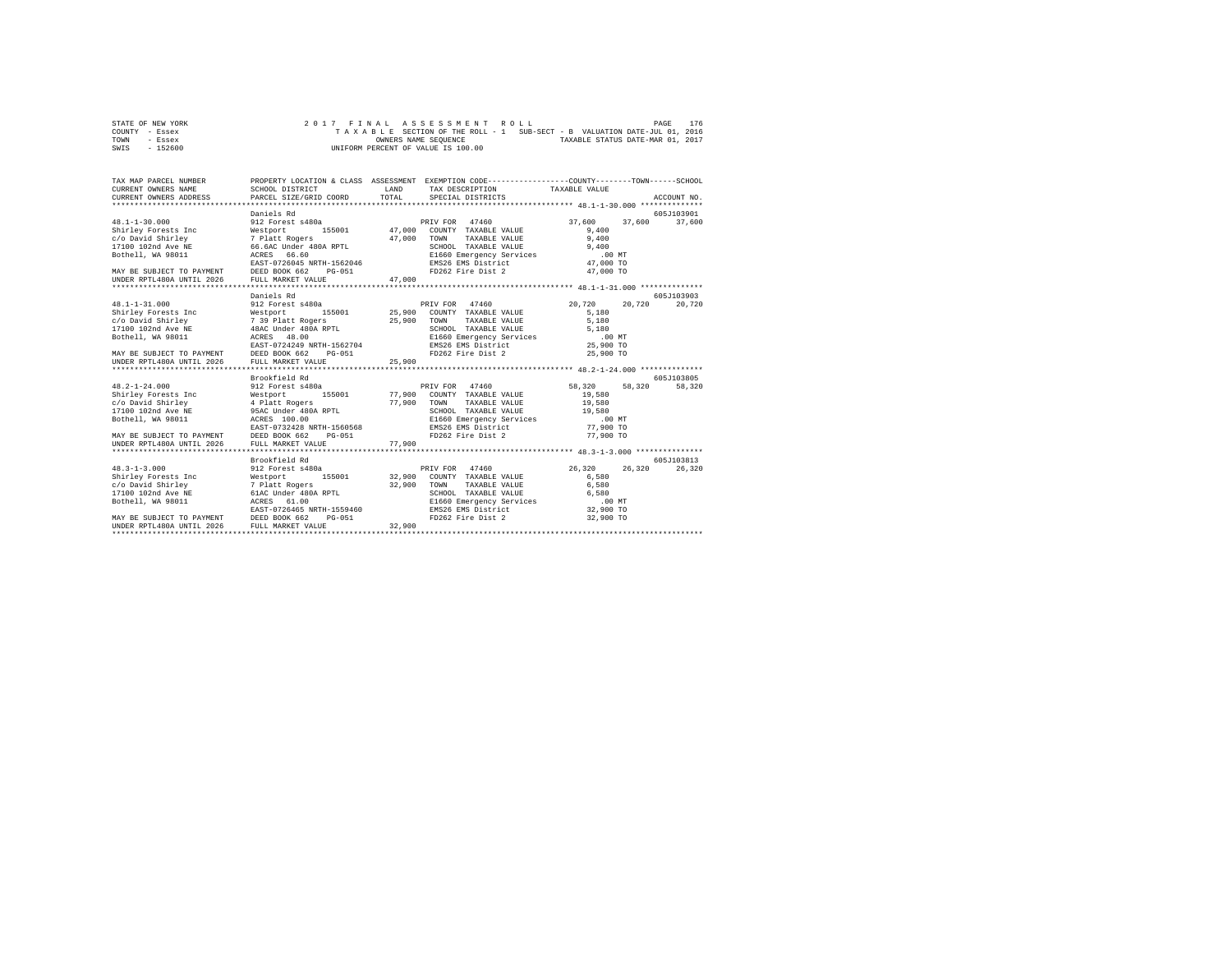| STATE OF NEW YORK | 2017 FINAL ASSESSMENT ROLL                                               | 176<br>PAGE                      |
|-------------------|--------------------------------------------------------------------------|----------------------------------|
| COUNTY - Essex    | TAXABLE SECTION OF THE ROLL - 1 SUB-SECT - B VALUATION DATE-JUL 01, 2016 |                                  |
| TOWN<br>- Essex   | OWNERS NAME SEOUENCE                                                     | TAXABLE STATUS DATE-MAR 01, 2017 |
| $-152600$<br>SWIS | UNIFORM PERCENT OF VALUE IS 100.00                                       |                                  |

| TAX MAP PARCEL NUMBER<br>CURRENT OWNERS NAME<br>CURRENT OWNERS ADDRESS PARCEL SIZE/GRID COORD | SCHOOL DISTRICT                                                                                                                                                                                                                                            | LAND<br>TOTAL | PROPERTY LOCATION & CLASS ASSESSMENT EXEMPTION CODE---------------COUNTY-------TOWN-----SCHOOL<br>TAX DESCRIPTION TAXABLE VALUE<br>SPECIAL DISTRICTS |                  | ACCOUNT NO. |
|-----------------------------------------------------------------------------------------------|------------------------------------------------------------------------------------------------------------------------------------------------------------------------------------------------------------------------------------------------------------|---------------|------------------------------------------------------------------------------------------------------------------------------------------------------|------------------|-------------|
|                                                                                               | Daniels Rd                                                                                                                                                                                                                                                 |               |                                                                                                                                                      |                  | 605J103901  |
|                                                                                               |                                                                                                                                                                                                                                                            |               |                                                                                                                                                      | 37,600<br>37.600 | 37,600      |
|                                                                                               |                                                                                                                                                                                                                                                            |               |                                                                                                                                                      | 9.400            |             |
|                                                                                               |                                                                                                                                                                                                                                                            |               | TAXABLE VALUE                                                                                                                                        | 9,400            |             |
|                                                                                               |                                                                                                                                                                                                                                                            |               | SCHOOL TAXABLE VALUE 9,400<br>E1660 Emergency Services 00 MT<br>EMS26 EMS District 47,000 TO                                                         |                  |             |
|                                                                                               |                                                                                                                                                                                                                                                            |               |                                                                                                                                                      |                  |             |
|                                                                                               | EAST-0726045 NRTH-1562046                                                                                                                                                                                                                                  |               |                                                                                                                                                      |                  |             |
|                                                                                               | PG-051                                                                                                                                                                                                                                                     |               | FD262 Fire Dist 2                                                                                                                                    | 47,000 TO        |             |
| MAY BE SUBJECT TO PAYMENT DEED BOOK 662<br>UNDER RPTL480A UNTIL 2026 FULL MARKET VA           | FULL MARKET VALUE                                                                                                                                                                                                                                          | 47,000        |                                                                                                                                                      |                  |             |
|                                                                                               |                                                                                                                                                                                                                                                            |               |                                                                                                                                                      |                  |             |
|                                                                                               | Daniels Rd                                                                                                                                                                                                                                                 |               |                                                                                                                                                      |                  | 605-T103903 |
| $48.1 - 1 - 31.000$                                                                           | 912 Forest s480a                                                                                                                                                                                                                                           |               | PRIV FOR 47460                                                                                                                                       | 20,720<br>20,720 | 20.720      |
|                                                                                               | 48.1-1-31.000<br>Shirley Forests Inc = 195001 = 25,900<br>2010 2011 = 25,900 = 7 39 Platt Rogers = 25,900<br>2010 102nd Ave NE = 48AC Under 480A RPTL<br>Rothell. WA 98011 = 200000 = 20000 = 20000 = 20000 = 20000 = 20000 = 20000 = 2000                 |               | 155001 25,900 COUNTY TAXABLE VALUE                                                                                                                   | 5,180            |             |
|                                                                                               |                                                                                                                                                                                                                                                            |               | TOWN<br>TAXABLE VALUE                                                                                                                                | 5,180            |             |
|                                                                                               |                                                                                                                                                                                                                                                            |               |                                                                                                                                                      | 5,180            |             |
|                                                                                               |                                                                                                                                                                                                                                                            |               | SCHOOL TAXABLE VALUE<br>E1660 Emergency Services<br>EMS26 EMS District                                                                               | $.00$ MT         |             |
|                                                                                               | ACRES 48.00<br>EAST-0724249 NRTH-1562704                                                                                                                                                                                                                   |               |                                                                                                                                                      | 25,900 TO        |             |
|                                                                                               | PG-051                                                                                                                                                                                                                                                     |               | FD262 Fire Dist 2                                                                                                                                    | 25,900 TO        |             |
| MAY BE SUBJECT TO PAYMENT DEED BOOK 662 F<br>UNDER RPTL480A UNTIL 2026 FULL MARKET VALUE      |                                                                                                                                                                                                                                                            | 25,900        |                                                                                                                                                      |                  |             |
|                                                                                               |                                                                                                                                                                                                                                                            |               |                                                                                                                                                      |                  |             |
|                                                                                               | Brookfield Rd                                                                                                                                                                                                                                              |               |                                                                                                                                                      |                  | 605J103805  |
| $48.2 - 1 - 24.000$                                                                           | 912 Forest s480a                                                                                                                                                                                                                                           |               | PRIV FOR 47460                                                                                                                                       | 58,320<br>58,320 | 58,320      |
|                                                                                               | 48.2-1-24.000<br>Shirley Forests Inc and Mestport 155001 77,:<br>Shirley Forests Inc 4 Platt Rogers 77,<br>17100 102nd Ave NE 95AC Under 480A RPTL<br>Rothell, WA 98011 RARES 100.00<br>EAST-0732428 NRTH-1560568<br>The Castle Castle Ca<br>155001 77,900 |               | COUNTY TAXABLE VALUE                                                                                                                                 | 19,580           |             |
|                                                                                               |                                                                                                                                                                                                                                                            |               | TOWN<br>TAXABLE VALUE                                                                                                                                | 19,580           |             |
|                                                                                               |                                                                                                                                                                                                                                                            | 77,900        | SCHOOL TAXABLE VALUE                                                                                                                                 | 19,580           |             |
|                                                                                               |                                                                                                                                                                                                                                                            |               | E1660 Emergency Services .00 MT                                                                                                                      |                  |             |
|                                                                                               |                                                                                                                                                                                                                                                            |               | EMS26 EMS District                                                                                                                                   | 77,900 TO        |             |
| MAY BE SUBJECT TO PAYMENT                                                                     | DEED BOOK 662<br>PG-051                                                                                                                                                                                                                                    |               | FD262 Fire Dist 2                                                                                                                                    | 77,900 TO        |             |
| UNDER RPTL480A UNTIL 2026                                                                     | FULL MARKET VALUE                                                                                                                                                                                                                                          | 77,900        |                                                                                                                                                      |                  |             |
|                                                                                               |                                                                                                                                                                                                                                                            |               |                                                                                                                                                      |                  |             |
|                                                                                               | Brookfield Rd                                                                                                                                                                                                                                              |               |                                                                                                                                                      |                  | 605-T103813 |
| $48.3 - 1 - 3.000$                                                                            | 912 Forest s480a                                                                                                                                                                                                                                           |               | PRIV FOR 47460                                                                                                                                       | 26,320<br>26.320 | 26,320      |
|                                                                                               |                                                                                                                                                                                                                                                            |               | 155001 32,900 COUNTY TAXABLE VALUE                                                                                                                   | 6.580            |             |
|                                                                                               |                                                                                                                                                                                                                                                            |               | TOWN<br>TAXABLE VALUE                                                                                                                                | 6.580            |             |
|                                                                                               |                                                                                                                                                                                                                                                            | 32,900        | SCHOOL TAXABLE VALUE                                                                                                                                 | 6,580            |             |
| Bothell, WA 98011<br>ACRES                                                                    | 61.00                                                                                                                                                                                                                                                      |               |                                                                                                                                                      |                  |             |
|                                                                                               |                                                                                                                                                                                                                                                            |               | E1660 Emergency Services<br>EMS26 EMS District                                                                                                       | $32,900$ TO      |             |
|                                                                                               | EAST-0726465 NRTH-1559460<br>MAY BE SUBJECT TO PAYMENT DEED BOOK 662 PG-051                                                                                                                                                                                |               | FD262 Fire Dist 2                                                                                                                                    | 32,900 TO        |             |
| UNDER RPTL480A UNTIL 2026                                                                     | FULL MARKET VALUE                                                                                                                                                                                                                                          | 32,900        |                                                                                                                                                      |                  |             |
|                                                                                               |                                                                                                                                                                                                                                                            |               |                                                                                                                                                      |                  |             |
|                                                                                               |                                                                                                                                                                                                                                                            |               |                                                                                                                                                      |                  |             |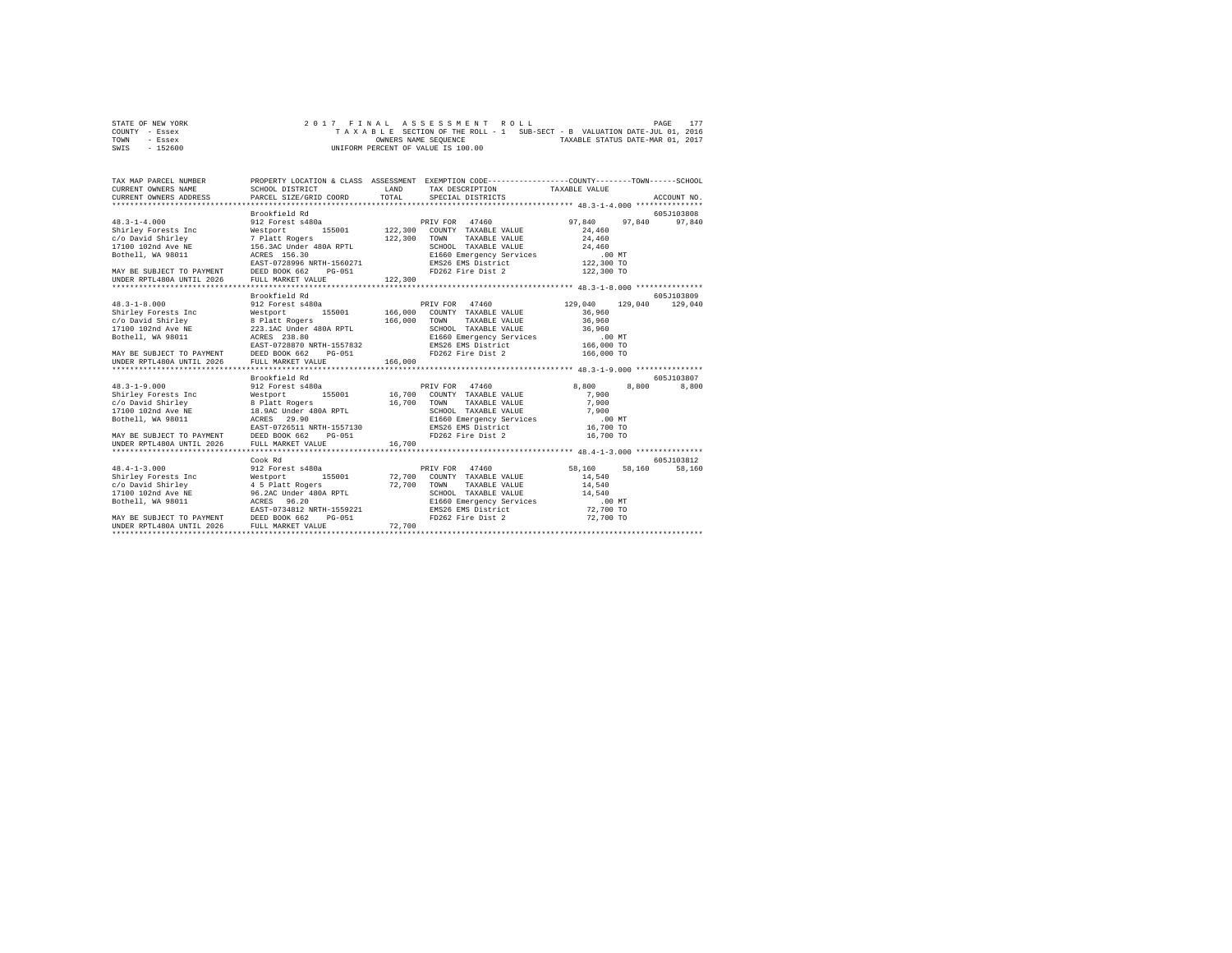| STATE OF NEW YORK | 2017 FINAL ASSESSMENT ROLL                                               | 177<br>PAGE                      |
|-------------------|--------------------------------------------------------------------------|----------------------------------|
| COUNTY - Essex    | TAXABLE SECTION OF THE ROLL - 1 SUB-SECT - B VALUATION DATE-JUL 01, 2016 |                                  |
| TOWN<br>- Essex   | OWNERS NAME SEOUENCE                                                     | TAXABLE STATUS DATE-MAR 01, 2017 |
| $-152600$<br>SWIS | UNIFORM PERCENT OF VALUE IS 100.00                                       |                                  |

| TAX MAP PARCEL NUMBER                                                                                                                                                                                                                                                                                                                                                                                                                                                                        |                                    |        | PROPERTY LOCATION & CLASS ASSESSMENT EXEMPTION CODE----------------COUNTY-------TOWN-----SCHOOL |                 |                        |
|----------------------------------------------------------------------------------------------------------------------------------------------------------------------------------------------------------------------------------------------------------------------------------------------------------------------------------------------------------------------------------------------------------------------------------------------------------------------------------------------|------------------------------------|--------|-------------------------------------------------------------------------------------------------|-----------------|------------------------|
|                                                                                                                                                                                                                                                                                                                                                                                                                                                                                              | Brookfield Rd                      |        |                                                                                                 |                 | 605J103808             |
|                                                                                                                                                                                                                                                                                                                                                                                                                                                                                              |                                    |        |                                                                                                 |                 |                        |
| $\begin{tabular}{l c c c c c} \multicolumn{4}{c}{\textbf{48.3--1-8.000}} & \multicolumn{4}{c}{\textbf{38.3--1-8.00}} & \multicolumn{4}{c}{\textbf{38.3--1-8.00}} & \multicolumn{4}{c}{\textbf{38.3--1-8.00}} & \multicolumn{4}{c}{\textbf{38.3--1-8.00}} & \multicolumn{4}{c}{\textbf{58.3--1-8.00}} & \multicolumn{4}{c}{\textbf{58.3--1-8.00}} & \multicolumn{4}{c}{\textbf{58.3--1$                                                                                                       |                                    |        |                                                                                                 | 129,040 129,040 | 605-T103809<br>129,040 |
|                                                                                                                                                                                                                                                                                                                                                                                                                                                                                              |                                    |        |                                                                                                 |                 |                        |
| UNDER RPTL480A UNTIL 2026                                                                                                                                                                                                                                                                                                                                                                                                                                                                    | Brookfield Rd<br>FULL MARKET VALUE | 16,700 |                                                                                                 | 8,800           | 605J103807<br>8,800    |
| $\begin{tabular}{l c c c c c} \multicolumn{2}{c}{\textbf{Cook Rd}} & \multicolumn{2}{c}{\textbf{Cook Rd}} & \multicolumn{2}{c}{\textbf{PRIV FOR}} & \multicolumn{2}{c}{\textbf{47460}} & \multicolumn{2}{c}{\textbf{PRIV FOR}} & \multicolumn{2}{c}{\textbf{47460}} & \multicolumn{2}{c}{\textbf{8hr1-l3.000}} & \multicolumn{2}{c}{\textbf{5.001}} & \multicolumn{2}{c}{\textbf{5.001}} & \multicolumn{2}{c}{\textbf{5.001}} & \multicolumn$<br>UNDER RPTL480A UNTIL 2026 FULL MARKET VALUE |                                    | 72,700 |                                                                                                 | 58,160          | 605J103812<br>58,160   |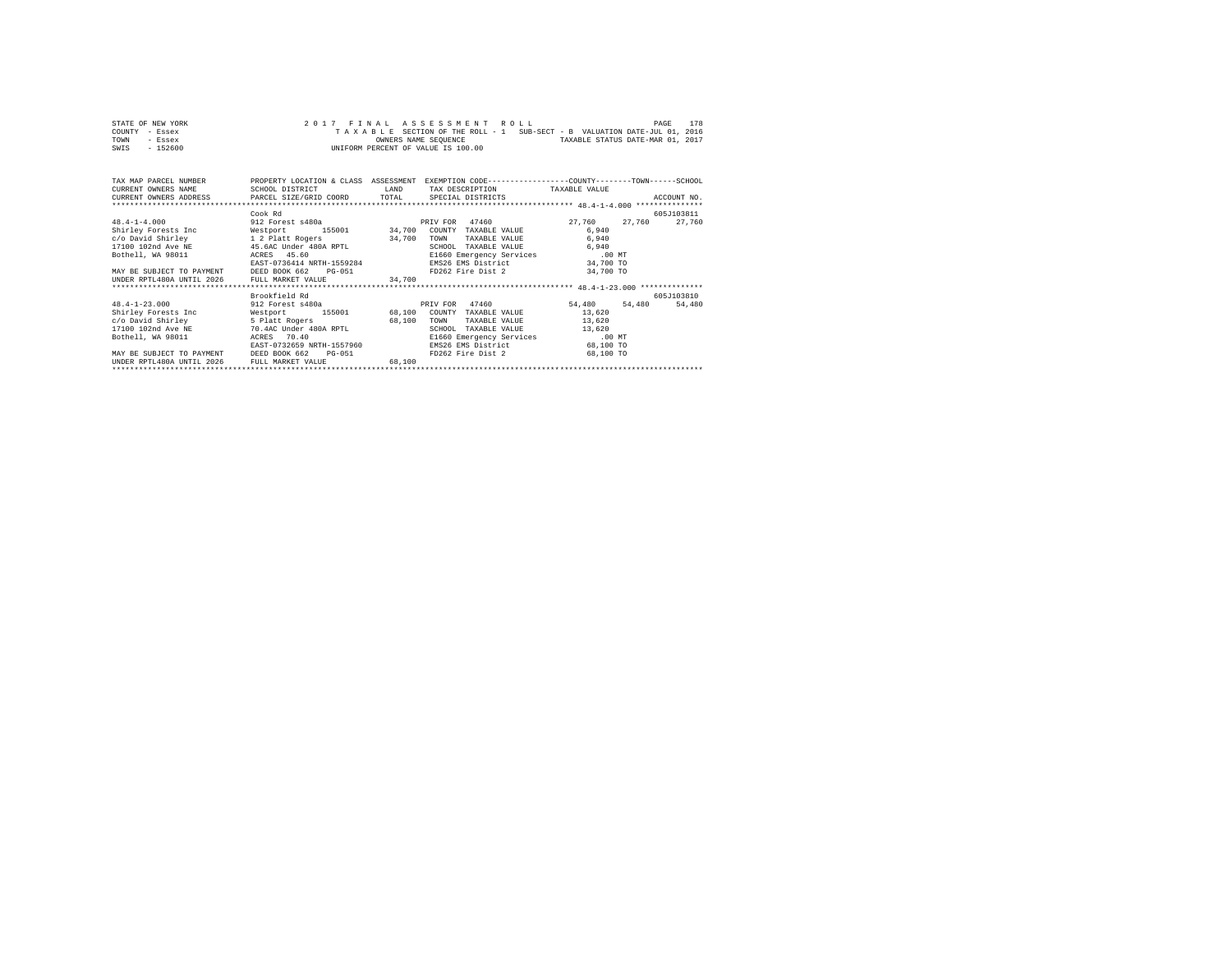| STATE OF NEW YORK | 2017 FINAL ASSESSMENT ROLL                                               | PAGE | 178 |
|-------------------|--------------------------------------------------------------------------|------|-----|
| COUNTY - Essex    | TAXABLE SECTION OF THE ROLL - 1 SUB-SECT - B VALUATION DATE-JUL 01, 2016 |      |     |
| TOWN<br>$-$ Essex | TAXABLE STATUS DATE-MAR 01, 2017<br>OWNERS NAME SEOUENCE                 |      |     |
| $-152600$<br>SWIS | UNIFORM PERCENT OF VALUE IS 100.00                                       |      |     |

| TAX MAP PARCEL NUMBER<br>CURRENT OWNERS NAME<br>CURRENT OWNERS ADDRESS PARCEL SIZE/GRID COORD | PROPERTY LOCATION & CLASS ASSESSMENT<br>SCHOOL DISTRICT | LAND<br>TOTAL | EXEMPTION CODE-----------------COUNTY-------TOWN------SCHOOL<br>TAX DESCRIPTION<br>SPECIAL DISTRICTS | TAXABLE VALUE    | ACCOUNT NO. |
|-----------------------------------------------------------------------------------------------|---------------------------------------------------------|---------------|------------------------------------------------------------------------------------------------------|------------------|-------------|
|                                                                                               | Cook Rd                                                 |               |                                                                                                      |                  | 605J103811  |
| $48.4 - 1 - 4.000$                                                                            | 912 Forest s480a                                        |               | PRIV FOR 47460                                                                                       | 27,760<br>27.760 | 27.760      |
| Shirley Forests Inc                                                                           | 155001 34,700<br>Westport                               |               | COUNTY<br>TAXABLE VALUE                                                                              | 6,940            |             |
| c/o David Shirley                                                                             | 1 2 Platt Rogers                                        | 34,700        | TOWN<br>TAXABLE VALUE                                                                                | 6,940            |             |
| 17100 102nd Ave NE                                                                            | 45.6AC Under 480A RPTL                                  |               | SCHOOL<br>TAXABLE VALUE                                                                              | 6,940            |             |
| Bothell, WA 98011                                                                             | ACRES 45.60                                             |               | E1660 Emergency Services .00 MT                                                                      |                  |             |
|                                                                                               | EAST-0736414 NRTH-1559284                               |               | EMS26 EMS District                                                                                   | 34,700 TO        |             |
| MAY BE SUBJECT TO PAYMENT DEED BOOK 662                                                       | $PG-051$                                                |               | FD262 Fire Dist 2                                                                                    | 34,700 TO        |             |
| UNDER RPTL480A UNTIL 2026                                                                     | FULL MARKET VALUE                                       | 34.700        |                                                                                                      |                  |             |
|                                                                                               |                                                         |               |                                                                                                      |                  |             |
|                                                                                               | Brookfield Rd                                           |               |                                                                                                      |                  | 605J103810  |
| $48.4 - 1 - 23.000$                                                                           | 912 Forest s480a                                        |               | PRIV FOR 47460                                                                                       | 54,480<br>54,480 | 54,480      |
| Shirley Forests Inc                                                                           | 155001 68,100<br>Westport                               |               | COUNTY<br>TAXABLE VALUE                                                                              | 13,620           |             |
| c/o David Shirley                                                                             | 5 Platt Rogers                                          | 68,100        | TOWN<br>TAXABLE VALUE                                                                                | 13,620           |             |
| 17100 102nd Ave NE                                                                            | 70.4AC Under 480A RPTL                                  |               | SCHOOL<br>TAXABLE VALUE                                                                              | 13,620           |             |
| Bothell, WA 98011                                                                             | 70.40<br>ACRES                                          |               | E1660 Emergency Services                                                                             | .00MT            |             |
|                                                                                               | EAST-0732659 NRTH-1557960                               |               | EMS26 EMS District                                                                                   | 68,100 TO        |             |
| MAY BE SUBJECT TO PAYMENT                                                                     | DEED BOOK 662<br>$PG-051$                               |               | FD262 Fire Dist 2                                                                                    | 68,100 TO        |             |
| UNDER RPTL480A UNTIL 2026                                                                     | FULL MARKET VALUE                                       | 68.100        |                                                                                                      |                  |             |
| ******************************                                                                |                                                         |               |                                                                                                      |                  |             |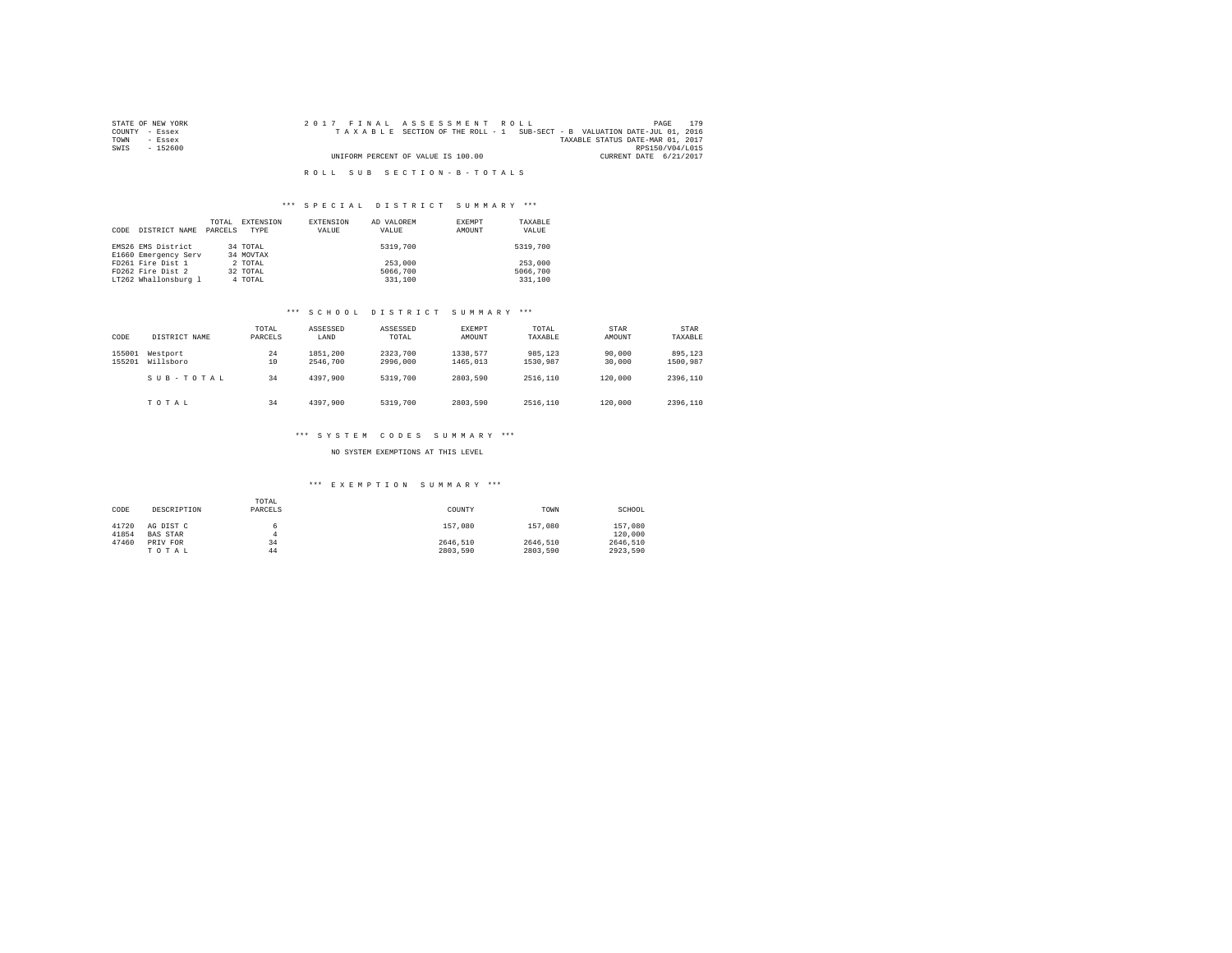| STATE OF NEW YORK | 2017 FINAL ASSESSMENT ROLL                                               | 179<br>PAGE                      |
|-------------------|--------------------------------------------------------------------------|----------------------------------|
| COUNTY - Essex    | TAXABLE SECTION OF THE ROLL - 1 SUB-SECT - B VALUATION DATE-JUL 01, 2016 |                                  |
| TOWN<br>- Essex   |                                                                          | TAXABLE STATUS DATE-MAR 01, 2017 |
| SWIS<br>- 152600  |                                                                          | RPS150/V04/L015                  |
|                   | UNIFORM PERCENT OF VALUE IS 100.00                                       | CURRENT DATE 6/21/2017           |
|                   |                                                                          |                                  |
|                   | ROLL SUB SECTION-B-TOTALS                                                |                                  |

### \*\*\* S P E C I A L D I S T R I C T S U M M A R Y \*\*\*

| CODE | DISTRICT NAME                              | TOTAL<br>PARCELS | EXTENSION<br>TYPE     | <b>EXTENSION</b><br>VALUE | AD VALOREM<br>VALUE | EXEMPT<br>AMOUNT | TAXABLE<br>VALUE |
|------|--------------------------------------------|------------------|-----------------------|---------------------------|---------------------|------------------|------------------|
|      | EMS26 EMS District<br>E1660 Emergency Serv |                  | 34 TOTAL<br>34 MOVTAX |                           | 5319,700            |                  | 5319,700         |
|      | FD261 Fire Dist 1                          |                  | 2 TOTAL               |                           | 253,000             |                  | 253,000          |
|      | FD262 Fire Dist 2                          |                  | 32 TOTAL              |                           | 5066,700            |                  | 5066,700         |
|      | LT262 Whallonsburg 1                       |                  | 4 TOTAL               |                           | 331,100             |                  | 331,100          |

### \*\*\* S C H O O L D I S T R I C T S U M M A R Y \*\*\*

| CODE             | DISTRICT NAME         | TOTAL<br>PARCELS | ASSESSED<br>LAND     | ASSESSED<br>TOTAL    | EXEMPT<br>AMOUNT     | TOTAL<br>TAXABLE    | STAR<br>AMOUNT   | <b>STAR</b><br>TAXABLE |
|------------------|-----------------------|------------------|----------------------|----------------------|----------------------|---------------------|------------------|------------------------|
| 155001<br>155201 | Westport<br>Willsboro | 24<br>10         | 1851,200<br>2546,700 | 2323,700<br>2996,000 | 1338.577<br>1465,013 | 985.123<br>1530.987 | 90,000<br>30,000 | 895,123<br>1500.987    |
|                  | SUB-TOTAL             | 34               | 4397.900             | 5319,700             | 2803.590             | 2516,110            | 120,000          | 2396.110               |
|                  | TOTAL                 | 34               | 4397.900             | 5319,700             | 2803.590             | 2516,110            | 120,000          | 2396.110               |

### \*\*\* S Y S T E M C O D E S S U M M A R Y \*\*\*

NO SYSTEM EXEMPTIONS AT THIS LEVEL

### \*\*\* E X E M P T I O N S U M M A R Y \*\*\*

| CODE  | DESCRIPTION     | TOTAL<br>PARCELS | COUNTY   | TOWN     | SCHOOL   |
|-------|-----------------|------------------|----------|----------|----------|
| 41720 | AG DIST C       |                  | 157,080  | 157,080  | 157,080  |
| 41854 | <b>BAS STAR</b> | Δ                |          |          | 120,000  |
| 47460 | PRIV FOR        | 34               | 2646.510 | 2646.510 | 2646.510 |
|       | TOTAL           | 44               | 2803.590 | 2803.590 | 2923.590 |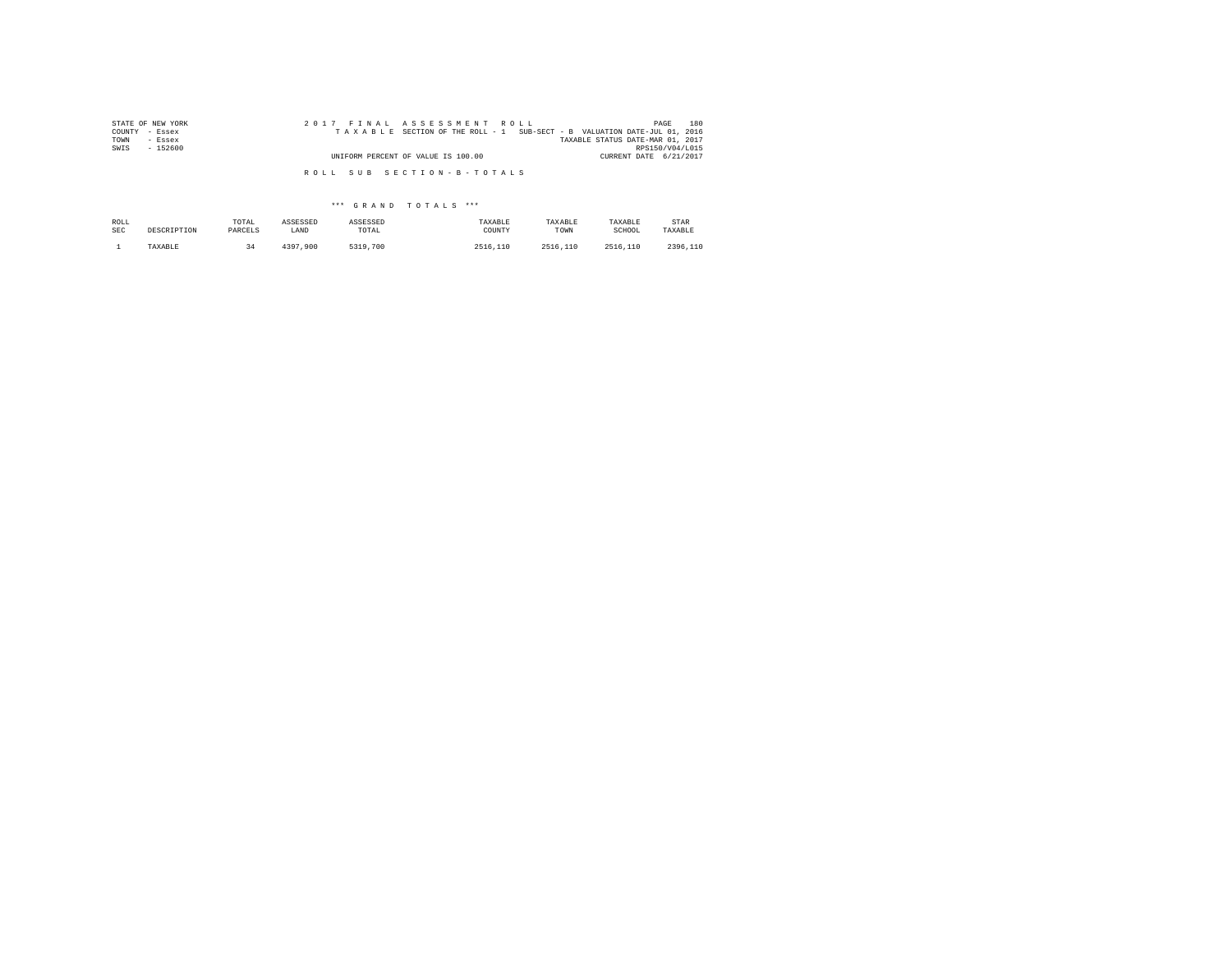| STATE OF NEW YORK | 2017 FINAL ASSESSMENT ROLL                                               | 180<br>PAGE                      |
|-------------------|--------------------------------------------------------------------------|----------------------------------|
| COUNTY<br>- Essex | TAXABLE SECTION OF THE ROLL - 1 SUB-SECT - B VALUATION DATE-JUL 01, 2016 |                                  |
| TOWN<br>- Essex   |                                                                          | TAXABLE STATUS DATE-MAR 01, 2017 |
| SWIS<br>$-152600$ | UNIFORM PERCENT OF VALUE IS 100.00                                       | RPS150/V04/L015                  |
|                   | CURRENT DATE 6/21/2017                                                   |                                  |
|                   |                                                                          |                                  |
|                   | ROLL SUB SECTION-B-TOTALS                                                |                                  |

\*\*\* G R A N D T O T A L S \*\*\*

| ROLL       | DESCRIPTION | TOTAL   | ASSESSED | ASSESSED | TAXABLE  | TAXABLE  | TAXABLE  | STAR     |
|------------|-------------|---------|----------|----------|----------|----------|----------|----------|
| <b>SEC</b> |             | PARCELS | LAND     | TOTAL    | COUNTY   | TOWN     | SCHOOL   | TAXABLE  |
|            | TAXABLE     |         | 4397.900 | 5319,700 | 2516,110 | 2516.110 | 2516,110 | 2396.110 |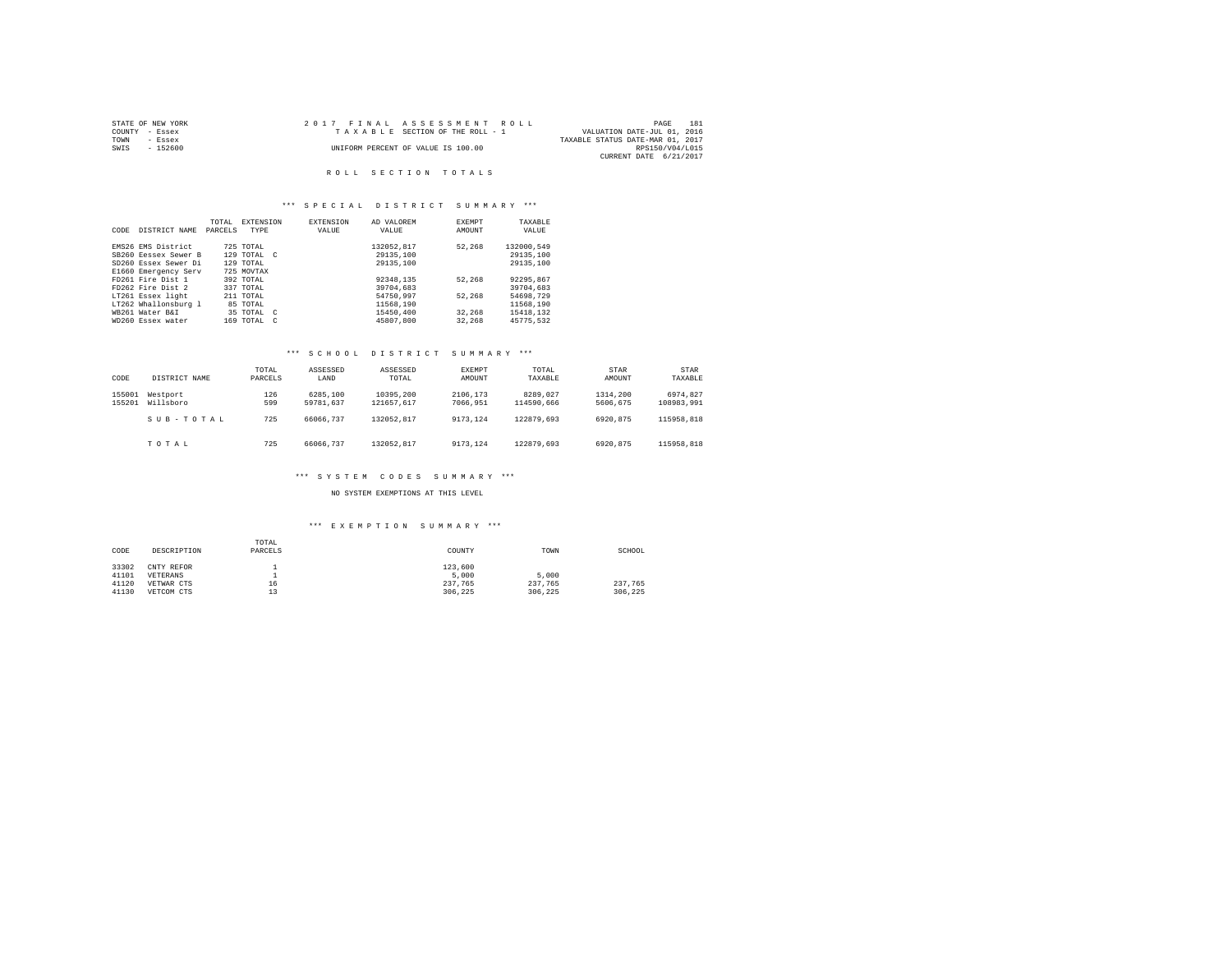| STATE OF NEW YORK | 2017 FINAL ASSESSMENT ROLL         | PAGE<br>181                      |
|-------------------|------------------------------------|----------------------------------|
| COUNTY - Essex    | TAXABLE SECTION OF THE ROLL - 1    | VALUATION DATE-JUL 01, 2016      |
| TOWN<br>- Essex   |                                    | TAXABLE STATUS DATE-MAR 01, 2017 |
| $-152600$<br>SWIS | UNIFORM PERCENT OF VALUE IS 100.00 | RPS150/V04/L015                  |
|                   |                                    | CURRENT DATE 6/21/2017           |

#### R O L L S E C T I O N T O T A L S

## \*\*\* S P E C I A L D I S T R I C T S U M M A R Y \*\*\*

| DISTRICT NAME | TOTAL<br>PARCELS                                                                                                                                                                                  | TYPE                 |                                                                                                        | <b>EXTENSION</b><br>VALUE                                       | AD VALOREM<br>VALUE | <b>EXEMPT</b><br>AMOUNT              | TAXABLE<br>VALUE |
|---------------|---------------------------------------------------------------------------------------------------------------------------------------------------------------------------------------------------|----------------------|--------------------------------------------------------------------------------------------------------|-----------------------------------------------------------------|---------------------|--------------------------------------|------------------|
|               |                                                                                                                                                                                                   |                      |                                                                                                        |                                                                 |                     |                                      | 132000.549       |
|               |                                                                                                                                                                                                   |                      |                                                                                                        |                                                                 |                     |                                      | 29135,100        |
|               |                                                                                                                                                                                                   |                      |                                                                                                        |                                                                 |                     |                                      |                  |
|               |                                                                                                                                                                                                   |                      |                                                                                                        |                                                                 |                     |                                      | 29135,100        |
|               |                                                                                                                                                                                                   |                      |                                                                                                        |                                                                 |                     |                                      |                  |
|               |                                                                                                                                                                                                   |                      |                                                                                                        |                                                                 | 92348.135           | 52.268                               | 92295.867        |
|               |                                                                                                                                                                                                   |                      |                                                                                                        |                                                                 | 39704,683           |                                      | 39704.683        |
|               |                                                                                                                                                                                                   |                      |                                                                                                        |                                                                 | 54750.997           | 52.268                               | 54698.729        |
|               |                                                                                                                                                                                                   |                      |                                                                                                        |                                                                 | 11568.190           |                                      | 11568.190        |
|               |                                                                                                                                                                                                   |                      |                                                                                                        |                                                                 | 15450.400           | 32,268                               | 15418.132        |
|               |                                                                                                                                                                                                   |                      |                                                                                                        |                                                                 | 45807.800           | 32,268                               | 45775.532        |
|               | EMS26 EMS District<br>SB260 Eessex Sewer B<br>SD260 Essex Sewer Di<br>FD261 Fire Dist 1<br>FD262 Fire Dist 2<br>LT261 Essex light<br>LT262 Whallonsburg 1<br>WR261 Water R&T<br>WD260 Essex water | E1660 Emergency Serv | 725 TOTAL<br>129 TOTAL<br>725 MOVTAX<br>392 TOTAL<br>337 TOTAL<br>$211$ TOTAL<br>85 TOTAL<br>169 TOTAL | <b>EXTENSION</b><br>$129$ TOTAL $C$<br>35 TOTAL C<br>$\epsilon$ |                     | 132052.817<br>29135,100<br>29135,100 | 52.268           |

#### \*\*\* S C H O O L D I S T R I C T S U M M A R Y \*\*\*

| CODE             | DISTRICT NAME         | TOTAL<br>PARCELS | ASSESSED<br>LAND      | ASSESSED<br>TOTAL       | EXEMPT<br>AMOUNT     | TOTAL<br>TAXABLE       | STAR<br>AMOUNT       | STAR<br>TAXABLE        |
|------------------|-----------------------|------------------|-----------------------|-------------------------|----------------------|------------------------|----------------------|------------------------|
| 155001<br>155201 | Westport<br>Willsboro | 126<br>599       | 6285,100<br>59781.637 | 10395,200<br>121657.617 | 2106.173<br>7066.951 | 8289.027<br>114590.666 | 1314,200<br>5606.675 | 6974.827<br>108983.991 |
|                  | SUB-TOTAL             | 725              | 66066.737             | 132052.817              | 9173.124             | 122879.693             | 6920.875             | 115958.818             |
|                  | TOTAL                 | 725              | 66066.737             | 132052.817              | 9173.124             | 122879.693             | 6920.875             | 115958.818             |

#### \*\*\* S Y S T E M C O D E S S U M M A R Y \*\*\*

NO SYSTEM EXEMPTIONS AT THIS LEVEL

# \*\*\* E X E M P T I O N S U M M A R Y \*\*\*

| CODE  | DESCRIPTION | TOTAL<br>PARCELS | COUNTY  | TOWN    | SCHOOL  |
|-------|-------------|------------------|---------|---------|---------|
| 33302 | CNTY REFOR  |                  | 123,600 |         |         |
| 41101 | VETERANS    |                  | 5,000   | 5,000   |         |
| 41120 | VETWAR CTS  | 16               | 237.765 | 237.765 | 237.765 |
| 41130 | VETCOM CTS  | 13               | 306.225 | 306.225 | 306.225 |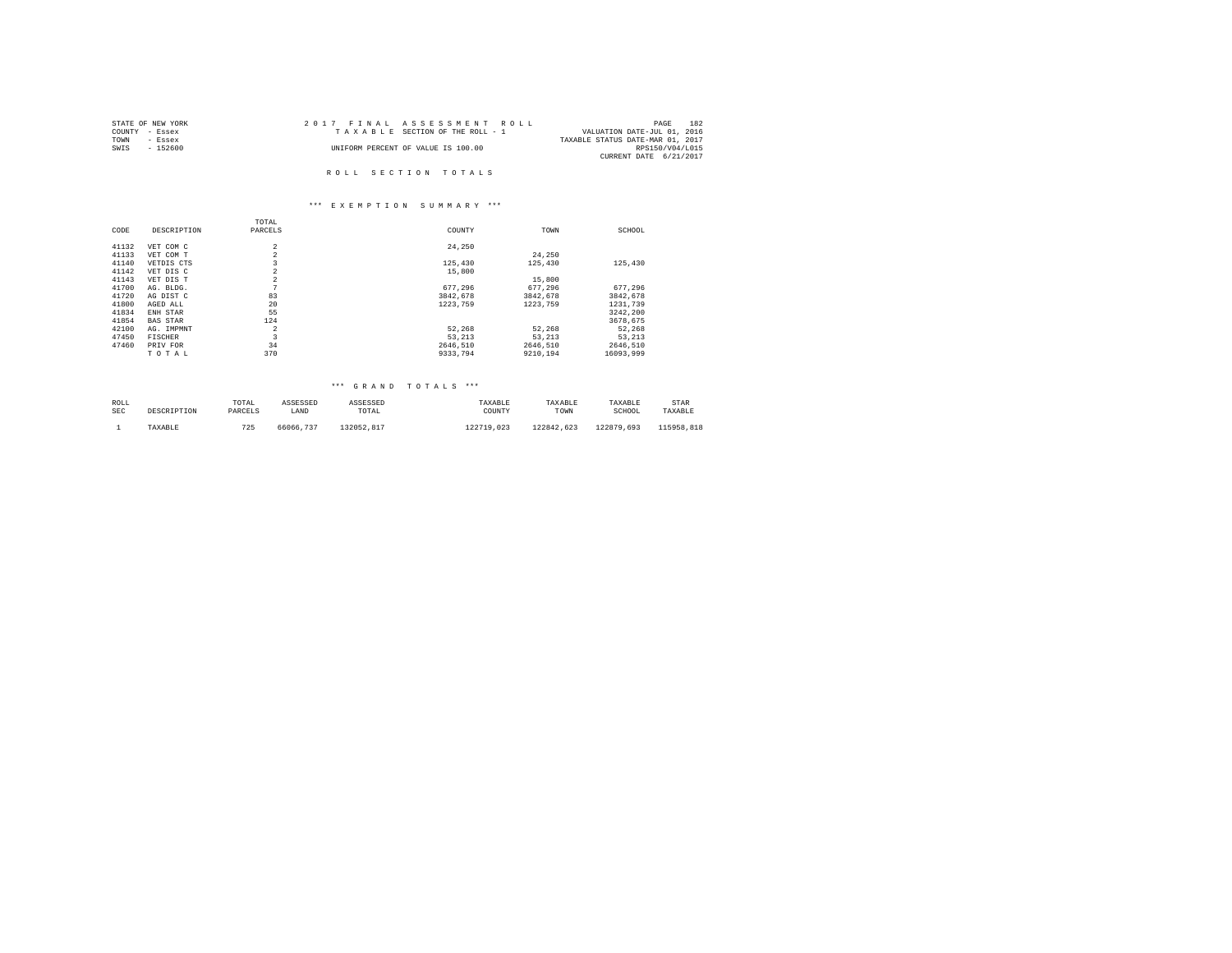| STATE OF NEW YORK | 2017 FINAL ASSESSMENT ROLL         | 182<br>PAGE                      |
|-------------------|------------------------------------|----------------------------------|
| COUNTY - Essex    | TAXABLE SECTION OF THE ROLL - 1    | VALUATION DATE-JUL 01, 2016      |
| TOWN<br>- Essex   |                                    | TAXABLE STATUS DATE-MAR 01, 2017 |
| SWIS<br>$-152600$ | UNIFORM PERCENT OF VALUE IS 100.00 | RPS150/V04/L015                  |
|                   |                                    | CURRENT DATE 6/21/2017           |
|                   |                                    |                                  |
|                   | ROLL SECTION TOTALS                |                                  |

# \*\*\* E X E M P T I O N S U M M A R Y \*\*\*

|       |                 | TOTAL                   |          |          |           |
|-------|-----------------|-------------------------|----------|----------|-----------|
| CODE  | DESCRIPTION     | PARCELS                 | COUNTY   | TOWN     | SCHOOL    |
| 41132 | VET COM C       | $\overline{a}$          | 24,250   |          |           |
| 41133 | VET COM T       | $\overline{a}$          |          | 24,250   |           |
| 41140 | VETDIS CTS      | 3                       | 125,430  | 125,430  | 125,430   |
| 41142 | VET DIS C       | $\overline{a}$          | 15,800   |          |           |
| 41143 | VET DIS T       | $\overline{a}$          |          | 15,800   |           |
| 41700 | AG. BLDG.       | 7                       | 677.296  | 677.296  | 677.296   |
| 41720 | AG DIST C       | 83                      | 3842.678 | 3842.678 | 3842.678  |
| 41800 | AGED ALL        | 20                      | 1223,759 | 1223,759 | 1231,739  |
| 41834 | ENH STAR        | 55                      |          |          | 3242.200  |
| 41854 | <b>BAS STAR</b> | 124                     |          |          | 3678.675  |
| 42100 | AG. IMPMNT      | $\overline{2}$          | 52.268   | 52.268   | 52.268    |
| 47450 | <b>FISCHER</b>  | $\overline{\mathbf{3}}$ | 53.213   | 53.213   | 53.213    |
| 47460 | PRIV FOR        | 34                      | 2646.510 | 2646.510 | 2646.510  |
|       | TOTAL           | 370                     | 9333,794 | 9210.194 | 16093.999 |

| ROLL       | DESCRIPTION | TOTAL   | ASSESSED  | ASSESSED   | TAXABLE    | TAXABLE    | TAXABLE    | STAR       |
|------------|-------------|---------|-----------|------------|------------|------------|------------|------------|
| <b>SEC</b> |             | PARCELS | LAND      | TOTAL      | COUNTY     | TOWN       | SCHOOL     | TAXABLE    |
|            | TAXABLE     | 725     | 66066.737 | 132052.817 | 122719.023 | 122842.623 | 122879.693 | 115958.818 |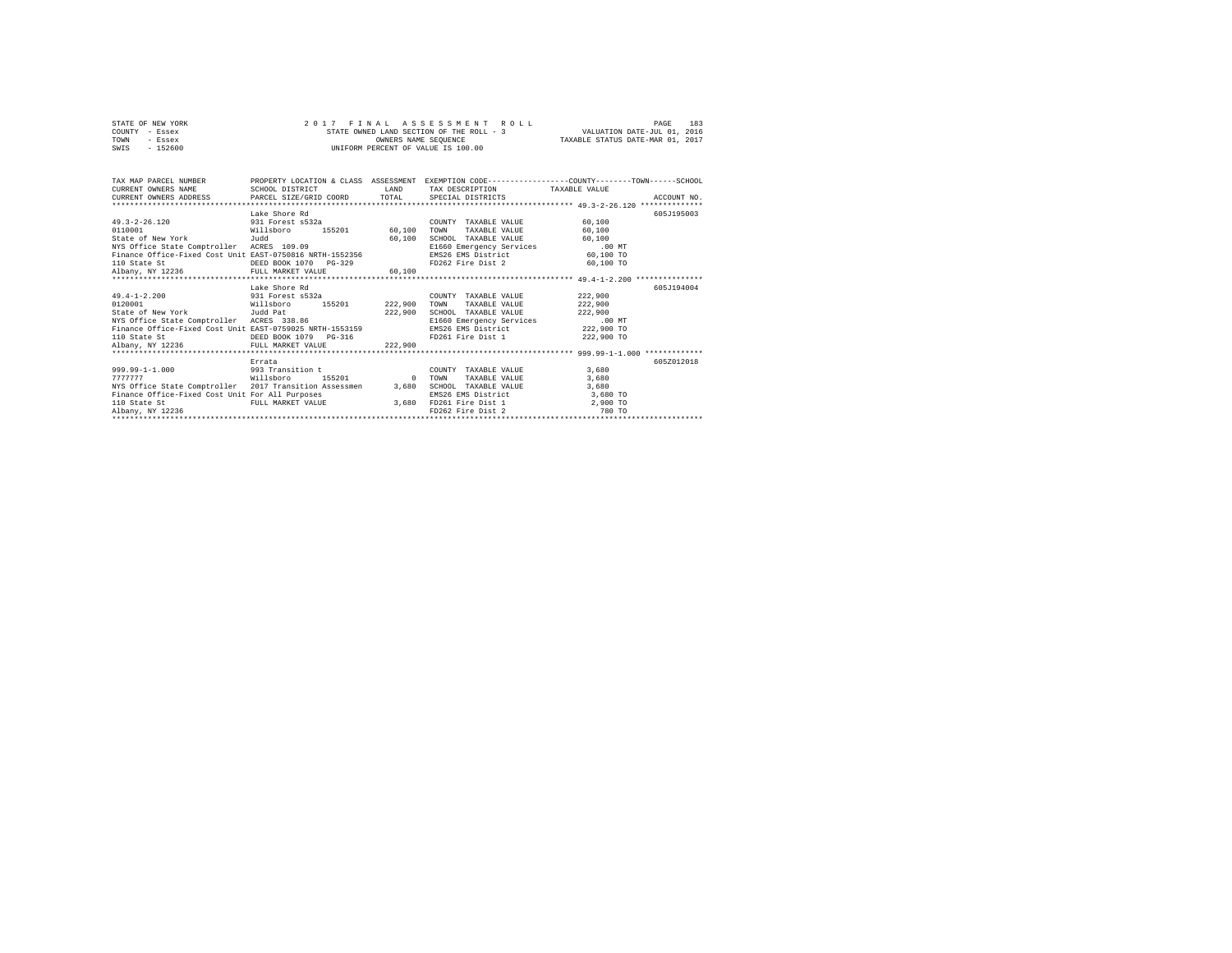|      | STATE OF NEW YORK |  | 2017 FINAL ASSESSMENT ROLL               | PAGE                             | 183 |
|------|-------------------|--|------------------------------------------|----------------------------------|-----|
|      | COUNTY - Essex    |  | STATE OWNED LAND SECTION OF THE ROLL - 3 | VALUATION DATE-JUL 01, 2016      |     |
| TOWN | - Essex           |  | OWNERS NAME SEOUENCE                     | TAXABLE STATUS DATE-MAR 01, 2017 |     |
| SWIS | $-152600$         |  | UNIFORM PERCENT OF VALUE IS 100.00       |                                  |     |

| TAX MAP PARCEL NUMBER                                                 |                         |                | PROPERTY LOCATION & CLASS ASSESSMENT EXEMPTION CODE----------------COUNTY-------TOWN------SCHOOL |            |             |
|-----------------------------------------------------------------------|-------------------------|----------------|--------------------------------------------------------------------------------------------------|------------|-------------|
| CURRENT OWNERS NAME                                                   | SCHOOL DISTRICT         | LAND           | TAX DESCRIPTION TAXABLE VALUE                                                                    |            |             |
| CURRENT OWNERS ADDRESS PARCEL SIZE/GRID COORD TOTAL SPECIAL DISTRICTS |                         |                |                                                                                                  |            | ACCOUNT NO. |
|                                                                       |                         |                |                                                                                                  |            |             |
|                                                                       | Lake Shore Rd           |                |                                                                                                  |            | 605-7195003 |
| $49.3 - 2 - 26.120$                                                   | 931 Forest s532a        |                | COUNTY TAXABLE VALUE                                                                             | 60,100     |             |
| 0110001                                                               | Willsboro               | 155201 60.100  | TOWN<br>TAXABLE VALUE                                                                            | 60,100     |             |
| State of New York [Judd                                               |                         | 60,100         | SCHOOL TAXABLE VALUE                                                                             | 60,100     |             |
| NYS Office State Comptroller ACRES 109.09                             |                         |                | E1660 Emergency Services                                                                         | $.00$ MT   |             |
| Finance Office-Fixed Cost Unit EAST-0750816 NRTH-1552356              |                         |                | EMS26 EMS District 60.100 TO                                                                     |            |             |
| 110 State St                                                          | DEED BOOK 1070 PG-329   |                | FD262 Fire Dist 2 60,100 TO                                                                      |            |             |
| Albany, NY 12236 FULL MARKET VALUE                                    |                         | 60.100         |                                                                                                  |            |             |
|                                                                       |                         |                |                                                                                                  |            |             |
|                                                                       | Lake Shore Rd           |                |                                                                                                  |            | 605-7194004 |
| 49.4-1-2.200 931 Forest s532a                                         |                         |                | COUNTY TAXABLE VALUE                                                                             | 222,900    |             |
| 0120001                                                               | Willsboro               | 155201 222,900 | TAXABLE VALUE<br>TOWN                                                                            | 222,900    |             |
| State of New York Judd Pat                                            |                         | 222,900        | SCHOOL TAXABLE VALUE                                                                             | 222,900    |             |
| NYS Office State Comptroller ACRES 338.86                             |                         |                | E1660 Emergency Services .00 MT                                                                  |            |             |
| Finance Office-Fixed Cost Unit EAST-0759025 NRTH-1553159              |                         |                | EMS26 EMS District                                                                               | 222,900 TO |             |
| 110 State St                                                          | DEED BOOK 1079 PG-316   |                | FD261 Fire Dist 1 222,900 TO                                                                     |            |             |
| Albany, NY 12236 FULL MARKET VALUE                                    |                         | 222,900        |                                                                                                  |            |             |
|                                                                       |                         |                |                                                                                                  |            |             |
|                                                                       | Errata                  |                |                                                                                                  |            | 605Z012018  |
| 999.99-1-1.000 993 Transition t                                       |                         |                | COUNTY TAXABLE VALUE                                                                             | 3,680      |             |
| 7777777<br><b>Willsboro</b>                                           | 155201 0                |                | TOWN<br>TAXABLE VALUE                                                                            | 3,680      |             |
| NYS Office State Comptroller 2017 Transition Assessmen                |                         | 3,680          | SCHOOL TAXABLE VALUE                                                                             | 3,680      |             |
| Finance Office-Fixed Cost Unit For All Purposes                       |                         |                | EMS26 EMS District                                                                               | 3,680 TO   |             |
| 110 State St                                                          | FULL MARKET VALUE 3,680 |                | FD261 Fire Dist 1                                                                                | 2,900 TO   |             |
|                                                                       |                         |                | FD262 Fire Dist 2                                                                                | 780 TO     |             |
| Albany, NY 12236                                                      |                         |                |                                                                                                  |            |             |
|                                                                       |                         |                |                                                                                                  |            |             |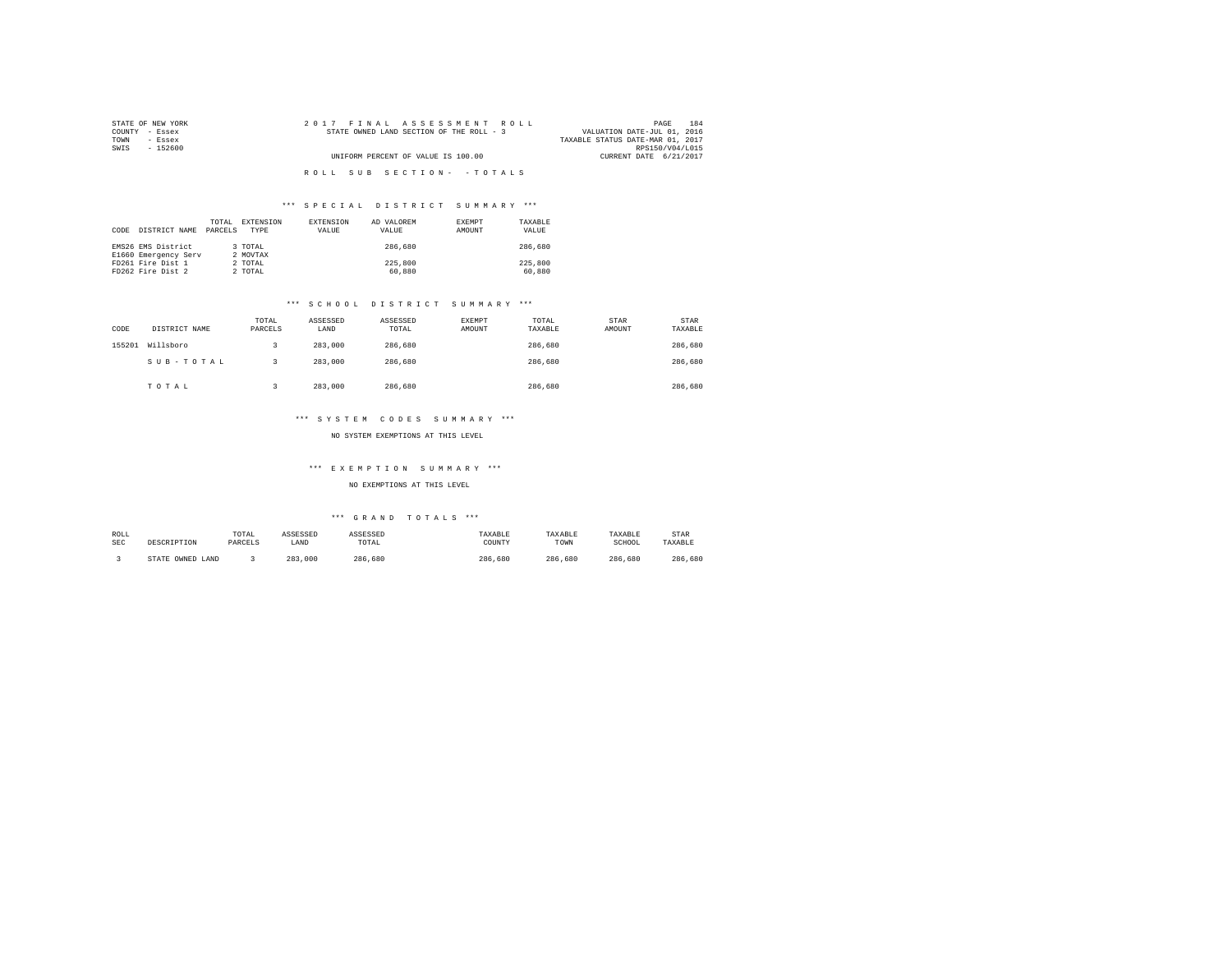| STATE OF NEW YORK | 2017 FINAL ASSESSMENT ROLL               | 184<br>PAGE                      |
|-------------------|------------------------------------------|----------------------------------|
| COUNTY - Essex    | STATE OWNED LAND SECTION OF THE ROLL - 3 | VALUATION DATE-JUL 01, 2016      |
| TOWN<br>- Essex   |                                          | TAXABLE STATUS DATE-MAR 01, 2017 |
| SWIS<br>- 152600  |                                          | RPS150/V04/L015                  |
|                   | UNIFORM PERCENT OF VALUE IS 100.00       | CURRENT DATE 6/21/2017           |
|                   |                                          |                                  |
|                   | ROLL SUB SECTION- - TOTALS               |                                  |

| CODE | DISTRICT NAME                              | TOTAL<br>PARCELS | EXTENSION<br>TYPE   | <b>EXTENSION</b><br>VALUE | AD VALOREM<br>VALUE | EXEMPT<br>AMOUNT | TAXARLE<br>VALUE  |
|------|--------------------------------------------|------------------|---------------------|---------------------------|---------------------|------------------|-------------------|
|      | EMS26 EMS District<br>E1660 Emergency Serv |                  | 3 TOTAL<br>2 MOVTAX |                           | 286,680             |                  | 286,680           |
|      | FD261 Fire Dist 1<br>FD262 Fire Dist 2     |                  | 2 TOTAL<br>2 TOTAL  |                           | 225,800<br>60,880   |                  | 225,800<br>60,880 |

#### \*\*\* S C H O O L D I S T R I C T S U M M A R Y \*\*\*

| CODE   | DISTRICT NAME | TOTAL<br>PARCELS | ASSESSED<br>LAND | ASSESSED<br>TOTAL | <b>EXEMPT</b><br>AMOUNT | TOTAL<br>TAXABLE | STAR<br>AMOUNT | <b>STAR</b><br>TAXABLE |
|--------|---------------|------------------|------------------|-------------------|-------------------------|------------------|----------------|------------------------|
| 155201 | Willsboro     |                  | 283,000          | 286,680           |                         | 286,680          |                | 286,680                |
|        | SUB-TOTAL     |                  | 283,000          | 286,680           |                         | 286,680          |                | 286,680                |
|        | TOTAL         |                  | 283,000          | 286,680           |                         | 286,680          |                | 286,680                |

## \*\*\* S Y S T E M C O D E S S U M M A R Y \*\*\*

#### NO SYSTEM EXEMPTIONS AT THIS LEVEL

#### \*\*\* E X E M P T I O N S U M M A R Y \*\*\*

#### NO EXEMPTIONS AT THIS LEVEL

| ROLL<br><b>SEC</b> |                  | TOTAL<br>PARCELS | ASSESSED<br>LAND | ASSESSED<br>TOTAL | TAXABLE<br>COUNTY | TAXABLE<br>TOWN | TAXABLE<br>SCHOOL | <b>STAR</b><br>TAXABLE |
|--------------------|------------------|------------------|------------------|-------------------|-------------------|-----------------|-------------------|------------------------|
|                    | STATE OWNED LAND |                  | 283<br>.000.     | 286.680           | 286.<br>.680      | 286<br>.680     | 286.<br>.680      | 286.680                |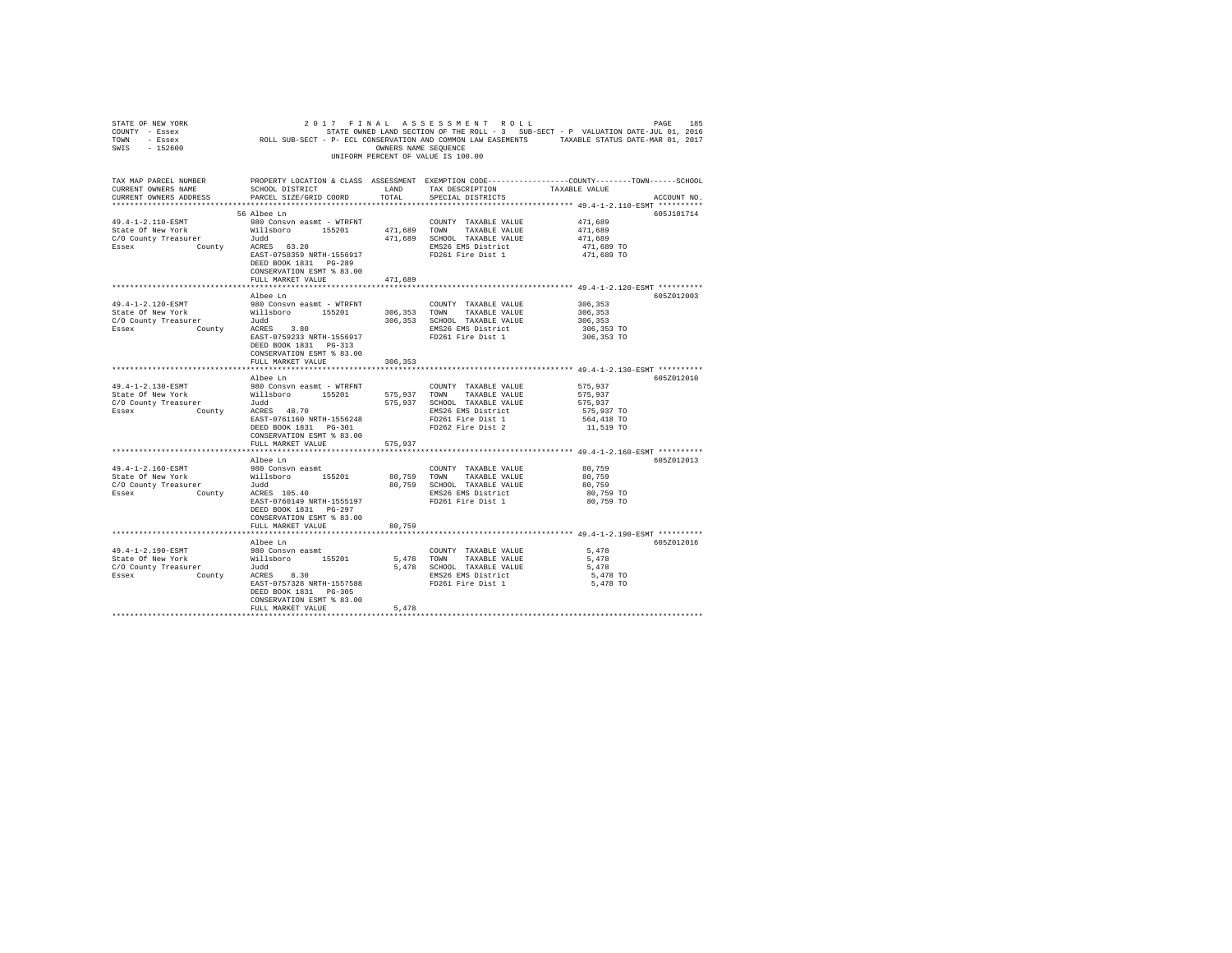| STATE OF NEW YORK<br>COUNTY - Essex<br>TOWN - Essex<br>SWIS - 152600                                                                                                                                                                                                                                                     |                                                                                                                                      |               | 2017 FINAL ASSESSMENT ROLL<br>UNIFORM PERCENT OF VALUE IS 100.00                                                                   |                                                                                                                                 |
|--------------------------------------------------------------------------------------------------------------------------------------------------------------------------------------------------------------------------------------------------------------------------------------------------------------------------|--------------------------------------------------------------------------------------------------------------------------------------|---------------|------------------------------------------------------------------------------------------------------------------------------------|---------------------------------------------------------------------------------------------------------------------------------|
| TAX MAP PARCEL NUMBER<br>CURRENT OWNERS NAME<br>CURRENT OWNERS ADDRESS PARCEL SIZE/GRID COORD TOTAL                                                                                                                                                                                                                      | SCHOOL DISTRICT LAND                                                                                                                 |               | TAX DESCRIPTION<br>SPECIAL DISTRICTS                                                                                               | PROPERTY LOCATION & CLASS ASSESSMENT EXEMPTION CODE----------------COUNTY-------TOWN-----SCHOOL<br>TAXABLE VALUE<br>ACCOUNT NO. |
|                                                                                                                                                                                                                                                                                                                          | 56 Albee Ln<br>ACRES 63.20<br>EAST-0758359 NRTH-1556917<br>DEED BOOK 1831 PG-289<br>CONSERVATION ESMT % 83.00                        |               | FD261 Fire Dist 1                                                                                                                  | 605J101714<br>471,689<br>471,689<br>471,689<br>471,689 TO<br>471,689 TO                                                         |
|                                                                                                                                                                                                                                                                                                                          | FULL MARKET VALUE                                                                                                                    | 471,689       |                                                                                                                                    |                                                                                                                                 |
| 49.4-1-2.120-ESMT<br>State of New York Willsboro 155201 306,353 TOWN TAXABLE VALUE<br>C/O County Treasurer 300,353 SCHOOL TAXABLE VALUE<br>ESSEX COUNTY ACRES 300 Normu 1556017 2006,353 SCHOOL TAXABLE VALUE                                                                                                            | Albee Ln<br>980 Consvn easmt - WTRFNT<br>EAST-0759233 NRTH-1556917<br>DEED BOOK 1831    PG-313<br>CONSERVATION ESMT % 83.00          |               | COUNTY TAXABLE VALUE<br>TAXABLE VALUE<br>FD261 Fire Dist 1                                                                         | 605Z012003<br>306,353<br>306,353<br>306,353<br>306,353 TO<br>306,353 TO                                                         |
|                                                                                                                                                                                                                                                                                                                          | FULL MARKET VALUE                                                                                                                    | 306,353       |                                                                                                                                    |                                                                                                                                 |
|                                                                                                                                                                                                                                                                                                                          |                                                                                                                                      |               |                                                                                                                                    |                                                                                                                                 |
| 49.4-1-2.130-ESMT<br>State Of New York Millshoro 155201 575,937 TOWN<br>C/O County Treasurer 156201 575,937 TOWN<br>ESSEX County ACRES 48.70 575,937 EMS26 EN                                                                                                                                                            | Albee Ln<br>980 Consvn easmt - WTRFNT<br>CONSERVATION ESMT % 83.00                                                                   |               | COUNTY TAXABLE VALUE<br>TAXABLE VALUE<br>575,937 SCHOOL TAXABLE VALUE<br>EMS26 EMS District                                        | 605Z012010<br>575,937<br>575,937<br>575,937<br>575,937 TO<br>564,418 TO<br>11,519 TO                                            |
|                                                                                                                                                                                                                                                                                                                          | FULL MARKET VALUE                                                                                                                    | 575,937       |                                                                                                                                    |                                                                                                                                 |
| 49.4-1-2.160-ESMT<br>Control of Millsboro 155201<br>C/O County Treasurer Millsboro 155201<br>Sssex County County County County County County County County County County County County County County County<br>County County County County County County<br>$C/O$ County Treasurer $Judd$<br>Essex $County$ ACRES 105.40 | Albee Ln<br>980 Consvn easmt<br>EAST-0760149 NRTH-1555197<br>DEED BOOK 1831 PG-297<br>CONSERVATION ESMT % 83.00<br>FULL MARKET VALUE | 80.759        | COUNTY TAXABLE VALUE 80,759<br>80.759 TOWN TAXABLE VALUE<br>80,759 SCHOOL TAXABLE VALUE<br>EMS26 EMS District<br>FD261 Fire Dist 1 | 605Z012013<br>80,759<br>80,759<br>80.759 TO<br>80,759 TO                                                                        |
|                                                                                                                                                                                                                                                                                                                          |                                                                                                                                      |               |                                                                                                                                    | ******************************** 49.4-1-2.190-ESMT **********                                                                   |
| 49.4-1-2.190-ESMT<br>State Of New York Millsboro 155201<br>C/O County Treasurer 1994<br>Essex County ACRES 8.30                                                                                                                                                                                                          | Albee Ln<br>980 Consvn easmt<br>EAST-0757328 NRTH-1557588<br>DEED BOOK 1831 PG-305<br>CONSERVATION ESMT % 83.00<br>FULL MARKET VALUE | 5.478         | COUNTY TAXABLE VALUE<br>5,478 TOWN TAXABLE VALUE<br>5,478 SCHOOL TAXABLE VALUE<br>EMS26 EMS District<br>FD261 Fire Dist 1          | 605Z012016<br>5,478<br>5.478<br>5,478<br>5,478 TO<br>5,478 TO                                                                   |
|                                                                                                                                                                                                                                                                                                                          |                                                                                                                                      | ************* |                                                                                                                                    |                                                                                                                                 |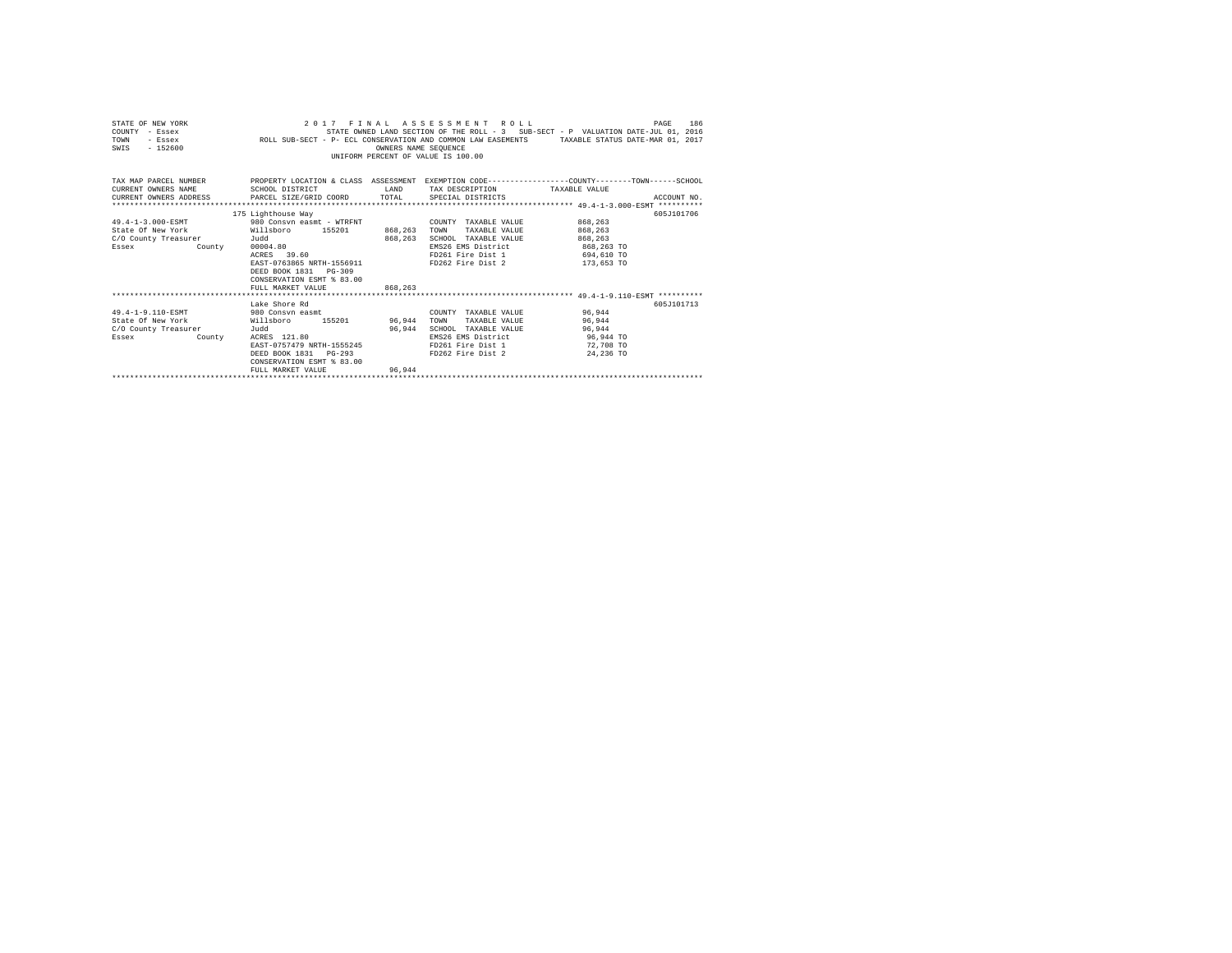| STATE OF NEW YORK<br>COUNTY - Essex<br>TOWN<br>- Essex<br>$-152600$<br>SWTS                                                                                                                                              | ROLL SUB-SECT - P- ECL CONSERVATION AND COMMON LAW EASEMENTS TAXABLE STATUS DATE-MAR 01, 2017                                                                                                                                   | OWNERS NAME SEOUENCE | 2017 FINAL ASSESSMENT ROLL<br>STATE OWNED LAND SECTION OF THE ROLL - 3 SUB-SECT - P VALUATION DATE-JUL 01, 2016<br>INIFORM PERCENT OF VALUE IS 100.00 |                                                                         | 186<br>PAGE |
|--------------------------------------------------------------------------------------------------------------------------------------------------------------------------------------------------------------------------|---------------------------------------------------------------------------------------------------------------------------------------------------------------------------------------------------------------------------------|----------------------|-------------------------------------------------------------------------------------------------------------------------------------------------------|-------------------------------------------------------------------------|-------------|
| TAX MAP PARCEL NUMBER THE PROPERTY LOCATION & CLASS ASSESSMENT EXEMPTION CODE--------------COUNTY-------TOWN------SCHOOL<br>CURRENT OWNERS NAME<br>CURRENT OWNERS ADDRESS PARCEL SIZE/GRID COORD TOTAL SPECIAL DISTRICTS | SCHOOL DISTRICT                                                                                                                                                                                                                 |                      | LAND TAX DESCRIPTION                                                                                                                                  | TAXABLE VALUE                                                           | ACCOUNT NO. |
| 49.4-1-3.000-ESMT<br>State Of New York Willsboro 155201<br>C/O County Treasurer<br>Essex<br>County                                                                                                                       | 175 Lighthouse Way<br>980 Consyn easmt - WTRFNT                 COUNTY TAXABLE VALUE<br>Judd<br>00004.80<br>ACRES 39.60<br>EAST-0763865 NRTH-1556911<br>DEED BOOK 1831 PG-309<br>CONSERVATION ESMT & 83.00<br>FULL MARKET VALUE | 868,263              | 868.263 TOWN TAXABLE VALUE<br>868.263 SCHOOL TAXABLE VALUE<br>EMS26 EMS District<br>FD261 Fire Dist 1<br>FD262 Fire Dist 2                            | 868,263<br>868,263<br>868,263<br>868,263 TO<br>694,610 TO<br>173,653 TO | 605J101706  |
| 49.4-1-9.110-ESMT 980 Consyn easmt<br>State Of New York<br>C/O County Treasurer<br>County<br>Essex                                                                                                                       | Lake Shore Rd<br>Willsboro 155201 96.944 TOWN TAXABLE_VALUE<br>Judd<br>ACRES 121.80<br>EAST-0757479 NRTH-1555245<br>DEED BOOK 1831 PG-293<br>CONSERVATION ESMT % 83.00<br>FULL MARKET VALUE                                     | 96.944               | COUNTY TAXABLE VALUE 96.944<br>96.944 SCHOOL TAXABLE VALUE<br>EMS26 EMS District<br>FD261 Fire Dist 1<br>FD262 Fire Dist 2                            | 96.944<br>96.944<br>96,944 TO<br>72,708 TO<br>24,236 TO                 | 605J101713  |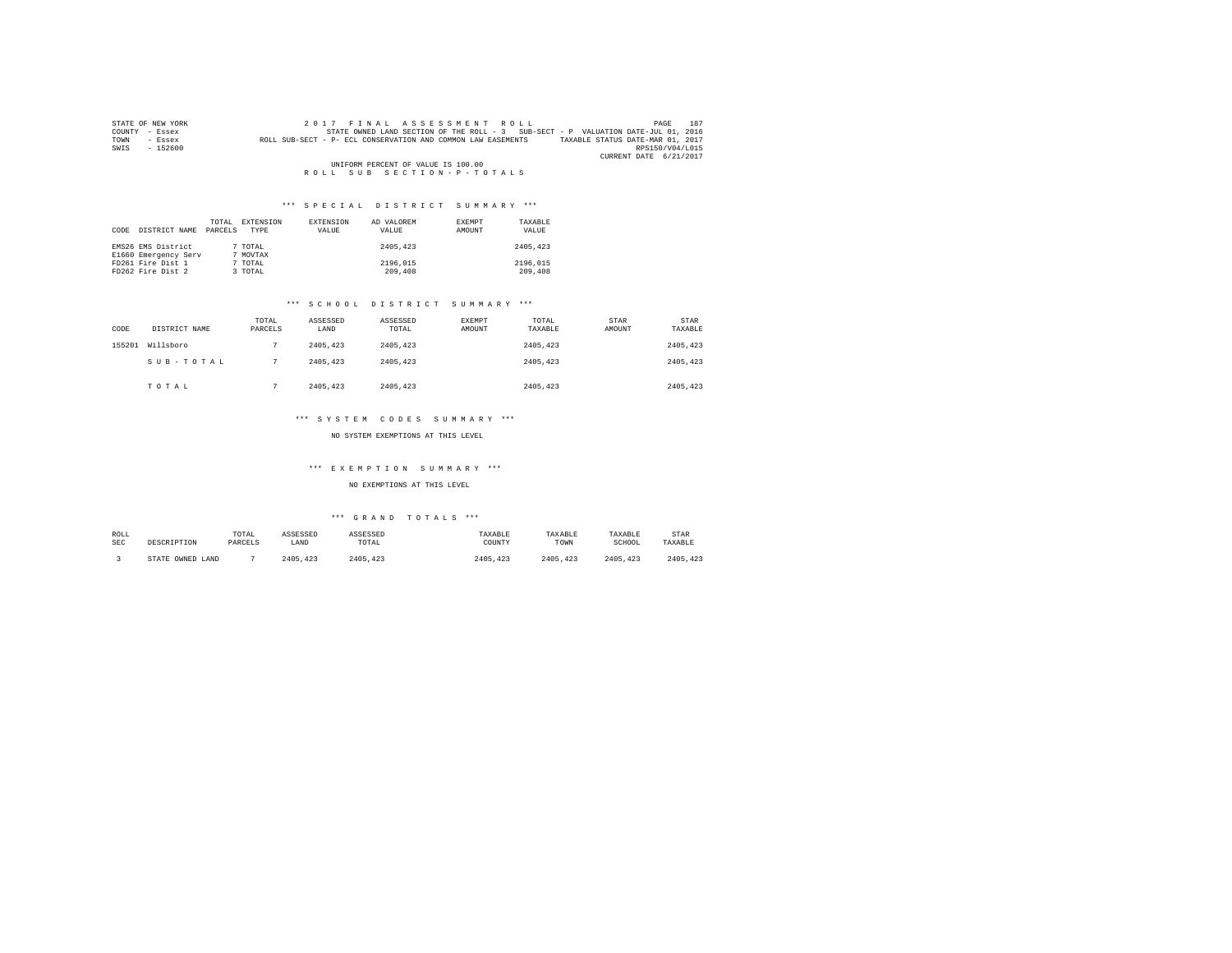| STATE OF NEW YORK | 187<br>2017 FINAL ASSESSMENT ROLL<br>PAGE                                                        |  |
|-------------------|--------------------------------------------------------------------------------------------------|--|
| COUNTY - Essex    | STATE OWNED LAND SECTION OF THE ROLL - 3 SUB-SECT - P VALUATION DATE-JUL 01, 2016                |  |
| TOWN<br>- Essex   | TAXABLE STATUS DATE-MAR 01, 2017<br>ROLL SUB-SECT - P- ECL CONSERVATION AND COMMON LAW EASEMENTS |  |
| $-152600$<br>SWIS | RPS150/V04/L015                                                                                  |  |
|                   | CURRENT DATE 6/21/2017                                                                           |  |
|                   | UNIFORM PERCENT OF VALUE IS 100.00                                                               |  |
|                   | ROLL SUB SECTION-P-TOTALS                                                                        |  |

| CODE | DISTRICT NAME                              | TOTAL<br>PARCELS | EXTENSION<br>TYPE   | EXTENSION<br>VALUE | AD VALOREM<br>VALUE | EXEMPT<br>AMOUNT | TAXARLE<br>VALUE    |
|------|--------------------------------------------|------------------|---------------------|--------------------|---------------------|------------------|---------------------|
|      | EMS26 EMS District<br>E1660 Emergency Serv |                  | 7 TOTAL<br>7 MOVTAX |                    | 2405,423            |                  | 2405,423            |
|      | FD261 Fire Dist 1<br>FD262 Fire Dist 2     |                  | 7 TOTAL<br>3 TOTAL  |                    | 2196.015<br>209,408 |                  | 2196,015<br>209,408 |

# \*\*\* S C H O O L D I S T R I C T S U M M A R Y \*\*\*

| CODE   | DISTRICT NAME | TOTAL<br>PARCELS | ASSESSED<br>LAND | ASSESSED<br>TOTAL | <b>EXEMPT</b><br>AMOUNT | TOTAL<br>TAXABLE | STAR<br>AMOUNT | <b>STAR</b><br>TAXABLE |
|--------|---------------|------------------|------------------|-------------------|-------------------------|------------------|----------------|------------------------|
| 155201 | Willsboro     |                  | 2405.423         | 2405,423          |                         | 2405.423         |                | 2405,423               |
|        | SUB-TOTAL     |                  | 2405.423         | 2405.423          |                         | 2405.423         |                | 2405,423               |
|        | TOTAL         |                  | 2405.423         | 2405.423          |                         | 2405.423         |                | 2405,423               |

## \*\*\* S Y S T E M C O D E S S U M M A R Y \*\*\*

#### NO SYSTEM EXEMPTIONS AT THIS LEVEL

# \*\*\* E X E M P T I O N S U M M A R Y \*\*\*

#### NO EXEMPTIONS AT THIS LEVEL

| ROLL<br><b>SEC</b> | DESCRIPTION      | TOTAL<br>PARCELS | ASSESSED<br>LAND | ASSESSED<br>TOTAL | TAXABLE<br>COUNTY | TAXABLE<br>TOWN | TAXABLE<br>SCHOOL | <b>STAR</b><br>TAXABLE |
|--------------------|------------------|------------------|------------------|-------------------|-------------------|-----------------|-------------------|------------------------|
|                    | STATE OWNED LAND |                  | 2405, 423        | 2405.423          | 2405.423          | 2405.423        | 2405.423          | 2405.423               |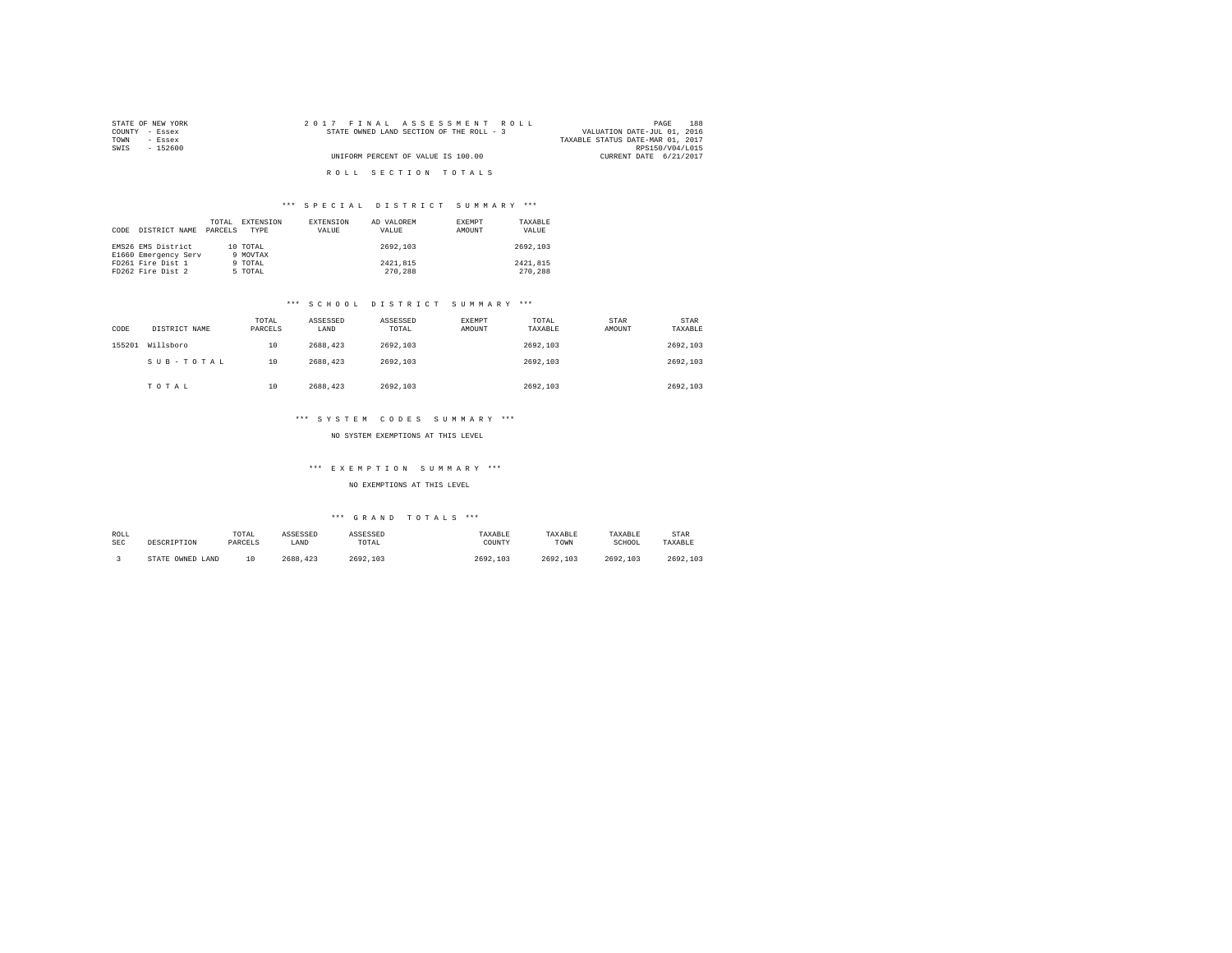| STATE OF NEW YORK | 2017 FINAL ASSESSMENT ROLL               | 188<br>PAGE                      |
|-------------------|------------------------------------------|----------------------------------|
| COUNTY<br>- Essex | STATE OWNED LAND SECTION OF THE ROLL - 3 | VALUATION DATE-JUL 01, 2016      |
| TOWN<br>$-$ Essex |                                          | TAXABLE STATUS DATE-MAR 01, 2017 |
| SWIS<br>$-152600$ |                                          | RPS150/V04/L015                  |
|                   | UNIFORM PERCENT OF VALUE IS 100.00       | CURRENT DATE 6/21/2017           |
|                   | ROLL SECTION TOTALS                      |                                  |

| CODE | DISTRICT NAME                              | TOTAL<br>PARCELS | EXTENSION<br>TYPE    | EXTENSION<br>VALUE | AD VALOREM<br>VALUE | EXEMPT<br>AMOUNT | TAXABLE<br>VALUE    |
|------|--------------------------------------------|------------------|----------------------|--------------------|---------------------|------------------|---------------------|
|      | EMS26 EMS District<br>E1660 Emergency Serv |                  | 10 TOTAL<br>9 MOVTAX |                    | 2692.103            |                  | 2692.103            |
|      | FD261 Fire Dist 1<br>FD262 Fire Dist 2     |                  | 9 TOTAL<br>5 TOTAL   |                    | 2421,815<br>270,288 |                  | 2421.815<br>270,288 |

# \*\*\* S C H O O L D I S T R I C T S U M M A R Y \*\*\*

| CODE   | DISTRICT NAME | TOTAL<br>PARCELS | ASSESSED<br>LAND | ASSESSED<br>TOTAL | <b>EXEMPT</b><br><b>AMOUNT</b> | TOTAL<br>TAXABLE | STAR<br>AMOUNT | STAR<br>TAXABLE |
|--------|---------------|------------------|------------------|-------------------|--------------------------------|------------------|----------------|-----------------|
| 155201 | Willsboro     | 10               | 2688.423         | 2692.103          |                                | 2692.103         |                | 2692.103        |
|        | SUB-TOTAL     | 10               | 2688.423         | 2692.103          |                                | 2692.103         |                | 2692.103        |
|        | TOTAL         | 10               | 2688.423         | 2692.103          |                                | 2692.103         |                | 2692.103        |

# \*\*\* S Y S T E M C O D E S S U M M A R Y \*\*\*

#### NO SYSTEM EXEMPTIONS AT THIS LEVEL

# \*\*\* E X E M P T I O N S U M M A R Y \*\*\*

#### NO EXEMPTIONS AT THIS LEVEL

| ROLL<br><b>SEC</b> | DESCRIPTION      | TOTAL<br>PARCELS | ASSESSED<br>LAND | ASSESSED<br>TOTAL | TAXABLE<br>COUNTY | TAXABLE<br>TOWN | TAXABLE<br>SCHOOL | <b>STAR</b><br>TAXABLE |
|--------------------|------------------|------------------|------------------|-------------------|-------------------|-----------------|-------------------|------------------------|
|                    | STATE OWNED LAND | 10               | 2688,423         | 2692.103          | 2692.103          | 2692.103        | 2692.103          | 2692.103               |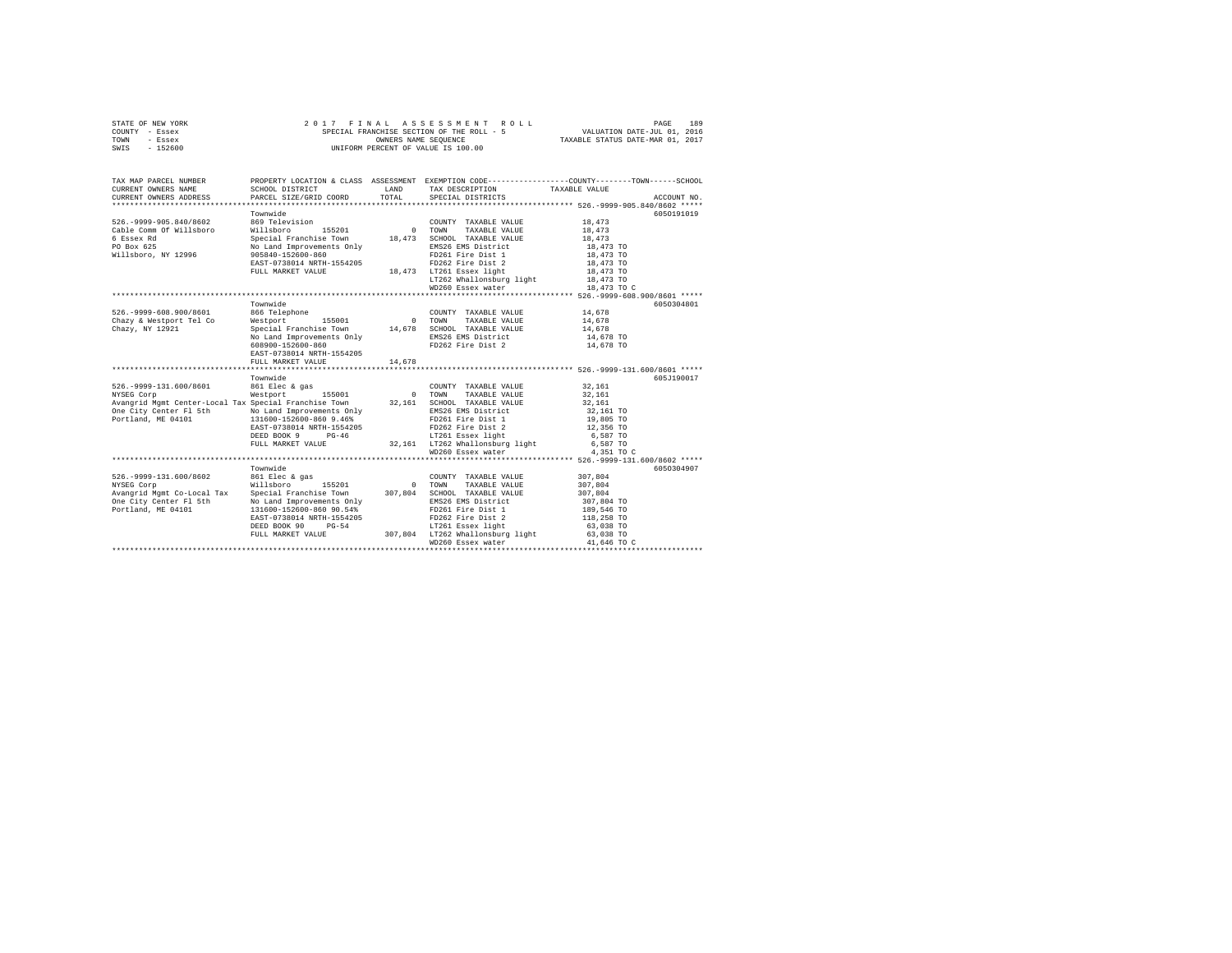|      | STATE OF NEW YORK | 2017 FINAL ASSESSMENT ROLL                | 189<br>PAGE                      |
|------|-------------------|-------------------------------------------|----------------------------------|
|      | COUNTY - Essex    | SPECIAL FRANCHISE SECTION OF THE ROLL - 5 | VALUATION DATE-JUL 01, 2016      |
| TOWN | - Essex           | OWNERS NAME SEOUENCE                      | TAXABLE STATUS DATE-MAR 01, 2017 |
| SWIS | - 152600          | UNIFORM PERCENT OF VALUE IS 100.00        |                                  |

| TAX MAP PARCEL NUMBER<br>CURRENT OWNERS NAME                                                                                                                       | SCHOOL DISTRICT                                | LAND  | TAX DESCRIPTION TAXABLE VALUE                                            | PROPERTY LOCATION & CLASS ASSESSMENT EXEMPTION CODE---------------COUNTY-------TOWN------SCHOOL                                  |             |
|--------------------------------------------------------------------------------------------------------------------------------------------------------------------|------------------------------------------------|-------|--------------------------------------------------------------------------|----------------------------------------------------------------------------------------------------------------------------------|-------------|
| CURRENT OWNERS ADDRESS                                                                                                                                             | PARCEL SIZE/GRID COORD                         | TOTAL | SPECIAL DISTRICTS                                                        |                                                                                                                                  | ACCOUNT NO. |
|                                                                                                                                                                    |                                                |       |                                                                          |                                                                                                                                  |             |
|                                                                                                                                                                    | Townwide                                       |       |                                                                          | 6050191019                                                                                                                       |             |
| 526. - 9999-905.840/8602                                                                                                                                           | 869 Television                                 |       | COUNTY TAXABLE VALUE                                                     | 18,473                                                                                                                           |             |
| Cable Comm Of Willsboro                                                                                                                                            | Willsboro 155201                               |       | 0 TOWN TAXABLE VALUE                                                     | 18,473                                                                                                                           |             |
| 6 Essex Rd                                                                                                                                                         | Special Franchise Town 18,473                  |       | SCHOOL TAXABLE VALUE                                                     | 18,473                                                                                                                           |             |
| PO Box 625                                                                                                                                                         | No Land Improvements Only<br>905840-152600-860 |       | EMS26 EMS District                                                       | 18,473 TO<br>18,473 TO                                                                                                           |             |
| Willsboro, NY 12996                                                                                                                                                |                                                |       | FD261 Fire Dist 1                                                        |                                                                                                                                  |             |
|                                                                                                                                                                    | EAST-0738014 NRTH-1554205                      |       | FD262 Fire Dist 2                                                        | 18,473 TO                                                                                                                        |             |
|                                                                                                                                                                    | FULL MARKET VALUE                              |       | 18,473 LT261 Essex light<br>LT262 Whallonsburg light                     | 18,473 TO                                                                                                                        |             |
|                                                                                                                                                                    |                                                |       |                                                                          | 18,473 TO                                                                                                                        |             |
|                                                                                                                                                                    |                                                |       | WD260 Essex water                                                        | 18,473 TO C                                                                                                                      |             |
|                                                                                                                                                                    |                                                |       |                                                                          |                                                                                                                                  |             |
|                                                                                                                                                                    | Townwide                                       |       |                                                                          |                                                                                                                                  | 6050304801  |
| 526.-9999-608.900/8601 866 Telephone<br>Chazy & Westport Tel Co Westport 155001                                                                                    |                                                |       | COUNTY TAXABLE VALUE<br>0 TOWN TAXABLE VALUE<br>COUNTY TAXABLE VALUE     | $\ensuremath{\mathsf{14}}\xspace$ , $\ensuremath{\mathsf{6}}\xspace\ensuremath{\mathsf{7}}\xspace\ensuremath{\mathsf{8}}\xspace$ |             |
|                                                                                                                                                                    |                                                |       |                                                                          | 14,678                                                                                                                           |             |
| Chazy, NY 12921                                                                                                                                                    | Special Franchise Town 14,678                  |       | SCHOOL TAXABLE VALUE 14,678                                              |                                                                                                                                  |             |
|                                                                                                                                                                    | No Land Improvements Only<br>608900-152600-860 |       | EMS26 EMS District                                                       | 14,678 TO                                                                                                                        |             |
|                                                                                                                                                                    | 608900-152600-860                              |       | FD262 Fire Dist 2                                                        | 14,678 TO                                                                                                                        |             |
|                                                                                                                                                                    | EAST-0738014 NRTH-1554205                      |       |                                                                          |                                                                                                                                  |             |
|                                                                                                                                                                    | FULL MARKET VALUE 14,678                       |       |                                                                          |                                                                                                                                  |             |
|                                                                                                                                                                    |                                                |       |                                                                          |                                                                                                                                  |             |
|                                                                                                                                                                    |                                                |       |                                                                          |                                                                                                                                  |             |
|                                                                                                                                                                    | Townwide                                       |       |                                                                          |                                                                                                                                  | 605J190017  |
|                                                                                                                                                                    |                                                |       | COUNTY TAXABLE VALUE                                                     | 32,161                                                                                                                           |             |
|                                                                                                                                                                    |                                                |       | TOWN<br>TAXABLE VALUE                                                    | 32,161                                                                                                                           |             |
|                                                                                                                                                                    |                                                |       | SCHOOL TAXABLE VALUE                                                     | 32,161                                                                                                                           |             |
|                                                                                                                                                                    |                                                |       | EMS26 EMS District                                                       | 32,161 TO                                                                                                                        |             |
| Portland, ME 04101 131600-152600-860 9.46%                                                                                                                         |                                                |       | FD261 Fire Dist 1                                                        |                                                                                                                                  |             |
|                                                                                                                                                                    | EAST-0738014 NRTH-1554205                      |       | FD262 Fire Dist 2                                                        | 19,805 TO<br>12,356 TO                                                                                                           |             |
|                                                                                                                                                                    | DEED BOOK 9 PG-46                              |       | LT261 Essex light                                                        | 6,587 TO                                                                                                                         |             |
|                                                                                                                                                                    | FULL MARKET VALUE                              |       |                                                                          |                                                                                                                                  |             |
|                                                                                                                                                                    |                                                |       | $32,161$ LT262 Whallonsburg light 6,587 TO<br>WD260 Essex water 4,351 TO | 4,351 TO C                                                                                                                       |             |
|                                                                                                                                                                    |                                                |       |                                                                          |                                                                                                                                  |             |
|                                                                                                                                                                    | Townwide                                       |       |                                                                          | 6050304907                                                                                                                       |             |
| 526.-9999-131.600/8602 861 Elec & gas                                                                                                                              |                                                |       | COUNTY TAXABLE VALUE                                                     | 307,804                                                                                                                          |             |
|                                                                                                                                                                    | Willsboro 155201                               |       | TOWN TAXABLE VALUE                                                       | 307,804                                                                                                                          |             |
|                                                                                                                                                                    |                                                |       | SCHOOL TAXABLE VALUE                                                     | 307,804                                                                                                                          |             |
| vary Millsboro 155201 0<br>Avangrid Mgmt Co-Local Tax Special Franchise Town 307,804<br>One City Center F1 5th<br>One City Center Fl 5th No Land Improvements Only |                                                |       | EMS26 EMS District                                                       | 307,804 TO                                                                                                                       |             |
| Portland, ME 04101                                                                                                                                                 | 131600-152600-860 90.54%                       |       |                                                                          | 189,546 TO                                                                                                                       |             |
|                                                                                                                                                                    | EAST-0738014 NRTH-1554205                      |       | FD261 Fire Dist 1<br>FD262 Fire Dist 2                                   | 118,258 TO                                                                                                                       |             |
|                                                                                                                                                                    | DEED BOOK 90 PG-54                             |       | LT261 Essex light                                                        | 63,038 TO                                                                                                                        |             |
|                                                                                                                                                                    | FULL MARKET VALUE                              |       | 307,804 LT262 Whallonsburg light                                         | 63,038 TO                                                                                                                        |             |
|                                                                                                                                                                    |                                                |       | WD260 Essex water                                                        | 41,646 TO C                                                                                                                      |             |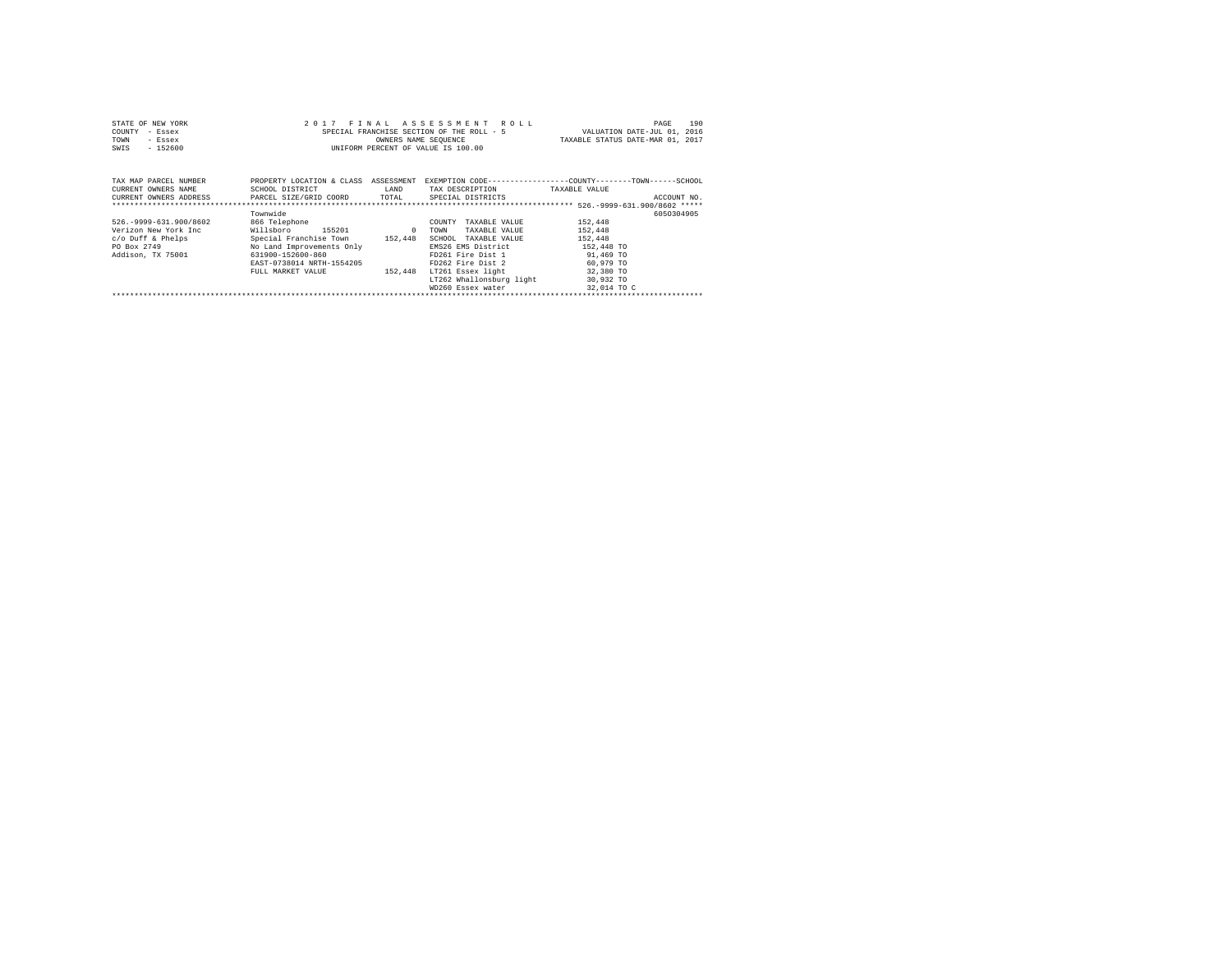| STATE OF NEW YORK     | 2017 FINAL ASSESSMENT ROLL                                                                | 190<br>PAGE                      |
|-----------------------|-------------------------------------------------------------------------------------------|----------------------------------|
| COUNTY<br>- Essex     | SPECIAL FRANCHISE SECTION OF THE ROLL - 5                                                 | VALUATION DATE-JUL 01, 2016      |
| TOWN<br>- Essex       | OWNERS NAME SEOUENCE                                                                      | TAXABLE STATUS DATE-MAR 01, 2017 |
| $-152600$<br>SWIS     | UNIFORM PERCENT OF VALUE IS 100.00                                                        |                                  |
|                       |                                                                                           |                                  |
|                       |                                                                                           |                                  |
|                       |                                                                                           |                                  |
| TAX MAP PARCEL NUMBER | PROPERTY LOCATION & CLASS ASSESSMENT EXEMPTION CODE-----------------COUNTY-------TOWN---- | -SCHOOL                          |

| CURRENT OWNERS NAME         | SCHOOL DISTRICT           | LAND       | TAX DESCRIPTION          | TAXABLE VALUE |             |
|-----------------------------|---------------------------|------------|--------------------------|---------------|-------------|
| CURRENT OWNERS ADDRESS      | PARCEL SIZE/GRID COORD    | TOTAL      | SPECIAL DISTRICTS        |               | ACCOUNT NO. |
|                             |                           |            |                          |               |             |
|                             | Townwide                  |            |                          |               | 6050304905  |
| 526. - 9999 - 631. 900/8602 | 866 Telephone             |            | TAXABLE VALUE<br>COUNTY  | 152,448       |             |
| Verizon New York Inc        | Willsboro<br>155201       | $^{\circ}$ | TAXABLE VALUE<br>TOWN    | 152,448       |             |
| c/o Duff & Phelps           | Special Franchise Town    | 152.448    | SCHOOL TAXABLE VALUE     | 152,448       |             |
| PO Box 2749                 | No Land Improvements Only |            | EMS26 EMS District       | 152,448 TO    |             |
| Addison, TX 75001           | 631900-152600-860         |            | FD261 Fire Dist 1        | 91,469 TO     |             |
|                             | EAST-0738014 NRTH-1554205 |            | FD262 Fire Dist 2        | 60,979 TO     |             |
|                             | FULL MARKET VALUE         | 152,448    | LT261 Essex light        | 32,380 TO     |             |
|                             |                           |            | LT262 Whallonsburg light | 30,932 TO     |             |
|                             |                           |            | WD260 Essex water        | 32,014 TO C   |             |
|                             |                           |            |                          |               |             |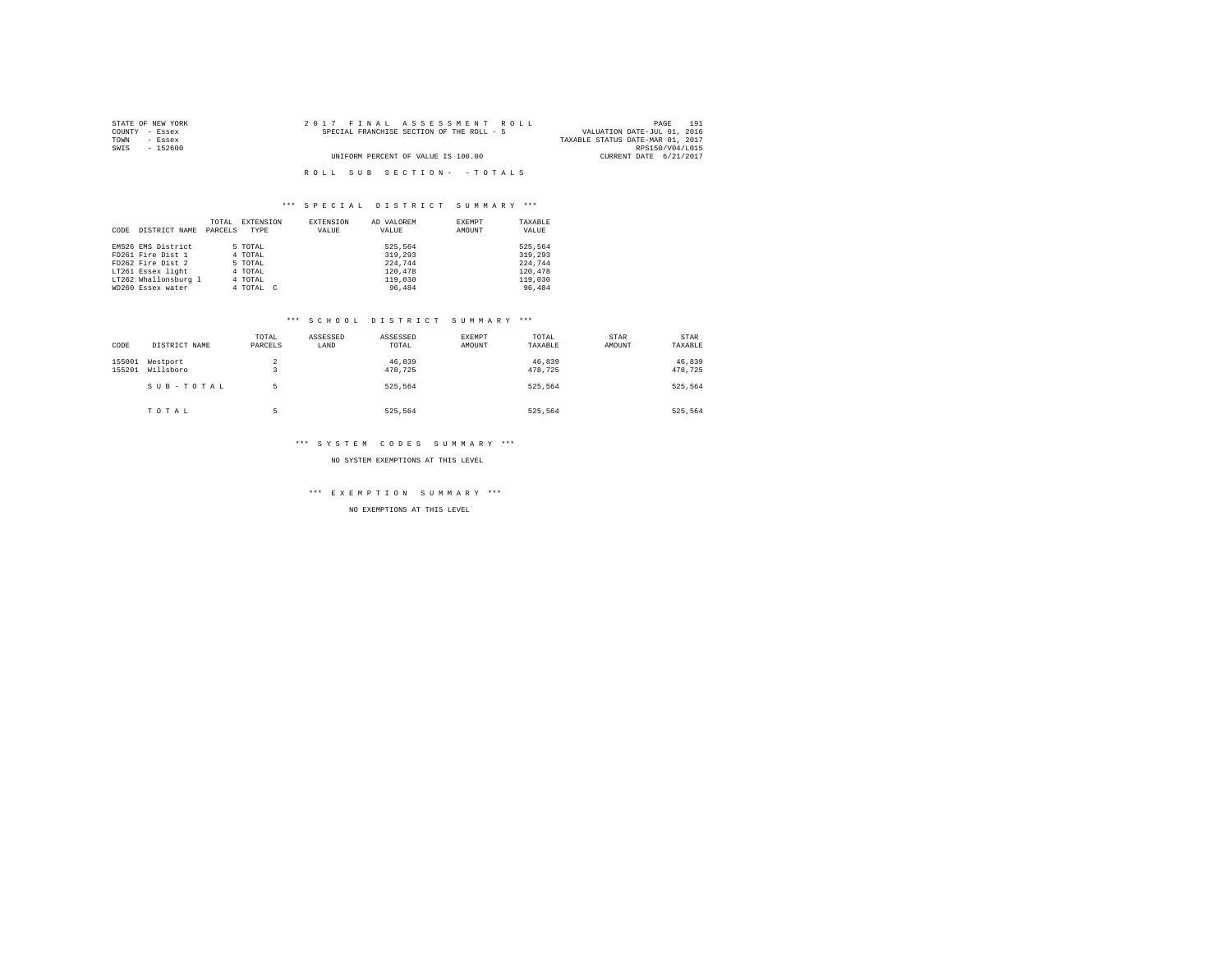| STATE OF NEW YORK | 2017 FINAL ASSESSMENT ROLL                | 191<br>PAGE                      |
|-------------------|-------------------------------------------|----------------------------------|
| COUNTY - Essex    | SPECIAL FRANCHISE SECTION OF THE ROLL - 5 | VALUATION DATE-JUL 01, 2016      |
| TOWN<br>- Essex   |                                           | TAXABLE STATUS DATE-MAR 01, 2017 |
| SWIS<br>- 152600  |                                           | RPS150/V04/L015                  |
|                   | UNIFORM PERCENT OF VALUE IS 100.00        | CURRENT DATE 6/21/2017           |
|                   |                                           |                                  |
|                   | ROLL SUB SECTION- - TOTALS                |                                  |

|      |                      | TOTAL   | EXTENSION | EXTENSION | AD VALOREM | EXEMPT | TAXABLE |
|------|----------------------|---------|-----------|-----------|------------|--------|---------|
| CODE | DISTRICT NAME        | PARCELS | TYPE      | VALUE     | VALUE      | AMOUNT | VALUE   |
|      |                      |         |           |           |            |        |         |
|      | EMS26 EMS District   |         | 5 TOTAL   |           | 525.564    |        | 525,564 |
|      | FD261 Fire Dist 1    |         | 4 TOTAL   |           | 319,293    |        | 319,293 |
|      | FD262 Fire Dist 2    |         | 5 TOTAL   |           | 224.744    |        | 224.744 |
|      | LT261 Essex light    |         | 4 TOTAL   |           | 120,478    |        | 120.478 |
|      | LT262 Whallonsburg 1 |         | 4 TOTAL   |           | 119,030    |        | 119,030 |
|      | WD260 Essex water    |         | 4 TOTAL C |           | 96,484     |        | 96,484  |

#### \*\*\* S C H O O L D I S T R I C T S U M M A R Y \*\*\*

| CODE             | DISTRICT NAME         | TOTAL<br>PARCELS | ASSESSED<br>LAND | ASSESSED<br>TOTAL | EXEMPT<br>AMOUNT | TOTAL<br>TAXABLE  | STAR<br>AMOUNT | STAR<br>TAXABLE   |
|------------------|-----------------------|------------------|------------------|-------------------|------------------|-------------------|----------------|-------------------|
| 155001<br>155201 | Westport<br>Willsboro | 2                |                  | 46,839<br>478.725 |                  | 46,839<br>478.725 |                | 46,839<br>478,725 |
|                  | SUB-TOTAL             | ь                |                  | 525.564           |                  | 525.564           |                | 525,564           |
|                  | TOTAL                 | ь                |                  | 525.564           |                  | 525.564           |                | 525.564           |

## \*\*\* S Y S T E M C O D E S S U M M A R Y \*\*\*

NO SYSTEM EXEMPTIONS AT THIS LEVEL

\*\*\* E X E M P T I O N S U M M A R Y \*\*\*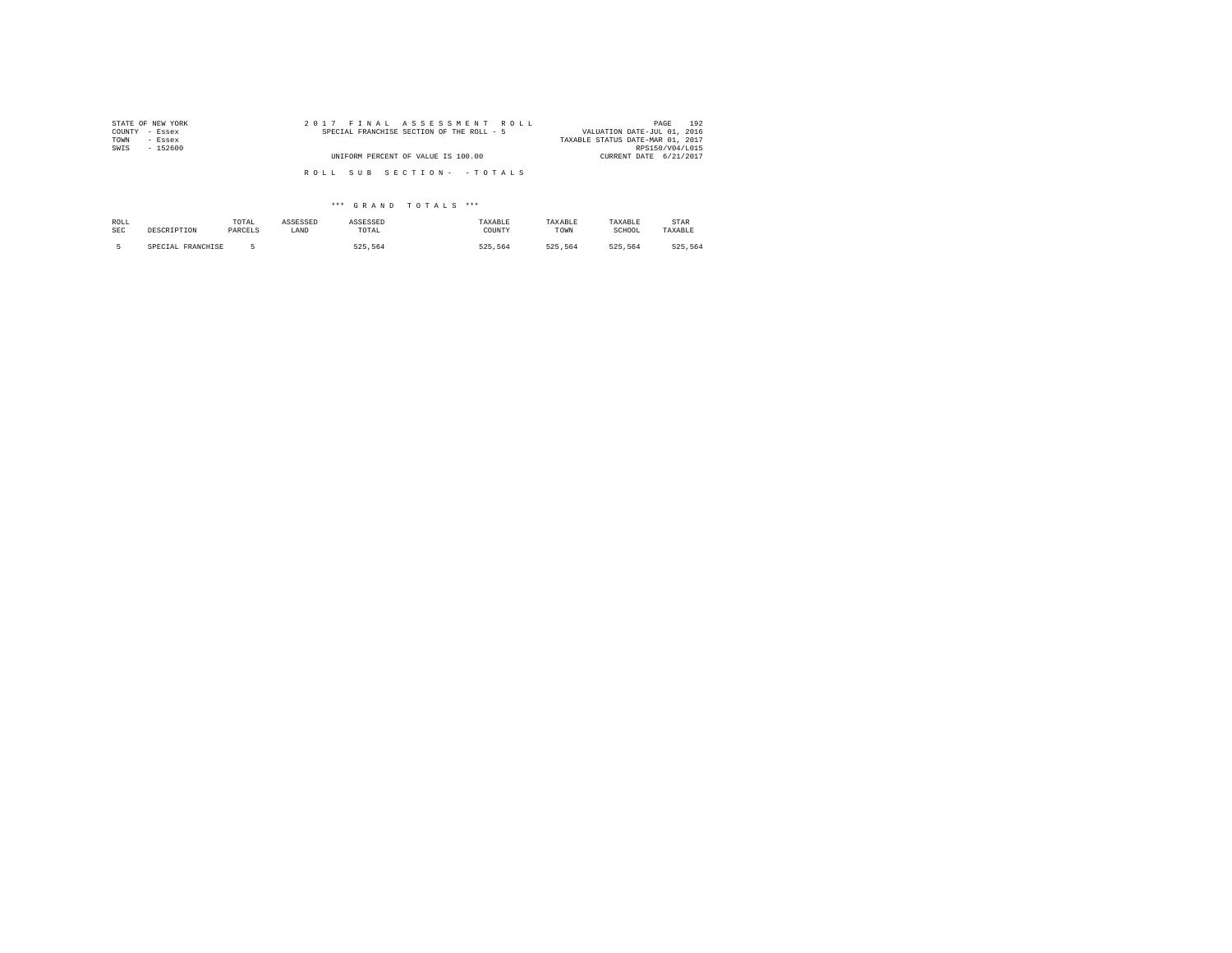| STATE OF NEW YORK | 2017 FINAL ASSESSMENT ROLL                | 192<br>PAGE                      |
|-------------------|-------------------------------------------|----------------------------------|
| COUNTY - Essex    | SPECIAL FRANCHISE SECTION OF THE ROLL - 5 | VALUATION DATE-JUL 01, 2016      |
| TOWN<br>- Essex   |                                           | TAXABLE STATUS DATE-MAR 01, 2017 |
| SWIS<br>$-152600$ |                                           | RPS150/V04/L015                  |
|                   | UNIFORM PERCENT OF VALUE IS 100.00        | CURRENT DATE 6/21/2017           |
|                   |                                           |                                  |
|                   | ROLL SUB SECTION- - TOTALS                |                                  |
|                   |                                           |                                  |

| ROLL       | DESCRIPTION       | TOTAL   | ASSESSED | ASSESSED | TAXABLE | TAXABLE | TAXABLE | STAR    |
|------------|-------------------|---------|----------|----------|---------|---------|---------|---------|
| <b>SEC</b> |                   | PARCELS | LAND     | TOTAL    | COUNTY  | TOWN    | SCHOOL  | TAXABLE |
|            | SPECIAL FRANCHISE |         |          | 525.564  | 525.564 | 525.564 | 525.564 | 525.564 |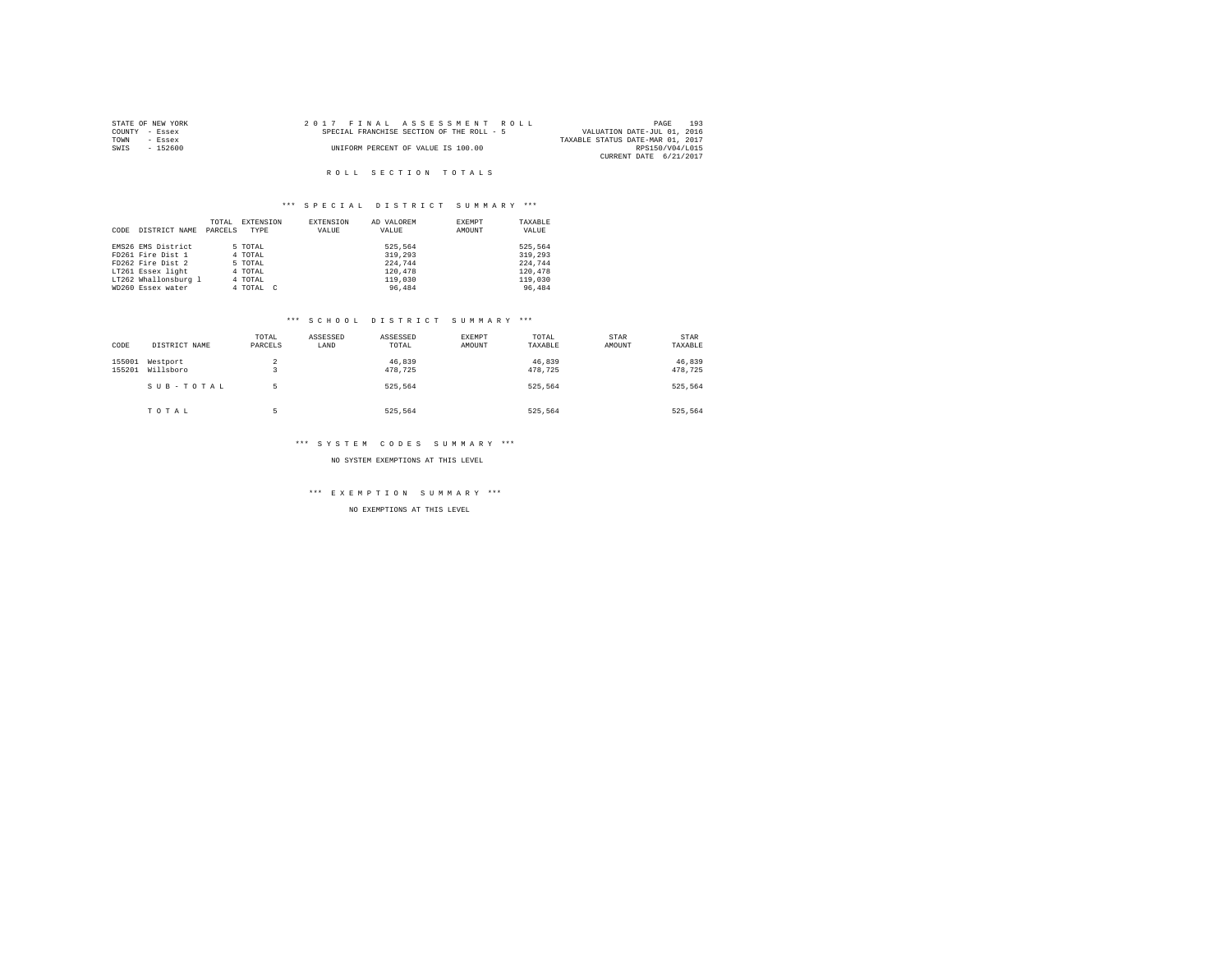|                | STATE OF NEW YORK |  |  | 2017 FINAL ASSESSMENT ROLL                |  |  |  |                                  |                 | PAGE | 193 |
|----------------|-------------------|--|--|-------------------------------------------|--|--|--|----------------------------------|-----------------|------|-----|
| COUNTY - Essex |                   |  |  | SPECIAL FRANCHISE SECTION OF THE ROLL - 5 |  |  |  | VALUATION DATE-JUL 01, 2016      |                 |      |     |
| TOWN           | - Essex           |  |  |                                           |  |  |  | TAXABLE STATUS DATE-MAR 01, 2017 |                 |      |     |
| SWIS           | - 152600          |  |  | UNIFORM PERCENT OF VALUE IS 100.00        |  |  |  |                                  | RPS150/V04/L015 |      |     |
|                |                   |  |  |                                           |  |  |  | CURRENT DATE 6/21/2017           |                 |      |     |

## R O L L S E C T I O N T O T A L S

## \*\*\* S P E C I A L D I S T R I C T S U M M A R Y \*\*\*

|      |                      | TOTAL   | EXTENSION | EXTENSION | AD VALOREM | EXEMPT | TAXABLE |
|------|----------------------|---------|-----------|-----------|------------|--------|---------|
| CODE | DISTRICT NAME        | PARCELS | TYPE      | VALUE     | VALUE      | AMOUNT | VALUE   |
|      |                      |         |           |           |            |        |         |
|      | EMS26 EMS District   |         | 5 TOTAL   |           | 525.564    |        | 525.564 |
|      | FD261 Fire Dist 1    |         | 4 TOTAL   |           | 319,293    |        | 319,293 |
|      | FD262 Fire Dist 2    |         | 5 TOTAL   |           | 224.744    |        | 224,744 |
|      | LT261 Essex light    |         | 4 TOTAL   |           | 120,478    |        | 120,478 |
|      | LT262 Whallonsburg 1 |         | 4 TOTAL   |           | 119,030    |        | 119,030 |
|      | WD260 Essex water    |         | 4 TOTAL C |           | 96,484     |        | 96,484  |

#### \*\*\* S C H O O L D I S T R I C T S U M M A R Y \*\*\*

| CODE             | DISTRICT NAME         | TOTAL<br>PARCELS | ASSESSED<br>LAND | ASSESSED<br>TOTAL | EXEMPT<br>AMOUNT | TOTAL<br>TAXABLE  | STAR<br>AMOUNT | STAR<br>TAXABLE   |
|------------------|-----------------------|------------------|------------------|-------------------|------------------|-------------------|----------------|-------------------|
| 155001<br>155201 | Westport<br>Willsboro | 2<br>۰           |                  | 46,839<br>478.725 |                  | 46,839<br>478,725 |                | 46,839<br>478,725 |
|                  | SUB-TOTAL             | 5                |                  | 525.564           |                  | 525.564           |                | 525.564           |
|                  | TOTAL                 | ۰<br>н           |                  | 525.564           |                  | 525.564           |                | 525.564           |

#### \*\*\* S Y S T E M C O D E S S U M M A R Y \*\*\*

NO SYSTEM EXEMPTIONS AT THIS LEVEL

\*\*\* E X E M P T I O N S U M M A R Y \*\*\*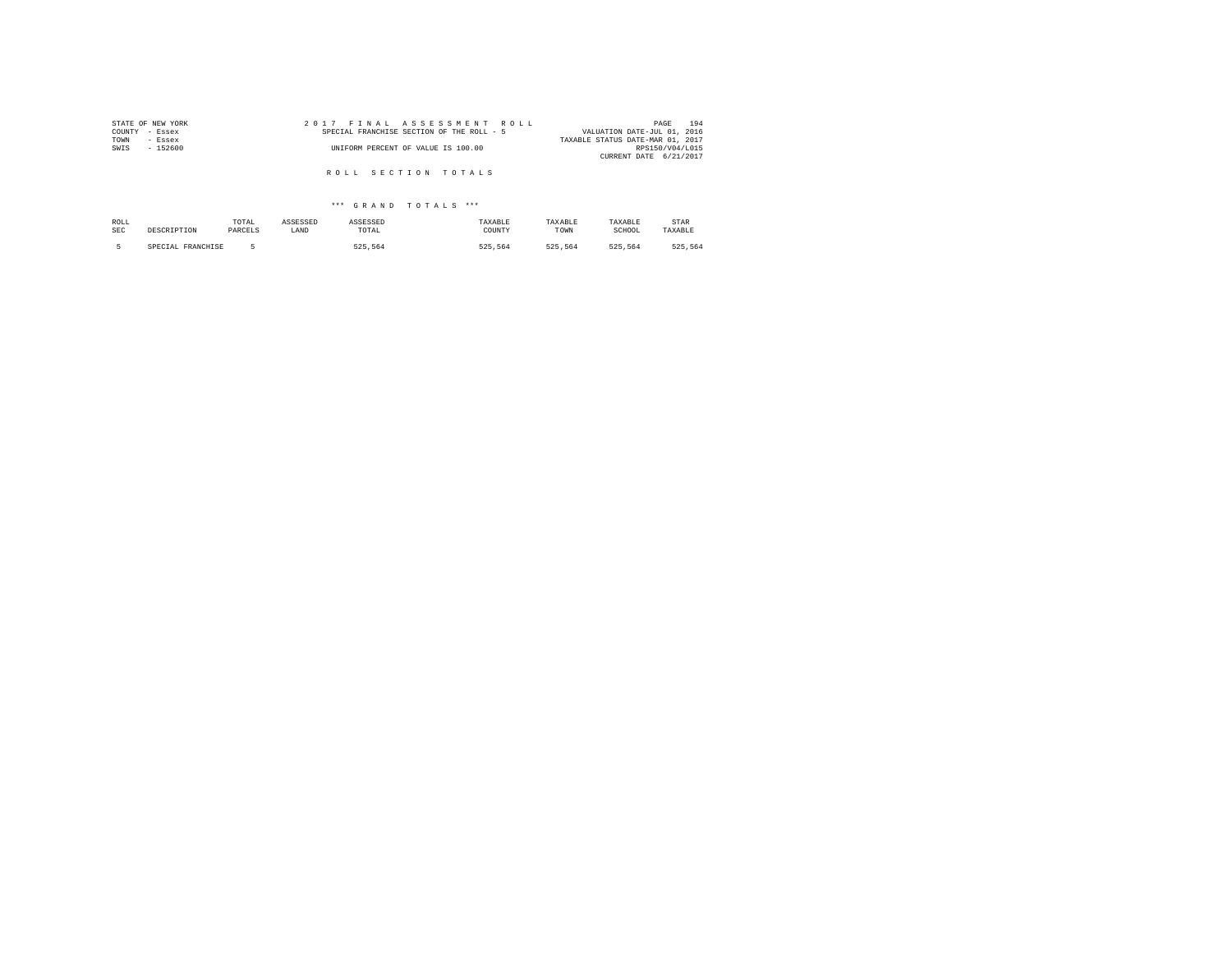| STATE OF NEW YORK | 2017 FINAL ASSESSMENT ROLL                | 194<br>PAGE                      |
|-------------------|-------------------------------------------|----------------------------------|
| COUNTY<br>- Essex | SPECIAL FRANCHISE SECTION OF THE ROLL - 5 | VALUATION DATE-JUL 01, 2016      |
| TOWN<br>- Essex   |                                           | TAXABLE STATUS DATE-MAR 01, 2017 |
| SWIS<br>$-152600$ | UNIFORM PERCENT OF VALUE IS 100.00        | RPS150/V04/L015                  |
|                   |                                           | CURRENT DATE 6/21/2017           |
|                   |                                           |                                  |
|                   | ROLL SECTION TOTALS                       |                                  |

| ROLL       | DESCRIPTION       | TOTAL   | ASSESSED | ASSESSED | TAXABLE | TAXABLE | TAXABLE | STAR    |
|------------|-------------------|---------|----------|----------|---------|---------|---------|---------|
| <b>SEC</b> |                   | PARCELS | LAND     | TOTAL    | COUNTY  | TOWN    | SCHOOL  | TAXABLE |
|            | SPECIAL FRANCHISE |         |          | 525.564  | 525.564 | 525.564 | 525.564 | 525.564 |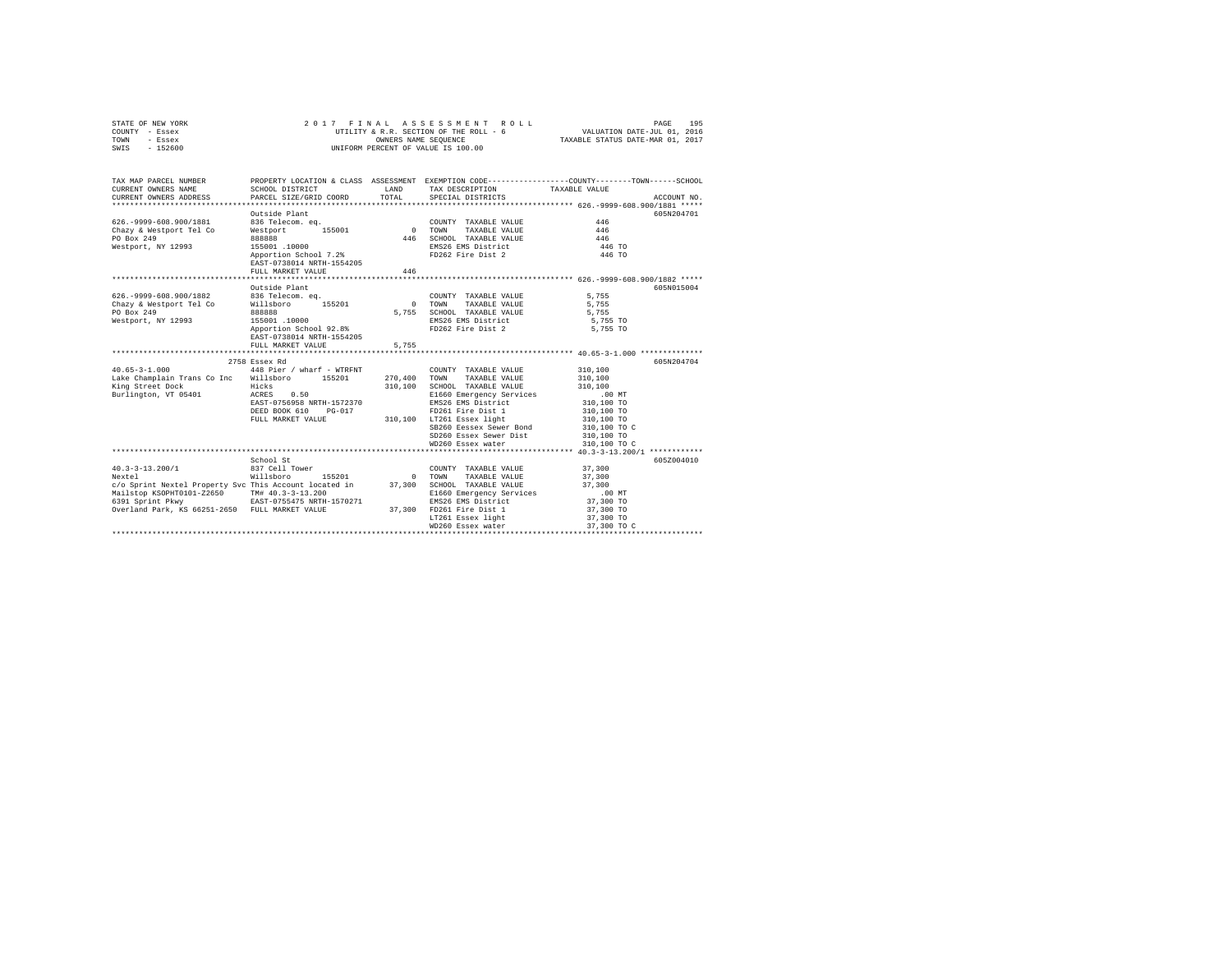|      | STATE OF NEW YORK | 2017 FINAL ASSESSMENT ROLL             | 195<br>PAGE                      |
|------|-------------------|----------------------------------------|----------------------------------|
|      | COUNTY - Essex    | UTILITY & R.R. SECTION OF THE ROLL - 6 | VALUATION DATE-JUL 01, 2016      |
| TOWN | - Essex           | OWNERS NAME SEOUENCE                   | TAXABLE STATUS DATE-MAR 01, 2017 |
| SWIS | $-152600$         | UNIFORM PERCENT OF VALUE IS 100.00     |                                  |

| TAX MAP PARCEL NUMBER<br>CURRENT OWNERS NAME<br>CURRENT OWNERS ADDRESS                                                                                                                                         | SCHOOL DISTRICT<br>PARCEL SIZE/GRID COORD                                                                                                                    | <b>T.AND</b><br>TOTAL. | TAX DESCRIPTION TAXABLE VALUE<br>SPECIAL DISTRICTS                                                                                                                                                                                                       | PROPERTY LOCATION & CLASS ASSESSMENT EXEMPTION CODE---------------COUNTY-------TOWN-----SCHOOL<br>ACCOUNT NO.                                   |
|----------------------------------------------------------------------------------------------------------------------------------------------------------------------------------------------------------------|--------------------------------------------------------------------------------------------------------------------------------------------------------------|------------------------|----------------------------------------------------------------------------------------------------------------------------------------------------------------------------------------------------------------------------------------------------------|-------------------------------------------------------------------------------------------------------------------------------------------------|
| 626. - 9999-608.900/1881<br>Chazy & Westport Tel Co<br>PO Box 249<br>Westport, NY 12993                                                                                                                        | Outside Plant<br>836 Telecom. eq.<br>Westport 155001<br>888888<br>155001 .10000<br>Apportion School 7.2%<br>EAST-0738014 NRTH-1554205<br>FULL MARKET VALUE   | 0 TOWN<br>446<br>446   | COUNTY TAXABLE VALUE<br>TAXABLE VALUE<br>SCHOOL TAXABLE VALUE<br>EMS26 EMS District<br>FD262 Fire Dist 2                                                                                                                                                 | 605N204701<br>446<br>446<br>446<br>446 TO<br>446 TO                                                                                             |
| 626. - 9999-608.900/1882<br>Chazy & Westport Tel Co<br>PO Box 249<br>Westport, NY 12993                                                                                                                        | Outside Plant<br>836 Telecom. ea.<br>Willsboro 155201<br>888888<br>155001 .10000<br>Apportion School 92.8%<br>EAST-0738014 NRTH-1554205<br>FULL MARKET VALUE | 5,755<br>5.755         | COUNTY TAXABLE VALUE<br>0 TOWN<br>TAXABLE VALUE<br>SCHOOL TAXABLE VALUE<br>EMS26 EMS District<br>FD262 Fire Dist 2                                                                                                                                       | 605N015004<br>5.755<br>5,755<br>5.755<br>5,755 TO<br>5,755 TO                                                                                   |
| $40.65 - 3 - 1.000$<br>Lake Champlain Trans Co Inc Willsboro 155201<br>King Street Dock<br>Burlington, VT 05401 ACRES                                                                                          | 2758 Essex Rd<br>448 Pier / wharf - WTRFNT<br>Hicks<br>0.50<br>EAST-0756958 NRTH-1572370<br>DEED BOOK 610<br>PG-017<br>FULL MARKET VALUE                     | 310,100                | COUNTY TAXABLE VALUE<br>270.400 TOWN TAXABLE VALUE<br>SCHOOL TAXABLE VALUE<br>E1660 Emergency Services<br>EMS26 EMS District<br>FD261 Fire Dist 1<br>310,100 LT261 Essex light<br>SB260 Eessex Sewer Bond<br>SD260 Essex Sewer Dist<br>WD260 Essex water | 605N204704<br>310,100<br>310,100<br>310,100<br>$.00$ MT<br>310,100 TO<br>310,100 TO<br>310,100 TO<br>310,100 TO C<br>310,100 TO<br>310,100 TO C |
| $40.3 - 3 - 13.200/1$<br>Nextel<br>c/o Sprint Nextel Property Svc This Account located in<br>Mailstop KSOPHT0101-Z2650 TM# 40.3-3-13.200<br>6391 Sprint Pkwy<br>Overland Park, KS 66251-2650 FULL MARKET VALUE | School St<br>837 Cell Tower<br>Willsboro<br>155201<br>EAST-0755475 NRTH-1570271                                                                              | $\sim$ 0<br>37,300     | COUNTY TAXABLE VALUE<br>TOWN<br>TAXABLE VALUE<br>SCHOOL TAXABLE VALUE<br>E1660 Emergency Services<br>EMS26 EMS District<br>37,300 FD261 Fire Dist 1<br>LT261 Essex light<br>WD260 Essex water                                                            | 605Z004010<br>37,300<br>37,300<br>37,300<br>$.00$ MT<br>37,300 TO<br>37,300 TO<br>37,300 TO<br>37,300 TO C                                      |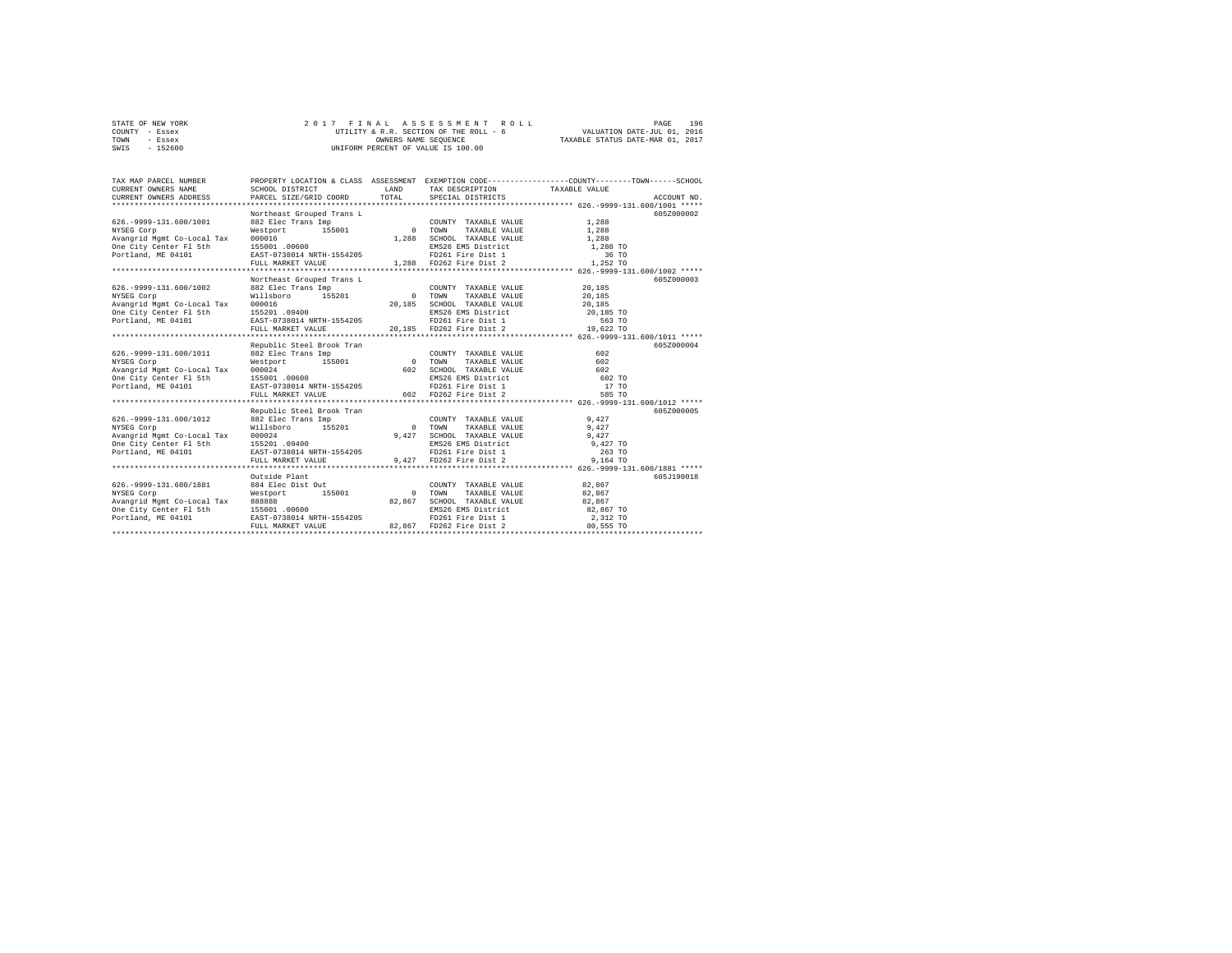|      | STATE OF NEW YORK |  | 2017 FINAL ASSESSMENT ROLL             |                                  | PAGE | 196 |
|------|-------------------|--|----------------------------------------|----------------------------------|------|-----|
|      | COUNTY - Essex    |  | UTILITY & R.R. SECTION OF THE ROLL - 6 | VALUATION DATE-JUL 01, 2016      |      |     |
| TOWN | - Essex           |  | OWNERS NAME SEOUENCE                   | TAXABLE STATUS DATE-MAR 01, 2017 |      |     |
| SWIS | - 152600          |  | UNIFORM PERCENT OF VALUE IS 100.00     |                                  |      |     |

| TAX MAP PARCEL NUMBER<br>CURRENT OWNERS NAME<br>CURRENT OWNERS ADDRESS                                                                                                        | SCHOOL DISTRICT<br>PARCEL SIZE/GRID COORD                                                                                                                                                                                                                                                                                                                                                                                                                               | <b>T.AND</b><br>TOTAL                                                                   | TAX DESCRIPTION TAXABLE VALUE<br>SPECIAL DISTRICTS                                                                                                                                 | PROPERTY LOCATION & CLASS ASSESSMENT EXEMPTION CODE----------------COUNTY-------TOWN-----SCHOOL<br>ACCOUNT NO. |
|-------------------------------------------------------------------------------------------------------------------------------------------------------------------------------|-------------------------------------------------------------------------------------------------------------------------------------------------------------------------------------------------------------------------------------------------------------------------------------------------------------------------------------------------------------------------------------------------------------------------------------------------------------------------|-----------------------------------------------------------------------------------------|------------------------------------------------------------------------------------------------------------------------------------------------------------------------------------|----------------------------------------------------------------------------------------------------------------|
| 626. - 9999-131.600/1001<br>NYSEG Corp<br>Avangrid Mgmt Co-Local Tax 000016 00000<br>One City Center F1 5th 155001.00600<br>Portland, ME 04101 1258 1257-0738014 NRTH-1554205 | Northeast Grouped Trans L<br>882 Elec Trans Imp<br>FULL MARKET VALUE                                                                                                                                                                                                                                                                                                                                                                                                    | 1,288                                                                                   | COUNTY TAXABLE VALUE<br>TAXABLE VALUE<br>SCHOOL TAXABLE VALUE 1,288<br>EMS26 EMS District 1,288 TO<br>FD261 Fire Dist 1 36 TO<br>1,288 FD262 Fire Dist 2 1,252 TO                  | 605Z000002<br>1,288<br>1,288                                                                                   |
| 626. - 9999-131.600/1002<br>NYSEG Corp<br>Avangrid Mgmt Co-Local Tax 000016<br>One City Center Fl 5th<br>Portland, ME 04101                                                   | Northeast Grouped Trans L<br>882 Elec Trans Imp<br>155201<br>Willsboro<br>$155201$ .09400<br>EAST-0738014 NRTH-1554205<br>FULL MARKET VALUE                                                                                                                                                                                                                                                                                                                             | 0 TOWN                                                                                  | COUNTY TAXABLE VALUE<br>TAXABLE VALUE<br>20,185 SCHOOL TAXABLE VALUE<br>EMS26 EMS District<br>FMS26 EMS District<br>PD261 Fire Dist 1 563 TO<br>20,185 FD262 Fire Dist 2 19,622 TO | 605Z000003<br>20,185<br>20,185<br>20,185                                                                       |
| 626. - 9999-131.600/1011<br>NYSEG Corp<br>Avangrid Mgmt Co-Local Tax 000024<br>One City Center Fl 5th<br>Portland, ME 04101                                                   | Republic Steel Brook Tran<br>$\begin{tabular}{c c c c} \multicolumn{1}{c}{\textbf{882} Hec Trans Imp} & \multicolumn{1}{c}{\textbf{55001}} & \multicolumn{1}{c}{\textbf{COUNTY}} & \textbf{TAXABLE VALUE} & \textbf{602} \\ \multicolumn{1}{c}{\textbf{15001}} & \multicolumn{1}{c}{\textbf{15001}} & \multicolumn{1}{c}{\textbf{15001}} & \multicolumn{1}{c}{\textbf{5002}} & \textbf{602} \\ \multicolumn{1}{c}{\textbf{15001}} & \multicolumn{1}{c}{\textbf{602}} &$ |                                                                                         |                                                                                                                                                                                    | 605Z000004<br>602 TO<br>17 TO<br>585 TO                                                                        |
| 626. - 9999-131.600/1012                                                                                                                                                      | Republic Steel Brook Tran<br>882 Elec Trans Imp<br>$155201$ .09400<br>FULL MARKET VALUE                                                                                                                                                                                                                                                                                                                                                                                 | $\begin{array}{cc} & \text{COUNT.} \\ 0 & \text{TOWN} \\ 9\, ,\, 4\, 2\, 7 \end{array}$ | COUNTY TAXABLE VALUE 9,427<br>TAXABLE VALUE                                                                                                                                        | 605Z000005<br>9.427                                                                                            |
| 626. - 9999-131.600/1881<br>NYSEG Corp<br>Avangrid Mgmt Co-Local Tax 888888<br>One City Center F1 5th 155001 .00600<br>Portland, ME 04101 BAST-0738014 NRTH-1554205           | Outside Plant<br>884 Elec Dist Out<br>Westport 155001<br>FULL MARKET VALUE                                                                                                                                                                                                                                                                                                                                                                                              | 0 TOWN<br>82,867<br>82.867                                                              | COUNTY TAXABLE VALUE<br>TAXABLE VALUE<br>SCHOOL TAXABLE VALUE 82,867<br>EMS26 EMS District<br>FD261 Fire Dist 1<br>FD262 Fire Dist 2                                               | 605J190018<br>82,867<br>82,867<br>82,867 TO<br>2,312 TO<br>80.555 TO                                           |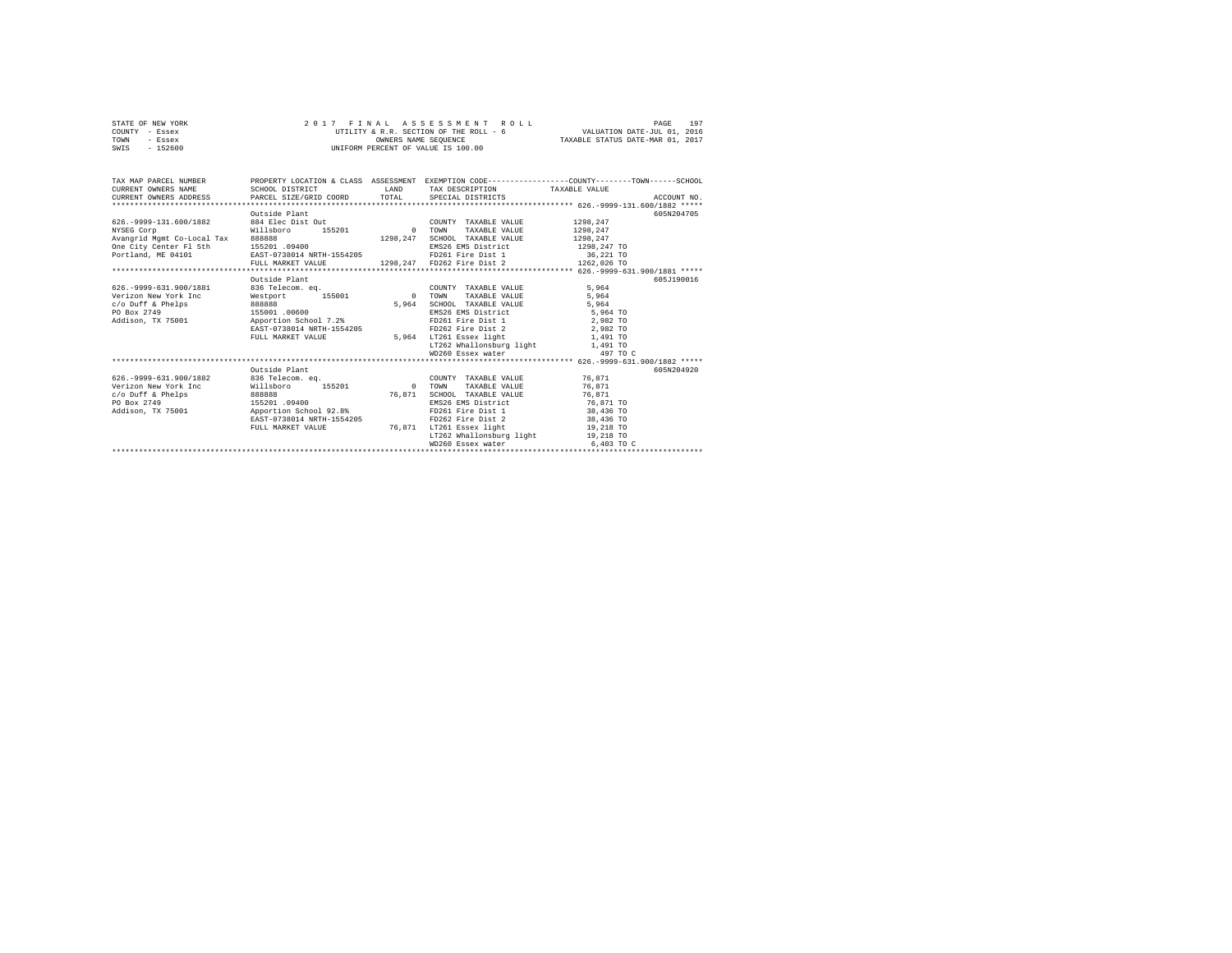| STATE OF NEW YORK | 2017 FINAL ASSESSMENT ROLL             | 197<br>PAGE                      |
|-------------------|----------------------------------------|----------------------------------|
| COUNTY - Essex    | UTILITY & R.R. SECTION OF THE ROLL - 6 | VALUATION DATE-JUL 01, 2016      |
| TOWN<br>- Essex   | OWNERS NAME SEOUENCE                   | TAXABLE STATUS DATE-MAR 01, 2017 |
| $-152600$<br>SWIS | UNIFORM PERCENT OF VALUE IS 100.00     |                                  |

| TAX MAP PARCEL NUMBER<br>CURRENT OWNERS NAME<br>.CURRENT OWNERS ADDRESS PARCEL SIZE/GRID COORD TOTAL SPECIAL DISTRICTS (201-1999-131-600/1882 ***** | SCHOOL DISTRICT                                       |          | LAND TAX DESCRIPTION TAXABLE VALUE                        | PROPERTY LOCATION & CLASS ASSESSMENT EXEMPTION CODE----------------COUNTY-------TOWN-----SCHOOL |            |
|-----------------------------------------------------------------------------------------------------------------------------------------------------|-------------------------------------------------------|----------|-----------------------------------------------------------|-------------------------------------------------------------------------------------------------|------------|
|                                                                                                                                                     | Outside Plant                                         |          |                                                           |                                                                                                 | 605N204705 |
| 626.-9999-131.600/1882 884 Elec Dist Out                                                                                                            |                                                       |          | COUNTY TAXABLE VALUE                                      | 1298.247                                                                                        |            |
| NYSEG Corp                                                                                                                                          | Willsboro<br>155201                                   | 0 TOWN   | TAXABLE VALUE                                             | 1298.247                                                                                        |            |
| Avangrid Mgmt Co-Local Tax 888888                                                                                                                   |                                                       | 1298.247 | SCHOOL TAXABLE VALUE                                      | 1298.247                                                                                        |            |
| One City Center Fl 5th                                                                                                                              | 155201 .09400                                         |          | EMS26 EMS District 1298, 247 TO                           |                                                                                                 |            |
| Portland, ME 04101                                                                                                                                  | EAST-0738014 NRTH-1554205 FD261 Fire Dist 1 36,221 TO |          |                                                           |                                                                                                 |            |
|                                                                                                                                                     |                                                       |          |                                                           |                                                                                                 |            |
|                                                                                                                                                     |                                                       |          |                                                           |                                                                                                 |            |
|                                                                                                                                                     | Outside Plant                                         |          |                                                           |                                                                                                 | 605J190016 |
| 626. - 9999-631.900/1881                                                                                                                            |                                                       |          |                                                           | 5.964                                                                                           |            |
| Verizon New York Inc.                                                                                                                               |                                                       |          |                                                           | 5.964                                                                                           |            |
| $c$ /o Duff & Phelps                                                                                                                                |                                                       | 5,964    | SCHOOL TAXABLE VALUE                                      | 5.964                                                                                           |            |
| PO Box 2749<br>Robin 7X 75001 155001 00600<br>Addison, TX 75001 28                                                                                  |                                                       |          | EMS26 EMS District 5,964 TO<br>FD261 Fire Dist 1 2,982 TO |                                                                                                 |            |
|                                                                                                                                                     |                                                       |          |                                                           |                                                                                                 |            |
|                                                                                                                                                     | EAST-0738014 NRTH-1554205                             |          | FD262 Fire Dist 2 2,982 TO                                |                                                                                                 |            |
|                                                                                                                                                     | FULL MARKET VALUE                                     |          | 5,964 LT261 Essex light 1,491 TO                          |                                                                                                 |            |
|                                                                                                                                                     |                                                       |          |                                                           |                                                                                                 |            |
|                                                                                                                                                     |                                                       |          |                                                           |                                                                                                 |            |
|                                                                                                                                                     |                                                       |          |                                                           |                                                                                                 |            |
|                                                                                                                                                     | Outside Plant                                         |          |                                                           |                                                                                                 | 605N204920 |
| 626. - 9999 - 631. 900/1882                                                                                                                         |                                                       |          |                                                           |                                                                                                 |            |
| Verizon New York Inc 	 Willsboro 	 155201 	 0 TOWN                                                                                                  |                                                       |          | TAXABLE VALUE                                             | 76.871                                                                                          |            |
| $c$ /o Duff & Phelps<br>888888                                                                                                                      |                                                       | 76,871   | SCHOOL TAXABLE VALUE 76,871                               |                                                                                                 |            |
| PO Box 2749                                                                                                                                         | 155201 .09400                                         |          | EMS26 EMS District 76,871 TO                              |                                                                                                 |            |
| Addison, TX 75001 Apportion School 92.8%                                                                                                            |                                                       |          | FD261 Fire Dist 1 38,436 TO                               |                                                                                                 |            |
|                                                                                                                                                     | EAST-0738014 NRTH-1554205                             |          | FD262 Fire Dist 2 38,436 TO                               |                                                                                                 |            |
|                                                                                                                                                     | FULL MARKET VALUE                                     | 76.871   | LT261 Essex light 19,218 TO                               |                                                                                                 |            |
|                                                                                                                                                     |                                                       |          | LT262 Whallonsburg light 19,218 TO                        |                                                                                                 |            |
|                                                                                                                                                     |                                                       |          | WD260 Essex water                                         | 6,403 TO C                                                                                      |            |
|                                                                                                                                                     |                                                       |          |                                                           |                                                                                                 |            |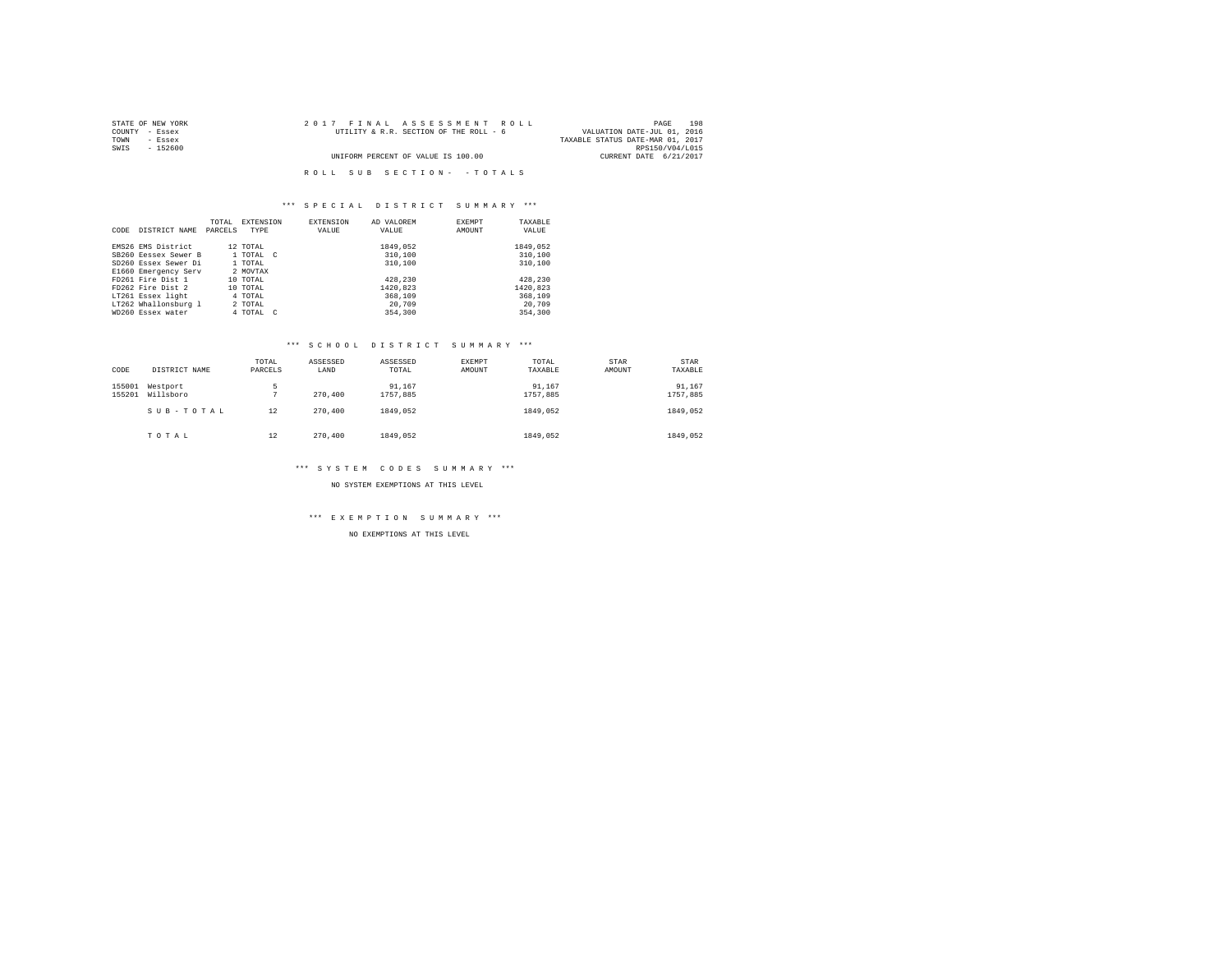| STATE OF NEW YORK | 2017 FINAL ASSESSMENT ROLL             | 198<br>PAGE                      |
|-------------------|----------------------------------------|----------------------------------|
| COUNTY - Essex    | UTILITY & R.R. SECTION OF THE ROLL - 6 | VALUATION DATE-JUL 01, 2016      |
| TOWN<br>- Essex   |                                        | TAXABLE STATUS DATE-MAR 01, 2017 |
| SWIS<br>- 152600  |                                        | RPS150/V04/L015                  |
|                   | UNIFORM PERCENT OF VALUE IS 100.00     | CURRENT DATE 6/21/2017           |
|                   |                                        |                                  |
|                   | ROLL SUB SECTION- - TOTALS             |                                  |

|      |                      | TOTAL   | <b>EXTENSION</b> | <b>EXTENSION</b> | AD VALOREM | EXEMPT | TAXABLE  |
|------|----------------------|---------|------------------|------------------|------------|--------|----------|
| CODE | DISTRICT NAME        | PARCELS | TYPE             | VALUE            | VALUE      | AMOUNT | VALUE    |
|      |                      |         |                  |                  |            |        |          |
|      | EMS26 EMS District   |         | 12 TOTAL         |                  | 1849.052   |        | 1849.052 |
|      | SB260 Eessex Sewer B |         | 1 TOTAL C        |                  | 310,100    |        | 310,100  |
|      | SD260 Essex Sewer Di |         | 1 TOTAL          |                  | 310,100    |        | 310,100  |
|      | E1660 Emergency Serv |         | 2 MOVTAX         |                  |            |        |          |
|      | FD261 Fire Dist 1    |         | 10 TOTAL         |                  | 428,230    |        | 428,230  |
|      | FD262 Fire Dist 2    |         | 10 TOTAL         |                  | 1420,823   |        | 1420.823 |
|      | LT261 Essex light    |         | 4 TOTAL          |                  | 368,109    |        | 368,109  |
|      | LT262 Whallonsburg 1 |         | 2 TOTAL          |                  | 20,709     |        | 20,709   |
|      | WD260 Essex water    |         | 4 TOTAL C        |                  | 354,300    |        | 354,300  |

#### \*\*\* S C H O O L D I S T R I C T S U M M A R Y \*\*\*

| CODE             | DISTRICT NAME         | TOTAL<br>PARCELS | ASSESSED<br>LAND | ASSESSED<br>TOTAL  | EXEMPT<br>AMOUNT | TOTAL<br>TAXABLE   | STAR<br>AMOUNT | <b>STAR</b><br>TAXABLE |
|------------------|-----------------------|------------------|------------------|--------------------|------------------|--------------------|----------------|------------------------|
| 155001<br>155201 | Westport<br>Willsboro | 5                | 270,400          | 91,167<br>1757.885 |                  | 91,167<br>1757.885 |                | 91,167<br>1757.885     |
|                  | SUB-TOTAL             | 12               | 270,400          | 1849.052           |                  | 1849.052           |                | 1849.052               |
|                  | TOTAL                 | 12               | 270,400          | 1849.052           |                  | 1849.052           |                | 1849.052               |

#### \*\*\* S Y S T E M C O D E S S U M M A R Y \*\*\*

NO SYSTEM EXEMPTIONS AT THIS LEVEL

## \*\*\* E X E M P T I O N S U M M A R Y \*\*\*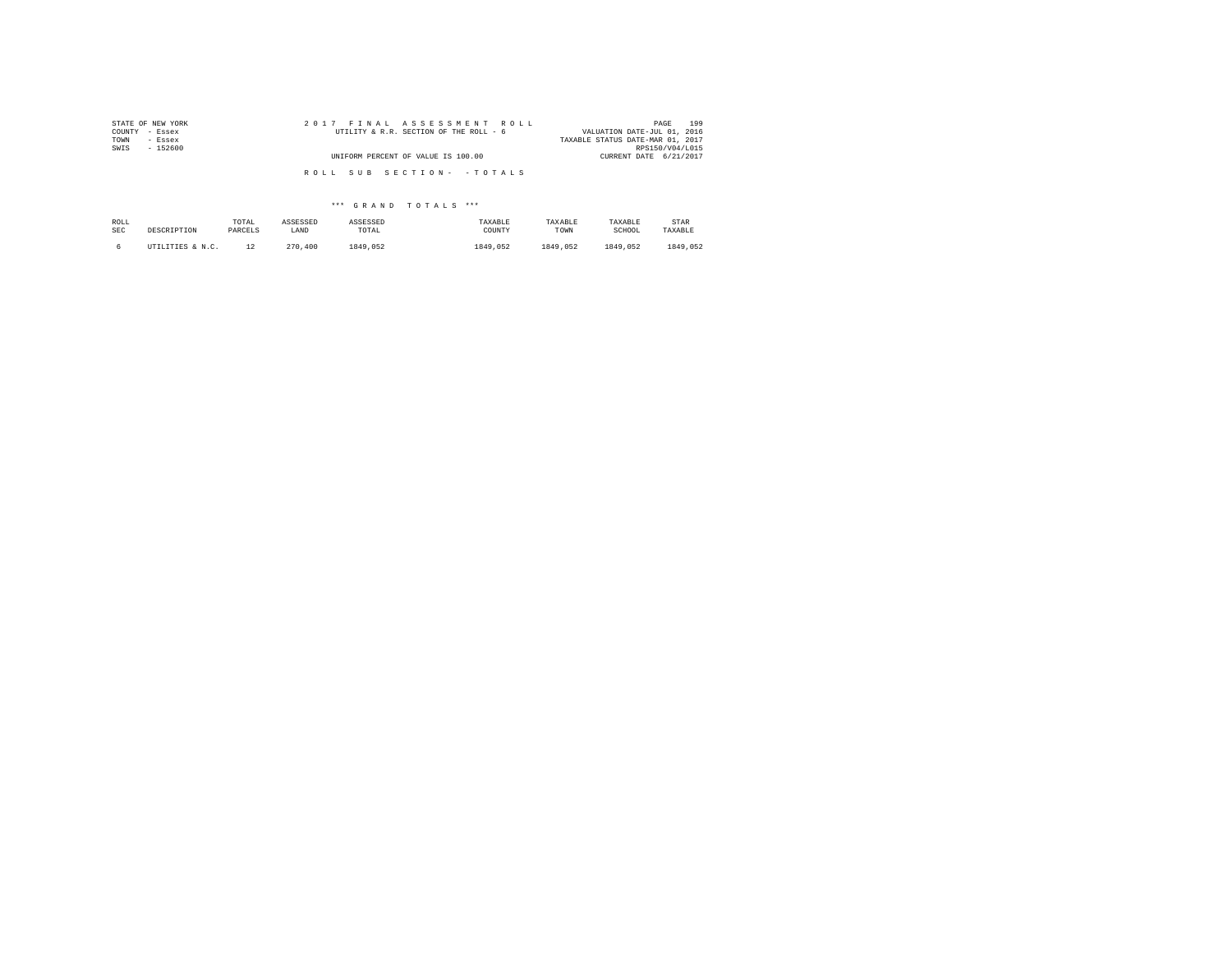| 2017 FINAL ASSESSMENT ROLL             | 199<br>PAGE                      |
|----------------------------------------|----------------------------------|
| UTILITY & R.R. SECTION OF THE ROLL - 6 | VALUATION DATE-JUL 01, 2016      |
|                                        | TAXABLE STATUS DATE-MAR 01, 2017 |
|                                        | RPS150/V04/L015                  |
| UNIFORM PERCENT OF VALUE IS 100.00     | CURRENT DATE 6/21/2017           |
|                                        |                                  |
|                                        |                                  |
|                                        | ROLL SUB SECTION- - TOTALS       |

| ROLL       | DESCRIPTION      | TOTAL   | ASSESSED | ASSESSED | TAXABLE  | TAXABLE  | TAXABLE  | STAR     |
|------------|------------------|---------|----------|----------|----------|----------|----------|----------|
| <b>SEC</b> |                  | PARCELS | LAND     | TOTAL    | COUNTY   | TOWN     | SCHOOL   | TAXABLE  |
|            | UTILITIES & N.C. |         | 270,400  | 1849.052 | 1849.052 | 1849.052 | 1849.052 | 1849.052 |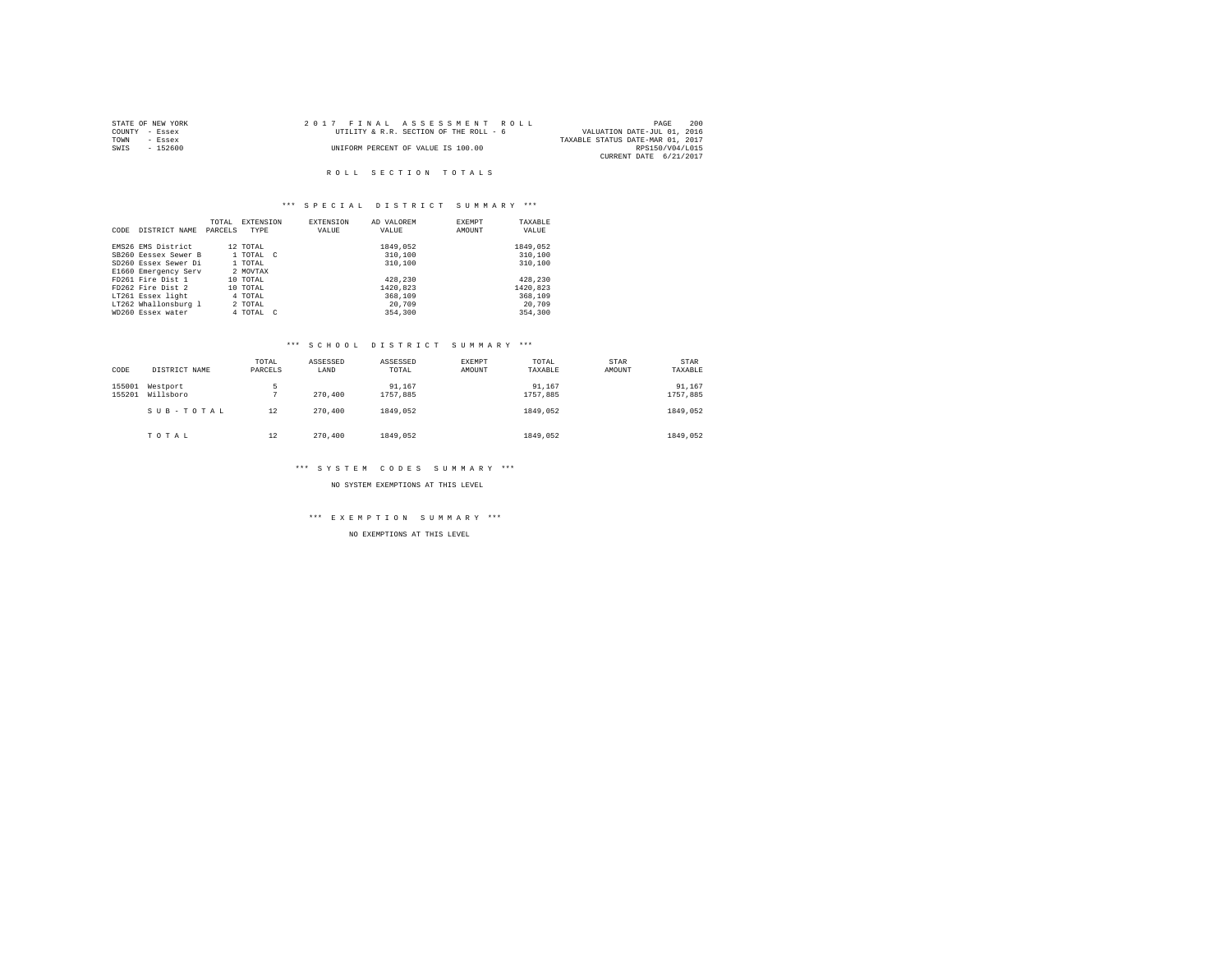| STATE OF NEW YORK | 2017 FINAL ASSESSMENT ROLL             | 200<br>PAGE                      |
|-------------------|----------------------------------------|----------------------------------|
| COUNTY - Essex    | UTILITY & R.R. SECTION OF THE ROLL - 6 | VALUATION DATE-JUL 01, 2016      |
| TOWN<br>- Essex   |                                        | TAXABLE STATUS DATE-MAR 01, 2017 |
| - 152600<br>SWIS  | UNIFORM PERCENT OF VALUE IS 100.00     | RPS150/V04/L015                  |
|                   |                                        | CURRENT DATE 6/21/2017           |

#### ROLL SECTION TOTALS

## \*\*\* S P E C I A L D I S T R I C T S U M M A R Y \*\*\*

|      |                      | TOTAL   | <b>EXTENSION</b> | EXTENSION | AD VALOREM | <b>EXEMPT</b> | TAXABLE  |
|------|----------------------|---------|------------------|-----------|------------|---------------|----------|
| CODE | DISTRICT NAME        | PARCELS | TYPE             | VALUE     | VALUE      | AMOUNT        | VALUE    |
|      |                      |         |                  |           |            |               |          |
|      | EMS26 EMS District   |         | 12 TOTAL         |           | 1849,052   |               | 1849.052 |
|      | SB260 Eessex Sewer B |         | 1 TOTAL C        |           | 310,100    |               | 310,100  |
|      | SD260 Essex Sewer Di |         | 1 TOTAL          |           | 310,100    |               | 310,100  |
|      | E1660 Emergency Serv |         | 2 MOVTAX         |           |            |               |          |
|      | FD261 Fire Dist 1    |         | 10 TOTAL         |           | 428,230    |               | 428,230  |
|      | FD262 Fire Dist 2    |         | 10 TOTAL         |           | 1420,823   |               | 1420,823 |
|      | LT261 Essex light    |         | 4 TOTAL          |           | 368,109    |               | 368,109  |
|      | LT262 Whallonsburg 1 |         | 2 TOTAL          |           | 20,709     |               | 20,709   |
|      | WD260 Essex water    |         | 4 TOTAL C        |           | 354,300    |               | 354,300  |

# \*\*\* S C H O O L D I S T R I C T S U M M A R Y \*\*\*

| CODE             | DISTRICT NAME         | TOTAL<br>PARCELS | ASSESSED<br>LAND | ASSESSED<br>TOTAL  | EXEMPT<br>AMOUNT | TOTAL<br>TAXABLE   | STAR<br>AMOUNT | <b>STAR</b><br>TAXABLE |
|------------------|-----------------------|------------------|------------------|--------------------|------------------|--------------------|----------------|------------------------|
| 155001<br>155201 | Westport<br>Willsboro | 5                | 270,400          | 91,167<br>1757.885 |                  | 91,167<br>1757.885 |                | 91,167<br>1757.885     |
|                  | SUB-TOTAL             | 12               | 270,400          | 1849.052           |                  | 1849.052           |                | 1849.052               |
|                  | TOTAL                 | 12               | 270,400          | 1849.052           |                  | 1849.052           |                | 1849.052               |

# \*\*\* S Y S T E M C O D E S S U M M A R Y \*\*\*

NO SYSTEM EXEMPTIONS AT THIS LEVEL

## \*\*\* E X E M P T I O N S U M M A R Y \*\*\*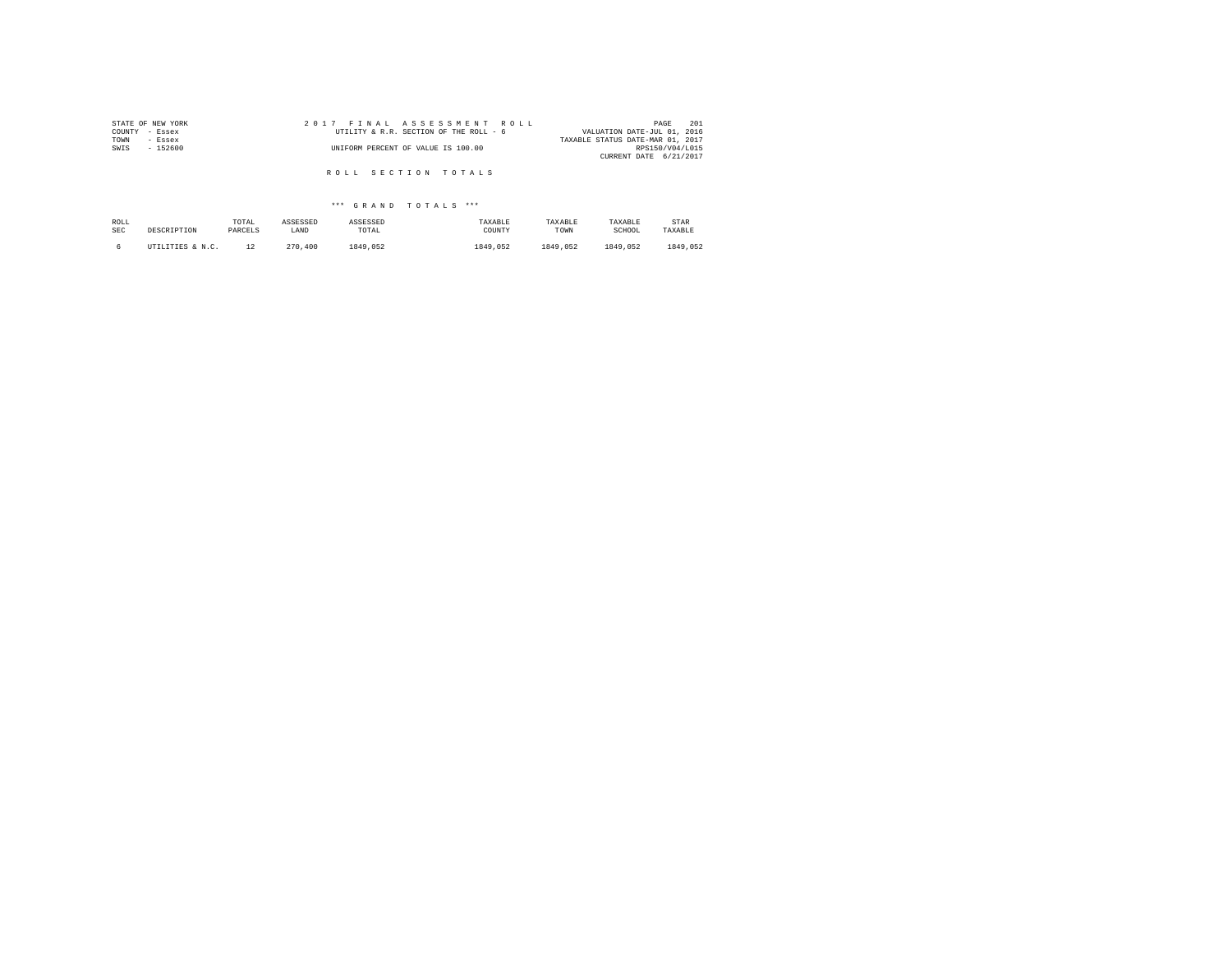| 2017 FINAL ASSESSMENT ROLL             | 201<br>PAGE                      |
|----------------------------------------|----------------------------------|
| UTILITY & R.R. SECTION OF THE ROLL - 6 | VALUATION DATE-JUL 01, 2016      |
|                                        | TAXABLE STATUS DATE-MAR 01, 2017 |
| UNIFORM PERCENT OF VALUE IS 100.00     | RPS150/V04/L015                  |
|                                        | CURRENT DATE 6/21/2017           |
|                                        |                                  |
|                                        | ROLL SECTION TOTALS              |

| ROLL       | DESCRIPTION      | TOTAL   | ASSESSED | ASSESSED | TAXABLE  | TAXABLE  | TAXABLE  | STAR     |
|------------|------------------|---------|----------|----------|----------|----------|----------|----------|
| <b>SEC</b> |                  | PARCELS | LAND     | TOTAL    | COUNTY   | TOWN     | SCHOOL   | TAXABLE  |
|            | UTILITIES & N.C. | 12      | 270,400  | 1849.052 | 1849.052 | 1849.052 | 1849.052 | 1849.052 |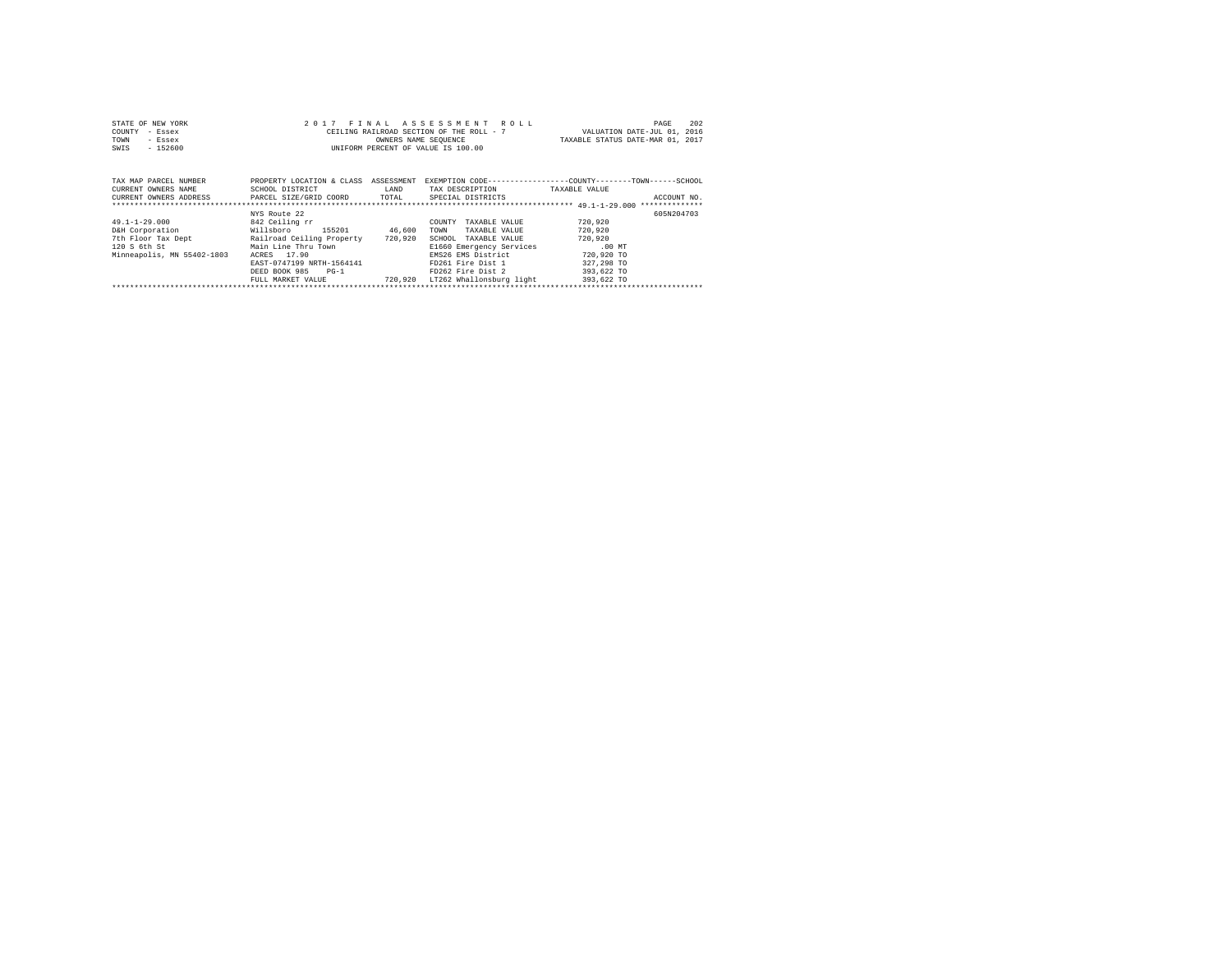| STATE OF NEW YORK | 2017 FINAL ASSESSMENT ROLL               | 202<br>PAGE                      |
|-------------------|------------------------------------------|----------------------------------|
| COUNTY - Essex    | CEILING RAILROAD SECTION OF THE ROLL - 7 | VALUATION DATE-JUL 01, 2016      |
| TOWN<br>- Essex   | OWNERS NAME SEOUENCE                     | TAXABLE STATUS DATE-MAR 01, 2017 |
| $-152600$<br>SWIS | UNIFORM PERCENT OF VALUE IS 100.00       |                                  |

| TAX MAP PARCEL NUMBER<br>CURRENT OWNERS NAME<br>CURRENT OWNERS ADDRESS                                         | PROPERTY LOCATION & CLASS<br>SCHOOL DISTRICT<br>PARCEL SIZE/GRID COORD                                                                                                                                | ASSESSMENT<br>LAND<br>TOTAL  | EXEMPTION CODE-----------------COUNTY-------TOWN------SCHOOL<br>TAX DESCRIPTION<br>SPECIAL DISTRICTS                                                                                                    | TAXABLE VALUE                                                                                     | ACCOUNT NO. |
|----------------------------------------------------------------------------------------------------------------|-------------------------------------------------------------------------------------------------------------------------------------------------------------------------------------------------------|------------------------------|---------------------------------------------------------------------------------------------------------------------------------------------------------------------------------------------------------|---------------------------------------------------------------------------------------------------|-------------|
| $49.1 - 1 - 29.000$<br>D&H Corporation<br>7th Floor Tax Dept<br>$120$ S $6th$ St<br>Minneapolis, MN 55402-1803 | NYS Route 22<br>842 Ceiling rr<br>155201<br>Willsboro<br>Railroad Ceiling Property<br>Main Line Thru Town<br>ACRES 17.90<br>EAST-0747199 NRTH-1564141<br>DEED BOOK 985<br>$PG-1$<br>FULL MARKET VALUE | 46,600<br>720,920<br>720,920 | TAXABLE VALUE<br>COUNTY<br>TAXABLE VALUE<br>TOWN<br>SCHOOL<br>TAXABLE VALUE<br>E1660 Emergency Services<br>EMS26 EMS District<br>FD261 Fire Dist 1<br>FD262 Fire Dist 2<br>LT262 Whallonsburg light<br> | 720,920<br>720,920<br>720,920<br>$.00$ MT<br>720,920 TO<br>327,298 TO<br>393,622 TO<br>393,622 TO | 605N204703  |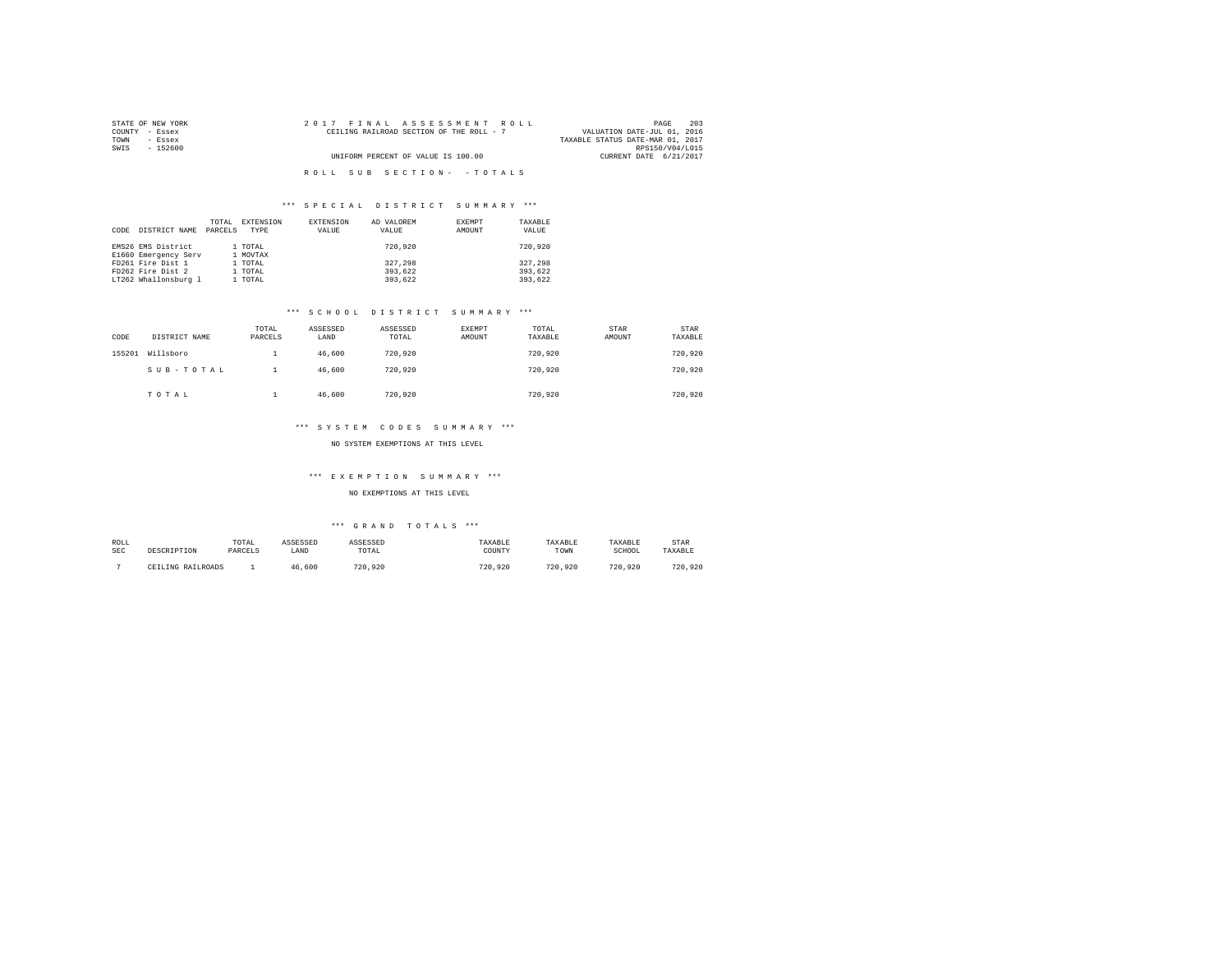| STATE OF NEW YORK | 2017 FINAL ASSESSMENT ROLL               | 203<br>PAGE                      |
|-------------------|------------------------------------------|----------------------------------|
| COUNTY - Essex    | CEILING RAILROAD SECTION OF THE ROLL - 7 | VALUATION DATE-JUL 01, 2016      |
| TOWN<br>- Essex   |                                          | TAXABLE STATUS DATE-MAR 01, 2017 |
| SWIS<br>- 152600  |                                          | RPS150/V04/L015                  |
|                   | UNIFORM PERCENT OF VALUE IS 100.00       | CURRENT DATE 6/21/2017           |
|                   |                                          |                                  |
|                   | ROLL SUB SECTION- - TOTALS               |                                  |

| CODE | DISTRICT NAME        | TOTAL<br>PARCELS | EXTENSION<br>TYPE | EXTENSION<br>VALUE | AD VALOREM<br>VALUE | EXEMPT<br>AMOUNT | TAXABLE<br>VALUE |
|------|----------------------|------------------|-------------------|--------------------|---------------------|------------------|------------------|
|      | EMS26 EMS District   |                  | 1 TOTAL           |                    | 720,920             |                  | 720,920          |
|      | E1660 Emergency Serv |                  | 1 MOVTAX          |                    |                     |                  |                  |
|      | FD261 Fire Dist 1    |                  | 1 TOTAL           |                    | 327.298             |                  | 327.298          |
|      | FD262 Fire Dist 2    |                  | 1 TOTAL           |                    | 393,622             |                  | 393,622          |
|      | LT262 Whallonsburg 1 |                  | 1 TOTAL           |                    | 393,622             |                  | 393,622          |

#### \*\*\* S C H O O L D I S T R I C T S U M M A R Y \*\*\*

| CODE   | DISTRICT NAME | TOTAL<br>PARCELS | ASSESSED<br>LAND | ASSESSED<br>TOTAL | <b>EXEMPT</b><br>AMOUNT | TOTAL<br>TAXABLE | STAR<br>AMOUNT | STAR<br>TAXABLE |
|--------|---------------|------------------|------------------|-------------------|-------------------------|------------------|----------------|-----------------|
| 155201 | Willsboro     |                  | 46,600           | 720,920           |                         | 720.920          |                | 720,920         |
|        | SUB-TOTAL     |                  | 46,600           | 720,920           |                         | 720.920          |                | 720,920         |
|        | TOTAL         | ۰                | 46,600           | 720,920           |                         | 720.920          |                | 720.920         |

#### \*\*\* S Y S T E M C O D E S S U M M A R Y \*\*\*

# NO SYSTEM EXEMPTIONS AT THIS LEVEL

#### \*\*\* E X E M P T I O N S U M M A R Y \*\*\*

#### NO EXEMPTIONS AT THIS LEVEL

| ROLL | DESCRIPTION       | TOTAL   | ASSESSED | ASSESSED | TAXABLE | TAXABLE | TAXABLE | STAR    |
|------|-------------------|---------|----------|----------|---------|---------|---------|---------|
| SEC  |                   | PARCELS | LAND     | TOTAL    | COUNTY  | TOWN    | SCHOOL  | TAXABLE |
|      | CEILING RAILROADS |         | 46,600   | 720.920  | 720.920 | 720.920 | 720.920 | 720,920 |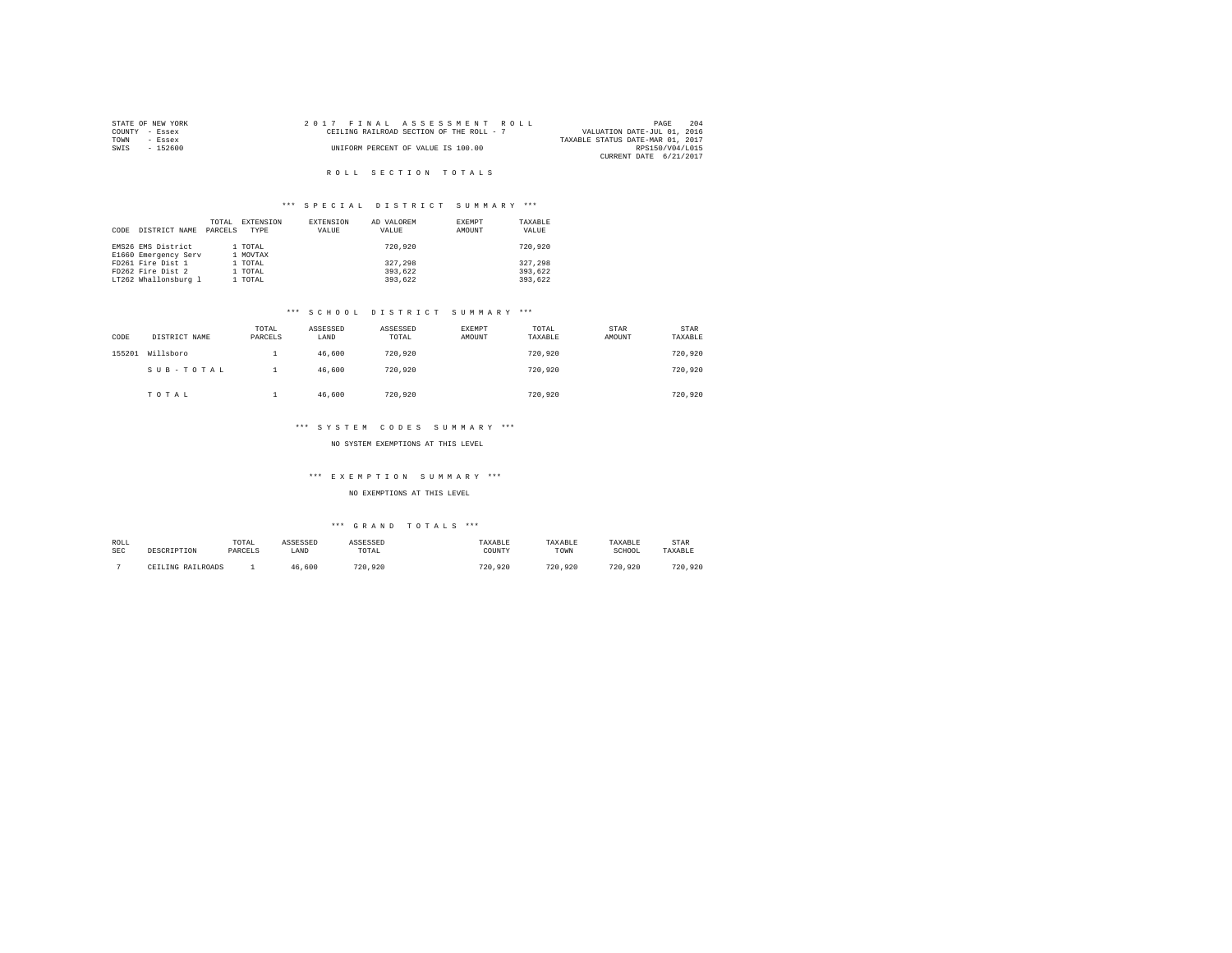|      | STATE OF NEW YORK | 2017 FINAL ASSESSMENT ROLL |  |                                          |  |  |  |                                  |                 | PAGE | 204 |
|------|-------------------|----------------------------|--|------------------------------------------|--|--|--|----------------------------------|-----------------|------|-----|
|      | COUNTY - Essex    |                            |  | CEILING RAILROAD SECTION OF THE ROLL - 7 |  |  |  | VALUATION DATE-JUL 01, 2016      |                 |      |     |
| TOWN | - Essex           |                            |  |                                          |  |  |  | TAXABLE STATUS DATE-MAR 01, 2017 |                 |      |     |
| SWIS | - 152600          |                            |  | UNIFORM PERCENT OF VALUE IS 100.00       |  |  |  |                                  | RPS150/V04/L015 |      |     |
|      |                   |                            |  |                                          |  |  |  | CURRENT DATE 6/21/2017           |                 |      |     |

## R O L L S E C T I O N T O T A L S

## \*\*\* S P E C I A L D I S T R I C T S U M M A R Y \*\*\*

| CODE | DISTRICT NAME        | TOTAL<br>PARCELS | EXTENSION<br>TYPE | EXTENSION<br>VALUE | AD VALOREM<br>VALUE | EXEMPT<br>AMOUNT | TAXABLE<br>VALUE |
|------|----------------------|------------------|-------------------|--------------------|---------------------|------------------|------------------|
|      | EMS26 EMS District   |                  | 1 TOTAL           |                    | 720,920             |                  | 720,920          |
|      | E1660 Emergency Serv |                  | 1 MOVTAX          |                    |                     |                  |                  |
|      | FD261 Fire Dist 1    |                  | 1 TOTAL           |                    | 327,298             |                  | 327.298          |
|      | FD262 Fire Dist 2    |                  | 1 TOTAL           |                    | 393,622             |                  | 393.622          |
|      | LT262 Whallonsburg 1 |                  | 1 TOTAL           |                    | 393,622             |                  | 393.622          |

#### \*\*\* S C H O O L D I S T R I C T S U M M A R Y \*\*\*

| CODE   | DISTRICT NAME | TOTAL<br>PARCELS | ASSESSED<br>LAND | ASSESSED<br>TOTAL | <b>EXEMPT</b><br>AMOUNT | TOTAL<br>TAXABLE | STAR<br>AMOUNT | STAR<br>TAXABLE |
|--------|---------------|------------------|------------------|-------------------|-------------------------|------------------|----------------|-----------------|
| 155201 | Willsboro     |                  | 46,600           | 720,920           |                         | 720.920          |                | 720,920         |
|        | SUB-TOTAL     |                  | 46.600           | 720,920           |                         | 720.920          |                | 720,920         |
|        | TOTAL         | ۰                | 46,600           | 720,920           |                         | 720.920          |                | 720,920         |

#### \*\*\* S Y S T E M C O D E S S U M M A R Y \*\*\*

#### NO SYSTEM EXEMPTIONS AT THIS LEVEL

#### \*\*\* E X E M P T I O N S U M M A R Y \*\*\*

#### NO EXEMPTIONS AT THIS LEVEL

| ROLL       | DESCRIPTION       | TOTAL   | ASSESSED | <b><i>ASSESSED</i></b> | TAXABLE | TAXABLE | TAXABLE | STAR    |
|------------|-------------------|---------|----------|------------------------|---------|---------|---------|---------|
| <b>SEC</b> |                   | PARCELS | LAND     | TOTAL                  | COUNTY  | TOWN    | SCHOOL  | TAXABLE |
|            | CEILING RAILROADS |         | 46.600   | 720.920                | 720.920 | 720.920 | 720.920 | 720.920 |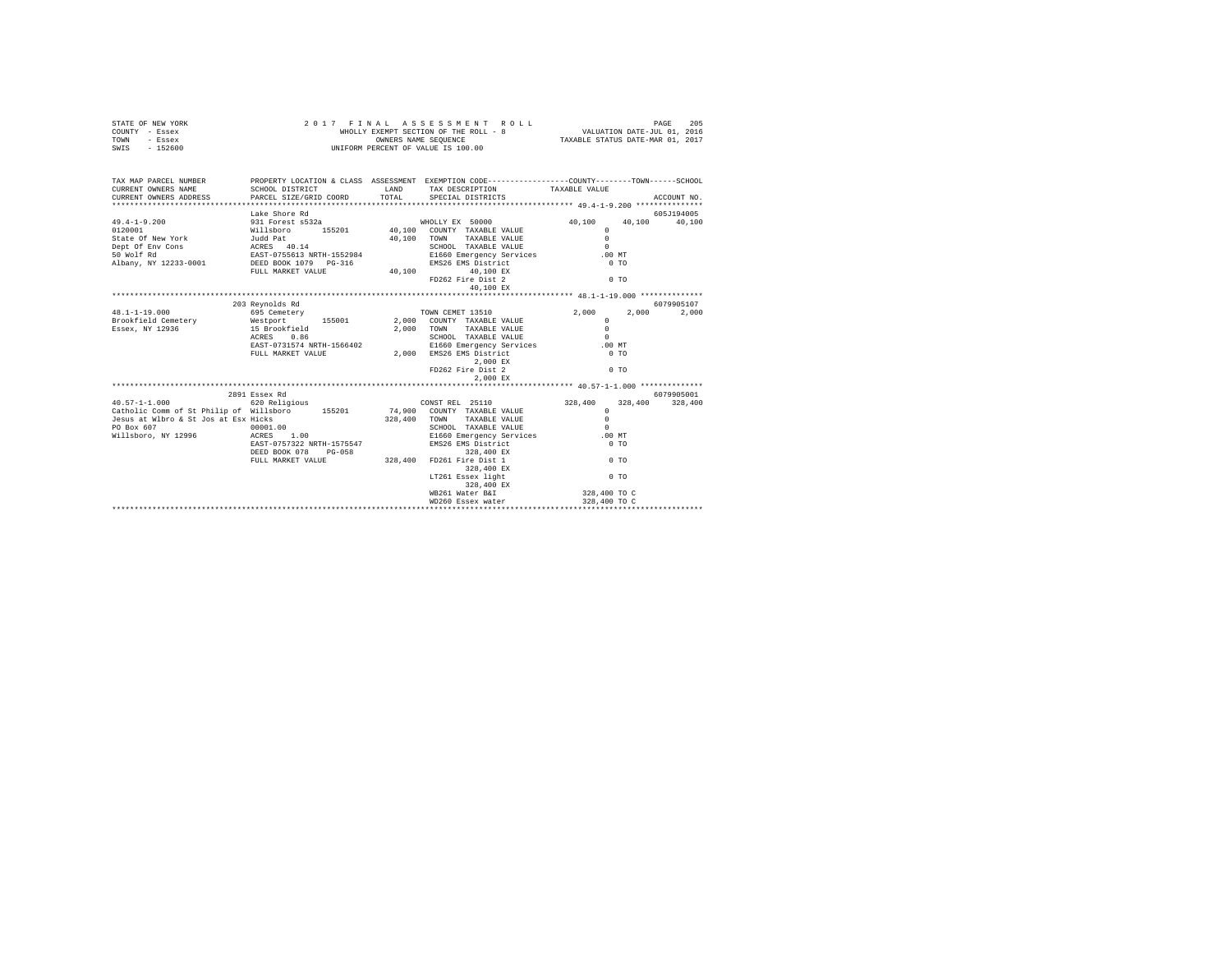|      | STATE OF NEW YORK |  | 2017 FINAL ASSESSMENT ROLL            | PAGE                             | 205 |
|------|-------------------|--|---------------------------------------|----------------------------------|-----|
|      | COUNTY - Essex    |  | WHOLLY EXEMPT SECTION OF THE ROLL - 8 | VALUATION DATE-JUL 01, 2016      |     |
| TOWN | - Essex           |  | OWNERS NAME SEOUENCE                  | TAXABLE STATUS DATE-MAR 01, 2017 |     |
| SWIS | - 152600          |  | UNIFORM PERCENT OF VALUE IS 100.00    |                                  |     |

| TAX MAP PARCEL NUMBER<br>$\begin{array}{lllll} \texttt{CURERENT}\quad \texttt{OMNERS} & \texttt{NAUB} & \texttt{SCHOOL}\quad \texttt{DISTRICT} & \texttt{LAND} & \texttt{TAX} & \texttt{DSECEIPTION} & \texttt{TAXABLE} & \texttt{VALUE} & \texttt{ACCOURT NO.} \\ \texttt{CURRENT}\quad \texttt{OMNESS} & \texttt{PARECE} & \texttt{GPEH} & \texttt{SPECTI} & \texttt{SPECTIPTON} & \texttt{SPECTIPTON} & \texttt{ACCOURT NO.} & \texttt{ACCOURT} & \texttt{ACCINF} & \texttt{A$ |                 | PROPERTY LOCATION & CLASS ASSESSMENT EXEMPTION CODE----------------COUNTY-------TOWN------SCHOOL                                                                                  |              |            |
|-----------------------------------------------------------------------------------------------------------------------------------------------------------------------------------------------------------------------------------------------------------------------------------------------------------------------------------------------------------------------------------------------------------------------------------------------------------------------------------|-----------------|-----------------------------------------------------------------------------------------------------------------------------------------------------------------------------------|--------------|------------|
|                                                                                                                                                                                                                                                                                                                                                                                                                                                                                   |                 |                                                                                                                                                                                   |              |            |
|                                                                                                                                                                                                                                                                                                                                                                                                                                                                                   | Lake Shore Rd   |                                                                                                                                                                                   |              | 605J194005 |
| 49.4-1-9.200 931 Forest s532a WHOLLY EX 50000 40,100 40,100 40,100                                                                                                                                                                                                                                                                                                                                                                                                                |                 |                                                                                                                                                                                   |              |            |
|                                                                                                                                                                                                                                                                                                                                                                                                                                                                                   |                 |                                                                                                                                                                                   |              |            |
|                                                                                                                                                                                                                                                                                                                                                                                                                                                                                   |                 |                                                                                                                                                                                   |              |            |
|                                                                                                                                                                                                                                                                                                                                                                                                                                                                                   |                 |                                                                                                                                                                                   |              |            |
|                                                                                                                                                                                                                                                                                                                                                                                                                                                                                   |                 |                                                                                                                                                                                   |              |            |
|                                                                                                                                                                                                                                                                                                                                                                                                                                                                                   |                 |                                                                                                                                                                                   |              |            |
|                                                                                                                                                                                                                                                                                                                                                                                                                                                                                   |                 |                                                                                                                                                                                   |              |            |
|                                                                                                                                                                                                                                                                                                                                                                                                                                                                                   |                 | FD262 Fire Dist 2                                                                                                                                                                 | $0$ TO       |            |
|                                                                                                                                                                                                                                                                                                                                                                                                                                                                                   |                 |                                                                                                                                                                                   |              |            |
|                                                                                                                                                                                                                                                                                                                                                                                                                                                                                   |                 |                                                                                                                                                                                   |              |            |
|                                                                                                                                                                                                                                                                                                                                                                                                                                                                                   | 203 Revnolds Rd |                                                                                                                                                                                   |              | 6079905107 |
| $48.1 - 1 - 19.000$                                                                                                                                                                                                                                                                                                                                                                                                                                                               |                 |                                                                                                                                                                                   |              | 2,000      |
|                                                                                                                                                                                                                                                                                                                                                                                                                                                                                   |                 |                                                                                                                                                                                   | $\Omega$     |            |
|                                                                                                                                                                                                                                                                                                                                                                                                                                                                                   |                 |                                                                                                                                                                                   |              |            |
|                                                                                                                                                                                                                                                                                                                                                                                                                                                                                   | ACRES 0.86      |                                                                                                                                                                                   |              |            |
|                                                                                                                                                                                                                                                                                                                                                                                                                                                                                   |                 |                                                                                                                                                                                   |              |            |
|                                                                                                                                                                                                                                                                                                                                                                                                                                                                                   |                 |                                                                                                                                                                                   |              |            |
|                                                                                                                                                                                                                                                                                                                                                                                                                                                                                   |                 |                                                                                                                                                                                   |              |            |
|                                                                                                                                                                                                                                                                                                                                                                                                                                                                                   |                 | 2,000 EX<br>ED262 Fire Dist 2                                                                                                                                                     | 0.70         |            |
|                                                                                                                                                                                                                                                                                                                                                                                                                                                                                   |                 | 2,000 EX                                                                                                                                                                          |              |            |
|                                                                                                                                                                                                                                                                                                                                                                                                                                                                                   |                 |                                                                                                                                                                                   |              |            |
|                                                                                                                                                                                                                                                                                                                                                                                                                                                                                   | 2891 Essex Rd   |                                                                                                                                                                                   |              | 6079905001 |
|                                                                                                                                                                                                                                                                                                                                                                                                                                                                                   |                 |                                                                                                                                                                                   |              |            |
|                                                                                                                                                                                                                                                                                                                                                                                                                                                                                   |                 |                                                                                                                                                                                   |              |            |
|                                                                                                                                                                                                                                                                                                                                                                                                                                                                                   |                 |                                                                                                                                                                                   |              |            |
|                                                                                                                                                                                                                                                                                                                                                                                                                                                                                   |                 |                                                                                                                                                                                   |              |            |
|                                                                                                                                                                                                                                                                                                                                                                                                                                                                                   |                 | SCHOOL TAXABLE VALUE                                                                                                                                                              | $\Omega$     |            |
| PO Box 607 00001.00<br>Willsboro, NY 12996 ACRES 1.00                                                                                                                                                                                                                                                                                                                                                                                                                             |                 | E1660 Emergency Services .00 MT                                                                                                                                                   |              |            |
|                                                                                                                                                                                                                                                                                                                                                                                                                                                                                   |                 | NATEL 197322 NRTH-1575547 2008<br>EAST-0757322 NRTH-1575547 2008<br>DEED BOOK 078 PG-058 328,400 PD261 Fire bist 1 0 TO<br>PULL MARKET VALUE 328,400 PD261 Fire bist 1 328,400 EX |              |            |
|                                                                                                                                                                                                                                                                                                                                                                                                                                                                                   |                 |                                                                                                                                                                                   |              |            |
|                                                                                                                                                                                                                                                                                                                                                                                                                                                                                   |                 |                                                                                                                                                                                   |              |            |
|                                                                                                                                                                                                                                                                                                                                                                                                                                                                                   |                 |                                                                                                                                                                                   |              |            |
|                                                                                                                                                                                                                                                                                                                                                                                                                                                                                   |                 | LT261 Essex light                                                                                                                                                                 | $0$ TO       |            |
|                                                                                                                                                                                                                                                                                                                                                                                                                                                                                   |                 | 328,400 EX                                                                                                                                                                        |              |            |
|                                                                                                                                                                                                                                                                                                                                                                                                                                                                                   |                 | WB261 Water B&I                                                                                                                                                                   | 328,400 TO C |            |
|                                                                                                                                                                                                                                                                                                                                                                                                                                                                                   |                 | WD260 Essex water                                                                                                                                                                 | 328,400 TO C |            |
|                                                                                                                                                                                                                                                                                                                                                                                                                                                                                   |                 |                                                                                                                                                                                   |              |            |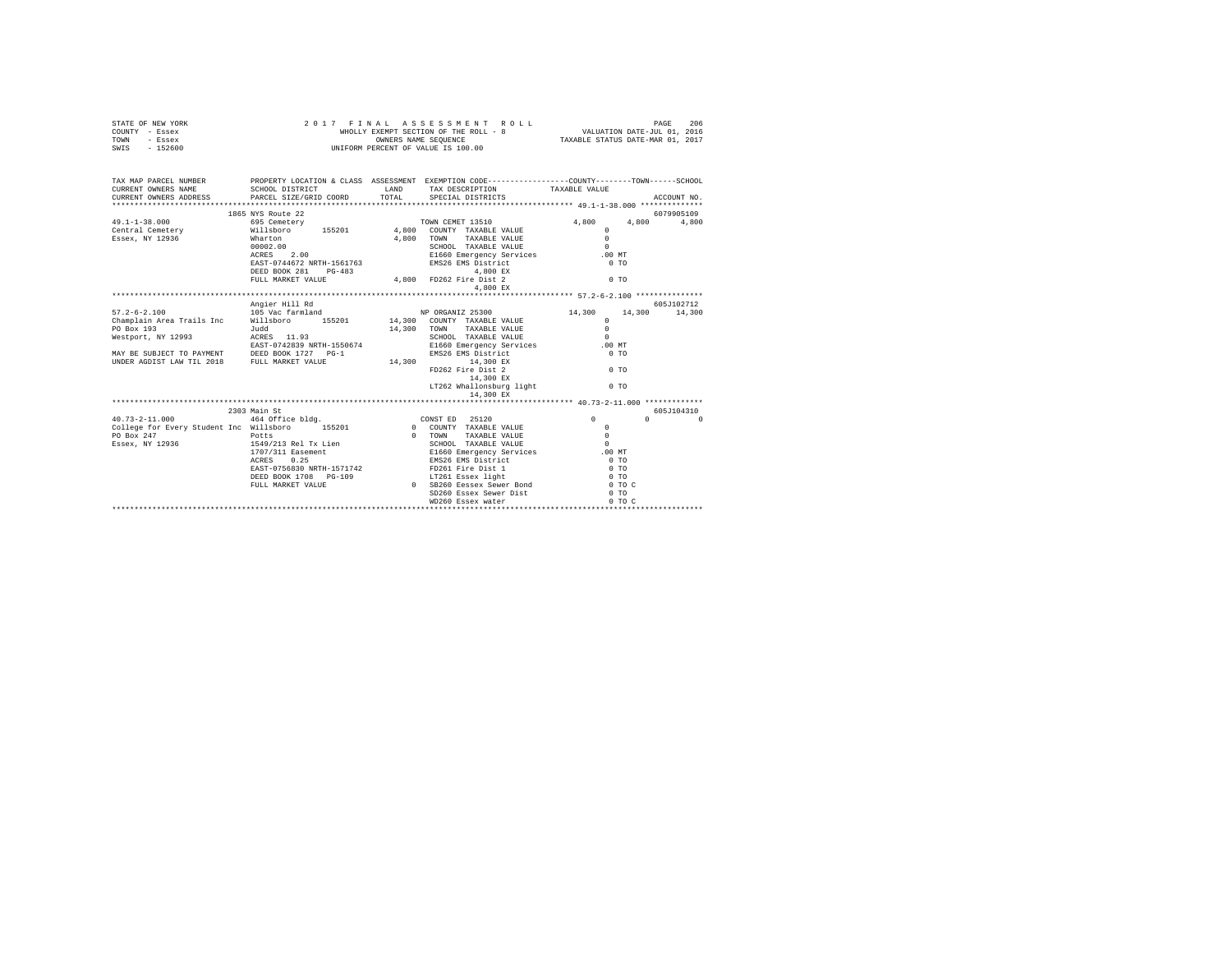| STATE OF NEW YORK         | 2017 FINAL                                                                       |        | ASSESSMENT ROLL                                                                                |                                                                 | PAGE     | 206         |
|---------------------------|----------------------------------------------------------------------------------|--------|------------------------------------------------------------------------------------------------|-----------------------------------------------------------------|----------|-------------|
| COUNTY - Essex            |                                                                                  |        | WHOLLY EXEMPT SECTION OF THE ROLL - 8<br>OWNERS NAME SEQUENCE                                  | VALUATION DATE-JUL 01, 2016<br>TAXABLE STATUS DATE-MAR 01, 2017 |          |             |
| TOWN<br>- Essex           |                                                                                  |        |                                                                                                |                                                                 |          |             |
| SWIS - 152600             |                                                                                  |        | UNIFORM PERCENT OF VALUE IS 100.00                                                             |                                                                 |          |             |
|                           |                                                                                  |        |                                                                                                |                                                                 |          |             |
|                           |                                                                                  |        |                                                                                                |                                                                 |          |             |
| TAX MAP PARCEL NUMBER     |                                                                                  |        | PROPERTY LOCATION & CLASS ASSESSMENT EXEMPTION CODE---------------COUNTY-------TOWN-----SCHOOL |                                                                 |          |             |
| CURRENT OWNERS NAME       | SCHOOL DISTRICT                                                                  |        | LAND TAX DESCRIPTION TAXABLE VALUE                                                             |                                                                 |          |             |
| CURRENT OWNERS ADDRESS    | PARCEL SIZE/GRID COORD                                                           |        | TOTAL SPECIAL DISTRICTS                                                                        |                                                                 |          | ACCOUNT NO. |
|                           |                                                                                  |        |                                                                                                |                                                                 |          |             |
|                           | 1865 NYS Route 22                                                                |        |                                                                                                |                                                                 |          | 6079905109  |
| $49.1 - 1 - 38.000$       | 695 Cemetery                                                                     |        | TOWN CEMET 13510                                                                               | 4,800                                                           | 4,800    | 4,800       |
| Central Cemetery          |                                                                                  |        | Willsboro 155201 4,800 COUNTY TAXABLE VALUE                                                    | $^{\circ}$                                                      |          |             |
| Essex, NY 12936           | Wharton                                                                          | 4,800  | TAXABLE VALUE<br>TOWN                                                                          | $\Omega$                                                        |          |             |
|                           | 00002.00                                                                         |        | SCHOOL TAXABLE VALUE                                                                           | $\Omega$                                                        |          |             |
|                           | ACRES 2.00                                                                       |        | E1660 Emergency Services                                                                       | $.00$ MT                                                        |          |             |
|                           | EAST-0744672 NRTH-1561763                                                        |        | EMS26 EMS District                                                                             | 0T0                                                             |          |             |
|                           | DEED BOOK 281 PG-483                                                             |        | 4,800 EX                                                                                       |                                                                 |          |             |
|                           | FULL MARKET VALUE                                                                |        | 4,800 FD262 Fire Dist 2                                                                        | 0.70                                                            |          |             |
|                           |                                                                                  |        | 4,800 EX                                                                                       |                                                                 |          |             |
|                           |                                                                                  |        |                                                                                                |                                                                 |          |             |
|                           | Angier Hill Rd                                                                   |        |                                                                                                |                                                                 |          | 605-7102712 |
| $57.2 - 6 - 2.100$        | 105 Vac farmland                                                                 |        | NP ORGANIZ 25300                                                                               | 14,300                                                          | 14,300   | 14,300      |
| Champlain Area Trails Inc |                                                                                  |        | Willsboro 155201 14,300 COUNTY TAXABLE VALUE                                                   | $\Omega$                                                        |          |             |
| PO Box 193                | Judd                                                                             | 14,300 | TAXABLE VALUE<br><b>TOWN</b>                                                                   | $\Omega$                                                        |          |             |
| Westport, NY 12993        | ACRES 11.93                                                                      |        | SCHOOL TAXABLE VALUE                                                                           | $\Omega$                                                        |          |             |
|                           | EAST-0742839 NRTH-1550674                                                        |        | E1660 Emergency Services                                                                       | $.00$ MT                                                        |          |             |
| MAY BE SUBJECT TO PAYMENT | DEED BOOK 1727 PG-1                                                              |        | EMS26 EMS District                                                                             | 0.70                                                            |          |             |
| UNDER AGDIST LAW TIL 2018 | FULL MARKET VALUE                                                                |        | 14,300 14,300 EX                                                                               |                                                                 |          |             |
|                           |                                                                                  |        | FD262 Fire Dist 2                                                                              | 0.70                                                            |          |             |
|                           |                                                                                  |        | 14,300 EX                                                                                      |                                                                 |          |             |
|                           |                                                                                  |        | LT262 Whallonsburg light                                                                       | 0.70                                                            |          |             |
|                           |                                                                                  |        | 14,300 EX                                                                                      |                                                                 |          |             |
|                           |                                                                                  |        |                                                                                                |                                                                 |          |             |
|                           | 2303 Main St                                                                     |        |                                                                                                |                                                                 |          | 605J104310  |
| $40.73 - 2 - 11.000$      | 464 Office bldg.                                                                 |        | CONST ED 25120                                                                                 | $\Omega$                                                        | $\Omega$ | $\Omega$    |
|                           | College for Every Student Ing Willsboro 155201 1560 000 000 COUNTY TAXABLE VALUE |        |                                                                                                | $\sim$ 0                                                        |          |             |

|                                         | 2303 Main St              |          |                              |            | 605J104310 |
|-----------------------------------------|---------------------------|----------|------------------------------|------------|------------|
| 40.73-2-11.000                          | 464 Office bldg.          |          | 25120<br>CONST ED            |            | $\Omega$   |
| College for Every Student Inc Willsboro | 155201                    | 0        | TAXABLE VALUE<br>COUNTY      |            |            |
| PO Box 247                              | Potts                     |          | TAXABLE VALUE<br><b>TOWN</b> |            |            |
| Essex, NY 12936                         | 1549/213 Rel Tx Lien      |          | SCHOOL TAXABLE VALUE         |            |            |
|                                         | 1707/311 Easement         |          | E1660 Emergency Services     | .00MT      |            |
|                                         | 0.25<br>ACRES             |          | EMS26 EMS District           | $0$ TO     |            |
|                                         | EAST-0756830 NRTH-1571742 |          | FD261 Fire Dist 1            | $0$ TO     |            |
|                                         | DEED BOOK 1708 PG-109     |          | LT261 Essex light            | 0.70       |            |
|                                         | FULL MARKET VALUE         | $\Omega$ | SB260 Eessex Sewer Bond      | $0$ TO $C$ |            |
|                                         |                           |          | SD260 Essex Sewer Dist       | 0 TO       |            |
|                                         |                           |          | WD260 Essex water            | 0.70.0     |            |
|                                         |                           |          |                              |            |            |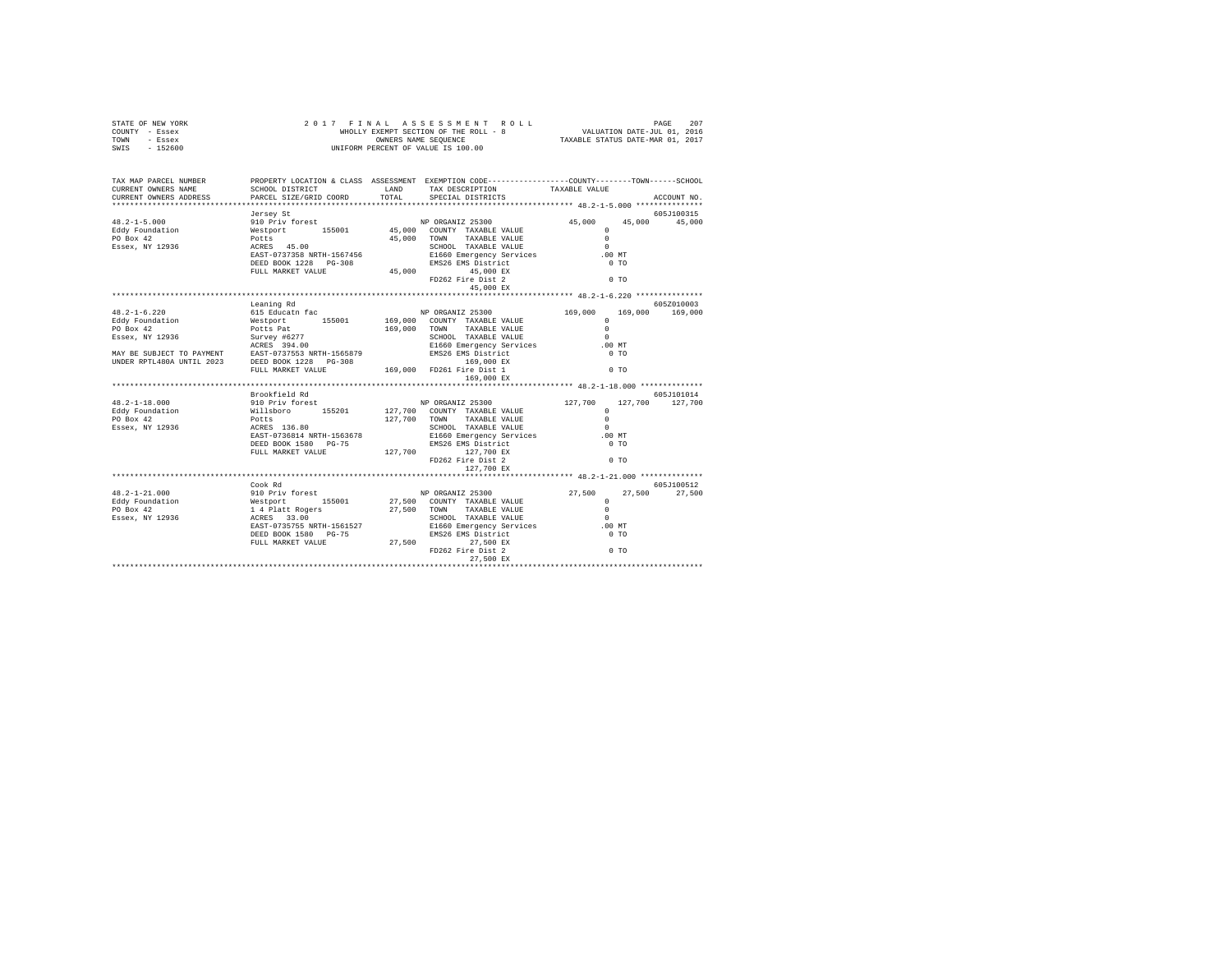| STATE OF NEW YORK                                                                                                                                                                                                                                                                                                                                                                                       |                                           |                                                                                                                           |                      |             |
|---------------------------------------------------------------------------------------------------------------------------------------------------------------------------------------------------------------------------------------------------------------------------------------------------------------------------------------------------------------------------------------------------------|-------------------------------------------|---------------------------------------------------------------------------------------------------------------------------|----------------------|-------------|
| COUNTY - Essex                                                                                                                                                                                                                                                                                                                                                                                          |                                           |                                                                                                                           |                      |             |
| TOWN - Essex                                                                                                                                                                                                                                                                                                                                                                                            |                                           |                                                                                                                           |                      |             |
| SWIS - 152600                                                                                                                                                                                                                                                                                                                                                                                           |                                           |                                                                                                                           |                      |             |
|                                                                                                                                                                                                                                                                                                                                                                                                         |                                           |                                                                                                                           |                      |             |
|                                                                                                                                                                                                                                                                                                                                                                                                         |                                           |                                                                                                                           |                      |             |
|                                                                                                                                                                                                                                                                                                                                                                                                         |                                           |                                                                                                                           |                      |             |
| TAX MAP PARCEL NUMBER                                                                                                                                                                                                                                                                                                                                                                                   |                                           | PROPERTY LOCATION & CLASS ASSESSMENT EXEMPTION CODE----------------COUNTY-------TOWN------SCHOOL                          |                      |             |
| CURRENT OWNERS NAME                                                                                                                                                                                                                                                                                                                                                                                     |                                           | PROPERTY LOCATION & CLASS ASSESSMENT FARM PROPERTY OF TAXABLE VALUE<br>SCHOOL DISTRICT LAND TAX DESCRIPTION TAXABLE VALUE |                      |             |
| CURRENT OWNERS ADDRESS                                                                                                                                                                                                                                                                                                                                                                                  | SCHOOL DISTRICT<br>PARCEL SIZE/GRID COORD | TOTAL SPECIAL DISTRICTS                                                                                                   |                      | ACCOUNT NO. |
| $\begin{tabular}{lllllllllllll} \textbf{48.2--1-5.000} & \textbf{50.01} & \textbf{50.01} & \textbf{50.02} & \textbf{6.00} & \textbf{6.01} & \textbf{6.00} & \textbf{6.01} & \textbf{6.00} & \textbf{6.01} & \textbf{6.00} & \textbf{6.01} & \textbf{6.00} & \textbf{6.01} & \textbf{6.00} & \textbf{6.01} & \textbf{6.00} & \textbf{6.01} & \textbf{6.01} & \textbf{6$                                  |                                           |                                                                                                                           |                      |             |
|                                                                                                                                                                                                                                                                                                                                                                                                         |                                           |                                                                                                                           |                      | 605J100315  |
|                                                                                                                                                                                                                                                                                                                                                                                                         |                                           |                                                                                                                           | 45,000 45,000 45,000 |             |
|                                                                                                                                                                                                                                                                                                                                                                                                         |                                           |                                                                                                                           |                      |             |
|                                                                                                                                                                                                                                                                                                                                                                                                         |                                           |                                                                                                                           |                      |             |
|                                                                                                                                                                                                                                                                                                                                                                                                         |                                           |                                                                                                                           |                      |             |
|                                                                                                                                                                                                                                                                                                                                                                                                         |                                           |                                                                                                                           |                      |             |
|                                                                                                                                                                                                                                                                                                                                                                                                         |                                           |                                                                                                                           |                      |             |
|                                                                                                                                                                                                                                                                                                                                                                                                         |                                           |                                                                                                                           |                      |             |
|                                                                                                                                                                                                                                                                                                                                                                                                         |                                           |                                                                                                                           |                      |             |
|                                                                                                                                                                                                                                                                                                                                                                                                         |                                           |                                                                                                                           |                      |             |
|                                                                                                                                                                                                                                                                                                                                                                                                         |                                           |                                                                                                                           |                      |             |
|                                                                                                                                                                                                                                                                                                                                                                                                         | Leaning Rd                                |                                                                                                                           |                      | 605Z010003  |
|                                                                                                                                                                                                                                                                                                                                                                                                         |                                           |                                                                                                                           |                      |             |
|                                                                                                                                                                                                                                                                                                                                                                                                         |                                           |                                                                                                                           |                      |             |
|                                                                                                                                                                                                                                                                                                                                                                                                         |                                           |                                                                                                                           |                      |             |
|                                                                                                                                                                                                                                                                                                                                                                                                         |                                           |                                                                                                                           |                      |             |
|                                                                                                                                                                                                                                                                                                                                                                                                         |                                           |                                                                                                                           |                      |             |
|                                                                                                                                                                                                                                                                                                                                                                                                         |                                           |                                                                                                                           |                      |             |
|                                                                                                                                                                                                                                                                                                                                                                                                         |                                           |                                                                                                                           |                      |             |
|                                                                                                                                                                                                                                                                                                                                                                                                         |                                           |                                                                                                                           |                      |             |
|                                                                                                                                                                                                                                                                                                                                                                                                         |                                           |                                                                                                                           |                      |             |
| $\begin{tabular}{l c c c c c} \multicolumn{1}{c c c c} \multicolumn{1}{c c c} \multicolumn{1}{c c c} \multicolumn{1}{c c c} \multicolumn{1}{c c c} \multicolumn{1}{c c c} \multicolumn{1}{c c c} \multicolumn{1}{c c c} \multicolumn{1}{c c c} \multicolumn{1}{c c c} \multicolumn{1}{c c c} \multicolumn{1}{c c c} \multicolumn{1}{c c c} \multicolumn{1}{c c c} \multicolumn{1}{c c c} \multicolumn{$ |                                           |                                                                                                                           |                      |             |
| 48.2-1-18.000<br>Material Material Material Material Material Material Material Material Material Material (127,700 127,700 127,700 127,700 127,700 127,700 127,700 127,700 127,700<br>Exact Milleboro 155201 127,700 CONNY TAXA                                                                                                                                                                        |                                           |                                                                                                                           |                      |             |
|                                                                                                                                                                                                                                                                                                                                                                                                         |                                           |                                                                                                                           |                      |             |
|                                                                                                                                                                                                                                                                                                                                                                                                         |                                           |                                                                                                                           |                      |             |
|                                                                                                                                                                                                                                                                                                                                                                                                         |                                           |                                                                                                                           |                      |             |
|                                                                                                                                                                                                                                                                                                                                                                                                         |                                           |                                                                                                                           |                      |             |
|                                                                                                                                                                                                                                                                                                                                                                                                         |                                           |                                                                                                                           |                      |             |
|                                                                                                                                                                                                                                                                                                                                                                                                         |                                           |                                                                                                                           |                      |             |
|                                                                                                                                                                                                                                                                                                                                                                                                         |                                           |                                                                                                                           |                      |             |
|                                                                                                                                                                                                                                                                                                                                                                                                         |                                           |                                                                                                                           |                      |             |
|                                                                                                                                                                                                                                                                                                                                                                                                         |                                           |                                                                                                                           |                      |             |
|                                                                                                                                                                                                                                                                                                                                                                                                         |                                           |                                                                                                                           |                      |             |
|                                                                                                                                                                                                                                                                                                                                                                                                         |                                           |                                                                                                                           |                      |             |
| $\begin{tabular}{l c c c c c} \multicolumn{3}{c c c c} \multicolumn{3}{c c c} \multicolumn{3}{c c c} \multicolumn{3}{c c c} \multicolumn{3}{c c c} \multicolumn{3}{c c c} \multicolumn{3}{c c c} \multicolumn{3}{c c c} \multicolumn{3}{c c c} \multicolumn{3}{c c c} \multicolumn{3}{c c c} \multicolumn{3}{c c c} \multicolumn{3}{c c c} \multicolumn{3}{c c c} \multicolumn{3}{c c c} \multicolumn{$ | Cook Rd                                   |                                                                                                                           |                      | 605J100512  |
|                                                                                                                                                                                                                                                                                                                                                                                                         |                                           |                                                                                                                           |                      |             |
|                                                                                                                                                                                                                                                                                                                                                                                                         |                                           |                                                                                                                           |                      |             |
|                                                                                                                                                                                                                                                                                                                                                                                                         |                                           |                                                                                                                           |                      |             |
|                                                                                                                                                                                                                                                                                                                                                                                                         |                                           |                                                                                                                           |                      |             |
|                                                                                                                                                                                                                                                                                                                                                                                                         |                                           |                                                                                                                           |                      |             |
|                                                                                                                                                                                                                                                                                                                                                                                                         |                                           |                                                                                                                           |                      |             |
|                                                                                                                                                                                                                                                                                                                                                                                                         |                                           |                                                                                                                           |                      |             |
|                                                                                                                                                                                                                                                                                                                                                                                                         |                                           |                                                                                                                           |                      |             |
|                                                                                                                                                                                                                                                                                                                                                                                                         |                                           |                                                                                                                           |                      |             |
|                                                                                                                                                                                                                                                                                                                                                                                                         |                                           |                                                                                                                           |                      |             |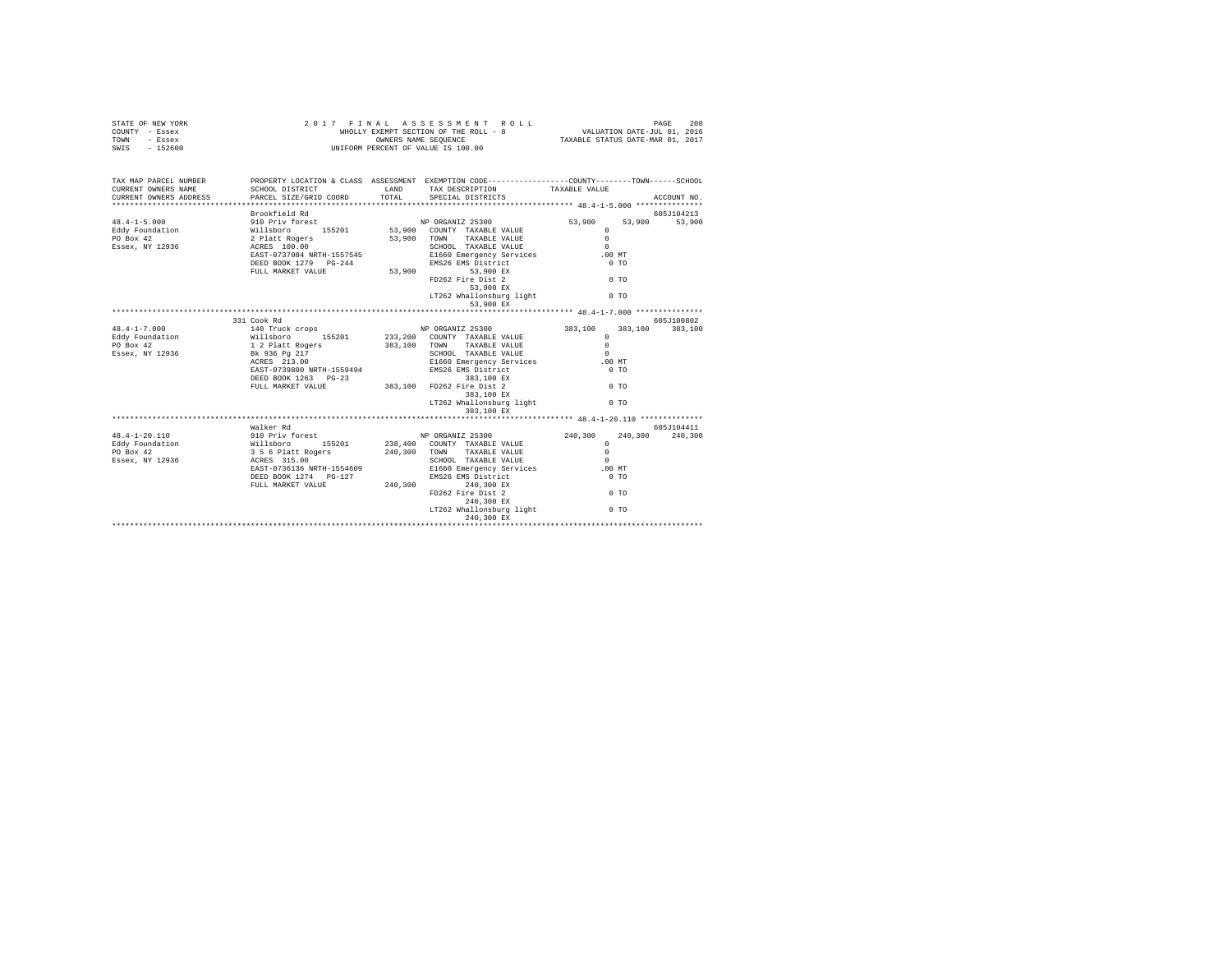| STATE OF NEW YORK<br>COUNTY - Essex<br>TOWN<br>- Essex<br>$-152600$<br>SWIS |                                                                                                                                                                                                                                |              | 2017 FINAL ASSESSMENT ROLL<br>WHOLLY EXEMPT SECTION OF THE ROLL - 8<br>OWNERS NAME SEQUENCE<br>UNIFORM PERCENT OF VALUE IS 100.00 | VALUATION DATE-JUL 01, 2016<br>TAXABLE STATUS DATE-MAR 01, 2017 |                | PAGE<br>208 |
|-----------------------------------------------------------------------------|--------------------------------------------------------------------------------------------------------------------------------------------------------------------------------------------------------------------------------|--------------|-----------------------------------------------------------------------------------------------------------------------------------|-----------------------------------------------------------------|----------------|-------------|
| TAX MAP PARCEL NUMBER<br>CURRENT OWNERS NAME                                | PROPERTY LOCATION & CLASS ASSESSMENT EXEMPTION CODE---------------COUNTY-------TOWN------SCHOOL<br>SCHOOL DISTRICT                                                                                                             | LAND         | TAX DESCRIPTION                                                                                                                   | TAXABLE VALUE                                                   |                |             |
| CURRENT OWNERS ADDRESS                                                      | PARCEL SIZE/GRID COORD                                                                                                                                                                                                         | TOTAL        | SPECIAL DISTRICTS                                                                                                                 |                                                                 |                | ACCOUNT NO. |
|                                                                             | Brookfield Rd                                                                                                                                                                                                                  |              |                                                                                                                                   |                                                                 |                | 605J104213  |
| $48.4 - 1 - 5.000$                                                          | exposition of the second second second second second second second second second second second second second second second second second second second second second second second second second second second second second s |              |                                                                                                                                   | 53,900                                                          | 53,900         | 53,900      |
| Eddy Foundation                                                             |                                                                                                                                                                                                                                |              | 53,900 COUNTY TAXABLE VALUE                                                                                                       | $^{\circ}$                                                      |                |             |
| PO Box 42                                                                   |                                                                                                                                                                                                                                |              | 53,900 TOWN<br>TAXABLE VALUE                                                                                                      | $\Omega$                                                        |                |             |
| Essex, NY 12936                                                             |                                                                                                                                                                                                                                |              | SCHOOL TAXABLE VALUE                                                                                                              | $\Omega$                                                        |                |             |
|                                                                             |                                                                                                                                                                                                                                |              | E1660 Emergency Services<br>E1660 Emergency Services<br>EMS26 EMS District<br>53,900 EX                                           | $.00$ MT                                                        |                |             |
|                                                                             | DEED BOOK 1279 PG-244                                                                                                                                                                                                          |              |                                                                                                                                   | 0 <sub>T</sub>                                                  |                |             |
|                                                                             | FULL MARKET VALUE                                                                                                                                                                                                              |              |                                                                                                                                   |                                                                 |                |             |
|                                                                             |                                                                                                                                                                                                                                |              | FD262 Fire Dist 2                                                                                                                 | $0$ TO                                                          |                |             |
|                                                                             |                                                                                                                                                                                                                                |              | $53,900$ EX                                                                                                                       |                                                                 |                |             |
|                                                                             |                                                                                                                                                                                                                                |              | LT262 Whallonsburg light<br>53,900 EX                                                                                             |                                                                 | 0 <sub>T</sub> |             |
|                                                                             |                                                                                                                                                                                                                                |              |                                                                                                                                   |                                                                 |                |             |
|                                                                             | 331 Cook Rd                                                                                                                                                                                                                    |              |                                                                                                                                   |                                                                 |                | 605J100802  |
| $48.4 - 1 - 7.000$                                                          | 140 Truck crops<br>Willsboro 155201<br>1 2 Platt Rogers<br>Bk 936 Pg 217                                                                                                                                                       |              | NP ORGANIZ 25300                                                                                                                  | 383,100                                                         | 383,100        | 383,100     |
| Eddy Foundation                                                             |                                                                                                                                                                                                                                |              | 233, 200 COUNTY TAXABLE VALUE                                                                                                     | $\Omega$                                                        |                |             |
| PO Box 42                                                                   |                                                                                                                                                                                                                                |              | 383,100 TOWN<br>TAXABLE VALUE                                                                                                     | $^{\circ}$                                                      |                |             |
| Essex, NY 12936                                                             |                                                                                                                                                                                                                                |              | SCHOOL TAXABLE VALUE                                                                                                              | $\sim$                                                          |                |             |
|                                                                             | $ACRES$ 213.00                                                                                                                                                                                                                 |              | E1660 Emergency Services<br>EMS26 EMS District<br>383,100 EX                                                                      | $.00$ MT                                                        |                |             |
|                                                                             | EAST-0739800 NRTH-1559494                                                                                                                                                                                                      |              |                                                                                                                                   | 0 <sub>T</sub>                                                  |                |             |
|                                                                             | DEED BOOK 1263 PG-23                                                                                                                                                                                                           |              | $383,100$ EX                                                                                                                      |                                                                 |                |             |
|                                                                             | FULL MARKET VALUE                                                                                                                                                                                                              |              | 383,100 FD262 Fire Dist 2                                                                                                         | $0$ TO                                                          |                |             |
|                                                                             |                                                                                                                                                                                                                                |              | 383,100 EX                                                                                                                        |                                                                 |                |             |
|                                                                             |                                                                                                                                                                                                                                |              | LT262 Whallonsburg light                                                                                                          |                                                                 | 0 <sub>T</sub> |             |
|                                                                             |                                                                                                                                                                                                                                |              | 383,100 EX                                                                                                                        |                                                                 |                |             |
|                                                                             |                                                                                                                                                                                                                                |              |                                                                                                                                   |                                                                 |                |             |
|                                                                             | Walker Rd                                                                                                                                                                                                                      |              |                                                                                                                                   |                                                                 |                | 605J104411  |
| 48.4-1-20.110                                                               |                                                                                                                                                                                                                                |              | NP ORGANIZ 25300                                                                                                                  | 240,300                                                         | 240,300        | 240,300     |
| Eddy Foundation                                                             | 910 Priv forest<br>Willsboro 155201<br>356 6 Platt Rogers<br>ACRES 315.00<br>EAST-0736136 NRTH-1554609                                                                                                                         |              | 238,400 COUNTY TAXABLE VALUE                                                                                                      | $\Omega$                                                        |                |             |
| PO Box 42                                                                   |                                                                                                                                                                                                                                | 240,300 TOWN | TAXABLE VALUE                                                                                                                     | $\Omega$                                                        |                |             |
| Essex, NY 12936                                                             |                                                                                                                                                                                                                                |              | SCHOOL TAXABLE VALUE                                                                                                              | $\Omega$                                                        |                |             |
|                                                                             |                                                                                                                                                                                                                                |              | E1660 Emergency Services                                                                                                          | .00 MT                                                          |                |             |
|                                                                             | DEED BOOK 1274 PG-127                                                                                                                                                                                                          |              | EMS26 EMS District                                                                                                                | 0 <sub>T</sub>                                                  |                |             |
|                                                                             | FULL MARKET VALUE                                                                                                                                                                                                              | 240.300      | 240,300 EX                                                                                                                        |                                                                 |                |             |
|                                                                             |                                                                                                                                                                                                                                |              | FD262 Fire Dist 2                                                                                                                 | 0 <sub>T</sub>                                                  |                |             |
|                                                                             |                                                                                                                                                                                                                                |              | 240,300 EX                                                                                                                        |                                                                 |                |             |
|                                                                             |                                                                                                                                                                                                                                |              | LT262 Whallonsburg light                                                                                                          |                                                                 | 0 <sub>T</sub> |             |
|                                                                             |                                                                                                                                                                                                                                |              | 240,300 EX                                                                                                                        |                                                                 |                |             |
|                                                                             |                                                                                                                                                                                                                                |              |                                                                                                                                   |                                                                 |                |             |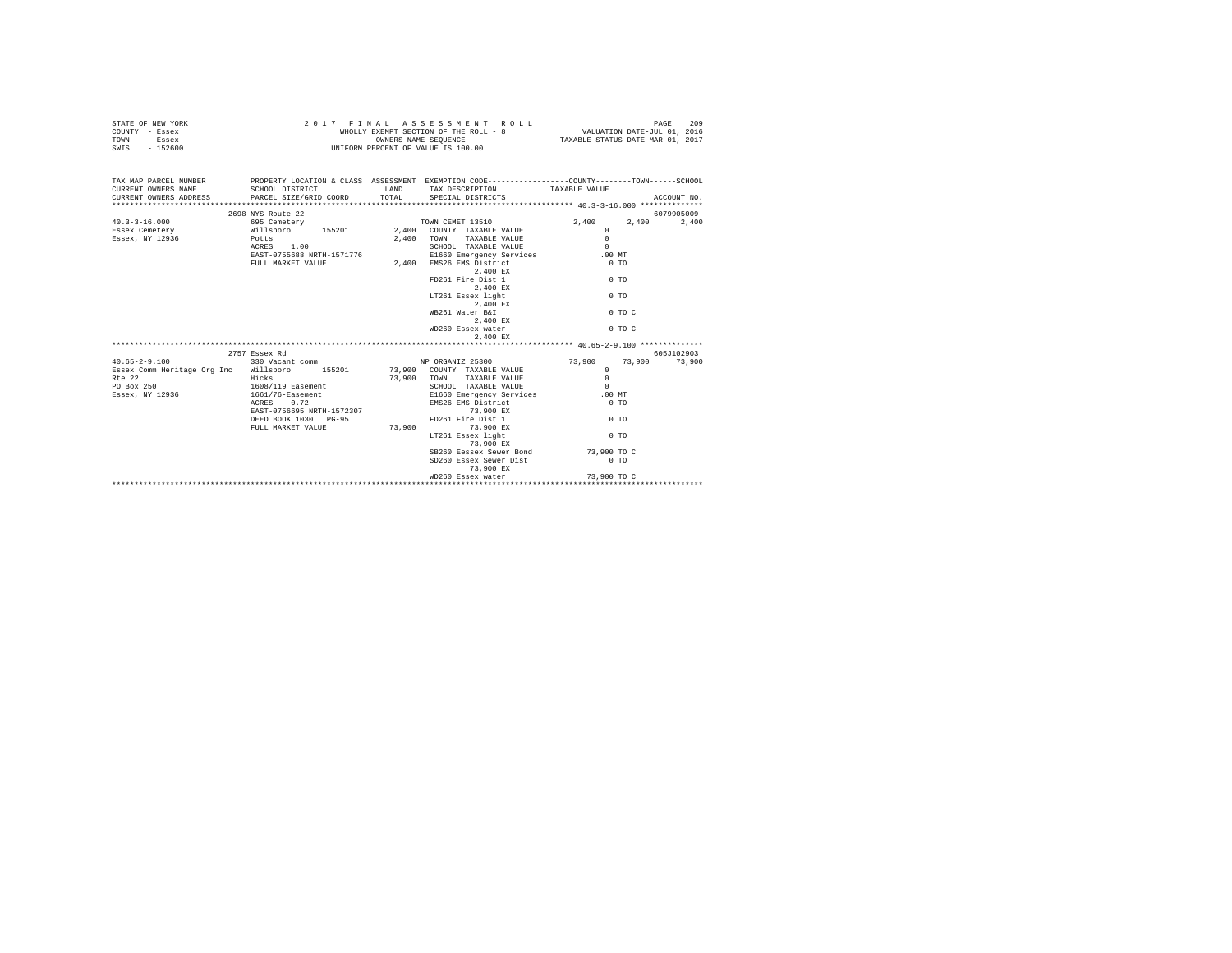| STATE OF NEW YORK | 2017 FINAL ASSESSMENT ROLL            | 209<br>PAGE                      |
|-------------------|---------------------------------------|----------------------------------|
| COUNTY - Essex    | WHOLLY EXEMPT SECTION OF THE ROLL - 8 | VALUATION DATE-JUL 01, 2016      |
| TOWN<br>- Essex   | OWNERS NAME SEOUENCE                  | TAXABLE STATUS DATE-MAR 01, 2017 |
| - 152600<br>SWIS  | UNIFORM PERCENT OF VALUE IS 100.00    |                                  |

| TAX MAP PARCEL NUMBER PROPERTY LOCATION & CLASS ASSESSMENT EXEMPTION CODE--------------COUNTY-------TOWN------SCHOOL<br>CURRENT OWNERS NAME SCHOOL DISTRICT TAX DESCRIPTION TAXABLE VALUE<br>CURRENT ONNERS ADDRESS PARCEL SIZE/GRID COORD TOTAL SPECIAL DISTRICTS (2013) ACCOUNT NO.                                                                                                                                                                                                                    |                                         |        |                                                          |                       |             |
|----------------------------------------------------------------------------------------------------------------------------------------------------------------------------------------------------------------------------------------------------------------------------------------------------------------------------------------------------------------------------------------------------------------------------------------------------------------------------------------------------------|-----------------------------------------|--------|----------------------------------------------------------|-----------------------|-------------|
|                                                                                                                                                                                                                                                                                                                                                                                                                                                                                                          |                                         |        |                                                          |                       | 6079905009  |
| $\texttt{40.3-3-16.000} \begin{minipage}{0.9\textwidth} \begin{minipage}{0.9\textwidth} \begin{minipage}{0.9\textwidth} \begin{minipage}{0.9\textwidth} \begin{minipage}{0.9\textwidth} \begin{minipage}{0.9\textwidth} \begin{minipage}{0.9\textwidth} \begin{minipage}{0.9\textwidth} \begin{minipage}{0.9\textwidth} \begin{minipage}{0.9\textwidth} \begin{minipage}{0.9\textwidth} \begin{minipage}{0.9\textwidth} \begin{minipage}{0.9\textwidth} \begin{minipage}{0.9\textwidth} \begin{minipage$ |                                         |        |                                                          | 2,400                 | 2,400 2,400 |
|                                                                                                                                                                                                                                                                                                                                                                                                                                                                                                          |                                         |        |                                                          | $\Omega$              |             |
| Essex, NY 12936 Potts                                                                                                                                                                                                                                                                                                                                                                                                                                                                                    |                                         | 2,400  |                                                          | $\Omega$              |             |
|                                                                                                                                                                                                                                                                                                                                                                                                                                                                                                          | ACRES 1.00                              |        | TOWN TAXABLE VALUE<br>SCHOOL TAXABLE VALUE               | $\Omega$              |             |
|                                                                                                                                                                                                                                                                                                                                                                                                                                                                                                          | ACRES 1.00<br>EAST-0755688 NRTH-1571776 |        | E1660 Emergency Services .00 MT                          |                       |             |
|                                                                                                                                                                                                                                                                                                                                                                                                                                                                                                          | FULL MARKET VALUE                       | 2,400  | EMS26 EMS District                                       | $0$ TO                |             |
|                                                                                                                                                                                                                                                                                                                                                                                                                                                                                                          |                                         |        | 2,400 EX                                                 |                       |             |
|                                                                                                                                                                                                                                                                                                                                                                                                                                                                                                          |                                         |        | FD261 Fire Dist 1                                        | $0 \text{ } \text{T}$ |             |
|                                                                                                                                                                                                                                                                                                                                                                                                                                                                                                          |                                         |        | 2,400 EX                                                 |                       |             |
|                                                                                                                                                                                                                                                                                                                                                                                                                                                                                                          |                                         |        | LT261 Essex light                                        | 0 <sub>T</sub>        |             |
|                                                                                                                                                                                                                                                                                                                                                                                                                                                                                                          |                                         |        | 2,400 EX                                                 |                       |             |
|                                                                                                                                                                                                                                                                                                                                                                                                                                                                                                          |                                         |        | WB261 Water B&I                                          | $0$ TO C              |             |
|                                                                                                                                                                                                                                                                                                                                                                                                                                                                                                          |                                         |        |                                                          |                       |             |
|                                                                                                                                                                                                                                                                                                                                                                                                                                                                                                          |                                         |        | $2,400$ EX<br>WD260 Essex water                          | $0$ TO $C$            |             |
|                                                                                                                                                                                                                                                                                                                                                                                                                                                                                                          |                                         |        | 2.400 EX                                                 |                       |             |
|                                                                                                                                                                                                                                                                                                                                                                                                                                                                                                          |                                         |        |                                                          |                       |             |
|                                                                                                                                                                                                                                                                                                                                                                                                                                                                                                          | 2757 Essex Rd                           |        |                                                          |                       | 605J102903  |
| 40.65-2-9.100 330 Vacant comm NP ORGANIZ 25300 73,900 73,900 73,900 73,900                                                                                                                                                                                                                                                                                                                                                                                                                               |                                         |        |                                                          |                       |             |
| Essex Comm Heritage Org Inc Willsboro 155201 73,900 COUNTY TAXABLE VALUE                                                                                                                                                                                                                                                                                                                                                                                                                                 |                                         |        |                                                          | $\Omega$              |             |
| Rte 22                                                                                                                                                                                                                                                                                                                                                                                                                                                                                                   | Hicks                                   |        | 73,900 COUNTY TAXABLE VALUE<br>73,900 TOWN TAXABLE VALUE | $\Omega$              |             |
| PO Box 250 1608/119 Easement                                                                                                                                                                                                                                                                                                                                                                                                                                                                             |                                         |        | SCHOOL TAXABLE VALUE                                     | $\Omega$              |             |
|                                                                                                                                                                                                                                                                                                                                                                                                                                                                                                          |                                         |        |                                                          |                       |             |
|                                                                                                                                                                                                                                                                                                                                                                                                                                                                                                          |                                         |        |                                                          |                       |             |
|                                                                                                                                                                                                                                                                                                                                                                                                                                                                                                          |                                         |        |                                                          |                       |             |
|                                                                                                                                                                                                                                                                                                                                                                                                                                                                                                          | DEED BOOK 1030 PG-95                    |        | FD261 Fire Dist 1 0 TO                                   |                       |             |
|                                                                                                                                                                                                                                                                                                                                                                                                                                                                                                          | FULL MARKET VALUE                       | 73,900 | 73,900 EX                                                |                       |             |
|                                                                                                                                                                                                                                                                                                                                                                                                                                                                                                          |                                         |        | LT261 Essex light                                        | $0$ TO                |             |
|                                                                                                                                                                                                                                                                                                                                                                                                                                                                                                          |                                         |        | 73,900 EX                                                |                       |             |
|                                                                                                                                                                                                                                                                                                                                                                                                                                                                                                          |                                         |        | SB260 Eessex Sewer Bond 73,900 TO C                      |                       |             |
|                                                                                                                                                                                                                                                                                                                                                                                                                                                                                                          |                                         |        | SD260 Essex Sewer Dist                                   | $0$ TO                |             |
|                                                                                                                                                                                                                                                                                                                                                                                                                                                                                                          |                                         |        | 73,900 EX                                                |                       |             |
|                                                                                                                                                                                                                                                                                                                                                                                                                                                                                                          |                                         |        |                                                          |                       |             |
|                                                                                                                                                                                                                                                                                                                                                                                                                                                                                                          |                                         |        |                                                          |                       |             |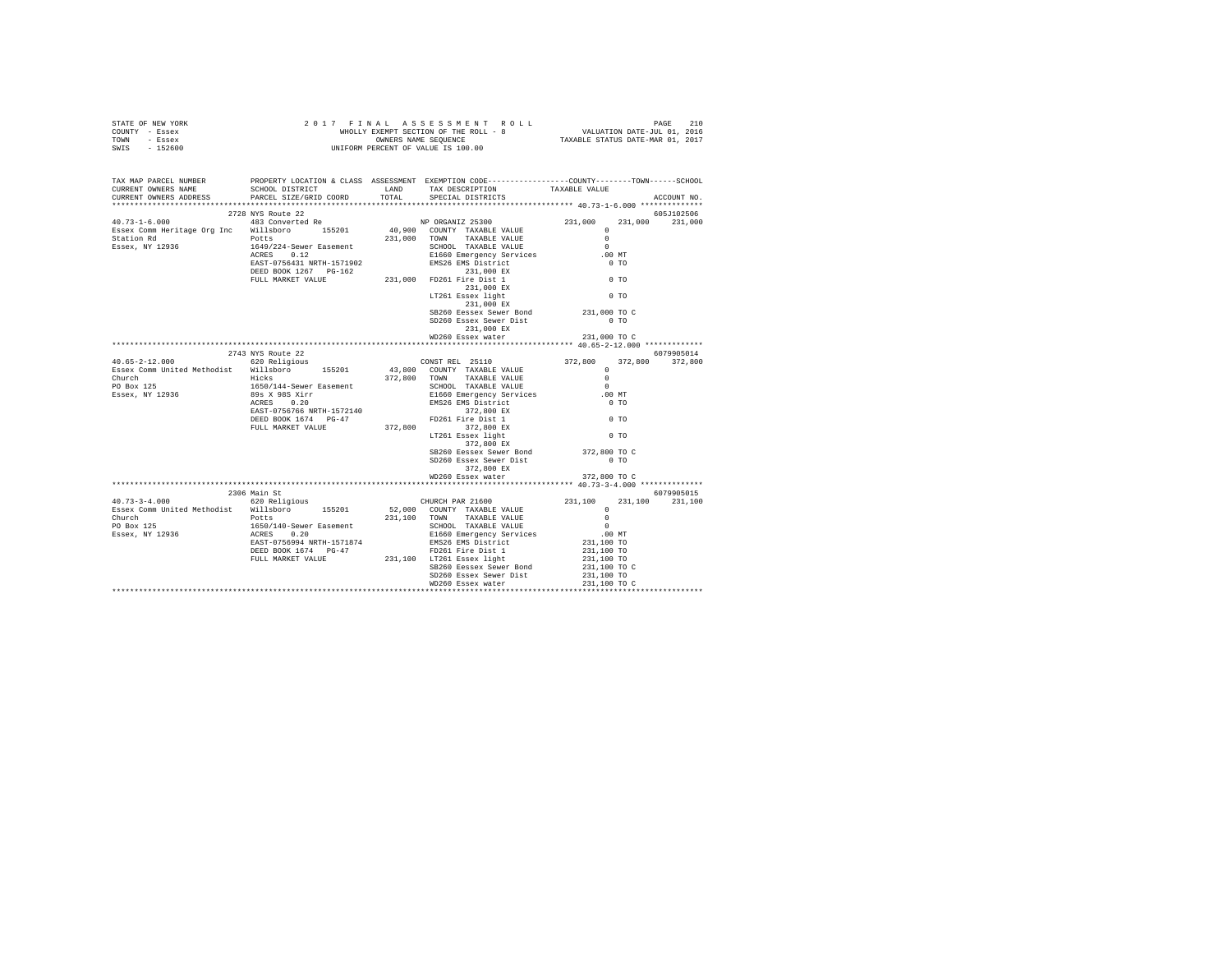| STATE OF NEW YORK | 2017 FINAL ASSESSMENT ROLL            | 210<br>PAGE                      |
|-------------------|---------------------------------------|----------------------------------|
| COUNTY - Essex    | WHOLLY EXEMPT SECTION OF THE ROLL - 8 | VALUATION DATE-JUL 01, 2016      |
| TOWN<br>- Essex   | OWNERS NAME SEOUENCE                  | TAXABLE STATUS DATE-MAR 01, 2017 |
| - 152600<br>SWIS  | UNIFORM PERCENT OF VALUE IS 100.00    |                                  |

| TAX MAP PARCEL NUMBER<br>CURRENT OWNERS NAME<br>CURRENT OWNERS ADDRESS PARCEL SIZE/GRID COORD TOTAL                      | SCHOOL DISTRICT 6 . LAND TAX DESCRIPTION |  | PROPERTY LOCATION & CLASS ASSESSMENT EXEMPTION CODE---------------COUNTY-------TOWN-----SCHOOL<br>SPECIAL DISTRICTS                                                                                                                 | TAXABLE VALUE                            | ACCOUNT NO.     |  |  |
|--------------------------------------------------------------------------------------------------------------------------|------------------------------------------|--|-------------------------------------------------------------------------------------------------------------------------------------------------------------------------------------------------------------------------------------|------------------------------------------|-----------------|--|--|
|                                                                                                                          |                                          |  |                                                                                                                                                                                                                                     |                                          |                 |  |  |
|                                                                                                                          |                                          |  |                                                                                                                                                                                                                                     |                                          | 605J102506      |  |  |
|                                                                                                                          |                                          |  |                                                                                                                                                                                                                                     | 231,000                                  | 231,000         |  |  |
|                                                                                                                          |                                          |  |                                                                                                                                                                                                                                     |                                          |                 |  |  |
|                                                                                                                          |                                          |  |                                                                                                                                                                                                                                     |                                          |                 |  |  |
|                                                                                                                          |                                          |  |                                                                                                                                                                                                                                     |                                          |                 |  |  |
|                                                                                                                          |                                          |  |                                                                                                                                                                                                                                     |                                          |                 |  |  |
|                                                                                                                          |                                          |  |                                                                                                                                                                                                                                     |                                          |                 |  |  |
|                                                                                                                          |                                          |  |                                                                                                                                                                                                                                     |                                          |                 |  |  |
|                                                                                                                          |                                          |  |                                                                                                                                                                                                                                     |                                          |                 |  |  |
|                                                                                                                          |                                          |  |                                                                                                                                                                                                                                     |                                          |                 |  |  |
|                                                                                                                          |                                          |  | 231,000 EX                                                                                                                                                                                                                          |                                          |                 |  |  |
|                                                                                                                          |                                          |  | SB260 Eessex Sewer Bond 231,000 TO C                                                                                                                                                                                                |                                          |                 |  |  |
|                                                                                                                          |                                          |  | SD260 Essex Sewer Dist                                                                                                                                                                                                              | $0$ TO                                   |                 |  |  |
|                                                                                                                          |                                          |  | 231,000 EX                                                                                                                                                                                                                          |                                          |                 |  |  |
|                                                                                                                          |                                          |  |                                                                                                                                                                                                                                     |                                          |                 |  |  |
|                                                                                                                          |                                          |  |                                                                                                                                                                                                                                     |                                          |                 |  |  |
|                                                                                                                          |                                          |  |                                                                                                                                                                                                                                     |                                          | 6079905014      |  |  |
|                                                                                                                          |                                          |  |                                                                                                                                                                                                                                     |                                          | 372,800 372,800 |  |  |
|                                                                                                                          |                                          |  |                                                                                                                                                                                                                                     |                                          |                 |  |  |
|                                                                                                                          |                                          |  |                                                                                                                                                                                                                                     |                                          |                 |  |  |
|                                                                                                                          |                                          |  |                                                                                                                                                                                                                                     | .00 MT                                   |                 |  |  |
|                                                                                                                          |                                          |  |                                                                                                                                                                                                                                     | $0$ TO                                   |                 |  |  |
|                                                                                                                          |                                          |  |                                                                                                                                                                                                                                     |                                          |                 |  |  |
|                                                                                                                          |                                          |  |                                                                                                                                                                                                                                     | $0$ TO                                   |                 |  |  |
|                                                                                                                          |                                          |  |                                                                                                                                                                                                                                     |                                          |                 |  |  |
|                                                                                                                          |                                          |  |                                                                                                                                                                                                                                     | $0$ TO                                   |                 |  |  |
|                                                                                                                          |                                          |  | 372,800 EX                                                                                                                                                                                                                          |                                          |                 |  |  |
|                                                                                                                          |                                          |  | SB260 Eessex Sewer Bond 372,800 TO C                                                                                                                                                                                                |                                          |                 |  |  |
|                                                                                                                          |                                          |  | SD260 Essex Sewer Dist                                                                                                                                                                                                              | $0$ TO                                   |                 |  |  |
|                                                                                                                          |                                          |  | 372,800 EX                                                                                                                                                                                                                          |                                          |                 |  |  |
|                                                                                                                          |                                          |  | WD260 Essex water                                                                                                                                                                                                                   | 372,800 TO C                             |                 |  |  |
|                                                                                                                          | 2306 Main St                             |  |                                                                                                                                                                                                                                     |                                          | 6079905015      |  |  |
|                                                                                                                          |                                          |  | CHURCH PAR 21600 231,100 231,100 231,100<br>52,000 COUNTY TAXABLE VALUE 0<br>231,100 TOWN TAXABLE VALUE 0<br>SCHOOL TAXABLE VALUE 0<br>ELG60 Emergency Services 0<br>EMS26 EMS District 231,100 TO<br>EMS26 EMS District 231,100 TO |                                          |                 |  |  |
| 40.73-3-4.000 620 Religious CHURCH PAR 21600<br>Essex Comm United Methodist Willsboro 155201 52,000 COUNTY TAXABLE VALUE |                                          |  |                                                                                                                                                                                                                                     |                                          |                 |  |  |
|                                                                                                                          |                                          |  |                                                                                                                                                                                                                                     |                                          |                 |  |  |
|                                                                                                                          |                                          |  |                                                                                                                                                                                                                                     |                                          |                 |  |  |
|                                                                                                                          |                                          |  |                                                                                                                                                                                                                                     |                                          |                 |  |  |
|                                                                                                                          |                                          |  |                                                                                                                                                                                                                                     |                                          |                 |  |  |
|                                                                                                                          |                                          |  |                                                                                                                                                                                                                                     | 231,100 TO<br>231,100 TO<br>231,100 TO C |                 |  |  |
|                                                                                                                          |                                          |  |                                                                                                                                                                                                                                     |                                          |                 |  |  |
|                                                                                                                          |                                          |  | SB260 Eessex Sewer Bond                                                                                                                                                                                                             |                                          |                 |  |  |
|                                                                                                                          |                                          |  |                                                                                                                                                                                                                                     |                                          |                 |  |  |
|                                                                                                                          |                                          |  |                                                                                                                                                                                                                                     |                                          |                 |  |  |
|                                                                                                                          |                                          |  |                                                                                                                                                                                                                                     |                                          |                 |  |  |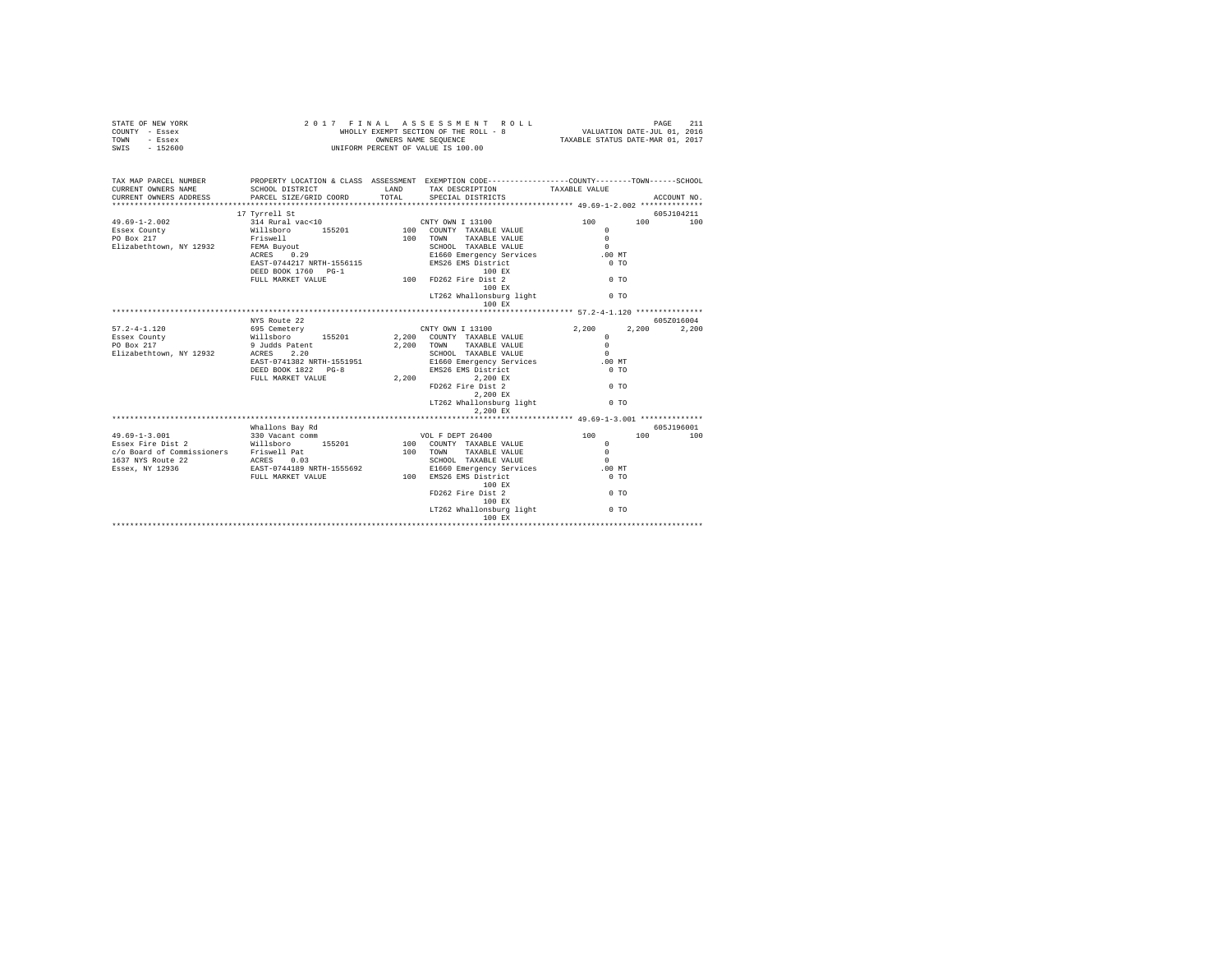| STATE OF NEW YORK<br>COUNTY - Essex<br>TOWN<br>- Essex<br>$-152600$<br>SWIS  | 2017                                                                                                                                          | FINAL         | ASSESSMENT ROLL<br>WHOLLY EXEMPT SECTION OF THE ROLL - 8<br>OWNERS NAME SEQUENCE<br>UNIFORM PERCENT OF VALUE IS 100.00                                       | VALUATION DATE-JUL 01, 2016<br>TAXABLE STATUS DATE-MAR 01, 2017                         | 211<br>PAGE    |
|------------------------------------------------------------------------------|-----------------------------------------------------------------------------------------------------------------------------------------------|---------------|--------------------------------------------------------------------------------------------------------------------------------------------------------------|-----------------------------------------------------------------------------------------|----------------|
| TAX MAP PARCEL NUMBER<br>CURRENT OWNERS NAME<br>CURRENT OWNERS ADDRESS       | PROPERTY LOCATION & CLASS ASSESSMENT EXEMPTION CODE----------------COUNTY--------TOWN-----SCHOOL<br>SCHOOL DISTRICT<br>PARCEL SIZE/GRID COORD | LAND<br>TOTAL | TAX DESCRIPTION<br>SPECIAL DISTRICTS                                                                                                                         | TAXABLE VALUE                                                                           | ACCOUNT NO.    |
|                                                                              | 17 Tyrrell St                                                                                                                                 |               |                                                                                                                                                              |                                                                                         | 605J104211     |
| $49.69 - 1 - 2.002$<br>Essex County<br>PO Box 217<br>Elizabethtown, NY 12932 | 314 Rural vac<10<br>Willsboro 155201<br>Willsboro<br>Friswell<br>FEMA Buyout<br>ACRES 0.29                                                    |               | CNTY OWN I 13100<br>100 COUNTY TAXABLE VALUE<br>100 TOWN<br>TAXABLE VALUE<br>SCHOOL TAXABLE VALUE<br>E1660 Emergency Services                                | 100<br>$\Omega$<br>$\Omega$<br>$\Omega$<br>$.00$ MT                                     | 100<br>100     |
|                                                                              | FEMA Buyout<br>ACRES 0.29<br>EAST-0744217 NRTH-1556115<br>DEED BOOK 1760 DC-1<br>DEED BOOK 1760 PG-1<br>FULL MARKET VALUE                     |               | EMS26 EMS District<br>100 EX<br>100 FD262 Fire Dist 2<br>100 EX<br>LT262 Whallonsburg light                                                                  | 0 <sub>T</sub><br>0 <sub>T</sub><br>0 <sub>T</sub>                                      |                |
|                                                                              |                                                                                                                                               |               | 100 EX                                                                                                                                                       |                                                                                         |                |
|                                                                              | NYS Route 22                                                                                                                                  |               |                                                                                                                                                              |                                                                                         | 605Z016004     |
| $57.2 - 4 - 1.120$<br>Essex County<br>PO Box 217<br>Elizabethtown, NY 12932  | 695 Cemetery<br>Willsboro<br>9 Judds Patent<br>155201<br>9 Judds Patent<br>2.20<br>ACRES                                                      | 2,200         | CNTY OWN I 13100<br>2,200 COUNTY TAXABLE VALUE<br>TAXABLE VALUE<br>TOWN<br>SCHOOL TAXABLE VALUE                                                              | 2,200<br>$\Omega$<br>$\Omega$<br>$\Omega$                                               | 2,200<br>2,200 |
|                                                                              | EAST-0741382 NRTH-1551951<br>DEED BOOK 1822 PG-8<br>FULL MARKET VALUE                                                                         |               | E1660 Emergency Services<br>EMS26 EMS District<br>2,200 2,200 EX<br>FD262 Fire Dist 2<br>2,200 EX<br>LT262 Whallonsburg light                                | .00 MT<br>0 <sub>T</sub><br>$0$ TO<br>$0$ TO                                            |                |
|                                                                              |                                                                                                                                               |               | 2,200 EX                                                                                                                                                     |                                                                                         |                |
|                                                                              | Whallons Bay Rd                                                                                                                               |               |                                                                                                                                                              |                                                                                         | 605J196001     |
| $49.69 - 1 - 3.001$<br>Essex Fire Dist 2                                     | 330 Vacant comm<br>Willsboro 155201<br>FULL MARKET VALUE 100 EMS26 EMS District                                                               |               | VOL F DEPT 26400<br>100 COUNTY TAXABLE VALUE<br>100 TOWN<br>TAXABLE VALUE<br>SCHOOL TAXABLE VALUE<br>E1660 Emergency Services<br>100 EX<br>FD262 Fire Dist 2 | 100<br>$\Omega$<br>$\Omega$<br>$\Omega$<br>$.00$ MT<br>0 <sub>T</sub><br>0 <sub>T</sub> | 100<br>100     |
|                                                                              |                                                                                                                                               |               | 100 EX<br>LT262 Whallonsburg light<br>100 EX                                                                                                                 | 0 <sub>T</sub>                                                                          |                |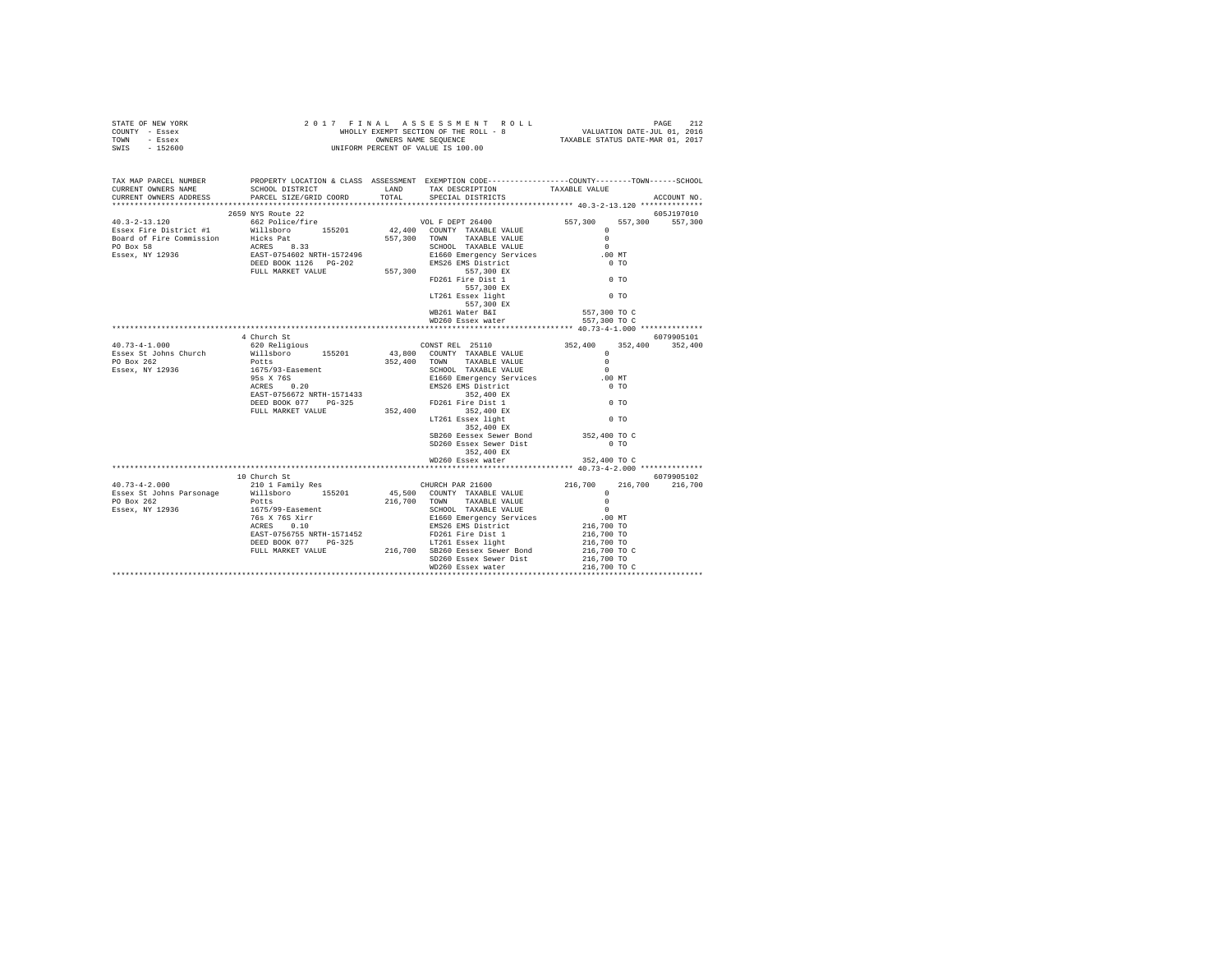| $\begin{array}{cccccccccccccccc} \texttt{STATE OF NEW VORK} & \texttt{FOKB} & \texttt{PAGE} & \texttt{2017} & \texttt{F IN AL} & \texttt{A S SE S S M EN T} & \texttt{R O LL} & \texttt{PAGE} & \texttt{212} \\ \texttt{COUNT OF SSEEK} & \texttt{WHOLLY EXRM F SEQUENCE} & \texttt{WHOLLY EXR PTE ROLL} - 8 & \texttt{VALUATION DATE-JUL 01, 2016} \\ \texttt{TOWNT = SSEEX} & \texttt{WHOLY} & \texttt{WHOLLY EXR NME SEQUENCE} & \texttt{ROLL$ |              |                                                                                                  |              |             |
|---------------------------------------------------------------------------------------------------------------------------------------------------------------------------------------------------------------------------------------------------------------------------------------------------------------------------------------------------------------------------------------------------------------------------------------------------|--------------|--------------------------------------------------------------------------------------------------|--------------|-------------|
| TAX MAP PARCEL NUMBER<br>CURRENT OWNERS NAME<br>CURRENT OWNERS ADDRESS                                                                                                                                                                                                                                                                                                                                                                            |              | PROPERTY LOCATION & CLASS ASSESSMENT EXEMPTION CODE----------------COUNTY-------TOWN------SCHOOL |              | ACCOUNT NO. |
|                                                                                                                                                                                                                                                                                                                                                                                                                                                   |              |                                                                                                  |              |             |
|                                                                                                                                                                                                                                                                                                                                                                                                                                                   |              |                                                                                                  |              |             |
|                                                                                                                                                                                                                                                                                                                                                                                                                                                   |              |                                                                                                  |              |             |
|                                                                                                                                                                                                                                                                                                                                                                                                                                                   |              |                                                                                                  |              |             |
|                                                                                                                                                                                                                                                                                                                                                                                                                                                   |              |                                                                                                  |              |             |
|                                                                                                                                                                                                                                                                                                                                                                                                                                                   |              |                                                                                                  |              |             |
|                                                                                                                                                                                                                                                                                                                                                                                                                                                   |              |                                                                                                  |              |             |
|                                                                                                                                                                                                                                                                                                                                                                                                                                                   |              |                                                                                                  |              |             |
| $\begin{tabular}{lllllllllllllllllll} \multicolumn{4}{c c c c} \multicolumn{4}{c c c c} \multicolumn{4}{c c c c} \multicolumn{4}{c c c c} \multicolumn{4}{c c c c} \multicolumn{4}{c c c c} \multicolumn{4}{c c c c} \multicolumn{4}{c c c c} \multicolumn{4}{c c c c} \multicolumn{4}{c c c c} \multicolumn{4}{c c c c} \multicolumn{4}{c c c c} \multicolumn{4}{c c c c} \multicolumn{4}{c$                                                     |              |                                                                                                  |              |             |
|                                                                                                                                                                                                                                                                                                                                                                                                                                                   |              | 557,300 EX<br>WB261 Water B&I<br>WD260 Essex water                                               | 557,300 TO C |             |
|                                                                                                                                                                                                                                                                                                                                                                                                                                                   |              |                                                                                                  | 557,300 TO C |             |
| $\begin{tabular}{lcccc} \textbf{40.73--4-1.000} & \textbf{40.000} & \textbf{6079905101} & \textbf{6079905101} \\ \textbf{40.73--4-1.000} & \textbf{60.000} & \textbf{60.000} & \textbf{60.000} \\ \textbf{620} & \textbf{Religious} & \textbf{630} & \textbf{60.000} \\ \textbf{588ex & \textbf{50.000} } & \textbf{60.000} \\ \textbf{620} & \textbf{Religious} & \text$                                                                         |              |                                                                                                  |              |             |
|                                                                                                                                                                                                                                                                                                                                                                                                                                                   |              |                                                                                                  |              |             |
|                                                                                                                                                                                                                                                                                                                                                                                                                                                   |              |                                                                                                  |              |             |
|                                                                                                                                                                                                                                                                                                                                                                                                                                                   |              |                                                                                                  |              |             |
|                                                                                                                                                                                                                                                                                                                                                                                                                                                   |              |                                                                                                  |              |             |
|                                                                                                                                                                                                                                                                                                                                                                                                                                                   |              |                                                                                                  |              |             |
|                                                                                                                                                                                                                                                                                                                                                                                                                                                   |              |                                                                                                  |              |             |
|                                                                                                                                                                                                                                                                                                                                                                                                                                                   |              |                                                                                                  |              |             |
|                                                                                                                                                                                                                                                                                                                                                                                                                                                   |              |                                                                                                  |              |             |
|                                                                                                                                                                                                                                                                                                                                                                                                                                                   |              |                                                                                                  |              |             |
|                                                                                                                                                                                                                                                                                                                                                                                                                                                   |              | LT261 Essex light<br>352,400 EX                                                                  |              |             |
|                                                                                                                                                                                                                                                                                                                                                                                                                                                   |              | SB260 Eessex Sewer Bond 352,400 TO C                                                             |              |             |
|                                                                                                                                                                                                                                                                                                                                                                                                                                                   |              | SD260 Essex Sewer Dist                                                                           | $0$ TO       |             |
|                                                                                                                                                                                                                                                                                                                                                                                                                                                   |              | 352,400 EX<br>WD260 Essex water 352,400 TO C                                                     |              |             |
|                                                                                                                                                                                                                                                                                                                                                                                                                                                   |              |                                                                                                  |              |             |
|                                                                                                                                                                                                                                                                                                                                                                                                                                                   | 10 Church St |                                                                                                  |              | 6079905102  |
|                                                                                                                                                                                                                                                                                                                                                                                                                                                   |              |                                                                                                  | 216,700      | 216,700     |
|                                                                                                                                                                                                                                                                                                                                                                                                                                                   |              |                                                                                                  |              |             |
|                                                                                                                                                                                                                                                                                                                                                                                                                                                   |              |                                                                                                  |              |             |
|                                                                                                                                                                                                                                                                                                                                                                                                                                                   |              |                                                                                                  |              |             |
|                                                                                                                                                                                                                                                                                                                                                                                                                                                   |              |                                                                                                  |              |             |
|                                                                                                                                                                                                                                                                                                                                                                                                                                                   |              |                                                                                                  |              |             |
|                                                                                                                                                                                                                                                                                                                                                                                                                                                   |              |                                                                                                  |              |             |
|                                                                                                                                                                                                                                                                                                                                                                                                                                                   |              |                                                                                                  |              |             |
|                                                                                                                                                                                                                                                                                                                                                                                                                                                   |              |                                                                                                  |              |             |
|                                                                                                                                                                                                                                                                                                                                                                                                                                                   |              | WD260 Essex water 216,700 TO C                                                                   |              |             |
|                                                                                                                                                                                                                                                                                                                                                                                                                                                   |              |                                                                                                  |              |             |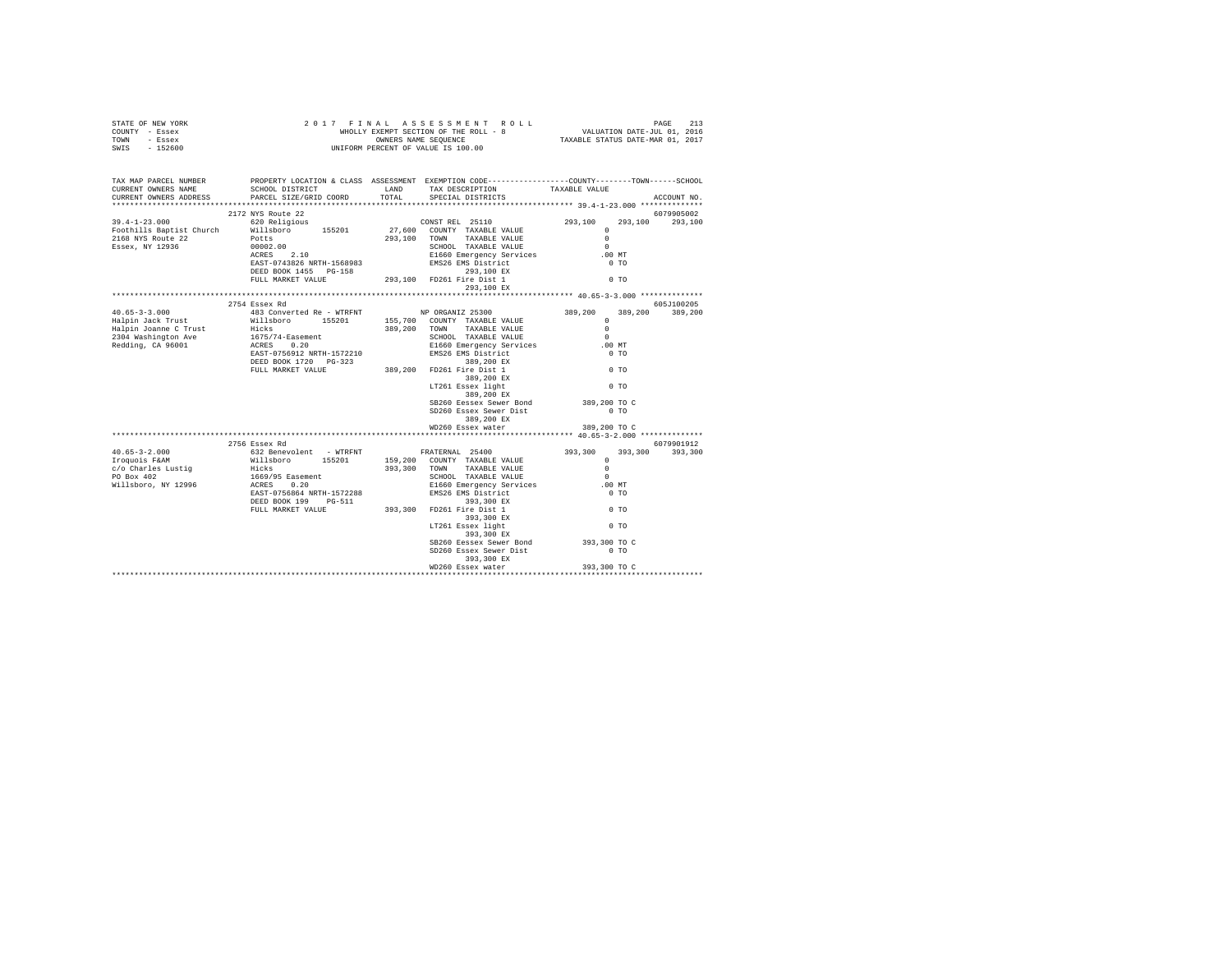| TAX MAP PARCEL NUMBER<br>CURRENT OWNERS NAME<br>CURRENT OWNERS ADDRESS                                                                                                                                                                                                                                                                                                                                           | PROPERTY LOCATION & CLASS ASSESSMENT EXEMPTION CODE----------------COUNTY-------TOWN------SCHOOL |                                      |              | ACCOUNT NO.     |
|------------------------------------------------------------------------------------------------------------------------------------------------------------------------------------------------------------------------------------------------------------------------------------------------------------------------------------------------------------------------------------------------------------------|--------------------------------------------------------------------------------------------------|--------------------------------------|--------------|-----------------|
| $\begin{tabular}{l c c c c c} \hline \texttt{39.4--1--23.000} & \texttt{2172 W8 Note} & \texttt{200}\xspace & \texttt{200}\xspace & \texttt{2017} & \texttt{2010} & \texttt{2010} & \texttt{2010} & \texttt{2010} & \texttt{2010} & \texttt{2010} & \texttt{2010} & \texttt{2010} & \texttt{2010} & \texttt{2010} & \texttt{2010} & \texttt{2010} & \texttt{2010} & \texttt{2$                                   |                                                                                                  |                                      |              | 6079905002      |
|                                                                                                                                                                                                                                                                                                                                                                                                                  |                                                                                                  |                                      |              | 293.100 293.100 |
|                                                                                                                                                                                                                                                                                                                                                                                                                  |                                                                                                  |                                      |              |                 |
|                                                                                                                                                                                                                                                                                                                                                                                                                  |                                                                                                  |                                      |              |                 |
|                                                                                                                                                                                                                                                                                                                                                                                                                  |                                                                                                  |                                      |              |                 |
|                                                                                                                                                                                                                                                                                                                                                                                                                  |                                                                                                  |                                      | $.00$ MT     |                 |
|                                                                                                                                                                                                                                                                                                                                                                                                                  |                                                                                                  |                                      | $0$ TO       |                 |
|                                                                                                                                                                                                                                                                                                                                                                                                                  |                                                                                                  |                                      | $0$ TO       |                 |
|                                                                                                                                                                                                                                                                                                                                                                                                                  |                                                                                                  |                                      |              |                 |
|                                                                                                                                                                                                                                                                                                                                                                                                                  |                                                                                                  |                                      |              |                 |
|                                                                                                                                                                                                                                                                                                                                                                                                                  | 2754 Essex Rd                                                                                    |                                      |              | 605J100205      |
|                                                                                                                                                                                                                                                                                                                                                                                                                  |                                                                                                  |                                      | 389,200      | 389,200         |
|                                                                                                                                                                                                                                                                                                                                                                                                                  |                                                                                                  |                                      |              |                 |
|                                                                                                                                                                                                                                                                                                                                                                                                                  |                                                                                                  |                                      |              |                 |
|                                                                                                                                                                                                                                                                                                                                                                                                                  |                                                                                                  |                                      |              |                 |
| $\begin{tabular}{l c c c c c} \multicolumn{3}{c}{\textbf{40.65--3-3.000}} & \multicolumn{3}{c}{2754\text{ Ssec X }\text{Rd}} & \multicolumn{3}{c}{483\text{ Converted Re}- \text{WTRENT}} & \multicolumn{3}{c}{\textbf{NP ORGANIZ 25300}} & \multicolumn{3}{c}{389,200} & \multicolumn{3}{c}{389,200} & \multicolumn{3}{c}{389,200} & \multicolumn{3}{c}{389,200} & \multicolumn{3}{c}{389,200} & \multicolumn{$ |                                                                                                  |                                      |              |                 |
|                                                                                                                                                                                                                                                                                                                                                                                                                  |                                                                                                  |                                      |              |                 |
|                                                                                                                                                                                                                                                                                                                                                                                                                  |                                                                                                  |                                      |              |                 |
|                                                                                                                                                                                                                                                                                                                                                                                                                  |                                                                                                  |                                      |              |                 |
|                                                                                                                                                                                                                                                                                                                                                                                                                  |                                                                                                  |                                      |              |                 |
|                                                                                                                                                                                                                                                                                                                                                                                                                  |                                                                                                  |                                      |              |                 |
|                                                                                                                                                                                                                                                                                                                                                                                                                  |                                                                                                  | SB260 Eessex Sewer Bond 389,200 TO C |              |                 |
|                                                                                                                                                                                                                                                                                                                                                                                                                  |                                                                                                  | SD260 Essex Sewer Dist               | $0$ TO       |                 |
|                                                                                                                                                                                                                                                                                                                                                                                                                  |                                                                                                  | 389,200 EX                           |              |                 |
|                                                                                                                                                                                                                                                                                                                                                                                                                  |                                                                                                  | WD260 Essex water                    | 389,200 TO C |                 |
|                                                                                                                                                                                                                                                                                                                                                                                                                  | 2756 Essex Rd                                                                                    |                                      | 6079901912   |                 |
|                                                                                                                                                                                                                                                                                                                                                                                                                  |                                                                                                  |                                      |              |                 |
|                                                                                                                                                                                                                                                                                                                                                                                                                  |                                                                                                  |                                      |              |                 |
|                                                                                                                                                                                                                                                                                                                                                                                                                  |                                                                                                  |                                      |              |                 |
|                                                                                                                                                                                                                                                                                                                                                                                                                  |                                                                                                  |                                      |              |                 |
|                                                                                                                                                                                                                                                                                                                                                                                                                  |                                                                                                  |                                      |              |                 |
|                                                                                                                                                                                                                                                                                                                                                                                                                  |                                                                                                  |                                      |              |                 |
|                                                                                                                                                                                                                                                                                                                                                                                                                  |                                                                                                  |                                      |              |                 |
|                                                                                                                                                                                                                                                                                                                                                                                                                  |                                                                                                  |                                      |              |                 |
|                                                                                                                                                                                                                                                                                                                                                                                                                  |                                                                                                  |                                      |              |                 |
|                                                                                                                                                                                                                                                                                                                                                                                                                  |                                                                                                  |                                      |              |                 |
|                                                                                                                                                                                                                                                                                                                                                                                                                  |                                                                                                  | SB260 Eessex Sewer Bond 393,300 TO C |              |                 |
|                                                                                                                                                                                                                                                                                                                                                                                                                  |                                                                                                  | SD260 Essex Sewer Dist 0 TO          |              |                 |
|                                                                                                                                                                                                                                                                                                                                                                                                                  |                                                                                                  | 393,300 EX                           |              |                 |
|                                                                                                                                                                                                                                                                                                                                                                                                                  |                                                                                                  | WD260 Essex water                    | 393,300 TO C |                 |
|                                                                                                                                                                                                                                                                                                                                                                                                                  |                                                                                                  |                                      |              |                 |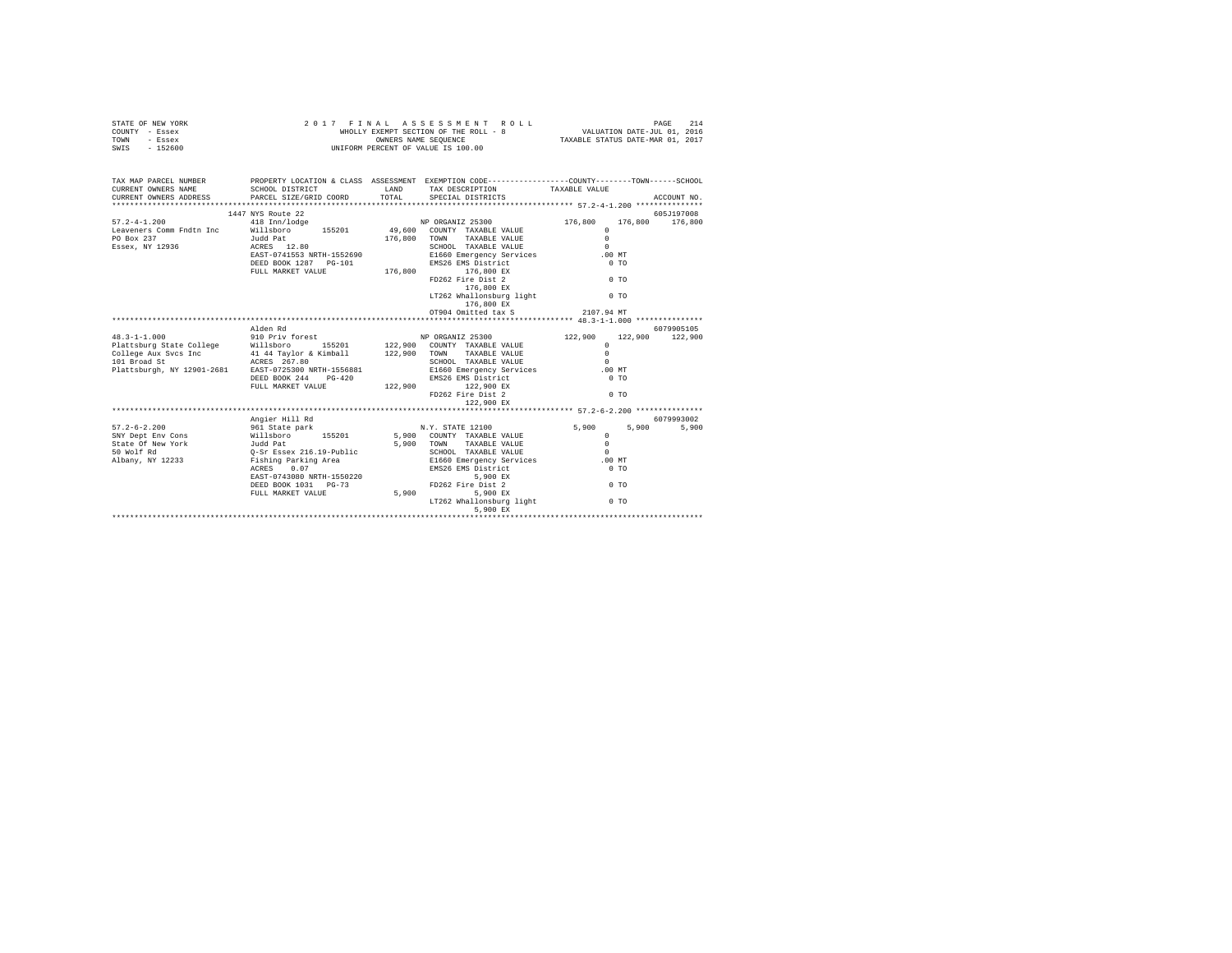| STATE OF NEW YORK<br>COUNTY - Essex<br>TOWN - Essex<br>SWIS - 152600                                                                                                  | 2 0 1 7 F I N A L A S S E S S M E N T R<br>WHOLLY EXEMPT SECTION OF THE ROLL - 8<br>ONNERS NAME SEQUENCE<br>UNIFORM PERCENT OF VALUE IS 100.00 | FINAL ASSESSMENT ROLL PAGE 214<br>WHOLLY EXEMPT SECTION OF THE ROLL - 8 VALUATION DATE-JUL 01, 2016<br>OWNERS NAME SEQUENCE TAXABLE STATUS DATE-MAR 01, 2017<br>2017 FINAL ASSESSMENT ROLL |       |                     |
|-----------------------------------------------------------------------------------------------------------------------------------------------------------------------|------------------------------------------------------------------------------------------------------------------------------------------------|--------------------------------------------------------------------------------------------------------------------------------------------------------------------------------------------|-------|---------------------|
| TAX MAP PARCEL NUMBER PROPERTY LOCATION & CLASS ASSESSMENT EXEMPTION CODE---------------COUNTY-------TOWN-----SCHOOL<br>CURRENT OWNERS NAME<br>CURRENT OWNERS ADDRESS |                                                                                                                                                |                                                                                                                                                                                            |       | ACCOUNT NO.         |
|                                                                                                                                                                       |                                                                                                                                                | FD262 Fire Dist 2 0 TO<br>176,800 EX<br>LT262 Whallonsburg light 0 TO<br>176,800 EX                                                                                                        |       |                     |
|                                                                                                                                                                       |                                                                                                                                                |                                                                                                                                                                                            |       |                     |
|                                                                                                                                                                       | Alden Rd                                                                                                                                       |                                                                                                                                                                                            |       | 6079905105          |
|                                                                                                                                                                       | Angier Hill Rd                                                                                                                                 |                                                                                                                                                                                            | 5,900 | 6079993002<br>5,900 |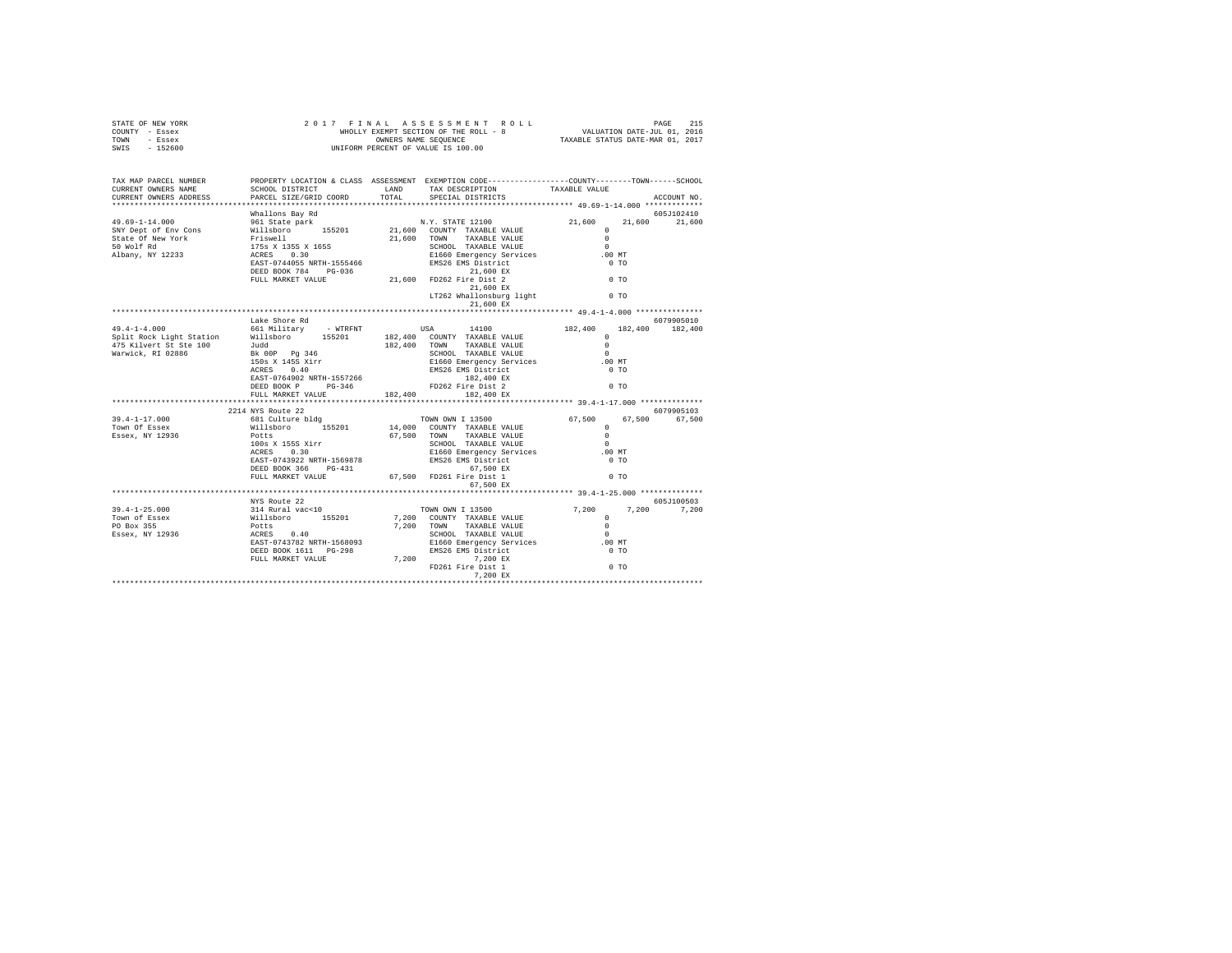| STATE OF NEW YORK<br>COUNTY - Essex<br>TOWN - Essex<br>SWIS - 152600                                                                                                                                                                          |                           | 2017 FINAL ASSES MENT ROLL WHOLLY EXERCITOR DATE THAT A VALUATION DATE-JUL 01, 2016<br>WHOLLY EXEMPT SECTION OF THE ROLL - 8<br>UNIFORM PERCENT OF VALUE IS 100.00 TAXABLE STATUS DATE-MAR 01, 2017                                                                                                                          |         |             |
|-----------------------------------------------------------------------------------------------------------------------------------------------------------------------------------------------------------------------------------------------|---------------------------|------------------------------------------------------------------------------------------------------------------------------------------------------------------------------------------------------------------------------------------------------------------------------------------------------------------------------|---------|-------------|
| TAX MAP PARCEL NUMBER<br>CURRENT OWNERS NAME<br>CURRENT OWNERS ADDRESS                                                                                                                                                                        |                           | PROPERTY LOCATION & CLASS ASSESSMENT EXEMPTION CODE---------------COUNTY-------TOWN------SCHOOL                                                                                                                                                                                                                              |         | ACCOUNT NO. |
|                                                                                                                                                                                                                                               | Whallons Bay Rd           |                                                                                                                                                                                                                                                                                                                              |         | 605J102410  |
|                                                                                                                                                                                                                                               |                           |                                                                                                                                                                                                                                                                                                                              | 21,600  | 21,600      |
|                                                                                                                                                                                                                                               |                           |                                                                                                                                                                                                                                                                                                                              |         |             |
|                                                                                                                                                                                                                                               |                           |                                                                                                                                                                                                                                                                                                                              |         |             |
|                                                                                                                                                                                                                                               |                           |                                                                                                                                                                                                                                                                                                                              |         |             |
|                                                                                                                                                                                                                                               |                           |                                                                                                                                                                                                                                                                                                                              |         |             |
|                                                                                                                                                                                                                                               |                           |                                                                                                                                                                                                                                                                                                                              |         |             |
|                                                                                                                                                                                                                                               |                           |                                                                                                                                                                                                                                                                                                                              |         |             |
|                                                                                                                                                                                                                                               |                           |                                                                                                                                                                                                                                                                                                                              |         |             |
|                                                                                                                                                                                                                                               |                           | 21,600 EX                                                                                                                                                                                                                                                                                                                    |         |             |
|                                                                                                                                                                                                                                               |                           |                                                                                                                                                                                                                                                                                                                              |         |             |
|                                                                                                                                                                                                                                               | Lake Shore Rd             |                                                                                                                                                                                                                                                                                                                              |         | 6079905010  |
|                                                                                                                                                                                                                                               |                           |                                                                                                                                                                                                                                                                                                                              | 182,400 | 182,400     |
|                                                                                                                                                                                                                                               |                           |                                                                                                                                                                                                                                                                                                                              |         |             |
|                                                                                                                                                                                                                                               |                           |                                                                                                                                                                                                                                                                                                                              |         |             |
|                                                                                                                                                                                                                                               |                           |                                                                                                                                                                                                                                                                                                                              |         |             |
|                                                                                                                                                                                                                                               |                           |                                                                                                                                                                                                                                                                                                                              |         |             |
|                                                                                                                                                                                                                                               |                           |                                                                                                                                                                                                                                                                                                                              |         |             |
|                                                                                                                                                                                                                                               |                           |                                                                                                                                                                                                                                                                                                                              |         |             |
|                                                                                                                                                                                                                                               | FULL MARKET VALUE         | 182,400 182,400 EX                                                                                                                                                                                                                                                                                                           |         |             |
|                                                                                                                                                                                                                                               | ************************* |                                                                                                                                                                                                                                                                                                                              |         |             |
|                                                                                                                                                                                                                                               | 2214 NYS Route 22         |                                                                                                                                                                                                                                                                                                                              |         | 6079905103  |
| $39.4 - 1 - 17.000$                                                                                                                                                                                                                           |                           |                                                                                                                                                                                                                                                                                                                              |         |             |
| Town Of Essex                                                                                                                                                                                                                                 |                           |                                                                                                                                                                                                                                                                                                                              |         |             |
| Essex, NY 12936                                                                                                                                                                                                                               |                           |                                                                                                                                                                                                                                                                                                                              |         |             |
|                                                                                                                                                                                                                                               |                           |                                                                                                                                                                                                                                                                                                                              |         |             |
|                                                                                                                                                                                                                                               |                           |                                                                                                                                                                                                                                                                                                                              |         |             |
|                                                                                                                                                                                                                                               |                           |                                                                                                                                                                                                                                                                                                                              |         |             |
|                                                                                                                                                                                                                                               |                           |                                                                                                                                                                                                                                                                                                                              |         |             |
|                                                                                                                                                                                                                                               |                           | $\begin{tabular}{c cccc} $244$ & $850$ & $0079905103$ & $6079905103$ & $6079905103$ \\ $681$ & culture b1dg & $7000$ & 00081Y& TAXABLE & YALUE & $67,500$ & $67,500$ & $67,500$ \\ $700$ & Potes & $155201 & $14,000$ & 00081Y& TAXABLE & YALUE & 0 \\ $1008$ & $1555$ & $x \text{irr} & $67,500$ & $70800$ & 00810X \\ $10$ |         |             |
|                                                                                                                                                                                                                                               |                           |                                                                                                                                                                                                                                                                                                                              |         |             |
|                                                                                                                                                                                                                                               |                           |                                                                                                                                                                                                                                                                                                                              |         | 605J100503  |
|                                                                                                                                                                                                                                               |                           |                                                                                                                                                                                                                                                                                                                              |         | 7,200       |
|                                                                                                                                                                                                                                               |                           |                                                                                                                                                                                                                                                                                                                              |         |             |
|                                                                                                                                                                                                                                               |                           |                                                                                                                                                                                                                                                                                                                              |         |             |
|                                                                                                                                                                                                                                               |                           |                                                                                                                                                                                                                                                                                                                              |         |             |
|                                                                                                                                                                                                                                               |                           |                                                                                                                                                                                                                                                                                                                              |         |             |
|                                                                                                                                                                                                                                               |                           |                                                                                                                                                                                                                                                                                                                              |         |             |
|                                                                                                                                                                                                                                               |                           |                                                                                                                                                                                                                                                                                                                              |         |             |
| 39.4-1-25.000<br>39.4-1-25.000<br>39.4-1-25.000<br>39.4-1-25.000<br>39.4-1-25.000<br>39.4-1-25.000<br>39.4-1-25.000<br>39.4-1-25.000<br>39.4-1-25.000<br>39.4-1-25.000<br>39.4-1-25.000<br>39.400<br>39.400<br>39.400<br>39.5201<br>7,200 TOW |                           |                                                                                                                                                                                                                                                                                                                              |         |             |
|                                                                                                                                                                                                                                               |                           |                                                                                                                                                                                                                                                                                                                              |         |             |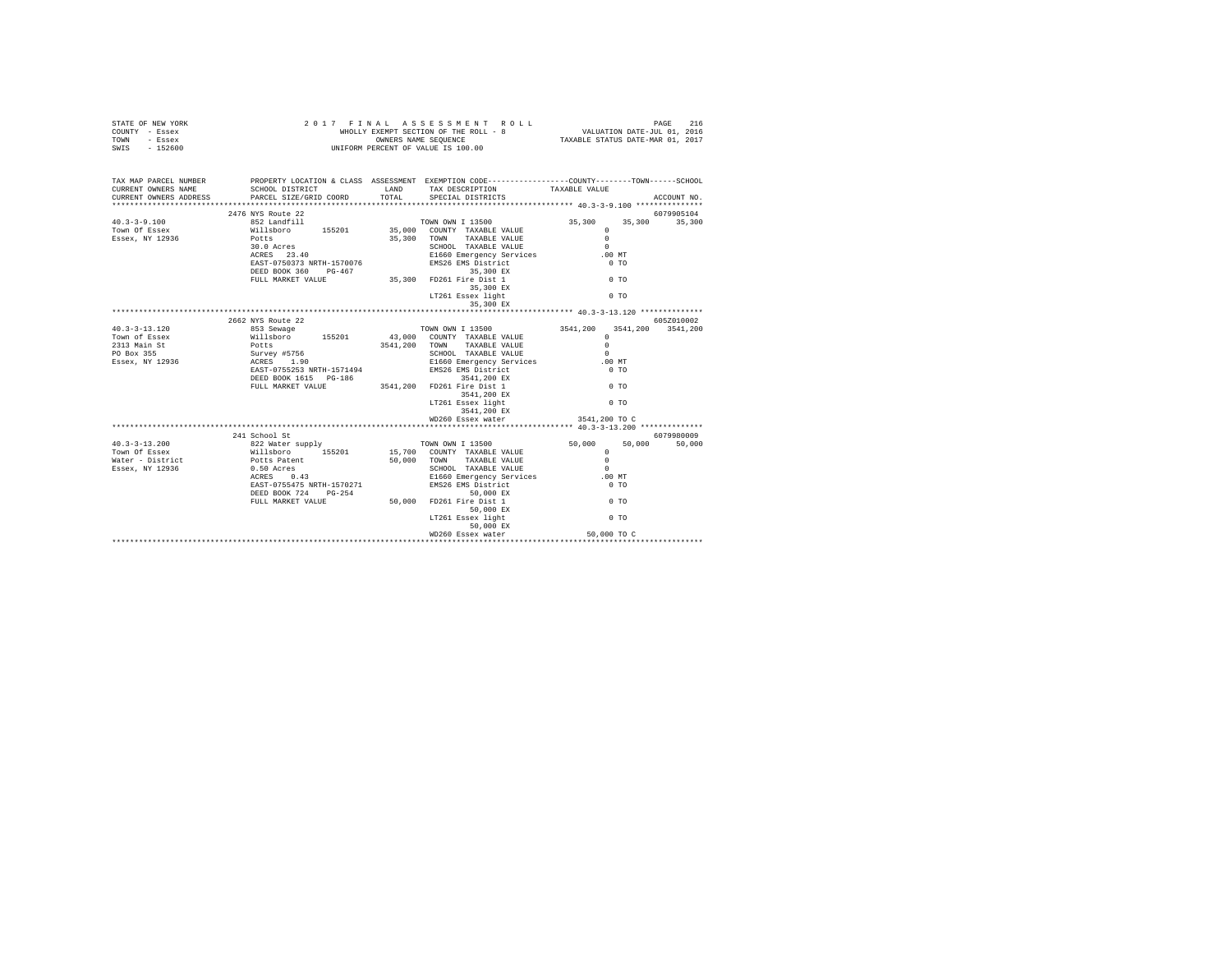| $\begin{array}{cccccccccccc} 2&0&1&7&&F~I~\&M~A~L&A~S~S~E~S~S~M~E~N~T&I\\ &\text{WHOLLY EXEMPT SSCTION OF THE ROLL}-&\text{ROLL}-&\text{S.} \end{array}$<br>SWIS - 152600                                                                                                                                                                                                                                     | WHOLLY EXEMPT SECTION OF THE ROLL - 8 VALUATION DATE-JUL 01, 2016<br>COMMERS NAME SEQUENCE TAXABLE STATUS DATE-MAR 01, 2017 |
|---------------------------------------------------------------------------------------------------------------------------------------------------------------------------------------------------------------------------------------------------------------------------------------------------------------------------------------------------------------------------------------------------------------|-----------------------------------------------------------------------------------------------------------------------------|
| TAX MAP PARCEL NUMBER PROPERTY LOCATION & CLASS ASSESSMENT EXEMPTION CODE--------------COUNTY-------TOWN-----SCHOOL<br>CURRENT OWNERS NAME<br>SCHOOL DISTRICT                    LAND       TAX DESCRIPTION                 TAXABLE VALUE                                                                                                                                                                     |                                                                                                                             |
| CURRENT OWNERS NAME SCHOOL DISIRICI<br>CURRENT OWNERS ADDRESS PARCEL SIZE/GRID COORD<br>TOTAL SPECIAL DISTRICTS<br>ACCOUNT NO.                                                                                                                                                                                                                                                                                |                                                                                                                             |
| 2476 NYS Route 22<br>6079905104                                                                                                                                                                                                                                                                                                                                                                               |                                                                                                                             |
| 35,300<br>35,300 35,300                                                                                                                                                                                                                                                                                                                                                                                       |                                                                                                                             |
| $\Omega$<br>$\begin{tabular}{lllllllllll} \textbf{Will} \textbf{BDrop} & \textbf{155201} & \textbf{55300} & \textbf{TOMN} & \textbf{TXABLE VALUE} & \textbf{0} \\ \textbf{2010} & \textbf{Aresp} & \textbf{1531} & \textbf{S} \\ \textbf{202} & \textbf{152} & \textbf{153} & \textbf{153} \\ \textbf{RRS} & \textbf{23.40} & \textbf{1570076} & \textbf{1580} \\ \textbf{RRS} & \textbf{1587-0750373 NRTH-1$ |                                                                                                                             |
| $0$ TO<br>LT261 Essex light                                                                                                                                                                                                                                                                                                                                                                                   |                                                                                                                             |
| 35,300 EX                                                                                                                                                                                                                                                                                                                                                                                                     |                                                                                                                             |
|                                                                                                                                                                                                                                                                                                                                                                                                               |                                                                                                                             |
|                                                                                                                                                                                                                                                                                                                                                                                                               |                                                                                                                             |
| 40.3-13.120 2662<br>40.3-13.120 2662<br>353.8ewage 155201<br>200 200 200 200 200 200 3541,200 3541,200 3541,200 3541,200<br>2313.8ain.st Williaboro 155201 43,000 200<br>2313.9ain.st Williaboro 155201<br>2313.8ain.st Williaboro 155201<br>                                                                                                                                                                 |                                                                                                                             |
|                                                                                                                                                                                                                                                                                                                                                                                                               |                                                                                                                             |
| 3541,200 EX                                                                                                                                                                                                                                                                                                                                                                                                   |                                                                                                                             |
|                                                                                                                                                                                                                                                                                                                                                                                                               |                                                                                                                             |
|                                                                                                                                                                                                                                                                                                                                                                                                               |                                                                                                                             |
| 10.3 -13.2000 2013<br>10.0001 50.0001 2013<br>10.0001 50.0001 2013<br>15.7000 COUNTY TAXABLE VALUE<br>TOWN ON I 13500<br>TOWN OF ESSEX<br>Milliaboro 155201 15,7000 COUNTY TAXABLE VALUE<br>NATELY AND SCREEN 50,000 TOWN TAXABLE VALUE<br>166                                                                                                                                                                |                                                                                                                             |
| 50,000 TO C<br>WD260 Essex water                                                                                                                                                                                                                                                                                                                                                                              |                                                                                                                             |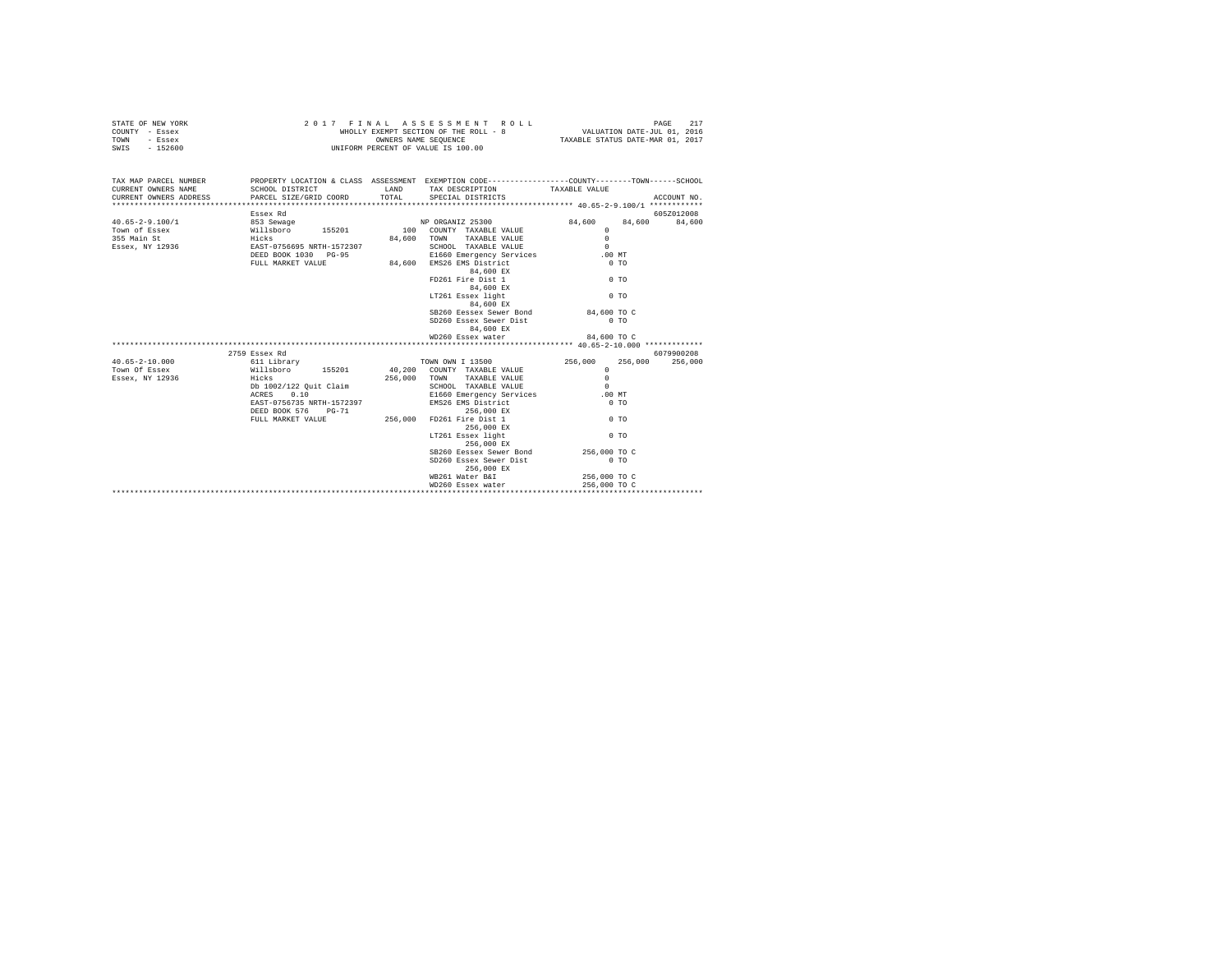| STATE OF NEW YORK                             |                                                                                                  |       | 2017 FINAL ASSESSMENT ROLL           |                                  |             |
|-----------------------------------------------|--------------------------------------------------------------------------------------------------|-------|--------------------------------------|----------------------------------|-------------|
| COUNTY - Essex                                |                                                                                                  |       |                                      |                                  |             |
| TOWN - Essex                                  |                                                                                                  |       | OWNERS NAME SEQUENCE                 | TAXABLE STATUS DATE-MAR 01, 2017 |             |
| SWIS - 152600                                 |                                                                                                  |       | UNIFORM PERCENT OF VALUE IS 100.00   |                                  |             |
|                                               |                                                                                                  |       |                                      |                                  |             |
| TAX MAP PARCEL NUMBER                         | PROPERTY LOCATION & CLASS ASSESSMENT EXEMPTION CODE----------------COUNTY-------TOWN------SCHOOL |       |                                      |                                  |             |
| CURRENT OWNERS NAME                           | SCHOOL DISTRICT TAND TAX DESCRIPTION TAXABLE VALUE                                               |       |                                      |                                  |             |
| CURRENT OWNERS ADDRESS PARCEL SIZE/GRID COORD |                                                                                                  | TOTAL | SPECIAL DISTRICTS                    |                                  | ACCOUNT NO. |
|                                               |                                                                                                  |       |                                      |                                  |             |
|                                               | Essex Rd                                                                                         |       |                                      |                                  | 605Z012008  |
|                                               |                                                                                                  |       |                                      | 84,600 84,600                    | 84,600      |
|                                               |                                                                                                  |       |                                      | $\Omega$                         |             |
|                                               |                                                                                                  |       | 84,600 TOWN TAXABLE VALUE            | $\Omega$                         |             |
|                                               |                                                                                                  |       | SCHOOL TAXABLE VALUE                 | $\Omega$                         |             |
|                                               |                                                                                                  |       | E1660 Emergency Services             | .00MT                            |             |
|                                               | FULL MARKET VALUE                                                                                |       | 84,600 EMS26 EMS District            | 0.70                             |             |
|                                               |                                                                                                  |       | 84,600 EX                            |                                  |             |
|                                               |                                                                                                  |       | FD261 Fire Dist 1                    | 0 <sub>T</sub>                   |             |
|                                               |                                                                                                  |       | 84,600 EX                            |                                  |             |
|                                               |                                                                                                  |       | LT261 Essex light                    | 0 <sub>T</sub>                   |             |
|                                               |                                                                                                  |       | 84,600 EX                            |                                  |             |
|                                               |                                                                                                  |       | SB260 Eessex Sewer Bond 84,600 TO C  |                                  |             |
|                                               |                                                                                                  |       | SD260 Essex Sewer Dist               | $0$ TO                           |             |
|                                               |                                                                                                  |       | 84,600 EX                            |                                  |             |
|                                               |                                                                                                  |       | WD260 Essex water                    | 84,600 TO C                      |             |
|                                               |                                                                                                  |       |                                      |                                  |             |
|                                               |                                                                                                  |       |                                      |                                  | 6079900208  |
| $40.65 - 2 - 10.000$                          |                                                                                                  |       |                                      | 256,000<br>256,000               | 256,000     |
| Town Of Essex                                 |                                                                                                  |       |                                      | $\Omega$                         |             |
| Essex, NY 12936                               |                                                                                                  |       |                                      |                                  |             |
|                                               |                                                                                                  |       |                                      |                                  |             |
|                                               | Db 1002/122 Quit Claim<br>ACRES 0.10                                                             |       |                                      |                                  |             |
|                                               | EAST-0756735 NRTH-1572397                                                                        |       | EMS26 EMS District                   | $0$ TO                           |             |
|                                               | DEED BOOK 576 PG-71                                                                              |       | 256,000 EX                           |                                  |             |
|                                               | PULL MARKET VALUE 256,000                                                                        |       | FD261 Fire Dist 1                    | $0$ TO                           |             |
|                                               |                                                                                                  |       | 256,000 EX                           |                                  |             |
|                                               |                                                                                                  |       | LT261 Essex light                    | 0 <sub>T</sub>                   |             |
|                                               |                                                                                                  |       | 256,000 EX                           |                                  |             |
|                                               |                                                                                                  |       | SB260 Eessex Sewer Bond 256,000 TO C |                                  |             |
|                                               |                                                                                                  |       | SD260 Essex Sewer Dist               | $0$ TO                           |             |
|                                               |                                                                                                  |       | 256,000 EX                           |                                  |             |
|                                               |                                                                                                  |       | WB261 Water B&I                      | 256,000 TO C                     |             |
|                                               |                                                                                                  |       | WD260 Essex water                    | 256,000 TO C                     |             |
|                                               |                                                                                                  |       |                                      |                                  |             |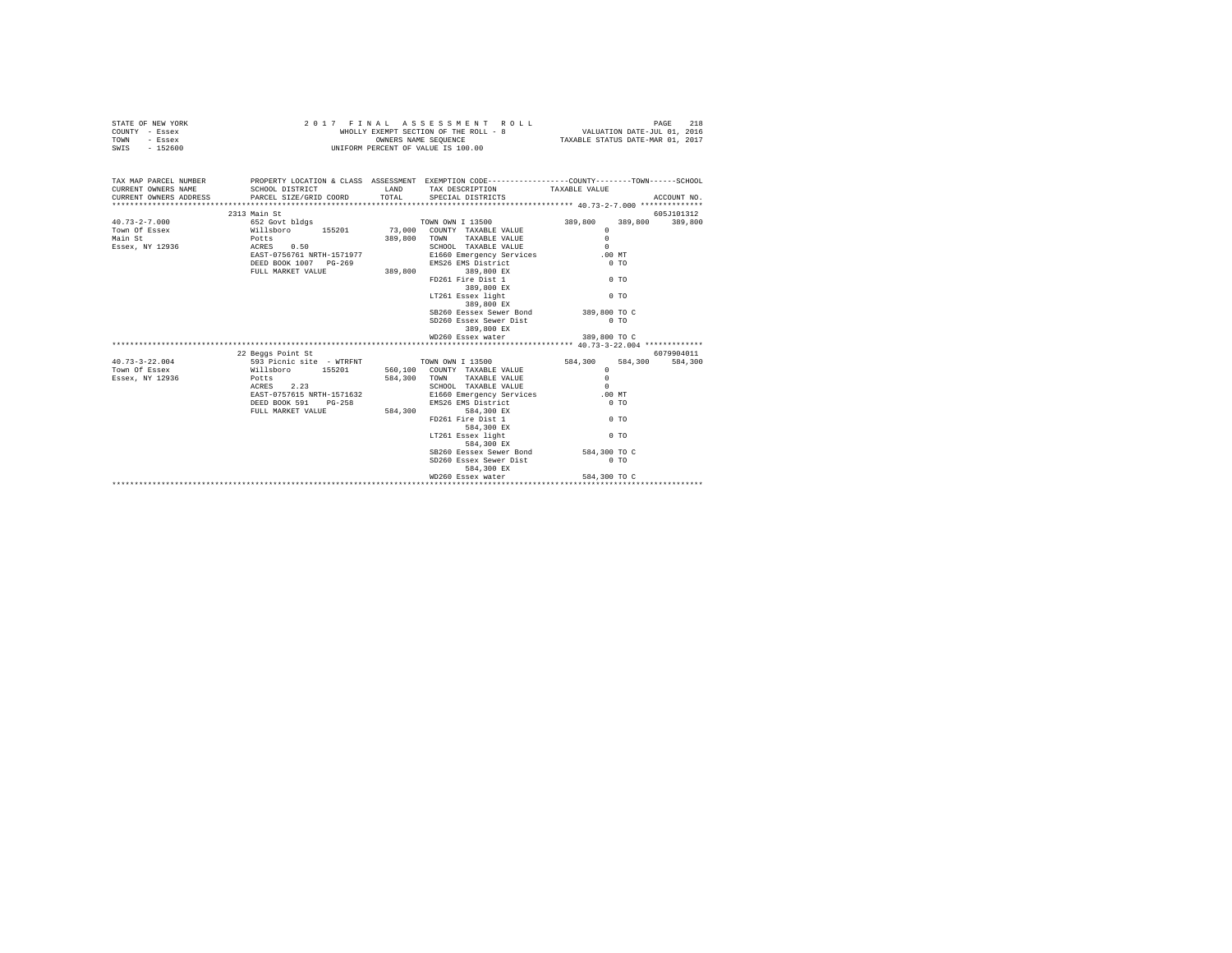| STATE OF NEW YORK                                                                                                    |                                                                                                                                                                                                             | 2017 FINAL ASSESSMENT ROLL                                                  |                | PAGE<br>218 |
|----------------------------------------------------------------------------------------------------------------------|-------------------------------------------------------------------------------------------------------------------------------------------------------------------------------------------------------------|-----------------------------------------------------------------------------|----------------|-------------|
| COUNTY - Essex                                                                                                       |                                                                                                                                                                                                             | WHOLLY EXEMPT SECTION OF THE ROLL - 8 $$\tt VALUATION\ DATE-JUL\ 01,\ 2016$ |                |             |
| TOWN - Essex                                                                                                         |                                                                                                                                                                                                             | TAXABLE STATUS DATE-MAR 01, 2017                                            |                |             |
| SWIS - 152600                                                                                                        | WHOLLY EXEMPT SECTION OF THE ROLL - 8                                                                                                                                                                       |                                                                             |                |             |
|                                                                                                                      |                                                                                                                                                                                                             |                                                                             |                |             |
|                                                                                                                      |                                                                                                                                                                                                             |                                                                             |                |             |
| TAX MAP PARCEL NUMBER PROPERTY LOCATION & CLASS ASSESSMENT EXEMPTION CODE--------------COUNTY-------TOWN------SCHOOL |                                                                                                                                                                                                             |                                                                             |                |             |
| CURRENT OWNERS NAME                                                                                                  | SCHOOL DISTRICT                          LAND        TAX DESCRIPTION                  TAXABLE VALUE                                                                                                         |                                                                             |                |             |
|                                                                                                                      |                                                                                                                                                                                                             |                                                                             |                |             |
|                                                                                                                      |                                                                                                                                                                                                             |                                                                             |                |             |
|                                                                                                                      | 2313 Main St                                                                                                                                                                                                |                                                                             |                | 605J101312  |
|                                                                                                                      |                                                                                                                                                                                                             |                                                                             |                |             |
|                                                                                                                      |                                                                                                                                                                                                             |                                                                             |                |             |
|                                                                                                                      |                                                                                                                                                                                                             |                                                                             |                |             |
|                                                                                                                      |                                                                                                                                                                                                             |                                                                             |                |             |
|                                                                                                                      |                                                                                                                                                                                                             |                                                                             |                |             |
|                                                                                                                      | DEED BOOK 1007 PG-269 EMS26 EMS District<br>FULL MARKET VALUE 389,800 389,800 EX                                                                                                                            |                                                                             | $0$ TO         |             |
|                                                                                                                      |                                                                                                                                                                                                             |                                                                             |                |             |
|                                                                                                                      |                                                                                                                                                                                                             | FD261 Fire Dist 1 0 TO                                                      |                |             |
|                                                                                                                      |                                                                                                                                                                                                             | 389,800 EX<br>LT261 Essex light                                             |                |             |
|                                                                                                                      |                                                                                                                                                                                                             |                                                                             | 0 <sub>T</sub> |             |
|                                                                                                                      |                                                                                                                                                                                                             | 389,800 EX                                                                  |                |             |
|                                                                                                                      |                                                                                                                                                                                                             | SB260 Eessex Sewer Bond                                                     | 389,800 TO C   |             |
|                                                                                                                      |                                                                                                                                                                                                             | SD260 Essex Sewer Dist                                                      | $0$ TO         |             |
|                                                                                                                      |                                                                                                                                                                                                             | 389,800 EX                                                                  |                |             |
|                                                                                                                      |                                                                                                                                                                                                             | WD260 Essex water                                                           | 389,800 TO C   |             |
|                                                                                                                      |                                                                                                                                                                                                             |                                                                             |                |             |
|                                                                                                                      | 22 Beggs Point St                                                                                                                                                                                           |                                                                             | 6079904011     |             |
|                                                                                                                      |                                                                                                                                                                                                             |                                                                             |                | 584,300     |
|                                                                                                                      |                                                                                                                                                                                                             |                                                                             |                |             |
|                                                                                                                      |                                                                                                                                                                                                             |                                                                             |                |             |
|                                                                                                                      |                                                                                                                                                                                                             |                                                                             |                |             |
|                                                                                                                      | EAST-0757615 NRTH-1571632<br>DEED BOOK 591 PG-258 BMS26 EMS District<br>FULL MARKET VALUE 584,300 FOLD FIRE Dist 1<br>FULL MARKET VALUE 584,300 FD261 Fire Dist 1<br>PD261 Fire Dist 1<br>PD261 Fire Dist 1 |                                                                             |                |             |
|                                                                                                                      |                                                                                                                                                                                                             | EMS26 EMS District                                                          | $0$ TO         |             |
|                                                                                                                      |                                                                                                                                                                                                             |                                                                             |                |             |
|                                                                                                                      |                                                                                                                                                                                                             |                                                                             | $0$ TO         |             |
|                                                                                                                      |                                                                                                                                                                                                             | 584,300 EX                                                                  |                |             |
|                                                                                                                      |                                                                                                                                                                                                             | LT261 Essex light                                                           | $0$ TO         |             |
|                                                                                                                      |                                                                                                                                                                                                             | 584,300 EX                                                                  |                |             |
|                                                                                                                      |                                                                                                                                                                                                             | SB260 Eessex Sewer Bond 584,300 TO C                                        |                |             |
|                                                                                                                      |                                                                                                                                                                                                             | SD260 Essex Sewer Dist                                                      | $0$ TO         |             |
|                                                                                                                      |                                                                                                                                                                                                             | 584,300 EX                                                                  |                |             |
|                                                                                                                      |                                                                                                                                                                                                             | WD260 Essex water 584,300 TO C                                              |                |             |
|                                                                                                                      |                                                                                                                                                                                                             |                                                                             |                |             |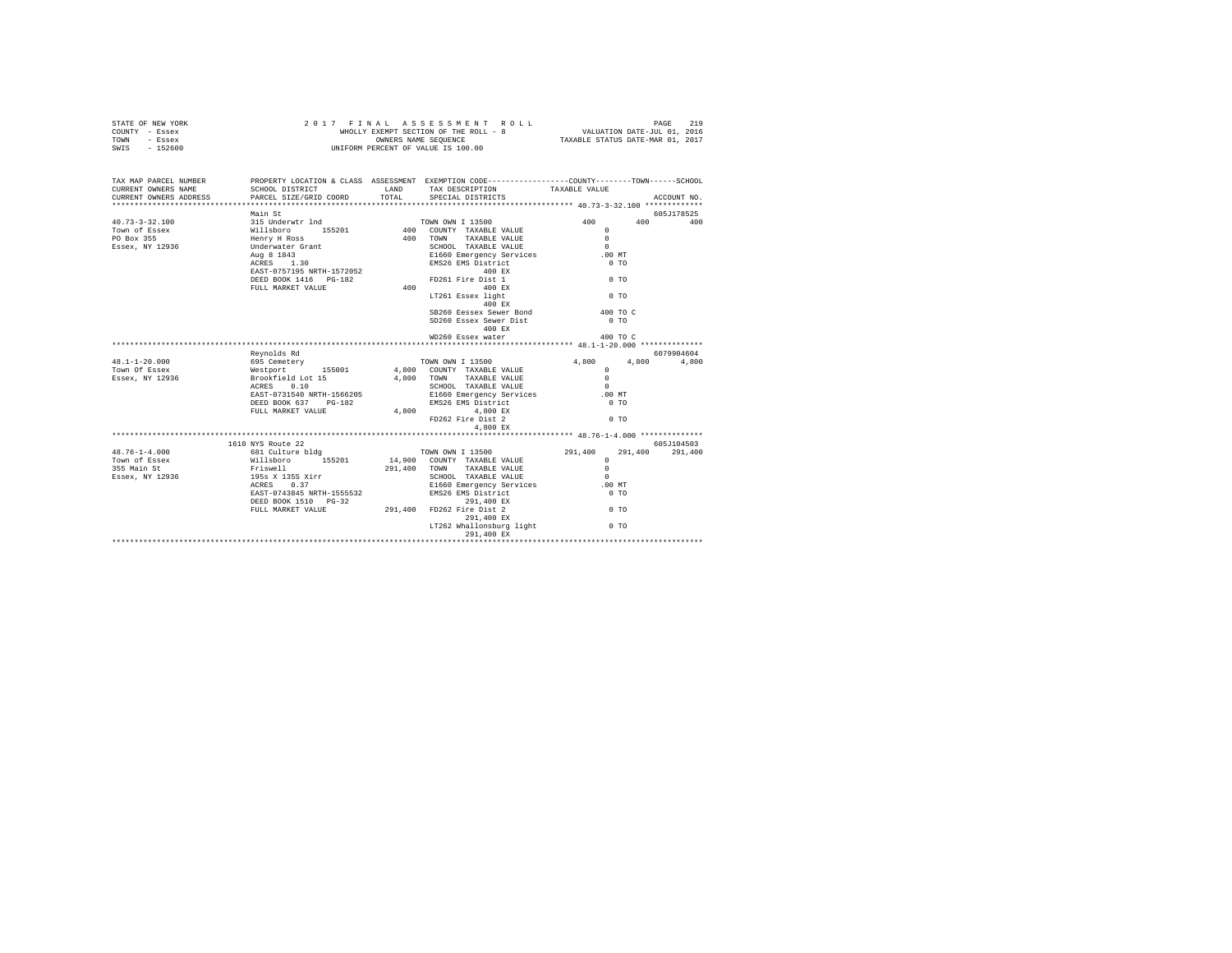| STATE OF NEW YORK<br>COUNTY - Essex<br>TOWN - Essex<br>SWIS - 152600                                                                                                                         | 2017 FINAL ASSESSMENT<br>WHOLLY EXEMPT SECTION OF THE ROLL -<br>WHOLLY EXAMPERS NAME SEQUENCE<br>UNIFORM PERCENT OF VALUE IS 100.00 | 2017 FINAL ASSESSMENT ROLL                                                                                                                                                                                                                                                                                                                                                                                                                                                                                                                                                 |                     |                       |
|----------------------------------------------------------------------------------------------------------------------------------------------------------------------------------------------|-------------------------------------------------------------------------------------------------------------------------------------|----------------------------------------------------------------------------------------------------------------------------------------------------------------------------------------------------------------------------------------------------------------------------------------------------------------------------------------------------------------------------------------------------------------------------------------------------------------------------------------------------------------------------------------------------------------------------|---------------------|-----------------------|
| TAX MAP PARCEL NUMBER PROPERTY LOCATION & CLASS ASSESSMENT EXEMPTION CODE--------------COUNTY-------TOWN------SCHOOL<br>CURRENT OWNERS NAME<br>CURRENT OWNERS NAME<br>CURRENT OWNERS ADDRESS | PARCEL SIZE/GRID COORD                                                                                                              | SCHOOL DISTRICT                     LAND        TAX DESCRIPTION                 TAXABLE VALUE<br>TOTAL SPECIAL DISTRICTS                                                                                                                                                                                                                                                                                                                                                                                                                                                   |                     | ACCOUNT NO.           |
|                                                                                                                                                                                              |                                                                                                                                     |                                                                                                                                                                                                                                                                                                                                                                                                                                                                                                                                                                            |                     |                       |
| $40.73 - 3 - 32.100$                                                                                                                                                                         |                                                                                                                                     |                                                                                                                                                                                                                                                                                                                                                                                                                                                                                                                                                                            | 400 400 400         | 605J178525            |
| Town of Essex<br>PO Box 355<br>Essex, NY 12936                                                                                                                                               |                                                                                                                                     | LT261 Essex light<br>400 EX<br>SB260 Eessex Sewer Bond 400 TO C<br>SD260 Essex Sewer Dist<br>400 EX                                                                                                                                                                                                                                                                                                                                                                                                                                                                        | $0$ TO              |                       |
|                                                                                                                                                                                              |                                                                                                                                     | WD260 Essex water                                                                                                                                                                                                                                                                                                                                                                                                                                                                                                                                                          | $400 \text{ to } C$ |                       |
|                                                                                                                                                                                              | Reynolds Rd                                                                                                                         |                                                                                                                                                                                                                                                                                                                                                                                                                                                                                                                                                                            |                     | 6079904604            |
| 48.1-1-20.000<br>Town Of Essex                                                                                                                                                               |                                                                                                                                     |                                                                                                                                                                                                                                                                                                                                                                                                                                                                                                                                                                            |                     | 4,800                 |
| Essex, NY 12936                                                                                                                                                                              |                                                                                                                                     | $\begin{tabular}{l c c c c c} \multicolumn{1}{c}{\textbf{Reynolds R}} & \multicolumn{1}{c}{\textbf{Reynolds R}} & \multicolumn{1}{c}{\textbf{C00}} & \multicolumn{1}{c}{\textbf{C00}} & \multicolumn{1}{c}{\textbf{C00}} & \multicolumn{1}{c}{\textbf{C00}} & \multicolumn{1}{c}{\textbf{C00}} & \multicolumn{1}{c}{\textbf{C00}} & \multicolumn{1}{c}{\textbf{C00}} & \multicolumn{1}{c}{\textbf{C00}} & \multicolumn{1}{c}{\textbf{C00$<br>4,800 EX                                                                                                                      |                     |                       |
|                                                                                                                                                                                              |                                                                                                                                     |                                                                                                                                                                                                                                                                                                                                                                                                                                                                                                                                                                            |                     |                       |
| $48.76 - 1 - 4.000$                                                                                                                                                                          | 1610 NYS Route 22                                                                                                                   |                                                                                                                                                                                                                                                                                                                                                                                                                                                                                                                                                                            |                     | 605J104503<br>291,400 |
| Town of Essex<br>355 Main St<br>Essex, NY 12936                                                                                                                                              |                                                                                                                                     | $\begin{tabular}{c c c} \textbf{1610 NYS RoutC} & \textbf{291,400} & \textbf{7OWN ONN I} & \textbf{13500} & \textbf{291,400} & \textbf{291,400} \\ \textbf{1631 Culture b1dg} & \textbf{155201} & \textbf{14,900} & \textbf{7OWN Y} & \textbf{TXABLE VALUE} & \textbf{0} \\ \textbf{1511} & \textbf{1510} & \textbf{291,400} & \textbf{7OWN Y} & \textbf{TXABLE VALUE} & \textbf{0} \\ \textbf{195$<br>291,400 EX<br>PEED BOOK 1510 PG-32<br>FULL MARKET VALUE<br>291,400 FD262 Fire Dist 2<br>291,400 EX<br>291,400 EX<br>$291,400$ EX<br>LT262 Whallonsburg light $0$ TO | <b>O</b> TO         |                       |
|                                                                                                                                                                                              |                                                                                                                                     | 291,400 EX                                                                                                                                                                                                                                                                                                                                                                                                                                                                                                                                                                 |                     |                       |
|                                                                                                                                                                                              |                                                                                                                                     |                                                                                                                                                                                                                                                                                                                                                                                                                                                                                                                                                                            |                     |                       |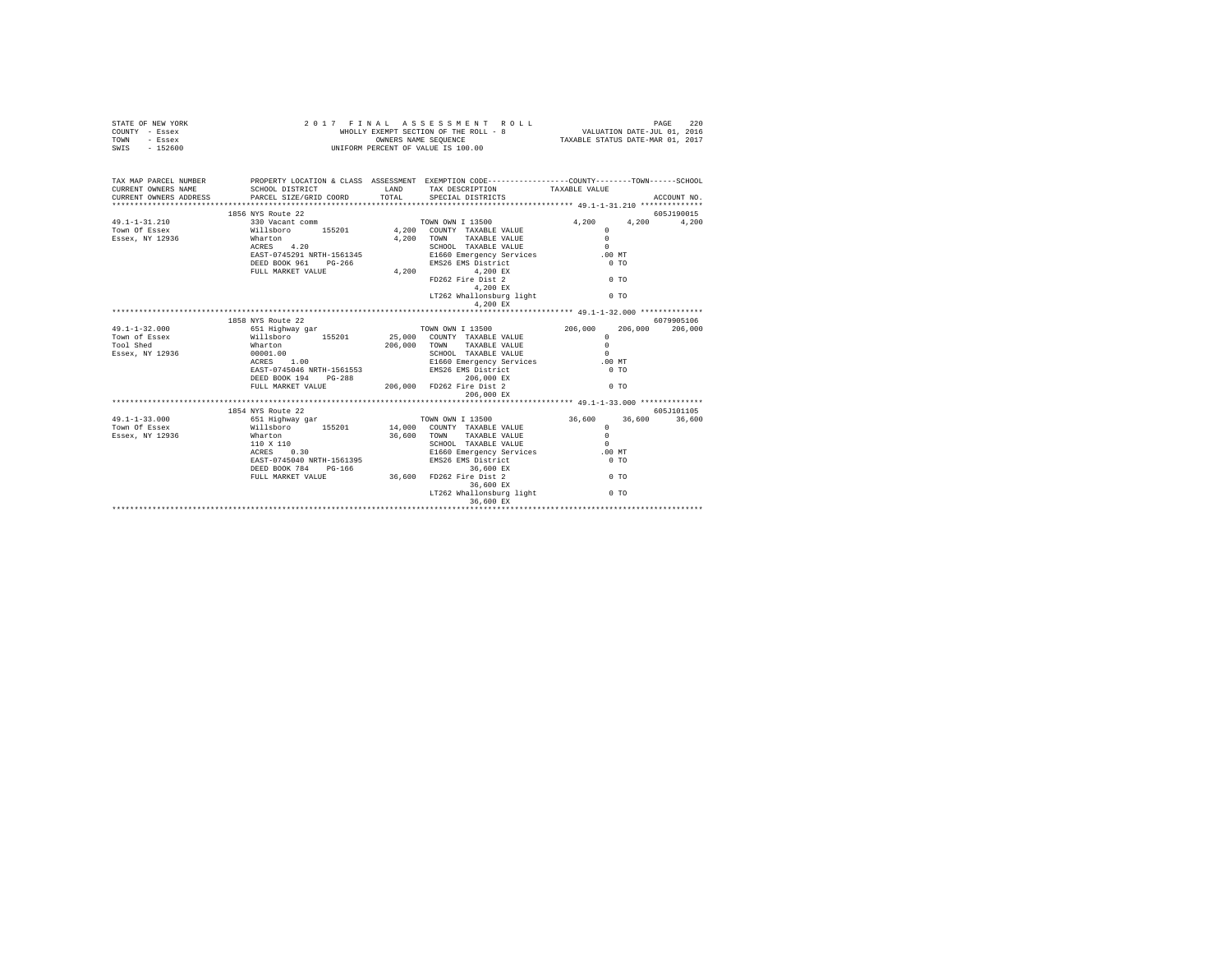| STATE OF NEW YORK<br>COUNTY - Essex<br>TOWN<br>- Essex                                                                | 2 0 1 7 F I N A L A S S E S S M E N T R (NHOLLY EXEMPT SECTION OF THE ROLL - 8<br>WHOLLY EXEMPT SECTION OF THE ROLL - 8<br>UNIFORM PERCENT OF VALUE IS 100.00 |                                                                                                 |                |                    |
|-----------------------------------------------------------------------------------------------------------------------|---------------------------------------------------------------------------------------------------------------------------------------------------------------|-------------------------------------------------------------------------------------------------|----------------|--------------------|
| SWIS - 152600                                                                                                         |                                                                                                                                                               |                                                                                                 |                |                    |
| TAX MAP PARCEL NUMBER PROPERTY LOCATION & CLASS ASSESSMENT EXEMPTION CODE---------------COUNTY-------TOWN------SCHOOL |                                                                                                                                                               |                                                                                                 |                |                    |
| CURRENT OWNERS NAME                                                                                                   |                                                                                                                                                               |                                                                                                 |                | ACCOUNT NO.        |
| CURRENT OWNERS ADDRESS                                                                                                |                                                                                                                                                               |                                                                                                 |                |                    |
|                                                                                                                       | 1856 NYS Route 22                                                                                                                                             |                                                                                                 |                | 605J190015         |
|                                                                                                                       |                                                                                                                                                               |                                                                                                 |                | 4,200 4,200        |
|                                                                                                                       |                                                                                                                                                               |                                                                                                 |                |                    |
|                                                                                                                       |                                                                                                                                                               |                                                                                                 |                |                    |
|                                                                                                                       |                                                                                                                                                               |                                                                                                 |                |                    |
|                                                                                                                       |                                                                                                                                                               |                                                                                                 |                |                    |
|                                                                                                                       |                                                                                                                                                               | DEED BOOK 961 PG-266 BMS26 EMS District 0 TO TO FULL MARKET VALUE 4,200 BMS26 EMS District 0 TO |                |                    |
|                                                                                                                       |                                                                                                                                                               |                                                                                                 | 0 <sub>T</sub> |                    |
|                                                                                                                       |                                                                                                                                                               | FD262 Fire Dist 2<br>4,200 EX                                                                   |                |                    |
|                                                                                                                       |                                                                                                                                                               | 4,200 EX<br>LT262 Whallonsburg light 6 0 TO                                                     |                |                    |
|                                                                                                                       |                                                                                                                                                               | 4,200 EX                                                                                        |                |                    |
|                                                                                                                       |                                                                                                                                                               |                                                                                                 |                |                    |
|                                                                                                                       | 1858 NYS Route 22                                                                                                                                             |                                                                                                 |                | 6079905106         |
| $49.1 - 1 - 32.000$                                                                                                   | 651 Highway gar                                                                                                                                               | TOWN OWN I 13500                                                                                | 206,000        | 206,000<br>206,000 |
|                                                                                                                       |                                                                                                                                                               |                                                                                                 | $\Omega$       |                    |
|                                                                                                                       |                                                                                                                                                               |                                                                                                 | $\Omega$       |                    |
|                                                                                                                       |                                                                                                                                                               |                                                                                                 | $\sim$         |                    |
|                                                                                                                       |                                                                                                                                                               |                                                                                                 | .00 MT         |                    |
|                                                                                                                       |                                                                                                                                                               |                                                                                                 | $0$ TO         |                    |
|                                                                                                                       |                                                                                                                                                               | DEED BOOK 194 PG-288 206,000 FD262 FULL MARKET VALUE 206,000 FD262 Fire Dist 2                  | 0 <sub>T</sub> |                    |
|                                                                                                                       |                                                                                                                                                               | 206,000 EX                                                                                      |                |                    |
|                                                                                                                       |                                                                                                                                                               |                                                                                                 |                |                    |
|                                                                                                                       | 1854 NYS Route 22<br>61 Highway gar<br>Williaboro 155201 14,000 COUNTY TAXABLE VALUE                                                                          |                                                                                                 |                |                    |
| $49.1 - 1 - 33.000$                                                                                                   |                                                                                                                                                               |                                                                                                 |                |                    |
| Town Of Essex                                                                                                         |                                                                                                                                                               |                                                                                                 |                |                    |
| Essex, NY 12936                                                                                                       |                                                                                                                                                               |                                                                                                 |                |                    |
|                                                                                                                       |                                                                                                                                                               |                                                                                                 |                |                    |
|                                                                                                                       |                                                                                                                                                               |                                                                                                 |                |                    |
|                                                                                                                       |                                                                                                                                                               |                                                                                                 |                |                    |
|                                                                                                                       |                                                                                                                                                               |                                                                                                 | $0$ TO         |                    |
|                                                                                                                       |                                                                                                                                                               |                                                                                                 |                |                    |
|                                                                                                                       |                                                                                                                                                               | LT262 Whallonsburg light 0 TO                                                                   |                |                    |
|                                                                                                                       |                                                                                                                                                               |                                                                                                 |                |                    |
|                                                                                                                       |                                                                                                                                                               |                                                                                                 |                |                    |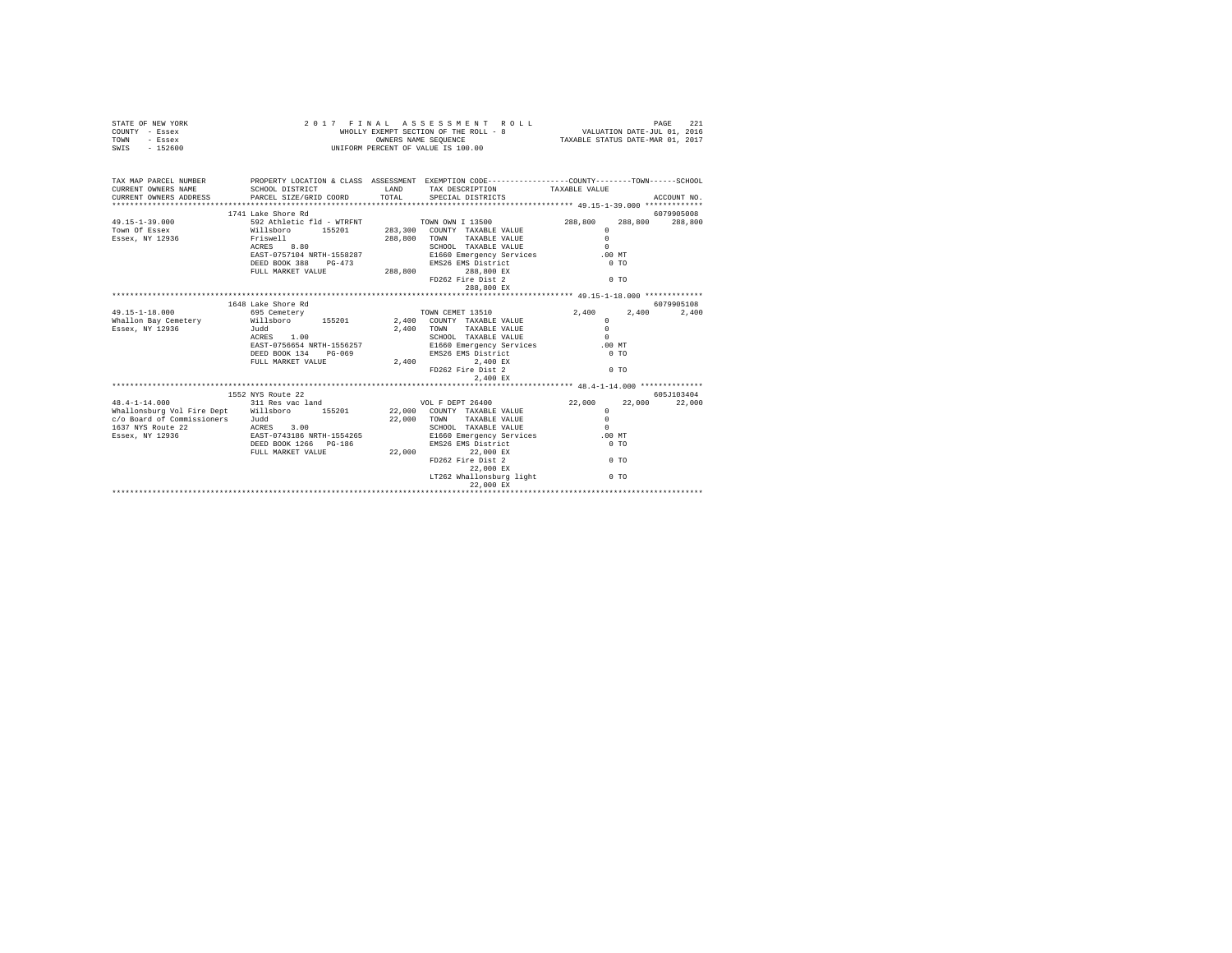| STATE OF NEW YORK                                                       |                                                                                                                         |             | FINAL ASSESSMENT ROLL MEDIATION DATE 221<br>WHOLLY EXEMPT SECTION OF THE ROLL - 8 VALUATION DATE-JUL 01, 2016<br>OWNERS NAME SEQUENCE TAXABLE STATUS DATE-MAR 01, 2017<br>2017 FINAL ASSESSMENT ROLL |                                                |               |
|-------------------------------------------------------------------------|-------------------------------------------------------------------------------------------------------------------------|-------------|------------------------------------------------------------------------------------------------------------------------------------------------------------------------------------------------------|------------------------------------------------|---------------|
| COUNTY - Essex                                                          |                                                                                                                         |             |                                                                                                                                                                                                      |                                                |               |
| TOWN - Essex                                                            |                                                                                                                         |             |                                                                                                                                                                                                      |                                                |               |
| SWIS - 152600                                                           |                                                                                                                         |             |                                                                                                                                                                                                      |                                                |               |
|                                                                         | WHOLLY EXEMPT SECTION OF THE COLLECT DIMERS NAME SEQUENCE<br>OWNERS NAME SEQUENCE<br>UNIFORM PERCENT OF VALUE IS 100.00 |             |                                                                                                                                                                                                      |                                                |               |
|                                                                         |                                                                                                                         |             |                                                                                                                                                                                                      |                                                |               |
|                                                                         |                                                                                                                         |             |                                                                                                                                                                                                      |                                                |               |
| TAX MAP PARCEL NUMBER                                                   |                                                                                                                         |             | PROPERTY LOCATION & CLASS ASSESSMENT EXEMPTION CODE---------------COUNTY-------TOWN-----SCHOOL                                                                                                       |                                                |               |
| CURRENT OWNERS NAME                                                     | SCHOOL DISTRICT                                                                                                         |             | LAND TAX DESCRIPTION                                                                                                                                                                                 | TAXABLE VALUE                                  |               |
| CURRENT OWNERS ADDRESS PARCEL SIZE/GRID COORD                           |                                                                                                                         | TOTAL       | SPECIAL DISTRICTS                                                                                                                                                                                    |                                                | ACCOUNT NO.   |
|                                                                         |                                                                                                                         |             |                                                                                                                                                                                                      |                                                |               |
|                                                                         | 1741 Lake Shore Rd                                                                                                      |             |                                                                                                                                                                                                      |                                                | 6079905008    |
| $49.15 - 1 - 39.000$                                                    |                                                                                                                         |             |                                                                                                                                                                                                      | 288,800<br>288,800 288,800                     |               |
| Town Of Essex                                                           |                                                                                                                         |             |                                                                                                                                                                                                      | $\Omega$                                       |               |
| Essex, NY 12936                                                         |                                                                                                                         |             | 288,800 TOWN TAXABLE VALUE                                                                                                                                                                           | $\Omega$                                       |               |
|                                                                         | Friswell<br>ACRES 8.80                                                                                                  |             | SCHOOL TAXABLE VALUE                                                                                                                                                                                 | $\Omega$                                       |               |
|                                                                         | EAST-0757104 NRTH-1558287                                                                                               |             | E1660 Emergency Services                                                                                                                                                                             | .00MT                                          |               |
|                                                                         |                                                                                                                         |             | DEED BOOK 388 PG-473 EMS26 EMS District                                                                                                                                                              | $0$ TO                                         |               |
|                                                                         | FULL MARKET VALUE                                                                                                       |             |                                                                                                                                                                                                      |                                                |               |
|                                                                         |                                                                                                                         |             | 288,800 288,800 EX<br>FD262 Fire Dist 2                                                                                                                                                              | $00$ TO                                        |               |
|                                                                         |                                                                                                                         |             | 288,800 EX                                                                                                                                                                                           |                                                |               |
|                                                                         |                                                                                                                         |             |                                                                                                                                                                                                      |                                                |               |
|                                                                         | 1648 Lake Shore Rd                                                                                                      |             |                                                                                                                                                                                                      |                                                | 6079905108    |
| 49.15-1-18.000                                                          | 695 Cemetery                                                                                                            |             |                                                                                                                                                                                                      | 2.400 2.400                                    | 2,400         |
| Whallon Bay Cemetery                                                    | 093 Cemecery<br>Willsboro 155201<br>Judd                                                                                |             | TOWN CEMET 13510<br>2,400 COUNTY TAXABLE VALUE                                                                                                                                                       | $\sim$                                         |               |
| Essex, NY 12936                                                         |                                                                                                                         | 2,400 TOWN  | TAXABLE VALUE                                                                                                                                                                                        | $\Omega$                                       |               |
|                                                                         | Judd<br>ACRES 1.00                                                                                                      |             | SCHOOL TAXABLE VALUE                                                                                                                                                                                 | $\sim$                                         |               |
|                                                                         | EAST-0756654 NRTH-1556257                                                                                               |             | E1660 Emergency Services                                                                                                                                                                             | .00MT                                          |               |
|                                                                         | DEED BOOK 134 PG-069                                                                                                    |             | EMS26 EMS District<br>2,400 2,400                                                                                                                                                                    | $0$ TO                                         |               |
|                                                                         | FULL MARKET VALUE                                                                                                       |             |                                                                                                                                                                                                      |                                                |               |
|                                                                         |                                                                                                                         |             | 2,400 2,400 EX<br>FD262 Fire Dist 2                                                                                                                                                                  | $\sim$ 0 TO                                    |               |
|                                                                         |                                                                                                                         |             | 2,400 EX                                                                                                                                                                                             |                                                |               |
|                                                                         |                                                                                                                         |             |                                                                                                                                                                                                      | ***************** 48.4-1-14.000 ************** |               |
|                                                                         | 1552 NYS Route 22                                                                                                       |             |                                                                                                                                                                                                      |                                                | 605J103404    |
| $48.4 - 1 - 14.000$                                                     | 311 Res vac land                                                                                                        |             | VOL F DEPT 26400                                                                                                                                                                                     |                                                | 22,000 22,000 |
| Whallonsburg Vol Fire Dept Willsboro 155201 22,000 COUNTY TAXABLE VALUE |                                                                                                                         |             |                                                                                                                                                                                                      | $22,000$ $_{\odot}$                            |               |
|                                                                         |                                                                                                                         |             |                                                                                                                                                                                                      | $\Omega$                                       |               |
| c/o Board of Commissioners Judd                                         |                                                                                                                         | 22,000 TOWN | TAXABLE VALUE                                                                                                                                                                                        | $\sim$                                         |               |
| 1637 NYS Route 22                                                       | ACRES 3.00<br>EAST-0743186 NRTH-1554265                                                                                 |             | SCHOOL TAXABLE VALUE                                                                                                                                                                                 | .00 MT                                         |               |
| Essex, NY 12936                                                         |                                                                                                                         |             | E1660 Emergency Services                                                                                                                                                                             |                                                |               |
|                                                                         | DEED BOOK 1266 PG-186                                                                                                   |             | EMS26 EMS District                                                                                                                                                                                   | $0$ TO                                         |               |
|                                                                         | FULL MARKET VALUE                                                                                                       |             |                                                                                                                                                                                                      |                                                |               |
|                                                                         |                                                                                                                         |             |                                                                                                                                                                                                      | $\sim$ 0 TO                                    |               |
|                                                                         |                                                                                                                         |             |                                                                                                                                                                                                      |                                                |               |
|                                                                         |                                                                                                                         |             | EMS26 EMS DISCLICE<br>22,000 EX<br>FD262 Fire Dist 2<br>PD262 Fire Dist 2<br>P 000 EX                                                                                                                |                                                |               |
|                                                                         |                                                                                                                         |             | LT262 Whallonsburg light                                                                                                                                                                             | 0 <sub>T</sub>                                 |               |
|                                                                         |                                                                                                                         |             | 22,000 EX                                                                                                                                                                                            |                                                |               |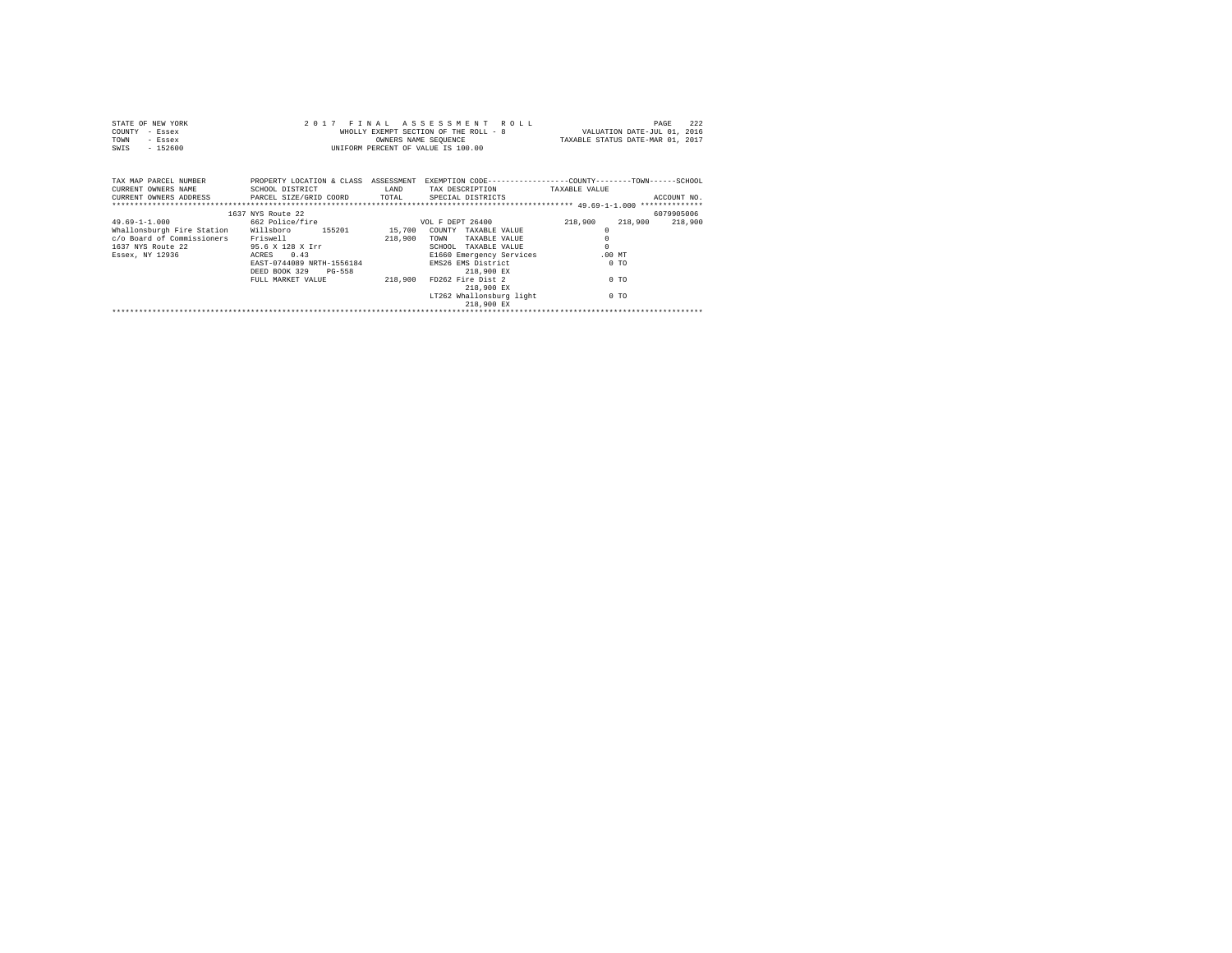| STATE OF NEW YORK<br>COUNTY<br>- Essex<br><b>TOWN</b><br>- Essex<br>$-152600$<br>SWIS                                                                      | OWNERS NAME SEQUENCE<br>UNIFORM PERCENT OF VALUE IS 100.00 |         | 2017 FINAL ASSESSMENT ROLL | 222<br>PAGE<br>WHOLLY EXEMPT SECTION OF THE ROLL - 8 WALUATION DATE-JUL 01, 2016<br>OWNERS NAME SEQUENCE TAXABLE STATUS DATE-MAR 01, 2017 |
|------------------------------------------------------------------------------------------------------------------------------------------------------------|------------------------------------------------------------|---------|----------------------------|-------------------------------------------------------------------------------------------------------------------------------------------|
| TAX MAP PARCEL NUMBER TROPERTY LOCATION & CLASS ASSESSMENT<br>CURRENT OWNERS NAME<br>CURRENT OWNERS ADDRESS FARCEL SIZE/GRID COORD TOTAL SPECIAL DISTRICTS | SCHOOL DISTRICT                                            | LAND    | TAX DESCRIPTION            | EXEMPTION CODE-----------------COUNTY-------TOWN------SCHOOL<br>TAXABLE VALUE<br>ACCOUNT NO.                                              |
|                                                                                                                                                            | 1637 NYS Route 22                                          |         |                            | 6079905006                                                                                                                                |
| $49.69 - 1 - 1.000$                                                                                                                                        | 662 Police/fire                                            |         | VOL F DEPT 26400           | 218,900<br>218,900<br>218,900                                                                                                             |
| Whallonsburgh Fire Station Willsboro 155201 15,700 COUNTY TAXABLE VALUE                                                                                    |                                                            |         |                            | $\Omega$                                                                                                                                  |
| c/o Board of Commissioners                                                                                                                                 | Friswell                                                   | 218,900 | TAXABLE VALUE<br>TOWN      | $\circ$                                                                                                                                   |
| 1637 NYS Route 22                                                                                                                                          | 95.6 X 128 X Irr                                           |         | SCHOOL<br>TAXABLE VALUE    | $\Omega$                                                                                                                                  |
| Essex, NY 12936                                                                                                                                            | ACRES 0.43                                                 |         | E1660 Emergency Services   | $.00$ MT                                                                                                                                  |
|                                                                                                                                                            | EAST-0744089 NRTH-1556184                                  |         | EMS26 EMS District         | $0$ TO                                                                                                                                    |
|                                                                                                                                                            | DEED BOOK 329 PG-558                                       |         | 218,900 EX                 |                                                                                                                                           |
|                                                                                                                                                            | FULL MARKET VALUE                                          | 218,900 | FD262 Fire Dist 2          | 0 <sub>0</sub>                                                                                                                            |
|                                                                                                                                                            |                                                            |         | 218,900 EX                 |                                                                                                                                           |
|                                                                                                                                                            |                                                            |         | LT262 Whallonsburg light   | 0 <sub>0</sub>                                                                                                                            |
|                                                                                                                                                            |                                                            |         | 218,900 EX                 |                                                                                                                                           |
|                                                                                                                                                            |                                                            |         |                            |                                                                                                                                           |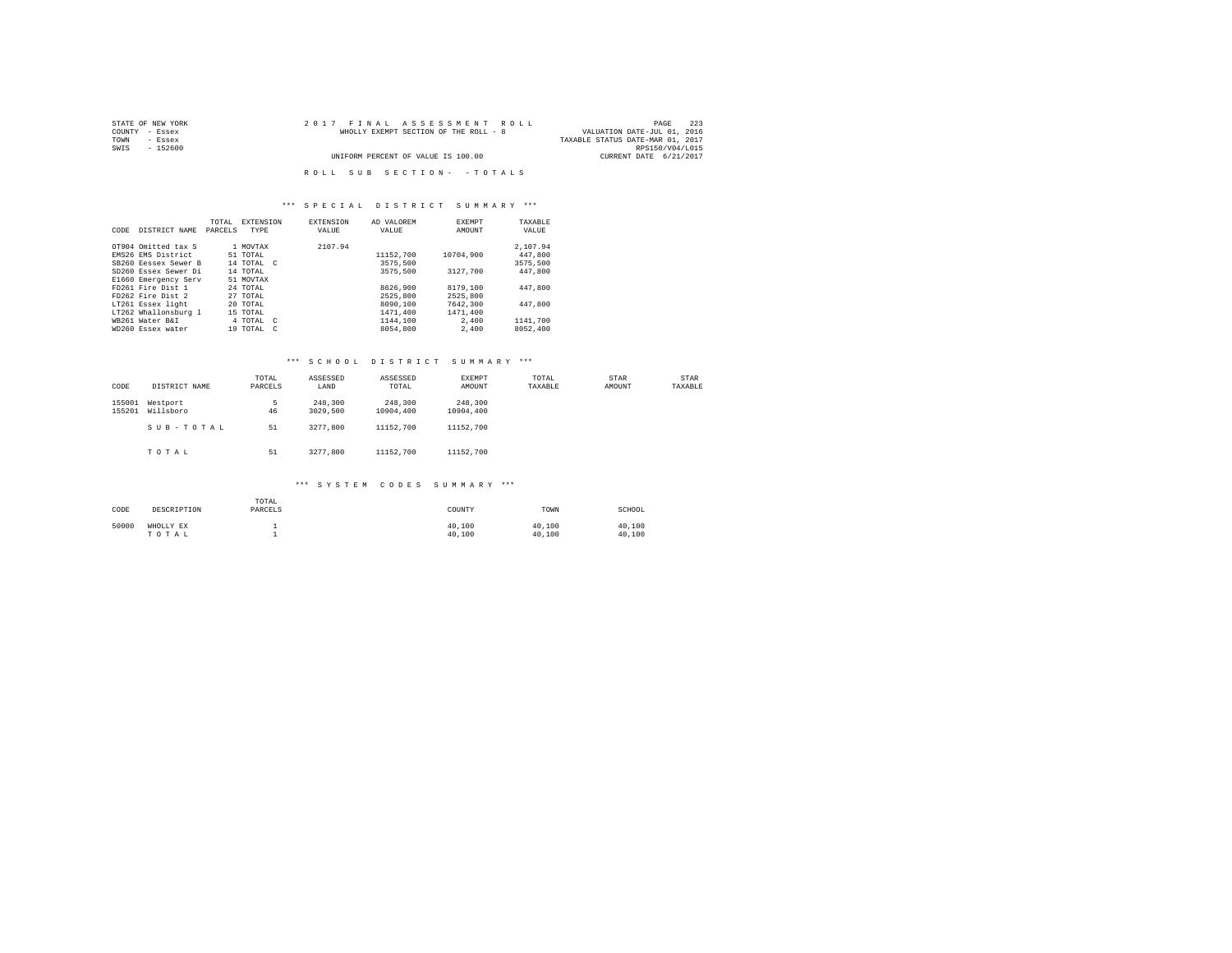| STATE OF NEW YORK | 2017 FINAL ASSESSMENT ROLL            | 223<br>PAGE                      |
|-------------------|---------------------------------------|----------------------------------|
| COUNTY - Essex    | WHOLLY EXEMPT SECTION OF THE ROLL - 8 | VALUATION DATE-JUL 01, 2016      |
| TOWN<br>- Essex   |                                       | TAXABLE STATUS DATE-MAR 01, 2017 |
| SWIS<br>- 152600  |                                       | RPS150/V04/L015                  |
|                   | UNIFORM PERCENT OF VALUE IS 100.00    | CURRENT DATE 6/21/2017           |
|                   | ROLL SUB SECTION- - TOTALS            |                                  |

#### \*\*\* S P E C I A L D I S T R I C T S U M M A R Y \*\*\*

| CODE | DISTRICT NAME        | TOTAL<br>PARCELS | <b>EXTENSION</b><br><b>TYPE</b> | <b>EXTENSION</b><br>VALUE | AD VALOREM<br>VALUE | <b>EXEMPT</b><br>AMOUNT | TAXABLE<br>VALUE |
|------|----------------------|------------------|---------------------------------|---------------------------|---------------------|-------------------------|------------------|
|      | OT904 Omitted tax S  |                  | 1 MOVTAX                        | 2107.94                   |                     |                         | 2.107.94         |
|      | EMS26 EMS District   |                  | 51 TOTAL                        |                           | 11152.700           | 10704.900               | 447.800          |
|      | SB260 Eessex Sewer B |                  | 14 TOTAL C                      |                           | 3575,500            |                         | 3575,500         |
|      | SD260 Essex Sewer Di |                  | 14 TOTAL                        |                           | 3575,500            | 3127.700                | 447,800          |
|      | E1660 Emergency Serv |                  | 51 MOVTAX                       |                           |                     |                         |                  |
|      | FD261 Fire Dist 1    |                  | 24 TOTAL                        |                           | 8626,900            | 8179,100                | 447.800          |
|      | FD262 Fire Dist 2    |                  | 27 TOTAL                        |                           | 2525,800            | 2525,800                |                  |
|      | LT261 Essex light    |                  | 20 TOTAL                        |                           | 8090,100            | 7642,300                | 447.800          |
|      | LT262 Whallonsburg 1 |                  | 15 TOTAL                        |                           | 1471,400            | 1471.400                |                  |
|      | WR261 Water R&T      |                  | 4 TOTAL C                       |                           | 1144,100            | 2,400                   | 1141,700         |
|      | WD260 Essex water    |                  | 19 TOTAL C                      |                           | 8054,800            | 2,400                   | 8052,400         |

### \*\*\* S C H O O L D I S T R I C T S U M M A R Y \*\*\*

| CODE             | DISTRICT NAME         | TOTAL<br>PARCELS | ASSESSED<br>LAND    | ASSESSED<br>TOTAL    | EXEMPT<br>AMOUNT     | TOTAL<br>TAXABLE | STAR<br>AMOUNT | STAR<br>TAXABLE |
|------------------|-----------------------|------------------|---------------------|----------------------|----------------------|------------------|----------------|-----------------|
| 155001<br>155201 | Westport<br>Willsboro | 5<br>46          | 248,300<br>3029,500 | 248,300<br>10904,400 | 248,300<br>10904,400 |                  |                |                 |
|                  | SUB-TOTAL             | 51               | 3277.800            | 11152,700            | 11152,700            |                  |                |                 |
|                  | TOTAL                 | 51               | 3277.800            | 11152,700            | 11152,700            |                  |                |                 |

| CODE  | DESCRIPTION        | TOTAL<br>PARCELS | COUNTY           | TOWN             | SCHOOL           |
|-------|--------------------|------------------|------------------|------------------|------------------|
| 50000 | WHOLLY EX<br>TOTAL |                  | 40.100<br>40.100 | 40.100<br>40.100 | 40.100<br>40.100 |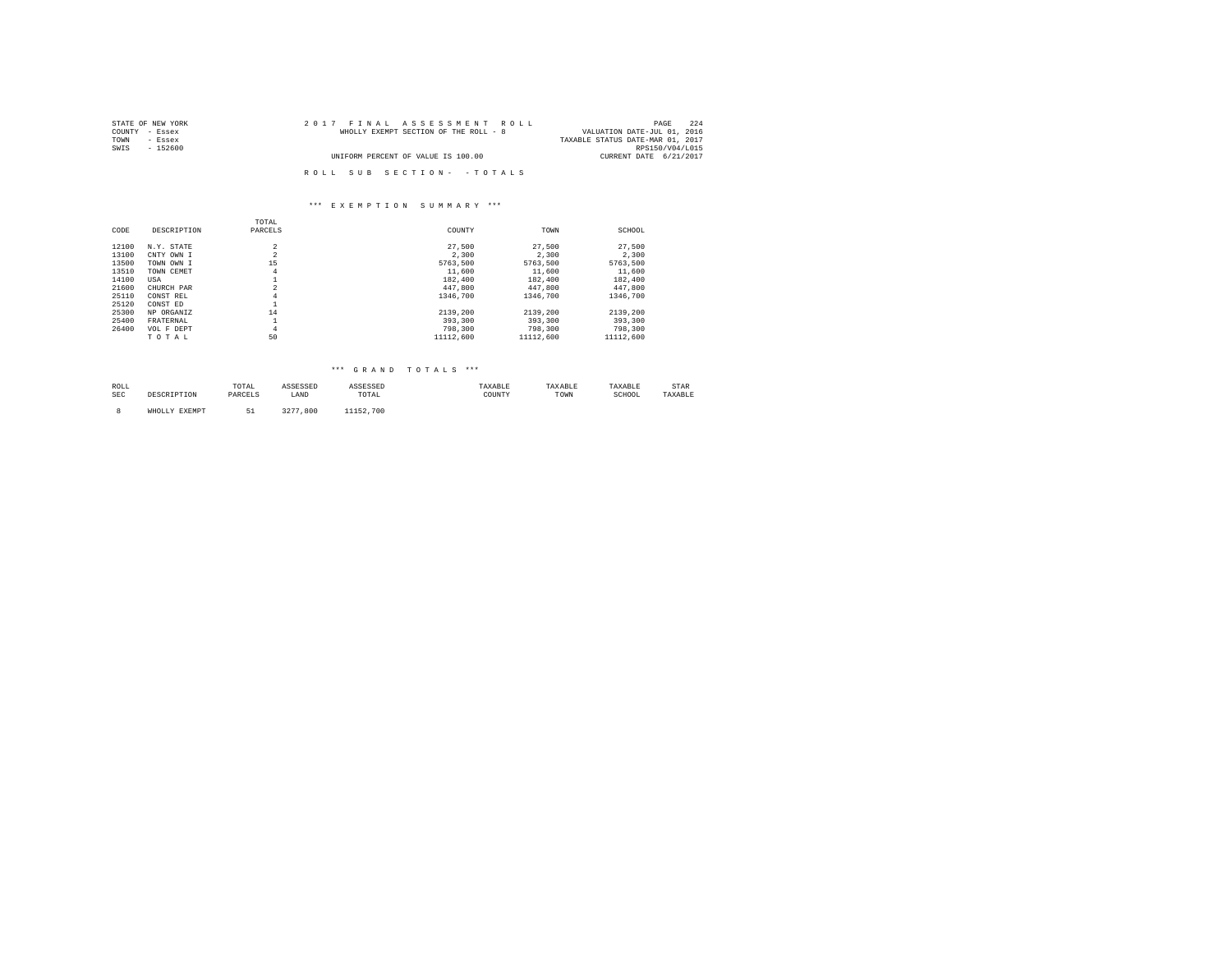| STATE OF NEW YORK | 2017 FINAL ASSESSMENT ROLL            | 224<br>PAGE                      |
|-------------------|---------------------------------------|----------------------------------|
| COUNTY - Essex    | WHOLLY EXEMPT SECTION OF THE ROLL - 8 | VALUATION DATE-JUL 01, 2016      |
| TOWN<br>- Essex   |                                       | TAXABLE STATUS DATE-MAR 01, 2017 |
| SWIS<br>$-152600$ |                                       | RPS150/V04/L015                  |
|                   | UNIFORM PERCENT OF VALUE IS 100.00    | CURRENT DATE 6/21/2017           |
|                   |                                       |                                  |
|                   | ROLL SUB SECTION- - TOTALS            |                                  |

|       |             | TOTAL              |           |           |           |
|-------|-------------|--------------------|-----------|-----------|-----------|
| CODE  | DESCRIPTION | PARCELS            | COUNTY    | TOWN      | SCHOOL    |
| 12100 | N.Y. STATE  | $\overline{a}$     | 27.500    | 27,500    | 27.500    |
| 13100 | CNTY OWN I  | $\overline{a}$     | 2,300     | 2.300     | 2.300     |
| 13500 | TOWN OWN I  | 15                 | 5763.500  | 5763.500  | 5763.500  |
| 13510 | TOWN CEMET  | $\overline{4}$     | 11,600    | 11,600    | 11,600    |
| 14100 | USA         |                    | 182,400   | 182,400   | 182,400   |
| 21600 | CHURCH PAR  | $\overline{2}$     | 447,800   | 447.800   | 447.800   |
| 25110 | CONST REL   | $\overline{4}$     | 1346,700  | 1346,700  | 1346,700  |
| 25120 | CONST ED    | ÷.                 |           |           |           |
| 25300 | NP ORGANIZ  | 14                 | 2139,200  | 2139,200  | 2139.200  |
| 25400 | FRATERNAL   | $\mathbf{a}$<br>÷. | 393,300   | 393,300   | 393,300   |
| 26400 | VOL F DEPT  | $\overline{4}$     | 798,300   | 798,300   | 798,300   |
|       | TOTAL       | 50                 | 11112,600 | 11112,600 | 11112,600 |

#### \*\*\* G R A N D T O T A L S \*\*\*

| ROLL<br>the contract of the contract of the |      | UIAL    | .    | .                                                        | AXABLI      | <b>SAAADLE</b> | .<br>IAAADLE | ----<br>STAR |
|---------------------------------------------|------|---------|------|----------------------------------------------------------|-------------|----------------|--------------|--------------|
| SEC                                         | ---- | ------- | LAND | TOTAL<br>the contract of the contract of the contract of | COUNTY<br>. | 'I OWN         | SCHOOL<br>.  |              |
|                                             |      |         |      |                                                          |             |                |              |              |

8 WHOLLY EXEMPT 51 3277,800 11152,700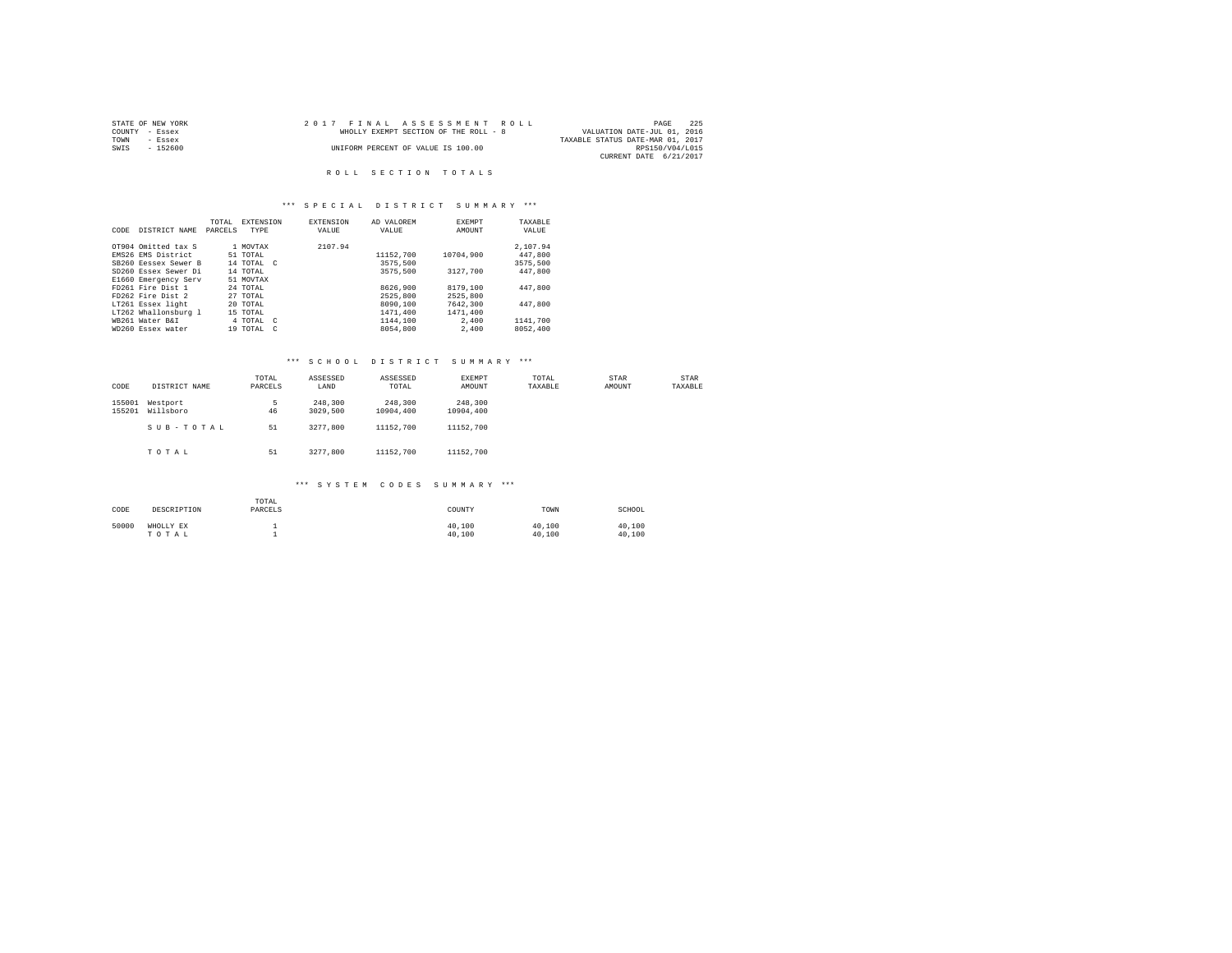|      | STATE OF NEW YORK |  | 2017 FINAL ASSESSMENT ROLL            |                                  | PAGE            | 225 |
|------|-------------------|--|---------------------------------------|----------------------------------|-----------------|-----|
|      | COUNTY - Essex    |  | WHOLLY EXEMPT SECTION OF THE ROLL - 8 | VALUATION DATE-JUL 01, 2016      |                 |     |
| TOWN | - Essex           |  |                                       | TAXABLE STATUS DATE-MAR 01, 2017 |                 |     |
| SWIS | $-152600$         |  | UNIFORM PERCENT OF VALUE IS 100.00    |                                  | RPS150/V04/L015 |     |
|      |                   |  |                                       | CURRENT DATE 6/21/2017           |                 |     |

#### R O L L S E C T I O N T O T A L S

#### \*\*\* S P E C I A L D I S T R I C T S U M M A R Y \*\*\*

| CODE | DISTRICT NAME        | TOTAL<br>PARCELS | <b>EXTENSION</b><br>TYPE | <b>EXTENSION</b><br>VALUE | AD VALOREM<br>VALUE | <b>EXEMPT</b><br>AMOUNT | TAXARLE<br>VALUE |
|------|----------------------|------------------|--------------------------|---------------------------|---------------------|-------------------------|------------------|
|      | OT904 Omitted tax S  |                  | 1 MOVTAX                 | 2107.94                   |                     |                         | 2.107.94         |
|      | EMS26 EMS District   |                  | 51 TOTAL                 |                           | 11152,700           | 10704,900               | 447,800          |
|      | SB260 Eessex Sewer B |                  | 14 TOTAL C               |                           | 3575,500            |                         | 3575,500         |
|      | SD260 Essex Sewer Di |                  | 14 TOTAL                 |                           | 3575,500            | 3127.700                | 447,800          |
|      | E1660 Emergency Serv |                  | 51 MOVTAX                |                           |                     |                         |                  |
|      | FD261 Fire Dist 1    |                  | 24 TOTAL                 |                           | 8626,900            | 8179,100                | 447.800          |
|      | FD262 Fire Dist 2    |                  | 27 TOTAL                 |                           | 2525,800            | 2525,800                |                  |
|      | LT261 Essex light    |                  | 20 TOTAL                 |                           | 8090,100            | 7642,300                | 447.800          |
|      | LT262 Whallonsburg 1 |                  | 15 TOTAL                 |                           | 1471,400            | 1471.400                |                  |
|      | WR261 Water B&T      |                  | 4 TOTAL C                |                           | 1144,100            | 2,400                   | 1141,700         |
|      | WD260 Essex water    |                  | 19 TOTAL C               |                           | 8054,800            | 2,400                   | 8052,400         |

### \*\*\* S C H O O L D I S T R I C T S U M M A R Y \*\*\*

| CODE             | DISTRICT NAME         | TOTAL<br>PARCELS | ASSESSED<br>LAND    | ASSESSED<br>TOTAL    | EXEMPT<br>AMOUNT     | TOTAL<br>TAXABLE | STAR<br>AMOUNT | STAR<br>TAXABLE |
|------------------|-----------------------|------------------|---------------------|----------------------|----------------------|------------------|----------------|-----------------|
| 155001<br>155201 | Westport<br>Willsboro | 5<br>46          | 248,300<br>3029,500 | 248,300<br>10904.400 | 248,300<br>10904.400 |                  |                |                 |
|                  | SUB-TOTAL             | 51               | 3277.800            | 11152,700            | 11152,700            |                  |                |                 |
|                  | TOTAL                 | 51               | 3277.800            | 11152,700            | 11152,700            |                  |                |                 |

| CODE  | DESCRIPTION        | TOTAL<br>PARCELS | COUNTY           | TOWN             | SCHOOL           |
|-------|--------------------|------------------|------------------|------------------|------------------|
| 50000 | WHOLLY EX<br>TOTAL |                  | 40,100<br>40,100 | 40,100<br>40,100 | 40.100<br>40.100 |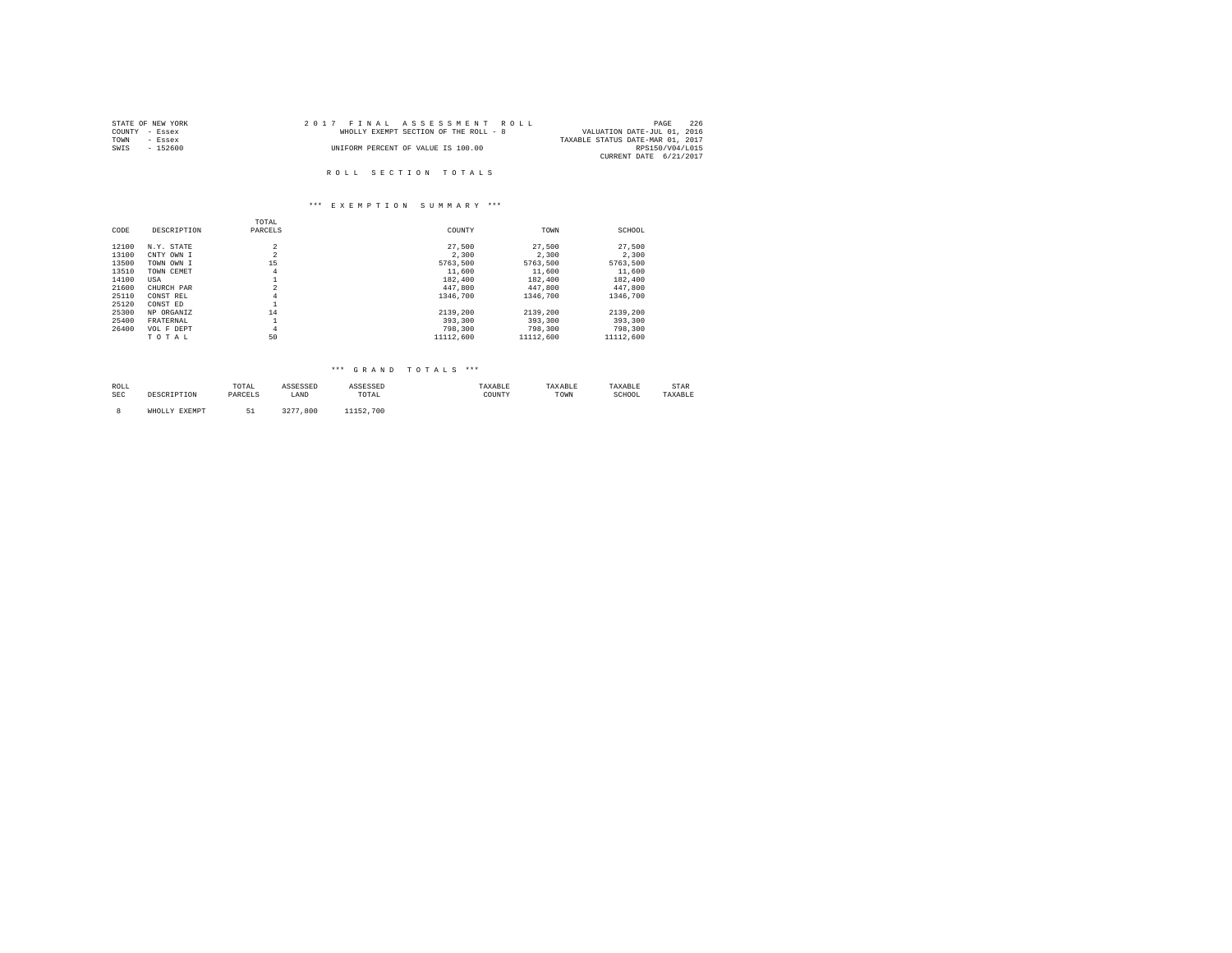| STATE OF NEW YORK | 2017 FINAL ASSESSMENT ROLL            | 226<br>PAGE                      |
|-------------------|---------------------------------------|----------------------------------|
| COUNTY - Essex    | WHOLLY EXEMPT SECTION OF THE ROLL - 8 | VALUATION DATE-JUL 01, 2016      |
| TOWN<br>- Essex   |                                       | TAXABLE STATUS DATE-MAR 01, 2017 |
| SWIS<br>- 152600  | UNIFORM PERCENT OF VALUE IS 100.00    | RPS150/V04/L015                  |
|                   |                                       | CURRENT DATE 6/21/2017           |
|                   |                                       |                                  |
|                   | ROLL SECTION TOTALS                   |                                  |

|       |             | TOTAL          |           |           |           |
|-------|-------------|----------------|-----------|-----------|-----------|
| CODE  | DESCRIPTION | PARCELS        | COUNTY    | TOWN      | SCHOOL    |
| 12100 | N.Y. STATE  | $\overline{a}$ | 27,500    | 27.500    | 27.500    |
| 13100 | CNTY OWN I  | $\overline{a}$ | 2,300     | 2,300     | 2.300     |
| 13500 | TOWN OWN I  | 15             | 5763.500  | 5763.500  | 5763.500  |
| 13510 | TOWN CEMET  | $\overline{4}$ | 11,600    | 11,600    | 11,600    |
| 14100 | USA         |                | 182,400   | 182,400   | 182,400   |
| 21600 | CHURCH PAR  | $\overline{a}$ | 447.800   | 447.800   | 447.800   |
| 25110 | CONST REL   | $\overline{4}$ | 1346,700  | 1346,700  | 1346,700  |
| 25120 | CONST ED    |                |           |           |           |
| 25300 | NP ORGANIZ  | 14             | 2139,200  | 2139,200  | 2139.200  |
| 25400 | FRATERNAL   |                | 393,300   | 393,300   | 393,300   |
| 26400 | VOL F DEPT  | $\overline{4}$ | 798,300   | 798,300   | 798,300   |
|       | TOTAL       | 50             | 11112,600 | 11112,600 | 11112,600 |

# \*\*\* G R A N D T O T A L S \*\*\*

| ROLL<br>the contract of the contract of the |      | TOTAL                         | ◝⊵◒◒◣ |                                                          | .522521 | . AAAD LI | .AXABLE     | . LAR |
|---------------------------------------------|------|-------------------------------|-------|----------------------------------------------------------|---------|-----------|-------------|-------|
| SEC                                         | ---- | 1.3 N <sub>1</sub><br>------- | LAND  | TOTAL<br>the contract of the contract of the contract of | COUNTY  | TOWN      | SCHUUL<br>. |       |
|                                             |      |                               |       |                                                          |         |           |             |       |

8 WHOLLY EXEMPT 51 3277,800 11152,700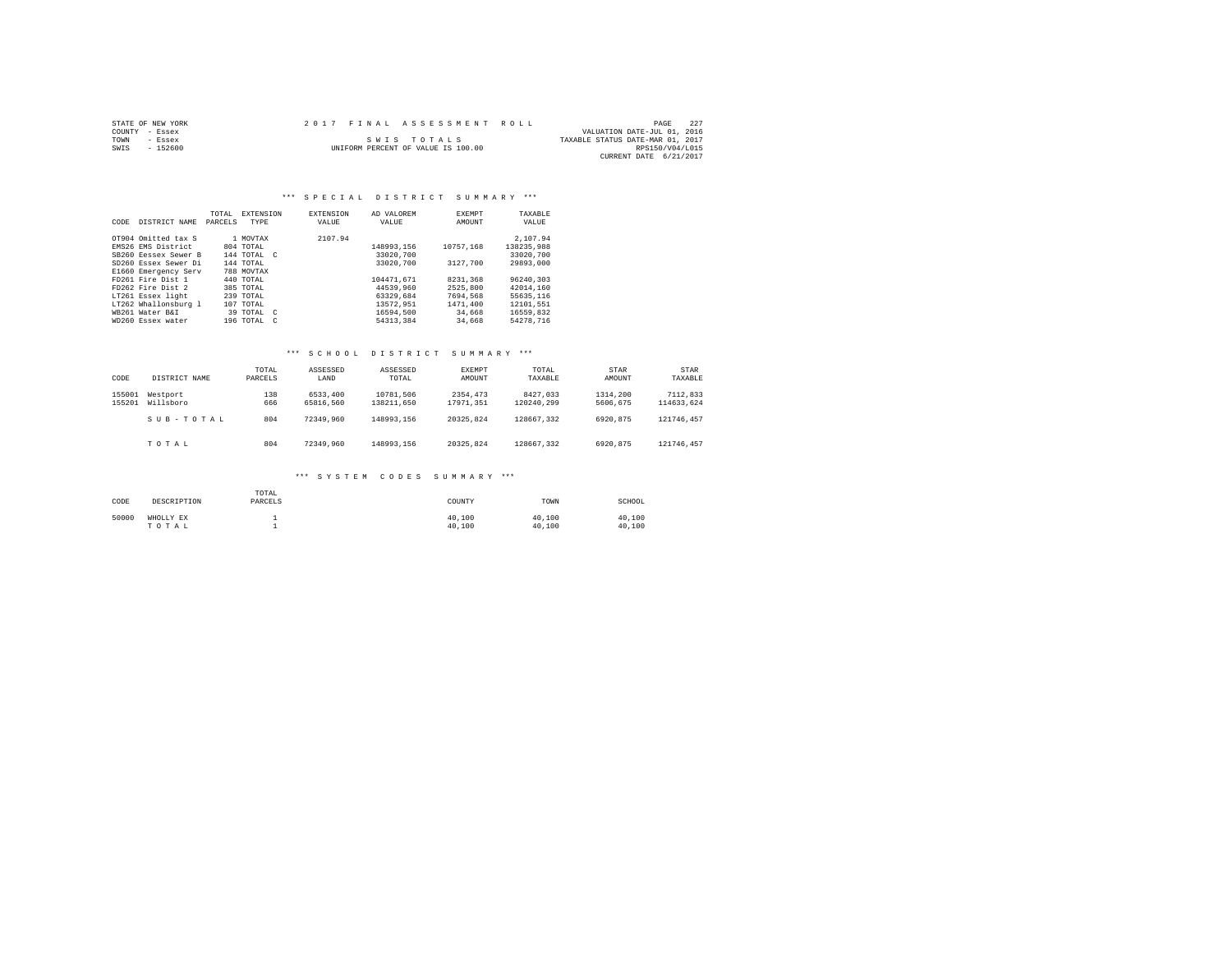|      | STATE OF NEW YORK | 2017 FINAL ASSESSMENT ROLL         |                                  | PAGE            | 227 |
|------|-------------------|------------------------------------|----------------------------------|-----------------|-----|
|      | COUNTY - Essex    |                                    | VALUATION DATE-JUL 01, 2016      |                 |     |
| TOWN | - Essex           | SWIS TOTALS                        | TAXABLE STATUS DATE-MAR 01, 2017 |                 |     |
| SWIS | $-152600$         | UNIFORM PERCENT OF VALUE IS 100.00 |                                  | RPS150/V04/L015 |     |
|      |                   |                                    | CURRENT DATE 6/21/2017           |                 |     |

#### \*\*\* S P E C I A L D I S T R I C T S U M M A R Y \*\*\*

| CODE | DISTRICT NAME        | TOTAL<br>PARCELS | EXTENSION<br><b>TYPE</b> |     | <b>EXTENSION</b><br>VALUE | AD VALOREM<br>VALUE | <b>EXEMPT</b><br>AMOUNT | TAXABLE<br>VALUE |
|------|----------------------|------------------|--------------------------|-----|---------------------------|---------------------|-------------------------|------------------|
|      | OT904 Omitted tax S  |                  | 1 MOVTAX                 |     | 2107.94                   |                     |                         | 2.107.94         |
|      | EMS26 EMS District   |                  | 804 TOTAL                |     |                           | 148993.156          | 10757.168               | 138235.988       |
|      | SB260 Eessex Sewer B |                  | 144 TOTAL C              |     |                           | 33020,700           |                         | 33020.700        |
|      | SD260 Essex Sewer Di |                  | 144 TOTAL                |     |                           | 33020.700           | 3127.700                | 29893,000        |
|      | E1660 Emergency Serv |                  | 788 MOVTAX               |     |                           |                     |                         |                  |
|      | FD261 Fire Dist 1    |                  | 440 TOTAL                |     |                           | 104471.671          | 8231,368                | 96240.303        |
|      | FD262 Fire Dist 2    |                  | 385 TOTAL                |     |                           | 44539,960           | 2525,800                | 42014.160        |
|      | LT261 Essex light    |                  | 239 TOTAL                |     |                           | 63329,684           | 7694,568                | 55635.116        |
|      | LT262 Whallonsburg 1 |                  | 107 TOTAL                |     |                           | 13572.951           | 1471,400                | 12101.551        |
|      | WR261 Water R&T      |                  | 39 TOTAL C               |     |                           | 16594.500           | 34,668                  | 16559.832        |
|      | WD260 Essex water    |                  | 196 TOTAL                | - C |                           | 54313.384           | 34,668                  | 54278.716        |

#### \*\*\* S C H O O L D I S T R I C T S U M M A R Y \*\*\*

| CODE             | DISTRICT NAME         | TOTAL<br>PARCELS | ASSESSED<br>LAND      | ASSESSED<br>TOTAL       | EXEMPT<br>AMOUNT      | TOTAL<br>TAXABLE       | STAR<br>AMOUNT       | STAR<br>TAXABLE        |
|------------------|-----------------------|------------------|-----------------------|-------------------------|-----------------------|------------------------|----------------------|------------------------|
| 155001<br>155201 | Westport<br>Willsboro | 138<br>666       | 6533,400<br>65816.560 | 10781.506<br>138211,650 | 2354,473<br>17971.351 | 8427.033<br>120240.299 | 1314,200<br>5606.675 | 7112.833<br>114633.624 |
|                  | SUB-TOTAL             | 804              | 72349.960             | 148993.156              | 20325.824             | 128667.332             | 6920.875             | 121746.457             |
|                  | TOTAL                 | 804              | 72349.960             | 148993.156              | 20325.824             | 128667.332             | 6920.875             | 121746.457             |

| CODE  | DESCRIPTION        | TOTAL<br>PARCELS | COUNTY           | TOWN             | SCHOOL           |
|-------|--------------------|------------------|------------------|------------------|------------------|
| 50000 | WHOLLY EX<br>TOTAL |                  | 40.100<br>40.100 | 40.100<br>40.100 | 40,100<br>40.100 |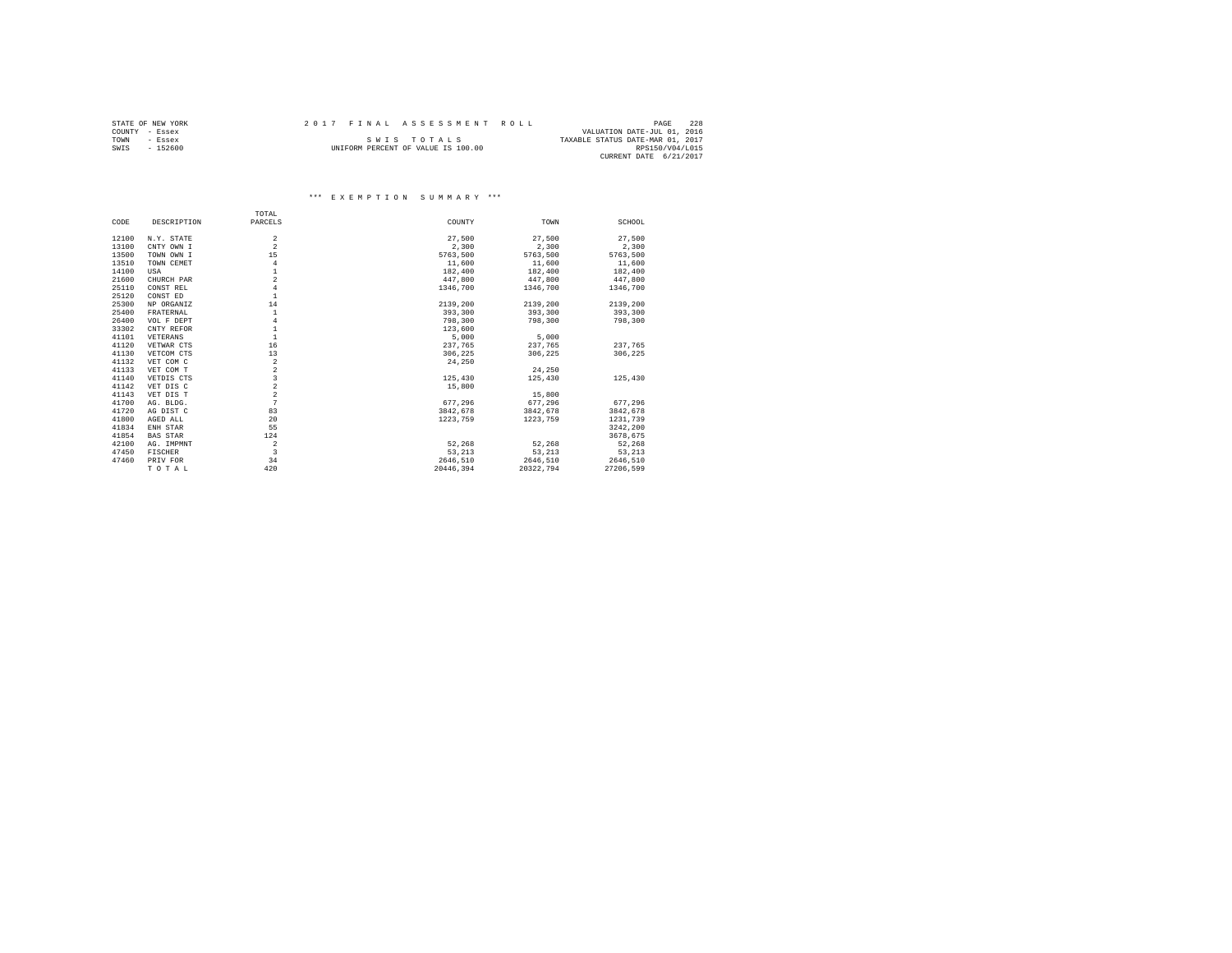|      | STATE OF NEW YORK | 2017 FINAL ASSESSMENT ROLL |                                    |                                  | PAGE            | 2.2.8 |
|------|-------------------|----------------------------|------------------------------------|----------------------------------|-----------------|-------|
|      | COUNTY - Essex    |                            |                                    | VALUATION DATE-JUL 01, 2016      |                 |       |
| TOWN | $-$ Essex         |                            | SWIS TOTALS                        | TAXABLE STATUS DATE-MAR 01, 2017 |                 |       |
| SWIS | $-152600$         |                            | UNIFORM PERCENT OF VALUE IS 100.00 |                                  | RPS150/V04/L015 |       |
|      |                   |                            |                                    | CURRENT DATE 6/21/2017           |                 |       |

|       |                 | TOTAL                   |           |           |           |
|-------|-----------------|-------------------------|-----------|-----------|-----------|
| CODE  | DESCRIPTION     | PARCELS                 | COUNTY    | TOWN      | SCHOOL    |
| 12100 | N.Y. STATE      | $\overline{a}$          | 27.500    | 27,500    | 27.500    |
| 13100 | CNTY OWN I      | $\overline{a}$          | 2,300     | 2.300     | 2,300     |
|       |                 |                         |           |           |           |
| 13500 | TOWN OWN I      | 15                      | 5763.500  | 5763,500  | 5763,500  |
| 13510 | TOWN CEMET      | $\overline{4}$          | 11,600    | 11,600    | 11,600    |
| 14100 | USA             | $\mathbf{1}$            | 182,400   | 182,400   | 182,400   |
| 21600 | CHURCH PAR      | $\overline{a}$          | 447.800   | 447.800   | 447.800   |
| 25110 | CONST REL       | $\overline{4}$          | 1346,700  | 1346,700  | 1346,700  |
| 25120 | CONST ED        | $\mathbf{1}$            |           |           |           |
| 25300 | NP ORGANIZ      | 14                      | 2139,200  | 2139,200  | 2139,200  |
| 25400 | FRATERNAL       | $\mathbf{1}$            | 393,300   | 393,300   | 393,300   |
| 26400 | VOL F DEPT      | $\overline{4}$          | 798,300   | 798,300   | 798,300   |
| 33302 | CNTY REFOR      | $\mathbf{1}$            | 123,600   |           |           |
| 41101 | VETERANS        | $\mathbf{1}$            | 5,000     | 5,000     |           |
| 41120 | VETWAR CTS      | 16                      | 237,765   | 237.765   | 237.765   |
| 41130 | VETCOM CTS      | 13                      | 306,225   | 306,225   | 306,225   |
| 41132 | VET COM C       | $\overline{\mathbf{2}}$ | 24,250    |           |           |
| 41133 | VET COM T       | $\overline{a}$          |           | 24,250    |           |
| 41140 | VETDIS CTS      | $\overline{\mathbf{3}}$ | 125,430   | 125,430   | 125,430   |
| 41142 | VET DIS C       | $\overline{a}$          | 15,800    |           |           |
| 41143 | VET DIS T       | $\overline{a}$          |           | 15,800    |           |
| 41700 | AG. BLDG.       | 7                       | 677.296   | 677.296   | 677.296   |
| 41720 | AG DIST C       | 83                      | 3842.678  | 3842.678  | 3842.678  |
| 41800 | AGED ALL        | 20                      | 1223,759  | 1223,759  | 1231,739  |
| 41834 | ENH STAR        | 55                      |           |           | 3242.200  |
| 41854 | <b>BAS STAR</b> | 124                     |           |           | 3678,675  |
| 42100 | AG. IMPMNT      | $\overline{2}$          | 52.268    | 52,268    | 52,268    |
| 47450 | FISCHER         | 3                       | 53.213    | 53.213    | 53,213    |
| 47460 | PRIV FOR        | 34                      | 2646.510  | 2646,510  | 2646,510  |
|       | TOTAL           | 420                     | 20446,394 | 20322.794 | 27206.599 |
|       |                 |                         |           |           |           |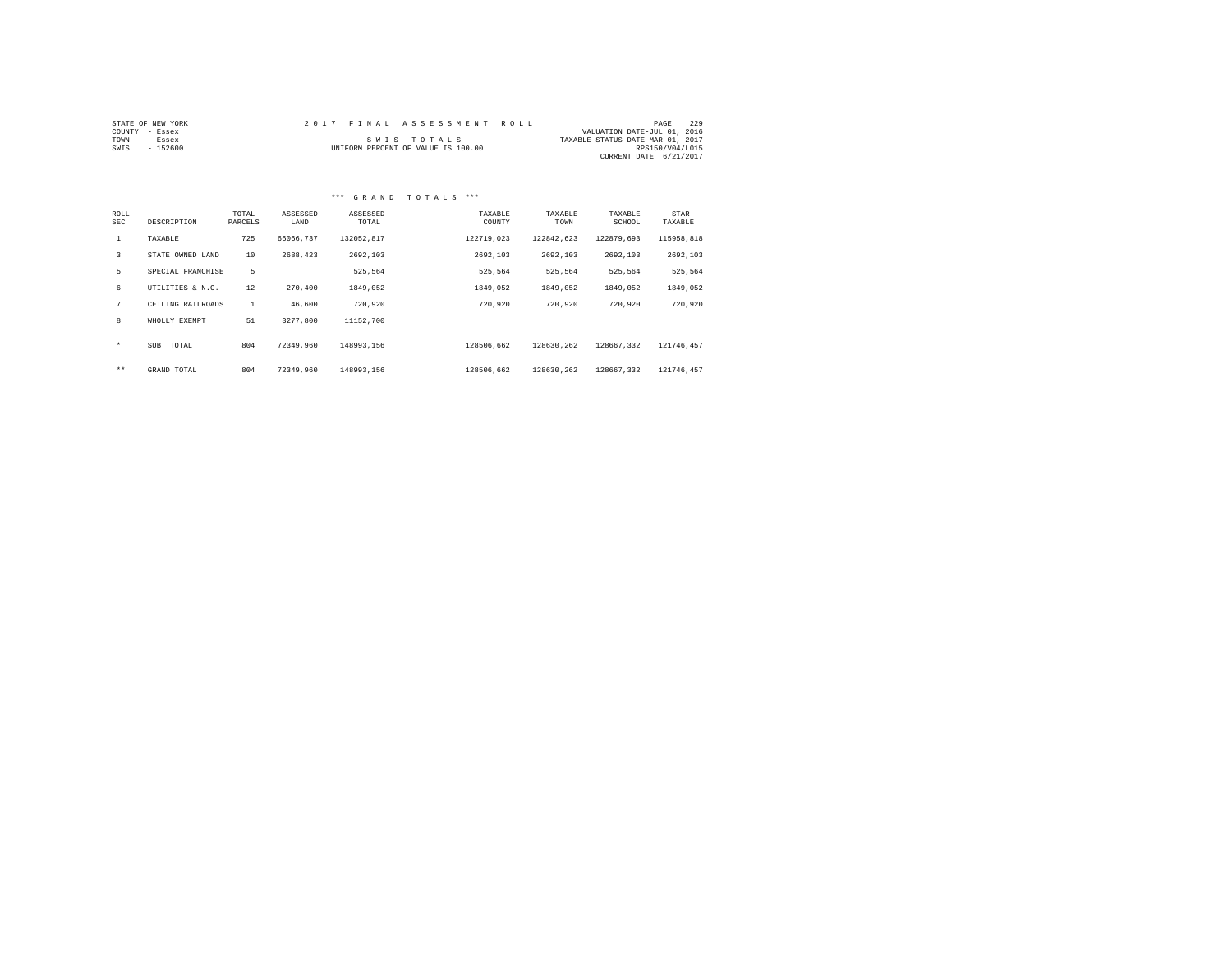| STATE OF NEW YORK |          |  | 2017 FINAL ASSESSMENT ROLL         |                                  | PAGE            | 229 |
|-------------------|----------|--|------------------------------------|----------------------------------|-----------------|-----|
| COUNTY - Essex    |          |  |                                    | VALUATION DATE-JUL 01, 2016      |                 |     |
| TOWN              | - Essex  |  | SWIS TOTALS                        | TAXABLE STATUS DATE-MAR 01, 2017 |                 |     |
| SWIS              | - 152600 |  | UNIFORM PERCENT OF VALUE IS 100.00 |                                  | RPS150/V04/L015 |     |
|                   |          |  |                                    | CURRENT DATE 6/21/2017           |                 |     |

#### \*\*\* G R A N D T O T A L S \*\*\*

| ROLL<br><b>SEC</b> | DESCRIPTION         | TOTAL<br>PARCELS | ASSESSED<br>LAND | ASSESSED<br>TOTAL | TAXABLE<br>COUNTY | TAXABLE<br>TOWN | TAXABLE<br>SCHOOL | STAR<br>TAXABLE |
|--------------------|---------------------|------------------|------------------|-------------------|-------------------|-----------------|-------------------|-----------------|
| $\mathbf{1}$       | TAXABLE             | 725              | 66066.737        | 132052.817        | 122719.023        | 122842,623      | 122879.693        | 115958.818      |
| 3                  | STATE OWNED LAND    | 10               | 2688,423         | 2692.103          | 2692.103          | 2692.103        | 2692.103          | 2692.103        |
| 5                  | SPECIAL FRANCHISE   | 5                |                  | 525.564           | 525,564           | 525.564         | 525.564           | 525.564         |
| 6                  | UTILITIES & N.C.    | 12               | 270,400          | 1849.052          | 1849.052          | 1849.052        | 1849.052          | 1849.052        |
| 7                  | CEILING RAILROADS   | $\mathbf{1}$     | 46,600           | 720.920           | 720,920           | 720.920         | 720,920           | 720,920         |
| 8                  | WHOLLY EXEMPT       | 51               | 3277.800         | 11152.700         |                   |                 |                   |                 |
| $\star$            | <b>SUB</b><br>TOTAL | 804              | 72349.960        | 148993.156        | 128506.662        | 128630.262      | 128667.332        | 121746.457      |
| $***$              | GRAND TOTAL         | 804              | 72349.960        | 148993.156        | 128506.662        | 128630.262      | 128667.332        | 121746.457      |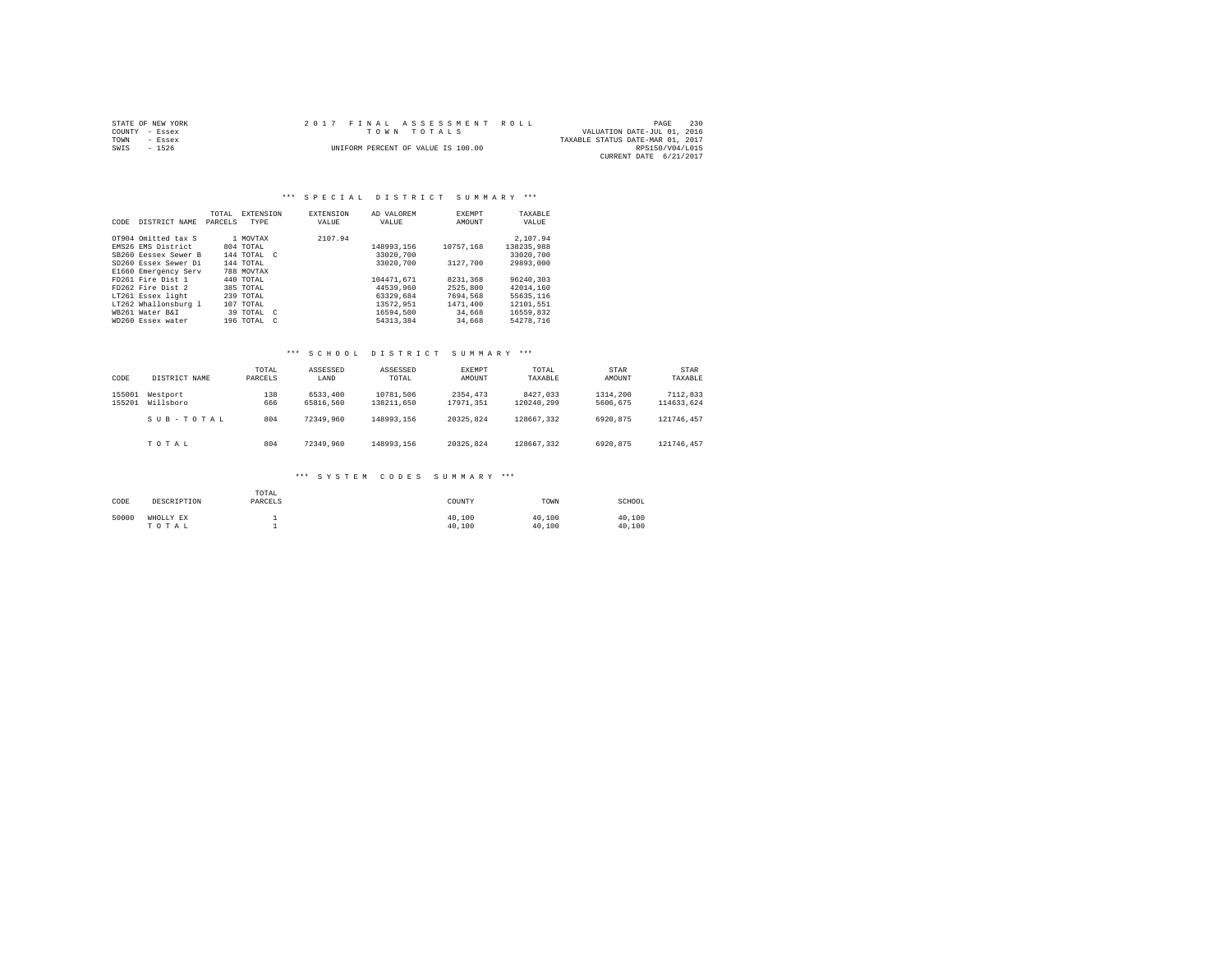| STATE OF NEW YORK | 2017 FINAL ASSESSMENT ROLL         | 230<br>PAGE                      |
|-------------------|------------------------------------|----------------------------------|
| COUNTY - Essex    | TOWN TOTALS                        | VALUATION DATE-JUL 01, 2016      |
| TOWN<br>- Essex   |                                    | TAXABLE STATUS DATE-MAR 01, 2017 |
| SWIS<br>$-1526$   | UNIFORM PERCENT OF VALUE IS 100.00 | RPS150/V04/L015                  |
|                   |                                    | CURRENT DATE 6/21/2017           |

#### \*\*\* S P E C I A L D I S T R I C T S U M M A R Y \*\*\*

| CODE | DISTRICT NAME        | TOTAL<br>PARCELS | EXTENSION<br>TYPE |            | <b>EXTENSION</b><br>VALUE | AD VALOREM<br>VALUE | <b>EXEMPT</b><br>AMOUNT | TAXABLE<br>VALUE |
|------|----------------------|------------------|-------------------|------------|---------------------------|---------------------|-------------------------|------------------|
|      | OT904 Omitted tax S  |                  | 1 MOVTAX          |            | 2107.94                   |                     |                         | 2.107.94         |
|      | EMS26 EMS District   |                  | 804 TOTAL         |            |                           | 148993.156          | 10757.168               | 138235.988       |
|      | SB260 Eessex Sewer B |                  | 144 TOTAL C       |            |                           | 33020.700           |                         | 33020.700        |
|      | SD260 Essex Sewer Di |                  | 144 TOTAL         |            |                           | 33020.700           | 3127.700                | 29893,000        |
|      | E1660 Emergency Serv |                  | 788 MOVTAX        |            |                           |                     |                         |                  |
|      | FD261 Fire Dist 1    |                  | 440 TOTAL         |            |                           | 104471.671          | 8231,368                | 96240.303        |
|      | FD262 Fire Dist 2    |                  | 385 TOTAL         |            |                           | 44539,960           | 2525,800                | 42014.160        |
|      | LT261 Essex light    |                  | 239 TOTAL         |            |                           | 63329,684           | 7694,568                | 55635.116        |
|      | LT262 Whallonsburg 1 |                  | 107 TOTAL         |            |                           | 13572.951           | 1471,400                | 12101.551        |
|      | WR261 Water R&T      |                  | 39 TOTAL C        |            |                           | 16594.500           | 34,668                  | 16559.832        |
|      | WD260 Essex water    |                  | 196 TOTAL         | $\sqrt{2}$ |                           | 54313,384           | 34,668                  | 54278.716        |

#### \*\*\* S C H O O L D I S T R I C T S U M M A R Y \*\*\*

| CODE             | DISTRICT NAME         | TOTAL<br>PARCELS | ASSESSED<br>LAND      | ASSESSED<br>TOTAL       | EXEMPT<br>AMOUNT      | TOTAL<br>TAXABLE       | STAR<br>AMOUNT       | STAR<br>TAXABLE        |
|------------------|-----------------------|------------------|-----------------------|-------------------------|-----------------------|------------------------|----------------------|------------------------|
| 155001<br>155201 | Westport<br>Willsboro | 138<br>666       | 6533,400<br>65816.560 | 10781.506<br>138211,650 | 2354,473<br>17971.351 | 8427.033<br>120240.299 | 1314,200<br>5606.675 | 7112.833<br>114633.624 |
|                  | SUB-TOTAL             | 804              | 72349.960             | 148993.156              | 20325.824             | 128667.332             | 6920.875             | 121746.457             |
|                  | TOTAL                 | 804              | 72349.960             | 148993.156              | 20325.824             | 128667.332             | 6920.875             | 121746.457             |

| CODE  | DESCRIPTION        | TOTAL<br>PARCELS | COUNTY           | TOWN             | SCHOOL           |
|-------|--------------------|------------------|------------------|------------------|------------------|
| 50000 | WHOLLY EX<br>TOTAL |                  | 40.100<br>40.100 | 40.100<br>40.100 | 40,100<br>40.100 |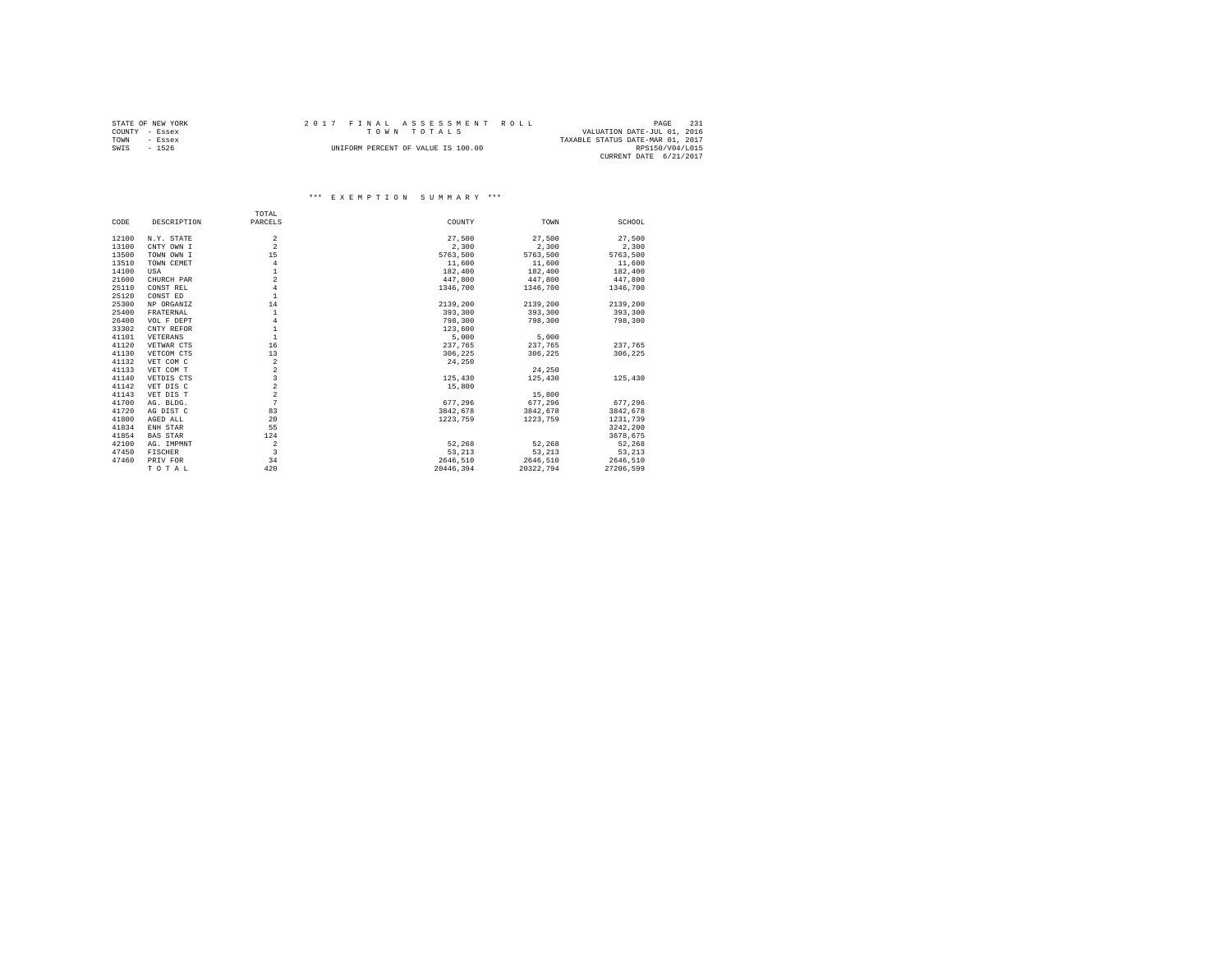|                | STATE OF NEW YORK |  | 2017 FINAL ASSESSMENT ROLL         |                                  | PAGE            | 231 |
|----------------|-------------------|--|------------------------------------|----------------------------------|-----------------|-----|
| COUNTY - Essex |                   |  | TOWN TOTALS                        | VALUATION DATE-JUL 01, 2016      |                 |     |
| TOWN           | - Essex           |  |                                    | TAXABLE STATUS DATE-MAR 01, 2017 |                 |     |
| SWIS           | $-1526$           |  | UNIFORM PERCENT OF VALUE IS 100.00 |                                  | RPS150/V04/L015 |     |
|                |                   |  |                                    | CURRENT DATE 6/21/2017           |                 |     |

|       |                 | TOTAL                   |           |           |           |
|-------|-----------------|-------------------------|-----------|-----------|-----------|
| CODE  | DESCRIPTION     | PARCELS                 | COUNTY    | TOWN      | SCHOOL    |
| 12100 | N.Y. STATE      | $\overline{a}$          | 27,500    | 27,500    | 27,500    |
| 13100 | CNTY OWN I      | $\mathfrak{D}$          | 2,300     | 2.300     | 2,300     |
| 13500 | TOWN OWN I      | 15                      | 5763,500  | 5763,500  | 5763,500  |
| 13510 | TOWN CEMET      | 4                       | 11,600    | 11,600    | 11,600    |
| 14100 | USA             | 1                       | 182,400   | 182,400   | 182,400   |
| 21600 | CHURCH PAR      | $\mathfrak{D}$          | 447,800   | 447.800   | 447,800   |
| 25110 | CONST REL       | $\overline{4}$          | 1346,700  | 1346,700  | 1346,700  |
| 25120 | CONST ED        | $\mathbf{1}$            |           |           |           |
| 25300 | NP ORGANIZ      | 14                      | 2139,200  | 2139,200  | 2139.200  |
| 25400 | FRATERNAL       | $\mathbf{1}$            | 393,300   | 393,300   | 393,300   |
| 26400 | VOL F DEPT      | $\overline{4}$          | 798,300   | 798,300   | 798,300   |
| 33302 | CNTY REFOR      | $\mathbf{1}$            | 123,600   |           |           |
| 41101 | VETERANS        | $\mathbf{1}$            | 5,000     | 5,000     |           |
| 41120 | VETWAR CTS      | 16                      | 237.765   | 237.765   | 237.765   |
| 41130 | VETCOM CTS      | 13                      | 306,225   | 306.225   | 306,225   |
| 41132 | VET COM C       | $\overline{a}$          | 24,250    |           |           |
| 41133 | VET COM T       | $\overline{a}$          |           | 24,250    |           |
| 41140 | VETDIS CTS      | 3                       | 125,430   | 125,430   | 125,430   |
| 41142 | VET DIS C       | $\bar{2}$               | 15,800    |           |           |
| 41143 | VET DIS T       | $\overline{a}$          |           | 15,800    |           |
| 41700 | AG. BLDG.       | 7                       | 677.296   | 677.296   | 677.296   |
| 41720 | AG DIST C       | 83                      | 3842.678  | 3842.678  | 3842,678  |
| 41800 | AGED ALL        | 20                      | 1223,759  | 1223,759  | 1231,739  |
| 41834 | ENH STAR        | 55                      |           |           | 3242,200  |
| 41854 | <b>BAS STAR</b> | 124                     |           |           | 3678.675  |
| 42100 | AG. IMPMNT      | $\overline{\mathbf{2}}$ | 52,268    | 52.268    | 52.268    |
| 47450 | <b>FISCHER</b>  | 3                       | 53.213    | 53,213    | 53.213    |
| 47460 | PRIV FOR        | 34                      | 2646.510  | 2646.510  | 2646.510  |
|       | TOTAL           | 420                     | 20446.394 | 20322.794 | 27206.599 |